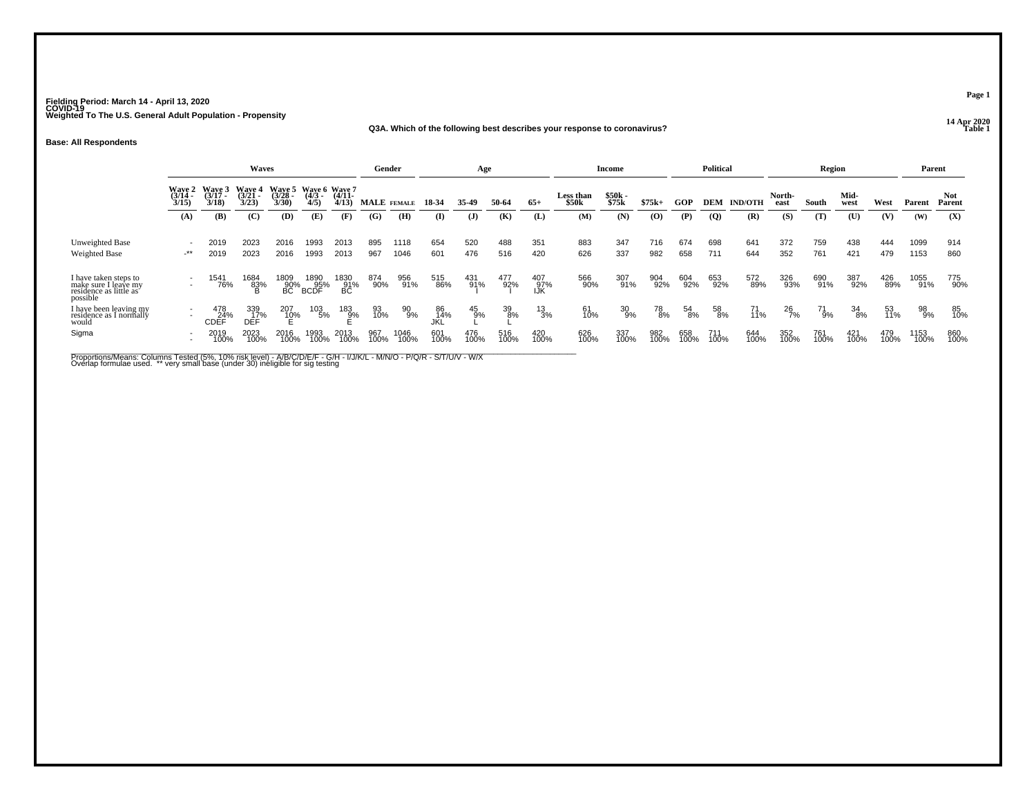#### **14 Apr 2020 Q3A. Which of the following best describes your response to coronavirus?Table 1 Table 1**

**Base: All Respondents**

|                                                                                     | Waves                                                |                             |                          |                        |                                      |                   | Gender      |              |                  | Age          |                  |                   |                                | Income            |             |             | Political   |                |                | Region      |              |             | Parent       |                |
|-------------------------------------------------------------------------------------|------------------------------------------------------|-----------------------------|--------------------------|------------------------|--------------------------------------|-------------------|-------------|--------------|------------------|--------------|------------------|-------------------|--------------------------------|-------------------|-------------|-------------|-------------|----------------|----------------|-------------|--------------|-------------|--------------|----------------|
|                                                                                     | Wave 2<br>(3/14 -<br>3/15)                           | Wave 3<br>$(3/17 -$<br>3/18 | Wave 4<br>(3/21)<br>3/23 | Wave 5<br>3/28<br>3/30 | Wave 6 Wave 7<br>$\frac{(4/3)}{4/5}$ | $(4/11 -$<br>4/13 | MALE FEMALE |              | 18-34            | 35-49        | 50-64            | $65+$             | Less than<br>\$50 <sub>k</sub> | $$50k -$<br>\$75k | $$75k+$     | GOP         | <b>DEM</b>  | <b>IND/OTH</b> | North-<br>east | South       | Mid-<br>west | West        | Parent       | Not.<br>Parent |
|                                                                                     | (A)                                                  | (B)                         | (C)                      | (D)                    | (E)                                  | (F)               | (G)         | (H)          | $\bf{I}$         | $\mathbf{J}$ | (K)              | (L)               | (M)                            | (N)               | (0)         | (P)         | <b>(Q)</b>  | (R)            | (S)            | (T)         | (U)          | (V)         | (W)          | (X)            |
| Unweighted Base<br>Weighted Base                                                    | $\overline{\phantom{a}}$<br>$-***$                   | 2019<br>2019                | 2023<br>2023             | 2016<br>2016           | 1993<br>1993                         | 2013<br>2013      | 895<br>967  | 1118<br>1046 | 654<br>601       | 520<br>476   | 488<br>516       | 351<br>420        | 883<br>626                     | 347<br>337        | 716<br>982  | 674<br>658  | 698<br>711  | 641<br>644     | 372<br>352     | 759<br>761  | 438<br>421   | 444<br>479  | 1099<br>1153 | 914<br>860     |
| I have taken steps to<br>make sure I leave my<br>residence as little as<br>possible | $\overline{\phantom{a}}$<br>$\overline{\phantom{a}}$ | 1541<br>76%                 | 1684<br>83%              | $^{1809}_{90\%}$ BC    | 1890<br>95%<br>BCDF                  | 1830<br>91%<br>BC | 874<br>90%  | 956<br>91%   | 515<br>86%       | 431<br>91%   | 477<br>92%       | 407<br>97%<br>IJK | 566<br>90%                     | 307<br>91%        | 904<br>92%  | 604<br>92%  | 653<br>92%  | 572<br>89%     | 326<br>93%     | 690<br>91%  | 387<br>92%   | 426<br>89%  | 1055<br>91%  | 775<br>90%     |
| I have been leaving my<br>residence as I normally<br>would                          | $\overline{\phantom{a}}$<br>$\overline{\phantom{a}}$ | 478<br>24%<br><b>CDEF</b>   | 339<br>17%<br><b>DEF</b> | 207<br>1 <u>0</u> %    | $^{103}_{\phantom{1}5\%}$            | $\frac{183}{9\%}$ | 93<br>10%   | 90<br>9%     | 86<br>14%<br>JKL | 45<br>9%     | $\frac{39}{8\%}$ | $^{13}_{3\%}$     | 61<br>10%                      | 30<br>9%          | 78<br>8%    | 54<br>8%    | 58<br>8%    | 71<br>11%      | $^{26}_{7\%}$  | 71<br>9%    | 34<br>8%     | 53<br>11%   | 98<br>9%     | 85<br>10%      |
| Sigma                                                                               | $\overline{\phantom{a}}$<br>$\overline{\phantom{a}}$ | 2019<br>100%                | 2023<br>100%             | 2016<br>100%           | 1993<br>100%                         | 2013<br>100%      | 967<br>100% | 1046<br>100% | 601<br>100%      | 476<br>100%  | 516<br>100%      | 420<br>100%       | 626<br>100%                    | 337<br>100%       | 982<br>100% | 658<br>100% | 711<br>100% | 644<br>100%    | 352<br>100%    | 761<br>100% | 421<br>100%  | 479<br>100% | 1153<br>100% | 860<br>100%    |

Proportions/Means: Columns Tested (5%, 10% risk level) - A/B/C/D/E/F - G/H - I/J/K/L - M/N/O - P/Q/R - S/T/U/V - W/X<br>Overlap formulae used. \*\* very small base (under 30) ineligible for sig testing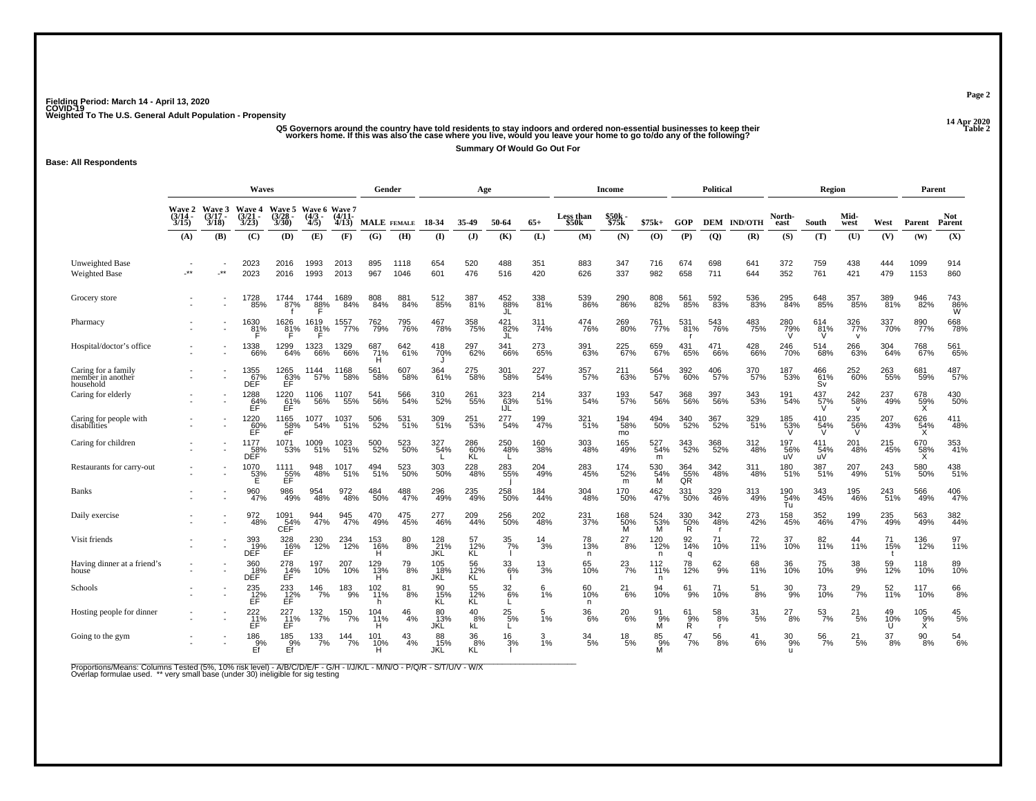ے۔<br>Q5 Governors around the country have told residents to stay indoors and ordered non-essential businesses to keep their<br>Morkers home. If this was also the case where you live, would you leave your home to go to/do any o

**Summary Of Would Go Out For**

**Base: All Respondents**

|                                                       | <b>Waves</b><br>Wave 6 Wave 7             |                                    |                                           |                                    |                         |                          | Gender             |               |                       | Age                      |                    |               |                                       | Income                |                                                     |                       | <b>Political</b>      |                       |                       | Region                |                            |                | Parent                |                      |
|-------------------------------------------------------|-------------------------------------------|------------------------------------|-------------------------------------------|------------------------------------|-------------------------|--------------------------|--------------------|---------------|-----------------------|--------------------------|--------------------|---------------|---------------------------------------|-----------------------|-----------------------------------------------------|-----------------------|-----------------------|-----------------------|-----------------------|-----------------------|----------------------------|----------------|-----------------------|----------------------|
|                                                       | <b>Wave 2</b><br>$(3/14 -$<br>3/15<br>(A) | Wave 3<br>$(3/17 -$<br>3/18<br>(B) | <b>Wave 4</b><br>$(3/21 -$<br>3/23<br>(C) | Wave 5<br>$3/28 -$<br>3/30<br>(D)  | $(4/3 -$<br>4/5)<br>(E) | $(4/11 -$<br>4/13<br>(F) | MALE FEMALE<br>(G) | (H)           | 18 34<br>$\mathbf{I}$ | 35-49<br>$\mathbf{J}$    | 50-64<br>(K)       | $65+$<br>(L)  | Less than<br>\$50 <sub>k</sub><br>(M) | \$50k<br>\$75k<br>(N) | $$75k+$<br>$\boldsymbol{\left( \mathbf{O} \right)}$ | GOP<br>(P)            | <b>DEM</b><br>(Q)     | <b>IND/OTH</b><br>(R) | North-<br>east<br>(S) | South<br>(T)          | Mid-<br>west<br>(U)        | West<br>(V)    | Parent<br>(W)         | Not<br>Parent<br>(X) |
|                                                       |                                           |                                    |                                           |                                    |                         |                          |                    |               |                       |                          |                    |               |                                       |                       |                                                     |                       |                       |                       |                       |                       |                            |                |                       |                      |
| <b>Unweighted Base</b><br><b>Weighted Base</b>        |                                           | $\star\star$                       | 2023<br>2023                              | 2016<br>2016                       | 1993<br>1993            | 2013<br>2013             | 895<br>967         | 1118<br>1046  | 654<br>601            | 520<br>476               | 488<br>516         | 351<br>420    | 883<br>626                            | 347<br>337            | 716<br>982                                          | 674<br>658            | 698<br>711            | 641<br>644            | 372<br>352            | 759<br>761            | 438<br>421                 | 444<br>479     | 1099<br>1153          | 914<br>860           |
| Grocery store                                         |                                           |                                    | 1728<br>85%                               | 1744<br>87%                        | 1744<br>88%             | 1689<br>84%              | 808<br>84%         | 881<br>84%    | 512<br>85%            | 387<br>81%               | 452<br>88%<br>JL   | 338<br>81%    | 539<br>86%                            | 290<br>86%            | 808<br>82%                                          | 561<br>85%            | 592<br>83%            | 536<br>83%            | 295<br>84%            | 648<br>85%            | 357<br>85%                 | 389<br>81%     | 946<br>82%            | 743<br>86%<br>W      |
| Pharmacy                                              |                                           |                                    | 1630<br>81%                               | 1626<br>81%                        | 1619<br>81%             | 1557<br>77%              | 762<br>79%         | 795<br>76%    | 467<br>78%            | 358<br>75%               | 421<br>82%<br>JL   | 311<br>74%    | 474<br>76%                            | 269<br>80%            | 761<br>77%                                          | 531<br>81%            | 543<br>76%            | 483<br>75%            | 280%                  | 614<br>81%<br>v       | 326<br>77%<br>$\mathsf{v}$ | 337<br>70%     | 890<br>77%            | 668<br>78%           |
| Hospital/doctor's office                              |                                           |                                    | 1338<br>66%                               | 1299<br>64%                        | 1323<br>66%             | 1329<br>66%              | 687<br>71%         | 642<br>61%    | 418<br>70%            | 297<br>62%               | 341<br>66%         | 273<br>65%    | 391<br>63%                            | 225<br>67%            | 659<br>67%                                          | 431<br>65%            | 471<br>66%            | 428<br>66%            | 246<br>70%            | 514<br>68%            | 266<br>63%                 | 304<br>64%     | 768<br>67%            | 561<br>65%           |
| Caring for a family<br>member in another<br>household |                                           |                                    | 1355<br>67%<br>DEF                        | 1265<br>$E$ FF <sup>%</sup>        | 1144<br>57%             | 1168<br>58%              | 561<br>58%         | 607<br>58%    | 364<br>61%            | 275<br>58%               | 301<br>58%         | 227<br>54%    | 357<br>57%                            | 211<br>63%            | 564<br>57%                                          | 392<br>60%            | 406<br>57%            | 370<br>57%            | 187<br>53%            | 466<br>61%<br>Sv      | 252<br>60%                 | 263<br>55%     | 681<br>59%            | 487<br>57%           |
| Caring for elderly                                    |                                           |                                    | 1288<br>64%<br>ĔĖ                         | $^{1220}_{61\%}$ FF                | 1106<br>56%             | 1107<br>55%              | 541<br>56%         | 566<br>54%    | 310<br>52%            | 261<br>55%               | 323<br>63%<br>IJL  | 214<br>51%    | 337<br>54%                            | 193<br>57%            | 547<br>56%                                          | 368<br>56%            | 397<br>56%            | 343<br>53%            | 191<br>54%            | 437%<br>V             | 242<br>58%<br>$\mathsf{v}$ | 237<br>49%     | 678<br>59%<br>X       | 430<br>50%           |
| Caring for people with<br>disabilities                |                                           |                                    | 1220<br>$E$ <sup>60</sup> %               | 1165<br>58%<br>eF                  | 1077<br>54%             | 1037<br>51%              | 506<br>52%         | 531<br>51%    | 309<br>51%            | 251<br>53%               | 277<br>-<br>54%    | 199<br>47%    | 321 <sub>%</sub>                      | 194<br>58%<br>mo      | 494<br>50%                                          | 340<br>52%            | 367<br>52%            | 329<br>51%            | 185<br>53%<br>V       | $^{410}_{54\%}$<br>'V | 235<br>56%<br>V            | 207<br>43%     | 626<br>$\frac{54}{x}$ | 411<br>48%           |
| Caring for children                                   |                                           |                                    | 1177<br>DEF                               | 1071<br>53%                        | 1009<br>51%             | 1023<br>51%              | 500<br>52%         | 523<br>50%    | 327<br>54%            | 286<br>$\frac{60}{5}$ KL | 250<br>48%         | 160<br>38%    | 303<br>48%                            | 165<br>49%            | 527<br>54%<br>m                                     | 343<br>52%            | 368<br>52%            | 312<br>48%            | 197<br>56%            | 411<br>54%<br>uV      | 201<br>48%                 | 215<br>45%     | 670<br>$\frac{58}{x}$ | 353<br>41%           |
| Restaurants for carry-out                             |                                           |                                    | 1070<br>$\frac{53}{5}$                    | 1111<br>55%                        | 948<br>48%              | 1017<br>51%              | 494<br>51%         | 523<br>50%    | 303<br>50%            | 228<br>48%               | 283<br>55%         | 204<br>49%    | 283<br>45%                            | 174<br>52%<br>m       | 530<br>54%<br>М                                     | 364<br>55%<br>QR      | 342<br>48%            | 311<br>48%            | 180<br>51%            | 387<br>51%            | 207<br>49%                 | 243<br>51%     | 580<br>50%            | 438<br>51%           |
| Banks                                                 |                                           |                                    | 960<br>47%                                | 986<br>49%                         | 48%                     | 972<br>48%               | 484<br>50%         | 488<br>47%    | 296<br>49%            | $^{235}_{49\%}$          | 258<br>50%         | 184<br>44%    | 304<br>48%                            | 170<br>50%            | 462%                                                | 331<br>50%            | 329<br>46%            | 313<br>49%            | 190<br>54%<br>Tu      | 343<br>45%            | 195<br>46%                 | 243<br>51%     | 566<br>49%            | 406<br>47%           |
| Daily exercise                                        |                                           |                                    | 972<br>48%                                | 1091<br>CEF                        | 944<br>47%              | 945<br>47%               | 470<br>49%         | 475<br>45%    | 277<br>46%            | 209<br>44%               | 256<br>-50%        | 202<br>$-48%$ | 231<br>-37%                           | 168<br>$\frac{50}{M}$ | 524<br>53%<br>M                                     | 330<br>$\frac{50}{R}$ | 342<br>48%            | 273<br>42%            | 158<br>45%            | 352<br>46%            | 199<br>47%                 | 235<br>49%     | 563<br>49%            | 382<br>44%           |
| Visit friends                                         |                                           |                                    | 393<br>19%<br>DEF                         | 328<br>16%<br>EF                   | 230<br>12%              | 234<br>$-12%$            | 153<br>16%<br>н    | 80<br>$-8%$   | 128<br>21%<br>JKL     | 57<br>$\frac{12}{12}$    | $\frac{35}{7\%}$   | 14<br>3%      | 78<br>13%<br>n                        | 27<br>$-8%$           | $^{120}_{12\%}$<br>n.                               | 92<br>14%<br>q        | 71<br>10%             | 72<br>11%             | 37<br>10%             | 82<br>11%             | 44<br>11%                  | 71<br>15%      | 136<br>12%            | 97<br>11%            |
| Having dinner at a friend's<br>house                  |                                           |                                    | 360<br>18%<br>DEF                         | $^{278}_{\hbox{\scriptsize{14%}}}$ | 197<br>10%              | 207<br>10%               | 129<br>13%<br>н    | $^{79}_{8\%}$ | 105<br>18%<br>JKL     | 56<br>12%<br>KL          | $\frac{33}{6\%}$   | $^{13}_{3\%}$ | 65<br>10%                             | $^{23}_{7\%}$         | $112 \atop 1196$<br>n                               | 78<br>12%             | $^{62}_{9\%}$         | 68<br>11%             | 36<br>10%             | 75<br>10%             | $\frac{38}{9\%}$           | 59<br>12%      | 118<br>10%            | 89<br>10%            |
| Schools                                               |                                           |                                    | 235<br>$\overline{f}^2$                   | 233<br>$\overline{E}^2$ F          | 146<br>7%               | 183<br>9%                | 102<br>11%<br>h    | 81<br>8%      | 90<br>15%<br>KL       | 55<br>12%<br>KL          | 32<br>6%           | 6<br>1%       | 60<br>10%<br>n.                       | 21<br>6%              | 94<br>10%                                           | 61<br>9%              | 71<br>10%             | 51<br>8%              | 30<br>9%              | 73<br>10%             | 29<br>7%                   | 52<br>11%      | 117<br>10%            | 66<br>8%             |
| Hosting people for dinner                             |                                           |                                    | 222<br>11%<br>EF                          | 227<br>11%<br>EF.                  | $132 \atop 7\%$         | 150<br>7%                | 104<br>11%<br>н    | 46<br>4%      | 80<br>13%<br>JKĽ      | 40<br>8%<br>kL           | $^{25}_{5\%}$<br>L | 5<br>1%       | 36<br>6%                              | 20<br>6%              | 91<br>9%<br>М                                       | 61<br>9%<br>Ř.        | $^{58}_{\ 8\%}$<br>r. | 31<br>5%              | 27<br>8%              | $\frac{53}{7\%}$      | 21<br>5%                   | 49<br>10%<br>Ú | 105<br>9%<br>X        | $^{45}_{\ 5\%}$      |
| Going to the gym                                      |                                           |                                    | 186<br>9%<br>Εf                           | 185<br>9%<br>Ef                    | $\frac{133}{7\%}$       | 144<br>7%                | 101<br>10%<br>н    | 43<br>4%      | 88<br>15%<br>JKL      | 36<br>8%<br>KĹ           | 16<br>3%           | 3<br>1%       | 34<br>5%                              | 18<br>5%              | 85<br>9%<br>м                                       | 47<br>7%              | 56<br>8%              | 41<br>6%              | 30<br>9%              | $\frac{56}{7\%}$      | 21<br>5%                   | 37<br>8%       | 90<br>8%              | $^{54}_{\ 6\%}$      |

Proportions/Means: Columns Tested (5%, 10% risk level) - A/B/C/D/E/F - G/H - I/J/K/L - M/N/O - P/Q/R - S/T/U/V - W/X<br>Overlap formulae used. \*\* very small base (under 30) ineligible for sig testing

**Page 2**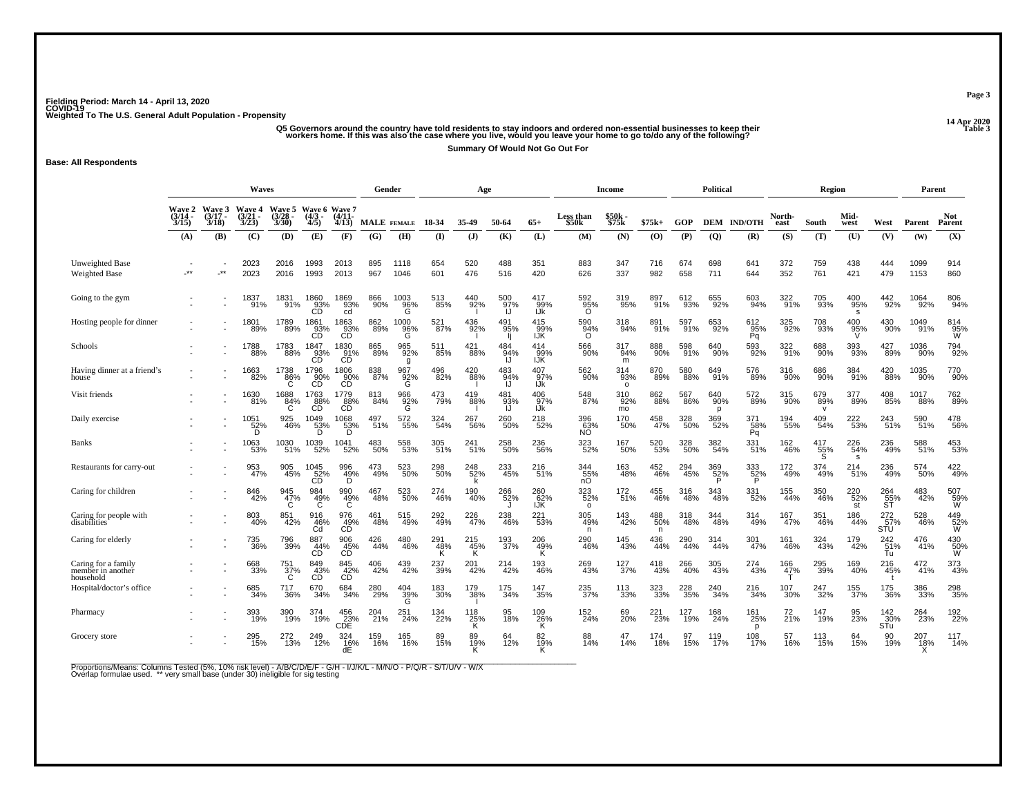# ے۔<br>Q5 Governors around the country have told residents to stay indoors and ordered non-essential businesses to keep their<br>Workers home. If this was also the case where you live, would you leave your home to go to/do any o

**Summary Of Would Not Go Out For**

**Base: All Respondents**

|                                                       | Waves<br>Wave 6 Wave 7             |                         |                                   |                             |                                                            |                                                                                | Gender      |                  |                 | Age                    |                  |                          |                           | Income                |                 |            | <b>Political</b> |                        |                | <b>Region</b>              |                            |                                         | Parent          |                       |
|-------------------------------------------------------|------------------------------------|-------------------------|-----------------------------------|-----------------------------|------------------------------------------------------------|--------------------------------------------------------------------------------|-------------|------------------|-----------------|------------------------|------------------|--------------------------|---------------------------|-----------------------|-----------------|------------|------------------|------------------------|----------------|----------------------------|----------------------------|-----------------------------------------|-----------------|-----------------------|
|                                                       | <b>Wave 2</b><br>$(3/14 -$<br>3/15 | Wave 3<br>(3/17<br>3/18 | Wave 4<br>$\frac{(3/21)}{3/23}$   | Wave 5<br>$(3/28 -$<br>3/30 | $(4/3 -$<br>4/5)                                           | $(4/11 -$<br>4/13                                                              | MALE FEMALE |                  | 18-34           | 35-49                  | 50-64            | $65+$                    | <b>Less than</b><br>\$50k | \$50k -<br>\$75k      | $$75k+$         | GOP        | <b>DEM</b>       | <b>IND/OTH</b>         | North-<br>east | South                      | Mid-<br>west               | West                                    | Parent          | <b>Not</b><br>Parent  |
|                                                       | (A)                                | (B)                     | (C)                               | (D)                         | (E)                                                        | (F)                                                                            | (G)         | (H)              | $\mathbf{I}$    | $($ $)$                | (K)              | (L)                      | (M)                       | (N)                   | $\bf{(0)}$      | (P)        | $\overline{Q}$   | (R)                    | (S)            | (T)                        | (U)                        | (V)                                     | (W)             | (X)                   |
| Unweighted Base<br><b>Weighted Base</b>               | $***$                              | $\star\star$            | 2023<br>2023                      | 2016<br>2016                | 1993<br>1993                                               | 2013<br>2013                                                                   | 895<br>967  | 1118<br>1046     | 654<br>601      | 520<br>476             | 488<br>516       | 351<br>420               | 883<br>626                | 347<br>337            | 716<br>982      | 674<br>658 | 698<br>711       | 641<br>644             | 372<br>352     | 759<br>761                 | 438<br>421                 | 444<br>479                              | 1099<br>1153    | 914<br>860            |
| Going to the gym                                      |                                    |                         | 1837<br>91%                       | 1831<br>91%                 | 1860<br>93%<br>CD                                          | 1869<br>93%<br>cd                                                              | 866<br>90%  | 1003<br>96%<br>G | 513<br>85%      | 440<br>92%             | 500<br>97%<br>IJ | 417<br>99%<br>IJk        | 592<br>95%<br>$\Omega$    | 319<br>95%            | 897<br>91%      | 612<br>93% | 655<br>92%       | 603<br>94%             | 322<br>91%     | 705<br>93%                 | 400<br>95%<br><b>s</b>     | 442<br>92%                              | 1064<br>92%     | 806<br>94%            |
| Hosting people for dinner                             |                                    |                         | 1801<br>89%                       | 1789<br>89%                 | 1861<br>93%<br>ĆĎ                                          | 1863<br>03%<br>CD                                                              | 862<br>89%  | 1000<br>96%<br>Ĝ | 521<br>87%      | 436<br>92%             | 491<br>95%       | 415<br>99%<br><b>IJK</b> | 590<br>94%<br>Ō           | 318<br>94%            | 891%            | 597<br>91% | 653<br>92%       | $^{612}_{95\%}$<br>Pq  | 325<br>92%     | 708<br>93%                 | 400<br>95%                 | 430<br>90%                              | 1049<br>91%     | 814<br>95%<br>W       |
| Schools                                               |                                    |                         | 1788<br>88%                       | 1783<br>88%                 | 1847<br>$\overset{93}{\text{CD}}$                          | 1830<br>CD <sup>91%</sup>                                                      | 865<br>89%  | 965<br>92%<br>g  | 511<br>85%      | 421<br>88%             | 484<br>94%<br>ĨĴ | 414<br>100%              | 566<br>90%                | 317<br>94%<br>m       | 888<br>90%      | 598<br>91% | 640<br>90%       | 593<br>92%             | 322<br>91%     | 688<br>90%                 | 393<br>93%                 | 427<br>89%                              | 1036<br>90%     | 794<br>92%            |
| Having dinner at a friend's<br>house                  |                                    |                         | 1663<br>82%                       | 1738<br>86%                 | 1796<br>90%<br>ĆĎ                                          | 1806<br>$\overset{\sim}{\phantom{00000}}\overset{\sim}{\phantom{000000}}\,$ CD | 838<br>87%  | 967<br>92%<br>G  | 496<br>82%      | 420<br>88%             | 483<br>94%<br>IJ | 407<br>97%<br>IJk        | 562<br>90%                | 314<br>93%<br>$\circ$ | 870<br>89%      | 580<br>88% | 649<br>91%       | 576<br>89%             | 316<br>90%     | 686<br>90%                 | 384<br>91%                 | 420<br>88%                              | 1035<br>90%     | 770<br>90%            |
| Visit friends                                         |                                    |                         | 1630<br>81%                       | 1688<br>84%                 | 1763<br>88%<br>CD                                          | 1779<br>88%<br>CD                                                              | 813<br>84%  | 966<br>92%<br>G  | 473<br>79%      | 419<br>88%             | 481<br>93%<br>U  | 406<br>97%<br>IJk        | 548<br>87%                | $310$<br>92%<br>mo    | 862<br>88%      | 567<br>86% | 640<br>90%<br>D  | 572<br>89%             | 315<br>90%     | 679<br>89%<br>$\mathsf{v}$ | 377<br>89%                 | 408<br>85%                              | 1017<br>88%     | 762<br>89%            |
| Daily exercise                                        |                                    |                         | $\overset{1051}{\substack{52\%}}$ | 925<br>46%                  | 1049<br>53%                                                | $\underset{\begin{array}{c} 1068 \\ 53\% \end{array}}{10}$                     | 497<br>51%  | 572<br>55%       | 324<br>54%      | 267<br>56%             | 260<br>$-50%$    | 218<br>52%               | 396<br>63%<br>NO          | 170<br>50%            | 458<br>47%      | 328<br>50% | 369<br>52%       | 371<br>$\frac{58}{Pq}$ | 194<br>55%     | 409<br>54%                 | 222<br>53%                 | 243<br>51%                              | 590<br>51%      | 478<br>56%            |
| <b>Banks</b>                                          |                                    |                         | 1063<br>53%                       | 1030<br>51%                 | 1039<br>52%                                                | 1041<br>52%                                                                    | 483<br>50%  | 558<br>53%       | 305<br>51%      | 241<br>51%             | 258<br>50%       | 236<br>56%               | 323<br>52%                | 167<br>50%            | 520<br>53%      | 328<br>50% | 382<br>54%       | 331<br>51%             | 162<br>46%     | 417<br>$\frac{11}{55}\%$   | 226<br>54%<br><sub>S</sub> | 236<br>49%                              | 588<br>51%      | 453<br>53%            |
| Restaurants for carry-out                             |                                    |                         | 953<br>47%                        | 905<br>45%                  | $\overset{1045}{\underset{\text{CD}}{\scriptstyle{52\%}}}$ | 996<br>49%<br>D                                                                | 473<br>49%  | 523<br>50%       | 298<br>50%      | 248<br>52%             | 233<br>45%       | 216<br>51%               | 344<br>$\frac{55}{10}$    | 163<br>48%            | 452<br>46%      | 294<br>45% | 369<br>52%       | 333<br>52%<br>P        | 172<br>49%     | 374<br>49%                 | 214<br>51%                 | 236<br>49%                              | 574<br>50%      | 422<br>49%            |
| Caring for children                                   |                                    |                         | 846<br>42%                        | 945<br>47%<br>C             | 984<br>49%<br>C                                            | 990<br>49%<br>C                                                                | 467<br>48%  | 523<br>50%       | 274<br>46%      | 190<br>40%             | 266<br>52%<br>J  | 260<br>62%<br>IJK        | 323<br>52%<br>$\circ$     | 172<br>51%            | 455<br>46%      | 316<br>48% | 343<br>48%       | 331<br>52%             | 155<br>44%     | 350<br>46%                 | 220<br>52%<br>st           | $^{264}_{\substack{55\% \\ \text{ST}}}$ | 483<br>42%      | 507<br>59%<br>W       |
| Caring for people with<br>disabilities                |                                    |                         | 803<br>40%                        | 851<br>42%                  | 916<br>46%<br>Cd                                           | 976<br>$\overset{49}{\text{CD}}$                                               | 461<br>48%  | 515<br>49%       | 292<br>49%      | 226<br>47%             | 238<br>46%       | 221<br>53%               | 305<br>49%<br>n           | 143<br>42%            | 488<br>50%<br>n | 318<br>48% | 344<br>48%       | 314<br>49%             | 167<br>47%     | 351<br>46%                 | 186<br>44%                 | 272<br>$\frac{57}{510}$                 | 528<br>46%      | 449<br>52%<br>W       |
| Caring for elderly                                    |                                    |                         | 735<br>36%                        | 796<br>39%                  | 887<br>44%<br>CD                                           | 906<br>45%<br>CĎ                                                               | 426<br>44%  | 480<br>46%       | 291<br>48%<br>κ | 215<br>$\frac{45}{16}$ | 193<br>37%       | 206<br>49%<br>κ          | 290<br>46%                | 145<br>43%            | 436<br>44%      | 290<br>44% | 314<br>44%       | 301<br>47%             | 161<br>46%     | 324<br>43%                 | 179<br>42%                 | 242<br>51%<br>Tu                        | 476<br>41%      | 430<br>$\frac{50}{W}$ |
| Caring for a family<br>member in another<br>household |                                    |                         | 668<br>33%                        | 751 <sub>%</sub><br>C       | 849<br>43%<br>CĎ                                           | 845<br>42%<br>СĎ                                                               | 406<br>42%  | 439<br>42%       | 237<br>39%      | 201<br>42%             | 214<br>42%       | 193<br>46%               | 269<br>43%                | $^{127}_{37\%}$       | 418<br>43%      | 266<br>40% | 305<br>43%       | 274<br>43%             | 166<br>47%     | 295<br>39%                 | 169<br>40%                 | 216<br>45%                              | $^{472}_{41\%}$ | 373%                  |
| Hospital/doctor's office                              |                                    |                         | 685<br>34%                        | 717<br>36%                  | 670<br>34%                                                 | 684<br>34%                                                                     | 280<br>29%  | $^{404}_{39\%}$  | 183<br>30%      | 179<br>38%             | 175<br>34%       | 147<br>35%               | 235<br>37%                | 113<br>33%            | 323<br>33%      | 228<br>35% | 240<br>34%       | 216<br>34%             | 107<br>30%     | 247<br>32%                 | 155<br>37%                 | 175<br>36%                              | 386<br>33%      | 298<br>35%            |
| Pharmacy                                              |                                    |                         | 393<br>19%                        | 390<br>19%                  | 374<br>19%                                                 | $^{456}_{23\%}$ CDE                                                            | 204<br>21%  | 251<br>24%       | 134<br>22%      | 118<br>25%<br>Κ        | 95<br>18%        | 109<br>26%<br>Κ          | 152<br>24%                | 69<br>20%             | 221<br>23%      | 127<br>19% | 168<br>24%       | 161<br>25%<br>p        | 72<br>21%      | 147<br>19%                 | 95<br>23%                  | 142<br>30%<br><b>STu</b>                | 264<br>23%      | 192<br>22%            |
| Grocery store                                         |                                    |                         | 295<br>15%                        | 272<br>13%                  | 249<br>12%                                                 | 324<br>16%<br>dE                                                               | 159<br>16%  | 165<br>16%       | 89<br>15%       | 89<br>19%              | 12%              | 82<br>19%                | 88<br>14%                 | 47<br>14%             | 174<br>18%      | 97<br>15%  | 119<br>17%       | 108<br>17%             | 57<br>16%      | 113<br>15%                 | 64<br>15%                  | 90<br>19%                               | 207<br>18%      | 117<br>14%            |

Proportions/Means: Columns Tested (5%, 10% risk level) - A/B/C/D/E/F - G/H - I/J/K/L - M/N/O - P/Q/R - S/T/U/V - W/X<br>Overlap formulae used. \*\* very small base (under 30) ineligible for sig testing

**Page 3**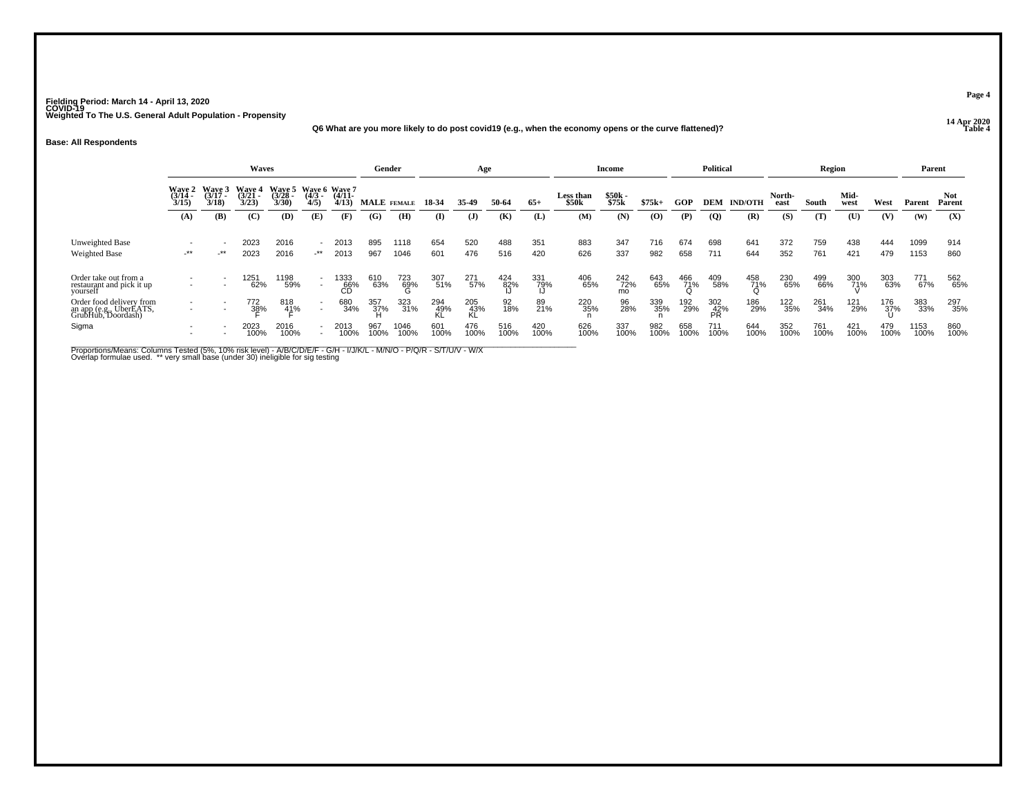### **14 Apr 2020 Q6 What are you more likely to do post covid19 (e.g., when the economy opens or the curve flattened)?**

#### **Base: All Respondents**

|                                                                           |                                        |                           | Waves                   |                                                        |                                                      |                   |             | Gender          |             | Age              |             |             |                           | Income            |             |             | <b>Political</b> |                |                | Region      |              |             | Parent       |                      |
|---------------------------------------------------------------------------|----------------------------------------|---------------------------|-------------------------|--------------------------------------------------------|------------------------------------------------------|-------------------|-------------|-----------------|-------------|------------------|-------------|-------------|---------------------------|-------------------|-------------|-------------|------------------|----------------|----------------|-------------|--------------|-------------|--------------|----------------------|
|                                                                           | <b>Wave 2</b><br>$\frac{(3714)}{3/15}$ | Wave 3<br>(3/17 -<br>3/18 | Waye 4<br>(3/21<br>3/23 | Wave 5 Wave 6 Wave 7<br>(3/28 - (4/3 - (4/11 -<br>3/30 | 4/5                                                  | 4/13              | MALE FEMALE |                 | 18-34       | 35.49            | 50-64       | $65+$       | <b>Less than</b><br>\$50k | $$50k -$<br>\$75k | $$75k+$     | GOP         | DEM              | <b>IND/OTH</b> | North-<br>east | South       | Mid-<br>west | West        | Parent       | <b>Not</b><br>Parent |
|                                                                           | (A)                                    | (B)                       | (C)                     | (D)                                                    | (E)                                                  | (F)               | (G)         | (H)             | (I)         | $\mathbf{J}$     | (K)         | (L)         | (M)                       | (N)               | $\bf{(0)}$  | (P)         | $\overline{Q}$   | (R)            | (S)            | (T)         | (U)          | (V)         | (W)          | (X)                  |
| <b>Unweighted Base</b><br>Weighted Base                                   | $\overline{\phantom{a}}$<br>$-***$     | _**                       | 2023<br>2023            | 2016<br>2016                                           | $\sim$<br>_**                                        | 2013<br>2013      | 895<br>967  | 1118<br>1046    | 654<br>601  | 520<br>476       | 488<br>516  | 351<br>420  | 883<br>626                | 347<br>337        | 716<br>982  | 674<br>658  | 698<br>711       | 641<br>644     | 372<br>352     | 759<br>761  | 438<br>421   | 444<br>479  | 1099<br>1153 | 914<br>860           |
| Order take out from a<br>restaurant and pick it up<br>vourself            | $\overline{\phantom{a}}$<br>۰          | ٠                         | 1251<br>62%             | 1198<br>59%                                            | $\overline{\phantom{a}}$<br>$\overline{\phantom{a}}$ | 1333<br>66%<br>ĆĎ | 610<br>63%  | 723<br>69%<br>G | 307<br>51%  | 271<br>57%       | 424<br>82%  | 331<br>79%  | 406<br>65%                | 242<br>72%<br>mo  | 643<br>65%  | 466<br>71%  | 409<br>58%       | 458<br>71%     | 230<br>65%     | 499<br>66%  | 300<br>71%   | 303<br>63%  | 771<br>67%   | 562<br>65%           |
| Order food delivery from<br>an app (e.g., UberEATS,<br>GrubHub, Doordash) | $\overline{\phantom{a}}$<br>۰          | ٠<br>٠                    | 772<br>38%              | 818<br>41%                                             | $\overline{\phantom{a}}$                             | 680<br>34%        | 357<br>37%  | 323<br>31%      | 294<br>49%  | 205<br>43%<br>KĹ | 92<br>18%   | 89<br>21%   | 220<br>35%                | 96<br>28%         | 339<br>35%  | 192<br>29%  | 302<br>42%<br>PR | 186<br>29%     | 122<br>35%     | 261<br>34%  | 121<br>29%   | 176<br>37%  | 383<br>33%   | 297<br>35%           |
| Sigma                                                                     | $\overline{\phantom{a}}$<br>۰          | ٠                         | 2023<br>100%            | 2016<br>100%                                           | $\overline{\phantom{a}}$                             | 2013<br>100%      | 967<br>100% | 1046<br>100%    | 601<br>100% | 476<br>100%      | 516<br>100% | 420<br>100% | 626<br>100%               | 337<br>100%       | 982<br>100% | 658<br>100% | 711<br>100%      | 644<br>100%    | 352<br>100%    | 761<br>100% | 421<br>100%  | 479<br>100% | 1153<br>100% | 860<br>100%          |

Proportions/Means: Columns Tested (5%, 10% risk level) - A/B/C/D/E/F - G/H - I/J/K/L - M/N/O - P/Q/R - S/T/U/V - W/X<br>Overlap formulae used. \*\* very small base (under 30) ineligible for sig testing

**Page 4**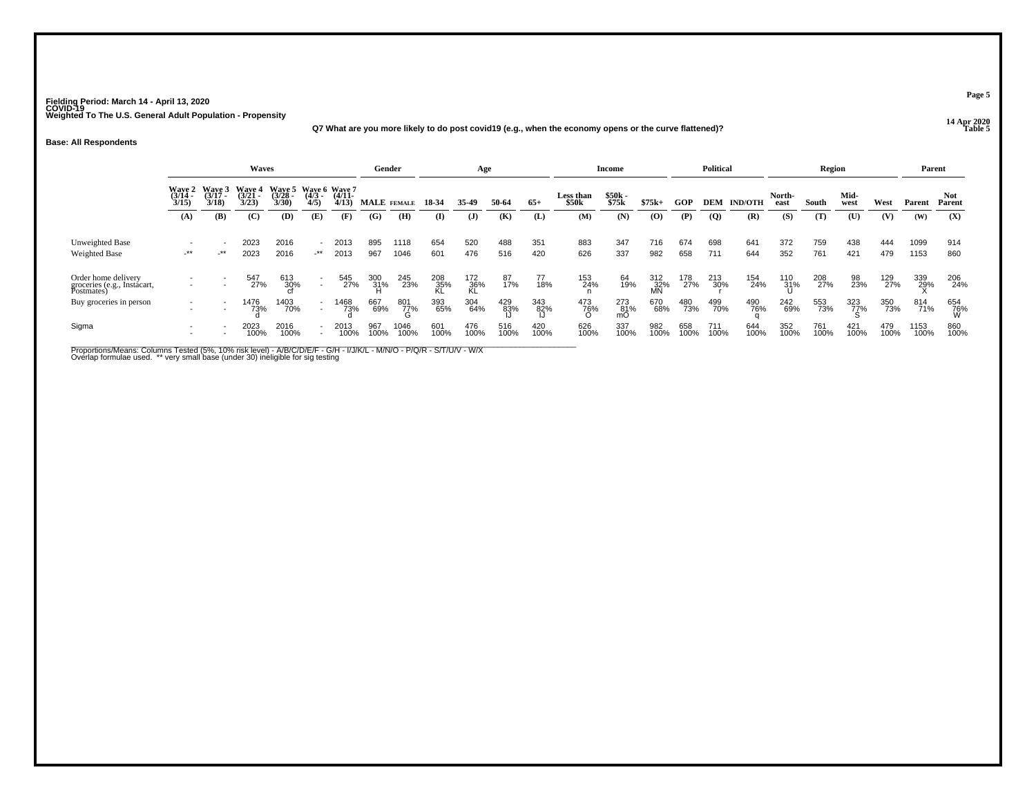### **14 Apr 2020 Q7 What are you more likely to do post covid19 (e.g., when the economy opens or the curve flattened)?**

#### **Base: All Respondents**

|                                                                  |                                        |                         | Waves                           |                         |                                                      |                   | Gender             |              |             | Age              |                 |             |                                | Income           |                         |             | <b>Political</b> |                |                | Region      |              |             |              | Parent               |
|------------------------------------------------------------------|----------------------------------------|-------------------------|---------------------------------|-------------------------|------------------------------------------------------|-------------------|--------------------|--------------|-------------|------------------|-----------------|-------------|--------------------------------|------------------|-------------------------|-------------|------------------|----------------|----------------|-------------|--------------|-------------|--------------|----------------------|
|                                                                  | <b>Wave 2</b><br>$\frac{(3/14)}{3/15}$ | Wave 3<br>(3/17<br>3/18 | <b>Wave 4</b><br>(3/21)<br>3/23 | Waye 5<br>(3/28<br>3/30 | Wave 6 Wave 7<br>$\frac{(4/3)}{4/5}$                 | $(4/11 -$<br>4/13 | <b>MALE</b> FEMALE |              | 18-34       | 35.49            | 50-64           | $65+$       | Less than<br>\$50 <sub>k</sub> | \$50k<br>\$75k   | $$75k+$                 | GOP         | <b>DEM</b>       | <b>IND/OTH</b> | North-<br>east | South       | Mid-<br>west | West        | Parent       | <b>Not</b><br>Parent |
|                                                                  | (A)                                    | (B)                     | $\mathbf C$                     | (D)                     | (E)                                                  | (F)               | (G)                | (H)          | (I)         | ( <b>J</b> )     | (K)             | (L)         | (M)                            | (N)              | (0)                     | (P)         | $\overline{Q}$   | (R)            | (S)            | (T)         | (U)          | (V)         | (W)          | (X)                  |
| Unweighted Base<br>Weighted Base                                 | $-***$                                 | $+$ **                  | 2023<br>2023                    | 2016<br>2016            | $\sim$<br>_**                                        | 2013<br>2013      | 895<br>967         | 1118<br>1046 | 654<br>601  | 520<br>476       | 488<br>516      | 351<br>420  | 883<br>626                     | 347<br>337       | 716<br>982              | 674<br>658  | 698<br>711       | 641<br>644     | 372<br>352     | 759<br>761  | 438<br>421   | 444<br>479  | 1099<br>1153 | 914<br>860           |
| Order home delivery<br>groceries (e.g., Instacart,<br>Postmates) |                                        |                         | 547<br>27%                      | 613<br>30%              | $\overline{\phantom{a}}$                             | 545<br>27%        | 300<br>31%         | 245<br>23%   | 208<br>35%  | 172<br>36%<br>KL | 87<br>17%       | 77<br>18%   | 153<br>24%                     | 64<br>19%        | 312<br>32%<br><b>MN</b> | 178<br>27%  | 213<br>30%       | 154<br>24%     | 110<br>31%     | 208<br>27%  | 98<br>23%    | 129<br>27%  | 339<br>29%   | 206<br>24%           |
| Buy groceries in person                                          | $\overline{\phantom{a}}$               |                         | 1476<br>73%                     | 1403<br>70%             | $\overline{\phantom{a}}$<br>$\overline{\phantom{a}}$ | 1468<br>73%       | 667<br>69%         | 801<br>77%   | 393<br>65%  | 304<br>64%       | $^{429}_{83\%}$ | 343<br>82%  | 473<br>76%                     | 273<br>81%<br>mО | 670<br>68%              | 480<br>73%  | 499<br>70%       | 490<br>76%     | 242<br>69%     | 553<br>73%  | 323<br>77%   | 350<br>73%  | 814<br>71%   | 654<br>76%<br>W      |
| Sigma                                                            | $\overline{\phantom{a}}$               |                         | 2023<br>100%                    | 2016<br>100%            | $\overline{\phantom{a}}$                             | 2013<br>100%      | 967<br>100%        | 1046<br>100% | 601<br>100% | 476<br>100%      | 516<br>100%     | 420<br>100% | 626<br>100%                    | 337<br>100%      | 982<br>100%             | 658<br>100% | 711<br>100%      | 644<br>100%    | 352<br>100%    | 761<br>100% | 421<br>100%  | 479<br>100% | 1153<br>100% | 860<br>100%          |

Proportions/Means: Columns Tested (5%, 10% risk level) - A/B/C/D/E/F - G/H - I/J/K/L - M/N/O - P/Q/R - S/T/U/V - W/X<br>Overlap formulae used. \*\* very small base (under 30) ineligible for sig testing

**Page 5**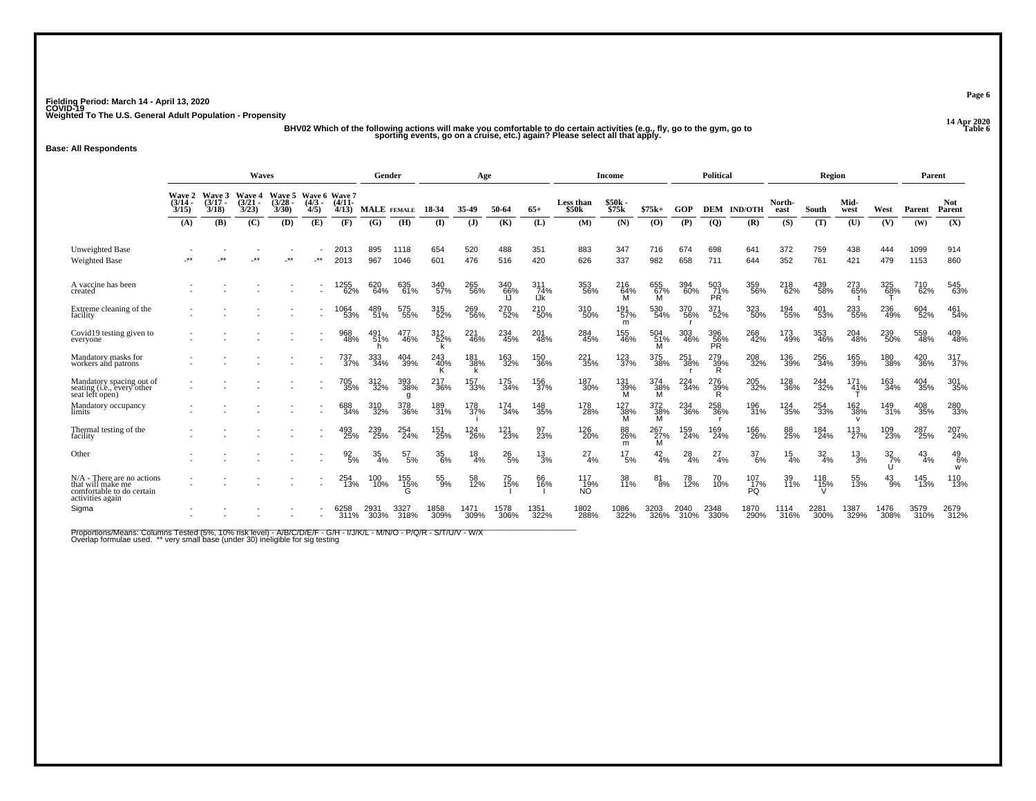y of the following actions will make you comfortable to do certain activities (e.g., fly, go to the gym, go to<br>BHV02 Which of the following actions will make you comfortable to do certain activities (e.g., fly, go to the g

#### **Base: All Respondents**

|                                                                                                  | Waves                       |                             |                                |                                 |                                 |                   | Gender       |                  |              | Age                           |                               |                   |                           | <b>Income</b>   |                 |              | Political               |                    |                 | Region           |              |                            | Parent        |                      |
|--------------------------------------------------------------------------------------------------|-----------------------------|-----------------------------|--------------------------------|---------------------------------|---------------------------------|-------------------|--------------|------------------|--------------|-------------------------------|-------------------------------|-------------------|---------------------------|-----------------|-----------------|--------------|-------------------------|--------------------|-----------------|------------------|--------------|----------------------------|---------------|----------------------|
|                                                                                                  | Wave 2<br>$(3/14 -$<br>3/15 | Wave 3<br>$(3/17 -$<br>3/18 | <b>Wave 4</b><br>(3/21<br>3/23 | <b>Wave 5</b><br>(3/28)<br>3/30 | Wave 6 Wave 7<br>(4/3 -<br>4/5) | $(4/11 -$<br>4/13 | MALE FEMALE  |                  | 18-34        | 35-49                         | 50-64                         | $65+$             | <b>Less than</b><br>\$50k | \$50k<br>\$75k  | $$75k+$         | GOP          |                         | <b>DEM IND/OTH</b> | North-<br>east  | South            | Mid-<br>west | West                       | Parent        | <b>Not</b><br>Parent |
|                                                                                                  | (A)                         | (B)                         | (C)                            | (D)                             | (E)                             | (F)               | (G)          | (H)              | $($ I        | ( <b>J</b> )                  | (K)                           | (L)               | (M)                       | (N)             | (0)             | (P)          | $\overline{Q}$          | (R)                | (S)             | (T)              | (U)          | (V)                        | (W)           | (X)                  |
| Unweighted Base<br><b>Weighted Base</b>                                                          | **                          | $^{\star}$                  | $***$                          | $***$                           | $\cdot^{\star\star}$            | 2013<br>2013      | 895<br>967   | 1118<br>1046     | 654<br>601   | 520<br>476                    | 488<br>516                    | 351<br>420        | 883<br>626                | 347<br>337      | 716<br>982      | 674<br>658   | 698<br>711              | 641<br>644         | 372<br>352      | 759<br>761       | 438<br>421   | 444<br>479                 | 1099<br>1153  | 914<br>860           |
| A vaccine has been<br>created                                                                    |                             |                             |                                |                                 |                                 | 1255<br>62%       | 620<br>64%   | 635<br>61%       | 340<br>57%   | 265<br>56%                    | 340<br>66%<br>IJ              | 311<br>74%<br>IJk | 353<br>56%                | 216<br>64%<br>M | 655<br>67%<br>м | 394<br>60%   | 503<br>71%<br><b>PR</b> | 359<br>56%         | 218<br>62%      | 439<br>58%       | 273<br>65%   | 325<br>6 <u>8</u> %        | 710<br>62%    | 545<br>63%           |
| Extreme cleaning of the<br>facility                                                              |                             |                             |                                |                                 |                                 | 1064<br>53%       | 489<br>51%   | 575<br>55%       | 315<br>52%   | 269<br>56%                    | 270<br>52%                    | 210<br>50%        | 310<br>50%                | 191<br>57%<br>m | 530<br>54%      | 370<br>56%   | 371<br>52%              | 323<br>50%         | 194<br>55%      | 401<br>53%       | 233<br>55%   | 236<br>49%                 | 604<br>52%    | 461<br>54%           |
| Covid19 testing given to<br>everyone                                                             |                             |                             |                                |                                 |                                 | 968<br>48%        | 491<br>51%   | 477<br>46%       | 312<br>52%   | 221<br>46%                    | 234<br>45%                    | 201<br>48%        | 284<br>45%                | 155<br>46%      | 504<br>51%<br>м | 303<br>46%   | 396<br>56%<br>PR        | 268<br>42%         | 173<br>49%      | 353<br>46%       | 204<br>48%   | 239<br>50%                 | 559<br>48%    | 409<br>48%           |
| Mandatory masks for<br>workers and patrons                                                       |                             |                             |                                |                                 |                                 | 737<br>37%        | 333<br>34%   | 404<br>39%       | 243<br>40%   | 181<br>38%                    | 163<br>32%                    | 150<br>36%        | 221<br>35%                | 123<br>37%      | 375<br>38%      | 251<br>38%   | 279<br>39%<br>R         | 208<br>32%         | 136<br>39%      | 256<br>34%       | 165<br>39%   | 180<br>38%                 | 420<br>36%    | 317<br>37%           |
| Mandatory spacing out of<br>seating (i.e., every other<br>seat left open)                        |                             |                             |                                |                                 |                                 | 705<br>35%        | 312<br>32%   | 393<br>38%<br>g  | 217<br>36%   | 157<br>33%                    | 175<br>34%                    | 156<br>37%        | 187<br>30%                | 131<br>39%<br>м | 374<br>38%<br>М | 224<br>34%   | 276<br>39%<br>R         | 205<br>32%         | 128<br>36%      | 244<br>32%       | 171<br>41%   | 163<br>34%                 | 404<br>35%    | 301<br>35%           |
| Mandatory occupancy<br>limits                                                                    |                             |                             |                                |                                 |                                 | 688<br>34%        | 310<br>32%   | 378<br>36%       | 189<br>31%   | 178<br>37%                    | 174<br>34%                    | 148<br>35%        | 178<br>28%                | 127<br>38%<br>м | 372<br>38%<br>M | 234<br>36%   | 258<br>36%              | 196<br>31%         | 124<br>35%      | 254<br>33%       | 162<br>38%   | 149<br>31%                 | 408<br>35%    | 280<br>33%           |
| Thermal testing of the<br>facility                                                               |                             |                             |                                |                                 |                                 | 493<br>25%        | 239<br>25%   | 254 <sub>%</sub> | 151<br>25%   | <sup>124</sup> <sub>26%</sub> | <sup>121</sup> <sub>23%</sub> | 97<br>23%         | 126<br>20%                | 88<br>26%<br>m  | 267<br>27%<br>м | 159<br>24%   | 169<br>24%              | 166<br>26%         | 88<br>25%       | 184<br>24%       | 113<br>27%   | 109<br>23%                 | 287<br>25%    | 207<br>24%           |
| Other                                                                                            |                             |                             |                                |                                 |                                 | $\frac{92}{5\%}$  | 35<br>4%     | 57<br>5%         | 35<br>6%     | 18<br>4%                      | $^{26}_{5\%}$                 | 13<br>3%          | 27<br>4%                  | 17<br>5%        | $\frac{42}{4%}$ | 28<br>4%     | 27<br>4%                | $\frac{37}{6\%}$   | $\frac{15}{4%}$ | $\frac{32}{4\%}$ | 13<br>3%     | $\frac{32}{7}\%$<br>$\cup$ | $^{43}_{4\%}$ | $^{49}_{6\%}$<br>W   |
| N/A - There are no actions<br>that will make me<br>comfortable to do certain<br>activities again |                             |                             |                                |                                 | $\sim$                          | 254<br>13%        | 100<br>10%   | 155<br>15%       | 55<br>9%     | 58<br>12%                     | 75<br>15%                     | 66<br>16%         | 117<br>19%<br>NÓ.         | 38<br>11%       | 81<br>8%        | 78<br>12%    | 70<br>10%               | 107<br>17%<br>PO   | 39<br>11%       | 118<br>15%       | 55<br>13%    | $^{43}_{9\%}$              | 145<br>13%    | 110<br>13%           |
| Sigma                                                                                            |                             |                             |                                |                                 |                                 | 6258<br>311%      | 2931<br>303% | 3327<br>318%     | 1858<br>309% | 1471<br>309%                  | 1578<br>306%                  | 1351<br>322%      | 1802<br>288%              | 1086<br>322%    | 3203<br>326%    | 2040<br>310% | 2348<br>330%            | 1870<br>290%       | 1114<br>316%    | 2281<br>300%     | 1387<br>329% | 1476<br>308%               | 3579<br>310%  | 2679<br>312%         |

Proportions/Means: Columns Tested (5%, 10% risk level) - A/B/C/D/E/F - G/H - I/J/K/L - M/N/O - P/Q/R - S/T/U/V - W/X<br>Overlap formulae used. \*\* very small base (under 30) ineligible for sig testing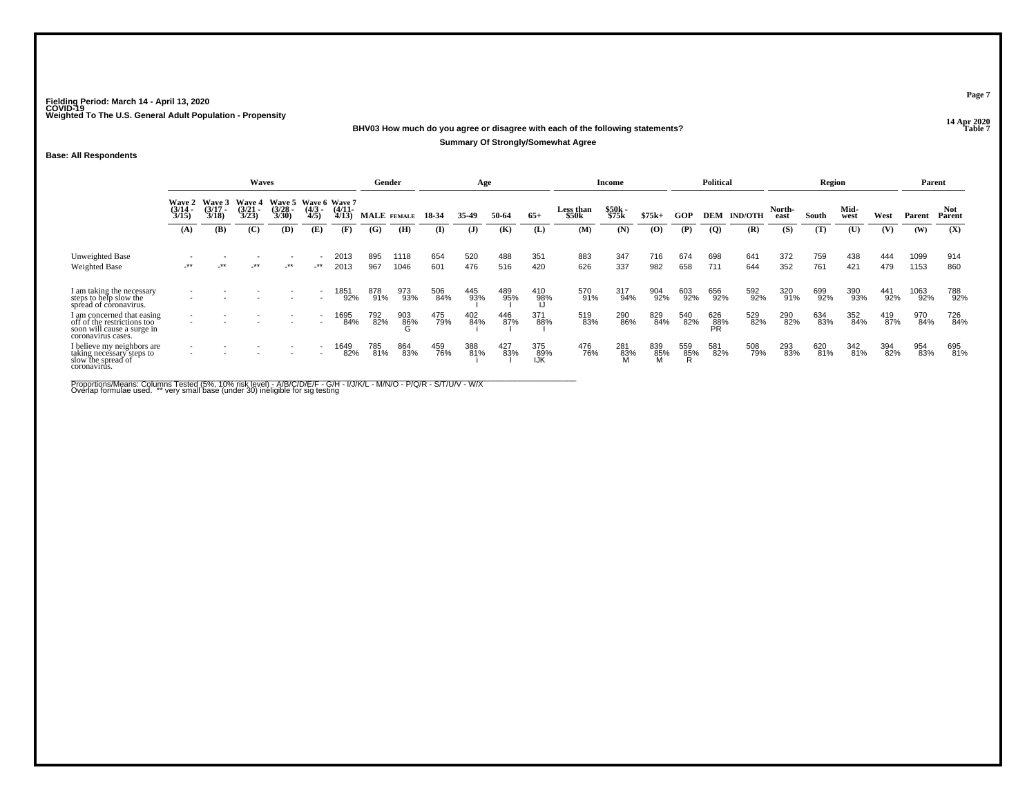**14 Apr 2020 BHV03 How much do you agree or disagree with each of the following statements?**

### **Summary Of Strongly/Somewhat Agree**

### **Base: All Respondents**

|                                                                                                               |                          |                                        | Waves                           |                                               |                     |                   | Gender                    |              |            | Age          |              |                    |                           | Income         |            |            | <b>Political</b> |                |                | Region       |              |            | Parent       |                       |
|---------------------------------------------------------------------------------------------------------------|--------------------------|----------------------------------------|---------------------------------|-----------------------------------------------|---------------------|-------------------|---------------------------|--------------|------------|--------------|--------------|--------------------|---------------------------|----------------|------------|------------|------------------|----------------|----------------|--------------|--------------|------------|--------------|-----------------------|
|                                                                                                               | $\frac{(3/14)}{3/15}$    | Wave 2 Wave 3<br>$\frac{(3/17)}{3/18}$ | Wave 4<br>$\frac{(3/21)}{3/23}$ | Wave 5 Wave 6 Wave 7<br>$\frac{(3/28)}{3/30}$ | $\frac{(4/3)}{4/5}$ | $(4/11 -$<br>4/13 | <b>MALE</b> FEMALE<br>(G) | (H)          | 18-34      | 35.49        | 50-64<br>(K) | $65+$              | <b>Less than</b><br>\$50k | \$50k<br>\$75k | $$75k+$    | GOP        | <b>DEM</b>       | <b>IND/OTH</b> | North-<br>east | South<br>(T) | Mid-<br>west | West       | Parent       | Not.<br>Parent<br>(X) |
|                                                                                                               | (A)                      | (B)                                    | (C)                             | (D)                                           | (E)                 | (F)               |                           |              | (I)        | $\mathbf{J}$ |              | (L)                | (M)                       | (N)            | (O)        | (P)        | $\overline{Q}$   | (R)            | (S)            |              | (U)          | (V)        | (W)          |                       |
| Unweighted Base<br><b>Weighted Base</b>                                                                       | $-***$                   | $-***$                                 | $-***$                          | _**                                           | -**                 | 2013<br>2013      | 895<br>967                | 1118<br>1046 | 654<br>601 | 520<br>476   | 488<br>516   | 351<br>420         | 883<br>626                | 347<br>337     | 716<br>982 | 674<br>658 | 698<br>711       | 641<br>644     | 372<br>352     | 759<br>761   | 438<br>421   | 444<br>479 | 1099<br>1153 | 914<br>860            |
| I am taking the necessary<br>steps to help slow the<br>spread of coronavirus.                                 |                          |                                        |                                 |                                               |                     | 1851<br>92%       | 878<br>91%                | 973<br>93%   | 506<br>84% | 445<br>93%   | 489<br>95%   | 410<br>98%         | 570<br>91%                | 317<br>94%     | 904<br>92% | 603<br>92% | 656<br>92%       | 592<br>92%     | 320<br>91%     | 699<br>92%   | 390<br>93%   | 441<br>92% | 1063<br>92%  | 788<br>92%            |
| I am concerned that easing<br>off of the restrictions too<br>soon will cause a surge in<br>coronavirus cases. | $\overline{\phantom{a}}$ |                                        |                                 |                                               |                     | 1695<br>84%       | 792<br>82%                | 903<br>86%   | 475<br>79% | 402<br>84%   | 446<br>87%   | 371<br>88%         | 519<br>83%                | 290<br>86%     | 829<br>84% | 540<br>82% | 626<br>88%<br>PR | 529<br>82%     | 290<br>82%     | 634<br>83%   | 352<br>84%   | 419<br>87% | 970<br>84%   | 726<br>84%            |
| I believe my neighbors are<br>taking necessary steps to<br>slow the spread of<br>coronavirus.                 | $\overline{\phantom{a}}$ |                                        |                                 | $\overline{\phantom{a}}$                      |                     | 1649<br>82%       | 785<br>81%                | 864<br>83%   | 459<br>76% | 388<br>81%   | 427<br>83%   | 375<br>-89%<br>IJK | 476<br>76%                | 281<br>83%     | 839<br>85% | 559<br>85% | 581<br>82%       | 508<br>79%     | 293<br>83%     | 620<br>81%   | 342<br>81%   | 394<br>82% | 954<br>83%   | 695<br>81%            |

Proportions/Means: Columns Tested (5%, 10% risk level) - A/B/C/D/E/F - G/H - I/J/K/L - M/N/O - P/Q/R - S/T/U/V - W/X<br>Overlap formulae used. \*\* very small base (under 30) ineligible for sig testing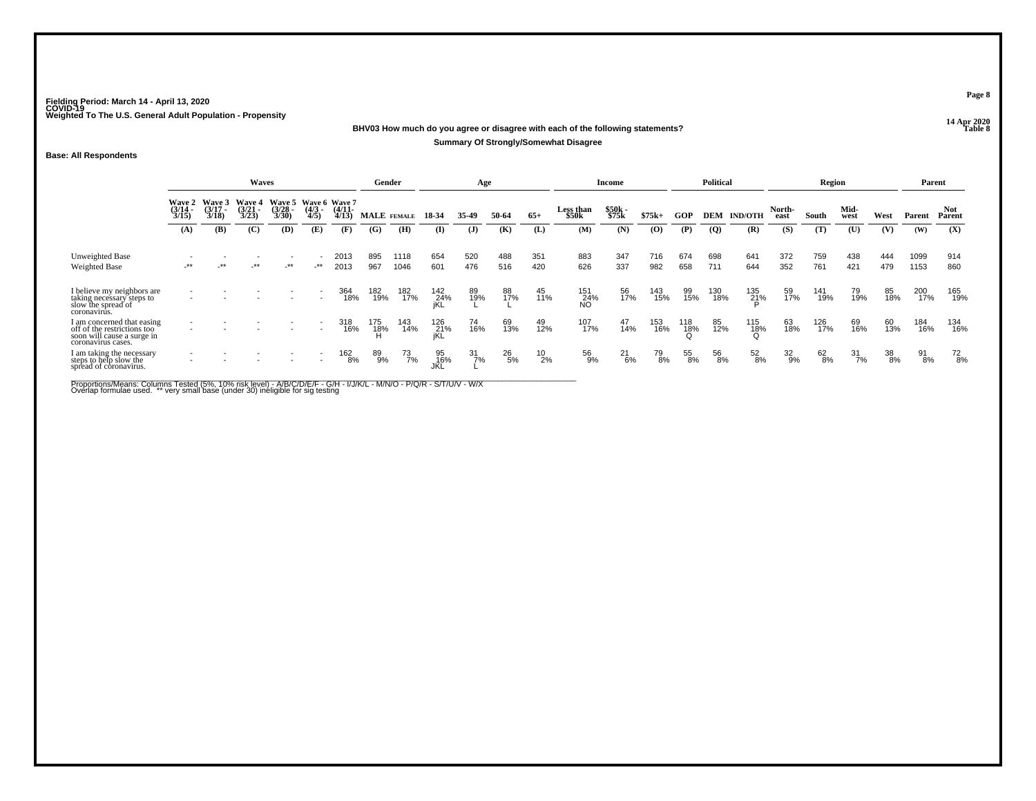### **14 Apr 2020 BHV03 How much do you agree or disagree with each of the following statements?Summary Of Strongly/Somewhat Disagree**

### **Base: All Respondents**

|                                                                                                               |                                        |                                        | Waves                                  |                                               |                     |                       | Gender      |              |                   | Age              |               |            |                    | Income         |            |            | <b>Political</b> |                |                  | Region       |                  |            |              | Parent               |
|---------------------------------------------------------------------------------------------------------------|----------------------------------------|----------------------------------------|----------------------------------------|-----------------------------------------------|---------------------|-----------------------|-------------|--------------|-------------------|------------------|---------------|------------|--------------------|----------------|------------|------------|------------------|----------------|------------------|--------------|------------------|------------|--------------|----------------------|
|                                                                                                               | <b>Wave 2</b><br>$\frac{(3/14)}{3/15}$ | <b>Wave 3</b><br>$\frac{(3/17)}{3/18}$ | <b>Wave 4</b><br>$\frac{(3/21)}{3/23}$ | Wave 5 Wave 6 Wave 7<br>$\frac{(3/28)}{3/30}$ | $\frac{(4/3)}{4/5}$ | $\frac{(4/11)}{4/13}$ | MALE FEMALE |              | 18-34             | 35-49            | 50-64         | $65+$      | Less than<br>\$50k | \$50k<br>\$75k | $$75k+$    | <b>GOP</b> | DEM              | <b>IND/OTH</b> | North-<br>east   | South        | Mid-<br>west     | West       | Parent       | <b>Not</b><br>Parent |
|                                                                                                               | (A)                                    | (B)                                    | (C)                                    | (D)                                           | (E)                 | (F)                   | (G)         | (H)          | $\bf{I}$          | $\mathbf{J}$     | (K)           | (L)        | (M)                | (N)            | $\bf{(0)}$ | (P)        | $\overline{Q}$   | (R)            | (S)              | (T)          | (U)              | (V)        | (W)          | (X)                  |
| Unweighted Base<br><b>Weighted Base</b>                                                                       | $-***$                                 | $-***$                                 | $-***$                                 | _**                                           | _**                 | 2013<br>2013          | 895<br>967  | 1118<br>1046 | 654<br>601        | 520<br>476       | 488<br>516    | 351<br>420 | 883<br>626         | 347<br>337     | 716<br>982 | 674<br>658 | 698<br>711       | 641<br>644     | 372<br>352       | 759<br>761   | 438<br>421       | 444<br>479 | 1099<br>1153 | 914<br>860           |
| I believe my neighbors are<br>taking necessary steps to<br>slow the spread of<br>coronavirus.                 |                                        |                                        |                                        |                                               |                     | 364<br>18%            | 182<br>19%  | 182<br>17%   | 142<br>24%<br>jKL | 89<br>19%        | 88<br>17%     | 45<br>11%  | 151<br>-24%<br>NO  | 56<br>17%      | 143<br>15% | 99<br>15%  | 130<br>18%       | 135<br>21%     | 59<br>17%        | 141<br>19%   | 79<br>19%        | 85<br>18%  | 200<br>17%   | 165<br>19%           |
| I am concerned that easing<br>off of the restrictions too<br>soon will cause a surge in<br>coronavirus cases. |                                        |                                        |                                        |                                               |                     | 318<br>16%            | 175<br>18%  | 143<br>14%   | 126<br>21%<br>iKL | 74<br>16%        | 69<br>13%     | 49<br>12%  | 107<br>17%         | 47<br>14%      | 153<br>16% | 118<br>18% | 85<br>12%        | 115<br>18%     | 63<br>18%        | 126<br>17%   | 69<br>16%        | 60<br>13%  | 184<br>16%   | 134<br>16%           |
| I am taking the necessary<br>steps to help slow the<br>spread of coronavirus.                                 | $\overline{\phantom{0}}$               |                                        |                                        |                                               |                     | 162<br>8%             | 89%         | 73<br>7%     | 95<br>16%         | $\frac{31}{7}\%$ | $^{26}_{5\%}$ | 10<br>2%   | 56<br>9%           | $^{21}_{6\%}$  | 79<br>8%   | 55<br>8%   | 56<br>8%         | $^{52}_{8\%}$  | $\frac{32}{9\%}$ | $62\atop8\%$ | $\frac{31}{7\%}$ | 38<br>8%   | 91<br>8%     | $^{72}_{8\%}$        |

Proportions/Means: Columns Tested (5%, 10% risk level) - A/B/C/D/E/F - G/H - I/J/K/L - M/N/O - P/Q/R - S/T/U/V - W/X<br>Overlap formulae used. \*\* very small base (under 30) ineligible for sig testing

**Page 8**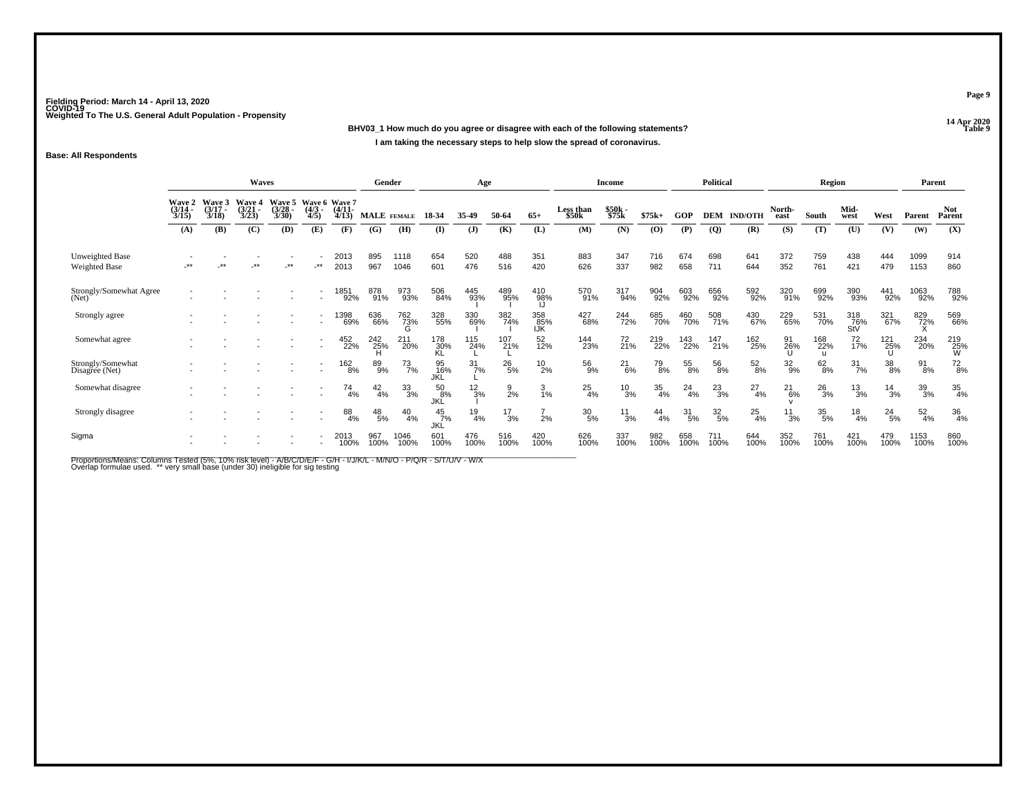**14 Apr 2020 BHV03\_1 How much do you agree or disagree with each of the following statements?I am taking the necessary steps to help slow the spread of coronavirus.**

### **Base: All Respondents**

|                                         |                                        |                                 | Waves                           |                                              |                          |                       | Gender             |                  |                             | Age              |                 |                   |                    | <b>Income</b>   |                  |               | <b>Political</b> |                |                 | Region                     |                   |                 | Parent           |                      |
|-----------------------------------------|----------------------------------------|---------------------------------|---------------------------------|----------------------------------------------|--------------------------|-----------------------|--------------------|------------------|-----------------------------|------------------|-----------------|-------------------|--------------------|-----------------|------------------|---------------|------------------|----------------|-----------------|----------------------------|-------------------|-----------------|------------------|----------------------|
|                                         | <b>Wave 2</b><br>$\frac{(3/14)}{3/15}$ | Wave 3<br>$\frac{(3/17)}{3/18}$ | Wave 4<br>$\frac{(3/21)}{3/23}$ | Wave 5 Wave 6 Wave 7<br>$\binom{3/28}{3/30}$ | $\frac{(4/3)}{4/5}$      | $\frac{(4/11)}{4/13}$ | <b>MALE</b> FEMALE |                  | 18-34                       | 35-49            | 50-64           | $65+$             | Less than<br>\$50k | \$50k<br>\$75k  | $$75k+$          | GOP           | <b>DEM</b>       | <b>IND/OTH</b> | North-<br>east  | South                      | Mid-<br>west      | West            | Parent           | <b>Not</b><br>Parent |
|                                         | (A)                                    | (B)                             | (C)                             | (D)                                          | (E)                      | (F)                   | (G)                | (H)              | (I)                         | $\mathbf{J}$     | (K)             | (L)               | (M)                | (N)             | (O)              | (P)           | $\overline{Q}$   | (R)            | (S)             | (T)                        | (U)               | (V)             | (W)              | (X)                  |
| Unweighted Base<br><b>Weighted Base</b> | $***$                                  | $***$                           | .∗∗                             | -**                                          | $***$                    | 2013<br>2013          | 895<br>967         | 1118<br>1046     | 654<br>601                  | 520<br>476       | 488<br>516      | 351<br>420        | 883<br>626         | 347<br>337      | 716<br>982       | 674<br>658    | 698<br>711       | 641<br>644     | 372<br>352      | 759<br>761                 | 438<br>421        | 444<br>479      | 1099<br>1153     | 914<br>860           |
| Strongly/Somewhat Agree<br>(Net)        |                                        |                                 |                                 |                                              |                          | 1851<br>92%           | 878<br>91%         | 973<br>93%       | 506<br>84%                  | 445<br>93%       | 489<br>95%      | 410<br>98%        | 570<br>91%         | 317<br>94%      | 904<br>92%       | 603<br>92%    | 656<br>92%       | 592<br>92%     | 320<br>91%      | 699<br>92%                 | 390<br>93%        | 441<br>92%      | 1063<br>92%      | 788<br>92%           |
| Strongly agree                          |                                        |                                 |                                 |                                              | $\overline{\phantom{a}}$ | 1398<br>69%           | 636<br>66%         | 762<br>73%<br>G  | 328<br>55%                  | 330<br>69%       | 382<br>74%      | 358<br>85%<br>IJK | 427<br>68%         | 244<br>72%      | 685<br>70%       | 460<br>70%    | 508<br>71%       | 430<br>67%     | 229<br>65%      | 531<br>70%                 | 318<br>76%<br>StV | 321<br>67%      | 829<br>72%       | 569<br>66%           |
| Somewhat agree                          |                                        |                                 |                                 |                                              | $\overline{\phantom{a}}$ | 452<br>22%            | 242<br>25%         | 211<br>20%       | 178<br>30%<br>KL            | 115<br>24%       | 107<br>21%      | 52<br>12%         | 144<br>23%         | 72<br>21%       | 219<br>22%       | 143<br>22%    | 147<br>21%       | 162<br>25%     | 91<br>26%       | 168<br>22%<br>$\mathbf{u}$ | 72<br>17%         | 121<br>25%      | 234<br>20%       | 219<br>25%<br>W      |
| Strongly/Somewhat<br>Disagree (Net)     |                                        |                                 |                                 |                                              | $\sim$                   | $^{162}_{8\%}$        | 89<br>9%           | $^{73}_{7\%}$    | 95<br>16%                   | $\frac{31}{7\%}$ | $^{26}_{5\%}$   | $^{10}_{2\%}$     | 56<br>9%           | $^{21}_{6\%}$   | $^{79}_{8\%}$    | 55<br>8%      | 56<br>8%         | $^{52}_{8\%}$  | $\frac{32}{9%}$ | $62\phantom{.00}8\%$       | $\frac{31}{7\%}$  | $38\atop8\%$    | $^{91}_{8\%}$    | $^{72}_{8\%}$        |
| Somewhat disagree                       |                                        |                                 |                                 |                                              | $\overline{\phantom{a}}$ | 74<br>4%              | $^{42}_{4\%}$      | $\frac{33}{3\%}$ | 50<br>.8%<br>JKĽ            | $\frac{12}{3%}$  | $\frac{9}{2%}$  | $\frac{3}{1\%}$   | $^{25}_{4\%}$      | $\frac{10}{3%}$ | $\frac{35}{4\%}$ | $^{24}_{4\%}$ | $^{23}_{3\%}$    | $^{27}_{4\%}$  | $^{21}_{6\%}$   | $^{26}_{3%}$               | $^{13}_{3\%}$     | $\frac{14}{3%}$ | $\frac{39}{3\%}$ | $\frac{35}{4\%}$     |
| Strongly disagree                       |                                        |                                 |                                 |                                              |                          | 88<br>4%              | $^{48}_{\ 5\%}$    | $^{40}_{4\%}$    | $^{45}_{7\%}$<br><b>JKL</b> | $^{19}_{4\%}$    | $\frac{17}{3%}$ | 2%                | $^{30}_{\ 5\%}$    | $\frac{11}{3%}$ | 44<br>4%         | 31<br>5%      | $\frac{32}{5\%}$ | $^{25}_{4\%}$  | 11<br>3%        | $^{35}_{\ 5\%}$            | $^{18}_{4\%}$     | $^{24}_{5\%}$   | $\frac{52}{4\%}$ | 36<br>4%             |
| Sigma                                   |                                        |                                 |                                 |                                              |                          | 2013<br>100%          | 967<br>100%        | 1046<br>100%     | 601<br>100%                 | 476<br>100%      | 516<br>100%     | 420<br>100%       | 626<br>100%        | 337<br>100%     | 982<br>100%      | 658<br>100%   | 711<br>100%      | 644<br>100%    | 352<br>100%     | 761<br>100%                | 421<br>100%       | 479<br>100%     | 1153<br>100%     | 860<br>100%          |

Proportions/Means: Columns Tested (5%, 10% risk level) - A/B/C/D/E/F - G/H - I/J/K/L - M/N/O - P/Q/R - S/T/U/V - W/X<br>Overlap formulae used. \*\* very small base (under 30) ineligible for sig testing

**Page 9**

### **Properties and the Contract of the Contract of Table 9**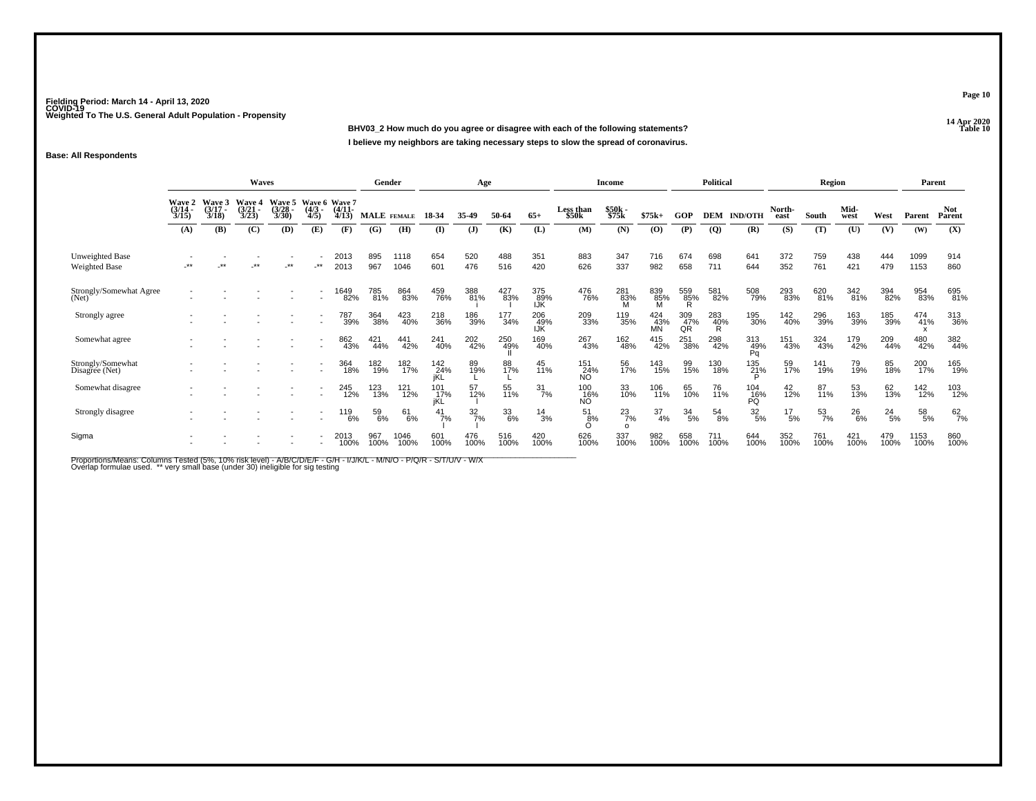**14 Apr 2020 BHV03\_2 How much do you agree or disagree with each of the following statements?I believe my neighbors are taking necessary steps to slow the spread of coronavirus.**

### **Base: All Respondents**

|                                     |                                        |                                 | Waves                           |                                 |                                      |                       | Gender      |                  |                   | Age              |             |                   |                                | <b>Income</b>            |                  |                  | <b>Political</b> |                  |                 | Region           |                |               | Parent       |                      |
|-------------------------------------|----------------------------------------|---------------------------------|---------------------------------|---------------------------------|--------------------------------------|-----------------------|-------------|------------------|-------------------|------------------|-------------|-------------------|--------------------------------|--------------------------|------------------|------------------|------------------|------------------|-----------------|------------------|----------------|---------------|--------------|----------------------|
|                                     | <b>Wave 2</b><br>$\frac{(3/14)}{3/15}$ | Wave 3<br>$\frac{(3/17)}{3/18}$ | Wave 4<br>$\frac{(3/21)}{3/23}$ | Wave 5<br>$\frac{(3/28)}{3/30}$ | Wave 6 Wave 7<br>$\frac{(4/3)}{4/5}$ | $\frac{(4/11)}{4/13}$ | MALE FEMALE |                  | 18-34             | 35.49            | 50-64       | $65+$             | Less than<br>\$50 <sub>k</sub> | \$50k<br>\$75k           | $$75k+$          | GOP              | <b>DEM</b>       | <b>IND/OTH</b>   | North-<br>east  | South            | Mid-<br>west   | West          | Parent       | <b>Not</b><br>Parent |
|                                     | (A)                                    | (B)                             | (C)                             | (D)                             | (E)                                  | (F)                   | (G)         | (H)              | (I)               | $($ $\bf{J})$    | (K)         | (L)               | (M)                            | (N)                      | (O)              | (P)              | $\overline{Q}$   | (R)              | (S)             | (T)              | $(\mathbf{U})$ | (V)           | (W)          | (X)                  |
| Unweighted Base<br>Weighted Base    | $**$                                   | $***$                           | $^{\star\star}$                 | $.**$                           | .**                                  | 2013<br>2013          | 895<br>967  | 1118<br>1046     | 654<br>601        | 520<br>476       | 488<br>516  | 351<br>420        | 883<br>626                     | 347<br>337               | 716<br>982       | 674<br>658       | 698<br>711       | 641<br>644       | 372<br>352      | 759<br>761       | 438<br>421     | 444<br>479    | 1099<br>1153 | 914<br>860           |
| Strongly/Somewhat Agree<br>(Net)    |                                        |                                 |                                 |                                 |                                      | 1649<br>82%           | 785<br>81%  | 864<br>83%       | 459<br>76%        | 388<br>81%       | 427<br>83%  | 375<br>89%<br>IJK | 476<br>76%                     | 281<br>83%<br>M          | 839<br>85%       | 559<br>85%<br>R  | 581<br>82%       | 508<br>79%       | 293<br>83%      | 620<br>81%       | 342<br>81%     | 394<br>82%    | 954<br>83%   | 695<br>81%           |
| Strongly agree                      |                                        |                                 |                                 |                                 |                                      | 787<br>39%            | 364<br>38%  | 423<br>40%       | 218<br>36%        | 186<br>39%       | 177<br>34%  | 206<br>49%<br>IJK | 209<br>33%                     | 119<br>35%               | 424<br>43%<br>MN | 309<br>47%<br>QŔ | 283<br>40%<br>R  | 195<br>30%       | 142<br>40%      | 296<br>39%       | 163<br>39%     | 185<br>39%    | 474<br>41%   | 313<br>36%           |
| Somewhat agree                      |                                        |                                 |                                 |                                 |                                      | 862<br>43%            | 421<br>44%  | 441<br>42%       | 241<br>40%        | 202<br>42%       | 250<br>49%  | 169<br>40%        | 267<br>43%                     | 162<br>48%               | 415<br>42%       | 251<br>38%       | 298<br>42%       | 313<br>49%<br>Pa | 151<br>43%      | 324<br>43%       | 179<br>42%     | 209<br>44%    | 480<br>42%   | 382<br>44%           |
| Strongly/Somewhat<br>Disagree (Net) |                                        |                                 |                                 |                                 | $\sim$                               | 364<br>18%            | 182<br>19%  | 182 <sub>%</sub> | 142<br>24%<br>iKL | 89<br>19%        | 88<br>17%   | 45<br>11%         | 151<br>24%<br><b>NO</b>        | 56<br>17%                | 143<br>15%       | 99<br>15%        | 130<br>18%       | 135<br>21%       | 59<br>17%       | 141<br>19%       | 79<br>19%      | 85<br>18%     | 200<br>17%   | 165<br>19%           |
| Somewhat disagree                   |                                        |                                 |                                 |                                 |                                      | 245<br>12%            | 123<br>13%  | 121<br>12%       | 101<br>17%<br>jKL | 57<br>12%        | 55<br>11%   | $\frac{31}{7\%}$  | $\frac{100}{16\%}$             | 33<br>10%                | 106<br>11%       | 65<br>10%        | 76<br>11%        | $^{104}_{16\%}$  | 42<br>12%       | 87<br>11%        | 53<br>13%      | 62<br>13%     | 142<br>12%   | 103<br>12%           |
| Strongly disagree                   |                                        |                                 |                                 |                                 |                                      | 119<br>6%             | 59<br>6%    | 61<br>6%         | $\frac{41}{7\%}$  | $\frac{32}{7\%}$ | 33<br>6%    | $\frac{14}{3%}$   | 51<br>8%                       | $^{23}_{7\%}$<br>$\circ$ | 37<br>4%         | $\frac{34}{5\%}$ | 54<br>8%         | $\frac{32}{5\%}$ | $^{17}_{\ 5\%}$ | $\frac{53}{7\%}$ | $^{26}_{6\%}$  | $^{24}_{5\%}$ | 58<br>5%     | $^{62}_{7\%}$        |
| Sigma                               |                                        |                                 |                                 |                                 |                                      | 2013<br>100%          | 967<br>100% | 1046<br>100%     | 601<br>100%       | 476<br>100%      | 516<br>100% | 420<br>100%       | 626<br>100%                    | 337<br>100%              | 982<br>100%      | 658<br>100%      | 711<br>100%      | 644<br>100%      | 352<br>100%     | 761<br>100%      | 421<br>100%    | 479<br>100%   | 1153<br>100% | 860<br>100%          |

Proportions/Means: Columns Tested (5%, 10% risk level) - A/B/C/D/E/F - G/H - I/J/K/L - M/N/O - P/Q/R - S/T/U/V - W/X<br>Overlap formulae used. \*\* very small base (under 30) ineligible for sig testing

**Page 10**

**P Table 10**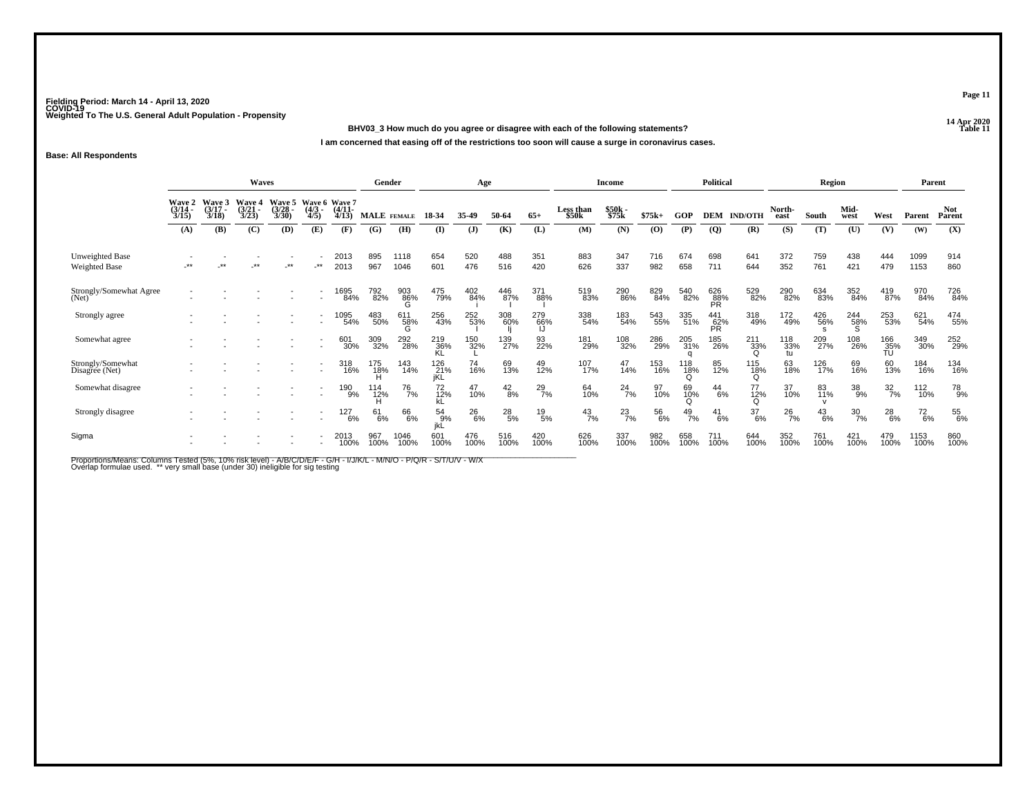**14 Apr 2020 BHV03\_3 How much do you agree or disagree with each of the following statements?**

**I am concerned that easing off of the restrictions too soon will cause a surge in coronavirus cases.**

### **Base: All Respondents**

|                                         |                                 |                                 | <b>Waves</b>                          |                                               |                     |                       | Gender             |                  |                   | Age           |                 |               |                    | <b>Income</b>  |             |               | <b>Political</b>        |                             |                  | Region        |                  |                  | Parent        |                      |
|-----------------------------------------|---------------------------------|---------------------------------|---------------------------------------|-----------------------------------------------|---------------------|-----------------------|--------------------|------------------|-------------------|---------------|-----------------|---------------|--------------------|----------------|-------------|---------------|-------------------------|-----------------------------|------------------|---------------|------------------|------------------|---------------|----------------------|
|                                         | Wave 2<br>$\frac{(3/14)}{3/15}$ | Wave 3<br>$\frac{(3/17)}{3/18}$ | <b>Wave 4</b><br>$\binom{3/21}{3/23}$ | Wave 5 Wave 6 Wave 7<br>$\frac{(3/28)}{3/30}$ | $\frac{(4/3)}{4/5}$ | $\frac{(4/11)}{4/13}$ | <b>MALE</b> FEMALE |                  | 18-34             | 35.49         | 50-64           | $65+$         | Less than<br>\$50k | \$50k<br>\$75k | $$75k+$     | GOP           |                         | <b>DEM IND/OTH</b>          | North-<br>east   | South         | Mid-<br>west     | West             | Parent        | <b>Not</b><br>Parent |
|                                         | (A)                             | <b>(B)</b>                      | (C)                                   | (D)                                           | (E)                 | (F)                   | (G)                | (H)              | (I)               | $\mathbf{J}$  | (K)             | (L)           | (M)                | (N)            | (O)         | (P)           | $\overline{Q}$          | (R)                         | (S)              | (T)           | (U)              | (V)              | (W)           | (X)                  |
| Unweighted Base<br><b>Weighted Base</b> | $***$                           | $***$                           | **                                    | -**                                           | $-***$              | 2013<br>2013          | 895<br>967         | 1118<br>1046     | 654<br>601        | 520<br>476    | 488<br>516      | 351<br>420    | 883<br>626         | 347<br>337     | 716<br>982  | 674<br>658    | 698<br>711              | 641<br>644                  | 372<br>352       | 759<br>761    | 438<br>421       | 444<br>479       | 1099<br>1153  | 914<br>860           |
| Strongly/Somewhat Agree<br>(Net)        |                                 |                                 |                                       |                                               |                     | 1695<br>84%           | 792<br>82%         | 903<br>86%       | 475<br>79%        | 402<br>84%    | 446<br>87%      | 371<br>88%    | 519<br>83%         | 290<br>86%     | 829<br>84%  | 540<br>82%    | 626<br>88%<br><b>PR</b> | 529<br>82%                  | 290<br>82%       | 634<br>83%    | 352<br>84%       | 419<br>87%       | 970<br>84%    | 726<br>84%           |
| Strongly agree                          |                                 |                                 |                                       |                                               |                     | 1095<br>54%           | 483<br>50%         | 611<br>`58%<br>G | 256<br>43%        | 252<br>53%    | 308<br>60%      | 279<br>66%    | 338<br>54%         | 183<br>54%     | 543<br>55%  | 335<br>51%    | 441<br>62%<br>PR        | 318<br>49%                  | 172<br>49%       | 426<br>56%    | 244<br>58%       | 253<br>53%       | 621<br>54%    | 474<br>55%           |
| Somewhat agree                          |                                 |                                 |                                       |                                               |                     | 601<br>30%            | 309<br>32%         | 292<br>28%       | 219<br>36%<br>KL  | 150<br>32%    | 139<br>27%      | 93<br>22%     | 181<br>29%         | 108<br>32%     | 286<br>29%  | 205<br>31%    | 185<br>26%              | $^{211}_{33\%}$<br>$\Omega$ | 118<br>33%<br>tu | 209<br>27%    | 108<br>26%       | 166<br>35%<br>TÚ | 349<br>30%    | 252<br>29%           |
| Strongly/Somewhat<br>Disagree (Net)     |                                 |                                 |                                       |                                               | $\sim$              | 318<br>16%            | 175<br>18%         | 143<br>14%       | 126<br>21%<br>iKL | 74<br>16%     | 69<br>13%       | 49<br>12%     | 107<br>17%         | 47<br>14%      | 153<br>16%  | 118<br>18%    | 85<br>12%               | 115<br>18%                  | 63<br>18%        | 126<br>17%    | 69<br>16%        | 60<br>13%        | 184<br>16%    | 134<br>16%           |
| Somewhat disagree                       |                                 |                                 |                                       |                                               |                     | 190<br>9%             | 114<br>12%         | <sup>76</sup> 7% | 72<br>12%         | 47<br>10%     | $^{42}_{8\%}$   | $^{29}_{7\%}$ | 64<br>10%          | $^{24}_{7\%}$  | 97<br>10%   | 69<br>10%     | $^{44}_{6\%}$           | 77<br>12%                   | 37<br>10%        | 83<br>11%     | 38<br>9%         | $\frac{32}{7\%}$ | 112<br>10%    | 78<br>9%             |
| Strongly disagree                       |                                 |                                 |                                       |                                               |                     | 127<br>6%             | 61<br>6%           | 66<br>6%         | 54<br>9%<br>ikL   | $^{26}_{6\%}$ | $^{28}_{\ 5\%}$ | $^{19}_{5\%}$ | $^{43}_{7\%}$      | $^{23}_{7\%}$  | 56<br>6%    | $^{49}_{7\%}$ | 41<br>6%                | $\frac{37}{6\%}$            | $^{26}_{7\%}$    | $^{43}_{6\%}$ | $\frac{30}{7\%}$ | $^{28}_{6\%}$    | $^{72}_{6\%}$ | 55<br>6%             |
| Sigma                                   |                                 |                                 |                                       |                                               |                     | 2013<br>100%          | 967<br>100%        | 1046<br>100%     | 601<br>100%       | 476<br>100%   | 516<br>100%     | 420<br>100%   | 626<br>100%        | 337<br>100%    | 982<br>100% | 658<br>100%   | 711<br>100%             | 644<br>100%                 | 352<br>100%      | 761<br>100%   | 421<br>100%      | 479<br>100%      | 1153<br>100%  | 860<br>100%          |

Proportions/Means: Columns Tested (5%, 10% risk level) - A/B/C/D/E/F - G/H - I/J/K/L - M/N/O - P/Q/R - S/T/U/V - W/X<br>Overlap formulae used. \*\* very small base (under 30) ineligible for sig testing

**Page 11**

**Properties and the Contract of Table 11**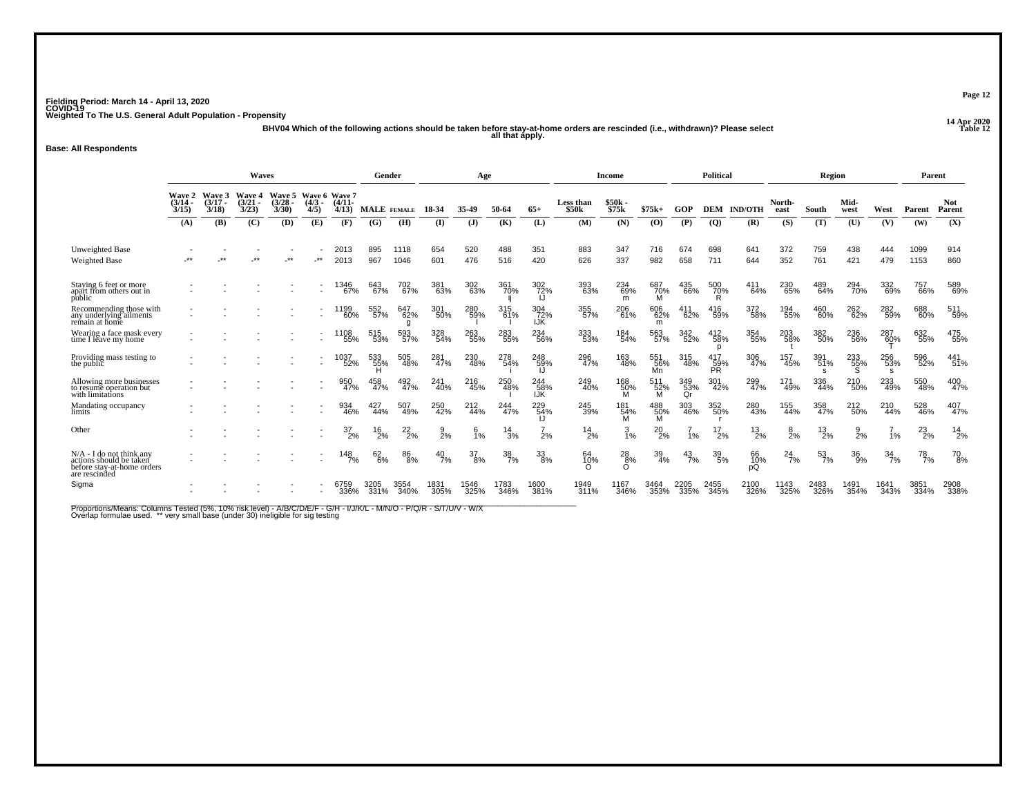**14 Apr 2020 BHV04 Which of the following actions should be taken before stay-at-home orders are rescinded (i.e., withdrawn)? Please select all that apply.**

### **Base: All Respondents**

|                                                                                                      |                   |                                    | Waves                              |                                           |                     |                   | Gender        |                        |                 | Age             |                  |                          |                                | Income          |                    |                  | Political              |                    |                 | Region                 |                 |                  | Parent        |                      |
|------------------------------------------------------------------------------------------------------|-------------------|------------------------------------|------------------------------------|-------------------------------------------|---------------------|-------------------|---------------|------------------------|-----------------|-----------------|------------------|--------------------------|--------------------------------|-----------------|--------------------|------------------|------------------------|--------------------|-----------------|------------------------|-----------------|------------------|---------------|----------------------|
|                                                                                                      | $(3/14 -$<br>3/15 | Wave 2 Wave 3<br>$(3/17 -$<br>3/18 | <b>Wave 4</b><br>$(3/21 -$<br>3/23 | Wave 5 Wave 6 Wave 7<br>$(3/28 -$<br>3/30 | $(4/3 -$<br>4/5)    | $(4/11 -$<br>4/13 | MALE FEMALE   |                        | 18-34           | 35-49           | 50-64            | $65+$                    | Less than<br>\$50 <sub>k</sub> | \$50k<br>\$75k  | $$75k+$            | GOP              |                        | <b>DEM IND/OTH</b> | North-<br>east  | South                  | Mid-<br>west    | West             | Parent        | <b>Not</b><br>Parent |
|                                                                                                      | (A)               | (B)                                | (C)                                | (D)                                       | (E)                 | (F)               | (G)           | (H)                    | $\bf{I}$        | $($ $)$         | (K)              | (L)                      | (M)                            | (N)             | (0)                | (P)              | $\overline{Q}$         | (R)                | (S)             | (T)                    | (U)             | (V)              | (W)           | (X)                  |
| Unweighted Base<br><b>Weighted Base</b>                                                              | $***$             | $+ +$                              | $+ +$                              | $**$                                      | $**$                | 2013<br>2013      | 895<br>967    | 1118<br>1046           | 654<br>601      | 520<br>476      | 488<br>516       | 351<br>420               | 883<br>626                     | 347<br>337      | 716<br>982         | 674<br>658       | 698<br>711             | 641<br>644         | 372<br>352      | 759<br>761             | 438<br>421      | 444<br>479       | 1099<br>1153  | 914<br>860           |
| Staying 6 feet or more<br>apart from others out in<br>public                                         |                   |                                    |                                    |                                           | ٠                   | 1346<br>67%       | 643<br>67%    | 702<br>67%             | 381<br>63%      | 302<br>63%      | 361<br>70%       | 302<br>72%               | 393<br>63%                     | 234<br>69%<br>m | 687<br>70%<br>м    | 435<br>66%       | 500<br>70%             | 411<br>64%         | 230<br>65%      | 489<br>64%             | 294<br>70%      | 332<br>69%       | 757<br>66%    | 589<br>69%           |
| Recommending those with<br>any underlying ailments<br>remain at home                                 |                   |                                    |                                    |                                           | $\blacksquare$<br>٠ | 1199<br>60%       | 552<br>57%    | 647<br>62%<br>g        | 301<br>-50%     | 280<br>59%      | 315<br>61%       | 304<br>72%<br><b>IJK</b> | 355<br>57%                     | 206<br>61%      | 606<br>62%<br>m    | 411<br>62%       | 416<br>59%             | 372<br>58%         | 194<br>55%      | 460<br>60%             | 262<br>62%      | 282<br>59%       | 688<br>60%    | 511<br>59%           |
| Wearing a face mask every<br>time I leave my home                                                    |                   |                                    |                                    |                                           |                     | 1108<br>55%       | 515<br>53%    | 593<br>57%             | 328<br>54%      | 263<br>55%      | 283<br>55%       | 234<br>56%               | 333<br>53%                     | 184<br>54%      | 563<br>57%         | 342<br>52%       | 412<br>58%<br>D        | 354<br>55%         | 203<br>58%      | 382<br>50%             | 236<br>56%      | 287<br>60%       | 632<br>55%    | 475<br>55%           |
| Providing mass testing to<br>the public                                                              |                   |                                    |                                    |                                           | $\blacksquare$      | 1037<br>52%       | 533<br>55%    | 505<br>48%             | 281<br>47%      | 230<br>48%      | 278<br>54%       | 248<br>59%               | 296<br>47%                     | 163<br>48%      | 551<br>$56%$<br>Mn | 315<br>48%       | 417<br>$\frac{59}{PR}$ | 306<br>47%         | 157<br>45%      | 391<br>51%<br><b>s</b> | 233<br>55%      | 256<br>53%<br>s  | 596<br>52%    | 441<br>51%           |
| Allowing more businesses<br>to resume operation but<br>with limitations                              |                   |                                    |                                    |                                           |                     | 950<br>47%        | 458<br>47%    | 492<br>47%             | 241<br>40%      | 216<br>45%      | 250<br>48%       | 244<br>58%<br>IJК        | 249<br>40%                     | 168<br>50%<br>м | 511<br>52%<br>м    | 349<br>53%<br>Qr | 301<br>42%             | 299<br>47%         | 171<br>49%      | 336<br>44%             | 210<br>50%      | 233<br>49%       | 550<br>48%    | 400<br>47%           |
| Mandating occupancy<br>limits                                                                        |                   |                                    |                                    |                                           |                     | 934<br>46%        | 427<br>44%    | 507<br>49%             | 250<br>42%      | 212<br>44%      | 244<br>47%       | 229<br>54%               | 245<br>39%                     | 181<br>54%<br>M | 488<br>50%<br>м    | 303<br>46%       | 352<br>50%             | 280<br>43%         | 155<br>44%      | 358<br>47%             | 212<br>50%      | 210<br>44%       | 528<br>46%    | 407<br>47%           |
| Other                                                                                                |                   |                                    |                                    |                                           |                     | $^{37}_{2\%}$     | $^{16}_{2\%}$ | $^{22}_{2\%}$          | $\frac{9}{2}$ % | $\frac{6}{1\%}$ | $^{14}_{3\%}$    | 2%                       | $^{14}_{2\%}$                  | $\frac{3}{1\%}$ | $^{20}_{2\%}$      | 1%               | 2%                     | $^{13}_{2\%}$      | $\frac{8}{2}$ % | $^{13}_{2\%}$          | $\frac{9}{2}$ % | 1%               | $^{23}_{2\%}$ | $^{14}_{2\%}$        |
| $N/A$ - I do not think any<br>actions should be taken<br>before stay-at-home orders<br>are rescinded |                   |                                    |                                    |                                           |                     | 148<br>7%         | 62<br>6%      | $\substack{86 \\ 8\%}$ | $^{40}_{7\%}$   | 37<br>8%        | $\frac{38}{7\%}$ | 33<br>8%                 | 64<br>10%                      | $^{28}_{8\%}$   | 39<br>4%           | 43<br>7%         | 39<br>5%               | 66<br>10%<br>рQ    | 24<br>7%        | 53<br>7%               | 36<br>9%        | $\frac{34}{7\%}$ | 78<br>7%      | 70<br>8%             |
| Sigma                                                                                                |                   |                                    |                                    |                                           |                     | 6759<br>336%      | 3205<br>331%  | 3554<br>340%           | 1831<br>305%    | 1546<br>325%    | 1783<br>346%     | 1600<br>381%             | 1949<br>311%                   | 1167<br>346%    | 3464<br>353%       | 2205<br>335%     | 2455<br>345%           | 2100<br>326%       | 1143<br>325%    | 2483<br>326%           | 1491<br>354%    | 1641<br>343%     | 3851<br>334%  | 2908<br>338%         |

Proportions/Means: Columns Tested (5%, 10% risk level) - A/B/C/D/E/F - G/H - I/J/K/L - M/N/O - P/Q/R - S/T/U/V - W/X<br>Overlap formulae used. \*\* very small base (under 30) ineligible for sig testing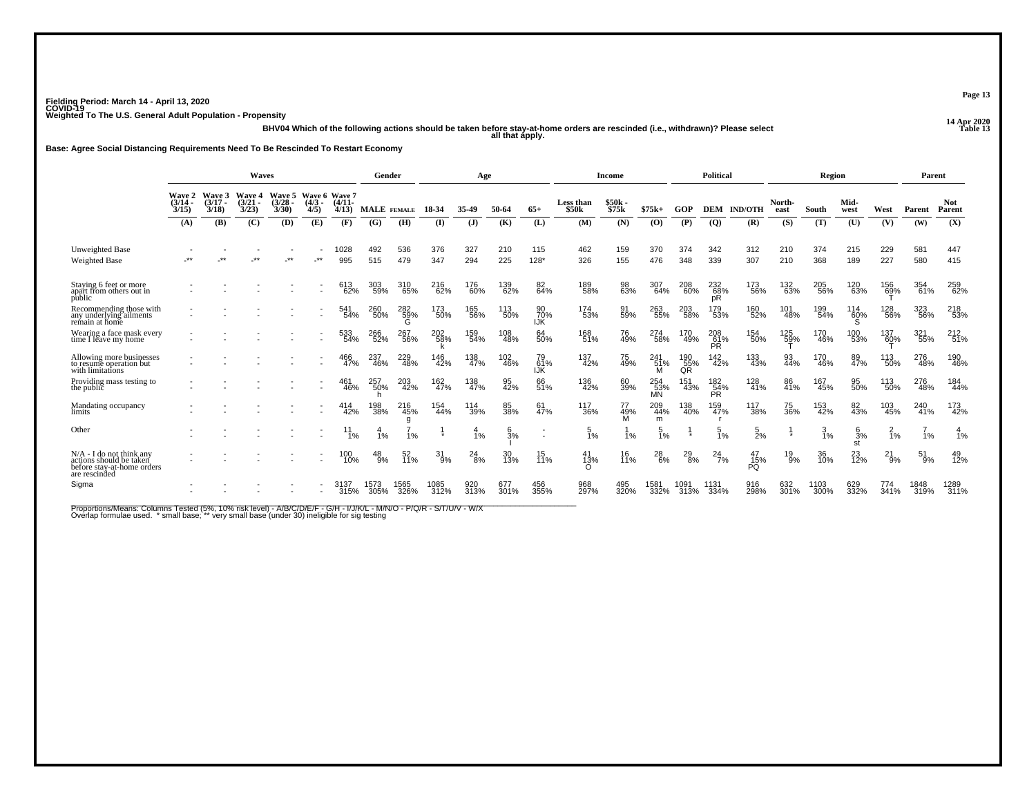-<br>14 Apr 2020 all that apply.<br>13 all that apply. all that apply.

**Base: Agree Social Distancing Requirements Need To Be Rescinded To Restart Economy**

|                                                                                                      | <b>Waves</b>                |                             |                                 |                                    |                                   |                   |              | Gender          |               | Age           |                 |                                                      |                           | <b>Income</b>    |                  |                     | Political         |                       |                | Region         |                       |                     | Parent       |                      |
|------------------------------------------------------------------------------------------------------|-----------------------------|-----------------------------|---------------------------------|------------------------------------|-----------------------------------|-------------------|--------------|-----------------|---------------|---------------|-----------------|------------------------------------------------------|---------------------------|------------------|------------------|---------------------|-------------------|-----------------------|----------------|----------------|-----------------------|---------------------|--------------|----------------------|
|                                                                                                      | Wave 2<br>$(3/14 -$<br>3/15 | Wave 3<br>$(3/17 -$<br>3/18 | <b>Wave 4</b><br>(3/21)<br>3/23 | <b>Wave 5</b><br>$(3/28 -$<br>3/30 | Wave 6 Wave 7<br>$(4/3 -$<br>4/5) | $(4/11 -$<br>4/13 | MALE FEMALE  |                 | 18-34         | 35.49         | 50-64           | $65+$                                                | <b>Less than</b><br>\$50k | \$50k -<br>\$75k | $$75k+$          | GOP                 | <b>DEM</b>        | <b>IND/OTH</b>        | North-<br>east | South          | Mid-<br>west          | West                | Parent       | <b>Not</b><br>Parent |
|                                                                                                      | (A)                         | (B)                         | (C)                             | (D)                                | (E)                               | (F)               | (G)          | (H)             | (I)           | (J)           | (K)             | (L)                                                  | (M)                       | (N)              | (0)              | (P)                 | $\overline{Q}$    | (R)                   | (S)            | (T)            | (U)                   | (V)                 | (W)          | (X)                  |
| Unweighted Base<br><b>Weighted Base</b>                                                              |                             |                             |                                 |                                    | $\star\star$                      | 1028<br>995       | 492<br>515   | 536<br>479      | 376<br>347    | 327<br>294    | 210<br>225      | 115<br>$128*$                                        | 462<br>326                | 159<br>155       | 370<br>476       | 374<br>348          | 342<br>339        | 312<br>307            | 210<br>210     | 374<br>368     | 215<br>189            | 229<br>227          | 581<br>580   | 447<br>415           |
| Staying 6 feet or more<br>apart from others out in<br>public                                         |                             |                             |                                 |                                    |                                   | 613<br>62%        | 303<br>59%   | 310<br>65%      | 216<br>62%    | 176<br>60%    | 139<br>62%      | 82<br>64%                                            | 189<br>58%                | 98<br>63%        | 307<br>64%       | 208<br>60%          | 232<br>68%<br>рR  | 173<br>56%            | 132<br>63%     | 205<br>56%     | 120<br>63%            | 156<br>6 <u>9</u> % | 354<br>61%   | 259<br>62%           |
| Recommending those with<br>any underlying ailments<br>remain at home                                 |                             |                             |                                 |                                    |                                   | 541<br>54%        | 260<br>50%   | 282<br>59%<br>G | 173<br>50%    | 165<br>56%    | 113<br>50%      | 90<br>70%<br><b>IJK</b>                              | 174<br>53%                | 91<br>59%        | 263<br>55%       | 203<br>58%          | 179<br>53%        | 160<br>52%            | 101<br>48%     | 199<br>54%     | 114<br>60%            | 128<br>56%          | 323<br>56%   | 218<br>53%           |
| Wearing a face mask every<br>time I leave my home                                                    |                             |                             |                                 |                                    |                                   | 533<br>54%        | 266<br>52%   | 267<br>56%      | 202<br>58%    | 159<br>54%    | 108<br>48%      | 64<br>50%                                            | 168<br>51%                | 76<br>49%        | 274<br>58%       | 170<br>49%          | 208<br>61%<br>PR  | 154<br>50%            | 125<br>59%     | 170<br>46%     | 100<br>53%            | 137<br>60%          | 321<br>55%   | 212 <sub>51%</sub>   |
| Allowing more businesses<br>to resume operation but<br>with limitations                              |                             |                             |                                 |                                    |                                   | 466<br>47%        | 237<br>46%   | 229<br>48%      | 146<br>42%    | 138<br>47%    | 102<br>46%      | 79<br>.61%<br>IJK                                    | 137<br>42%                | 75<br>49%        | 241<br>51%       | $^{190}_{~55\%}$ QR | 142<br>42%        | 133<br>43%            | 93<br>44%      | 170<br>46%     | 89<br>47%             | 113<br>50%          | 276<br>48%   | 190<br>46%           |
| Providing mass testing to<br>the public                                                              |                             |                             |                                 |                                    |                                   | 461<br>46%        | 257<br>50%   | 203<br>42%      | 162<br>47%    | 138<br>47%    | 95<br>42%       | 66<br>51%                                            | 136<br>42%                | 60<br>39%        | 254<br>53%<br>MÑ | 151<br>43%          | 182<br>54%<br>PR. | 128<br>41%            | 86<br>41%      | 167<br>45%     | 95<br>50%             | 113<br>50%          | 276<br>48%   | 184<br>44%           |
| Mandating occupancy<br>limits                                                                        |                             |                             |                                 |                                    |                                   | 414<br>42%        | 198<br>38%   | 216<br>45%<br>a | 154<br>44%    | 114<br>39%    | 85<br>38%       | 61<br>47%                                            | 117<br>36%                | 77<br>49%<br>м   | 209<br>44%<br>m  | 138<br>40%          | 159<br>47%        | 117<br>38%            | 75<br>36%      | 153<br>42%     | 82<br>43%             | 103<br>45%          | 240<br>41%   | 173<br>42%           |
| Other                                                                                                |                             |                             |                                 |                                    |                                   | $^{11}_{1\%}$     | 1%           | i%              |               | 1%            | $\frac{6}{3}$ % | $\overline{\phantom{a}}$<br>$\overline{\phantom{a}}$ | 5<br>1%                   | 1%               | 1%               |                     | $\frac{5}{1\%}$   | 5<br>2%               |                | $\frac{3}{1%}$ | $\frac{6}{3}$ %<br>st | $\frac{2}{1}$ %     | $1\%$        | 1%                   |
| $N/A$ - I do not think any<br>actions should be taken<br>before stay-at-home orders<br>are rescinded |                             |                             |                                 |                                    |                                   | 100<br>10%        | $^{48}_{9%}$ | 52<br>11%       | $^{31}_{9\%}$ | $^{24}_{8\%}$ | 30<br>13%       | 15<br>11%                                            | 41<br>13%                 | 16<br>11%        | $^{28}_{6\%}$    | $^{29}_{8\%}$       | $^{24}_{7\%}$     | 47<br>$\frac{15}{15}$ | 19<br>9%       | 36<br>10%      | 23<br>12%             | $^{21}_{9\%}$       | 51<br>9%     | 49<br>12%            |
| Sigma                                                                                                |                             |                             |                                 |                                    |                                   | 3137<br>315%      | 1573<br>305% | 1565<br>326%    | 1085<br>312%  | 920<br>313%   | 677<br>301%     | 456<br>355%                                          | 968<br>297%               | 495<br>320%      | 1581<br>332%     | 1091<br>313%        | 1131<br>334%      | 916<br>298%           | 632<br>301%    | 1103<br>300%   | 629<br>332%           | 774<br>341%         | 1848<br>319% | 1289<br>311%         |

Proportions/Means: Columns Tested (5%, 10% risk level) - A/B/C/D/E/F - G/H - I/J/K/L - M/N/O - P/Q/R - S/T/U/V - W/X<br>Overlap formulae used. \*small base; \* very small base (under 30) ineligible for sig testing

**Page 13**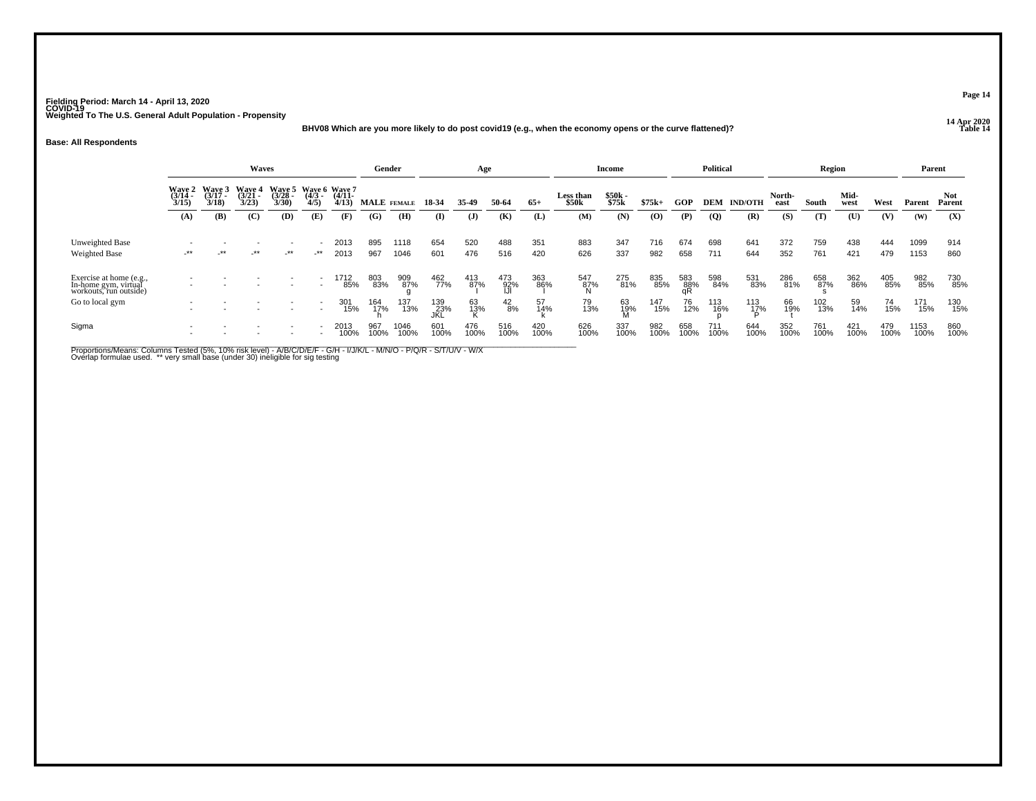### **14 Apr 2020 BHV08 Which are you more likely to do post covid19 (e.g., when the economy opens or the curve flattened)?**

#### **Base: All Respondents**

|                                                                           |                                                                                                                                                                                                                 |            | <b>Waves</b> |        |                          |              | Gender      |              |                   | Age          |                   |             |                                | <b>Income</b>  |             |                  | <b>Political</b> |                |                | <b>Region</b> |              |             | Parent       |                |
|---------------------------------------------------------------------------|-----------------------------------------------------------------------------------------------------------------------------------------------------------------------------------------------------------------|------------|--------------|--------|--------------------------|--------------|-------------|--------------|-------------------|--------------|-------------------|-------------|--------------------------------|----------------|-------------|------------------|------------------|----------------|----------------|---------------|--------------|-------------|--------------|----------------|
|                                                                           | Wave 3<br>(3/17<br>3/18)<br>Wave 6 Wave 7<br>Wave 5<br>Wave 4<br>(3/21<br>3/23)<br>Wave 2<br>(3/14<br>3/15)<br>$(3/28 -$<br>$(4/11 -$<br>$\frac{(4/3)}{4/5}$<br>3/30<br>4/13<br>(B)<br>(C)<br>(A)<br>(D)<br>(E) |            |              |        |                          |              | MALE FEMALE |              | 18-34             | 35-49        | 50-64             | $65+$       | Less than<br>\$50 <sub>k</sub> | \$50k<br>\$75k | $$75k+$     | <b>GOP</b>       | DEM              | <b>IND/OTH</b> | North-<br>east | South         | Mid-<br>west | West        | Parent       | Not.<br>Parent |
|                                                                           |                                                                                                                                                                                                                 |            |              |        |                          | (F)          | (G)         | (H)          | (I)               | ( <b>J</b> ) | (K)               | (L)         | (M)                            | (N)            | (0)         | (P)              | $\boldsymbol{Q}$ | (R)            | (S)            | (T)           | (U)          | (V)         | (W)          | (X)            |
| Unweighted Base<br><b>Weighted Base</b>                                   | $-***$                                                                                                                                                                                                          | $\cdot$ ** | $-***$       | $-***$ | $-***$                   | 2013<br>2013 | 895<br>967  | 1118<br>1046 | 654<br>601        | 520<br>476   | 488<br>516        | 351<br>420  | 883<br>626                     | 347<br>337     | 716<br>982  | 674<br>658       | 698<br>711       | 641<br>644     | 372<br>352     | 759<br>761    | 438<br>421   | 444<br>479  | 1099<br>1153 | 914<br>860     |
| Exercise at home (e.g.,<br>In-home gym, virtual<br>workouts, run outside) |                                                                                                                                                                                                                 |            |              |        |                          | 1712<br>85%  | 803<br>83%  | 909<br>87%   | 462<br>77%        | 413<br>87%   | 473<br>92%<br>IJI | 363<br>86%  | 547<br>87%<br>N                | 275<br>81%     | 835<br>85%  | 583<br>88%<br>qR | 598<br>84%       | 531<br>83%     | 286<br>81%     | 658<br>87%    | 362<br>86%   | 405<br>85%  | 982<br>85%   | 730<br>85%     |
| Go to local gym                                                           | $\overline{\phantom{a}}$                                                                                                                                                                                        |            |              |        | $\overline{\phantom{a}}$ | 301<br>15%   | 164<br>17%  | 137<br>13%   | 139<br>23%<br>JKĹ | 63<br>13%    | $^{42}_{8\%}$     | 57<br>14%   | 79<br>13%                      | 63<br>19%<br>M | 147<br>15%  | 76<br>12%        | 113<br>16%       | 113<br>17%     | 66<br>19%      | 102<br>13%    | 59<br>14%    | 74<br>15%   | 171<br>15%   | 130<br>15%     |
| Sigma                                                                     |                                                                                                                                                                                                                 |            |              |        |                          | 2013<br>100% | 967<br>100% | 1046<br>100% | 601<br>100%       | 476<br>100%  | 516<br>100%       | 420<br>100% | 626<br>100%                    | 337<br>100%    | 982<br>100% | 658<br>100%      | 711<br>100%      | 644<br>100%    | 352<br>100%    | 761<br>100%   | 421<br>100%  | 479<br>100% | 1153<br>100% | 860<br>100%    |

Proportions/Means: Columns Tested (5%, 10% risk level) - A/B/C/D/E/F - G/H - I/J/K/L - M/N/O - P/Q/R - S/T/U/V - W/X<br>Overlap formulae used. \*\* very small base (under 30) ineligible for sig testing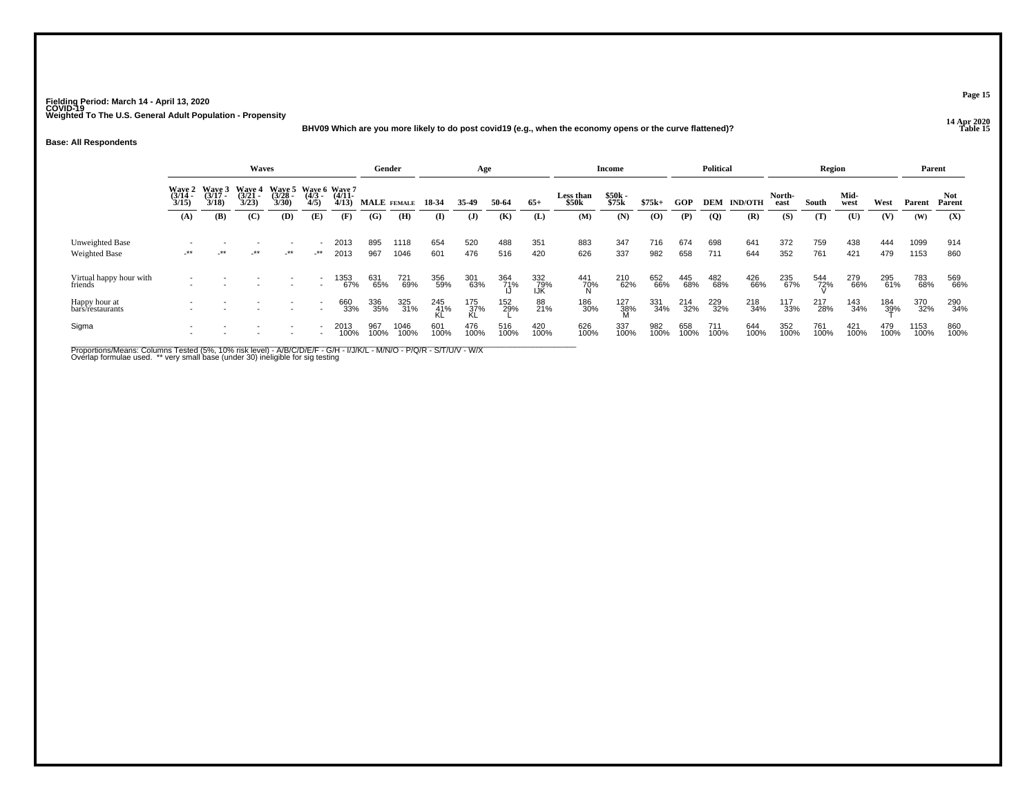**14 Apr 2020 BHV09 Which are you more likely to do post covid19 (e.g., when the economy opens or the curve flattened)?**

#### **Base: All Respondents**

|                                         |                                                                                                                                                                                                              |        | <b>Waves</b> |        |        |              | Gender      |              |              | Age                |             |                   |                                | <b>Income</b>   |             |             | <b>Political</b> |                |                | Region      |              |             | Parent       |                |
|-----------------------------------------|--------------------------------------------------------------------------------------------------------------------------------------------------------------------------------------------------------------|--------|--------------|--------|--------|--------------|-------------|--------------|--------------|--------------------|-------------|-------------------|--------------------------------|-----------------|-------------|-------------|------------------|----------------|----------------|-------------|--------------|-------------|--------------|----------------|
|                                         | Wave 3<br>(3/17<br>3/18)<br>Wave 6 Wave 7<br>Waye 5<br>(3/28<br>Wave 2<br>(3/14<br>3/15)<br>Waye 4<br>(3/21 -<br>$(4/11 -$<br>$\frac{(4/3)}{4/5}$<br>3/23<br>3/30<br>4/13<br>(B)<br>(C)<br>(D)<br>(A)<br>(E) |        |              |        |        |              | MALE FEMALE |              | 18-34        | 35-49              | 50-64       | $65+$             | Less than<br>\$50 <sub>k</sub> | \$50k<br>\$75k  | $$75k+$     | <b>GOP</b>  | DEM              | <b>IND/OTH</b> | North-<br>east | South       | Mid-<br>west | West        | Parent       | Not.<br>Parent |
|                                         |                                                                                                                                                                                                              |        |              |        |        | (F)          | (G)         | (H)          | $\mathbf{I}$ | $\mathbf{J}$       | (K)         | (L)               | (M)                            | (N)             | (0)         | (P)         | $\overline{Q}$   | (R)            | (S)            | (T)         | (U)          | (V)         | (W)          | (X)            |
| Unweighted Base<br><b>Weighted Base</b> | $-***$                                                                                                                                                                                                       | $-***$ | _**          | $-***$ | $-***$ | 2013<br>2013 | 895<br>967  | 1118<br>1046 | 654<br>601   | 520<br>476         | 488<br>516  | 351<br>420        | 883<br>626                     | 347<br>337      | 716<br>982  | 674<br>658  | 698<br>711       | 641<br>644     | 372<br>352     | 759<br>761  | 438<br>421   | 444<br>479  | 1099<br>1153 | 914<br>860     |
| Virtual happy hour with<br>friends      |                                                                                                                                                                                                              |        |              |        |        | 1353<br>67%  | 631<br>65%  | 721<br>69%   | 356<br>59%   | 301<br>63%         | 364<br>71%  | 332<br>79%<br>IJŔ | 441<br>70%<br>N                | 210<br>62%      | 652<br>66%  | 445<br>68%  | 482<br>68%       | 426<br>66%     | 235<br>67%     | 544<br>72%  | 279<br>66%   | 295<br>61%  | 783<br>68%   | 569<br>66%     |
| Happy hour at<br>bars/restaurants       |                                                                                                                                                                                                              |        |              |        |        | 660<br>33%   | 336<br>35%  | 325<br>31%   | 245<br>41%   | $\frac{175}{37\%}$ | 152<br>29%  | 88<br>21%         | 186<br>30%                     | 127<br>38%<br>M | 331<br>34%  | 214<br>32%  | 229<br>32%       | 218<br>34%     | 117<br>33%     | 217<br>28%  | 143<br>34%   | 184<br>39%  | 370<br>32%   | 290<br>34%     |
| Sigma                                   |                                                                                                                                                                                                              |        |              |        |        | 2013<br>100% | 967<br>100% | 1046<br>100% | 601<br>100%  | 476<br>100%        | 516<br>100% | 420<br>100%       | 626<br>100%                    | 337<br>100%     | 982<br>100% | 658<br>100% | 711<br>100%      | 644<br>100%    | 352<br>100%    | 761<br>100% | 421<br>100%  | 479<br>100% | 1153<br>100% | 860<br>100%    |

Proportions/Means: Columns Tested (5%, 10% risk level) - A/B/C/D/E/F - G/H - I/J/K/L - M/N/O - P/Q/R - S/T/U/V - W/X<br>Overlap formulae used. \*\* very small base (under 30) ineligible for sig testing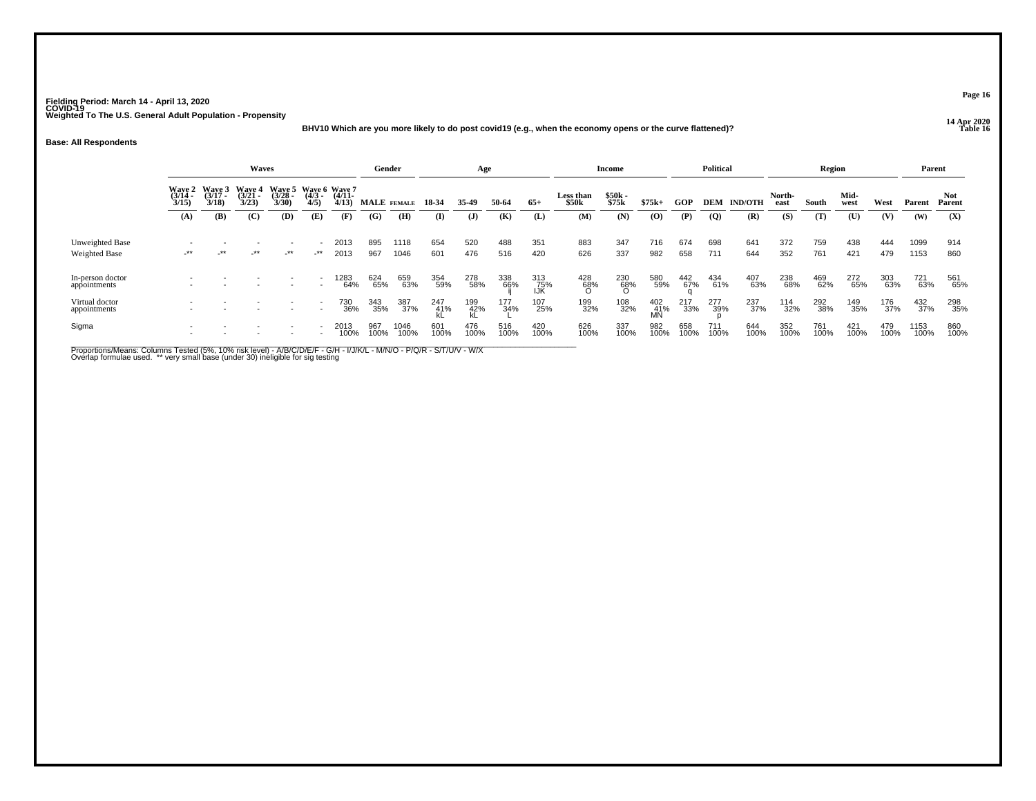### **14 Apr 2020 BHV10 Which are you more likely to do post covid19 (e.g., when the economy opens or the curve flattened)?**

#### **Base: All Respondents**

|                                  |                       |                                    | Waves                              |                                           |                          |                   | Gender             |              |             | Age          |             |                   |                    | Income           |                         |             | <b>Political</b> |                  |                | Region      |              |             | Parent             |                |
|----------------------------------|-----------------------|------------------------------------|------------------------------------|-------------------------------------------|--------------------------|-------------------|--------------------|--------------|-------------|--------------|-------------|-------------------|--------------------|------------------|-------------------------|-------------|------------------|------------------|----------------|-------------|--------------|-------------|--------------------|----------------|
|                                  | $\frac{(3/14)}{3/15}$ | Wave 2 Wave 3<br>$(3/17 -$<br>3/18 | <b>Wave 4</b><br>$(3/21 -$<br>3/23 | Wave 5 Wave 6 Wave 7<br>$(3/28 -$<br>3/30 | $\frac{(4/3)}{4/5}$      | $(4/11 -$<br>4/13 | <b>MALE</b> FEMALE |              | 18 34       | 35.49        | 50-64       | $65+$             | Less than<br>\$50k | $$50k-$<br>\$75k | $$75k+$                 | <b>GOP</b>  | DEM              | <b>IND/OTH</b>   | North-<br>east | South       | Mid-<br>west | West        | Parent             | Not.<br>Parent |
|                                  | (A)                   | (B)                                | (C)                                | (D)                                       | (E)                      | (F)               | (G)                | (H)          | $\bf{I}$    | $\mathbf{J}$ | (K)         | (L)               | (M)                | (N)              | (O)                     | (P)         | $\overline{Q}$   | (R)              | (S)            | (T)         | (U)          | (V)         | (W)                | (X)            |
| Unweighted Base<br>Weighted Base | -**                   | _**                                | $-***$                             | $-***$                                    | -**                      | 2013<br>2013      | 895<br>967         | 1118<br>1046 | 654<br>601  | 520<br>476   | 488<br>516  | 351<br>420        | 883<br>626         | 347<br>337       | 716<br>982              | 674<br>658  | 698<br>711       | 641<br>644       | 372<br>352     | 759<br>761  | 438<br>421   | 444<br>479  | 1099<br>1153       | 914<br>860     |
| In-person doctor<br>appointments |                       |                                    |                                    |                                           |                          | 283<br>64%        | 624<br>65%         | 659<br>63%   | 354<br>59%  | 278<br>58%   | 338<br>66%  | 313<br>75%<br>IJK | 428<br>68%<br>O    | 230<br>68%<br>O  | 580<br>59%              | 442<br>67%  | 434<br>61%       | 407<br>63%       | 238<br>68%     | 469<br>62%  | 272<br>65%   | 303<br>63%  | 721<br>63%         | 561<br>65%     |
| Virtual doctor<br>appointments   |                       |                                    |                                    |                                           |                          | 730<br>36%        | 343<br>35%         | 387<br>37%   | 247<br>41%  | 199<br>42%   | 177<br>34%  | 107<br>25%        | 199<br>32%         | 108<br>32%       | 402<br>41%<br><b>MN</b> | 217<br>33%  | 277<br>39%       | 237 <sub>%</sub> | 114<br>32%     | 292<br>38%  | 149<br>35%   | 176<br>37%  | $\frac{432}{37\%}$ | 298<br>35%     |
| Sigma                            |                       |                                    |                                    |                                           | $\overline{\phantom{a}}$ | 2013<br>100%      | 967<br>100%        | 1046<br>100% | 601<br>100% | 476<br>100%  | 516<br>100% | 420<br>100%       | 626<br>100%        | 337<br>100%      | 982<br>100%             | 658<br>100% | 711<br>100%      | 644<br>100%      | 352<br>100%    | 761<br>100% | 421<br>100%  | 479<br>100% | 1153<br>100%       | 860<br>100%    |

Proportions/Means: Columns Tested (5%, 10% risk level) - A/B/C/D/E/F - G/H - I/J/K/L - M/N/O - P/Q/R - S/T/U/V - W/X<br>Overlap formulae used. \*\* very small base (under 30) ineligible for sig testing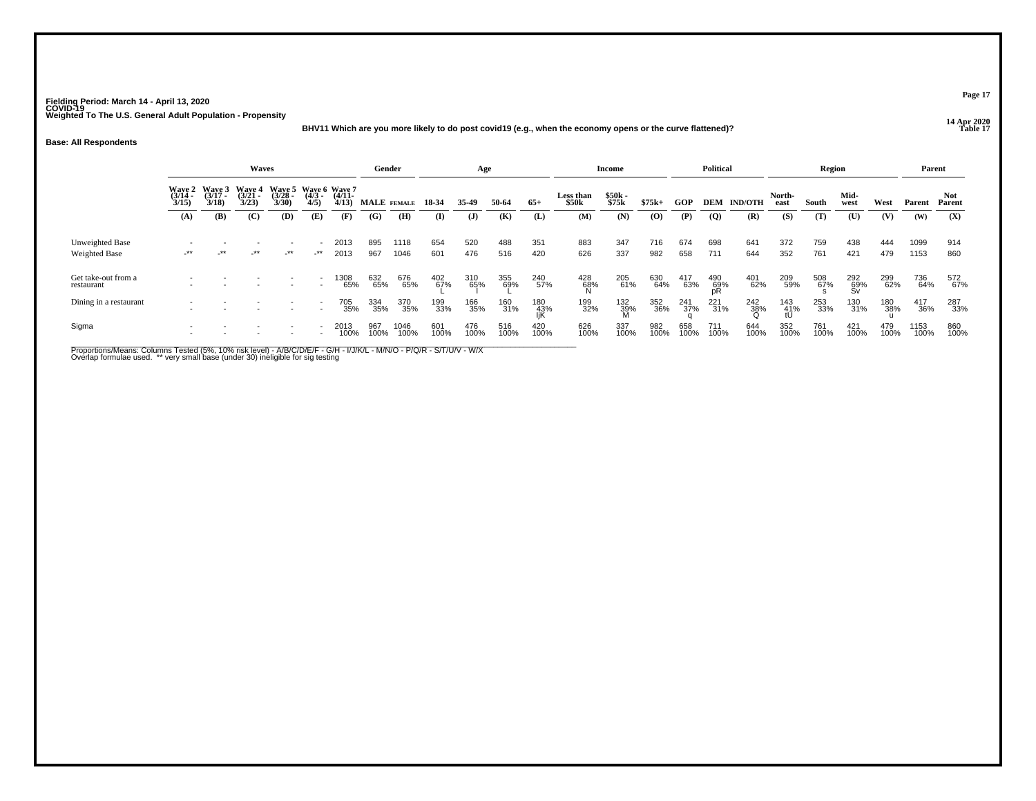### **14 Apr 2020 BHV11 Which are you more likely to do post covid19 (e.g., when the economy opens or the curve flattened)?**

#### **Base: All Respondents**

|                                   |                                                                                                                                                                                                                  |            | Waves  |        |                          |              | Gender            |              |             | Age          |             |                   |                                | <b>Income</b>     |             |             | <b>Political</b> |                    |                  | Region      |                  |             | Parent       |                |
|-----------------------------------|------------------------------------------------------------------------------------------------------------------------------------------------------------------------------------------------------------------|------------|--------|--------|--------------------------|--------------|-------------------|--------------|-------------|--------------|-------------|-------------------|--------------------------------|-------------------|-------------|-------------|------------------|--------------------|------------------|-------------|------------------|-------------|--------------|----------------|
|                                   | Wave 3<br>(3/17<br>3/18)<br>Waye 5<br>(3/28<br>Waye 4<br>(3/21 -<br>Wave 6 Wave 7<br>Wave 2<br>$\frac{(3/14)}{3/15}$<br>$(4/3 -$<br>$(4/11 -$<br>4/5)<br>3/23<br>3/30<br>4/13<br>(B)<br>(C)<br>(D)<br>(E)<br>(A) |            |        |        |                          |              | MALE FEMALE 18-34 |              |             | 35.49        | 50-64       | $65+$             | Less than<br>\$50 <sub>k</sub> | $$50k -$<br>\$75k | $$75k+$     | GOP         |                  | <b>DEM IND/OTH</b> | North-<br>east   | South       | Mid-<br>west     | West        | Parent       | Not.<br>Parent |
|                                   |                                                                                                                                                                                                                  |            |        |        |                          | (F)          | (G)               | (H)          | (I)         | $\mathbf{J}$ | (K)         | (L)               | (M)                            | (N)               | (0)         | (P)         | (Q)              | (R)                | (S)              | (T)         | (U)              | (V)         | (W)          | (X)            |
| Unweighted Base<br>Weighted Base  | $^{\star\star}$                                                                                                                                                                                                  | $\cdot$ ** | $-***$ | $-***$ | ۰<br>_**                 | 2013<br>2013 | 895<br>967        | 1118<br>1046 | 654<br>601  | 520<br>476   | 488<br>516  | 351<br>420        | 883<br>626                     | 347<br>337        | 716<br>982  | 674<br>658  | 698<br>711       | 641<br>644         | 372<br>352       | 759<br>761  | 438<br>421       | 444<br>479  | 1099<br>1153 | 914<br>860     |
| Get take-out from a<br>restaurant |                                                                                                                                                                                                                  |            |        |        | $\overline{\phantom{a}}$ | 1308<br>65%  | 632<br>65%        | 676<br>65%   | 402<br>67%  | 310<br>65%   | 355<br>69%  | 240<br>57%        | 428<br>68%                     | 205<br>61%        | 630<br>64%  | 417<br>63%  | 490<br>69%       | 401<br>62%         | 209<br>59%       | 508<br>67%  | 292<br>69%<br>Sv | 299<br>62%  | 736<br>64%   | 572<br>67%     |
| Dining in a restaurant            | ۰                                                                                                                                                                                                                |            |        |        | $\overline{\phantom{a}}$ | 705<br>35%   | 334<br>35%        | 370<br>35%   | 199<br>33%  | 166<br>35%   | 160<br>31%  | 180<br>43%<br>liK | 199<br>32%                     | 132<br>39%<br>M   | 352<br>36%  | 241<br>37%  | $^{221}_{31\%}$  | 242<br>38%         | 143<br>41%<br>tU | 253<br>33%  | 130<br>31%       | 180<br>38%  | 417<br>36%   | 287<br>33%     |
| Sigma                             |                                                                                                                                                                                                                  |            |        |        |                          | 2013<br>100% | 967<br>100%       | 1046<br>100% | 601<br>100% | 476<br>100%  | 516<br>100% | 420<br>100%       | 626<br>100%                    | 337<br>100%       | 982<br>100% | 658<br>100% | 711<br>100%      | 644<br>100%        | 352<br>100%      | 761<br>100% | 421<br>100%      | 479<br>100% | 1153<br>100% | 860<br>100%    |

Proportions/Means: Columns Tested (5%, 10% risk level) - A/B/C/D/E/F - G/H - I/J/K/L - M/N/O - P/Q/R - S/T/U/V - W/X<br>Overlap formulae used. \*\* very small base (under 30) ineligible for sig testing

**Page 17**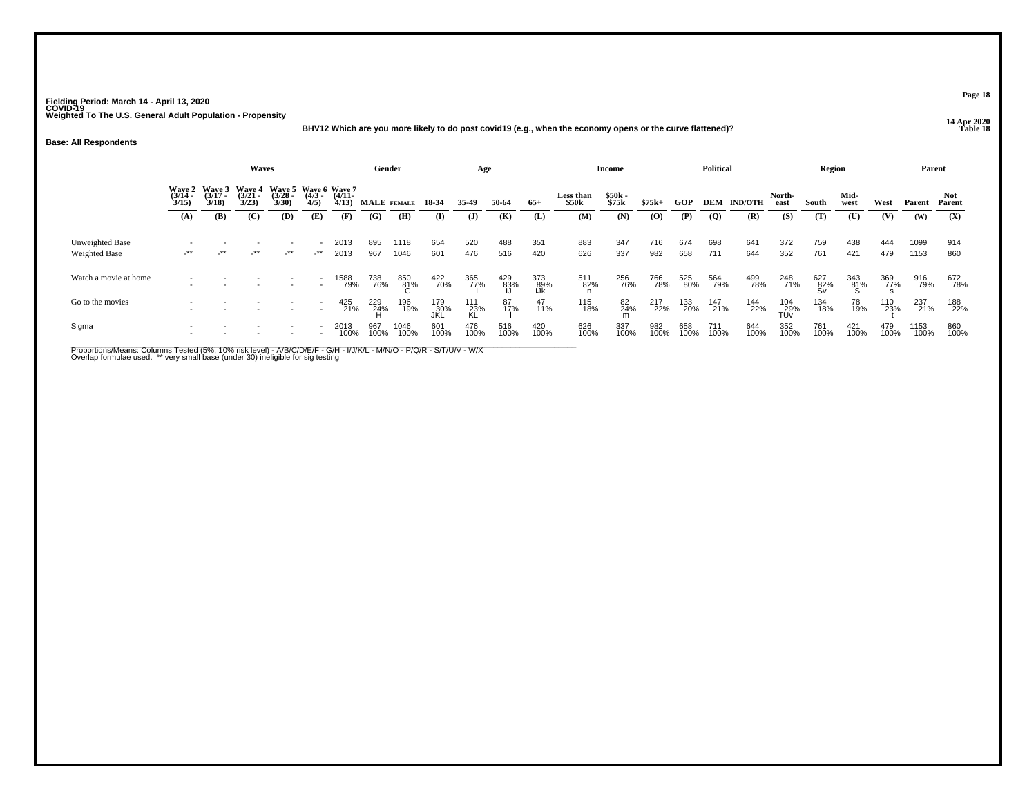### **14 Apr 2020 BHV12 Which are you more likely to do post covid19 (e.g., when the economy opens or the curve flattened)?**

#### **Base: All Respondents**

|                                  |                                                                                                                                                                                                                                      |            | Waves  |        |                          |              | Gender      |              |             | Age              |                 |                   |                                | <b>Income</b>  |             |             | <b>Political</b> |                    |                   | Region           |                |             | Parent       |               |
|----------------------------------|--------------------------------------------------------------------------------------------------------------------------------------------------------------------------------------------------------------------------------------|------------|--------|--------|--------------------------|--------------|-------------|--------------|-------------|------------------|-----------------|-------------------|--------------------------------|----------------|-------------|-------------|------------------|--------------------|-------------------|------------------|----------------|-------------|--------------|---------------|
|                                  | Wave 3<br><b>Wave 4</b><br>Wave 5 Wave 6 Wave 7<br><b>Wave 2</b><br>(3/17)<br>$(3/21 -$<br>$\frac{(3728)}{3/30}$<br>$(3/14 -$<br>$\frac{(4/3)}{4/5}$<br>$(4/11 -$<br>3/15<br>3/18<br>3/23<br>4/13<br>(B)<br>(C)<br>(D)<br>(A)<br>(E) |            |        |        |                          |              | MALE FEMALE |              | 18-34       | 35.49            | 50-64           | $65+$             | Less than<br>\$50 <sub>k</sub> | \$50k<br>\$75k | $$75k+$     | GOP         |                  | <b>DEM IND/OTH</b> | North-<br>east    | South            | Mid-<br>west   | West        | Parent       | Not<br>Parent |
|                                  |                                                                                                                                                                                                                                      |            |        |        |                          | (F)          | (G)         | (H)          | $\bf{I}$    | $\mathbf{J}$     | (K)             | (L)               | (M)                            | (N)            | (0)         | (P)         | $\overline{Q}$   | (R)                | (S)               | (T)              | $(\mathbf{U})$ | (V)         | (W)          | (X)           |
| Unweighted Base<br>Weighted Base | $-***$                                                                                                                                                                                                                               | $\cdot$ ** | $-***$ | $-***$ | $\rightarrow$            | 2013<br>2013 | 895<br>967  | 1118<br>1046 | 654<br>601  | 520<br>476       | 488<br>516      | 351<br>420        | 883<br>626                     | 347<br>337     | 716<br>982  | 674<br>658  | 698<br>711       | 641<br>644         | 372<br>352        | 759<br>761       | 438<br>421     | 444<br>479  | 1099<br>1153 | 914<br>860    |
| Watch a movie at home            | $\overline{\phantom{a}}$                                                                                                                                                                                                             |            |        |        | $\overline{\phantom{a}}$ | 1588<br>79%  | 738<br>76%  | 850<br>81%   | 422<br>70%  | 365<br>77%       | $^{429}_{83\%}$ | 373<br>89%<br>IJk | 511<br>82%                     | 256<br>76%     | 766<br>78%  | 525<br>80%  | 564<br>79%       | 499<br>78%         | 248<br>71%        | 627<br>82%<br>Sv | 343<br>81%     | 369<br>77%  | 916<br>79%   | 672<br>78%    |
| Go to the movies                 |                                                                                                                                                                                                                                      |            |        |        | $\overline{\phantom{a}}$ | 425<br>21%   | 229<br>24%  | 196<br>19%   | 179<br>30%  | 111<br>23%<br>KL | 87<br>17%       | 47<br>11%         | 115<br>18%                     | 82<br>24%<br>m | 217<br>22%  | 133<br>20%  | 147<br>21%       | 144<br>22%         | 104<br>29%<br>TUv | 134<br>18%       | 78<br>19%      | 110<br>23%  | 237<br>21%   | 188<br>22%    |
| Sigma                            |                                                                                                                                                                                                                                      |            |        |        | ٠                        | 2013<br>100% | 967<br>100% | 1046<br>100% | 601<br>100% | 476<br>100%      | 516<br>100%     | 420<br>100%       | 626<br>100%                    | 337<br>100%    | 982<br>100% | 658<br>100% | 711<br>100%      | 644<br>100%        | 352<br>100%       | 761<br>100%      | 421<br>100%    | 479<br>100% | 1153<br>100% | 860<br>100%   |

Proportions/Means: Columns Tested (5%, 10% risk level) - A/B/C/D/E/F - G/H - I/J/K/L - M/N/O - P/Q/R - S/T/U/V - W/X<br>Overlap formulae used. \*\* very small base (under 30) ineligible for sig testing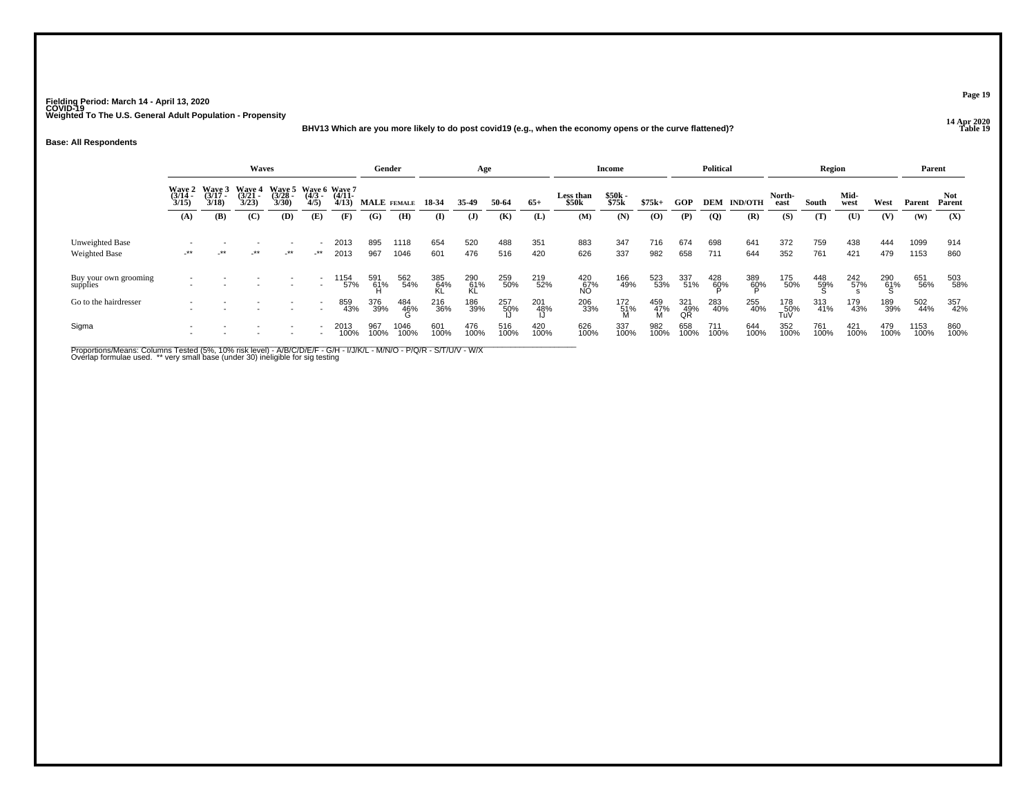### **14 Apr 2020 BHV13 Which are you more likely to do post covid19 (e.g., when the economy opens or the curve flattened)?**

#### **Base: All Respondents**

|                                         |                                                                                                                                                                                                                                  |            | Waves  |        |                          |              | Gender      |              |             | Age              |             |             |                                | Income          |                    |                  | <b>Political</b> |                    |                   | Region      |                |             | Parent       |                |
|-----------------------------------------|----------------------------------------------------------------------------------------------------------------------------------------------------------------------------------------------------------------------------------|------------|--------|--------|--------------------------|--------------|-------------|--------------|-------------|------------------|-------------|-------------|--------------------------------|-----------------|--------------------|------------------|------------------|--------------------|-------------------|-------------|----------------|-------------|--------------|----------------|
|                                         | Wave 5 Wave 6 Wave 7<br>Wave 3<br><b>Wave 4</b><br><b>Wave 2</b><br>(3/17)<br>$(3/21 -$<br>$(3/14 -$<br>$(3/28 -$<br>$\frac{(4/3)}{4/5}$<br>$(4/11 -$<br>3/30<br>3/15<br>3/18<br>3/23<br>4/13<br>(B)<br>(C)<br>(D)<br>(E)<br>(A) |            |        |        |                          |              | MALE FEMALE |              | 18-34       | 35.49            | 50-64       | $65+$       | Less than<br>\$50 <sub>k</sub> | \$50k<br>\$75k  | $$75k+$            | GOP              |                  | <b>DEM IND/OTH</b> | North-<br>east    | South       | Mid-<br>west   | West        | Parent       | Not.<br>Parent |
|                                         |                                                                                                                                                                                                                                  |            |        |        |                          | (F)          | (G)         | (H)          | $\bf{I}$    | $\mathbf{J}$     | (K)         | (L)         | (M)                            | (N)             | (0)                | (P)              | $\overline{Q}$   | (R)                | (S)               | (T)         | $(\mathbf{U})$ | (V)         | (W)          | (X)            |
| Unweighted Base<br><b>Weighted Base</b> | $-***$                                                                                                                                                                                                                           | $\cdot$ ** | $-***$ | $-***$ | $-***$                   | 2013<br>2013 | 895<br>967  | 1118<br>1046 | 654<br>601  | 520<br>476       | 488<br>516  | 351<br>420  | 883<br>626                     | 347<br>337      | 716<br>982         | 674<br>658       | 698<br>711       | 641<br>644         | 372<br>352        | 759<br>761  | 438<br>421     | 444<br>479  | 1099<br>1153 | 914<br>860     |
| Buy your own grooming<br>supplies       |                                                                                                                                                                                                                                  |            |        |        | $\overline{\phantom{a}}$ | 1154<br>57%  | 591<br>61%  | 562<br>54%   | 385<br>64%  | 290<br>61%<br>KL | 259<br>50%  | 219<br>52%  | 420<br>67%<br>NO               | 166<br>49%      | 523<br>53%         | 337<br>51%       | 428<br>60%       | 389<br>60%         | 175<br>50%        | 448<br>59%  | 242<br>57%     | 290<br>61%  | 651<br>56%   | 503<br>58%     |
| Go to the hairdresser                   | $\overline{\phantom{a}}$                                                                                                                                                                                                         |            |        |        | $\overline{\phantom{a}}$ | 859<br>43%   | 376<br>39%  | 484<br>46%   | 216<br>36%  | 186<br>39%       | 257<br>50%  | 201<br>48%  | 206<br>33%                     | 172<br>51%<br>M | 459<br>-47%<br>- M | 321<br>49%<br>QR | 283<br>40%       | 255<br>40%         | 178<br>50%<br>TuV | 313<br>41%  | 179<br>43%     | 189<br>39%  | 502<br>44%   | 357<br>42%     |
| Sigma                                   |                                                                                                                                                                                                                                  |            |        |        |                          | 2013<br>100% | 967<br>100% | 1046<br>100% | 601<br>100% | 476<br>100%      | 516<br>100% | 420<br>100% | 626<br>100%                    | 337<br>100%     | 982<br>100%        | 658<br>100%      | 711<br>100%      | 644<br>100%        | 352<br>100%       | 761<br>100% | 421<br>100%    | 479<br>100% | 1153<br>100% | 860<br>100%    |

Proportions/Means: Columns Tested (5%, 10% risk level) - A/B/C/D/E/F - G/H - I/J/K/L - M/N/O - P/Q/R - S/T/U/V - W/X<br>Overlap formulae used. \*\* very small base (under 30) ineligible for sig testing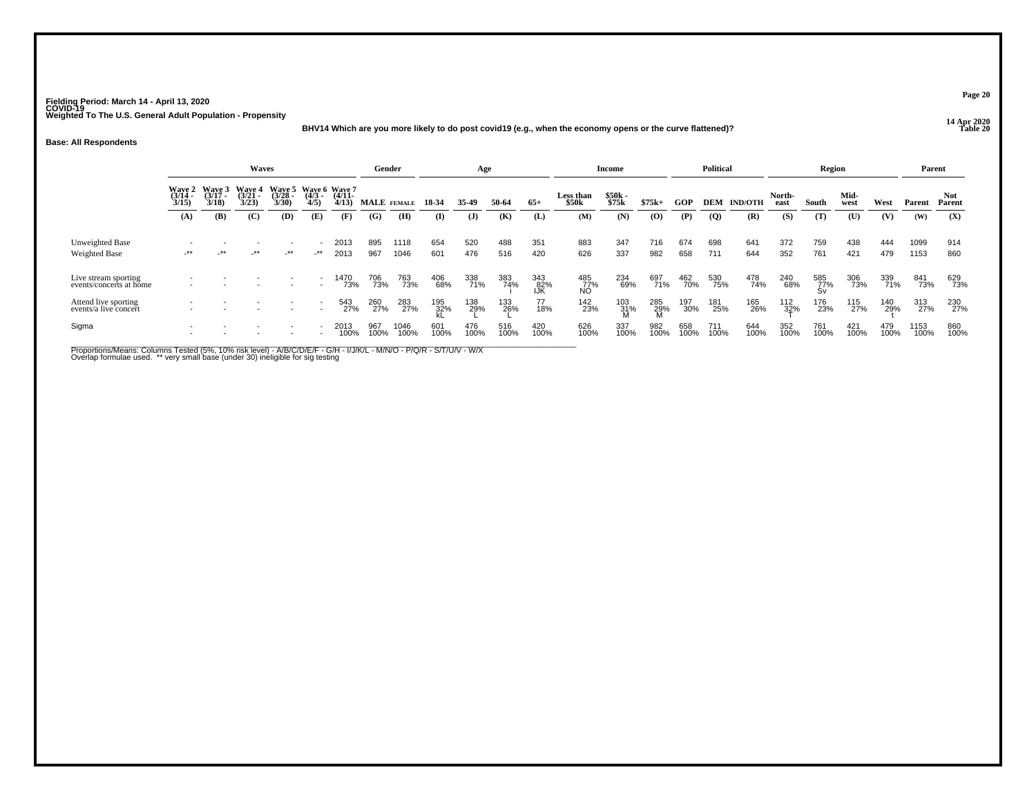### **14 Apr 2020 BHV14 Which are you more likely to do post covid19 (e.g., when the economy opens or the curve flattened)?**

#### **Base: All Respondents**

|                                                 |                 |                                             | Waves                              |                   |                                             |                   | Gender      |              |             | Age          |             |                   |                    | <b>Income</b>   |             |             | <b>Political</b> |                |                | Region           |              |             | Parent       |                |
|-------------------------------------------------|-----------------|---------------------------------------------|------------------------------------|-------------------|---------------------------------------------|-------------------|-------------|--------------|-------------|--------------|-------------|-------------------|--------------------|-----------------|-------------|-------------|------------------|----------------|----------------|------------------|--------------|-------------|--------------|----------------|
|                                                 |                 | Wave 2 Wave 3<br>(3/14 (3/17<br>3/15) 3/18) | <b>Wave 4</b><br>$(3/21 -$<br>3/23 | $(3/28 -$<br>3/30 | Wave 5 Wave 6 Wave 7<br>$\frac{(4/3)}{4/5}$ | $(4/11 -$<br>4/13 |             | MALE FEMALE  | 18-34       | 35.49        | 50-64       | $65+$             | Less than<br>\$50k | \$50k<br>\$75k  | $$75k+$     | GOP         | <b>DEM</b>       | <b>IND/OTH</b> | North-<br>east | South            | Mid-<br>west | West        | Parent       | Not.<br>Parent |
|                                                 | (A)             | (B)                                         | (C)                                | (D)               | (E)                                         | (F)               | (G)         | (H)          | (I)         | $\mathbf{J}$ | (K)         | (L)               | (M)                | (N)             | (O)         | (P)         | $\overline{Q}$   | (R)            | (S)            | (T)              | (U)          | (V)         | (W)          | (X)            |
| Unweighted Base<br>Weighted Base                | $^{\star\star}$ | $\cdot$ **                                  | $-***$                             | $-***$            | -**                                         | 2013<br>2013      | 895<br>967  | 1118<br>1046 | 654<br>601  | 520<br>476   | 488<br>516  | 351<br>420        | 883<br>626         | 347<br>337      | 716<br>982  | 674<br>658  | 698<br>711       | 641<br>644     | 372<br>352     | 759<br>761       | 438<br>421   | 444<br>479  | 1099<br>1153 | 914<br>860     |
| Live stream sporting<br>events/concerts at home |                 |                                             |                                    |                   |                                             | 1470<br>73%       | 706<br>73%  | 763<br>73%   | 406<br>68%  | 338<br>71%   | 383<br>74%  | 343<br>82%<br>IJK | 485<br>77%<br>NO   | 234<br>69%      | 697<br>71%  | 462<br>70%  | 530<br>75%       | 478<br>74%     | 240<br>68%     | 585<br>77%<br>Sv | 306<br>73%   | 339<br>71%  | 841<br>73%   | 629<br>73%     |
| Attend live sporting<br>events/a live concert   |                 |                                             |                                    |                   |                                             | 543<br>27%        | 260<br>27%  | 283<br>27%   | 195<br>32%  | 138<br>29%   | 133<br>26%  | 77<br>18%         | 142<br>23%         | 103<br>31%<br>M | 285<br>29%  | 197<br>30%  | 181<br>25%       | 165<br>26%     | 112<br>32%     | 176<br>23%       | 115<br>27%   | 140<br>29%  | 313<br>27%   | 230<br>27%     |
| Sigma                                           |                 |                                             |                                    |                   | ٠                                           | 2013<br>100%      | 967<br>100% | 1046<br>100% | 601<br>100% | 476<br>100%  | 516<br>100% | 420<br>100%       | 626<br>100%        | 337<br>100%     | 982<br>100% | 658<br>100% | 711<br>100%      | 644<br>100%    | 352<br>100%    | 761<br>100%      | 421<br>100%  | 479<br>100% | 1153<br>100% | 860<br>100%    |

Proportions/Means: Columns Tested (5%, 10% risk level) - A/B/C/D/E/F - G/H - I/J/K/L - M/N/O - P/Q/R - S/T/U/V - W/X<br>Overlap formulae used. \*\* very small base (under 30) ineligible for sig testing

**Page 20**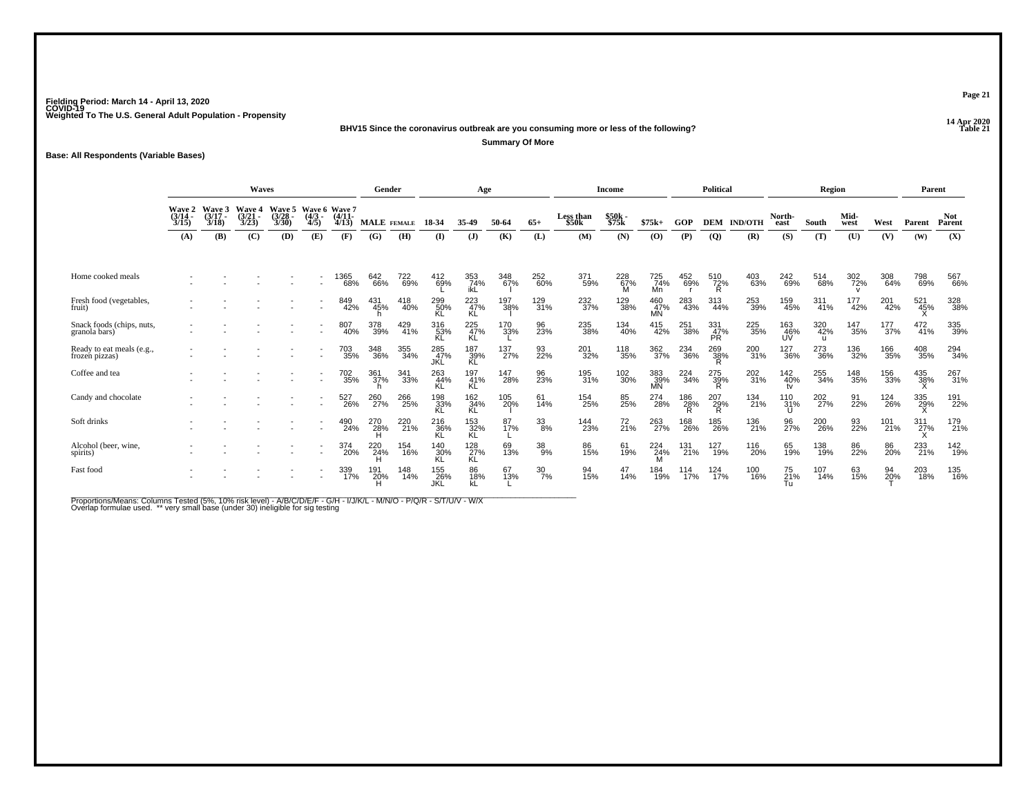**14 Apr 2020 BHV15 Since the coronavirus outbreak are you consuming more or less of the following?**

**Summary Of More**

**Base: All Respondents (Variable Bases)**

|                                             |                                    |                | Waves                   |                                    |                                  |                         |                    | Gender                   |                          | Age                     |            |                  |                                | <b>Income</b>  |                  |            | <b>Political</b>        |                |                  | Region                     |              |            | Parent     |                      |
|---------------------------------------------|------------------------------------|----------------|-------------------------|------------------------------------|----------------------------------|-------------------------|--------------------|--------------------------|--------------------------|-------------------------|------------|------------------|--------------------------------|----------------|------------------|------------|-------------------------|----------------|------------------|----------------------------|--------------|------------|------------|----------------------|
|                                             | <b>Wave 2</b><br>$(3/14 -$<br>3/15 | Wave 3<br>3/18 | Wave 4<br>(3/21<br>3/23 | <b>Wave 5</b><br>$(3/28 -$<br>3/30 | Wave 6 Wave 7<br>$(4/3 -$<br>4/5 | $(4/11 -$<br>4/13       |                    | <b>MALE</b> FEMALE       | 18-34                    | 35-49                   | 50-64      | $65+$            | Less than<br>\$50 <sub>k</sub> | \$50k<br>\$75k | $$75k+$          | <b>GOP</b> | <b>DEM</b>              | <b>IND/OTH</b> | North-<br>east   | South                      | Mid-<br>west | West       | Parent     | <b>Not</b><br>Parent |
|                                             | (A)                                | (B)            | (C)                     | (D)                                | (E)                              | (F)                     | (G)                | (H)                      | $\bf(I)$                 | (J)                     | (K)        | (L)              | (M)                            | (N)            | (0)              | (P)        | $\overline{Q}$          | (R)            | (S)              | (T)                        | (U)          | (V)        | (W)        | (X)                  |
| Home cooked meals                           |                                    |                |                         |                                    |                                  | <sup>1</sup> 365<br>68% | 642<br>66%         | 722<br>69%               | 412<br>69%               | 353<br>74%<br>ikL       | 348<br>67% | 252<br>60%       | 371<br>59%                     | 228<br>67%     | 725<br>74%<br>Mn | 452<br>69% | 510<br>72%<br>R         | 403<br>63%     | 242<br>69%       | 514<br>68%                 | 302<br>72%   | 308<br>64% | 798<br>69% | 567<br>66%           |
| Fresh food (vegetables,<br>fruit)           |                                    |                |                         |                                    |                                  | 849<br>42%              | 431<br>45%         | 418<br>40%               | 299<br>50%<br>KL         | 223<br>47%<br>KĹ        | 197<br>38% | 129<br>31%       | 232<br>37%                     | 129<br>38%     | 460<br>47%<br>МŃ | 283<br>43% | 313<br>44%              | 253<br>39%     | 159<br>45%       | 311<br>41%                 | 177<br>42%   | 201<br>42% | 521<br>45% | 328<br>38%           |
| Snack foods (chips, nuts,<br>granola bars)  |                                    |                |                         |                                    |                                  | 807<br>40%              | 378<br>39%         | 429<br>41%               | 316<br>53%<br>KL         | 225<br>47%<br>KL        | 170<br>33% | 96<br>23%        | 235<br>38%                     | 134<br>40%     | 415<br>42%       | 251<br>38% | 331<br>47%<br><b>PR</b> | 225<br>35%     | 163<br>46%<br>UV | 320<br>42%<br>$\mathbf{H}$ | 147<br>35%   | 177<br>37% | 472<br>41% | 335<br>39%           |
| Ready to eat meals (e.g.,<br>frozen pizzas) |                                    |                |                         |                                    |                                  | 703<br>35%              | 348<br>36%         | 355<br>34%               | 285<br>47%<br><b>JKL</b> | 187<br>39%<br><b>KL</b> | 137<br>27% | 93<br>22%        | 201<br>32%                     | 118<br>35%     | 362<br>37%       | 234<br>36% | 269<br>38%<br>R         | 200<br>31%     | 127<br>36%       | 273<br>36%                 | 136<br>32%   | 166<br>35% | 408<br>35% | 294<br>34%           |
| Coffee and tea                              |                                    |                |                         |                                    | $\overline{\phantom{a}}$         | 702<br>35%              | $\frac{361}{37\%}$ | 341<br>33%               | 263<br>44%<br>KL         | 197<br>41%<br>KL        | 147<br>28% | 96<br>23%        | 195<br>31%                     | 102<br>30%     | 383<br>39%<br>MÑ | 224<br>34% | 275<br>39%<br>R.        | 202<br>31%     | 142<br>40%<br>tv | 255<br>34%                 | 148<br>35%   | 156<br>33% | 435<br>38% | 267<br>31%           |
| Candy and chocolate                         |                                    |                |                         |                                    |                                  | 527<br>26%              | 260<br>27%         | 266<br>25%               | 198<br>33%<br>KL         | 162<br>34%<br>KL        | 105<br>20% | 61<br>14%        | 154<br>25%                     | 85<br>25%      | 274<br>28%       | 186<br>28% | 207<br>$\frac{29}{R}$   | 134<br>21%     | $^{110}_{31\%}$  | 202<br>27%                 | 91<br>22%    | 124<br>26% | 335<br>29% | 191<br>22%           |
| Soft drinks                                 |                                    |                |                         |                                    |                                  | 490<br>24%              | 270<br>28%         | 220<br>$\overline{21}$ % | 216<br>36%               | 153<br>32%<br>KL        | 87<br>17%  | $\frac{33}{8\%}$ | 144<br>23%                     | 72<br>21%      | 263<br>27%       | 168<br>26% | 185<br>26%              | 136<br>21%     | 96<br>27%        | 200<br>26%                 | 93<br>22%    | 101<br>21% | 311<br>27% | 179<br>21%           |
| Alcohol (beer, wine,<br>spirits)            |                                    |                |                         |                                    |                                  | 374<br>20%              | 220<br>24%         | 154<br>16%               | 140<br>30%<br>KL         | 128%<br>KL              | 69<br>13%  | $^{38}_{9\%}$    | 86<br>15%                      | 61<br>19%      | 224<br>24%       | 131<br>21% | 127<br>19%              | 116<br>20%     | 65<br>19%        | 138<br>19%                 | 86<br>22%    | 86<br>20%  | 233<br>21% | 142<br>19%           |
| Fast food                                   |                                    |                |                         |                                    |                                  | 339<br>17%              | 191<br>`20%<br>H   | 148<br>14%               | 155<br>_26%<br>JKL       | 86<br>18%               | 67<br>13%  | 30<br>7%         | 94<br>15%                      | 47<br>14%      | 184<br>19%       | 114<br>17% | 124<br>17%              | 100<br>16%     | 75<br>21%<br>Тu  | 107<br>14%                 | 63<br>15%    | 94<br>20%  | 203<br>18% | 135<br>16%           |

Proportions/Means: Columns Tested (5%, 10% risk level) - A/B/C/D/E/F - G/H - I/J/K/L - M/N/O - P/Q/R - S/T/U/V - W/X<br>Overlap formulae used. \*\* very small base (under 30) ineligible for sig testing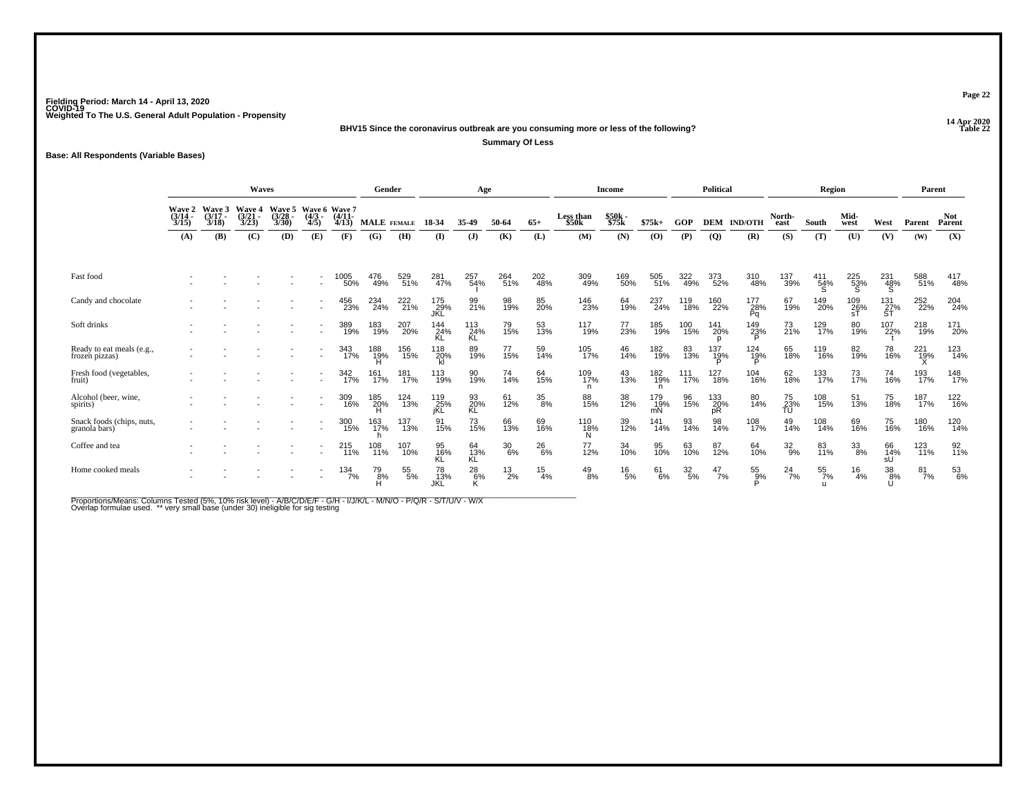**14 Apr 2020 BHV15 Since the coronavirus outbreak are you consuming more or less of the following?**

**Summary Of Less**

**Base: All Respondents (Variable Bases)**

|                                            | Waves                     |                             |                             |                             |                                  |                     | Gender             |            |                    | Age                      |               |                 |                                | Income         |                                          |                  | Political        |                     |                       | Region           |              |                  | Parent     |                      |
|--------------------------------------------|---------------------------|-----------------------------|-----------------------------|-----------------------------|----------------------------------|---------------------|--------------------|------------|--------------------|--------------------------|---------------|-----------------|--------------------------------|----------------|------------------------------------------|------------------|------------------|---------------------|-----------------------|------------------|--------------|------------------|------------|----------------------|
|                                            | Wave 2<br>(3/14 -<br>3/15 | Wave 3<br>$(3/17 -$<br>3/18 | Wave 4<br>$(3/21 -$<br>3/23 | Wave 5<br>$(3/28 -$<br>3/30 | Wave 6 Wave 7<br>$(4/3 -$<br>4/5 | $(4/11 -$<br>4/13   | <b>MALE</b> FEMALE |            | 18-34              | 35-49                    | 50-64         | $65+$           | Less than<br>\$50 <sub>k</sub> | \$50k<br>\$75k | $$75k+$                                  | <b>GOP</b>       | <b>DEM</b>       | <b>IND/OTH</b>      | North-<br>east        | South            | Mid-<br>west | West             | Parent     | <b>Not</b><br>Parent |
|                                            | (A)                       | (B)                         | (C)                         | (D)                         | (E)                              | (F)                 | (G)                | (H)        | (I)                | (J)                      | (K)           | (L)             | (M)                            | (N)            | $\boldsymbol{\left( \mathbf{O} \right)}$ | (P)              | $\overline{Q}$   | (R)                 | (S)                   | (T)              | (U)          | (V)              | (W)        | (X)                  |
| Fast food                                  |                           |                             |                             |                             |                                  | <sup>1005</sup> 50% | 476<br>49%         | 529<br>51% | 281<br>47%         | 257<br>54%               | 264<br>51%    | 202<br>48%      | 309<br>49%                     | 169<br>50%     | 505<br>51%                               | 322<br>49%       | 373<br>52%       | 310<br>48%          | 137<br>39%            | $^{411}_{54\%}$  | 225<br>53%   | 231<br>48%<br>Š  | 588<br>51% | 417<br>48%           |
| Candy and chocolate                        |                           |                             |                             |                             |                                  | 456<br>23%          | 234<br>24%         | 222<br>21% | 175<br>_29%<br>JKL | 99<br>21%                | 98<br>19%     | 85<br>20%       | 146<br>23%                     | 64<br>19%      | 237<br>24%                               | 119<br>18%       | 160<br>22%       | 177<br>28%<br>Pq    | 67<br>19%             | 149<br>20%       | 109<br>26%   | 131<br>27%<br>ST | 252<br>22% | 204<br>24%           |
| Soft drinks                                |                           |                             |                             |                             |                                  | 389<br>19%          | 183<br>19%         | 207<br>20% | 144<br>24%<br>KL   | $\frac{113}{24\%}$<br>ΚL | 79<br>15%     | 53<br>13%       | 117<br>19%                     | 77<br>23%      | 185<br>19%                               | 100<br>15%       | 141<br>20%       | 149<br>23%          | 73<br>21%             | 129<br>17%       | 80<br>19%    | 107<br>22%       | 218<br>19% | 171<br>20%           |
| Ready to eat meals (e.g., frozen pizzas)   |                           |                             |                             |                             |                                  | 343<br>17%          | 188<br>19%<br>H    | 156<br>15% | 118<br>20%         | 89<br>19%                | 77<br>15%     | 59<br>14%       | 105<br>17%                     | 46<br>14%      | 182<br>19%                               | 83<br>13%        | 137<br>19%       | 124<br>1 <u>9</u> % | 65<br>18%             | 119<br>16%       | 82<br>19%    | 78<br>16%        | 221<br>19% | 123<br>14%           |
| Fresh food (vegetables,<br>fruit)          |                           |                             |                             |                             |                                  | 342<br>17%          | 161<br>17%         | 181<br>17% | 113<br>19%         | 90<br>19%                | 74<br>14%     | 64<br>15%       | 109<br>17%<br>n                | 43<br>13%      | 182<br>19%                               | 111<br>17%       | 127<br>18%       | 104<br>16%          | 62<br>18%             | 133<br>17%       | 73<br>17%    | 74<br>16%        | 193<br>17% | 148<br>17%           |
| Alcohol (beer, wine,<br>spirits)           |                           |                             |                             |                             |                                  | 309<br>16%          | 185<br>20%<br>H    | 124<br>13% | 119<br>_25%<br>jKL | 93<br>20%<br>KL          | 61<br>12%     | 35<br>8%        | 88<br>15%                      | 38<br>12%      | 179<br>19%<br>mN                         | 96<br>15%        | 133<br>20%<br>рŔ | 80<br>14%           | 75<br>23%<br>TU       | 108<br>15%       | 51<br>13%    | 75<br>18%        | 187<br>17% | 122<br>16%           |
| Snack foods (chips, nuts,<br>granola bars) |                           |                             |                             |                             |                                  | 300<br>15%          | 163<br>17%         | 137<br>13% | 91<br>15%          | 73<br>15%                | 66<br>13%     | 69<br>16%       | 110<br>18%                     | 39<br>12%      | 141<br>14%                               | 93<br>14%        | 98<br>14%        | 108<br>17%          | 49<br>14%             | 108<br>14%       | 69<br>16%    | 75<br>16%        | 180<br>16% | 120<br>14%           |
| Coffee and tea                             |                           |                             |                             |                             |                                  | $^{215}_{11\%}$     | 108<br>11%         | 107<br>10% | 95<br>16%<br>KĽ    | 64<br>13%<br>KL          | $^{30}_{6\%}$ | $^{26}_{6\%}$   | 77<br>12%                      | 34<br>10%      | 95<br>10%                                | 63<br>10%        | 87<br>12%        | 64<br>10%           | $\frac{32}{9\%}$      | 83<br>11%        | 33<br>8%     | 66<br>14%<br>sU  | 123<br>11% | 92<br>11%            |
| Home cooked meals                          |                           |                             |                             |                             |                                  | 134<br>7%           | 79<br>.8%<br>H     | 55<br>5%   | 78<br>13%<br>JKL   | $^{28}_{6\%}$            | $^{13}_{2\%}$ | $\frac{15}{4%}$ | $^{49}_{8\%}$                  | $^{16}_{5\%}$  | 61<br>6%                                 | $\frac{32}{5\%}$ | $\frac{47}{7\%}$ | 55<br>9%            | $^{24}$ <sup>7%</sup> | $\frac{55}{7\%}$ | 16<br>4%     | 38<br>8%         | 81<br>7%   | 53<br>6%             |

Proportions/Means: Columns Tested (5%, 10% risk level) - A/B/C/D/E/F - G/H - I/J/K/L - M/N/O - P/Q/R - S/T/U/V - W/X<br>Overlap formulae used. \*\* very small base (under 30) ineligible for sig testing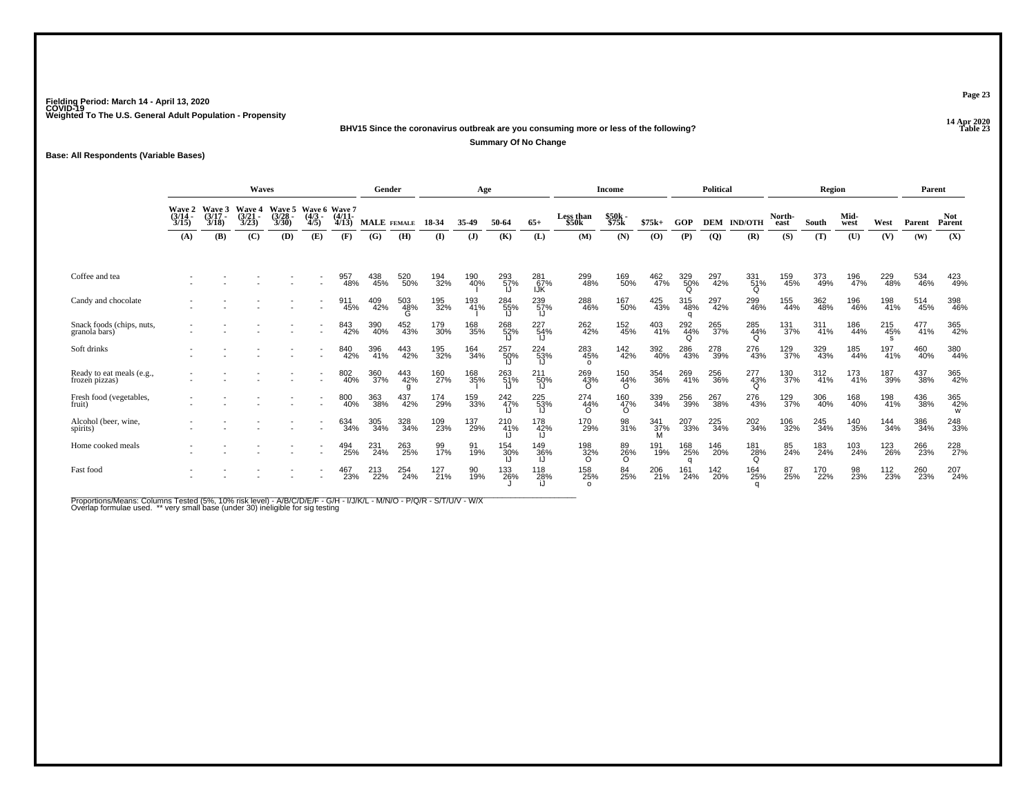**14 Apr 2020 BHV15 Since the coronavirus outbreak are you consuming more or less of the following?P Table 23** 

**Summary Of No Change**

**Base: All Respondents (Variable Bases)**

|                                            |                                    |                | <b>Waves</b>                |                                    |                                   |               |            | Gender             |            | Age        |            |                   |                        | Income                 |                    |            | Political      |                 |                | Region     |              |            | Parent     |                      |
|--------------------------------------------|------------------------------------|----------------|-----------------------------|------------------------------------|-----------------------------------|---------------|------------|--------------------|------------|------------|------------|-------------------|------------------------|------------------------|--------------------|------------|----------------|-----------------|----------------|------------|--------------|------------|------------|----------------------|
|                                            | <b>Wave 2</b><br>$(3/14 -$<br>3/15 | Wave 3<br>3/18 | Wave 4<br>$(3/21 -$<br>3/23 | <b>Wave 5</b><br>$(3/28 -$<br>3/30 | Wave 6 Wave 7<br>$(4/3 -$<br>4/5) | (4/11<br>4/13 |            | <b>MALE</b> FEMALE | 18-34      | 35-49      | 50-64      | $65+$             | Less than<br>\$50k     | \$50k<br>\$75k         | $$75k+$            | GOP        | DEM            | <b>IND/OTH</b>  | North-<br>east | South      | Mid-<br>west | West       | Parent     | <b>Not</b><br>Parent |
|                                            | (A)                                | (B)            | (C)                         | (D)                                | (E)                               | (F)           | (G)        | (H)                | $\bf{I}$   | (J)        | (K)        | (L)               | (M)                    | (N)                    | (0)                | (P)        | $\overline{Q}$ | (R)             | (S)            | (T)        | (U)          | (V)        | (W)        | (X)                  |
| Coffee and tea                             |                                    |                |                             |                                    |                                   | 957<br>48%    | 438<br>45% | 520<br>50%         | 194<br>32% | 190<br>40% | 293<br>57% | 281<br>67%<br>IJK | 299<br>48%             | 169<br>50%             | 462<br>47%         | 329<br>50% | 297<br>42%     | 331<br>51%<br>O | 159<br>45%     | 373<br>49% | 196<br>47%   | 229<br>48% | 534<br>46% | 423<br>49%           |
| Candy and chocolate                        |                                    |                |                             |                                    |                                   | 911<br>45%    | 409<br>42% | 503<br>48%         | 195<br>32% | 193<br>41% | 284<br>55% | 239<br>57%        | 288<br>46%             | 167<br>50%             | 425<br>43%         | 315<br>48% | 297<br>42%     | 299<br>46%      | 155<br>44%     | 362<br>48% | 196<br>46%   | 198<br>41% | 514<br>45% | 398<br>46%           |
| Snack foods (chips, nuts,<br>granola bars) |                                    |                |                             |                                    |                                   | 843<br>42%    | 390<br>40% | 452<br>43%         | 179<br>30% | 168<br>35% | 268<br>52% | 227<br>54%        | 262<br>42%             | 152<br>45%             | 403<br>41%         | 292<br>44% | 265<br>37%     | 285<br>44%<br>Ω | 131<br>37%     | 311<br>41% | 186<br>44%   | 215<br>45% | 477<br>41% | 365<br>42%           |
| Soft drinks                                |                                    |                |                             |                                    |                                   | 840<br>42%    | 396<br>41% | 443<br>42%         | 195<br>32% | 164<br>34% | 257<br>50% | 224<br>53%        | 283<br>45%<br>$\Omega$ | 142<br>42%             | 392<br>40%         | 286<br>43% | 278<br>39%     | 276<br>43%      | 129<br>37%     | 329<br>43% | 185<br>44%   | 197<br>41% | 460<br>40% | 380<br>44%           |
| Ready to eat meals (e.g., frozen pizzas)   |                                    |                |                             |                                    | $\overline{\phantom{a}}$          | 802<br>40%    | 360<br>37% | 443<br>42%         | 160<br>27% | 168<br>35% | 263<br>51% | 211<br>50%        | 269<br>43%<br>O        | 150<br>44%<br>$\circ$  | 354<br>36%         | 269<br>41% | 256<br>36%     | 277<br>43%<br>Q | 130<br>37%     | 312%       | 173<br>41%   | 187<br>39% | 437<br>38% | 365<br>42%           |
| Fresh food (vegetables,<br>fruit)          |                                    |                |                             |                                    |                                   | 800<br>40%    | 363<br>38% | 437<br>42%         | 174<br>29% | 159<br>33% | 242<br>47% | 225<br>53%        | 274<br>44%<br>∩        | 160<br>47%<br>$\Omega$ | 339<br>34%         | 256<br>39% | 267<br>38%     | 276<br>43%      | 129<br>37%     | 306<br>40% | 168<br>40%   | 198<br>41% | 436<br>38% | 365<br>42%<br>w      |
| Alcohol (beer, wine,<br>spirits)           |                                    |                |                             |                                    |                                   | 634<br>34%    | 305<br>34% | 328<br>34%         | 109<br>23% | 137<br>29% | 210<br>41% | 178<br>42%        | 170<br>29%             | 98<br>31%              | $\frac{341}{37\%}$ | 207<br>33% | 225<br>34%     | 202<br>34%      | 106<br>32%     | 245<br>34% | 140<br>35%   | 144<br>34% | 386<br>34% | 248<br>33%           |
| Home cooked meals                          |                                    |                |                             |                                    |                                   | 494<br>25%    | 231<br>24% | 263<br>25%         | 99<br>17%  | 91<br>19%  | 154<br>30% | 149<br>36%        | 198<br>32%<br>O        | 89<br>26%<br>$\circ$   | 191<br>19%         | 168<br>25% | 146<br>20%     | 181<br>28%<br>O | 85<br>24%      | 183<br>24% | 103<br>24%   | 123<br>26% | 266<br>23% | 228<br>27%           |
| Fast food                                  |                                    |                |                             |                                    |                                   | 467<br>23%    | 213<br>22% | 254<br>24%         | 127<br>21% | 90<br>19%  | 133<br>26% | 118<br>28%        | 158<br>25%<br>$\Omega$ | 84<br>25%              | 206<br>21%         | 161<br>24% | 142<br>20%     | 164<br>25%      | 87<br>25%      | 170<br>22% | 98<br>23%    | 112<br>23% | 260<br>23% | 207<br>24%           |

Proportions/Means: Columns Tested (5%, 10% risk level) - A/B/C/D/E/F - G/H - I/J/K/L - M/N/O - P/Q/R - S/T/U/V - W/X<br>Overlap formulae used. \*\* very small base (under 30) ineligible for sig testing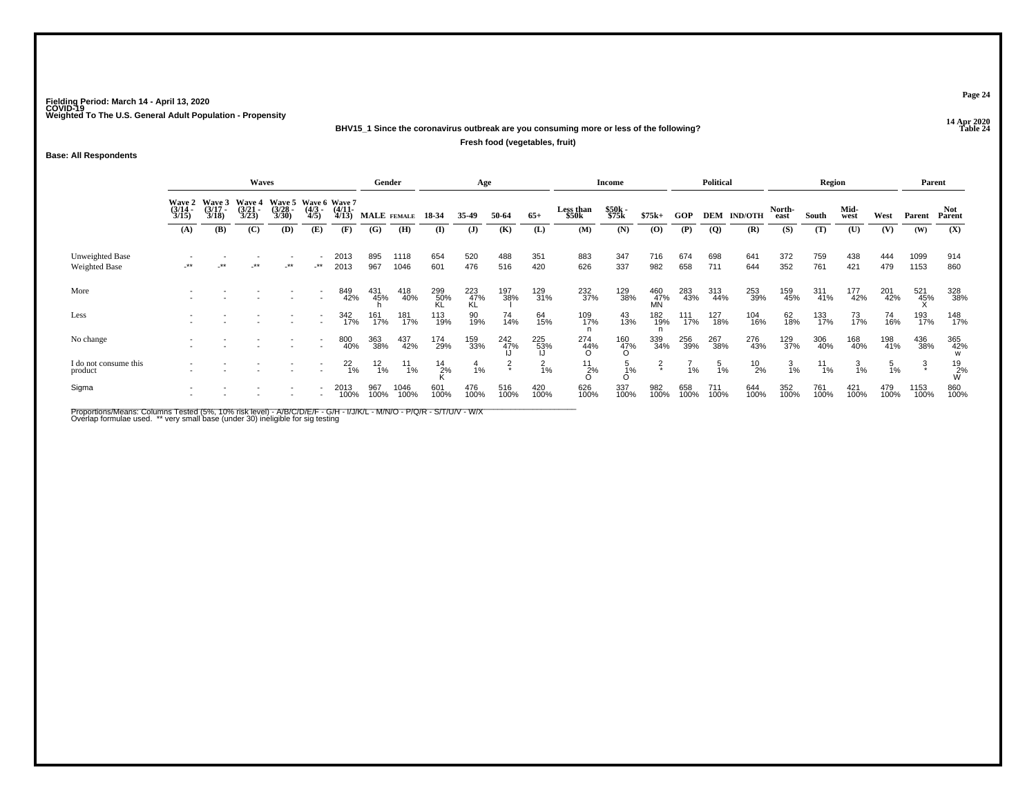### **14 Apr 2020 BHV15\_1 Since the coronavirus outbreak are you consuming more or less of the following?**

**Fresh food (vegetables, fruit)**

### **Base: All Respondents**

|                                  |                                        |                                 | <b>Waves</b>                    |                                               |                    |                       | Gender        |               |                  | Age              |               |                 |                    | <b>Income</b>   |                  |             | <b>Political</b> |                |                 | Region        |              |                 |              | Parent               |
|----------------------------------|----------------------------------------|---------------------------------|---------------------------------|-----------------------------------------------|--------------------|-----------------------|---------------|---------------|------------------|------------------|---------------|-----------------|--------------------|-----------------|------------------|-------------|------------------|----------------|-----------------|---------------|--------------|-----------------|--------------|----------------------|
|                                  | <b>Wave 2</b><br>$\frac{(3/14)}{3/15}$ | Wave 3<br>$\frac{(3/17)}{3/18}$ | Wave 4<br>$\frac{(3/21)}{3/23}$ | Wave 5 Wave 6 Wave 7<br>$\frac{(3/28)}{3/30}$ | $\binom{4/3}{4/5}$ | $\frac{(4/11)}{4/13}$ | MALE FEMALE   |               | 18-34            | 35-49            | 50-64         | $65+$           | Less than<br>\$50k | \$50k<br>\$75k  | $$75k+$          | GOP         | <b>DEM</b>       | <b>IND/OTH</b> | North-<br>east  | South         | Mid-<br>west | West            | Parent       | <b>Not</b><br>Parent |
|                                  | (A)                                    | (B)                             | (C)                             | (D)                                           | (E)                | (F)                   | (G)           | (H)           | (I)              | (J)              | (K)           | (L)             | (M)                | (N)             | $\bf{(0)}$       | (P)         | $\overline{Q}$   | (R)            | (S)             | (T)           | (U)          | (V)             | (W)          | (X)                  |
| Unweighted Base<br>Weighted Base | $***$                                  | $\cdot$ **                      | $-***$                          | $-$ **                                        | $-***$             | 2013<br>2013          | 895<br>967    | 1118<br>1046  | 654<br>601       | 520<br>476       | 488<br>516    | 351<br>420      | 883<br>626         | 347<br>337      | 716<br>982       | 674<br>658  | 698<br>711       | 641<br>644     | 372<br>352      | 759<br>761    | 438<br>421   | 444<br>479      | 1099<br>1153 | 914<br>860           |
| More                             |                                        |                                 |                                 |                                               |                    | 849<br>42%            | 431<br>45%    | 418<br>40%    | 299<br>50%<br>KL | 223<br>47%<br>KL | 197<br>38%    | 129<br>31%      | 232<br>37%         | 129<br>38%      | 460<br>47%<br>MN | 283<br>43%  | 313<br>44%       | 253<br>39%     | 159<br>45%      | 311<br>41%    | 177<br>42%   | 201<br>42%      | 521<br>45%   | 328<br>38%           |
| Less                             |                                        |                                 |                                 |                                               |                    | 342<br>17%            | 161<br>17%    | 181<br>17%    | 113<br>19%       | 90<br>19%        | 74<br>14%     | 64<br>15%       | 109<br>17%         | 43<br>13%       | 182<br>19%       | 111<br>17%  | 127<br>18%       | 104<br>16%     | 62<br>18%       | 133<br>17%    | 73<br>17%    | 74<br>16%       | 193<br>17%   | 148<br>17%           |
| No change                        |                                        |                                 |                                 |                                               |                    | 800<br>40%            | 363<br>38%    | 437<br>42%    | 174<br>29%       | 159<br>33%       | 242<br>47%    | 225<br>53%      | 274<br>44%         | 160<br>47%<br>O | 339<br>34%       | 256<br>39%  | 267<br>38%       | 276<br>43%     | 129<br>37%      | 306<br>40%    | 168<br>40%   | 198<br>41%      | 436<br>38%   | 365<br>42%           |
| I do not consume this<br>product |                                        |                                 |                                 |                                               |                    | $^{22}_{1\%}$         | $^{12}_{1\%}$ | $^{11}_{1\%}$ | $^{14}_{2\%}$    | $\frac{4}{1%}$   | $\frac{2}{x}$ | $\frac{2}{1}$ % | 11<br>2%           | $\frac{5}{1}\%$ | $\frac{2}{x}$    | 1%          | $\frac{5}{1}$ %  | $^{10}_{2\%}$  | $\frac{3}{1\%}$ | $^{11}_{1\%}$ | з<br>1%      | $\frac{5}{1\%}$ | $\ddot{3}$   | $^{19}_{2\%}$        |
| Sigma                            |                                        |                                 |                                 |                                               |                    | 2013<br>100%          | 967<br>100%   | 1046<br>100%  | 601<br>100%      | 476<br>100%      | 516<br>100%   | 420<br>100%     | 626<br>100%        | 337<br>100%     | 982<br>100%      | 658<br>100% | 711<br>100%      | 644<br>100%    | 352<br>100%     | 761<br>100%   | 421<br>100%  | 479<br>100%     | 1153<br>100% | 860<br>100%          |

Proportions/Means: Columns Tested (5%, 10% risk level) - A/B/C/D/E/F - G/H - I/J/K/L - M/N/O - P/Q/R - S/T/U/V - W/X<br>Overlap formulae used. \*\* very small base (under 30) ineligible for sig testing

**Page 24**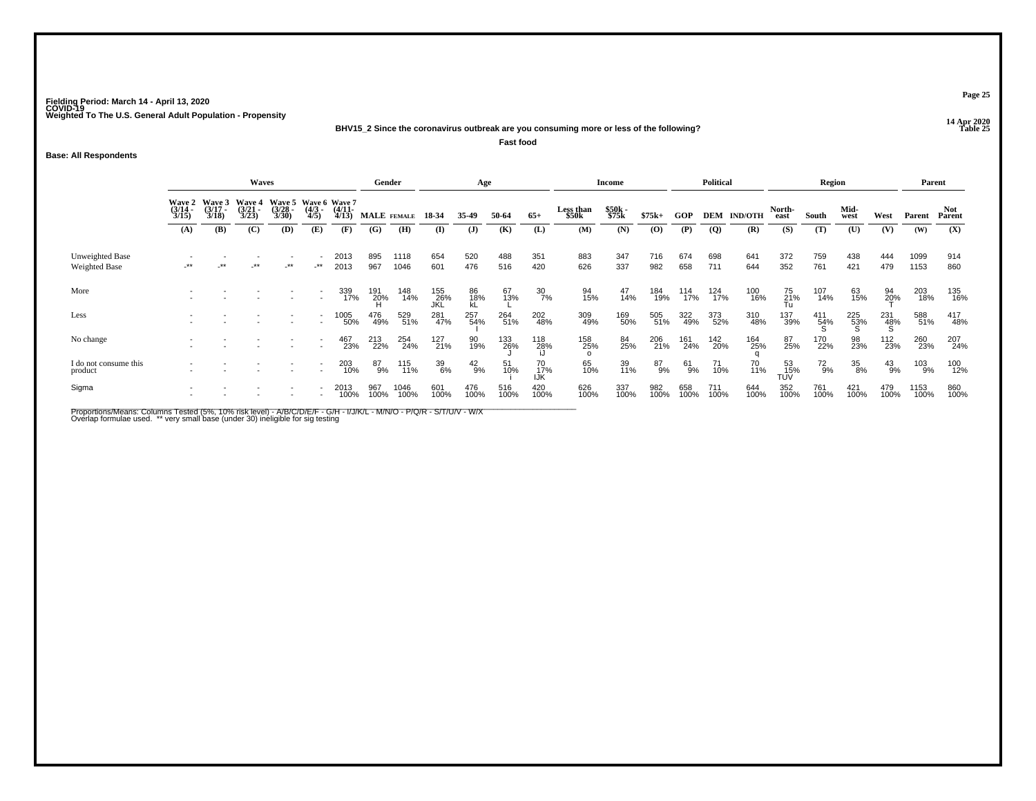**14 Apr 2020 BHV15\_2 Since the coronavirus outbreak are you consuming more or less of the following?**

**Fast food**

### **Base: All Respondents**

|                                         |                       |                                        | <b>Waves</b>                    |                                              |                    |                       | Gender          |              |                   | Age             |             |                        |                        | <b>Income</b>  |                |             | <b>Political</b> |                    |                     | Region       |                 |                   | Parent         |                      |
|-----------------------------------------|-----------------------|----------------------------------------|---------------------------------|----------------------------------------------|--------------------|-----------------------|-----------------|--------------|-------------------|-----------------|-------------|------------------------|------------------------|----------------|----------------|-------------|------------------|--------------------|---------------------|--------------|-----------------|-------------------|----------------|----------------------|
|                                         | $\frac{(3/14)}{3/15}$ | Wave 2 Wave 3<br>$\frac{(3/17)}{3/18}$ | Wave 4<br>$\frac{(3/21)}{3/23}$ | Wave 5 Wave 6 Wave 7<br>$\binom{3/28}{3/30}$ | $\binom{4/3}{4/5}$ | $\frac{(4/11)}{4/13}$ | MALE FEMALE     |              | 18-34             | 35-49           | 50-64       | $65+$                  | Less than<br>\$50k     | \$50k<br>\$75k | $$75k+$        | <b>GOP</b>  |                  | <b>DEM IND/OTH</b> | North-<br>east      | South        | Mid-<br>west    | West              | Parent         | <b>Not</b><br>Parent |
|                                         | (A)                   | (B)                                    | (C)                             | (D)                                          | (E)                | (F)                   | (G)             | (H)          | (I)               | ( <b>J</b> )    | (K)         | (L)                    | (M)                    | (N)            | $\overline{O}$ | (P)         | $\mathbf{Q}$     | (R)                | (S)                 | (T)          | (U)             | (V)               | (W)            | (X)                  |
| Unweighted Base<br><b>Weighted Base</b> | -**                   | $\cdot$ **                             | $-***$                          | $-***$                                       | $-***$             | 2013<br>2013          | 895<br>967      | 1118<br>1046 | 654<br>601        | 520<br>476      | 488<br>516  | 351<br>420             | 883<br>626             | 347<br>337     | 716<br>982     | 674<br>658  | 698<br>711       | 641<br>644         | 372<br>352          | 759<br>761   | 438<br>421      | 444<br>479        | 1099<br>1153   | 914<br>860           |
| More                                    |                       |                                        |                                 |                                              | $\sim$             | 339<br>17%            | 191<br>20%<br>H | 148<br>14%   | 155<br>26%<br>JKL | 86<br>18%<br>kL | 67<br>13%   | $\frac{30}{7\%}$       | 94<br>15%              | 47<br>14%      | 184<br>19%     | 114<br>17%  | 124<br>17%       | 100<br>16%         | 75<br>21%<br>Tu     | 107<br>14%   | 63<br>15%       | $\frac{94}{20}$ % | 203<br>18%     | 135<br>16%           |
| Less                                    |                       |                                        |                                 |                                              |                    | 1005<br>50%           | 476<br>49%      | 529<br>51%   | 281<br>47%        | 257<br>54%      | 264<br>51%  | 202<br>48%             | 309<br>49%             | 169<br>50%     | 505<br>51%     | 322<br>49%  | 373<br>52%       | 310<br>48%         | 137<br>39%          | 411<br>54%   | 225<br>53%      | 231<br>48%        | 588<br>51%     | 417<br>48%           |
| No change                               |                       |                                        |                                 |                                              |                    | 467<br>23%            | 213<br>22%      | 254<br>24%   | 127<br>21%        | 90<br>19%       | 133<br>26%  | 118<br>28%             | 158<br>25%<br>$\Omega$ | 84<br>25%      | 206<br>21%     | 161<br>24%  | 142<br>20%       | 164<br>25%         | 87<br>25%           | 170<br>22%   | 98<br>23%       | 112<br>23%        | 260<br>23%     | 207<br>24%           |
| I do not consume this<br>product        |                       |                                        |                                 |                                              |                    | 203<br>10%            | 87%             | 115<br>11%   | 39<br>6%          | $^{42}_{9\%}$   | 51<br>10%   | 70 <sub>%</sub><br>IJK | 65<br>10%              | 39<br>11%      | 87<br>9%       | 61<br>9%    | 71<br>10%        | 70<br>11%          | 53<br>-- 15%<br>TUV | $^{72}_{9%}$ | $\frac{35}{8%}$ | $^{43}_{9\%}$     | $^{103}_{9\%}$ | 100<br>12%           |
| Sigma                                   |                       |                                        |                                 |                                              |                    | 2013<br>100%          | 967<br>100%     | 1046<br>100% | 601<br>100%       | 476<br>100%     | 516<br>100% | 420<br>100%            | 626<br>100%            | 337<br>100%    | 982<br>100%    | 658<br>100% | 711<br>100%      | 644<br>100%        | 352<br>100%         | 761<br>100%  | 421<br>100%     | 479<br>100%       | 1153<br>100%   | 860<br>100%          |

Proportions/Means: Columns Tested (5%, 10% risk level) - A/B/C/D/E/F - G/H - I/J/K/L - M/N/O - P/Q/R - S/T/U/V - W/X<br>Overlap formulae used. \*\* very small base (under 30) ineligible for sig testing

**Page 25**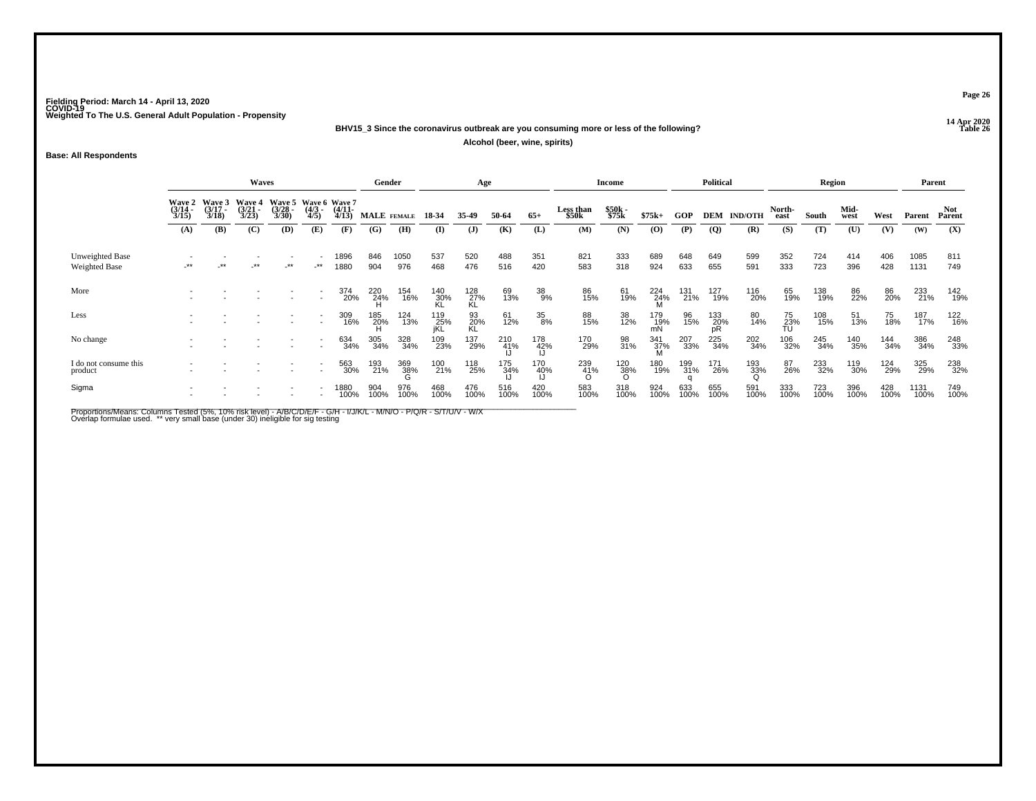**14 Apr 2020 BHV15\_3 Since the coronavirus outbreak are you consuming more or less of the following?Table 26** 

**Alcohol (beer, wine, spirits)**

**Base: All Respondents**

|                                         | <b>Waves</b>                           |                                 |                                 |                                               |                    |                       | Gender          |             |                   | Age              |             |             |                    | <b>Income</b>   |                    |             | Political        |                    |                 | Region      |              |             |              | Parent        |
|-----------------------------------------|----------------------------------------|---------------------------------|---------------------------------|-----------------------------------------------|--------------------|-----------------------|-----------------|-------------|-------------------|------------------|-------------|-------------|--------------------|-----------------|--------------------|-------------|------------------|--------------------|-----------------|-------------|--------------|-------------|--------------|---------------|
|                                         | <b>Wave 2</b><br>$\frac{(3/14)}{3/15}$ | Wave 3<br>$\frac{(3/17)}{3/18}$ | Wave 4<br>$\frac{(3/21)}{3/23}$ | Wave 5 Wave 6 Wave 7<br>$\frac{(3/28)}{3/30}$ | $\binom{4/3}{4/5}$ | $\frac{(4/11)}{4/13}$ | MALE FEMALE     |             | 18-34             | 35.49            | 50-64       | $65+$       | Less than<br>\$50k | \$50k<br>\$75k  | $$75k+$            | <b>GOP</b>  |                  | <b>DEM IND/OTH</b> | North-<br>east  | South       | Mid-<br>west | West        | Parent       | Not<br>Parent |
|                                         | (A)                                    | (B)                             | (C)                             | (D)                                           | (E)                | (F)                   | (G)             | (H)         | (I)               | $($ $)$          | (K)         | (L)         | (M)                | (N)             | $\mathbf{(O)}$     | (P)         | <b>(Q)</b>       | (R)                | (S)             | (T)         | (U)          | (V)         | (W)          | (X)           |
| Unweighted Base<br><b>Weighted Base</b> | .**                                    | $-***$                          | $\cdot^{\star\star}$            | $.**$                                         | $+$ **             | 1896<br>1880          | 846<br>904      | 1050<br>976 | 537<br>468        | 520<br>476       | 488<br>516  | 351<br>420  | 821<br>583         | 333<br>318      | 689<br>924         | 648<br>633  | 649<br>655       | 599<br>591         | 352<br>333      | 724<br>723  | 414<br>396   | 406<br>428  | 1085<br>1131 | 811<br>749    |
| More                                    |                                        |                                 |                                 |                                               | $\sim$             | 374<br>20%            | 220<br>24%<br>H | 154<br>16%  | 140<br>30%<br>KL  | 128<br>27%<br>KL | 69<br>13%   | 38<br>9%    | 86<br>15%          | 61<br>19%       | $224$<br>$24%$     | 131<br>21%  | 127<br>19%       | 116<br>20%         | 65<br>19%       | 138<br>19%  | 86<br>22%    | 86<br>20%   | 233<br>21%   | 142<br>19%    |
| Less                                    |                                        |                                 |                                 |                                               | $\overline{a}$     | 309<br>16%            | 185<br>20%      | 124<br>13%  | 119<br>25%<br>iKL | 93<br>20%<br>KL  | 61<br>12%   | 35<br>8%    | 88<br>15%          | 38<br>12%       | 179<br>19%<br>mN   | 96<br>15%   | 133<br>20%<br>pR | 80<br>14%          | 75<br>23%<br>TU | 108<br>15%  | 51<br>13%    | 75<br>18%   | 187<br>17%   | 122<br>16%    |
| No change                               |                                        |                                 |                                 |                                               |                    | 634<br>34%            | 305<br>34%      | 328<br>34%  | 109<br>23%        | 137<br>29%       | 210<br>41%  | 178<br>42%  | 170<br>29%         | 98<br>31%       | $\frac{341}{37\%}$ | 207<br>33%  | 225<br>34%       | 202<br>34%         | 106<br>32%      | 245<br>34%  | 140<br>35%   | 144<br>34%  | 386<br>34%   | 248<br>33%    |
| I do not consume this<br>product        |                                        |                                 |                                 |                                               |                    | 563<br>30%            | 193<br>21%      | 369<br>38%  | 100<br>21%        | 118<br>25%       | 175<br>34%  | 170<br>40%  | 239<br>41%         | 120<br>38%<br>O | 180<br>19%         | 199<br>31%  | 171<br>26%       | 193<br>33%         | 87<br>26%       | 233<br>32%  | 119<br>30%   | 124<br>29%  | 325<br>29%   | 238<br>32%    |
| Sigma                                   |                                        |                                 |                                 |                                               |                    | 1880<br>100%          | 904<br>100%     | 976<br>100% | 468<br>100%       | 476<br>100%      | 516<br>100% | 420<br>100% | 583<br>100%        | 318<br>100%     | 924<br>100%        | 633<br>100% | 655<br>100%      | 591<br>100%        | 333<br>100%     | 723<br>100% | 396<br>100%  | 428<br>100% | 1131<br>100% | 749<br>100%   |

Proportions/Means: Columns Tested (5%, 10% risk level) - A/B/C/D/E/F - G/H - I/J/K/L - M/N/O - P/Q/R - S/T/U/V - W/X<br>Overlap formulae used. \*\* very small base (under 30) ineligible for sig testing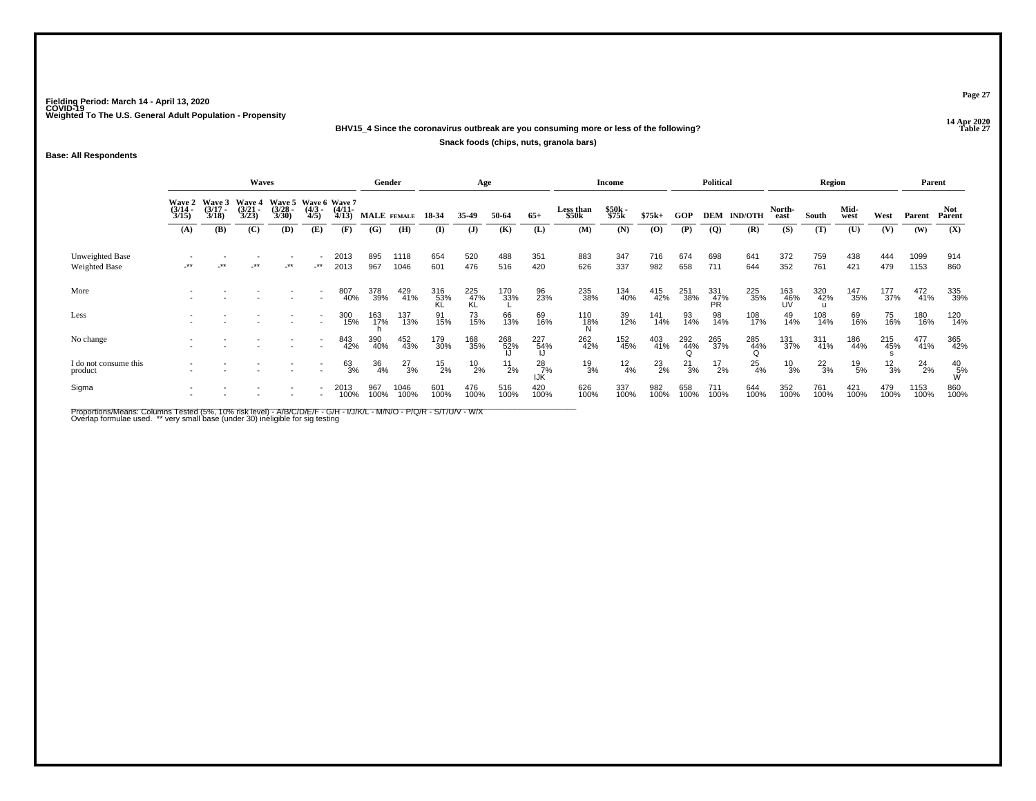### **14 Apr 2020 BHV15\_4 Since the coronavirus outbreak are you consuming more or less of the following?Snack foods (chips, nuts, granola bars)**

### **Base: All Respondents**

|                                  |                                 |                                 | Waves                                  |                                               |                     |                       | Gender      |               |                  | Age              |               |                      |                    | <b>Income</b>  |               |               | <b>Political</b> |                |                  | Region        |              |               | Parent        |                |
|----------------------------------|---------------------------------|---------------------------------|----------------------------------------|-----------------------------------------------|---------------------|-----------------------|-------------|---------------|------------------|------------------|---------------|----------------------|--------------------|----------------|---------------|---------------|------------------|----------------|------------------|---------------|--------------|---------------|---------------|----------------|
|                                  | Wave 2<br>$\frac{(3/14)}{3/15}$ | Wave 3<br>$\frac{(3/17)}{3/18}$ | <b>Wave 4</b><br>$\frac{(3/21)}{3/23}$ | Wave 5 Wave 6 Wave 7<br>$\frac{(3/28)}{3/30}$ | $\frac{(4/3)}{4/5}$ | $\frac{(4/11)}{4/13}$ | MALE FEMALE |               | 18-34            | 35-49            | 50-64         | $65+$                | Less than<br>\$50k | \$50k<br>\$75k | $$75k+$       | GOP           | DEM              | <b>IND/OTH</b> | North-<br>east   | South         | Mid-<br>west | West          | Parent        | Not.<br>Parent |
|                                  | (A)                             | (B)                             | (C)                                    | (D)                                           | (E)                 | (F)                   | (G)         | (H)           | (I)              | $\mathbf{J}$     | (K)           | (L)                  | (M)                | (N)            | $\bf{(0)}$    | (P)           | $\overline{Q}$   | (R)            | (S)              | (T)           | (U)          | (V)           | (W)           | (X)            |
| Unweighted Base<br>Weighted Base | -**                             |                                 | $***$                                  | $.**$                                         | $-***$              | 2013<br>2013          | 895<br>967  | 1118<br>1046  | 654<br>601       | 520<br>476       | 488<br>516    | 351<br>420           | 883<br>626         | 347<br>337     | 716<br>982    | 674<br>658    | 698<br>711       | 641<br>644     | 372<br>352       | 759<br>761    | 438<br>421   | 444<br>479    | 1099<br>1153  | 914<br>860     |
| More                             |                                 |                                 |                                        |                                               |                     | 807<br>40%            | 378<br>39%  | 429<br>41%    | 316<br>53%<br>KL | 225<br>47%<br>KL | 170<br>33%    | 96<br>23%            | 235<br>38%         | 134<br>40%     | 415<br>42%    | 251<br>38%    | 331<br>47%<br>PR | 225<br>35%     | 163<br>46%<br>UV | 320<br>42%    | 147<br>35%   | 177<br>37%    | 472<br>41%    | 335<br>39%     |
| Less                             |                                 |                                 |                                        |                                               |                     | 300<br>15%            | 163<br>17%  | 137<br>13%    | 91<br>15%        | 73<br>15%        | 66<br>13%     | 69<br>16%            | 110<br>18%<br>M    | 39<br>12%      | 141<br>14%    | 93<br>14%     | 98<br>14%        | 108<br>17%     | 49<br>14%        | 108<br>14%    | 69<br>16%    | 75<br>16%     | 180<br>16%    | 120<br>14%     |
| No change                        |                                 |                                 |                                        |                                               |                     | 843<br>42%            | 390<br>40%  | 452<br>43%    | 179<br>30%       | 168<br>35%       | 268<br>52%    | 227<br>54%           | 262<br>42%         | 152<br>45%     | 403<br>41%    | 292<br>44%    | 265<br>37%       | 285<br>44%     | 131<br>37%       | 311<br>41%    | 186<br>44%   | 215<br>45%    | 477<br>41%    | 365<br>42%     |
| I do not consume this<br>product |                                 |                                 |                                        |                                               |                     | 63%                   | 36<br>4%    | $^{27}_{3\%}$ | $^{15}_{2\%}$    | $^{10}_{2\%}$    | $^{11}_{2\%}$ | $^{28}_{7\%}$<br>IJĶ | $^{19}_{3\%}$      | $^{12}_{4\%}$  | $^{23}_{2\%}$ | $^{21}_{3\%}$ | $^{17}_{2\%}$    | $^{25}_{4\%}$  | $^{10}_{3\%}$    | $^{22}_{3\%}$ | 19<br>5%     | $^{12}_{3\%}$ | $^{24}_{2\%}$ | $^{40}_{5\%}$  |
| Sigma                            |                                 |                                 |                                        |                                               |                     | 2013<br>100%          | 967<br>100% | 1046<br>100%  | 601<br>100%      | 476<br>100%      | 516<br>100%   | 420<br>100%          | 626<br>100%        | 337<br>100%    | 982<br>100%   | 658<br>100%   | 711<br>100%      | 644<br>100%    | 352<br>100%      | 761<br>100%   | 421<br>100%  | 479<br>100%   | 1153<br>100%  | 860<br>100%    |

Proportions/Means: Columns Tested (5%, 10% risk level) - A/B/C/D/E/F - G/H - I/J/K/L - M/N/O - P/Q/R - S/T/U/V - W/X<br>Overlap formulae used. \*\* very small base (under 30) ineligible for sig testing

**Page 27**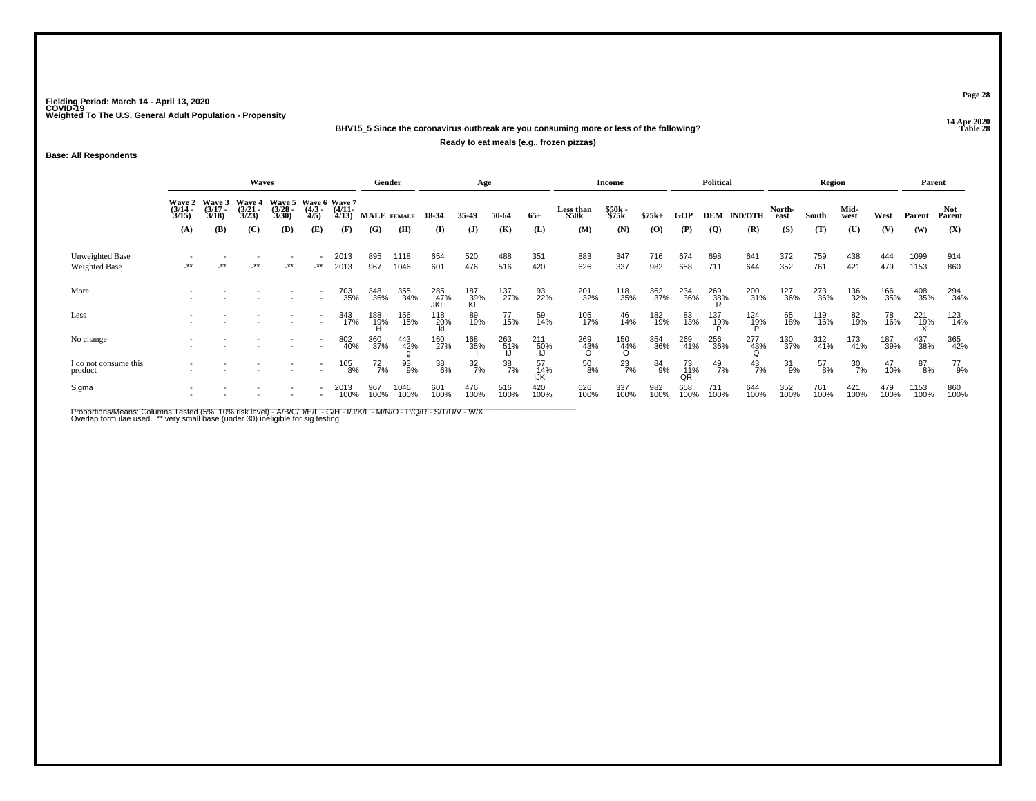### **14 Apr 2020 BHV15\_5 Since the coronavirus outbreak are you consuming more or less of the following?**

#### **Ready to eat meals (e.g., frozen pizzas)**

### **Base: All Respondents**

|                                  |                                 |                                 | <b>Waves</b>                    |                                               |                          |                       | Gender                |              |                   | Age              |                  |                  |                        | Income          |             |                 | <b>Political</b> |                 |                | Region      |                  |             |               | Parent               |
|----------------------------------|---------------------------------|---------------------------------|---------------------------------|-----------------------------------------------|--------------------------|-----------------------|-----------------------|--------------|-------------------|------------------|------------------|------------------|------------------------|-----------------|-------------|-----------------|------------------|-----------------|----------------|-------------|------------------|-------------|---------------|----------------------|
|                                  | Wave 2<br>$\frac{(3/14)}{3/15}$ | Wave 3<br>$\frac{(3/17)}{3/18}$ | Wave 4<br>$\frac{(3/21)}{3/23}$ | Wave 5 Wave 6 Wave 7<br>$\frac{(3/28)}{3/30}$ | $\frac{(4/3)}{4/5}$      | $\frac{(4/11)}{4/13}$ | MALE FEMALE           |              | 18-34             | 35-49            | 50-64            | $65+$            | Less than<br>\$50k     | \$50k<br>\$75k  | $$75k+$     | GOP             | DEM              | <b>IND/OTH</b>  | North-<br>east | South       | Mid-<br>west     | West        | Parent        | <b>Not</b><br>Parent |
|                                  | (A)                             | (B)                             | (C)                             | (D)                                           | (E)                      | (F)                   | (G)                   | (H)          | $\bf(I)$          | (J)              | (K)              | (L)              | (M)                    | (N)             | (0)         | (P)             | $\overline{Q}$   | (R)             | (S)            | (T)         | (U)              | (V)         | (W)           | (X)                  |
| Unweighted Base<br>Weighted Base | $***$                           |                                 | $***$                           | $-***$                                        |                          | 2013<br>2013          | 895<br>967            | 1118<br>1046 | 654<br>601        | 520<br>476       | 488<br>516       | 351<br>420       | 883<br>626             | 347<br>337      | 716<br>982  | 674<br>658      | 698<br>711       | 641<br>644      | 372<br>352     | 759<br>761  | 438<br>421       | 444<br>479  | 1099<br>1153  | 914<br>860           |
| More                             |                                 |                                 |                                 |                                               |                          | 703<br>35%            | 348<br>36%            | 355<br>34%   | 285<br>47%<br>JKL | 187<br>39%<br>KL | 137<br>27%       | 93<br>22%        | 201<br>32%             | 118<br>35%      | 362<br>37%  | 234<br>36%      | 269<br>38%       | 200<br>31%      | 127<br>36%     | 273<br>36%  | 136<br>32%       | 166<br>35%  | 408<br>35%    | 294<br>34%           |
| Less                             |                                 |                                 |                                 |                                               | $\overline{\phantom{a}}$ | 343<br>17%            | 188<br>- 1 <u>9</u> % | 156<br>15%   | $^{118}_{20\%}$   | 89<br>19%        | 77<br>15%        | 59<br>14%        | 105<br>17%             | 46<br>14%       | 182<br>19%  | 83<br>13%       | 137<br>19%       | 124<br>1Ց%      | 65<br>18%      | 119<br>16%  | 82<br>19%        | 78<br>16%   | 221<br>19%    | 123<br>14%           |
| No change                        |                                 |                                 |                                 |                                               |                          | 802<br>40%            | 360<br>37%            | 443<br>42%   | 160<br>27%        | 168<br>35%       | 263<br>51%       | 211<br>50%       | 269<br>43%<br>$\Omega$ | 150<br>44%<br>O | 354<br>36%  | 269<br>41%      | 256<br>36%       | 277<br>43%<br>Q | 130<br>37%     | 312<br>41%  | 173<br>41%       | 187<br>39%  | 437<br>38%    | 365<br>42%           |
| I do not consume this<br>product |                                 |                                 |                                 |                                               |                          | 165<br>8%             | $^{72}_{7\%}$         | 93%          | 38<br>6%          | $\frac{32}{7\%}$ | $\frac{38}{7\%}$ | 57<br>14%<br>IJK | 50<br>8%               | $^{23}_{7\%}$   | 84<br>9%    | 73<br>11%<br>QR | 49<br>7%         | $^{43}_{7\%}$   | $^{31}_{9\%}$  | 57<br>8%    | $\frac{30}{7\%}$ | 47<br>10%   | $^{87}_{8\%}$ | 77<br>9%             |
| Sigma                            |                                 |                                 |                                 |                                               |                          | 2013<br>100%          | 967<br>100%           | 1046<br>100% | 601<br>100%       | 476<br>100%      | 516<br>100%      | 420<br>100%      | 626<br>100%            | 337<br>100%     | 982<br>100% | 658<br>100%     | 711<br>100%      | 644<br>100%     | 352<br>100%    | 761<br>100% | 421<br>100%      | 479<br>100% | 1153<br>100%  | 860<br>100%          |

Proportions/Means: Columns Tested (5%, 10% risk level) - A/B/C/D/E/F - G/H - I/J/K/L - M/N/O - P/Q/R - S/T/U/V - W/X<br>Overlap formulae used. \*\* very small base (under 30) ineligible for sig testing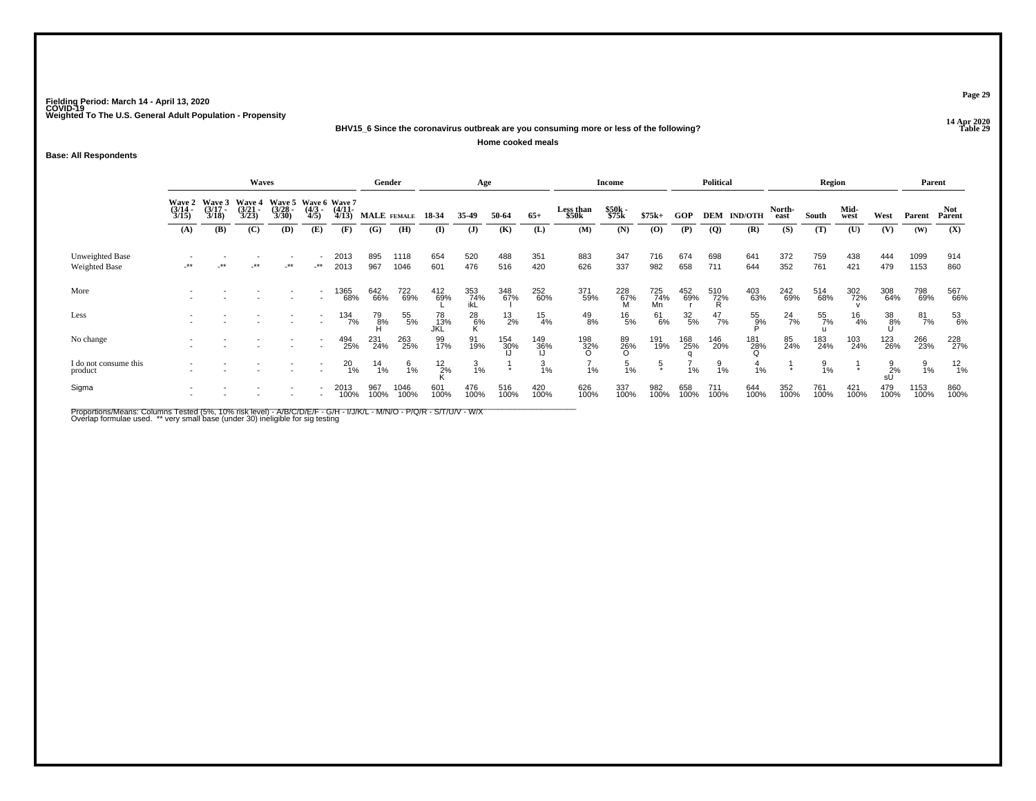**14 Apr 2020 BHV15\_6 Since the coronavirus outbreak are you consuming more or less of the following?**

**Home cooked meals**

**Base: All Respondents**

|                                  |                       |                                        | Waves                                 |                                               |                     |                       | Gender        |                 |                   | Age               |               |               |                    | <b>Income</b>   |                  |                  | <b>Political</b> |                    |                | Region          |               |                 | Parent         |               |
|----------------------------------|-----------------------|----------------------------------------|---------------------------------------|-----------------------------------------------|---------------------|-----------------------|---------------|-----------------|-------------------|-------------------|---------------|---------------|--------------------|-----------------|------------------|------------------|------------------|--------------------|----------------|-----------------|---------------|-----------------|----------------|---------------|
|                                  | $\frac{(3/14)}{3/15}$ | Wave 2 Wave 3<br>$\frac{(3/17)}{3/18}$ | <b>Wave 4</b><br>$\binom{3/21}{3/23}$ | Wave 5 Wave 6 Wave 7<br>$\frac{(3/28)}{3/30}$ | $\frac{(4/3)}{4/5}$ | $\frac{(4/11)}{4/13}$ | MALE FEMALE   |                 | 18-34             | 35-49             | 50-64         | $65+$         | Less than<br>\$50k | \$50k<br>\$75k  | $$75k+$          | GOP              |                  | <b>DEM IND/OTH</b> | North-<br>east | South           | Mid-<br>west  | West            | Parent         | Not<br>Parent |
|                                  | (A)                   | <b>(B)</b>                             | (C)                                   | <b>(D)</b>                                    | (E)                 | (F)                   | (G)           | (H)             | (I)               | $\mathbf{J}$      | (K)           | (L)           | (M)                | (N)             | (0)              | (P)              | $\overline{Q}$   | (R)                | (S)            | (T)             | (U)           | (V)             | (W)            | (X)           |
| Unweighted Base<br>Weighted Base | -**                   | $***$                                  | _**                                   | $-***$                                        | -**                 | 2013<br>2013          | 895<br>967    | 1118<br>1046    | 654<br>601        | 520<br>476        | 488<br>516    | 351<br>420    | 883<br>626         | 347<br>337      | 716<br>982       | 674<br>658       | 698<br>711       | 641<br>644         | 372<br>352     | 759<br>761      | 438<br>421    | 444<br>479      | 1099<br>1153   | 914<br>860    |
| More                             |                       |                                        |                                       |                                               |                     | 1365<br>68%           | 642<br>66%    | 722<br>69%      | 412<br>69%        | 353<br>74%<br>ikL | 348<br>67%    | 252<br>60%    | 371<br>59%         | 228<br>67%<br>M | 725<br>74%<br>Mn | 452<br>69%       | 510<br>72%<br>R  | 403<br>63%         | 242<br>69%     | 514<br>68%      | 302<br>72%    | 308<br>64%      | 798<br>69%     | 567<br>66%    |
| Less                             |                       |                                        |                                       |                                               |                     | 134<br>7%             | 79<br>8%      | 55<br>5%        | 78<br>_13%<br>JKL | $^{28}_{6\%}$     | $^{13}_{2\%}$ | $^{15}_{4\%}$ | $^{49}_{8\%}$      | $^{16}_{\ 5\%}$ | 61<br>6%         | $\frac{32}{5\%}$ | $^{47}_{7\%}$    | 55<br>9%           | $^{24}_{7\%}$  | 55<br>7%        | $^{16}_{4\%}$ | 38<br>8%        | 81<br>7%       | 53<br>6%      |
| No change                        |                       |                                        |                                       |                                               |                     | 494<br>25%            | 231<br>24%    | 263<br>25%      | 99<br>17%         | 91<br>19%         | 154<br>30%    | 149<br>36%    | $\frac{198}{32\%}$ | 89<br>26%<br>O  | 191<br>19%       | 168<br>25%       | 146<br>20%       | 181<br>28%         | 85<br>24%      | 183<br>24%      | 103<br>24%    | 123<br>26%      | 266<br>23%     | 228<br>27%    |
| I do not consume this<br>product |                       |                                        |                                       |                                               |                     | $^{20}_{1\%}$         | $^{14}_{1\%}$ | $\frac{6}{1\%}$ | $^{12}_{2\%}$     | $\frac{3}{1\%}$   |               | 3<br>1%       | 1%                 | $\frac{5}{1\%}$ | ្                | 1%               | 9<br>1%          | 1%                 |                | $\frac{9}{1\%}$ |               | $\frac{9}{2}$ % | $\frac{9}{1%}$ | $^{12}_{1\%}$ |
| Sigma                            |                       |                                        |                                       |                                               |                     | 2013<br>100%          | 967<br>100%   | 1046<br>100%    | 601<br>100%       | 476<br>100%       | 516<br>100%   | 420<br>100%   | 626<br>100%        | 337<br>100%     | 982<br>100%      | 658<br>100%      | 711<br>100%      | 644<br>100%        | 352<br>100%    | 761<br>100%     | 421<br>100%   | 479<br>100%     | 1153<br>100%   | 860<br>100%   |

Proportions/Means: Columns Tested (5%, 10% risk level) - A/B/C/D/E/F - G/H - I/J/K/L - M/N/O - P/Q/R - S/T/U/V - W/X<br>Overlap formulae used. \*\* very small base (under 30) ineligible for sig testing

**Page 29**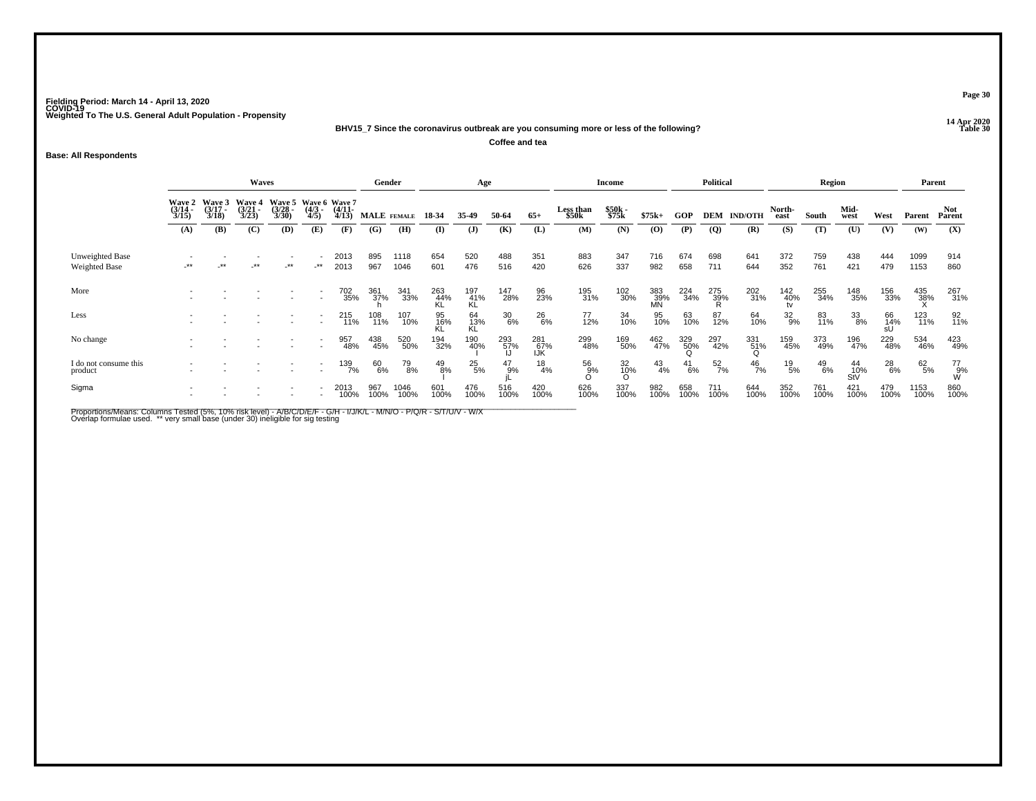**14 Apr 2020 BHV15\_7 Since the coronavirus outbreak are you consuming more or less of the following?**

**Coffee and tea**

### **Base: All Respondents**

|                                         |                                 |                                 | <b>Waves</b>                    |                                               |                     |                       | Gender      |              |             | Age              |               |                   |                    | Income            |                    |                 | Political       |                 |                    | Region        |                    |               | Parent       |                      |
|-----------------------------------------|---------------------------------|---------------------------------|---------------------------------|-----------------------------------------------|---------------------|-----------------------|-------------|--------------|-------------|------------------|---------------|-------------------|--------------------|-------------------|--------------------|-----------------|-----------------|-----------------|--------------------|---------------|--------------------|---------------|--------------|----------------------|
|                                         | Wave 2<br>$\frac{(3/14)}{3/15}$ | Wave 3<br>$\frac{(3/17)}{3/18}$ | Wave 4<br>$\frac{(3/21)}{3/23}$ | Wave 5 Wave 6 Wave 7<br>$\frac{(3/28)}{3/30}$ | $\frac{(4/3)}{4/5}$ | $\frac{(4/11)}{4/13}$ | MALE FEMALE |              | 18-34       | 35-49            | 50-64         | $65+$             | Less than<br>\$50k | \$50k<br>\$75k    | $$75k+$            | GOP             | <b>DEM</b>      | <b>IND/OTH</b>  | North-<br>east     | South         | Mid-<br>west       | West          | Parent       | <b>Not</b><br>Parent |
|                                         | (A)                             | (B)                             | (C)                             | <b>(D)</b>                                    | (E)                 | (F)                   | (G)         | (H)          | $\bf(I)$    | (J)              | (K)           | (L)               | (M)                | (N)               | $\bf{(0)}$         | (P)             | $\overline{Q}$  | (R)             | (S)                | (T)           | (U)                | (V)           | (W)          | (X)                  |
| Unweighted Base<br><b>Weighted Base</b> | $-***$                          |                                 | $-***$                          | $\cdot^{\star\star}$                          | -**                 | 2013<br>2013          | 895<br>967  | 1118<br>1046 | 654<br>601  | 520<br>476       | 488<br>516    | 351<br>420        | 883<br>626         | 347<br>337        | 716<br>982         | 674<br>658      | 698<br>711      | 641<br>644      | 372<br>352         | 759<br>761    | 438<br>421         | 444<br>479    | 1099<br>1153 | 914<br>860           |
| More                                    |                                 |                                 |                                 |                                               |                     | 702<br>35%            | 361<br>37%  | 341<br>33%   | 263<br>44%  | 197<br>41%<br>KL | 147<br>28%    | 96<br>23%         | 195<br>31%         | 102<br>30%        | 383<br>- 39%<br>MN | 224<br>34%      | 275<br>39%<br>R | 202<br>31%      | $\frac{142}{40\%}$ | 255<br>34%    | 148<br>35%         | 156<br>33%    | 435<br>38%   | 267<br>31%           |
| Less                                    |                                 |                                 |                                 |                                               |                     | 215<br>11%            | 108<br>11%  | 107<br>10%   | 95<br>16%   | 64<br>13%<br>KL  | 30<br>6%      | 26<br>6%          | 77<br>12%          | 34<br>10%         | 95<br>10%          | 63<br>10%       | 87<br>12%       | 64<br>10%       | $^{32}_{9\%}$      | 83<br>11%     | $\frac{33}{8\%}$   | 66<br>14%     | 123<br>11%   | 92<br>11%            |
| No change                               |                                 |                                 |                                 |                                               |                     | 957<br>48%            | 438<br>45%  | 520<br>50%   | 194<br>32%  | 190<br>40%       | 293<br>57%    | 281<br>67%<br>IJK | 299<br>48%         | 169<br>50%        | 462<br>47%         | 329<br>50%<br>O | 297<br>42%      | 331<br>51%<br>Q | 159<br>45%         | 373<br>49%    | 196<br>47%         | 229<br>48%    | 534<br>46%   | 423<br>49%           |
| I do not consume this<br>product        |                                 |                                 |                                 |                                               |                     | 139<br>7%             | 60<br>6%    | 79<br>8%     | 49<br>8%    | $^{25}_{5\%}$    | $^{47}_{9\%}$ | $^{18}_{4\%}$     | 56<br>9%<br>O      | $\frac{32}{10\%}$ | 43<br>4%           | $^{41}_{6\%}$   | $^{52}_{7\%}$   | $^{46}_{7\%}$   | $^{19}_{\ 5\%}$    | $^{49}_{6\%}$ | 44<br>- 10%<br>StV | $^{28}_{6\%}$ | 62/5%        | 77<br>W%<br>W        |
| Sigma                                   |                                 |                                 |                                 |                                               |                     | 2013<br>100%          | 967<br>100% | 1046<br>100% | 601<br>100% | 476<br>100%      | 516<br>100%   | 420<br>100%       | 626<br>100%        | 337<br>100%       | 982<br>100%        | 658<br>100%     | 711<br>100%     | 644<br>100%     | 352<br>100%        | 761<br>100%   | 421<br>100%        | 479<br>100%   | 1153<br>100% | 860<br>100%          |

Proportions/Means: Columns Tested (5%, 10% risk level) - A/B/C/D/E/F - G/H - I/J/K/L - M/N/O - P/Q/R - S/T/U/V - W/X<br>Overlap formulae used. \*\* very small base (under 30) ineligible for sig testing

**Page 30**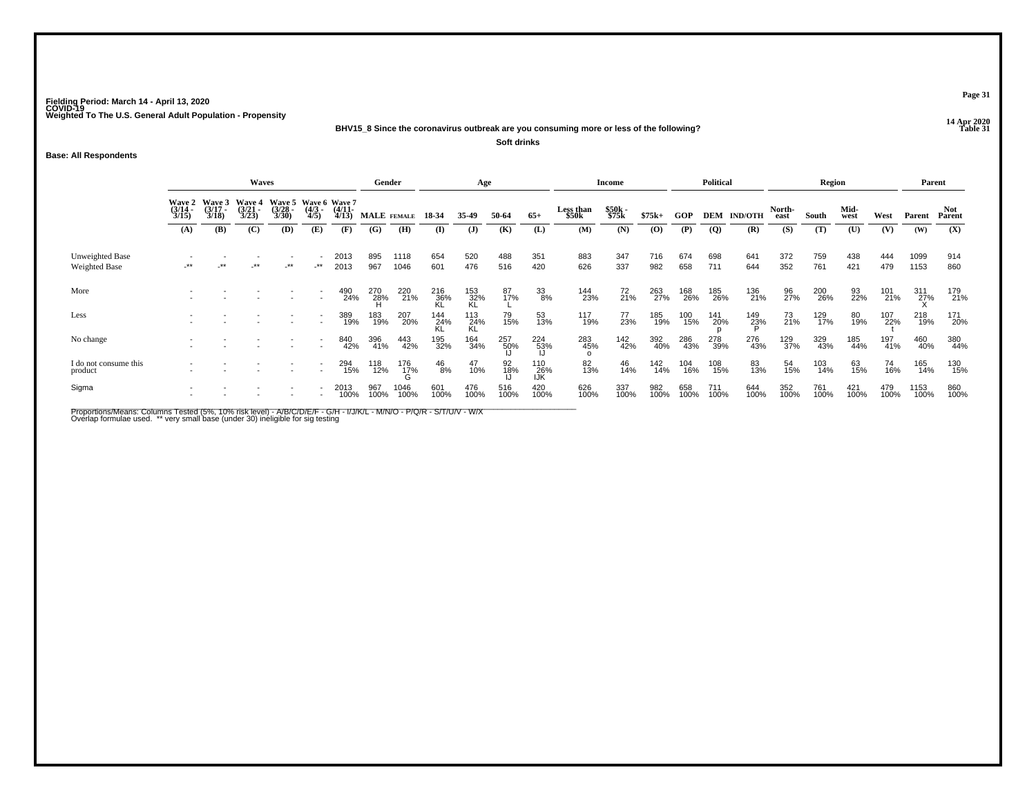**14 Apr 2020 BHV15\_8 Since the coronavirus outbreak are you consuming more or less of the following?**

**Soft drinks**

### **Base: All Respondents**

|                                  | <b>Waves</b>                           |                                 |                                 |                                               |                     |                       |                 | Gender          |                  | Age              |                 |                   |                    | <b>Income</b>  |                |             | <b>Political</b> |                    |                | Region      |              |             | Parent             |               |
|----------------------------------|----------------------------------------|---------------------------------|---------------------------------|-----------------------------------------------|---------------------|-----------------------|-----------------|-----------------|------------------|------------------|-----------------|-------------------|--------------------|----------------|----------------|-------------|------------------|--------------------|----------------|-------------|--------------|-------------|--------------------|---------------|
|                                  | <b>Wave 2</b><br>$\frac{(3/14)}{3/15}$ | Wave 3<br>$\frac{(3/17)}{3/18}$ | Wave 4<br>$\frac{(3/21)}{3/23}$ | Wave 5 Wave 6 Wave 7<br>$\frac{(3/28)}{3/30}$ | $\frac{(4/3)}{4/5}$ | $\frac{(4/11)}{4/13}$ |                 | MALE FEMALE     | 18-34            | 35-49            | 50-64           | $65+$             | Less than<br>\$50k | \$50k<br>\$75k | $$75k+$        | GOP         |                  | <b>DEM IND/OTH</b> | North-<br>east | South       | Mid-<br>west | West        | Parent             | Not<br>Parent |
|                                  | (A)                                    | (B)                             | (C)                             | <b>(D)</b>                                    | (E)                 | (F)                   | (G)             | (H)             | (I)              | (J)              | (K)             | (L)               | (M)                | (N)            | $\overline{O}$ | (P)         | $\overline{Q}$   | (R)                | (S)            | (T)         | (U)          | (V)         | (W)                | (X)           |
| Unweighted Base<br>Weighted Base | -**                                    |                                 | $-***$                          | $-$ **                                        | $-***$              | 2013<br>2013          | 895<br>967      | 1118<br>1046    | 654<br>601       | 520<br>476       | 488<br>516      | 351<br>420        | 883<br>626         | 347<br>337     | 716<br>982     | 674<br>658  | 698<br>711       | 641<br>644         | 372<br>352     | 759<br>761  | 438<br>421   | 444<br>479  | 1099<br>1153       | 914<br>860    |
| More                             |                                        |                                 |                                 |                                               |                     | 490<br>24%            | 270<br>28%<br>H | 220<br>21%      | 216<br>36%<br>KL | 153<br>32%<br>KL | 87<br>17%       | 33<br>8%          | 144<br>23%         | 72<br>21%      | 263<br>27%     | 168<br>26%  | 185<br>26%       | 136<br>21%         | 96<br>27%      | 200<br>26%  | 93<br>22%    | 101<br>21%  | $\frac{311}{27\%}$ | 179<br>21%    |
| Less                             |                                        |                                 |                                 |                                               |                     | 389<br>19%            | 183<br>19%      | 207<br>20%      | 144<br>24%<br>KL | 113<br>24%<br>KL | 79<br>15%       | 53<br>13%         | 117<br>19%         | 77<br>23%      | 185<br>19%     | 100<br>15%  | 141<br>20%       | 149<br>23%         | 73<br>21%      | 129<br>17%  | 80<br>19%    | 107<br>22%  | 218<br>19%         | 171<br>20%    |
| No change                        |                                        |                                 |                                 |                                               |                     | 840<br>42%            | 396<br>41%      | 443<br>42%      | 195<br>32%       | 164<br>34%       | 257<br>50%      | 224<br>53%        | 283<br>45%         | 142<br>42%     | 392<br>40%     | 286<br>43%  | 278<br>39%       | 276<br>43%         | 129<br>37%     | 329<br>43%  | 185<br>44%   | 197<br>41%  | 460<br>40%         | 380<br>44%    |
| I do not consume this<br>product |                                        |                                 |                                 |                                               |                     | 294<br>15%            | 118<br>12%      | 176<br>17%<br>G | $^{46}_{8\%}$    | 47<br>10%        | 92<br>18%<br> J | 110<br>26%<br>IJK | 82<br>13%          | 46<br>14%      | 142<br>14%     | 104<br>16%  | 108<br>15%       | 83<br>13%          | 54<br>15%      | 103<br>14%  | 63<br>15%    | 74<br>16%   | 165<br>14%         | 130<br>15%    |
| Sigma                            |                                        |                                 |                                 |                                               |                     | 2013<br>100%          | 967<br>100%     | 1046<br>100%    | 601<br>100%      | 476<br>100%      | 516<br>100%     | 420<br>100%       | 626<br>100%        | 337<br>100%    | 982<br>100%    | 658<br>100% | 711<br>100%      | 644<br>100%        | 352<br>100%    | 761<br>100% | 421<br>100%  | 479<br>100% | 1153<br>100%       | 860<br>100%   |

Proportions/Means: Columns Tested (5%, 10% risk level) - A/B/C/D/E/F - G/H - I/J/K/L - M/N/O - P/Q/R - S/T/U/V - W/X<br>Overlap formulae used. \*\* very small base (under 30) ineligible for sig testing

**Page 31**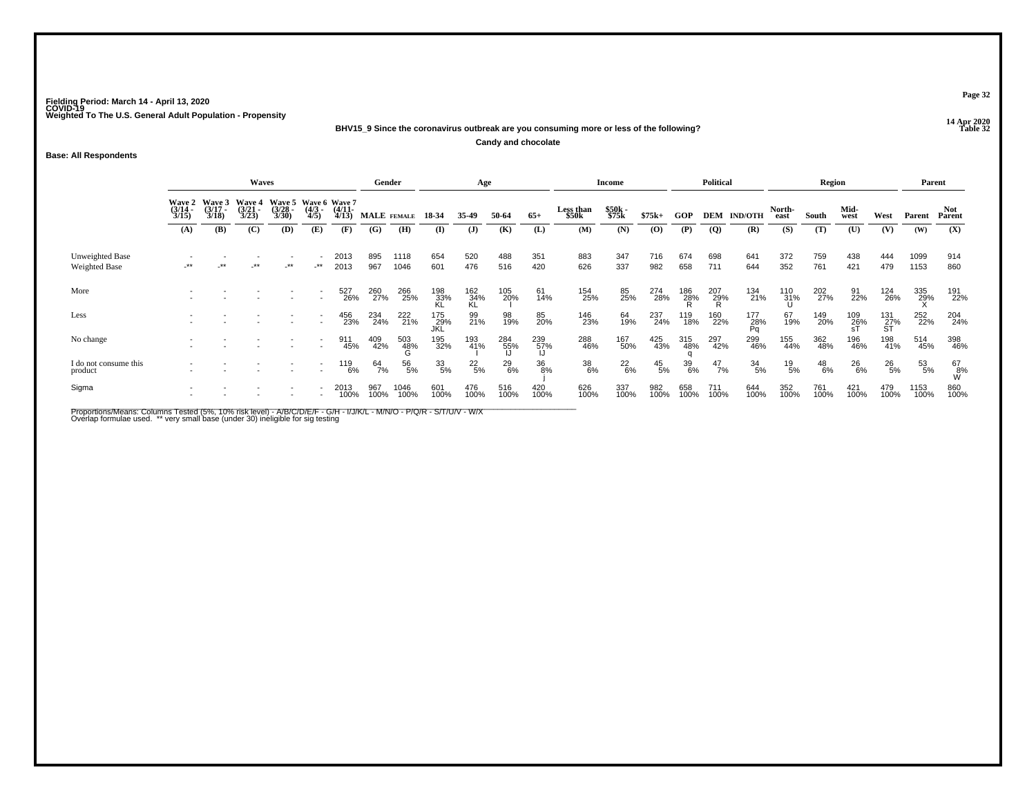**14 Apr 2020 BHV15\_9 Since the coronavirus outbreak are you consuming more or less of the following?**

**Candy and chocolate**

### **Base: All Respondents**

|                                         |                       |                                        | Waves                           |                                               |                     |                       | Gender      |                 |                    | Age              |             |             |                    | <b>Income</b>  |                 |                  | <b>Political</b> |                  |                 | Region        |               |                  | Parent       |                |
|-----------------------------------------|-----------------------|----------------------------------------|---------------------------------|-----------------------------------------------|---------------------|-----------------------|-------------|-----------------|--------------------|------------------|-------------|-------------|--------------------|----------------|-----------------|------------------|------------------|------------------|-----------------|---------------|---------------|------------------|--------------|----------------|
|                                         | $\frac{(3/14)}{3/15}$ | Wave 2 Wave 3<br>$\frac{(3/17)}{3/18}$ | Wave 4<br>$\frac{(3/21)}{3/23}$ | Wave 5 Wave 6 Wave 7<br>$\frac{(3/28)}{3/30}$ | $\frac{(4/3)}{4/5}$ | $\frac{(4/11)}{4/13}$ |             | MALE FEMALE     | 18-34              | 35.49            | 50-64       | $65+$       | Less than<br>\$50k | \$50k<br>\$75k | $$75k+$         | <b>GOP</b>       | DEM              | <b>IND/OTH</b>   | North-<br>east  | South         | Mid-<br>west  | West             | Parent       | Not.<br>Parent |
|                                         | (A)                   | (B)                                    | (C)                             | (D)                                           | (E)                 | (F)                   | (G)         | (H)             | $\bf{I}$           | $\mathbf{J}$     | (K)         | (L)         | (M)                | (N)            | $\mathbf{(O)}$  | (P)              | $\overline{Q}$   | (R)              | (S)             | (T)           | (U)           | (V)              | (W)          | (X)            |
| Unweighted Base<br><b>Weighted Base</b> | -**                   |                                        | $-***$                          | $-***$                                        | $-***$              | 2013<br>2013          | 895<br>967  | 1118<br>1046    | 654<br>601         | 520<br>476       | 488<br>516  | 351<br>420  | 883<br>626         | 347<br>337     | 716<br>982      | 674<br>658       | 698<br>711       | 641<br>644       | 372<br>352      | 759<br>761    | 438<br>421    | 444<br>479       | 1099<br>1153 | 914<br>860     |
| More                                    |                       |                                        |                                 |                                               |                     | 527<br>26%            | 260<br>27%  | 266<br>25%      | 198<br>33%<br>KL   | 162<br>34%<br>KL | 105<br>20%  | 61<br>14%   | 154<br>25%         | 85<br>25%      | 274<br>28%      | 186<br>28%       | 207<br>29%<br>R  | 134<br>21%       | 110<br>31%<br>U | 202<br>27%    | 91<br>22%     | 124<br>26%       | 335<br>29%   | 191<br>22%     |
| Less                                    |                       |                                        |                                 |                                               |                     | 456<br>23%            | 234<br>24%  | 222<br>21%      | 175<br>_29%<br>JKL | 99<br>21%        | 98<br>19%   | 85<br>20%   | 146<br>23%         | 64<br>19%      | 237<br>24%      | 119<br>18%       | 160<br>22%       | 177<br>28%<br>Pa | 67<br>19%       | 149<br>20%    | 109<br>26%    | 131<br>27%<br>ST | 252<br>22%   | 204<br>24%     |
| No change                               |                       |                                        |                                 |                                               |                     | 911<br>45%            | 409<br>42%  | 503<br>48%<br>G | 195<br>32%         | 193<br>41%       | 284<br>55%  | 239<br>57%  | 288<br>46%         | 167<br>50%     | 425<br>43%      | 315<br>48%       | 297<br>42%       | 299<br>46%       | 155<br>44%      | 362<br>48%    | 196<br>46%    | 198<br>41%       | 514<br>45%   | 398<br>46%     |
| I do not consume this<br>product        |                       |                                        |                                 |                                               |                     | 119<br>6%             | 64<br>7%    | 56<br>5%        | 33<br>5%           | $^{22}_{5\%}$    | 29<br>6%    | 36<br>8%    | 38<br>6%           | $^{22}_{6\%}$  | $^{45}_{\ 5\%}$ | 39 <sub>6%</sub> | $^{47}_{7\%}$    | $\frac{34}{5\%}$ | $^{19}_{\ 5\%}$ | $^{48}_{6\%}$ | $^{26}_{6\%}$ | $^{26}_{5\%}$    | 53<br>5%     | 67<br>08%<br>W |
| Sigma                                   |                       |                                        |                                 |                                               |                     | 2013<br>100%          | 967<br>100% | 1046<br>100%    | 601<br>100%        | 476<br>100%      | 516<br>100% | 420<br>100% | 626<br>100%        | 337<br>100%    | 982<br>100%     | 658<br>100%      | 711<br>100%      | 644<br>100%      | 352<br>100%     | 761<br>100%   | 421<br>100%   | 479<br>100%      | 1153<br>100% | 860<br>100%    |

Proportions/Means: Columns Tested (5%, 10% risk level) - A/B/C/D/E/F - G/H - I/J/K/L - M/N/O - P/Q/R - S/T/U/V - W/X<br>Overlap formulae used. \*\* very small base (under 30) ineligible for sig testing

**Page 32**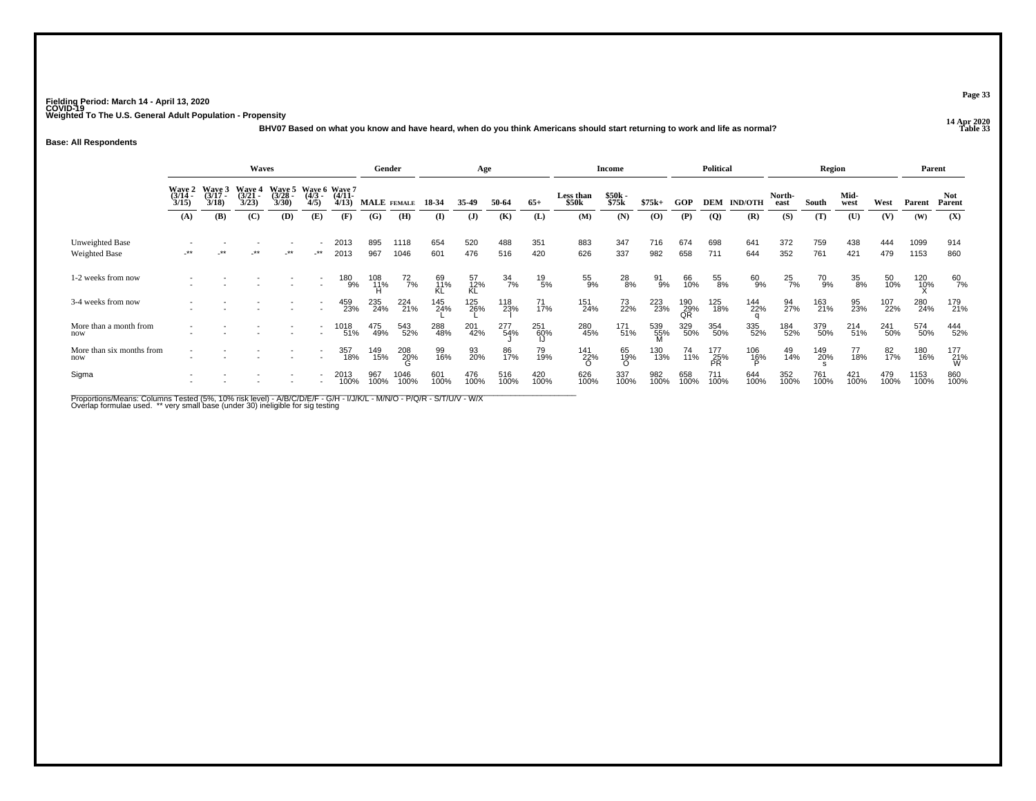**14 Apr 2020 BHV07 Based on what you know and have heard, when do you think Americans should start returning to work and life as normal?**

#### **Base: All Respondents**

|                                         |                                                                                                                                               |    | <b>Waves</b> |        |                                  |                   | Gender      |               |                 | Age             |                  |                 |                                | <b>Income</b>    |             |                  | <b>Political</b>        |                    |                   | Region      |              |             |              | Parent               |
|-----------------------------------------|-----------------------------------------------------------------------------------------------------------------------------------------------|----|--------------|--------|----------------------------------|-------------------|-------------|---------------|-----------------|-----------------|------------------|-----------------|--------------------------------|------------------|-------------|------------------|-------------------------|--------------------|-------------------|-------------|--------------|-------------|--------------|----------------------|
|                                         | Waye 5<br>Wave 3<br>Wave 4<br>(3/21 -<br>Wave 2<br>(3/14 -<br>(3/28)<br>$(3/17 -$<br>3/30<br>3/15<br>3/23<br>3/18<br>(A)<br>(B)<br>(C)<br>(D) |    |              |        | Waye 6 Waye 7<br>$(4/3 -$<br>4/5 | $(4/11 -$<br>4/13 |             | MALE FEMALE   | 18-34           | 35-49           | 50-64            | $65+$           | Less than<br>\$50 <sub>k</sub> | $$50k-$<br>\$75k | $$75k+$     | GOP              |                         | <b>DEM IND/OTH</b> | North-<br>east    | South       | Mid-<br>west | West        | Parent       | <b>Not</b><br>Parent |
|                                         |                                                                                                                                               |    |              |        | (E)                              | (F)               | (G)         | (H)           | (I)             | ( <b>J</b> )    | (K)              | (L)             | (M)                            | (N)              | (0)         | (P)              | $\overline{Q}$          | (R)                | (S)               | (T)         | (U)          | (V)         | (W)          | (X)                  |
| Unweighted Base<br><b>Weighted Base</b> | $***$                                                                                                                                         | ** | $***$        | $-***$ | $-***$                           | 2013<br>2013      | 895<br>967  | 1118<br>1046  | 654<br>601      | 520<br>476      | 488<br>516       | 351<br>420      | 883<br>626                     | 347<br>337       | 716<br>982  | 674<br>658       | 698<br>711              | 641<br>644         | 372<br>352        | 759<br>761  | 438<br>421   | 444<br>479  | 1099<br>1153 | 914<br>860           |
| 1-2 weeks from now                      |                                                                                                                                               |    |              |        | $\sim$                           | 180<br>9%         | 108<br>11%  | $^{72}_{7\%}$ | 69<br>11%<br>KL | 57<br>12%<br>KL | $\frac{34}{7\%}$ | $^{19}_{\ 5\%}$ | 55<br>9%                       | 28<br>8%         | 91<br>9%    | 66<br>10%        | 55<br>8%                | 60<br>9%           | $^{25}_{7\%}$     | 70<br>9%    | 35<br>8%     | 50<br>10%   | 120<br>10%   | 60<br>7%             |
| 3-4 weeks from now                      |                                                                                                                                               |    |              |        |                                  | 459<br>23%        | 235<br>24%  | 224<br>21%    | 145<br>24%      | 125<br>26%      | 118<br>23%       | 71<br>17%       | 151<br>24%                     | 73<br>22%        | 223<br>23%  | 190<br>29%<br>QR | 125<br>18%              | 144<br>22%         | $\frac{94}{27\%}$ | 163<br>21%  | 95<br>23%    | 107<br>22%  | 280<br>24%   | 179<br>21%           |
| More than a month from<br>now           |                                                                                                                                               |    |              |        |                                  | 1018<br>51%       | 475<br>49%  | 543<br>52%    | 288<br>48%      | 201<br>42%      | 277<br>54%       | 251<br>60%      | 280<br>45%                     | 171<br>51%       | 539<br>55%  | 329<br>50%       | 354<br>50%              | 335<br>52%         | 184<br>52%        | 379<br>50%  | 214<br>51%   | 241<br>50%  | 574<br>50%   | 444<br>52%           |
| More than six months from<br>now        |                                                                                                                                               |    |              |        |                                  | 357<br>18%        | 149<br>15%  | 208<br>20%    | 99<br>16%       | 93<br>20%       | 86<br>17%        | 79<br>19%       | $\frac{141}{22\%}$             | 65<br>19%<br>Ո   | 130<br>13%  | 74<br>11%        | 177<br>25%<br><b>PR</b> | 106<br>16%         | 49<br>14%         | 149<br>20%  | 77<br>18%    | 82<br>17%   | 180<br>16%   | 177<br>21%<br>W      |
| Sigma                                   |                                                                                                                                               |    |              |        |                                  | 2013<br>100%      | 967<br>100% | 1046<br>100%  | 601<br>100%     | 476<br>100%     | 516<br>100%      | 420<br>100%     | 626<br>100%                    | 337<br>100%      | 982<br>100% | 658<br>100%      | 711<br>100%             | 644<br>100%        | 352<br>100%       | 761<br>100% | 421<br>100%  | 479<br>100% | 1153<br>100% | 860<br>100%          |

Proportions/Means: Columns Tested (5%, 10% risk level) - A/B/C/D/E/F - G/H - I/J/K/L - M/N/O - P/Q/R - S/T/U/V - W/X<br>Overlap formulae used. \*\* very small base (under 30) ineligible for sig testing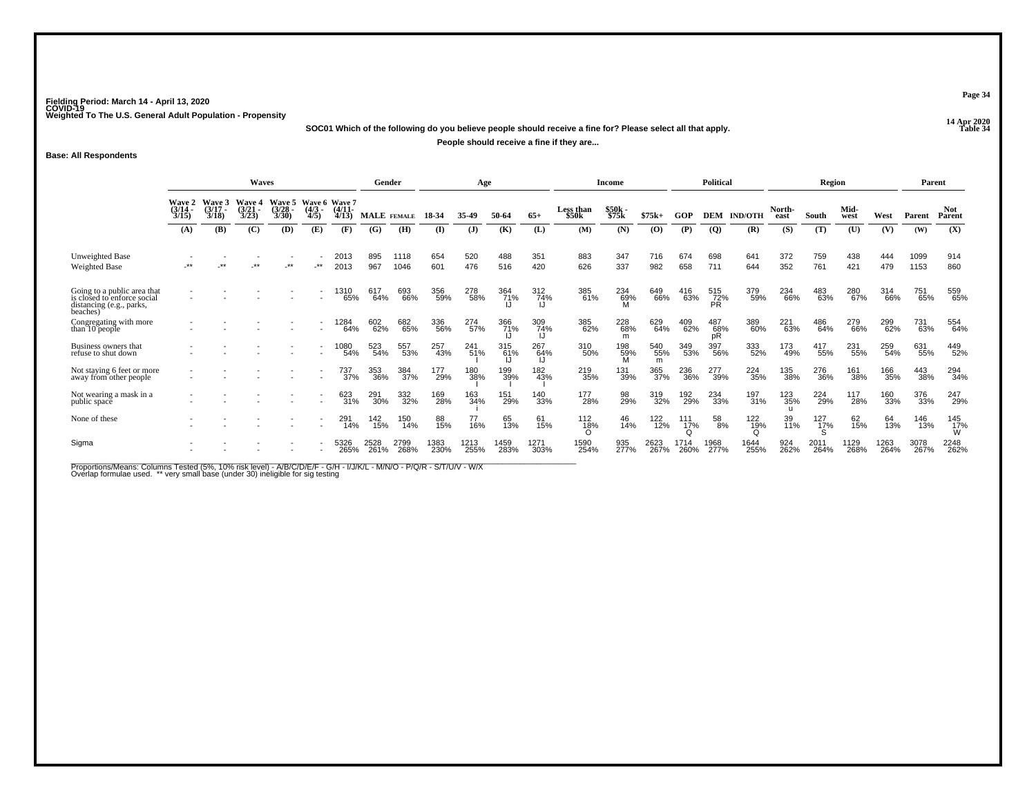**14 Apr 2020 SOC01 Which of the following do you believe people should receive a fine for? Please select all that apply.**

**People should receive a fine if they are...**

**Base: All Respondents**

|                                                                                                    | <b>Waves</b><br>Wave 6 Wave 7   |                             |                                        |                                        |                          |                       | Gender             |              |              | Age          |              |                  |                     | Income          |                 |                   | <b>Political</b>        |                |                | Region          |              |              | Parent       |                      |
|----------------------------------------------------------------------------------------------------|---------------------------------|-----------------------------|----------------------------------------|----------------------------------------|--------------------------|-----------------------|--------------------|--------------|--------------|--------------|--------------|------------------|---------------------|-----------------|-----------------|-------------------|-------------------------|----------------|----------------|-----------------|--------------|--------------|--------------|----------------------|
|                                                                                                    | Wave 2<br>$\frac{(3/14)}{3/15}$ | Wave 3<br>$(3/17 -$<br>3/18 | <b>Wave 4</b><br>$\frac{(3/21)}{3/23}$ | <b>Wave 5</b><br>$\frac{(3/28)}{3/30}$ | $\frac{(4/3)}{4/5}$      | $\frac{(4/11)}{4/13}$ | <b>MALE</b> FEMALE |              | 18-34        | 35-49        | 50-64        | $65+$            | Less than<br>\$50k  | \$50k<br>\$75k  | $$75k+$         | GOP               | <b>DEM</b>              | <b>IND/OTH</b> | North-<br>east | South           | Mid-<br>west | West         | Parent       | <b>Not</b><br>Parent |
|                                                                                                    | (A)                             | (B)                         | (C)                                    | (D)                                    | (E)                      | (F)                   | (G)                | (H)          | (I)          | (J)          | (K)          | (L)              | (M)                 | (N)             | $\mathbf{(O)}$  | (P)               | <b>(Q)</b>              | (R)            | (S)            | (T)             | (U)          | (V)          | (W)          | (X)                  |
| Unweighted Base<br><b>Weighted Base</b>                                                            | **                              | $\star$                     | $***$                                  | .∗∗                                    | $\cdot^{\star\star}$     | 2013<br>2013          | 895<br>967         | 1118<br>1046 | 654<br>601   | 520<br>476   | 488<br>516   | 351<br>420       | 883<br>626          | 347<br>337      | 716<br>982      | 674<br>658        | 698<br>711              | 641<br>644     | 372<br>352     | 759<br>761      | 438<br>421   | 444<br>479   | 1099<br>1153 | 914<br>860           |
| Going to a public area that<br>is closed to enforce social<br>distancing (e.g., parks,<br>beaches) |                                 |                             |                                        |                                        | $\overline{\phantom{a}}$ | 1310<br>65%           | 617<br>64%         | 693<br>66%   | 356<br>59%   | 278<br>58%   | 364<br>71%   | 312<br>74%       | 385<br>61%          | 234<br>69%      | 649<br>66%      | 416<br>63%        | 515<br>72%<br><b>PR</b> | 379<br>59%     | 234<br>66%     | 483<br>63%      | 280<br>67%   | 314<br>66%   | 751<br>65%   | 559<br>65%           |
| Congregating with more<br>than 10 people                                                           |                                 |                             |                                        |                                        |                          | 1284<br>64%           | 602<br>62%         | 682<br>65%   | 336<br>56%   | 274<br>57%   | 366<br>71%   | 309<br>74%<br>IJ | 385<br>62%          | 228<br>68%<br>m | 629<br>64%      | 409<br>62%        | 487<br>68%<br>pR        | 389<br>60%     | 221<br>63%     | 486<br>64%      | 279<br>66%   | 299<br>62%   | 731<br>63%   | 554<br>64%           |
| Business owners that<br>refuse to shut down                                                        |                                 |                             |                                        |                                        |                          | 1080<br>54%           | 523<br>54%         | 557<br>53%   | 257<br>43%   | 241<br>51%   | 315<br>61%   | 267<br>64%       | 310<br>50%          | 198<br>59%      | 540<br>55%<br>m | 349<br>53%        | 397<br>56%              | 333<br>52%     | 173<br>49%     | 417<br>55%      | 231<br>55%   | 259<br>54%   | 631<br>55%   | 449<br>52%           |
| Not staying 6 feet or more<br>away from other people                                               |                                 |                             |                                        |                                        |                          | 737<br>37%            | 353<br>36%         | 384<br>37%   | 177<br>29%   | 180<br>38%   | 199<br>39%   | 182<br>43%       | 219<br>35%          | 131<br>39%      | 365<br>37%      | 236<br>36%        | 277<br>39%              | 224<br>35%     | 135<br>38%     | 276<br>36%      | 161<br>38%   | 166<br>35%   | 443<br>38%   | 294<br>34%           |
| Not wearing a mask in a<br>public space                                                            |                                 |                             |                                        |                                        |                          | 623<br>31%            | 291<br>30%         | 332<br>32%   | 169<br>28%   | 163<br>34%   | 151<br>29%   | 140<br>33%       | 177<br>28%          | 98<br>29%       | 319<br>32%      | 192 <sub>0%</sub> | 234<br>33%              | 197<br>31%     | 123<br>35%     | 224<br>29%      | 117<br>28%   | 160<br>33%   | 376<br>33%   | 247<br>29%           |
| None of these                                                                                      |                                 |                             |                                        |                                        |                          | 291<br>14%            | 142<br>15%         | 150<br>14%   | 88<br>15%    | 77<br>16%    | 65<br>13%    | 61<br>15%        | 112<br>1 <u>8</u> % | 46<br>14%       | 122<br>12%      | 111<br>17%        | 58<br>8%                | 122<br>19%     | 39<br>11%      | $^{127}_{17\%}$ | 62<br>15%    | 64<br>13%    | 146<br>13%   | 145<br>17%<br>W      |
| Sigma                                                                                              |                                 |                             |                                        |                                        | $\overline{\phantom{a}}$ | 5326<br>265%          | 2528<br>261%       | 2799<br>268% | 1383<br>230% | 1213<br>255% | 1459<br>283% | 1271<br>303%     | 1590<br>254%        | 935<br>277%     | 2623<br>267%    | 1714<br>260%      | 1968<br>277%            | 1644<br>255%   | 924<br>262%    | 2011<br>264%    | 1129<br>268% | 1263<br>264% | 3078<br>267% | 2248<br>262%         |

Proportions/Means: Columns Tested (5%, 10% risk level) - A/B/C/D/E/F - G/H - I/J/K/L - M/N/O - P/Q/R - S/T/U/V - W/X<br>Overlap formulae used. \*\* very small base (under 30) ineligible for sig testing

**Page 34**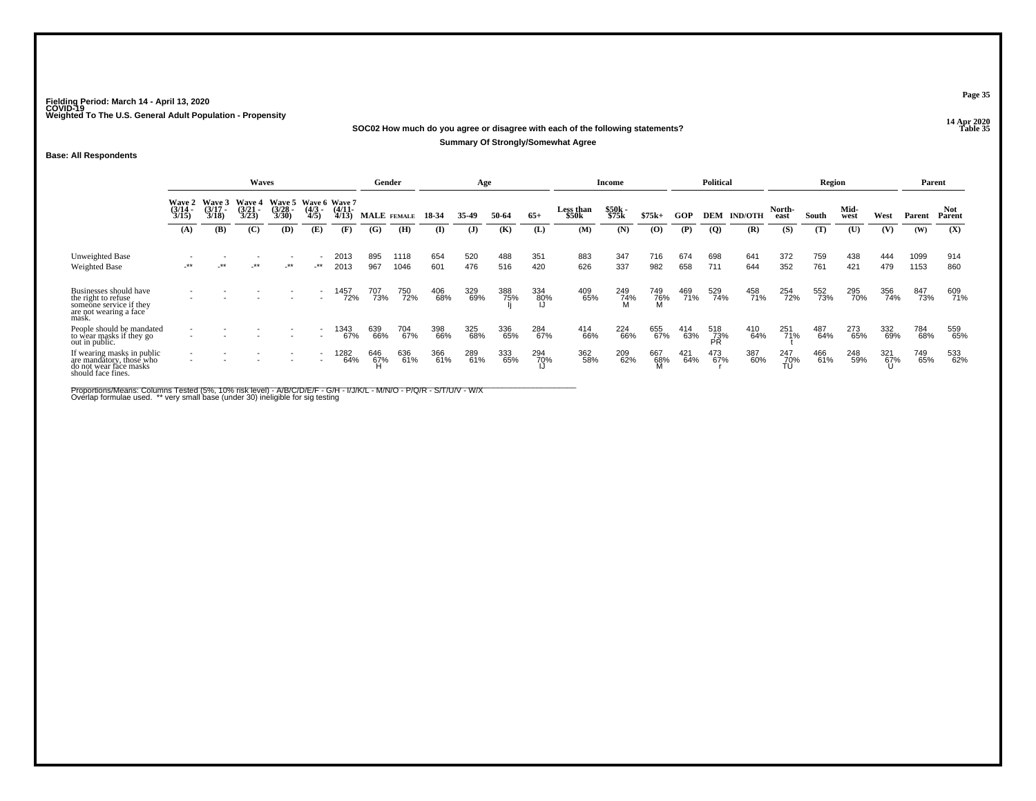### **14 Apr 2020 SOC02 How much do you agree or disagree with each of the following statements?Summary Of Strongly/Somewhat Agree**

### **Base: All Respondents**

|                                                                                                             | Waves                           |                            |                                        |                                               |                          |                   |            | Gender       |            | Age          |            |            |                    | Income         |            |            | <b>Political</b>        |                |                  | Region     |              |            |              | Parent        |
|-------------------------------------------------------------------------------------------------------------|---------------------------------|----------------------------|----------------------------------------|-----------------------------------------------|--------------------------|-------------------|------------|--------------|------------|--------------|------------|------------|--------------------|----------------|------------|------------|-------------------------|----------------|------------------|------------|--------------|------------|--------------|---------------|
|                                                                                                             | Wave 2<br>$\frac{(3/14)}{3/15}$ | Wave 3<br>(3/17 -<br>3/18) | <b>Wave 4</b><br>$\frac{(3/21)}{3/23}$ | Wave 5 Wave 6 Wave 7<br>$\frac{(3/28)}{3/30}$ | $(4/3 -$<br>4/5          | $(4/11 -$<br>4/13 |            | MALE FEMALE  | 18-34      | 35-49        | 50-64      | $65+$      | Less than<br>\$50k | \$50k<br>\$75k | $$75k+$    | GOP        | <b>DEM</b>              | <b>IND/OTH</b> | North-<br>east   | South      | Mid-<br>west | West       | Parent       | Not<br>Parent |
|                                                                                                             | (A)                             | (B)                        | (C)                                    | (D)                                           | (E)                      | (F)               | (G)        | (H)          | (I)        | $\mathbf{J}$ | (K)        | (L)        | (M)                | (N)            | $\bf{(0)}$ | (P)        | $\overline{Q}$          | (R)            | (S)              | (T)        | (U)          | (V)        | (W)          | (X)           |
| Unweighted Base<br><b>Weighted Base</b>                                                                     | $-***$                          | $***$                      | $-***$                                 | $-***$                                        | ٠<br>_**                 | 2013<br>2013      | 895<br>967 | 1118<br>1046 | 654<br>601 | 520<br>476   | 488<br>516 | 351<br>420 | 883<br>626         | 347<br>337     | 716<br>982 | 674<br>658 | 698<br>711              | 641<br>644     | 372<br>352       | 759<br>761 | 438<br>421   | 444<br>479 | 1099<br>1153 | 914<br>860    |
| Businesses should have<br>the right to refuse<br>someone service if they<br>are not wearing a face<br>mask. | -                               |                            |                                        |                                               |                          | 1457<br>72%       | 707<br>73% | 750<br>72%   | 406<br>68% | 329<br>69%   | 388<br>75% | 334<br>80% | 409<br>65%         | 249<br>74%     | 749<br>76% | 469<br>71% | 529<br>74%              | 458<br>71%     | 254<br>72%       | 552<br>73% | 295<br>70%   | 356<br>74% | 847<br>73%   | 609<br>71%    |
| People should be mandated<br>to wear masks if they go<br>out in public.                                     |                                 |                            |                                        |                                               |                          | 1343<br>67%       | 639<br>66% | 704<br>67%   | 398<br>66% | 325<br>68%   | 336<br>65% | 284<br>67% | 414<br>66%         | 224<br>66%     | 655<br>67% | 414<br>63% | 518<br>73%<br><b>PR</b> | 410<br>64%     | 251<br>71%       | 487<br>64% | 273<br>65%   | 332<br>69% | 784<br>68%   | 559<br>65%    |
| If wearing masks in public<br>are mandatory, those who<br>do not wear face masks<br>should face fines.      | $\overline{\phantom{a}}$        |                            |                                        |                                               | $\overline{\phantom{0}}$ | 1282<br>64%       | 646<br>67% | 636<br>61%   | 366<br>61% | 289<br>61%   | 333<br>65% | 294<br>70% | 362<br>58%         | 209<br>62%     | 667<br>68% | 421<br>64% | 473<br>67%              | 387<br>60%     | 247<br>70%<br>TÚ | 466<br>61% | 248<br>59%   | 321<br>67% | 749<br>65%   | 533<br>62%    |

Proportions/Means: Columns Tested (5%, 10% risk level) - A/B/C/D/E/F - G/H - I/J/K/L - M/N/O - P/Q/R - S/T/U/V - W/X<br>Overlap formulae used. \*\* very small base (under 30) ineligible for sig testing

**Page 35**

**P Table 35**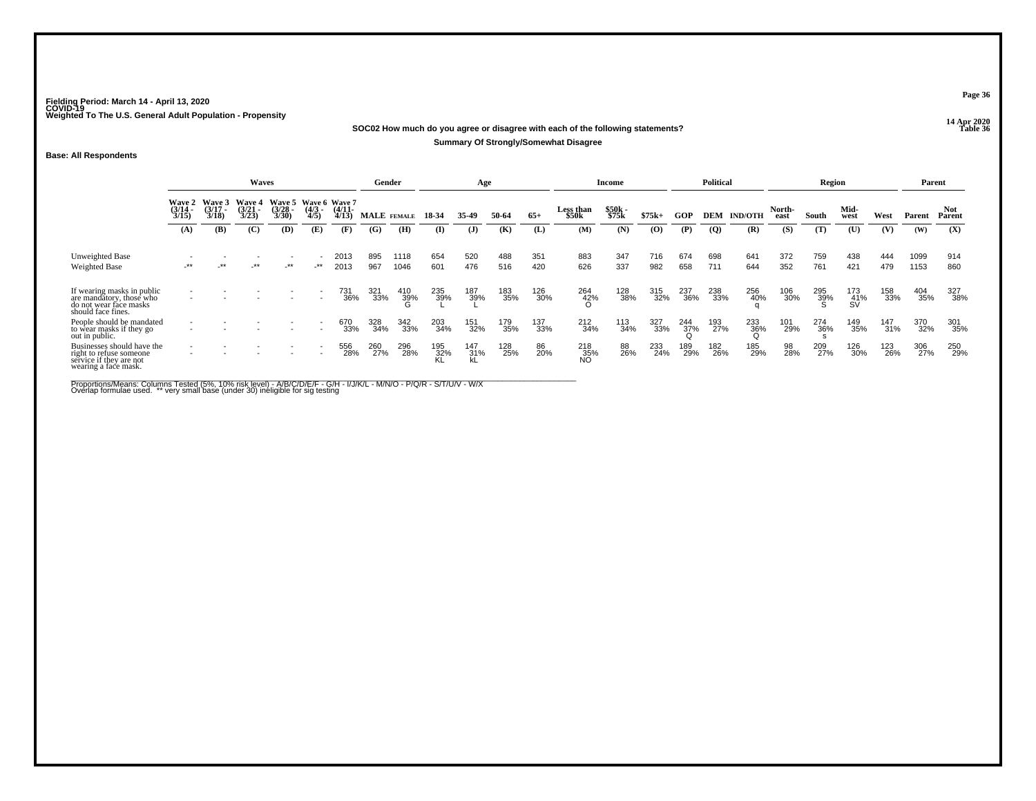### **14 Apr 2020 SOC02 How much do you agree or disagree with each of the following statements?Summary Of Strongly/Somewhat Disagree**

### **Base: All Respondents**

|                                                                                                          | <b>Waves</b>                                                                                                                                                                                                            |        |        |        |     |                | Gender      |              |                  | Age              |            |            |                    | Income         |                |            | <b>Political</b> |                |                | Region     |                  |            |              | Parent         |
|----------------------------------------------------------------------------------------------------------|-------------------------------------------------------------------------------------------------------------------------------------------------------------------------------------------------------------------------|--------|--------|--------|-----|----------------|-------------|--------------|------------------|------------------|------------|------------|--------------------|----------------|----------------|------------|------------------|----------------|----------------|------------|------------------|------------|--------------|----------------|
|                                                                                                          | Wave 5 Wave 6 Wave 7<br>Wave 3<br>Wave 4<br><b>Wave 2</b><br>$\frac{(3/17)}{3/18}$<br>$\frac{(3/21)}{3/23}$<br>$\frac{(3/14)}{3/15}$<br>$\frac{(3/28)}{3/30}$<br>$\frac{(4/3)}{4/5}$<br>(B)<br>(C)<br>(D)<br>(A)<br>(E) |        |        |        |     | (4/11-<br>4/13 | MALE FEMALE |              | 18-34            | 35.49            | 50-64      | $65+$      | Less than<br>\$50k | \$50k<br>\$75k | $$75k+$        | GOP        | DEM              | <b>IND/OTH</b> | North-<br>east | South      | Mid-<br>west     | West       | Parent       | Not.<br>Parent |
|                                                                                                          |                                                                                                                                                                                                                         |        |        |        |     | (F)            | (G)         | (H)          | (I)              | (J)              | (K)        | (L)        | (M)                | (N)            | $\mathbf{(O)}$ | (P)        | $\boldsymbol{Q}$ | (R)            | (S)            | (T)        | (U)              | (V)        | (W)          | (X)            |
| Unweighted Base<br>Weighted Base                                                                         | $-***$                                                                                                                                                                                                                  | $-***$ | $-***$ | $-***$ | _** | 2013<br>2013   | 895<br>967  | 1118<br>1046 | 654<br>601       | 520<br>476       | 488<br>516 | 351<br>420 | 883<br>626         | 347<br>337     | 716<br>982     | 674<br>658 | 698<br>711       | 641<br>644     | 372<br>352     | 759<br>761 | 438<br>421       | 444<br>479 | 1099<br>1153 | 914<br>860     |
| If wearing masks in public<br>are mandatory, those who<br>do not wear face masks<br>should face fines.   |                                                                                                                                                                                                                         |        |        |        |     | 731<br>36%     | 321<br>33%  | 410<br>39%   | 235<br>39%       | 187<br>39%       | 183<br>35% | 126<br>30% | 264<br>42%         | 128<br>38%     | 315<br>32%     | 237<br>36% | 238<br>33%       | 256<br>40%     | 106<br>30%     | 295<br>39% | 173<br>41%<br>SV | 158<br>33% | 404<br>35%   | 327<br>38%     |
| People should be mandated<br>to wear masks if they go<br>out in public.                                  |                                                                                                                                                                                                                         |        |        |        |     | 670<br>33%     | 328<br>34%  | 342<br>33%   | 203<br>34%       | 151<br>32%       | 179<br>35% | 137<br>33% | 212<br>34%         | 113<br>34%     | 327<br>33%     | 244<br>37% | 193<br>27%       | 233<br>36%     | 101<br>29%     | 274<br>36% | 149<br>35%       | 147<br>31% | 370<br>32%   | 301<br>35%     |
| Businesses should have the<br>right to refuse someone<br>service if they are not<br>wearing a face mask. | $\overline{\phantom{a}}$                                                                                                                                                                                                |        |        |        |     | 556<br>28%     | 260<br>27%  | 296<br>28%   | 195<br>32%<br>KL | 147<br>31%<br>kL | 128<br>25% | 86<br>20%  | 218<br>35%<br>NO   | 88<br>26%      | 233<br>24%     | 189<br>29% | 182<br>26%       | 185<br>29%     | 98<br>28%      | 209<br>27% | 126<br>30%       | 123<br>26% | 306<br>27%   | 250<br>29%     |

Proportions/Means: Columns Tested (5%, 10% risk level) - A/B/C/D/E/F - G/H - I/J/K/L - M/N/O - P/Q/R - S/T/U/V - W/X<br>Overlap formulae used. \*\* very small base (under 30) ineligible for sig testing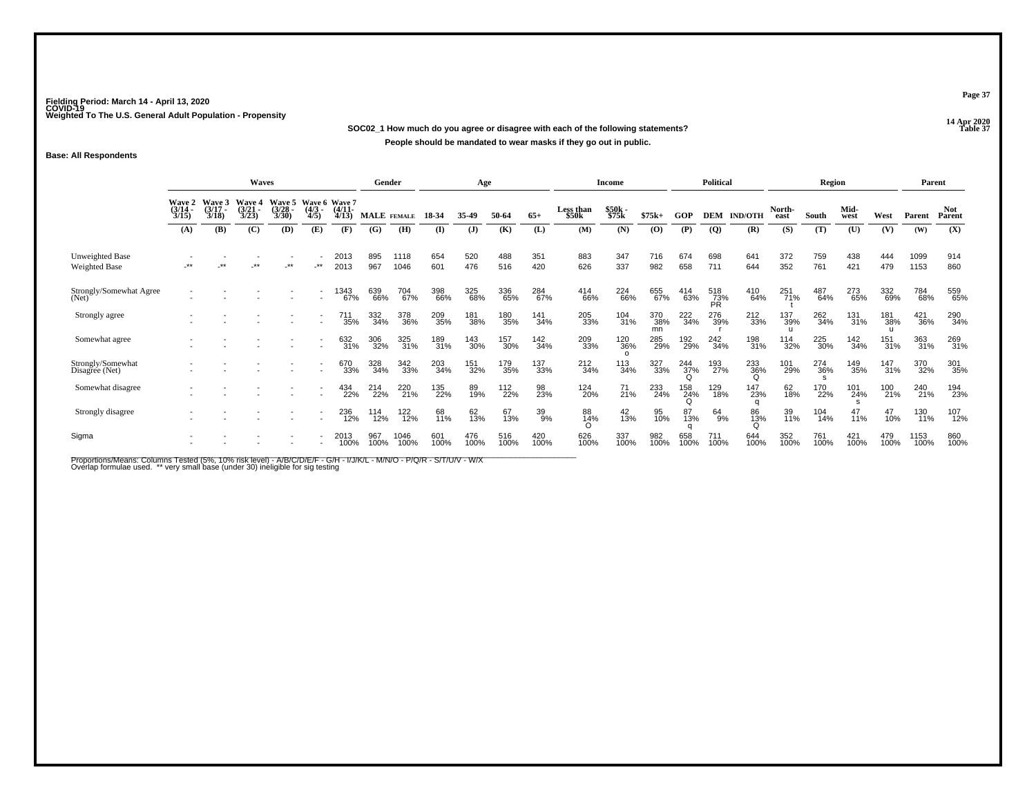**14 Apr 2020 SOC02\_1 How much do you agree or disagree with each of the following statements?People should be mandated to wear masks if they go out in public.**

## **Base: All Respondents**

|                                     |                       |                                        | Waves                                  |                                               |                                    |                       | Gender      |              |             | Age          |             |             |                    | Income                 |                  |                      | <b>Political</b> |                 |                | Region                     |              |                            | Parent       |               |
|-------------------------------------|-----------------------|----------------------------------------|----------------------------------------|-----------------------------------------------|------------------------------------|-----------------------|-------------|--------------|-------------|--------------|-------------|-------------|--------------------|------------------------|------------------|----------------------|------------------|-----------------|----------------|----------------------------|--------------|----------------------------|--------------|---------------|
|                                     | $\frac{(3/14)}{3/15}$ | Wave 2 Wave 3<br>$\frac{(3/17)}{3/18}$ | <b>Wave 4</b><br>$\frac{(3/21)}{3/23}$ | Wave 5 Wave 6 Wave 7<br>$\frac{(3/28)}{3/30}$ | $\frac{(4/3)}{4/5}$                | $\frac{(4/11)}{4/13}$ | MALE FEMALE |              | 18-34       | 35-49        | 50-64       | $65+$       | Less than<br>\$50k | \$50k<br>\$75k         | $$75k+$          | GOP                  | <b>DEM</b>       | <b>IND/OTH</b>  | North-<br>east | South                      | Mid-<br>west | West                       | Parent       | Not<br>Parent |
|                                     | (A)                   | (B)                                    | (C)                                    | (D)                                           | (E)                                | (F)                   | (G)         | (H)          | $($ I       | $\mathbf{J}$ | (K)         | (L)         | (M)                | (N)                    | (O)              | (P)                  | $\overline{Q}$   | (R)             | (S)            | (T)                        | (U)          | (V)                        | (W)          | (X)           |
| Unweighted Base<br>Weighted Base    | .**                   | $***$                                  | $***$                                  | $***$                                         | $-***$                             | 2013<br>2013          | 895<br>967  | 1118<br>1046 | 654<br>601  | 520<br>476   | 488<br>516  | 351<br>420  | 883<br>626         | 347<br>337             | 716<br>982       | 674<br>658           | 698<br>711       | 641<br>644      | 372<br>352     | 759<br>761                 | 438<br>421   | 444<br>479                 | 1099<br>1153 | 914<br>860    |
| Strongly/Somewhat Agree<br>(Net)    |                       |                                        |                                        |                                               |                                    | 1343<br>67%           | 639<br>66%  | 704<br>67%   | 398<br>66%  | 325<br>68%   | 336<br>65%  | 284<br>67%  | 414<br>66%         | 224<br>66%             | 655<br>67%       | 414<br>63%           | 518<br>73%<br>PR | 410<br>64%      | 251<br>71%     | 487<br>64%                 | 273<br>65%   | 332<br>69%                 | 784<br>68%   | 559<br>65%    |
| Strongly agree                      |                       |                                        |                                        |                                               |                                    | 711<br>35%            | 332<br>34%  | 378<br>36%   | 209<br>35%  | 181<br>38%   | 180<br>35%  | 141<br>34%  | 205<br>33%         | 104<br>31%             | 370<br>38%<br>mn | 222<br>34%           | 276<br>39%       | 212<br>33%      | 137<br>39%     | 262<br>34%                 | 131<br>31%   | 181<br>38%<br>$\mathbf{H}$ | 421<br>36%   | 290<br>34%    |
| Somewhat agree                      |                       |                                        |                                        |                                               |                                    | 632<br>31%            | 306<br>32%  | 325<br>31%   | 189<br>31%  | 143<br>30%   | 157<br>30%  | 142<br>34%  | 209<br>33%         | 120<br>36%<br>$\Omega$ | 285<br>29%       | 192<br>29%           | 242<br>34%       | 198<br>31%      | 114<br>32%     | 225<br>30%                 | 142<br>34%   | 151<br>31%                 | 363<br>31%   | 269<br>31%    |
| Strongly/Somewhat<br>Disagree (Net) |                       |                                        |                                        |                                               | $\overline{\phantom{a}}$<br>$\sim$ | 670<br>33%            | 328<br>34%  | 342<br>33%   | 203<br>34%  | 151<br>32%   | 179<br>35%  | 137<br>33%  | 212<br>34%         | 113<br>34%             | 327<br>33%       | $^{244}_{37\%}$<br>Q | 193<br>27%       | 233<br>36%<br>Ω | 101<br>29%     | 274<br>36%<br>$\mathbf{s}$ | 149<br>35%   | $\frac{147}{31\%}$         | 370<br>32%   | 301<br>35%    |
| Somewhat disagree                   |                       |                                        |                                        |                                               | $\overline{\phantom{a}}$           | 434<br>22%            | 214<br>22%  | 220<br>21%   | 135<br>22%  | 89<br>19%    | 112<br>22%  | 98<br>23%   | 124<br>20%         | $\frac{71}{21\%}$      | 233<br>24%       | 158<br>24%<br>O      | 129<br>18%       | 147<br>23%      | 62<br>18%      | 170<br>22%                 | 101<br>24%   | 100<br>21%                 | 240<br>21%   | 194<br>23%    |
| Strongly disagree                   |                       |                                        |                                        |                                               |                                    | 236<br>12%            | 114<br>12%  | 122<br>12%   | 68<br>11%   | 62<br>13%    | 67<br>13%   | 39<br>9%    | 88<br>14%          | 42<br>13%              | 95<br>10%        | 87<br>13%            | 64<br>9%         | 86<br>13%       | 39<br>11%      | 104<br>14%                 | 47<br>11%    | 47<br>10%                  | 130<br>11%   | 107<br>12%    |
| Sigma                               |                       |                                        |                                        |                                               |                                    | 2013<br>100%          | 967<br>100% | 1046<br>100% | 601<br>100% | 476<br>100%  | 516<br>100% | 420<br>100% | 626<br>100%        | 337<br>100%            | 982<br>100%      | 658<br>100%          | 711<br>100%      | 644<br>100%     | 352<br>100%    | 761<br>100%                | 421<br>100%  | 479<br>100%                | 1153<br>100% | 860<br>100%   |

Proportions/Means: Columns Tested (5%, 10% risk level) - A/B/C/D/E/F - G/H - I/J/K/L - M/N/O - P/Q/R - S/T/U/V - W/X<br>Overlap formulae used. \*\* very small base (under 30) ineligible for sig testing

**Page 37**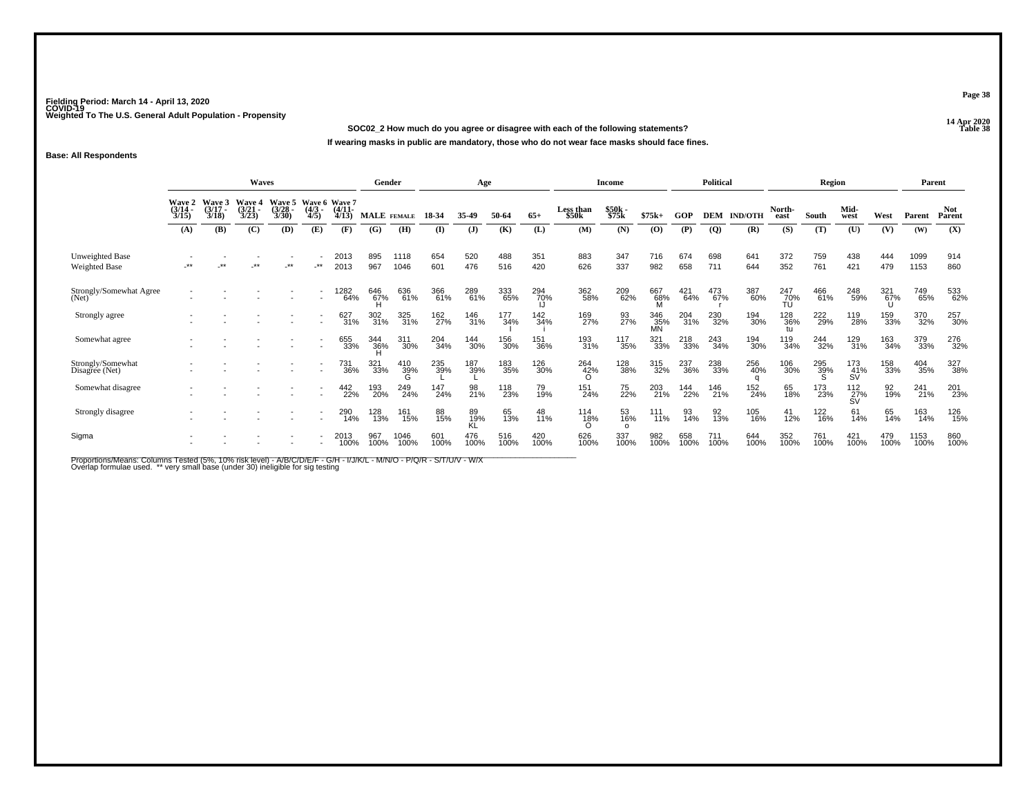**14 Apr 2020 SOC02\_2 How much do you agree or disagree with each of the following statements?P Table 38 If wearing masks in public are mandatory, those who do not wear face masks should face fines.**

## **Base: All Respondents**

|                                     |                                 |                                        | <b>Waves</b>                           |                                        |                                     |                       | Gender             |              |             | Age             |             |             |                    | Income                |                  |             | <b>Political</b> |                |                  | Region      |                  |             | Parent       |                      |
|-------------------------------------|---------------------------------|----------------------------------------|----------------------------------------|----------------------------------------|-------------------------------------|-----------------------|--------------------|--------------|-------------|-----------------|-------------|-------------|--------------------|-----------------------|------------------|-------------|------------------|----------------|------------------|-------------|------------------|-------------|--------------|----------------------|
|                                     | Wave 2<br>$\frac{(3/14)}{3/15}$ | <b>Wave 3</b><br>$\frac{(3/17)}{3/18}$ | <b>Wave 4</b><br>$\frac{(3/21)}{3/23}$ | <b>Wave 5</b><br>$\frac{(3/28)}{3/30}$ | Wave 6 Wave 7<br>$\binom{4/3}{4/5}$ | $\frac{(4/11)}{4/13}$ | <b>MALE</b> FEMALE |              | 18-34       | 35-49           | 50-64       | $65+$       | Less than<br>\$50k | \$50k<br>\$75k        | $$75k+$          | GOP         | <b>DEM</b>       | <b>IND/OTH</b> | North-<br>east   | South       | Mid-<br>west     | West        | Parent       | <b>Not</b><br>Parent |
|                                     | (A)                             | (B)                                    | (C)                                    | (D)                                    | (E)                                 | (F)                   | $\left( G\right)$  | (H)          | (I)         | $\mathbf{J}$    | (K)         | (L)         | (M)                | (N)                   | (O)              | (P)         | <b>(Q)</b>       | (R)            | (S)              | (T)         | $(\mathbf{U})$   | (V)         | (W)          | (X)                  |
| Unweighted Base<br>Weighted Base    | **                              | $***$                                  | **                                     | $\star\star$                           | $\star$                             | 2013<br>2013          | 895<br>967         | 1118<br>1046 | 654<br>601  | 520<br>476      | 488<br>516  | 351<br>420  | 883<br>626         | 347<br>337            | 716<br>982       | 674<br>658  | 698<br>711       | 641<br>644     | 372<br>352       | 759<br>761  | 438<br>421       | 444<br>479  | 1099<br>1153 | 914<br>860           |
| Strongly/Somewhat Agree<br>(Net)    |                                 |                                        |                                        |                                        | $\overline{\phantom{a}}$            | 1282<br>64%           | 646<br>67%         | 636<br>61%   | 366<br>61%  | 289<br>61%      | 333<br>65%  | 294<br>70%  | 362<br>58%         | 209<br>62%            | 667<br>68%       | 421<br>64%  | 473<br>67%       | 387<br>60%     | 247<br>70%<br>ŤŨ | 466<br>61%  | 248<br>59%       | 321<br>67%  | 749<br>65%   | 533<br>62%           |
| Strongly agree                      |                                 |                                        |                                        |                                        |                                     | 627<br>31%            | 302<br>31%         | 325<br>31%   | 162<br>27%  | 146<br>31%      | 177<br>34%  | 142<br>34%  | 169<br>27%         | 93<br>27%             | 346<br>35%<br>MN | 204<br>31%  | 230<br>32%       | 194<br>30%     | 128<br>36%       | 222<br>29%  | 119<br>28%       | 159<br>33%  | 370<br>32%   | 257<br>30%           |
| Somewhat agree                      |                                 |                                        |                                        |                                        | $\overline{\phantom{a}}$            | 655<br>33%            | 344<br>36%         | 311<br>30%   | 204<br>34%  | 144<br>30%      | 156<br>30%  | 151<br>36%  | 193<br>31%         | 117<br>35%            | 321<br>33%       | 218<br>33%  | 243<br>34%       | 194<br>30%     | 119<br>34%       | 244<br>32%  | 129<br>31%       | 163<br>34%  | 379<br>33%   | 276<br>32%           |
| Strongly/Somewhat<br>Disagree (Net) |                                 |                                        |                                        |                                        | $\overline{\phantom{a}}$            | 731<br>36%            | 321<br>33%         | 410<br>39%   | 235<br>39%  | 187<br>39%      | 183<br>35%  | 126<br>30%  | 264<br>42%<br>Ω    | 128<br>38%            | 315<br>32%       | 237<br>36%  | 238<br>33%       | 256<br>40%     | 106<br>30%       | 295<br>39%  | 173<br>41%<br>ŚÝ | 158<br>33%  | 404<br>35%   | 327<br>38%           |
| Somewhat disagree                   |                                 |                                        |                                        |                                        |                                     | 442<br>22%            | 193<br>20%         | 249<br>24%   | 147<br>24%  | 98<br>21%       | 118<br>23%  | 79<br>19%   | 151<br>24%         | 75<br>22%             | 203<br>21%       | 144<br>22%  | 146<br>21%       | 152<br>24%     | 65<br>18%        | 173<br>23%  | $^{112}_{27\%}$  | 92<br>19%   | 241<br>21%   | 201<br>23%           |
| Strongly disagree                   |                                 |                                        |                                        |                                        |                                     | 290<br>14%            | 128<br>13%         | 161<br>15%   | 88<br>15%   | 89<br>19%<br>KĹ | 65<br>13%   | 48<br>11%   | 114<br>18%         | 53<br>16%<br>$\Omega$ | 111<br>11%       | 93<br>14%   | 92<br>13%        | 105<br>16%     | 41<br>12%        | 122<br>16%  | 61<br>14%        | 65<br>14%   | 163<br>14%   | 126<br>15%           |
| Sigma                               |                                 |                                        |                                        |                                        |                                     | 2013<br>100%          | 967<br>100%        | 1046<br>100% | 601<br>100% | 476<br>100%     | 516<br>100% | 420<br>100% | 626<br>100%        | 337<br>100%           | 982<br>100%      | 658<br>100% | 711<br>100%      | 644<br>100%    | 352<br>100%      | 761<br>100% | 421<br>100%      | 479<br>100% | 1153<br>100% | 860<br>100%          |

Proportions/Means: Columns Tested (5%, 10% risk level) - A/B/C/D/E/F - G/H - I/J/K/L - M/N/O - P/Q/R - S/T/U/V - W/X<br>Overlap formulae used. \*\* very small base (under 30) ineligible for sig testing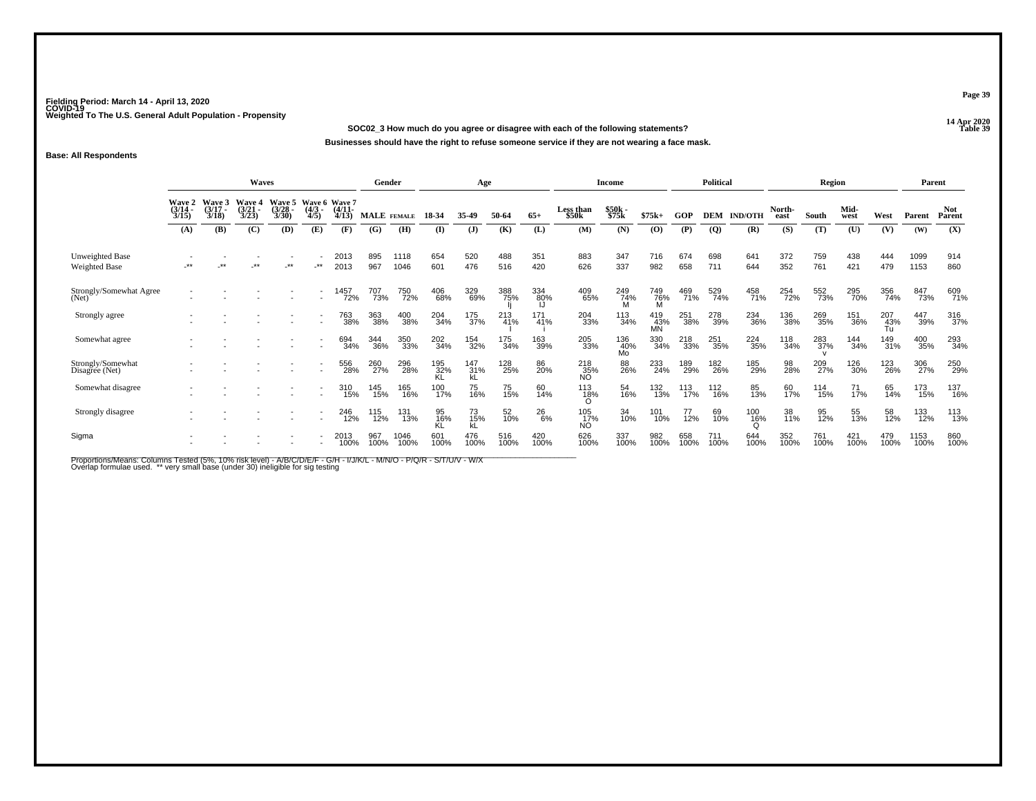**14 Apr 2020 SOC02\_3 How much do you agree or disagree with each of the following statements?P Table 39 Businesses should have the right to refuse someone service if they are not wearing a face mask.**

## **Base: All Respondents**

|                                         |                                        |                                        | Waves                           |                                              |                          |                      | Gender      |              |                  | Age                      |             |                 |                              | Income           |                  |             | <b>Political</b> |                |                 | Region      |              |             | Parent       |                      |
|-----------------------------------------|----------------------------------------|----------------------------------------|---------------------------------|----------------------------------------------|--------------------------|----------------------|-------------|--------------|------------------|--------------------------|-------------|-----------------|------------------------------|------------------|------------------|-------------|------------------|----------------|-----------------|-------------|--------------|-------------|--------------|----------------------|
|                                         | <b>Wave 2</b><br>$\frac{(3/14)}{3/15}$ | <b>Wave 3</b><br>$\frac{(3/17)}{3/18}$ | Wave 4<br>$\frac{(3/21)}{3/23}$ | Wave 5 Wave 6 Wave 7<br>$\binom{3/28}{3/30}$ | $\frac{(4/3)}{4/5}$      | $\binom{4/11}{4/13}$ | MALE FEMALE |              | 18-34            | 35-49                    | 50-64       | $65+$           | Less than<br>\$50k           | \$50k<br>\$75k   | $$75k+$          | GOP         | DEM              | <b>IND/OTH</b> | North-<br>east  | South       | Mid-<br>west | West        | Parent       | <b>Not</b><br>Parent |
|                                         | (A)                                    | (B)                                    | (C)                             | (D)                                          | (E)                      | (F)                  | (G)         | (H)          | $($ I            | $\mathbf{J}$             | (K)         | (L)             | (M)                          | (N)              | (O)              | (P)         | $\overline{Q}$   | (R)            | (S)             | (T)         | (U)          | (V)         | (W)          | (X)                  |
| Unweighted Base<br><b>Weighted Base</b> | **                                     | **                                     | .**                             | $\star\star$                                 | _**                      | 2013<br>2013         | 895<br>967  | 1118<br>1046 | 654<br>601       | 520<br>476               | 488<br>516  | 351<br>420      | 883<br>626                   | 347<br>337       | 716<br>982       | 674<br>658  | 698<br>711       | 641<br>644     | 372<br>352      | 759<br>761  | 438<br>421   | 444<br>479  | 1099<br>1153 | 914<br>860           |
| Strongly/Somewhat Agree<br>(Net)        |                                        |                                        |                                 |                                              |                          | 1457<br>72%          | 707<br>73%  | 750<br>72%   | 406<br>68%       | 329<br>69%               | 388<br>75%  | 334<br>80%      | 409<br>65%                   | 249<br>74%<br>M  | 749<br>76%       | 469<br>71%  | 529<br>74%       | 458<br>71%     | 254<br>72%      | 552<br>73%  | 295<br>70%   | 356<br>74%  | 847<br>73%   | 609<br>71%           |
| Strongly agree                          |                                        |                                        |                                 |                                              |                          | 763<br>38%           | 363<br>38%  | 400<br>38%   | 204<br>34%       | 175<br>37%               | 213<br>41%  | $^{171}_{41\%}$ | 204<br>33%                   | 113<br>34%       | 419<br>43%<br>MN | 251<br>38%  | 278<br>39%       | 234<br>36%     | 136<br>38%      | 269<br>35%  | 151<br>36%   | 207<br>43%  | 447<br>39%   | 316<br>37%           |
| Somewhat agree                          |                                        |                                        |                                 |                                              |                          | 694<br>34%           | 344<br>36%  | 350<br>33%   | 202<br>34%       | 154<br>32%               | 175<br>34%  | 163<br>39%      | 205<br>33%                   | 136<br>40%<br>Mo | 330<br>34%       | 218<br>33%  | 251<br>35%       | 224<br>35%     | 118<br>34%      | 283<br>37%  | 144<br>34%   | 149<br>31%  | 400<br>35%   | 293<br>34%           |
| Strongly/Somewhat<br>Disagree (Net)     |                                        |                                        |                                 |                                              | $\sim$                   | 556<br>28%           | 260<br>27%  | 296<br>28%   | 195<br>32%<br>KL | $\frac{147}{31\%}$<br>κĹ | 128<br>25%  | 86<br>20%       | 218<br>35%<br>NO             | 88<br>26%        | 233<br>24%       | 189<br>29%  | 182<br>26%       | 185<br>29%     | 98 <sub>%</sub> | 209<br>27%  | 126<br>30%   | 123<br>26%  | 306<br>27%   | 250<br>29%           |
| Somewhat disagree                       |                                        |                                        |                                 |                                              | $\overline{\phantom{a}}$ | 310<br>15%           | 145<br>15%  | 165<br>16%   | 100<br>17%       | 75<br>16%                | 75<br>15%   | 60<br>14%       | 113<br>1 <u>8</u> %          | 54<br>16%        | 132<br>13%       | 113<br>17%  | 112<br>16%       | 85<br>13%      | 60<br>17%       | 114<br>15%  | 71<br>17%    | 65<br>14%   | 173<br>15%   | 137<br>16%           |
| Strongly disagree                       |                                        |                                        |                                 |                                              |                          | 246<br>12%           | 115<br>12%  | 131<br>13%   | 95<br>16%<br>KL  | 73<br>15%<br>kL          | 52<br>10%   | 26<br>6%        | 105<br>17%<br>N <sub>O</sub> | 34<br>10%        | 101<br>10%       | 77<br>12%   | 69<br>10%        | 100<br>16%     | 38<br>11%       | 95<br>12%   | 55<br>13%    | 58<br>12%   | 133<br>12%   | 113<br>13%           |
| Sigma                                   |                                        |                                        |                                 |                                              |                          | 2013<br>100%         | 967<br>100% | 1046<br>100% | 601<br>100%      | 476<br>100%              | 516<br>100% | 420<br>100%     | 626<br>100%                  | 337<br>100%      | 982<br>100%      | 658<br>100% | 711<br>100%      | 644<br>100%    | 352<br>100%     | 761<br>100% | 421<br>100%  | 479<br>100% | 1153<br>100% | 860<br>100%          |

Proportions/Means: Columns Tested (5%, 10% risk level) - A/B/C/D/E/F - G/H - I/J/K/L - M/N/O - P/Q/R - S/T/U/V - W/X<br>Overlap formulae used. \*\* very small base (under 30) ineligible for sig testing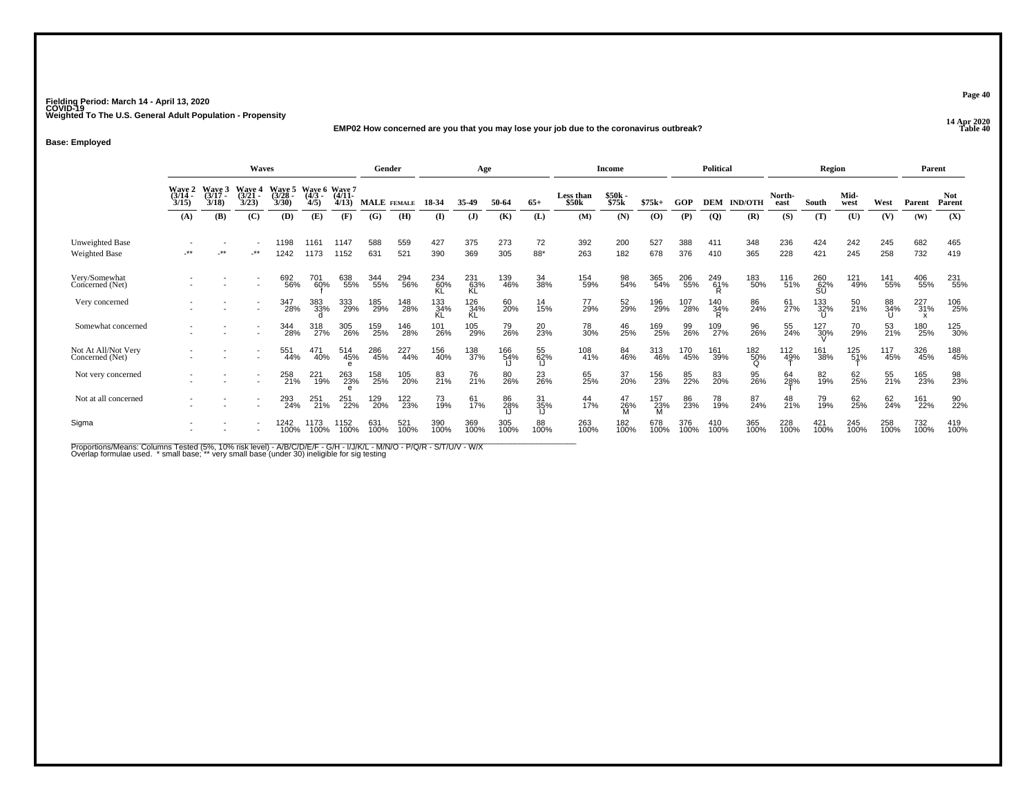#### **14 Apr 2020 EMP02 How concerned are you that you may lose your job due to the coronavirus outbreak?Table 40**

**Base: Employed**

|                                        |                           |                             | <b>Waves</b>             |                          |                                   |                          | Gender             |             |             | Age              |             |                  |                           | Income         |             |             | Political      |                 |                | Region           |              |             | Parent      |                      |
|----------------------------------------|---------------------------|-----------------------------|--------------------------|--------------------------|-----------------------------------|--------------------------|--------------------|-------------|-------------|------------------|-------------|------------------|---------------------------|----------------|-------------|-------------|----------------|-----------------|----------------|------------------|--------------|-------------|-------------|----------------------|
|                                        | Wave 2<br>(3/14 -<br>3/15 | Waye 5<br>$(3/17 -$<br>3/18 | Wave 4<br>(3/21)<br>3/23 | Wave 5<br>(3/28)<br>3/30 | Wave 6 Wave 7<br>$(4/3 -$<br>4/5) | $(4/11 -$<br>4/13        | <b>MALE</b> FEMALE |             | 18-34       | 35-49            | 50-64       | $65+$            | <b>Less than</b><br>\$50k | \$50k<br>\$75k | $$75k+$     | GOP         | <b>DEM</b>     | <b>IND/OTH</b>  | North-<br>east | South            | Mid-<br>west | West        | Parent      | <b>Not</b><br>Parent |
|                                        | (A)                       | (B)                         | (C)                      | (D)                      | (E)                               | (F)                      | (G)                | (H)         | (I)         | (J)              | (K)         | (L)              | (M)                       | (N)            | $\bf(O)$    | (P)         | $\overline{Q}$ | (R)             | (S)            | (T)              | (U)          | (V)         | (W)         | (X)                  |
| Unweighted Base<br>Weighted Base       | -**                       | $***$                       | $-***$                   | 1198<br>1242             | 1161<br>1173                      | 1147<br>1152             | 588<br>631         | 559<br>521  | 427<br>390  | 375<br>369       | 273<br>305  | 72<br>88*        | 392<br>263                | 200<br>182     | 527<br>678  | 388<br>376  | 411<br>410     | 348<br>365      | 236<br>228     | 424<br>421       | 242<br>245   | 245<br>258  | 682<br>732  | 465<br>419           |
| Very/Somewhat<br>Concerned (Net)       |                           |                             |                          | 692<br>56%               | 701<br>60%                        | 638<br>55%               | 344<br>55%         | 294<br>56%  | 234<br>60%  | 231<br>63%<br>KL | 139<br>46%  | 34<br>38%        | 154<br>59%                | 98<br>54%      | 365<br>54%  | 206<br>55%  | 249<br>61%     | 183<br>50%      | 116<br>51%     | 260<br>62%<br>SU | 121<br>49%   | 141<br>55%  | 406<br>55%  | 231<br>55%           |
| Very concerned                         |                           |                             |                          | 347<br>28%               | 383<br>33%                        | 333<br>29%               | 185<br>29%         | 148<br>28%  | 133<br>34%  | 126<br>34%<br>KL | 60<br>20%   | $\frac{14}{15%}$ | 77<br>29%                 | 52<br>29%      | 196<br>29%  | 107<br>28%  | 140<br>34%     | 86<br>24%       | 61<br>27%      | 133<br>32%       | 50<br>21%    | 88<br>34%   | 227<br>31%  | 106<br>25%           |
| Somewhat concerned                     |                           |                             |                          | 344<br>28%               | 318<br>27%                        | 305<br>26%               | 159<br>25%         | 146<br>28%  | 101<br>26%  | 105<br>29%       | 79<br>26%   | 20<br>23%        | 78<br>30%                 | 46<br>25%      | 169<br>25%  | 99<br>26%   | 109<br>27%     | 96<br>26%       | 55<br>24%      | 127<br>30%       | 70<br>29%    | 53<br>21%   | 180<br>25%  | 125<br>30%           |
| Not At All/Not Very<br>Concerned (Net) |                           |                             |                          | 551<br>44%               | 471<br>40%                        | 514<br>45%<br>$\epsilon$ | 286<br>45%         | 227<br>44%  | 156<br>40%  | 138<br>37%       | 166<br>54%  | 55<br>62%        | 108<br>41%                | 84<br>46%      | 313<br>46%  | 170<br>45%  | 161<br>39%     | 182<br>50%<br>O | 112<br>49%     | 161<br>38%       | 125<br>51%   | 117<br>45%  | 326<br>45%  | 188<br>45%           |
| Not very concerned                     |                           |                             |                          | 258<br>21%               | 221<br>19%                        | 263<br>23%               | 158<br>25%         | 105<br>20%  | 83<br>21%   | 76<br>21%        | 80<br>26%   | 23<br>26%        | 65<br>25%                 | 37<br>20%      | 156<br>23%  | 85<br>22%   | 83<br>20%      | 95<br>26%       | 64<br>28%      | 82<br>19%        | 62<br>25%    | 55<br>21%   | 165<br>23%  | 98<br>23%            |
| Not at all concerned                   |                           |                             |                          | 293<br>24%               | 251<br>21%                        | 251<br>22%               | 129<br>20%         | 122<br>23%  | 73<br>19%   | 61<br>17%        | 86<br>28%   | 31<br>35%        | 44<br>17%                 | 47<br>26%      | 157<br>23%  | 86<br>23%   | 78<br>19%      | 87<br>24%       | 48<br>21%      | 79<br>19%        | 62<br>25%    | 62<br>24%   | 161<br>22%  | 90<br>22%            |
| Sigma                                  |                           |                             |                          | 1242<br>100%             | 1173<br>100%                      | 1152<br>100%             | 631<br>100%        | 521<br>100% | 390<br>100% | 369<br>100%      | 305<br>100% | 88<br>100%       | 263<br>100%               | 182<br>100%    | 678<br>100% | 376<br>100% | 410<br>100%    | 365<br>100%     | 228<br>100%    | 421<br>100%      | 245<br>100%  | 258<br>100% | 732<br>100% | 419<br>100%          |

Proportions/Means: Columns Tested (5%, 10% risk level) - A/B/C/D/E/F - G/H - I/J/K/L - M/N/O - P/Q/R - S/T/U/V - W/X<br>Overlap formulae used. \*small base; \* very small base (under 30) ineligible for sig testing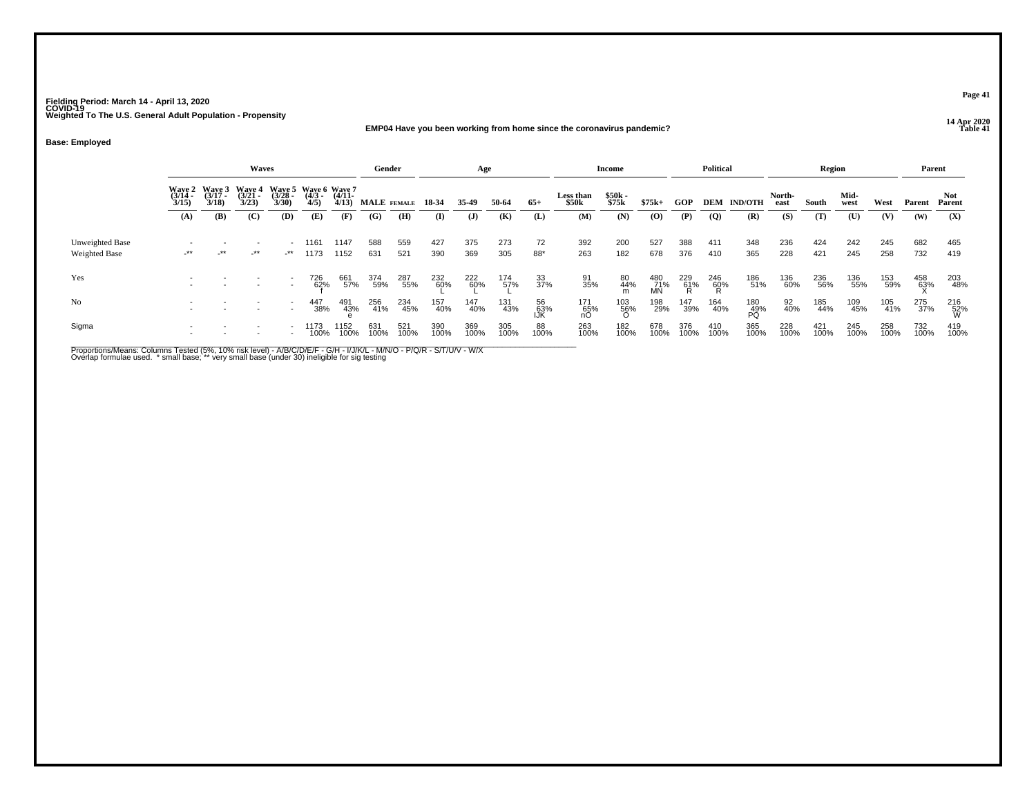## **14 Apr 2020 EMP04 Have you been working from home since the coronavirus pandemic?**

**Base: Employed**

|                                  |                                                                                                                                                                                                           |        | <b>Waves</b> |     |                   |              | Gender      |             |             | Age          |             |                    |                  | <b>Income</b>    |                  |                 | <b>Political</b>   |                |             | <b>Region</b> |             |             | Parent         |                 |
|----------------------------------|-----------------------------------------------------------------------------------------------------------------------------------------------------------------------------------------------------------|--------|--------------|-----|-------------------|--------------|-------------|-------------|-------------|--------------|-------------|--------------------|------------------|------------------|------------------|-----------------|--------------------|----------------|-------------|---------------|-------------|-------------|----------------|-----------------|
|                                  | Wave 2 Wave 3<br>Wave 4<br>$\frac{(3/21)}{3/23}$<br>Wave 5 Wave 6 Wave 7<br>$\frac{(3/17)}{3/18}$<br>$\frac{(3728)}{3/30}$<br>$(3/14 -$<br>$\frac{(4/3)}{4/5}$<br>3/15<br>(B)<br>(C)<br>(D)<br>(E)<br>(A) |        |              |     | $(4/11 -$<br>4/13 | MALE FEMALE  |             | 18-34       | 35.49       | 50-64        | $65+$       | Less than<br>\$50k | \$50k<br>\$75k   | $$75k+$          | GOP              |                 | <b>DEM IND/OTH</b> | North-<br>east | South       | Mid-<br>west  | West        | Parent      | Not.<br>Parent |                 |
|                                  |                                                                                                                                                                                                           |        |              |     |                   | (F)          | (G)         | (H)         | $\bf(I)$    | $\mathbf{J}$ | (K)         | (L)                | (M)              | (N)              | (0)              | (P)             | $\overline{Q}$     | (R)            | (S)         | (T)           | (U)         | (V)         | (W)            | (X)             |
| Unweighted Base<br>Weighted Base | $-***$                                                                                                                                                                                                    | $-***$ | $-***$       | -** | 1161<br>1173      | 1147<br>1152 | 588<br>631  | 559<br>521  | 427<br>390  | 375<br>369   | 273<br>305  | 72<br>88*          | 392<br>263       | 200<br>182       | 527<br>678       | 388<br>376      | 411<br>410         | 348<br>365     | 236<br>228  | 424<br>421    | 242<br>245  | 245<br>258  | 682<br>732     | 465<br>419      |
| Yes                              |                                                                                                                                                                                                           |        |              |     | 726<br>62%        | 661<br>57%   | 374<br>59%  | 287<br>55%  | 232<br>60%  | 222<br>60%   | 174<br>57%  | 33<br>37%          | 91<br>35%        | 80<br>44%<br>m   | 480<br>71%<br>MN | 229<br>61%<br>R | 246<br>60%<br>R    | 186<br>51%     | 136<br>60%  | 236<br>56%    | 136<br>55%  | 153<br>59%  | 458<br>63%     | 203<br>48%      |
| No                               |                                                                                                                                                                                                           |        |              |     | 447<br>38%        | 491<br>43%   | 256<br>41%  | 234<br>45%  | 157<br>40%  | 147<br>40%   | 131<br>43%  | 56<br>63%<br>IJĶ   | 171<br>65%<br>nO | $^{103}_{~56\%}$ | 198<br>29%       | 147<br>39%      | 164<br>40%         | 180<br>49%     | 92<br>40%   | 185<br>44%    | 109<br>45%  | 105<br>41%  | 275<br>37%     | 216<br>52%<br>W |
| Sigma                            |                                                                                                                                                                                                           |        |              |     | 1173<br>100%      | 1152<br>100% | 631<br>100% | 521<br>100% | 390<br>100% | 369<br>100%  | 305<br>100% | 88<br>100%         | 263<br>100%      | 182<br>100%      | 678<br>100%      | 376<br>100%     | 410<br>100%        | 365<br>100%    | 228<br>100% | 421<br>100%   | 245<br>100% | 258<br>100% | 732<br>100%    | 419<br>100%     |

Proportions/Means: Columns Tested (5%, 10% risk level) - A/B/C/D/E/F - G/H - I/J/K/L - M/N/O - P/Q/R - S/T/U/V - W/X<br>Overlap formulae used. \* small base; \*\* very small base (under 30) ineligible for sig testing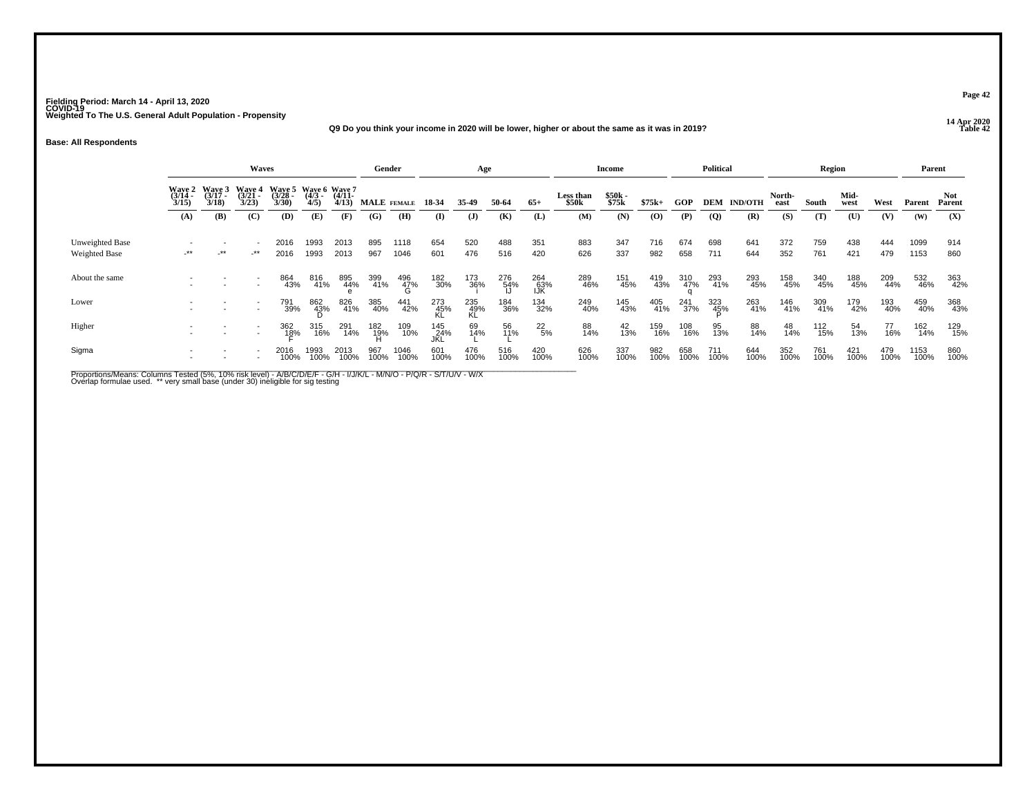## **14 Apr 2020 Q9 Do you think your income in 2020 will be lower, higher or about the same as it was in 2019?**

**Base: All Respondents**

|                                  |                                                                                                                                         |            | <b>Waves</b> |                                                      |              |              | Gender      |                 |                    | Age              |             |                                |                | Income      |             |             | <b>Political</b>   |                |             | Region       |             |             | Parent               |             |
|----------------------------------|-----------------------------------------------------------------------------------------------------------------------------------------|------------|--------------|------------------------------------------------------|--------------|--------------|-------------|-----------------|--------------------|------------------|-------------|--------------------------------|----------------|-------------|-------------|-------------|--------------------|----------------|-------------|--------------|-------------|-------------|----------------------|-------------|
|                                  | Wave 3<br>(3/17<br>Waye 5<br>(3/28<br>3/30)<br>Wave 2<br>(3/14 -<br>Wave 4<br>(3/21<br>3/18<br>3/15<br>3/23<br>(B)<br>(C)<br>(D)<br>(A) |            |              | Wave 6 Wave 7<br>(4/3 - (4/11<br>$\frac{(4/3)}{4/5}$ | 4/13         | MALE FEMALE  |             | 18-34           | 35-49              | 50-64            | $65+$       | Less than<br>\$50 <sub>k</sub> | \$50k<br>\$75k | $$75k+$     | <b>GOP</b>  |             | <b>DEM IND/OTH</b> | North-<br>east | South       | Mid-<br>west | West        | Parent      | <b>Not</b><br>Parent |             |
|                                  |                                                                                                                                         |            |              |                                                      | (E)          | (F)          | (G)         | (H)             | (I)                | $\mathbf{J}$     | (K)         | (L)                            | (M)            | (N)         | $\left($ O) | (P)         | $\overline{Q}$     | (R)            | (S)         | (T)          | (U)         | (V)         | (W)                  | (X)         |
| Unweighted Base<br>Weighted Base | $\cdot$ **                                                                                                                              | $\cdot$ ** | $-***$       | 2016<br>2016                                         | 1993<br>1993 | 2013<br>2013 | 895<br>967  | 1118<br>1046    | 654<br>601         | 520<br>476       | 488<br>516  | 351<br>420                     | 883<br>626     | 347<br>337  | 716<br>982  | 674<br>658  | 698<br>711         | 641<br>644     | 372<br>352  | 759<br>761   | 438<br>421  | 444<br>479  | 1099<br>1153         | 914<br>860  |
| About the same                   |                                                                                                                                         |            |              | 864<br>43%                                           | 816<br>41%   | 895<br>44%   | 399<br>41%  | 496<br>47%<br>G | 182<br>30%         | 173<br>36%       | 276<br>54%  | 264<br>63%<br>IJŔ              | 289<br>46%     | 151<br>45%  | 419<br>43%  | 310<br>47%  | 293<br>41%         | 293<br>45%     | 158<br>45%  | 340<br>45%   | 188<br>45%  | 209<br>44%  | 532<br>46%           | 363<br>42%  |
| Lower                            |                                                                                                                                         |            |              | 791<br>39%                                           | 862<br>43%   | 826<br>41%   | 385<br>40%  | 441<br>42%      | 273<br>45%<br>KL   | 235<br>49%<br>KL | 184<br>36%  | 134<br>32%                     | 249<br>40%     | 145<br>43%  | 405<br>41%  | 241<br>37%  | 323<br>45%         | 263<br>41%     | 146<br>41%  | 309<br>41%   | 179<br>42%  | 193<br>40%  | 459<br>40%           | 368<br>43%  |
| Higher                           |                                                                                                                                         |            |              | 362<br>1 <u>8</u> %                                  | 315<br>16%   | 291<br>14%   | 182<br>19%  | 109<br>10%      | 145<br>_24%<br>JKL | 69<br>14%        | 56<br>11%   | $^{22}_{\ 5\%}$                | 88<br>14%      | 42<br>13%   | 159<br>16%  | 108<br>16%  | 95<br>13%          | 88<br>14%      | 48<br>14%   | 112<br>15%   | 54<br>13%   | 77<br>16%   | 162<br>14%           | 129<br>15%  |
| Sigma                            |                                                                                                                                         |            |              | 2016<br>100%                                         | 1993<br>100% | 2013<br>100% | 967<br>100% | 1046<br>100%    | 601<br>100%        | 476<br>100%      | 516<br>100% | 420<br>100%                    | 626<br>100%    | 337<br>100% | 982<br>100% | 658<br>100% | 711<br>100%        | 644<br>100%    | 352<br>100% | 761<br>100%  | 421<br>100% | 479<br>100% | 1153<br>100%         | 860<br>100% |

Proportions/Means: Columns Tested (5%, 10% risk level) - A/B/C/D/E/F - G/H - I/J/K/L - M/N/O - P/Q/R - S/T/U/V - W/X<br>Overlap formulae used. \*\* very small base (under 30) ineligible for sig testing

**Page 42**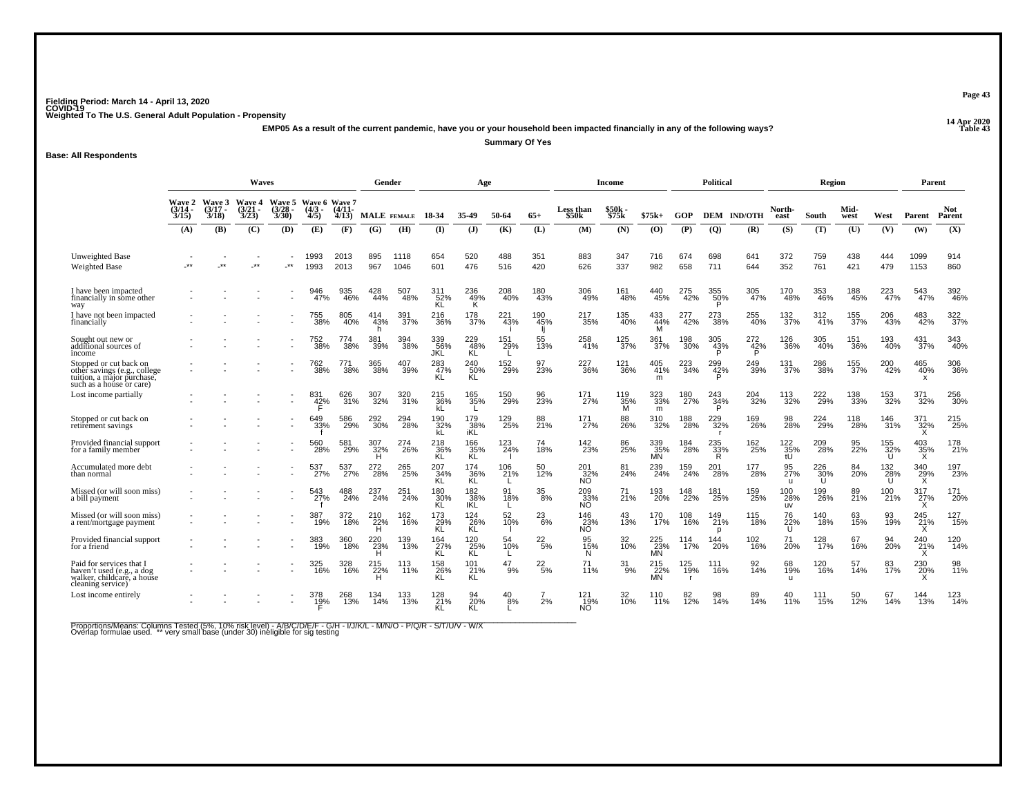**14 Apr 2020 EMP05 As a result of the current pandemic, have you or your household been impacted financially in any of the following ways?**

**Summary Of Yes**

**Base: All Respondents**

|                                                                                                                  | Waves                            |                                 |                                 |                                |                                      |                   | Gender          |              |                          | Age                      |                  |                        |                          | <b>Income</b>      |                         |            | <b>Political</b>        |                    |                     | Region                  |                  |                  | Parent                |               |
|------------------------------------------------------------------------------------------------------------------|----------------------------------|---------------------------------|---------------------------------|--------------------------------|--------------------------------------|-------------------|-----------------|--------------|--------------------------|--------------------------|------------------|------------------------|--------------------------|--------------------|-------------------------|------------|-------------------------|--------------------|---------------------|-------------------------|------------------|------------------|-----------------------|---------------|
|                                                                                                                  | <b>Wave 2</b><br>(3/14 -<br>3/15 | Wave 3<br>$\frac{(3/17)}{3/18}$ | Wave 4<br>$\frac{(3/21)}{3/23}$ | Wave 5<br>$\binom{3/28}{3/30}$ | Wave 6 Wave 7<br>$\frac{(4/3)}{4/5}$ | $(4/11 -$<br>4/13 |                 | MALE FEMALE  | 18-34                    | 35.49                    | 50-64            | $65+$                  | Less than<br>\$50k       | \$50k<br>\$75k     | $$75k+$                 | <b>GOP</b> |                         | <b>DEM IND/OTH</b> | North-<br>east      | South                   | Mid-<br>west     | West             | Parent                | Not<br>Parent |
|                                                                                                                  | (A)                              | (B)                             | (C)                             | (D)                            | (E)                                  | (F)               | (G)             | (H)          | $\bf{I}$                 | $($ $)$                  | (K)              | (L)                    | (M)                      | (N)                | (O)                     | (P)        | $\overline{Q}$          | (R)                | (S)                 | (T)                     | (U)              | (V)              | (W)                   | (X)           |
| Unweighted Base<br><b>Weighted Base</b>                                                                          | .**                              | $\star\star$                    | $\cdot^{\star\star}$            | $.**$                          | 1993<br>1993                         | 2013<br>2013      | 895<br>967      | 1118<br>1046 | 654<br>601               | 520<br>476               | 488<br>516       | 351<br>420             | 883<br>626               | 347<br>337         | 716<br>982              | 674<br>658 | 698<br>711              | 641<br>644         | 372<br>352          | 759<br>761              | 438<br>421       | 444<br>479       | 1099<br>1153          | 914<br>860    |
| I have been impacted<br>financially in some other<br>way                                                         |                                  |                                 |                                 |                                | 946<br>47%                           | 935<br>46%        | 428<br>44%      | 507<br>48%   | 311<br>52%<br><b>KL</b>  | 236<br>49%<br><b>K</b>   | 208<br>40%       | 180<br>43%             | 306<br>49%               | 161<br>48%         | 440<br>45%              | 275<br>42% | 355<br>50%<br>Þ         | 305<br>47%         | 170<br>48%          | 353<br>46%              | 188<br>45%       | 223              | 543<br>47%            | 392<br>46%    |
| I have not been impacted<br>financially                                                                          |                                  |                                 |                                 |                                | 755<br>38%                           | 805<br>40%        | 414<br>43%      | 391<br>37%   | 216<br>36%               | 178<br>37%               | 221<br>43%       | 190<br>45%             | 217<br>35%               | 135<br>40%         | 433<br>44%              | 277<br>42% | 273<br>38%              | 255<br>40%         | 132<br>37%          | 312<br>41%              | 155<br>37%       | 206<br>43%       | 483<br>42%            | 322<br>37%    |
| Sought out new or<br>additional sources of<br>income                                                             |                                  |                                 |                                 |                                | 752<br>38%                           | 774<br>38%        | 381<br>39%      | 394<br>38%   | 339<br>56%<br>JKL        | 229<br>48%<br>KĹ         | 151<br>29%<br>L. | 55<br>13%              | 258<br>41%               | 125<br>37%         | 361<br>37%              | 198<br>30% | $\frac{305}{42%}$       | 272<br>42%         | 126<br>36%          | 305<br>40%              | 151<br>36%       | 193<br>40%       | 431<br>37%            | 343<br>40%    |
| Stopped or cut back on<br>other savings (e.g., college<br>tuition, a major purchase,<br>such as a house or care) |                                  |                                 |                                 |                                | 762<br>38%                           | 771<br>38%        | 365<br>38%      | 407<br>39%   | 283<br>47%<br>KL         | 240%<br>ΚĹ               | 152<br>29%       | 97<br>23%              | 227<br>36%               | <sup>121</sup> 36% | 405<br>41%<br>m         | 223<br>34% | 299<br>42%<br>D         | 249<br>39%         | $\frac{131}{37\%}$  | 286<br>38%              | 155<br>37%       | 200<br>42%       | 465<br>40%<br>x       | 306<br>36%    |
| Lost income partially                                                                                            |                                  |                                 |                                 |                                | 831<br>42%                           | 626<br>31%        | 32%             | 320<br>31%   | 215<br>36%               | 165<br>35%               | 150<br>29%       | 96<br>23%              | 171<br>27%               | 119<br>35%<br>M    | 323<br>33%<br>m         | 180<br>27% | 243<br>34%<br>P         | 204<br>32%         | 113<br>32%          | 222<br>29%              | 138<br>33%       | 153<br>32%       | 32%                   | 256<br>30%    |
| Stopped or cut back on<br>retirement savings                                                                     |                                  |                                 |                                 |                                | 649<br>33%                           | 586<br>29%        | 292<br>30%      | 294<br>28%   | 190<br>32%               | 179<br>38%               | 129<br>25%       | 88<br>21%              | 171<br>27%               | 88<br>26%          | 310<br>32%              | 188<br>28% | 229<br>$\frac{1}{32\%}$ | 169<br>26%         | 98<br><b>28%</b>    | 224<br>-29%             | 118<br>28%       | 146<br>31%       | 371<br>$\frac{32}{x}$ | 215<br>25%    |
| Provided financial support<br>for a family member                                                                |                                  |                                 |                                 |                                | 560<br>28%                           | 581<br>29%        | 307<br>32%      | 274<br>26%   | 218<br>36%<br>KL         | 166<br>35%<br>KL         | 123<br>24%       | 74<br>18%              | 142<br>23%               | 86<br>25%          | 339<br>35%<br>MÑ        | 184<br>28% | 235<br>33%<br>Ř         | 162<br>25%         | 122<br>35%<br>ťŪ    | 209<br>28%              | 95<br>22%        | 155<br>32%<br>U  | $\frac{403}{35\%}$    | 178<br>21%    |
| Accumulated more debt<br>than normal                                                                             |                                  |                                 |                                 |                                | 537<br>27%                           | 537<br>27%        | 272<br>28%      | 265<br>25%   | 207<br>34%<br>KL         | 174<br>36%<br>KL         | 106<br>21%<br>L  | 50<br>12%              | 201<br>32%<br>NO.        | 81<br>24%          | 239<br>24%              | 159<br>24% | 201<br>28%              | 177<br>28%         | 95<br>27%<br>u      | $^{226}_{30\%}$         | 84<br><b>20%</b> | 132<br>28%<br>U  | 340<br>29%<br>X       | 197<br>23%    |
| Missed (or will soon miss)<br>a bill payment                                                                     |                                  |                                 |                                 |                                | 543<br>27%                           | 488<br>24%        | 237<br>24%      | 251<br>24%   | 180<br>30%<br>KL         | 182<br>38%<br><b>IKL</b> | 91<br>18%<br>L.  | $^{35}_{\,8\%}$        | 209<br>33%<br>NO.        | 71<br>21%          | 193<br>20%              | 148<br>22% | 181<br>25%              | 159<br>25%         | 100<br>28%<br>uv    | 199<br>26%              | 89<br>21%        | 100<br>21%       | 317<br>27%<br>X       | 171<br>20%    |
| Missed (or will soon miss)<br>a rent/mortgage payment                                                            |                                  |                                 |                                 |                                | 387<br>19%                           | 372<br>18%        | 210<br>22%      | 162<br>16%   | 173<br>$\overline{29}$ % | 124<br>$\overline{26}$ % | 52<br>10%        | 23<br>6%               | 146<br>$\frac{23}{10}$ % | 43<br>13%          | 170<br>17%              | 108<br>16% | 149<br>21%<br>D         | 115<br>18%         | 76<br>$^{22\%}_{U}$ | 140<br>18%              | 63<br>15%        | 93<br>19%        | 245<br>21%<br>х       | 127<br>15%    |
| Provided financial support<br>for a friend                                                                       |                                  |                                 |                                 |                                | 383<br>19%                           | 360<br>18%        | 220<br>23%<br>н | 139<br>13%   | 164<br>27%<br>KL         | 120<br>25%<br>ΚL         | 54<br>10%<br>L   | 22<br>$\overline{5}$ % | 95<br>15%<br>N           | 32<br>10%          | 225<br>23%<br><b>MN</b> | 114<br>17% | 144<br>20%              | 102<br>16%         | 71<br>20%           | 128<br>$\frac{1}{17\%}$ | 67<br>16%        | 94<br><b>20%</b> | 240<br>21%<br>x       | 120<br>14%    |
| Paid for services that<br>haven't used (e.g., a dog<br>walker, childcare, a house<br>cleaning service)           |                                  |                                 |                                 |                                | 325<br>16%                           | 328<br>16%        | 215<br>22%      | 113<br>11%   | 158<br>26%               | 101<br>`21%<br>KL        | -9%              | $^{22}_{5\%}$          | 71<br>11%                | $^{31}_{9\%}$      | 215<br>22%<br>MN        | 125<br>19% | 111<br>16%              | 14%                | 68<br>19%           | 120<br>16%              | 57<br>14%        | 83<br>17%        | 230<br>20%            | 98<br>11%     |
| Lost income entirely                                                                                             |                                  |                                 |                                 |                                | 19%                                  | 13%               | 134<br>14%      | 133<br>13%   | 128<br>21%               | 94<br>20%                | $^{40}_{8\%}$    | 2%                     | 121<br>19%<br>NO.        | 32 <sub>0%</sub>   | 110<br>11%              | 12%        | 98<br>14%               | 89<br>14%          | 40<br>11%           | 15%                     | 50<br>12%        | 67<br>14%        | 144<br>13%            | 123<br>14%    |

Proportions/Means: Columns Tested (5%, 10% risk level) - A/B/C/D/E/F - G/H - I/J/K/L - M/N/O - P/Q/R - S/T/U/V - W/X<br>Overlap formulae used. \*\* very small base (under 30) ineligible for sig testing

**Page 43**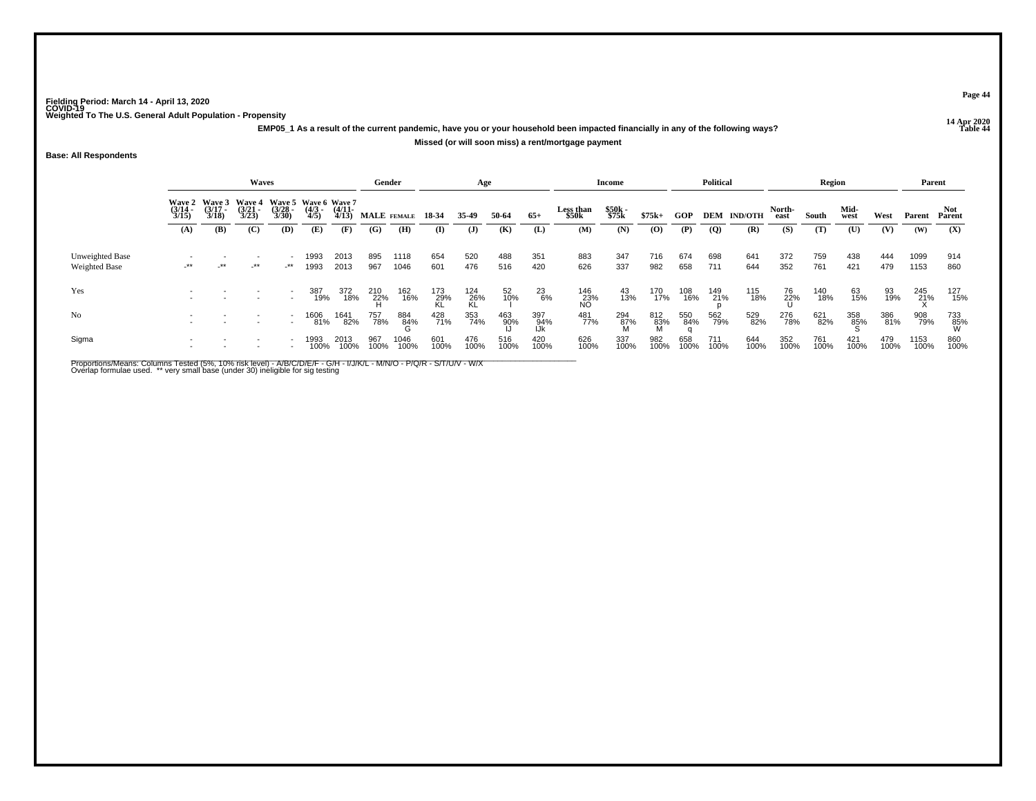**14 Apr 2020 EMP05\_1 As a result of the current pandemic, have you or your household been impacted financially in any of the following ways?Missed (or will soon miss) a rent/mortgage payment**

## **Base: All Respondents**

|                                         |                                        |                                        | Waves                                  |                                                  |                     |                       | Gender          |              |                  | Age              |                 |                       |                    | Income         |              |             | <b>Political</b> |                    |                | <b>Region</b> |              |             | Parent       |             |
|-----------------------------------------|----------------------------------------|----------------------------------------|----------------------------------------|--------------------------------------------------|---------------------|-----------------------|-----------------|--------------|------------------|------------------|-----------------|-----------------------|--------------------|----------------|--------------|-------------|------------------|--------------------|----------------|---------------|--------------|-------------|--------------|-------------|
|                                         | <b>Wave 2</b><br>$\frac{(3/14)}{3/15}$ | <b>Wave 3</b><br>$\frac{(3/17)}{3/18}$ | <b>Wave 4</b><br>$\frac{(3/21)}{3/23}$ | Wave 5 Wave 6 Wave 7<br>$\frac{(3/28)}{3/30}$    | $\frac{(4/3)}{4/5}$ | $\frac{(4/11)}{4/13}$ | MALE FEMALE     |              | 18 34            | 35.49            | 50-64           | $65+$                 | Less than<br>\$50k | \$50k<br>\$75k | $$75k+$      | GOP         |                  | <b>DEM IND/OTH</b> | North-<br>east | South         | Mid-<br>west | West        | Parent       | Parent      |
|                                         | (A)                                    | (B)                                    | (C)                                    | <b>(D)</b>                                       | (E)                 | (F)                   | (G)             | (H)          | (I)              | $\mathbf{J}$     | (K)             | (L)                   | (M)                | (N)            | $\bf{(0)}$   | (P)         | $\mathbf{Q}$     | (R)                | (S)            | (T)           | (U)          | (V)         | (W)          | (X)         |
| Unweighted Base<br><b>Weighted Base</b> | $-***$                                 | $+$ **                                 | $-***$                                 | $\overline{\phantom{a}}$<br>$\cdot^{\star\star}$ | 1993<br>1993        | 2013<br>2013          | 895<br>967      | 1118<br>1046 | 654<br>601       | 520<br>476       | 488<br>516      | 351<br>420            | 883<br>626         | 347<br>337     | 716<br>982   | 674<br>658  | 698<br>711       | 641<br>644         | 372<br>352     | 759<br>761    | 438<br>421   | 444<br>479  | 1099<br>1153 | 914<br>860  |
| Yes                                     |                                        |                                        |                                        | $\sim$                                           | 387<br>19%          | 372<br>18%            | 210<br>22%<br>H | 162<br>16%   | 173<br>29%<br>KL | 124<br>26%<br>KL | 52 <sub>%</sub> | $^{23}_{6\%}$         | 146<br>23%<br>NO   | 43<br>13%      | 170<br>17%   | 108<br>16%  | 149<br>21%       | 115<br>18%         | 76<br>22%<br>U | 140<br>18%    | 63<br>15%    | 93<br>19%   | 245<br>21%   | 127<br>15%  |
| N <sub>o</sub>                          |                                        |                                        |                                        | $\sim$                                           | 1606<br>81%         | 1641<br>82%           | 757<br>78%      | 884<br>84%   | 428<br>71%       | 353<br>74%       | 463<br>90%      | 397<br>- 94%<br>- IJk | 481<br>77%         | 294<br>87%     | 812<br>- 83% | 550<br>84%  | 562<br>79%       | 529<br>82%         | 276<br>78%     | 621<br>82%    | 358<br>85%   | 386<br>81%  | 908<br>79%   | 733<br>85%  |
| Sigma                                   |                                        |                                        |                                        |                                                  | 1993<br>100%        | 2013<br>100%          | 967<br>100%     | 1046<br>100% | 601<br>100%      | 476<br>100%      | 516<br>100%     | 420<br>100%           | 626<br>100%        | 337<br>100%    | 982<br>100%  | 658<br>100% | 711<br>100%      | 644<br>100%        | 352<br>100%    | 761<br>100%   | 421<br>100%  | 479<br>100% | 1153<br>100% | 860<br>100% |

Proportions/Means: Columns Tested (5%, 10% risk level) - A/B/C/D/E/F - G/H - I/J/K/L - M/N/O - P/Q/R - S/T/U/V - W/X<br>Overlap formulae used. \*\* very small base (under 30) ineligible for sig testing

**Page 44**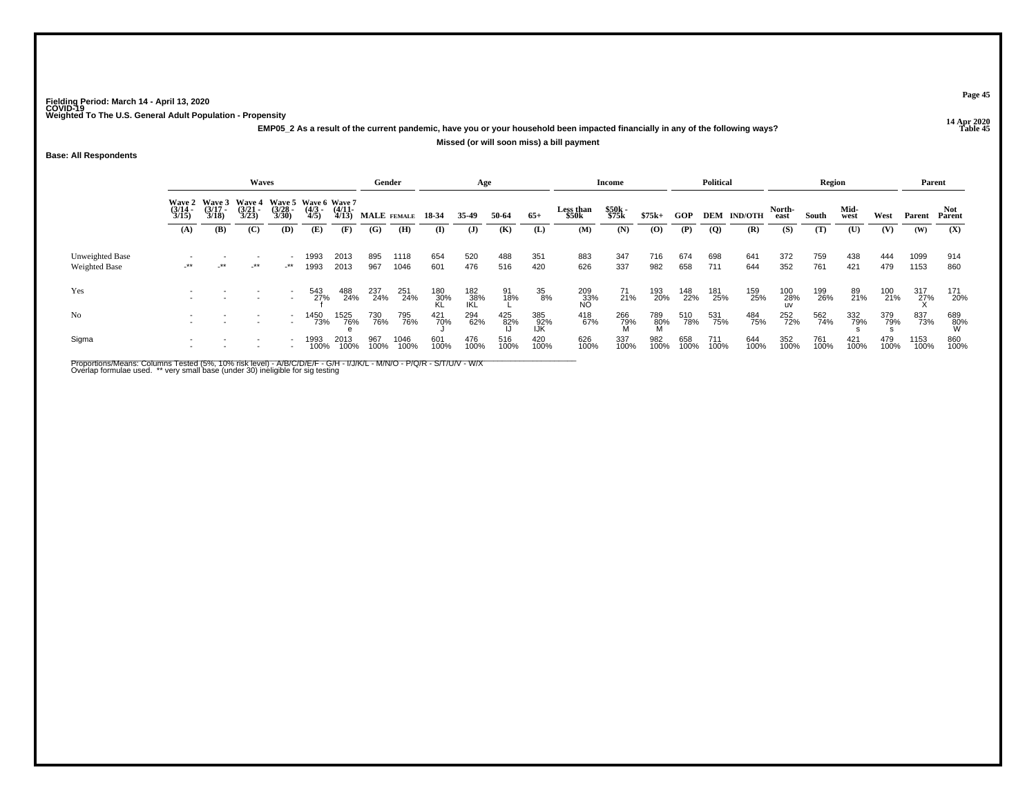**14 Apr 2020 EMP05\_2 As a result of the current pandemic, have you or your household been impacted financially in any of the following ways?**

#### **Missed (or will soon miss) a bill payment**

**Base: All Respondents**

|                                  |                       |                                        | <b>Waves</b>                           |                       |                                            |                       | Gender      |              |             | Age               |             |                     |                    | <b>Income</b>  |             |             | <b>Political</b> |                    |                | Region      |                |             | Parent       |                 |
|----------------------------------|-----------------------|----------------------------------------|----------------------------------------|-----------------------|--------------------------------------------|-----------------------|-------------|--------------|-------------|-------------------|-------------|---------------------|--------------------|----------------|-------------|-------------|------------------|--------------------|----------------|-------------|----------------|-------------|--------------|-----------------|
|                                  | $\frac{(3/14)}{3/15}$ | Wave 2 Wave 3<br>$\frac{(3/17)}{3/18}$ | <b>Wave 4</b><br>$\frac{(3/21)}{3/23}$ | $\frac{(3/28)}{3/30}$ | Wave 5 Wave 6 Wave 7<br>$\binom{4/3}{4/5}$ | $\frac{(4/11)}{4/13}$ | MALE FEMALE |              | 18 34       | 35-49             | 50-64       | $65+$               | Less than<br>\$50k | \$50k<br>\$75k | $$75k+$     | GOP         |                  | <b>DEM IND/OTH</b> | North-<br>east | South       | Mid-<br>west   | West        | Parent       | Not.<br>Parent  |
|                                  | (A)                   | (B)                                    | (C)                                    | (D)                   | (E)                                        | (F)                   | (G)         | (H)          | (I)         | $\mathbf{J}$      | (K)         | (L)                 | (M)                | (N)            | $\bf{(0)}$  | (P)         | $\overline{Q}$   | (R)                | (S)            | (T)         | $(\mathbf{U})$ | (V)         | (W)          | (X)             |
| Unweighted Base<br>Weighted Base | $-***$                | $\cdot$ **                             | $-***$                                 | -**                   | 1993<br>1993                               | 2013<br>2013          | 895<br>967  | 1118<br>1046 | 654<br>601  | 520<br>476        | 488<br>516  | 351<br>420          | 883<br>626         | 347<br>337     | 716<br>982  | 674<br>658  | 698<br>711       | 641<br>644         | 372<br>352     | 759<br>761  | 438<br>421     | 444<br>479  | 1099<br>1153 | 914<br>860      |
| Yes                              |                       |                                        |                                        |                       | 543<br>27%                                 | 488<br>24%            | 237<br>24%  | 251<br>24%   | 180<br>30%  | 182<br>38%<br>IKL | 91<br>18%   | 35<br>8%            | 209<br>33%<br>NO   | 71<br>21%      | 193<br>20%  | 148<br>22%  | 181<br>25%       | 159<br>25%         | 100<br>28%     | 199<br>26%  | 89<br>21%      | 100<br>21%  | 317<br>27%   | 171<br>20%      |
| No                               |                       |                                        |                                        |                       | 1450<br>73%                                | 1525<br>76%           | 730<br>76%  | 795<br>76%   | 421<br>70%  | 294<br>62%        | 425<br>82%  | 385<br>- 92%<br>IJK | 418<br>67%         | 266<br>79%     | 789<br>80%  | 510<br>78%  | 531<br>75%       | 484<br>75%         | 252<br>72%     | 562<br>74%  | 332<br>79%     | 379<br>79%  | 837<br>73%   | 689<br>80%<br>W |
| Sigma                            |                       |                                        |                                        |                       | 993<br>100%                                | 2013<br>100%          | 967<br>100% | 1046<br>100% | 601<br>100% | 476<br>100%       | 516<br>100% | 420<br>100%         | 626<br>100%        | 337<br>100%    | 982<br>100% | 658<br>100% | 711<br>100%      | 644<br>100%        | 352<br>100%    | 761<br>100% | 421<br>100%    | 479<br>100% | 1153<br>100% | 860<br>100%     |

Proportions/Means: Columns Tested (5%, 10% risk level) - A/B/C/D/E/F - G/H - I/J/K/L - M/N/O - P/Q/R - S/T/U/V - W/X<br>Overlap formulae used. \*\* very small base (under 30) ineligible for sig testing

**Page 45**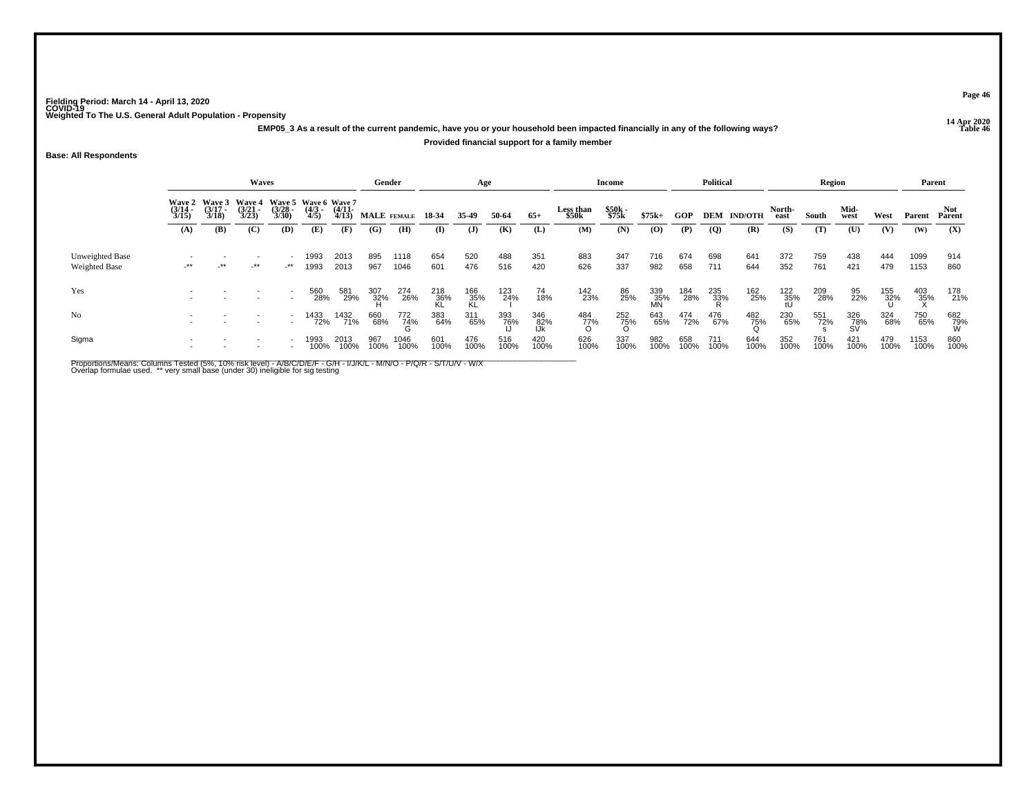**14 Apr 2020 EMP05\_3 As a result of the current pandemic, have you or your household been impacted financially in any of the following ways?**

## **Provided financial support for a family member**

**Base: All Respondents**

|                                  |                                                                                                                                                                                                                      |     | <b>Waves</b> |     |              |                       | Gender      |              |                    | Age              |             |                   |                           | <b>Income</b>  |                  |             | <b>Political</b> |                    |                 | Region      |                  |             | Parent       |                 |
|----------------------------------|----------------------------------------------------------------------------------------------------------------------------------------------------------------------------------------------------------------------|-----|--------------|-----|--------------|-----------------------|-------------|--------------|--------------------|------------------|-------------|-------------------|---------------------------|----------------|------------------|-------------|------------------|--------------------|-----------------|-------------|------------------|-------------|--------------|-----------------|
|                                  | Wave 2 Wave 3<br><b>Wave 4</b><br>Wave 5 Wave 6 Wave 7<br>$\frac{(3/17)}{3/18}$<br>$\frac{(3/21)}{3/23}$<br>$\frac{(3/28)}{3/30}$<br>$\frac{(4/3)}{4/5}$<br>$\frac{(3/14)}{3/15}$<br>(B)<br>(C)<br>(D)<br>(A)<br>(E) |     |              |     |              | $\frac{(4/11)}{4/13}$ | MALE FEMALE |              | 18-34              | 35-49            | 50-64       | $65+$             | <b>Less than</b><br>\$50k | \$50k<br>\$75k | $$75k+$          | GOP         |                  | <b>DEM IND/OTH</b> | North-<br>east  | South       | Mid-<br>west     | West        | Parent       | Not.<br>Parent  |
|                                  |                                                                                                                                                                                                                      |     |              |     |              | (F)                   | (G)         | (H)          | (I)                | $\mathbf{J}$     | (K)         | (L)               | (M)                       | (N)            | $\bf{(0)}$       | (P)         | $\overline{Q}$   | (R)                | (S)             | (T)         | (U)              | (V)         | (W)          | (X)             |
| Unweighted Base<br>Weighted Base | $-***$                                                                                                                                                                                                               | _** | $-***$       | _** | 1993<br>1993 | 2013<br>2013          | 895<br>967  | 1118<br>1046 | 654<br>601         | 520<br>476       | 488<br>516  | 351<br>420        | 883<br>626                | 347<br>337     | 716<br>982       | 674<br>658  | 698<br>711       | 641<br>644         | 372<br>352      | 759<br>761  | 438<br>421       | 444<br>479  | 1099<br>1153 | 914<br>860      |
| Yes                              |                                                                                                                                                                                                                      |     |              |     | 560<br>28%   | 581<br>29%            | 307<br>32%  | 274<br>26%   | $\frac{218}{36\%}$ | 166<br>35%<br>KL | 123<br>24%  | 74<br>18%         | 142<br>23%                | 86<br>25%      | 339<br>35%<br>MN | 184<br>28%  | 235<br>33%       | 162<br>25%         | $^{122}_{35\%}$ | 209<br>28%  | 95<br>22%        | 155<br>32%  | 403<br>35%   | 178<br>21%      |
| No                               |                                                                                                                                                                                                                      |     |              |     | 1433<br>72%  | 1432<br>71%           | 660<br>68%  | 772<br>74%   | 383<br>64%         | 311<br>65%       | 393<br>76%  | 346<br>82%<br>IJk | 484<br>77%<br>O           | 252<br>75%     | 643<br>65%       | 474<br>72%  | 476<br>67%       | 482<br>75%         | 230<br>65%      | 551<br>72%  | 326<br>78%<br>SV | 324<br>68%  | 750<br>65%   | 682<br>79%<br>W |
| Sigma                            |                                                                                                                                                                                                                      |     |              |     | 1993<br>100% | 2013<br>100%          | 967<br>100% | 1046<br>100% | 601<br>100%        | 476<br>100%      | 516<br>100% | 420<br>100%       | 626<br>100%               | 337<br>100%    | 982<br>100%      | 658<br>100% | 711<br>100%      | 644<br>100%        | 352<br>100%     | 761<br>100% | 421<br>100%      | 479<br>100% | 1153<br>100% | 860<br>100%     |

Proportions/Means: Columns Tested (5%, 10% risk level) - A/B/C/D/E/F - G/H - I/J/K/L - M/N/O - P/Q/R - S/T/U/V - W/X<br>Overlap formulae used. \*\* very small base (under 30) ineligible for sig testing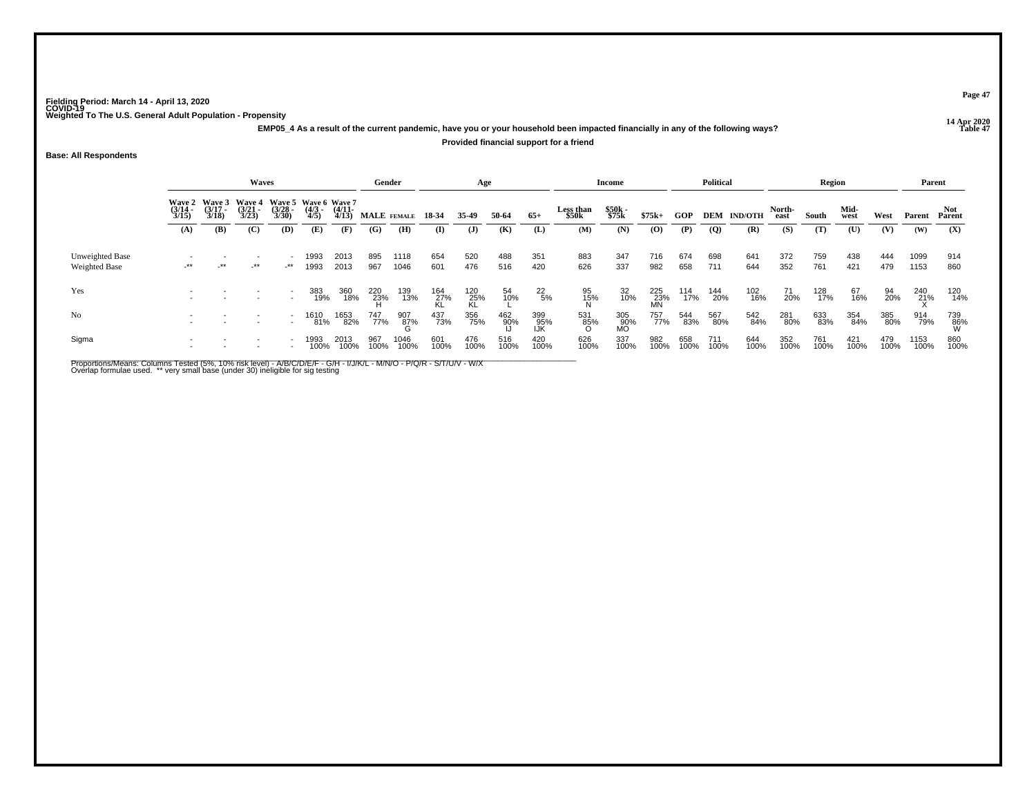**14 Apr 2020 EMP05\_4 As a result of the current pandemic, have you or your household been impacted financially in any of the following ways?Provided financial support for a friend**

## **Base: All Respondents**

|                                         |                       |                                        | Waves                                  |                                                  |                    |                       | Gender      |              |                  | Age              |             |                     |                    | Income           |                             |             | <b>Political</b> |                    |                | <b>Region</b> |              |             | Parent       |                |
|-----------------------------------------|-----------------------|----------------------------------------|----------------------------------------|--------------------------------------------------|--------------------|-----------------------|-------------|--------------|------------------|------------------|-------------|---------------------|--------------------|------------------|-----------------------------|-------------|------------------|--------------------|----------------|---------------|--------------|-------------|--------------|----------------|
|                                         | $\frac{(3/14)}{3/15}$ | Wave 2 Wave 3<br>$\frac{(3/17)}{3/18}$ | <b>Wave 4</b><br>$\frac{(3/21)}{3/23}$ | Wave 5 Wave 6 Wave 7<br>$\frac{(3/28)}{3/30}$    | $\binom{4/3}{4/5}$ | $\frac{(4/11)}{4/13}$ | MALE FEMALE |              | 18-34            | 35-49            | 50-64       | $65+$               | Less than<br>\$50k | \$50k<br>\$75k   | $$75k+$                     | GOP         |                  | <b>DEM IND/OTH</b> | North-<br>east | South         | Mid-<br>west | West        | Parent       | Not.<br>Parent |
|                                         | (A)                   | <b>(B)</b>                             | (C)                                    | <b>(D)</b>                                       | (E)                | (F)                   | (G)         | (H)          | (I)              | $\mathbf{J}$     | (K)         | (L)                 | (M)                | (N)              | $\boldsymbol{\mathrm{(O)}}$ | (P)         | $\mathbf{Q}$     | (R)                | (S)            | (T)           | (U)          | (V)         | (W)          | (X)            |
| Unweighted Base<br><b>Weighted Base</b> | $-***$                | $-**$                                  | $-***$                                 | $\overline{\phantom{a}}$<br>$\cdot^{\star\star}$ | 1993<br>1993       | 2013<br>2013          | 895<br>967  | 1118<br>1046 | 654<br>601       | 520<br>476       | 488<br>516  | 351<br>420          | 883<br>626         | 347<br>337       | 716<br>982                  | 674<br>658  | 698<br>711       | 641<br>644         | 372<br>352     | 759<br>761    | 438<br>421   | 444<br>479  | 1099<br>1153 | 914<br>860     |
| Yes                                     |                       |                                        |                                        |                                                  | 383<br>19%         | 360<br>18%            | 220<br>23%  | 139<br>13%   | 164<br>27%<br>KL | 120<br>25%<br>KL | 54<br>10%   | $^{22}_{5\%}$       | 95<br>15%          | 32<br>10%        | 225<br>23%<br>MN            | 114<br>17%  | 144<br>20%       | 102<br>16%         | 71<br>20%      | 128<br>17%    | 67<br>16%    | 94<br>20%   | 240<br>21%   | 120<br>14%     |
| N <sub>o</sub>                          |                       |                                        |                                        | $\sim$<br>$\sim$                                 | 1610<br>81%        | 1653<br>82%           | 747<br>77%  | 907<br>87%   | 437<br>73%       | 356<br>75%       | 462<br>90%  | 399<br>- 95%<br>IJK | 531<br>85%<br>O    | 305<br>90%<br>MO | 757<br>77%                  | 544<br>83%  | 567<br>80%       | 542<br>84%         | 281<br>80%     | 633<br>83%    | 354<br>84%   | 385<br>80%  | 914<br>79%   | 739<br>86%     |
| Sigma                                   |                       |                                        |                                        |                                                  | 1993<br>100%       | 2013<br>100%          | 967<br>100% | 1046<br>100% | 601<br>100%      | 476<br>100%      | 516<br>100% | 420<br>100%         | 626<br>100%        | 337<br>100%      | 982<br>100%                 | 658<br>100% | 711<br>100%      | 644<br>100%        | 352<br>100%    | 761<br>100%   | 421<br>100%  | 479<br>100% | 1153<br>100% | 860<br>100%    |

Proportions/Means: Columns Tested (5%, 10% risk level) - A/B/C/D/E/F - G/H - I/J/K/L - M/N/O - P/Q/R - S/T/U/V - W/X<br>Overlap formulae used. \*\* very small base (under 30) ineligible for sig testing

**Page 47**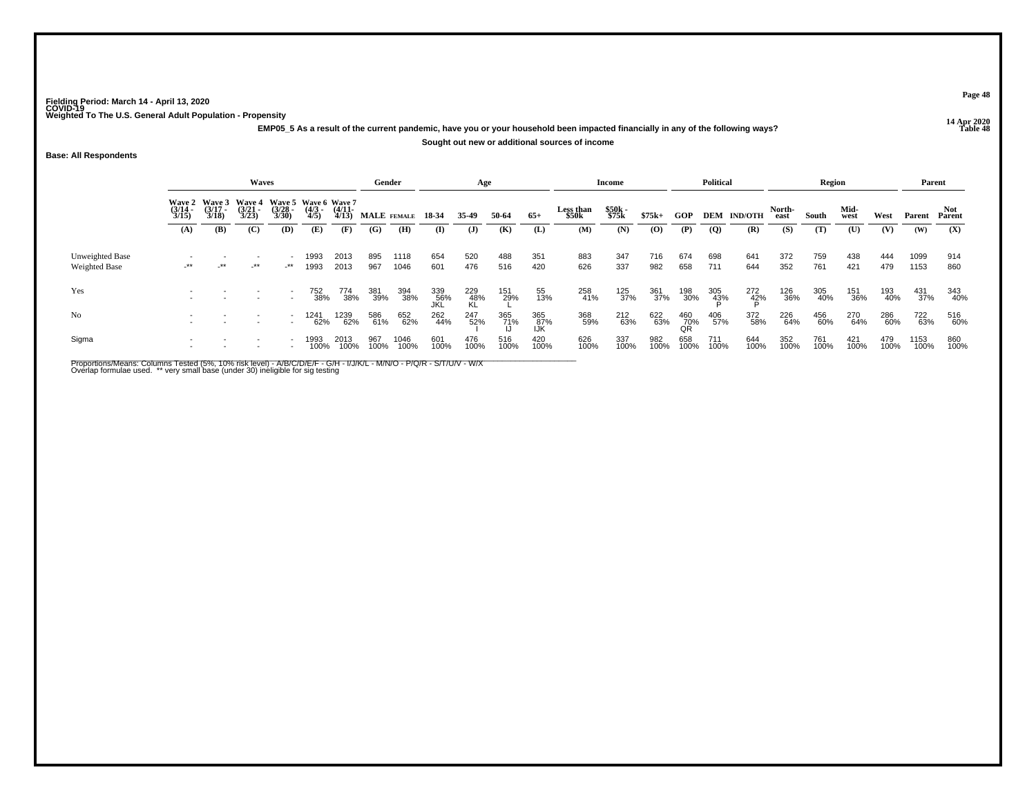**14 Apr 2020 EMP05\_5 As a result of the current pandemic, have you or your household been impacted financially in any of the following ways?**

**Sought out new or additional sources of income**

**Base: All Respondents**

|                                         |                                        |                                        | Waves                                                |                       |                     |                   | Gender      |              |                   | Age              |             |                   |                           | Income         |             |                  | <b>Political</b> |                    |                | Region      |              |             | Parent       |               |
|-----------------------------------------|----------------------------------------|----------------------------------------|------------------------------------------------------|-----------------------|---------------------|-------------------|-------------|--------------|-------------------|------------------|-------------|-------------------|---------------------------|----------------|-------------|------------------|------------------|--------------------|----------------|-------------|--------------|-------------|--------------|---------------|
|                                         | <b>Wave 2</b><br>$\frac{(3/14)}{3/15}$ | <b>Wave 3</b><br>$\frac{(3/17)}{3/18}$ | Wave 4 Wave 5 Wave 6 Wave 7<br>$\frac{(3/21)}{3/23}$ | $\frac{(3/28)}{3/30}$ | $\frac{(4/3)}{4/5}$ | $(4/11 -$<br>4/13 | MALE FEMALE |              | 18-34             | 35.49            | 50-64       | $65+$             | <b>Less than</b><br>\$50k | \$50k<br>\$75k | $$75k+$     | GOP              |                  | <b>DEM IND/OTH</b> | North-<br>east | South       | Mid-<br>west | West        | Parent       | Not<br>Parent |
|                                         | (A)                                    | (B)                                    | (C)                                                  | (D)                   | (E)                 | (F)               | (G)         | (H)          | (I)               | $\mathbf{J}$     | (K)         | (L)               | (M)                       | (N)            | (0)         | (P)              | (Q)              | (R)                | (S)            | (T)         | (U)          | (V)         | (W)          | (X)           |
| Unweighted Base<br><b>Weighted Base</b> | $-***$                                 | $-***$                                 | $-***$                                               | _**                   | 1993<br>1993        | 2013<br>2013      | 895<br>967  | 1118<br>1046 | 654<br>601        | 520<br>476       | 488<br>516  | 351<br>420        | 883<br>626                | 347<br>337     | 716<br>982  | 674<br>658       | 698<br>711       | 641<br>644         | 372<br>352     | 759<br>761  | 438<br>421   | 444<br>479  | 1099<br>1153 | 914<br>860    |
| Yes                                     |                                        |                                        |                                                      |                       | 752<br>38%          | 774<br>38%        | 381<br>39%  | 394<br>38%   | 339<br>56%<br>JKL | 229<br>48%<br>KL | 151<br>29%  | 55<br>13%         | 258<br>41%                | 125<br>37%     | 361<br>37%  | 198<br>30%       | 305<br>43%       | $^{272}_{42\%}$    | 126<br>36%     | 305<br>40%  | 151<br>36%   | 193<br>40%  | 431<br>37%   | 343<br>40%    |
| N <sub>o</sub>                          |                                        |                                        |                                                      |                       | 1241<br>62%         | 1239<br>62%       | 586<br>61%  | 652<br>62%   | 262<br>44%        | 247<br>52%       | 365<br>71%  | 365<br>87%<br>IJK | 368<br>59%                | 212<br>63%     | 622<br>63%  | 460<br>70%<br>QR | 406<br>57%       | 372<br>58%         | 226<br>64%     | 456<br>60%  | 270<br>64%   | 286<br>60%  | 722<br>63%   | 516<br>60%    |
| Sigma                                   |                                        |                                        |                                                      |                       | 1993<br>100%        | 2013<br>100%      | 967<br>100% | 1046<br>100% | 601<br>100%       | 476<br>100%      | 516<br>100% | 420<br>100%       | 626<br>100%               | 337<br>100%    | 982<br>100% | 658<br>100%      | 711<br>100%      | 644<br>100%        | 352<br>100%    | 761<br>100% | 421<br>100%  | 479<br>100% | 1153<br>100% | 860<br>100%   |

Proportions/Means: Columns Tested (5%, 10% risk level) - A/B/C/D/E/F - G/H - I/J/K/L - M/N/O - P/Q/R - S/T/U/V - W/X<br>Overlap formulae used. \*\* very small base (under 30) ineligible for sig testing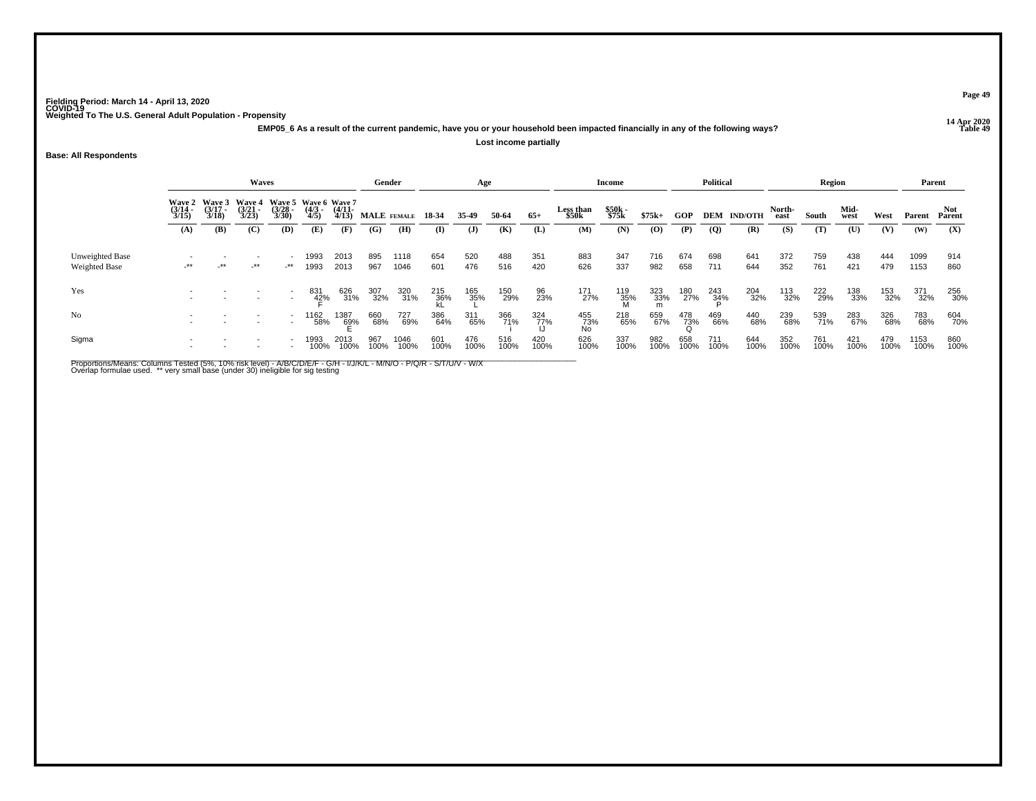**14 Apr 2020 EMP05\_6 As a result of the current pandemic, have you or your household been impacted financially in any of the following ways?Lost income partially**

## **Base: All Respondents**

|                                  |                                                                                                                                                                                                                                              |       | <b>Waves</b> |                                                  |                       |                      | Gender      |              |                  | Age          |             |                    |                  | Income          |             |             | Political          |                |             | Region       |             |             | Parent       |             |
|----------------------------------|----------------------------------------------------------------------------------------------------------------------------------------------------------------------------------------------------------------------------------------------|-------|--------------|--------------------------------------------------|-----------------------|----------------------|-------------|--------------|------------------|--------------|-------------|--------------------|------------------|-----------------|-------------|-------------|--------------------|----------------|-------------|--------------|-------------|-------------|--------------|-------------|
|                                  | <b>Wave 3</b><br><b>Wave 4</b><br>Wave 5 Wave 6 Wave 7<br><b>Wave 2</b><br>$\frac{(3/28)}{3/30}$<br>$\frac{(3/17)}{3/18}$<br>$\frac{(3/21)}{3/23}$<br>$\frac{(4/3)}{4/5}$<br>$\frac{(3/14)}{3/15}$<br>(B)<br>(C)<br><b>(D)</b><br>(E)<br>(A) |       |              |                                                  | $\frac{(4/11)}{4/13}$ | MALE FEMALE 18-34    |             |              | 35-49            | 50-64        | $65+$       | Less than<br>\$50k | \$50k<br>\$75k   | $$75k+$         | GOP         |             | <b>DEM IND/OTH</b> | North-<br>east | South       | Mid-<br>west | West        | Parent      | Parent       |             |
|                                  |                                                                                                                                                                                                                                              |       |              |                                                  |                       | (F)                  | (G)         | (H)          | $\mathbf{I}$     | $\mathbf{J}$ | (K)         | (L)                | (M)              | (N)             | (0)         | (P)         | $\overline{Q}$     | (R)            | (S)         | (T)          | (U)         | (V)         | (W)          | (X)         |
| Unweighted Base<br>Weighted Base | $-***$                                                                                                                                                                                                                                       | $-**$ | _**          | $\overline{\phantom{a}}$<br>$\cdot^{\star\star}$ | 1993<br>1993          | 2013<br>2013         | 895<br>967  | 1118<br>1046 | 654<br>601       | 520<br>476   | 488<br>516  | 351<br>420         | 883<br>626       | 347<br>337      | 716<br>982  | 674<br>658  | 698<br>711         | 641<br>644     | 372<br>352  | 759<br>761   | 438<br>421  | 444<br>479  | 1099<br>1153 | 914<br>860  |
| Yes                              |                                                                                                                                                                                                                                              |       |              |                                                  | 831<br>42%            | 626<br>31%           | 307<br>32%  | 320<br>31%   | 215<br>36%<br>kL | 165<br>35%   | 150<br>29%  | 96<br>23%          | 171<br>27%       | 119<br>35%<br>M | 323<br>33%  | 180<br>27%  | 243<br>34%         | 204<br>32%     | 113<br>32%  | 222<br>29%   | 138<br>33%  | 153<br>32%  | 371<br>32%   | 256<br>30%  |
| N <sub>0</sub>                   |                                                                                                                                                                                                                                              |       |              |                                                  | 1162<br>58%           | 1387<br>6 <u>9</u> % | 660<br>68%  | 727<br>69%   | 386<br>64%       | 311<br>65%   | 366<br>71%  | 324<br>77%         | 455<br>73%<br>No | 218<br>65%      | 659<br>67%  | 478<br>73%  | 469<br>66%         | 440<br>68%     | 239<br>68%  | 539<br>71%   | 283<br>67%  | 326<br>68%  | 783<br>68%   | 604<br>70%  |
| Sigma                            |                                                                                                                                                                                                                                              |       |              |                                                  | 1993<br>100%          | 2013<br>100%         | 967<br>100% | 1046<br>100% | 601<br>100%      | 476<br>100%  | 516<br>100% | 420<br>100%        | 626<br>100%      | 337<br>100%     | 982<br>100% | 658<br>100% | 711<br>100%        | 644<br>100%    | 352<br>100% | 761<br>100%  | 421<br>100% | 479<br>100% | 1153<br>100% | 860<br>100% |

Proportions/Means: Columns Tested (5%, 10% risk level) - A/B/C/D/E/F - G/H - I/J/K/L - M/N/O - P/Q/R - S/T/U/V - W/X<br>Overlap formulae used. \*\* very small base (under 30) ineligible for sig testing

**Page 49**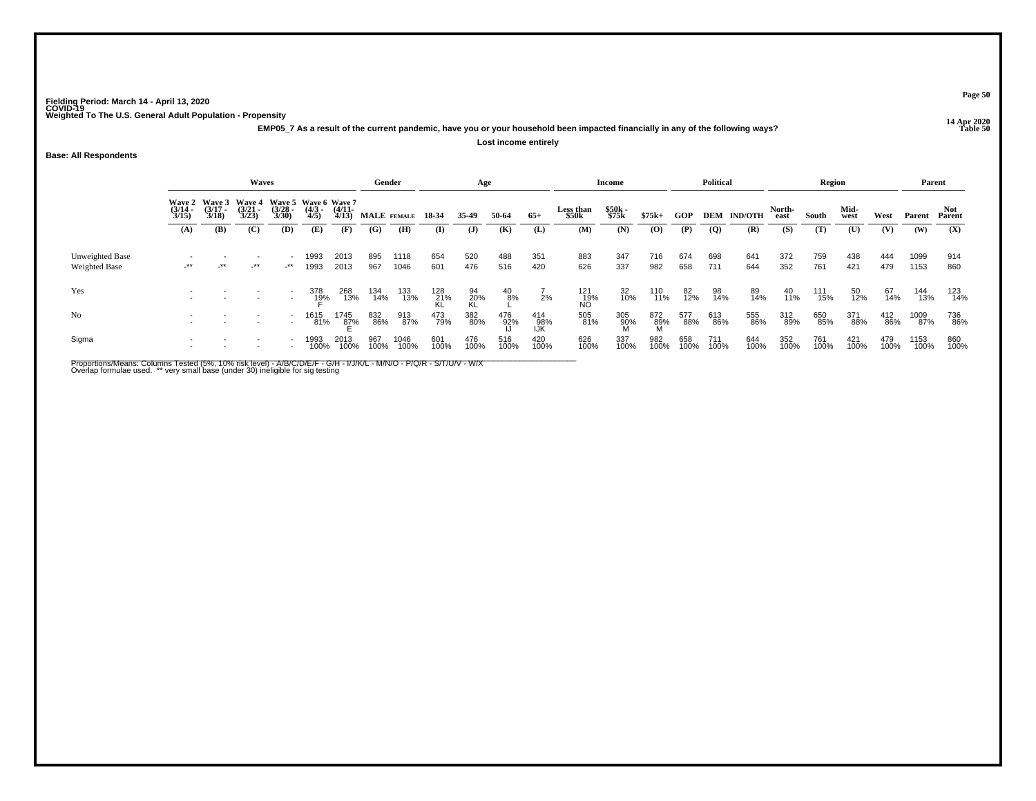**14 Apr 2020 EMP05\_7 As a result of the current pandemic, have you or your household been impacted financially in any of the following ways?Lost income entirely**

## **Base: All Respondents**

|                                         |                                                                                                                                                                                                                             |        | Waves  |                                                      |                     |                       | Gender            |              |                      | Age             |               |                   |                      | Income         |             |             | <b>Political</b> |                    |                | <b>Region</b> |              |             | Parent       |             |
|-----------------------------------------|-----------------------------------------------------------------------------------------------------------------------------------------------------------------------------------------------------------------------------|--------|--------|------------------------------------------------------|---------------------|-----------------------|-------------------|--------------|----------------------|-----------------|---------------|-------------------|----------------------|----------------|-------------|-------------|------------------|--------------------|----------------|---------------|--------------|-------------|--------------|-------------|
|                                         | Wave 5 Wave 6 Wave 7<br>Wave 2 Wave 3<br><b>Wave 4</b><br>$\frac{(3/21)}{3/23}$<br>$\frac{(3/17)}{3/18}$<br>$\frac{(3/28)}{3/30}$<br>$\frac{(4/3)}{4/5}$<br>$\frac{(3/14)}{3/15}$<br>(C)<br><b>(D)</b><br>(B)<br>(A)<br>(E) |        |        |                                                      |                     | $\frac{(4/11)}{4/13}$ | MALE FEMALE 18-34 |              |                      | 35.49           | 50-64         | $65+$             | Less than<br>\$50k   | \$50k<br>\$75k | $$75k+$     | GOP         |                  | <b>DEM IND/OTH</b> | North-<br>east | South         | Mid-<br>west | West        | Parent       | Parent      |
|                                         |                                                                                                                                                                                                                             |        |        |                                                      |                     | (F)                   | (G)               | (H)          | $\mathbf{I}$         | $\mathbf{J}$    | (K)           | (L)               | (M)                  | (N)            | (O)         | (P)         | $\overline{Q}$   | (R)                | (S)            | (T)           | (U)          | (V)         | (W)          | (X)         |
| Unweighted Base<br><b>Weighted Base</b> | $-***$                                                                                                                                                                                                                      | $+$ ** | $-***$ | $\overline{\phantom{0}}$<br>$\cdot^{\star\star}$     | 1993<br>1993        | 2013<br>2013          | 895<br>967        | 1118<br>1046 | 654<br>601           | 520<br>476      | 488<br>516    | 351<br>420        | 883<br>626           | 347<br>337     | 716<br>982  | 674<br>658  | 698<br>711       | 641<br>644         | 372<br>352     | 759<br>761    | 438<br>421   | 444<br>479  | 1099<br>1153 | 914<br>860  |
| Yes                                     |                                                                                                                                                                                                                             |        |        | $\overline{a}$                                       | 378<br>1 <u>9</u> % | 268<br>13%            | 134<br>14%        | 133<br>13%   | 128<br>- 21%<br>- KL | 94<br>20%<br>KL | $^{40}_{8\%}$ | 2%                | 121<br>- 19%<br>- NO | 32<br>10%      | 110<br>11%  | 82<br>12%   | 98<br>14%        | 89<br>14%          | 40<br>11%      | 111<br>15%    | 50<br>12%    | 67<br>14%   | 144<br>13%   | 123<br>14%  |
| N <sub>o</sub>                          |                                                                                                                                                                                                                             |        |        | $\overline{\phantom{a}}$<br>$\overline{\phantom{a}}$ | 1615<br>81%         | 1745<br>8 <u>7</u> %  | 832<br>86%        | 913<br>87%   | 473<br>79%           | 382<br>80%      | 476<br>92%    | 414<br>98%<br>IJK | 505<br>81%           | 305<br>90%     | 872<br>89%  | 577<br>88%  | 613<br>86%       | 555<br>86%         | 312<br>89%     | 650<br>85%    | 371<br>88%   | 412<br>86%  | 1009<br>87%  | 736<br>86%  |
| Sigma                                   |                                                                                                                                                                                                                             |        |        |                                                      | 1993<br>100%        | 2013<br>100%          | 967<br>100%       | 1046<br>100% | 601<br>100%          | 476<br>100%     | 516<br>100%   | 420<br>100%       | 626<br>100%          | 337<br>100%    | 982<br>100% | 658<br>100% | 711<br>100%      | 644<br>100%        | 352<br>100%    | 761<br>100%   | 421<br>100%  | 479<br>100% | 1153<br>100% | 860<br>100% |

Proportions/Means: Columns Tested (5%, 10% risk level) - A/B/C/D/E/F - G/H - I/J/K/L - M/N/O - P/Q/R - S/T/U/V - W/X<br>Overlap formulae used. \*\* very small base (under 30) ineligible for sig testing

**Page 50**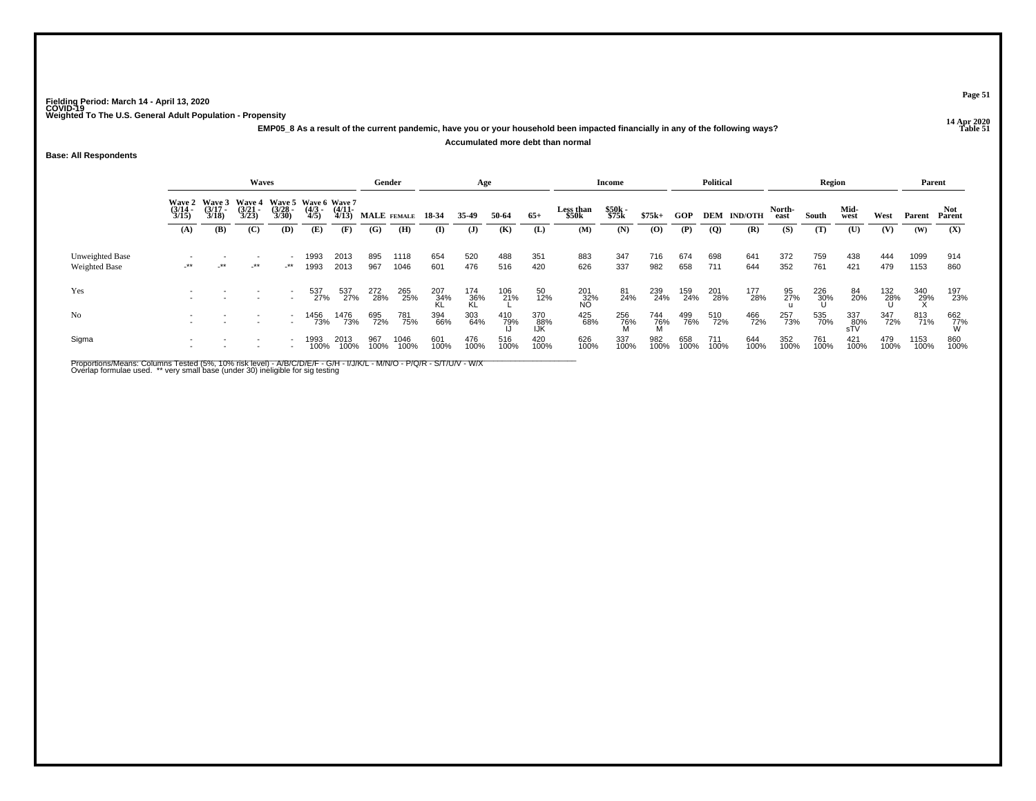**14 Apr 2020 EMP05\_8 As a result of the current pandemic, have you or your household been impacted financially in any of the following ways?Accumulated more debt than normal**

## **Base: All Respondents**

|                                  |                                                                                                                                                                                                                                                                |            | <b>Waves</b> |                                            |              |              | Gender      |              |                  | Age              |             |                   |                           | Income         |             |             | <b>Political</b> |                    |                | Region          |                   |             | Parent       |                 |
|----------------------------------|----------------------------------------------------------------------------------------------------------------------------------------------------------------------------------------------------------------------------------------------------------------|------------|--------------|--------------------------------------------|--------------|--------------|-------------|--------------|------------------|------------------|-------------|-------------------|---------------------------|----------------|-------------|-------------|------------------|--------------------|----------------|-----------------|-------------------|-------------|--------------|-----------------|
|                                  | <b>Wave 3</b><br>Wave 5 Wave 6 Wave 7<br><b>Wave 4</b><br><b>Wave 2</b><br>$\frac{(3/17)}{3/18}$<br>$\frac{(3/14)}{3/15}$<br>$\frac{(3/21)}{3/23}$<br>$\frac{(3/28)}{3/30}$<br>$\frac{(4/3)}{4/5}$<br>$\frac{(4/11)}{4/13}$<br>(B)<br>(C)<br>(D)<br>(E)<br>(A) |            |              |                                            |              |              | MALE FEMALE |              | 18-34            | 35.49            | 50-64       | $65+$             | <b>Less than</b><br>\$50k | \$50k<br>\$75k | $$75k+$     | GOP         |                  | <b>DEM IND/OTH</b> | North-<br>east | South           | Mid-<br>west      | West        | Parent       | Parent          |
|                                  |                                                                                                                                                                                                                                                                |            |              |                                            |              | (F)          | (G)         | (H)          | (I)              | $\mathbf{J}$     | (K)         | (L)               | (M)                       | (N)            | $\bf{(0)}$  | (P)         | $\overline{Q}$   | (R)                | (S)            | (T)             | (U)               | (V)         | (W)          | (X)             |
| Unweighted Base<br>Weighted Base | $-***$                                                                                                                                                                                                                                                         | $\cdot$ ** | $-***$       | $\overline{\phantom{a}}$<br>$+$ **         | 1993<br>1993 | 2013<br>2013 | 895<br>967  | 1118<br>1046 | 654<br>601       | 520<br>476       | 488<br>516  | 351<br>420        | 883<br>626                | 347<br>337     | 716<br>982  | 674<br>658  | 698<br>711       | 641<br>644         | 372<br>352     | 759<br>761      | 438<br>421        | 444<br>479  | 1099<br>1153 | 914<br>860      |
| Yes                              |                                                                                                                                                                                                                                                                |            |              | t                                          | 537<br>27%   | 537<br>27%   | 272<br>28%  | 265<br>25%   | 207<br>34%<br>KL | 174<br>36%<br>KI | 106<br>21%  | 50<br>12%         | 201<br>32%<br>NO          | 81<br>24%      | 239<br>24%  | 159<br>24%  | 201<br>28%       | 177<br>28%         | 95<br>27%      | 226<br>30%<br>Ս | 84<br>20%         | 132<br>28%  | 340<br>29%   | 197<br>23%      |
| N <sub>0</sub>                   |                                                                                                                                                                                                                                                                |            |              | $\overline{\phantom{a}}$<br>$\overline{a}$ | 1456<br>73%  | 1476<br>73%  | 695<br>72%  | 781<br>75%   | 394<br>66%       | 303<br>64%       | 410<br>79%  | 370<br>88%<br>IJK | 425<br>68%                | 256<br>76%     | 744<br>76%  | 499<br>76%  | 510<br>72%       | 466<br>72%         | 257<br>73%     | 535<br>70%      | 337<br>80%<br>sTV | 347<br>72%  | 813<br>71%   | 662<br>77%<br>W |
| Sigma                            |                                                                                                                                                                                                                                                                |            |              | $\overline{\phantom{a}}$                   | 1993<br>100% | 2013<br>100% | 967<br>100% | 1046<br>100% | 601<br>100%      | 476<br>100%      | 516<br>100% | 420<br>100%       | 626<br>100%               | 337<br>100%    | 982<br>100% | 658<br>100% | 711<br>100%      | 644<br>100%        | 352<br>100%    | 761<br>100%     | 421<br>100%       | 479<br>100% | 1153<br>100% | 860<br>100%     |

Proportions/Means: Columns Tested (5%, 10% risk level) - A/B/C/D/E/F - G/H - I/J/K/L - M/N/O - P/Q/R - S/T/U/V - W/X<br>Overlap formulae used. \*\* very small base (under 30) ineligible for sig testing

**Page 51**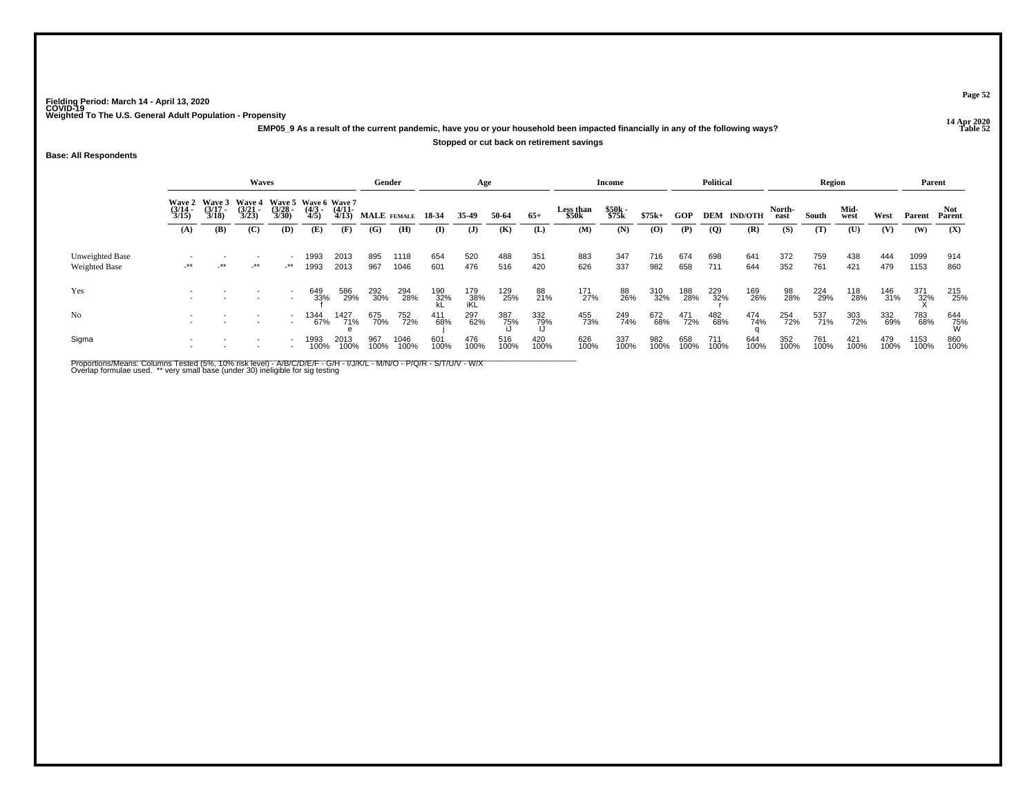**14 Apr 2020 EMP05\_9 As a result of the current pandemic, have you or your household been impacted financially in any of the following ways?**

## **Stopped or cut back on retirement savings**

**Base: All Respondents**

|                                  |                                                                                                                                                                                                                                               |            | Waves  |     |              |              | Gender      |              |                  | Age               |             |             |                           | <b>Income</b>  |             |             | <b>Political</b> |                    |                | Region      |              |             | Parent       |                 |
|----------------------------------|-----------------------------------------------------------------------------------------------------------------------------------------------------------------------------------------------------------------------------------------------|------------|--------|-----|--------------|--------------|-------------|--------------|------------------|-------------------|-------------|-------------|---------------------------|----------------|-------------|-------------|------------------|--------------------|----------------|-------------|--------------|-------------|--------------|-----------------|
|                                  | Wave 5 Wave 6 Wave 7<br><b>Wave 4</b><br>Wave 2 Wave 3<br>$\frac{(3/17)}{3/18}$<br>$\frac{(3/21)}{3/23}$<br>$\frac{(3/28)}{3/30}$<br>$\frac{(4/3)}{4/5}$<br>$\frac{(3/14)}{3/15}$<br>$\frac{(4/11)}{4/13}$<br>(B)<br>(C)<br>(D)<br>(E)<br>(A) |            |        |     |              |              | MALE FEMALE |              | 18-34            | 35.49             | 50-64       | $65+$       | <b>Less than</b><br>\$50k | \$50k<br>\$75k | $$75k+$     | <b>GOP</b>  |                  | <b>DEM IND/OTH</b> | North-<br>east | South       | Mid-<br>west | West        | Parent       | Not.<br>Parent  |
|                                  |                                                                                                                                                                                                                                               |            |        |     |              | (F)          | (G)         | (H)          | (I)              | $\mathbf{J}$      | (K)         | (L)         | (M)                       | (N)            | $\left($ O) | (P)         | <b>(Q)</b>       | (R)                | (S)            | (T)         | (U)          | (V)         | (W)          | (X)             |
| Unweighted Base<br>Weighted Base | $-***$                                                                                                                                                                                                                                        | $\cdot$ ** | $-***$ | _** | 1993<br>1993 | 2013<br>2013 | 895<br>967  | 1118<br>1046 | 654<br>601       | 520<br>476        | 488<br>516  | 351<br>420  | 883<br>626                | 347<br>337     | 716<br>982  | 674<br>658  | 698<br>711       | 641<br>644         | 372<br>352     | 759<br>761  | 438<br>421   | 444<br>479  | 1099<br>1153 | 914<br>860      |
| Yes                              |                                                                                                                                                                                                                                               |            |        |     | 649<br>33%   | 586<br>29%   | 292<br>30%  | 294<br>28%   | 190<br>32%<br>kL | 179<br>38%<br>iKL | 129<br>25%  | 88<br>21%   | 171<br>27%                | 88<br>26%      | 310<br>32%  | 188<br>28%  | 229<br>32%       | 169<br>26%         | 98<br>28%      | 224<br>29%  | 118<br>28%   | 146<br>31%  | 371<br>32%   | 215<br>25%      |
| No                               |                                                                                                                                                                                                                                               |            |        |     | 1344<br>67%  | 1427<br>71%  | 675<br>70%  | 752<br>72%   | 411<br>68%       | 297<br>62%        | 387<br>75%  | 332<br>79%  | 455<br>73%                | 249<br>74%     | 672<br>68%  | 471<br>72%  | 482<br>68%       | 474<br>74%         | 254<br>72%     | 537<br>71%  | 303<br>72%   | 332<br>69%  | 783<br>68%   | 644<br>75%<br>W |
| Sigma                            |                                                                                                                                                                                                                                               |            |        |     | 1993<br>100% | 2013<br>100% | 967<br>100% | 1046<br>100% | 601<br>100%      | 476<br>100%       | 516<br>100% | 420<br>100% | 626<br>100%               | 337<br>100%    | 982<br>100% | 658<br>100% | 711<br>100%      | 644<br>100%        | 352<br>100%    | 761<br>100% | 421<br>100%  | 479<br>100% | 1153<br>100% | 860<br>100%     |

Proportions/Means: Columns Tested (5%, 10% risk level) - A/B/C/D/E/F - G/H - I/J/K/L - M/N/O - P/Q/R - S/T/U/V - W/X<br>Overlap formulae used. \*\* very small base (under 30) ineligible for sig testing

**Page 52**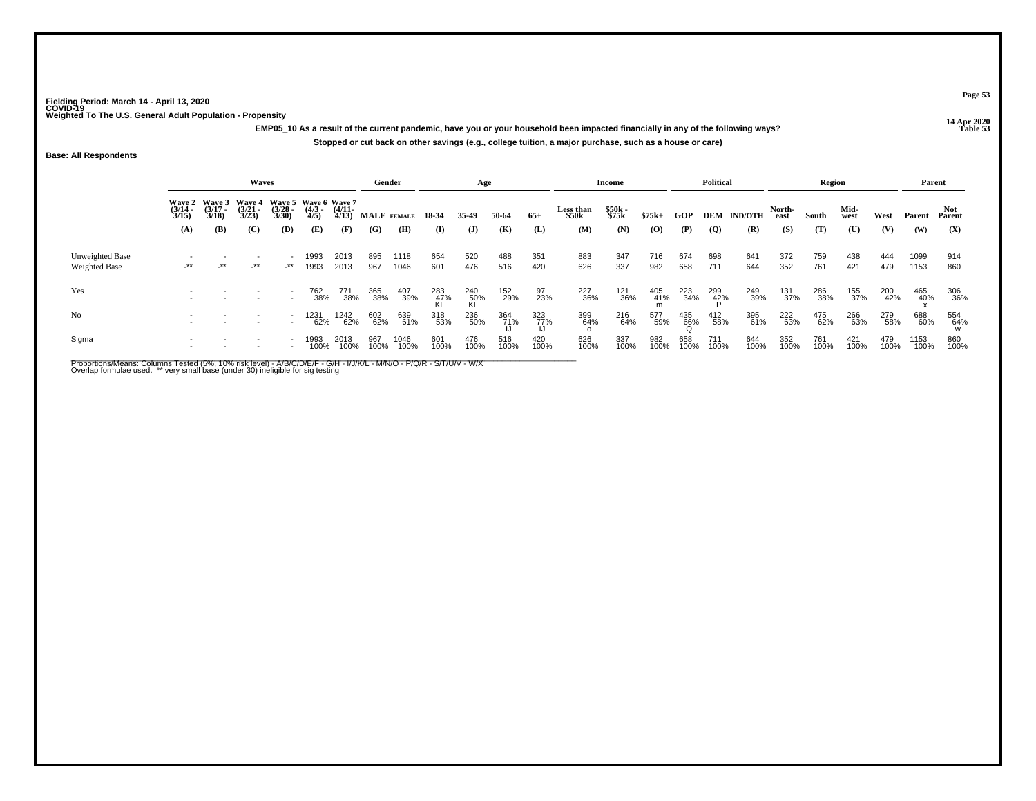.<br>14 Apr 2020 EMP05\_10 As a result of the current pandemic, have you or your household been impacted financially in any of the following ways? **Stopped or cut back on other savings (e.g., college tuition, a major purchase, such as a house or care)**

## **Base: All Respondents**

|                                         |                                                                                                                                                                                                                                                         |        | Waves  |                      |              |              | Gender      |              |              | Age              |             |             |                    | Income         |             |             | <b>Political</b> |                    |                | Region      |              |             | Parent       |             |
|-----------------------------------------|---------------------------------------------------------------------------------------------------------------------------------------------------------------------------------------------------------------------------------------------------------|--------|--------|----------------------|--------------|--------------|-------------|--------------|--------------|------------------|-------------|-------------|--------------------|----------------|-------------|-------------|------------------|--------------------|----------------|-------------|--------------|-------------|--------------|-------------|
|                                         | Wave 2 Wave 3<br><b>Wave 5</b><br>Wave 6 Wave 7<br><b>Wave 4</b><br>$\frac{(3/17)}{3/18}$<br>$\frac{(3/21)}{3/23}$<br>$\frac{(3/28)}{3/30}$<br>$\frac{(4/3)}{4/5}$<br>$\frac{(3/14)}{3/15}$<br>$\frac{(4/11)}{4/13}$<br>(C)<br>(B)<br>(D)<br>(E)<br>(A) |        |        |                      |              |              | MALE FEMALE |              | 18-34        | 35.49            | 50-64       | $65+$       | Less than<br>\$50k | \$50k<br>\$75k | $$75k+$     | GOP         |                  | <b>DEM IND/OTH</b> | North-<br>east | South       | Mid-<br>west | West        | Parent       | Parent      |
|                                         |                                                                                                                                                                                                                                                         |        |        |                      |              | (F)          | (G)         | (H)          | $\mathbf{I}$ | ( <b>J</b> )     | (K)         | (L)         | (M)                | (N)            | (0)         | (P)         | $\overline{Q}$   | (R)                | (S)            | (T)         | (U)          | (V)         | (W)          | (X)         |
| Unweighted Base<br><b>Weighted Base</b> | $-***$                                                                                                                                                                                                                                                  | $-***$ | $-***$ | $\cdot^{\star\star}$ | 1993<br>1993 | 2013<br>2013 | 895<br>967  | 1118<br>1046 | 654<br>601   | 520<br>476       | 488<br>516  | 351<br>420  | 883<br>626         | 347<br>337     | 716<br>982  | 674<br>658  | 698<br>711       | 641<br>644         | 372<br>352     | 759<br>761  | 438<br>421   | 444<br>479  | 1099<br>1153 | 914<br>860  |
| Yes                                     |                                                                                                                                                                                                                                                         |        |        |                      | 762<br>38%   | 771<br>38%   | 365<br>38%  | 407<br>39%   | 283<br>47%   | 240<br>50%<br>KL | 152<br>29%  | 97<br>23%   | 227<br>36%         | 121<br>36%     | 405<br>41%  | 223<br>34%  | 299<br>42%       | 249<br>39%         | 131<br>37%     | 286<br>38%  | 155<br>37%   | 200<br>42%  | 465<br>40%   | 306<br>36%  |
| N <sub>0</sub>                          |                                                                                                                                                                                                                                                         |        |        |                      | 1231<br>62%  | 1242<br>62%  | 602<br>62%  | 639<br>61%   | 318<br>53%   | 236<br>50%       | 364<br>71%  | 323<br>77%  | 399<br>64%         | 216<br>64%     | 577<br>59%  | 435<br>66%  | 412<br>58%       | 395<br>61%         | 222<br>63%     | 475<br>62%  | 266<br>63%   | 279<br>58%  | 688<br>60%   | 554<br>64%  |
| Sigma                                   |                                                                                                                                                                                                                                                         |        |        |                      | 1993<br>100% | 2013<br>100% | 967<br>100% | 1046<br>100% | 601<br>100%  | 476<br>100%      | 516<br>100% | 420<br>100% | 626<br>100%        | 337<br>100%    | 982<br>100% | 658<br>100% | 711<br>100%      | 644<br>100%        | 352<br>100%    | 761<br>100% | 421<br>100%  | 479<br>100% | 1153<br>100% | 860<br>100% |

Proportions/Means: Columns Tested (5%, 10% risk level) - A/B/C/D/E/F - G/H - I/J/K/L - M/N/O - P/Q/R - S/T/U/V - W/X<br>Overlap formulae used. \*\* very small base (under 30) ineligible for sig testing

**Page 53**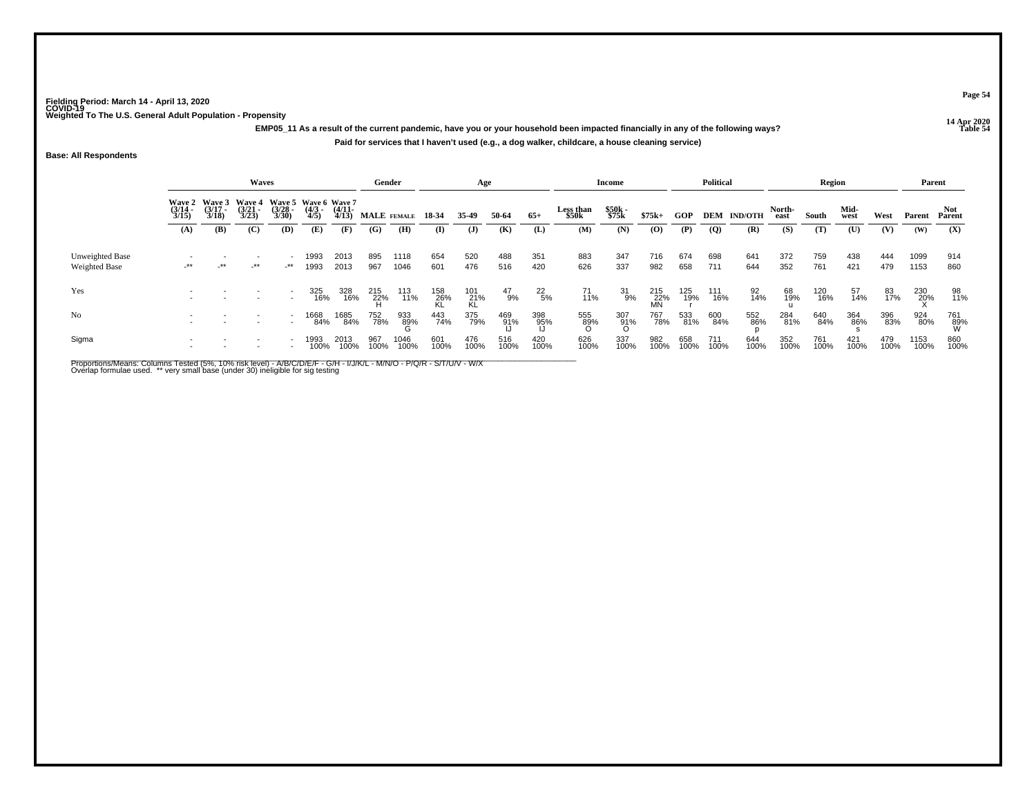**14 Apr 2020 EMP05\_11 As a result of the current pandemic, have you or your household been impacted financially in any of the following ways?Paid for services that I haven't used (e.g., a dog walker, childcare, a house cleaning service)**

**Base: All Respondents**

|                                         |                       |                                        | Waves                                  |                          |                                            |                       | Gender      |              |                  | Age              |               |               |                    | Income         |                  |             | <b>Political</b> |                    |                | Region      |              |             | Parent       |               |
|-----------------------------------------|-----------------------|----------------------------------------|----------------------------------------|--------------------------|--------------------------------------------|-----------------------|-------------|--------------|------------------|------------------|---------------|---------------|--------------------|----------------|------------------|-------------|------------------|--------------------|----------------|-------------|--------------|-------------|--------------|---------------|
|                                         | $\frac{(3/14)}{3/15}$ | Wave 2 Wave 3<br>$\frac{(3/17)}{3/18}$ | <b>Wave 4</b><br>$\frac{(3/21)}{3/23}$ | $\binom{3/28}{3/30}$     | Wave 5 Wave 6 Wave 7<br>$\binom{4/3}{4/5}$ | $\frac{(4/11)}{4/13}$ | MALE FEMALE |              | 18-34            | 35.49            | 50-64         | $65+$         | Less than<br>\$50k | \$50k<br>\$75k | $$75k+$          | GOP         |                  | <b>DEM IND/OTH</b> | North-<br>east | South       | Mid-<br>west | West        | Parent       | Not<br>Parent |
|                                         | (A)                   | (B)                                    | (C)                                    | (D)                      | (E)                                        | (F)                   | (G)         | (H)          | $\bf(I)$         | ( <b>J</b> )     | (K)           | (L)           | (M)                | (N)            | (O)              | (P)         | $\overline{Q}$   | (R)                | (S)            | (T)         | (U)          | (V)         | (W)          | (X)           |
| Unweighted Base<br><b>Weighted Base</b> | $-***$                | $-***$                                 | -**                                    | -**                      | 1993<br>1993                               | 2013<br>2013          | 895<br>967  | 1118<br>1046 | 654<br>601       | 520<br>476       | 488<br>516    | 351<br>420    | 883<br>626         | 347<br>337     | 716<br>982       | 674<br>658  | 698<br>711       | 641<br>644         | 372<br>352     | 759<br>761  | 438<br>421   | 444<br>479  | 1099<br>1153 | 914<br>860    |
| Yes                                     |                       |                                        |                                        |                          | 325<br>16%                                 | 328<br>16%            | 215<br>22%  | 113<br>11%   | 158<br>26%<br>KL | 101<br>21%<br>KL | $^{47}_{9\%}$ | $^{22}_{5\%}$ | $^{71}_{11\%}$     | 31<br>9%       | 215<br>22%<br>MN | 125<br>19%  | 111<br>16%       | 92<br>14%          | 68<br>19%      | 120<br>16%  | 57<br>14%    | 83<br>17%   | 230<br>20%   | 98<br>11%     |
| No                                      |                       |                                        |                                        | $\overline{\phantom{a}}$ | 1668<br>84%                                | 1685<br>84%           | 752<br>78%  | 933<br>89%   | 443<br>74%       | 375<br>79%       | 469<br>91%    | 398<br>95%    | 555<br>89%         | 307<br>91%     | 767<br>78%       | 533<br>81%  | 600<br>84%       | 552<br>86%         | 284<br>81%     | 640<br>84%  | 364<br>86%   | 396<br>83%  | 924<br>80%   | 761<br>89%    |
| Sigma                                   |                       |                                        |                                        |                          | 1993<br>100%                               | 2013<br>100%          | 967<br>100% | 1046<br>100% | 601<br>100%      | 476<br>100%      | 516<br>100%   | 420<br>100%   | 626<br>100%        | 337<br>100%    | 982<br>100%      | 658<br>100% | 711<br>100%      | 644<br>100%        | 352<br>100%    | 761<br>100% | 421<br>100%  | 479<br>100% | 1153<br>100% | 860<br>100%   |

Proportions/Means: Columns Tested (5%, 10% risk level) - A/B/C/D/E/F - G/H - I/J/K/L - M/N/O - P/Q/R - S/T/U/V - W/X<br>Overlap formulae used. \*\* very small base (under 30) ineligible for sig testing

**Page 54**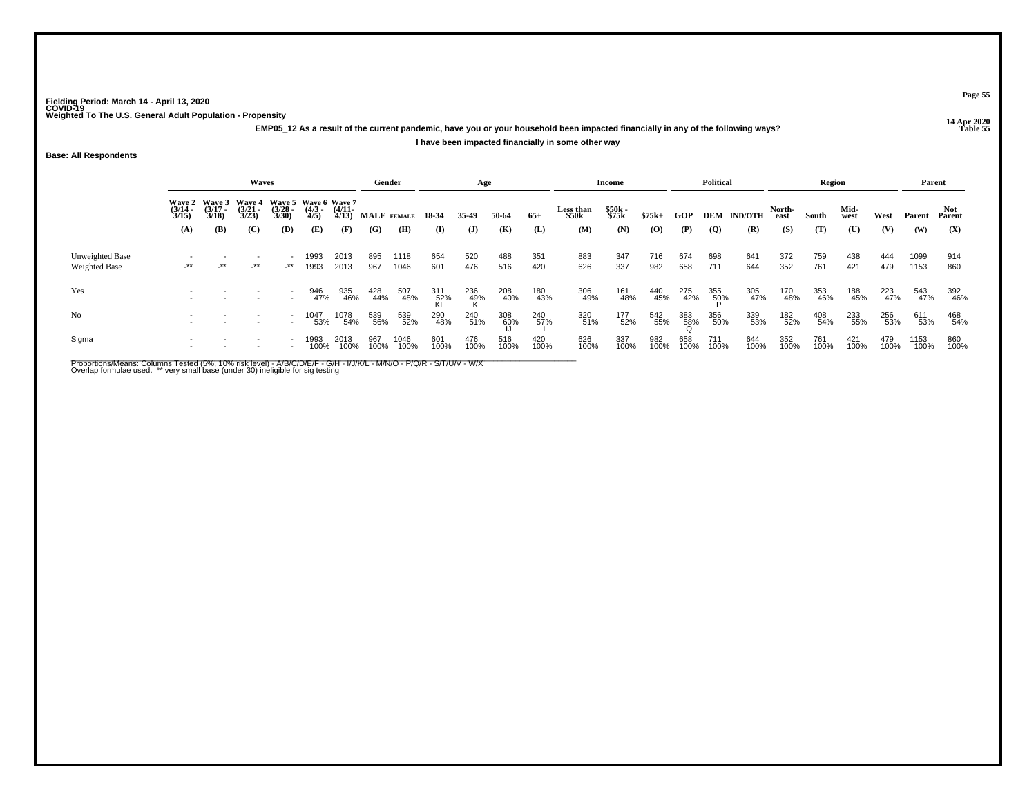**14 Apr 2020 EMP05\_12 As a result of the current pandemic, have you or your household been impacted financially in any of the following ways?I have been impacted financially in some other way**

**Base: All Respondents**

|                                         |                       |                                               | <b>Waves</b>          |                       |                                             |                       | Gender            |              |                  | Age          |             |             |                    | Income         |             |             | <b>Political</b>    |                    |                | Region      |              |             | Parent       |                      |
|-----------------------------------------|-----------------------|-----------------------------------------------|-----------------------|-----------------------|---------------------------------------------|-----------------------|-------------------|--------------|------------------|--------------|-------------|-------------|--------------------|----------------|-------------|-------------|---------------------|--------------------|----------------|-------------|--------------|-------------|--------------|----------------------|
|                                         | $\frac{(3/14)}{3/15}$ | Wave 2 Wave 3 Wave 4<br>$\frac{(3/17)}{3/18}$ | $\frac{(3/21)}{3/23}$ | $\frac{(3/28)}{3/30}$ | Wave 5 Wave 6 Wave 7<br>$\frac{(4/3)}{4/5}$ | $\frac{(4/11)}{4/13}$ | MALE FEMALE 18-34 |              |                  | 35-49        | 50-64       | $65+$       | Less than<br>\$50k | \$50k<br>\$75k | $$75k+$     | GOP         |                     | <b>DEM IND/OTH</b> | North-<br>east | South       | Mid-<br>west | West        | Parent       | <b>Not</b><br>Parent |
|                                         | (A)                   | (B)                                           | (C)                   | (D)                   | (E)                                         | (F)                   | (G)               | (H)          | (I)              | $\mathbf{J}$ | (K)         | (L)         | (M)                | (N)            | (O)         | (P)         | $\overline{Q}$      | (R)                | (S)            | (T)         | (U)          | (V)         | (W)          | (X)                  |
| Unweighted Base<br><b>Weighted Base</b> | $-***$                | $-***$                                        | $\rightarrow$         | $-***$                | 1993<br>1993                                | 2013<br>2013          | 895<br>967        | 1118<br>1046 | 654<br>601       | 520<br>476   | 488<br>516  | 351<br>420  | 883<br>626         | 347<br>337     | 716<br>982  | 674<br>658  | 698<br>711          | 641<br>644         | 372<br>352     | 759<br>761  | 438<br>421   | 444<br>479  | 1099<br>1153 | 914<br>860           |
| Yes                                     |                       |                                               |                       |                       | 946<br>47%                                  | 935<br>46%            | 428<br>44%        | 507<br>48%   | 311<br>52%<br>KI | 236<br>49%   | 208<br>40%  | 180<br>43%  | 306<br>49%         | 161<br>48%     | 440<br>45%  | 275<br>42%  | 355<br>5 <u>0</u> % | 305<br>47%         | 170<br>48%     | 353<br>46%  | 188<br>45%   | 223<br>47%  | 543<br>47%   | 392<br>46%           |
| No                                      |                       |                                               |                       | $\sim$                | 1047<br>53%                                 | 1078<br>54%           | 539<br>56%        | 539<br>52%   | 290<br>48%       | 240<br>51%   | 308<br>60%  | 240<br>57%  | 320<br>51%         | 177<br>52%     | 542<br>55%  | 383<br>58%  | 356<br>50%          | 339<br>53%         | 182<br>52%     | 408<br>54%  | 233<br>55%   | 256<br>53%  | 611<br>53%   | 468<br>54%           |
| Sigma                                   |                       |                                               |                       |                       | 1993<br>100%                                | 2013<br>100%          | 967<br>100%       | 1046<br>100% | 601<br>100%      | 476<br>100%  | 516<br>100% | 420<br>100% | 626<br>100%        | 337<br>100%    | 982<br>100% | 658<br>100% | 711<br>100%         | 644<br>100%        | 352<br>100%    | 761<br>100% | 421<br>100%  | 479<br>100% | 1153<br>100% | 860<br>100%          |

Proportions/Means: Columns Tested (5%, 10% risk level) - A/B/C/D/E/F - G/H - I/J/K/L - M/N/O - P/Q/R - S/T/U/V - W/X<br>Overlap formulae used. \*\* very small base (under 30) ineligible for sig testing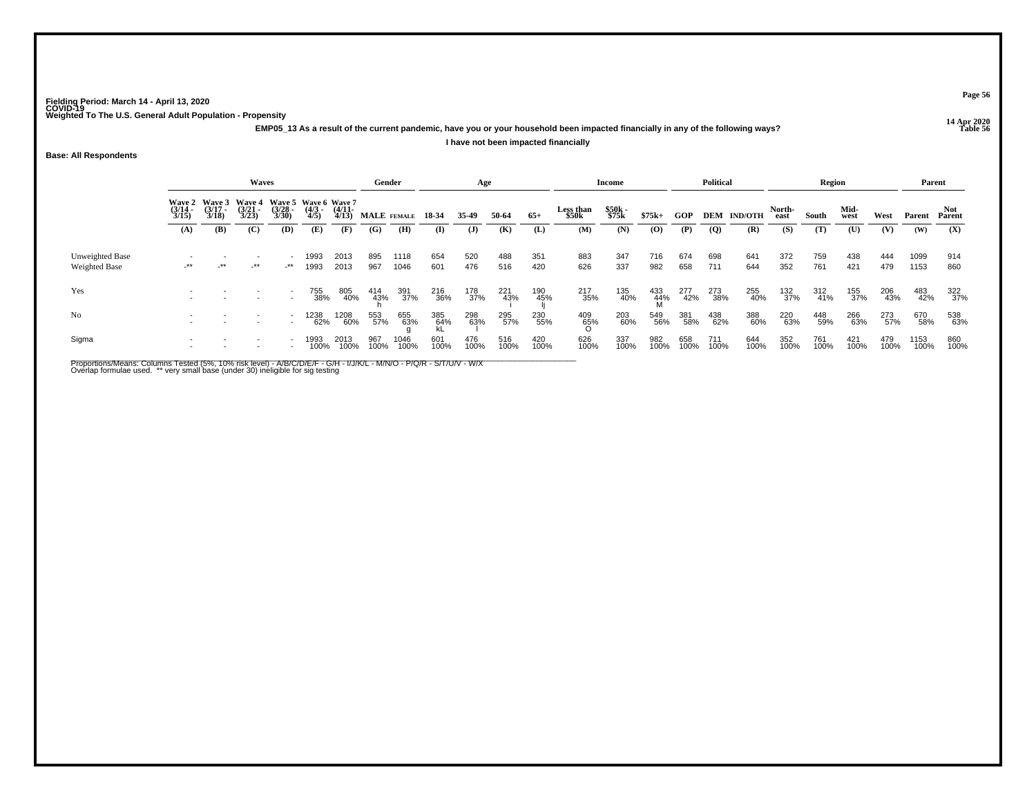**14 Apr 2020 EMP05\_13 As a result of the current pandemic, have you or your household been impacted financially in any of the following ways?I have not been impacted financially**

**Page 56**

**Table 56**

## **Base: All Respondents**

|                                  |                                                                                                                                                                                                                                              |     | <b>Waves</b> |                                    |              |              | Gender      |              |                      | Age          |             |             |                    | Income         |                    |             | <b>Political</b> |                    |                | Region      |              |             | Parent       |             |
|----------------------------------|----------------------------------------------------------------------------------------------------------------------------------------------------------------------------------------------------------------------------------------------|-----|--------------|------------------------------------|--------------|--------------|-------------|--------------|----------------------|--------------|-------------|-------------|--------------------|----------------|--------------------|-------------|------------------|--------------------|----------------|-------------|--------------|-------------|--------------|-------------|
|                                  | <b>Wave 4</b><br>Wave 2 Wave 3<br>Wave 5 Wave 6 Wave 7<br>$\frac{(3/17)}{3/18}$<br>$\binom{3/28}{3/30}$<br>$\frac{(3/21)}{3/23}$<br>$\frac{(4/3)}{4/5}$<br>$\frac{(4/11)}{4/13}$<br>$\frac{(3/14)}{3/15}$<br>(B)<br>(C)<br>(D)<br>(E)<br>(A) |     |              |                                    |              |              | MALE FEMALE |              | 18-34                | 35.49        | 50-64       | $65+$       | Less than<br>\$50k | \$50k<br>\$75k | $$75k+$            | GOP         |                  | <b>DEM IND/OTH</b> | North-<br>east | South       | Mid-<br>west | West        | Parent       | Parent      |
|                                  |                                                                                                                                                                                                                                              |     |              |                                    |              | (F)          | (G)         | (H)          | $\bf{I}$             | $\mathbf{J}$ | (K)         | (L)         | (M)                | (N)            | (O)                | (P)         | $\overline{Q}$   | (R)                | (S)            | (T)         | (U)          | (V)         | (W)          | (X)         |
| Unweighted Base<br>Weighted Base | $-***$                                                                                                                                                                                                                                       | -** | $-***$       | $-***$                             | 1993<br>1993 | 2013<br>2013 | 895<br>967  | 1118<br>1046 | 654<br>601           | 520<br>476   | 488<br>516  | 351<br>420  | 883<br>626         | 347<br>337     | 716<br>982         | 674<br>658  | 698<br>711       | 641<br>644         | 372<br>352     | 759<br>761  | 438<br>421   | 444<br>479  | 1099<br>1153 | 914<br>860  |
| Yes                              |                                                                                                                                                                                                                                              |     |              |                                    | 755<br>38%   | 805<br>40%   | 414<br>43%  | 391<br>37%   | 216<br>36%           | 178<br>37%   | 221<br>43%  | 190<br>45%  | 217<br>35%         | 135<br>40%     | 433<br>-44%<br>- M | 277<br>42%  | 273<br>38%       | 255<br>40%         | 132<br>37%     | 312<br>41%  | 155<br>37%   | 206<br>43%  | 483<br>42%   | 322<br>37%  |
| N <sub>0</sub>                   |                                                                                                                                                                                                                                              |     |              | $\overline{\phantom{a}}$<br>$\sim$ | 1238<br>62%  | 1208<br>60%  | 553<br>57%  | 655<br>63%   | 385<br>- 64%<br>- kL | 298<br>63%   | 295<br>57%  | 230<br>55%  | 409<br>65%         | 203<br>60%     | 549<br>56%         | 381<br>58%  | 438<br>62%       | 388<br>60%         | 220<br>63%     | 448<br>59%  | 266<br>63%   | 273<br>57%  | 670<br>58%   | 538<br>63%  |
| Sigma                            |                                                                                                                                                                                                                                              |     |              |                                    | 1993<br>100% | 2013<br>100% | 967<br>100% | 1046<br>100% | 601<br>100%          | 476<br>100%  | 516<br>100% | 420<br>100% | 626<br>100%        | 337<br>100%    | 982<br>100%        | 658<br>100% | 711<br>100%      | 644<br>100%        | 352<br>100%    | 761<br>100% | 421<br>100%  | 479<br>100% | 1153<br>100% | 860<br>100% |

Proportions/Means: Columns Tested (5%, 10% risk level) - A/B/C/D/E/F - G/H - I/J/K/L - M/N/O - P/Q/R - S/T/U/V - W/X<br>Overlap formulae used. \*\* very small base (under 30) ineligible for sig testing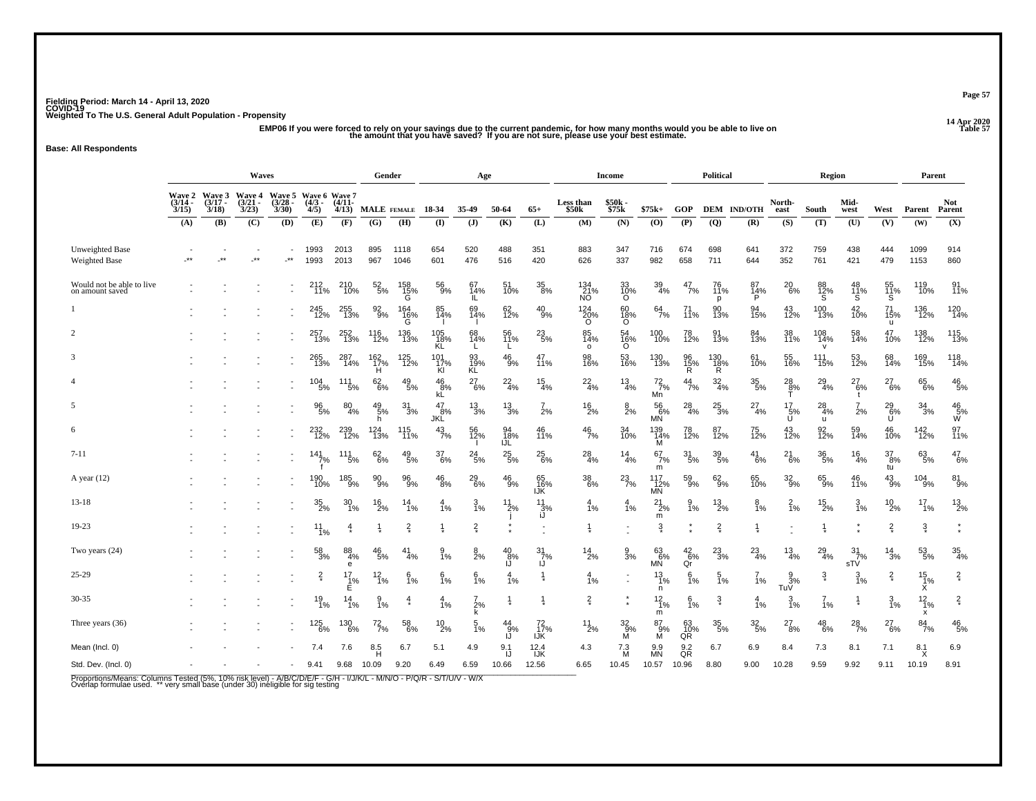## 14 Apr 2020<br>EMP06 If you were forced to rely on your savings due to the current pandemic, for how many months would you be able to live on the amount that you have saved? If you are not sure, please use your best estimate.

## **Base: All Respondents**

|                                              |                   |                   | <b>Waves</b>                                                   |                      |                           |                   |                         | Gender                |                      | Age                  |                        |                        |                      | <b>Income</b>      |                                          |                      | <b>Political</b> |                      |                                           | Region                          |                        |                       | Parent                |                        |
|----------------------------------------------|-------------------|-------------------|----------------------------------------------------------------|----------------------|---------------------------|-------------------|-------------------------|-----------------------|----------------------|----------------------|------------------------|------------------------|----------------------|--------------------|------------------------------------------|----------------------|------------------|----------------------|-------------------------------------------|---------------------------------|------------------------|-----------------------|-----------------------|------------------------|
|                                              | $(3/14 -$<br>3/15 | $(3/17 -$<br>3/18 | Wave 2 Wave 3 Wave 4 Wave 5 Wave 6 Wave 7<br>$(3/21 -$<br>3/23 | $(3/28 -$<br>3/30    | $(4/3 -$<br>4/5)          | $(4/11 -$<br>4/13 |                         | MALE FEMALE           | 18-34                | 35-49                | 50-64                  | $65+$                  | Less than<br>\$50k   | \$50k -<br>\$75k   | $$75k+$                                  | <b>GOP</b>           |                  | <b>DEM IND/OTH</b>   | North-<br>east                            | South                           | Mid-<br>west           | West                  | Parent                | <b>Not</b><br>Parent   |
|                                              | (A)               | <b>(B)</b>        | (C)                                                            | (D)                  | (E)                       | (F)               | (G)                     | (H)                   | (I)                  | $\mathbf{J}$         | (K)                    | (L)                    | (M)                  | (N)                | $\boldsymbol{\left( \mathbf{O} \right)}$ | (P)                  | $\overline{Q}$   | (R)                  | (S)                                       | (T)                             | (U)                    | (V)                   | (W)                   | (X)                    |
| Unweighted Base<br><b>Weighted Base</b>      | $^{\star\star}$   | $\star\star$      | $\cdot$ **                                                     | $\cdot^{\star\star}$ | 1993<br>1993              | 2013<br>2013      | 895<br>967              | 1118<br>1046          | 654<br>601           | 520<br>476           | 488<br>516             | 351<br>420             | 883<br>626           | 347<br>337         | 716<br>982                               | 674<br>658           | 698<br>711       | 641<br>644           | 372<br>352                                | 759<br>761                      | 438<br>421             | 444<br>479            | 1099<br>1153          | 914<br>860             |
| Would not be able to live<br>on amount saved |                   |                   |                                                                |                      | 212<br>11%                | 210<br>10%        | $52\phantom{.}5\%$      | 158<br>15%<br>G       | $^{56}_{9\%}$        | 67<br>14%<br>IL      | 51<br>10%              | $\substack{35 \\ 8\%}$ | 134<br>21%<br>NO     | 33<br>10%<br>O     | $\frac{39}{4\%}$                         | $^{47}_{7\%}$        | 11%<br>D         | 87<br>$\frac{14}{p}$ | $^{20}_{6\%}$                             | 88<br>12%<br>S                  | $^{48}_{11\%}$         | 55<br>11%<br>S        | 119<br>10%            | $\frac{91}{11\%}$      |
|                                              |                   |                   |                                                                |                      | 245<br>12%                | 255<br>13%        | 92<br>9%                | 164<br>$\frac{16}{9}$ | 85<br>14%            | 69<br>14%            | 62<br>12%              | 40<br>9%               | $\frac{124}{20\%}$   | 60<br>18%<br>O     | $^{64}_{7\%}$                            | 11%                  | 90<br>13%        | 94<br>15%            | 43<br>12%                                 | 100<br>13%                      | 42<br>10%              | 71<br>15%<br>u        | 136<br>12%            | $\frac{120}{14\%}$     |
| $\overline{c}$                               |                   |                   |                                                                |                      | 257<br>13%                | 252<br>13%        | 116<br>12%              | 136<br>13%            | 105<br>18%<br>KL     | 68<br>14%            | 56<br>11%              | $^{23}_{5\%}$          | 85<br>14%<br>$\circ$ | 54<br>16%<br>O     | 100<br>10%                               | 78<br>12%            | 91<br>13%        | 84<br>13%            | 38<br>11%                                 | 108<br>14%<br>$\mathbf{v}$      | 58<br>14%              | 47<br>10%             | 138<br>12%            | $\frac{115}{13\%}$     |
| 3                                            |                   |                   |                                                                |                      | 265<br>13%                | 287<br>14%        | $\frac{162}{17\%}$<br>н | 125<br>12%            | 101<br>17%<br>Kl     | 93<br>19%<br>KL      | $^{46}_{9\%}$          | 47<br>11%              | 98<br>16%            | 53<br>16%          | 130<br>13%                               | 96<br>15%<br>R       | 130<br>18%<br>R  | 61<br>10%            | 55<br>16%                                 | $\frac{111}{15\%}$              | 53<br>12%              | 68<br>14%             | 169<br>15%            | $\frac{118}{14\%}$     |
| $\overline{4}$                               |                   |                   |                                                                |                      | $\frac{104}{5\%}$         | $\frac{111}{5\%}$ | $^{62}_{6\%}$           | $^{49}_{\ 5\%}$       | $^{46}_{8\%}$<br>kĹ  | $^{27}_{6\%}$        | $^{22}_{4\%}$          | $\frac{15}{4\%}$       | $^{22}_{4\%}$        | $\frac{13}{4\%}$   | $^{72}_{7\%}$<br>Mn                      | $\frac{44}{7%}$      | $\frac{32}{4\%}$ | $^{35}_{\ 5\%}$      | $\frac{28}{8\%}$                          | $^{29}_{4\%}$                   | $^{27}_{6\%}$          | $^{27}_{6\%}$         | 65<br>6%              | $\substack{46 \\ 5\%}$ |
| 5                                            |                   |                   |                                                                |                      | $\frac{96}{5\%}$          | $^{80}_{4\%}$     | $^{49}_{\ 5\%}$         | $\frac{31}{3%}$       | 47<br>8%             | $\frac{13}{3%}$      | $\frac{13}{3\%}$       | 7<br>2%                | 16<br>2%             | $\frac{8}{2%}$     | $^{56}_{6\%}$<br><b>MN</b>               | $^{28}_{4\%}$        | $^{25}_{3\%}$    | $^{27}_{4\%}$        | $^{17}_{\hphantom{1}5\%}_{\hphantom{1}0}$ | $^{28}_{4\%}$                   | 2%                     | $^{\rm 29}_{\rm 6\%}$ | $\frac{34}{3%}$       | $^{46}_{5\%}$          |
| 6                                            |                   |                   |                                                                |                      | 232 <sub>%</sub>          | 239<br>12%        | h<br>124<br>13%         | 115<br>11%            | JKL<br>$^{43}_{7\%}$ | 56<br>12%            | 94<br>18%              | 46<br>11%              | $\frac{46}{7%}$      | 34<br>10%          | 139<br>14%                               | 78<br>12%            | 87<br>12%        | 75<br>12%            | 43<br>12%                                 | $\mathsf{u}$<br>92 <sub>%</sub> | 59<br>14%              | 46<br>10%             | $^{142}_{12\%}$       | 97<br>11%              |
| $7 - 11$                                     |                   |                   |                                                                |                      | $\frac{141}{7\%}$         | $\frac{111}{5\%}$ | $62\over 6\%$           | $^{49}_{\ 5\%}$       | 37<br>6%             | $^{24}_{\ 5\%}$      | IJĹ<br>$^{25}_{\ 5\%}$ | $^{25}_{\ 6\%}$        | $^{28}_{4\%}$        | $\frac{14}{4\%}$   | м<br>$^{67}_{7\%}$                       | $^{31}_{\ 5\%}$      | $^{39}_{\ 5\%}$  | $^{41}_{6\%}$        | $^{21}_{6\%}$                             | $\frac{36}{5\%}$                | $\frac{16}{4\%}$       | $\frac{37}{8%}$       | $63 \atop 5\%$        | $^{47}_{6\%}$          |
| A year $(12)$                                |                   |                   |                                                                |                      | 190<br>10%                | 185<br>9%         | $\frac{90}{9\%}$        | 96<br>9%              | $^{46}_{\ 8\%}$      | $^{29}_{\ 6\%}$      | $^{46}_{9\%}$          | 65<br>16%              | $^{38}_{\ 6\%}$      | $^{23}_{7\%}$      | m<br>117<br>12%<br>MN                    | 59 <sub>9%</sub>     | $^{62}_{9\%}$    | 65<br>10%            | $\frac{32}{9\%}$                          | $^{65}_{9\%}$                   | 46<br>11%              | tu<br>$^{43}_{9\%}$   | $\frac{104}{9%}$      | $\frac{81}{9%}$        |
| $13 - 18$                                    |                   |                   |                                                                |                      | $\frac{35}{2\%}$          | $^{30}_{1\%}$     | $^{16}_{2\%}$           | $14_{1\%}$            | $\frac{4}{1%}$       | $\frac{3}{1\%}$      | $^{11}_{2\%}$          | IJŘ<br>11<br>_3%<br>iJ | 1%                   | $\frac{4}{1%}$     | $^{21}_{2\%}$                            | $\frac{9}{1%}$       | $^{13}_{2\%}$    | $\frac{8}{1%}$       | $\frac{2}{1}$ %                           | $^{15}_{2\%}$                   | $\frac{3}{1\%}$        | $^{10}_{2\%}$         | $^{17}_{1\%}$         | $^{13}_{2\%}$          |
| 19-23                                        |                   |                   |                                                                |                      | $\frac{11}{1%}$           |                   |                         | $\frac{2}{x}$         |                      | $\frac{2}{3}$        |                        |                        |                      |                    | m<br>$\overline{3}$                      |                      | $\frac{2}{x}$    |                      |                                           |                                 |                        | $\frac{2}{3}$         | $\vec{3}$             |                        |
| Two years (24)                               |                   |                   |                                                                |                      | 58<br>3%                  | 88<br>4%          | $^{46}_{\ 5\%}$         | 41<br>4%              | 1%                   | $\frac{8}{2%}$       | $^{40}_{8\%}$          | 31<br>7%               | 14<br>2%             | $\frac{9}{3%}$     | $^{63}_{6\%}$                            | $^{42}_{6\%}$        | $^{23}_{3\%}$    | $^{23}_{4\%}$        | $\frac{13}{4\%}$                          | $^{29}_{4\%}$                   | 31<br>7%               | 14<br>3%              | $5\%$ 5%              | $\frac{35}{4\%}$       |
| 25-29                                        |                   |                   |                                                                |                      | $\frac{2}{x}$             | e<br>17<br>1%     | $^{12}_{1\%}$           | $6\frac{1}{1%}$       | 6/1%                 | $6\frac{6}{1%}$      | IJ<br>4<br>1%          | IJ                     | 4<br>1%              |                    | <b>MN</b><br>$\frac{13}{1\%}$            | Qr<br>6<br>1%        | $\frac{5}{1\%}$  | 7<br>1%              | $\frac{9}{3\%}$                           | $\overline{3}$                  | sTV<br>$\frac{3}{1\%}$ | $\frac{2}{x}$         | $\frac{15}{1\%}$      | $\frac{2}{x}$          |
| $30 - 35$                                    |                   |                   |                                                                |                      | $^{19}_{1\%}$             | Ė<br>$14_{1\%}$   | $\frac{9}{1\%}$         | 4                     | $\frac{4}{1%}$       | $^{7}_{2\%}$         |                        |                        | $\frac{2}{3}$        |                    | n.<br>$\frac{12}{1\%}$                   | $\frac{6}{1}$ %      | $\frac{3}{4}$    | $\frac{4}{1}$ %      | $\frac{3}{1\%}$                           | $\frac{7}{1%}$                  |                        | 3<br>1%               | X.<br>$\frac{12}{1%}$ | $\frac{2}{x}$          |
| Three years $(36)$                           |                   |                   |                                                                |                      | $^{125}_{\phantom{1}6\%}$ | 130<br>6%         | $^{72}_{7\%}$           | 58<br>6%              | $^{10}_{2\%}$        | k<br>$\frac{5}{1\%}$ | $^{44}_{9\%}$          | 72<br>17%<br>IJK       | 11<br>2%             | $\frac{32}{9\%}$ M | m<br>87<br>$M^9$                         | 63<br>$\frac{10}{9}$ | $^{35}_{\ 5\%}$  | $\frac{32}{5\%}$     | $^{27}_{\ 8\%}$                           | $^{48}_{6\%}$                   | $^{28}_{7\%}$          | $^{27}_{\ 6\%}$       | x<br>$\frac{84}{7\%}$ | $^{46}_{\ 5\%}$        |
| Mean (Incl. 0)                               |                   |                   |                                                                |                      | 7.4                       | 7.6               | 8.5<br>H                | 6.7                   | 5.1                  | 4.9                  | 9.1                    | $12.4$<br>IJK          | 4.3                  | $7\frac{3}{M}$     | 9.9<br>MN                                | $\frac{9.2}{QR}$     | 6.7              | 6.9                  | 8.4                                       | 7.3                             | 8.1                    | 7.1                   | $^{8.1}_{\times}$     | 6.9                    |
| Std. Dev. (Incl. 0)                          |                   |                   |                                                                |                      | 9.41                      | 9.68              | 10.09                   | 9.20                  | 6.49                 | 6.59                 | IJ<br>10.66            | 12.56                  | 6.65                 | 10.45              | 10.57                                    | 10.96                | 8.80             | 9.00                 | 10.28                                     | 9.59                            | 9.92                   | 9.11                  | 10.19                 | 8.91                   |

Proportions/Means: Columns Tested (5%, 10% risk level) - A/B/C/D/E/F - G/H - I/J/K/L - M/N/O - P/Q/R - S/T/U/V - W/X<br>Overlap formulae used. \*\* very small base (under 30) ineligible for sig testing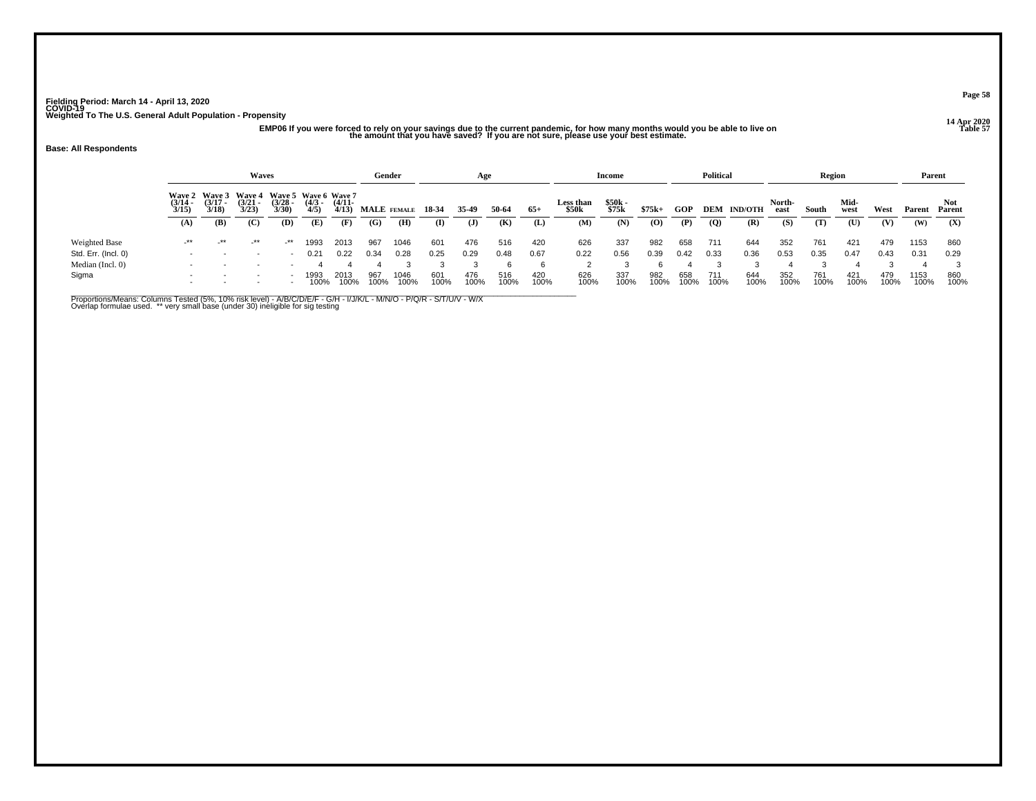# 14 Apr 2020<br>EMP06 If you were forced to rely on your savings due to the current pandemic, for how many months would you be able to live on the amount that you have saved? If you are not sure, please use your best estimate.

#### **Base: All Respondents**

|                     |                                                                                                                                                                                                                                           |        | Waves                                                |                          |              |              | Gender      |              |             | Age          |             |             |                           | <b>Income</b>  |             |             | <b>Political</b> |                |                | Region      |              |             |              | Parent        |
|---------------------|-------------------------------------------------------------------------------------------------------------------------------------------------------------------------------------------------------------------------------------------|--------|------------------------------------------------------|--------------------------|--------------|--------------|-------------|--------------|-------------|--------------|-------------|-------------|---------------------------|----------------|-------------|-------------|------------------|----------------|----------------|-------------|--------------|-------------|--------------|---------------|
|                     | Wave 2 Wave 3<br>Wave 5 Wave 6 Wave 7<br><b>Wave 4</b><br>$\frac{(3/17)}{3/18}$<br>$\frac{(3/21)}{3/23}$<br>$\frac{(3/28)}{3/30}$<br>$\frac{(4/3)}{4/5}$<br>$(4/11 -$<br>$\frac{(3/14)}{3/15}$<br>4/13<br>(B)<br>(C)<br>(D)<br>(E)<br>(A) |        |                                                      |                          |              |              | MALE FEMALE |              | 18-34       | 35-49        | 50-64       | $65+$       | <b>Less than</b><br>\$50k | \$50k<br>\$75k | $$75k+$     | GOP         | DEM              | <b>IND/OTH</b> | North-<br>east | South       | Mid-<br>west | West        | Parent       | Not<br>Parent |
|                     |                                                                                                                                                                                                                                           |        |                                                      |                          |              | (F)          | (G)         | (H)          | $\bf{I}$    | $\mathbf{J}$ | (K)         | (L)         | (M)                       | (N)            | $\bf{(0)}$  | (P)         | $\boldsymbol{Q}$ | (R)            | (S)            | (T)         | (U)          | (V)         | (W)          | (X)           |
| Weighted Base       | -**                                                                                                                                                                                                                                       | $-***$ | -**                                                  | -**                      | 1993         | 2013         | 967         | 1046         | 601         | 476          | 516         | 420         | 626                       | 337            | 982         | 658         | 711              | 644            | 352            | 761         | 421          | 479         | 1153         | 860           |
| Std. Err. (Incl. 0) |                                                                                                                                                                                                                                           |        | $\overline{\phantom{0}}$                             | $\overline{\phantom{a}}$ | 0.21         | 0.22         | 0.34        | 0.28         | 0.25        | 0.29         | 0.48        | 0.67        | 0.22                      | 0.56           | 0.39        | 0.42        | 0.33             | 0.36           | 0.53           | 0.35        | 0.47         | 0.43        | 0.31         | 0.29          |
| Median (Incl. 0)    |                                                                                                                                                                                                                                           |        |                                                      |                          |              |              |             |              |             |              |             | 6           |                           |                |             |             |                  |                |                |             |              |             |              |               |
| Sigma               | $\overline{\phantom{a}}$                                                                                                                                                                                                                  |        | $\overline{\phantom{a}}$<br>$\overline{\phantom{a}}$ |                          | 1993<br>100% | 2013<br>100% | 967<br>100% | 1046<br>100% | 601<br>100% | 476<br>100%  | 516<br>100% | 420<br>100% | 626<br>100%               | 337<br>100%    | 982<br>100% | 658<br>100% | 711<br>100%      | 644<br>100%    | 352<br>100%    | 761<br>100% | 421<br>100%  | 479<br>100% | 1153<br>100% | 860<br>100%   |

Proportions/Means: Columns Tested (5%, 10% risk level) - A/B/C/D/E/F - G/H - I/J/K/L - M/N/O - P/Q/R - S/T/U/V - W/X<br>Overlap formulae used. \*\* very small base (under 30) ineligible for sig testing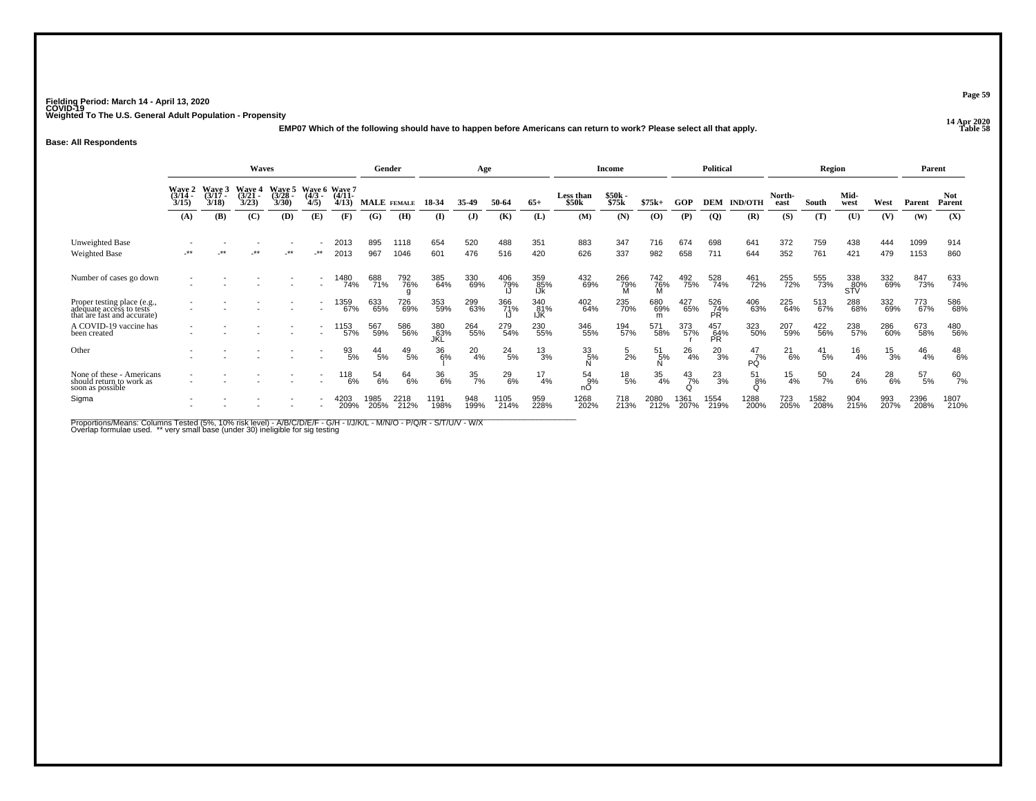**14 Apr 2020 EMP07 Which of the following should have to happen before Americans can return to work? Please select all that apply.**

#### **Base: All Respondents**

|                                                                                     |                           |                                    | <b>Waves</b>                |                                    |                                  |                                           | Gender          |              |                   | Age              |               |                   |                    | <b>Income</b>     |                    |               | <b>Political</b>  |                |                | <b>Region</b>    |                   |                 | Parent       |                      |
|-------------------------------------------------------------------------------------|---------------------------|------------------------------------|-----------------------------|------------------------------------|----------------------------------|-------------------------------------------|-----------------|--------------|-------------------|------------------|---------------|-------------------|--------------------|-------------------|--------------------|---------------|-------------------|----------------|----------------|------------------|-------------------|-----------------|--------------|----------------------|
|                                                                                     | Wave 2<br>(3/14 -<br>3/15 | <b>Wave 3</b><br>$(3/17 -$<br>3/18 | Wave 4<br>$(3/21 -$<br>3/23 | <b>Wave 5</b><br>$(3/28 -$<br>3/30 | Wave 6 Wave 7<br>$(4/3 -$<br>4/5 | $(4/11 -$<br>4/13                         | MALE FEMALE     |              | 18-34             | 35.49            | 50-64         | $65+$             | Less than<br>\$50k | $$50k -$<br>\$75k | $$75k+$            | GOP           | DEM               | <b>IND/OTH</b> | North-<br>east | South            | Mid-<br>west      | West            | Parent       | <b>Not</b><br>Parent |
|                                                                                     | (A)                       | (B)                                | (C)                         | (D)                                | (E)                              | (F)                                       | (G)             | (H)          | (I)               | ( <b>J</b> )     | (K)           | (L)               | (M)                | (N)               | (0)                | (P)           | $\overline{Q}$    | (R)            | (S)            | (T)              | (U)               | (V)             | (W)          | (X)                  |
| Unweighted Base                                                                     |                           |                                    |                             |                                    |                                  | 2013                                      | 895             | 1118         | 654               | 520              | 488           | 351               | 883                | 347               | 716                | 674           | 698               | 641            | 372            | 759              | 438               | 444             | 1099         | 914                  |
| <b>Weighted Base</b>                                                                | $***$                     |                                    | $***$                       | $\cdot^{\star\star}$               | $-***$                           | 2013                                      | 967             | 1046         | 601               | 476              | 516           | 420               | 626                | 337               | 982                | 658           | 711               | 644            | 352            | 761              | 421               | 479             | 1153         | 860                  |
| Number of cases go down                                                             |                           |                                    |                             |                                    |                                  | 1480<br>74%                               | 688<br>71%      | 792<br>76%   | 385<br>64%        | 330<br>69%       | 406<br>79%    | 359<br>85%<br>IJk | 432<br>69%         | 266<br>79%        | $\frac{742}{76\%}$ | 492<br>75%    | 528<br>74%        | 461<br>72%     | 255<br>72%     | 555<br>73%       | 338<br>80%<br>STV | 332<br>69%      | 847<br>73%   | 633<br>74%           |
| Proper testing place (e.g., adequate access to tests<br>that are fast and accurate) |                           |                                    |                             |                                    |                                  | 1359<br>67%                               | 633<br>65%      | 726<br>69%   | 353<br>59%        | 299<br>63%       | 366<br>71%    | 340<br>81%<br>IJK | 402<br>64%         | 235<br>70%        | 680<br>69%         | 427<br>65%    | 526<br>74%<br>PR. | 406<br>63%     | 225<br>64%     | 513<br>67%       | 288<br>68%        | 332<br>69%      | 773<br>67%   | 586<br>68%           |
| A COVID-19 vaccine has<br>been created                                              |                           |                                    |                             |                                    |                                  | 1153<br>57%                               | 567<br>59%      | 586<br>56%   | 380<br>63%<br>JKL | 264<br>55%       | 279<br>54%    | 230<br>55%        | 346<br>55%         | 194<br>57%        | 571<br>58%         | 373<br>57%    | 457<br>64%<br>PR  | 323<br>50%     | 207<br>59%     | 422<br>56%       | 238<br>57%        | 286<br>60%      | 673<br>58%   | 480<br>56%           |
| Other                                                                               |                           |                                    |                             |                                    |                                  | $\frac{93}{5\%}$                          | $^{44}_{\ 5\%}$ | 49<br>5%     | 36<br>6%          | $^{20}_{4\%}$    | $^{24}_{5\%}$ | 13<br>3%          | $\frac{33}{5\%}$   | $\frac{5}{2}$ %   | 51<br>5%           | 26<br>4%      | 20<br>3%          | 47<br>7%<br>PÓ | 21<br>$-6%$    | $^{41}_{\ 5\%}$  | $^{16}_{4\%}$     | $\frac{15}{3%}$ | 46<br>4%     | $^{48}_{6\%}$        |
| None of these - Americans<br>should return to work as<br>soon as possible           |                           |                                    |                             |                                    |                                  | $\begin{array}{c} 118 \\ 6\% \end{array}$ | 54<br>6%        | 64<br>6%     | 36<br>6%          | $\frac{35}{7\%}$ | $^{29}_{6\%}$ | 17<br>4%          | 54<br>9%<br>nО     | $^{18}_{\ 5\%}$   | $\frac{35}{4\%}$   | $^{43}_{7\%}$ | $^{23}_{3\%}$     | 51<br>8%       | $^{15}_{4\%}$  | $\frac{50}{7\%}$ | $^{24}_{6\%}$     | $^{28}_{6\%}$   | 57<br>5%     | $^{60}_{7\%}$        |
| Sigma                                                                               |                           |                                    |                             |                                    |                                  | 4203<br>209%                              | 1985<br>205%    | 2218<br>212% | 1191<br>198%      | 948<br>199%      | 1105<br>214%  | 959<br>228%       | 1268<br>202%       | 718<br>213%       | 2080<br>212%       | 1361<br>207%  | 1554<br>219%      | 1288<br>200%   | 723<br>205%    | 1582<br>208%     | 904<br>215%       | 993<br>207%     | 2396<br>208% | 1807<br>210%         |

Proportions/Means: Columns Tested (5%, 10% risk level) - A/B/C/D/E/F - G/H - I/J/K/L - M/N/O - P/Q/R - S/T/U/V - W/X<br>Overlap formulae used. \*\* very small base (under 30) ineligible for sig testing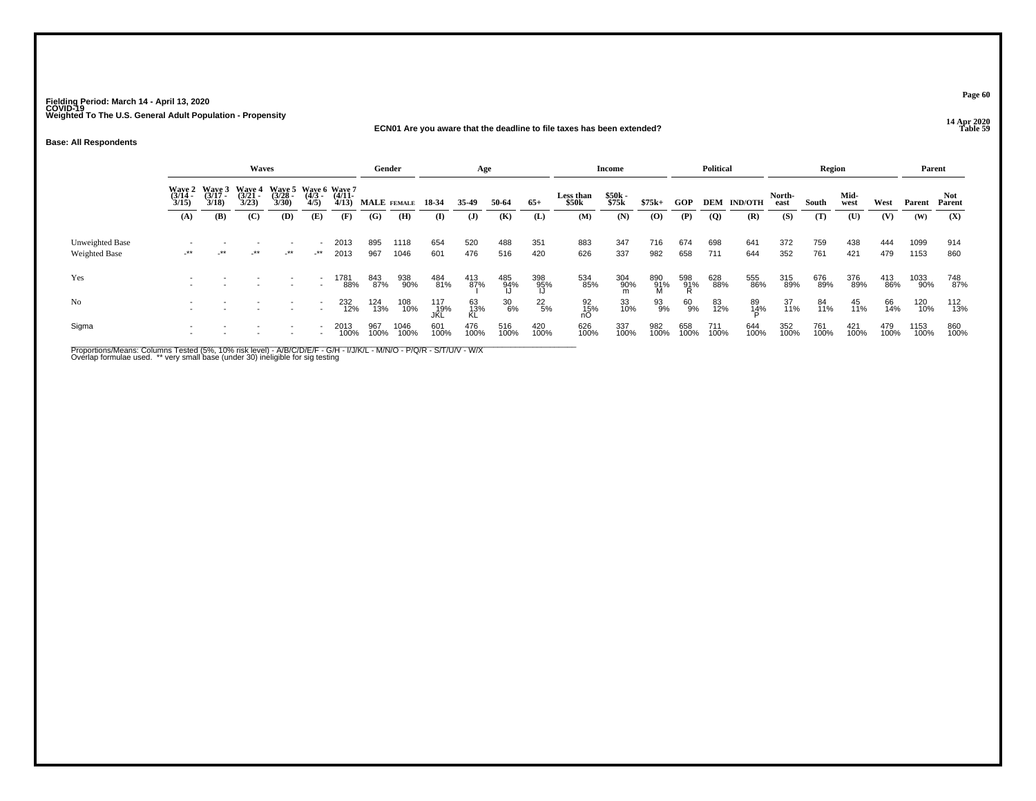#### **14 Apr 2020 ECN01 Are you aware that the deadline to file taxes has been extended?Table 59**

**Base: All Respondents**

|                                         |                       |                                        | Waves                    |        |                                                                 |              | Gender      |              |                    | Age             |                  |                  |                    | <b>Income</b>  |                 |                 | Political      |                |                | Region      |              |             | Parent       |                |
|-----------------------------------------|-----------------------|----------------------------------------|--------------------------|--------|-----------------------------------------------------------------|--------------|-------------|--------------|--------------------|-----------------|------------------|------------------|--------------------|----------------|-----------------|-----------------|----------------|----------------|----------------|-------------|--------------|-------------|--------------|----------------|
|                                         | $\frac{(3/14)}{3/15}$ | Wave 2 Wave 3<br>$\frac{(3/17)}{3/18}$ | Waye 4<br>(3/21<br>3/23) |        | Wave 5 Wave 6 Wave 7<br>(3/28 - (4/3 - (4/11 - 3/30) 4/5) 4/13) |              | MALE FEMALE |              | 18-34              | 35-49           | 50-64            | $65+$            | Less than<br>\$50k | \$50k<br>\$75k | $$75k+$         | <b>GOP</b>      | DEM            | <b>IND/OTH</b> | North-<br>east | South       | Mid-<br>west | West        | Parent       | Not.<br>Parent |
|                                         | (A)                   | (B)                                    | (C)                      | (D)    | (E)                                                             | (F)          | (G)         | (H)          | $\mathbf{I}$       | $\mathbf{J}$    | (K)              | (L)              | (M)                | (N)            | (0)             | (P)             | $\overline{Q}$ | (R)            | (S)            | (T)         | (U)          | (V)         | (W)          | (X)            |
| Unweighted Base<br><b>Weighted Base</b> | $\star$               | $\cdot$ **                             | $-***$                   | $-***$ | $-***$                                                          | 2013<br>2013 | 895<br>967  | 1118<br>1046 | 654<br>601         | 520<br>476      | 488<br>516       | 351<br>420       | 883<br>626         | 347<br>337     | 716<br>982      | 674<br>658      | 698<br>711     | 641<br>644     | 372<br>352     | 759<br>761  | 438<br>421   | 444<br>479  | 1099<br>1153 | 914<br>860     |
| Yes                                     |                       |                                        |                          |        | $\overline{\phantom{a}}$<br>$\overline{\phantom{a}}$            | 1781<br>88%  | 843<br>87%  | 938<br>90%   | 484<br>81%         | 413<br>87%      | 485<br>94%<br>IJ | 398<br>95%<br>IJ | 534<br>85%         | 304<br>90%     | 890<br>91%<br>M | 598<br>91%<br>R | 628<br>88%     | 555<br>86%     | 315<br>89%     | 676<br>89%  | 376<br>89%   | 413<br>86%  | 1033<br>90%  | 748<br>87%     |
| No                                      |                       |                                        |                          |        | $\overline{\phantom{a}}$                                        | 232<br>12%   | 124<br>13%  | 108<br>10%   | 117<br>_19%<br>JKL | 63<br>13%<br>KL | $^{30}_{6\%}$    | $^{22}_{5\%}$    | 92<br>15%          | 33<br>10%      | 93<br>9%        | 60<br>9%        | 83<br>12%      | 89<br>14%      | 37<br>11%      | 84<br>11%   | 45<br>11%    | 66<br>14%   | 120<br>10%   | 112<br>13%     |
| Sigma                                   |                       |                                        |                          |        |                                                                 | 2013<br>100% | 967<br>100% | 1046<br>100% | 601<br>100%        | 476<br>100%     | 516<br>100%      | 420<br>100%      | 626<br>100%        | 337<br>100%    | 982<br>100%     | 658<br>100%     | 711<br>100%    | 644<br>100%    | 352<br>100%    | 761<br>100% | 421<br>100%  | 479<br>100% | 1153<br>100% | 860<br>100%    |

Proportions/Means: Columns Tested (5%, 10% risk level) - A/B/C/D/E/F - G/H - I/J/K/L - M/N/O - P/Q/R - S/T/U/V - W/X<br>Overlap formulae used. \*\* very small base (under 30) ineligible for sig testing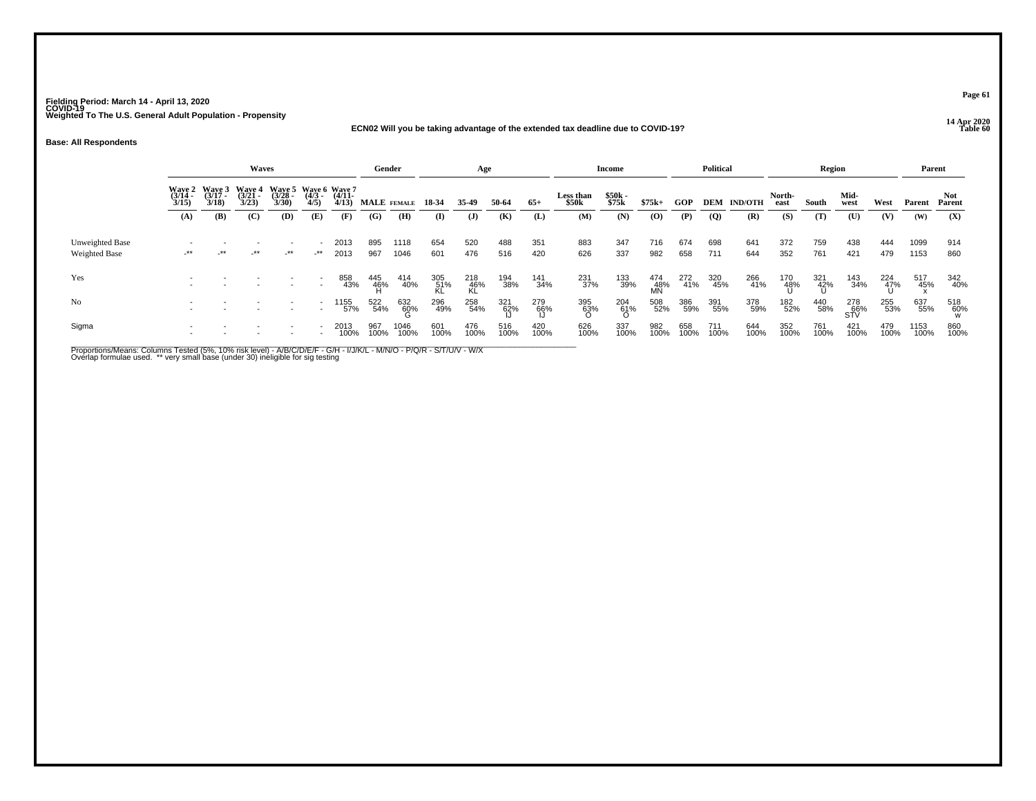## **14 Apr 2020 ECN02 Will you be taking advantage of the extended tax deadline due to COVID-19?**

**Base: All Respondents**

|                                  |                       |                                               | Waves                 |                       |                                             |                   | Gender             |              |                  | Age                |             |             |                    | <b>Income</b>   |                   |             | <b>Political</b> |                    |                | Region              |                   |             | Parent       |                |
|----------------------------------|-----------------------|-----------------------------------------------|-----------------------|-----------------------|---------------------------------------------|-------------------|--------------------|--------------|------------------|--------------------|-------------|-------------|--------------------|-----------------|-------------------|-------------|------------------|--------------------|----------------|---------------------|-------------------|-------------|--------------|----------------|
|                                  | $\frac{(3/14)}{3/15}$ | Wave 2 Wave 3 Wave 4<br>$\frac{(3717)}{3/18}$ | $\frac{(3721)}{3/23}$ | $\frac{(3728)}{3/30}$ | Wave 5 Wave 6 Wave 7<br>$\frac{(4/3)}{4/5}$ | $(4/11 -$<br>4/13 | <b>MALE</b> FEMALE |              | 18-34            | 35-49              | 50-64       | $65+$       | Less than<br>\$50k | \$50k<br>\$75k  | $$75k+$           | GOP         |                  | <b>DEM IND/OTH</b> | North-<br>east | South               | Mid-<br>west      | West        | Parent       | Not.<br>Parent |
|                                  | (A)                   | (B)                                           | (C)                   | (D)                   | (E)                                         | (F)               | (G)                | (H)          | (I)              | $\mathbf{J}$       | (K)         | (L)         | (M)                | (N)             | (0)               | (P)         | $\overline{Q}$   | (R)                | (S)            | (T)                 | (U)               | (V)         | (W)          | (X)            |
| Unweighted Base<br>Weighted Base | -**                   | -**                                           | $-***$                | $-***$                | _**                                         | 2013<br>2013      | 895<br>967         | 1118<br>1046 | 654<br>601       | 520<br>476         | 488<br>516  | 351<br>420  | 883<br>626         | 347<br>337      | 716<br>982        | 674<br>658  | 698<br>711       | 641<br>644         | 372<br>352     | 759<br>761          | 438<br>421        | 444<br>479  | 1099<br>1153 | 914<br>860     |
| Yes                              |                       |                                               |                       |                       | $\overline{\phantom{a}}$                    | 858<br>43%        | 445<br>46%         | 414<br>40%   | 305<br>51%<br>KL | 218<br>-46%<br>-KL | 194<br>38%  | 141<br>34%  | 231<br>37%         | 133<br>39%      | 474<br>-48%<br>MN | 272<br>41%  | 320<br>45%       | 266<br>41%         | 170<br>48%     | 321<br>- 42%<br>- Ս | 143<br>34%        | 224<br>47%  | 517<br>45%   | 342<br>40%     |
| No                               |                       |                                               |                       |                       | $\overline{\phantom{0}}$                    | 1155<br>57%       | 522<br>54%         | 632<br>60%   | 296<br>49%       | 258<br>54%         | 321<br>62%  | 279<br>66%  | 395<br>63%<br>O    | 204<br>61%<br>O | 508<br>52%        | 386<br>59%  | 391<br>55%       | 378<br>59%         | 182<br>52%     | 440<br>58%          | 278<br>66%<br>STV | 255<br>53%  | 637<br>55%   | 518<br>60%     |
| Sigma                            |                       |                                               |                       |                       |                                             | 2013<br>100%      | 967<br>100%        | 1046<br>100% | 601<br>100%      | 476<br>100%        | 516<br>100% | 420<br>100% | 626<br>100%        | 337<br>100%     | 982<br>100%       | 658<br>100% | 711<br>100%      | 644<br>100%        | 352<br>100%    | 761<br>100%         | 421<br>100%       | 479<br>100% | 1153<br>100% | 860<br>100%    |

Proportions/Means: Columns Tested (5%, 10% risk level) - A/B/C/D/E/F - G/H - I/J/K/L - M/N/O - P/Q/R - S/T/U/V - W/X<br>Overlap formulae used. \*\* very small base (under 30) ineligible for sig testing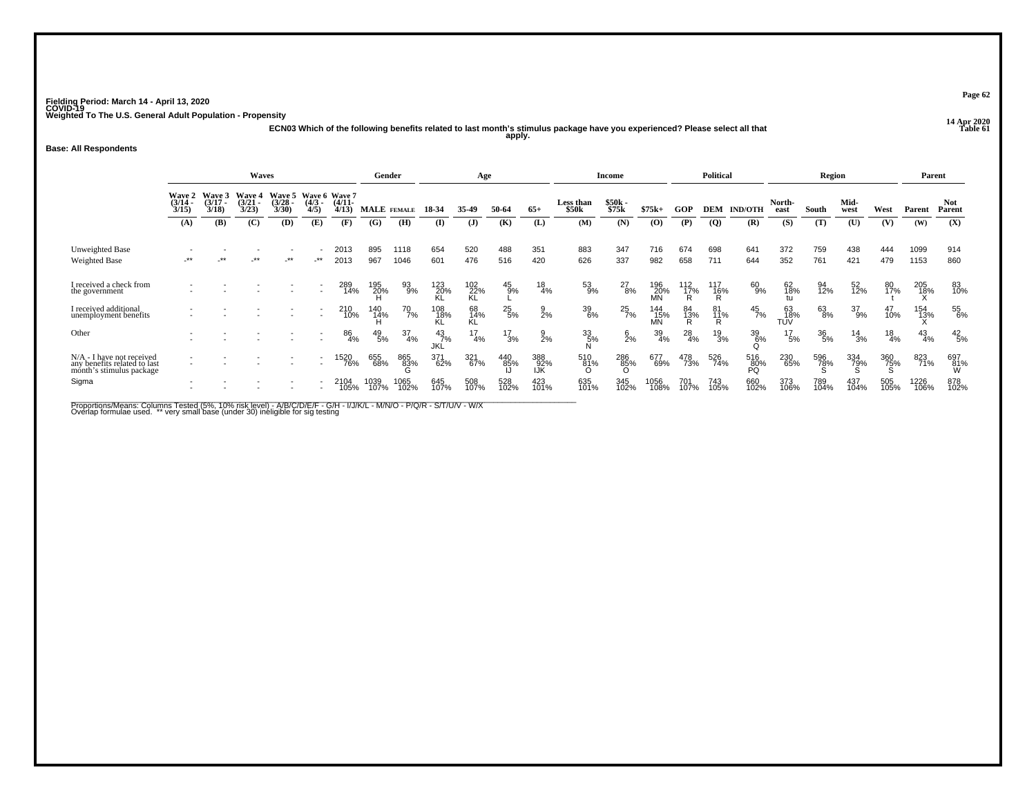**14 Apr 2020 ECN03 Which of the following benefits related to last month's stimulus package have you experienced? Please select all that apply.**

## **Base: All Respondents**

|                                                                                         |                             |                             | <b>Waves</b>                       |                             |                                  |                   | Gender             |                  |                  | Age              |                 |                    |                           | Income            |                    |                 | <b>Political</b>      |                  |                  | Region           |               |               | Parent        |                      |
|-----------------------------------------------------------------------------------------|-----------------------------|-----------------------------|------------------------------------|-----------------------------|----------------------------------|-------------------|--------------------|------------------|------------------|------------------|-----------------|--------------------|---------------------------|-------------------|--------------------|-----------------|-----------------------|------------------|------------------|------------------|---------------|---------------|---------------|----------------------|
|                                                                                         | Wave 2<br>$(3/14 -$<br>3/15 | Wave 3<br>$(3/17 -$<br>3/18 | <b>Wave 4</b><br>$(3/21 -$<br>3/23 | Wave 5<br>$(3/28 -$<br>3/30 | Wave 6 Wave 7<br>$(4/3 -$<br>4/5 | $(4/11 -$<br>4/13 | <b>MALE</b> FEMALE |                  | 18-34            | 35.49            | 50-64           | $65+$              | <b>Less than</b><br>\$50k | $$50k -$<br>\$75k | $$75k+$            | GOP             | DEM                   | <b>IND/OTH</b>   | North-<br>east   | South            | Mid-<br>west  | West          | Parent        | <b>Not</b><br>Parent |
|                                                                                         | (A)                         | (B)                         | (C)                                | (D)                         | (E)                              | (F)               | (G)                | (H)              | $\mathbf{I}$     | ( <b>J</b> )     | (K)             | (L)                | (M)                       | (N)               | (O)                | (P)             | $\overline{Q}$        | (R)              | (S)              | (T)              | (U)           | (V)           | (W)           | (X)                  |
| Unweighted Base<br>Weighted Base                                                        | $***$                       | **                          | $***$                              | -**                         | $\cdot$ **                       | 2013<br>2013      | 895<br>967         | 1118<br>1046     | 654<br>601       | 520<br>476       | 488<br>516      | 351<br>420         | 883<br>626                | 347<br>337        | 716<br>982         | 674<br>658      | 698<br>711            | 641<br>644       | 372<br>352       | 759<br>761       | 438<br>421    | 444<br>479    | 1099<br>1153  | 914<br>860           |
| I received a check from<br>the government                                               |                             |                             |                                    |                             | $\overline{\phantom{a}}$         | 289<br>14%        | 195<br>20%         | 93<br>9%         | 123<br>20%<br>KL | $^{102}_{22\%}$  | $^{45}_{9\%}$   | $^{18}_{4\%}$      | 53<br>9%                  | $^{27}_{8\%}$     | 196<br>20%<br>MN   | $^{112}_{17\%}$ | 117<br>$\frac{16}{R}$ | 60<br>9%         | 62<br>18%        | 94<br>12%        | 52<br>12%     | 80<br>17%     | 205<br>18%    | 83<br>10%            |
| I received additional<br>unemployment benefits                                          |                             |                             |                                    |                             | $\overline{\phantom{0}}$         | 210<br>10%        | 140<br>14%         | 70<br>7%         | 108<br>18%       | 68<br>14%<br>ΚĹ. | $^{25}_{\ 5\%}$ | $\frac{9}{2%}$     | 39<br>6%                  | $^{25}_{7\%}$     | 144<br>- 15%<br>MN | 84<br>13%<br>Đ  | 81<br>11%<br>R        | $^{45}_{7\%}$    | 63<br>18%<br>TUV | 63<br>8%         | 37<br>9%      | 47<br>10%     | 154<br>13%    | 55<br>6%             |
| Other                                                                                   |                             |                             |                                    |                             |                                  | 86<br>4%          | $^{49}_{\ 5\%}$    | $\frac{37}{4\%}$ | $^{43}_{7\%}$    | $^{17}_{4\%}$    | $^{17}_{3\%}$   | $\frac{9}{2}$ %    | 33/5%                     | $\frac{6}{2}$ %   | 39<br>4%           | $^{28}_{4\%}$   | $^{19}_{3\%}$         | 39<br>6%         | $^{17}_{5\%}$    | $\frac{36}{5\%}$ | $^{14}_{3\%}$ | $^{18}_{4\%}$ | $^{43}_{4\%}$ | $^{42}_{\ 5\%}$      |
| $N/A$ - I have not received<br>any benefits related to last<br>month's stimulus package |                             |                             |                                    |                             |                                  | 520<br>76%        | 655<br>68%         | 865<br>83%       | 371<br>62%       | 321<br>67%       | 440<br>85%      | 388<br>-92%<br>IJK | 510<br>81%                | 286<br>85%        | 677<br>69%         | 478<br>73%      | 526<br>74%            | 516<br>80%<br>PQ | 230<br>65%       | 596<br>78%       | 334<br>79%    | 360<br>75%    | 823<br>71%    | 697<br>81%<br>W      |
| Sigma                                                                                   |                             |                             |                                    |                             |                                  | 2104<br>105%      | 1039<br>107%       | 1065<br>102%     | 645<br>107%      | 508<br>107%      | 528<br>102%     | 423<br>101%        | 635<br>101%               | 345<br>102%       | 1056<br>108%       | 701<br>107%     | 743<br>105%           | 660<br>102%      | 373<br>106%      | 789<br>104%      | 437<br>104%   | 505<br>105%   | 1226<br>106%  | 878<br>102%          |

Proportions/Means: Columns Tested (5%, 10% risk level) - A/B/C/D/E/F - G/H - I/J/K/L - M/N/O - P/Q/R - S/T/U/V - W/X<br>Overlap formulae used. \*\* very small base (under 30) ineligible for sig testing

**Page 62**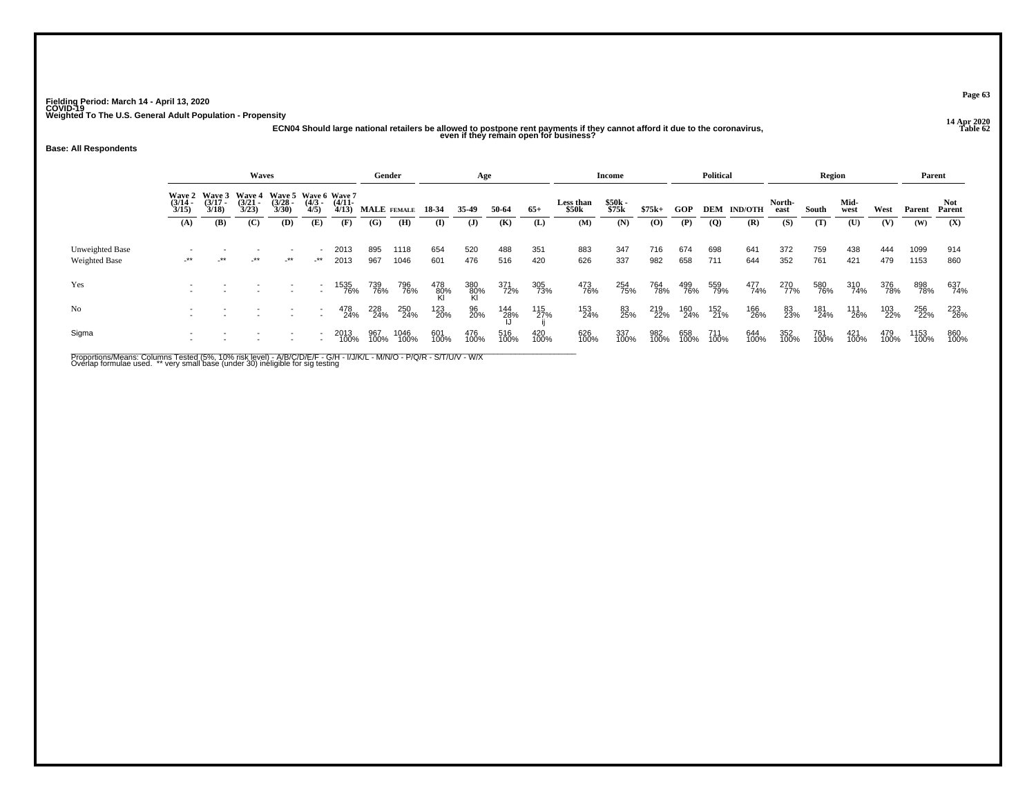## **14 Apr 2020 ECN04 Should large national retailers be allowed to postpone rent payments if they cannot afford it due to the coronavirus, even if they remain open for business?**

## **Base: All Respondents**

|                                  |                       |                                    | <b>Waves</b>                           |                                               |                     |                   | Gender      |              |              | Age              |             |             |                    | Income         |                |             | <b>Political</b> |                    |                | <b>Region</b> |              |             | Parent       |                |
|----------------------------------|-----------------------|------------------------------------|----------------------------------------|-----------------------------------------------|---------------------|-------------------|-------------|--------------|--------------|------------------|-------------|-------------|--------------------|----------------|----------------|-------------|------------------|--------------------|----------------|---------------|--------------|-------------|--------------|----------------|
|                                  | $\frac{(3/14)}{3/15}$ | Wave 2 Wave 3<br>$(3/17 -$<br>3/18 | <b>Wave 4</b><br>$\frac{(3/21)}{3/23}$ | Wave 5 Wave 6 Wave 7<br>$\frac{(3/28)}{3/30}$ | $\frac{(4/3)}{4/5}$ | $(4/11 -$<br>4/13 | MALE FEMALE |              | 18 34        | 35.49            | 50-64       | $65+$       | Less than<br>\$50k | \$50k<br>\$75k | $$75k+$        | GOP         |                  | <b>DEM IND/OTH</b> | North-<br>east | South         | Mid-<br>west | West        | Parent       | Not.<br>Parent |
|                                  | (A)                   | (B)                                | (C)                                    | (D)                                           | (E)                 | (F)               | (G)         | (H)          | $\bf{I}$     | ( <b>J</b> )     | (K)         | (L)         | (M)                | (N)            | $\overline{O}$ | (P)         | $\overline{Q}$   | (R)                | (S)            | (T)           | (U)          | (V)         | (W)          | (X)            |
| Unweighted Base<br>Weighted Base | $-***$                | $\cdot$ **                         | $-***$                                 | $\overline{\phantom{a}}$<br>$-***$            | _**                 | 2013<br>2013      | 895<br>967  | 1118<br>1046 | 654<br>601   | 520<br>476       | 488<br>516  | 351<br>420  | 883<br>626         | 347<br>337     | 716<br>982     | 674<br>658  | 698<br>711       | 641<br>644         | 372<br>352     | 759<br>761    | 438<br>421   | 444<br>479  | 1099<br>1153 | 914<br>860     |
| Yes                              |                       |                                    |                                        |                                               |                     | 1535<br>76%       | 739<br>76%  | 796<br>76%   | 478<br>- 80% | 380<br>80%<br>Kl | 371<br>72%  | 305<br>73%  | 473<br>76%         | 254<br>75%     | 764<br>78%     | 499<br>76%  | 559<br>79%       | 477<br>74%         | 270<br>77%     | 580<br>76%    | 310<br>74%   | 376<br>78%  | 898<br>78%   | 637<br>74%     |
| No                               |                       |                                    |                                        | $\overline{\phantom{a}}$                      |                     | 478<br>24%        | 228<br>24%  | 250<br>24%   | 123<br>20%   | 96<br>20%        | 144<br>28%  | 115<br>27%  | 153<br>24%         | 83<br>25%      | 219<br>22%     | 160<br>24%  | 152<br>21%       | 166<br>26%         | 83<br>23%      | 181<br>24%    | 111<br>26%   | 103<br>22%  | 256<br>22%   | 223<br>26%     |
| Sigma                            |                       |                                    |                                        |                                               |                     | 2013<br>100%      | 967<br>100% | 1046<br>100% | 601<br>100%  | 476<br>100%      | 516<br>100% | 420<br>100% | 626<br>100%        | 337<br>100%    | 982<br>100%    | 658<br>100% | 711<br>100%      | 644<br>100%        | 352<br>100%    | 761<br>100%   | 421<br>100%  | 479<br>100% | 1153<br>100% | 860<br>100%    |

Proportions/Means: Columns Tested (5%, 10% risk level) - A/B/C/D/E/F - G/H - I/J/K/L - M/N/O - P/Q/R - S/T/U/V - W/X<br>Overlap formulae used. \*\* very small base (under 30) ineligible for sig testing

**Page 63**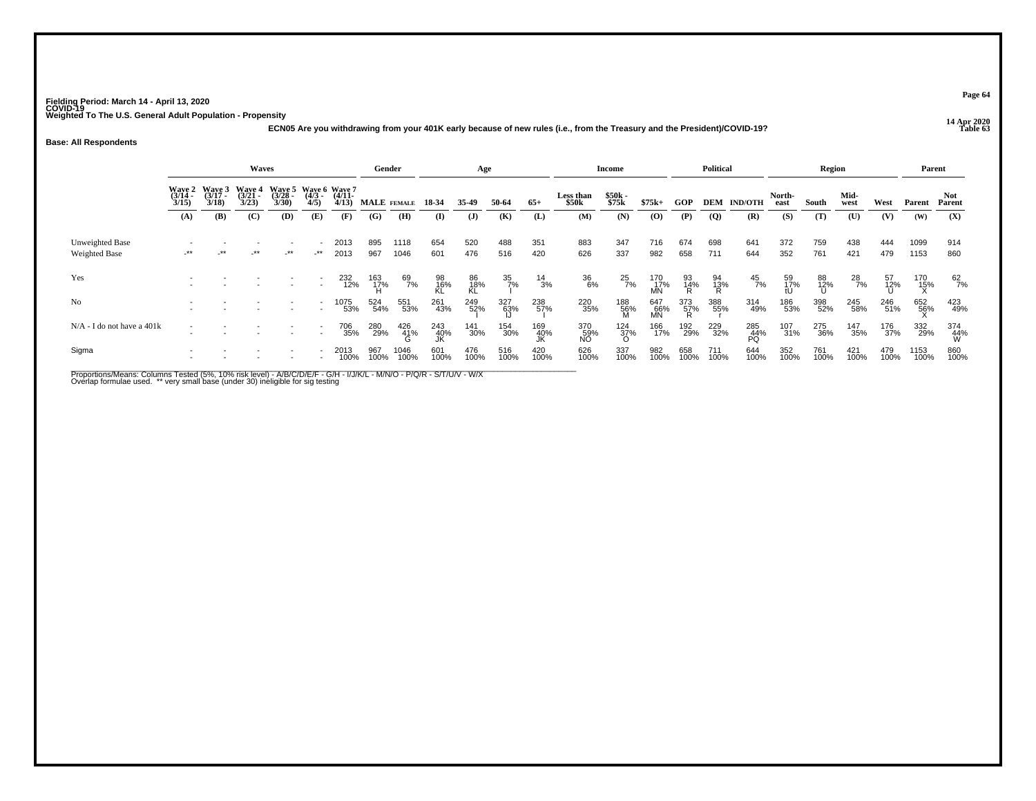**14 Apr 2020 ECN05 Are you withdrawing from your 401K early because of new rules (i.e., from the Treasury and the President)/COVID-19?**

#### **Base: All Respondents**

|                                         |                                 |                             | <b>Waves</b>                       |                       |                                             |                   | Gender      |                 |                  | Age             |                  |                 |                    | Income             |                   |                 | <b>Political</b> |                  |                 | Region         |               |             | Parent       |                   |
|-----------------------------------------|---------------------------------|-----------------------------|------------------------------------|-----------------------|---------------------------------------------|-------------------|-------------|-----------------|------------------|-----------------|------------------|-----------------|--------------------|--------------------|-------------------|-----------------|------------------|------------------|-----------------|----------------|---------------|-------------|--------------|-------------------|
|                                         | Wave 2<br>$\frac{(3/14)}{3/15}$ | Wave 3<br>$(3/17 -$<br>3/18 | <b>Wave 4</b><br>$(3/21 -$<br>3/23 | $\frac{(3728)}{3/30}$ | Wave 5 Wave 6 Wave 7<br>$\frac{(4/3)}{4/5}$ | $(4/11 -$<br>4/13 | MALE FEMALE |                 | 18-34            | 35.49           | 50-64            | $65+$           | Less than<br>\$50k | \$50k<br>\$75k     | $$75k+$           | <b>GOP</b>      | DEM              | <b>IND/OTH</b>   | North-<br>east  | South          | Mid-<br>west  | West        | Parent       | Not<br>Parent     |
|                                         | (A)                             | (B)                         | (C)                                | (D)                   | (E)                                         | (F)               | (G)         | (H)             | (I)              | ( <b>J</b> )    | (K)              | (L)             | (M)                | (N)                | (0)               | (P)             | <b>(Q)</b>       | (R)              | (S)             | (T)            | (U)           | (V)         | (W)          | (X)               |
| Unweighted Base<br><b>Weighted Base</b> | $-***$                          | $\star\star$                | $-***$                             | $-***$                | $-***$                                      | 2013<br>2013      | 895<br>967  | 1118<br>1046    | 654<br>601       | 520<br>476      | 488<br>516       | 351<br>420      | 883<br>626         | 347<br>337         | 716<br>982        | 674<br>658      | 698<br>711       | 641<br>644       | 372<br>352      | 759<br>761     | 438<br>421    | 444<br>479  | 1099<br>1153 | 914<br>860        |
| Yes                                     |                                 |                             |                                    |                       | $\overline{a}$                              | 232<br>12%        | 163<br>17%  | 69<br>7%        | 98<br>16%<br>KL  | 86<br>18%<br>KL | $\frac{35}{7\%}$ | $\frac{14}{3%}$ | 36<br>6%           | $^{25}_{7\%}$      | 170<br>17%<br>MN  | 93<br>14%<br>R  | 94<br>13%        | $^{45}_{7\%}$    | 59<br>17%<br>tU | 88<br>12%<br>U | $^{28}_{7\%}$ | 57<br>12%   | 170<br>15%   | $^{62}_{7\%}$     |
| No                                      |                                 |                             |                                    |                       |                                             | 1075<br>53%       | 524<br>54%  | 551<br>53%      | 261<br>43%       | 249<br>52%      | 327<br>63%       | 238<br>57%      | 220<br>35%         | 188<br>56%<br>M    | 647<br>-66%<br>MN | 373<br>57%<br>R | 388<br>55%       | 314<br>49%       | 186<br>53%      | 398<br>52%     | 245<br>58%    | 246<br>51%  | 652<br>56%   | 423<br>49%        |
| $N/A$ - I do not have a 401 $k$         |                                 | $\overline{\phantom{a}}$    |                                    |                       | $\sim$                                      | 706<br>35%        | 280<br>29%  | 426<br>41%<br>G | 243<br>40%<br>IK | 141<br>30%      | 154<br>30%       | 169<br>40%      | 370<br>59%<br>NO   | $\frac{124}{37\%}$ | 166<br>17%        | 192<br>29%      | 229<br>32%       | 285<br>44%<br>PQ | 107<br>31%      | 275<br>36%     | 147<br>35%    | 176<br>37%  | 332<br>29%   | 374<br>-44%<br>-W |
| Sigma                                   |                                 |                             |                                    |                       |                                             | 2013<br>100%      | 967<br>100% | 1046<br>100%    | 601<br>100%      | 476<br>100%     | 516<br>100%      | 420<br>100%     | 626<br>100%        | 337<br>100%        | 982<br>100%       | 658<br>100%     | 711<br>100%      | 644<br>100%      | 352<br>100%     | 761<br>100%    | 421<br>100%   | 479<br>100% | 1153<br>100% | 860<br>100%       |

Proportions/Means: Columns Tested (5%, 10% risk level) - A/B/C/D/E/F - G/H - I/J/K/L - M/N/O - P/Q/R - S/T/U/V - W/X<br>Overlap formulae used. \*\* very small base (under 30) ineligible for sig testing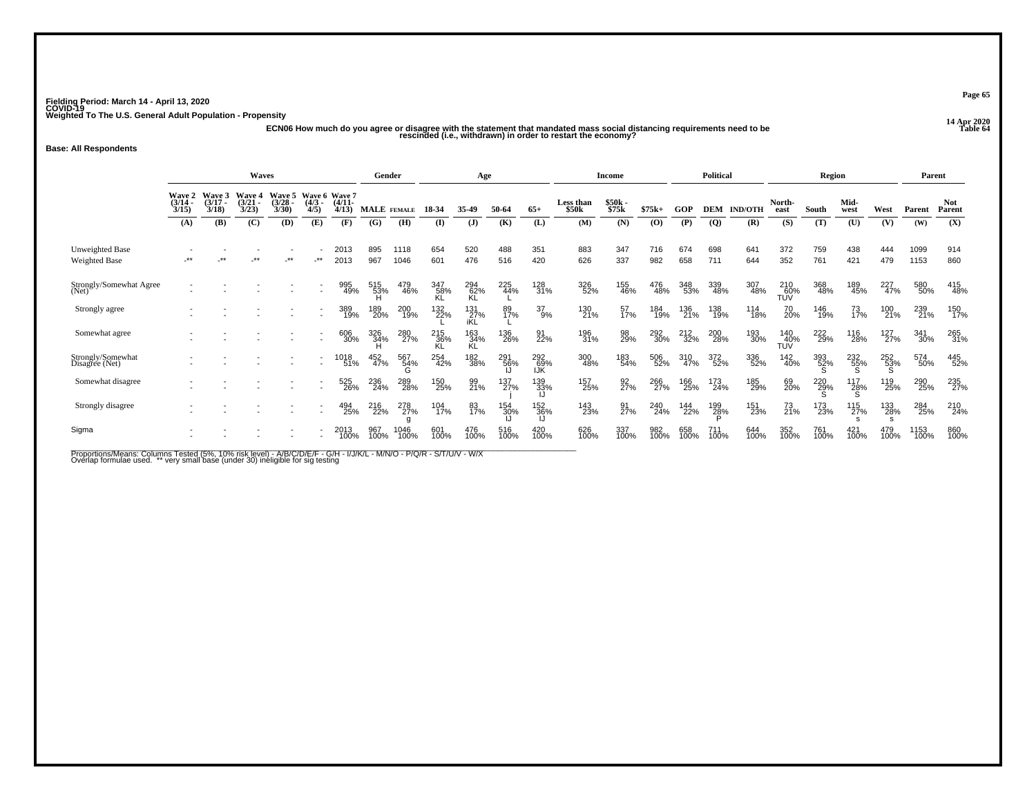ر در 2020<br>ECN06 How much do you agree or disagree with the statement that mandated mass social distancing requirements need to be<br>Iable 64 rescinded (i.e., withdrawn) in order to restart the economy?

## **Base: All Respondents**

|                                     |                             |                             | Waves                              |                                    |                                  |                   |                    | Gender          |                   | Age               |             |                        |                                       | <b>Income</b>  |             |             | <b>Political</b> |                |                         | <b>Region</b> |              |                  | Parent       |                      |
|-------------------------------------|-----------------------------|-----------------------------|------------------------------------|------------------------------------|----------------------------------|-------------------|--------------------|-----------------|-------------------|-------------------|-------------|------------------------|---------------------------------------|----------------|-------------|-------------|------------------|----------------|-------------------------|---------------|--------------|------------------|--------------|----------------------|
|                                     | Wave 2<br>$(3/14 -$<br>3/15 | Wave 3<br>$(3/17 -$<br>3/18 | <b>Wave 4</b><br>$(3/21 -$<br>3/23 | <b>Wave 5</b><br>$(3/28 -$<br>3/30 | Wave 6 Wave 7<br>$(4/3 -$<br>4/5 | $(4/11 -$<br>4/13 | <b>MALE</b> FEMALE |                 | 18-34             | 35-49             | 50-64       | $65+$                  | <b>Less than</b><br>\$50 <sub>k</sub> | \$50k<br>\$75k | $$75k+$     | GOP         | DEM              | <b>IND/OTH</b> | North-<br>east          | South         | Mid-<br>west | West             | Parent       | <b>Not</b><br>Parent |
|                                     | (A)                         | (B)                         | (C)                                | (D)                                | (E)                              | (F)               | (G)                | (H)             | (I)               | $\mathbf{J}$      | (K)         | (L)                    | (M)                                   | (N)            | (O)         | (P)         | $\overline{Q}$   | (R)            | (S)                     | (T)           | (U)          | (V)              | (W)          | (X)                  |
| Unweighted Base<br>Weighted Base    | $***$                       | $***$                       | $***$                              | $***$                              | $***$                            | 2013<br>2013      | 895<br>967         | 1118<br>1046    | 654<br>601        | 520<br>476        | 488<br>516  | 351<br>420             | 883<br>626                            | 347<br>337     | 716<br>982  | 674<br>658  | 698<br>711       | 641<br>644     | 372<br>352              | 759<br>761    | 438<br>421   | 444<br>479       | 1099<br>1153 | 914<br>860           |
| Strongly/Somewhat Agree<br>(Net)    |                             |                             |                                    |                                    |                                  | 995<br>49%        | 515<br>53%<br>H    | 479<br>46%      | 347<br>58%<br>KL  | 294<br>62%<br>KL  | 225<br>44%  | 128<br>31%             | 326<br>52%                            | 155<br>46%     | 476<br>48%  | 348<br>53%  | 339<br>48%       | 307<br>48%     | 210<br>TUV<br>TUV       | 368<br>48%    | 189<br>45%   | 227<br>47%       | 580<br>50%   | 415<br>48%           |
| Strongly agree                      |                             |                             |                                    |                                    |                                  | 389<br>19%        | 189<br>20%         | 200<br>19%      | 132<br>22%        | 131<br>27%<br>iKL | 89<br>17%   | $^{37}_{9\%}$          | 130<br>21%                            | 57<br>17%      | 184<br>19%  | 136<br>21%  | 138<br>19%       | 114<br>18%     | 70<br>20%               | 146<br>19%    | 73<br>17%    | 100<br>21%       | 239<br>21%   | 150<br>17%           |
| Somewhat agree                      |                             |                             |                                    |                                    | $\overline{\phantom{a}}$         | 606<br>30%        | 326<br>34%         | 280<br>27%      | 215<br>36%<br>KL. | 163<br>34%<br>KL  | 136<br>26%  | 91<br>22%              | 196<br>31%                            | 98<br>29%      | 292<br>30%  | 212<br>32%  | 200<br>28%       | 193<br>30%     | 140 <sub>%</sub><br>TUV | 222<br>29%    | 116<br>28%   | 127 <sub>%</sub> | 341<br>30%   | 265<br>31%           |
| Strongly/Somewhat<br>Disagree (Net) |                             |                             |                                    |                                    |                                  | 1018<br>51%       | 452<br>47%         | 567<br>54%<br>G | 254<br>42%        | 182<br>38%        | 291<br>56%  | 292<br>$\frac{69}{10}$ | 300<br>48%                            | 183<br>54%     | 506<br>52%  | 310<br>47%  | 372<br>52%       | 336<br>52%     | 142<br>40%              | 393<br>52%    | 232<br>55%   | 252<br>53%<br>S  | 574<br>50%   | 445<br>52%           |
| Somewhat disagree                   |                             |                             |                                    |                                    |                                  | 525<br>26%        | 236<br>24%         | 289<br>28%      | 150<br>25%        | 99<br>21%         | 137<br>27%  | 139<br>33%             | 157<br>25%                            | 92<br>27%      | 266<br>27%  | 166<br>25%  | 173<br>24%       | 185<br>29%     | 69<br>20%               | 220<br>29%    | 117<br>28%   | 119<br>25%       | 290<br>25%   | 235<br>27%           |
| Strongly disagree                   |                             |                             |                                    |                                    |                                  | 494<br>25%        | 216<br>22%         | 278<br>27%      | 104<br>17%        | 83<br>17%         | 154<br>30%  | 152<br>36%             | 143<br>23%                            | 91<br>27%      | 240<br>24%  | 144<br>22%  | 199<br>28%       | 151<br>23%     | 73<br>21%               | 173<br>23%    | 115<br>27%   | 133<br>28%       | 284<br>25%   | 210<br>24%           |
| Sigma                               |                             |                             |                                    |                                    |                                  | 2013<br>100%      | 967<br>100%        | 1046<br>100%    | 601<br>100%       | 476<br>100%       | 516<br>100% | 420<br>100%            | 626<br>100%                           | 337<br>100%    | 982<br>100% | 658<br>100% | $^{111}_{100\%}$ | 644<br>100%    | 352<br>100%             | 761<br>100%   | 421<br>100%  | 479<br>100%      | 1153<br>100% | 860<br>100%          |

Proportions/Means: Columns Tested (5%, 10% risk level) - A/B/C/D/E/F - G/H - I/J/K/L - M/N/O - P/Q/R - S/T/U/V - W/X<br>Overlap formulae used. \*\* very small base (under 30) ineligible for sig testing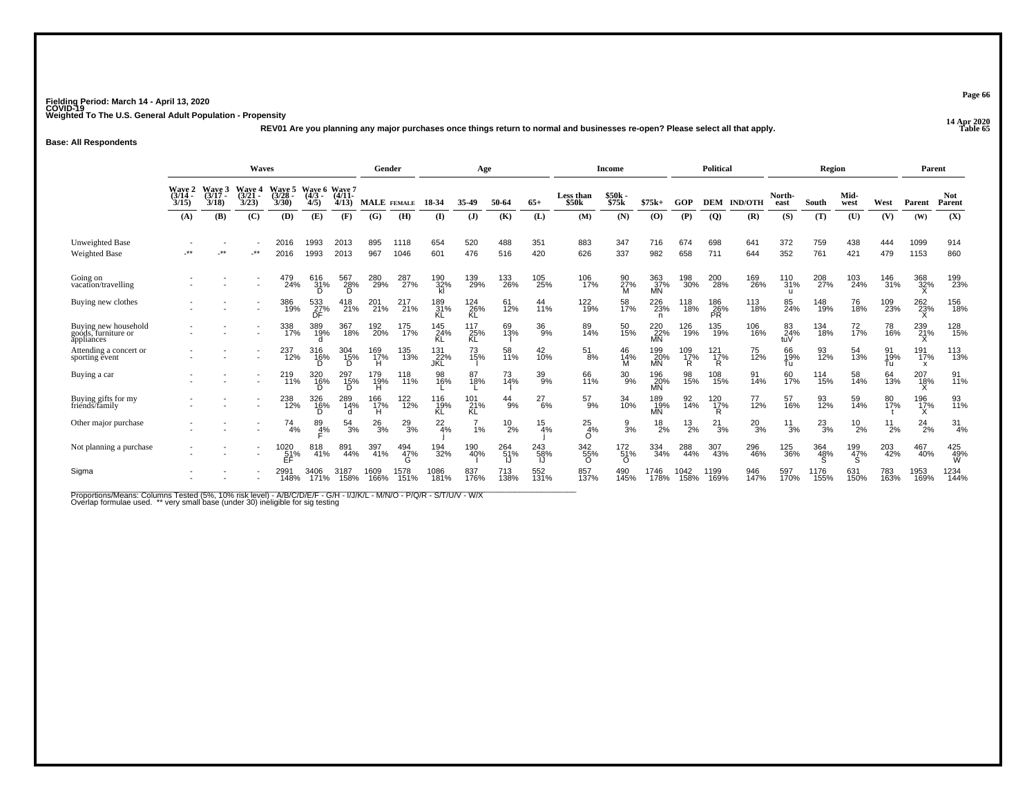**14 Apr 2020 REV01 Are you planning any major purchases once things return to normal and businesses re-open? Please select all that apply.**

#### **Base: All Respondents**

|                                                           |                                 |                          | <b>Waves</b>             |                          |                                  |                 | Gender           |               |                   | Age                                  |               |               |                        | Income                      |                            |                 | Political            |                |                   | Region        |               |             | Parent           |                      |
|-----------------------------------------------------------|---------------------------------|--------------------------|--------------------------|--------------------------|----------------------------------|-----------------|------------------|---------------|-------------------|--------------------------------------|---------------|---------------|------------------------|-----------------------------|----------------------------|-----------------|----------------------|----------------|-------------------|---------------|---------------|-------------|------------------|----------------------|
|                                                           | <b>Wave 2<br/>(3/14</b><br>3/15 | Wave 3<br>(3/17)<br>3/18 | Wave 4<br>(3/21)<br>3/23 | Wave 5<br>(3/28)<br>3/30 | Wave 6 Wave 7<br>$(4/3 -$<br>4/5 | (4/11)<br>4/13  | MALE FEMALE      |               | 18-34             | 35-49                                | 50-64         | $65+$         | Less than<br>\$50k     | \$50k<br>\$75k              | $$75k+$                    | GOP             | <b>DEM</b>           | <b>IND/OTH</b> | North-<br>east    | South         | Mid-<br>west  | West        | Parent           | <b>Not</b><br>Parent |
|                                                           | (A)                             | (B)                      | (C)                      | (D)                      | (E)                              | (F)             | (G)              | (H)           | $($ I             | $\mathbf{J}$                         | (K)           | (L)           | (M)                    | (N)                         | (O)                        | (P)             | $\overline{Q}$       | (R)            | (S)               | (T)           | (U)           | (V)         | (W)              | (X)                  |
| <b>Unweighted Base</b><br><b>Weighted Base</b>            | $***$                           | $***$                    | $.**$                    | 2016<br>2016             | 1993<br>1993                     | 2013<br>2013    | 895<br>967       | 1118<br>1046  | 654<br>601        | 520<br>476                           | 488<br>516    | 351<br>420    | 883<br>626             | 347<br>337                  | 716<br>982                 | 674<br>658      | 698<br>711           | 641<br>644     | 372<br>352        | 759<br>761    | 438<br>421    | 444<br>479  | 1099<br>1153     | 914<br>860           |
| Going on<br>vacation/travelling                           |                                 |                          |                          | 479<br>24%               | 616<br>31%<br>D                  | 567<br>28%<br>D | 280<br>29%       | 287<br>27%    | 190<br>32%<br>kl  | 139<br>29%                           | 133<br>26%    | 105<br>25%    | 106<br>17%             | 90<br>27%<br>M              | 363<br>37%<br><b>MN</b>    | 198<br>30%      | 200<br>28%           | 169<br>26%     | 110<br>31%<br>u   | 208<br>27%    | 103<br>24%    | 146<br>31%  | 368<br>32%       | 199<br>23%           |
| Buying new clothes                                        |                                 |                          |                          | 386<br>19%               | 533<br>27%<br>DF                 | 418<br>21%      | 201 <sub>%</sub> | 217<br>21%    | 189<br>31%        | <sup>124</sup> <sub>26</sub> %<br>KĹ | 61<br>12%     | 44<br>11%     | 122<br>19%             | 58<br>17%                   | 226<br>23%<br>$\mathsf{n}$ | 118<br>18%      | 186<br>26%<br>PŘ     | 113<br>18%     | 85<br>24%         | 148<br>19%    | 76<br>18%     | 109<br>23%  | 262<br>23%       | 156<br>18%           |
| Buying new household<br>goods, furniture or<br>appliances |                                 |                          |                          | 338<br>17%               | 389<br>19%                       | 367<br>18%      | 192<br>20%       | 175<br>17%    | 145<br>24%        | 117<br>25%<br>KL                     | 69<br>13%     | 36<br>9%      | 89<br>14%              | 50<br>15%                   | 220<br>22%<br>MN           | 126<br>19%      | 135<br>19%           | 106<br>16%     | $\frac{83}{24\%}$ | 134<br>18%    | 72<br>17%     | 78<br>16%   | 239<br>21%       | 128<br>15%           |
| Attending a concert or<br>sporting event                  |                                 |                          |                          | 237<br>12%               | 316<br>1 <u>6</u> %              | 304<br>15%<br>D | 169<br>17%<br>н  | 135<br>13%    | 131<br>22%<br>JKL | 73<br>15%                            | 58<br>11%     | 42<br>10%     | $^{51}_{8\%}$          | 46<br>14%<br>М              | 199<br>20%<br>MŃ           | 109<br>17%<br>R | $^{121}_{17\%}$<br>R | 75<br>12%      | 66<br>19%<br>Tu   | 93<br>12%     | 54<br>13%     | 91<br>19%   | 191<br>17%<br>x  | 113<br>13%           |
| Buying a car                                              |                                 |                          |                          | 219<br>11%               | 320<br>16%                       | 297<br>15%<br>D | 179<br>19%       | 118<br>11%    | 98<br>16%         | 87<br>18%                            | 73<br>14%     | 39<br>9%      | 66<br>11%              | $^{30}_{9\%}$               | 196<br>20%<br>MŃ           | 98<br>15%       | 108<br>15%           | 91<br>14%      | 60<br>17%         | 114<br>15%    | 58<br>14%     | 64<br>13%   | 207<br>18%       | 91<br>11%            |
| Buying gifts for my<br>friends/family                     |                                 |                          |                          | 238<br>12%               | 326<br>16%                       | 289<br>14%      | 166<br>17%<br>н  | 122<br>12%    | 116<br>19%<br>KL  | 101<br>21%<br>KL                     | $^{44}_{9\%}$ | $^{27}_{6\%}$ | $^{57}_{9\%}$          | 34<br>10%                   | 189<br>19%<br>MŃ           | 92<br>14%       | $^{120}_{17\%}$<br>R | 77<br>12%      | 57<br>16%         | 93<br>12%     | 59<br>14%     | 80<br>17%   | 196<br>17%<br>X. | 93<br>11%            |
| Other major purchase                                      |                                 |                          |                          | 74<br>4%                 | 89<br>4%                         | 54<br>3%        | $^{26}_{3%}$     | $^{29}_{3\%}$ | $^{22}_{4\%}$     | 1%                                   | $^{10}_{2\%}$ | 15<br>4%      | 25<br>4%<br>$\Omega$   | $\frac{9}{3}$ %             | $^{18}_{2\%}$              | $^{13}_{2\%}$   | 21<br>3%             | $^{20}_{3\%}$  | 11<br>3%          | $^{23}_{3\%}$ | $^{10}_{2\%}$ | 11<br>2%    | 24<br>2%         | $\frac{31}{4\%}$     |
| Not planning a purchase                                   |                                 |                          |                          | 1020<br>51%<br>EF        | 818<br>41%                       | 891<br>44%      | 397<br>41%       | 494<br>47%    | 194<br>32%        | 190<br>40%                           | 264<br>51%    | 243<br>58%    | 342<br>55%<br>$\Omega$ | $^{172}_{51\%}$<br>$\Omega$ | 334<br>34%                 | 288<br>44%      | 307<br>43%           | 296<br>46%     | 125<br>36%        | 364<br>48%    | 199<br>47%    | 203<br>42%  | 467<br>40%       | 425<br>49%<br>W      |
| Sigma                                                     |                                 |                          |                          | 2991<br>148%             | 3406<br>171%                     | 3187<br>158%    | 1609<br>166%     | 1578<br>151%  | 086<br>181%       | 837<br>176%                          | 713<br>138%   | 552<br>131%   | 857<br>137%            | 490<br>145%                 | l746<br>178%               | 1042<br>158%    | 1199<br>169%         | 946<br>147%    | 597<br>170%       | 1176<br>155%  | 631<br>150%   | 783<br>163% | 1953<br>169%     | 1234<br>144%         |

Proportions/Means: Columns Tested (5%, 10% risk level) - A/B/C/D/E/F - G/H - I/J/K/L - M/N/O - P/Q/R - S/T/U/V - W/X<br>Overlap formulae used. \*\* very small base (under 30) ineligible for sig testing

**Page 66**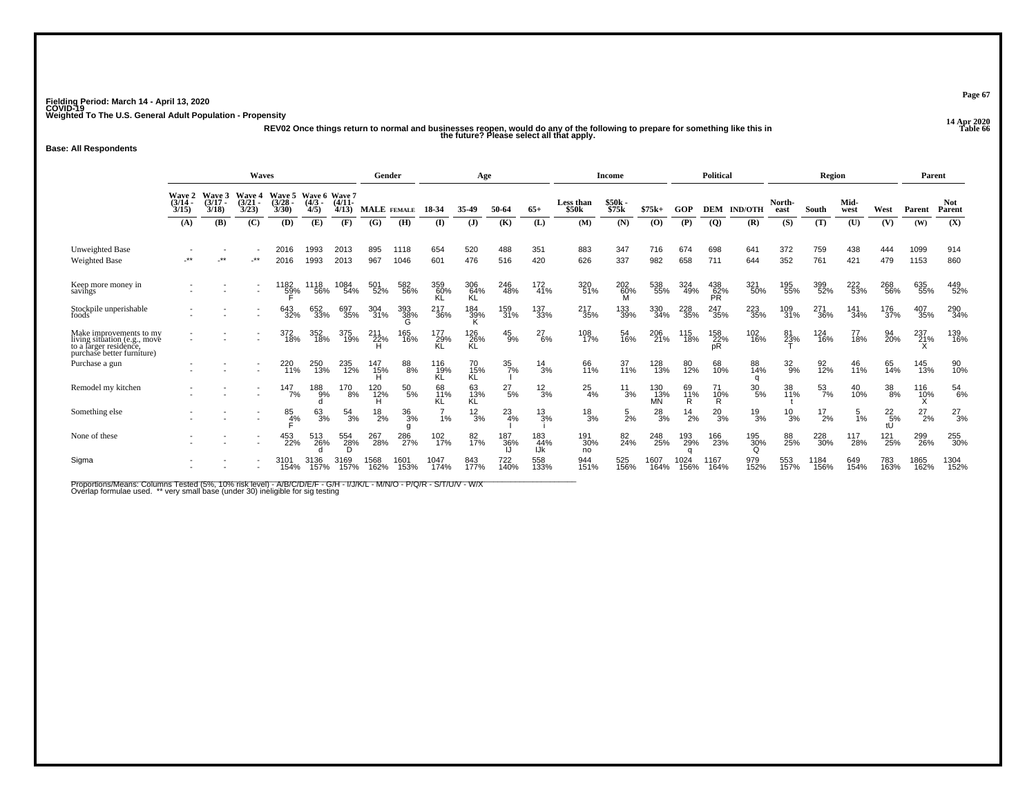**14 Apr 2020 REV02 Once things return to normal and businesses reopen, would do any of the following to prepare for something like this in Table 66 the future? Please select all that apply.**

## **Base: All Respondents**

|                                                                                                                 | Waves<br>Wave 6 Wave 7      |                             |                                    |                          |                  |                   | Gender             |                       |                  | Age              |                  |                   |                    | Income          |                   |               | <b>Political</b>        |                 |                | Region           |              |                       | Parent       |                      |
|-----------------------------------------------------------------------------------------------------------------|-----------------------------|-----------------------------|------------------------------------|--------------------------|------------------|-------------------|--------------------|-----------------------|------------------|------------------|------------------|-------------------|--------------------|-----------------|-------------------|---------------|-------------------------|-----------------|----------------|------------------|--------------|-----------------------|--------------|----------------------|
|                                                                                                                 | Wave 2<br>$(3/14 -$<br>3/15 | Wave 3<br>$(3/17 -$<br>3/18 | <b>Wave 4</b><br>$(3/21 -$<br>3/23 | Wave 5<br>(3/28)<br>3/30 | $(4/3 -$<br>4/5) | $(4/11 -$<br>4/13 | <b>MALE</b> FEMALE |                       | 18-34            | 35.49            | 50-64            | $65+$             | Less than<br>\$50k | \$50k<br>\$75k  | $$75k+$           | GOP           | <b>DEM</b>              | <b>IND/OTH</b>  | North-<br>east | South            | Mid-<br>west | West                  | Parent       | <b>Not</b><br>Parent |
|                                                                                                                 | (A)                         | (B)                         | (C)                                | (D)                      | (E)              | (F)               | (G)                | (H)                   | $\bf{I}$         | $\mathbf{J}$     | (K)              | (L)               | (M)                | (N)             | (0)               | (P)           | $\overline{Q}$          | (R)             | (S)            | (T)              | (U)          | (V)                   | (W)          | (X)                  |
| Unweighted Base<br><b>Weighted Base</b>                                                                         | $***$                       |                             | $.**$                              | 2016<br>2016             | 1993<br>1993     | 2013<br>2013      | 895<br>967         | 1118<br>1046          | 654<br>601       | 520<br>476       | 488<br>516       | 351<br>420        | 883<br>626         | 347<br>337      | 716<br>982        | 674<br>658    | 698<br>711              | 641<br>644      | 372<br>352     | 759<br>761       | 438<br>421   | 444<br>479            | 1099<br>1153 | 914<br>860           |
| Keep more money in<br>savings                                                                                   |                             |                             |                                    | 182<br>59%               | 1118<br>56%      | 1084<br>54%       | 501<br>52%         | 582<br>56%            | 359<br>60%<br>KL | 306<br>64%<br>KL | 246<br>48%       | 172<br>41%        | 320<br>51%         | 202<br>60%      | 538<br>55%        | 324<br>49%    | 438<br>62%<br>PR        | 321<br>50%      | 195<br>55%     | 399<br>52%       | 222<br>53%   | 268<br>56%            | 635<br>55%   | 449<br>52%           |
| Stockpile unperishable<br>foods                                                                                 |                             |                             |                                    | 643<br>32%               | 652<br>33%       | 697<br>35%        | 304<br>31%         | 393<br>38%            | 217<br>36%       | 184<br>39%       | 159<br>31%       | 137<br>33%        | 217<br>35%         | 133<br>39%      | 330<br>34%        | 228<br>35%    | 247<br>35%              | 223<br>35%      | 109<br>31%     | 271<br>36%       | 141<br>34%   | 176<br>37%            | 407<br>35%   | 290<br>34%           |
| Make improvements to my<br>living situation (e.g., move<br>to a larger residence.<br>purchase better furniture) |                             |                             |                                    | 372<br>18%               | 352<br>18%       | 375<br>19%        | 211<br>22%         | 165<br>16%            | 177<br>29%<br>KĹ | 126<br>26%<br>ΚL | $^{45}_{9\%}$    | $^{27}_{6\%}$     | 108<br>17%         | 54<br>16%       | 206<br>21%        | 115<br>18%    | 158<br>22%<br>рR        | 102<br>16%      | 81<br>23%      | 124<br>16%       | 77<br>18%    | 94<br>20%             | 237<br>21%   | 139<br>16%           |
| Purchase a gun                                                                                                  |                             |                             |                                    | 220<br>11%               | 250<br>13%       | 235<br>12%        | 147<br>15%         | 88<br>8%              | 116<br>19%<br>KĹ | 70<br>15%<br>KL  | $\frac{35}{7}\%$ | $^{14}_{3\%}$     | 66<br>11%          | 37<br>11%       | 128<br>13%        | 80<br>12%     | 68<br>10%               | 88<br>14%<br>q  | $32\%$         | 92 <sub>%</sub>  | 46<br>11%    | 65<br>14%             | 145<br>13%   | 90<br>10%            |
| Remodel my kitchen                                                                                              |                             |                             |                                    | 147<br>7%                | 188<br>9%        | 170<br>8%         | $^{120}_{12\%}$    | $\substack{50 \ 5\%}$ | 68<br>11%<br>KL  | 63<br>13%<br>KL  | $^{27}_{\ 5\%}$  | $\frac{12}{3%}$   | $^{25}_{4\%}$      | $\frac{11}{3%}$ | 130<br> 13%<br>MN | 69<br>11%     | 71<br>1 <u>0</u> %<br>R | $^{30}_{\ 5\%}$ | 38<br>11%      | $\frac{53}{7\%}$ | 40<br>10%    | 38<br>8%              | 116<br>10%   | $\frac{54}{6\%}$     |
| Something else                                                                                                  |                             |                             |                                    | 85<br>4%                 | 63<br>3%         | 54<br>3%          | $^{18}_{2\%}$      | 36<br>3%<br>g         | 1%               | $\frac{12}{3%}$  | 23<br>4%         | 13<br>3%          | $\frac{18}{3%}$    | $\frac{5}{2}$ % | $^{28}_{3%}$      | $^{14}_{2\%}$ | $^{20}_{3\%}$           | $\frac{19}{3%}$ | $^{10}_{3\%}$  | 17<br>2%         | 1%           | $^{22}_{\ 5\%}$<br>tU | 27<br>2%     | $^{27}_{3\%}$        |
| None of these                                                                                                   |                             |                             |                                    | 453<br>22%               | 513<br>26%       | 554<br>28%<br>D   | 267<br>28%         | 286<br>27%            | 102<br>17%       | 82<br>17%        | 187<br>36%<br>IJ | 183<br>44%<br>IJk | 191<br>30%<br>no   | 82<br>24%       | 248<br>25%        | 193<br>29%    | 166<br>23%              | 195<br>30%<br>O | 88<br>25%      | 228<br>30%       | 117<br>28%   | 121<br>25%            | 299<br>26%   | 255<br>30%           |
| Sigma                                                                                                           |                             |                             |                                    | 3101<br>154%             | 3136<br>157%     | 3169<br>157%      | 1568<br>162%       | 1601<br>153%          | 1047<br>174%     | 843<br>177%      | 722<br>140%      | 558<br>133%       | 944<br>151%        | 525<br>156%     | 1607<br>164%      | 1024<br>156%  | 1167<br>164%            | 979<br>152%     | 553<br>157%    | 1184<br>156%     | 649<br>154%  | 783<br>163%           | 1865<br>162% | 1304<br>152%         |

Proportions/Means: Columns Tested (5%, 10% risk level) - A/B/C/D/E/F - G/H - I/J/K/L - M/N/O - P/Q/R - S/T/U/V - W/X<br>Overlap formulae used. \*\* very small base (under 30) ineligible for sig testing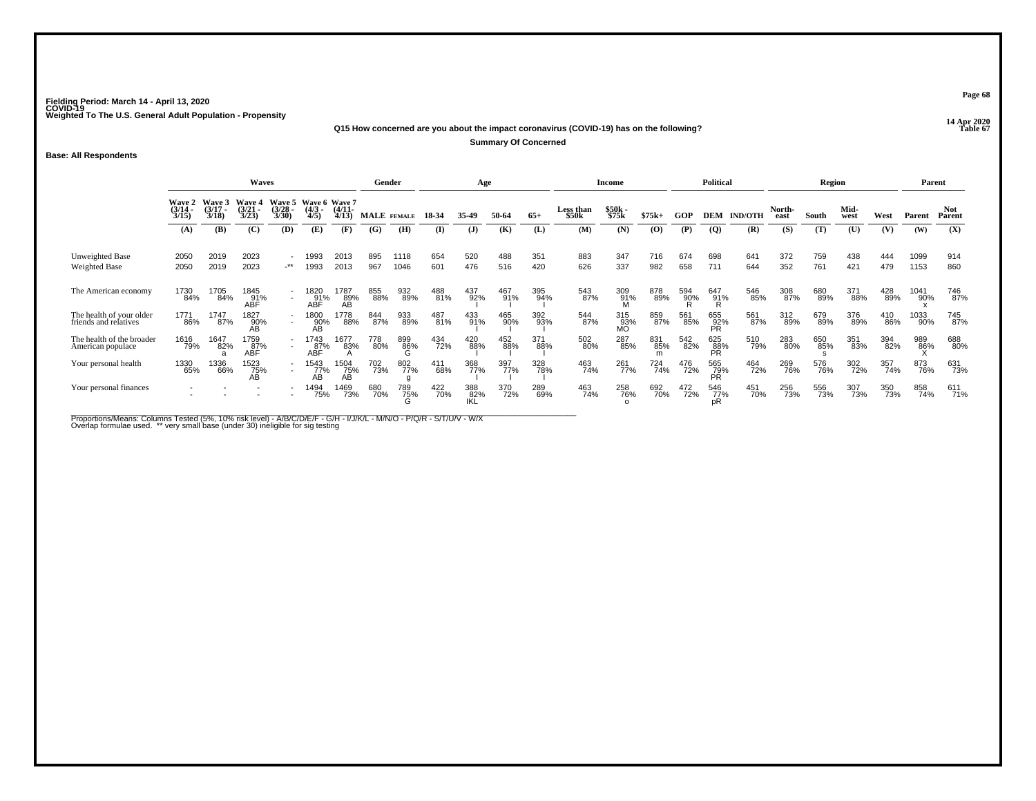**14 Apr 2020 Q15 How concerned are you about the impact coronavirus (COVID-19) has on the following?**

**Summary Of Concerned**

**Base: All Respondents**

|                                                   | <b>Waves</b>                    |                               |                                          |                               |                                      |                    | Gender             |                   |            | Age          |            |            |                    | Income           |            |            | <b>Political</b>          |                |                | Region     |              |            | Parent       |               |
|---------------------------------------------------|---------------------------------|-------------------------------|------------------------------------------|-------------------------------|--------------------------------------|--------------------|--------------------|-------------------|------------|--------------|------------|------------|--------------------|------------------|------------|------------|---------------------------|----------------|----------------|------------|--------------|------------|--------------|---------------|
|                                                   | Wave 2<br>$\frac{(3/14)}{3/15}$ | Wave 3<br>$\frac{3}{18}$      | Wave 4<br>$\frac{3}{2}$<br>$\frac{3}{2}$ | Wave 5<br>$\frac{3/28}{3/30}$ | Wave 6 Wave 7<br>$\frac{(4/3)}{4/5}$ | $(4/11 -$<br>4/13  | <b>MALE</b> FEMALE |                   | 18-34      | 35-49        | 50-64      | $65+$      | Less than<br>\$50k | \$50k<br>\$75k   | $$75k+$    | GOP        | <b>DEM</b>                | <b>IND/OTH</b> | North-<br>east | South      | Mid-<br>west | West       | Parent       | Not<br>Parent |
|                                                   | (A)                             | (B)                           | (C)                                      | (D)                           | (E)                                  | (F)                | (G)                | (H)               | (I)        | $\mathbf{J}$ | (K)        | (L)        | (M)                | (N)              | (0)        | (P)        | $\overline{Q}$            | (R)            | (S)            | (T)        | (U)          | (V)        | (W)          | (X)           |
| Unweighted Base<br>Weighted Base                  | 2050<br>2050                    | 2019<br>2019                  | 2023<br>2023                             | $-***$                        | 1993<br>1993                         | 2013<br>2013       | 895<br>967         | 1118<br>1046      | 654<br>601 | 520<br>476   | 488<br>516 | 351<br>420 | 883<br>626         | 347<br>337       | 716<br>982 | 674<br>658 | 698<br>711                | 641<br>644     | 372<br>352     | 759<br>761 | 438<br>421   | 444<br>479 | 1099<br>1153 | 914<br>860    |
| The American economy                              | 1730<br>84%                     | 1705<br>84%                   | 1845<br>9 <u>1</u> %<br>ABF              | $\overline{\phantom{a}}$      | 1820<br>91%<br>ABF                   | 1787<br>89%<br>AB. | 855<br>88%         | 932<br>89%        | 488<br>81% | 437<br>92%   | 467<br>91% | 395<br>94% | 543<br>87%         | 309<br>91%       | 878<br>89% | 594<br>90% | 647<br>91%                | 546<br>85%     | 308<br>87%     | 680<br>89% | 371<br>88%   | 428<br>89% | 1041<br>90%  | 746<br>87%    |
| The health of your older<br>friends and relatives | 1771<br>86%                     | 1747<br>87%                   | 1827<br>90%<br>AB                        |                               | 1800<br>90%<br>AB                    | 1778<br>88%        | 844<br>87%         | 933<br>89%        | 487<br>81% | 433<br>91%   | 465<br>90% | 392<br>93% | 544<br>87%         | 315<br>93%<br>MO | 859<br>87% | 561<br>85% | 655<br>92%<br>PR          | 561<br>87%     | 312<br>89%     | 679<br>89% | 376<br>89%   | 410<br>86% | 1033<br>90%  | 745<br>87%    |
| The health of the broader<br>American populace    | 1616<br>79%                     | 1647<br>82%<br>$\overline{a}$ | 1759<br>87%<br><b>ABF</b>                |                               | 1743<br>87%<br>ABF                   | 1677<br>83%        | 778<br>80%         | 899<br>86%<br>ι-۱ | 434<br>72% | 420<br>88%   | 452<br>88% | 371<br>88% | 502<br>80%         | 287<br>85%       | 831<br>85% | 542<br>82% | 625<br>88%<br><b>PR</b>   | 510<br>79%     | 283<br>80%     | 650<br>85% | 351<br>83%   | 394<br>82% | 989<br>86%   | 688<br>80%    |
| Your personal health                              | 1330<br>65%                     | 1336<br>66%                   | 1523<br>75%<br>AВ                        |                               | 1543<br>77%<br>AB                    | 1504<br>75%<br>AB  | <sup>702</sup> 73% | 802<br>77%        | 411<br>68% | 368<br>77%   | 397<br>77% | 328<br>78% | 463<br>74%         | 261<br>77%       | 724<br>74% | 476<br>72% | 565<br>79%<br><b>PR</b>   | 464<br>72%     | 269<br>76%     | 576<br>76% | 302<br>72%   | 357<br>74% | 873<br>76%   | 631<br>73%    |
| Your personal finances                            | $\overline{\phantom{a}}$        |                               |                                          |                               | 1494<br>75%                          | 1469<br>73%        | 680<br>70%         | 789<br>75%        | 422<br>70% | 388<br>82%   | 370<br>72% | 289<br>69% | 463<br>74%         | 258<br>76%       | 692<br>70% | 472<br>72% | 546<br>7 <u>7</u> %<br>pŔ | 451<br>70%     | 256<br>73%     | 556<br>73% | 307<br>73%   | 350<br>73% | 858<br>74%   | 611<br>71%    |

Proportions/Means: Columns Tested (5%, 10% risk level) - A/B/C/D/E/F - G/H - I/J/K/L - M/N/O - P/Q/R - S/T/U/V - W/X<br>Overlap formulae used. \*\* very small base (under 30) ineligible for sig testing

**Page 68**

**Table 67 Table 67**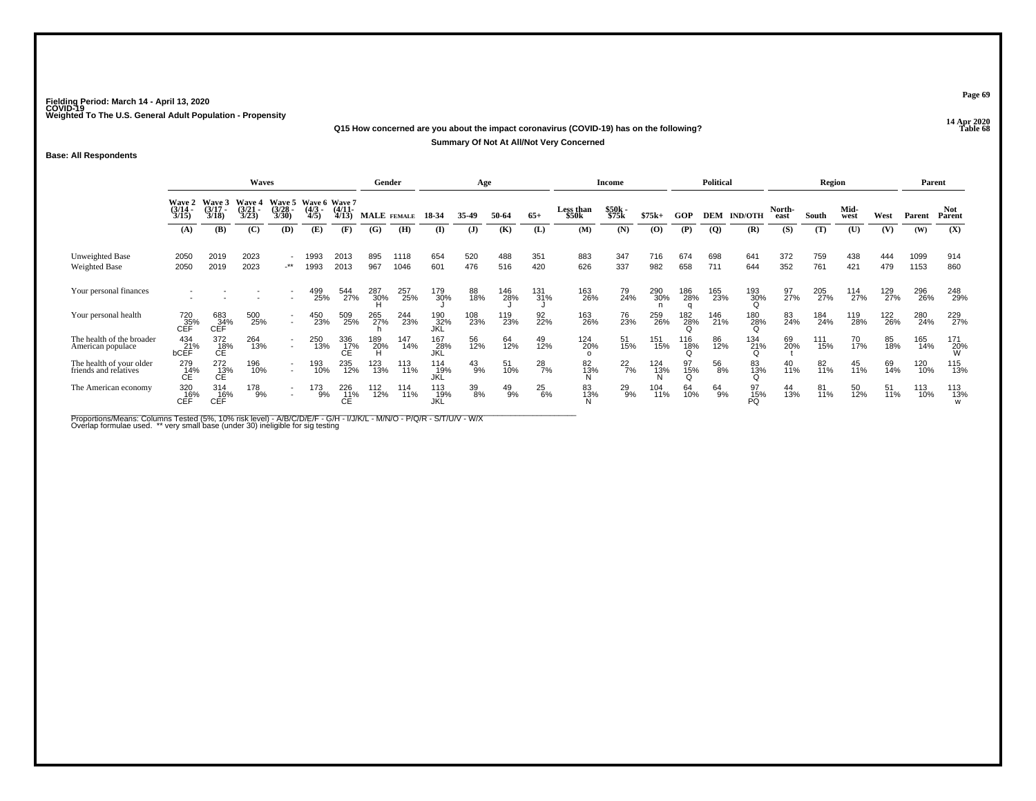#### **14 Apr 2020 Q15 How concerned are you about the impact coronavirus (COVID-19) has on the following?Table 68 Summary Of Not At All/Not Very Concerned**

## **Base: All Respondents**

|                                                   | Waves                                  |                                 |                                 |                                |                     |                                        |            | Gender       |                    | Age           |               |               |                    | Income         |            |            | <b>Political</b> |                |                 | Region     |              |            |              | Parent          |
|---------------------------------------------------|----------------------------------------|---------------------------------|---------------------------------|--------------------------------|---------------------|----------------------------------------|------------|--------------|--------------------|---------------|---------------|---------------|--------------------|----------------|------------|------------|------------------|----------------|-----------------|------------|--------------|------------|--------------|-----------------|
|                                                   | <b>Wave 2</b><br>$\frac{(3/14)}{3/15}$ | Wave 3<br>$\frac{(3/17)}{3/18}$ | Wave 4<br>$\frac{(3/21)}{3/23}$ | Wave 5<br>$\binom{3/28}{3/30}$ | $\frac{(4/3)}{4/5}$ | Wave 6 Wave 7<br>$\frac{(4/11)}{4/13}$ |            | MALE FEMALE  | 18-34              | 35-49         | 50-64         | $65+$         | Less than<br>\$50k | \$50k<br>\$75k | $$75k+$    | GOP        | <b>DEM</b>       | <b>IND/OTH</b> | North-<br>east  | South      | Mid-<br>west | West       | Parent       | Not.<br>Parent  |
|                                                   | (A)                                    | (B)                             | (C)                             | (D)                            | (E)                 | (F)                                    | (G)        | (H)          | (I)                | (J)           | (K)           | (L)           | (M)                | (N)            | (0)        | (P)        | $\boldsymbol{Q}$ | (R)            | (S)             | (T)        | (U)          | (V)        | (W)          | (X)             |
| Unweighted Base<br>Weighted Base                  | 2050<br>2050                           | 2019<br>2019                    | 2023<br>2023                    | $.**$                          | 1993<br>1993        | 2013<br>2013                           | 895<br>967 | 1118<br>1046 | 654<br>601         | 520<br>476    | 488<br>516    | 351<br>420    | 883<br>626         | 347<br>337     | 716<br>982 | 674<br>658 | 698<br>711       | 641<br>644     | 372<br>352      | 759<br>761 | 438<br>421   | 444<br>479 | 1099<br>1153 | 914<br>860      |
| Your personal finances                            |                                        |                                 |                                 |                                | 499<br>25%          | 544<br>27%                             | 287<br>30% | 257<br>25%   | 179<br>30%         | 88<br>18%     | 146<br>28%    | 131<br>31%    | 163<br>26%         | 79<br>24%      | 290<br>30% | 186<br>28% | 165<br>23%       | 193<br>30%     | 97 <sub>%</sub> | 205<br>27% | 114<br>27%   | 129<br>27% | 296<br>26%   | 248<br>29%      |
| Your personal health                              | 720<br>35%<br>CEF                      | 683<br>C <sub>EFT</sub>         | 500<br>25%                      |                                | 450<br>23%          | 509<br>25%                             | 265<br>27% | 244<br>23%   | 190<br>_32%<br>JKL | 108<br>23%    | 119<br>23%    | 92<br>22%     | 163<br>26%         | 76<br>23%      | 259<br>26% | 182<br>28% | 146<br>21%       | 180<br>28%     | 83<br>24%       | 184<br>24% | 119<br>28%   | 122<br>26% | 280<br>24%   | 229<br>27%      |
| The health of the broader<br>American populace    | 434<br>21%<br><b>bCEF</b>              | 372<br>18%<br>СÉ                | 264<br>13%                      | $\overline{\phantom{a}}$       | 250<br>13%          | 336<br>17%                             | 189<br>20% | 147<br>14%   | 167<br>28%<br>JKĹ  | 56<br>12%     | 64<br>12%     | 49<br>12%     | 124<br>20%         | 51<br>15%      | 151<br>15% | 116<br>18% | 86<br>12%        | 134<br>21%     | 69<br>20%       | 111<br>15% | 70<br>17%    | 85<br>18%  | 165<br>14%   | 171<br>20%<br>W |
| The health of your older<br>friends and relatives | 279<br>14%                             | 272<br>13%<br>СÉ                | 196<br>10%                      |                                | 193<br>10%          | 235<br>12%                             | 123<br>13% | 113<br>11%   | 114<br>19%<br>JKĹ  | $^{43}_{9\%}$ | 51<br>10%     | $^{28}_{7\%}$ | 82<br>13%          | $^{22}_{7\%}$  | 124<br>13% | 15%        | 56<br>8%         | 83<br>13%      | 40<br>11%       | 82<br>11%  | 45<br>11%    | 69<br>14%  | 120<br>10%   | 115<br>13%      |
| The American economy                              | $\underset{\mathsf{CEF}}{320}$         | 314<br>$CEF^*$                  | 178<br>9%                       |                                | 173<br>9%           | $^{226}_{\hbox{C}E}$                   | 112<br>12% | 114<br>11%   | 113<br>_19%<br>JKL | 39<br>8%      | $^{49}_{9\%}$ | 25<br>6%      | 83<br>13%          | 29<br>9%       | 104<br>11% | 64<br>10%  | 64<br>9%         | $^{97}_{15\%}$ | 44<br>13%       | 81<br>11%  | 50<br>12%    | 51<br>11%  | 113<br>10%   | 113<br>13%<br>w |

Proportions/Means: Columns Tested (5%, 10% risk level) - A/B/C/D/E/F - G/H - I/J/K/L - M/N/O - P/Q/R - S/T/U/V - W/X<br>Overlap formulae used. \*\* very small base (under 30) ineligible for sig testing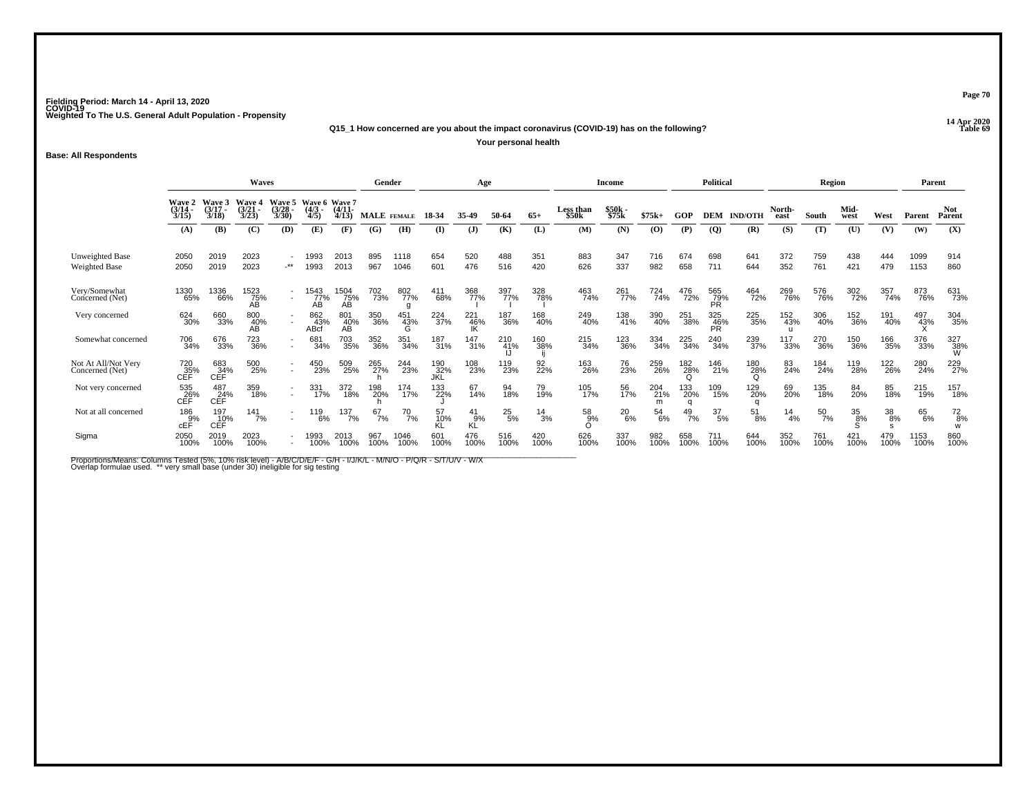**14 Apr 2020 Q15\_1 How concerned are you about the impact coronavirus (COVID-19) has on the following?**

**Your personal health**

**Base: All Respondents**

|                                         | Waves                                       |                             |                                 |                                 |                                      |                       | Gender             |              |                    | Age                   |                 |                 |                           | <b>Income</b>  |                 |                        | <b>Political</b> |                 |                | Region           |              |             | Parent       |                      |
|-----------------------------------------|---------------------------------------------|-----------------------------|---------------------------------|---------------------------------|--------------------------------------|-----------------------|--------------------|--------------|--------------------|-----------------------|-----------------|-----------------|---------------------------|----------------|-----------------|------------------------|------------------|-----------------|----------------|------------------|--------------|-------------|--------------|----------------------|
|                                         | <b>Wave 2</b><br>$\frac{(3/14)}{3/15}$      | Wave 3<br>$(3/17 -$<br>3/18 | Wave 4<br>$\frac{(3/21)}{3/23}$ | Wave 5<br>$\frac{(3/28)}{3/30}$ | Wave 6 Wave 7<br>$\frac{(4/3)}{4/5}$ | $\frac{(4/11)}{4/13}$ | <b>MALE</b> FEMALE |              | 18-34              | 35-49                 | 50-64           | $65+$           | <b>Less than</b><br>\$50k | \$50k<br>\$75k | $$75k+$         | GOP                    | <b>DEM</b>       | <b>IND/OTH</b>  | North-<br>east | South            | Mid-<br>west | West        | Parent       | <b>Not</b><br>Parent |
|                                         | (A)                                         | (B)                         | (C)                             | (D)                             | (E)                                  | (F)                   | (G)                | (H)          | $\bf{I}$           | $\mathbf{J}$          | (K)             | (L)             | (M)                       | (N)            | $\mathbf{(O)}$  | (P)                    | $\overline{Q}$   | (R)             | (S)            | (T)              | (U)          | (V)         | (W)          | (X)                  |
| Unweighted Base<br><b>Weighted Base</b> | 2050<br>2050                                | 2019<br>2019                | 2023<br>2023                    | $\cdot^{\star\star}$            | 1993<br>1993                         | 2013<br>2013          | 895<br>967         | 1118<br>1046 | 654<br>601         | 520<br>476            | 488<br>516      | 351<br>420      | 883<br>626                | 347<br>337     | 716<br>982      | 674<br>658             | 698<br>711       | 641<br>644      | 372<br>352     | 759<br>761       | 438<br>421   | 444<br>479  | 1099<br>1153 | 914<br>860           |
| Very/Somewhat<br>Concerned (Net)        | 1330<br>65%                                 | 1336<br>66%                 | 1523<br>75%<br>AВ               | $\overline{a}$                  | $\frac{1543}{77}\%$<br>AB            | 1504<br>75%<br>AB     | <sup>702</sup> 73% | 802<br>77%   | 411<br>68%         | 368<br>77%            | 397<br>77%      | 328<br>78%      | 463<br>74%                | 261<br>77%     | 724<br>74%      | 476<br>72%             | 565<br>79%<br>PŘ | 464<br>72%      | 269<br>76%     | 576<br>76%       | 302<br>72%   | 357<br>74%  | 873<br>76%   | 631<br>73%           |
| Very concerned                          | 624<br>30%                                  | 660<br>33%                  | 800<br>40%<br>AB                |                                 | 862<br>43%<br>ABcf                   | 801<br>40%<br>AB      | 350<br>36%         | 451<br>43%   | 224<br>37%         | 221<br>$\frac{46}{1}$ | 187<br>36%      | 168<br>40%      | 249<br>40%                | 138<br>41%     | 390<br>40%      | 251<br>38%             | 325<br>46%<br>PR | 225<br>35%      | 152<br>43%     | 306<br>40%       | 152<br>36%   | 191<br>40%  | 497<br>43%   | 304<br>35%           |
| Somewhat concerned                      | 706<br>34%                                  | 676<br>33%                  | 723<br>36%                      | $\overline{a}$                  | 681<br>34%                           | 703<br>35%            | 352<br>36%         | 351<br>34%   | 187<br>31%         | 147<br>31%            | 210<br>41%      | 160<br>38%      | 215<br>34%                | 123<br>36%     | 334<br>34%      | 225<br>34%             | 240<br>34%       | 239<br>37%      | 117<br>33%     | 270<br>36%       | 150<br>36%   | 166<br>35%  | 376<br>33%   | 327<br>38%<br>W      |
| Not At All/Not Very<br>Concerned (Net)  | <sup>720</sup> <sub>35%</sub><br><b>CEF</b> | 683<br>34%<br>CĚF           | 500<br>25%                      | $\overline{\phantom{a}}$        | 450<br>23%                           | 509<br>25%            | 265<br>27%         | 244<br>23%   | 190<br>_32%<br>JKL | 108<br>23%            | 119<br>23%      | 92 <sub>%</sub> | 163<br>26%                | 76<br>23%      | 259<br>26%      | 182<br>28%<br>O        | 146<br>21%       | 180<br>28%<br>Ω | 83<br>24%      | 184<br>24%       | 119<br>28%   | 122<br>26%  | 280<br>24%   | 229<br>27%           |
| Not very concerned                      | 535<br>26%<br>CEF                           | 487<br>CEF                  | 359<br>18%                      | $\overline{\phantom{a}}$        | 331<br>17%                           | 372<br>18%            | 198<br>20%         | 174<br>17%   | 133<br>22%         | 67<br>14%             | 94<br>18%       | 79<br>19%       | 105<br>17%                | 56<br>17%      | 204<br>21%<br>m | 133<br>20%<br>$\Omega$ | 109<br>15%       | 129<br>20%      | 69<br>20%      | 135<br>18%       | 84<br>20%    | 85<br>18%   | 215<br>19%   | 157<br>18%           |
| Not at all concerned                    | 186<br>9%<br>cEF                            | 197<br>10%<br>CEF           | 141<br>7%                       |                                 | 119<br>6%                            | 137<br>7%             | 67<br>7%           | $^{70}$ 7%   | 57<br>10%<br>KĹ    | 41<br>9%<br>KĹ        | $^{25}_{\ 5\%}$ | $\frac{14}{3%}$ | 58<br>9%                  | $^{20}_{6\%}$  | $^{54}_{6\%}$   | $^{49}_{7\%}$          | 37<br>5%         | $^{51}_{8\%}$   | $^{14}_{4\%}$  | $\frac{50}{7\%}$ | 35<br>8%     | 38<br>8%    | 65<br>6%     | $^{72}_{8\%}$<br>W   |
| Sigma                                   | 2050<br>100%                                | 2019<br>100%                | 2023<br>100%                    |                                 | 1993<br>100%                         | 2013<br>100%          | 967<br>100%        | 1046<br>100% | 601<br>100%        | 476<br>100%           | 516<br>100%     | 420<br>100%     | 626<br>100%               | 337<br>100%    | 982<br>100%     | 658<br>100%            | 711<br>100%      | 644<br>100%     | 352<br>100%    | 761<br>100%      | 421<br>100%  | 479<br>100% | 1153<br>100% | 860<br>100%          |

Proportions/Means: Columns Tested (5%, 10% risk level) - A/B/C/D/E/F - G/H - I/J/K/L - M/N/O - P/Q/R - S/T/U/V - W/X<br>Overlap formulae used. \*\* very small base (under 30) ineligible for sig testing

**Page 70**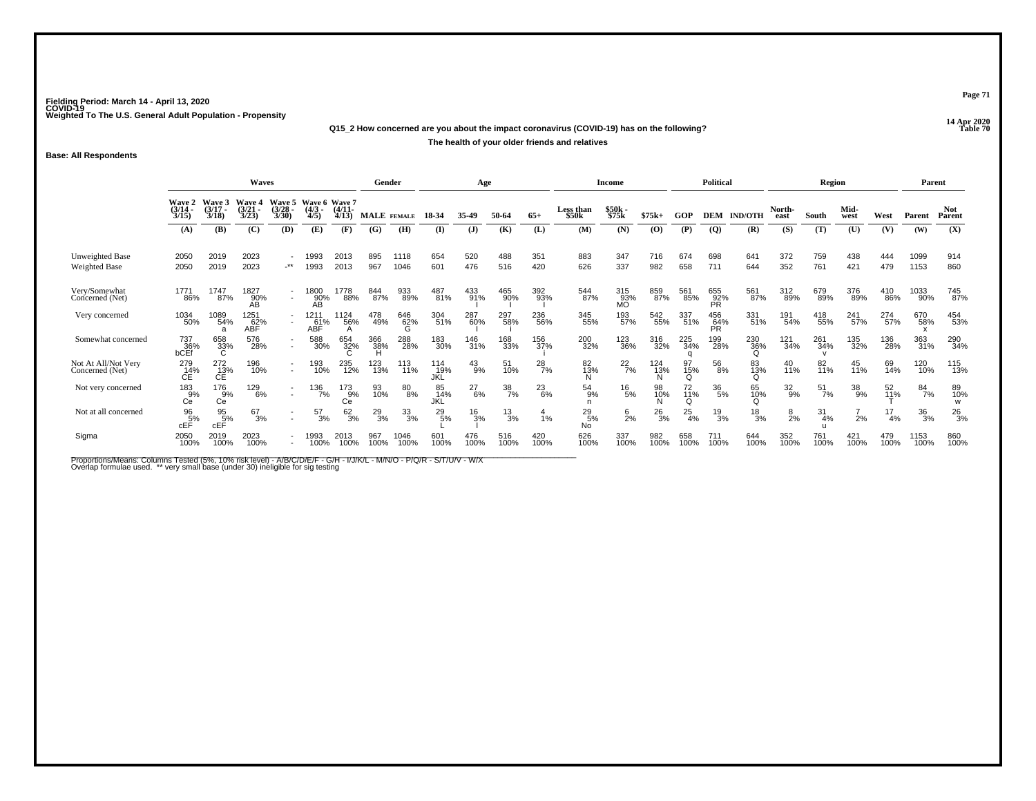## **14 Apr 2020 Q15\_2 How concerned are you about the impact coronavirus (COVID-19) has on the following?The health of your older friends and relatives**

**Base: All Respondents**

|                                        |                                        |                             | <b>Waves</b>                    |                                |                                      |                       | Gender             |              |                   | Age             |                 |               |                     | <b>Income</b>    |                |                        | <b>Political</b> |                 |                 | <b>Region</b>    |               |                   | Parent            |                      |
|----------------------------------------|----------------------------------------|-----------------------------|---------------------------------|--------------------------------|--------------------------------------|-----------------------|--------------------|--------------|-------------------|-----------------|-----------------|---------------|---------------------|------------------|----------------|------------------------|------------------|-----------------|-----------------|------------------|---------------|-------------------|-------------------|----------------------|
|                                        | <b>Wave 2</b><br>$\frac{(3/14)}{3/15}$ | Wave 3<br>$(3/17 -$<br>3/18 | Wave 4<br>$\frac{(3/21)}{3/23}$ | Wave 5<br>$\binom{3/28}{3/30}$ | Wave 6 Wave 7<br>$\frac{(4/3)}{4/5}$ | $\binom{4/11}{4/13}$  | <b>MALE</b> FEMALE |              | 18-34             | 35-49           | 50-64           | $65+$         | Less than<br>\$50k  | \$50k<br>\$75k   | $$75k+$        | GOP                    | <b>DEM</b>       | <b>IND/OTH</b>  | North-<br>east  | South            | Mid-<br>west  | West              | Parent            | <b>Not</b><br>Parent |
|                                        | (A)                                    | (B)                         | (C)                             | (D)                            | (E)                                  | (F)                   | (G)                | (H)          | (I)               | $\mathbf{J}$    | (K)             | (L)           | (M)                 | (N)              | (0)            | (P)                    | (Q)              | (R)             | (S)             | (T)              | (U)           | (V)               | (W)               | (X)                  |
| Unweighted Base<br>Weighted Base       | 2050<br>2050                           | 2019<br>2019                | 2023<br>2023                    | $\cdot^{\star\star}$           | 1993<br>1993                         | 2013<br>2013          | 895<br>967         | 1118<br>1046 | 654<br>601        | 520<br>476      | 488<br>516      | 351<br>420    | 883<br>626          | 347<br>337       | 716<br>982     | 674<br>658             | 698<br>711       | 641<br>644      | 372<br>352      | 759<br>761       | 438<br>421    | 444<br>479        | 1099<br>1153      | 914<br>860           |
| Very/Somewhat<br>Concerned (Net)       | 177'<br>86%                            | 1747<br>87%                 | 1827<br>90%<br>AВ               | $\sim$                         | 1800<br>90%<br>AВ                    | 1778<br>88%           | 844<br>87%         | 933<br>89%   | 487<br>81%        | 433<br>91%      | 465<br>90%      | 392<br>93%    | 544<br>87%          | 315<br>93%<br>MO | 859<br>87%     | 561<br>85%             | 655<br>92%<br>PR | 561<br>87%      | 312<br>89%      | 679<br>89%       | 376<br>89%    | 410<br>86%        | 1033<br>90%       | 745<br>87%           |
| Very concerned                         | 1034<br>50%                            | 1089<br>54%                 | 1251<br>ABF                     |                                | 1211<br>61%<br>ABF                   | 1124<br>56%           | 478<br>49%         | 646<br>62%   | 304<br>51%        | 287<br>60%      | 297<br>58%      | 236<br>56%    | 345<br>55%          | 193<br>57%       | 542<br>55%     | 337<br>51%             | 456<br>64%<br>PR | 331<br>51%      | 191<br>54%      | 418<br>55%       | 241<br>57%    | 274<br>57%        | 670<br>58%        | 454<br>53%           |
| Somewhat concerned                     | 737<br>36%<br>bCEf                     | 658<br>33%<br>C             | 576<br>28%                      | $\overline{\phantom{a}}$       | 588<br>30%                           | 654<br>32%            | 366<br>38%         | 288<br>28%   | 183<br>30%        | 146<br>31%      | 168<br>33%      | 156<br>37%    | 200<br>32%          | 123<br>36%       | 316<br>32%     | 225<br>34%<br>$\Omega$ | 199<br>28%       | 230<br>36%<br>O | 121<br>34%      | 261<br>34%       | 135<br>32%    | 136<br>28%        | 363<br>31%        | 290<br>34%           |
| Not At All/Not Very<br>Concerned (Net) | 279<br>14%<br>СE                       | 272<br>13%<br>СÉ            | 196<br>10%                      |                                | 193<br>10%                           | 235<br>12%            | 123%               | 113<br>11%   | 114<br>19%<br>JKL | $^{43}_{9\%}$   | 51<br>10%       | $^{28}_{7\%}$ | 82<br>13%           | $^{22}_{7\%}$    | 124<br>13%     | 97<br>15%<br>Q         | 56<br>8%         | 83<br>13%       | 40<br>11%       | 82<br>11%        | 45<br>11%     | 69<br>14%         | 120 <sub>0%</sub> | 115<br>13%           |
| Not very concerned                     | 183<br>9%<br>Сé                        | 176<br>9%<br>Сē             | 129<br>6%                       |                                | $\frac{136}{7\%}$                    | $^{173}_{9\%}$<br>Cē. | 93<br>10%          | 80<br>8%     | 85<br>14%<br>JKĽ  | $^{27}_{6\%}$   | $\frac{38}{7%}$ | $^{23}_{6\%}$ | 54<br>9%            | $^{16}_{\ 5\%}$  | 98<br>10%<br>N | 72<br>11%<br>Ω         | 36<br>5%         | 65<br>10%       | $\frac{32}{9%}$ | $\frac{51}{7\%}$ | $^{38}_{9\%}$ | $\frac{52}{11\%}$ | 84<br>7%          | 89<br>10%            |
| Not at all concerned                   | 96<br>5%<br>cEF                        | $\frac{95}{5%}$<br>cEF      | 67<br>3%                        |                                | 57<br>3%                             | 62/3%                 | $^{29}_{3\%}$      | 33<br>3%     | $^{29}_{\ 5\%}$   | $\frac{16}{3%}$ | $\frac{13}{3%}$ | 1%            | $^{29}_{5\%}$<br>No | $\frac{6}{2}$ %  | $^{26}_{3%}$   | $^{25}_{4\%}$          | $\frac{19}{3%}$  | $\frac{18}{3%}$ | $\frac{8}{2\%}$ | 31<br>4%         | 2%            | 17<br>4%          | $\frac{36}{3%}$   | $^{26}_{3%}$         |
| Sigma                                  | 2050<br>100%                           | 2019<br>100%                | 2023<br>100%                    |                                | 1993<br>100%                         | 2013<br>100%          | 967<br>100%        | 1046<br>100% | 601<br>100%       | 476<br>100%     | 516<br>100%     | 420<br>100%   | 626<br>100%         | 337<br>100%      | 982<br>100%    | 658<br>100%            | 711<br>100%      | 644<br>100%     | 352<br>100%     | 761<br>100%      | 421<br>100%   | 479<br>100%       | 1153<br>100%      | 860<br>100%          |

Proportions/Means: Columns Tested (5%, 10% risk level) - A/B/C/D/E/F - G/H - I/J/K/L - M/N/O - P/Q/R - S/T/U/V - W/X<br>Overlap formulae used. \*\* very small base (under 30) ineligible for sig testing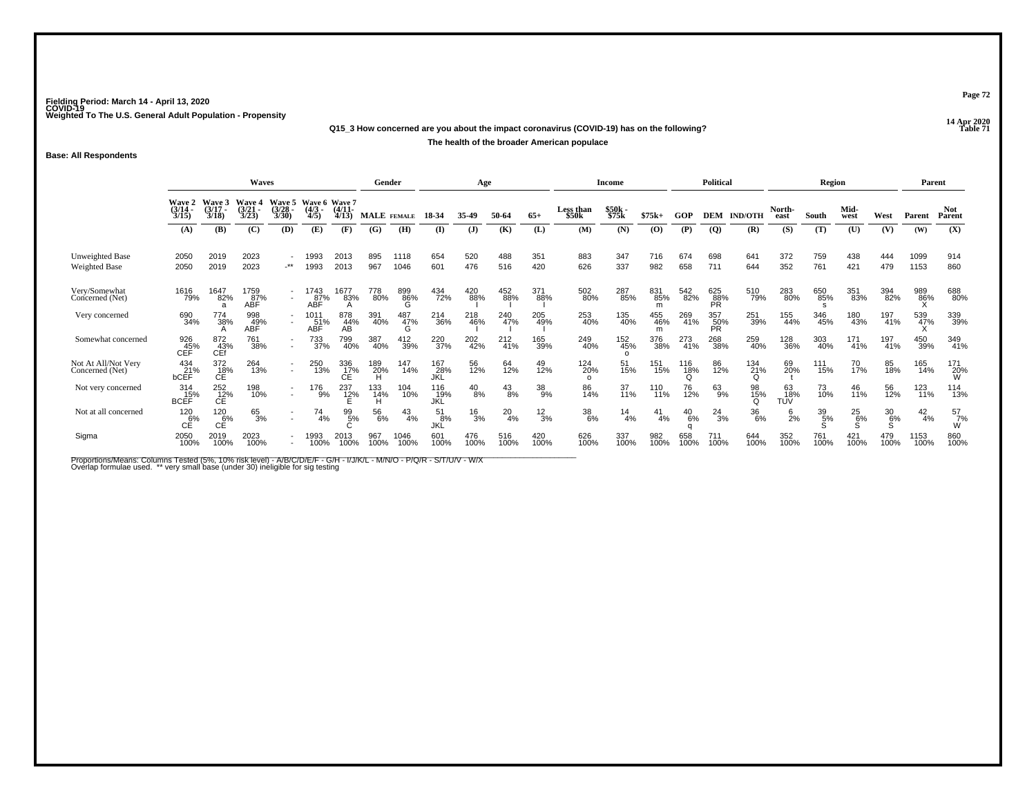**14 Apr 2020 Q15\_3 How concerned are you about the impact coronavirus (COVID-19) has on the following?The health of the broader American populace**

**Base: All Respondents**

|                                        |                                        |                                                   | Waves                                  |                                 |                               |                                    | Gender             |                 |                     | Age           |                 |                 |                           | Income                 |                 |                 | <b>Political</b>        |                |                    | Region                     |               |               | Parent        |                       |
|----------------------------------------|----------------------------------------|---------------------------------------------------|----------------------------------------|---------------------------------|-------------------------------|------------------------------------|--------------------|-----------------|---------------------|---------------|-----------------|-----------------|---------------------------|------------------------|-----------------|-----------------|-------------------------|----------------|--------------------|----------------------------|---------------|---------------|---------------|-----------------------|
|                                        | <b>Wave 2</b><br>$\frac{(3/14)}{3/15}$ | Wave 3<br>$(3/17 -$<br>3/18                       | <b>Wave 4</b><br>$\frac{(3/21)}{3/23}$ | Wave 5<br>$\frac{(3/28)}{3/30}$ | Wave 6<br>$\frac{(4/3)}{4/5}$ | <b>Wave 7</b><br>$(4/11 -$<br>4/13 | <b>MALE</b> FEMALE |                 | 18-34               | 35-49         | 50-64           | $65+$           | <b>Less than</b><br>\$50k | \$50k<br>\$75k         | $$75k+$         | GOP             | <b>DEM</b>              | <b>IND/OTH</b> | North-<br>east     | South                      | Mid-<br>west  | West          | Parent        | <b>Not</b><br>Parent  |
|                                        | (A)                                    | (B)                                               | (C)                                    | (D)                             | (E)                           | (F)                                | (G)                | (H)             | $($ I               | (J)           | (K)             | (L)             | (M)                       | (N)                    | (0)             | (P)             | <b>(Q)</b>              | (R)            | (S)                | (T)                        | (U)           | (V)           | (W)           | (X)                   |
| Unweighted Base<br>Weighted Base       | 2050<br>2050                           | 2019<br>2019                                      | 2023<br>2023                           | $\cdot$ **                      | 1993<br>1993                  | 2013<br>2013                       | 895<br>967         | 1118<br>1046    | 654<br>601          | 520<br>476    | 488<br>516      | 351<br>420      | 883<br>626                | 347<br>337             | 716<br>982      | 674<br>658      | 698<br>711              | 641<br>644     | 372<br>352         | 759<br>761                 | 438<br>421    | 444<br>479    | 1099<br>1153  | 914<br>860            |
| Very/Somewhat<br>Concerned (Net)       | 1616<br>79%                            | 1647<br>82%<br>a                                  | 1759<br>87%<br>ABF                     |                                 | 1743<br>8 <u>7</u> %<br>ABF   | 1677<br>83%                        | 778<br>80%         | 899<br>86%<br>Ġ | 434<br>72%          | 420<br>88%    | 452<br>88%      | 371<br>88%      | 502<br>80%                | 287<br>85%             | 831<br>85%<br>m | 542<br>82%      | 625<br>88%<br><b>PR</b> | 510<br>79%     | 283<br>80%         | 650<br>85%<br><sub>S</sub> | 351<br>83%    | 394<br>82%    | 989<br>86%    | 688<br>80%            |
| Very concerned                         | 690<br>34%                             | 774<br>38%                                        | 998<br>ABF                             |                                 | 1011<br>ABF                   | 878<br>44%<br>AB                   | 391<br>40%         | 487<br>47%<br>G | 214<br>36%          | 218<br>46%    | 240<br>47%      | 205<br>49%      | 253<br>40%                | 135<br>40%             | 455<br>46%<br>m | 269<br>41%      | 357<br>50%<br>PR        | 251<br>39%     | 155<br>44%         | 346<br>45%                 | 180<br>43%    | 197<br>41%    | 539<br>47%    | 339<br>39%            |
| Somewhat concerned                     | 926<br>45%<br>CEF                      | 872<br>43%<br>CEf                                 | 761<br>38%                             |                                 | 733<br>37%                    | 799<br>40%                         | 387<br>40%         | 412<br>39%      | 220<br>37%          | 202<br>42%    | $^{212}_{41\%}$ | 165<br>39%      | 249<br>40%                | 152<br>45%<br>$\Omega$ | 376<br>38%      | 273<br>41%      | 268<br>38%              | 259<br>40%     | 128<br>36%         | 303<br>40%                 | 171<br>41%    | 197<br>41%    | 450<br>39%    | 349<br>41%            |
| Not At All/Not Very<br>Concerned (Net) | 434<br>21%<br>bCEF                     | $^{372}_{\phantom{18\%} \phantom{18\%}}_{\rm CE}$ | 264<br>13%                             | $\overline{\phantom{a}}$        | 250<br>13%                    | 336<br>17%                         | 189<br>20%         | 147<br>14%      | 167<br>28%<br>JKL   | 56<br>12%     | 64<br>12%       | 49<br>12%       | 124<br>20%<br>$\Omega$    | 51<br>15%              | 151<br>15%      | 116<br>18%<br>Ω | 86<br>12%               | 134<br>21%     | 69<br>20%          | $^{111}_{15\%}$            | 70<br>17%     | 85<br>18%     | 165<br>14%    | 171<br>20%<br>W       |
| Not very concerned                     | 314<br>BCEF                            | $^{252}_{\hbox{C}\hbox{E}}$                       | 198<br>10%                             |                                 | 176<br>9%                     | 237<br>$-12\%$                     | 133<br>14%         | 104<br>10%      | 116<br>- 19%<br>JKL | $^{40}_{8\%}$ | $^{43}_{8\%}$   | 38<br>9%        | 86<br>14%                 | 37<br>11%              | 110<br>11%      | 76<br>12%       | 63<br>9%                | 98<br>15%      | 63<br>- 18%<br>TUV | 73<br>10%                  | 46<br>11%     | 56<br>12%     | 123<br>11%    | 114<br>13%            |
| Not at all concerned                   | 120<br>6%<br>СE                        | 120<br>6%<br>CÉ                                   | 65<br>3%                               |                                 | 74<br>4%                      | 99<br>5%                           | 56<br>6%           | $^{43}_{4\%}$   | 51<br>8%<br>JKL     | $^{16}_{3\%}$ | $^{20}_{4\%}$   | $\frac{12}{3%}$ | $\frac{38}{6\%}$          | $\frac{14}{4%}$        | 41<br>4%        | $^{40}_{6\%}$   | $^{24}_{3\%}$           | 36<br>6%       | $^{6}_{2\%}$       | 39<br>5%                   | $^{25}_{6\%}$ | $^{30}_{6\%}$ | $^{42}_{4\%}$ | $\frac{57}{7}\%$<br>W |
| Sigma                                  | 2050<br>100%                           | 2019<br>100%                                      | 2023<br>100%                           |                                 | 1993<br>100%                  | 2013<br>100%                       | 967<br>100%        | 1046<br>100%    | 601<br>100%         | 476<br>100%   | 516<br>100%     | 420<br>100%     | 626<br>100%               | 337<br>100%            | 982<br>100%     | 658<br>100%     | 711<br>100%             | 644<br>100%    | 352<br>100%        | 761<br>100%                | 421<br>100%   | 479<br>100%   | 1153<br>100%  | 860<br>100%           |

Proportions/Means: Columns Tested (5%, 10% risk level) - A/B/C/D/E/F - G/H - I/J/K/L - M/N/O - P/Q/R - S/T/U/V - W/X<br>Overlap formulae used. \*\* very small base (under 30) ineligible for sig testing

**Page 72**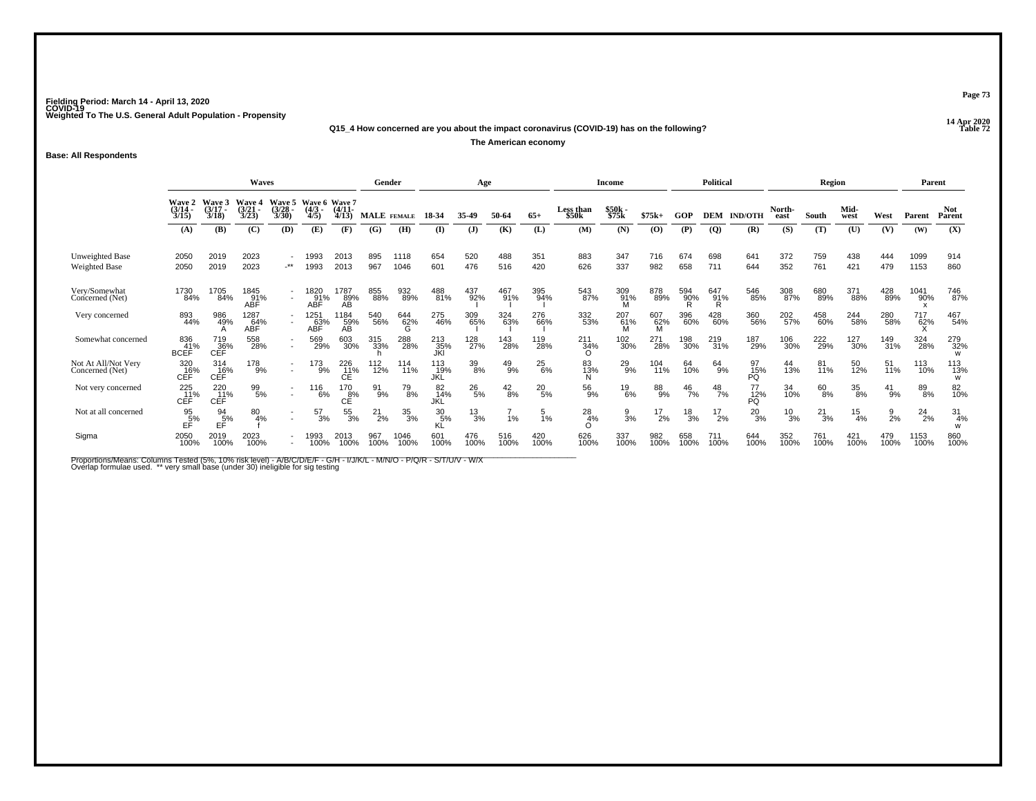**14 Apr 2020 Q15\_4 How concerned are you about the impact coronavirus (COVID-19) has on the following?**

**The American economy**

**Base: All Respondents**

|                                         |                                                                                                                                                                                                                                                            |                   | Gender             |                      |                    | Age                                |                                |                 |                        | <b>Income</b> |                 |               | <b>Political</b>       |                 |                             | Region          |                 |                 | Parent         |               |                  |                |               |                       |
|-----------------------------------------|------------------------------------------------------------------------------------------------------------------------------------------------------------------------------------------------------------------------------------------------------------|-------------------|--------------------|----------------------|--------------------|------------------------------------|--------------------------------|-----------------|------------------------|---------------|-----------------|---------------|------------------------|-----------------|-----------------------------|-----------------|-----------------|-----------------|----------------|---------------|------------------|----------------|---------------|-----------------------|
|                                         | Wave 3<br>Wave 5<br><b>Wave 6</b><br><b>Wave 2</b><br><b>Wave 7</b><br>Wave 4<br>$\frac{(3/14)}{3/15}$<br>$(3/17 -$<br>$\binom{4/11}{4/13}$<br>$\frac{(3/21)}{3/23}$<br>(3/28 -<br>3/30)<br>$\frac{(4/3)}{4/5}$<br>3/18<br>(B)<br>(C)<br>(D)<br>(E)<br>(A) |                   |                    |                      |                    |                                    | <b>MALE</b> FEMALE             |                 | 18-34                  | 35-49         | 50-64           | $65+$         | Less than<br>\$50k     | \$50k<br>\$75k  | $$75k+$                     | GOP             | <b>DEM</b>      | <b>IND/OTH</b>  | North-<br>east | South         | Mid-<br>west     | West           | Parent        | <b>Not</b><br>Parent  |
|                                         |                                                                                                                                                                                                                                                            |                   |                    |                      |                    | (F)                                | (G)                            | (H)             | (I)                    | $\mathbf{J}$  | (K)             | (L)           | (M)                    | (N)             | $\boldsymbol{\mathrm{(O)}}$ | (P)             | $\overline{Q}$  | (R)             | (S)            | (T)           | (U)              | (V)            | (W)           | (X)                   |
| Unweighted Base<br><b>Weighted Base</b> | 2050<br>2050                                                                                                                                                                                                                                               | 2019<br>2019      | 2023<br>2023       | $\cdot^{\star\star}$ | 1993<br>1993       | 2013<br>2013                       | 895<br>967                     | 1118<br>1046    | 654<br>601             | 520<br>476    | 488<br>516      | 351<br>420    | 883<br>626             | 347<br>337      | 716<br>982                  | 674<br>658      | 698<br>711      | 641<br>644      | 372<br>352     | 759<br>761    | 438<br>421       | 444<br>479     | 1099<br>1153  | 914<br>860            |
| Very/Somewhat<br>Concerned (Net)        | 1730<br>84%                                                                                                                                                                                                                                                | 1705<br>84%       | 1845<br>91%<br>ABF | $\sim$               | 1820<br>91%<br>ABF | 1787<br>89%<br>ΑB                  | 855<br>88%                     | 932<br>89%      | 488<br>81%             | 437<br>92%    | 467<br>91%      | 395<br>94%    | 543<br>87%             | 309<br>91%<br>M | 878<br>89%                  | 594<br>90%      | 647<br>91%<br>R | 546<br>85%      | 308<br>87%     | 680<br>89%    | 371<br>88%       | 428<br>89%     | 1041<br>90%   | 746<br>87%            |
| Very concerned                          | 893<br>44%                                                                                                                                                                                                                                                 | 986<br>49%        | 1287<br>64%<br>ABF |                      | 1251<br>63%<br>ABF | 1184<br>59%<br>AB                  | 540<br>56%                     | 644<br>62%<br>G | 275<br>46%             | 309<br>65%    | 324<br>63%      | 276<br>66%    | 332<br>53%             | 207<br>61%      | 607<br>62%                  | 396<br>60%      | 428<br>60%      | 360<br>56%      | 202<br>57%     | 458<br>60%    | 244<br>58%       | 280<br>58%     | 717<br>62%    | 467<br>54%            |
| Somewhat concerned                      | 836<br>41%<br><b>BCEF</b>                                                                                                                                                                                                                                  | 719<br>36%<br>CEF | 558<br>28%         | $\overline{a}$       | 569<br>29%         | 603<br>30%                         | 315<br>33%                     | 288<br>28%      | 213<br>35%             | 128<br>27%    | 143<br>28%      | 119<br>28%    | 211<br>34%<br>$\Omega$ | 102<br>30%      | 271<br>28%                  | 198<br>30%      | 219<br>31%      | 187<br>29%      | 106<br>30%     | 222<br>29%    | 127<br>30%       | 149<br>31%     | 324<br>28%    | 279<br>32%<br>W       |
| Not At All/Not Very<br>Concerned (Net)  | 320<br>16%<br>CEF                                                                                                                                                                                                                                          | 314<br>16%<br>CEF | 178<br>9%          |                      | 173<br>9%          | 226<br>11%                         | <sup>112</sup> <sub>12</sub> % | 114<br>11%      | 113<br>19%<br>JKĹ      | $39\!\%$      | $^{49}_{9\%}$   | $^{25}_{6\%}$ | 83<br>13%              | $^{29}_{9%}$    | 104<br>11%                  | 64<br>10%       | $64_{9\%}$      | 97<br>15%<br>PQ | 44<br>13%      | 81<br>11%     | 50<br>12%        | 51<br>11%      | 113<br>10%    | 113<br>13%<br>W       |
| Not very concerned                      | 225<br>_11%<br>CEF                                                                                                                                                                                                                                         | 220<br>11%<br>CEF | $^{99}_{5\%}$      |                      | 116<br>6%          | 170<br>$c^{\text{g}\%}_{\text{E}}$ | 91<br>9%                       | 79<br>8%        | 82<br>14%<br>JKL       | $^{26}_{5\%}$ | $\frac{42}{8%}$ | $^{20}_{5\%}$ | $^{56}_{9\%}$          | $^{19}_{6\%}$   | 88<br>9%                    | $^{46}_{7\%}$   | $^{48}_{7\%}$   | 77<br>12%<br>PQ | 34<br>10%      | 60<br>8%      | 35<br>8%         | $^{41}_{9\%}$  | 89<br>8%      | 82<br>10%             |
| Not at all concerned                    | $\frac{95}{5\%}$<br>ЕĖ                                                                                                                                                                                                                                     | 94<br>5%<br>EĖ    | 80<br>4%           |                      | $^{57}_{3\%}$      | 55<br>3%                           | 21<br>2%                       | 35<br>3%        | $\frac{30}{5\%}$<br>KĹ | $^{13}_{3\%}$ | 1%              | 5<br>1%       | 28<br>4%               | $\frac{9}{3%}$  | $^{17}_{2\%}$               | $\frac{18}{3%}$ | $^{17}_{2\%}$   | $^{20}_{3\%}$   | $^{10}_{3\%}$  | $^{21}_{3\%}$ | $\frac{15}{4\%}$ | $\frac{9}{2%}$ | $^{24}_{2\%}$ | $\frac{31}{4\%}$<br>W |
| Sigma                                   | 2050<br>100%                                                                                                                                                                                                                                               | 2019<br>100%      | 2023<br>100%       |                      | 1993<br>100%       | 2013<br>100%                       | 967<br>100%                    | 1046<br>100%    | 601<br>100%            | 476<br>100%   | 516<br>100%     | 420<br>100%   | 626<br>100%            | 337<br>100%     | 982<br>100%                 | 658<br>100%     | 711<br>100%     | 644<br>100%     | 352<br>100%    | 761<br>100%   | 421<br>100%      | 479<br>100%    | 1153<br>100%  | 860<br>100%           |

Proportions/Means: Columns Tested (5%, 10% risk level) - A/B/C/D/E/F - G/H - I/J/K/L - M/N/O - P/Q/R - S/T/U/V - W/X<br>Overlap formulae used. \*\* very small base (under 30) ineligible for sig testing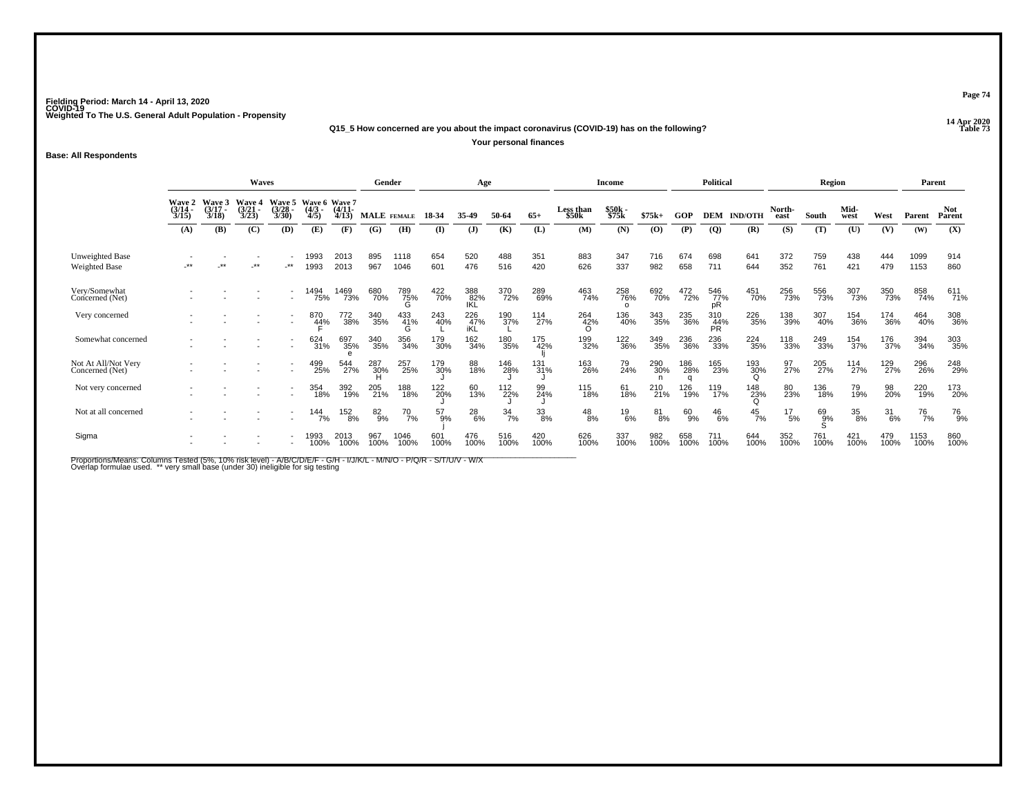**14 Apr 2020 Q15\_5 How concerned are you about the impact coronavirus (COVID-19) has on the following?**

**Your personal finances**

**Base: All Respondents**

|                                         |                                 | <b>Waves</b>                |                                |                                 |                                      | Gender                |                    |                 | Age         |                     |                  |                 | <b>Income</b>             |                |                | <b>Political</b>       |                  |                 | Region          |             |                  | Parent            |              |                      |
|-----------------------------------------|---------------------------------|-----------------------------|--------------------------------|---------------------------------|--------------------------------------|-----------------------|--------------------|-----------------|-------------|---------------------|------------------|-----------------|---------------------------|----------------|----------------|------------------------|------------------|-----------------|-----------------|-------------|------------------|-------------------|--------------|----------------------|
|                                         | Wave 2<br>$\frac{(3/14)}{3/15}$ | Wave 3<br>$(3/17 -$<br>3/18 | Wave 4<br>$\binom{3/21}{3/23}$ | Wave 5<br>$\frac{(3/28)}{3/30}$ | Wave 6 Wave 7<br>$\frac{(4/3)}{4/5}$ | $\frac{(4/11)}{4/13}$ | <b>MALE</b> FEMALE |                 | 18-34       | 35.49               | 50-64            | $65+$           | <b>Less than</b><br>\$50k | \$50k<br>\$75k | $$75k+$        | GOP                    | <b>DEM</b>       | <b>IND/OTH</b>  | North-<br>east  | South       | Mid-<br>west     | West              | Parent       | <b>Not</b><br>Parent |
|                                         | (A)                             | (B)                         | (C)                            | (D)                             | (E)                                  | (F)                   | (G)                | (H)             | (I)         | $\mathbf{J}$        | (K)              | (L)             | (M)                       | (N)            | $\mathbf{(O)}$ | (P)                    | $\overline{Q}$   | (R)             | (S)             | (T)         | (U)              | (V)               | (W)          | (X)                  |
| Unweighted Base<br><b>Weighted Base</b> | -**                             | $***$                       | -**                            | $\cdot^{\star\star}$            | 1993<br>1993                         | 2013<br>2013          | 895<br>967         | 1118<br>1046    | 654<br>601  | 520<br>476          | 488<br>516       | 351<br>420      | 883<br>626                | 347<br>337     | 716<br>982     | 674<br>658             | 698<br>711       | 641<br>644      | 372<br>352      | 759<br>761  | 438<br>421       | 444<br>479        | 1099<br>1153 | 914<br>860           |
| Very/Somewhat<br>Concerned (Net)        |                                 |                             |                                | $\overline{a}$                  | 1494<br>75%                          | 1469<br>73%           | 680<br>70%         | 789<br>75%<br>G | 422<br>70%  | 388<br>82%<br>IKL   | 370<br>72%       | 289<br>69%      | 463<br>74%                | 258<br>76%     | 692<br>70%     | 472<br>72%             | 546<br>77%<br>pR | 451<br>70%      | 256<br>73%      | 556<br>73%  | 307<br>73%       | 350<br>73%        | 858<br>74%   | 611<br>71%           |
| Very concerned                          |                                 |                             |                                | $\overline{\phantom{a}}$        | 870<br>4 <u>4</u> %                  | 772<br>38%            | 340<br>35%         | 433<br>41%      | 243<br>40%  | $^{226}_{47\%}$ iKL | 190<br>37%       | 114<br>27%      | 264<br>42%                | 136<br>40%     | 343<br>35%     | 235<br>36%             | 310<br>44%<br>PR | 226<br>35%      | 138<br>39%      | 307<br>40%  | 154<br>36%       | 174<br>36%        | 464<br>40%   | 308<br>36%           |
| Somewhat concerned                      |                                 |                             |                                | $\overline{\phantom{a}}$        | 624<br>31%                           | 697<br>35%            | 340<br>35%         | 356<br>34%      | 179<br>30%  | 162<br>34%          | 180<br>35%       | 175<br>42%      | 199<br>32%                | 122<br>36%     | 349<br>35%     | 236<br>36%             | 236<br>33%       | 224<br>35%      | 118<br>33%      | 249<br>33%  | 154<br>37%       | 176<br>37%        | 394<br>34%   | 303<br>35%           |
| Not At All/Not Very<br>Concerned (Net)  |                                 |                             |                                | $\overline{\phantom{a}}$        | 499<br>25%                           | 544<br>27%            | 287<br>30%         | 257<br>25%      | 179<br>30%  | 88<br>18%           | 146<br>28%       | $^{131}_{31\%}$ | 163<br>26%                | 79<br>24%      | 290<br>30%     | 186<br>28%<br>$\Omega$ | 165<br>23%       | 193<br>30%<br>Ω | 97 <sub>%</sub> | 205<br>27%  | 114<br>27%       | 129 <sub>7%</sub> | 296<br>26%   | 248<br>29%           |
| Not very concerned                      |                                 |                             |                                | $\blacksquare$                  | 354<br>18%                           | 392<br>19%            | 205<br>21%         | 188<br>18%      | 122<br>20%  | 60<br>13%           | 112<br>22%       | 99<br>24%       | 115<br>18%                | 61<br>18%      | 210<br>21%     | 126<br>19%             | 119<br>17%       | 148<br>23%      | 80<br>23%       | 136<br>18%  | 79<br>19%        | 98<br>20%         | 220<br>19%   | 173<br>20%           |
| Not at all concerned                    |                                 |                             |                                |                                 | 144<br>7%                            | 152<br>8%             | 82<br>9%           | $^{70}$ 7%      | 57<br>9%    | $^{28}_{6\%}$       | $\frac{34}{7\%}$ | $33\over 8\%$   | $^{48}_{8\%}$             | $^{19}_{6\%}$  | 81<br>8%       | 60<br>9%               | $^{46}_{6\%}$    | $^{45}_{7\%}$   | $^{17}_{\ 5\%}$ | 69<br>9%    | $\frac{35}{8\%}$ | $\frac{31}{6\%}$  | 76<br>7%     | 76<br>9%             |
| Sigma                                   |                                 |                             |                                |                                 | 1993<br>100%                         | 2013<br>100%          | 967<br>100%        | 1046<br>100%    | 601<br>100% | 476<br>100%         | 516<br>100%      | 420<br>100%     | 626<br>100%               | 337<br>100%    | 982<br>100%    | 658<br>100%            | 711<br>100%      | 644<br>100%     | 352<br>100%     | 761<br>100% | 421<br>100%      | 479<br>100%       | 1153<br>100% | 860<br>100%          |

Proportions/Means: Columns Tested (5%, 10% risk level) - A/B/C/D/E/F - G/H - I/J/K/L - M/N/O - P/Q/R - S/T/U/V - W/X<br>Overlap formulae used. \*\* very small base (under 30) ineligible for sig testing

**Page 74**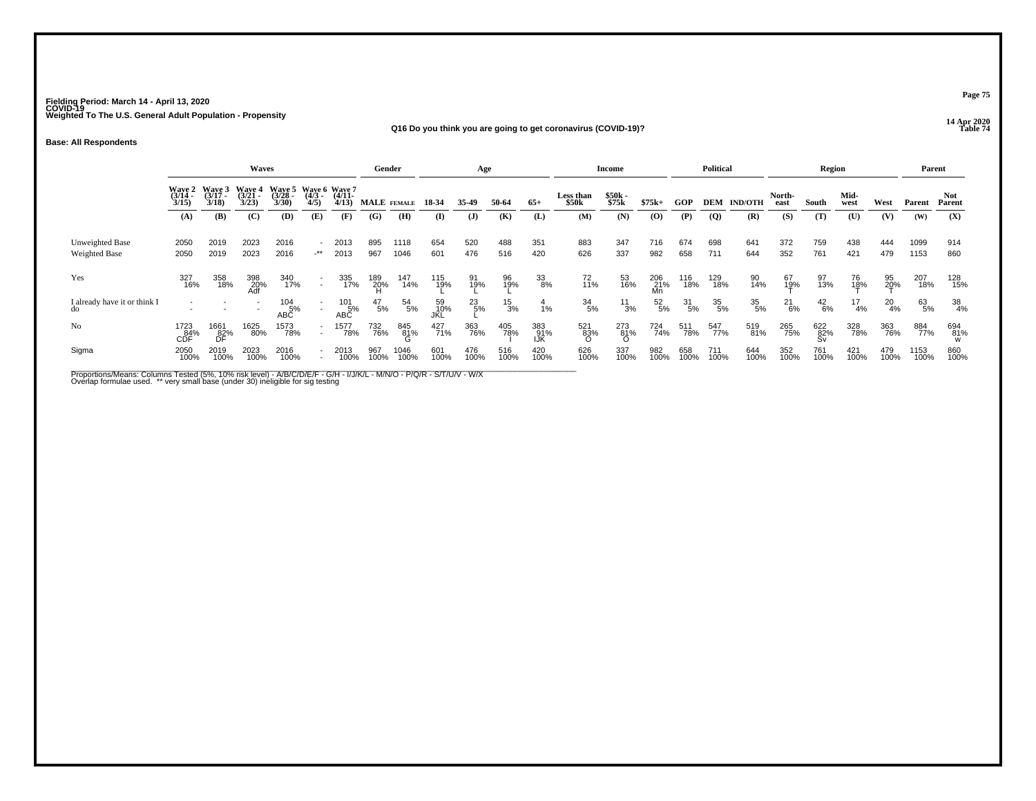**14 Apr 2020 Q16 Do you think you are going to get coronavirus (COVID-19)?**

**Base: All Respondents**

|                                         |                          |                                    | Waves                              |                                           |                     |                        | Gender        |              |                  | Age           |               |                   |                    | <b>Income</b>  |                  |                  | Political        |                |                    | Region           |                    |                    | Parent       |                  |
|-----------------------------------------|--------------------------|------------------------------------|------------------------------------|-------------------------------------------|---------------------|------------------------|---------------|--------------|------------------|---------------|---------------|-------------------|--------------------|----------------|------------------|------------------|------------------|----------------|--------------------|------------------|--------------------|--------------------|--------------|------------------|
|                                         | $(3/14 -$<br>3/15        | Wave 2 Wave 3<br>$(3/17 -$<br>3/18 | <b>Wave 4</b><br>$(3/21 -$<br>3/23 | Wave 5 Wave 6 Wave 7<br>$(3/28 -$<br>3/30 | $\frac{(4/3)}{4/5}$ | $(4/11 -$<br>4/13      | MALE FEMALE   |              | 18-34            | 35-49         | 50-64         | $65+$             | Less than<br>\$50k | \$50k<br>\$75k | $$75k+$          | <b>GOP</b>       | DEM              | <b>IND/OTH</b> | North-<br>east     | South            | Mid-<br>west       | West               | Parent       | Not.<br>Parent   |
|                                         | (A)                      | (B)                                | (C)                                | (D)                                       | (E)                 | (F)                    | (G)           | (H)          | (I)              | $\mathbf{J}$  | (K)           | (L)               | (M)                | (N)            | (0)              | (P)              | <b>(Q)</b>       | (R)            | (S)                | (T)              | (U)                | (V)                | (W)          | (X)              |
| Unweighted Base<br><b>Weighted Base</b> | 2050<br>2050             | 2019<br>2019                       | 2023<br>2023                       | 2016<br>2016                              | $-***$              | 2013<br>2013           | 895<br>967    | 1118<br>1046 | 654<br>601       | 520<br>476    | 488<br>516    | 351<br>420        | 883<br>626         | 347<br>337     | 716<br>982       | 674<br>658       | 698<br>711       | 641<br>644     | 372<br>352         | 759<br>761       | 438<br>421         | 444<br>479         | 1099<br>1153 | 914<br>860       |
| Yes                                     | 327<br>16%               | 358<br>18%                         | 398<br>20%                         | 340<br>17%                                | $\sim$              | 335<br>17%             | 189<br>20%    | 147<br>14%   | 115<br>19%       | 91<br>19%     | 96<br>19%     | 33<br>8%          | 72<br>11%          | 53<br>16%      | 206<br>21%<br>Mn | 116<br>18%       | 129<br>18%       | 90<br>14%      | 67<br>1 <u>9</u> % | 97<br>13%        | 76<br>1 <u>8</u> % | 95<br>2 <u>0</u> % | 207<br>18%   | 128<br>15%       |
| I already have it or think I            |                          |                                    |                                    | $104 \over 5\%$<br><b>ABC</b>             | $\sim$              | $^{101}_{-5\%}$<br>ABC | $^{47}_{5\%}$ | 54<br>5%     | 59<br>10%<br>JKL | $^{23}_{5\%}$ | $^{15}_{3\%}$ | $\frac{4}{1%}$    | $\frac{34}{5%}$    | $^{11}_{3\%}$  | $^{52}_{5\%}$    | $\frac{31}{5\%}$ | $\frac{35}{5\%}$ | 35<br>5%       | $^{21}_{6\%}$      | $^{42}_{6\%}$    | $^{17}_{4\%}$      | $^{20}_{4\%}$      | 63<br>5%     | $\frac{38}{4\%}$ |
| No                                      | 1723<br>CDF <sup>%</sup> | 1661<br>82%<br>DF                  | 1625<br>80%                        | 1573<br>78%                               | $\sim$              | 1577<br>78%            | 732<br>76%    | 845<br>81%   | 427<br>71%       | 363<br>76%    | 405<br>78%    | 383<br>91%<br>IJK | 521<br>83%         | 273<br>81%     | 724<br>74%       | 511<br>78%       | 547<br>77%       | 519<br>81%     | 265<br>75%         | 622<br>82%<br>Sv | 328<br>78%         | 363<br>76%         | 884<br>77%   | 694<br>81%       |
| Sigma                                   | 2050<br>100%             | 2019<br>100%                       | 2023<br>100%                       | 2016<br>100%                              |                     | 2013<br>100%           | 967<br>100%   | 1046<br>100% | 601<br>100%      | 476<br>100%   | 516<br>100%   | 420<br>100%       | 626<br>100%        | 337<br>100%    | 982<br>100%      | 658<br>100%      | 711<br>100%      | 644<br>100%    | 352<br>100%        | 761<br>100%      | 421<br>100%        | 479<br>100%        | 1153<br>100% | 860<br>100%      |

Proportions/Means: Columns Tested (5%, 10% risk level) - A/B/C/D/E/F - G/H - I/J/K/L - M/N/O - P/Q/R - S/T/U/V - W/X<br>Overlap formulae used. \*\* very small base (under 30) ineligible for sig testing

**Page 75**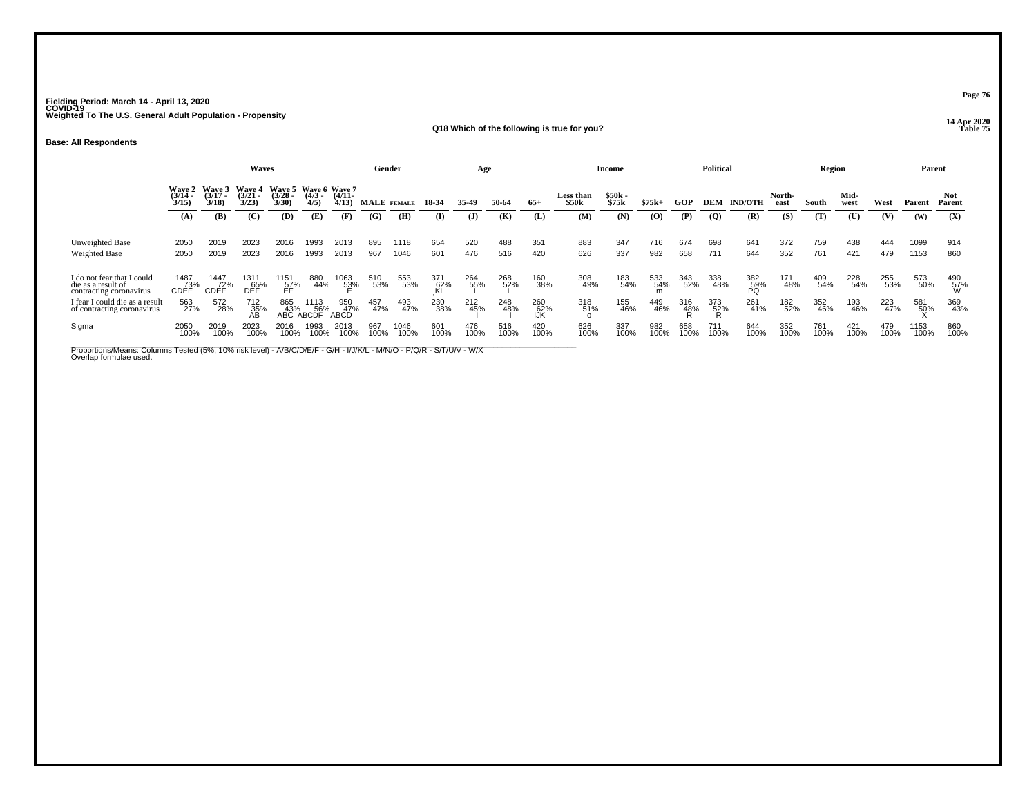**14 Apr 2020 Q18 Which of the following is true for you?**

**Base: All Respondents**

|                                                              |                                                                                                                                                                                                                            |              | <b>Waves</b> |              |              |              | Gender      |              |             | Age          |             |             |                    | Income         |             |             | <b>Political</b> |                  |                | Region      |              |             | Parent       |                |
|--------------------------------------------------------------|----------------------------------------------------------------------------------------------------------------------------------------------------------------------------------------------------------------------------|--------------|--------------|--------------|--------------|--------------|-------------|--------------|-------------|--------------|-------------|-------------|--------------------|----------------|-------------|-------------|------------------|------------------|----------------|-------------|--------------|-------------|--------------|----------------|
|                                                              | Wave 2 Wave 3<br>Wave 4<br>Wave 5 Wave 6 Wave 7<br>$\frac{(3/14)}{3/15}$<br>$\frac{(3/28)}{3/30}$<br>$(3/21 -$<br>$(4/11 -$<br>$(3/17 -$<br>$\frac{(4/3)}{4/5}$<br>3/18<br>3/23<br>4/13<br>(B)<br>(D)<br>(C)<br>(A)<br>(E) |              |              |              |              |              |             | MALE FEMALE  | 18-34       | 35-49        | 50-64       | $65+$       | Less than<br>\$50k | \$50k<br>\$75k | $$75k+$     | GOP         | DEM              | <b>IND/OTH</b>   | North-<br>east | South       | Mid-<br>west | West        | Parent       | Not.<br>Parent |
|                                                              |                                                                                                                                                                                                                            |              |              |              |              | (F)          | (G)         | (H)          | (I)         | $\mathbf{J}$ | (K)         | (L)         | (M)                | (N)            | (O)         | (P)         | $\overline{Q}$   | (R)              | (S)            | (T)         | (U)          | (V)         | (W)          | (X)            |
|                                                              |                                                                                                                                                                                                                            |              |              |              |              |              |             |              |             |              |             |             |                    |                |             |             |                  |                  |                |             |              |             |              |                |
| Unweighted Base                                              | 2050                                                                                                                                                                                                                       | 2019         | 2023         | 2016         | 1993         | 2013         | 895         | 1118         | 654         | 520          | 488         | 351         | 883                | 347            | 716         | 674         | 698              | 641              | 372            | 759         | 438          | 444         | 1099         | 914            |
| Weighted Base                                                | 2050                                                                                                                                                                                                                       | 2019         | 2023         | 2016         | 1993         | 2013         | 967         | 1046         | 601         | 476          | 516         | 420         | 626                | 337            | 982         | 658         | 711              | 644              | 352            | 761         | 421          | 479         | 1153         | 860            |
|                                                              |                                                                                                                                                                                                                            |              |              |              |              |              |             |              |             |              |             |             |                    |                |             |             |                  |                  |                |             |              |             |              |                |
| I do not fear that I could<br>die as a result of             | 1487<br>73%                                                                                                                                                                                                                | 1447<br>72%  | 131'<br>65%  | 1151<br>57%  | 880<br>44%   | 1063<br>53%  | 510<br>53%  | 553<br>53%   | 371<br>62%  | 264<br>55%   | 268<br>52%  | 160<br>38%  | 308<br>49%         | 183<br>54%     | 533<br>54%  | 343<br>52%  | 338<br>48%       | 382<br>59%<br>PQ | 171<br>48%     | 409<br>54%  | 228<br>54%   | 255<br>53%  | 573<br>50%   | 490<br>57%     |
| contracting coronavirus                                      | <b>CDEF</b>                                                                                                                                                                                                                | <b>CDEF</b>  | DÉF          | ÉF           |              |              |             |              | iKL         |              |             |             |                    |                | m           |             |                  |                  |                |             |              |             |              |                |
| I fear I could die as a result<br>of contracting coronavirus | 563<br>27%                                                                                                                                                                                                                 | 572<br>28%   | 712<br>35%   | 865<br>43%   | 1113<br>56%  | 950<br>47%   | 457<br>47%  | 493<br>47%   | 230<br>38%  | 212<br>45%   | 248<br>48%  | 260<br>62%  | 318<br>51%         | 155<br>46%     | 449<br>46%  | 316<br>48%  | 373<br>52%       | 261<br>41%       | 182<br>52%     | 352<br>46%  | 193<br>46%   | 223<br>47%  | 581<br>50%   | 369<br>43%     |
|                                                              |                                                                                                                                                                                                                            |              | AB           | ABC.         | ABCDF        | <b>ABCD</b>  |             |              |             |              |             | IJK         |                    |                |             |             |                  |                  |                |             |              |             |              |                |
| Sigma                                                        | 2050<br>100%                                                                                                                                                                                                               | 2019<br>100% | 2023<br>100% | 2016<br>100% | 1993<br>100% | 2013<br>100% | 967<br>100% | 1046<br>100% | 601<br>100% | 476<br>100%  | 516<br>100% | 420<br>100% | 626<br>100%        | 337<br>100%    | 982<br>100% | 658<br>100% | 711<br>100%      | 644<br>100%      | 352<br>100%    | 761<br>100% | 421<br>100%  | 479<br>100% | 1153<br>100% | 860<br>100%    |
|                                                              |                                                                                                                                                                                                                            |              |              |              |              |              |             |              |             |              |             |             |                    |                |             |             |                  |                  |                |             |              |             |              |                |

Proportions/Means: Columns Tested (5%, 10% risk level) - A/B/C/D/E/F - G/H - I/J/K/L - M/N/O - P/Q/R - S/T/U/V - W/X<br>Overlap formulae used.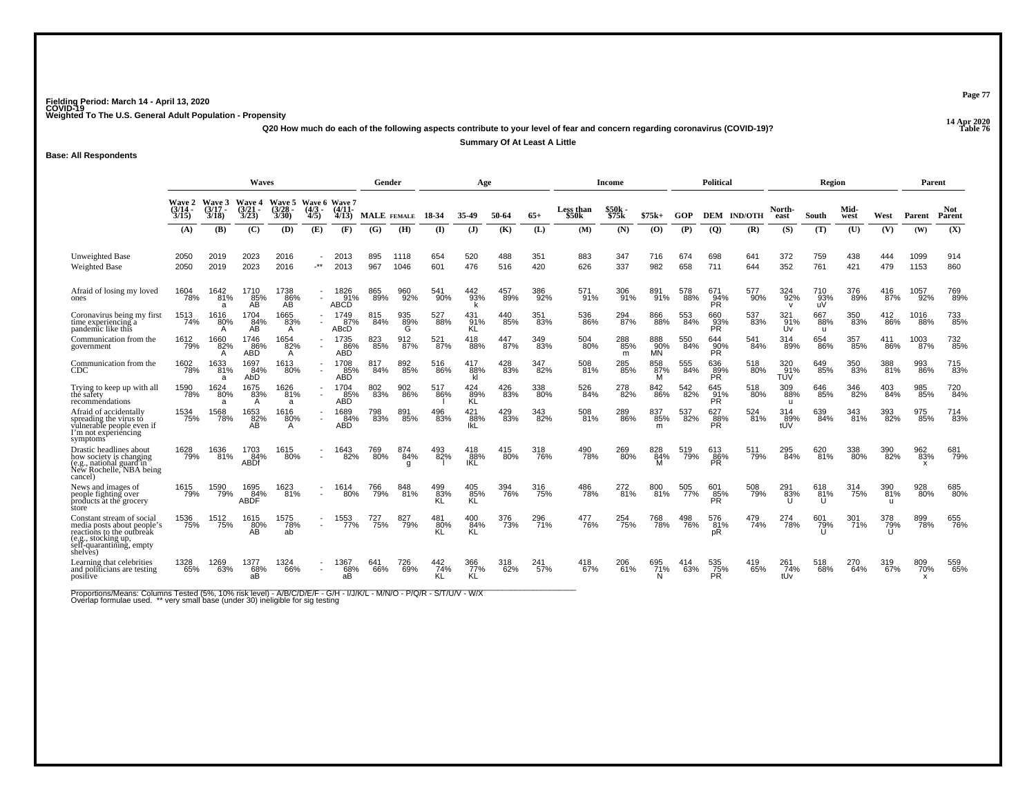**14 Apr 2020 Q20 How much do each of the following aspects contribute to your level of fear and concern regarding coronavirus (COVID-19)?**

**Page 77**

**Table 76**

**Summary Of At Least A Little**

**Base: All Respondents**

|                                                                                                                                                     | Waves                                  |                                    |                                        |                                        |                                    |                                    |                    | Gender             |            | Age                      |            |            |                    | <b>Income</b>   |                         |            | Political               |                        |                            | Region           |              |                            | Parent       |                      |
|-----------------------------------------------------------------------------------------------------------------------------------------------------|----------------------------------------|------------------------------------|----------------------------------------|----------------------------------------|------------------------------------|------------------------------------|--------------------|--------------------|------------|--------------------------|------------|------------|--------------------|-----------------|-------------------------|------------|-------------------------|------------------------|----------------------------|------------------|--------------|----------------------------|--------------|----------------------|
|                                                                                                                                                     | <b>Wave 2</b><br>$\frac{(3/14)}{3/15}$ | <b>Wave 3</b><br>$(3/17 -$<br>3/18 | <b>Wave 4</b><br>$\frac{(3/21)}{3/23}$ | <b>Wave 5</b><br>$\frac{(3/28)}{3/30}$ | $(4/3 -$<br>4/5                    | Wave 6 Wave 7<br>$(4/11 -$<br>4/13 | <b>MALE</b> FEMALE |                    | 18-34      | 35-49                    | 50-64      | $65+$      | Less than<br>\$50k | \$50k<br>\$75k  | $$75k+$                 | GOP        |                         | <b>DEM IND/OTH</b>     | North-<br>east             | South            | Mid-<br>west | West                       | Parent       | <b>Not</b><br>Parent |
|                                                                                                                                                     | (A)                                    | (B)                                | (C)                                    | (D)                                    | (E)                                | (F)                                | (G)                | (H)                | (I)        | $\mathbf{J}$             | (K)        | (L)        | (M)                | (N)             | (0)                     | (P)        | $\overline{Q}$          | (R)                    | (S)                        | (T)              | (U)          | (V)                        | (W)          | (X)                  |
| Unweighted Base<br><b>Weighted Base</b>                                                                                                             | 2050<br>2050                           | 2019<br>2019                       | 2023<br>2023                           | 2016<br>2016                           | $\star$                            | 2013<br>2013                       | 967                | 1118<br>1046       | 654<br>601 | 520<br>476               | 488<br>516 | 351<br>420 | 883<br>626         | 347<br>337      | 716<br>982              | 674<br>658 | 698<br>711              | 641<br>644             | 372<br>352                 | 759<br>761       | 438<br>421   | 444<br>479                 | 1099<br>1153 | 914<br>860           |
| Afraid of losing my loved<br>ones                                                                                                                   | 1604<br>78%                            | 1642<br>$-81%$<br>a                | 1710<br>85%<br>ÃŘ                      | 1738<br>86%<br>AB                      | $\sim$                             | 1826<br>91%<br>ABCD                | 865<br>89%         | 960<br>92%         | 541<br>90% | 442<br>93%               | 457<br>89% | 386<br>92% | 571<br>91%         | 306<br>91%      | 891%                    | 578<br>88% | 671<br>94%<br>PR.       | 577<br>90%             | 324<br>92%<br>$\mathbf{v}$ | 710<br>93%<br>uV | 376<br>89%   | 416<br>87%                 | 1057<br>92%  | 769<br>89%           |
| Coronavirus being my first<br>time experiencing a<br>pandemic like this                                                                             | 1513<br>74%                            | 1616<br>80%                        | 1704<br>$AB^{4\%}$                     | 1665<br>83%<br>A                       | $\overline{\phantom{a}}$           | 1749<br>87%<br>ABcD                | 815<br>84%         | 935<br>89%<br>G    | 527<br>88% | 431<br>91%<br>ΚL         | 440<br>85% | 351<br>83% | 536<br>86%         | 294<br>87%      | 866<br>88%              | 553<br>84% | 660<br>93%<br>PR        | 537<br>83%             | 91%<br>Úv                  | 667<br>88%<br>u  | 350<br>83%   | 412<br>86%                 | 1016<br>88%  | 733<br>85%           |
| Communication from the<br>government                                                                                                                | 1612<br>79%                            | 1660<br>82%<br>A                   | 1746<br>86%<br><b>ABD</b>              | 1654<br>82%<br>A                       | $\sim$<br>$\overline{\phantom{a}}$ | 1735<br>86%<br><b>ABD</b>          | 823<br>$-85%$      | 912<br>87%         | 521<br>87% | 418<br>88%               | 447<br>87% | 349<br>83% | 504<br>80%         | 288<br>85%<br>m | 888<br>90%<br><b>MN</b> | 550<br>84% | 644<br>90%<br>PŘ        | 541<br>84%             | 314<br>89%                 | 654<br>86%       | 357<br>85%   | 411<br>86%                 | 1003<br>87%  | 732<br>85%           |
| Communication from the<br>CDC                                                                                                                       | 1602<br>78%                            | 1633<br>81%<br>a                   | 1697<br>84%<br>AbD                     | 1613<br>80%                            | $\sim$                             | 1708<br>85%<br><b>ABD</b>          | 817<br>84%         | 892 <sub>85%</sub> | 516<br>86% | 417<br>88%<br>kl         | 428<br>83% | 347<br>82% | 508<br>81%         | 285<br>85%      | 858<br>87%<br>M         | 555<br>84% | 636<br>89%<br><b>PR</b> | 518<br>80%             | 320 %<br>TUV               | 649<br>85%       | 350<br>83%   | 388<br>81%                 | 993<br>86%   | 715<br>83%           |
| Trying to keep up with all<br>the safety<br>recomméndations                                                                                         | 1590<br>78%                            | 1624<br>80%<br>а                   | 1675<br>83%<br>A                       | 1626<br>81%<br>a                       | $\overline{\phantom{a}}$<br>$\sim$ | 1704<br>85%<br>ABD                 | 802<br>83%         | 902<br>86%         | 517<br>86% | 424<br>R <sup>89%</sup>  | 426<br>83% | 338<br>80% | 526<br>84%         | 278<br>82%      | 842<br>86%              | 542<br>82% | 645<br>$\frac{91}{PR}$  | 518<br>80%             | 309<br>88%<br>u            | 646<br>85%       | 346<br>82%   | 403<br>84%                 | 985<br>85%   | 720<br>84%           |
| Afraid of accidentally<br>spreading the virus to<br>vulnerable people even if<br>I'm not experiencing<br>symptoms                                   | 1534<br>75%                            | 1568<br>78%                        | 1653<br>82%<br>AB                      | 1616<br>80%<br>A                       |                                    | 1689<br>84%<br><b>ABD</b>          | 798<br>83%         | 891<br>85%         | 496<br>83% | 421<br>88%<br>lkL        | 429<br>83% | 343<br>82% | 508<br>81%         | 289<br>86%      | 837<br>85%<br>m         | 537<br>82% | 627<br>88%<br>PR.       | 524<br>$\frac{1}{81%}$ | 314<br>89%<br>tUV          | 639<br>84%       | 343<br>81%   | 393<br>82%                 | 975<br>85%   | 714<br>83%           |
| Drastic headlines about<br>how society is changing<br>(e.g., national guard in<br>New Rochelle, NBA being<br>cancel)                                | 1628<br>79%                            | 1636<br>81%                        | 1703<br>84%<br><b>ABDf</b>             | 1615<br>80%                            | $\sim$                             | 1643<br>82%                        | 769<br>80%         | 874<br>84%<br>g    | 493<br>82% | 418<br>88%<br><b>IKL</b> | 415<br>80% | 318<br>76% | 490<br>78%         | 269<br>80%      | 828<br>84%              | 519<br>79% | 613<br>86%<br><b>PR</b> | 511<br>79%             | 295<br>84%                 | 620<br>81%       | 338<br>80%   | 390<br>82%                 | 962<br>83%   | 681<br>79%           |
| News and images of<br>people fighting over<br>products at the grocery<br>store                                                                      | 1615<br>79%                            | 1590<br>79%                        | 1695<br>84%<br>הר<br><b>ABDF</b>       | 1623<br>81%                            | $\sim$                             | 1614<br>80%                        | 766<br>79%         | 848<br>81%         | 499<br>83% | 405<br>85%<br>KL         | 394<br>76% | 316<br>75% | 486<br>78%         | 272<br>81%      | 800<br>81%              | 505<br>77% | 601<br>85%<br><b>PR</b> | 508<br>79%             | 291<br>83%                 | 618<br>81%<br>U  | 314<br>75%   | 390<br>81%<br>$\mathbf{u}$ | 928<br>80%   | 685<br>80%           |
| Constant stream of social<br>media posts about people's<br>reactions to the outbreak<br>(e.g., stocking up,<br>self-quarantining, empty<br>shelves) | 1536<br>75%                            | 1512<br>75%                        | 1615<br>80%<br>AB                      | 1575<br>78%<br>ab                      | $\sim$                             | 1553<br>77%                        | 727<br>75%         | 827<br>79%         | 481<br>80% | 400<br>84%<br><b>KL</b>  | 376<br>73% | 296<br>71% | 477<br>76%         | 254<br>75%      | 768<br>78%              | 498<br>76% | 576<br>81%<br>pR        | 479<br>74%             | 274<br>78%                 | 601<br>79%<br>п  | 301<br>71%   | 378<br>79%                 | 899<br>78%   | 655<br>76%           |
| Learning that celebrities<br>and politicians are testing<br>positive                                                                                | 1328<br>65%                            | 1269<br>63%                        | 1377<br>68%<br>aВ                      | 1324<br>66%                            | $\overline{\phantom{a}}$           | 1367<br>68%<br>aВ                  | 641<br>66%         | 69%                | 442<br>74% | 366<br>77%<br>KL         | 318<br>62% | 241<br>57% | 418<br>67%         | 206<br>61%      | 695<br>71%<br>N         | 63%        | 535<br>75%<br><b>PR</b> | 419<br>65%             | 261<br>-74%<br>tUv         | 518<br>68%       | 270<br>64%   | 319 <sub>67%</sub>         | 809<br>70%   | 559<br>65%           |

Proportions/Means: Columns Tested (5%, 10% risk level) - A/B/C/D/E/F - G/H - I/J/K/L - M/N/O - P/Q/R - S/T/U/V - W/X<br>Overlap formulae used. \*\* very small base (under 30) ineligible for sig testing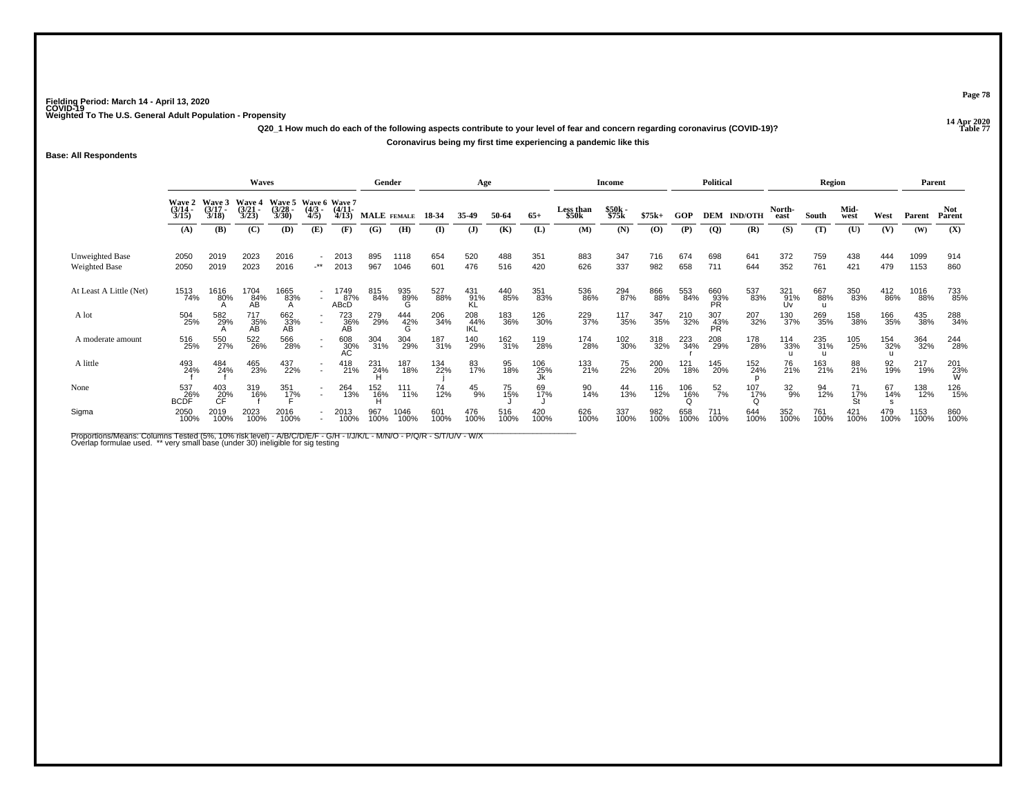**14 Apr 2020 Q20\_1 How much do each of the following aspects contribute to your level of fear and concern regarding coronavirus (COVID-19)?Coronavirus being my first time experiencing a pandemic like this**

**Base: All Respondents**

|                                         |                                                                                                                                                                                                                                   |                  | Waves             |                     |                          |                              | Gender          |                 |             | Age               |             |             |                           | Income         |             |                                 | <b>Political</b> |                 |                    | Region                     |                 |                            | Parent       |                 |
|-----------------------------------------|-----------------------------------------------------------------------------------------------------------------------------------------------------------------------------------------------------------------------------------|------------------|-------------------|---------------------|--------------------------|------------------------------|-----------------|-----------------|-------------|-------------------|-------------|-------------|---------------------------|----------------|-------------|---------------------------------|------------------|-----------------|--------------------|----------------------------|-----------------|----------------------------|--------------|-----------------|
|                                         | Wave 5 Wave 6 Wave 7<br><b>Wave 2</b><br><b>Wave 3</b><br><b>Wave 4</b><br>$\frac{(3/21)}{3/23}$<br>$\frac{(3/14)}{3/15}$<br>$(3/17 -$<br>$\frac{(3/28)}{3/30}$<br>$\frac{(4/3)}{4/5}$<br>3/18<br>(C)<br>(A)<br>(D)<br>(E)<br>(B) |                  |                   |                     |                          | $\frac{(4/11)}{4/13}$        | MALE FEMALE     |                 | 18-34       | 35-49             | 50-64       | $65+$       | <b>Less than</b><br>\$50k | \$50k<br>\$75k | $$75k+$     | GOP                             | DEM              | <b>IND/OTH</b>  | North-<br>east     | South                      | Mid-<br>west    | West                       | Parent       | Not<br>Parent   |
|                                         |                                                                                                                                                                                                                                   |                  |                   |                     |                          | (F)                          | (G)             | (H)             | (I)         | ( <b>J</b> )      | (K)         | (L)         | (M)                       | (N)            | (0)         | (P)                             | <b>(Q)</b>       | (R)             | (S)                | (T)                        | (U)             | (V)                        | (W)          | (X)             |
| Unweighted Base<br><b>Weighted Base</b> | 2050<br>2050                                                                                                                                                                                                                      | 2019<br>2019     | 2023<br>2023      | 2016<br>2016        | $\cdot^{\star\star}$     | 2013<br>2013                 | 895<br>967      | 1118<br>1046    | 654<br>601  | 520<br>476        | 488<br>516  | 351<br>420  | 883<br>626                | 347<br>337     | 716<br>982  | 674<br>658                      | 698<br>711       | 641<br>644      | 372<br>352         | 759<br>761                 | 438<br>421      | 444<br>479                 | 1099<br>1153 | 914<br>860      |
| At Least A Little (Net)                 | 1513<br>74%                                                                                                                                                                                                                       | 1616<br>80%      | 1704<br>84%<br>AB | 1665<br>83%         | $\sim$                   | 1749<br>8 <u>7</u> %<br>ABCD | 815<br>84%      | 935<br>89%<br>G | 527<br>88%  | 431<br>91%<br>KL  | 440<br>85%  | 351<br>83%  | 536<br>86%                | 294<br>87%     | 866<br>88%  | 553<br>84%                      | 660<br>93%<br>PR | 537<br>83%      | 321<br>91%<br>l Iv | 667<br>88%<br>$\mathbf{H}$ | 350<br>83%      | 412<br>86%                 | 1016<br>88%  | 733<br>85%      |
| A lot                                   | 504<br>25%                                                                                                                                                                                                                        | 582<br>29%       | 717<br>35%<br>AB  | 662<br>33%<br>AB    | $\overline{\phantom{a}}$ | 723<br>36%<br>AB             | 279<br>29%      | 444<br>42%<br>G | 206<br>34%  | 208<br>44%<br>IKL | 183<br>36%  | 126<br>30%  | 229<br>37%                | 117<br>35%     | 347<br>35%  | 210<br>32%                      | 307<br>43%<br>PR | 207<br>32%      | 130<br>37%         | 269<br>35%                 | 158<br>38%      | 166<br>35%                 | 435<br>38%   | 288<br>34%      |
| A moderate amount                       | 516<br>25%                                                                                                                                                                                                                        | 550<br>27%       | 522<br>26%        | 566<br>28%          |                          | 608<br>30%<br>AC             | 304<br>31%      | 304<br>29%      | 187<br>31%  | 140<br>29%        | 162<br>31%  | 119<br>28%  | 174<br>28%                | 102<br>30%     | 318<br>32%  | 223<br>34%                      | 208<br>29%       | 178<br>28%      | 114<br>33%         | 235<br>31%                 | 105<br>25%      | 154<br>32%<br>$\mathbf{u}$ | 364<br>32%   | 244<br>28%      |
| A little                                | 493<br>24%                                                                                                                                                                                                                        | 484<br>24%       | 465<br>23%        | 437<br>22%          | $\sim$                   | 418<br>21%                   | 231<br>24%      | 187<br>18%      | 134<br>22%  | 83<br>17%         | 95<br>18%   | 106<br>25%  | 133<br>21%                | 75<br>22%      | 200<br>20%  | 121<br>18%                      | 145<br>20%       | 152<br>24%      | 76<br>21%          | 163<br>21%                 | 88<br>21%       | 92<br>19%                  | 217<br>19%   | 201<br>23%<br>W |
| None                                    | 537<br>BCDF <sup>%</sup>                                                                                                                                                                                                          | 403<br>20%<br>CF | 319<br>16%        | 351<br>1 <u>7</u> % | $\sim$                   | 264<br>13%                   | 152<br>16%<br>H | 111<br>11%      | 74<br>12%   | $^{45}_{9\%}$     | 75<br>15%   | 69<br>17%   | 90<br>14%                 | 44<br>13%      | 116<br>12%  | $^{106}_{\substack{16\% \\ 0}}$ | $^{52}_{7\%}$    | $^{107}_{17\%}$ | $\frac{32}{9\%}$   | 94<br>12%                  | 71<br>17%<br>St | 67<br>14%                  | 138<br>12%   | 126<br>15%      |
| Sigma                                   | 2050<br>100%                                                                                                                                                                                                                      | 2019<br>100%     | 2023<br>100%      | 2016<br>100%        |                          | 2013<br>100%                 | 967<br>100%     | 1046<br>100%    | 601<br>100% | 476<br>100%       | 516<br>100% | 420<br>100% | 626<br>100%               | 337<br>100%    | 982<br>100% | 658<br>100%                     | 711<br>100%      | 644<br>100%     | 352<br>100%        | 761<br>100%                | 421<br>100%     | 479<br>100%                | 1153<br>100% | 860<br>100%     |

Proportions/Means: Columns Tested (5%, 10% risk level) - A/B/C/D/E/F - G/H - I/J/K/L - M/N/O - P/Q/R - S/T/U/V - W/X<br>Overlap formulae used. \*\* very small base (under 30) ineligible for sig testing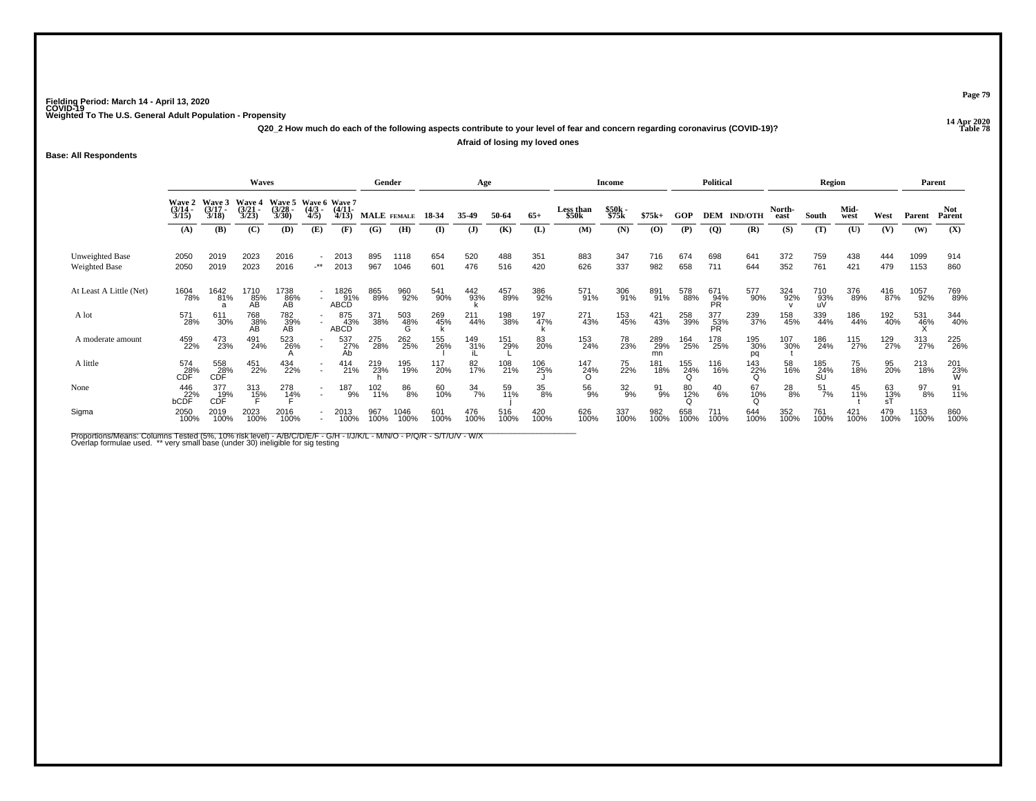**14 Apr 2020 Q20\_2 How much do each of the following aspects contribute to your level of fear and concern regarding coronavirus (COVID-19)?Afraid of losing my loved ones**

**Base: All Respondents**

|                                         |                                 |                                    | <b>Waves</b>                           |                                               |                                    |                            | Gender      |                 |             | Age             |             |             |                    | Income         |                  |             | <b>Political</b> |                  |                | Region           |              |             | Parent       |                 |
|-----------------------------------------|---------------------------------|------------------------------------|----------------------------------------|-----------------------------------------------|------------------------------------|----------------------------|-------------|-----------------|-------------|-----------------|-------------|-------------|--------------------|----------------|------------------|-------------|------------------|------------------|----------------|------------------|--------------|-------------|--------------|-----------------|
|                                         | Wave 2<br>$\frac{(3/14)}{3/15}$ | <b>Wave 3</b><br>$(3/17 -$<br>3/18 | <b>Wave 4</b><br>$\frac{(3/21)}{3/23}$ | Wave 5 Wave 6 Wave 7<br>$\frac{(3/28)}{3/30}$ | $\frac{(4/3)}{4/5}$                | $\frac{(4/11)}{4/13}$      | MALE FEMALE |                 | 18-34       | 35-49           | 50-64       | $65+$       | Less than<br>\$50k | \$50k<br>\$75k | $$75k+$          | <b>GOP</b>  | DEM              | <b>IND/OTH</b>   | North-<br>east | South            | Mid-<br>west | West        | Parent       | Not<br>Parent   |
|                                         | (A)                             | (B)                                | (C)                                    | (D)                                           | (E)                                | (F)                        | (G)         | (H)             | (I)         | ( <b>J</b> )    | (K)         | (L)         | (M)                | (N)            | (0)              | (P)         | $\overline{Q}$   | (R)              | (S)            | (T)              | (U)          | (V)         | (W)          | (X)             |
| Unweighted Base<br><b>Weighted Base</b> | 2050<br>2050                    | 2019<br>2019                       | 2023<br>2023                           | 2016<br>2016                                  | $\cdot^{\star\star}$               | 2013<br>2013               | 895<br>967  | 1118<br>1046    | 654<br>601  | 520<br>476      | 488<br>516  | 351<br>420  | 883<br>626         | 347<br>337     | 716<br>982       | 674<br>658  | 698<br>711       | 641<br>644       | 372<br>352     | 759<br>761       | 438<br>421   | 444<br>479  | 1099<br>1153 | 914<br>860      |
| At Least A Little (Net)                 | 1604<br>78%                     | 1642<br>81%                        | 1710<br>85%<br>AB                      | 1738<br>86%<br>AB                             | $\sim$                             | 1826<br>91%<br><b>ABCD</b> | 865<br>89%  | 960<br>92%      | 541<br>90%  | 442<br>93%      | 457<br>89%  | 386<br>92%  | 571<br>91%         | 306<br>91%     | 891<br>91%       | 578<br>88%  | 671<br>94%<br>PR | 577<br>90%       | 324<br>92%     | 710<br>93%<br>uV | 376<br>89%   | 416<br>87%  | 1057<br>92%  | 769<br>89%      |
| A lot                                   | 571<br>28%                      | 611<br>30%                         | 768<br>38%<br>AB                       | 782<br>39%<br>AB                              | $\overline{\phantom{a}}$<br>$\sim$ | 875<br>43%<br>ABCD         | 371<br>38%  | 503<br>48%<br>G | 269<br>45%  | 211<br>44%      | 198<br>38%  | 197<br>47%  | 271<br>43%         | 153<br>45%     | 421<br>43%       | 258<br>39%  | 377<br>53%<br>PR | 239<br>37%       | 158<br>45%     | 339<br>44%       | 186<br>44%   | 192<br>40%  | 531<br>46%   | 344<br>40%      |
| A moderate amount                       | 459<br>22%                      | 473<br>23%                         | 491<br>24%                             | 523<br>26%                                    | $\sim$                             | 537<br>27%<br>Ab           | 275<br>28%  | 262<br>25%      | 155<br>26%  | 149<br>31%      | 151<br>29%  | 83<br>20%   | 153<br>24%         | 78<br>23%      | 289<br>29%<br>mn | 164<br>25%  | 178<br>25%       | 195<br>30%<br>pq | 107<br>30%     | 186<br>24%       | 115<br>27%   | 129<br>27%  | 313<br>27%   | 225<br>26%      |
| A little                                | 574<br>28%<br>CDF               | 558<br>28%<br>CDF                  | 451<br>22%                             | 434<br>22%                                    | $\sim$                             | 414<br>21%                 | 219<br>23%  | 195<br>19%      | 117<br>20%  | 82 <sub>%</sub> | 108<br>21%  | 106<br>25%  | 147<br>24%         | 75<br>22%      | 181<br>18%       | 155<br>24%  | 116<br>16%       | 143<br>22%<br>O  | 58<br>16%      | 185<br>24%<br>SU | 75<br>18%    | 95<br>20%   | 213<br>18%   | 201<br>23%<br>W |
| None                                    | 446<br>22%<br>bCDF              | 377<br>19%<br>CDF                  | 313<br>1 <u>5</u> %                    | 278<br>14%                                    | $\overline{\phantom{a}}$           | 187<br>9%                  | 102<br>11%  | 86<br>8%        | 60<br>10%   | 34<br>7%        | 59<br>11%   | 35<br>8%    | 56<br>9%           | $^{32}_{9\%}$  | 91<br>9%         | 80<br>12%   | $^{40}_{6\%}$    | 67<br>10%        | $^{28}_{8\%}$  | $\frac{51}{7\%}$ | 45<br>11%    | 63<br>13%   | 97<br>8%     | 91<br>11%       |
| Sigma                                   | 2050<br>100%                    | 2019<br>100%                       | 2023<br>100%                           | 2016<br>100%                                  |                                    | 2013<br>100%               | 967<br>100% | 1046<br>100%    | 601<br>100% | 476<br>100%     | 516<br>100% | 420<br>100% | 626<br>100%        | 337<br>100%    | 982<br>100%      | 658<br>100% | 711<br>100%      | 644<br>100%      | 352<br>100%    | 761<br>100%      | 421<br>100%  | 479<br>100% | 1153<br>100% | 860<br>100%     |

Proportions/Means: Columns Tested (5%, 10% risk level) - A/B/C/D/E/F - G/H - I/J/K/L - M/N/O - P/Q/R - S/T/U/V - W/X<br>Overlap formulae used. \*\* very small base (under 30) ineligible for sig testing

**Page 79**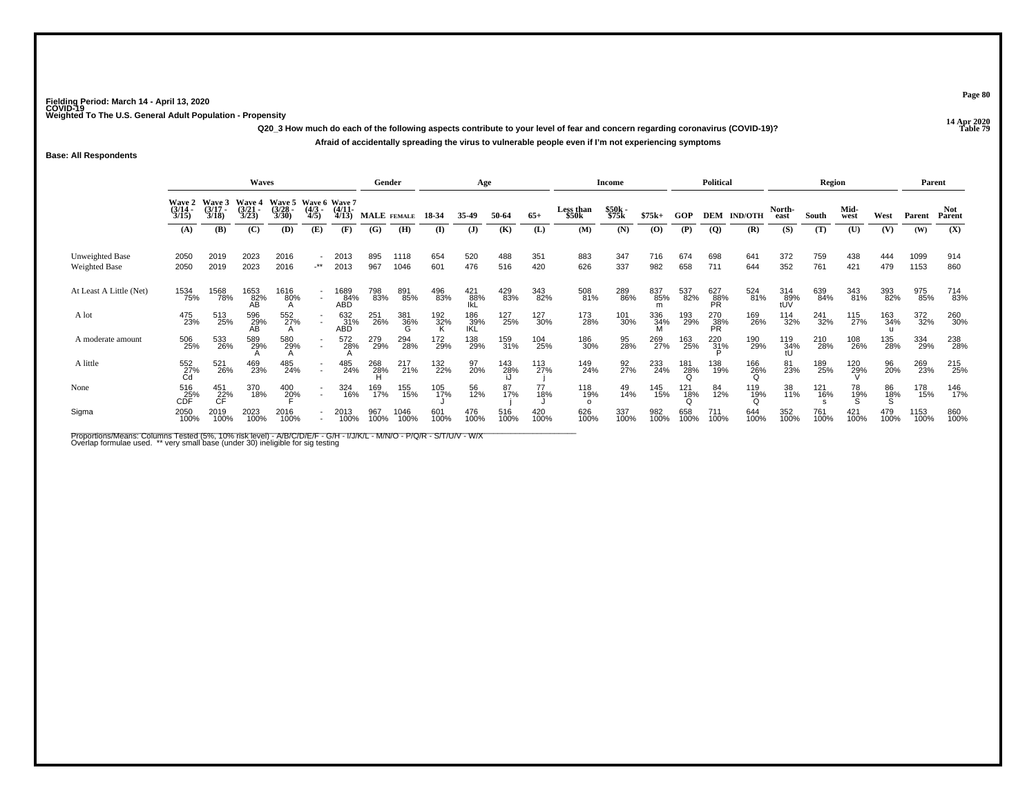**14 Apr 2020 Q20\_3 How much do each of the following aspects contribute to your level of fear and concern regarding coronavirus (COVID-19)?Afraid of accidentally spreading the virus to vulnerable people even if I'm not experiencing symptoms**

**Base: All Respondents**

|                                         |                       |                                | Waves                                    |                                              |                     |                       | Gender      |                      |                 | Age                 |             |             |                    | <b>Income</b>     |                 |             | <b>Political</b> |                     |                   | Region      |                    |                | Parent       |                |
|-----------------------------------------|-----------------------|--------------------------------|------------------------------------------|----------------------------------------------|---------------------|-----------------------|-------------|----------------------|-----------------|---------------------|-------------|-------------|--------------------|-------------------|-----------------|-------------|------------------|---------------------|-------------------|-------------|--------------------|----------------|--------------|----------------|
|                                         | $\frac{(3/14)}{3/15}$ | Wave 2 Wave 3<br>(3/17<br>3/18 | Wave 4<br>$\frac{3}{2}$<br>$\frac{3}{2}$ | Wave 5 Wave 6 Wave 7<br>$\binom{3/28}{3/30}$ | $\frac{(4/3)}{4/5}$ | $\frac{(4/11)}{4/13}$ | MALE FEMALE |                      | 18-34           | 35-49               | 50-64       | $65+$       | Less than<br>\$50k | \$50k<br>\$75k    | $$75k+$         | GOP         | DEM              | <b>IND/OTH</b>      | North-<br>east    | South       | Mid-<br>west       | West           | Parent       | Not.<br>Parent |
|                                         | (A)                   | (B)                            | (C)                                      | (D)                                          | (E)                 | (F)                   | (G)         | (H)                  | $\mathbf{I}$    | $\mathbf{J}$        | (K)         | (L)         | (M)                | (N)               | (0)             | (P)         | (Q)              | (R)                 | (S)               | (T)         | (U)                | (V)            | (W)          | (X)            |
| Unweighted Base<br><b>Weighted Base</b> | 2050<br>2050          | 2019<br>2019                   | 2023<br>2023                             | 2016<br>2016                                 | $-***$              | 2013<br>2013          | 895<br>967  | 1118<br>1046         | 654<br>601      | 520<br>476          | 488<br>516  | 351<br>420  | 883<br>626         | 347<br>337        | 716<br>982      | 674<br>658  | 698<br>711       | 641<br>644          | 372<br>352        | 759<br>761  | 438<br>421         | 444<br>479     | 1099<br>1153 | 914<br>860     |
| At Least A Little (Net)                 | 1534<br>75%           | 1568<br>78%                    | 1653<br>82%<br>AB                        | 1616<br>80%                                  | $\sim$              | 1689<br>84%<br>ABD    | 798<br>83%  | 891<br>85%           | 496<br>83%      | $^{421}_{88\%}$ lkL | 429<br>83%  | 343<br>82%  | 508<br>81%         | 289<br>86%        | 837<br>85%<br>m | 537<br>82%  | 627<br>88%<br>PR | 524<br>81%          | 314<br>89%<br>tUV | 639<br>84%  | 343<br>81%         | 393<br>82%     | 975<br>85%   | 714<br>83%     |
| A lot                                   | 475<br>23%            | 513<br>25%                     | 596<br>29%<br>AB                         | 552<br>27%                                   |                     | 632<br>31%<br>ABD     | 251<br>26%  | 381<br>- 36%<br>- ငြ | 192<br>32%<br>K | 186<br>39%<br>IKL   | 127<br>25%  | 127<br>30%  | 173<br>28%         | 101<br>30%        | 336<br>34%<br>M | 193<br>29%  | 270<br>38%<br>PR | 169<br>26%          | 114<br>32%        | 241<br>32%  | 115<br>27%         | 163<br>34%     | 372<br>32%   | 260<br>30%     |
| A moderate amount                       | 506<br>25%            | 533<br>26%                     | 589<br>29%                               | 580<br>29%                                   | $\sim$              | 572<br>28%            | 279<br>29%  | 294<br>28%           | 172<br>29%      | 138<br>29%          | 159<br>31%  | 104<br>25%  | 186<br>30%         | 95<br>28%         | 269<br>27%      | 163<br>25%  | $^{220}_{31\%}$  | 190<br>29%          | 119<br>34%<br>tU  | 210<br>28%  | 108<br>26%         | 135<br>28%     | 334<br>29%   | 238<br>28%     |
| A little                                | 552<br>27%<br>Cd      | 521<br>26%                     | 469<br>23%                               | 485<br>24%                                   | $\sim$              | 485<br>24%            | 268<br>28%  | 217<br>21%           | 132<br>22%      | 97<br>20%           | 143<br>28%  | 113<br>27%  | 149<br>24%         | $\frac{92}{27}$ % | 233<br>24%      | 181<br>28%  | 138<br>19%       | 166<br>26%          | 81<br>23%         | 189<br>25%  | 120<br>29%         | 96<br>20%      | 269<br>23%   | 215<br>25%     |
| None                                    | 516<br>25%<br>CDF     | 451<br>22%                     | 370<br>18%                               | 400<br>20%                                   | $\sim$              | 324<br>16%            | 169<br>17%  | 155<br>15%           | 105<br>17%      | 56<br>12%           | 87<br>17%   | 77<br>18%   | 118<br>19%         | 49<br>14%         | 145<br>15%      | 121<br>18%  | 84<br>12%        | 119<br>1 <u>9</u> % | 38<br>11%         | 121<br>16%  | 78<br>1 <u>9</u> % | 86<br>18%<br>S | 178<br>15%   | 146<br>17%     |
| Sigma                                   | 2050<br>100%          | 2019<br>100%                   | 2023<br>100%                             | 2016<br>100%                                 | $\sim$              | 2013<br>100%          | 967<br>100% | 1046<br>100%         | 601<br>100%     | 476<br>100%         | 516<br>100% | 420<br>100% | 626<br>100%        | 337<br>100%       | 982<br>100%     | 658<br>100% | 711<br>100%      | 644<br>100%         | 352<br>100%       | 761<br>100% | 421<br>100%        | 479<br>100%    | 1153<br>100% | 860<br>100%    |

Proportions/Means: Columns Tested (5%, 10% risk level) - A/B/C/D/E/F - G/H - I/J/K/L - M/N/O - P/Q/R - S/T/U/V - W/X<br>Overlap formulae used. \*\* very small base (under 30) ineligible for sig testing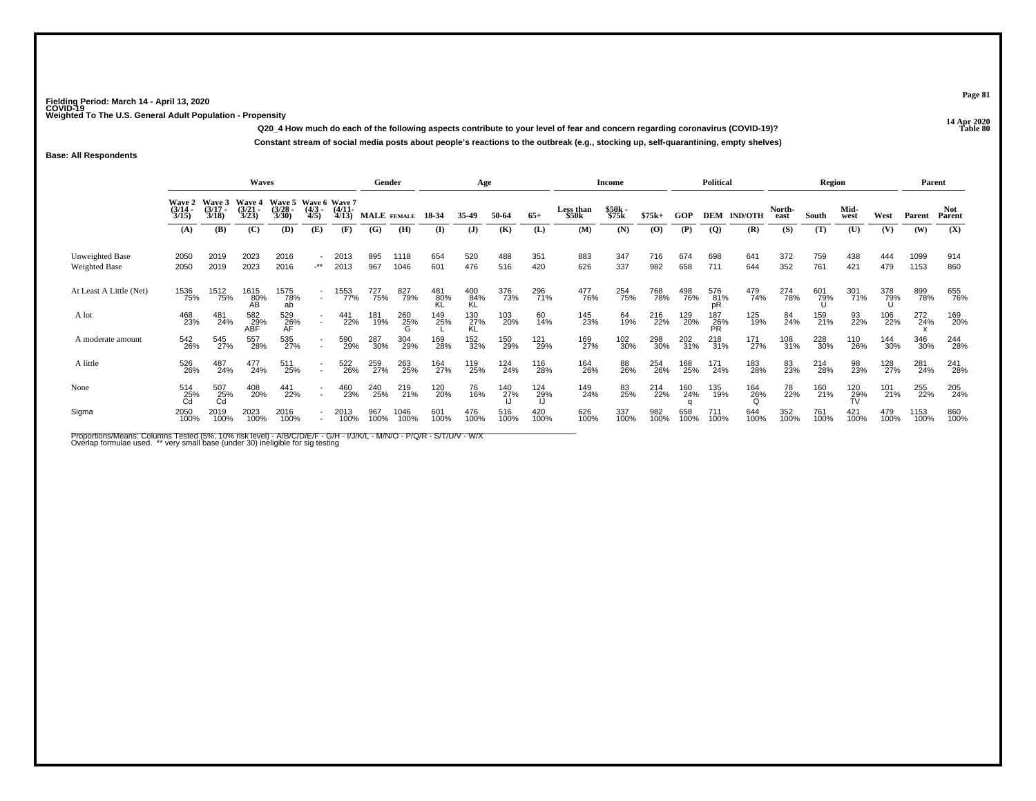**14 Apr 2020 Q20\_4 How much do each of the following aspects contribute to your level of fear and concern regarding coronavirus (COVID-19)?Constant stream of social media posts about people's reactions to the outbreak (e.g., stocking up, self-quarantining, empty shelves)**

## **Base: All Respondents**

|                                         |                                        |                                    | <b>Waves</b>                    |                                               |                                    |                       | Gender      |              |             | Age                |             |             |                    | Income         |             |                        | <b>Political</b> |                    |                | <b>Region</b> |                 |             |              | Parent               |
|-----------------------------------------|----------------------------------------|------------------------------------|---------------------------------|-----------------------------------------------|------------------------------------|-----------------------|-------------|--------------|-------------|--------------------|-------------|-------------|--------------------|----------------|-------------|------------------------|------------------|--------------------|----------------|---------------|-----------------|-------------|--------------|----------------------|
|                                         | <b>Wave 2</b><br>$\frac{(3/14)}{3/15}$ | <b>Wave 3</b><br>$(3/17 -$<br>3/18 | <b>Wave 4</b><br>(3/21)<br>3/23 | Wave 5 Wave 6 Wave 7<br>$\frac{(3/28)}{3/30}$ | $\frac{(4/3)}{4/5}$                | $\frac{(4/11)}{4/13}$ | MALE FEMALE |              | 18-34       | 35-49              | 50-64       | $65+$       | Less than<br>\$50k | \$50k<br>\$75k | $$75k+$     | GOP                    |                  | <b>DEM IND/OTH</b> | North-<br>east | South         | Mid-<br>west    | West        | Parent       | <b>Not</b><br>Parent |
|                                         | (A)                                    | (B)                                | (C)                             | (D)                                           | (E)                                | (F)                   | (G)         | (H)          | (I)         | (J)                | (K)         | (L)         | (M)                | (N)            | (0)         | (P)                    | <b>(Q)</b>       | (R)                | (S)            | (T)           | (U)             | (V)         | (W)          | (X)                  |
| Unweighted Base<br><b>Weighted Base</b> | 2050<br>2050                           | 2019<br>2019                       | 2023<br>2023                    | 2016<br>2016                                  | $\cdot^{\star\star}$               | 2013<br>2013          | 895<br>967  | 1118<br>1046 | 654<br>601  | 520<br>476         | 488<br>516  | 351<br>420  | 883<br>626         | 347<br>337     | 716<br>982  | 674<br>658             | 698<br>711       | 641<br>644         | 372<br>352     | 759<br>761    | 438<br>421      | 444<br>479  | 1099<br>1153 | 914<br>860           |
| At Least A Little (Net)                 | 1536<br>75%                            | 1512<br>75%                        | 1615<br>80%                     | 1575<br>78%<br>ab                             | $\overline{\phantom{a}}$<br>$\sim$ | 1553<br>77%           | 727<br>75%  | 827<br>79%   | 481<br>80%  | $^{400}_{84\%}$ KL | 376<br>73%  | 296<br>71%  | 477<br>76%         | 254<br>75%     | 768<br>78%  | 498<br>76%             | 576<br>81%<br>pR | 479<br>74%         | 274<br>78%     | 601<br>79%    | 301<br>71%      | 378<br>79%  | 899<br>78%   | 655<br>76%           |
| A lot                                   | 468<br>23%                             | 481<br>24%                         | 582<br>29%<br>ABF               | 529<br>26%<br>AF                              | $\sim$                             | 441<br>22%            | 181<br>19%  | 260<br>25%   | 149<br>25%  | 130<br>27%<br>KL   | 103<br>20%  | 60<br>14%   | 145<br>23%         | 64<br>19%      | 216<br>22%  | 129<br>20%             | 187<br>26%<br>PR | 125<br>19%         | 84<br>24%      | 159<br>21%    | 93<br>22%       | 106<br>22%  | 272<br>24%   | 169<br>20%           |
| A moderate amount                       | 542<br>26%                             | 545<br>27%                         | 557<br>28%                      | 535<br>27%                                    | $\sim$                             | 590<br>29%            | 287<br>30%  | 304<br>29%   | 169<br>28%  | 152<br>32%         | 150<br>29%  | 121<br>29%  | 169<br>27%         | 102<br>30%     | 298<br>30%  | 202<br>31%             | 218<br>31%       | 171<br>27%         | 108<br>31%     | 228<br>30%    | 110<br>26%      | 144<br>30%  | 346<br>30%   | 244<br>28%           |
| A little                                | 526<br>26%                             | 487<br>24%                         | 477<br>24%                      | 511<br>25%                                    | $\overline{\phantom{a}}$<br>$\sim$ | 522<br>26%            | 259<br>27%  | 263<br>25%   | 164<br>27%  | 119<br>25%         | 124<br>24%  | 116<br>28%  | 164<br>26%         | 88<br>26%      | 254<br>26%  | 168<br>25%             | 171<br>24%       | 183<br>28%         | 83<br>23%      | 214<br>28%    | 98<br>23%       | 128<br>27%  | 281<br>24%   | 241<br>28%           |
| None                                    | 514<br>25%<br>Cd                       | 507<br>$\tilde{c}_{\rm d}^{5\%}$   | 408<br>20%                      | 441<br>22%                                    | $\sim$                             | 460<br>23%            | 240<br>25%  | 219<br>21%   | 120<br>20%  | 76<br>16%          | 140<br>27%  | 124<br>29%  | 149<br>24%         | 83<br>25%      | 214<br>22%  | 160<br>24%<br>$\Omega$ | 135<br>19%       | 164<br>26%         | 78<br>22%      | 160<br>21%    | $^{120}_{29\%}$ | 101<br>21%  | 255<br>22%   | 205<br>24%           |
| Sigma                                   | 2050<br>100%                           | 2019<br>100%                       | 2023<br>100%                    | 2016<br>100%                                  |                                    | 2013<br>100%          | 967<br>100% | 1046<br>100% | 601<br>100% | 476<br>100%        | 516<br>100% | 420<br>100% | 626<br>100%        | 337<br>100%    | 982<br>100% | 658<br>100%            | 711<br>100%      | 644<br>100%        | 352<br>100%    | 761<br>100%   | 421<br>100%     | 479<br>100% | 1153<br>100% | 860<br>100%          |

Proportions/Means: Columns Tested (5%, 10% risk level) - A/B/C/D/E/F - G/H - I/J/K/L - M/N/O - P/Q/R - S/T/U/V - W/X<br>Overlap formulae used. \*\* very small base (under 30) ineligible for sig testing

**Page 81**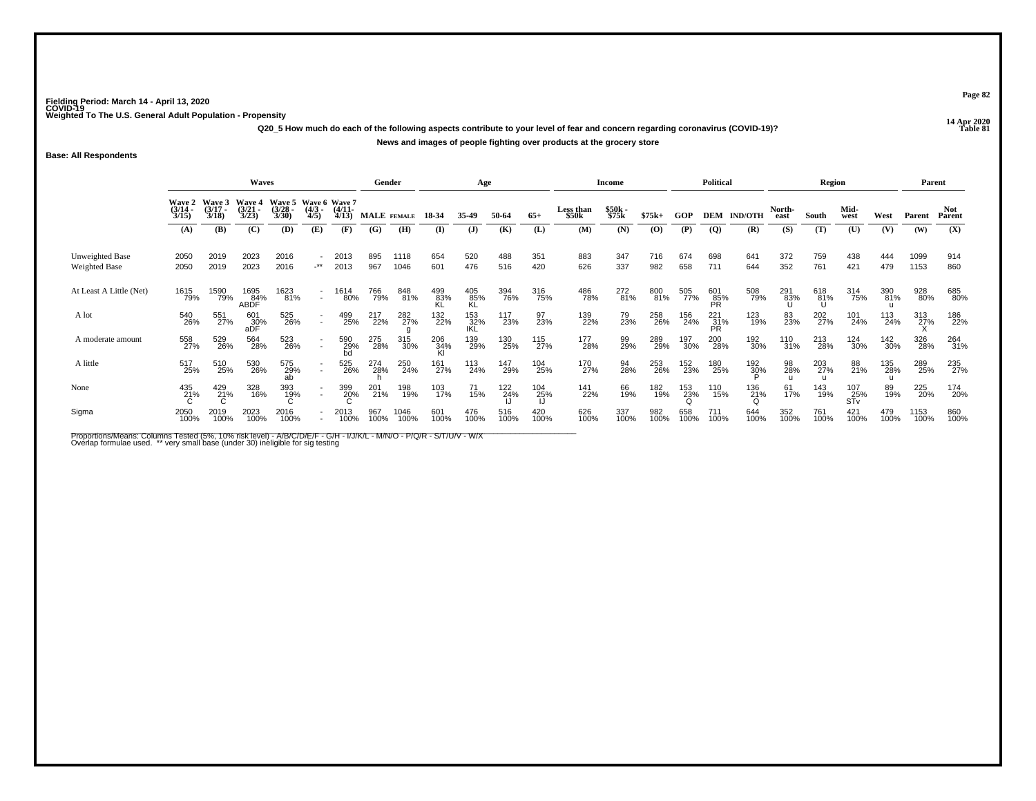**14 Apr 2020 Q20\_5 How much do each of the following aspects contribute to your level of fear and concern regarding coronavirus (COVID-19)?News and images of people fighting over products at the grocery store**

**Base: All Respondents**

|                                         |                       |                                        | Waves                               |                                              |                                    |                       | Gender             |              |             | Age                |             |             |                    | Income         |             |             | <b>Political</b>   |                |                | Region          |                   |             | Parent       |                |
|-----------------------------------------|-----------------------|----------------------------------------|-------------------------------------|----------------------------------------------|------------------------------------|-----------------------|--------------------|--------------|-------------|--------------------|-------------|-------------|--------------------|----------------|-------------|-------------|--------------------|----------------|----------------|-----------------|-------------------|-------------|--------------|----------------|
|                                         | $\frac{(3/14)}{3/15}$ | Wave 2 Wave 3<br>$\frac{(3/17)}{3/18}$ | Wave 4<br>$\frac{(3/21)}{3/23}$     | Wave 5 Wave 6 Wave 7<br>$\binom{3/28}{3/30}$ | $\frac{(4/3)}{4/5}$                | $\frac{(4/11)}{4/13}$ | <b>MALE</b> FEMALE |              | 18-34       | 35-49              | 50-64       | $65+$       | Less than<br>\$50k | \$50k<br>\$75k | $$75k+$     | GOP         | DEM                | <b>IND/OTH</b> | North-<br>east | South           | Mid-<br>west      | West        | Parent       | Not.<br>Parent |
|                                         | (A)                   | (B)                                    | (C)                                 | (D)                                          | (E)                                | (F)                   | (G)                | (H)          | (I)         | $\mathbf{J}$       | (K)         | (L)         | (M)                | (N)            | (0)         | (P)         | (Q)                | (R)            | (S)            | (T)             | (U)               | (V)         | (W)          | (X)            |
| Unweighted Base<br><b>Weighted Base</b> | 2050<br>2050          | 2019<br>2019                           | 2023<br>2023                        | 2016<br>2016                                 | $\overline{\phantom{a}}$<br>-**    | 2013<br>2013          | 895<br>967         | 1118<br>1046 | 654<br>601  | 520<br>476         | 488<br>516  | 351<br>420  | 883<br>626         | 347<br>337     | 716<br>982  | 674<br>658  | 698<br>711         | 641<br>644     | 372<br>352     | 759<br>761      | 438<br>421        | 444<br>479  | 1099<br>1153 | 914<br>860     |
| At Least A Little (Net)                 | 1615<br>79%           | 1590<br>79%                            | 1695<br>8 <u>4</u> %<br><b>ABDF</b> | 1623<br>81%                                  | $\sim$                             | 1614<br>80%           | 766<br>79%         | 848<br>81%   | 499<br>83%  | 405<br>85%<br>KL   | 394<br>76%  | 316<br>75%  | 486<br>78%         | 272<br>81%     | 800<br>81%  | 505<br>77%  | 601<br>85%<br>PR   | 508<br>79%     | 291<br>83%     | 618<br>81%<br>Ս | 314<br>75%        | 390<br>81%  | 928<br>80%   | 685<br>80%     |
| A lot                                   | 540<br>26%            | 551<br>27%                             | 601<br>30%<br>aDF                   | 525<br>26%                                   | $\sim$                             | 499<br>25%            | 217<br>22%         | 282<br>27%   | 132<br>22%  | 153<br>_32%<br>IKL | 117<br>23%  | 97<br>23%   | 139<br>22%         | 79<br>23%      | 258<br>26%  | 156<br>24%  | $^{221}_{31\%}$ PR | 123<br>19%     | 83<br>23%      | 202<br>27%      | 101<br>24%        | 113<br>24%  | 313<br>27%   | 186<br>22%     |
| A moderate amount                       | 558<br>27%            | 529<br>26%                             | 564<br>28%                          | 523<br>26%                                   | $\sim$                             | 590<br>29%<br>bd      | 275<br>28%         | 315<br>30%   | 206<br>34%  | 139<br>29%         | 130<br>25%  | 115<br>27%  | 177<br>28%         | 99<br>29%      | 289<br>29%  | 197<br>30%  | 200<br>28%         | 192<br>30%     | 110<br>31%     | 213<br>28%      | 124<br>30%        | 142<br>30%  | 326<br>28%   | 264<br>31%     |
| A little                                | 517<br>25%            | 510<br>25%                             | 530<br>26%                          | 575<br>29%                                   | $\overline{\phantom{a}}$<br>$\sim$ | 525<br>26%            | 274<br>28%         | 250<br>24%   | 161<br>27%  | 113<br>24%         | 147<br>29%  | 104<br>25%  | 170<br>27%         | 94<br>28%      | 253<br>26%  | 152<br>23%  | 180<br>25%         | 192<br>30%     | 98<br>28%      | 203<br>27%      | 88<br>21%         | 135<br>28%  | 289<br>25%   | 235<br>27%     |
| None                                    | 435<br>21%            | $^{429}_{21\%}$                        | 328<br>16%                          | 393<br>19%                                   | $\sim$                             | 399<br>20%            | 201<br>21%         | 198<br>19%   | 103<br>17%  | 71<br>15%          | 122<br>24%  | 104<br>25%  | 141<br>22%         | 66<br>19%      | 182<br>19%  | 153<br>23%  | 110<br>15%         | 136<br>21%     | 61<br>17%      | 143<br>19%      | 107<br>25%<br>STv | 89<br>19%   | 225<br>20%   | 174<br>20%     |
| Sigma                                   | 2050<br>100%          | 2019<br>100%                           | 2023<br>100%                        | 2016<br>100%                                 |                                    | 2013<br>100%          | 967<br>100%        | 1046<br>100% | 601<br>100% | 476<br>100%        | 516<br>100% | 420<br>100% | 626<br>100%        | 337<br>100%    | 982<br>100% | 658<br>100% | 711<br>100%        | 644<br>100%    | 352<br>100%    | 761<br>100%     | 421<br>100%       | 479<br>100% | 1153<br>100% | 860<br>100%    |

Proportions/Means: Columns Tested (5%, 10% risk level) - A/B/C/D/E/F - G/H - I/J/K/L - M/N/O - P/Q/R - S/T/U/V - W/X<br>Overlap formulae used. \*\* very small base (under 30) ineligible for sig testing

**Page 82**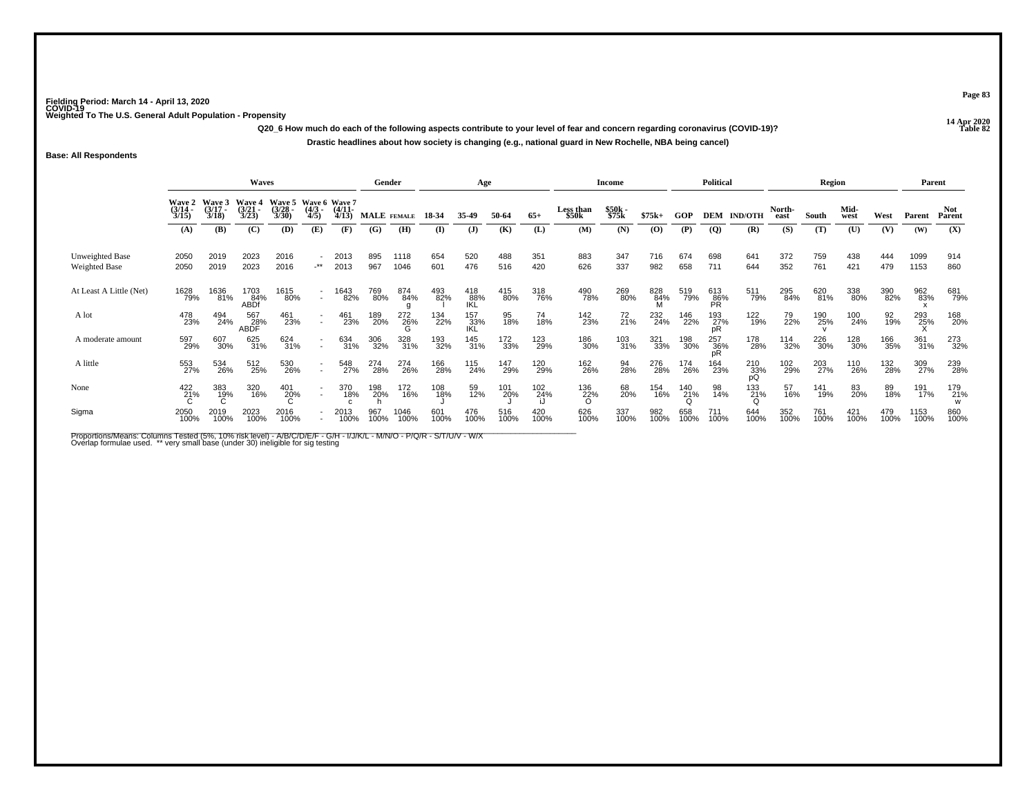**14 Apr 2020 Q20\_6 How much do each of the following aspects contribute to your level of fear and concern regarding coronavirus (COVID-19)?Drastic headlines about how society is changing (e.g., national guard in New Rochelle, NBA being cancel)**

**Base: All Respondents**

|                                         |                       |                                    | <b>Waves</b>             |                                              |                                    |                       | Gender      |                 |             | Age                      |             |             |                    | Income         |                |             | <b>Political</b> |                  |                | Region      |              |             | Parent       |                |
|-----------------------------------------|-----------------------|------------------------------------|--------------------------|----------------------------------------------|------------------------------------|-----------------------|-------------|-----------------|-------------|--------------------------|-------------|-------------|--------------------|----------------|----------------|-------------|------------------|------------------|----------------|-------------|--------------|-------------|--------------|----------------|
|                                         | $\frac{(3/14)}{3/15}$ | Wave 2 Wave 3<br>$(3/17 -$<br>3/18 | Wave 4<br>(3/21)<br>3/23 | Wave 5 Wave 6 Wave 7<br>$\binom{3/28}{3/30}$ | $\frac{(4/3)}{4/5}$                | $\frac{(4/11)}{4/13}$ | MALE FEMALE |                 | 18-34       | 35-49                    | 50-64       | $65+$       | Less than<br>\$50k | \$50k<br>\$75k | $$75k+$        | GOP         | <b>DEM</b>       | <b>IND/OTH</b>   | North-<br>east | South       | Mid-<br>west | West        | Parent       | Not.<br>Parent |
|                                         | (A)                   | <b>(B)</b>                         | (C)                      | (D)                                          | (E)                                | (F)                   | (G)         | (H)             | $\bf(I)$    | $\mathbf{J}$             | (K)         | (L)         | (M)                | (N)            | $\mathbf{(O)}$ | (P)         | $\overline{Q}$   | (R)              | (S)            | (T)         | (U)          | (V)         | (W)          | (X)            |
| Unweighted Base<br><b>Weighted Base</b> | 2050<br>2050          | 2019<br>2019                       | 2023<br>2023             | 2016<br>2016                                 | $\overline{\phantom{a}}$<br>-**    | 2013<br>2013          | 895<br>967  | 1118<br>1046    | 654<br>601  | 520<br>476               | 488<br>516  | 351<br>420  | 883<br>626         | 347<br>337     | 716<br>982     | 674<br>658  | 698<br>711       | 641<br>644       | 372<br>352     | 759<br>761  | 438<br>421   | 444<br>479  | 1099<br>1153 | 914<br>860     |
| At Least A Little (Net)                 | 1628<br>79%           | 1636<br>81%                        | 1703<br>84%<br>ABDf      | 1615<br>80%                                  | $\sim$                             | 1643<br>82%           | 769<br>80%  | 874<br>84%      | 493<br>82%  | 418<br>88%<br><b>IKL</b> | 415<br>80%  | 318<br>76%  | 490<br>78%         | 269<br>80%     | 828<br>84%     | 519<br>79%  | 613<br>86%<br>PR | 511<br>79%       | 295<br>84%     | 620<br>81%  | 338<br>80%   | 390<br>82%  | 962<br>83%   | 681<br>79%     |
| A lot                                   | 478<br>23%            | 494<br>24%                         | 567<br>28%<br>ABDF       | 461<br>23%                                   | $\sim$                             | 461<br>23%            | 189<br>20%  | 272<br>26%<br>G | 134<br>22%  | 157<br>_33%<br>IKL       | 95<br>18%   | 74<br>18%   | 142<br>23%         | 72<br>21%      | 232<br>24%     | 146<br>22%  | 193<br>27%<br>pR | 122<br>19%       | 79<br>22%      | 190<br>25%  | 100<br>24%   | 92<br>19%   | 293<br>25%   | 168<br>20%     |
| A moderate amount                       | 597<br>29%            | 607<br>30%                         | 625<br>31%               | 624<br>31%                                   | $\overline{\phantom{a}}$<br>$\sim$ | 634<br>31%            | 306<br>32%  | 328<br>31%      | 193<br>32%  | 145<br>31%               | 172<br>33%  | 123<br>29%  | 186<br>30%         | 103<br>31%     | 321<br>33%     | 198<br>30%  | 257<br>36%<br>pR | 178<br>28%       | 114<br>32%     | 226<br>30%  | 128<br>30%   | 166<br>35%  | 361<br>31%   | 273<br>32%     |
| A little                                | 553<br>27%            | 534<br>26%                         | 512<br>25%               | 530<br>26%                                   | $\overline{\phantom{a}}$<br>$\sim$ | 548<br>27%            | 274<br>28%  | 274<br>26%      | 166<br>28%  | 115<br>24%               | 147<br>29%  | 120<br>29%  | 162<br>26%         | 94<br>28%      | 276<br>28%     | 174<br>26%  | 164<br>23%       | 210<br>33%<br>рQ | 102<br>29%     | 203<br>27%  | 110<br>26%   | 132<br>28%  | 309<br>27%   | 239<br>28%     |
| None                                    | $\frac{422}{21\%}$    | 383<br>19%                         | 320<br>16%               | 401<br>20%                                   | $\sim$                             | 370<br>18%            | 198<br>20%  | 172<br>16%      | 108<br>18%  | 59<br>12%                | 101<br>20%  | 102<br>24%  | 136<br>22%<br>ဂ    | 68<br>20%      | 154<br>16%     | 140<br>21%  | 98<br>14%        | 133<br>21%       | 57<br>16%      | 141<br>19%  | 83<br>20%    | 89<br>18%   | 191<br>17%   | 179<br>21%     |
| Sigma                                   | 2050<br>100%          | 2019<br>100%                       | 2023<br>100%             | 2016<br>100%                                 |                                    | 2013<br>100%          | 967<br>100% | 1046<br>100%    | 601<br>100% | 476<br>100%              | 516<br>100% | 420<br>100% | 626<br>100%        | 337<br>100%    | 982<br>100%    | 658<br>100% | 711<br>100%      | 644<br>100%      | 352<br>100%    | 761<br>100% | 421<br>100%  | 479<br>100% | 1153<br>100% | 860<br>100%    |

Proportions/Means: Columns Tested (5%, 10% risk level) - A/B/C/D/E/F - G/H - I/J/K/L - M/N/O - P/Q/R - S/T/U/V - W/X<br>Overlap formulae used. \*\* very small base (under 30) ineligible for sig testing

**Page 83**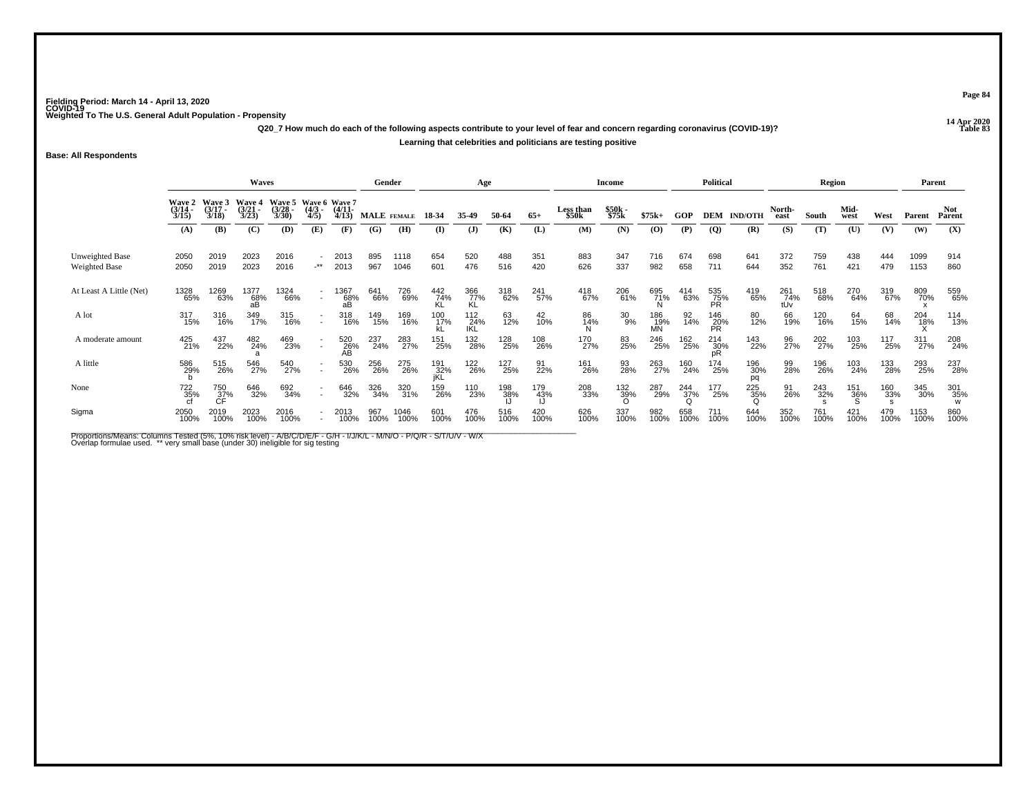**14 Apr 2020 Q20\_7 How much do each of the following aspects contribute to your level of fear and concern regarding coronavirus (COVID-19)?Learning that celebrities and politicians are testing positive**

**Base: All Respondents**

|                                  |                       |                                    | Waves                       |                                               |                                                      |                       | Gender      |              |                   | Age               |             |             |                    | <b>Income</b>      |                  |                        | <b>Political</b>        |                  |                   | Region      |                 |                    | Parent       |                                                          |
|----------------------------------|-----------------------|------------------------------------|-----------------------------|-----------------------------------------------|------------------------------------------------------|-----------------------|-------------|--------------|-------------------|-------------------|-------------|-------------|--------------------|--------------------|------------------|------------------------|-------------------------|------------------|-------------------|-------------|-----------------|--------------------|--------------|----------------------------------------------------------|
|                                  | $\frac{(3/14)}{3/15}$ | Wave 2 Wave 3<br>$(3/17 -$<br>3/18 | Wave 4<br>$(3/21 -$<br>3/23 | Wave 5 Wave 6 Wave 7<br>$\frac{(3/28)}{3/30}$ | $\frac{(4/3)}{4/5}$                                  | $\frac{(4/11)}{4/13}$ | MALE FEMALE |              | 18-34             | 35-49             | 50-64       | $65+$       | Less than<br>\$50k | \$50k<br>\$75k     | $$75k+$          | GOP                    | <b>DEM</b>              | <b>IND/OTH</b>   | North-<br>east    | South       | Mid-<br>west    | West               | Parent       | Not.<br>Parent                                           |
|                                  | (A)                   | (B)                                | (C)                         | (D)                                           | (E)                                                  | (F)                   | (G)         | (H)          | $\bf(I)$          | $\mathbf{J}$      | (K)         | (L)         | (M)                | (N)                | (0)              | (P)                    | (Q)                     | (R)              | (S)               | (T)         | (U)             | (V)                | (W)          | (X)                                                      |
| Unweighted Base<br>Weighted Base | 2050<br>2050          | 2019<br>2019                       | 2023<br>2023                | 2016<br>2016                                  | -**                                                  | 2013<br>2013          | 895<br>967  | 1118<br>1046 | 654<br>601        | 520<br>476        | 488<br>516  | 351<br>420  | 883<br>626         | 347<br>337         | 716<br>982       | 674<br>658             | 698<br>711              | 641<br>644       | 372<br>352        | 759<br>761  | 438<br>421      | 444<br>479         | 1099<br>1153 | 914<br>860                                               |
| At Least A Little (Net)          | 1328<br>65%           | 1269<br>63%                        | 1377<br>68%<br>aВ           | 1324<br>66%                                   | $\overline{\phantom{a}}$<br>$\sim$                   | 1367<br>68%<br>аB     | 641<br>66%  | 726<br>69%   | 442<br>74%        | 366<br>77%<br>KL  | 318<br>62%  | 241<br>57%  | 418<br>67%         | 206<br>61%         | 695<br>71%       | 414<br>63%             | 535<br>75%<br><b>PR</b> | 419<br>65%       | 261<br>74%<br>tUv | 518<br>68%  | 270<br>64%      | 319<br>67%         | 809<br>70%   | 559<br>65%                                               |
| A lot                            | 317<br>15%            | 316<br>16%                         | 349<br>17%                  | 315<br>16%                                    | $\overline{\phantom{a}}$<br>$\overline{\phantom{a}}$ | 318<br>16%            | 149<br>15%  | 169<br>16%   | 100<br>17%        | 112<br>24%<br>IKL | 63<br>12%   | 42<br>10%   | 86<br>14%          | 30<br>9%           | 186<br>19%<br>MN | 92<br>14%              | 146<br>20%<br>PR        | 80<br>12%        | 66<br>19%         | 120<br>16%  | 64<br>15%       | 68<br>14%          | 204<br>18%   | 114<br>13%                                               |
| A moderate amount                | 425<br>21%            | 437<br>22%                         | 482<br>24%                  | 469<br>23%                                    | $\sim$                                               | 520<br>26%<br>AB      | 237<br>24%  | 283<br>27%   | 151<br>25%        | 132<br>28%        | 128<br>25%  | 108<br>26%  | 170<br>27%         | 83<br>25%          | 246<br>25%       | 162<br>25%             | 214<br>30%<br>pR        | 143<br>22%       | 96<br>27%         | 202<br>27%  | 103<br>25%      | 117<br>25%         | 311<br>27%   | 208<br>24%                                               |
| A little                         | 586<br>29%            | 515<br>26%                         | 546<br>27%                  | 540<br>27%                                    | $\sim$                                               | 530<br>26%            | 256<br>26%  | 275<br>26%   | 191<br>32%<br>jKL | 122<br>26%        | 127<br>25%  | 91<br>22%   | 161<br>26%         | 93<br>28%          | 263<br>27%       | 160<br>24%             | 174<br>25%              | 196<br>30%<br>pq | 99<br>28%         | 196<br>26%  | 103<br>24%      | 133<br>28%         | 293<br>25%   | 237<br>28%                                               |
| None                             | 722<br>35%<br>cf      | $\frac{750}{37\%}$                 | 646<br>32%                  | 692<br>34%                                    | $\sim$                                               | 646<br>32%            | 326<br>34%  | 320<br>31%   | 159<br>26%        | 110<br>23%        | 198<br>38%  | 179<br>43%  | 208<br>33%         | $\frac{132}{39\%}$ | 287<br>29%       | 244<br>37%<br>$\Omega$ | 177<br>25%              | 225<br>35%       | 91<br>26%         | 243<br>32%  | 151<br>36%<br>S | $\frac{160}{33\%}$ | 345<br>30%   | $\begin{array}{c} 301 \\ 35\% \\ \textrm{W} \end{array}$ |
| Sigma                            | 2050<br>100%          | 2019<br>100%                       | 2023<br>100%                | 2016<br>100%                                  | $\overline{\phantom{a}}$                             | 2013<br>100%          | 967<br>100% | 1046<br>100% | 601<br>100%       | 476<br>100%       | 516<br>100% | 420<br>100% | 626<br>100%        | 337<br>100%        | 982<br>100%      | 658<br>100%            | 711<br>100%             | 644<br>100%      | 352<br>100%       | 761<br>100% | 421<br>100%     | 479<br>100%        | 1153<br>100% | 860<br>100%                                              |

Proportions/Means: Columns Tested (5%, 10% risk level) - A/B/C/D/E/F - G/H - I/J/K/L - M/N/O - P/Q/R - S/T/U/V - W/X<br>Overlap formulae used. \*\* very small base (under 30) ineligible for sig testing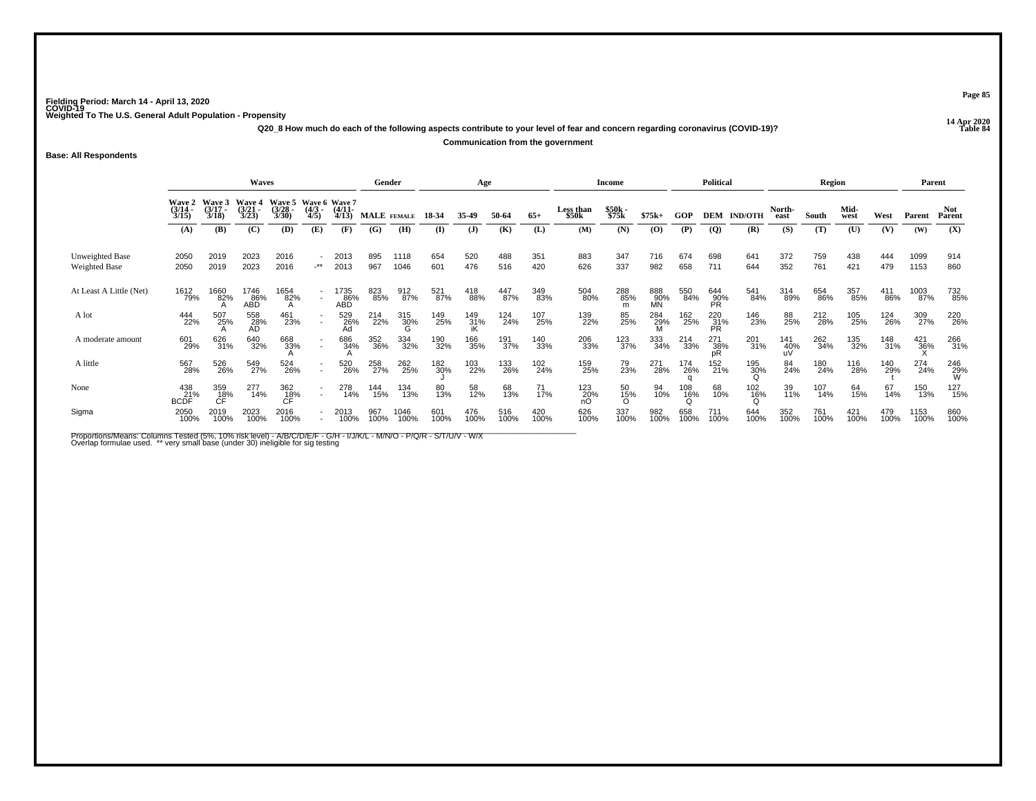**14 Apr 2020 Q20\_8 How much do each of the following aspects contribute to your level of fear and concern regarding coronavirus (COVID-19)?Communication from the government**

**Base: All Respondents**

|                                         |                                 |                             | Waves                           |                                               |                          |                           | Gender      |                 |             | Age             |             |             |                    | <b>Income</b>  |                  |             | <b>Political</b> |                |                | <b>Region</b> |              |             | Parent       |                 |
|-----------------------------------------|---------------------------------|-----------------------------|---------------------------------|-----------------------------------------------|--------------------------|---------------------------|-------------|-----------------|-------------|-----------------|-------------|-------------|--------------------|----------------|------------------|-------------|------------------|----------------|----------------|---------------|--------------|-------------|--------------|-----------------|
|                                         | Wave 2<br>$\frac{(3/14)}{3/15}$ | Wave 3<br>$(3/17 -$<br>3/18 | Wave 4<br>$\frac{(3/21)}{3/23}$ | Wave 5 Wave 6 Wave 7<br>$\frac{(3/28)}{3/30}$ | $\frac{(4/3)}{4/5}$      | $(4/11 -$<br>4/13         | MALE FEMALE |                 | 18-34       | 35-49           | 50-64       | $65+$       | Less than<br>\$50k | \$50k<br>\$75k | $$75k+$          | <b>GOP</b>  | <b>DEM</b>       | <b>IND/OTH</b> | North-<br>east | South         | Mid-<br>west | West        | Parent       | Not.<br>Parent  |
|                                         | (A)                             | (B)                         | (C)                             | (D)                                           | (E)                      | (F)                       | (G)         | (H)             | $($ I       | (J)             | (K)         | (L)         | (M)                | (N)            | (0)              | (P)         | $\overline{Q}$   | (R)            | (S)            | (T)           | (U)          | (V)         | (W)          | (X)             |
| Unweighted Base<br><b>Weighted Base</b> | 2050<br>2050                    | 2019<br>2019                | 2023<br>2023                    | 2016<br>2016                                  | $\cdot^{\star\star}$     | 2013<br>2013              | 895<br>967  | 1118<br>1046    | 654<br>601  | 520<br>476      | 488<br>516  | 351<br>420  | 883<br>626         | 347<br>337     | 716<br>982       | 674<br>658  | 698<br>711       | 641<br>644     | 372<br>352     | 759<br>761    | 438<br>421   | 444<br>479  | 1099<br>1153 | 914<br>860      |
| At Least A Little (Net)                 | 1612<br>79%                     | 1660<br>82%                 | 1746<br>86%<br><b>ABD</b>       | 1654<br>82%<br>A                              | $\sim$                   | 1735<br>86%<br><b>ABD</b> | 823<br>85%  | 912<br>87%      | 521<br>87%  | 418<br>88%      | 447<br>87%  | 349<br>83%  | 504<br>80%         | 288<br>85%     | 888<br>90%<br>MÑ | 550<br>84%  | 644<br>90%<br>PR | 541<br>84%     | 314<br>89%     | 654<br>86%    | 357<br>85%   | 411<br>86%  | 1003<br>87%  | 732<br>85%      |
| A lot                                   | 444<br>22%                      | 507<br>25%                  | 558<br>28%<br>AD                | 461<br>23%                                    | $\overline{\phantom{a}}$ | 529<br>26%<br>Ad          | 214<br>22%  | 315<br>30%<br>G | 149<br>25%  | $^{149}_{31\%}$ | 124<br>24%  | 107<br>25%  | 139<br>22%         | 85<br>25%      | $^{284}_{29\%}$  | 162<br>25%  | 220<br>31%<br>PR | 146<br>23%     | 88<br>25%      | 212<br>28%    | 105<br>25%   | 124<br>26%  | 309<br>27%   | 220<br>26%      |
| A moderate amount                       | 601<br>29%                      | 626<br>31%                  | 640<br>32%                      | 668<br>33%                                    | $\sim$                   | 686<br>34%                | 352<br>36%  | 334<br>32%      | 190<br>32%  | 166<br>35%      | 191<br>37%  | 140<br>33%  | 206<br>33%         | 123<br>37%     | 333<br>34%       | 214<br>33%  | 271<br>38%<br>pR | 201<br>31%     | 141<br>40%     | 262<br>34%    | 135<br>32%   | 148<br>31%  | 421<br>36%   | 266<br>31%      |
| A little                                | 567<br>28%                      | 526<br>26%                  | 549<br>27%                      | 524<br>26%                                    | $\sim$                   | 520<br>26%                | 258<br>27%  | 262<br>25%      | 182<br>30%  | 103<br>22%      | 133<br>26%  | 102<br>24%  | 159<br>25%         | 79<br>23%      | 271<br>28%       | 174<br>26%  | 152<br>21%       | 195<br>30%     | 84<br>24%      | 180<br>24%    | 116<br>28%   | 140<br>29%  | 274<br>24%   | 246<br>29%<br>W |
| None                                    | 438<br>BCDF <sup>21%</sup>      | 359<br>C <sup>F</sup>       | 277<br>14%                      | 362<br>18%<br>CF                              | $\sim$                   | 278<br>14%                | 144<br>15%  | 134<br>13%      | 80<br>13%   | 58<br>12%       | 68<br>13%   | 71<br>17%   | $^{123}_{20\%}$ nO | 50<br>15%<br>O | 94<br>10%        | 108<br>16%  | 68<br>10%        | 102<br>16%     | 39<br>11%      | 107<br>14%    | 64<br>15%    | 67<br>14%   | 150<br>13%   | 127<br>15%      |
| Sigma                                   | 2050<br>100%                    | 2019<br>100%                | 2023<br>100%                    | 2016<br>100%                                  | $\overline{\phantom{a}}$ | 2013<br>100%              | 967<br>100% | 1046<br>100%    | 601<br>100% | 476<br>100%     | 516<br>100% | 420<br>100% | 626<br>100%        | 337<br>100%    | 982<br>100%      | 658<br>100% | 711<br>100%      | 644<br>100%    | 352<br>100%    | 761<br>100%   | 421<br>100%  | 479<br>100% | 1153<br>100% | 860<br>100%     |

Proportions/Means: Columns Tested (5%, 10% risk level) - A/B/C/D/E/F - G/H - I/J/K/L - M/N/O - P/Q/R - S/T/U/V - W/X<br>Overlap formulae used. \*\* very small base (under 30) ineligible for sig testing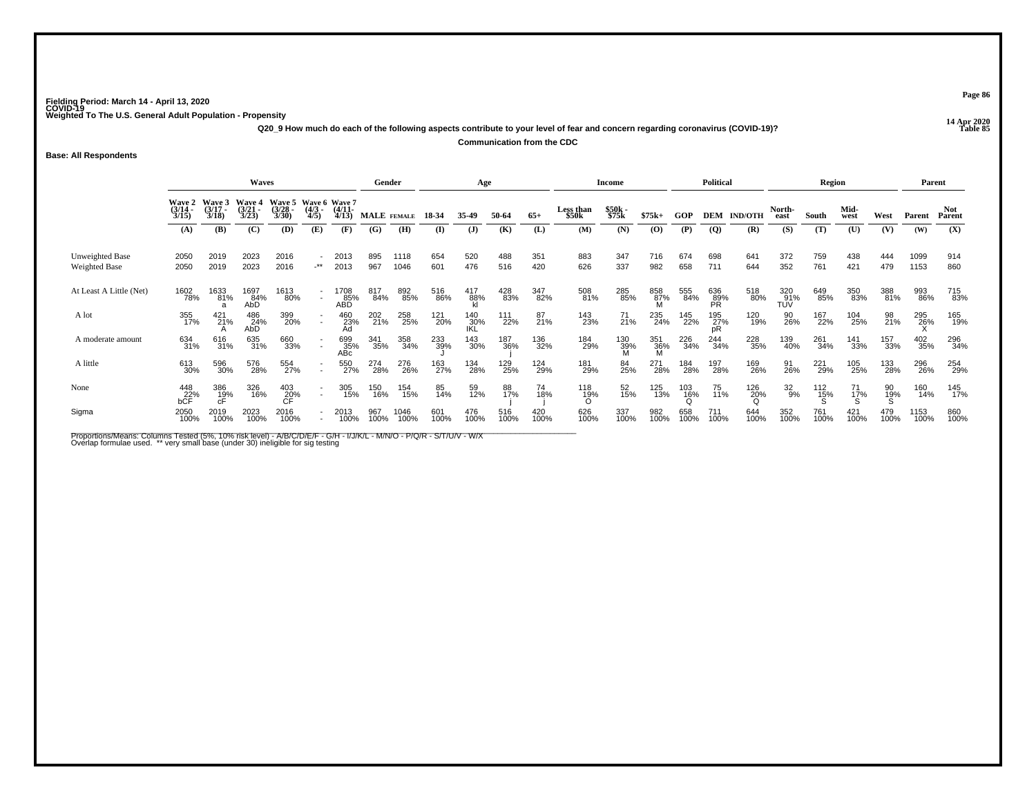**14 Apr 2020 Q20\_9 How much do each of the following aspects contribute to your level of fear and concern regarding coronavirus (COVID-19)?Communication from the CDC**

**Base: All Respondents**

|                                         |                       |                                    | Waves                                  |                                               |                      |                           | Gender      |              |             | Age                |             |             |                    | Income          |                 |                                 | <b>Political</b>        |                |                   | Region          |              |                | Parent       |                      |
|-----------------------------------------|-----------------------|------------------------------------|----------------------------------------|-----------------------------------------------|----------------------|---------------------------|-------------|--------------|-------------|--------------------|-------------|-------------|--------------------|-----------------|-----------------|---------------------------------|-------------------------|----------------|-------------------|-----------------|--------------|----------------|--------------|----------------------|
|                                         | $\frac{(3/14)}{3/15}$ | Wave 2 Wave 3<br>$(3/17 -$<br>3/18 | <b>Wave 4</b><br>$\frac{(3/21)}{3/23}$ | Wave 5 Wave 6 Wave 7<br>$\frac{(3/28)}{3/30}$ | $\frac{(4/3)}{4/5}$  | $\frac{(4/11)}{4/13}$     | MALE FEMALE |              | 18-34       | 35-49              | 50-64       | $65+$       | Less than<br>\$50k | \$50k<br>\$75k  | $$75k+$         | GOP                             | <b>DEM</b>              | <b>IND/OTH</b> | North-<br>east    | South           | Mid-<br>west | West           | Parent       | <b>Not</b><br>Parent |
|                                         | (A)                   | (B)                                | (C)                                    | (D)                                           | (E)                  | (F)                       | (G)         | (H)          | $($ I       | ( <b>J</b> )       | (K)         | (L)         | (M)                | (N)             | (0)             | (P)                             | (Q)                     | (R)            | (S)               | (T)             | (U)          | (V)            | (W)          | (X)                  |
| Unweighted Base<br><b>Weighted Base</b> | 2050<br>2050          | 2019<br>2019                       | 2023<br>2023                           | 2016<br>2016                                  | $\cdot^{\star\star}$ | 2013<br>2013              | 895<br>967  | 1118<br>1046 | 654<br>601  | 520<br>476         | 488<br>516  | 351<br>420  | 883<br>626         | 347<br>337      | 716<br>982      | 674<br>658                      | 698<br>711              | 641<br>644     | 372<br>352        | 759<br>761      | 438<br>421   | 444<br>479     | 1099<br>1153 | 914<br>860           |
| At Least A Little (Net)                 | 1602<br>78%           | 1633<br>81%                        | 1697<br>84%<br>AbD                     | 1613<br>80%                                   | $\sim$               | 1708<br>85%<br><b>ABD</b> | 817<br>84%  | 892<br>85%   | 516<br>86%  | 417<br>88%         | 428<br>83%  | 347<br>82%  | 508<br>81%         | 285<br>85%      | 858<br>87%      | 555<br>84%                      | 636<br>89%<br><b>PR</b> | 518<br>80%     | 320<br>91%<br>TŬV | 649<br>85%      | 350<br>83%   | 388<br>81%     | 993<br>86%   | 715<br>83%           |
| A lot                                   | 355<br>17%            | $^{421}_{21\%}$                    | 486<br>$24\%$<br>AbD                   | 399<br>20%                                    | $\sim$               | 460<br>23%<br>Ad          | 202<br>21%  | 258<br>25%   | 121<br>20%  | 140<br>_30%<br>IKL | 111<br>22%  | 87<br>21%   | 143<br>23%         | $^{71}_{21\%}$  | 235<br>24%      | 145<br>22%                      | 195<br>27%<br>pR        | 120<br>19%     | 90<br>26%         | 167<br>22%      | 104<br>25%   | 98<br>21%      | 295<br>26%   | 165<br>19%           |
| A moderate amount                       | 634<br>31%            | 616<br>31%                         | 635<br>31%                             | 660<br>33%                                    |                      | 699<br>35%<br>ABc         | 341<br>35%  | 358<br>34%   | 233<br>39%  | 143<br>30%         | 187<br>36%  | 136<br>32%  | 184<br>29%         | 130<br>39%<br>M | 351<br>36%<br>M | 226<br>34%                      | 244<br>34%              | 228<br>35%     | 139<br>40%        | 261<br>34%      | 141<br>33%   | 157<br>33%     | 402<br>35%   | 296<br>34%           |
| A little                                | 613<br>30%            | 596<br>30%                         | 576<br>28%                             | 554<br>27%                                    | $\sim$               | 550<br>27%                | 274<br>28%  | 276<br>26%   | 163<br>27%  | 134<br>28%         | 129<br>25%  | 124<br>29%  | 181<br>29%         | 84<br>25%       | 271<br>28%      | 184<br>28%                      | 197<br>28%              | 169<br>26%     | 91<br>26%         | 221<br>29%      | 105<br>25%   | 133<br>28%     | 296<br>26%   | 254<br>29%           |
| None                                    | 448<br>22%<br>bCF     | 386<br>1 <u>9</u> %                | 326<br>16%                             | 403<br>20%<br>CF                              | $\sim$               | 305<br>15%                | 150<br>16%  | 154<br>15%   | 85<br>14%   | 59<br>12%          | 88<br>17%   | 74<br>18%   | 118<br>19%         | 52<br>15%       | 125<br>13%      | $^{103}_{\substack{16\% \\ 0}}$ | 75<br>11%               | 126<br>20%     | 32<br>9%          | $^{112}_{15\%}$ | 71<br>17%    | 90<br>19%<br>S | 160<br>14%   | 145<br>17%           |
| Sigma                                   | 2050<br>100%          | 2019<br>100%                       | 2023<br>100%                           | 2016<br>100%                                  |                      | 2013<br>100%              | 967<br>100% | 1046<br>100% | 601<br>100% | 476<br>100%        | 516<br>100% | 420<br>100% | 626<br>100%        | 337<br>100%     | 982<br>100%     | 658<br>100%                     | 711<br>100%             | 644<br>100%    | 352<br>100%       | 761<br>100%     | 421<br>100%  | 479<br>100%    | 1153<br>100% | 860<br>100%          |

Proportions/Means: Columns Tested (5%, 10% risk level) - A/B/C/D/E/F - G/H - I/J/K/L - M/N/O - P/Q/R - S/T/U/V - W/X<br>Overlap formulae used. \*\* very small base (under 30) ineligible for sig testing

**Page 86**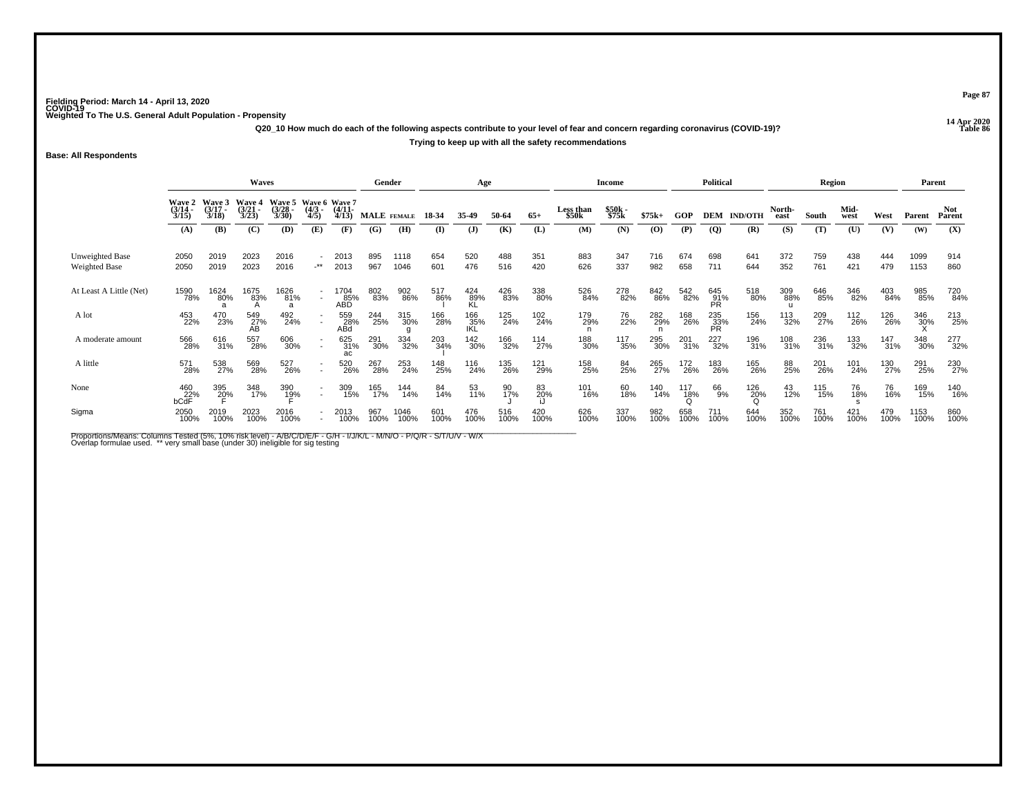**14 Apr 2020 Q20\_10 How much do each of the following aspects contribute to your level of fear and concern regarding coronavirus (COVID-19)?Trying to keep up with all the safety recommendations**

**Base: All Respondents**

|                                  |                                        |                       | Waves                                    |                                               |                                                      |                           | Gender      |                 |             | Age               |             |                  |                           | Income         |             |                 | <b>Political</b>  |                 |                | Region      |              |             | Parent       |                      |
|----------------------------------|----------------------------------------|-----------------------|------------------------------------------|-----------------------------------------------|------------------------------------------------------|---------------------------|-------------|-----------------|-------------|-------------------|-------------|------------------|---------------------------|----------------|-------------|-----------------|-------------------|-----------------|----------------|-------------|--------------|-------------|--------------|----------------------|
|                                  | Wave 2 Wave 3<br>$\frac{(3/14)}{3/15}$ | $\frac{(3/17)}{3/18}$ | Wave 4<br>$\frac{3}{2}$<br>$\frac{3}{2}$ | Wave 5 Wave 6 Wave 7<br>$\frac{(3/28)}{3/30}$ | $\frac{(4/3)}{4/5}$                                  | $\frac{(4/11)}{4/13}$     | MALE FEMALE |                 | 18-34       | 35.49             | 50-64       | $65+$            | <b>Less than</b><br>\$50k | \$50k<br>\$75k | $$75k+$     | GOP             | <b>DEM</b>        | <b>IND/OTH</b>  | North-<br>east | South       | Mid-<br>west | West        | Parent       | <b>Not</b><br>Parent |
|                                  | (A)                                    | (B)                   | (C)                                      | (D)                                           | (E)                                                  | (F)                       | (G)         | (H)             | $\bf{I}$    | $\mathbf{J}$      | (K)         | (L)              | (M)                       | (N)            | (O)         | (P)             | $\overline{Q}$    | (R)             | (S)            | (T)         | (U)          | (V)         | (W)          | (X)                  |
| Unweighted Base<br>Weighted Base | 2050<br>2050                           | 2019<br>2019          | 2023<br>2023                             | 2016<br>2016                                  | ٠<br>$-***$                                          | 2013<br>2013              | 895<br>967  | 1118<br>1046    | 654<br>601  | 520<br>476        | 488<br>516  | 351<br>420       | 883<br>626                | 347<br>337     | 716<br>982  | 674<br>658      | 698<br>711        | 641<br>644      | 372<br>352     | 759<br>761  | 438<br>421   | 444<br>479  | 1099<br>1153 | 914<br>860           |
| At Least A Little (Net)          | 1590<br>78%                            | 1624<br>80%           | 1675<br>83%                              | 1626<br>81%<br>a                              | $\sim$                                               | 1704<br>85%<br><b>ABD</b> | 802<br>83%  | 902<br>86%      | 517<br>86%  | 424<br>89%        | 426<br>83%  | 338<br>80%       | 526<br>84%                | 278<br>82%     | 842<br>86%  | 542<br>82%      | 645<br>91%<br>PR. | 518<br>80%      | 309<br>88%     | 646<br>85%  | 346<br>82%   | 403<br>84%  | 985<br>85%   | 720<br>84%           |
| A lot                            | 453<br>22%                             | 470<br>23%            | 549<br>27%<br>AB                         | 492<br>24%                                    | $\blacksquare$                                       | 559<br>28%<br>ABd         | 244<br>25%  | 315<br>30%<br>g | 166<br>28%  | 166<br>35%<br>IKL | 125<br>24%  | 102<br>24%       | 179<br>29%                | 76<br>22%      | 282<br>29%  | 168<br>26%      | 235<br>33%<br>PR  | 156<br>24%      | 113<br>32%     | 209<br>27%  | 112<br>26%   | 126<br>26%  | 346<br>30%   | 213<br>25%           |
| A moderate amount                | 566<br>28%                             | 616<br>31%            | 557<br>28%                               | 606<br>30%                                    | $\overline{\phantom{a}}$                             | 625<br>31%<br>ac          | 291<br>30%  | 334<br>32%      | 203<br>34%  | 142<br>30%        | 166<br>32%  | 114<br>27%       | 188<br>30%                | 117<br>35%     | 295<br>30%  | 201<br>31%      | 227<br>32%        | 196<br>31%      | 108<br>31%     | 236<br>31%  | 133<br>32%   | 147<br>31%  | 348<br>30%   | 277<br>32%           |
| A little                         | 571<br>28%                             | 538<br>27%            | 569<br>28%                               | 527<br>26%                                    | $\overline{\phantom{a}}$<br>$\overline{\phantom{a}}$ | 520<br>26%                | 267<br>28%  | 253<br>24%      | 148<br>25%  | 116<br>24%        | 135<br>26%  | 121<br>29%       | 158<br>25%                | 84<br>25%      | 265<br>27%  | 172<br>26%      | 183<br>26%        | 165<br>26%      | 88<br>25%      | 201<br>26%  | 101<br>24%   | 130<br>27%  | 291<br>25%   | 230<br>27%           |
| None                             | 460<br>22%<br>bCdF                     | 395<br>20%            | 348<br>17%                               | 390<br>1 <u>9</u> %                           | $\overline{\phantom{a}}$<br>$\overline{\phantom{a}}$ | 309<br>15%                | 165<br>17%  | 144<br>14%      | 84<br>14%   | 53<br>11%         | 90<br>17%   | 83<br>20%<br>i.l | 101<br>16%                | 60<br>18%      | 140<br>14%  | 117<br>18%<br>Q | 66<br>9%          | $^{126}_{20\%}$ | 43<br>12%      | 115<br>15%  | 76<br>18%    | 76<br>16%   | 169<br>15%   | 140<br>16%           |
| Sigma                            | 2050<br>100%                           | 2019<br>100%          | 2023<br>100%                             | 2016<br>100%                                  | $\blacksquare$                                       | 2013<br>100%              | 967<br>100% | 1046<br>100%    | 601<br>100% | 476<br>100%       | 516<br>100% | 420<br>100%      | 626<br>100%               | 337<br>100%    | 982<br>100% | 658<br>100%     | 711<br>100%       | 644<br>100%     | 352<br>100%    | 761<br>100% | 421<br>100%  | 479<br>100% | 1153<br>100% | 860<br>100%          |

Proportions/Means: Columns Tested (5%, 10% risk level) - A/B/C/D/E/F - G/H - I/J/K/L - M/N/O - P/Q/R - S/T/U/V - W/X<br>Overlap formulae used. \*\* very small base (under 30) ineligible for sig testing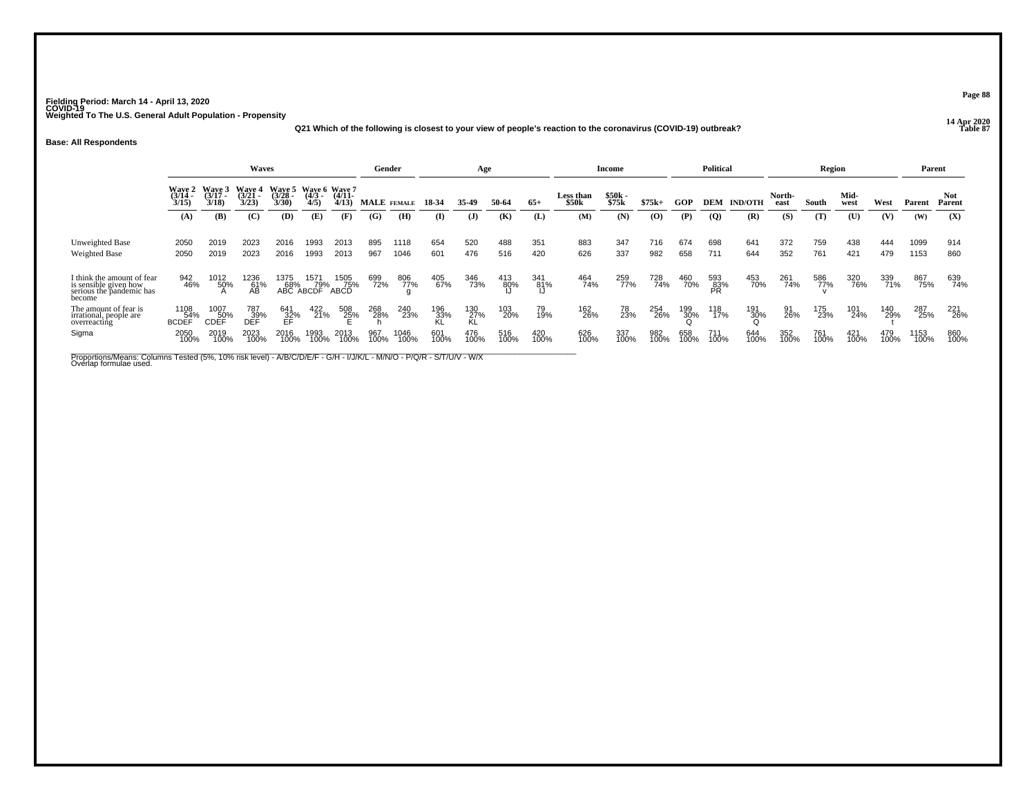**14 Apr 2020 Q21 Which of the following is closest to your view of people's reaction to the coronavirus (COVID-19) outbreak?**

#### **Base: All Respondents**

|                                                                                                                                                |                                    |                                    | <b>Waves</b>                |                                    |                                  |                     |             | Gender       |                  | Age                     |             |             |                    | Income            |             |             | <b>Political</b> |                |                | Region      |              |             | Parent       |                      |
|------------------------------------------------------------------------------------------------------------------------------------------------|------------------------------------|------------------------------------|-----------------------------|------------------------------------|----------------------------------|---------------------|-------------|--------------|------------------|-------------------------|-------------|-------------|--------------------|-------------------|-------------|-------------|------------------|----------------|----------------|-------------|--------------|-------------|--------------|----------------------|
|                                                                                                                                                | <b>Wave 2</b><br>$(3/14 -$<br>3/15 | <b>Waye 3</b><br>$(3/17 -$<br>3/18 | Wave 4<br>$(3/21 -$<br>3/23 | <b>Wave 5</b><br>$(3/28 -$<br>3/30 | Waye 6 Waye 7<br>$(4/3 -$<br>4/5 | $(4/11 -$<br>4/13   |             | MALE FEMALE  | 18-34            | 35.49                   | 50-64       | $65+$       | Less than<br>\$50k | $$50k -$<br>\$75k | $$75k+$     | GOP         | <b>DEM</b>       | <b>IND/OTH</b> | North-<br>east | South       | Mid-<br>west | West        | Parent       | <b>Not</b><br>Parent |
|                                                                                                                                                | (A)                                | (B)                                | (C)                         | (D)                                | (E)                              | (F)                 | (G)         | (H)          | $\bf(I)$         | $\mathbf{J}$            | (K)         | (L)         | (M)                | (N)               | (0)         | (P)         | $\overline{Q}$   | (R)            | (S)            | (T)         | (U)          | (V)         | (W)          | (X)                  |
| Unweighted Base<br><b>Weighted Base</b>                                                                                                        | 2050<br>2050                       | 2019<br>2019                       | 2023<br>2023                | 2016<br>2016                       | 1993<br>1993                     | 2013<br>2013        | 895<br>967  | 1118<br>1046 | 654<br>601       | 520<br>476              | 488<br>516  | 351<br>420  | 883<br>626         | 347<br>337        | 716<br>982  | 674<br>658  | 698<br>711       | 641<br>644     | 372<br>352     | 759<br>761  | 438<br>421   | 444<br>479  | 1099<br>1153 | 914<br>860           |
| I think the amount of fear<br>is sensible given how<br>serious the pandemic has<br>become                                                      | 942<br>46%                         | 1012<br>50%                        | 1236<br>61%<br>ÁВ           | 1375                               | 1571<br>68% 79%<br>ABC ABCDF     | 1505<br>75%<br>ABCD | 699<br>72%  | 806<br>77%   | 405<br>67%       | 346<br>73%              | 413<br>80%  | 341<br>81%  | 464<br>74%         | 259<br>77%        | 728<br>74%  | 460<br>70%  | 593<br>83%<br>PR | 453<br>70%     | 261<br>74%     | 586<br>77%  | 320<br>76%   | 339<br>71%  | 867<br>75%   | 639<br>74%           |
| The amount of fear is<br>irrational, people are<br>overreacting                                                                                | 1108<br>54%<br><b>BCDEF</b>        | 1007<br>50%<br>CDEF                | 787<br>39%<br>DEF           | 641<br>32%<br>EF                   | 422<br>21%                       | 508<br>25%          | 268<br>28%  | 240<br>23%   | 196<br>33%<br>KL | 130<br>27%<br><b>KL</b> | 103<br>20%  | 79<br>19%   | 162<br>26%         | 78<br>23%         | 254<br>26%  | 199<br>30%  | 118<br>17%       | 191<br>30%     | 91<br>26%      | 175<br>23%  | 101<br>24%   | 140<br>29%  | 287<br>25%   | 221<br>26%           |
| Sigma                                                                                                                                          | 2050<br>100%                       | 2019<br>100%                       | 2023<br>100%                | 2016<br>100%                       | 1993<br>100%                     | 2013<br>100%        | 967<br>100% | 1046<br>100% | 601<br>100%      | 476<br>100%             | 516<br>100% | 420<br>100% | 626<br>100%        | 337<br>100%       | 982<br>100% | 658<br>100% | 711<br>100%      | 644<br>100%    | 352<br>100%    | 761<br>100% | 421<br>100%  | 479<br>100% | 1153<br>100% | 860<br>100%          |
| Proportions/Means: Columns Tested (5%, 10% risk level) - A/B/C/D/E/F - G/H - I/J/K/L - M/N/O - P/Q/R - S/T/U/V - W/X<br>Overlap formulae used. |                                    |                                    |                             |                                    |                                  |                     |             |              |                  |                         |             |             |                    |                   |             |             |                  |                |                |             |              |             |              |                      |

**Page 88**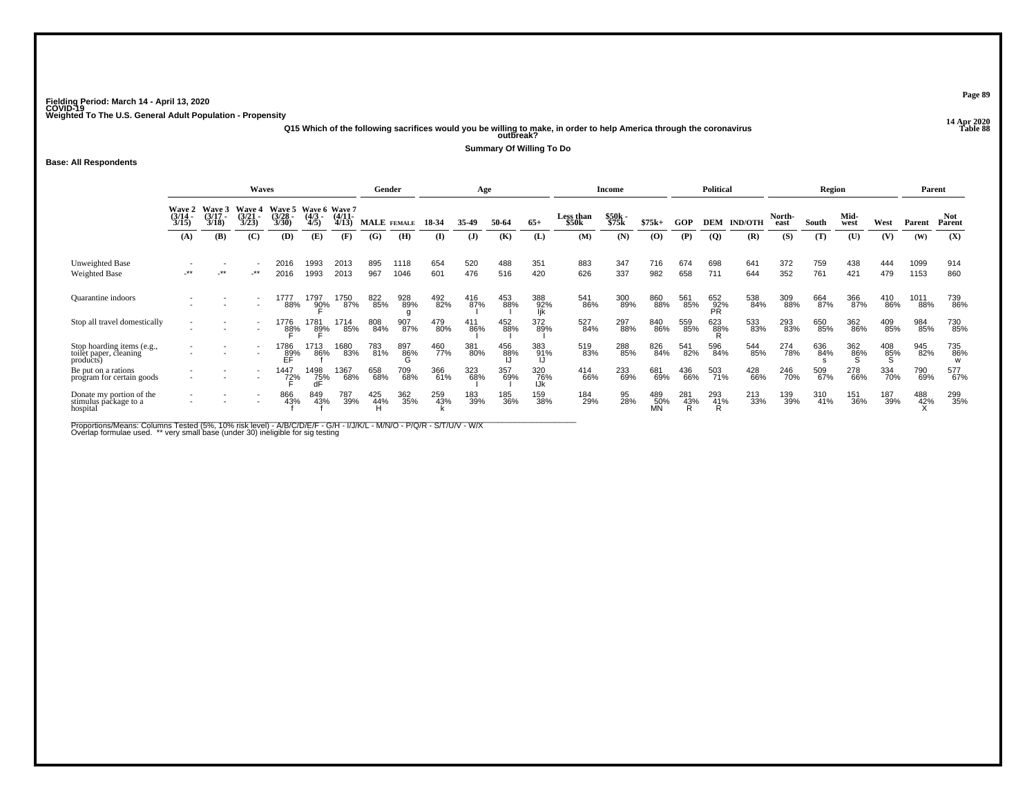**14 Apr 2020 Q15 Which of the following sacrifices would you be willing to make, in order to help America through the coronavirus Table 88 outbreak?**

**Summary Of Willing To Do**

#### **Base: All Respondents**

|                                                                | Waves                                     |                       |                               |                                    |                                   |                                           | Gender                                  |              |              | Age                   |              |                   |                                  | <b>Income</b>            |                  |            | Political                |                       |                       | Region       |                     |             | Parent        |                             |
|----------------------------------------------------------------|-------------------------------------------|-----------------------|-------------------------------|------------------------------------|-----------------------------------|-------------------------------------------|-----------------------------------------|--------------|--------------|-----------------------|--------------|-------------------|----------------------------------|--------------------------|------------------|------------|--------------------------|-----------------------|-----------------------|--------------|---------------------|-------------|---------------|-----------------------------|
|                                                                | <b>Wave 2</b><br>$(3/14 -$<br>3/15<br>(A) | Waye 3<br>3/18<br>(B) | Wave<br>(3/21)<br>3/23<br>(C) | Wave 5<br>$(3/28 -$<br>3/30<br>(D) | Wave 6<br>$(4/3 -$<br>4/5)<br>(E) | <b>Wave 7</b><br>$(4/11 -$<br>4/13<br>(F) | <b>MALE</b> FEMALE<br>$\left( G\right)$ | (H)          | 18-34<br>(I) | 35.49<br>$\mathbf{J}$ | 50-64<br>(K) | $65+$<br>(L)      | <b>Less than</b><br>\$50k<br>(M) | $$50k -$<br>\$75k<br>(N) | $$75k+$<br>(0)   | GOP<br>(P) | <b>DEM</b><br><b>(Q)</b> | <b>IND/OTH</b><br>(R) | North-<br>east<br>(S) | South<br>(T) | Mid-<br>west<br>(U) | West<br>(V) | Parent<br>(W) | <b>Not</b><br>Parent<br>(X) |
|                                                                |                                           |                       |                               |                                    |                                   |                                           |                                         |              |              |                       |              |                   |                                  |                          |                  |            |                          |                       |                       |              |                     |             |               |                             |
| <b>Unweighted Base</b><br>Weighted Base                        | $\cdot$ **                                | $***$                 | $-***$                        | 2016<br>2016                       | 1993<br>1993                      | 2013<br>2013                              | 895<br>967                              | 1118<br>1046 | 654<br>601   | 520<br>476            | 488<br>516   | 351<br>420        | 883<br>626                       | 347<br>337               | 716<br>982       | 674<br>658 | 698<br>711               | 641<br>644            | 372<br>352            | 759<br>761   | 438<br>421          | 444<br>479  | 1099<br>1153  | 914<br>860                  |
| <b>Quarantine</b> indoors                                      |                                           |                       |                               | 1777<br>88%                        | 1797<br>90%                       | 1750<br>87%                               | 822<br>85%                              | 928<br>89%   | 492<br>82%   | 416<br>87%            | 453<br>88%   | 388<br>92%<br>lik | 541<br>86%                       | 300<br>89%               | 860<br>88%       | 561<br>85% | 652<br>92%<br>PR         | 538<br>84%            | 309<br>88%            | 664<br>87%   | 366<br>87%          | 410<br>86%  | 1011<br>88%   | 739<br>86%                  |
| Stop all travel domestically                                   |                                           |                       |                               | 1776<br>88%                        | 1781<br>89%                       | 1714<br>85%                               | 808<br>84%                              | 907<br>87%   | 479<br>80%   | 411<br>86%            | 452<br>88%   | 372<br>89%        | 527<br>84%                       | 297<br>88%               | 840<br>86%       | 559<br>85% | 623<br>88%               | 533<br>83%            | 293<br>83%            | 650<br>85%   | 362<br>86%          | 409<br>85%  | 984<br>85%    | 730<br>85%                  |
| Stop hoarding items (e.g., toilet paper, cleaning<br>products) |                                           |                       |                               | 1786<br>$_{\rm EF}^{\rm 89\%}$     | 1713<br>86%                       | 1680<br>83%                               | 783<br>81%                              | 897<br>86%   | 460<br>77%   | 381<br>80%            | 456<br>88%   | 383<br>91%        | 519<br>83%                       | 288<br>85%               | 826<br>84%       | 541<br>82% | 596<br>84%               | 544<br>85%            | 274<br>78%            | 636<br>84%   | 362<br>86%          | 408<br>85%  | 945<br>82%    | 735<br>86%                  |
| Be put on a rations<br>program for certain goods               |                                           |                       | $\overline{\phantom{a}}$      | 1447<br>72%                        | 1498<br>75%                       | 1367<br>68%                               | 658<br>68%                              | 709<br>68%   | 366<br>61%   | 323<br>68%            | 357<br>69%   | 320<br>76%<br>IJk | 414<br>66%                       | 233<br>69%               | 681<br>69%       | 436<br>66% | 503<br>71%               | 428<br>66%            | 246<br>70%            | 509<br>67%   | 278<br>66%          | 334<br>70%  | 790<br>69%    | 577<br>67%                  |
| Donate my portion of the<br>stimulus package to a<br>hospital  |                                           |                       | $\overline{\phantom{a}}$      | 866<br>43%                         | 849<br>43%                        | 787<br>39%                                | 425<br>44%                              | 362<br>35%   | 259<br>43%   | 183<br>39%            | 185<br>36%   | 159<br>38%        | 184<br>29%                       | 95<br>28%                | 489<br>50%<br>MΝ | 281<br>43% | 293<br>41%               | 213<br>33%            | 139<br>39%            | 310<br>41%   | 151<br>36%          | 187<br>39%  | 488<br>42%    | 299<br>35%                  |

Proportions/Means: Columns Tested (5%, 10% risk level) - A/B/C/D/E/F - G/H - I/J/K/L - M/N/O - P/Q/R - S/T/U/V - W/X<br>Overlap formulae used. \*\* very small base (under 30) ineligible for sig testing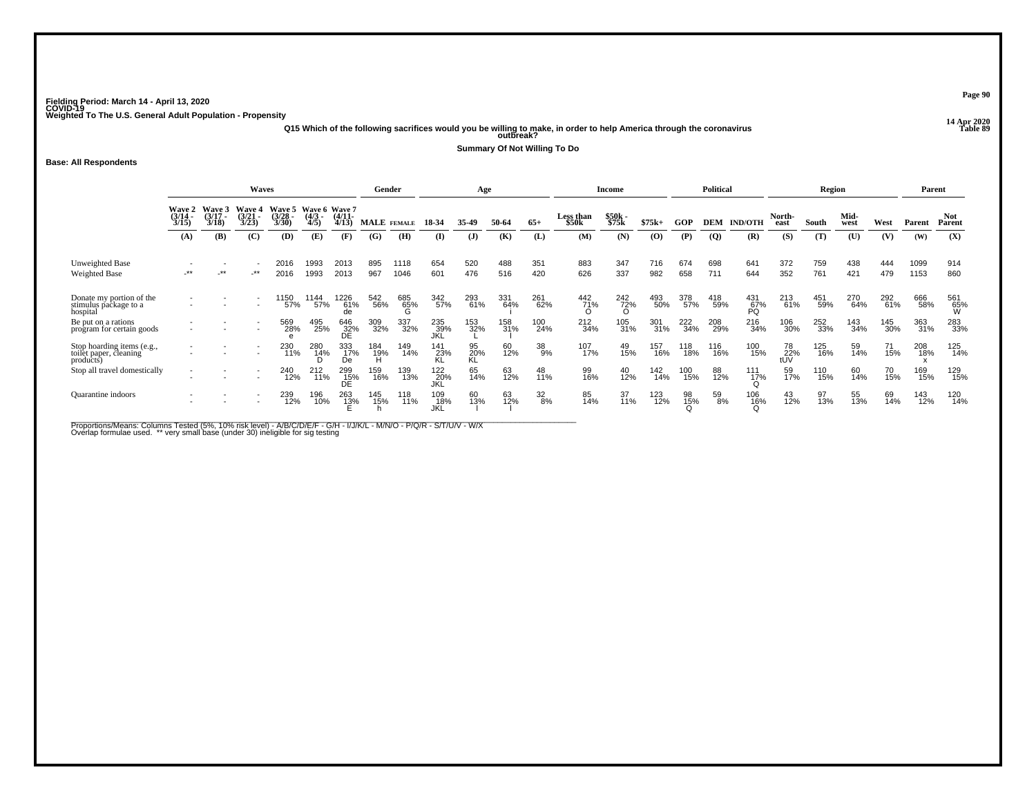**14 Apr 2020 Q15 Which of the following sacrifices would you be willing to make, in order to help America through the coronavirus Table 89 outbreak?**

**Summary Of Not Willing To Do**

#### **Base: All Respondents**

|                                                                   |                           |                             | Waves                              |                             |                                     |                     |                 | Gender       |                          | Age             |            |                  |                    | Income          |                             |            | <b>Political</b> |                    |                  | Region     |              |            |              | Parent               |
|-------------------------------------------------------------------|---------------------------|-----------------------------|------------------------------------|-----------------------------|-------------------------------------|---------------------|-----------------|--------------|--------------------------|-----------------|------------|------------------|--------------------|-----------------|-----------------------------|------------|------------------|--------------------|------------------|------------|--------------|------------|--------------|----------------------|
|                                                                   | Wave 2<br>(3/14 -<br>3/15 | Wave 3<br>$(3/17 -$<br>3/18 | <b>Wave 4</b><br>$(3/21 -$<br>3/23 | Wave 5<br>$(3/28 -$<br>3/30 | Wave 6 Wave 7<br>$(4/3 - )$<br>4/5) | $(4/11 -$<br>4/13   |                 | MALE FEMALE  | 18-34                    | 35-49           | 50-64      | $65+$            | Less than<br>\$50k | \$50k<br>\$75k  | $$75k+$                     | GOP        | <b>DEM</b>       | <b>IND/OTH</b>     | North-<br>east   | South      | Mid-<br>west | West       | Parent       | <b>Not</b><br>Parent |
|                                                                   | (A)                       | (B)                         | (C)                                | (D)                         | (E)                                 | (F)                 | (G)             | (H)          | $\bf{I}$                 | $\mathbf{J}$    | (K)        | (L)              | (M)                | (N)             | $\boldsymbol{\mathrm{(O)}}$ | (P)        | $\overline{Q}$   | (R)                | (S)              | (T)        | (U)          | (V)        | (W)          | (X)                  |
| Unweighted Base<br>Weighted Base                                  | $-***$                    | **                          | $-***$                             | 2016<br>2016                | 1993<br>1993                        | 2013<br>2013        | 895<br>967      | 1118<br>1046 | 654<br>601               | 520<br>476      | 488<br>516 | 351<br>420       | 883<br>626         | 347<br>337      | 716<br>982                  | 674<br>658 | 698<br>711       | 641<br>644         | 372<br>352       | 759<br>761 | 438<br>421   | 444<br>479 | 1099<br>1153 | 914<br>860           |
| Donate my portion of the<br>stimulus package to a<br>hospital     |                           |                             |                                    | '150<br>57%                 | 1144<br>57%                         | 1226<br>61%<br>de   | 542<br>56%      | 685<br>65%   | 342<br>57%               | 293<br>61%      | 331<br>64% | 261<br>62%       | 442<br>71%         | 242<br>72%<br>O | 493<br>50%                  | 378<br>57% | 418<br>59%       | $^{431}_{67\%}$ PQ | 213<br>61%       | 451<br>59% | 270<br>64%   | 292<br>61% | 666<br>58%   | 561<br>65%<br>W      |
| Be put on a rations<br>program for certain goods                  |                           |                             |                                    | 569<br>28%                  | 495<br>25%                          | 646<br>32%<br>DE    | 309<br>32%      | 337<br>32%   | 235<br>39%<br>JKL        | 153<br>32%      | 158<br>31% | 100<br>24%       | 212<br>34%         | 105<br>31%      | 301<br>31%                  | 222<br>34% | 208<br>29%       | 216<br>34%         | 106<br>30%       | 252<br>33% | 143<br>34%   | 145<br>30% | 363<br>31%   | 283<br>33%           |
| Stop hoarding items (e.g.,<br>toilet paper, cleaning<br>products) |                           |                             |                                    | 230<br>11%                  | 280<br>1 <u>4</u> %                 | 333<br>17%<br>De    | 184<br>19%<br>H | 149<br>14%   | 141<br>23%<br>KL         | 95<br>20%<br>KL | 60<br>12%  | 38<br>9%         | 107<br>17%         | 49<br>15%       | 157<br>16%                  | 118<br>18% | 116<br>16%       | 100<br>15%         | 78<br>22%<br>tUV | 125<br>16% | 59<br>14%    | 71<br>15%  | 208<br>18%   | 125<br>14%           |
| Stop all travel domestically                                      | $\overline{\phantom{a}}$  |                             |                                    | 240<br>12%                  | 212<br>11%                          | 299<br>15%<br>DÉ    | 159<br>16%      | 139<br>13%   | 122<br>20%<br>JKL        | 65<br>14%       | 63<br>12%  | 48<br>11%        | 99<br>16%          | 40<br>12%       | 142<br>14%                  | 100<br>15% | 88<br>12%        | $\frac{111}{17\%}$ | 59<br>17%        | 110<br>15% | 60<br>14%    | 70<br>15%  | 169<br>15%   | 129<br>15%           |
| <b>Quarantine</b> indoors                                         |                           |                             |                                    | 239<br>12%                  | 196<br>10%                          | 263<br>1 <u>3</u> % | 145<br>15%      | 118<br>11%   | 109<br>18%<br><b>JKL</b> | 60<br>13%       | 63<br>12%  | $\frac{32}{8\%}$ | 85<br>14%          | 37<br>11%       | 123<br>12%                  | 98<br>15%  | 59<br>8%         | 106<br>16%         | $^{43}_{12\%}$   | 97<br>13%  | 55<br>13%    | 69<br>14%  | 143<br>12%   | 120<br>14%           |

Proportions/Means: Columns Tested (5%, 10% risk level) - A/B/C/D/E/F - G/H - I/J/K/L - M/N/O - P/Q/R - S/T/U/V - W/X<br>Overlap formulae used. \*\* very small base (under 30) ineligible for sig testing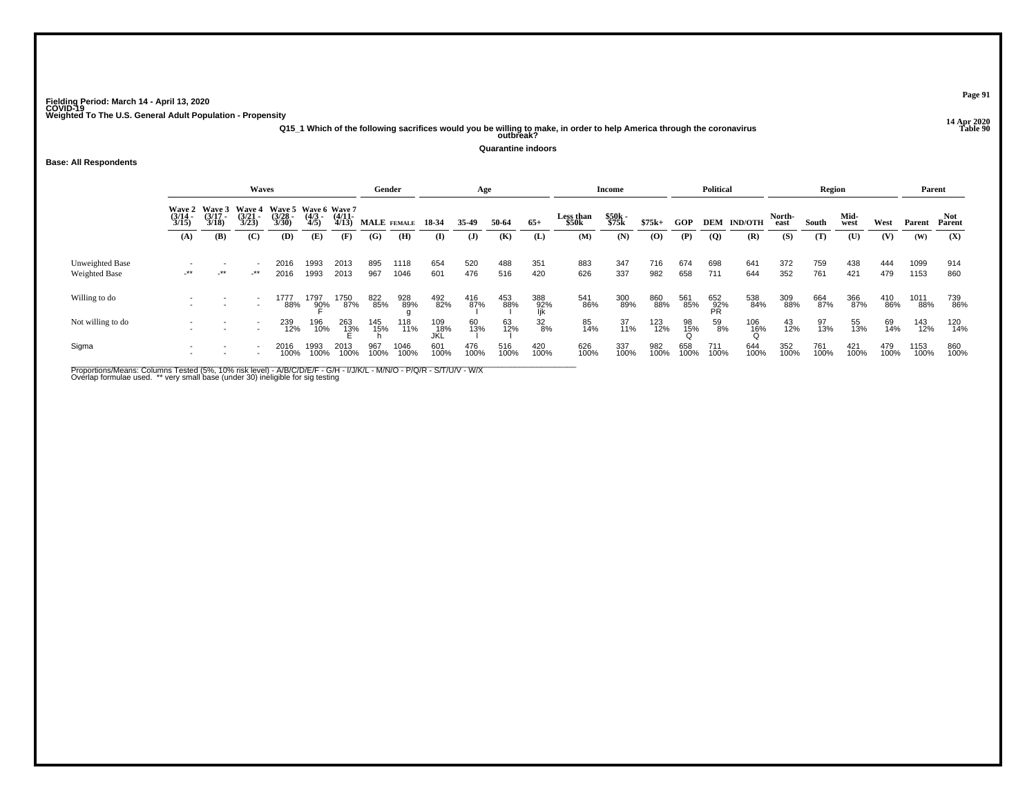**14 Apr 2020 Q15\_1 Which of the following sacrifices would you be willing to make, in order to help America through the coronavirus Table 90 outbreak?**

**Quarantine indoors**

## **Base: All Respondents**

|                                         |                                        |                            | <b>Waves</b>                       |                                                        |                     |              | Gender      |              |                   | Age         |             |                   |                                | Income         |             |             | <b>Political</b> |                |                | Region      |              |             |              | Parent        |
|-----------------------------------------|----------------------------------------|----------------------------|------------------------------------|--------------------------------------------------------|---------------------|--------------|-------------|--------------|-------------------|-------------|-------------|-------------------|--------------------------------|----------------|-------------|-------------|------------------|----------------|----------------|-------------|--------------|-------------|--------------|---------------|
|                                         | <b>Wave 2</b><br>$\frac{(3/14)}{3/15}$ | Wave 3<br>(3/17 -<br>3/18) | <b>Wave 4</b><br>$(3/21 -$<br>3/23 | Wave 5 Wave 6 Wave 7<br>(3/28 - (4/3 - (4/11 -<br>3/30 | $\frac{(4/3)}{4/5}$ | 4/13         | MALE FEMALE |              | 18 34             | 35-49       | 50-64       | $65+$             | Less than<br>\$50 <sub>k</sub> | \$50k<br>\$75k | $$75k+$     | <b>GOP</b>  | <b>DEM</b>       | <b>IND/OTH</b> | North-<br>east | South       | Mid-<br>west | West        | Parent       | Not<br>Parent |
|                                         | (A)                                    | (B)                        | (C)                                | (D)                                                    | (E)                 | (F)          | (G)         | (H)          | (I)               | (J)         | (K)         | (L)               | (M)                            | (N)            | (0)         | (P)         | $\overline{Q}$   | (R)            | (S)            | (T)         | (U)          | (V)         | (W)          | (X)           |
| Unweighted Base<br><b>Weighted Base</b> | $-***$                                 | $+$ **                     | _**                                | 2016<br>2016                                           | 1993<br>1993        | 2013<br>2013 | 895<br>967  | 1118<br>1046 | 654<br>601        | 520<br>476  | 488<br>516  | 351<br>420        | 883<br>626                     | 347<br>337     | 716<br>982  | 674<br>658  | 698<br>711       | 641<br>644     | 372<br>352     | 759<br>761  | 438<br>421   | 444<br>479  | 1099<br>1153 | 914<br>860    |
| Willing to do                           |                                        |                            |                                    | 1777<br>88%                                            | 1797<br>90%         | 1750<br>87%  | 822<br>85%  | 928<br>89%   | 492<br>82%        | 416<br>87%  | 453<br>88%  | 388<br>92%<br>lik | 541<br>86%                     | 300<br>89%     | 860<br>88%  | 561<br>85%  | 652<br>92%<br>PR | 538<br>84%     | 309<br>88%     | 664<br>87%  | 366<br>87%   | 410<br>86%  | 1011<br>88%  | 739<br>86%    |
| Not willing to do                       |                                        |                            |                                    | 239<br>12%                                             | 196<br>10%          | 263<br>13%   | 145<br>15%  | 118<br>11%   | 109<br>18%<br>JKL | 60<br>13%   | 63<br>12%   | $\frac{32}{8%}$   | 85<br>14%                      | 37<br>11%      | 123<br>12%  | 98<br>15%   | 59<br>8%         | 106<br>16%     | $^{43}_{12\%}$ | 97<br>13%   | 55<br>13%    | 69<br>14%   | 143<br>12%   | 120<br>14%    |
| Sigma                                   |                                        |                            |                                    | 2016<br>100%                                           | 993<br>100%         | 2013<br>100% | 967<br>100% | 1046<br>100% | 601<br>100%       | 476<br>100% | 516<br>100% | 420<br>100%       | 626<br>100%                    | 337<br>100%    | 982<br>100% | 658<br>100% | 711<br>100%      | 644<br>100%    | 352<br>100%    | 761<br>100% | 421<br>100%  | 479<br>100% | 1153<br>100% | 860<br>100%   |

Proportions/Means: Columns Tested (5%, 10% risk level) - A/B/C/D/E/F - G/H - I/J/K/L - M/N/O - P/Q/R - S/T/U/V - W/X<br>Overlap formulae used. \*\* very small base (under 30) ineligible for sig testing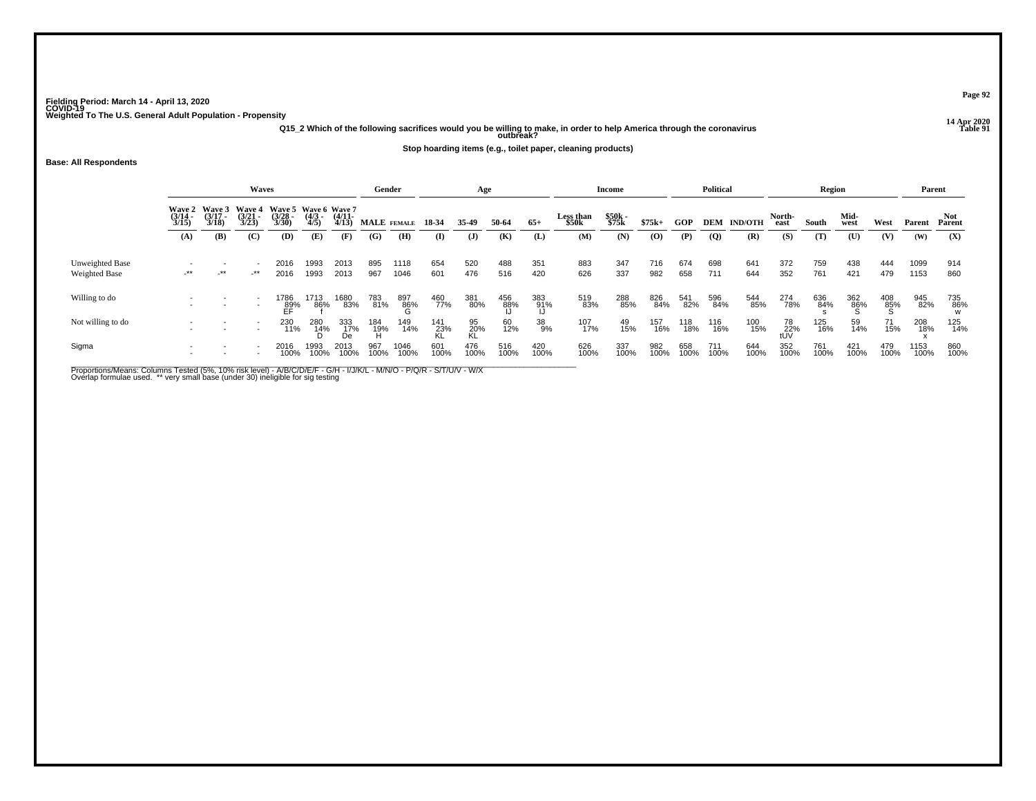**14 Apr 2020 Q15\_2 Which of the following sacrifices would you be willing to make, in order to help America through the coronavirus Table 91 outbreak?**

**Stop hoarding items (e.g., toilet paper, cleaning products)**

**Base: All Respondents**

|                                  |                          |                                    | Waves                                  |                                               |                     |                       | Gender              |              |             | Age             |             |             |                    | Income         |                                          |             | <b>Political</b> |                |                  | <b>Region</b> |              |                 | Parent       |               |
|----------------------------------|--------------------------|------------------------------------|----------------------------------------|-----------------------------------------------|---------------------|-----------------------|---------------------|--------------|-------------|-----------------|-------------|-------------|--------------------|----------------|------------------------------------------|-------------|------------------|----------------|------------------|---------------|--------------|-----------------|--------------|---------------|
|                                  | Wave 2<br>(3/14<br>3/15) | <b>Wave 3</b><br>$(3/17 -$<br>3/18 | <b>Wave 4</b><br>$\frac{(3721)}{3/23}$ | Wave 5 Wave 6 Wave 7<br>$\frac{(3728)}{3/30}$ | $\frac{(4/3)}{4/5}$ | $\frac{(4/11)}{4/13}$ |                     | MALE FEMALE  | 18 34       | 35.49           | 50-64       | $65+$       | Less than<br>\$50k | \$50k<br>\$75k | $$75k+$                                  | GOP         | <b>DEM</b>       | <b>IND/OTH</b> | North-<br>east   | South         | Mid-<br>west | West            | Parent       | Not<br>Parent |
|                                  | (A)                      | (B)                                | $\mathbf C$                            | (D)                                           | (E)                 | (F)                   | (G)                 | (H)          | $\bf(I)$    | $\mathbf{J}$    | (K)         | (L)         | (M)                | (N)            | $\boldsymbol{\left( \mathbf{O} \right)}$ | (P)         | $\overline{Q}$   | (R)            | (S)              | (T)           | (U)          | (V)             | (W)          | (X)           |
| Unweighted Base<br>Weighted Base | $-***$                   | -**                                | -**                                    | 2016<br>2016                                  | 1993<br>1993        | 2013<br>2013          | 895<br>967          | 1118<br>1046 | 654<br>601  | 520<br>476      | 488<br>516  | 351<br>420  | 883<br>626         | 347<br>337     | 716<br>982                               | 674<br>658  | 698<br>711       | 641<br>644     | 372<br>352       | 759<br>761    | 438<br>421   | 444<br>479      | 1099<br>1153 | 914<br>860    |
|                                  |                          |                                    |                                        |                                               |                     |                       |                     |              |             |                 |             |             |                    |                |                                          |             |                  |                |                  |               |              |                 |              |               |
| Willing to do                    |                          |                                    | $\overline{\phantom{a}}$               | 1786<br>89%                                   | 1713<br>86%         | 1680<br>83%           | 783<br>81%          | 897<br>86%   | 460<br>77%  | 381<br>80%      | 456<br>88%  | 383<br>91%  | 519<br>83%         | 288<br>85%     | 826<br>84%                               | 541<br>82%  | 596<br>84%       | 544<br>85%     | 274<br>78%       | 636<br>84%    | 362<br>86%   | $^{408}_{85\%}$ | 945<br>82%   | 735<br>86%    |
| Not willing to do                |                          |                                    | $\overline{\phantom{a}}$               | 230<br>11%                                    | 280<br>14%          | 333<br>17%<br>De      | 184<br>- 19%<br>- H | 149<br>14%   | 141<br>23%  | 95<br>20%<br>KL | 60<br>12%   | 38<br>9%    | 107<br>17%         | 49<br>15%      | 157<br>16%                               | 118<br>18%  | 116<br>16%       | 100<br>15%     | 78<br>22%<br>tUV | 125<br>16%    | 59<br>14%    | 71<br>15%       | 208<br>18%   | 125<br>14%    |
| Sigma                            |                          |                                    | $\overline{\phantom{a}}$               | 2016<br>100%                                  | 1993<br>100%        | 2013<br>100%          | 967<br>100%         | 1046<br>100% | 601<br>100% | 476<br>100%     | 516<br>100% | 420<br>100% | 626<br>100%        | 337<br>100%    | 982<br>100%                              | 658<br>100% | 711<br>100%      | 644<br>100%    | 352<br>100%      | 761<br>100%   | 421<br>100%  | 479<br>100%     | 1153<br>100% | 860<br>100%   |

Proportions/Means: Columns Tested (5%, 10% risk level) - A/B/C/D/E/F - G/H - I/J/K/L - M/N/O - P/Q/R - S/T/U/V - W/X<br>Overlap formulae used. \*\* very small base (under 30) ineligible for sig testing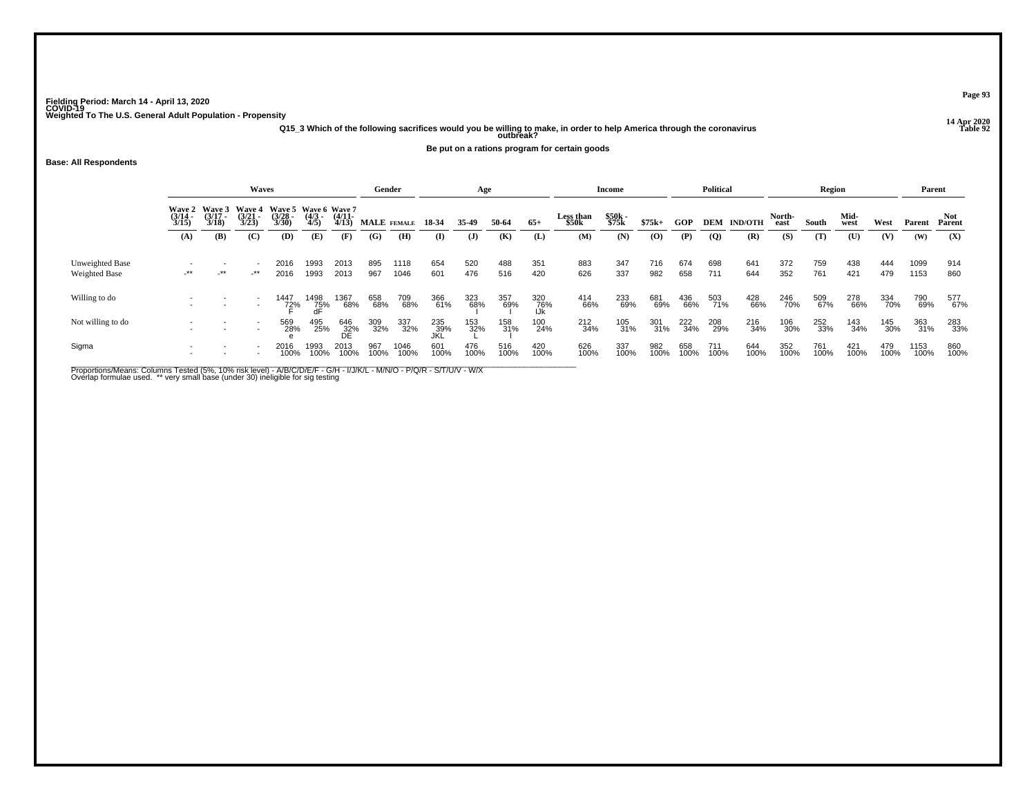**14 Apr 2020 Q15\_3 Which of the following sacrifices would you be willing to make, in order to help America through the coronavirus Table 92 outbreak?**

**Be put on a rations program for certain goods**

# **Base: All Respondents**

|                                  |                           |                             | <b>Waves</b>                       |                                           |                     |                   | Gender      |              |                   | Age          |             |                   |                    | Income         |             |             | <b>Political</b> |                |                | Region      |              |             | Parent       |                      |
|----------------------------------|---------------------------|-----------------------------|------------------------------------|-------------------------------------------|---------------------|-------------------|-------------|--------------|-------------------|--------------|-------------|-------------------|--------------------|----------------|-------------|-------------|------------------|----------------|----------------|-------------|--------------|-------------|--------------|----------------------|
|                                  | Wave 2<br>(3/14 -<br>3/15 | Wave 3<br>$(3/17 -$<br>3/18 | <b>Wave 4</b><br>$(3/21 -$<br>3/23 | Wave 5 Wave 6 Wave 7<br>$(3/28 -$<br>3/30 | $\frac{(4/3)}{4/5}$ | $(4/11 -$<br>4/13 | MALE FEMALE |              | 18-34             | 35-49        | 50-64       | $65+$             | Less than<br>\$50k | \$50k<br>\$75k | $$75k+$     | GOP         | DEM              | <b>IND/OTH</b> | North-<br>east | South       | Mid-<br>west | West        | Parent       | <b>Not</b><br>Parent |
|                                  | (A)                       | (B)                         | (C)                                | (D)                                       | (E)                 | (F)               | (G)         | (H)          | $\bf(I)$          | $\mathbf{J}$ | (K)         | (L)               | (M)                | (N)            | (O)         | (P)         | $\overline{Q}$   | (R)            | (S)            | (T)         | (U)          | (V)         | (W)          | (X)                  |
| Unweighted Base<br>Weighted Base | $-***$                    | $\cdot$ **                  | -**                                | 2016<br>2016                              | 1993<br>1993        | 2013<br>2013      | 895<br>967  | 1118<br>1046 | 654<br>601        | 520<br>476   | 488<br>516  | 351<br>420        | 883<br>626         | 347<br>337     | 716<br>982  | 674<br>658  | 698<br>711       | 641<br>644     | 372<br>352     | 759<br>761  | 438<br>421   | 444<br>479  | 1099<br>1153 | 914<br>860           |
| Willing to do                    |                           |                             | $\overline{\phantom{a}}$           | 1447<br>72%                               | 1498<br>75%<br>dF   | 1367<br>68%       | 658<br>68%  | 709<br>68%   | 366<br>61%        | 323<br>68%   | 357<br>69%  | 320<br>76%<br>IJk | 414<br>66%         | 233<br>69%     | 681<br>69%  | 436<br>66%  | 503<br>71%       | 428<br>66%     | 246<br>70%     | 509<br>67%  | 278<br>66%   | 334<br>70%  | 790<br>69%   | 577<br>67%           |
| Not willing to do                |                           |                             |                                    | 569<br>28%                                | 495<br>25%          | 646<br>32%<br>DE  | 309<br>32%  | 337<br>32%   | 235<br>39%<br>JKL | 153<br>32%   | 158<br>31%  | 100<br>24%        | 212<br>34%         | 105<br>31%     | 301<br>31%  | 222<br>34%  | 208<br>29%       | 216<br>34%     | 106<br>30%     | 252<br>33%  | 143<br>34%   | 145<br>30%  | 363<br>31%   | 283<br>33%           |
| Sigma                            |                           |                             |                                    | 2016<br>100%                              | 1993<br>100%        | 2013<br>100%      | 967<br>100% | 1046<br>100% | 601<br>100%       | 476<br>100%  | 516<br>100% | 420<br>100%       | 626<br>100%        | 337<br>100%    | 982<br>100% | 658<br>100% | 711<br>100%      | 644<br>100%    | 352<br>100%    | 761<br>100% | 421<br>100%  | 479<br>100% | 1153<br>100% | 860<br>100%          |

Proportions/Means: Columns Tested (5%, 10% risk level) - A/B/C/D/E/F - G/H - I/J/K/L - M/N/O - P/Q/R - S/T/U/V - W/X<br>Overlap formulae used. \*\* very small base (under 30) ineligible for sig testing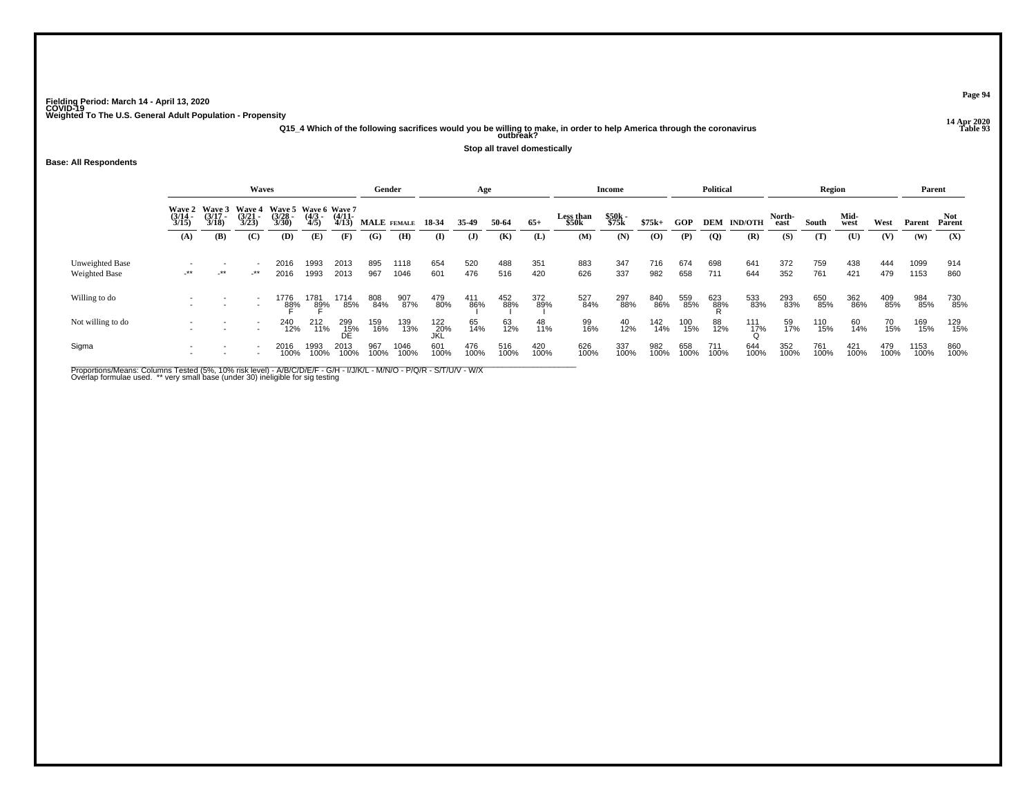**14 Apr 2020 Q15\_4 Which of the following sacrifices would you be willing to make, in order to help America through the coronavirus Table 93 outbreak?**

**Stop all travel domestically**

## **Base: All Respondents**

|                                         |                          |                                        | <b>Waves</b>                       |                                           |                     |                   | Gender      |              |                    | Age          |             |             |                    | <b>Income</b>  |                                          |             | <b>Political</b> |                |                | Region      |              |             | Parent       |               |
|-----------------------------------------|--------------------------|----------------------------------------|------------------------------------|-------------------------------------------|---------------------|-------------------|-------------|--------------|--------------------|--------------|-------------|-------------|--------------------|----------------|------------------------------------------|-------------|------------------|----------------|----------------|-------------|--------------|-------------|--------------|---------------|
|                                         | $\frac{(3/14)}{3/15}$    | Wave 2 Wave 3<br>$\frac{(3717)}{3/18}$ | <b>Wave 4</b><br>$(3/21 -$<br>3/23 | Wave 5 Wave 6 Wave 7<br>$(3/28 -$<br>3/30 | $\frac{(4/3)}{4/5}$ | $(4/11 -$<br>4/13 | MALE FEMALE |              | 18 34              | 35-49        | 50-64       | $65+$       | Less than<br>\$50k | \$50k<br>\$75k | $$75k+$                                  | GOP         | <b>DEM</b>       | <b>IND/OTH</b> | North-<br>east | South       | Mid-<br>west | West        | Parent       | Not<br>Parent |
|                                         | (A)                      | (B)                                    | (C)                                | (D)                                       | (E)                 | (F)               | (G)         | (H)          | (I)                | $\mathbf{J}$ | (K)         | (L)         | (M)                | (N)            | $\boldsymbol{\left( \mathbf{O} \right)}$ | (P)         | $\overline{Q}$   | (R)            | (S)            | (T)         | (U)          | (V)         | (W)          | (X)           |
| Unweighted Base<br><b>Weighted Base</b> | $-***$                   | $+$ **                                 | _**                                | 2016<br>2016                              | 1993<br>1993        | 2013<br>2013      | 895<br>967  | 1118<br>1046 | 654<br>601         | 520<br>476   | 488<br>516  | 351<br>420  | 883<br>626         | 347<br>337     | 716<br>982                               | 674<br>658  | 698<br>711       | 641<br>644     | 372<br>352     | 759<br>761  | 438<br>421   | 444<br>479  | 1099<br>1153 | 914<br>860    |
| Willing to do                           | $\overline{\phantom{0}}$ |                                        |                                    | 1776<br>8 <u>8</u> %                      | 1781<br>89%         | 1714<br>85%       | 808<br>84%  | 907<br>87%   | 479<br>80%         | 411<br>86%   | 452<br>88%  | 372<br>89%  | 527<br>84%         | 297<br>88%     | 840<br>86%                               | 559<br>85%  | 623<br>88%       | 533<br>83%     | 293<br>83%     | 650<br>85%  | 362<br>86%   | 409<br>85%  | 984<br>85%   | 730<br>85%    |
| Not willing to do                       |                          |                                        |                                    | 240<br>12%                                | 212<br>11%          | 299<br>15%<br>DE  | 159<br>16%  | 139<br>13%   | 122<br>_20%<br>JKL | 65<br>14%    | 63<br>12%   | 48<br>11%   | 99<br>16%          | 40<br>12%      | 142<br>14%                               | 100<br>15%  | 88<br>12%        | 111<br>17%     | 59<br>17%      | 110<br>15%  | 60<br>14%    | 70<br>15%   | 169<br>15%   | 129<br>15%    |
| Sigma                                   | $\overline{\phantom{0}}$ |                                        |                                    | 2016<br>100%                              | 1993<br>100%        | 2013<br>100%      | 967<br>100% | 1046<br>100% | 601<br>100%        | 476<br>100%  | 516<br>100% | 420<br>100% | 626<br>100%        | 337<br>100%    | 982<br>100%                              | 658<br>100% | 711<br>100%      | 644<br>100%    | 352<br>100%    | 761<br>100% | 421<br>100%  | 479<br>100% | 1153<br>100% | 860<br>100%   |

Proportions/Means: Columns Tested (5%, 10% risk level) - A/B/C/D/E/F - G/H - I/J/K/L - M/N/O - P/Q/R - S/T/U/V - W/X<br>Overlap formulae used. \*\* very small base (under 30) ineligible for sig testing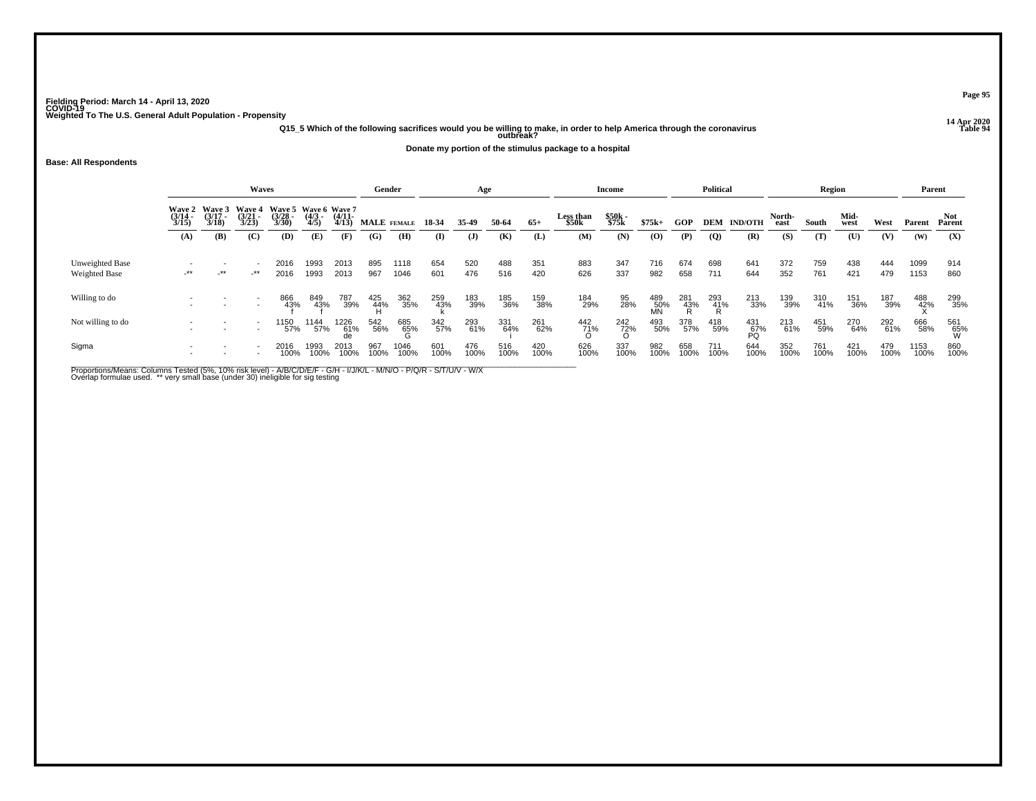**14 Apr 2020 Q15\_5 Which of the following sacrifices would you be willing to make, in order to help America through the coronavirus Table 94 outbreak?**

**Donate my portion of the stimulus package to a hospital**

**Base: All Respondents**

|                   |                                 |                             | <b>Waves</b>                       |                                                        |                     |              | Gender          |              |             | Age          |             |             |                    | Income         |                  |             | <b>Political</b> |                    |                | Region      |              |             | Parent       |                     |
|-------------------|---------------------------------|-----------------------------|------------------------------------|--------------------------------------------------------|---------------------|--------------|-----------------|--------------|-------------|--------------|-------------|-------------|--------------------|----------------|------------------|-------------|------------------|--------------------|----------------|-------------|--------------|-------------|--------------|---------------------|
|                   | Wave 2<br>$\frac{(3/14)}{3/15}$ | Wave 3<br>$(3/17 -$<br>3/18 | <b>Wave 4</b><br>$(3/21 -$<br>3/23 | Wave 5 Wave 6 Wave 7<br>(3/28 - (4/3 - (4/11 -<br>3/30 | $\frac{(4/3)}{4/5}$ | 4/13         |                 | MALE FEMALE  | 18-34       | 35-49        | 50-64       | $65+$       | Less than<br>\$50k | \$50k<br>\$75k | $$75k+$          | GOP         |                  | <b>DEM IND/OTH</b> | North-<br>east | South       | Mid-<br>west | West        | Parent       | Not.<br>Parent      |
|                   | (A)                             | (B)                         | (C)                                | (D)                                                    | (E)                 | (F)          | (G)             | (H)          | $\bf(I)$    | $\mathbf{J}$ | (K)         | (L)         | (M)                | (N)            | (O)              | (P)         | $\overline{Q}$   | (R)                | (S)            | (T)         | (U)          | (V)         | (W)          | (X)                 |
| Unweighted Base   |                                 |                             | $\overline{\phantom{a}}$           | 2016                                                   | 1993                | 2013         | 895             | 1118         | 654         | 520          | 488         | 351         | 883                | 347            | 716              | 674         | 698              | 641                | 372            | 759         | 438          | 444         | 1099         | 914                 |
| Weighted Base     | -**                             | $-***$                      | $-***$                             | 2016                                                   | 1993                | 2013         | 967             | 1046         | 601         | 476          | 516         | 420         | 626                | 337            | 982              | 658         | 711              | 644                | 352            | 761         | 421          | 479         | 1153         | 860                 |
| Willing to do     |                                 |                             | $\overline{\phantom{a}}$           | 866<br>43%                                             | 849<br>43%          | 787<br>39%   | 425<br>44%<br>H | 362<br>35%   | 259<br>43%  | 183<br>39%   | 185<br>36%  | 159<br>38%  | 184<br>29%         | 95<br>28%      | 489<br>50%<br>MN | 281<br>43%  | 293<br>41%<br>R  | 213<br>33%         | 139<br>39%     | 310<br>41%  | 151<br>36%   | 187<br>39%  | 488<br>42%   | 299<br>35%          |
| Not willing to do |                                 |                             | $\overline{\phantom{a}}$           | 1150<br>57%                                            | 1144<br>57%         | 1226<br>61%  | 542<br>56%      | 685<br>65%   | 342<br>57%  | 293<br>61%   | 331<br>64%  | 261<br>62%  | 442<br>71%         | 242<br>72%     | 493<br>50%       | 378<br>57%  | 418<br>59%       | 431<br>67%<br>PQ   | 213<br>61%     | 451<br>59%  | 270<br>64%   | 292<br>61%  | 666<br>58%   | 561<br>- 65%<br>- W |
| Sigma             |                                 |                             |                                    | 2016<br>100%                                           | 1993<br>100%        | 2013<br>100% | 967<br>100%     | 1046<br>100% | 601<br>100% | 476<br>100%  | 516<br>100% | 420<br>100% | 626<br>100%        | 337<br>100%    | 982<br>100%      | 658<br>100% | 711<br>100%      | 644<br>100%        | 352<br>100%    | 761<br>100% | 421<br>100%  | 479<br>100% | 1153<br>100% | 860<br>100%         |

Proportions/Means: Columns Tested (5%, 10% risk level) - A/B/C/D/E/F - G/H - I/J/K/L - M/N/O - P/Q/R - S/T/U/V - W/X<br>Overlap formulae used. \*\* very small base (under 30) ineligible for sig testing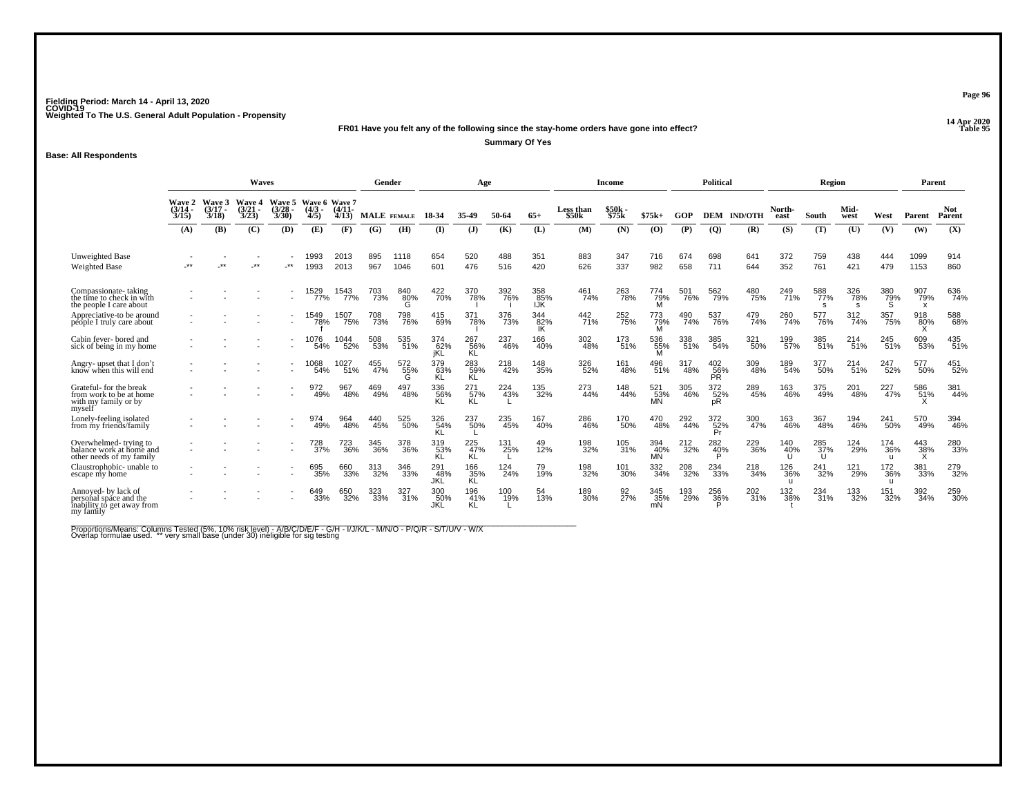**14 Apr 2020 FR01 Have you felt any of the following since the stay-home orders have gone into effect?**

**Summary Of Yes**

## **Base: All Respondents**

|                                                                                          |                          |                                | <b>Waves</b>                           |                                              |                     |                   |                    | Gender          |                   | Age                     |            |                          |                    | Income           |                       |            | <b>Political</b>      |                |                        | Region          |                  |                            | Parent                                  |                      |
|------------------------------------------------------------------------------------------|--------------------------|--------------------------------|----------------------------------------|----------------------------------------------|---------------------|-------------------|--------------------|-----------------|-------------------|-------------------------|------------|--------------------------|--------------------|------------------|-----------------------|------------|-----------------------|----------------|------------------------|-----------------|------------------|----------------------------|-----------------------------------------|----------------------|
|                                                                                          | Wave 2<br>(3/14)<br>3/15 | <b>Wave 3</b><br>(3/17<br>3/18 | <b>Wave 4</b><br>$\frac{(3/21)}{3/23}$ | Wave 5 Wave 6 Wave 7<br>$\binom{3/28}{3/30}$ | $\frac{(4/3)}{4/5}$ | $(4/11 -$<br>4/13 | <b>MALE</b> FEMALE |                 | 18-34             | 35.49                   | 50-64      | $65+$                    | Less than<br>\$50k | \$50k<br>\$75k   | $$75k+$               | GOP        | <b>DEM</b>            | <b>IND/OTH</b> | North-<br>east         | South           | Mid-<br>west     | West                       | Parent                                  | <b>Not</b><br>Parent |
|                                                                                          | (A)                      | (B)                            | (C)                                    | (D)                                          | (E)                 | (F)               | (G)                | (H)             | $\mathbf{I}$      | $\mathbf{J}$            | (K)        | (L)                      | (M)                | (N)              | (0)                   | (P)        | $\overline{Q}$        | (R)            | (S)                    | (T)             | (U)              | (V)                        | (W)                                     | (X)                  |
| Unweighted Base<br><b>Weighted Base</b>                                                  |                          | $+ +$                          | $**$                                   | **                                           | 1993<br>1993        | 2013<br>2013      | 895<br>967         | 1118<br>1046    | 654<br>601        | 520<br>476              | 488<br>516 | 351<br>420               | 883<br>626         | 347<br>337       | 716<br>982            | 674<br>658 | 698<br>711            | 641<br>644     | 372<br>352             | 759<br>761      | 438<br>421       | 444<br>479                 | 1099<br>1153                            | 914<br>860           |
| Compassionate-taking<br>the time to check in with<br>the people I care about             |                          |                                |                                        |                                              | 1529<br>77%         | 1543<br>77%       | 703<br>73%         | 840<br>80%<br>G | 422<br>70%        | 370<br>78%              | 392<br>76% | 358<br>85%<br><b>IJK</b> | 461<br>74%         | 263<br>78%       | 774<br>79%            | 501<br>76% | 562<br>79%            | 480<br>75%     | 249<br>71%             | 588<br>77%<br>s | 326<br>78%       | 380<br>79%<br>S            | 907<br>79%<br>$\boldsymbol{\mathsf{x}}$ | 636<br>74%           |
| Appreciative-to be around<br>people I truly care about                                   |                          |                                |                                        | $\overline{\phantom{a}}$                     | 1549<br>78%         | 1507<br>75%       | 708<br>73%         | 798<br>76%      | 415<br>69%        | 371<br>78%              | 376<br>73% | 344<br>82%               | 442<br>71%         | 252<br>75%       | 773<br>79%            | 490<br>74% | 537<br>76%            | 479<br>74%     | 260<br>74%             | 577<br>76%      | 312<br>74%       | 357<br>75%                 | 918<br>80%                              | 588<br>68%           |
| Cabin fever-bored and<br>sick of being in my home                                        |                          |                                |                                        |                                              | 1076<br>54%         | 1044<br>52%       | 508<br>53%         | 535<br>$-51%$   | 374<br>62%<br>jKL | 267<br>56%<br>KL        | 237<br>46% | 166<br>40%               | 302<br>48%         | 173<br>51%       | 536<br>55%            | 338<br>51% | 385<br>54%            | 321<br>50%     | 199<br>57%             | 385<br>51%      | 214<br>51%       | 245<br>51%                 | 609<br>53%                              | 435<br>51%           |
| Angry-upset that I don't<br>know when this will end                                      |                          |                                |                                        |                                              | 1068<br>54%         | 1027<br>51%       | 455<br>47%         | 572<br>55%      | 379<br>63%<br>KL  | 283<br>59%<br><b>KL</b> | 218<br>42% | 148<br>35%               | 326<br>52%         | 161<br>48%       | 496<br>51%            | 317<br>48% | 402<br>56%<br>PŘ.     | 309<br>48%     | 189<br>54%             | 377<br>50%      | 214 <sub>%</sub> | 247<br>52%                 | 577<br>50%                              | 451<br>52%           |
| Grateful-for the break<br>from work to be at home<br>with my family or by<br>myself      |                          |                                |                                        | $\overline{\phantom{a}}$                     | 972<br>49%          | 967<br>48%        | 469<br>49%         | 497<br>48%      | 336<br>56%<br>KL  | 271<br>57%<br>KL.       | 224<br>43% | 135<br>32%               | 273<br>44%         | 148<br>44%       | 521<br>$\frac{53}{5}$ | 305<br>46% | 372<br>52%<br>рR      | 289<br>45%     | 163<br>46%             | 375<br>49%      | 201<br>48%       | 227<br>47%                 | 586<br>51%                              | 381<br>44%           |
| Lonely-feeling isolated<br>from my friends/family                                        |                          |                                |                                        |                                              | 974<br>49%          | 964<br>48%        | 440<br>45%         | 525<br>50%      | 326<br>54%<br>KL  | 237<br>50%              | 235<br>45% | 167<br>40%               | 286<br>46%         | 170<br>50%       | 470<br>48%            | 292<br>44% | 372<br>$\frac{52}{P}$ | 300<br>47%     | 163<br>46%             | 367<br>48%      | 194<br>46%       | 241<br>50%                 | 570<br>49%                              | 394<br>46%           |
| Overwhelmed-trying to<br>balance work at home and<br>other needs of my family            |                          |                                |                                        |                                              | 728<br>37%          | 723<br>36%        | 345<br>36%         | 378<br>36%      | 319<br>53%<br>KL  | 225<br>47%<br>KL        | 131<br>25% | 49<br>12%                | 198<br>32%         | 105<br>31%       | 394<br>40%<br>MN      | 212<br>32% | 282<br>40%            | 229<br>36%     | 140<br>40%             | 285<br>37%<br>U | 124<br>29%       | 174<br>36%<br>$\mathbf{H}$ | 443<br>$\frac{38}{x}$                   | 280<br>33%           |
| Claustrophobic- unable to<br>escape my home                                              |                          |                                |                                        |                                              | 695<br>35%          | 660<br>33%        | 313<br>32%         | 346<br>33%      | 291<br>48%<br>JKL | 166<br>35%<br>KL        | 124<br>24% | 79<br>19%                | 198<br>32%         | 101<br>30%       | 332<br>34%            | 208<br>32% | 234<br>33%            | 218<br>34%     | 126<br>36%<br><b>u</b> | 241<br>32%      | 121<br>29%       | 172<br>36%<br>u            | 381<br>33%                              | 279<br>32%           |
| Annoved- by lack of<br>personal space and the<br>inability to get away from<br>my family |                          |                                |                                        | $\overline{\phantom{a}}$                     | 649<br>33%          | 650<br>32%        | 323<br>33%         | 327<br>31%      | 300<br>50%<br>JKL | 196<br>41%<br>KL        | 100<br>19% | 54<br>13%                | 189<br>30%         | 92 <sub>7%</sub> | 345<br>35%            | 193<br>29% | 256<br>36%            | 202<br>31%     | 132<br>38%             | 234<br>31%      | 133<br>32%       | 151<br>32%                 | 392<br>34%                              | 259<br>30%           |

Proportions/Means: Columns Tested (5%, 10% risk level) - A/B/C/D/E/F - G/H - I/J/K/L - M/N/O - P/Q/R - S/T/U/V - W/X<br>Overlap formulae used. \*\* very small base (under 30) ineligible for sig testing

**Page 96**

**P** Table 95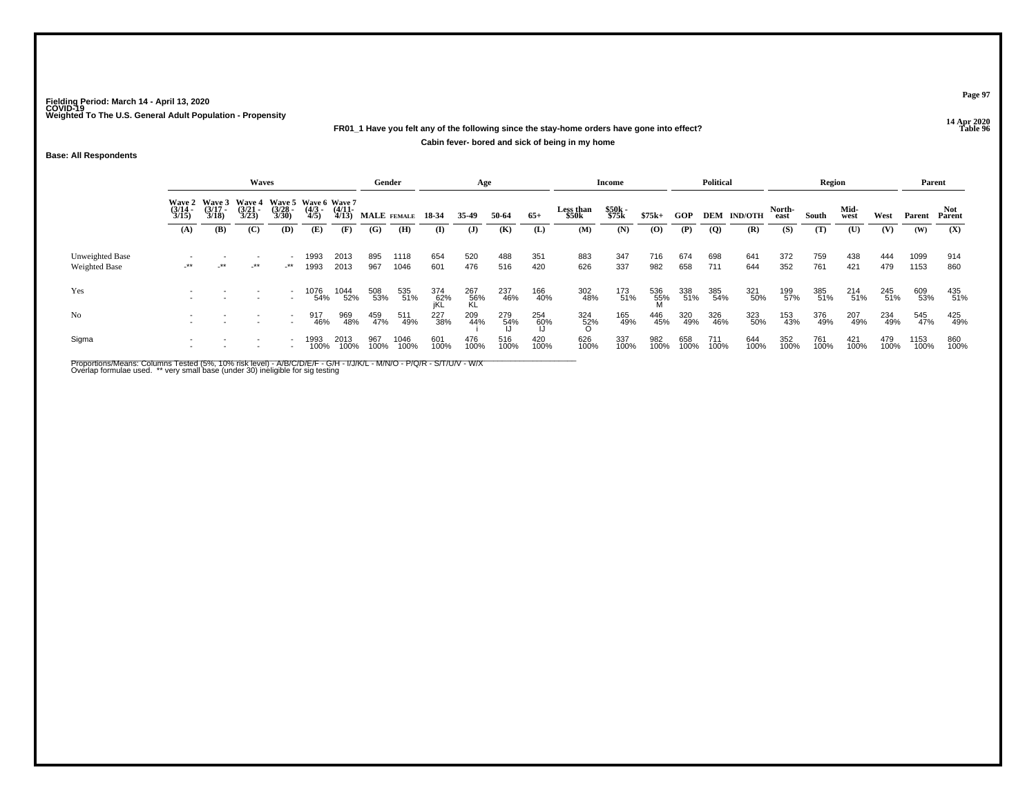# **14 Apr 2020 FR01\_1 Have you felt any of the following since the stay-home orders have gone into effect?Cabin fever- bored and sick of being in my home**

## **Base: All Respondents**

|                                  |                       |                                        | Waves                                                |                          |                     |                       | Gender      |              |                   | Age              |             |             |                    | Income         |                 |             | <b>Political</b> |                    |                | <b>Region</b> |              |             | Parent       |               |
|----------------------------------|-----------------------|----------------------------------------|------------------------------------------------------|--------------------------|---------------------|-----------------------|-------------|--------------|-------------------|------------------|-------------|-------------|--------------------|----------------|-----------------|-------------|------------------|--------------------|----------------|---------------|--------------|-------------|--------------|---------------|
|                                  | $\frac{(3/14)}{3/15}$ | Wave 2 Wave 3<br>$\frac{(3/17)}{3/18}$ | Wave 4 Wave 5 Wave 6 Wave 7<br>$\frac{(3/21)}{3/23}$ | $\binom{3/28}{3/30}$     | $\frac{(4/3)}{4/5}$ | $\frac{(4/11)}{4/13}$ |             | MALE FEMALE  | 18-34             | 35.49            | 50-64       | $65+$       | Less than<br>\$50k | \$50k<br>\$75k | $$75k+$         | GOP         |                  | <b>DEM IND/OTH</b> | North-<br>east | South         | Mid-<br>west | West        | Parent       | Not<br>Parent |
|                                  | (A)                   | (B)                                    | (C)                                                  | (D)                      | (E)                 | (F)                   | (G)         | (H)          | (I)               | $\mathbf{J}$     | (K)         | (L)         | (M)                | (N)            | $\mathbf{(O)}$  | (P)         | $\overline{Q}$   | (R)                | (S)            | (T)           | (U)          | (V)         | (W)          | (X)           |
| Unweighted Base<br>Weighted Base | $-***$                | $+$ **                                 | $-***$                                               | _**                      | 1993<br>1993        | 2013<br>2013          | 895<br>967  | 1118<br>1046 | 654<br>601        | 520<br>476       | 488<br>516  | 351<br>420  | 883<br>626         | 347<br>337     | 716<br>982      | 674<br>658  | 698<br>711       | 641<br>644         | 372<br>352     | 759<br>761    | 438<br>421   | 444<br>479  | 1099<br>1153 | 914<br>860    |
| Yes                              |                       |                                        |                                                      |                          | 1076<br>54%         | 1044<br>52%           | 508<br>53%  | 535<br>51%   | 374<br>62%<br>jKL | 267<br>56%<br>KL | 237<br>46%  | 166<br>40%  | 302<br>48%         | 173<br>51%     | 536<br>55%<br>M | 338<br>51%  | 385<br>54%       | 321<br>50%         | 199<br>57%     | 385<br>51%    | 214<br>51%   | 245<br>51%  | 609<br>53%   | 435<br>51%    |
| N <sub>o</sub>                   |                       |                                        |                                                      | $\overline{\phantom{0}}$ | 917<br>46%          | 969<br>48%            | 459<br>47%  | 511<br>49%   | 227<br>38%        | 209<br>44%       | 279<br>54%  | 254<br>60%  | 324<br>52%         | 165<br>49%     | 446<br>45%      | 320<br>49%  | 326<br>46%       | 323<br>50%         | 153<br>43%     | 376<br>49%    | 207<br>49%   | 234<br>49%  | 545<br>47%   | 425<br>49%    |
| Sigma                            |                       |                                        |                                                      |                          | 1993<br>100%        | 2013<br>100%          | 967<br>100% | 1046<br>100% | 601<br>100%       | 476<br>100%      | 516<br>100% | 420<br>100% | 626<br>100%        | 337<br>100%    | 982<br>100%     | 658<br>100% | 711<br>100%      | 644<br>100%        | 352<br>100%    | 761<br>100%   | 421<br>100%  | 479<br>100% | 1153<br>100% | 860<br>100%   |

Proportions/Means: Columns Tested (5%, 10% risk level) - A/B/C/D/E/F - G/H - I/J/K/L - M/N/O - P/Q/R - S/T/U/V - W/X<br>Overlap formulae used. \*\* very small base (under 30) ineligible for sig testing

**Page 97**

**Properties and the Contract of the Contract of Table 96 Table 96**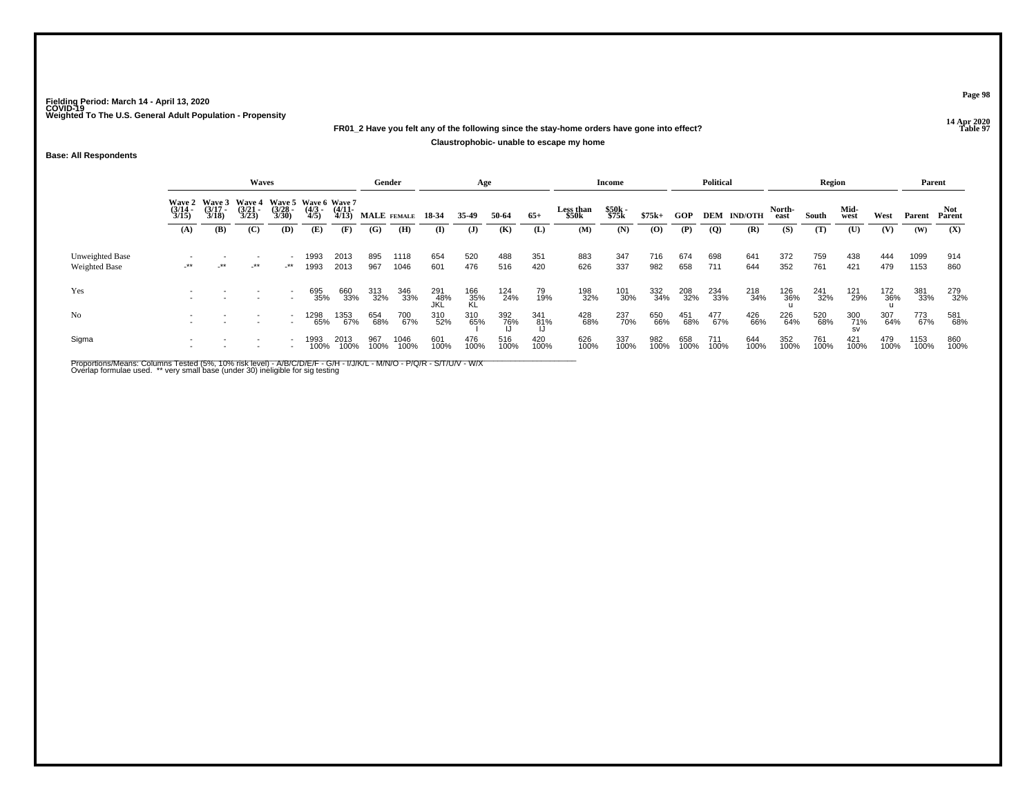# **14 Apr 2020 FR01\_2 Have you felt any of the following since the stay-home orders have gone into effect?**

## **Claustrophobic- unable to escape my home**

**Base: All Respondents**

|                                  |                                        |                                 | <b>Waves</b>                           |                                              |                    |                       | Gender      |              |                   | Age              |             |             |                    | Income         |             |             | Political      |                    |                | Region      |              |             | Parent       |               |
|----------------------------------|----------------------------------------|---------------------------------|----------------------------------------|----------------------------------------------|--------------------|-----------------------|-------------|--------------|-------------------|------------------|-------------|-------------|--------------------|----------------|-------------|-------------|----------------|--------------------|----------------|-------------|--------------|-------------|--------------|---------------|
|                                  | <b>Wave 2</b><br>$\frac{(3/14)}{3/15}$ | Wave 3<br>$\frac{(3/17)}{3/18}$ | <b>Wave 4</b><br>$\frac{(3/21)}{3/23}$ | Wave 5 Wave 6 Wave 7<br>$\binom{3/28}{3/30}$ | $\binom{4/3}{4/5}$ | $\frac{(4/11)}{4/13}$ | MALE FEMALE |              | 18 34             | 35.49            | 50-64       | $65+$       | Less than<br>\$50k | \$50k<br>\$75k | $$75k+$     | <b>GOP</b>  |                | <b>DEM IND/OTH</b> | North-<br>east | South       | Mid-<br>west | West        | Parent       | Not<br>Parent |
|                                  | (A)                                    | (B)                             | (C)                                    | (D)                                          | (E)                | (F)                   | (G)         | (H)          | (I)               | $\mathbf{J}$     | (K)         | (L)         | (M)                | (N)            | (O)         | (P)         | $\overline{Q}$ | (R)                | (S)            | (T)         | (U)          | (V)         | (W)          | (X)           |
| Unweighted Base<br>Weighted Base | $-***$                                 | _**                             | $-***$                                 | _**                                          | 1993<br>1993       | 2013<br>2013          | 895<br>967  | 1118<br>1046 | 654<br>601        | 520<br>476       | 488<br>516  | 351<br>420  | 883<br>626         | 347<br>337     | 716<br>982  | 674<br>658  | 698<br>711     | 641<br>644         | 372<br>352     | 759<br>761  | 438<br>421   | 444<br>479  | 1099<br>1153 | 914<br>860    |
| Yes                              |                                        |                                 |                                        |                                              | 695<br>35%         | 660<br>33%            | 313<br>32%  | 346<br>33%   | 291<br>48%<br>JKL | 166<br>35%<br>KL | 124<br>24%  | 79<br>19%   | 198<br>32%         | 101<br>30%     | 332<br>34%  | 208<br>32%  | 234<br>33%     | 218<br>34%         | 126<br>36%     | 241<br>32%  | 121<br>29%   | 172<br>36%  | 381<br>33%   | 279<br>32%    |
| No                               |                                        |                                 |                                        |                                              | 1298<br>65%        | 1353<br>67%           | 654<br>68%  | 700<br>67%   | 310<br>52%        | 310<br>65%       | 392<br>76%  | 341<br>81%  | 428<br>68%         | 237<br>70%     | 650<br>66%  | 451<br>68%  | 477<br>67%     | 426<br>66%         | 226<br>64%     | 520<br>68%  | 300<br>71%   | 307<br>64%  | 773<br>67%   | 581<br>68%    |
| Sigma                            |                                        |                                 |                                        |                                              | 1993<br>100%       | 2013<br>100%          | 967<br>100% | 1046<br>100% | 601<br>100%       | 476<br>100%      | 516<br>100% | 420<br>100% | 626<br>100%        | 337<br>100%    | 982<br>100% | 658<br>100% | 711<br>100%    | 644<br>100%        | 352<br>100%    | 761<br>100% | 421<br>100%  | 479<br>100% | 1153<br>100% | 860<br>100%   |

Proportions/Means: Columns Tested (5%, 10% risk level) - A/B/C/D/E/F - G/H - I/J/K/L - M/N/O - P/Q/R - S/T/U/V - W/X<br>Overlap formulae used. \*\* very small base (under 30) ineligible for sig testing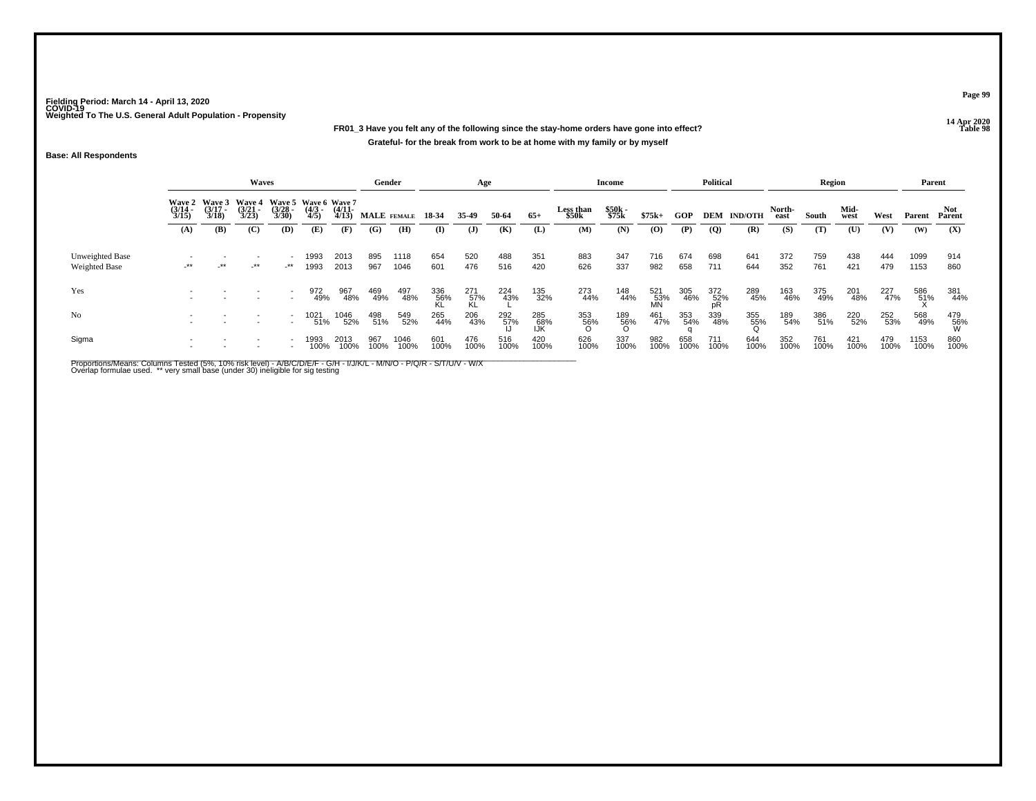**14 Apr 2020 FR01\_3 Have you felt any of the following since the stay-home orders have gone into effect?Grateful- for the break from work to be at home with my family or by myself**

## **Base: All Respondents**

|                                  |                       |                                        | Waves                                  |                          |                                             |                       | Gender      |              |             | Age              |             |                   |                    | Income         |                  |             | <b>Political</b> |                    |                | Region      |              |             | Parent       |                 |
|----------------------------------|-----------------------|----------------------------------------|----------------------------------------|--------------------------|---------------------------------------------|-----------------------|-------------|--------------|-------------|------------------|-------------|-------------------|--------------------|----------------|------------------|-------------|------------------|--------------------|----------------|-------------|--------------|-------------|--------------|-----------------|
|                                  | $\frac{(3/14)}{3/15}$ | Wave 2 Wave 3<br>$\frac{(3/17)}{3/18}$ | <b>Wave 4</b><br>$\frac{(3/21)}{3/23}$ | $\frac{(3/28)}{3/30}$    | Wave 5 Wave 6 Wave 7<br>$\frac{(4/3)}{4/5}$ | $\frac{(4/11)}{4/13}$ | MALE FEMALE |              | 18-34       | 35-49            | 50-64       | $65+$             | Less than<br>\$50k | \$50k<br>\$75k | $$75k+$          | <b>GOP</b>  |                  | <b>DEM IND/OTH</b> | North-<br>east | South       | Mid-<br>west | West        | Parent       | Not<br>Parent   |
|                                  | (A)                   | (B)                                    | (C)                                    | (D)                      | (E)                                         | (F)                   | (G)         | (H)          | $\bf{I}$    | $\mathbf{J}$     | (K)         | (L)               | (M)                | (N)            | (0)              | (P)         | $\overline{Q}$   | (R)                | (S)            | (T)         | (U)          | (V)         | (W)          | (X)             |
| Unweighted Base<br>Weighted Base | $-***$                | _**                                    | -**                                    | $-***$                   | 1993<br>1993                                | 2013<br>2013          | 895<br>967  | 1118<br>1046 | 654<br>601  | 520<br>476       | 488<br>516  | 351<br>420        | 883<br>626         | 347<br>337     | 716<br>982       | 674<br>658  | 698<br>711       | 641<br>644         | 372<br>352     | 759<br>761  | 438<br>421   | 444<br>479  | 1099<br>1153 | 914<br>860      |
| Yes                              |                       |                                        |                                        |                          | 972<br>49%                                  | 967<br>48%            | 469<br>49%  | 497<br>48%   | 336<br>56%  | 271<br>57%<br>KL | 224<br>43%  | 135<br>32%        | 273<br>44%         | 148<br>44%     | 521<br>53%<br>MN | 305<br>46%  | 372<br>52%<br>pR | 289<br>45%         | 163<br>46%     | 375<br>49%  | 201<br>48%   | 227<br>47%  | 586<br>51%   | 381<br>44%      |
| N <sub>0</sub>                   |                       |                                        |                                        | $\overline{\phantom{a}}$ | 1021<br>51%                                 | 1046<br>52%           | 498<br>51%  | 549<br>52%   | 265<br>44%  | 206<br>43%       | 292<br>57%  | 285<br>68%<br>IJK | 353<br>56%         | 189<br>56%     | 461<br>47%       | 353<br>54%  | 339<br>48%       | 355<br>55%         | 189<br>54%     | 386<br>51%  | 220<br>52%   | 252<br>53%  | 568<br>49%   | 479<br>56%<br>W |
| Sigma                            |                       |                                        |                                        |                          | 1993<br>100%                                | 2013<br>100%          | 967<br>100% | 1046<br>100% | 601<br>100% | 476<br>100%      | 516<br>100% | 420<br>100%       | 626<br>100%        | 337<br>100%    | 982<br>100%      | 658<br>100% | 711<br>100%      | 644<br>100%        | 352<br>100%    | 761<br>100% | 421<br>100%  | 479<br>100% | 1153<br>100% | 860<br>100%     |

Proportions/Means: Columns Tested (5%, 10% risk level) - A/B/C/D/E/F - G/H - I/J/K/L - M/N/O - P/Q/R - S/T/U/V - W/X<br>Overlap formulae used. \*\* very small base (under 30) ineligible for sig testing

**Page 99**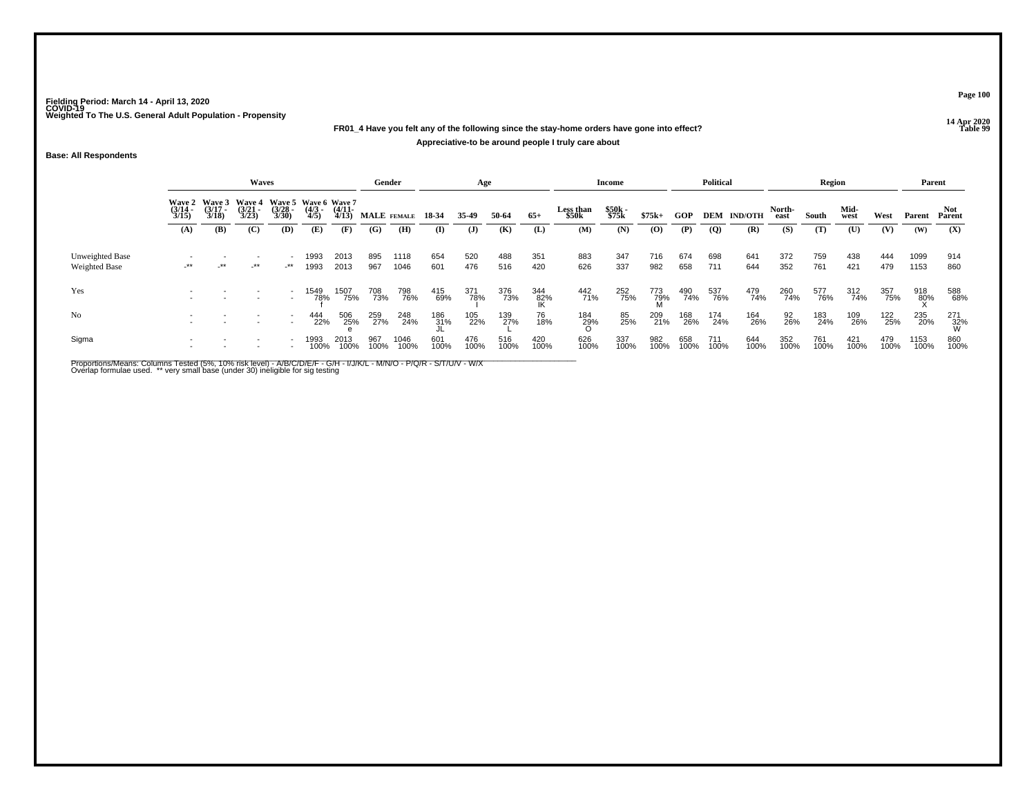# **14 Apr 2020 FR01\_4 Have you felt any of the following since the stay-home orders have gone into effect?Appreciative-to be around people I truly care about**

## **Base: All Respondents**

|                                         |                       |                       | <b>Waves</b>                                  |                       |                                            |                       | Gender      |              |             | Age          |             |                  |                           | Income         |                 |             | <b>Political</b> |                    |                | Region      |              |             | Parent       |                 |
|-----------------------------------------|-----------------------|-----------------------|-----------------------------------------------|-----------------------|--------------------------------------------|-----------------------|-------------|--------------|-------------|--------------|-------------|------------------|---------------------------|----------------|-----------------|-------------|------------------|--------------------|----------------|-------------|--------------|-------------|--------------|-----------------|
|                                         | $\frac{(3/14)}{3/15}$ | $\frac{(3/17)}{3/18}$ | Wave 2 Wave 3 Wave 4<br>$\frac{(3/21)}{3/23}$ | $\frac{(3/28)}{3/30}$ | Wave 5 Wave 6 Wave 7<br>$\binom{4/3}{4/5}$ | $\frac{(4/11)}{4/13}$ | MALE FEMALE |              | 18-34       | 35-49        | 50-64       | $65+$            | <b>Less than</b><br>\$50k | \$50k<br>\$75k | $$75k+$         | GOP         |                  | <b>DEM IND/OTH</b> | North-<br>east | South       | Mid-<br>west | West        | Parent       | Not<br>Parent   |
|                                         | (A)                   | (B)                   | (C)                                           | (D)                   | (E)                                        | (F)                   | (G)         | (H)          | (I)         | $\mathbf{J}$ | (K)         | (L)              | (M)                       | (N)            | (O)             | (P)         | $\overline{Q}$   | (R)                | (S)            | (T)         | (U)          | (V)         | (W)          | (X)             |
| Unweighted Base<br><b>Weighted Base</b> | $-***$                | -**                   | -**                                           | $\rightarrow$         | 1993<br>1993                               | 2013<br>2013          | 895<br>967  | 1118<br>1046 | 654<br>601  | 520<br>476   | 488<br>516  | 351<br>420       | 883<br>626                | 347<br>337     | 716<br>982      | 674<br>658  | 698<br>711       | 641<br>644         | 372<br>352     | 759<br>761  | 438<br>421   | 444<br>479  | 1099<br>1153 | 914<br>860      |
| Yes                                     |                       |                       |                                               |                       | 1549<br>78%                                | 1507<br>75%           | 708<br>73%  | 798<br>76%   | 415<br>69%  | 371<br>78%   | 376<br>73%  | 344<br>82%<br>IK | 442<br>71%                | 252<br>75%     | 773<br>79%<br>M | 490<br>74%  | 537<br>76%       | 479<br>74%         | 260<br>74%     | 577<br>76%  | 312<br>74%   | 357<br>75%  | 918<br>80%   | 588<br>68%      |
| No                                      |                       |                       |                                               |                       | 444<br>22%                                 | 506<br>25%            | 259<br>27%  | 248<br>24%   | 186<br>31%  | 105<br>22%   | 139<br>27%  | 76<br>18%        | 184<br>29%                | 85<br>25%      | 209<br>21%      | 168<br>26%  | 174<br>24%       | 164<br>26%         | 92<br>26%      | 183<br>24%  | 109<br>26%   | 122<br>25%  | 235<br>20%   | 271<br>32%<br>W |
| Sigma                                   |                       |                       |                                               |                       | 1993<br>100%                               | 2013<br>100%          | 967<br>100% | 1046<br>100% | 601<br>100% | 476<br>100%  | 516<br>100% | 420<br>100%      | 626<br>100%               | 337<br>100%    | 982<br>100%     | 658<br>100% | 711<br>100%      | 644<br>100%        | 352<br>100%    | 761<br>100% | 421<br>100%  | 479<br>100% | 1153<br>100% | 860<br>100%     |

Proportions/Means: Columns Tested (5%, 10% risk level) - A/B/C/D/E/F - G/H - I/J/K/L - M/N/O - P/Q/R - S/T/U/V - W/X<br>Overlap formulae used. \*\* very small base (under 30) ineligible for sig testing

**Page 100**

**Properties and the Contract of the Contract of Table 99**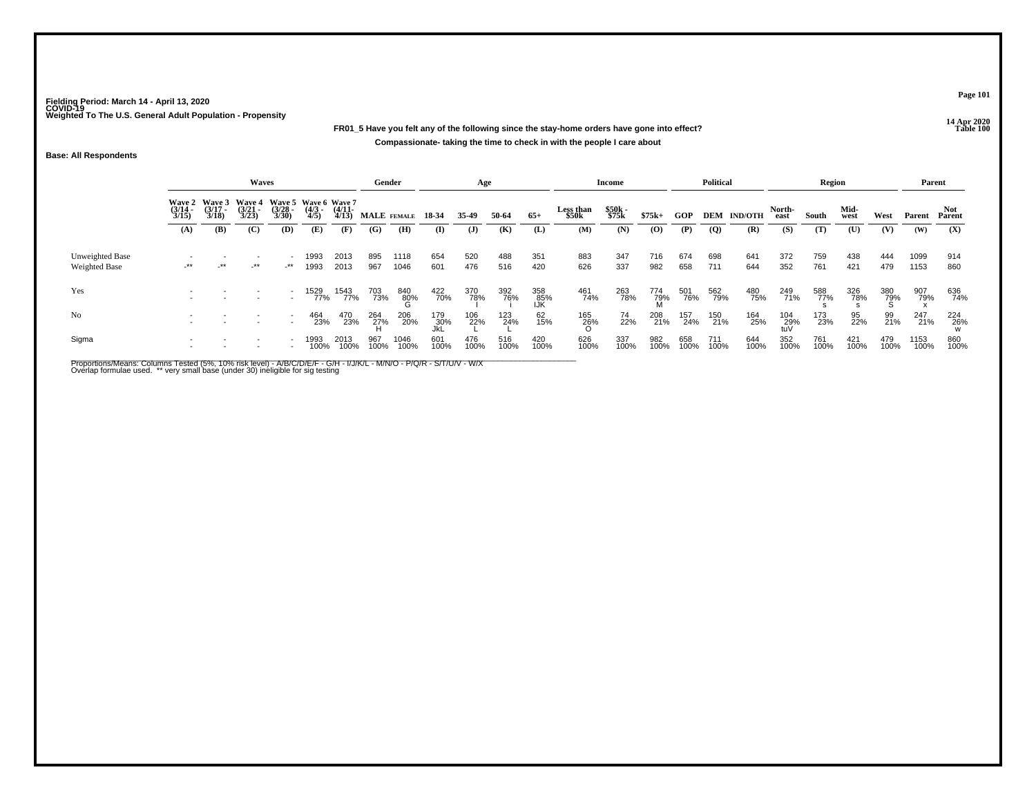# **14 Apr 2020 FR01\_5 Have you felt any of the following since the stay-home orders have gone into effect?Compassionate- taking the time to check in with the people I care about**

## **Base: All Respondents**

|                                         |                       |                                        | Waves                                  |                       |                                             |                       | Gender      |              |                   | Age         |             |                   |                           | Income         |                 |             | <b>Political</b> |                    |                   | <b>Region</b> |              |             | Parent       |               |
|-----------------------------------------|-----------------------|----------------------------------------|----------------------------------------|-----------------------|---------------------------------------------|-----------------------|-------------|--------------|-------------------|-------------|-------------|-------------------|---------------------------|----------------|-----------------|-------------|------------------|--------------------|-------------------|---------------|--------------|-------------|--------------|---------------|
|                                         | $\frac{(3/14)}{3/15}$ | Wave 2 Wave 3<br>$\frac{(3/17)}{3/18}$ | <b>Wave 4</b><br>$\frac{(3/21)}{3/23}$ | $\frac{(3/28)}{3/30}$ | Wave 5 Wave 6 Wave 7<br>$\frac{(4/3)}{4/5}$ | $\frac{(4/11)}{4/13}$ | MALE FEMALE |              | 18 34             | 35.49       | 50-64       | $65+$             | <b>Less than</b><br>\$50k | \$50k<br>\$75k | $$75k+$         | <b>GOP</b>  |                  | <b>DEM IND/OTH</b> | North-<br>east    | South         | Mid-<br>west | West        | Parent       | Not<br>Parent |
|                                         | (A)                   | (B)                                    | (C)                                    | (D)                   | (E)                                         | (F)                   | (G)         | (H)          | (I)               | (J)         | (K)         | (L)               | (M)                       | (N)            | (0)             | (P)         | $\overline{Q}$   | (R)                | (S)               | (T)           | (U)          | (V)         | (W)          | (X)           |
| Unweighted Base<br><b>Weighted Base</b> | $-***$                | $-***$                                 | $-***$                                 | $-***$                | 1993<br>1993                                | 2013<br>2013          | 895<br>967  | 1118<br>1046 | 654<br>601        | 520<br>476  | 488<br>516  | 351<br>420        | 883<br>626                | 347<br>337     | 716<br>982      | 674<br>658  | 698<br>711       | 641<br>644         | 372<br>352        | 759<br>761    | 438<br>421   | 444<br>479  | 1099<br>1153 | 914<br>860    |
| Yes                                     |                       |                                        |                                        |                       | 15 <u>29</u><br>77%                         | 1543<br>77%           | 703<br>73%  | 840<br>80%   | 422<br>70%        | 370<br>78%  | 392<br>76%  | 358<br>85%<br>IJK | 461<br>74%                | 263<br>78%     | 774<br>79%<br>M | 501<br>76%  | 562<br>79%       | 480<br>75%         | 249<br>71%        | 588<br>77%    | 326<br>78%   | 380<br>79%  | 907<br>79%   | 636<br>74%    |
| No                                      |                       |                                        |                                        |                       | 464<br>23%                                  | 470<br>23%            | 264<br>27%  | 206<br>20%   | 179<br>30%<br>JkL | 106<br>22%  | 123<br>24%  | 62<br>15%         | 165<br>26%                | 74<br>22%      | 208<br>21%      | 157<br>24%  | 150<br>21%       | 164<br>25%         | 104<br>29%<br>tuV | 173<br>23%    | 95<br>22%    | 99<br>21%   | 247<br>21%   | 224<br>26%    |
| Sigma                                   |                       |                                        |                                        |                       | 1993<br>100%                                | 2013<br>100%          | 967<br>100% | 1046<br>100% | 601<br>100%       | 476<br>100% | 516<br>100% | 420<br>100%       | 626<br>100%               | 337<br>100%    | 982<br>100%     | 658<br>100% | 711<br>100%      | 644<br>100%        | 352<br>100%       | 761<br>100%   | 421<br>100%  | 479<br>100% | 1153<br>100% | 860<br>100%   |

Proportions/Means: Columns Tested (5%, 10% risk level) - A/B/C/D/E/F - G/H - I/J/K/L - M/N/O - P/Q/R - S/T/U/V - W/X<br>Overlap formulae used. \*\* very small base (under 30) ineligible for sig testing

**Page 101**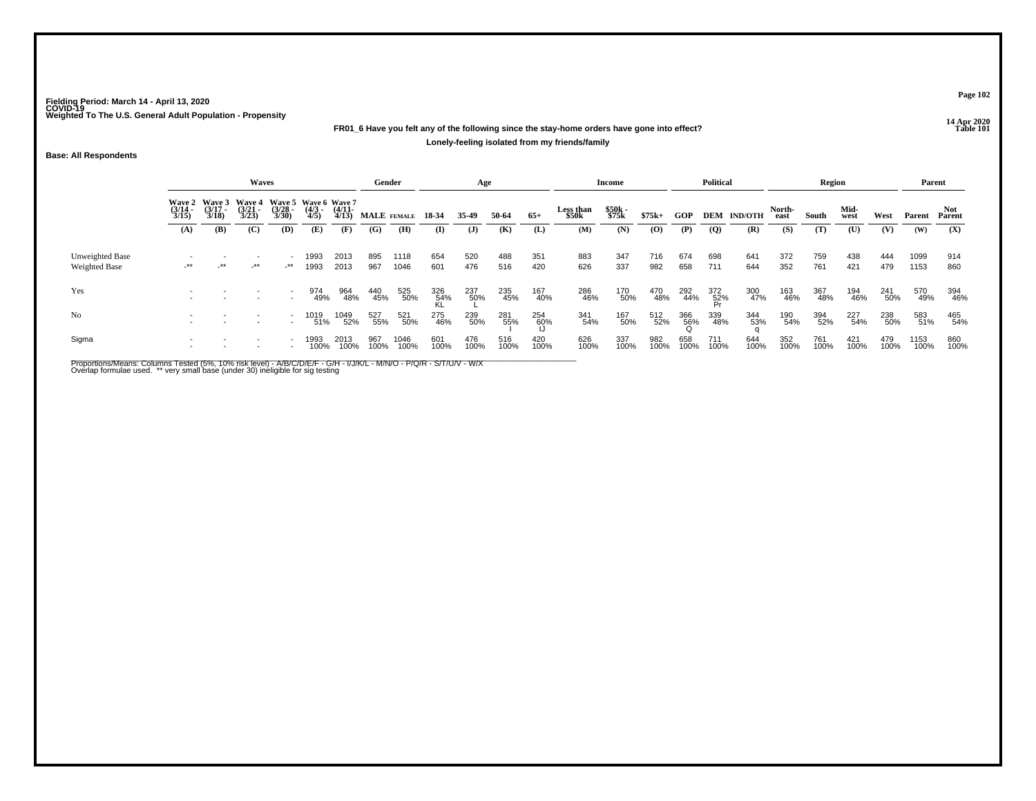# **14 Apr 2020 FR01\_6 Have you felt any of the following since the stay-home orders have gone into effect?Lonely-feeling isolated from my friends/family**

## **Base: All Respondents**

|                                         |                       |                       | Waves                                         |                                                      |                     |                       | Gender      |              |                  | Age          |             |             |                    | Income         |             |             | <b>Political</b> |                    |                | Region      |              |             | Parent       |               |
|-----------------------------------------|-----------------------|-----------------------|-----------------------------------------------|------------------------------------------------------|---------------------|-----------------------|-------------|--------------|------------------|--------------|-------------|-------------|--------------------|----------------|-------------|-------------|------------------|--------------------|----------------|-------------|--------------|-------------|--------------|---------------|
|                                         | $\frac{(3/14)}{3/15}$ | $\frac{(3/17)}{3/18}$ | Wave 2 Wave 3 Wave 4<br>$\frac{(3/21)}{3/23}$ | Wave 5 Wave 6 Wave 7<br>$\frac{(3/28)}{3/30}$        | $\frac{(4/3)}{4/5}$ | $\frac{(4/11)}{4/13}$ | MALE FEMALE |              | 18 34            | 35.49        | 50-64       | $65+$       | Less than<br>\$50k | \$50k<br>\$75k | $$75k+$     | GOP         |                  | <b>DEM IND/OTH</b> | North-<br>east | South       | Mid-<br>west | West        | Parent       | Not<br>Parent |
|                                         | (A)                   | (B)                   | (C)                                           | (D)                                                  | (E)                 | (F)                   | (G)         | (H)          | $\mathbf{I}$     | $\mathbf{J}$ | (K)         | (L)         | (M)                | (N)            | (O)         | (P)         | $\overline{Q}$   | (R)                | (S)            | (T)         | (U)          | (V)         | (W)          | (X)           |
| Unweighted Base<br><b>Weighted Base</b> | -**                   | $+$ **                | $-***$                                        | $\overline{\phantom{a}}$<br>$-***$                   | 1993<br>1993        | 2013<br>2013          | 895<br>967  | 1118<br>1046 | 654<br>601       | 520<br>476   | 488<br>516  | 351<br>420  | 883<br>626         | 347<br>337     | 716<br>982  | 674<br>658  | 698<br>711       | 641<br>644         | 372<br>352     | 759<br>761  | 438<br>421   | 444<br>479  | 1099<br>1153 | 914<br>860    |
| Yes                                     |                       |                       |                                               |                                                      | 974<br>49%          | 964<br>48%            | 440<br>45%  | 525<br>50%   | 326<br>54%<br>KL | 237<br>50%   | 235<br>45%  | 167<br>40%  | 286<br>46%         | 170<br>50%     | 470<br>48%  | 292<br>44%  | 372<br>52%<br>Pr | 300<br>47%         | 163<br>46%     | 367<br>48%  | 194<br>46%   | 241<br>50%  | 570<br>49%   | 394<br>46%    |
| N <sub>0</sub>                          |                       |                       |                                               | $\overline{\phantom{a}}$<br>$\overline{\phantom{a}}$ | 1019<br>51%         | 1049<br>52%           | 527<br>55%  | 521<br>50%   | 275<br>46%       | 239<br>50%   | 281<br>55%  | 254<br>60%  | 341<br>54%         | 167<br>50%     | 512<br>52%  | 366<br>56%  | 339<br>48%       | 344<br>53%         | 190<br>54%     | 394<br>52%  | 227<br>54%   | 238<br>50%  | 583<br>51%   | 465<br>54%    |
| Sigma                                   |                       |                       |                                               |                                                      | 1993                | 2013<br>100%          | 967<br>100% | 1046<br>100% | 601<br>100%      | 476<br>100%  | 516<br>100% | 420<br>100% | 626<br>100%        | 337<br>100%    | 982<br>100% | 658<br>100% | 711<br>100%      | 644<br>100%        | 352<br>100%    | 761<br>100% | 421<br>100%  | 479<br>100% | 1153<br>100% | 860<br>100%   |

Proportions/Means: Columns Tested (5%, 10% risk level) - A/B/C/D/E/F - G/H - I/J/K/L - M/N/O - P/Q/R - S/T/U/V - W/X<br>Overlap formulae used. \*\* very small base (under 30) ineligible for sig testing

**Page 102**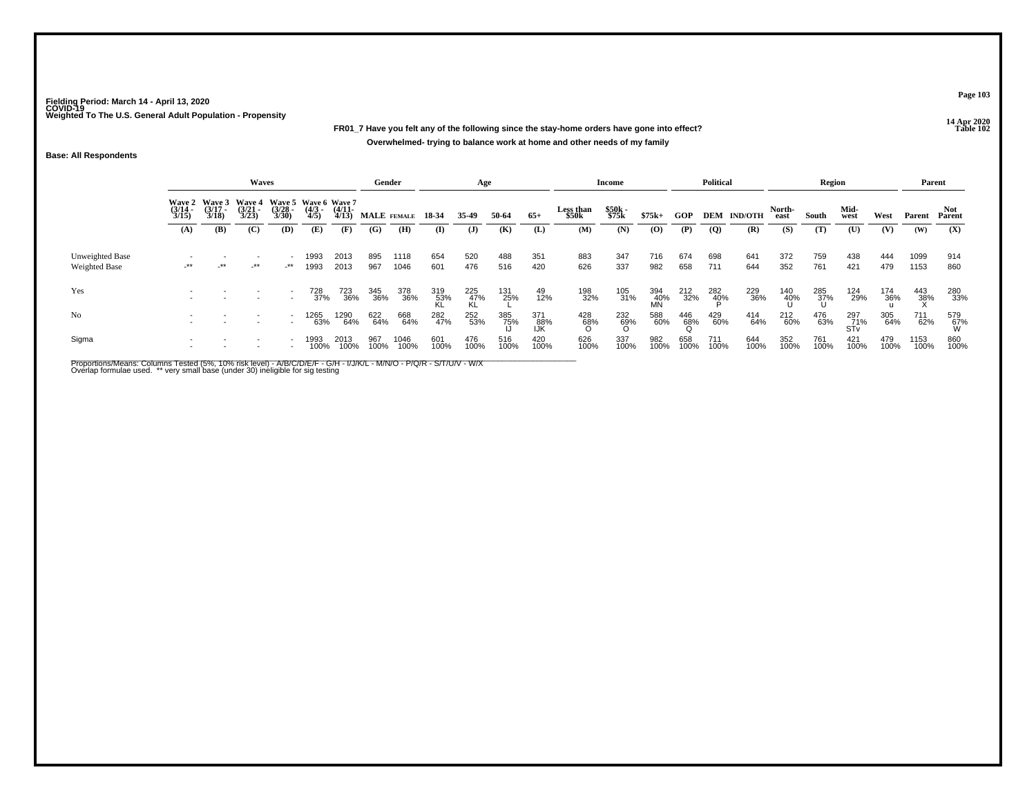**14 Apr 2020 FR01\_7 Have you felt any of the following since the stay-home orders have gone into effect?Overwhelmed- trying to balance work at home and other needs of my family**

## **Base: All Respondents**

|                                  |                                        |                                 | Waves                                  |                       |                                             |                       | Gender      |              |                    | Age              |             |                   |                           | Income         |                  |                 | <b>Political</b> |                    |                | <b>Region</b> |                   |             | Parent       |                     |
|----------------------------------|----------------------------------------|---------------------------------|----------------------------------------|-----------------------|---------------------------------------------|-----------------------|-------------|--------------|--------------------|------------------|-------------|-------------------|---------------------------|----------------|------------------|-----------------|------------------|--------------------|----------------|---------------|-------------------|-------------|--------------|---------------------|
|                                  | <b>Wave 2</b><br>$\frac{(3/14)}{3/15}$ | Wave 3<br>$\frac{(3/17)}{3/18}$ | <b>Wave 4</b><br>$\frac{(3/21)}{3/23}$ | $\frac{(3/28)}{3/30}$ | Wave 5 Wave 6 Wave 7<br>$\frac{(4/3)}{4/5}$ | $\frac{(4/11)}{4/13}$ | MALE FEMALE |              | 18-34              | 35.49            | 50-64       | $65+$             | <b>Less than</b><br>\$50k | \$50k<br>\$75k | $$75k+$          | GOP             |                  | <b>DEM IND/OTH</b> | North-<br>east | South         | Mid-<br>west      | West        | Parent       | Not<br>Parent       |
|                                  | (A)                                    | (B)                             | (C)                                    | (D)                   | (E)                                         | (F)                   | (G)         | (H)          | $\bf{I}$           | $\mathbf{J}$     | (K)         | (L)               | (M)                       | (N)            | (0)              | (P)             | $\overline{Q}$   | (R)                | (S)            | (T)           | $(\mathbf{U})$    | (V)         | (W)          | (X)                 |
| Unweighted Base<br>Weighted Base | $-***$                                 | _**                             | $-***$                                 | _**                   | 1993<br>1993                                | 2013<br>2013          | 895<br>967  | 1118<br>1046 | 654<br>601         | 520<br>476       | 488<br>516  | 351<br>420        | 883<br>626                | 347<br>337     | 716<br>982       | 674<br>658      | 698<br>711       | 641<br>644         | 372<br>352     | 759<br>761    | 438<br>421        | 444<br>479  | 1099<br>1153 | 914<br>860          |
| Yes                              |                                        |                                 |                                        |                       | 728<br>37%                                  | 723<br>36%            | 345<br>36%  | 378<br>36%   | $\frac{319}{53\%}$ | 225<br>47%<br>KL | 131<br>25%  | 49<br>12%         | 198<br>32%                | 105<br>31%     | 394<br>40%<br>MN | 212<br>32%      | 282<br>40%       | 229<br>36%         | 140<br>40%     | 285<br>37%    | 124<br>29%        | 174<br>36%  | 443<br>38%   | 280<br>33%          |
| No                               |                                        |                                 |                                        |                       | 1265<br>63%                                 | 1290<br>64%           | 622<br>64%  | 668<br>64%   | 282<br>47%         | 252<br>53%       | 385<br>75%  | 371<br>88%<br>IJK | 428<br>68%                | 232<br>69%     | 588<br>60%       | 446<br>68%<br>O | 429<br>60%       | 414<br>64%         | 212<br>60%     | 476<br>63%    | 297<br>71%<br>STv | 305<br>64%  | 711<br>62%   | 579<br>- 67%<br>- W |
| Sigma                            |                                        |                                 |                                        |                       | 1993<br>100%                                | 2013<br>100%          | 967<br>100% | 1046<br>100% | 601<br>100%        | 476<br>100%      | 516<br>100% | 420<br>100%       | 626<br>100%               | 337<br>100%    | 982<br>100%      | 658<br>100%     | 711<br>100%      | 644<br>100%        | 352<br>100%    | 761<br>100%   | 421<br>100%       | 479<br>100% | 1153<br>100% | 860<br>100%         |

Proportions/Means: Columns Tested (5%, 10% risk level) - A/B/C/D/E/F - G/H - I/J/K/L - M/N/O - P/Q/R - S/T/U/V - W/X<br>Overlap formulae used. \*\* very small base (under 30) ineligible for sig testing

**Page 103**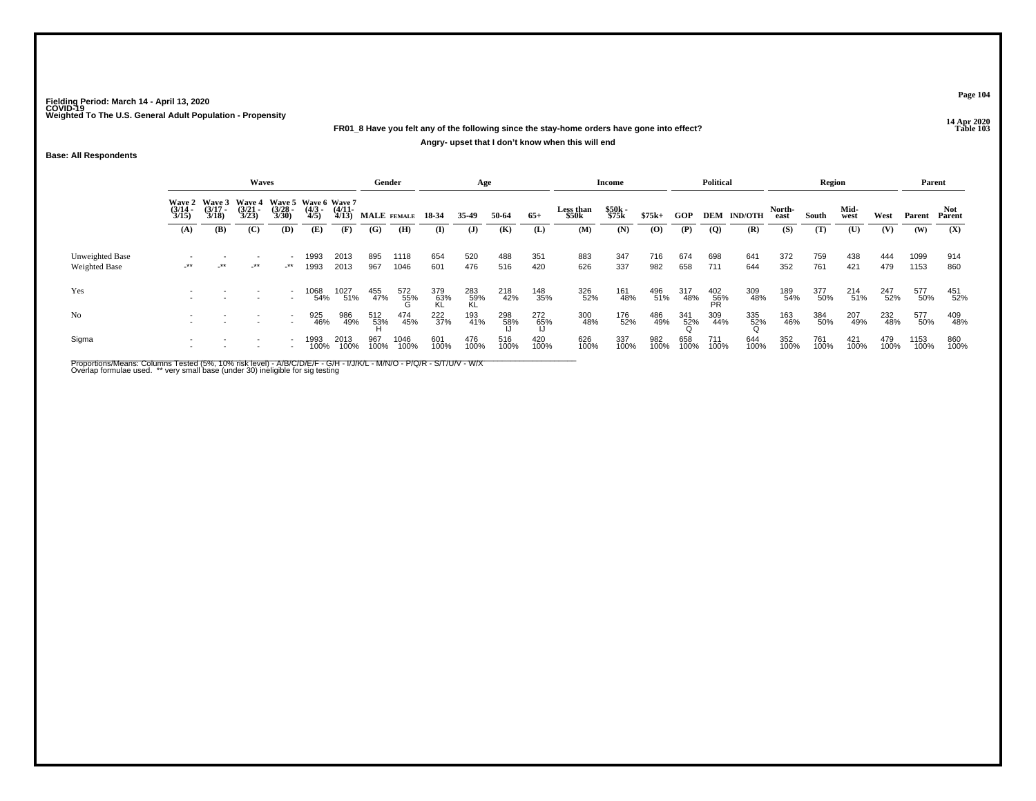# **14 Apr 2020 FR01\_8 Have you felt any of the following since the stay-home orders have gone into effect?Angry- upset that I don't know when this will end**

**Base: All Respondents**

|                                         |                       |                                                                    | Waves                 |                       |                    |                       | Gender      |                    |                  | Age              |             |             |                    | <b>Income</b>  |             |             | <b>Political</b>                   |                    |                | Region      |              |             | Parent       |               |
|-----------------------------------------|-----------------------|--------------------------------------------------------------------|-----------------------|-----------------------|--------------------|-----------------------|-------------|--------------------|------------------|------------------|-------------|-------------|--------------------|----------------|-------------|-------------|------------------------------------|--------------------|----------------|-------------|--------------|-------------|--------------|---------------|
|                                         | $\frac{(3/14)}{3/15}$ | Wave 2 Wave 3 Wave 4 Wave 5 Wave 6 Wave 7<br>$\frac{(3/17)}{3/18}$ | $\frac{(3/21)}{3/23}$ | $\frac{(3/28)}{3/30}$ | $\binom{4/3}{4/5}$ | $\frac{(4/11)}{4/13}$ | MALE FEMALE |                    | 18-34            | 35-49            | 50-64       | $65+$       | Less than<br>\$50k | \$50k<br>\$75k | $$75k+$     | GOP         |                                    | <b>DEM IND/OTH</b> | North-<br>east | South       | Mid-<br>west | West        | Parent       | Not<br>Parent |
|                                         | (A)                   | (B)                                                                | (C)                   | (D)                   | (E)                | (F)                   | (G)         | (H)                | $\mathbf{I}$     | $\mathbf{J}$     | (K)         | (L)         | (M)                | (N)            | $\left($ O) | (P)         | $\overline{Q}$                     | (R)                | (S)            | (T)         | (U)          | (V)         | (W)          | (X)           |
| Unweighted Base<br><b>Weighted Base</b> | -**                   | $-***$                                                             | _**                   | -**                   | 1993<br>1993       | 2013<br>2013          | 895<br>967  | 1118<br>1046       | 654<br>601       | 520<br>476       | 488<br>516  | 351<br>420  | 883<br>626         | 347<br>337     | 716<br>982  | 674<br>658  | 698<br>711                         | 641<br>644         | 372<br>352     | 759<br>761  | 438<br>421   | 444<br>479  | 1099<br>1153 | 914<br>860    |
| Yes                                     |                       |                                                                    |                       |                       | 1068<br>54%        | 1027<br>51%           | 455<br>47%  | $\frac{572}{55\%}$ | 379<br>63%<br>KL | 283<br>59%<br>KL | 218<br>42%  | 148<br>35%  | 326<br>52%         | 161<br>48%     | 496<br>51%  | 317<br>48%  | $^{402}_{\substack{56\\{\sf PR}}}$ | 309<br>48%         | 189<br>54%     | 377<br>50%  | 214<br>51%   | 247<br>52%  | 577<br>50%   | 451<br>52%    |
| No                                      |                       |                                                                    |                       |                       | 925<br>46%         | 986<br>49%            | 512<br>53%  | 474<br>45%         | 222<br>37%       | 193<br>41%       | 298<br>58%  | 272<br>65%  | 300<br>48%         | 176<br>52%     | 486<br>49%  | 341<br>52%  | 309<br>44%                         | 335<br>52%         | 163<br>46%     | 384<br>50%  | 207<br>49%   | 232<br>48%  | 577<br>50%   | 409<br>48%    |
| Sigma                                   |                       |                                                                    |                       |                       | 1993<br>100%       | 2013<br>100%          | 967<br>100% | 1046<br>100%       | 601<br>100%      | 476<br>100%      | 516<br>100% | 420<br>100% | 626<br>100%        | 337<br>100%    | 982<br>100% | 658<br>100% | 711<br>100%                        | 644<br>100%        | 352<br>100%    | 761<br>100% | 421<br>100%  | 479<br>100% | 1153<br>100% | 860<br>100%   |

Proportions/Means: Columns Tested (5%, 10% risk level) - A/B/C/D/E/F - G/H - I/J/K/L - M/N/O - P/Q/R - S/T/U/V - W/X<br>Overlap formulae used. \*\* very small base (under 30) ineligible for sig testing

**Page 104**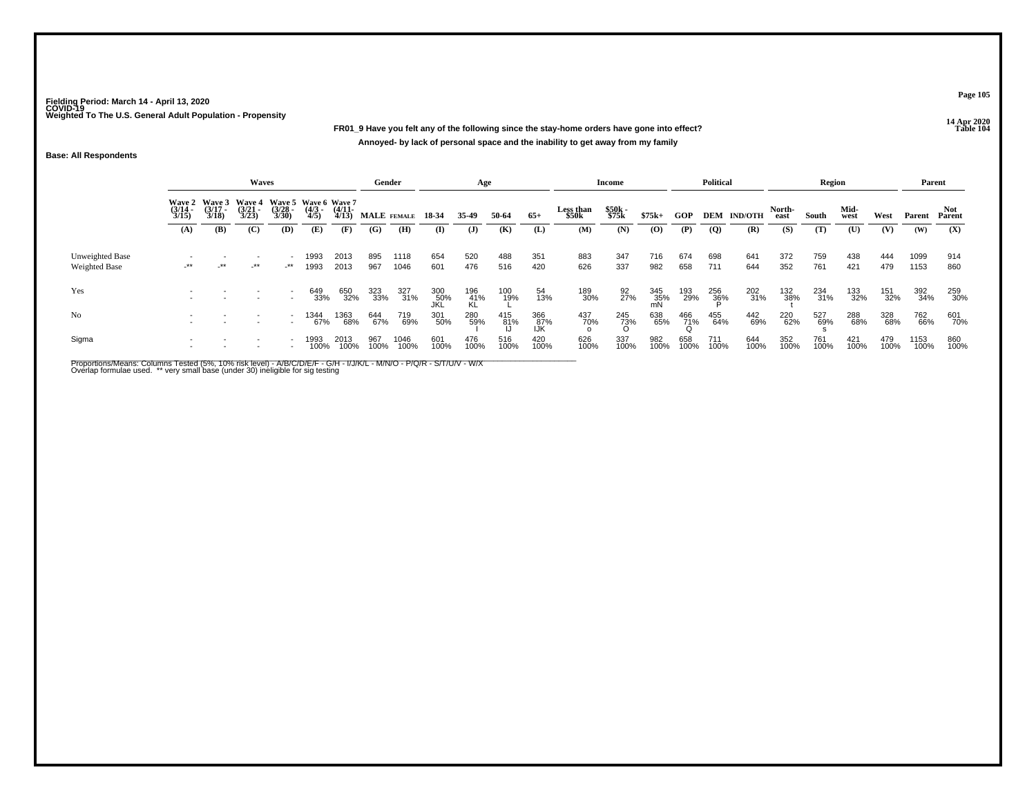**14 Apr 2020 FR01\_9 Have you felt any of the following since the stay-home orders have gone into effect?Annoyed- by lack of personal space and the inability to get away from my family**

## **Base: All Respondents**

|                                         |                       |                                               | Waves                 |                       |                                             |                       | Gender      |              |                   | Age              |             |                    |                    | Income            |                  |                 | <b>Political</b> |                    |                | <b>Region</b> |              |             | Parent       |                      |
|-----------------------------------------|-----------------------|-----------------------------------------------|-----------------------|-----------------------|---------------------------------------------|-----------------------|-------------|--------------|-------------------|------------------|-------------|--------------------|--------------------|-------------------|------------------|-----------------|------------------|--------------------|----------------|---------------|--------------|-------------|--------------|----------------------|
|                                         | $\frac{(3/14)}{3/15}$ | Wave 2 Wave 3 Wave 4<br>$\frac{(3/17)}{3/18}$ | $\frac{(3/21)}{3/23}$ | $\frac{(3/28)}{3/30}$ | Wave 5 Wave 6 Wave 7<br>$\frac{(4/3)}{4/5}$ | $\frac{(4/11)}{4/13}$ | MALE FEMALE |              | 18-34             | 35.49            | 50-64       | $65+$              | Less than<br>\$50k | \$50k<br>\$75k    | $$75k+$          | GOP             |                  | <b>DEM IND/OTH</b> | North-<br>east | South         | Mid-<br>west | West        | Parent       | <b>Not</b><br>Parent |
|                                         | (A)                   | (B)                                           | (C)                   | (D)                   | (E)                                         | (F)                   | (G)         | (H)          | (I)               | $\mathbf{J}$     | (K)         | (L)                | (M)                | (N)               | (0)              | (P)             | $\overline{Q}$   | (R)                | (S)            | (T)           | (U)          | (V)         | (W)          | (X)                  |
| Unweighted Base<br><b>Weighted Base</b> | -**                   | _**                                           | -**                   | $-***$                | 1993<br>1993                                | 2013<br>2013          | 895<br>967  | 1118<br>1046 | 654<br>601        | 520<br>476       | 488<br>516  | 351<br>420         | 883<br>626         | 347<br>337        | 716<br>982       | 674<br>658      | 698<br>711       | 641<br>644         | 372<br>352     | 759<br>761    | 438<br>421   | 444<br>479  | 1099<br>1153 | 914<br>860           |
| Yes                                     |                       |                                               |                       |                       | 649<br>33%                                  | 650<br>32%            | 323<br>33%  | 327<br>31%   | 300<br>50%<br>JKL | 196<br>41%<br>KL | 100<br>19%  | 54<br>13%          | 189<br>30%         | $\frac{92}{27\%}$ | 345<br>35%<br>mN | 193<br>29%      | 256<br>36%       | 202<br>31%         | 132<br>38%     | 234<br>31%    | 133<br>32%   | 151<br>32%  | 392<br>34%   | 259<br>30%           |
| No                                      |                       |                                               |                       |                       | 1344<br>67%                                 | 1363<br>68%           | 644<br>67%  | 719<br>69%   | 301<br>50%        | 280<br>59%       | 415<br>81%  | 366<br>.87%<br>⊥lk | 437<br>70%         | 245<br>73%        | 638<br>65%       | 466<br>71%<br>Q | 455<br>64%       | 442<br>69%         | 220<br>62%     | 527<br>69%    | 288<br>68%   | 328<br>68%  | 762<br>66%   | 601<br>70%           |
| Sigma                                   |                       |                                               |                       |                       | 1993<br>100%                                | 2013<br>100%          | 967<br>100% | 1046<br>100% | 601<br>100%       | 476<br>100%      | 516<br>100% | 420<br>100%        | 626<br>100%        | 337<br>100%       | 982<br>100%      | 658<br>100%     | 711<br>100%      | 644<br>100%        | 352<br>100%    | 761<br>100%   | 421<br>100%  | 479<br>100% | 1153<br>100% | 860<br>100%          |

Proportions/Means: Columns Tested (5%, 10% risk level) - A/B/C/D/E/F - G/H - I/J/K/L - M/N/O - P/Q/R - S/T/U/V - W/X<br>Overlap formulae used. \*\* very small base (under 30) ineligible for sig testing

**Page 105**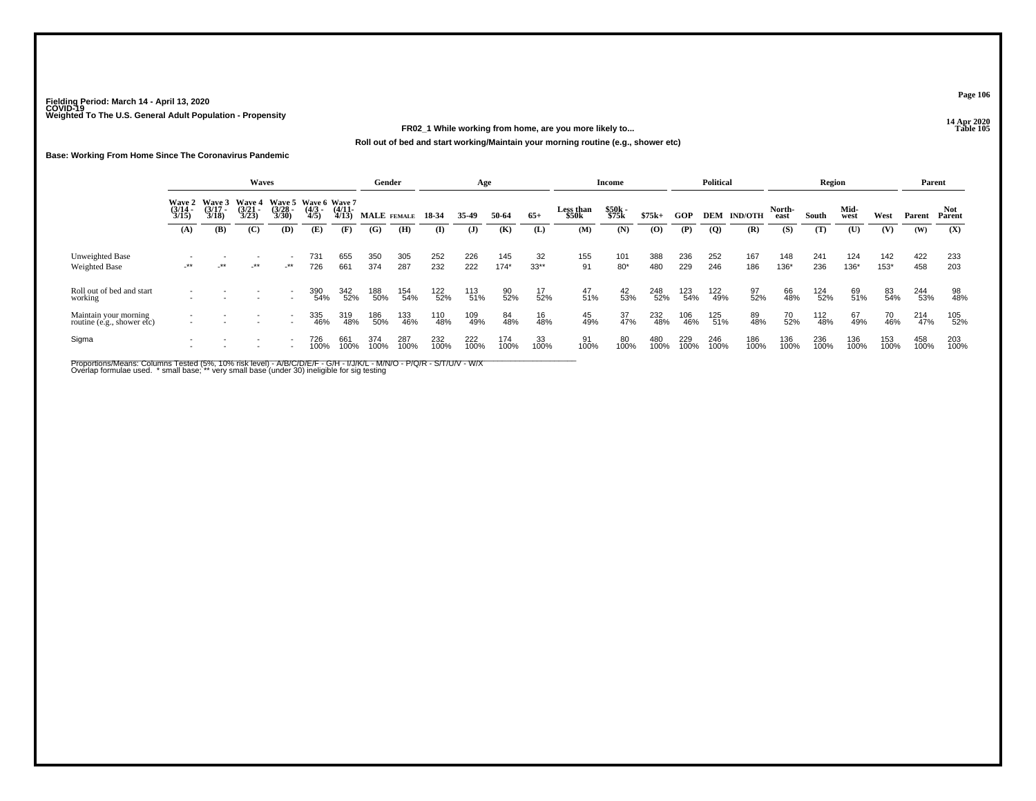# **14 Apr 2020 FR02\_1 While working from home, are you more likely to...**

**Roll out of bed and start working/Maintain your morning routine (e.g., shower etc)**

## **Base: Working From Home Since The Coronavirus Pandemic**

|                                                     |                       |                                        | <b>Waves</b>                           |                                                      |                                             |                       | Gender      |             |             | Age         |               |              |                    | Income            |             |             | <b>Political</b> |                    |                | Region                        |              |               | Parent      |               |
|-----------------------------------------------------|-----------------------|----------------------------------------|----------------------------------------|------------------------------------------------------|---------------------------------------------|-----------------------|-------------|-------------|-------------|-------------|---------------|--------------|--------------------|-------------------|-------------|-------------|------------------|--------------------|----------------|-------------------------------|--------------|---------------|-------------|---------------|
|                                                     | $\frac{(3/14)}{3/15}$ | Wave 2 Wave 3<br>$\frac{(3/17)}{3/18}$ | <b>Wave 4</b><br>$\frac{(3/21)}{3/23}$ | $\frac{(3/28)}{3/30}$                                | Wave 5 Wave 6 Wave 7<br>$\frac{(4/3)}{4/5}$ | $\frac{(4/11)}{4/13}$ | MALE FEMALE |             | 18 34       | 35-49       | 50-64         | $65+$        | Less than<br>\$50k | \$50k<br>\$75k    | $$75k+$     | <b>GOP</b>  |                  | <b>DEM IND/OTH</b> | North-<br>east | South                         | Mid-<br>west | West          | Parent      | Not<br>Parent |
|                                                     | (A)                   | (B)                                    | (C)                                    | (D)                                                  | (E)                                         | (F)                   | (G)         | (H)         | (I)         | (J)         | (K)           | (L)          | (M)                | (N)               | (0)         | (P)         | $\overline{Q}$   | (R)                | (S)            | (T)                           | (U)          | (V)           | (W)         | (X)           |
| Unweighted Base<br>Weighted Base                    | $-***$                | $-***$                                 | $-***$                                 | $\overline{\phantom{a}}$<br>$-***$                   | 731<br>726                                  | 655<br>661            | 350<br>374  | 305<br>287  | 252<br>232  | 226<br>222  | 145<br>$174*$ | 32<br>$33**$ | 155<br>91          | 101<br>$80*$      | 388<br>480  | 236<br>229  | 252<br>246       | 167<br>186         | 148<br>136*    | 241<br>236                    | 124<br>136*  | 142<br>$153*$ | 422<br>458  | 233<br>203    |
| Roll out of bed and start<br>working                |                       |                                        |                                        | $\sim$                                               | 390<br>54%                                  | 342<br>52%            | 188<br>50%  | 154<br>54%  | 122<br>52%  | 113<br>51%  | 90<br>52%     | 17/52%       | $^{47}_{51\%}$     | 42<br>53%         | 248<br>52%  | 123<br>54%  | 122<br>49%       | 97<br>52%          | 66<br>48%      | <sup>124</sup> <sub>52%</sub> | 69<br>51%    | 83<br>54%     | 244<br>53%  | 98<br>48%     |
| Maintain your morning<br>routine (e.g., shower etc) |                       |                                        |                                        | $\overline{\phantom{a}}$                             | 335<br>46%                                  | 319<br>48%            | 186<br>50%  | 133<br>46%  | 110<br>48%  | 109<br>49%  | 84<br>48%     | 16<br>48%    | 45<br>49%          | $\frac{37}{47\%}$ | 232<br>48%  | 106<br>46%  | 125<br>51%       | 89<br>48%          | 70<br>52%      | 112<br>48%                    | 67<br>49%    | 70<br>46%     | 214<br>47%  | 105<br>52%    |
| Sigma                                               |                       |                                        |                                        | $\overline{\phantom{a}}$<br>$\overline{\phantom{a}}$ | 726<br>100%                                 | 661<br>100%           | 374<br>100% | 287<br>100% | 232<br>100% | 222<br>100% | 174<br>100%   | 33<br>100%   | 91<br>100%         | 80<br>100%        | 480<br>100% | 229<br>100% | 246<br>100%      | 186<br>100%        | 136<br>100%    | 236<br>100%                   | 136<br>100%  | 153<br>100%   | 458<br>100% | 203<br>100%   |

Proportions/Means: Columns Tested (5%, 10% risk level) - A/B/C/D/E/F - G/H - I/J/K/L - M/N/O - P/Q/R - S/T/U/V - W/X<br>Overlap formulae used. \*small base; \* very small base (under 30) ineligible for sig testing

**Page 106**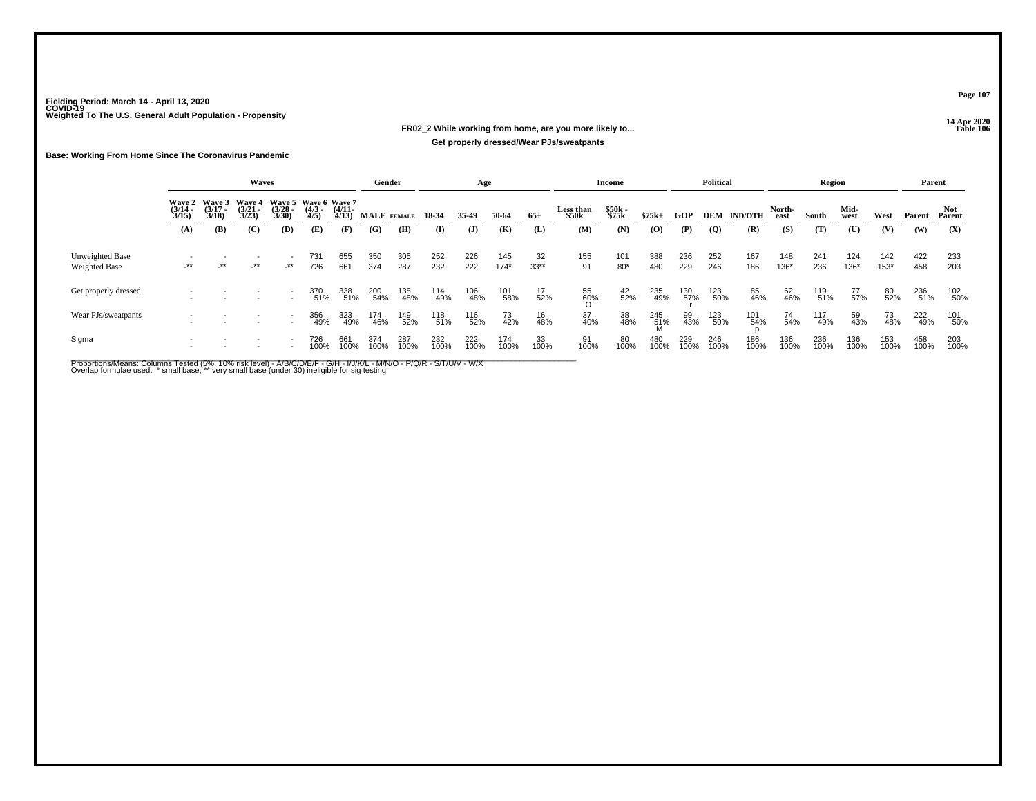# **14 Apr 2020 FR02\_2 While working from home, are you more likely to...Get properly dressed/Wear PJs/sweatpants**

## **Base: Working From Home Since The Coronavirus Pandemic**

|                                  |                                        |                                 | <b>Waves</b>                           |                                               |                    |                       | Gender      |             |             | Age          |               |                    |                    | Income         |             |             | <b>Political</b> |                    |                | Region      |               |               | Parent      |               |
|----------------------------------|----------------------------------------|---------------------------------|----------------------------------------|-----------------------------------------------|--------------------|-----------------------|-------------|-------------|-------------|--------------|---------------|--------------------|--------------------|----------------|-------------|-------------|------------------|--------------------|----------------|-------------|---------------|---------------|-------------|---------------|
|                                  | <b>Wave 2</b><br>$\frac{(3/14)}{3/15}$ | Wave 3<br>$\frac{(3/17)}{3/18}$ | <b>Wave 4</b><br>$\frac{(3/21)}{3/23}$ | Wave 5 Wave 6 Wave 7<br>$\frac{(3/28)}{3/30}$ | $\binom{4/3}{4/5}$ | $\frac{(4/11)}{4/13}$ | MALE FEMALE |             | 18-34       | 35.49        | 50-64         | $65+$              | Less than<br>\$50k | \$50k<br>\$75k | $$75k+$     | GOP         |                  | <b>DEM IND/OTH</b> | North-<br>east | South       | Mid-<br>west  | West          | Parent      | Not<br>Parent |
|                                  | (A)                                    | (B)                             | (C)                                    | (D)                                           | (E)                | (F)                   | (G)         | (H)         | (I)         | $\mathbf{J}$ | (K)           | (L)                | (M)                | (N)            | (0)         | (P)         | $\overline{Q}$   | (R)                | (S)            | (T)         | (U)           | (V)           | (W)         | (X)           |
| Unweighted Base<br>Weighted Base | $-***$                                 | $\rightarrow$                   | $-***$                                 | $-***$                                        | 731<br>726         | 655<br>661            | 350<br>374  | 305<br>287  | 252<br>232  | 226<br>222   | 145<br>$174*$ | 32<br>$33**$       | 155<br>91          | 101<br>$80*$   | 388<br>480  | 236<br>229  | 252<br>246       | 167<br>186         | 148<br>$136*$  | 241<br>236  | 124<br>$136*$ | 142<br>$153*$ | 422<br>458  | 233<br>203    |
| Get properly dressed             |                                        |                                 |                                        |                                               | 370<br>51%         | 338<br>51%            | 200<br>54%  | 138<br>48%  | 114<br>49%  | 106<br>48%   | 101<br>58%    | 17<br>52%          | 55<br>60%          | 42<br>52%      | 235<br>49%  | 130<br>57%  | 123<br>50%       | 85<br>46%          | 62<br>46%      | 119<br>51%  | 77<br>57%     | 80<br>52%     | 236<br>51%  | 102<br>50%    |
| Wear PJs/sweatpants              |                                        |                                 |                                        | $\overline{\phantom{a}}$                      | 356<br>49%         | 323<br>49%            | 174<br>46%  | 149<br>52%  | 118<br>51%  | 116<br>52%   | 73<br>42%     | 16<br>48%          | 37<br>40%          | 38<br>48%      | 245<br>51%  | 99<br>43%   | 123<br>50%       | 101<br>54%         | 74<br>54%      | 117<br>49%  | 59<br>43%     | 73<br>48%     | 222<br>49%  | 101<br>50%    |
| Sigma                            |                                        |                                 |                                        |                                               | 726<br>100%        | 661<br>100%           | 374<br>100% | 287<br>100% | 232<br>100% | 222<br>100%  | 174<br>100%   | $\frac{33}{100\%}$ | 91<br>100%         | 80<br>100%     | 480<br>100% | 229<br>100% | 246<br>100%      | 186<br>100%        | 136<br>100%    | 236<br>100% | 136<br>100%   | 153<br>100%   | 458<br>100% | 203<br>100%   |

Proportions/Means: Columns Tested (5%, 10% risk level) - A/B/C/D/E/F - G/H - I/J/K/L - M/N/O - P/Q/R - S/T/U/V - W/X<br>Overlap formulae used. \*small base; \* very small base (under 30) ineligible for sig testing

**Page 107**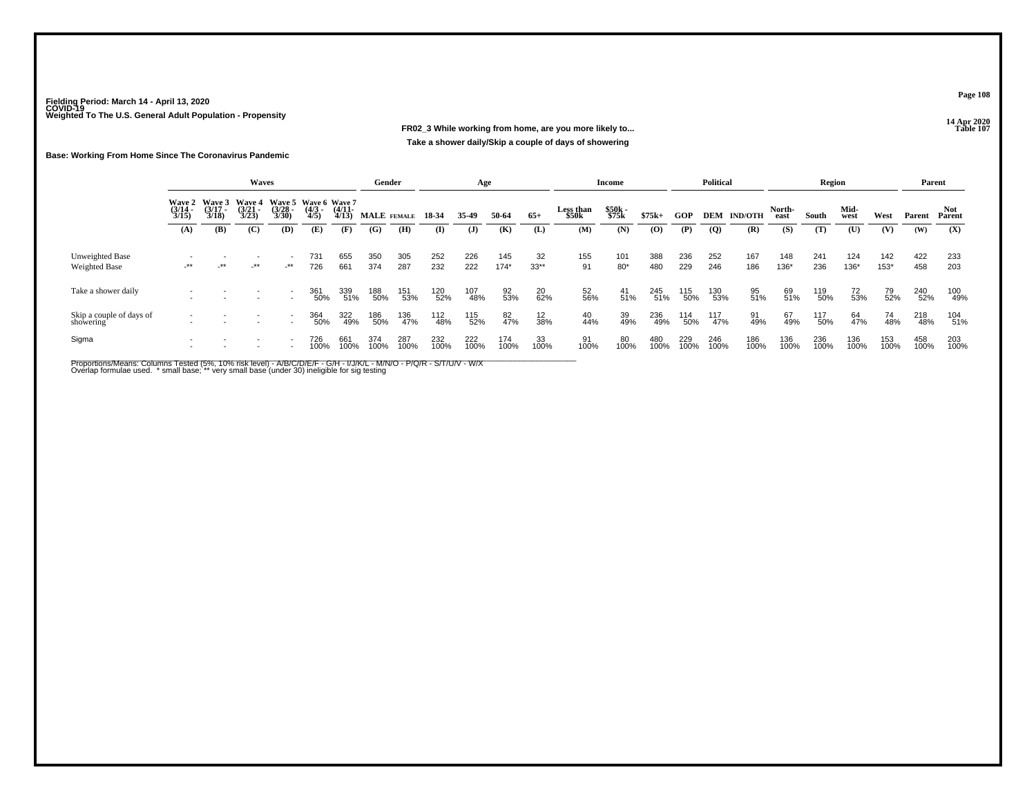# **14 Apr 2020 FR02\_3 While working from home, are you more likely to...Take a shower daily/Skip a couple of days of showering**

## **Base: Working From Home Since The Coronavirus Pandemic**

|                                       |                                        |                                        | Waves                                  |                                                      |                    |                       | Gender      |             |             | Age          |               |                   |                    | <b>Income</b>  |             |             | <b>Political</b> |                    |                | Region      |                |               | Parent      |               |
|---------------------------------------|----------------------------------------|----------------------------------------|----------------------------------------|------------------------------------------------------|--------------------|-----------------------|-------------|-------------|-------------|--------------|---------------|-------------------|--------------------|----------------|-------------|-------------|------------------|--------------------|----------------|-------------|----------------|---------------|-------------|---------------|
|                                       | <b>Wave 2</b><br>$\frac{(3/14)}{3/15}$ | <b>Wave 3</b><br>$\frac{(3/17)}{3/18}$ | <b>Wave 4</b><br>$\frac{(3/21)}{3/23}$ | Wave 5 Wave 6 Wave 7<br>$\frac{(3/28)}{3/30}$        | $\binom{4/3}{4/5}$ | $\frac{(4/11)}{4/13}$ | MALE FEMALE |             | 18-34       | 35-49        | 50-64         | $65+$             | Less than<br>\$50k | \$50k<br>\$75k | $$75k+$     | <b>GOP</b>  |                  | <b>DEM IND/OTH</b> | North-<br>east | South       | Mid-<br>west   | West          | Parent      | Not<br>Parent |
|                                       | (A)                                    | (B)                                    | $\mathbf C$                            | (D)                                                  | (E)                | (F)                   | (G)         | (H)         | $\bf(I)$    | ( <b>J</b> ) | (K)           | (L)               | (M)                | (N)            | $\bf{(0)}$  | (P)         | $\overline{Q}$   | (R)                | (S)            | (T)         | $(\mathbf{U})$ | (V)           | (W)         | (X)           |
| Unweighted Base<br>Weighted Base      | $-***$                                 | $-***$                                 | $-***$                                 | $\overline{\phantom{a}}$<br>$-***$                   | 731<br>726         | 655<br>661            | 350<br>374  | 305<br>287  | 252<br>232  | 226<br>222   | 145<br>$174*$ | 32<br>$33**$      | 155<br>91          | 101<br>$80*$   | 388<br>480  | 236<br>229  | 252<br>246       | 167<br>186         | 148<br>136*    | 241<br>236  | 124<br>136*    | 142<br>$153*$ | 422<br>458  | 233<br>203    |
| Take a shower daily                   |                                        |                                        | $\overline{\phantom{a}}$               | $\overline{\phantom{a}}$<br>$\sim$                   | 361<br>50%         | 339<br>51%            | 188<br>50%  | 151<br>53%  | 120<br>52%  | 107<br>48%   | 92<br>53%     | 20 <sub>62%</sub> | 52<br>56%          | $^{41}_{51\%}$ | 245<br>51%  | 115<br>50%  | 130<br>53%       | 95<br>51%          | 69<br>51%      | 119<br>50%  | 72<br>53%      | 79<br>52%     | 240<br>52%  | 100<br>49%    |
| Skip a couple of days of<br>showering |                                        |                                        |                                        | $\overline{\phantom{a}}$<br>$\overline{\phantom{a}}$ | 364<br>50%         | 322<br>49%            | 186<br>50%  | 136<br>47%  | 112<br>48%  | 115<br>52%   | 82<br>47%     | 12<br>38%         | 40<br>44%          | 39<br>49%      | 236<br>49%  | 114<br>50%  | 117<br>47%       | 91<br>49%          | 67<br>49%      | 117<br>50%  | 64<br>47%      | 74<br>48%     | 218<br>48%  | 104<br>51%    |
| Sigma                                 |                                        |                                        |                                        | $\overline{\phantom{a}}$<br>$\overline{\phantom{a}}$ | 726<br>100%        | 661<br>100%           | 374<br>100% | 287<br>100% | 232<br>100% | 222<br>100%  | 174<br>100%   | 33<br>100%        | 91<br>100%         | 80<br>100%     | 480<br>100% | 229<br>100% | 246<br>100%      | 186<br>100%        | 136<br>100%    | 236<br>100% | 136<br>100%    | 153<br>100%   | 458<br>100% | 203<br>100%   |

Proportions/Means: Columns Tested (5%, 10% risk level) - A/B/C/D/E/F - G/H - I/J/K/L - M/N/O - P/Q/R - S/T/U/V - W/X<br>Overlap formulae used. \*small base; \* very small base (under 30) ineligible for sig testing

**Page 108**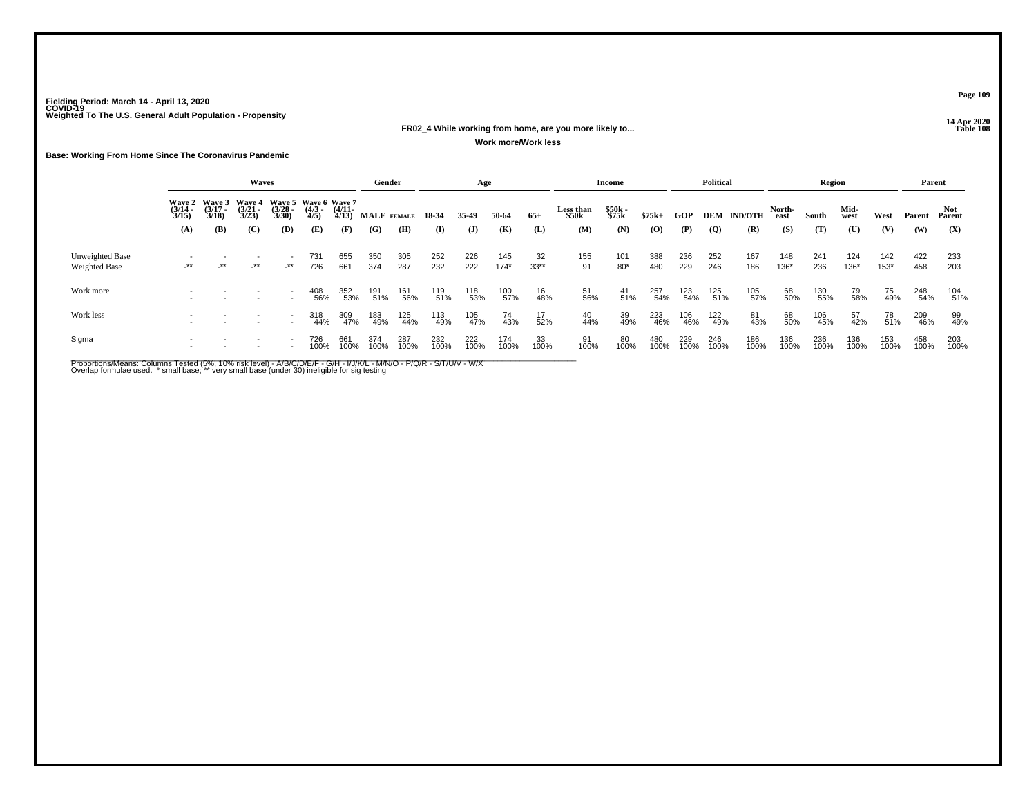### **14 Apr 2020 FR02\_4 While working from home, are you more likely to...Work more/Work less**

#### **Base: Working From Home Since The Coronavirus Pandemic**

|                                  |                                 |                                 | <b>Waves</b>          |                                                      |                     |             | Gender                            |             |             | Age          |               |              |                    | Income         |             |             | <b>Political</b> |                    |                | <b>Region</b> |               |               | Parent      |                      |
|----------------------------------|---------------------------------|---------------------------------|-----------------------|------------------------------------------------------|---------------------|-------------|-----------------------------------|-------------|-------------|--------------|---------------|--------------|--------------------|----------------|-------------|-------------|------------------|--------------------|----------------|---------------|---------------|---------------|-------------|----------------------|
|                                  | <b>Wave 2</b><br>(3/14<br>3/15) | Wave 3<br>$\frac{(3/17)}{3/18}$ | $\frac{(3/21)}{3/23}$ | Wave 4 Wave 5 Wave 6 Wave 7<br>$\frac{(3/28)}{3/30}$ | $\frac{(4/3)}{4/5}$ |             | $\frac{(4/11)}{4/13}$ MALE FEMALE |             | 18-34       | 35.49        | 50-64         | $65+$        | Less than<br>\$50k | \$50k<br>\$75k | $$75k+$     | GOP         |                  | <b>DEM IND/OTH</b> | North-<br>east | South         | Mid-<br>west  | West          | Parent      | <b>Not</b><br>Parent |
|                                  | (A)                             | (B)                             | (C)                   | (D)                                                  | (E)                 | (F)         | (G)                               | (H)         | (I)         | $\mathbf{J}$ | (K)           | (L)          | (M)                | (N)            | $\bf{(0)}$  | (P)         | $\overline{Q}$   | (R)                | (S)            | (T)           | (U)           | (V)           | (W)         | (X)                  |
| Unweighted Base<br>Weighted Base | $-***$                          | $-***$                          | $-***$                | $\overline{\phantom{a}}$<br>$-***$                   | 731<br>726          | 655<br>661  | 350<br>374                        | 305<br>287  | 252<br>232  | 226<br>222   | 145<br>$174*$ | 32<br>$33**$ | 155<br>91          | 101<br>$80*$   | 388<br>480  | 236<br>229  | 252<br>246       | 167<br>186         | 148<br>$136*$  | 241<br>236    | 124<br>$136*$ | 142<br>$153*$ | 422<br>458  | 233<br>203           |
| Work more                        |                                 |                                 |                       |                                                      | 408<br>56%          | 352<br>53%  | 191<br>51%                        | 161<br>56%  | 119<br>51%  | 118<br>53%   | 100<br>57%    | 16<br>48%    | 51<br>56%          | $^{41}_{51\%}$ | 257<br>54%  | 123<br>54%  | 125<br>51%       | 105<br>57%         | 68<br>50%      | 130<br>55%    | 79<br>58%     | 75<br>49%     | 248<br>54%  | 104<br>51%           |
| Work less                        |                                 |                                 |                       | $\overline{\phantom{a}}$<br>$\sim$                   | 318<br>44%          | 309<br>47%  | 183<br>49%                        | 125<br>44%  | 113<br>49%  | 105<br>47%   | 74<br>43%     | 17<br>52%    | 40<br>44%          | 39<br>49%      | 223<br>46%  | 106<br>46%  | 122<br>49%       | 81<br>43%          | 68<br>50%      | 106<br>45%    | 57<br>42%     | 78<br>51%     | 209<br>46%  | 99<br>49%            |
| Sigma                            |                                 |                                 |                       | $\overline{\phantom{a}}$                             | 726<br>100%         | 661<br>100% | 374<br>100%                       | 287<br>100% | 232<br>100% | 222<br>100%  | 174<br>100%   | 33<br>100%   | 91<br>100%         | 80<br>100%     | 480<br>100% | 229<br>100% | 246<br>100%      | 186<br>100%        | 136<br>100%    | 236<br>100%   | 136<br>100%   | 153<br>100%   | 458<br>100% | 203<br>100%          |

Proportions/Means: Columns Tested (5%, 10% risk level) - A/B/C/D/E/F - G/H - I/J/K/L - M/N/O - P/Q/R - S/T/U/V - W/X<br>Overlap formulae used. \*small base; \* very small base (under 30) ineligible for sig testing

**Page 109**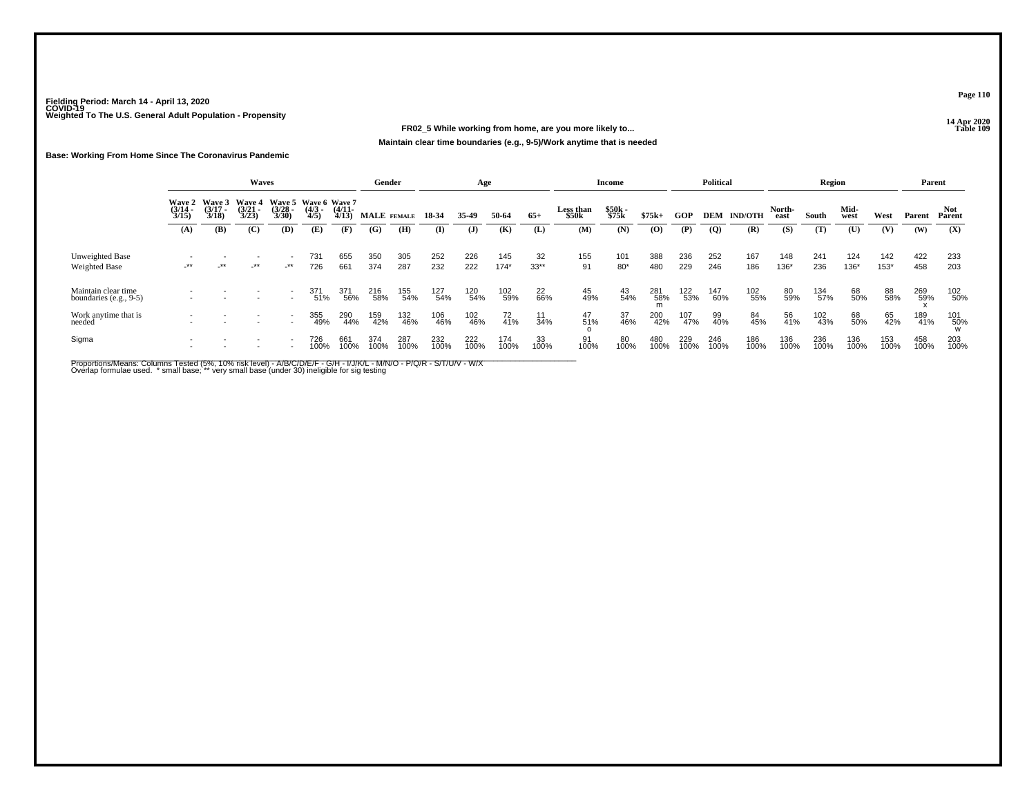### **14 Apr 2020 FR02\_5 While working from home, are you more likely to...Maintain clear time boundaries (e.g., 9-5)/Work anytime that is needed**

#### **Base: Working From Home Since The Coronavirus Pandemic**

|                                               | <b>Waves</b><br>Wave 5 Wave 6 Wave 7 |                                 |                                        |                                 |                     |                       | Gender      |             |             | Age         |               |              |                           | Income         |             |                               | <b>Political</b> |                    |                | Region      |               |               |             | Parent        |
|-----------------------------------------------|--------------------------------------|---------------------------------|----------------------------------------|---------------------------------|---------------------|-----------------------|-------------|-------------|-------------|-------------|---------------|--------------|---------------------------|----------------|-------------|-------------------------------|------------------|--------------------|----------------|-------------|---------------|---------------|-------------|---------------|
|                                               | Wave 2<br>$\frac{(3/14)}{3/15}$      | Wave 3<br>$\frac{(3/17)}{3/18}$ | <b>Wave 4</b><br>$\frac{(3/21)}{3/23}$ | $\frac{(3/28)}{3/30}$           | $\frac{(4/3)}{4/5}$ | $\frac{(4/11)}{4/13}$ | MALE FEMALE |             | 18-34       | 35.49       | 50-64         | $65+$        | <b>Less than</b><br>\$50k | \$50k<br>\$75k | $$75k+$     | <b>GOP</b>                    |                  | <b>DEM IND/OTH</b> | North-<br>east | South       | Mid-<br>west  | West          | Parent      | Not<br>Parent |
|                                               | (A)                                  | (B)                             | (C)                                    | (D)                             | (E)                 | (F)                   | (G)         | (H)         | $\bf{I}$    | (J)         | (K)           | (L)          | (M)                       | (N)            | $\bf{(0)}$  | $(\mathbf{P})$                | $\overline{Q}$   | (R)                | (S)            | (T)         | (U)           | (V)           | (W)         | (X)           |
| Unweighted Base<br>Weighted Base              | $-***$                               | $\cdot$ **                      | _**                                    | $\overline{\phantom{a}}$<br>_** | 731<br>726          | 655<br>661            | 350<br>374  | 305<br>287  | 252<br>232  | 226<br>222  | 145<br>$174*$ | 32<br>$33**$ | 155<br>91                 | 101<br>$80*$   | 388<br>480  | 236<br>229                    | 252<br>246       | 167<br>186         | 148<br>136*    | 241<br>236  | 124<br>$136*$ | 142<br>$153*$ | 422<br>458  | 233<br>203    |
| Maintain clear time<br>boundaries (e.g., 9-5) |                                      |                                 |                                        |                                 | 371<br>51%          | 371<br>56%            | 216<br>58%  | 155<br>54%  | 127<br>54%  | 120<br>54%  | 102<br>59%    | 22<br>66%    | 45<br>49%                 | 43<br>54%      | 281<br>58%  | <sup>122</sup> <sub>53%</sub> | 147<br>60%       | 102<br>55%         | 80<br>59%      | 134<br>57%  | 68<br>50%     | 88<br>58%     | 269<br>59%  | 102<br>50%    |
| Work anytime that is<br>needed                |                                      |                                 |                                        | $\sim$<br>$\sim$                | 355<br>49%          | 290<br>44%            | 159<br>42%  | 132<br>46%  | 106<br>46%  | 102<br>46%  | 72<br>41%     | 11<br>34%    | 47<br>51%                 | 37<br>46%      | 200<br>42%  | 107<br>47%                    | 99<br>40%        | 84<br>45%          | 56<br>41%      | 102<br>43%  | 68<br>50%     | 65<br>42%     | 189<br>41%  | 101<br>50%    |
| Sigma                                         |                                      |                                 |                                        | $\overline{\phantom{a}}$        | 726<br>100%         | 661<br>100%           | 374<br>100% | 287<br>100% | 232<br>100% | 222<br>100% | 174<br>100%   | 33<br>100%   | 91<br>100%                | 80<br>100%     | 480<br>100% | 229<br>100%                   | 246<br>100%      | 186<br>100%        | 136<br>100%    | 236<br>100% | 136<br>100%   | 153<br>100%   | 458<br>100% | 203<br>100%   |

Proportions/Means: Columns Tested (5%, 10% risk level) - A/B/C/D/E/F - G/H - I/J/K/L - M/N/O - P/Q/R - S/T/U/V - W/X<br>Overlap formulae used. \*small base; \* very small base (under 30) ineligible for sig testing

**Page 110**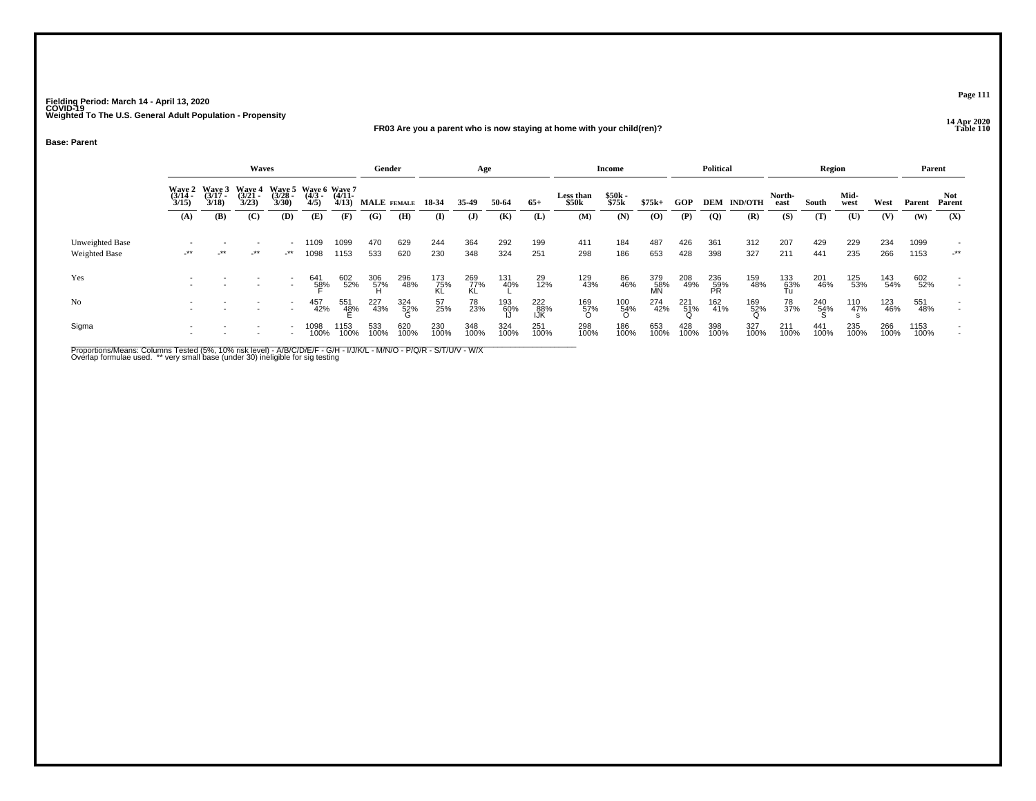#### **14 Apr 2020 FR03 Are you a parent who is now staying at home with your child(ren)?Table 110**

**Base: Parent**

|                                         |                                        |                           | Waves                              |                                  |                                                                 |                     | Gender          |             |                  | Age              |             |                   |                    | Income                          |                  |                 | <b>Political</b> |                |                  | <b>Region</b> |              |             |              | Parent        |
|-----------------------------------------|----------------------------------------|---------------------------|------------------------------------|----------------------------------|-----------------------------------------------------------------|---------------------|-----------------|-------------|------------------|------------------|-------------|-------------------|--------------------|---------------------------------|------------------|-----------------|------------------|----------------|------------------|---------------|--------------|-------------|--------------|---------------|
|                                         | <b>Wave 2</b><br>$\frac{(3714)}{3/15}$ | Waye 3<br>(3/17 -<br>3/18 | <b>Wave 4</b><br>$(3/21 -$<br>3/23 |                                  | Wave 5 Wave 6 Wave 7<br>(3/28 - (4/3 - (4/11 - 3/30) 4/5) 4/13) |                     | MALE FEMALE     |             | 18-34            | 35-49            | 50-64       | $65+$             | Less than<br>\$50k | \$50k<br>\$75k                  | $$75k+$          | GOP             | DEM              | <b>IND/OTH</b> | North-<br>east   | South         | Mid-<br>west | West        | Parent       | Not<br>Parent |
|                                         | (A)                                    | (B)                       | (C)                                | (D)                              | (E)                                                             | (F)                 | (G)             | (H)         | $\mathbf{I}$     | $\mathbf{J}$     | (K)         | (L)               | (M)                | (N)                             | (O)              | (P)             | $\overline{Q}$   | (R)            | (S)              | (T)           | (U)          | (V)         | (W)          | (X)           |
| Unweighted Base<br><b>Weighted Base</b> | $-***$                                 | $+$ **                    | $-***$                             | $\overline{\phantom{a}}$<br>$**$ | 1109<br>1098                                                    | 1099<br>1153        | 470<br>533      | 629<br>620  | 244<br>230       | 364<br>348       | 292<br>324  | 199<br>251        | 411<br>298         | 184<br>186                      | 487<br>653       | 426<br>428      | 361<br>398       | 312<br>327     | 207<br>211       | 429<br>441    | 229<br>235   | 234<br>266  | 1099<br>1153 | $-***$        |
| Yes                                     |                                        |                           |                                    |                                  | 641<br>5 <u>8</u> %                                             | 602<br>52%          | 306<br>57%<br>H | 296<br>48%  | 173<br>75%<br>KL | 269<br>77%<br>KL | 131<br>40%  | 29<br>12%         | 129<br>43%         | 86<br>46%                       | 379<br>58%<br>MN | 208<br>49%      | 236<br>59%<br>PR | 159<br>48%     | 133<br>63%<br>Tu | 201<br>46%    | 125<br>53%   | 143<br>54%  | 602<br>52%   |               |
| No                                      |                                        |                           |                                    |                                  | 457<br>42%                                                      | 551<br>4 <u>8</u> % | 227<br>43%      | 324<br>52%  | 57<br>25%        | 78<br>23%        | 193<br>60%  | 222<br>88%<br>IJK | 169<br>57%<br>O    | $^{100}_{\substack{54\% \\ 0}}$ | 274<br>42%       | $^{221}_{51\%}$ | 162<br>41%       | 169<br>52%     | 78<br>37%        | 240<br>54%    | 110<br>47%   | 123<br>46%  | 551<br>48%   |               |
| Sigma                                   |                                        |                           |                                    |                                  | 1098<br>100%                                                    | 153<br>100%         | 533<br>100%     | 620<br>100% | 230<br>100%      | 348<br>100%      | 324<br>100% | 251<br>100%       | 298<br>100%        | 186<br>100%                     | 653<br>100%      | 428<br>100%     | 398<br>100%      | 327<br>100%    | 211<br>100%      | 441<br>100%   | 235<br>100%  | 266<br>100% | 1153<br>100% |               |

Proportions/Means: Columns Tested (5%, 10% risk level) - A/B/C/D/E/F - G/H - I/J/K/L - M/N/O - P/Q/R - S/T/U/V - W/X<br>Overlap formulae used. \*\* very small base (under 30) ineligible for sig testing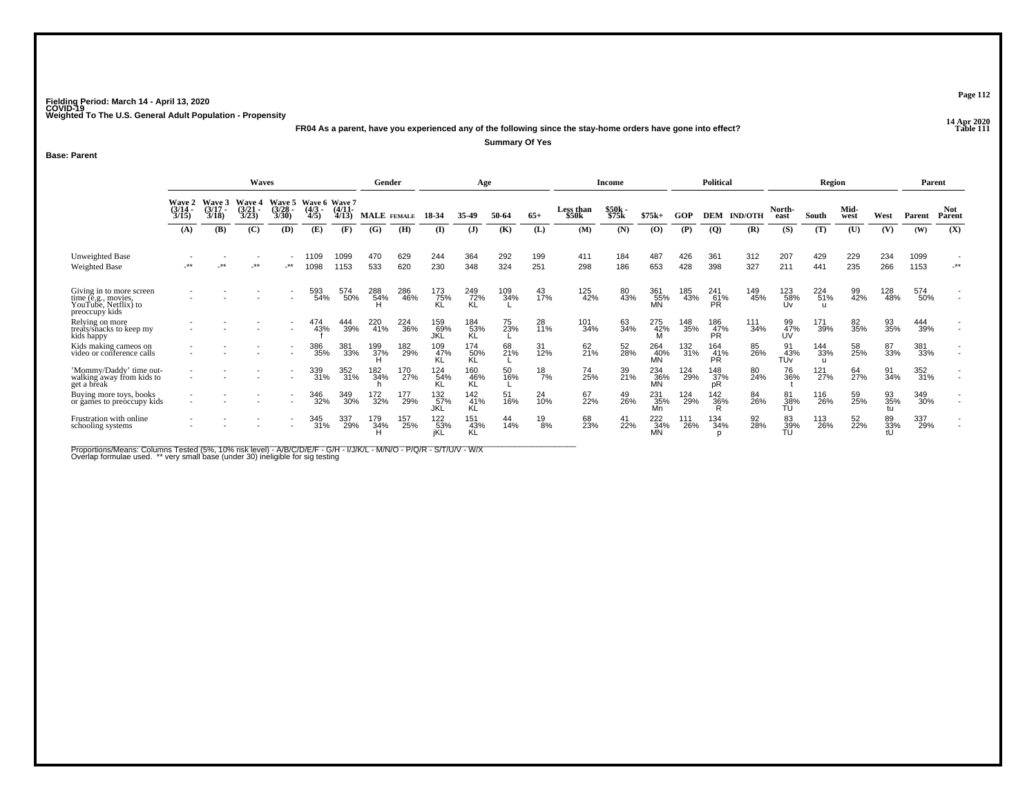**14 Apr 2020 FR04 As a parent, have you experienced any of the following since the stay-home orders have gone into effect?Summary Of Yes**

**Base: Parent**

|                                                                                           |                                        |                               | Waves                                           |                        |                                  |                   | Gender             |                               |                                | Age                     |            |                       |                           | Income         |                         |            | <b>Political</b>        |                |                       | <b>Region</b>              |              |                 | Parent       |                      |
|-------------------------------------------------------------------------------------------|----------------------------------------|-------------------------------|-------------------------------------------------|------------------------|----------------------------------|-------------------|--------------------|-------------------------------|--------------------------------|-------------------------|------------|-----------------------|---------------------------|----------------|-------------------------|------------|-------------------------|----------------|-----------------------|----------------------------|--------------|-----------------|--------------|----------------------|
|                                                                                           | <b>Wave 2</b><br>$\frac{(3/14)}{3/15}$ | <b>Wave 3</b><br>3/17<br>3/18 | <b>Wave 4</b><br>$\frac{3}{2}$<br>$\frac{3}{2}$ | Wave 5<br>3/28<br>3/30 | Wave 6 Wave 7<br>$(4/3 -$<br>4/5 | $(4/11 -$<br>4/13 | <b>MALE</b> FEMALE |                               | 18-34                          | 35.49                   | 50-64      | $65+$                 | <b>Less than</b><br>\$50k | \$50k<br>\$75k | $$75k+$                 | GOP        | <b>DEM</b>              | <b>IND/OTH</b> | North-<br>east        | South                      | Mid-<br>west | West            | Parent       | <b>Not</b><br>Parent |
|                                                                                           | (A)                                    | (B)                           | (C)                                             | (D)                    | (E)                              | (F)               | (G)                | (H)                           | (I)                            | (J)                     | (K)        | (L)                   | (M)                       | (N)            | (0)                     | (P)        | $\overline{Q}$          | (R)            | (S)                   | (T)                        | (U)          | (V)             | (W)          | (X)                  |
| Unweighted Base<br><b>Weighted Base</b>                                                   | $+ +$                                  | **                            | $-***$                                          | $\cdot^{\star\star}$   | 109<br>1098                      | 1099<br>1153      | 470<br>533         | 629<br>620                    | 244<br>230                     | 364<br>348              | 292<br>324 | 199<br>251            | 411<br>298                | 184<br>186     | 487<br>653              | 426<br>428 | 361<br>398              | 312<br>327     | 207<br>211            | 429<br>441                 | 229<br>235   | 234<br>266      | 1099<br>1153 | $-***$               |
| Giving in to more screen<br>time (e.g., movies,<br>YouTube, Netflix) to<br>preoccupy kids |                                        |                               |                                                 |                        | 593<br>54%                       | 574<br>50%        | 288<br>54%         | 286<br>46%                    | 173<br>75%                     | 249<br>72%<br>KL        | 109<br>34% | 43<br>17%             | 125<br>42%                | 80<br>43%      | 361<br>55%<br>MN        | 185<br>43% | 241<br>61%<br>PR.       | 149<br>45%     | 123<br>58%<br>Uv      | 224<br>51%                 | 99<br>42%    | 128<br>48%      | 574<br>50%   |                      |
| Relying on more<br>treats/snacks to keep my<br>kids happy                                 |                                        |                               |                                                 |                        | 474<br>43%                       | 444<br>39%        | 220<br>41%         | <sup>224</sup> <sub>36%</sub> | 159<br>69%<br>JKL              | 184<br>53%<br><b>KL</b> | 75<br>23%  | 28<br>11%             | 101<br>34%                | 63<br>34%      | 275<br>42%              | 148<br>35% | 186<br>47%<br><b>PR</b> | 111<br>34%     | 99<br>47%<br>UV       | 171<br>39%                 | 82<br>35%    | 93<br>35%       | 444<br>39%   |                      |
| Kids making cameos on<br>video or conference calls                                        |                                        |                               |                                                 |                        | 386<br>35%                       | 381<br>33%        | 199<br>37%         | 182<br>29%                    | 109<br>47%                     | 174<br><br>KL<br>KL     | 68<br>21%  | 31<br>12%             | 62<br>21%                 | 52<br>28%      | 264<br>40%<br>MÑ        | 132<br>31% | 164<br>$\frac{41}{PR}$  | 85<br>26%      | 91<br>43%<br>TÚŸ      | 144<br>33%<br>$\mathbf{H}$ | 58<br>25%    | 87<br>33%       | 381<br>33%   |                      |
| 'Mommy/Daddy' time out-<br>walking away from kids to<br>get a break                       |                                        |                               |                                                 |                        | 339<br>31%                       | 352<br>31%        | 182<br>34%         | 170<br>27%                    | 124<br>54%<br>KL               | 160<br>46%<br>KĽ        | 50<br>16%  | $^{18}_{7\%}$         | 74<br>25%                 | 39<br>21%      | 234<br>36%<br><b>MN</b> | 124<br>29% | 148<br>37%<br>pR        | 80<br>24%      | 76<br>36%             | 121<br>27%                 | 64<br>27%    | 91<br>34%       | 352<br>31%   |                      |
| Buying more toys, books<br>or games to preoccupy kids                                     |                                        |                               |                                                 |                        | 346<br>32%                       | 349<br>30%        | 172<br>32%         | 177<br>29%                    | 132 <sub>%</sub><br><b>JKL</b> | 142<br>41%<br>KL        | 51<br>16%  | 24<br>$\frac{1}{0\%}$ | 67<br>22%                 | 49<br>26%      | 231<br>35%<br>Mn        | 124<br>29% | 142<br>36%<br>R         | 84<br>26%      | 81<br>38%<br>TU       | 116<br>26%                 | 59<br>25%    | 93<br>35%<br>tu | 349<br>30%   |                      |
| Frustration with online<br>schooling systems                                              |                                        |                               |                                                 |                        | 345<br>31%                       | 337<br>29%        | 179<br>34%         | 157<br>25%                    | 122<br>53%<br>iKL              | 151<br>43%<br>ΚĽ        | 44<br>14%  | 19<br>8%              | 68<br>23%                 | 41<br>22%      | 222<br>34%              | 111<br>26% | 134<br>34%              | 92<br>28%      | 83<br>$\frac{39}{10}$ | 113<br>26%                 | 52<br>22%    | 89<br>33%<br>tU | 337<br>29%   |                      |

Proportions/Means: Columns Tested (5%, 10% risk level) - A/B/C/D/E/F - G/H - I/J/K/L - M/N/O - P/Q/R - S/T/U/V - W/X<br>Overlap formulae used. \*\* very small base (under 30) ineligible for sig testing

**Page 112**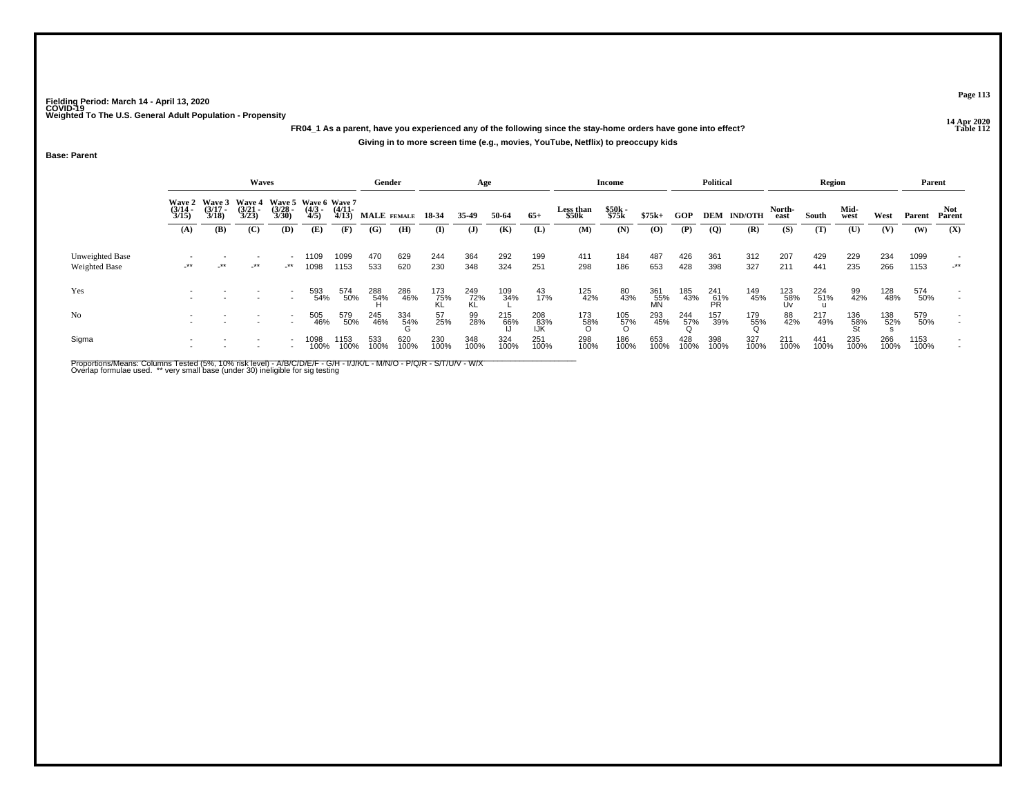**14 Apr 2020 FR04\_1 As a parent, have you experienced any of the following since the stay-home orders have gone into effect?Giving in to more screen time (e.g., movies, YouTube, Netflix) to preoccupy kids**

**Base: Parent**

|                                         |                       |                                               | Waves                 |                       |                                            |                       | Gender            |             |                    | Age             |             |                   |                    | Income         |                  |             | <b>Political</b> |                |                  | Region      |              |             |              | Parent               |
|-----------------------------------------|-----------------------|-----------------------------------------------|-----------------------|-----------------------|--------------------------------------------|-----------------------|-------------------|-------------|--------------------|-----------------|-------------|-------------------|--------------------|----------------|------------------|-------------|------------------|----------------|------------------|-------------|--------------|-------------|--------------|----------------------|
|                                         | $\frac{(3/14)}{3/15}$ | Wave 2 Wave 3 Wave 4<br>$\frac{(3/17)}{3/18}$ | $\frac{(3/21)}{3/23}$ | $\frac{(3/28)}{3/30}$ | Wave 5 Wave 6 Wave 7<br>$\binom{4/3}{4/5}$ | $\frac{(4/11)}{4/13}$ | MALE FEMALE 18-34 |             |                    | 35.49           | 50-64       | $65+$             | Less than<br>\$50k | \$50k<br>\$75k | $$75k+$          | GOP         | DEM              | <b>IND/OTH</b> | North-<br>east   | South       | Mid-<br>west | West        | Parent       | Not<br>Parent        |
|                                         | (A)                   | (B)                                           | (C)                   | (D)                   | (E)                                        | (F)                   | (G)               | (H)         | (I)                | $\mathbf{J}$    | (K)         | (L)               | (M)                | (N)            | $\bf{(0)}$       | (P)         | <b>(Q)</b>       | (R)            | (S)              | (T)         | (U)          | (V)         | (W)          | (X)                  |
| Unweighted Base<br><b>Weighted Base</b> | $-***$                | $-***$                                        | $-***$                | _**                   | 1109<br>1098                               | 1099<br>1153          | 470<br>533        | 629<br>620  | 244<br>230         | 364<br>348      | 292<br>324  | 199<br>251        | 411<br>298         | 184<br>186     | 487<br>653       | 426<br>428  | 361<br>398       | 312<br>327     | 207<br>211       | 429<br>441  | 229<br>235   | 234<br>266  | 1099<br>1153 | $\cdot^{\star\star}$ |
| Yes                                     |                       |                                               |                       |                       | 593<br>54%                                 | 574<br>50%            | 288<br>54%        | 286<br>46%  | $\frac{173}{75\%}$ | $^{249}_{72\%}$ | 109<br>34%  | 43<br>17%         | 125<br>42%         | 80<br>43%      | 361<br>55%<br>MN | 185<br>43%  | 241<br>61%<br>PR | 149<br>45%     | 123<br>58%<br>Uv | 224<br>51%  | 99<br>42%    | 128<br>48%  | 574<br>50%   |                      |
| No                                      |                       |                                               |                       |                       | 505<br>46%                                 | 579<br>50%            | 245<br>46%        | 334<br>54%  | 57<br>25%          | 99<br>28%       | 215<br>66%  | 208<br>83%<br>IJK | 173<br>58%<br>O    | 105<br>57%     | 293<br>45%       | 244<br>57%  | 157<br>39%       | 179<br>55%     | 88<br>42%        | 217<br>49%  | 136<br>58%   | 138<br>52%  | 579<br>50%   |                      |
| Sigma                                   |                       |                                               |                       |                       | 1098<br>100%                               | 1153<br>100%          | 533<br>100%       | 620<br>100% | 230<br>100%        | 348<br>100%     | 324<br>100% | 251<br>100%       | 298<br>100%        | 186<br>100%    | 653<br>100%      | 428<br>100% | 398<br>100%      | 327<br>100%    | 211<br>100%      | 441<br>100% | 235<br>100%  | 266<br>100% | 1153<br>100% |                      |

Proportions/Means: Columns Tested (5%, 10% risk level) - A/B/C/D/E/F - G/H - I/J/K/L - M/N/O - P/Q/R - S/T/U/V - W/X<br>Overlap formulae used. \*\* very small base (under 30) ineligible for sig testing

**Page 113**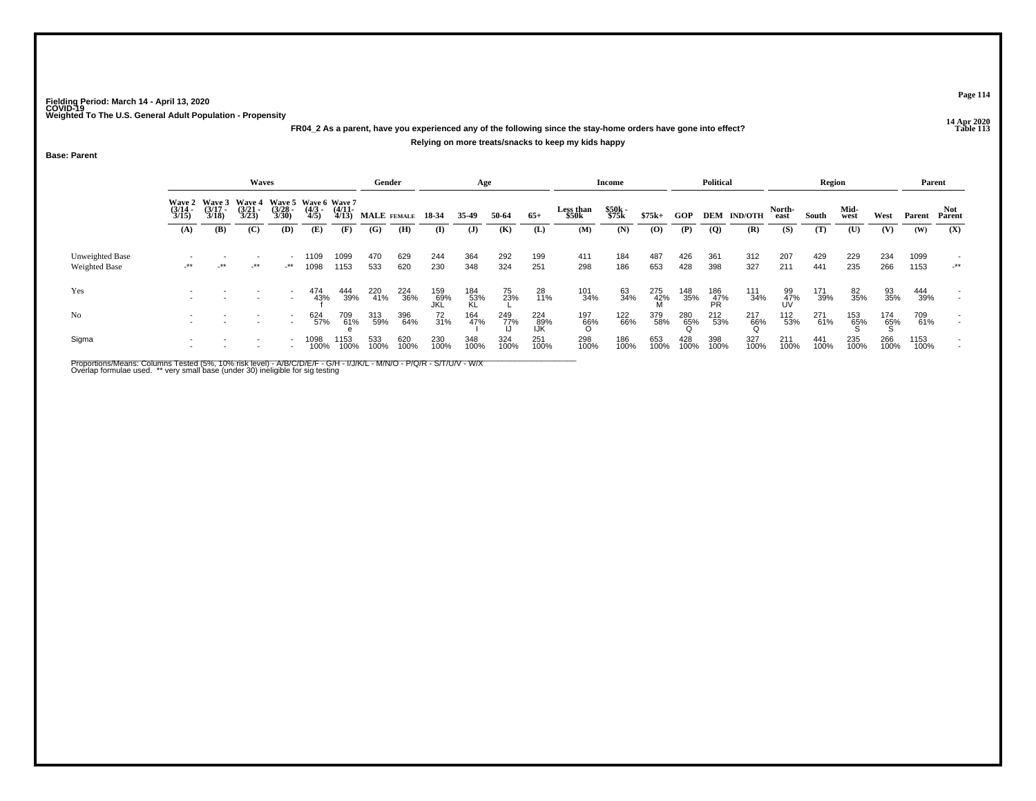### **14 Apr 2020 FR04\_2 As a parent, have you experienced any of the following since the stay-home orders have gone into effect?Relying on more treats/snacks to keep my kids happy**

**Base: Parent**

|                                  |                                                                                                                                                                                                                     |            | <b>Waves</b> |               |              |                   | Gender      |             |                   | Age              |             |                   |                    | Income         |                 |             | <b>Political</b> |                    |                 | Region      |              |             |              | Parent        |
|----------------------------------|---------------------------------------------------------------------------------------------------------------------------------------------------------------------------------------------------------------------|------------|--------------|---------------|--------------|-------------------|-------------|-------------|-------------------|------------------|-------------|-------------------|--------------------|----------------|-----------------|-------------|------------------|--------------------|-----------------|-------------|--------------|-------------|--------------|---------------|
|                                  | Wave 2 Wave 3<br>Wave 5 Wave 6 Wave 7<br><b>Wave 4</b><br>$\frac{(3/17)}{3/18}$<br>$\frac{(3/21)}{3/23}$<br>$\frac{(3/14)}{3/15}$<br>$\frac{(3/28)}{3/30}$<br>$\binom{4/3}{4/5}$<br>(B)<br>(C)<br>(D)<br>(A)<br>(E) |            |              |               |              | $(4/11 -$<br>4/13 | MALE FEMALE |             | 18-34             | 35.49            | 50-64       | $65+$             | Less than<br>\$50k | \$50k<br>\$75k | $$75k+$         | GOP         |                  | <b>DEM IND/OTH</b> | North-<br>east  | South       | Mid-<br>west | West        | Parent       | Not<br>Parent |
|                                  |                                                                                                                                                                                                                     |            |              |               |              | (F)               | (G)         | (H)         | (I)               | $\mathbf{J}$     | (K)         | (L)               | (M)                | (N)            | (O)             | (P)         | (Q)              | (R)                | (S)             | (T)         | (U)          | (V)         | (W)          | (X)           |
| Unweighted Base<br>Weighted Base | $-***$                                                                                                                                                                                                              | $\cdot$ ** | $-***$       | $\rightarrow$ | 1109<br>1098 | 1099<br>1153      | 470<br>533  | 629<br>620  | 244<br>230        | 364<br>348       | 292<br>324  | 199<br>251        | 411<br>298         | 184<br>186     | 487<br>653      | 426<br>428  | 361<br>398       | 312<br>327         | 207<br>211      | 429<br>441  | 229<br>235   | 234<br>266  | 1099<br>1153 | $-***$        |
| Yes                              |                                                                                                                                                                                                                     |            |              |               | 474<br>43%   | 444<br>39%        | 220<br>41%  | 224<br>36%  | 159<br>69%<br>JKL | 184<br>53%<br>KL | 75<br>23%   | 28<br>11%         | 101<br>34%         | 63<br>34%      | 275<br>42%<br>M | 148<br>35%  | 186<br>47%<br>PR | 111<br>34%         | 99<br>47%<br>UV | 171<br>39%  | 82<br>35%    | 93<br>35%   | 444<br>39%   |               |
| No                               | $\overline{\phantom{a}}$                                                                                                                                                                                            |            |              |               | 624<br>57%   | 709<br>61%        | 313<br>59%  | 396<br>64%  | 72<br>31%         | 164<br>47%       | 249<br>77%  | 224<br>89%<br>IJK | 197<br>66%         | 122<br>66%     | 379<br>58%      | 280<br>65%  | 212<br>53%       | 217<br>66%         | 112<br>53%      | 271<br>61%  | 153<br>65%   | 174<br>65%  | 709<br>61%   |               |
| Sigma                            |                                                                                                                                                                                                                     |            |              |               | 1098         | 153<br>100%       | 533<br>100% | 620<br>100% | 230<br>100%       | 348<br>100%      | 324<br>100% | 251<br>100%       | 298<br>100%        | 186<br>100%    | 653<br>100%     | 428<br>100% | 398<br>100%      | 327<br>100%        | 211<br>100%     | 441<br>100% | 235<br>100%  | 266<br>100% | 1153<br>100% |               |

Proportions/Means: Columns Tested (5%, 10% risk level) - A/B/C/D/E/F - G/H - I/J/K/L - M/N/O - P/Q/R - S/T/U/V - W/X<br>Overlap formulae used. \*\* very small base (under 30) ineligible for sig testing

**Page 114**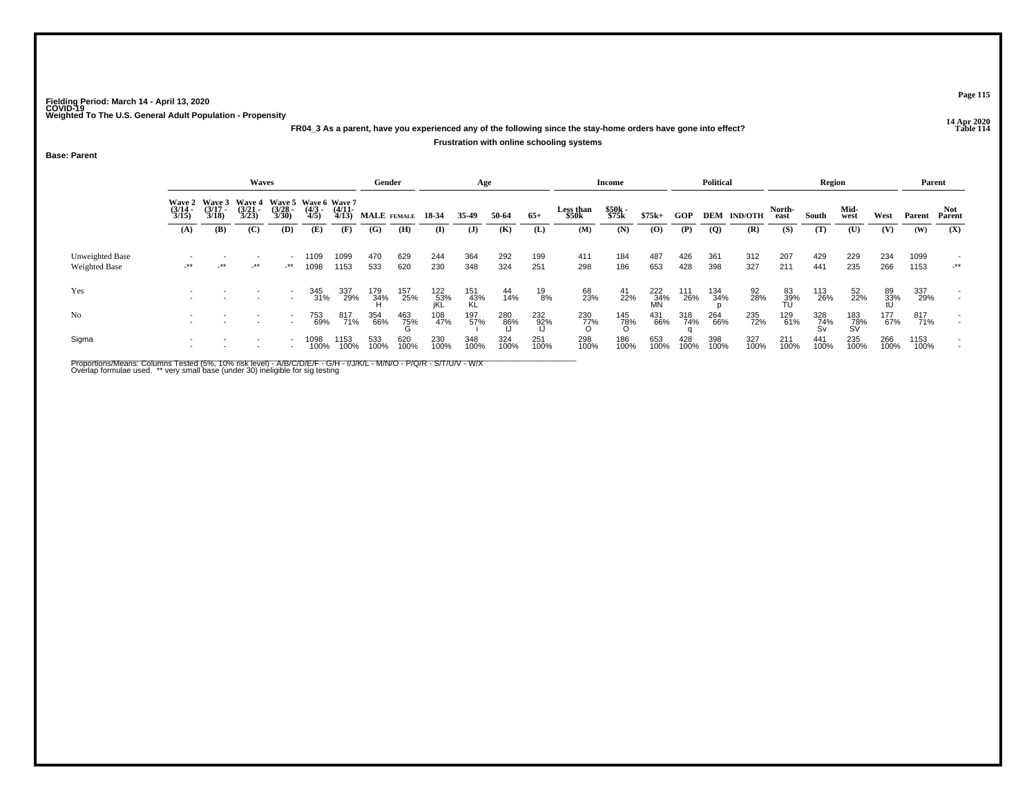### **14 Apr 2020 FR04\_3 As a parent, have you experienced any of the following since the stay-home orders have gone into effect?**

#### **Frustration with online schooling systems**

**Base: Parent**

|                                  |                       |                                               | Waves                 |                      |                                             |                       | Gender            |             |                   | Age              |                |               |                    | Income         |                  |             | <b>Political</b> |                    |                 | Region           |                  |                 |              | Parent         |
|----------------------------------|-----------------------|-----------------------------------------------|-----------------------|----------------------|---------------------------------------------|-----------------------|-------------------|-------------|-------------------|------------------|----------------|---------------|--------------------|----------------|------------------|-------------|------------------|--------------------|-----------------|------------------|------------------|-----------------|--------------|----------------|
|                                  | $\frac{(3/14)}{3/15}$ | Wave 2 Wave 3 Wave 4<br>$\frac{(3/17)}{3/18}$ | $\frac{(3/21)}{3/23}$ | $\binom{3/28}{3/30}$ | Wave 5 Wave 6 Wave 7<br>$\frac{(4/3)}{4/5}$ | $\frac{(4/11)}{4/13}$ | MALE FEMALE 18-34 |             |                   | 35.49            | 50-64          | $65+$         | Less than<br>\$50k | \$50k<br>\$75k | $$75k+$          | GOP         |                  | <b>DEM IND/OTH</b> | North-<br>east  | South            | Mid-<br>west     | West            | Parent       | Not_<br>Parent |
|                                  | (A)                   | (B)                                           | (C)                   | (D)                  | (E)                                         | (F)                   | (G)               | (H)         | (I)               | $\mathbf{J}$     | (K)            | (L)           | (M)                | (N)            | $\bf{(0)}$       | (P)         | $\overline{Q}$   | (R)                | (S)             | (T)              | (U)              | (V)             | (W)          | (X)            |
| Unweighted Base<br>Weighted Base | $-***$                | $\cdot$ **                                    | _**                   | -**                  | 109<br>1098                                 | 1099<br>1153          | 470<br>533        | 629<br>620  | 244<br>230        | 364<br>348       | 292<br>324     | 199<br>251    | 411<br>298         | 184<br>186     | 487<br>653       | 426<br>428  | 361<br>398       | 312<br>327         | 207<br>211      | 429<br>441       | 229<br>235       | 234<br>266      | 1099<br>1153 | $-***$         |
| Yes                              |                       |                                               |                       |                      | 345<br>31%                                  | 337<br>29%            | 179<br>34%        | 157<br>25%  | 122<br>53%<br>jKL | 151<br>43%<br>KĹ | $^{44}_{14\%}$ | $^{19}_{8\%}$ | 68<br>23%          | $^{41}_{22\%}$ | 222<br>34%<br>MN | 111<br>26%  | 134<br>34%       | 92<br>28%          | 83<br>39%<br>TU | 113<br>26%       | 52<br>22%        | 89<br>33%<br>tU | 337<br>29%   |                |
| N <sub>0</sub>                   |                       |                                               |                       |                      | 753<br>69%                                  | 817<br>71%            | 354<br>66%        | 463<br>75%  | 108<br>47%        | 197<br>57%       | 280<br>86%     | 232<br>92%    | 230<br>77%         | 145<br>78%     | 431<br>66%       | 318<br>74%  | 264<br>66%       | 235<br>72%         | 129<br>61%      | 328<br>74%<br>Sv | 183<br>78%<br>SV | 177<br>67%      | 817<br>71%   |                |
| Sigma                            |                       |                                               |                       |                      | 1098<br>100%                                | 1153<br>100%          | 533<br>100%       | 620<br>100% | 230<br>100%       | 348<br>100%      | 324<br>100%    | 251<br>100%   | 298<br>100%        | 186<br>100%    | 653<br>100%      | 428<br>100% | 398<br>100%      | 327<br>100%        | 211<br>100%     | 441<br>100%      | 235<br>100%      | 266<br>100%     | 1153<br>100% |                |

Proportions/Means: Columns Tested (5%, 10% risk level) - A/B/C/D/E/F - G/H - I/J/K/L - M/N/O - P/Q/R - S/T/U/V - W/X<br>Overlap formulae used. \*\* very small base (under 30) ineligible for sig testing

**Page 115**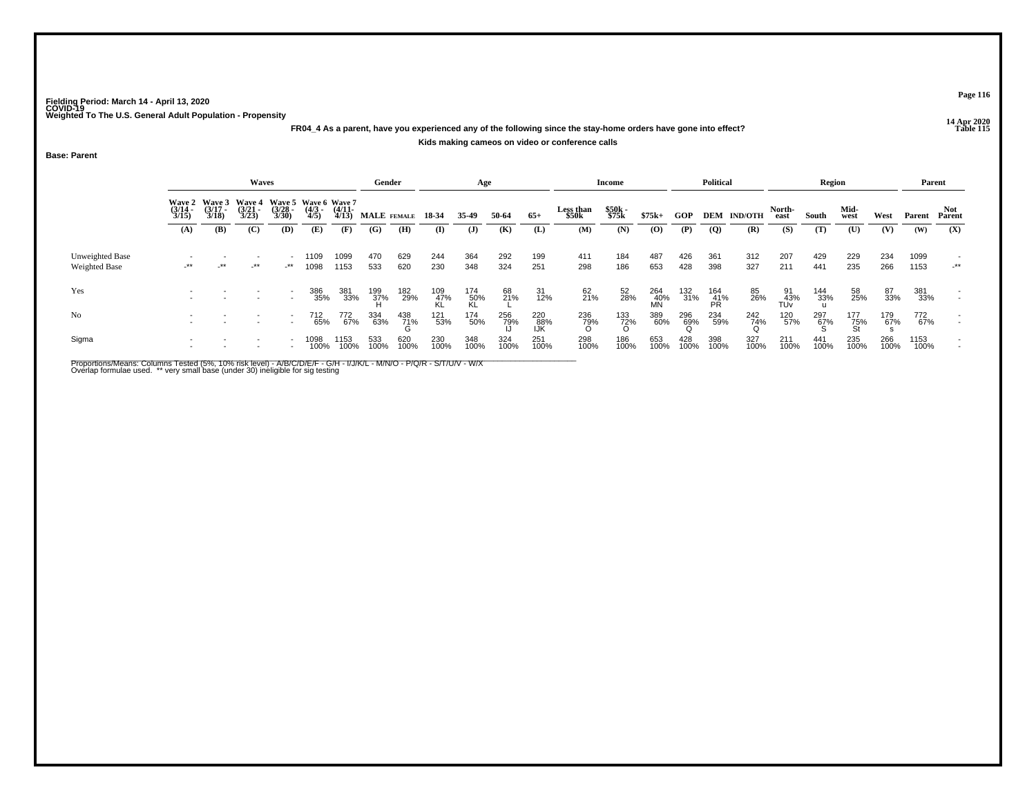### **14 Apr 2020 FR04\_4 As a parent, have you experienced any of the following since the stay-home orders have gone into effect?Kids making cameos on video or conference calls**

#### **Base: Parent**

|                                  |                                                                                                                                                                                                                     |     | <b>Waves</b> |               |              |                   | Gender      |             |             | Age              |             |                   |                    | <b>Income</b>   |                  |                 | <b>Political</b> |                    |                  | Region      |                  |             |              | Parent                             |
|----------------------------------|---------------------------------------------------------------------------------------------------------------------------------------------------------------------------------------------------------------------|-----|--------------|---------------|--------------|-------------------|-------------|-------------|-------------|------------------|-------------|-------------------|--------------------|-----------------|------------------|-----------------|------------------|--------------------|------------------|-------------|------------------|-------------|--------------|------------------------------------|
|                                  | Wave 4 Wave 5 Wave 6 Wave 7<br><b>Wave 3</b><br><b>Wave 2</b><br>$(3/17 -$<br>$(3/21 -$<br>$\frac{(3/28)}{3/30}$<br>$\frac{(3/14)}{3/15}$<br>$\frac{(4/3)}{4/5}$<br>3/18<br>3/23<br>(C)<br>(A)<br>(B)<br>(D)<br>(E) |     |              |               |              | $(4/11 -$<br>4/13 | MALE FEMALE |             | 18-34       | 35-49            | 50-64       | $65+$             | Less than<br>\$50k | \$50k<br>\$75k  | $$75k+$          | <b>GOP</b>      |                  | <b>DEM IND/OTH</b> | North-<br>east   | South       | Mid-<br>west     | West        | Parent       | Not.<br>Parent                     |
|                                  |                                                                                                                                                                                                                     |     |              |               |              | (F)               | (G)         | (H)         | (I)         | (J)              | (K)         | (L)               | (M)                | (N)             | (0)              | (P)             | (Q)              | (R)                | (S)              | (T)         | (U)              | (V)         | (W)          | (X)                                |
| Unweighted Base<br>Weighted Base | $-***$                                                                                                                                                                                                              | _** | _**          | $\rightarrow$ | 1109<br>1098 | 1099<br>1153      | 470<br>533  | 629<br>620  | 244<br>230  | 364<br>348       | 292<br>324  | 199<br>251        | 411<br>298         | 184<br>186      | 487<br>653       | 426<br>428      | 361<br>398       | 312<br>327         | 207<br>211       | 429<br>441  | 229<br>235       | 234<br>266  | 1099<br>1153 | $\overline{\phantom{a}}$<br>$+$ ** |
| Yes                              |                                                                                                                                                                                                                     |     |              |               | 386<br>35%   | 381<br>33%        | 199<br>37%  | 182<br>29%  | 109<br>47%  | 174<br>50%<br>KL | 68<br>21%   | 31<br>12%         | $^{62}_{21\%}$     | 52<br>28%       | 264<br>40%<br>MN | 132<br>31%      | 164<br>41%<br>PR | 85<br>26%          | 91<br>43%<br>TÚv | 144<br>33%  | 58<br>25%        | 87<br>33%   | 381<br>33%   |                                    |
| No                               |                                                                                                                                                                                                                     |     |              |               | 712<br>65%   | 772<br>67%        | 334<br>63%  | 438<br>71%  | 121<br>53%  | 174<br>50%       | 256<br>79%  | 220<br>88%<br>IJK | 236<br>79%         | 133<br>72%<br>O | 389<br>60%       | 296<br>69%<br>Q | 234<br>59%       | 242<br>74%         | 120<br>57%       | 297<br>67%  | 177<br>75%<br>St | 179<br>67%  | 772<br>67%   | $\overline{\phantom{0}}$           |
| Sigma                            |                                                                                                                                                                                                                     |     |              |               | 1098<br>100% | 153<br>100%       | 533<br>100% | 620<br>100% | 230<br>100% | 348<br>100%      | 324<br>100% | 251<br>100%       | 298<br>100%        | 186<br>100%     | 653<br>100%      | 428<br>100%     | 398<br>100%      | 327<br>100%        | 211<br>100%      | 441<br>100% | 235<br>100%      | 266<br>100% | 1153<br>100% |                                    |

Proportions/Means: Columns Tested (5%, 10% risk level) - A/B/C/D/E/F - G/H - I/J/K/L - M/N/O - P/Q/R - S/T/U/V - W/X<br>Overlap formulae used. \*\* very small base (under 30) ineligible for sig testing

**Page 116**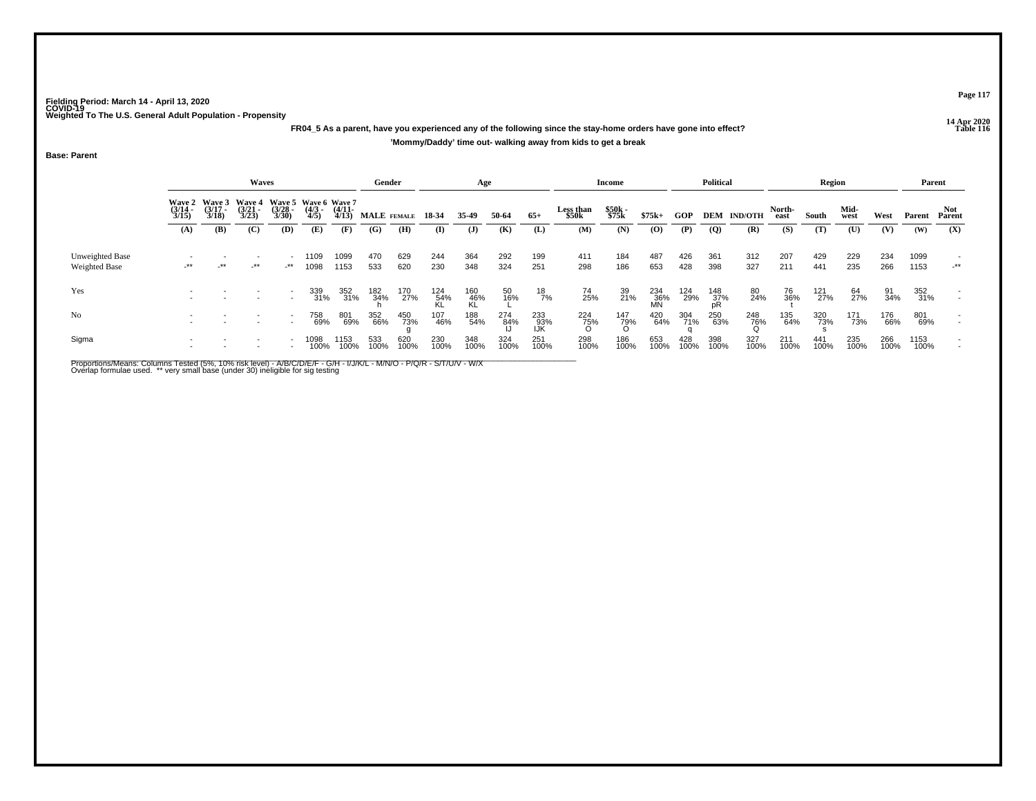**14 Apr 2020 FR04\_5 As a parent, have you experienced any of the following since the stay-home orders have gone into effect?'Mommy/Daddy' time out- walking away from kids to get a break**

**Base: Parent**

|                                         |                       |                                        | Waves                                  |                       |                                             |                       | Gender      |             |                  | Age                |             |                     |                    | Income         |                  |             | <b>Political</b> |                |                | Region             |              |             |              | Parent        |
|-----------------------------------------|-----------------------|----------------------------------------|----------------------------------------|-----------------------|---------------------------------------------|-----------------------|-------------|-------------|------------------|--------------------|-------------|---------------------|--------------------|----------------|------------------|-------------|------------------|----------------|----------------|--------------------|--------------|-------------|--------------|---------------|
|                                         | $\frac{(3/14)}{3/15}$ | Wave 2 Wave 3<br>$\frac{(3/17)}{3/18}$ | <b>Wave 4</b><br>$\frac{(3/21)}{3/23}$ | $\frac{(3/28)}{3/30}$ | Wave 5 Wave 6 Wave 7<br>$\frac{(4/3)}{4/5}$ | $\frac{(4/11)}{4/13}$ | MALE FEMALE |             | 18 34            | 35-49              | 50-64       | $65+$               | Less than<br>\$50k | \$50k<br>\$75k | $$75k+$          | <b>GOP</b>  | DEM              | <b>IND/OTH</b> | North-<br>east | South              | Mid-<br>west | West        | Parent       | Not<br>Parent |
|                                         | (A)                   | (B)                                    | (C)                                    | (D)                   | (E)                                         | (F)                   | (G)         | (H)         | (I)              | $\mathbf{J}$       | (K)         | (L)                 | (M)                | (N)            | $\bf{(0)}$       | (P)         | (Q)              | (R)            | (S)            | (T)                | (U)          | (V)         | (W)          | (X)           |
| Unweighted Base<br><b>Weighted Base</b> | $-***$                | $\cdot$ **                             | _**                                    | $-***$                | 109<br>1098                                 | 1099<br>1153          | 470<br>533  | 629<br>620  | 244<br>230       | 364<br>348         | 292<br>324  | 199<br>251          | 411<br>298         | 184<br>186     | 487<br>653       | 426<br>428  | 361<br>398       | 312<br>327     | 207<br>211     | 429<br>441         | 229<br>235   | 234<br>266  | 1099<br>1153 | $\cdot$ **    |
| Yes                                     |                       |                                        |                                        |                       | 339<br>31%                                  | 352<br>31%            | 182<br>34%  | 170<br>27%  | 124<br>54%<br>KL | $\frac{160}{46\%}$ | 50<br>16%   | $^{18}_{7\%}$       | 74<br>25%          | 39<br>21%      | 234<br>36%<br>MN | 124<br>29%  | 148<br>37%<br>pR | 80<br>24%      | 76<br>36%      | 121 <sub>27%</sub> | 64<br>27%    | 91<br>34%   | 352<br>31%   |               |
| N <sub>o</sub>                          |                       |                                        |                                        |                       | 758<br>69%                                  | 801<br>69%            | 352<br>66%  | 450<br>73%  | 107<br>46%       | 188<br>54%         | 274<br>84%  | 233<br>- 93%<br>IJK | 224<br>75%         | 147<br>79%     | 420<br>64%       | 304<br>71%  | 250<br>63%       | 248<br>76%     | 135<br>64%     | 320<br>73%         | 171<br>73%   | 176<br>66%  | 801<br>69%   |               |
| Sigma                                   |                       |                                        |                                        |                       | 1098<br>100%                                | 1153<br>100%          | 533<br>100% | 620<br>100% | 230<br>100%      | 348<br>100%        | 324<br>100% | 251<br>100%         | 298<br>100%        | 186<br>100%    | 653<br>100%      | 428<br>100% | 398<br>100%      | 327<br>100%    | 211<br>100%    | 441<br>100%        | 235<br>100%  | 266<br>100% | 1153<br>100% |               |

Proportions/Means: Columns Tested (5%, 10% risk level) - A/B/C/D/E/F - G/H - I/J/K/L - M/N/O - P/Q/R - S/T/U/V - W/X<br>Overlap formulae used. \*\* very small base (under 30) ineligible for sig testing

**Page 117**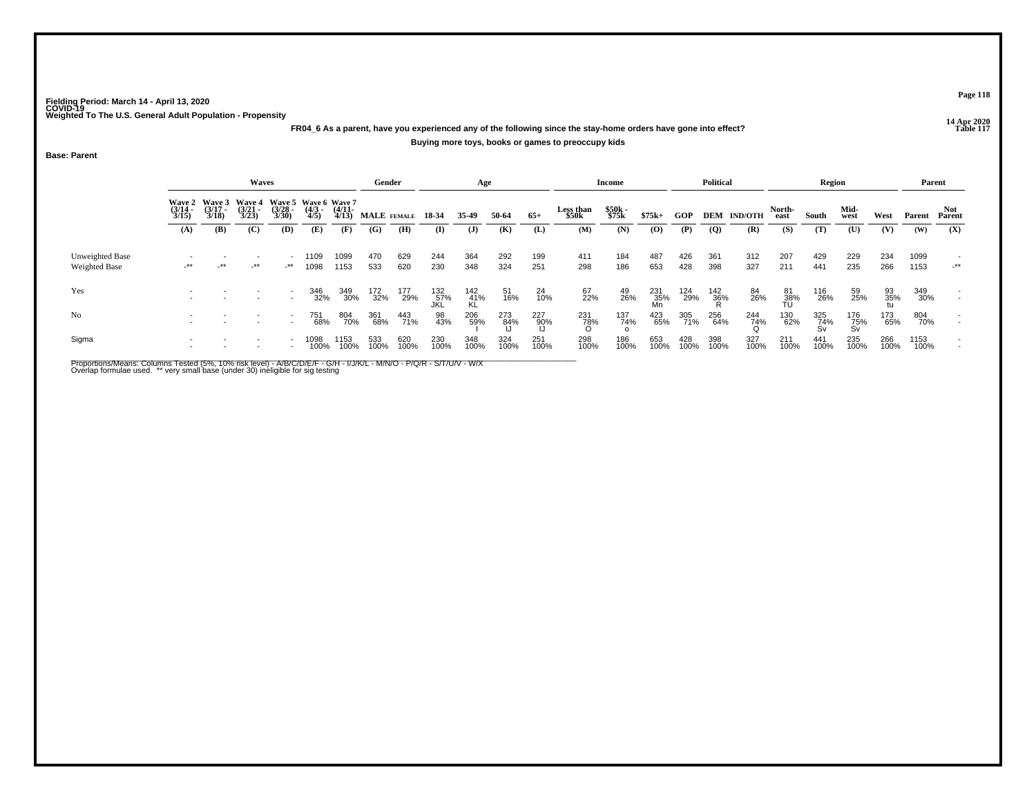### **14 Apr 2020 FR04\_6 As a parent, have you experienced any of the following since the stay-home orders have gone into effect?Buying more toys, books or games to preoccupy kids**

**Base: Parent**

|                                  |                       |                                        | Waves                                  |                       |                                             |                       | Gender      |             |                   | Age              |             |                |                    | Income         |                  |             | Political       |                    |                 | Region           |                  |             |              | Parent        |
|----------------------------------|-----------------------|----------------------------------------|----------------------------------------|-----------------------|---------------------------------------------|-----------------------|-------------|-------------|-------------------|------------------|-------------|----------------|--------------------|----------------|------------------|-------------|-----------------|--------------------|-----------------|------------------|------------------|-------------|--------------|---------------|
|                                  | $\frac{(3/14)}{3/15}$ | Wave 2 Wave 3<br>$\frac{(3/17)}{3/18}$ | <b>Wave 4</b><br>$\frac{(3/21)}{3/23}$ | $\frac{(3/28)}{3/30}$ | Wave 5 Wave 6 Wave 7<br>$\frac{(4/3)}{4/5}$ | $\frac{(4/11)}{4/13}$ | MALE FEMALE |             | 18-34             | 35-49            | 50-64       | $65+$          | Less than<br>\$50k | \$50k<br>\$75k | $$75k+$          | GOP         |                 | <b>DEM IND/OTH</b> | North-<br>east  | South            | Mid-<br>west     | West        | Parent       | Not<br>Parent |
|                                  | (A)                   | (B)                                    | (C)                                    | (D)                   | (E)                                         | (F)                   | (G)         | (H)         | $\mathbf{I}$      | $\mathbf{J}$     | (K)         | (L)            | (M)                | (N)            | (O)              | (P)         | $\overline{Q}$  | (R)                | (S)             | (T)              | (U)              | (V)         | (W)          | (X)           |
| Unweighted Base<br>Weighted Base | $-***$                | $-***$                                 | $-***$                                 | -**                   | 1109<br>1098                                | 1099<br>1153          | 470<br>533  | 629<br>620  | 244<br>230        | 364<br>348       | 292<br>324  | 199<br>251     | 411<br>298         | 184<br>186     | 487<br>653       | 426<br>428  | 361<br>398      | 312<br>327         | 207<br>211      | 429<br>441       | 229<br>235       | 234<br>266  | 1099<br>1153 | $-***$        |
| Yes                              |                       |                                        |                                        |                       | 346<br>32%                                  | 349<br>30%            | 172<br>32%  | 177<br>29%  | 132<br>57%<br>JKL | 142<br>41%<br>KL | 51<br>16%   | $^{24}_{10\%}$ | 67<br>22%          | 49<br>26%      | 231<br>35%<br>Mn | 124<br>29%  | $^{142}_{36\%}$ | 84<br>26%          | 81<br>38%<br>TU | 116<br>26%       | 59<br>25%        | 93<br>35%   | 349<br>30%   |               |
| No                               |                       |                                        |                                        |                       | 751<br>68%                                  | 804<br>70%            | 361<br>68%  | 443<br>71%  | 98<br>43%         | 206<br>59%       | 273<br>84%  | 227<br>90%     | 231<br>78%         | 137<br>74%     | 423<br>65%       | 305<br>71%  | 256<br>64%      | 244<br>74%         | 130<br>62%      | 325<br>74%<br>Sv | 176<br>75%<br>Sv | 173<br>65%  | 804<br>70%   |               |
| Sigma                            |                       |                                        |                                        |                       | 1098<br>100%                                | 1153<br>100%          | 533<br>100% | 620<br>100% | 230<br>100%       | 348<br>100%      | 324<br>100% | 251<br>100%    | 298<br>100%        | 186<br>100%    | 653<br>100%      | 428<br>100% | 398<br>100%     | 327<br>100%        | 211<br>100%     | 441<br>100%      | 235<br>100%      | 266<br>100% | 1153<br>100% |               |

Proportions/Means: Columns Tested (5%, 10% risk level) - A/B/C/D/E/F - G/H - I/J/K/L - M/N/O - P/Q/R - S/T/U/V - W/X<br>Overlap formulae used. \*\* very small base (under 30) ineligible for sig testing

**Page 118**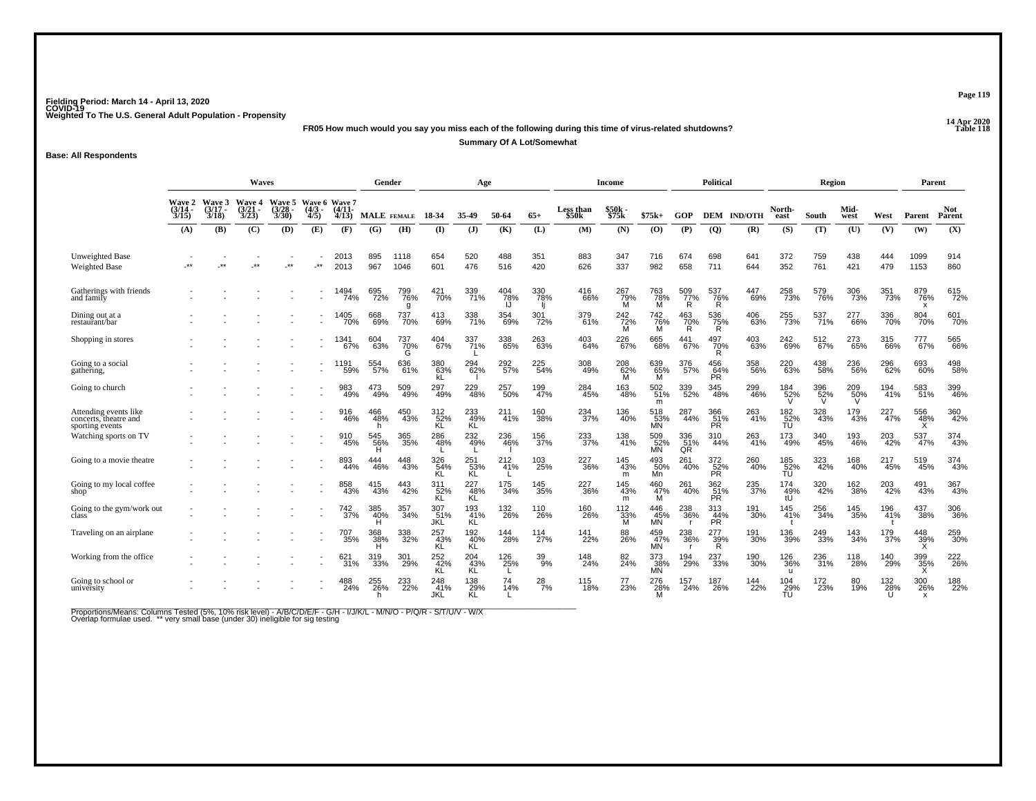**14 Apr 2020 FR05 How much would you say you miss each of the following during this time of virus-related shutdowns?**

**Summary Of A Lot/Somewhat**

**Base: All Respondents**

|                                                                   | <b>Waves</b>                     |                                    |                                        |                                        |                                      |                    | Gender          |                 |                         | Age                     |                    |                 |                    | Income                   |                  |                            | <b>Political</b>          |                    |                        | Region          |              |                                | Parent                                  |                       |
|-------------------------------------------------------------------|----------------------------------|------------------------------------|----------------------------------------|----------------------------------------|--------------------------------------|--------------------|-----------------|-----------------|-------------------------|-------------------------|--------------------|-----------------|--------------------|--------------------------|------------------|----------------------------|---------------------------|--------------------|------------------------|-----------------|--------------|--------------------------------|-----------------------------------------|-----------------------|
|                                                                   | <b>Wave 2</b><br>(3/14 -<br>3/15 | <b>Wave 3</b><br>$(3/17 -$<br>3/18 | <b>Wave 4</b><br>$\frac{(3/21)}{3/23}$ | <b>Wave 5</b><br>$\frac{(3/28)}{3/30}$ | Wave 6 Wave 7<br>$\frac{(4/3)}{4/5}$ | $(4/11 -$<br>4/13  |                 | MALE FEMALE     | 18-34                   | 35-49                   | 50-64              | $65+$           | Less than<br>\$50k | \$50k<br>\$75k           | $$75k+$          | GOP                        |                           | <b>DEM IND/OTH</b> | North-<br>east         | South           | Mid-<br>west | West                           | Parent                                  | Not<br>Parent         |
|                                                                   | (A)                              | (B)                                | (C)                                    | (D)                                    | (E)                                  | (F)                | (G)             | (H)             | (I)                     | $($ $)$                 | (K)                | (L)             | (M)                | (N)                      | (0)              | (P)                        | (Q)                       | (R)                | (S)                    | (T)             | (U)          | (V)                            | (W)                                     | (X)                   |
| <b>Unweighted Base</b><br><b>Weighted Base</b>                    |                                  | $***$                              | $***$                                  | $**$                                   | $**$                                 | 2013<br>2013       | 895<br>967      | 1118<br>1046    | 654<br>601              | 520<br>476              | 488<br>516         | 351<br>420      | 883<br>626         | 347<br>337               | 716<br>982       | 674<br>658                 | 698<br>711                | 641<br>644         | 372<br>352             | 759<br>761      | 438<br>421   | 444<br>479                     | 1099<br>1153                            | 914<br>860            |
| Gatherings with friends<br>and family                             |                                  |                                    |                                        |                                        |                                      | 1494<br>74%        | 695<br>72%      | 799<br>76%<br>q | 421<br>70%              | 339<br>71%              | 404<br>78%<br>IJ   | 330<br>78%      | 416<br>66%         | 267<br>79%<br>M          | 763<br>78%<br>M  | $\frac{509}{77}\%$<br>R    | 537<br>76%<br>R           | 447<br>69%         | 258<br>73%             | 579<br>76%      | 306<br>73%   | 351<br>73%                     | 879<br>76%<br>$\boldsymbol{\mathsf{x}}$ | 615<br>72%            |
| Dining out at a<br>restaurant/bar                                 |                                  |                                    |                                        |                                        |                                      | 1405<br>70%        | 668<br>69%      | 737<br>70%      | 413<br>69%              | 338<br>71%              | 354<br>69%         | 301<br>72%      | 379<br>61%         | $\frac{242}{72\%}$       | 742<br>76%<br>M  | 463<br>$\frac{70}{R}$      | 536<br>$\frac{75}{R}$     | 406<br>63%         | 255<br>73%             | 537<br>71%      | 277<br>66%   | 336<br>70%                     | 804<br>70%                              | 601<br>70%            |
| Shopping in stores                                                |                                  |                                    |                                        |                                        |                                      | 1341<br>67%        | 604<br>63%      | 737<br>70%      | 404<br>67%              | 337<br>71%              | 338<br>65%         | 263<br>63%      | $^{403}_{64\%}$    | 226<br>$\overline{67}$ % | 665<br>68%       | 441<br>67%                 | 497<br>$\frac{70\%}{R}$   | 403<br>63%         | 242<br>69%             | 512<br>67%      | 273<br>65%   | 315<br>66%                     | 777<br>67%                              | 565<br>66%            |
| Going to a social<br>gathering,                                   |                                  |                                    |                                        |                                        |                                      | 1191<br>59%        | 554<br>57%      | 636<br>61%      | 380<br>63%              | 294<br>62%              | 292 <sub>%</sub>   | 225<br>54%      | 308<br>49%         | 208<br>62%<br>M          | 639<br>65%<br>M  | 376<br>57%                 | 456<br>64%<br>PR          | 358<br>56%         | 220<br>63%             | 438<br>58%      | 236<br>56%   | 296<br>62%                     | 693<br>60%                              | 498<br>58%            |
| Going to church                                                   |                                  |                                    |                                        |                                        |                                      | 983<br>49%         | 473<br>49%      | 509<br>49%      | 297<br>49%              | 229<br>48%              | 257<br>50%         | 199<br>47%      | 284<br>45%         | 163<br>48%               | 502<br>51%<br>m  | 339<br>52%                 | 345<br>48%                | 299<br>46%         | 184<br>52%<br>V        | 396<br>52%<br>V | 209<br>50%   | 194<br>41%                     | 583<br>51%                              | 399<br>46%            |
| Attending events like<br>concerts, theatre and<br>sporting events |                                  |                                    |                                        |                                        |                                      | 916<br>46%         | 466<br>48%      | 450<br>43%      | 312<br>52%<br>KL        | 233<br>49%<br>KĹ        | 211<br>41%         | 160<br>38%      | 234<br>37%         | 136<br>40%               | 518<br>53%<br>MÑ | 287<br>44%                 | 366<br>51%<br>PR          | 263<br>41%         | 182<br>52%<br>TU       | 328<br>43%      | 179<br>43%   | 227<br>47%                     | 556<br>48%<br>X                         | 360<br>42%            |
| Watching sports on TV                                             |                                  |                                    |                                        |                                        |                                      | 910<br>45%         | 545<br>56%<br>н | 365<br>35%      | 286<br>48%              | 232<br>49%              | 236<br>46%         | 156<br>37%      | 233<br>37%         | 138<br>41%               | 509<br>52%<br>MN | 336<br>51%<br>QR           | 310<br>44%                | 263<br>41%         | 173<br>49%             | 340<br>45%      | 193<br>46%   | 203<br>42%                     | 537<br>47%                              | 374<br>43%            |
| Going to a movie theatre                                          |                                  |                                    |                                        |                                        |                                      | 893<br>44%         | 444<br>46%      | 448<br>43%      | 326<br>54%<br><b>KL</b> | 251<br>53%<br><b>KL</b> | 212 <sub>41%</sub> | 103<br>25%      | 227<br>36%         | 145<br>43%<br>m          | 493<br>50%<br>Mn | 261<br>40%                 | $\frac{372}{52\%}$<br>PR. | 260<br>40%         | 185<br>52%<br>ŤU       | 323             | 168<br>40%   | 217<br>45%                     | 519<br>45%                              | 374<br>43%            |
| Going to my local coffee<br>shop                                  |                                  |                                    |                                        |                                        |                                      | 858<br>43%         | 415<br>43%      | 443<br>42%      | 311<br>52%<br>KL        | 227<br>-48%<br>KL       | 175<br>34%         | 145<br>35%      | 227<br>36%         | 145<br>43%<br>m          | 460<br>47%<br>М  | 261<br>40%                 | 362<br>$\frac{51}{PR}$    | 235<br>37%         | 174<br>$\frac{49}{10}$ | 320<br>42%      | 162<br>38%   | 203<br>42%                     | 491<br>43%                              | 367<br>43%            |
| Going to the gym/work out<br>class                                |                                  |                                    |                                        |                                        |                                      | 742<br>37%         | 385<br>40%      | 357<br>34%      | 307<br>51%<br>JKL       | 193<br>41%<br>KL        | 132<br>26%         | 110<br>26%      | 160<br>26%         | 112<br>33%<br>M          | 446<br>45%<br>MŃ | 238<br>36%<br>$\mathbf{r}$ | 313<br>44%<br>PR          | 191<br>30%         | 145<br>41%             | 256<br>34%      | 145<br>35%   | 196<br>41%                     | 437<br>38%                              | 306<br>36%            |
| Traveling on an airplane                                          |                                  |                                    |                                        |                                        |                                      | <sup>707</sup> 35% | 368<br>38%      | 338<br>32%      | 257<br>$-43%$<br>KL     | 192<br>40%<br>KL        | 144<br>28%         | 114<br>27%      | 141<br>22%         | 88<br>26%                | 459<br>47%<br>MN | 238<br>36%<br>$\mathbf{r}$ | $^{277}_{39\%}$<br>R      | 191<br>30%         | 136<br>39%             | 249<br>33%      | 143<br>34%   | 179<br>37%                     | 448<br>39%<br>X                         | 259<br>30%            |
| Working from the office                                           |                                  |                                    |                                        |                                        |                                      | 621<br>31%         | 319<br>33%      | 301<br>29%      | 252<br>42%<br>KL        | 204<br>-43%<br>KL       | 126<br>25%         | $\frac{39}{9%}$ | 148<br>24%         | 82<br>24%                | 373<br>38%<br>MN | 194<br>29%                 | 237<br>33%                | 190<br>30%         | 126<br>36%<br>-11      | 236<br>31%      | 118<br>28%   | 140<br>29%                     | 399<br>$\frac{35}{x}$                   | <sup>222</sup><br>26% |
| Going to school or<br>university                                  |                                  |                                    |                                        |                                        |                                      | 488<br>24%         | 255<br>26%<br>h | 233<br>22%      | 248<br>41%<br>JKL       | 138<br>29%<br>ΚL        | 74<br>14%          | $^{28}_{7\%}$   | 115<br>18%         | 77<br>23%                | 276<br>28%       | 157<br>24%                 | 187<br>26%                | 144<br>22%         | 104<br>29%             | 172<br>23%      | 80<br>19%    | <sup>132</sup> <sub>28</sub> % | 300<br>26%<br>x                         | 188<br>22%            |

Proportions/Means: Columns Tested (5%, 10% risk level) - A/B/C/D/E/F - G/H - I/J/K/L - M/N/O - P/Q/R - S/T/U/V - W/X<br>Overlap formulae used. \*\* very small base (under 30) ineligible for sig testing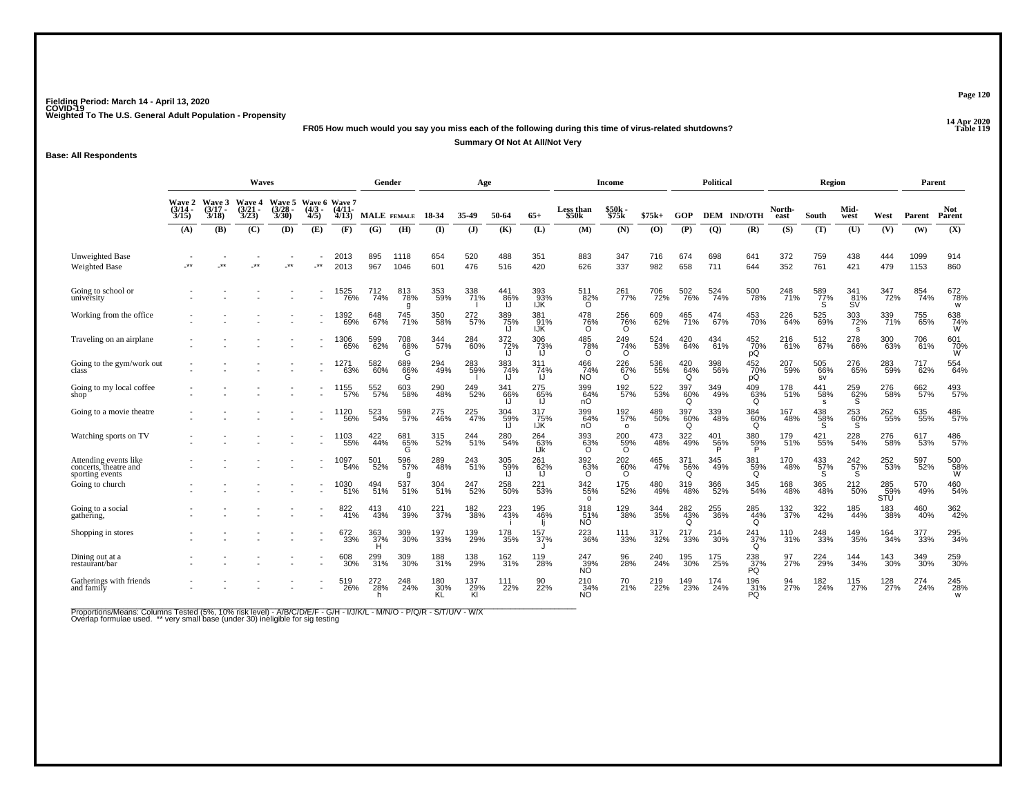**14 Apr 2020 FR05 How much would you say you miss each of the following during this time of virus-related shutdowns?**

**Summary Of Not At All/Not Very**

**Base: All Respondents**

|                                                                   | <b>Waves</b>                            |                                    |                                               |                                        |                                             |                          | Gender          |                    |                 | Age              |                  |                    |                                | <b>Income</b>          |                |                      | <b>Political</b> |                                |                          | Region           |                     |                         | Parent             |                             |
|-------------------------------------------------------------------|-----------------------------------------|------------------------------------|-----------------------------------------------|----------------------------------------|---------------------------------------------|--------------------------|-----------------|--------------------|-----------------|------------------|------------------|--------------------|--------------------------------|------------------------|----------------|----------------------|------------------|--------------------------------|--------------------------|------------------|---------------------|-------------------------|--------------------|-----------------------------|
|                                                                   | <b>Wave 2</b><br>(3/14 -<br>3/15<br>(A) | Wave 3<br>$(3/17 -$<br>3/18<br>(B) | <b>Wave 4</b><br>$\frac{(3/21)}{3/23}$<br>(C) | Wave 5<br>$\frac{(3/28)}{3/30}$<br>(D) | Wave 6 Wave 7<br>$\frac{(4/3)}{4/5}$<br>(E) | $(4/11 -$<br>4/13<br>(F) | (G)             | MALE FEMALE<br>(H) | 18-34<br>$($ I) | 35.49<br>$($ $)$ | 50-64<br>(K)     | $65+$<br>(L)       | Less than<br>\$50k<br>(M)      | \$50k<br>\$75k<br>(N)  | $$75k+$<br>(O) | GOP<br>(P)           | $\overline{Q}$   | <b>DEM IND/OTH</b><br>(R)      | North-<br>east<br>(S)    | South<br>(T)     | Mid-<br>west<br>(U) | West<br>(V)             | Parent<br>(W)      | <b>Not</b><br>Parent<br>(X) |
|                                                                   |                                         |                                    |                                               |                                        |                                             |                          |                 |                    |                 |                  |                  |                    |                                |                        |                |                      |                  |                                |                          |                  |                     |                         |                    |                             |
| <b>Unweighted Base</b><br>Weighted Base                           |                                         | $\star\star$                       | $***$                                         |                                        | $**$                                        | 2013<br>2013             | 895<br>967      | 1118<br>1046       | 654<br>601      | 520<br>476       | 488<br>516       | 351<br>420         | 883<br>626                     | 347<br>337             | 716<br>982     | 674<br>658           | 698<br>711       | 641<br>644                     | 372<br>352               | 759<br>761       | 438<br>421          | 444<br>479              | 1099<br>1153       | 914<br>860                  |
| Going to school or<br>university                                  |                                         |                                    |                                               |                                        |                                             | 1525<br>76%              | 712<br>74%      | 813<br>78%<br>a    | 353<br>59%      | 338<br>71%       | 441<br>86%<br>IJ | 393<br>93%<br>IJK  | $\frac{511}{82\%}$<br>$\Omega$ | 261 <sub>%</sub>       | 706<br>72%     | 502<br>76%           | 524 <sub>%</sub> | 500<br>78%                     | 248<br>71%               | 589<br>77%<br>S  | 341<br>81%<br>SV    | 347<br>72%              | 854<br>74%         | 672<br>78%<br>W             |
| Working from the office                                           |                                         |                                    |                                               |                                        |                                             | 1392<br>69%              | 648<br>67%      | 745<br>71%         | 350<br>58%      | 272<br>57%       | 389<br>75%<br> J | 381<br>_91%<br>IJK | 478<br>$^{76\%}_{0}$           | 256<br>76%<br>O        | 609<br>62%     | 465<br>71%           | 474<br>67%       | 453<br>70%                     | 226<br>$\overline{64}$ % | 525<br>69%       | 303<br>72%<br>s     | 339<br>71%              | 755<br>65%         | 638<br>74%<br>W             |
| Traveling on an airplane                                          |                                         |                                    |                                               |                                        |                                             | 1306<br>65%              | 599<br>62%      | 708<br>68%<br>G    | 344<br>57%      | 284<br>60%       | 372<br>72%<br>IJ | 306<br>73%         | 485<br>78%<br>$\Omega$         | 249<br>74%<br>$\Omega$ | 524<br>53%     | 420<br>64%           | 434<br>61%       | 452<br>70%<br>рQ               | 216<br>61%               | 512<br>67%       | 278<br>66%          | 300<br>63%              | 706<br>61%         | 601<br>$\frac{70\%}{W}$     |
| Going to the gym/work out                                         |                                         |                                    |                                               |                                        |                                             | 1271<br>63%              | 582<br>60%      | 689<br>66%<br>G    | 294<br>49%      | 283<br>59%       | 383<br>74%<br>IJ | 311<br>74%         | 466<br>74%<br>NO <sup>1</sup>  | 226<br>67%<br>$\Omega$ | 536<br>55%     | $^{420}_{64\%}$<br>O | 398<br>56%       | 452%<br>pQ                     | 207<br>59%               | 505<br>66%<br>SV | 276<br>65%          | 283<br>59%              | <sup>717</sup> 62% | 554<br>64%                  |
| Going to my local coffee<br>shop <sup>-</sup>                     |                                         |                                    |                                               |                                        |                                             | 1155<br>57%              | 552<br>57%      | 603<br>58%         | 290<br>48%      | 249<br>52%       | 341<br>66%       | 275<br>65%         | 399<br>64%<br>nО               | 192 <sub>%</sub>       | 522<br>53%     | 397<br>60%<br>Ō      | 349<br>49%       | $^{409}_{63\%}$                | 178<br>51%               | 441<br>58%<br>-S | 259<br>62%<br>S     | 276<br>58%              | 662<br>57%         | 493<br>57%                  |
| Going to a movie theatre                                          |                                         |                                    |                                               |                                        |                                             | 1120<br>$-56%$           | 523<br>54%      | 598<br>57%         | 275<br>46%      | 225<br>47%       | 304<br>59%<br>IJ | 317<br>75%<br>IJŔ  | 399<br>64%<br>nO               | 192<br>57%<br>$\circ$  | 489<br>50%     | 397<br>60%<br>Q      | 339<br>48%       | 384<br>60%<br>O                | 167<br>48%               | 438<br>58%<br>`S | 253<br>60%<br>S     | 262<br>55%              | 635<br>55%         | 486<br>57%                  |
| Watching sports on TV                                             |                                         |                                    |                                               |                                        |                                             | 1103<br>55%              | 422<br>44%      | 681<br>$56\%$<br>Ĝ | 315<br>52%      | 244<br>51%       | 280<br>54%       | 264<br>63%<br>IJk  | 393<br>63%<br>$\Omega$         | 200<br>59%<br>O        | 473<br>48%     | 322<br>49%           | 401<br>56%       | 380<br>59%                     | 179<br>51%               | 421<br>55%       | 228<br>54%          | 276<br>58%              | 617<br>53%         | 486<br>57%                  |
| Attending events like<br>concerts, theatre and<br>sporting events |                                         |                                    |                                               |                                        |                                             | 1097<br>54%              | 501<br>52%      | 596<br>57%         | 289<br>48%      | 243<br>51%       | 305<br>59%<br>IJ | 261<br>62%         | 392%<br>$\Omega$               | 202<br>60%<br>$\Omega$ | 465<br>47%     | 371<br>56%<br>Q      | 345<br>49%       | 381<br>59%<br>O                | 170<br>48%               | 433/57%<br>S.    | 242 <sub>%</sub>    | 252<br>53%              | 597<br>52%         | 500<br>58%<br>W             |
| Going to church                                                   |                                         |                                    |                                               |                                        |                                             | 1030<br>51%              | 494<br>51%      | 537<br>51%         | 304<br>51%      | 247<br>52%       | 258<br>50%       | 221<br>53%         | 342<br>55%<br>$\Omega$         | 175<br>52%             | 480<br>49%     | 319<br>48%           | 366<br>52%       | 345<br>54%                     | 168<br>48%               | 365<br>48%       | 212<br>50%          | 285<br>59%<br>STU       | 570<br>49%         | 460<br>54%                  |
| Going to a social<br>gathering,                                   |                                         |                                    |                                               |                                        |                                             | 822<br>41%               | 413<br>43%      | 410<br>39%         | 221<br>37%      | 182<br>38%       | 223<br>43%       | 195<br>46%         | 318<br>51%<br>NO               | 129<br>38%             | 344<br>35%     | 282<br>43%<br>O      | 255<br>36%       | 285<br>44%<br>O                | $\frac{132}{37\%}$       | 322<br>42%       | 185<br>44%          | 183<br>38%              | 460<br>40%         | 362<br>42%                  |
| Shopping in stores                                                |                                         |                                    |                                               |                                        |                                             | 672<br>33%               | 363<br>37%      | 309<br>30%         | 197<br>33%      | 139<br>29%       | 178<br>35%       | 157<br>37%         | 223<br>36%                     | 111<br>33%             | 317<br>32%     | 217<br>33%           | 214<br>30%       | 241 <sub>37%</sub><br>$\Omega$ | 110<br>31%               | 248<br>33%       | 149<br>35%          | 164<br>34%              | 377<br>33%         | 295<br>34%                  |
| Dining out at a<br>restaurant/bar                                 |                                         |                                    |                                               |                                        |                                             | 608<br>30%               | 299<br>31%      | 309<br>30%         | 188<br>31%      | 138<br>29%       | 162<br>31%       | 119<br>28%         | 247<br>$\frac{39}{10}$         | 96<br>28%              | 240<br>24%     | 195<br>30%           | 175<br>25%       | 238<br>37%<br>PQ               | 97<br>27%                | 224<br>29%       | 144<br>34%          | 143<br>30%              | 349<br>30%         | 259<br>30%                  |
| Gatherings with friends<br>and family                             |                                         |                                    |                                               |                                        |                                             | 519<br>26%               | 272<br>28%<br>h | 248<br>24%         | 180<br>30%      | 137<br>29%<br>ΚÌ | 111<br>22%       | 90<br>22%          | 210<br>34%<br><b>NO</b>        | 70<br>21%              | 219<br>22%     | 149<br>23%           | 174<br>24%       | 196<br>31%<br>PQ               | 94<br>27%                | 182<br>24%       | 115<br>27%          | 128<br>$\frac{1}{27}\%$ | 274<br>24%         | 245<br>28%<br>W             |

Proportions/Means: Columns Tested (5%, 10% risk level) - A/B/C/D/E/F - G/H - I/J/K/L - M/N/O - P/Q/R - S/T/U/V - W/X<br>Overlap formulae used. \*\* very small base (under 30) ineligible for sig testing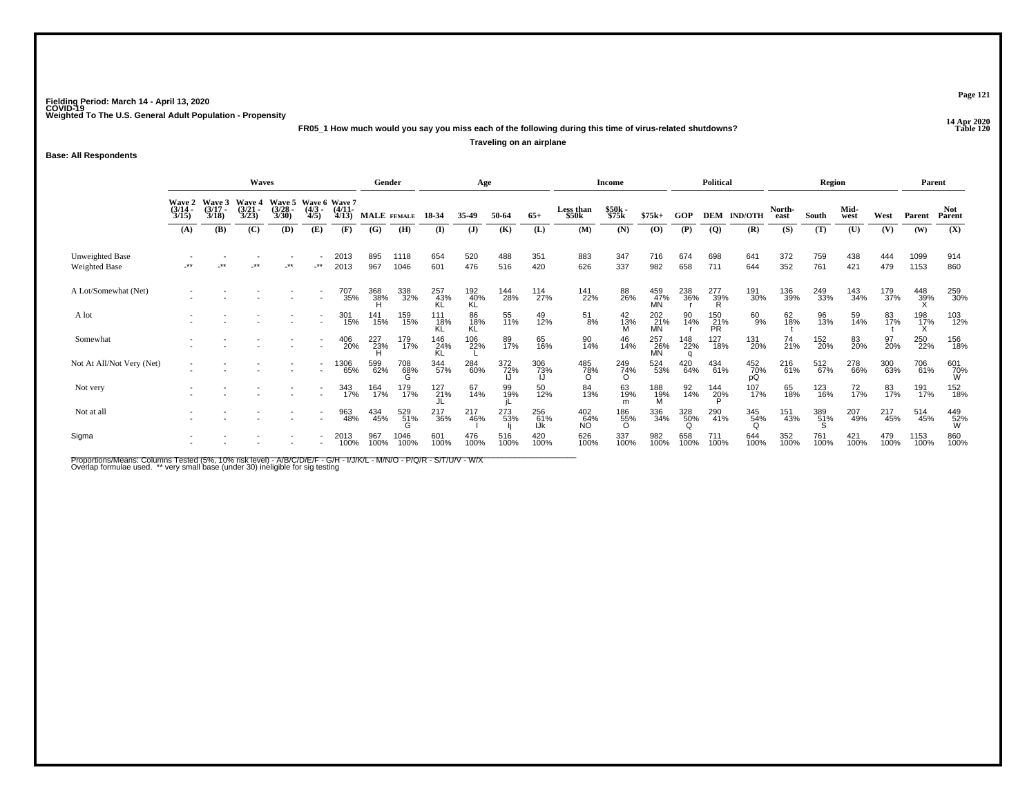**14 Apr 2020 FR05\_1 How much would you say you miss each of the following during this time of virus-related shutdowns?Traveling on an airplane**

**Base: All Respondents**

|                                         |                                        |                                 | Waves                                  |                                              |                     |                       | Gender      |              |                   | Age              |             |                   |                    | <b>Income</b>          |                         |             | <b>Political</b> |                    |                | Region      |              |             | Parent       |                      |
|-----------------------------------------|----------------------------------------|---------------------------------|----------------------------------------|----------------------------------------------|---------------------|-----------------------|-------------|--------------|-------------------|------------------|-------------|-------------------|--------------------|------------------------|-------------------------|-------------|------------------|--------------------|----------------|-------------|--------------|-------------|--------------|----------------------|
|                                         | <b>Wave 2</b><br>$\frac{(3/14)}{3/15}$ | Wave 3<br>$\frac{(3/17)}{3/18}$ | <b>Wave 4</b><br>$\frac{(3/21)}{3/23}$ | Wave 5 Wave 6 Wave 7<br>$\binom{3/28}{3/30}$ | $\frac{(4/3)}{4/5}$ | $\frac{(4/11)}{4/13}$ | MALE FEMALE |              | 18-34             | 35.49            | 50-64       | $65+$             | Less than<br>\$50k | \$50k<br>\$75k         | $$75k+$                 | GOP         |                  | <b>DEM IND/OTH</b> | North-<br>east | South       | Mid-<br>west | West        | Parent       | <b>Not</b><br>Parent |
|                                         | (A)                                    | (B)                             | (C)                                    | (D)                                          | (E)                 | (F)                   | (G)         | (H)          | (I)               | $\mathbf{J}$     | (K)         | (L)               | (M)                | (N)                    | (O)                     | (P)         | $\overline{Q}$   | (R)                | (S)            | (T)         | (U)          | (V)         | (W)          | (X)                  |
| Unweighted Base<br><b>Weighted Base</b> | $***$                                  | -44                             | $***$                                  | $***$                                        | -**                 | 2013<br>2013          | 895<br>967  | 1118<br>1046 | 654<br>601        | 520<br>476       | 488<br>516  | 351<br>420        | 883<br>626         | 347<br>337             | 716<br>982              | 674<br>658  | 698<br>711       | 641<br>644         | 372<br>352     | 759<br>761  | 438<br>421   | 444<br>479  | 1099<br>1153 | 914<br>860           |
| A Lot/Somewhat (Net)                    |                                        |                                 |                                        |                                              |                     | 707<br>35%            | 368<br>38%  | 338<br>32%   | 257<br>43%<br>KL  | 192<br>40%<br>KL | 144<br>28%  | 114<br>27%        | 141<br>22%         | 88<br>26%              | 459<br>47%<br><b>MN</b> | 238<br>36%  | 277<br>39%<br>R  | 191<br>30%         | 136<br>39%     | 249<br>33%  | 143<br>34%   | 179<br>37%  | 448<br>39%   | 259<br>30%           |
| A lot                                   |                                        |                                 |                                        |                                              |                     | 301<br>15%            | 141<br>15%  | 159<br>15%   | 111<br>_18%<br>KL | 86<br>18%<br>KL  | 55<br>11%   | 49<br>12%         | 51<br>8%           | 42<br>13%<br>M         | 202<br>21%<br>MN        | 90<br>14%   | 150<br>21%<br>PR | 60<br>9%           | 62<br>18%      | 96<br>13%   | 59<br>14%    | 83<br>17%   | 198<br>17%   | 103<br>12%           |
| Somewhat                                |                                        |                                 |                                        |                                              | $\sim$              | 406<br>20%            | 227<br>23%  | 179<br>17%   | 146<br>24%<br>KL  | 106<br>22%       | 89<br>17%   | 65<br>16%         | 90<br>14%          | 46<br>14%              | 257<br>26%<br>MN        | 148<br>22%  | 127<br>18%       | 131<br>20%         | 74<br>21%      | 152<br>20%  | 83<br>20%    | 97<br>20%   | 250<br>22%   | 156<br>18%           |
| Not At All/Not Very (Net)               |                                        |                                 |                                        |                                              |                     | 1306<br>65%           | 599<br>62%  | 708<br>68%   | 344<br>57%        | 284<br>60%       | 372<br>72%  | 306<br>73%        | 485<br>78%<br>∩    | 249<br>74%<br>O        | 524<br>53%              | 420<br>64%  | 434<br>61%       | 452<br>70%<br>pQ   | 216<br>61%     | 512<br>67%  | 278<br>66%   | 300<br>63%  | 706<br>61%   | 601<br>70%<br>W      |
| Not very                                |                                        |                                 |                                        |                                              |                     | 343<br>17%            | 164<br>17%  | 179<br>17%   | 127<br>21%        | 67<br>14%        | 99<br>19%   | 50<br>12%         | 84<br>13%          | 63<br>19%<br>m         | 188<br>19%<br>M         | 92<br>14%   | 144<br>20%       | 107<br>17%         | 65<br>18%      | 123<br>16%  | 72<br>17%    | 83<br>17%   | 191<br>17%   | 152<br>18%           |
| Not at all                              |                                        |                                 |                                        |                                              |                     | 963<br>48%            | 434<br>45%  | 529<br>51%   | 217<br>36%        | 217<br>46%       | 273<br>53%  | 256<br>61%<br>IJk | 402<br>64%<br>NO   | 186<br>55%<br>$\Omega$ | 336<br>34%              | 328<br>50%  | 290<br>41%       | 345<br>54%<br>O    | 151<br>43%     | 389<br>51%  | 207<br>49%   | 217<br>45%  | 514<br>45%   | 449<br>52%<br>W      |
| Sigma                                   |                                        |                                 |                                        |                                              |                     | 2013<br>100%          | 967<br>100% | 1046<br>100% | 601<br>100%       | 476<br>100%      | 516<br>100% | 420<br>100%       | 626<br>100%        | 337<br>100%            | 982<br>100%             | 658<br>100% | 711<br>100%      | 644<br>100%        | 352<br>100%    | 761<br>100% | 421<br>100%  | 479<br>100% | 1153<br>100% | 860<br>100%          |

Proportions/Means: Columns Tested (5%, 10% risk level) - A/B/C/D/E/F - G/H - I/J/K/L - M/N/O - P/Q/R - S/T/U/V - W/X<br>Overlap formulae used. \*\* very small base (under 30) ineligible for sig testing

**Page 121**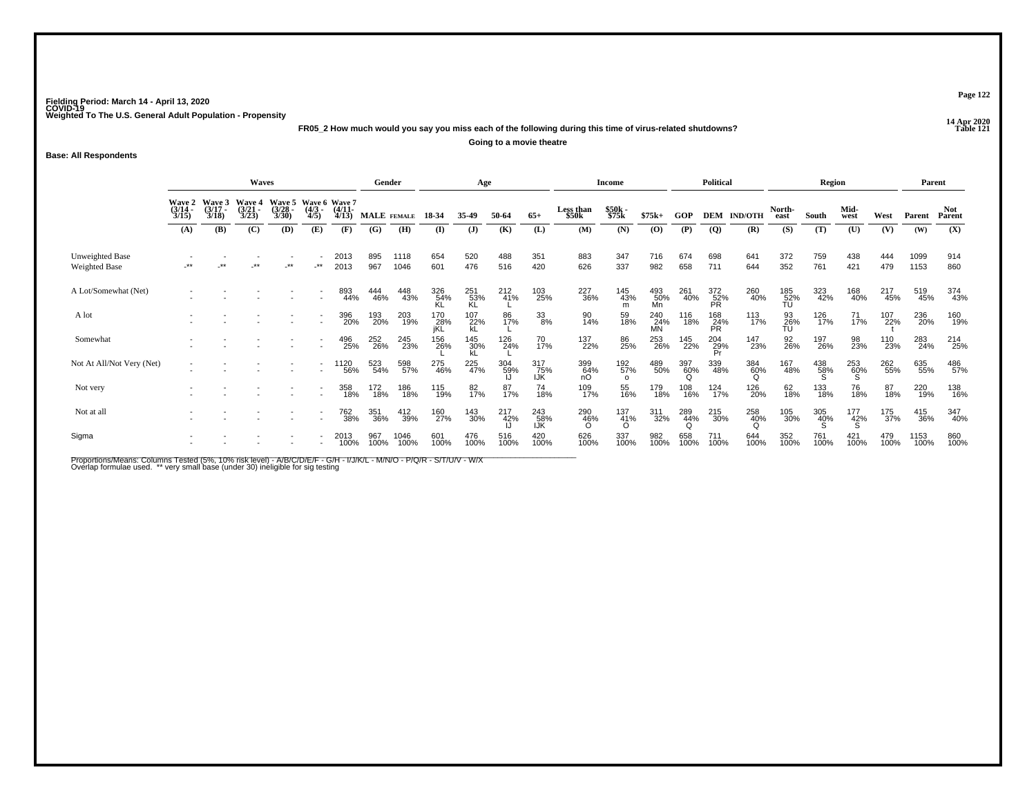**14 Apr 2020 FR05\_2 How much would you say you miss each of the following during this time of virus-related shutdowns?**

**Going to a movie theatre**

**Base: All Respondents**

|                                         |                                                                                                                                                                                                |       | Waves |    |                          |                                        | Gender      |              |                   | Age              |             |                   |                    | Income                       |                  |             | <b>Political</b> |                |                      | Region          |                |             | Parent       |                      |
|-----------------------------------------|------------------------------------------------------------------------------------------------------------------------------------------------------------------------------------------------|-------|-------|----|--------------------------|----------------------------------------|-------------|--------------|-------------------|------------------|-------------|-------------------|--------------------|------------------------------|------------------|-------------|------------------|----------------|----------------------|-----------------|----------------|-------------|--------------|----------------------|
|                                         | Wave 3<br>Wave 5<br><b>Wave 2</b><br>Wave 4<br>$\frac{(3/14)}{3/15}$<br>$(3/17 -$<br>$\frac{(3/21)}{3/23}$<br>$\frac{(3/28)}{3/30}$<br>$\frac{(4/3)}{4/5}$<br>3/18<br>(D)<br>(B)<br>(C)<br>(A) |       |       |    |                          | Wave 6 Wave 7<br>$\frac{(4/11)}{4/13}$ | MALE FEMALE |              | 18-34             | 35-49            | 50-64       | $65+$             | Less than<br>\$50k | \$50k<br>\$75k               | $$75k+$          | GOP         | <b>DEM</b>       | <b>IND/OTH</b> | North-<br>east       | South           | Mid-<br>west   | West        | Parent       | <b>Not</b><br>Parent |
|                                         |                                                                                                                                                                                                |       |       |    | (E)                      | (F)                                    | (G)         | (H)          | $($ I             | $\mathbf{J}$     | (K)         | (L)               | (M)                | (N)                          | (0)              | (P)         | $\overline{Q}$   | (R)            | (S)                  | (T)             | (U)            | (V)         | (W)          | (X)                  |
| <b>Unweighted Base</b><br>Weighted Base | -**                                                                                                                                                                                            | $***$ | $***$ | ** | $\cdot$ **               | 2013<br>2013                           | 895<br>967  | 1118<br>1046 | 654<br>601        | 520<br>476       | 488<br>516  | 351<br>420        | 883<br>626         | 347<br>337                   | 716<br>982       | 674<br>658  | 698<br>711       | 641<br>644     | 372<br>352           | 759<br>761      | 438<br>421     | 444<br>479  | 1099<br>1153 | 914<br>860           |
| A Lot/Somewhat (Net)                    |                                                                                                                                                                                                |       |       |    | ٠                        | 893<br>44%                             | 444<br>46%  | 448<br>43%   | 326<br>54%        | 251<br>53%<br>KL | 212<br>41%  | 103<br>25%        | 227<br>36%         | 145<br>43%<br>m              | 493<br>50%<br>Mn | 261<br>40%  | 372<br>52%<br>PR | 260<br>40%     | 185<br>- 52%<br>- TU | 323<br>42%      | 168<br>40%     | 217<br>45%  | 519<br>45%   | 374<br>43%           |
| A lot                                   |                                                                                                                                                                                                |       |       |    |                          | 396<br>20%                             | 193<br>20%  | 203<br>19%   | 170<br>28%<br>jKL | $^{107}_{22\%}$  | 86<br>17%   | 33<br>8%          | 90<br>14%          | 59<br>18%                    | 240<br>24%<br>MN | 116<br>18%  | 168<br>24%<br>PR | 113<br>17%     | 93<br>26%<br>TU      | 126<br>17%      | $^{71}_{17\%}$ | 107<br>22%  | 236<br>20%   | 160<br>19%           |
| Somewhat                                |                                                                                                                                                                                                |       |       |    | $\overline{\phantom{a}}$ | 496<br>25%                             | 252<br>26%  | 245<br>23%   | 156<br>26%        | 145<br>30%       | 126<br>24%  | 70<br>17%         | 137<br>22%         | 86<br>25%                    | 253<br>26%       | 145<br>22%  | 204<br>29%<br>Pr | 147<br>23%     | 92<br>26%            | 197<br>26%      | 98<br>23%      | 110<br>23%  | 283<br>24%   | 214<br>25%           |
| Not At All/Not Very (Net)               |                                                                                                                                                                                                |       |       |    | $\blacksquare$           | <sup>1</sup> 120<br>56%                | 523<br>54%  | 598<br>57%   | 275<br>46%        | 225<br>47%       | 304<br>59%  | 317<br>75%<br>IJK | 399<br>64%<br>nO   | 192 <sub>%</sub><br>$\Omega$ | 489<br>50%       | 397<br>60%  | 339<br>48%       | 384<br>60%     | 167<br>48%           | 438<br>58%<br>S | 253<br>60%     | 262<br>55%  | 635<br>55%   | 486<br>57%           |
| Not very                                |                                                                                                                                                                                                |       |       |    |                          | 358<br>18%                             | 172<br>18%  | 186<br>18%   | 115<br>19%        | 82<br>17%        | 87<br>17%   | 74<br>18%         | 109<br>17%         | 55<br>16%                    | 179<br>18%       | 108<br>16%  | 124<br>17%       | 126<br>20%     | 62<br>18%            | 133<br>18%      | 76<br>18%      | 87<br>18%   | 220<br>19%   | 138<br>16%           |
| Not at all                              |                                                                                                                                                                                                |       |       |    |                          | 762<br>38%                             | 351<br>36%  | 412<br>39%   | 160<br>27%        | 143<br>30%       | 217<br>42%  | 243<br>58%<br>IJK | 290<br>46%         | $^{137}_{41\%}$<br>$\Omega$  | 311<br>32%       | 289<br>44%  | 215<br>30%       | 258<br>40%     | 105<br>30%           | 305<br>40%      | 177<br>42%     | 175<br>37%  | 415<br>36%   | 347<br>40%           |
| Sigma                                   |                                                                                                                                                                                                |       |       |    |                          | 2013<br>100%                           | 967<br>100% | 1046<br>100% | 601<br>100%       | 476<br>100%      | 516<br>100% | 420<br>100%       | 626<br>100%        | 337<br>100%                  | 982<br>100%      | 658<br>100% | 711<br>100%      | 644<br>100%    | 352<br>100%          | 761<br>100%     | 421<br>100%    | 479<br>100% | 1153<br>100% | 860<br>100%          |

Proportions/Means: Columns Tested (5%, 10% risk level) - A/B/C/D/E/F - G/H - I/J/K/L - M/N/O - P/Q/R - S/T/U/V - W/X<br>Overlap formulae used. \*\* very small base (under 30) ineligible for sig testing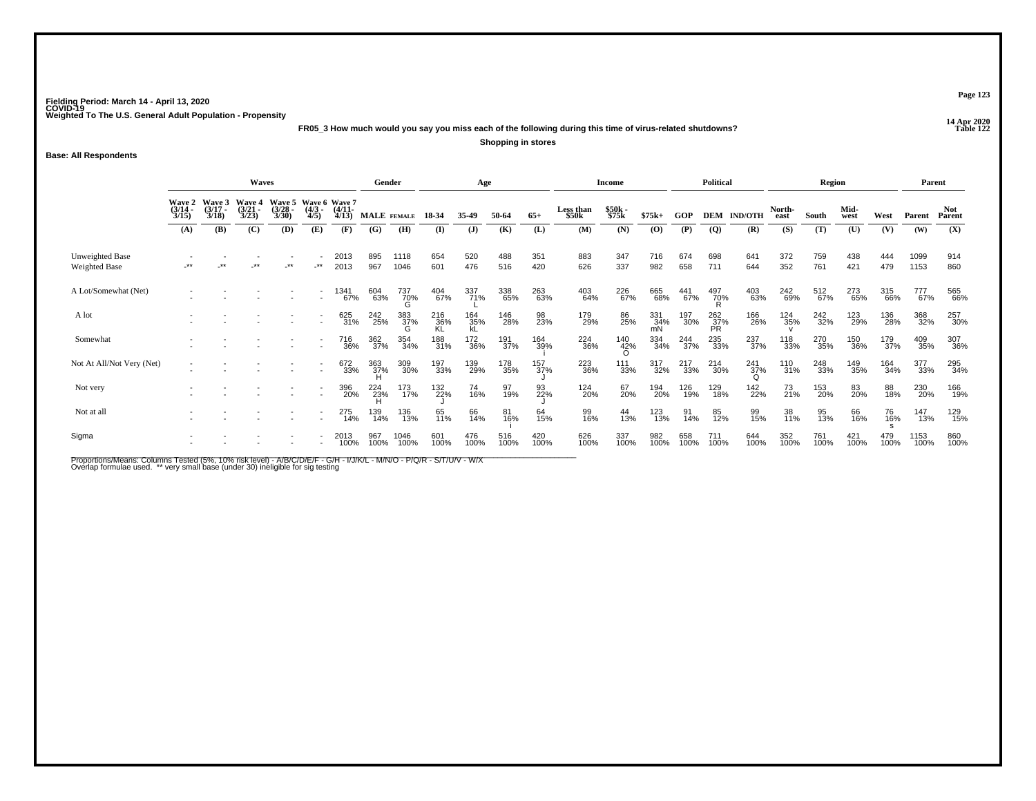**14 Apr 2020 FR05\_3 How much would you say you miss each of the following during this time of virus-related shutdowns?Shopping in stores**

**Base: All Respondents**

|                                  |                       |                                        | Waves                                  |                                               |                     |                       | Gender             |                 |                  | Age              |             |             |                    | Income          |                  |             | Political        |                 |                | Region      |              |             | Parent       |                |
|----------------------------------|-----------------------|----------------------------------------|----------------------------------------|-----------------------------------------------|---------------------|-----------------------|--------------------|-----------------|------------------|------------------|-------------|-------------|--------------------|-----------------|------------------|-------------|------------------|-----------------|----------------|-------------|--------------|-------------|--------------|----------------|
|                                  | $\frac{(3/14)}{3/15}$ | Wave 2 Wave 3<br>$\frac{(3/17)}{3/18}$ | <b>Wave 4</b><br>$\frac{(3/21)}{3/23}$ | Wave 5 Wave 6 Wave 7<br>$\frac{(3/28)}{3/30}$ | $\frac{(4/3)}{4/5}$ | $\frac{(4/11)}{4/13}$ | <b>MALE</b> FEMALE |                 | 18-34            | 35.49            | 50-64       | $65+$       | Less than<br>\$50k | \$50k<br>\$75k  | $$75k+$          | GOP         | <b>DEM</b>       | <b>IND/OTH</b>  | North-<br>east | South       | Mid-<br>west | West        | Parent       | Not.<br>Parent |
|                                  | (A)                   | (B)                                    | (C)                                    | (D)                                           | (E)                 | (F)                   | (G)                | (H)             | (I)              | $\mathbf{J}$     | (K)         | (L)         | (M)                | (N)             | (0)              | (P)         | $\overline{Q}$   | (R)             | (S)            | (T)         | (U)          | (V)         | (W)          | (X)            |
| Unweighted Base<br>Weighted Base | -**                   | $***$                                  | $***$                                  | $\cdot^{\star\star}$                          | -**                 | 2013<br>2013          | 895<br>967         | 1118<br>1046    | 654<br>601       | 520<br>476       | 488<br>516  | 351<br>420  | 883<br>626         | 347<br>337      | 716<br>982       | 674<br>658  | 698<br>711       | 641<br>644      | 372<br>352     | 759<br>761  | 438<br>421   | 444<br>479  | 1099<br>1153 | 914<br>860     |
| A Lot/Somewhat (Net)             |                       |                                        |                                        |                                               |                     | 1341<br>67%           | 604<br>63%         | 737<br>70%      | 404<br>67%       | 337<br>71%       | 338<br>65%  | 263<br>63%  | 403<br>64%         | 226<br>67%      | 665<br>68%       | 441<br>67%  | 497<br>70%<br>R  | 403<br>63%      | 242<br>69%     | 512<br>67%  | 273<br>65%   | 315<br>66%  | 777<br>67%   | 565<br>66%     |
| A lot                            |                       |                                        |                                        |                                               |                     | 625<br>31%            | 242<br>25%         | 383<br>37%<br>G | 216<br>36%<br>KL | 164<br>35%<br>kL | 146<br>28%  | 98<br>23%   | 179<br>29%         | 86<br>25%       | 331<br>34%<br>mN | 197<br>30%  | 262<br>37%<br>PR | 166<br>26%      | 124<br>35%     | 242<br>32%  | 123<br>29%   | 136<br>28%  | 368<br>32%   | 257<br>30%     |
| Somewhat                         |                       |                                        |                                        |                                               |                     | 716<br>36%            | 362<br>37%         | 354<br>34%      | 188<br>31%       | 172<br>36%       | 191<br>37%  | 164<br>39%  | 224<br>36%         | 140<br>42%<br>O | 334<br>34%       | 244<br>37%  | 235<br>33%       | 237<br>37%      | 118<br>33%     | 270<br>35%  | 150<br>36%   | 179<br>37%  | 409<br>35%   | 307<br>36%     |
| Not At All/Not Very (Net)        |                       |                                        |                                        |                                               | $\sim$              | 672<br>33%            | 363<br>37%         | 309<br>30%      | 197<br>33%       | 139<br>29%       | 178<br>35%  | 157<br>37%  | 223<br>36%         | 111<br>33%      | 317<br>32%       | 217<br>33%  | 214<br>30%       | $^{241}_{37\%}$ | 110<br>31%     | 248<br>33%  | 149<br>35%   | 164<br>34%  | 377<br>33%   | 295<br>34%     |
| Not very                         |                       |                                        |                                        |                                               |                     | 396<br>20%            | 224<br>23%<br>H    | 173<br>17%      | 132<br>22%       | 74<br>16%        | 97<br>19%   | 93<br>22%   | 124<br>20%         | 67<br>20%       | 194<br>20%       | 126<br>19%  | 129<br>18%       | 142<br>22%      | 73<br>21%      | 153<br>20%  | 83<br>20%    | 88<br>18%   | 230<br>20%   | 166<br>19%     |
| Not at all                       |                       |                                        |                                        |                                               |                     | 275<br>14%            | 139<br>14%         | 136<br>13%      | 65<br>11%        | 66<br>14%        | 81<br>16%   | 64<br>15%   | 99<br>16%          | 44<br>13%       | 123<br>13%       | 91<br>14%   | 85<br>12%        | 99<br>15%       | 38<br>11%      | 95<br>13%   | 66<br>16%    | 76<br>16%   | 147<br>13%   | 129<br>15%     |
| Sigma                            |                       |                                        |                                        |                                               |                     | 2013<br>100%          | 967<br>100%        | 1046<br>100%    | 601<br>100%      | 476<br>100%      | 516<br>100% | 420<br>100% | 626<br>100%        | 337<br>100%     | 982<br>100%      | 658<br>100% | 711<br>100%      | 644<br>100%     | 352<br>100%    | 761<br>100% | 421<br>100%  | 479<br>100% | 1153<br>100% | 860<br>100%    |

Proportions/Means: Columns Tested (5%, 10% risk level) - A/B/C/D/E/F - G/H - I/J/K/L - M/N/O - P/Q/R - S/T/U/V - W/X<br>Overlap formulae used. \*\* very small base (under 30) ineligible for sig testing

**Page 123**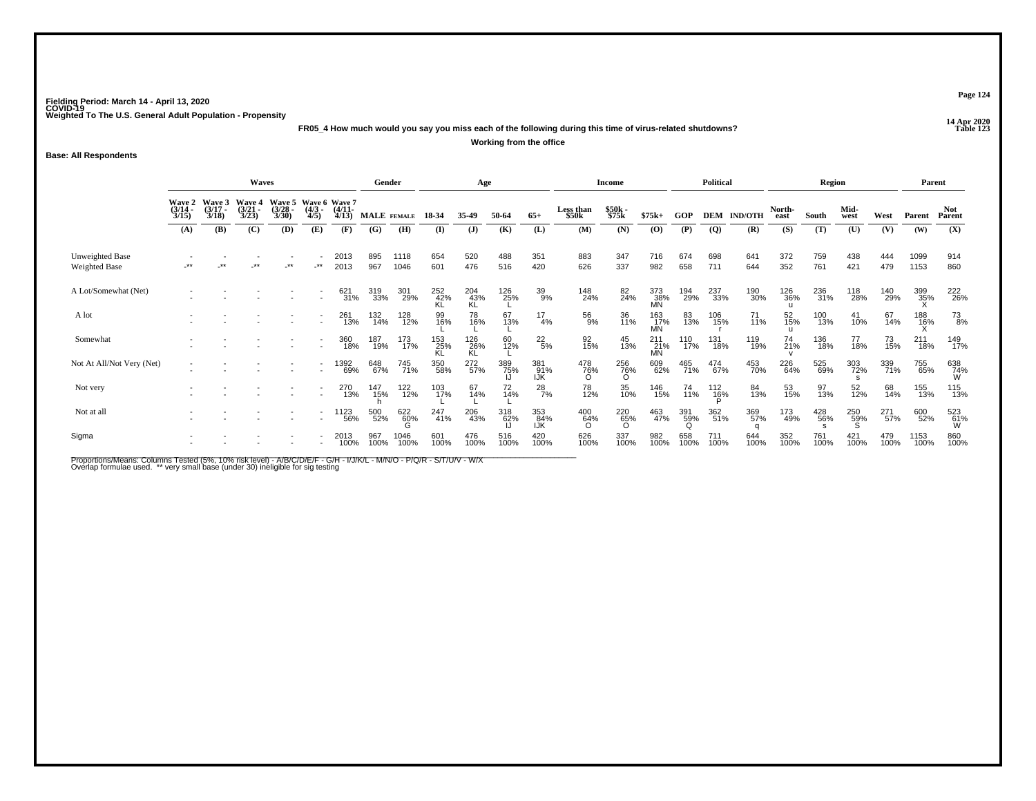**14 Apr 2020 FR05\_4 How much would you say you miss each of the following during this time of virus-related shutdowns?Working from the office**

**Base: All Respondents**

|                                         |                                 |                                 | <b>Waves</b>                    |                                 |                                      |                       | Gender             |              |                  | Age              |             |                   |                    | <b>Income</b>   |                         |             | <b>Political</b> |                |                | Region      |              |             | Parent       |                      |
|-----------------------------------------|---------------------------------|---------------------------------|---------------------------------|---------------------------------|--------------------------------------|-----------------------|--------------------|--------------|------------------|------------------|-------------|-------------------|--------------------|-----------------|-------------------------|-------------|------------------|----------------|----------------|-------------|--------------|-------------|--------------|----------------------|
|                                         | Wave 2<br>$\frac{(3/14)}{3/15}$ | Wave 3<br>$\frac{(3/17)}{3/18}$ | Wave 4<br>$\frac{(3/21)}{3/23}$ | Wave 5<br>$\frac{(3/28)}{3/30}$ | Wave 6 Wave 7<br>$\frac{(4/3)}{4/5}$ | $\frac{(4/11)}{4/13}$ | <b>MALE</b> FEMALE |              |                  | 35.49            | 50-64       | $65+$             | Less than<br>\$50k | \$50k<br>\$75k  | $$75k+$                 | GOP         | <b>DEM</b>       | <b>IND/OTH</b> | North-<br>east | South       | Mid-<br>west | West        | Parent       | <b>Not</b><br>Parent |
|                                         | (A)                             | (B)                             | (C)                             | (D)                             | (E)                                  | (F)                   | (G)                | (H)          | (I)              | (J)              | (K)         | (L)               | (M)                | (N)             | (0)                     | (P)         | $\overline{Q}$   | (R)            | (S)            | (T)         | (U)          | (V)         | (W)          | (X)                  |
| Unweighted Base<br><b>Weighted Base</b> | $***$                           | **                              | **                              | $\cdot$ **                      | $\cdot^{\star\star}$                 | 2013<br>2013          | 895<br>967         | 1118<br>1046 | 654<br>601       | 520<br>476       | 488<br>516  | 351<br>420        | 883<br>626         | 347<br>337      | 716<br>982              | 674<br>658  | 698<br>711       | 641<br>644     | 372<br>352     | 759<br>761  | 438<br>421   | 444<br>479  | 1099<br>1153 | 914<br>860           |
| A Lot/Somewhat (Net)                    |                                 |                                 |                                 |                                 |                                      | 621<br>31%            | 319<br>33%         | 301<br>29%   | 252<br>42%<br>ΚL | 204<br>43%<br>KL | 126<br>25%  | 39<br>9%          | 148<br>24%         | 82<br>24%       | 373<br>_38%<br>MN       | 194<br>29%  | 237<br>33%       | 190<br>30%     | 126<br>36%     | 236<br>31%  | 118<br>28%   | 140<br>29%  | 399<br>35%   | 222<br>26%           |
| A lot                                   |                                 |                                 |                                 |                                 |                                      | 261<br>13%            | 132<br>14%         | 128<br>12%   | 99<br>16%        | 78<br>16%        | 67<br>13%   | 17<br>4%          | 56<br>9%           | 36<br>11%       | 163<br>_17%<br>MN       | 83<br>13%   | 106<br>15%       | 71<br>11%      | 52<br>15%      | 100<br>13%  | 41<br>10%    | 67<br>14%   | 188<br>16%   | $^{73}_{8\%}$        |
| Somewhat                                |                                 |                                 |                                 |                                 | $\overline{\phantom{a}}$             | 360<br>18%            | 187<br>19%         | 173<br>17%   | 153<br>25%<br>KL | 126<br>26%<br>KL | 60<br>12%   | $^{22}_{\ 5\%}$   | 92<br>15%          | 45<br>13%       | 211<br>21%<br><b>MN</b> | 110<br>17%  | 131<br>18%       | 119<br>19%     | 74<br>21%      | 136<br>18%  | 77<br>18%    | 73<br>15%   | 211<br>18%   | 149<br>17%           |
| Not At All/Not Very (Net)               |                                 |                                 |                                 |                                 | $\overline{a}$                       | 1392<br>69%           | 648<br>67%         | 745<br>71%   | 350<br>58%       | 272<br>57%       | 389<br>75%  | 381<br>91%<br>IJK | 478<br>76%         | 256<br>76%<br>O | 609<br>62%              | 465<br>71%  | 474<br>67%       | 453<br>70%     | 226<br>64%     | 525<br>69%  | 303<br>72%   | 339<br>71%  | 755<br>65%   | 638<br>74%<br>W      |
| Not very                                |                                 |                                 |                                 |                                 |                                      | 270<br>13%            | 147<br>15%         | 122<br>12%   | 103<br>17%       | 67<br>14%        | 72<br>14%   | $^{28}_{7\%}$     | 78<br>12%          | 35<br>10%       | 146<br>15%              | 74<br>11%   | 112<br>16%       | 84<br>13%      | 53<br>15%      | 97<br>13%   | 52<br>12%    | 68<br>14%   | 155<br>13%   | 115<br>13%           |
| Not at all                              |                                 |                                 |                                 |                                 |                                      | 1123<br>56%           | 500<br>52%         | 622<br>60%   | 247<br>41%       | 206<br>43%       | 318<br>62%  | 353<br>84%<br>IJK | 400<br>64%         | 220<br>65%<br>Ö | 463<br>47%              | 391<br>59%  | 362<br>51%       | 369<br>57%     | 173<br>49%     | 428<br>56%  | 250<br>59%   | 271<br>57%  | 600<br>52%   | 523<br>61%<br>W      |
| Sigma                                   |                                 |                                 |                                 |                                 | $\overline{\phantom{a}}$             | 2013<br>100%          | 967<br>100%        | 1046<br>100% | 601<br>100%      | 476<br>100%      | 516<br>100% | 420<br>100%       | 626<br>100%        | 337<br>100%     | 982<br>100%             | 658<br>100% | 711<br>100%      | 644<br>100%    | 352<br>100%    | 761<br>100% | 421<br>100%  | 479<br>100% | 1153<br>100% | 860<br>100%          |

Proportions/Means: Columns Tested (5%, 10% risk level) - A/B/C/D/E/F - G/H - I/J/K/L - M/N/O - P/Q/R - S/T/U/V - W/X<br>Overlap formulae used. \*\* very small base (under 30) ineligible for sig testing

**Page 124**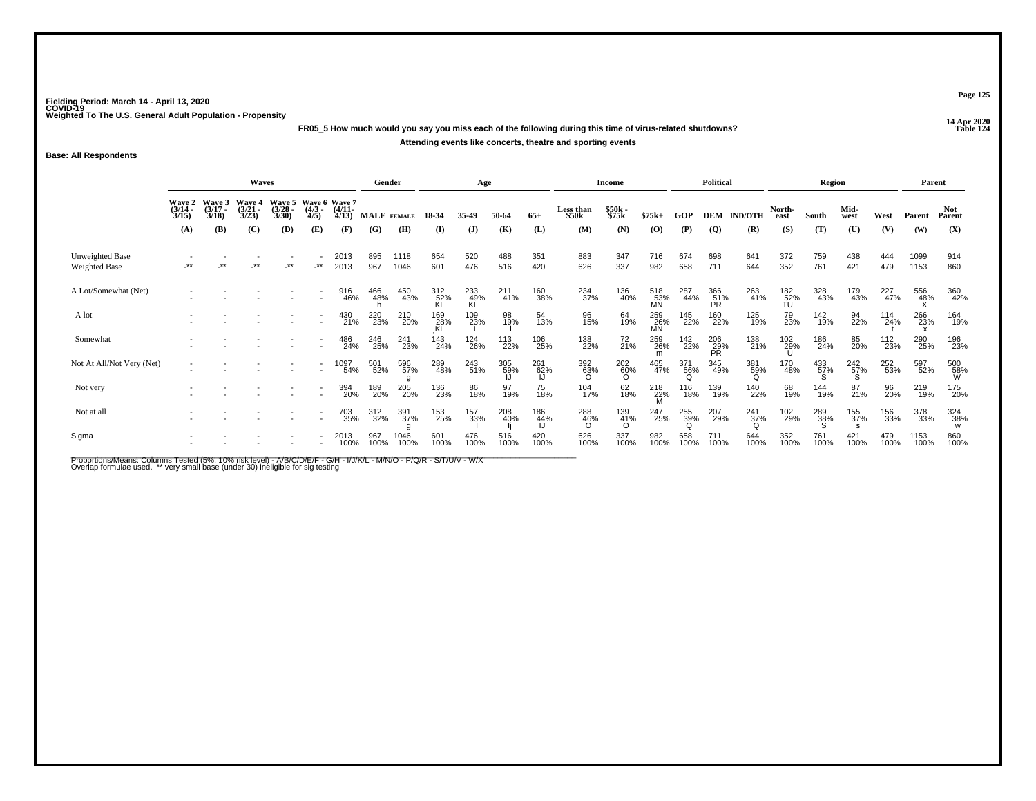**14 Apr 2020 FR05\_5 How much would you say you miss each of the following during this time of virus-related shutdowns?Attending events like concerts, theatre and sporting events**

**Base: All Respondents**

|                                  |                                 |                                 | <b>Waves</b>                           |                                       |                          |                                        | Gender             |              |                    | Age                |                 |             |                        | <b>Income</b>          |                  |                 | Political               |                    |                  | Region          |              |             | Parent       |                 |
|----------------------------------|---------------------------------|---------------------------------|----------------------------------------|---------------------------------------|--------------------------|----------------------------------------|--------------------|--------------|--------------------|--------------------|-----------------|-------------|------------------------|------------------------|------------------|-----------------|-------------------------|--------------------|------------------|-----------------|--------------|-------------|--------------|-----------------|
|                                  | Wave 2<br>$\frac{(3/14)}{3/15}$ | Wave 3<br>$\frac{(3/17)}{3/18}$ | <b>Wave 4</b><br>$\frac{(3/21)}{3/23}$ | <b>Wave 5</b><br>$\binom{3/28}{3/30}$ | $\frac{(4/3)}{4/5}$      | Wave 6 Wave 7<br>$\frac{(4/11)}{4/13}$ | <b>MALE</b> FEMALE |              | 18-34              | 35-49              | 50-64           | $65+$       | Less than<br>\$50k     | \$50k<br>\$75k         | $$75k+$          | GOP             | <b>DEM</b>              | <b>IND/OTH</b>     | North-<br>east   | South           | Mid-<br>west | West        | Parent       | Not.<br>Parent  |
|                                  | (A)                             | (B)                             | (C)                                    | (D)                                   | (E)                      | (F)                                    | (G)                | (H)          | (I)                | (J)                | (K)             | (L)         | (M)                    | (N)                    | (0)              | (P)             | $\overline{Q}$          | (R)                | (S)              | (T)             | (U)          | (V)         | (W)          | (X)             |
| Unweighted Base<br>Weighted Base | $***$                           | **                              | **                                     | $**$                                  | _**                      | 2013<br>2013                           | 895<br>967         | 1118<br>1046 | 654<br>601         | 520<br>476         | 488<br>516      | 351<br>420  | 883<br>626             | 347<br>337             | 716<br>982       | 674<br>658      | 698<br>711              | 641<br>644         | 372<br>352       | 759<br>761      | 438<br>421   | 444<br>479  | 1099<br>1153 | 914<br>860      |
| A Lot/Somewhat (Net)             |                                 |                                 |                                        |                                       | $\overline{\phantom{a}}$ | 916<br>46%                             | 466<br>48%         | 450<br>43%   | 312<br>52%         | $^{233}_{49\%}$ KL | $^{211}_{41\%}$ | 160<br>38%  | 234<br>37%             | 136<br>40%             | 518<br>53%<br>MN | 287<br>44%      | 366<br>51%<br>PR        | 263<br>41%         | 182<br>52%<br>TU | 328<br>43%      | 179<br>43%   | 227<br>47%  | 556<br>48%   | 360<br>42%      |
| A lot                            |                                 |                                 |                                        |                                       |                          | 430<br>21%                             | 220<br>23%         | 210<br>20%   | 169<br>_28%<br>jKL | 109<br>23%         | 98<br>19%       | 54<br>13%   | 96<br>15%              | 64<br>19%              | 259<br>26%<br>MN | 145<br>22%      | 160<br>22%              | 125<br>19%         | 79<br>23%        | 142<br>19%      | 94<br>22%    | 114<br>24%  | 266<br>23%   | 164<br>19%      |
| Somewhat                         |                                 |                                 |                                        |                                       |                          | 486<br>24%                             | 246<br>25%         | 241<br>23%   | 143<br>24%         | 124<br>26%         | 113<br>22%      | 106<br>25%  | 138<br>22%             | 72<br>21%              | 259<br>26%       | 142<br>22%      | 206<br>29%<br><b>PR</b> | 138<br>21%         | 102<br>29%       | 186<br>24%      | 85<br>20%    | 112<br>23%  | 290<br>25%   | 196<br>23%      |
| Not At All/Not Very (Net)        |                                 |                                 |                                        |                                       |                          | 1097<br>54%                            | 501<br>52%         | 596<br>57%   | 289<br>48%         | 243<br>51%         | 305<br>59%      | 261<br>62%  | 392<br>63%<br>$\Omega$ | 202<br>60%<br>$\Omega$ | 465<br>47%       | 371<br>56%<br>Q | 345<br>49%              | 381<br>59%<br>Ω    | 170<br>48%       | 433<br>57%<br>Տ | 242<br>57%   | 252<br>53%  | 597<br>52%   | 500<br>58%<br>W |
| Not very                         |                                 |                                 |                                        |                                       | $\overline{\phantom{a}}$ | 394<br>20%                             | 189<br>20%         | 205<br>20%   | 136<br>23%         | 86<br>18%          | 97<br>19%       | 75<br>18%   | 104<br>17%             | 62<br>18%              | 218<br>22%<br>M  | 116<br>18%      | 139<br>19%              | 140<br>22%         | 68<br>19%        | 144<br>19%      | 87<br>21%    | 96<br>20%   | 219<br>19%   | 175<br>20%      |
| Not at all                       |                                 |                                 |                                        |                                       |                          | 703<br>35%                             | 312<br>32%         | 391<br>37%   | 153<br>25%         | 157<br>33%         | 208<br>40%      | 186<br>44%  | 288<br>46%<br>$\Omega$ | 139<br>41%<br>O        | 247<br>25%       | 255<br>39%      | 207<br>29%              | $\frac{241}{37\%}$ | 102<br>29%       | 289<br>38%<br>S | 155<br>37%   | 156<br>33%  | 378<br>33%   | 324<br>38%<br>W |
| Sigma                            |                                 |                                 |                                        |                                       |                          | 2013<br>100%                           | 967<br>100%        | 1046<br>100% | 601<br>100%        | 476<br>100%        | 516<br>100%     | 420<br>100% | 626<br>100%            | 337<br>100%            | 982<br>100%      | 658<br>100%     | 711<br>100%             | 644<br>100%        | 352<br>100%      | 761<br>100%     | 421<br>100%  | 479<br>100% | 1153<br>100% | 860<br>100%     |

Proportions/Means: Columns Tested (5%, 10% risk level) - A/B/C/D/E/F - G/H - I/J/K/L - M/N/O - P/Q/R - S/T/U/V - W/X<br>Overlap formulae used. \*\* very small base (under 30) ineligible for sig testing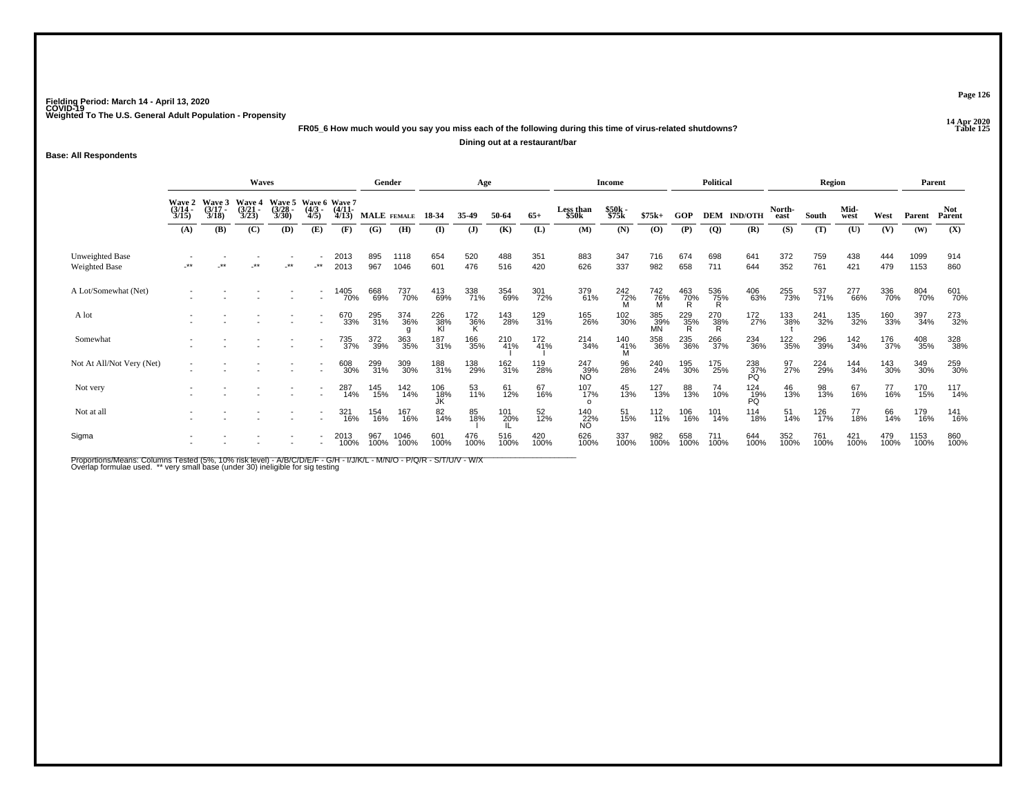**14 Apr 2020 FR05\_6 How much would you say you miss each of the following during this time of virus-related shutdowns?**

**Dining out at a restaurant/bar**

**Base: All Respondents**

|                                  |                       |                                        | Waves                                  |                       |                                                      |                       | Gender             |              |                  | Age          |             |             |                         | Income          |                  |                    | Political       |                    |                 | Region      |              |             | Parent       |                |
|----------------------------------|-----------------------|----------------------------------------|----------------------------------------|-----------------------|------------------------------------------------------|-----------------------|--------------------|--------------|------------------|--------------|-------------|-------------|-------------------------|-----------------|------------------|--------------------|-----------------|--------------------|-----------------|-------------|--------------|-------------|--------------|----------------|
|                                  | $\frac{(3/14)}{3/15}$ | Wave 2 Wave 3<br>$\frac{(3/17)}{3/18}$ | <b>Wave 4</b><br>$\frac{(3/21)}{3/23}$ | $\frac{(3/28)}{3/30}$ | Wave 5 Wave 6 Wave 7<br>$\frac{(4/3)}{4/5}$          | $\frac{(4/11)}{4/13}$ | <b>MALE</b> FEMALE |              | 18-34            | 35.49        | 50-64       | $65+$       | Less than<br>\$50k      | \$50k<br>\$75k  | $$75k+$          | GOP                |                 | <b>DEM IND/OTH</b> | North-<br>east  | South       | Mid-<br>west | West        | Parent       | Not.<br>Parent |
|                                  | (A)                   | (B)                                    | (C)                                    | (D)                   | (E)                                                  | (F)                   | (G)                | (H)          | (I)              | $\mathbf{J}$ | (K)         | (L)         | (M)                     | (N)             | (0)              | (P)                | $\overline{Q}$  | (R)                | (S)             | (T)         | (U)          | (V)         | (W)          | (X)            |
| Unweighted Base<br>Weighted Base | -**                   | $***$                                  | $***$                                  | $\cdot^{\star\star}$  | $.**$                                                | 2013<br>2013          | 895<br>967         | 1118<br>1046 | 654<br>601       | 520<br>476   | 488<br>516  | 351<br>420  | 883<br>626              | 347<br>337      | 716<br>982       | 674<br>658         | 698<br>711      | 641<br>644         | 372<br>352      | 759<br>761  | 438<br>421   | 444<br>479  | 1099<br>1153 | 914<br>860     |
| A Lot/Somewhat (Net)             |                       |                                        |                                        |                       | $\overline{\phantom{a}}$<br>$\overline{\phantom{a}}$ | 1405<br>70%           | 668<br>69%         | 737<br>70%   | 413<br>69%       | 338<br>71%   | 354<br>69%  | 301<br>72%  | 379<br>61%              | 242<br>72%<br>M | 742<br>76%<br>M  | $\frac{463}{70\%}$ | 536<br>75%<br>R | 406<br>63%         | 255<br>73%      | 537<br>71%  | 277<br>66%   | 336<br>70%  | 804<br>70%   | 601<br>70%     |
| A lot                            |                       |                                        |                                        |                       |                                                      | 670<br>33%            | 295<br>31%         | 374<br>36%   | 226<br>38%<br>Kl | 172<br>36%   | 143<br>28%  | 129<br>31%  | 165<br>26%              | 102<br>30%      | 385<br>39%<br>MN | 229<br>35%<br>R    | 270<br>38%<br>R | 172<br>27%         | 133<br>38%      | 241<br>32%  | 135<br>32%   | 160<br>33%  | 397<br>34%   | 273<br>32%     |
| Somewhat                         |                       |                                        |                                        |                       |                                                      | 735<br>37%            | 372<br>39%         | 363<br>35%   | 187<br>31%       | 166<br>35%   | 210<br>41%  | 172<br>41%  | 214<br>34%              | 140<br>41%<br>M | 358<br>36%       | 235<br>36%         | 266<br>37%      | 234<br>36%         | 122<br>35%      | 296<br>39%  | 142<br>34%   | 176<br>37%  | 408<br>35%   | 328<br>38%     |
| Not At All/Not Very (Net)        |                       |                                        |                                        |                       | $\overline{a}$                                       | 608<br>30%            | 299<br>31%         | 309<br>30%   | 188<br>31%       | 138<br>29%   | 162<br>31%  | 119<br>28%  | 247<br>39%<br><b>NO</b> | 96<br>28%       | 240<br>24%       | 195<br>30%         | 175<br>25%      | 238<br>37%<br>PQ   | 97 <sub>%</sub> | 224<br>29%  | 144<br>34%   | 143<br>30%  | 349<br>30%   | 259<br>30%     |
| Not very                         |                       |                                        |                                        |                       |                                                      | 287<br>14%            | 145<br>15%         | 142<br>14%   | 106<br>18%<br>JK | 53<br>11%    | 61<br>12%   | 67<br>16%   | 107<br>17%<br>$\Omega$  | 45<br>13%       | 127<br>13%       | 88<br>13%          | 74<br>10%       | $^{124}_{19\%}$    | 46<br>13%       | 98<br>13%   | 67<br>16%    | 77<br>16%   | 170<br>15%   | 117<br>14%     |
| Not at all                       |                       |                                        |                                        |                       |                                                      | 321<br>16%            | 154<br>16%         | 167<br>16%   | 82<br>14%        | 85<br>18%    | 101<br>20%  | 52<br>12%   | 140<br>22%<br><b>NO</b> | 51<br>15%       | 112<br>11%       | 106<br>16%         | 101<br>14%      | 114<br>18%         | 51<br>14%       | 126<br>17%  | 77<br>18%    | 66<br>14%   | 179<br>16%   | 141<br>16%     |
| Sigma                            |                       |                                        |                                        |                       |                                                      | 2013<br>100%          | 967<br>100%        | 1046<br>100% | 601<br>100%      | 476<br>100%  | 516<br>100% | 420<br>100% | 626<br>100%             | 337<br>100%     | 982<br>100%      | 658<br>100%        | 711<br>100%     | 644<br>100%        | 352<br>100%     | 761<br>100% | 421<br>100%  | 479<br>100% | 1153<br>100% | 860<br>100%    |

Proportions/Means: Columns Tested (5%, 10% risk level) - A/B/C/D/E/F - G/H - I/J/K/L - M/N/O - P/Q/R - S/T/U/V - W/X<br>Overlap formulae used. \*\* very small base (under 30) ineligible for sig testing

**Page 126**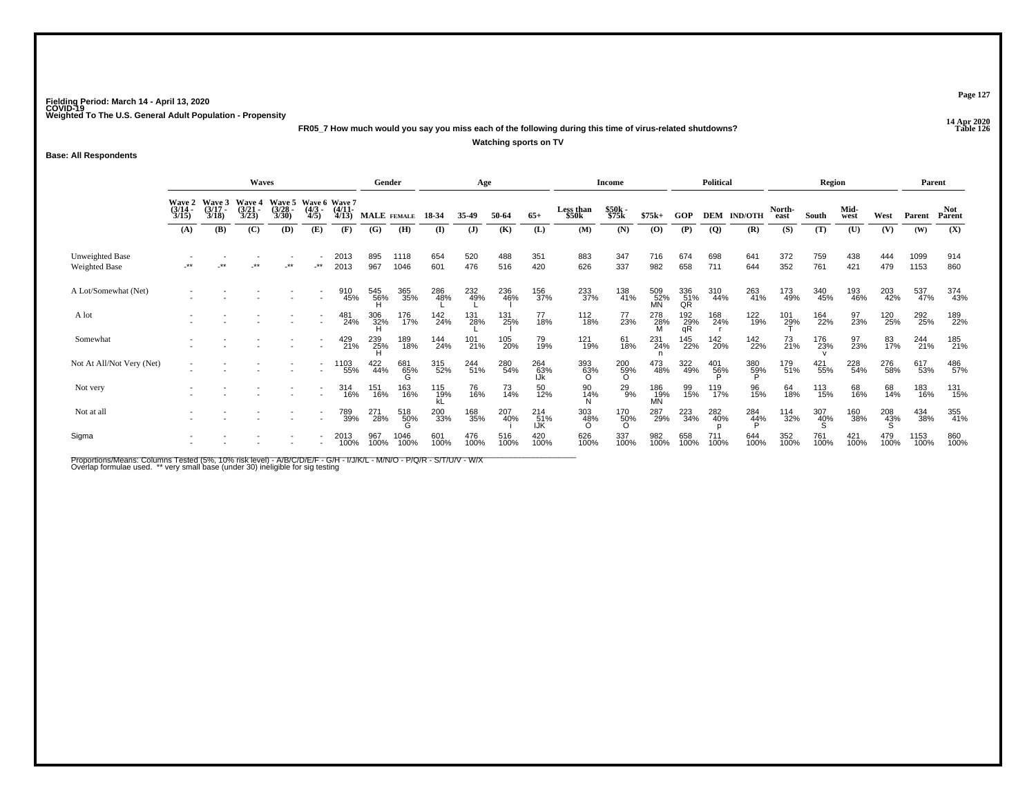**14 Apr 2020 FR05\_7 How much would you say you miss each of the following during this time of virus-related shutdowns?Watching sports on TV**

**Base: All Respondents**

|                                         |                                                                                                                                                                                                                                                      | <b>Waves</b> |       |            |                          | Gender       |                 |                 | Age              |             |             |                   | <b>Income</b>          |                        |                  | <b>Political</b>              |                  |                | Region              |             |              | Parent      |              |                      |
|-----------------------------------------|------------------------------------------------------------------------------------------------------------------------------------------------------------------------------------------------------------------------------------------------------|--------------|-------|------------|--------------------------|--------------|-----------------|-----------------|------------------|-------------|-------------|-------------------|------------------------|------------------------|------------------|-------------------------------|------------------|----------------|---------------------|-------------|--------------|-------------|--------------|----------------------|
|                                         | Wave 5 Wave 6 Wave 7<br>Wave 3<br><b>Wave 4</b><br><b>Wave 2</b><br>$\frac{(3/14)}{3/15}$<br>$\frac{(3/17)}{3/18}$<br>$\frac{(4/11)}{4/13}$<br>$\frac{(3/21)}{3/23}$<br>$\frac{(3/28)}{3/30}$<br>$\binom{4/3}{4/5}$<br>(C)<br>(B)<br>(D)<br>(A)<br>Œ |              |       |            |                          |              | MALE FEMALE     |                 | 18-34            | 35-49       | 50-64       | $65+$             | Less than<br>\$50k     | \$50k<br>\$75k         | $$75k+$          | <b>GOP</b>                    | <b>DEM</b>       | <b>IND/OTH</b> | North-<br>east      | South       | Mid-<br>west | West        | Parent       | <b>Not</b><br>Parent |
|                                         |                                                                                                                                                                                                                                                      |              |       |            |                          | (F)          | (G)             | (H)             | $\mathbf{I}$     | (J)         | (K)         | (L)               | (M)                    | (N)                    | (0)              | (P)                           | $\boldsymbol{Q}$ | (R)            | (S)                 | (T)         | (U)          | (V)         | (W)          | (X)                  |
| Unweighted Base<br><b>Weighted Base</b> | $***$                                                                                                                                                                                                                                                | **           | $***$ | $\cdot$ ** | $-***$                   | 2013<br>2013 | 895<br>967      | 1118<br>1046    | 654<br>601       | 520<br>476  | 488<br>516  | 351<br>420        | 883<br>626             | 347<br>337             | 716<br>982       | 674<br>658                    | 698<br>711       | 641<br>644     | 372<br>352          | 759<br>761  | 438<br>421   | 444<br>479  | 1099<br>1153 | 914<br>860           |
| A Lot/Somewhat (Net)                    |                                                                                                                                                                                                                                                      |              |       |            |                          | 910<br>45%   | 545<br>56%<br>H | 365<br>35%      | 286<br>48%       | 232<br>49%  | 236<br>46%  | 156<br>37%        | 233<br>37%             | 138<br>41%             | 509<br>52%<br>MN | 336<br>51%<br>QR              | 310<br>44%       | 263<br>41%     | 173<br>49%          | 340<br>45%  | 193<br>46%   | 203<br>42%  | 537<br>47%   | 374<br>43%           |
| A lot                                   |                                                                                                                                                                                                                                                      |              |       |            |                          | 481<br>24%   | 306<br>32%<br>H | 176<br>17%      | 142<br>24%       | 131<br>28%  | 131<br>25%  | 77<br>18%         | 112<br>18%             | 77<br>23%              | 278<br>28%<br>M  | $^{192}_{\substack{29\\ qR}}$ | 168<br>24%       | 122<br>19%     | 101<br>2 <u>9</u> % | 164<br>22%  | 97<br>23%    | 120<br>25%  | 292<br>25%   | 189<br>22%           |
| Somewhat                                |                                                                                                                                                                                                                                                      |              |       |            | $\overline{\phantom{a}}$ | 429<br>21%   | 239<br>25%<br>H | 189<br>18%      | 144<br>24%       | 101<br>21%  | 105<br>20%  | 79<br>19%         | 121<br>19%             | 61<br>18%              | 231<br>24%       | 145<br>22%                    | 142<br>20%       | 142<br>22%     | 73<br>21%           | 176<br>23%  | 97<br>23%    | 83<br>17%   | 244<br>21%   | 185<br>21%           |
| Not At All/Not Very (Net)               |                                                                                                                                                                                                                                                      |              |       |            | $\overline{\phantom{a}}$ | ' 103<br>55% | 422<br>44%      | 681<br>65%<br>G | 315<br>52%       | 244<br>51%  | 280<br>54%  | 264<br>63%        | 393<br>63%<br>$\Omega$ | 200<br>59%<br>O        | 473<br>48%       | 322<br>49%                    | $^{401}_{~56\%}$ | 380<br>59%     | 179<br>51%          | 421<br>55%  | 228<br>54%   | 276<br>58%  | 617<br>53%   | 486<br>57%           |
| Not very                                |                                                                                                                                                                                                                                                      |              |       |            |                          | 314<br>16%   | 151<br>16%      | 163<br>16%      | 115<br>19%<br>kL | 76<br>16%   | 73<br>14%   | 50<br>12%         | 90<br>14%<br>N         | 29<br>9%               | 186<br>19%<br>MN | 99<br>15%                     | 119<br>17%       | 96<br>15%      | 64<br>18%           | 113<br>15%  | 68<br>16%    | 68<br>14%   | 183<br>16%   | 131<br>15%           |
| Not at all                              |                                                                                                                                                                                                                                                      |              |       |            |                          | 789<br>39%   | 271<br>28%      | 518<br>50%      | 200<br>33%       | 168<br>35%  | 207<br>40%  | 214<br>51%<br>IJK | 303<br>48%<br>∩        | 170<br>50%<br>$\Omega$ | 287<br>29%       | 223<br>34%                    | 282<br>40%       | 284<br>44%     | 114<br>32%          | 307<br>40%  | 160<br>38%   | 208<br>43%  | 434<br>38%   | 355<br>41%           |
| Sigma                                   |                                                                                                                                                                                                                                                      |              |       |            |                          | 2013<br>100% | 967<br>100%     | 1046<br>100%    | 601<br>100%      | 476<br>100% | 516<br>100% | 420<br>100%       | 626<br>100%            | 337<br>100%            | 982<br>100%      | 658<br>100%                   | 711<br>100%      | 644<br>100%    | 352<br>100%         | 761<br>100% | 421<br>100%  | 479<br>100% | 1153<br>100% | 860<br>100%          |

Proportions/Means: Columns Tested (5%, 10% risk level) - A/B/C/D/E/F - G/H - I/J/K/L - M/N/O - P/Q/R - S/T/U/V - W/X<br>Overlap formulae used. \*\* very small base (under 30) ineligible for sig testing

**Page 127**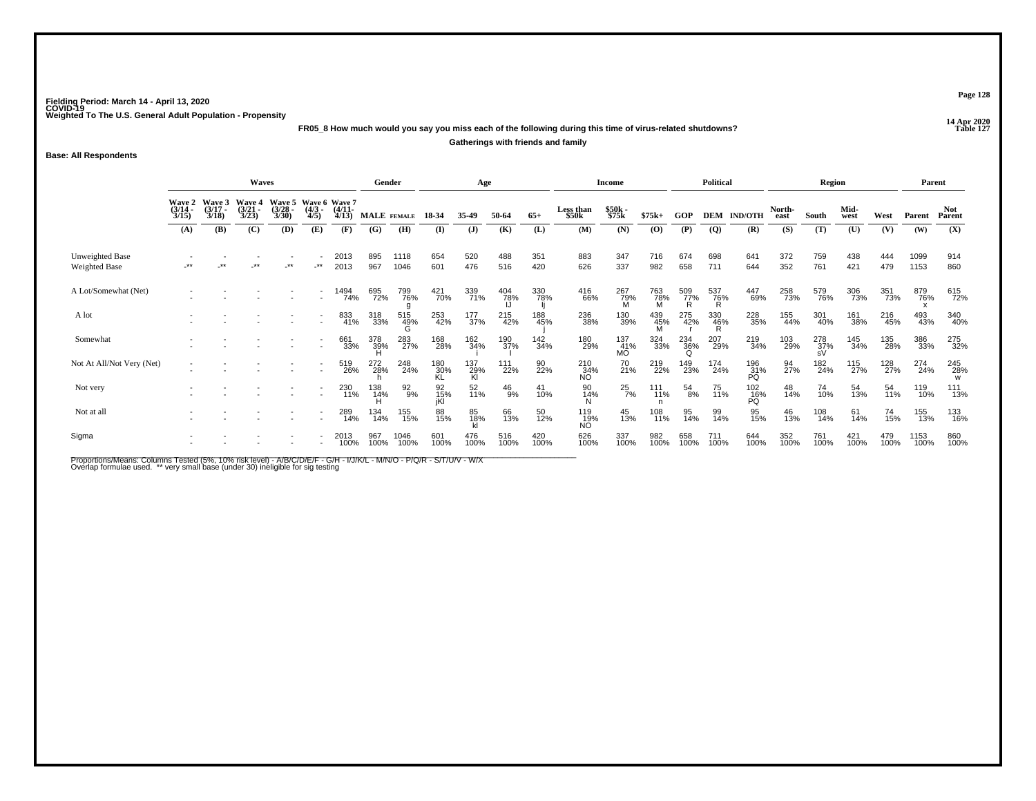**14 Apr 2020 FR05\_8 How much would you say you miss each of the following during this time of virus-related shutdowns?**

**Gatherings with friends and family**

**Base: All Respondents**

|                                  |                                        |                                 | <b>Waves</b>                           |                                |                          |                                        | Gender          |                  |                  | Age              |                  |             |                           | Income                |                 |                 | Political       |                    |                | Region           |              |             | Parent       |                |
|----------------------------------|----------------------------------------|---------------------------------|----------------------------------------|--------------------------------|--------------------------|----------------------------------------|-----------------|------------------|------------------|------------------|------------------|-------------|---------------------------|-----------------------|-----------------|-----------------|-----------------|--------------------|----------------|------------------|--------------|-------------|--------------|----------------|
|                                  | <b>Wave 2</b><br>$\frac{(3/14)}{3/15}$ | Wave 3<br>$\frac{(3/17)}{3/18}$ | <b>Wave 4</b><br>$\frac{(3/21)}{3/23}$ | Wave 5<br>$\binom{3/28}{3/30}$ | $\frac{(4/3)}{4/5}$      | Wave 6 Wave 7<br>$\frac{(4/11)}{4/13}$ | MALE FEMALE     |                  | 18-34            | 35-49            | 50-64            | $65+$       | <b>Less than</b><br>\$50k | \$50k<br>\$75k        | $$75k+$         | <b>GOP</b>      |                 | <b>DEM IND/OTH</b> | North-<br>east | South            | Mid-<br>west | West        | Parent       | Not.<br>Parent |
|                                  | (A)                                    | (B)                             | (C)                                    | (D)                            | (E)                      | (F)                                    | (G)             | (H)              | (I)              | $\mathbf{J}$     | (K)              | (L)         | (M)                       | (N)                   | (0)             | (P)             | $\overline{Q}$  | (R)                | (S)            | (T)              | (U)          | (V)         | (W)          | (X)            |
| Unweighted Base<br>Weighted Base | $^{\star\star}$                        | **                              |                                        | $\star\star$                   | $\cdot^{\star\star}$     | 2013<br>2013                           | 895<br>967      | 1118<br>1046     | 654<br>601       | 520<br>476       | 488<br>516       | 351<br>420  | 883<br>626                | 347<br>337            | 716<br>982      | 674<br>658      | 698<br>711      | 641<br>644         | 372<br>352     | 759<br>761       | 438<br>421   | 444<br>479  | 1099<br>1153 | 914<br>860     |
| A Lot/Somewhat (Net)             |                                        |                                 |                                        |                                | ٠                        | 1494<br>74%                            | 695<br>72%      | 799<br>76%       | 421<br>70%       | 339<br>71%       | 404<br>78%<br>IJ | 330<br>78%  | 416<br>66%                | 267<br>79%<br>M       | 763<br>78%<br>M | 509<br>77%<br>R | 537<br>76%<br>R | 447<br>69%         | 258<br>73%     | 579<br>76%       | 306<br>73%   | 351<br>73%  | 879<br>76%   | 615<br>72%     |
| A lot                            |                                        |                                 |                                        |                                |                          | 833<br>41%                             | 318<br>33%      | 515<br>49%<br>G  | 253<br>42%       | 177<br>37%       | 215<br>42%       | 188<br>45%  | 236<br>38%                | 130<br>39%            | $439$<br>$45\%$ | 275<br>42%      | 330<br>46%<br>R | 228<br>35%         | 155<br>44%     | 301<br>40%       | 161<br>38%   | 216<br>45%  | 493<br>43%   | 340<br>40%     |
| Somewhat                         |                                        |                                 |                                        |                                | $\overline{\phantom{a}}$ | 661<br>33%                             | 378<br>39%<br>H | 283<br>27%       | 168<br>28%       | 162<br>34%       | 190<br>37%       | 142<br>34%  | 180<br>29%                | $^{137}_{41\%}$<br>MÓ | 324<br>33%      | 234<br>36%<br>Q | 207<br>29%      | 219<br>34%         | 103<br>29%     | 278<br>37%<br>sV | 145<br>34%   | 135<br>28%  | 386<br>33%   | 275<br>32%     |
| Not At All/Not Very (Net)        |                                        |                                 |                                        |                                | $\sim$                   | 519<br>26%                             | 272<br>28%      | 248<br>24%       | 180<br>30%       | 137<br>29%<br>Kl | 111<br>22%       | 90<br>22%   | 210<br>34%<br>NO.         | 70<br>21%             | 219<br>22%      | 149<br>23%      | 174<br>24%      | 196<br>31%<br>PQ   | 94<br>27%      | 182<br>24%       | 115<br>27%   | 128<br>27%  | 274<br>24%   | 245<br>28%     |
| Not very                         |                                        |                                 |                                        |                                |                          | 230<br>11%                             | 138<br>14%      | $\frac{92}{9\%}$ | 92<br>15%<br>iKl | 52<br>11%        | $^{46}_{9%}$     | 41<br>10%   | 90<br>14%<br>N            | $^{25}_{7\%}$         | 111<br>11%      | 54<br>8%        | 75<br>11%       | 102<br>16%<br>PQ   | 48<br>14%      | 74<br>10%        | 54<br>13%    | 54<br>11%   | 119<br>10%   | 111<br>13%     |
| Not at all                       |                                        |                                 |                                        |                                |                          | 289<br>14%                             | 134<br>14%      | 155<br>15%       | 88<br>15%        | 85<br>18%        | 66<br>13%        | 50<br>12%   | 119<br>19%<br>NÓ.         | 45<br>13%             | 108<br>11%      | 95<br>14%       | 99<br>14%       | 95<br>15%          | 46<br>13%      | 108<br>14%       | 61<br>14%    | 74<br>15%   | 155<br>13%   | 133<br>16%     |
| Sigma                            |                                        |                                 |                                        |                                |                          | 2013<br>100%                           | 967<br>100%     | 1046<br>100%     | 601<br>100%      | 476<br>100%      | 516<br>100%      | 420<br>100% | 626<br>100%               | 337<br>100%           | 982<br>100%     | 658<br>100%     | 711<br>100%     | 644<br>100%        | 352<br>100%    | 761<br>100%      | 421<br>100%  | 479<br>100% | 1153<br>100% | 860<br>100%    |

Proportions/Means: Columns Tested (5%, 10% risk level) - A/B/C/D/E/F - G/H - I/J/K/L - M/N/O - P/Q/R - S/T/U/V - W/X<br>Overlap formulae used. \*\* very small base (under 30) ineligible for sig testing

**Page 128**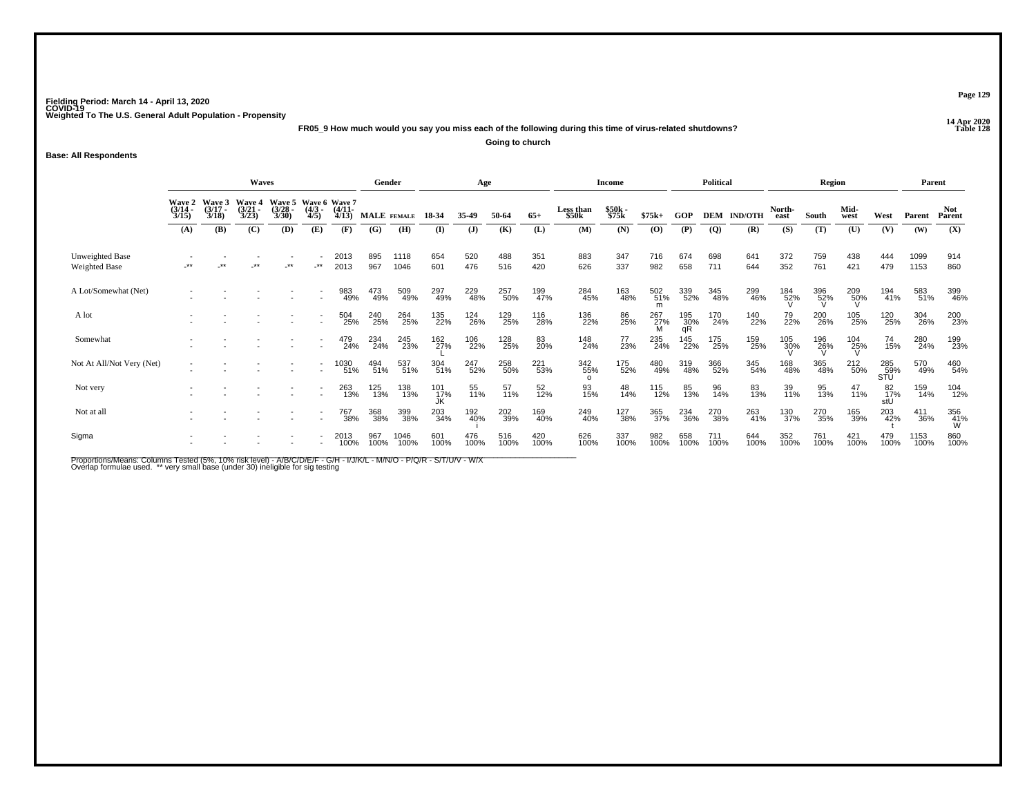**14 Apr 2020 FR05\_9 How much would you say you miss each of the following during this time of virus-related shutdowns?Going to church**

**Base: All Respondents**

|                                  |                                                                                                                                                                             | <b>Waves</b> |    |       |                      | Gender                                 |                    |              | Age              |              |             |             | Income                 |                |             | <b>Political</b> |                |                    | <b>Region</b>  |                    |              | Parent            |                    |                      |
|----------------------------------|-----------------------------------------------------------------------------------------------------------------------------------------------------------------------------|--------------|----|-------|----------------------|----------------------------------------|--------------------|--------------|------------------|--------------|-------------|-------------|------------------------|----------------|-------------|------------------|----------------|--------------------|----------------|--------------------|--------------|-------------------|--------------------|----------------------|
|                                  | <b>Wave 5</b><br>Wave 3<br>Wave 2<br>Wave 4<br>$\frac{(3/14)}{3/15}$<br>$\frac{(3/17)}{3/18}$<br>$\frac{(3/28)}{3/30}$<br>$\frac{(3/21)}{3/23}$<br>(C)<br>(A)<br>(B)<br>(D) |              |    |       |                      | Wave 6 Wave 7<br>$\frac{(4/11)}{4/13}$ | <b>MALE</b> FEMALE |              | 18-34            | 35-49        | 50-64       | $65+$       | Less than<br>\$50k     | \$50k<br>\$75k | $$75k+$     | GOP              |                | <b>DEM IND/OTH</b> | North-<br>east | South              | Mid-<br>west | West              | Parent             | <b>Not</b><br>Parent |
|                                  |                                                                                                                                                                             |              |    |       | (E)                  | (F)                                    | (G)                | (H)          | (I)              | $\mathbf{J}$ | (K)         | (L)         | (M)                    | (N)            | (0)         | (P)              | $\overline{Q}$ | (R)                | (S)            | (T)                | (U)          | (V)               | (W)                | (X)                  |
| Unweighted Base<br>Weighted Base | **                                                                                                                                                                          | **           | ** | $***$ | $\cdot^{\star\star}$ | 2013<br>2013                           | 895<br>967         | 1118<br>1046 | 654<br>601       | 520<br>476   | 488<br>516  | 351<br>420  | 883<br>626             | 347<br>337     | 716<br>982  | 674<br>658       | 698<br>711     | 641<br>644         | 372<br>352     | 759<br>761         | 438<br>421   | 444<br>479        | 1099<br>1153       | 914<br>860           |
| A Lot/Somewhat (Net)             |                                                                                                                                                                             |              |    |       |                      | 983<br>49%                             | 473<br>49%         | 509<br>49%   | 297<br>49%       | 229<br>48%   | 257<br>50%  | 199<br>47%  | 284<br>45%             | 163<br>48%     | 502<br>51%  | 339<br>52%       | 345<br>48%     | 299<br>46%         | 184<br>52%     | 396<br>52%         | 209<br>50%   | 194<br>41%        | 583<br>51%         | 399<br>46%           |
| A lot                            |                                                                                                                                                                             |              |    |       |                      | 504<br>25%                             | 240<br>25%         | 264<br>25%   | 135<br>22%       | 124<br>26%   | 129<br>25%  | 116<br>28%  | 136<br>22%             | 86<br>25%      | 267<br>27%  | 195<br>30%<br>qR | 170<br>24%     | 140<br>22%         | 79<br>22%      | 200<br>26%         | 105<br>25%   | 120<br>25%        | 304<br>26%         | 200<br>23%           |
| Somewhat                         |                                                                                                                                                                             |              |    |       |                      | 479<br>24%                             | 234<br>24%         | 245<br>23%   | 162<br>27%       | 106<br>22%   | 128<br>25%  | 83<br>20%   | 148<br>24%             | 77<br>23%      | 235<br>24%  | 145<br>22%       | 175<br>25%     | 159<br>25%         | 105<br>30%     | $\frac{196}{26\%}$ | 104<br>25%   | 74<br>15%         | 280<br>24%         | 199<br>23%           |
| Not At All/Not Very (Net)        |                                                                                                                                                                             |              |    |       |                      | '030<br>51%                            | 494<br>51%         | 537<br>51%   | 304<br>51%       | 247<br>52%   | 258<br>50%  | 221<br>53%  | 342<br>55%<br>$\Omega$ | 175<br>52%     | 480<br>49%  | 319<br>48%       | 366<br>52%     | 345<br>54%         | 168<br>48%     | 365<br>48%         | 212<br>50%   | 285<br>59%<br>SŤŬ | 570<br>49%         | 460<br>54%           |
| Not very                         |                                                                                                                                                                             |              |    |       |                      | 263<br>13%                             | 125<br>13%         | 138<br>13%   | 101<br>17%<br>JK | 55<br>11%    | 57<br>11%   | 52<br>12%   | 93<br>15%              | 48<br>14%      | 115<br>12%  | 85<br>13%        | 96<br>14%      | 83<br>13%          | 39<br>11%      | 95<br>13%          | 47<br>11%    | 82<br>17%<br>stU  | 159<br>14%         | 104<br>12%           |
| Not at all                       |                                                                                                                                                                             |              |    |       |                      | 767<br>38%                             | 368<br>38%         | 399<br>38%   | 203<br>34%       | 192<br>40%   | 202<br>39%  | 169<br>40%  | 249<br>40%             | 127<br>38%     | 365<br>37%  | 234<br>36%       | 270<br>38%     | 263<br>41%         | 130<br>37%     | 270<br>35%         | 165<br>39%   | 203<br>42%        | $\frac{411}{36\%}$ | 356<br>41%<br>W      |
| Sigma                            |                                                                                                                                                                             |              |    |       |                      | 2013<br>100%                           | 967<br>100%        | 1046<br>100% | 601<br>100%      | 476<br>100%  | 516<br>100% | 420<br>100% | 626<br>100%            | 337<br>100%    | 982<br>100% | 658<br>100%      | 711<br>100%    | 644<br>100%        | 352<br>100%    | 761<br>100%        | 421<br>100%  | 479<br>100%       | 1153<br>100%       | 860<br>100%          |

Proportions/Means: Columns Tested (5%, 10% risk level) - A/B/C/D/E/F - G/H - I/J/K/L - M/N/O - P/Q/R - S/T/U/V - W/X<br>Overlap formulae used. \*\* very small base (under 30) ineligible for sig testing

**Page 129**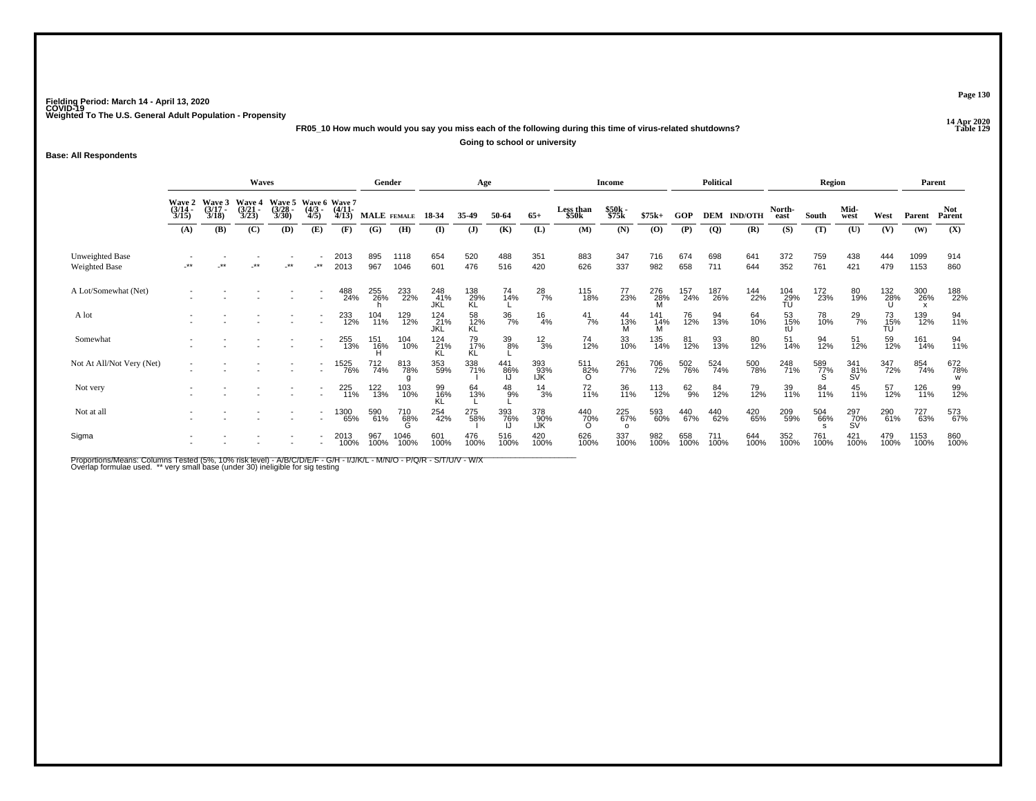**14 Apr 2020 FR05\_10 How much would you say you miss each of the following during this time of virus-related shutdowns?**

**Going to school or university**

#### **Base: All Respondents**

|                                  |                                 |                                 | Waves                                  |                                 |                                      |                       | Gender             |              |                    | Age              |                  |                   |                                 | <b>Income</b>          |                 |              | <b>Political</b> |                |                  | Region      |                  |                 | Parent       |                      |
|----------------------------------|---------------------------------|---------------------------------|----------------------------------------|---------------------------------|--------------------------------------|-----------------------|--------------------|--------------|--------------------|------------------|------------------|-------------------|---------------------------------|------------------------|-----------------|--------------|------------------|----------------|------------------|-------------|------------------|-----------------|--------------|----------------------|
|                                  | Wave 2<br>$\frac{(3/14)}{3/15}$ | Wave 3<br>$\frac{(3/17)}{3/18}$ | <b>Wave 4</b><br>$\frac{(3/21)}{3/23}$ | Wave 5<br>$\frac{(3/28)}{3/30}$ | Wave 6 Wave 7<br>$\frac{(4/3)}{4/5}$ | $\frac{(4/11)}{4/13}$ | <b>MALE</b> FEMALE |              | 18-34              | 35-49            | 50-64            | $65+$             | Less than<br>\$50k              | \$50k<br>\$75k         | $$75k+$         | GOP          | DEM              | <b>IND/OTH</b> | North-<br>east   | South       | Mid-<br>west     | West            | Parent       | <b>Not</b><br>Parent |
|                                  | (A)                             | (B)                             | (C)                                    | (D)                             | (E)                                  | (F)                   | (G)                | (H)          | (I)                | $\mathbf{J}$     | (K)              | (L)               | (M)                             | (N)                    | (0)             | (P)          | $\overline{Q}$   | (R)            | (S)              | (T)         | (U)              | (V)             | (W)          | (X)                  |
| Unweighted Base<br>Weighted Base | -**                             | $***$                           | -**                                    | $\cdot^{\star\star}$            | $\cdot$ **                           | 2013<br>2013          | 895<br>967         | 1118<br>1046 | 654<br>601         | 520<br>476       | 488<br>516       | 351<br>420        | 883<br>626                      | 347<br>337             | 716<br>982      | 674<br>658   | 698<br>711       | 641<br>644     | 372<br>352       | 759<br>761  | 438<br>421       | 444<br>479      | 1099<br>1153 | 914<br>860           |
| A Lot/Somewhat (Net)             |                                 |                                 |                                        |                                 |                                      | 488<br>24%            | 255<br>26%         | 233<br>22%   | 248<br>41%<br>JKL  | 138<br>29%<br>KL | 74<br>14%        | $^{28}_{7\%}$     | 115<br>18%                      | 77<br>23%              | 276<br>28%      | 157<br>24%   | 187<br>26%       | 144<br>22%     | 104<br>29%<br>TU | 172<br>23%  | 80<br>19%        | 132<br>28%      | 300<br>26%   | 188<br>22%           |
| A lot                            |                                 |                                 |                                        |                                 | $\overline{a}$                       | 233<br>12%            | 104<br>11%         | 129<br>12%   | 124<br>_21%<br>JKL | 58<br>12%<br>KL  | $\frac{36}{7\%}$ | $\frac{16}{4%}$   | $\frac{41}{7\%}$                | 44<br>13%<br>M         | 141<br>14%<br>M | 76<br>12%    | 94<br>13%        | 64<br>10%      | 53<br>15%<br>tU  | 78<br>10%   | $^{29}_{7\%}$    | 73<br>15%<br>TU | 139<br>12%   | 94<br>11%            |
| Somewhat                         |                                 |                                 |                                        |                                 | $\overline{a}$                       | 255<br>13%            | 151<br>16%         | 104<br>10%   | $^{124}_{21\%}$ KL | 79<br>17%<br>KL  | $\frac{39}{8%}$  | $\frac{12}{3%}$   | 74<br>12%                       | 33<br>10%              | 135<br>14%      | 81<br>12%    | 93<br>13%        | 80<br>12%      | 51<br>14%        | 94<br>12%   | 51<br>12%        | 59<br>12%       | 161<br>14%   | 94<br>11%            |
| Not At All/Not Very (Net)        |                                 |                                 |                                        |                                 | $\overline{\phantom{a}}$             | 1525<br>76%           | 712<br>74%         | 813<br>78%   | 353<br>59%         | 338<br>71%       | 441<br>86%       | 393<br>93%<br>IJK | 511<br>82%<br>$\Omega$          | 261<br>77%             | 706<br>72%      | 502<br>76%   | 524<br>74%       | 500<br>78%     | 248<br>71%       | 589<br>77%  | 341<br>81%<br>SV | 347<br>72%      | 854<br>74%   | 672<br>78%<br>W      |
| Not very                         |                                 |                                 |                                        |                                 | $\overline{a}$                       | 225<br>11%            | 122<br>13%         | 103<br>10%   | 99<br>16%<br>KL    | 64<br>13%        | $^{48}_{9%}$     | $\frac{14}{3%}$   | 72<br>11%                       | 36<br>11%              | 113<br>12%      | $^{62}_{9%}$ | 84<br>12%        | 79<br>12%      | 39<br>11%        | 84<br>11%   | 45<br>11%        | 57<br>12%       | 126<br>11%   | 99<br>12%            |
| Not at all                       |                                 |                                 |                                        |                                 |                                      | 1300<br>65%           | 590<br>61%         | 710<br>68%   | 254<br>42%         | 275<br>58%       | 393<br>76%       | 378<br>90%<br>IJŔ | 440<br>7 <u>0</u> %<br>$\Omega$ | 225<br>67%<br>$\Omega$ | 593<br>60%      | 440<br>67%   | 440<br>62%       | 420<br>65%     | 209<br>59%       | 504<br>66%  | 297<br>70%<br>SV | 290<br>61%      | 727<br>63%   | 573<br>67%           |
| Sigma                            |                                 |                                 |                                        |                                 |                                      | 2013<br>100%          | 967<br>100%        | 1046<br>100% | 601<br>100%        | 476<br>100%      | 516<br>100%      | 420<br>100%       | 626<br>100%                     | 337<br>100%            | 982<br>100%     | 658<br>100%  | 711<br>100%      | 644<br>100%    | 352<br>100%      | 761<br>100% | 421<br>100%      | 479<br>100%     | 1153<br>100% | 860<br>100%          |

Proportions/Means: Columns Tested (5%, 10% risk level) - A/B/C/D/E/F - G/H - I/J/K/L - M/N/O - P/Q/R - S/T/U/V - W/X<br>Overlap formulae used. \*\* very small base (under 30) ineligible for sig testing

**Page 130**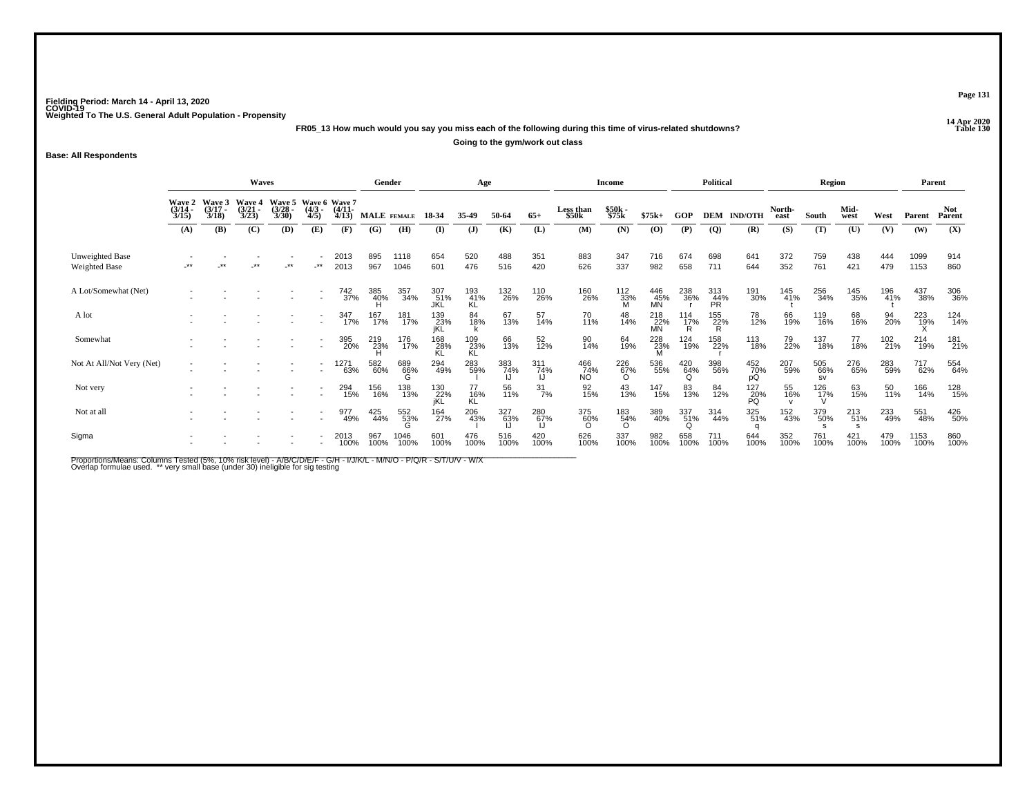**14 Apr 2020 FR05\_13 How much would you say you miss each of the following during this time of virus-related shutdowns?**

**Going to the gym/work out class**

**Base: All Respondents**

|                                         |                                                                                                                                                                                                                |       | Waves |      |                          |              | Gender      |              |                    | Age              |             |                    |                    | <b>Income</b>          |                  |                        | <b>Political</b> |                    |                | Region                  |              |             | Parent       |                      |
|-----------------------------------------|----------------------------------------------------------------------------------------------------------------------------------------------------------------------------------------------------------------|-------|-------|------|--------------------------|--------------|-------------|--------------|--------------------|------------------|-------------|--------------------|--------------------|------------------------|------------------|------------------------|------------------|--------------------|----------------|-------------------------|--------------|-------------|--------------|----------------------|
|                                         | Wave 3<br>Wave 5<br>Wave 6 Wave 7<br><b>Wave 2</b><br>Wave 4<br>$\frac{(3/14)}{3/15}$<br>$(3/17 -$<br>$\binom{3/21}{3/23}$<br>$\frac{(3/28)}{3/30}$<br>$\frac{(4/3)}{4/5}$<br>3/18<br>(B)<br>(C)<br>(D)<br>(A) |       |       |      |                          |              | MALE FEMALE |              | 18-34              | 35-49            | 50-64       | $65+$              | Less than<br>\$50k | \$50k<br>\$75k         | $$75k+$          | GOP                    |                  | <b>DEM IND/OTH</b> | North-<br>east | South                   | Mid-<br>west | West        | Parent       | <b>Not</b><br>Parent |
|                                         |                                                                                                                                                                                                                |       |       |      | (E)                      | (F)          | (G)         | (H)          | $($ I              | $\mathbf{J}$     | (K)         | (L)                | (M)                | (N)                    | (0)              | (P)                    | <b>(Q)</b>       | (R)                | (S)            | (T)                     | (U)          | (V)         | (W)          | (X)                  |
| <b>Unweighted Base</b><br>Weighted Base | -**                                                                                                                                                                                                            | $***$ | $***$ | $**$ | $-***$                   | 2013<br>2013 | 895<br>967  | 1118<br>1046 | 654<br>601         | 520<br>476       | 488<br>516  | 351<br>420         | 883<br>626         | 347<br>337             | 716<br>982       | 674<br>658             | 698<br>711       | 641<br>644         | 372<br>352     | 759<br>761              | 438<br>421   | 444<br>479  | 1099<br>1153 | 914<br>860           |
| A Lot/Somewhat (Net)                    |                                                                                                                                                                                                                |       |       |      | ٠                        | 742<br>37%   | 385<br>40%  | 357<br>34%   | 307<br>51%<br>JKL  | 193<br>41%<br>ΚĹ | 132<br>26%  | 110<br>26%         | 160<br>26%         | 112<br>33%<br>M        | 446<br>45%<br>MN | 238<br>36%             | 313<br>44%<br>PR | 191<br>30%         | 145<br>41%     | 256<br>34%              | 145<br>35%   | 196<br>41%  | 437<br>38%   | 306<br>36%           |
| A lot                                   |                                                                                                                                                                                                                |       |       |      |                          | 347<br>17%   | 167<br>17%  | 181<br>17%   | 139<br>_23%<br>jKL | 84<br>18%        | 67<br>13%   | 57<br>14%          | 70<br>11%          | 48<br>14%              | 218<br>22%<br>MN | 114<br>17%<br>R        | 155<br>22%<br>R  | 78<br>12%          | 66<br>19%      | 119<br>16%              | 68<br>16%    | 94<br>20%   | 223<br>19%   | 124<br>14%           |
| Somewhat                                |                                                                                                                                                                                                                |       |       |      | $\overline{\phantom{a}}$ | 395<br>20%   | 219<br>23%  | 176<br>17%   | 168<br>28%         | 109<br>23%<br>KL | 66<br>13%   | 52<br>12%          | 90<br>14%          | 64<br>19%              | 228<br>23%       | 124<br>19%             | 158<br>22%       | 113<br>18%         | 79<br>22%      | 137<br>18%              | 77<br>18%    | 102<br>21%  | 214<br>19%   | 181<br>21%           |
| Not At All/Not Very (Net)               |                                                                                                                                                                                                                |       |       |      | $\overline{a}$           | 1271<br>63%  | 582<br>60%  | 689<br>66%   | 294<br>49%         | 283<br>59%       | 383<br>74%  | $\frac{311}{74\%}$ | 466<br>74%<br>NO   | 226<br>67%<br>$\Omega$ | 536<br>55%       | 420<br>64%<br>O        | 398<br>56%       | 452<br>70%<br>pQ   | 207<br>59%     | 505<br>66%<br><b>SV</b> | 276<br>65%   | 283<br>59%  | 717<br>62%   | 554<br>64%           |
| Not very                                |                                                                                                                                                                                                                |       |       |      | $\overline{\phantom{a}}$ | 294<br>15%   | 156<br>16%  | 138<br>13%   | 130<br>22%<br>jKL  | 77<br>16%<br>KL  | 56<br>11%   | $\frac{31}{7\%}$   | 92<br>15%          | 43<br>13%              | 147<br>15%       | 83<br>13%              | 84<br>12%        | 127<br>20%<br>PQ   | 55<br>16%      | $\frac{126}{17\%}$      | 63<br>15%    | 50<br>11%   | 166<br>14%   | 128<br>15%           |
| Not at all                              |                                                                                                                                                                                                                |       |       |      |                          | 977<br>49%   | 425<br>44%  | 552<br>53%   | 164<br>27%         | 206<br>43%       | 327<br>63%  | 280<br>67%         | 375<br>60%         | 183<br>54%<br>$\Omega$ | 389<br>40%       | 337<br>51%<br>$\Omega$ | 314<br>44%       | 325<br>51%         | 152<br>43%     | 379<br>50%              | 213<br>51%   | 233<br>49%  | 551<br>48%   | 426<br>50%           |
| Sigma                                   |                                                                                                                                                                                                                |       |       |      |                          | 2013<br>100% | 967<br>100% | 1046<br>100% | 601<br>100%        | 476<br>100%      | 516<br>100% | 420<br>100%        | 626<br>100%        | 337<br>100%            | 982<br>100%      | 658<br>100%            | 711<br>100%      | 644<br>100%        | 352<br>100%    | 761<br>100%             | 421<br>100%  | 479<br>100% | 1153<br>100% | 860<br>100%          |

Proportions/Means: Columns Tested (5%, 10% risk level) - A/B/C/D/E/F - G/H - I/J/K/L - M/N/O - P/Q/R - S/T/U/V - W/X<br>Overlap formulae used. \*\* very small base (under 30) ineligible for sig testing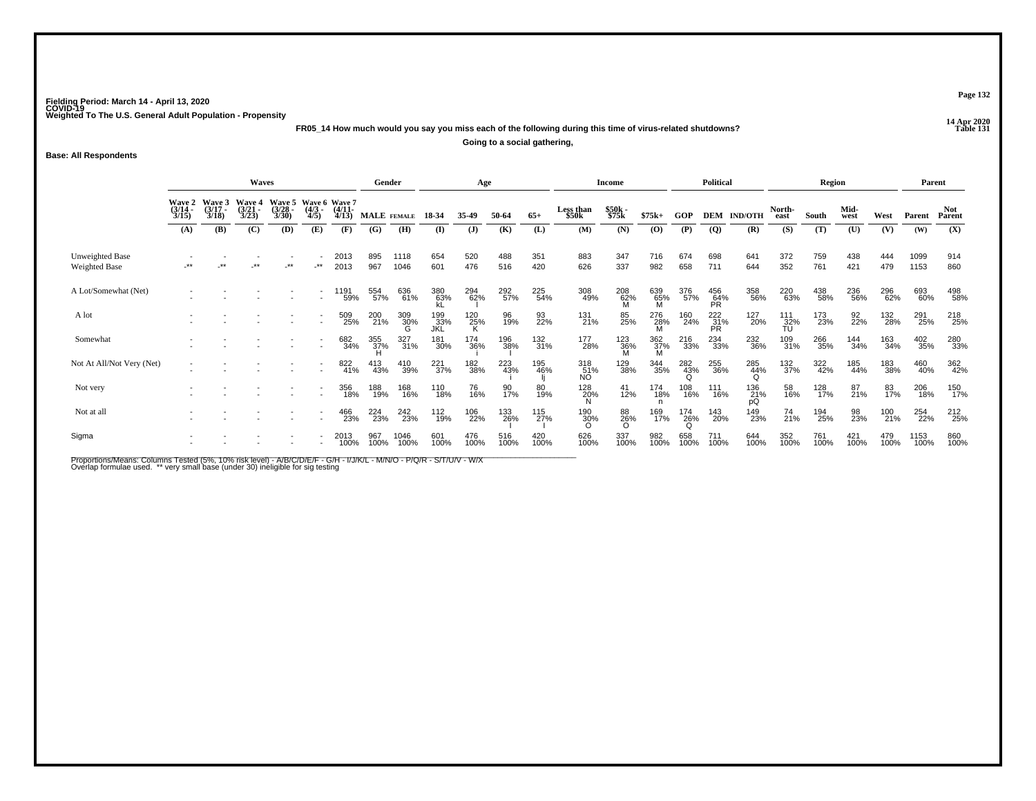**14 Apr 2020 FR05\_14 How much would you say you miss each of the following during this time of virus-related shutdowns?**

**Going to a social gathering,**

#### **Base: All Respondents**

|                                  |                                        |                                 | Waves                                  |                                              |                          |                      | Gender             |                 |                    | Age          |             |             |                    | Income          |                 |             | Political          |                  |                                              | Region      |              |             | Parent       |                |
|----------------------------------|----------------------------------------|---------------------------------|----------------------------------------|----------------------------------------------|--------------------------|----------------------|--------------------|-----------------|--------------------|--------------|-------------|-------------|--------------------|-----------------|-----------------|-------------|--------------------|------------------|----------------------------------------------|-------------|--------------|-------------|--------------|----------------|
|                                  | <b>Wave 2</b><br>$\frac{(3/14)}{3/15}$ | Wave 3<br>$\frac{(3/17)}{3/18}$ | <b>Wave 4</b><br>$\frac{(3/21)}{3/23}$ | Wave 5 Wave 6 Wave 7<br>$\binom{3/28}{3/30}$ | $\frac{(4/3)}{4/5}$      | $\binom{4/11}{4/13}$ | <b>MALE</b> FEMALE |                 | 18-34              | 35.49        | 50-64       | $65+$       | Less than<br>\$50k | \$50k<br>\$75k  | $$75k+$         | GOP         | <b>DEM</b>         | <b>IND/OTH</b>   | North-<br>east                               | South       | Mid-<br>west | West        | Parent       | Not.<br>Parent |
|                                  | (A)                                    | (B)                             | (C)                                    | (D)                                          | (E)                      | (F)                  | (G)                | (H)             | (I)                | $\mathbf{J}$ | (K)         | (L)         | (M)                | (N)             | (0)             | (P)         | $\overline{Q}$     | (R)              | (S)                                          | (T)         | (U)          | (V)         | (W)          | (X)            |
| Unweighted Base<br>Weighted Base | -**                                    | $***$                           | $***$                                  | $\cdot^{\star\star}$                         | -**                      | 2013<br>2013         | 895<br>967         | 1118<br>1046    | 654<br>601         | 520<br>476   | 488<br>516  | 351<br>420  | 883<br>626         | 347<br>337      | 716<br>982      | 674<br>658  | 698<br>711         | 641<br>644       | 372<br>352                                   | 759<br>761  | 438<br>421   | 444<br>479  | 1099<br>1153 | 914<br>860     |
| A Lot/Somewhat (Net)             |                                        |                                 |                                        |                                              | $\overline{\phantom{a}}$ | 1191<br>59%          | 554<br>57%         | 636<br>61%      | 380<br>63%         | 294<br>62%   | 292<br>57%  | 225<br>54%  | 308<br>49%         | 208<br>62%<br>M | 639<br>65%<br>M | 376<br>57%  | 456<br>64%<br>PR   | 358<br>56%       | 220<br>63%                                   | 438<br>58%  | 236<br>56%   | 296<br>62%  | 693<br>60%   | 498<br>58%     |
| A lot                            |                                        |                                 |                                        |                                              |                          | 509<br>25%           | 200<br>21%         | 309<br>30%<br>G | 199<br>_33%<br>JKL | 120<br>25%   | 96<br>19%   | 93<br>22%   | 131<br>21%         | 85<br>25%       | 276<br>28%<br>M | 160<br>24%  | $^{222}_{31\%}$ PR | 127<br>20%       | $^{111}_{\  \  \, \stackrel{32}{\text{TU}}}$ | 173<br>23%  | 92<br>22%    | 132<br>28%  | 291<br>25%   | 218<br>25%     |
| Somewhat                         |                                        |                                 |                                        |                                              | $\overline{\phantom{a}}$ | 682<br>34%           | 355<br>37%<br>H    | 327<br>31%      | 181<br>30%         | 174<br>36%   | 196<br>38%  | 132<br>31%  | 177<br>28%         | 123<br>36%<br>M | 362<br>37%<br>M | 216<br>33%  | 234<br>33%         | 232<br>36%       | 109<br>31%                                   | 266<br>35%  | 144<br>34%   | 163<br>34%  | 402<br>35%   | 280<br>33%     |
| Not At All/Not Very (Net)        |                                        |                                 |                                        |                                              | $\sim$                   | 822<br>41%           | 413<br>43%         | 410<br>39%      | 221 37%            | 182<br>38%   | 223<br>43%  | 195<br>46%  | 318<br>51%<br>NO.  | 129<br>38%      | 344<br>35%      | 282<br>43%  | 255<br>36%         | 285<br>44%       | 132<br>37%                                   | 322<br>42%  | 185<br>44%   | 183<br>38%  | 460<br>40%   | 362<br>42%     |
| Not very                         |                                        |                                 |                                        |                                              |                          | 356<br>18%           | 188<br>19%         | 168<br>16%      | 110<br>18%         | 76<br>16%    | 90<br>17%   | 80<br>19%   | $\frac{128}{20\%}$ | $^{41}_{12\%}$  | 174<br>18%      | 108<br>16%  | 111<br>16%         | 136<br>21%<br>pQ | 58<br>16%                                    | 128<br>17%  | 87<br>21%    | 83<br>17%   | 206<br>18%   | 150<br>17%     |
| Not at all                       |                                        |                                 |                                        |                                              |                          | 466<br>23%           | 224<br>23%         | 242<br>23%      | 112<br>19%         | 106<br>22%   | 133<br>26%  | 115<br>27%  | 190<br>30%         | 88<br>26%<br>O  | 169<br>17%      | 174<br>26%  | 143<br>20%         | 149<br>23%       | 74<br>21%                                    | 194<br>25%  | 98<br>23%    | 100<br>21%  | 254<br>22%   | 212<br>25%     |
| Sigma                            |                                        |                                 |                                        |                                              |                          | 2013<br>100%         | 967<br>100%        | 1046<br>100%    | 601<br>100%        | 476<br>100%  | 516<br>100% | 420<br>100% | 626<br>100%        | 337<br>100%     | 982<br>100%     | 658<br>100% | 711<br>100%        | 644<br>100%      | 352<br>100%                                  | 761<br>100% | 421<br>100%  | 479<br>100% | 1153<br>100% | 860<br>100%    |

Proportions/Means: Columns Tested (5%, 10% risk level) - A/B/C/D/E/F - G/H - I/J/K/L - M/N/O - P/Q/R - S/T/U/V - W/X<br>Overlap formulae used. \*\* very small base (under 30) ineligible for sig testing

**Page 132**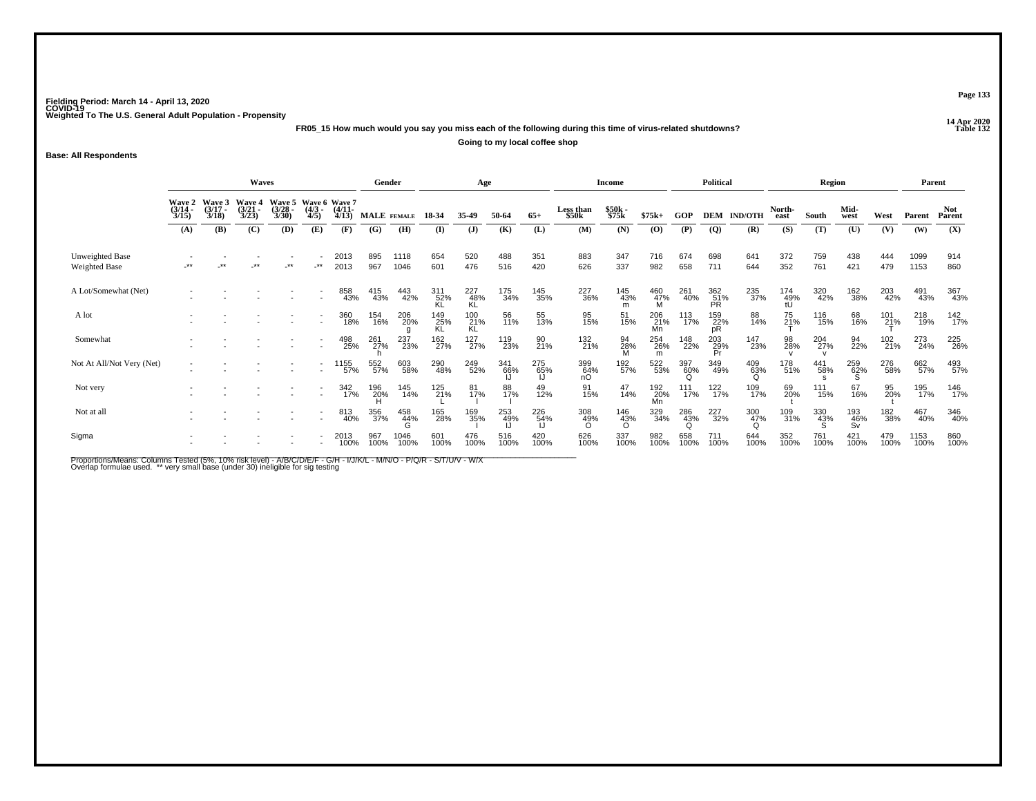**14 Apr 2020 FR05\_15 How much would you say you miss each of the following during this time of virus-related shutdowns?Going to my local coffee shop**

**Base: All Respondents**

|                                         | <b>Waves</b>                           |                                 |                                 |                       |                                             |                       | Gender             |              |                  | Age              |             |             |                    | <b>Income</b>   |                  |             | <b>Political</b> |                 |                  | <b>Region</b> |                  |                     | Parent       |                      |
|-----------------------------------------|----------------------------------------|---------------------------------|---------------------------------|-----------------------|---------------------------------------------|-----------------------|--------------------|--------------|------------------|------------------|-------------|-------------|--------------------|-----------------|------------------|-------------|------------------|-----------------|------------------|---------------|------------------|---------------------|--------------|----------------------|
|                                         | <b>Wave 2</b><br>$\frac{(3/14)}{3/15}$ | Wave 3<br>$\frac{(3/17)}{3/18}$ | Wave 4<br>$\frac{(3/21)}{3/23}$ | $\frac{(3/28)}{3/30}$ | Wave 5 Wave 6 Wave 7<br>$\frac{(4/3)}{4/5}$ | $\frac{(4/11)}{4/13}$ | <b>MALE</b> FEMALE |              | 18-34            | 35.49            | 50-64       | $65+$       | Less than<br>\$50k | \$50k<br>\$75k  | $$75k+$          | GOP         | <b>DEM</b>       | <b>IND/OTH</b>  | North-<br>east   | South         | Mid-<br>west     | West                | Parent       | <b>Not</b><br>Parent |
|                                         | (A)                                    | (B)                             | (C)                             | (D)                   | (E)                                         | (F)                   | (G)                | (H)          | $($ I            | $\mathbf{J}$     | (K)         | (L)         | (M)                | (N)             | (0)              | (P)         | $\overline{Q}$   | (R)             | (S)              | (T)           | (U)              | (V)                 | (W)          | (X)                  |
| Unweighted Base<br><b>Weighted Base</b> | $***$                                  | **                              | **                              | $\cdot^{\star\star}$  | $\cdot^{\star\star}$                        | 2013<br>2013          | 895<br>967         | 1118<br>1046 | 654<br>601       | 520<br>476       | 488<br>516  | 351<br>420  | 883<br>626         | 347<br>337      | 716<br>982       | 674<br>658  | 698<br>711       | 641<br>644      | 372<br>352       | 759<br>761    | 438<br>421       | 444<br>479          | 1099<br>1153 | 914<br>860           |
| A Lot/Somewhat (Net)                    |                                        |                                 |                                 |                       |                                             | 858<br>43%            | 415<br>43%         | 443<br>42%   | 311<br>52%<br>KL | 227<br>48%<br>KL | 175<br>34%  | 145<br>35%  | 227<br>36%         | 145<br>43%<br>m | 460<br>47%       | 261<br>40%  | 362<br>51%<br>PR | 235<br>37%      | 174<br>49%<br>tU | 320<br>42%    | 162<br>38%       | 203<br>42%          | 491<br>43%   | 367<br>43%           |
| A lot                                   |                                        |                                 |                                 |                       |                                             | 360<br>18%            | 154<br>16%         | 206<br>20%   | 149<br>25%<br>KL | 100<br>21%<br>KL | 56<br>11%   | 55<br>13%   | 95<br>15%          | 51<br>15%       | 206<br>21%<br>Mn | 113<br>17%  | 159<br>22%<br>pR | 88<br>14%       | 75<br>21%        | 116<br>15%    | 68<br>16%        | 101<br>2 <u>1</u> % | 218<br>19%   | 142<br>17%           |
| Somewhat                                |                                        |                                 |                                 |                       | $\overline{\phantom{a}}$                    | 498<br>25%            | 261<br>27%         | 237<br>23%   | 162<br>27%       | 127<br>27%       | 119<br>23%  | 90<br>21%   | 132<br>21%         | 94<br>28%<br>M  | 254<br>26%<br>m  | 148<br>22%  | 203<br>29%<br>Pr | 147<br>23%      | 98<br>28%        | 204<br>27%    | 94<br>22%        | 102<br>21%          | 273<br>24%   | 225<br>26%           |
| Not At All/Not Very (Net)               |                                        |                                 |                                 |                       | $\sim$                                      | 155<br>57%            | 552<br>57%         | 603<br>58%   | 290<br>48%       | 249<br>52%       | 341<br>66%  | 275<br>65%  | 399<br>64%<br>nO   | 192<br>57%      | 522<br>53%       | 397<br>60%  | 349<br>49%       | 409<br>63%<br>O | 178<br>51%       | 441<br>58%    | 259<br>62%       | 276<br>58%          | 662<br>57%   | 493<br>57%           |
| Not very                                |                                        |                                 |                                 |                       |                                             | 342<br>17%            | 196<br>20%<br>H    | 145<br>14%   | 125<br>21%       | 81<br>17%        | 88<br>17%   | 49<br>12%   | 91<br>15%          | 47<br>14%       | 192<br>20%<br>Mn | 111<br>17%  | 122<br>17%       | 109<br>17%      | 69<br>20%        | 111<br>15%    | 67<br>16%        | 95<br>20%           | 195<br>17%   | 146<br>17%           |
| Not at all                              |                                        |                                 |                                 |                       |                                             | 813<br>40%            | 356<br>37%         | 458<br>44%   | 165<br>28%       | 169<br>35%       | 253<br>49%  | 226<br>54%  | 308<br>49%         | 146<br>43%<br>Ö | 329<br>34%       | 286<br>43%  | 227<br>32%       | 300<br>47%      | 109<br>31%       | 330<br>43%    | 193<br>46%<br>Sv | 182<br>38%          | 467<br>40%   | 346<br>40%           |
| Sigma                                   |                                        |                                 |                                 |                       |                                             | 2013<br>100%          | 967<br>100%        | 1046<br>100% | 601<br>100%      | 476<br>100%      | 516<br>100% | 420<br>100% | 626<br>100%        | 337<br>100%     | 982<br>100%      | 658<br>100% | 711<br>100%      | 644<br>100%     | 352<br>100%      | 761<br>100%   | 421<br>100%      | 479<br>100%         | 1153<br>100% | 860<br>100%          |

Proportions/Means: Columns Tested (5%, 10% risk level) - A/B/C/D/E/F - G/H - I/J/K/L - M/N/O - P/Q/R - S/T/U/V - W/X<br>Overlap formulae used. \*\* very small base (under 30) ineligible for sig testing

**Page 133**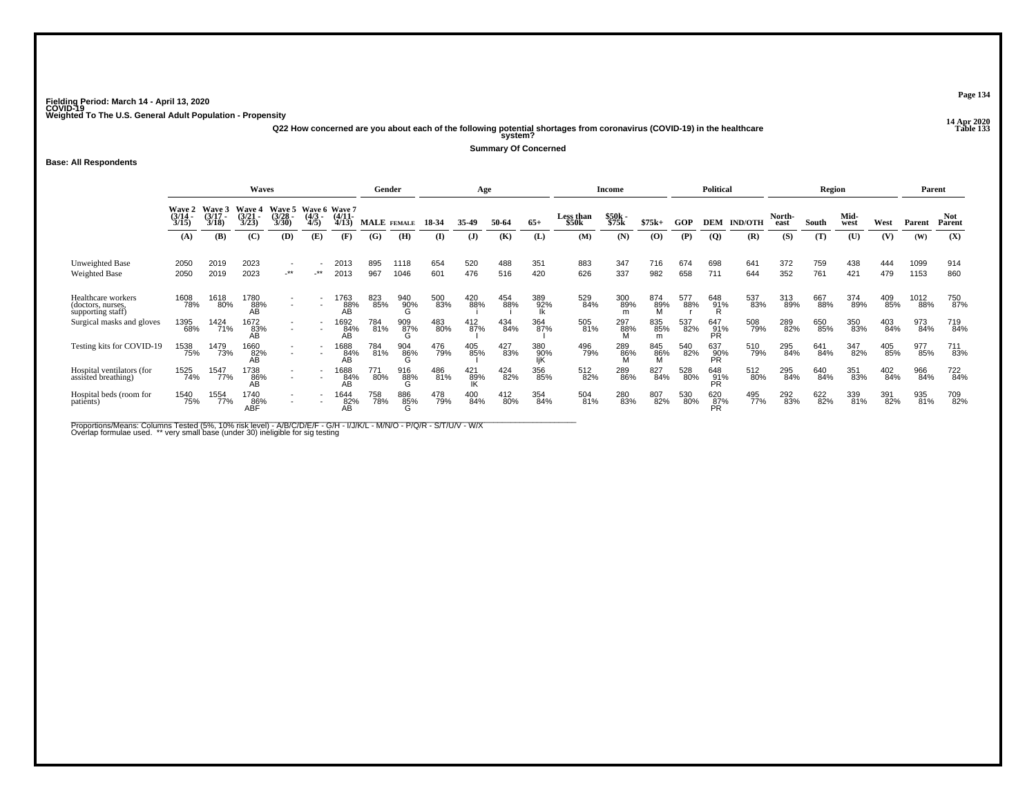**14 Apr 2020 Q22 How concerned are you about each of the following potential shortages from coronavirus (COVID-19) in the healthcare Table 133 system?**

**Summary Of Concerned**

**Base: All Respondents**

|                                                              |                                            |                             | Waves                          |                          |                           |                                    | Gender      |                 |            | Age        |            |            |                                | Income           |                 |            | <b>Political</b> |                |                | <b>Region</b> |              |            |              | Parent               |
|--------------------------------------------------------------|--------------------------------------------|-----------------------------|--------------------------------|--------------------------|---------------------------|------------------------------------|-------------|-----------------|------------|------------|------------|------------|--------------------------------|------------------|-----------------|------------|------------------|----------------|----------------|---------------|--------------|------------|--------------|----------------------|
|                                                              | $\frac{\text{Wave}}{\frac{3}{14}}$<br>3/15 | Wave 3<br>$(3/17 -$<br>3/18 | Wave 4<br>(3/21)<br>3/23       | Wave 5<br>(3/28)<br>3/30 | Wave 6<br>$(4/3 -$<br>4/5 | <b>Wave 7</b><br>$(4/11 -$<br>4/13 | MALE FEMALE |                 | 18-34      | 35.49      | 50-64      | $65+$      | Less than<br>\$50 <sub>k</sub> | \$50k -<br>\$75k | $$75k+$         | <b>GOP</b> | <b>DEM</b>       | <b>IND/OTH</b> | North-<br>east | South         | Mid-<br>west | West       | Parent       | <b>Not</b><br>Parent |
|                                                              | (A)                                        | (B)                         | (C)                            | (D)                      | (E)                       | (F)                                | (G)         | (H)             | $\bf(I)$   | (J)        | (K)        | (L)        | (M)                            | (N)              | (0)             | (P)        | $\overline{Q}$   | (R)            | (S)            | (T)           | (U)          | (V)        | (W)          | (X)                  |
| Unweighted Base<br><b>Weighted Base</b>                      | 2050<br>2050                               | 2019<br>2019                | 2023<br>2023                   | $-***$                   | $-***$                    | 2013<br>2013                       | 895<br>967  | 1118<br>1046    | 654<br>601 | 520<br>476 | 488<br>516 | 351<br>420 | 883<br>626                     | 347<br>337       | 716<br>982      | 674<br>658 | 698<br>711       | 641<br>644     | 372<br>352     | 759<br>761    | 438<br>421   | 444<br>479 | 1099<br>1153 | 914<br>860           |
| Healthcare workers<br>(doctors, nurses,<br>supporting staff) | 1608<br>78%                                | 1618<br>80%                 | 1780<br>88%<br>ΑB <sup>1</sup> | $\overline{\phantom{a}}$ |                           | 1763<br>88%<br>AB.                 | 823<br>85%  | 940<br>90%<br>G | 500<br>83% | 420<br>88% | 454<br>88% | 389<br>92% | 529<br>84%                     | 300<br>89%       | 874<br>89%      | 577<br>88% | 648<br>91%<br>R  | 537<br>83%     | 313<br>89%     | 667<br>88%    | 374<br>89%   | 409<br>85% | 1012<br>88%  | 750<br>87%           |
| Surgical masks and gloves                                    | 1395<br>68%                                | 1424<br>71%                 | 1672<br>83%<br>AB              |                          |                           | <sup>1692</sup> 84%<br>AB          | 784<br>81%  | 909<br>87%<br>G | 483<br>80% | 412<br>87% | 434<br>84% | 364<br>87% | 505<br>81%                     | 297<br>88%<br>M  | 835<br>85%<br>m | 537<br>82% | 647<br>91%<br>PR | 508<br>79%     | 289<br>82%     | 650<br>85%    | 350<br>83%   | 403<br>84% | 973<br>84%   | 719<br>84%           |
| Testing kits for COVID-19                                    | 1538<br>75%                                | 1479<br>73%                 | 1660<br>82%<br>ÁΒ              | $\overline{\phantom{a}}$ |                           | 1688<br>84%<br>AB                  | 784<br>81%  | 904<br>86%      | 476<br>79% | 405<br>85% | 427<br>83% | 380<br>90% | 496<br>79%                     | 289<br>86%       | 845<br>- 86%    | 540<br>82% | 637<br>90%<br>PR | 510<br>79%     | 295<br>84%     | 641<br>84%    | 347<br>82%   | 405<br>85% | 977<br>85%   | 711<br>83%           |
| Hospital ventilators (for<br>assisted breathing)             | 1525<br>74%                                | 1547<br>77%                 | 1738<br>86%<br>AB              | $\overline{\phantom{a}}$ |                           | 1688<br>84%<br>AB                  | 771<br>80%  | 916<br>88%<br>G | 486<br>81% | 421<br>89% | 424<br>82% | 356<br>85% | 512<br>82%                     | 289<br>86%       | 827<br>84%      | 528<br>80% | 648<br>91%<br>PR | 512<br>80%     | 295<br>84%     | 640<br>84%    | 351<br>83%   | 402<br>84% | 966<br>84%   | 722<br>84%           |
| Hospital beds (room for<br>patients)                         | 1540<br>75%                                | 1554<br>77%                 | 1740<br>86%<br>ABF             | $\overline{\phantom{a}}$ | $\sim$                    | 1644<br>82%<br>AВ                  | 758<br>78%  | 886<br>85%      | 478<br>79% | 400<br>84% | 412<br>80% | 354<br>84% | 504<br>81%                     | 280<br>83%       | 807<br>82%      | 530<br>80% | 620<br>87%<br>PR | 495<br>77%     | 292<br>83%     | 622<br>82%    | 339<br>81%   | 391<br>82% | 935<br>81%   | 709<br>82%           |

Proportions/Means: Columns Tested (5%, 10% risk level) - A/B/C/D/E/F - G/H - I/J/K/L - M/N/O - P/Q/R - S/T/U/V - W/X<br>Overlap formulae used. \*\* very small base (under 30) ineligible for sig testing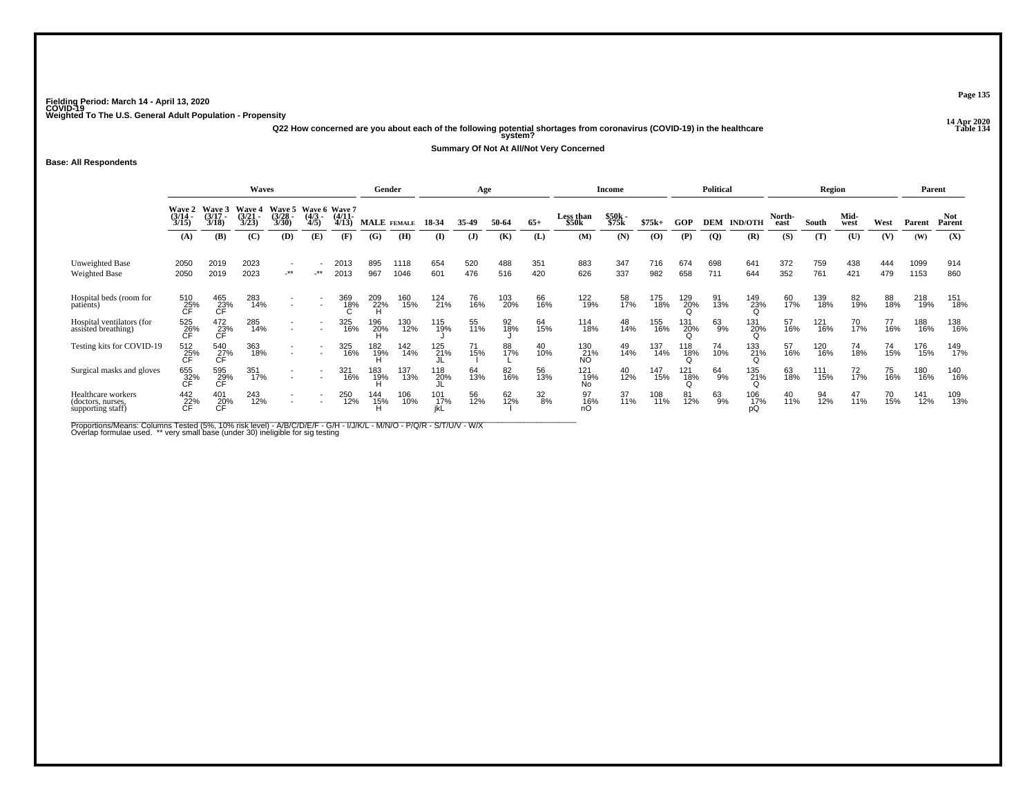**14 Apr 2020 Q22 How concerned are you about each of the following potential shortages from coronavirus (COVID-19) in the healthcare Table 134 system?**

**Summary Of Not At All/Not Very Concerned**

**Base: All Respondents**

|                                                              | Waves                       |                                       |                          |                                          |                           |                                    |                    | Gender       |            | Age          |            |                  |                           | Income           |            |            | <b>Political</b> |                  |                | Region     |                 |            |              | Parent               |
|--------------------------------------------------------------|-----------------------------|---------------------------------------|--------------------------|------------------------------------------|---------------------------|------------------------------------|--------------------|--------------|------------|--------------|------------|------------------|---------------------------|------------------|------------|------------|------------------|------------------|----------------|------------|-----------------|------------|--------------|----------------------|
|                                                              | Wave 2<br>$(3/14 -$<br>3/15 | Wave 3<br>$(3/17 -$<br>3/18           | Wave 4<br>(3/21)<br>3/23 | Wave 5<br>$(3/28 -$<br>3/30              | Wave 6<br>$(4/3 -$<br>4/5 | <b>Wave 7</b><br>$(4/11 -$<br>4/13 | <b>MALE</b> FEMALE |              | 18-34      | 35.49        | 50-64      | $65+$            | <b>Less than</b><br>\$50k | $$50k-$<br>\$75k | $$75k+$    | GOP        | <b>DEM</b>       | <b>IND/OTH</b>   | North-<br>east | South      | Mid-<br>west    | West       | Parent       | <b>Not</b><br>Parent |
|                                                              | (A)                         | (B)                                   | (C)                      | (D)                                      | (E)                       | (F)                                | (G)                | (H)          | $\bf{I}$   | ( <b>J</b> ) | (K)        | (L)              | (M)                       | (N)              | (O)        | (P)        | $\overline{Q}$   | (R)              | (S)            | (T)        | (U)             | (V)        | (W)          | (X)                  |
| Unweighted Base<br><b>Weighted Base</b>                      | 2050<br>2050                | 2019<br>2019                          | 2023<br>2023             | $\overline{\phantom{a}}$<br>$\star\star$ | -**                       | 2013<br>2013                       | 895<br>967         | 1118<br>1046 | 654<br>601 | 520<br>476   | 488<br>516 | 351<br>420       | 883<br>626                | 347<br>337       | 716<br>982 | 674<br>658 | 698<br>711       | 641<br>644       | 372<br>352     | 759<br>761 | 438<br>421      | 444<br>479 | 1099<br>1153 | 914<br>860           |
| Hospital beds (room for<br>patients)                         | 510<br>25%<br>СĖ            | 465<br>23%<br>CF                      | 283<br>14%               |                                          |                           | 369<br>18%                         | 209<br>22%         | 160<br>15%   | 124<br>21% | 76<br>16%    | 103<br>20% | 66<br>16%        | 122<br>19%                | 58<br>17%        | 175<br>18% | 129<br>20% | 91<br>13%        | 149<br>23%       | 60<br>17%      | 139<br>18% | 82<br>19%       | 88<br>18%  | 218<br>19%   | 151<br>18%           |
| Hospital ventilators (for<br>assisted breathing)             | 525<br>26%<br>CF            | $^{472}_{23\%}$ CF                    | 285<br>14%               |                                          |                           | 325<br>16%                         | 196<br>20%         | 130<br>12%   | 115<br>19% | 55<br>11%    | 92<br>18%  | 64<br>15%        | 114<br>18%                | 48<br>14%        | 155<br>16% | 131<br>20% | 63<br>9%         | 131<br>20%       | 57<br>16%      | 121<br>16% | 70 <sub>%</sub> | 77<br>16%  | 188<br>16%   | 138<br>16%           |
| Testing kits for COVID-19                                    | 512<br>25%                  | 540<br>$\overline{C}$ F <sup>%</sup>  | 363<br>18%               | $\overline{\phantom{a}}$                 | $\overline{\phantom{a}}$  | 325<br>16%                         | 182<br>19%         | 142<br>14%   | 125<br>21% | 71<br>15%    | 88<br>17%  | 40<br>10%        | 130<br>21%<br>NO          | 49<br>14%        | 137<br>14% | 118<br>18% | 74<br>10%        | 133<br>21%       | 57<br>16%      | 120<br>16% | 74<br>18%       | 74<br>15%  | 176<br>15%   | 149<br>17%           |
| Surgical masks and gloves                                    | 655<br>32%                  | 595<br>$\widetilde{C}$ F <sup>%</sup> | 351<br>17%               |                                          | $\overline{\phantom{a}}$  | 321<br>16%                         | 183<br>19%         | 137<br>13%   | 118<br>20% | 64<br>13%    | 82<br>16%  | 56<br>13%        | 121<br>19%<br>No          | 40<br>12%        | 147<br>15% | 121<br>18% | 64<br>9%         | 135<br>21%       | 63<br>18%      | 111<br>15% | 72<br>17%       | 75<br>16%  | 180<br>16%   | 140<br>16%           |
| Healthcare workers<br>(doctors, nurses,<br>supporting staff) | 442<br>22%                  | 401<br>20%<br>СĖ                      | 243<br>12%               | $\overline{\phantom{a}}$                 | $\sim$                    | 250<br>12%                         | 144<br>15%         | 106<br>10%   | 101<br>17% | 56<br>12%    | 62/12%     | $\frac{32}{8\%}$ | 16%                       | 37<br>11%        | 108<br>11% | 81<br>12%  | 63<br>9%         | 106<br>17%<br>pQ | 40<br>11%      | 94<br>12%  | 47<br>11%       | 70<br>15%  | 141<br>12%   | 109<br>13%           |

Proportions/Means: Columns Tested (5%, 10% risk level) - A/B/C/D/E/F - G/H - I/J/K/L - M/N/O - P/Q/R - S/T/U/V - W/X<br>Overlap formulae used. \*\* very small base (under 30) ineligible for sig testing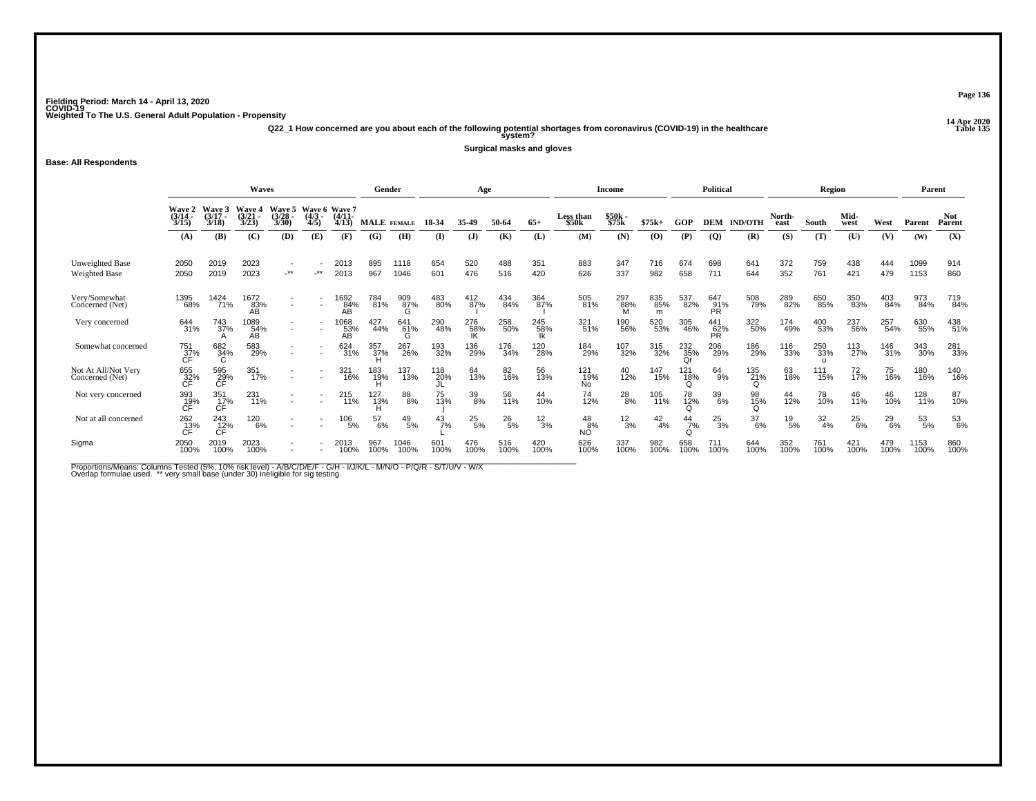**14 Apr 2020 Q22\_1 How concerned are you about each of the following potential shortages from coronavirus (COVID-19) in the healthcare Table 135 system?**

**Surgical masks and gloves**

#### **Base: All Respondents**

|                                         |                                        |                             | <b>Waves</b>            |                          |                                  |                   | Gender             |                  |               | Age           |               |                 |                         | Income          |                 |                    | <b>Political</b>        |                  |                | Region                     |               |               | Parent       |                      |
|-----------------------------------------|----------------------------------------|-----------------------------|-------------------------|--------------------------|----------------------------------|-------------------|--------------------|------------------|---------------|---------------|---------------|-----------------|-------------------------|-----------------|-----------------|--------------------|-------------------------|------------------|----------------|----------------------------|---------------|---------------|--------------|----------------------|
|                                         | Wave 2<br>(3/14<br>3/15                | Wave 3<br>$(3/17 -$<br>3/18 | Wave 4<br>(3/21<br>3/23 | Wave 5<br>(3/28)<br>3/30 | Wave 6 Wave 7<br>$(4/3 -$<br>4/5 | (4/11)<br>4/13    | <b>MALE</b> FEMALE |                  | 18-34         | 35-49         | 50-64         | $65+$           | Less than<br>\$50k      | \$50k<br>\$75k  | $$75k+$         | GOP                | <b>DEM</b>              | <b>IND/OTH</b>   | North-<br>east | South                      | Mid-<br>west  | West          | Parent       | <b>Not</b><br>Parent |
|                                         | (A)                                    | (B)                         | (C)                     | (D)                      | (E)                              | (F)               | (G)                | (H)              | (I)           | $\mathbf{J}$  | (K)           | (L)             | (M)                     | (N)             | (O)             | (P)                | $\overline{Q}$          | (R)              | (S)            | (T)                        | (U)           | (V)           | (W)          | (X)                  |
| Unweighted Base<br><b>Weighted Base</b> | 2050<br>2050                           | 2019<br>2019                | 2023<br>2023            | $-***$                   | $\star\star$                     | 2013<br>2013      | 895<br>967         | 1118<br>1046     | 654<br>601    | 520<br>476    | 488<br>516    | 351<br>420      | 883<br>626              | 347<br>337      | 716<br>982      | 674<br>658         | 698<br>711              | 641<br>644       | 372<br>352     | 759<br>761                 | 438<br>421    | 444<br>479    | 1099<br>1153 | 914<br>860           |
| Very/Somewhat<br>Concerned (Net)        | 1395<br>68%                            | 1424<br>71%                 | 1672<br>83%<br>AB       |                          |                                  | 1692<br>84%<br>AΒ | 784<br>81%         | 909<br>87%<br>ົດ | 483<br>80%    | 412<br>87%    | 434<br>84%    | 364<br>87%      | 505<br>81%              | 297<br>88%<br>M | 835<br>85%<br>m | 537<br>82%         | 647<br>91%<br><b>PR</b> | 508<br>79%       | 289<br>82%     | 650<br>85%                 | 350<br>83%    | 403<br>84%    | 973<br>84%   | 719<br>84%           |
| Very concerned                          | 644<br>31%                             | 743<br>37%                  | 1089<br>54%<br>ÁΒ.      |                          | $\overline{\phantom{a}}$         | 1068<br>53%<br>AВ | 427<br>44%         | 641<br>61%<br>G  | 290<br>48%    | 276<br>58%    | 258<br>50%    | 245<br>58%      | 321<br>51%              | 190<br>56%      | 520<br>53%      | 305<br>46%         | 441<br>62%<br><b>PR</b> | 322<br>50%       | 174<br>49%     | 400<br>53%                 | 237<br>56%    | 257<br>54%    | 630<br>55%   | 438<br>51%           |
| Somewhat concerned                      | 751<br>_37%<br>CF                      | 682<br>34%                  | 583<br>29%              |                          |                                  | 624<br>31%        | 357<br>37%         | 267<br>26%       | 193<br>32%    | 136<br>29%    | 176<br>34%    | 120<br>28%      | 184<br>29%              | 107<br>32%      | 315<br>32%      | $^{232}_{35\%}$ Qr | 206<br>29%              | 186<br>29%       | 116<br>33%     | 250<br>33%<br>$\mathbf{H}$ | 113<br>27%    | 146<br>31%    | 343<br>30%   | 281<br>33%           |
| Not At All/Not Very<br>Concerned (Net)  | 655<br>32%                             | 595<br>29%<br><b>CF</b>     | 351<br>17%              |                          | $\overline{\phantom{a}}$         | 321<br>16%        | 183<br>19%         | 137<br>13%       | 118<br>20%    | 64<br>13%     | 82<br>16%     | 56<br>13%       | 121<br>19%<br>No        | 40<br>12%       | 147<br>15%      | 121<br>18%         | 64<br>9%                | 135<br>21%       | 63<br>18%      | 111<br>15%                 | 72<br>17%     | 75<br>16%     | 180<br>16%   | 140<br>16%           |
| Not very concerned                      | 393<br>19%<br>CF                       | 351<br>17%<br>CF            | 231<br>11%              |                          |                                  | 215<br>11%        | 127<br>13%         | 88<br>8%         | 75<br>13%     | 39<br>8%      | 56<br>11%     | 44<br>10%       | 74<br>12%               | $^{28}_{8\%}$   | 105<br>11%      | 78<br>12%          | 39<br>6%                | 98<br>15%        | 44<br>12%      | 78<br>10%                  | 46<br>11%     | 46<br>10%     | 128<br>11%   | 87<br>10%            |
| Not at all concerned                    | $^{262}_{\substack{13\%\\ \text{CF}}}$ | 243<br>12%                  | 120<br>6%               |                          |                                  | $^{106}_{\ 5\%}$  | 57<br>6%           | $^{49}_{\ 5\%}$  | $^{43}_{7\%}$ | $^{25}_{5\%}$ | $^{26}_{5\%}$ | $\frac{12}{3%}$ | 48<br>$N_O^{\text{B%}}$ | $\frac{12}{3%}$ | $^{42}_{4\%}$   | $^{44}_{7\%}$      | $^{25}_{3\%}$           | $\frac{37}{6\%}$ | $^{19}_{5\%}$  | $\frac{32}{4\%}$           | $^{25}_{6\%}$ | $^{29}_{6\%}$ | 53<br>5%     | 53<br>6%             |
| Sigma                                   | 2050<br>100%                           | 2019<br>100%                | 2023<br>100%            |                          |                                  | 2013<br>100%      | 967<br>100%        | 1046<br>100%     | 601<br>100%   | 476<br>100%   | 516<br>100%   | 420<br>100%     | 626<br>100%             | 337<br>100%     | 982<br>100%     | 658<br>100%        | 711<br>100%             | 644<br>100%      | 352<br>100%    | 761<br>100%                | 421<br>100%   | 479<br>100%   | 1153<br>100% | 860<br>100%          |

Proportions/Means: Columns Tested (5%, 10% risk level) - A/B/C/D/E/F - G/H - I/J/K/L - M/N/O - P/Q/R - S/T/U/V - W/X<br>Overlap formulae used. \*\* very small base (under 30) ineligible for sig testing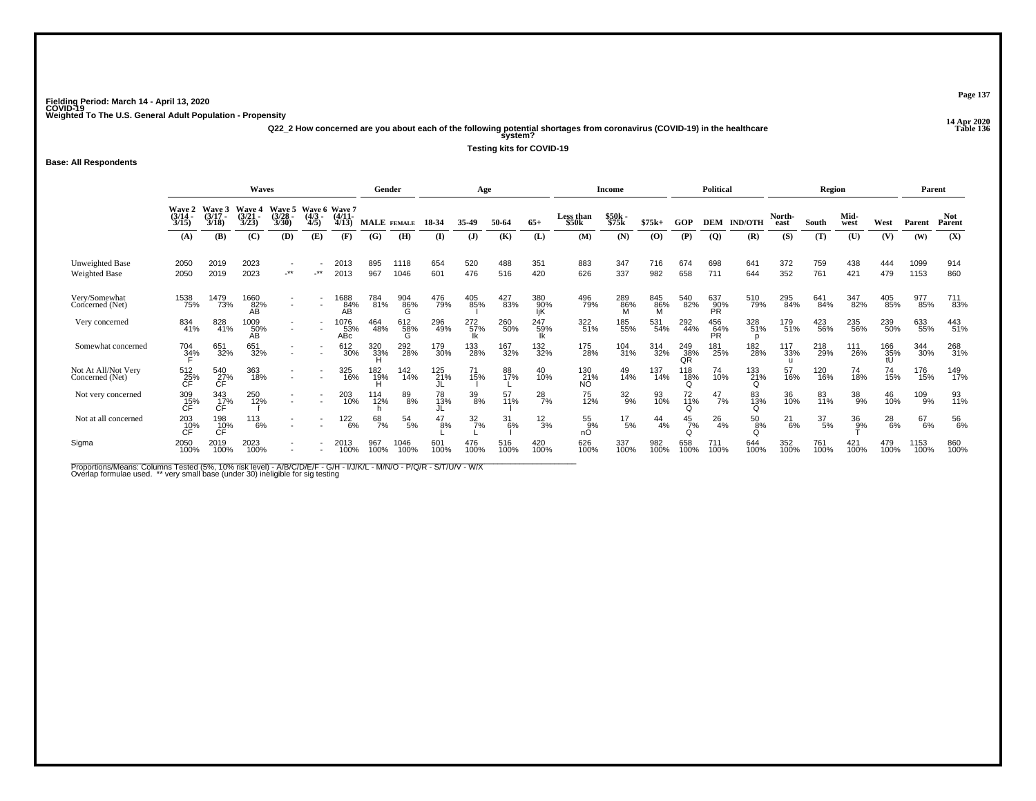**14 Apr 2020 Q22\_2 How concerned are you about each of the following potential shortages from coronavirus (COVID-19) in the healthcare Table 136 system?**

**Testing kits for COVID-19**

**Base: All Respondents**

|                                         |                                  |                                | Waves                    |                          |                                   |                                | Gender                         |                 |             | Age                    |             |                   |                    | Income           |             |                  | <b>Political</b> |                |                | Region           |              |               | Parent       |                      |
|-----------------------------------------|----------------------------------|--------------------------------|--------------------------|--------------------------|-----------------------------------|--------------------------------|--------------------------------|-----------------|-------------|------------------------|-------------|-------------------|--------------------|------------------|-------------|------------------|------------------|----------------|----------------|------------------|--------------|---------------|--------------|----------------------|
|                                         | Wave 2<br>$(3/14 -$<br>3/15      | Wave 3<br>$(3/17 -$<br>3/18    | Wave 4<br>(3/21)<br>3/23 | Wave 5<br>(3/28)<br>3/30 | Wave 6 Wave 7<br>$(4/3 -$<br>4/5) | $(4/11 -$<br>4/13              | <b>MALE</b> FEMALE             |                 | 18-34       | 35.49                  | 50-64       | $65+$             | Less than<br>\$50k | \$50k<br>\$75k   | $$75k+$     | GOP              | <b>DEM</b>       | <b>IND/OTH</b> | North-<br>east | South            | Mid-<br>west | West          | Parent       | <b>Not</b><br>Parent |
|                                         | (A)                              | <b>(B)</b>                     | (C)                      | (D)                      | (E)                               | (F)                            | (G)                            | (H)             | $($ I       | (J)                    | (K)         | (L)               | (M)                | (N)              | (O)         | (P)              | $\overline{Q}$   | (R)            | (S)            | (T)              | (U)          | (V)           | (W)          | (X)                  |
| Unweighted Base<br><b>Weighted Base</b> | 2050<br>2050                     | 2019<br>2019                   | 2023<br>2023             | $\star\star$             | $**$                              | 2013<br>2013                   | 895<br>967                     | 1118<br>1046    | 654<br>601  | 520<br>476             | 488<br>516  | 351<br>420        | 883<br>626         | 347<br>337       | 716<br>982  | 674<br>658       | 698<br>711       | 641<br>644     | 372<br>352     | 759<br>761       | 438<br>421   | 444<br>479    | 1099<br>1153 | 914<br>860           |
| Very/Somewhat<br>Concerned (Net)        | 1538<br>75%                      | 1479<br>73%                    | 1660<br>82%<br>ÁΒ.       |                          |                                   | 1688<br>84%<br>ÁΒ              | 784<br>81%                     | 904<br>86%<br>G | 476<br>79%  | 405<br>85%             | 427<br>83%  | 380<br>90%<br>ljΚ | 496<br>79%         | 289<br>86%       | 845<br>86%  | 540<br>82%       | 637<br>90%<br>PR | 510<br>79%     | 295<br>84%     | 641<br>84%       | 347<br>82%   | 405<br>85%    | 977<br>85%   | 711<br>83%           |
| Very concerned                          | 834<br>41%                       | 828<br>41%                     | 1009<br>50%<br>AB        | $\overline{\phantom{a}}$ |                                   | <sup>1</sup> 076<br>53%<br>ABc | 464<br>48%                     | 612<br>58%<br>G | 296<br>49%  | 272 <sub>%</sub><br>lk | 260<br>50%  | 247<br>59%<br>Ιk  | 322<br>51%         | 185<br>55%       | 531<br>54%  | 292<br>44%       | 456<br>64%<br>PR | 328<br>51%     | 179<br>51%     | 423<br>56%       | 235<br>56%   | 239<br>50%    | 633<br>55%   | 443<br>51%           |
| Somewhat concerned                      | 704<br>3 <u>4</u> %              | 651<br>32%                     | 651<br>32%               |                          |                                   | 612<br>30%                     | 320<br>33%                     | 292<br>28%      | 179<br>30%  | 133<br>28%             | 167<br>32%  | 132<br>32%        | 175<br>28%         | 104<br>31%       | 314<br>32%  | 249<br>38%<br>QR | 181<br>25%       | 182<br>28%     | 117<br>33%     | 218<br>29%       | 111<br>26%   | 166<br>35%    | 344<br>30%   | 268<br>31%           |
| Not At All/Not Very<br>Concerned (Net)  | 512<br>25%<br>CĖ                 | 540<br>27%<br>CF               | 363<br>18%               |                          |                                   | 325<br>16%                     | 182<br>19%                     | 142<br>14%      | 125<br>21%  | 71<br>15%              | 88<br>17%   | 40<br>10%         | 130<br>21%<br>NO.  | 49<br>14%        | 137<br>14%  | 118<br>18%<br>Ω  | 74<br>10%        | 133<br>21%     | 57<br>16%      | 120<br>16%       | 74<br>18%    | 74<br>15%     | 176<br>15%   | 149<br>17%           |
| Not very concerned                      | $\underset{\mathsf{CF}}{^{309}}$ | 343<br>17%<br>CF               | 250<br>12%               | $\overline{\phantom{a}}$ |                                   | 203<br>10%                     | <sup>114</sup> <sub>12</sub> % | 89<br>8%        | 78<br>13%   | 39<br>8%               | 57<br>11%   | $^{28}_{7\%}$     | 75<br>12%          | $\frac{32}{9\%}$ | 93<br>10%   | 72<br>11%<br>Ω   | $^{47}_{7\%}$    | 83<br>13%      | 36<br>10%      | 83<br>11%        | 38<br>9%     | 46<br>10%     | 109<br>9%    | 93<br>11%            |
| Not at all concerned                    | 203<br>C <sub>F</sub>            | 198<br>$T_{\rm CF}^{\rm 10\%}$ | 113<br>6%                |                          |                                   | 122<br>6%                      | 68<br>7%                       | $^{54}_{\ 5\%}$ | 47<br>8%    | $\frac{32}{7}\%$       | 31<br>6%    | $\frac{12}{3%}$   | 55<br>9%<br>nО     | $^{17}_{\ 5\%}$  | 44<br>4%    | $\frac{45}{7\%}$ | $^{26}_{4\%}$    | 50<br>8%       | $^{21}_{6\%}$  | $\frac{37}{5\%}$ | 36<br>9%     | $^{28}_{6\%}$ | 67<br>6%     | 56<br>6%             |
| Sigma                                   | 2050<br>100%                     | 2019<br>100%                   | 2023<br>100%             |                          |                                   | 2013<br>100%                   | 967<br>100%                    | 1046<br>100%    | 601<br>100% | 476<br>100%            | 516<br>100% | 420<br>100%       | 626<br>100%        | 337<br>100%      | 982<br>100% | 658<br>100%      | 711<br>100%      | 644<br>100%    | 352<br>100%    | 761<br>100%      | 421<br>100%  | 479<br>100%   | 1153<br>100% | 860<br>100%          |

Proportions/Means: Columns Tested (5%, 10% risk level) - A/B/C/D/E/F - G/H - I/J/K/L - M/N/O - P/Q/R - S/T/U/V - W/X<br>Overlap formulae used. \*\* very small base (under 30) ineligible for sig testing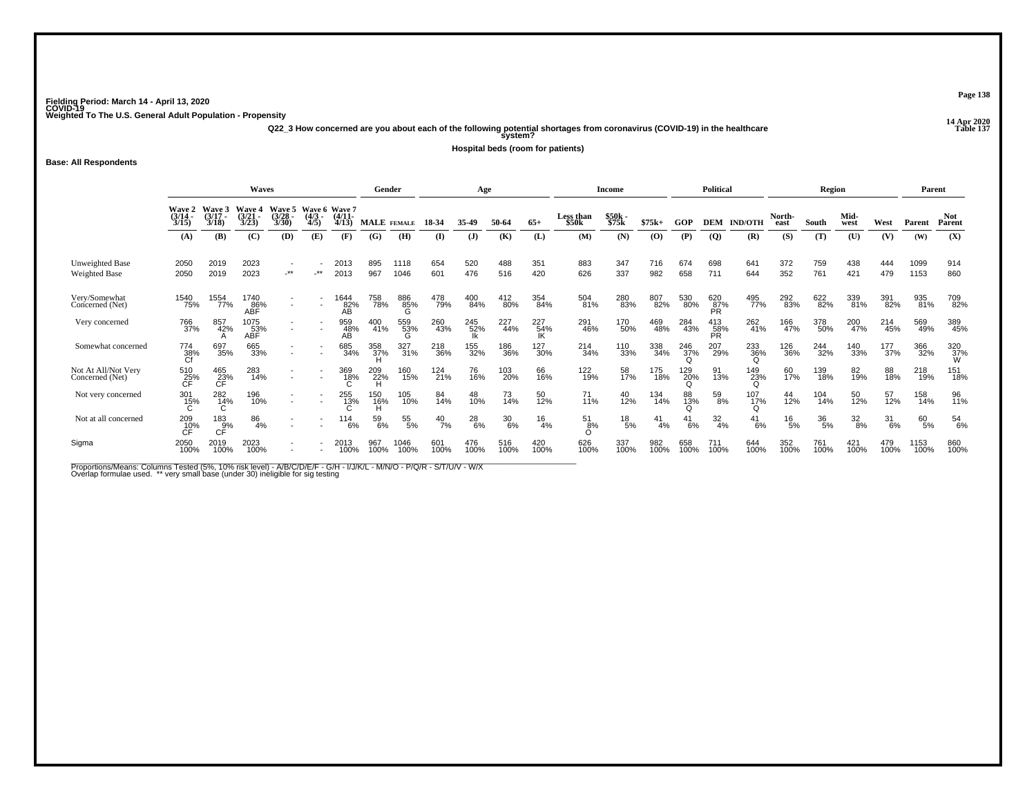**14 Apr 2020 Q22\_3 How concerned are you about each of the following potential shortages from coronavirus (COVID-19) in the healthcare Table 137 system?**

**Hospital beds (room for patients)**

#### **Base: All Respondents**

|                                         |                                   |                             | <b>Waves</b>            |                                 |                                  |                             | Gender             |                 |               | Age          |                  |             |                    | Income          |               |               | <b>Political</b>        |                |                | Region           |                  |             | Parent       |                      |
|-----------------------------------------|-----------------------------------|-----------------------------|-------------------------|---------------------------------|----------------------------------|-----------------------------|--------------------|-----------------|---------------|--------------|------------------|-------------|--------------------|-----------------|---------------|---------------|-------------------------|----------------|----------------|------------------|------------------|-------------|--------------|----------------------|
|                                         | <b>Wave 2<br/>(3/14 -</b><br>3/15 | Waye 5<br>$(3/17 -$<br>3/18 | Wave 4<br>(3/21<br>3/23 | <b>Wave 5</b><br>(3/28)<br>3/30 | Wave 6 Wave 7<br>$(4/3 -$<br>4/5 | $(4/11 -$<br>4/13           | <b>MALE</b> FEMALE |                 | 18-34         | 35-49        | 50-64            | $65+$       | Less than<br>\$50k | \$50k<br>\$75k  | $$75k+$       | GOP           | <b>DEM</b>              | <b>IND/OTH</b> | North-<br>east | South            | Mid-<br>west     | West        | Parent       | <b>Not</b><br>Parent |
|                                         | (A)                               | (B)                         | (C)                     | (D)                             | (E)                              | (F)                         | (G)                | (H)             | (I)           | $\mathbf{J}$ | (K)              | (L)         | (M)                | (N)             | (O)           | (P)           | $\overline{Q}$          | (R)            | (S)            | (T)              | (U)              | (V)         | (W)          | (X)                  |
| Unweighted Base<br><b>Weighted Base</b> | 2050<br>2050                      | 2019<br>2019                | 2023<br>2023            | $.**$                           | $\cdot$ **                       | 2013<br>2013                | 895<br>967         | 1118<br>1046    | 654<br>601    | 520<br>476   | 488<br>516       | 351<br>420  | 883<br>626         | 347<br>337      | 716<br>982    | 674<br>658    | 698<br>711              | 641<br>644     | 372<br>352     | 759<br>761       | 438<br>421       | 444<br>479  | 1099<br>1153 | 914<br>860           |
| Very/Somewhat<br>Concerned (Net)        | 1540<br>75%                       | 1554<br>77%                 | 1740<br>86%<br>ABĒ      |                                 |                                  | 1644<br>$AB$ <sup>32%</sup> | 758<br>78%         | 886<br>85%<br>G | 478<br>79%    | 400<br>84%   | 412<br>80%       | 354<br>84%  | 504<br>81%         | 280<br>83%      | 807<br>82%    | 530<br>80%    | 620<br>87%<br>PR        | 495<br>77%     | 292<br>83%     | 622<br>82%       | 339<br>81%       | 391<br>82%  | 935<br>81%   | 709<br>82%           |
| Very concerned                          | 766<br>37%                        | 857<br>42%                  | 1075<br>53%<br>ABF      | $\overline{\phantom{0}}$        |                                  | 959<br>48%<br>AВ            | 400<br>41%         | 559<br>53%<br>G | 260<br>43%    | 245<br>52%   | 227<br>44%       | 227<br>54%  | 291<br>46%         | 170<br>50%      | 469<br>48%    | 284<br>43%    | 413<br>58%<br><b>PR</b> | 262<br>41%     | 166<br>47%     | 378<br>50%       | 200<br>47%       | 214<br>45%  | 569<br>49%   | 389<br>45%           |
| Somewhat concerned                      | 774<br>38%<br>Cf                  | 697<br>35%                  | 665<br>33%              |                                 |                                  | 685<br>34%                  | 358<br>37%         | 327<br>31%      | 218<br>36%    | 155<br>32%   | 186<br>36%       | 127<br>30%  | 214<br>34%         | 110<br>33%      | 338<br>34%    | 246<br>37%    | 207<br>29%              | 233<br>36%     | 126<br>36%     | 244<br>32%       | 140<br>33%       | 177<br>37%  | 366<br>32%   | 320<br>37%<br>W      |
| Not At All/Not Very<br>Concerned (Net)  | 510<br>25%<br>СĖ                  | 465<br>23%<br><b>CF</b>     | 283<br>14%              |                                 |                                  | 369<br>18%                  | 209<br>22%         | 160<br>15%      | 124<br>21%    | 76<br>16%    | 103<br>20%       | 66<br>16%   | 122<br>19%         | 58<br>17%       | 175<br>18%    | 129<br>20%    | 91<br>13%               | 149<br>23%     | 60<br>17%      | 139<br>18%       | 82<br>19%        | 88<br>18%   | 218<br>19%   | 151<br>18%           |
| Not very concerned                      | $^{301}_{15\%}$                   | 282<br>14%                  | 196<br>10%              |                                 |                                  | 255<br>13%                  | 150<br>16%<br>н    | 105<br>10%      | 84<br>14%     | 48<br>10%    | 73<br>14%        | 50<br>12%   | 71<br>11%          | 40<br>12%       | 134<br>14%    | 88<br>13%     | 59<br>8%                | 107%           | 44<br>12%      | 104<br>14%       | 50<br>12%        | 57<br>12%   | 158<br>14%   | 96<br>11%            |
| Not at all concerned                    | 209<br>C <sub>F</sub>             | $\frac{183}{9%}$            | 86<br>4%                |                                 |                                  | $^{114}_{6\%}$              | $^{59}_{6\%}$      | 55<br>5%        | $^{40}_{7\%}$ | 28<br>6%     | $\frac{30}{6\%}$ | 16<br>4%    | 51<br>8%           | $^{18}_{\ 5\%}$ | $^{41}_{4\%}$ | $^{41}_{6\%}$ | $\frac{32}{4\%}$        | 41<br>6%       | $^{16}_{5\%}$  | $\frac{36}{5\%}$ | $\frac{32}{8\%}$ | 31<br>6%    | 60<br>5%     | 54<br>6%             |
| Sigma                                   | 2050<br>100%                      | 2019<br>100%                | 2023<br>100%            |                                 |                                  | 2013<br>100%                | 967<br>100%        | 1046<br>100%    | 601<br>100%   | 476<br>100%  | 516<br>100%      | 420<br>100% | 626<br>100%        | 337<br>100%     | 982<br>100%   | 658<br>100%   | 711<br>100%             | 644<br>100%    | 352<br>100%    | 761<br>100%      | 421<br>100%      | 479<br>100% | 1153<br>100% | 860<br>100%          |

Proportions/Means: Columns Tested (5%, 10% risk level) - A/B/C/D/E/F - G/H - I/J/K/L - M/N/O - P/Q/R - S/T/U/V - W/X<br>Overlap formulae used. \*\* very small base (under 30) ineligible for sig testing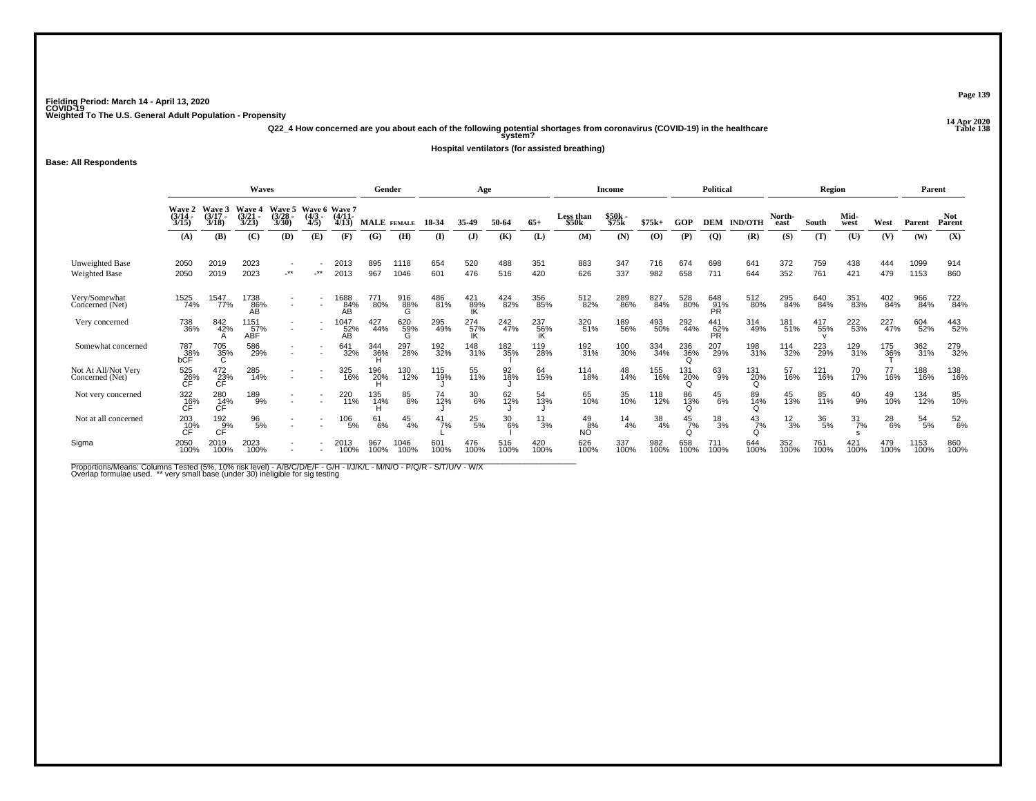**14 Apr 2020 Q22\_4 How concerned are you about each of the following potential shortages from coronavirus (COVID-19) in the healthcare Table 138 system?**

**Hospital ventilators (for assisted breathing)**

**Base: All Respondents**

|                                        |                             |                             | Waves                       |                             |                                   |                    | Gender             |                 |             | Age                                                            |                 |             |                                | Income            |             |                    | <b>Political</b>        |                    |                 | Region           |                  |                     | Parent       |                      |
|----------------------------------------|-----------------------------|-----------------------------|-----------------------------|-----------------------------|-----------------------------------|--------------------|--------------------|-----------------|-------------|----------------------------------------------------------------|-----------------|-------------|--------------------------------|-------------------|-------------|--------------------|-------------------------|--------------------|-----------------|------------------|------------------|---------------------|--------------|----------------------|
|                                        | Wave 2<br>$(3/14 -$<br>3/15 | Waye 5<br>$(3/17 -$<br>3/18 | Wave 4<br>$(3/21 -$<br>3/23 | Wave 5<br>$(3/28 -$<br>3/30 | Wave 6 Wave 7<br>$(4/3 -$<br>4/5) | $(4/11 -$<br>4/13  | <b>MALE</b> FEMALE |                 | 18-34       | 35-49                                                          | 50-64           | $65+$       | Less than<br>\$50 <sub>k</sub> | $$50k -$<br>\$75k | $$75k+$     | GOP                | <b>DEM</b>              | <b>IND/OTH</b>     | North-<br>east  | South            | Mid-<br>west     | West                | Parent       | <b>Not</b><br>Parent |
|                                        | (A)                         | (B)                         | (C)                         | (D)                         | (E)                               | (F)                | (G)                | (H)             | $\bf{I}$    | $\mathbf{J}$                                                   | (K)             | (L)         | (M)                            | (N)               | (O)         | (P)                | <b>(Q)</b>              | (R)                | (S)             | (T)              | (U)              | (V)                 | (W)          | (X)                  |
| Unweighted Base<br>Weighted Base       | 2050<br>2050                | 2019<br>2019                | 2023<br>2023                | -**                         | $\star\star$                      | 2013<br>2013       | 895<br>967         | 1118<br>1046    | 654<br>601  | 520<br>476                                                     | 488<br>516      | 351<br>420  | 883<br>626                     | 347<br>337        | 716<br>982  | 674<br>658         | 698<br>711              | 641<br>644         | 372<br>352      | 759<br>761       | 438<br>421       | 444<br>479          | 1099<br>1153 | 914<br>860           |
| Very/Somewhat<br>Concerned (Net)       | 1525<br>74%                 | 1547<br>77%                 | 1738<br>86%<br>ÁŘ           |                             |                                   | 1688<br>84%<br>AB  | 771<br>80%         | 916<br>88%<br>G | 486<br>81%  | $\begin{array}{c} 421 \\ 89\% \\ \hline \text{IK} \end{array}$ | 424<br>82%      | 356<br>85%  | 512<br>82%                     | 289<br>86%        | 827<br>84%  | 528<br>80%         | 648<br>91%<br><b>PR</b> | 512<br>80%         | 295<br>84%      | 640<br>84%       | 351<br>83%       | 402<br>84%          | 966<br>84%   | 722<br>84%           |
| Very concerned                         | 738<br>36%                  | 842<br>42%                  | 1151<br>57%<br><b>ABF</b>   |                             |                                   | 1047<br>52%<br>ÁΒ. | 427<br>44%         | 620<br>59%      | 295<br>49%  | 274<br>57%<br>IK                                               | 242<br>47%      | 237<br>56%  | 320<br>51%                     | 189<br>56%        | 493<br>50%  | 292<br>44%         | 441<br>62%<br><b>PR</b> | 314<br>49%         | 181<br>51%      | 417<br>55%       | 222<br>53%       | 227<br>47%          | 604<br>52%   | 443<br>52%           |
| Somewhat concerned                     | 787<br>bCF                  | 705<br>35%                  | 586<br>29%                  |                             | $\overline{\phantom{a}}$          | 641<br>32%         | 344<br>36%         | 297<br>28%      | 192<br>32%  | 148<br>31%                                                     | 182<br>35%      | 119<br>28%  | 192<br>31%                     | 100<br>30%        | 334<br>34%  | 236<br>36%         | 207<br>29%              | 198<br>31%         | 114<br>32%      | 223<br>29%       | 129<br>31%       | 175<br>3 <u>6</u> % | 362<br>31%   | 279<br>32%           |
| Not At All/Not Very<br>Concerned (Net) | 525<br>26%                  | $^{472}_{23\%}$             | 285<br>14%                  |                             | $\overline{\phantom{a}}$          | 325<br>16%         | 196<br>20%         | 130<br>12%      | 115<br>19%  | 55<br>11%                                                      | 92<br>18%       | 64<br>15%   | 114<br>18%                     | 48<br>14%         | 155<br>16%  | 131<br>20%<br>Ω    | 63<br>9%                | 131<br>20%<br>Ω    | 57<br>16%       | 121<br>16%       | 70<br>17%        | 77<br>16%           | 188<br>16%   | 138<br>16%           |
| Not very concerned                     | 322<br>16%                  | 280<br>14%<br>CF            | 189<br>9%                   |                             | $\overline{\phantom{a}}$          | 220<br>11%         | 135<br>14%         | 85<br>8%        | 74<br>12%   | 30<br>6%                                                       | 62 <sub>%</sub> | 54<br>13%   | 65<br>10%                      | 35<br>10%         | 118<br>12%  | 86<br>13%<br>Ω     | $^{45}_{6\%}$           | 89<br>14%<br>O     | 45<br>13%       | 85<br>11%        | $^{40}_{9\%}$    | 49<br>10%           | 134<br>12%   | 85<br>10%            |
| Not at all concerned                   | $^{203}_{.10\%}$            | $^{192}_{CFT}$              | 96<br>5%                    |                             |                                   | 106<br>5%          | 61<br>6%           | 45<br>4%        | 7%          | $^{25}_{5\%}$                                                  | 30<br>6%        | 11<br>3%    | $^{49}_{8\%}$<br>ΝÕ            | $\frac{14}{4%}$   | 38<br>4%    | $^{45}_{7\%}$<br>Ω | $\frac{18}{3%}$         | $^{43}_{7\%}$<br>Ω | $\frac{12}{3%}$ | $\frac{36}{5\%}$ | $\frac{31}{7\%}$ | $^{28}_{6\%}$       | 54<br>5%     | $^{52}_{6\%}$        |
| Sigma                                  | 2050<br>100%                | 2019<br>100%                | 2023<br>100%                |                             | $\overline{\phantom{a}}$          | 2013<br>100%       | 967<br>100%        | 1046<br>100%    | 601<br>100% | 476<br>100%                                                    | 516<br>100%     | 420<br>100% | 626<br>100%                    | 337<br>100%       | 982<br>100% | 658<br>100%        | 711<br>100%             | 644<br>100%        | 352<br>100%     | 761<br>100%      | 421<br>100%      | 479<br>100%         | 1153<br>100% | 860<br>100%          |

Proportions/Means: Columns Tested (5%, 10% risk level) - A/B/C/D/E/F - G/H - I/J/K/L - M/N/O - P/Q/R - S/T/U/V - W/X<br>Overlap formulae used. \*\* very small base (under 30) ineligible for sig testing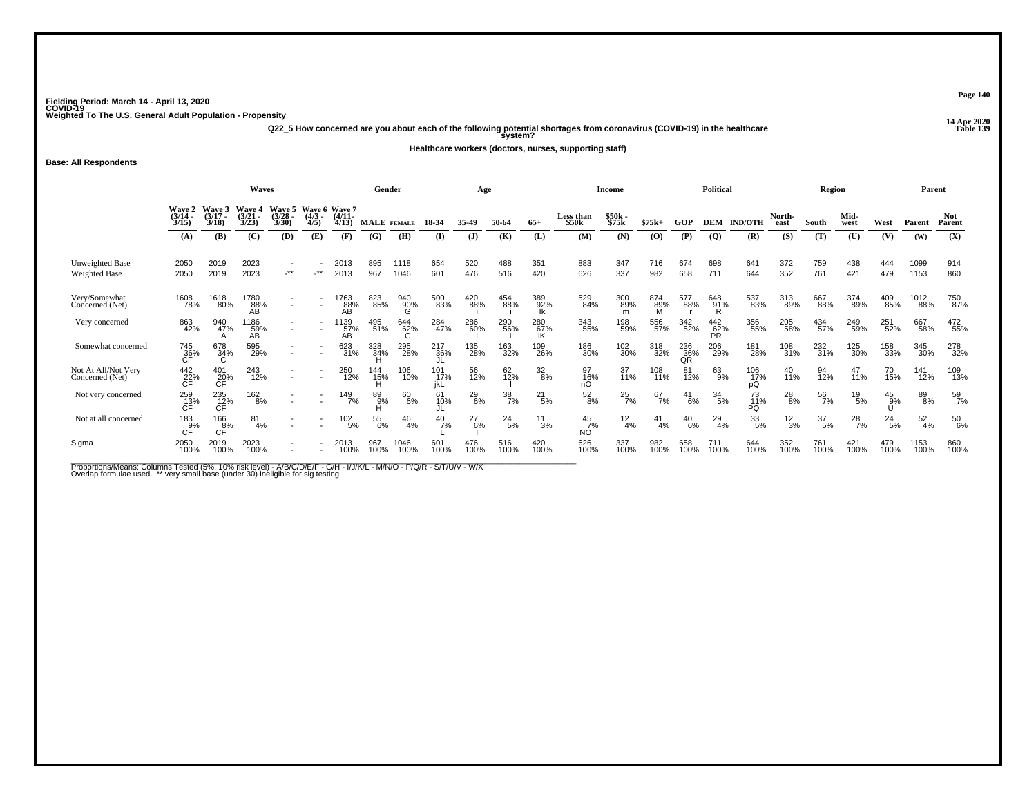**14 Apr 2020 Q22\_5 How concerned are you about each of the following potential shortages from coronavirus (COVID-19) in the healthcare Table 139 system?**

**Healthcare workers (doctors, nurses, supporting staff)**

**Base: All Respondents**

|                                         |                                               |                             | <b>Waves</b>            |                          |                                  |                         | Gender             |                 |             | Age           |                  |                  |                                | <b>Income</b>    |               |                  | <b>Political</b>  |                  |                 | Region           |               |               | Parent           |                      |
|-----------------------------------------|-----------------------------------------------|-----------------------------|-------------------------|--------------------------|----------------------------------|-------------------------|--------------------|-----------------|-------------|---------------|------------------|------------------|--------------------------------|------------------|---------------|------------------|-------------------|------------------|-----------------|------------------|---------------|---------------|------------------|----------------------|
|                                         | <b>Wave 2<br/>(3/14</b><br>3/15               | Waye 3<br>$(3/17 -$<br>3/18 | Wave 4<br>(3/21<br>3/23 | Wave 5<br>(3/28)<br>3/30 | <b>Wave 6</b><br>$(4/3 -$<br>4/5 | Wave 7<br>(4/11<br>4/13 | <b>MALE</b> FEMALE |                 | 18-34       | 35-49         | 50-64            | $65+$            | Less than<br>\$50 <sub>k</sub> | $$50k-$<br>\$75k | $$75k+$       | GOP              | <b>DEM</b>        | <b>IND/OTH</b>   | North-<br>east  | South            | Mid-<br>west  | West          | Parent           | <b>Not</b><br>Parent |
|                                         | (A)                                           | (B)                         | (C)                     | (D)                      | (E)                              | (F)                     | (G)                | (H)             | $($ I       | $\mathbf{J}$  | (K)              | (L)              | (M)                            | (N)              | (O)           | (P)              | $\overline{Q}$    | (R)              | (S)             | (T)              | (U)           | (V)           | (W)              | (X)                  |
| Unweighted Base<br><b>Weighted Base</b> | 2050<br>2050                                  | 2019<br>2019                | 2023<br>2023            | $\cdot^{\star\star}$     | .∗*                              | 2013<br>2013            | 895<br>967         | 1118<br>1046    | 654<br>601  | 520<br>476    | 488<br>516       | 351<br>420       | 883<br>626                     | 347<br>337       | 716<br>982    | 674<br>658       | 698<br>711        | 641<br>644       | 372<br>352      | 759<br>761       | 438<br>421    | 444<br>479    | 1099<br>1153     | 914<br>860           |
| Very/Somewhat<br>Concerned (Net)        | 1608<br>78%                                   | 1618<br>80%                 | 1780<br>88%<br>ÃÃ       | $\overline{\phantom{a}}$ |                                  | 1763<br>88%<br>ÃÃ       | 823<br>85%         | 940<br>90%<br>Ğ | 500<br>83%  | 420<br>88%    | 454<br>88%       | 389<br>92%<br>Îk | 529<br>84%                     | 300<br>89%<br>m  | 874<br>89%    | 577<br>88%       | 648<br>91%<br>R   | 537<br>83%       | 313<br>89%      | 667<br>88%       | 374<br>89%    | 409<br>85%    | 1012<br>88%      | 750<br>87%           |
| Very concerned                          | 863<br>42%                                    | 940<br>47%                  | 1186<br>59%<br>AВ       | $\sim$                   |                                  | ' 139<br>57%<br>AВ      | 495<br>51%         | 644<br>62%<br>G | 284<br>47%  | 286<br>60%    | 290<br>56%       | 280<br>67%<br>IK | 343<br>55%                     | 198<br>59%       | 556<br>57%    | 342<br>52%       | 442<br>62%<br>PR. | 356<br>55%       | 205<br>58%      | 434<br>57%       | 249<br>59%    | 251<br>52%    | 667<br>58%       | 472<br>55%           |
| Somewhat concerned                      | 745<br>36%<br>CF                              | 678<br>34%<br>C             | 595<br>29%              |                          |                                  | 623<br>31%              | 328<br>34%         | 295<br>28%      | 217<br>36%  | 135<br>28%    | 163<br>32%       | 109<br>26%       | 186<br>30%                     | 102<br>30%       | 318<br>32%    | 236<br>36%<br>QR | 206<br>29%        | 181<br>28%       | 108<br>31%      | 232<br>31%       | 125<br>30%    | 158<br>33%    | 345<br>30%       | 278<br>32%           |
| Not At All/Not Very<br>Concerned (Net)  | $\overset{442}{\underset{\mathsf{CF}}{22\%}}$ | 401<br>20%<br>CF            | 243<br>12%              |                          |                                  | 250<br>12%              | 144<br>15%         | 106<br>10%      | 101<br>17%  | 56<br>12%     | 62<br>12%        | $\frac{32}{8%}$  | 97<br>16%<br>nO                | 37<br>11%        | 108<br>11%    | 81<br>12%        | $^{63}_{9\%}$     | 106<br>17%<br>рQ | 40<br>11%       | 94<br>12%        | 47<br>11%     | 70<br>15%     | 141<br>12%       | 109<br>13%           |
| Not very concerned                      | 259<br>13%<br>CF                              | 235<br>12%<br>CF            | $^{162}_{8\%}$          |                          |                                  | 149<br>7%               | 89 <sub>9%</sub>   | 60<br>6%        | 61<br>10%   | $^{29}_{6\%}$ | $\frac{38}{7\%}$ | $^{21}_{5\%}$    | $^{52}_{8\%}$                  | $^{25}_{7\%}$    | $^{67}_{7\%}$ | $^{41}_{6\%}$    | $^{34}_{5\%}$     | 73<br>11%<br>PQ  | $^{28}_{8\%}$   | 56<br>7%         | $^{19}_{5\%}$ | $^{45}_{9\%}$ | 89<br>8%         | 59<br>7%             |
| Not at all concerned                    | $^{183}_{\substack{9\%\\ \text{CF}}}$         | 166<br>8%                   | 81<br>4%                |                          |                                  | 102<br>5%               | 55<br>6%           | 46<br>4%        | 40<br>7%    | 27<br>6%      | $^{24}_{5\%}$    | $^{11}_{3\%}$    | $^{45}_{7\%}$<br>ΝÓ            | $\frac{12}{4%}$  | $^{41}_{4\%}$ | $^{40}_{6\%}$    | $^{29}_{4\%}$     | 33/5%            | $\frac{12}{3%}$ | $\frac{37}{5\%}$ | $^{28}_{7\%}$ | $^{24}_{5\%}$ | $\frac{52}{4\%}$ | 50<br>6%             |
| Sigma                                   | 2050<br>100%                                  | 2019<br>100%                | 2023<br>100%            |                          |                                  | 2013<br>100%            | 967<br>100%        | 1046<br>100%    | 601<br>100% | 476<br>100%   | 516<br>100%      | 420<br>100%      | 626<br>100%                    | 337<br>100%      | 982<br>100%   | 658<br>100%      | 711<br>100%       | 644<br>100%      | 352<br>100%     | 761<br>100%      | 421<br>100%   | 479<br>100%   | 1153<br>100%     | 860<br>100%          |

Proportions/Means: Columns Tested (5%, 10% risk level) - A/B/C/D/E/F - G/H - I/J/K/L - M/N/O - P/Q/R - S/T/U/V - W/X<br>Overlap formulae used. \*\* very small base (under 30) ineligible for sig testing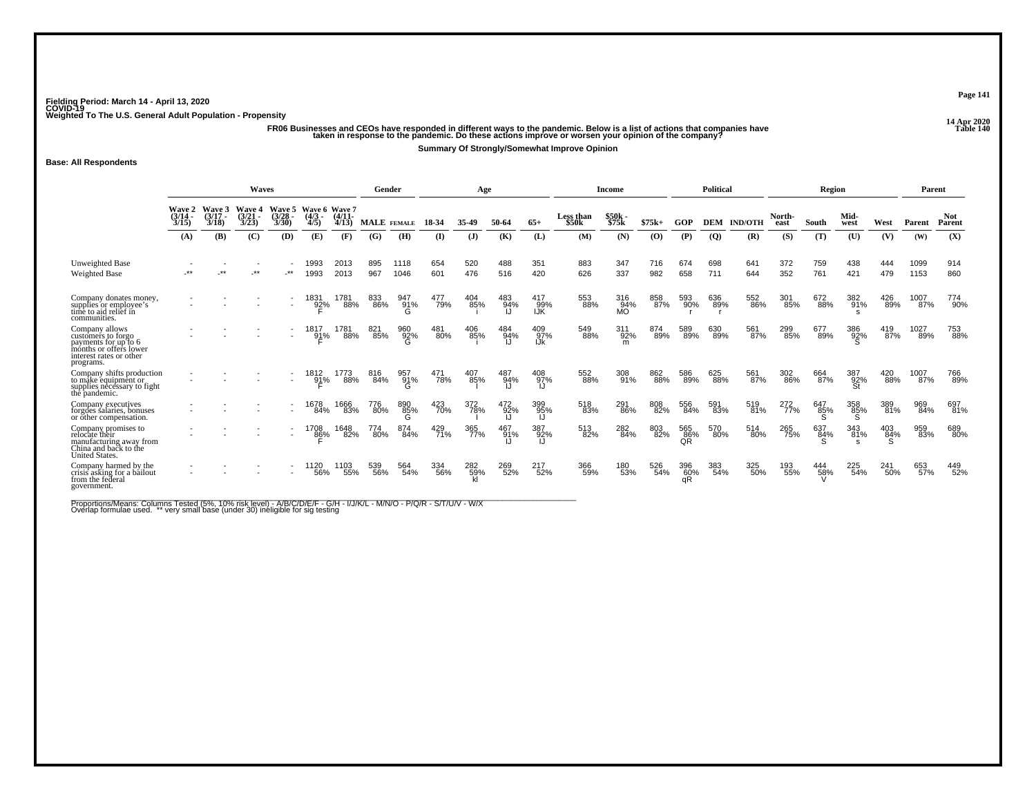-<br>FR06 Businesses and CEOs have responded in different ways to the pandemic. Below is a list of actions that companies have that were the state of actions that companies have the state in the pandemic. Do these actions imp

**Summary Of Strongly/Somewhat Improve Opinion**

**Base: All Respondents**

|                                                                                                                                |                           |                           | <b>Waves</b>                       |                                    |                                  |                   | Gender             |                 |            | Age              |            |                   |                                | <b>Income</b>           |            |                  | <b>Political</b> |                |                | Region     |                  |            | Parent       |                      |
|--------------------------------------------------------------------------------------------------------------------------------|---------------------------|---------------------------|------------------------------------|------------------------------------|----------------------------------|-------------------|--------------------|-----------------|------------|------------------|------------|-------------------|--------------------------------|-------------------------|------------|------------------|------------------|----------------|----------------|------------|------------------|------------|--------------|----------------------|
|                                                                                                                                | Wave 2<br>(3/14 -<br>3/15 | Wave<br>$(3/17 -$<br>3/18 | <b>Wave 4</b><br>$(3/21 -$<br>3/23 | <b>Wave 5</b><br>$(3/28 -$<br>3/30 | Wave 6 Wave 7<br>$(4/3 -$<br>4/5 | $(4/11 -$<br>4/13 | <b>MALE</b> FEMALE |                 | 18-34      |                  | 50-64      | $65+$             | Less than<br>\$50 <sub>k</sub> | \$50k -<br>\$75k        | $$75k+$    | GOP              | <b>DEM</b>       | <b>IND/OTH</b> | North-<br>east | South      | Mid-<br>west     | West       | Parent       | <b>Not</b><br>Parent |
|                                                                                                                                | (A)                       | (B)                       | (C)                                | (D)                                | (E)                              | (F)               | (G)                | <b>H</b>        | $\bf(I)$   | $\mathbf{J}$     | (K)        | (L)               | (M)                            | (N)                     | (O)        | (P)              | $\boldsymbol{Q}$ | (R)            | (S)            | (T)        | (U)              | (V)        | (W)          | (X)                  |
| Unweighted Base<br><b>Weighted Base</b>                                                                                        |                           |                           | **                                 | $***$                              | 1993<br>1993                     | 2013<br>2013      | 895<br>967         | 1118<br>1046    | 654<br>601 | 520<br>476       | 488<br>516 | 351<br>420        | 883<br>626                     | 347<br>337              | 716<br>982 | 674<br>658       | 698<br>711       | 641<br>644     | 372<br>352     | 759<br>761 | 438<br>421       | 444<br>479 | 1099<br>1153 | 914<br>860           |
| Company donates money,<br>supplies or employee's<br>time to aid relief in<br>communities.                                      |                           |                           |                                    |                                    | 1831<br>92%                      | 1781<br>88%       | 833<br>86%         | 947<br>91%      | 477<br>79% | 404<br>85%       | 483<br>94% | 417<br>99%<br>IJK | 553<br>88%                     | 316<br>94%<br><b>MO</b> | 858<br>87% | 593<br>90%       | 636<br>89%       | 552<br>86%     | 301<br>85%     | 672<br>88% | 382<br>91%       | 426<br>89% | 1007<br>87%  | 774<br>90%           |
| Company allows<br>customers to forgo<br>payments for up to 6<br>months or offers lower<br>interest rates or other<br>programs. |                           |                           |                                    |                                    | 1817<br>91%                      | 1781<br>88%       | 821<br>85%         | 960<br>92%<br>G | 481<br>80% | 406<br>85%       | 484<br>94% | 409<br>97%<br>IJk | 549<br>88%                     | 311<br>92%<br>m         | 874<br>89% | 589<br>89%       | 630<br>89%       | 561<br>87%     | 299<br>85%     | 677<br>89% | 386<br>92%       | 419<br>87% | 1027<br>89%  | 753<br>88%           |
| Company shifts production<br>to måke equipment or<br>supplies necessary to fight<br>the pandemic.                              |                           |                           |                                    |                                    | 1812<br>91%                      | 1773<br>88%       | 816<br>84%         | 957<br>91%      | 471<br>78% | 407<br>85%       | 487<br>94% | 408<br>97%        | 552<br>88%                     | 308<br>91%              | 862<br>88% | 586<br>89%       | 625<br>88%       | 561<br>87%     | 302<br>86%     | 664<br>87% | 387<br>92%<br>St | 420<br>88% | 1007<br>87%  | 766<br>89%           |
| Company executives<br>forgões salaries, bonuses<br>or other compensation.                                                      |                           |                           |                                    |                                    | 1678<br>84%                      | 1666<br>83%       | 776<br>80%         | 890<br>85%<br>G | 423<br>70% | 372<br>78%       | 472<br>92% | 399<br>95%        | 518<br>83%                     | 291<br>86%              | 808<br>82% | 556<br>84%       | 591<br>83%       | 519<br>81%     | 272<br>77%     | 647<br>85% | 358<br>85%       | 389<br>81% | 969<br>84%   | 697<br>81%           |
| Company promises to<br>relocate their<br>manufacturing away from<br>China and back to the<br>United States.                    |                           |                           |                                    | $\overline{\phantom{a}}$           | 1708<br>86%                      | 1648<br>82%       | 774<br>80%         | 874<br>84%      | 429<br>71% | 365<br>77%       | 467<br>91% | 387<br>92%        | 513<br>82%                     | 282<br>84%              | 803<br>82% | 565<br>86%<br>QR | 570<br>80%       | 514<br>80%     | 265<br>75%     | 637<br>84% | 343<br>81%       | 403<br>84% | 959<br>83%   | 689<br>80%           |
| Company harmed by the<br>crisis asking for a bailout<br>from the federal<br>government.                                        |                           |                           |                                    |                                    | <sup>1120</sup> 56%              | 1103<br>55%       | 539<br>56%         | 564<br>54%      | 334<br>56% | 282<br>59%<br>kl | 269<br>52% | 217<br>52%        | 366<br>59%                     | 180<br>53%              | 526<br>54% | 396<br>60%<br>αR | 383<br>54%       | 325<br>50%     | 193<br>55%     | 444<br>58% | 225<br>54%       | 241<br>50% | 653<br>57%   | 449<br>52%           |

Proportions/Means: Columns Tested (5%, 10% risk level) - A/B/C/D/E/F - G/H - I/J/K/L - M/N/O - P/Q/R - S/T/U/V - W/X<br>Overlap formulae used. \*\* very small base (under 30) ineligible for sig testing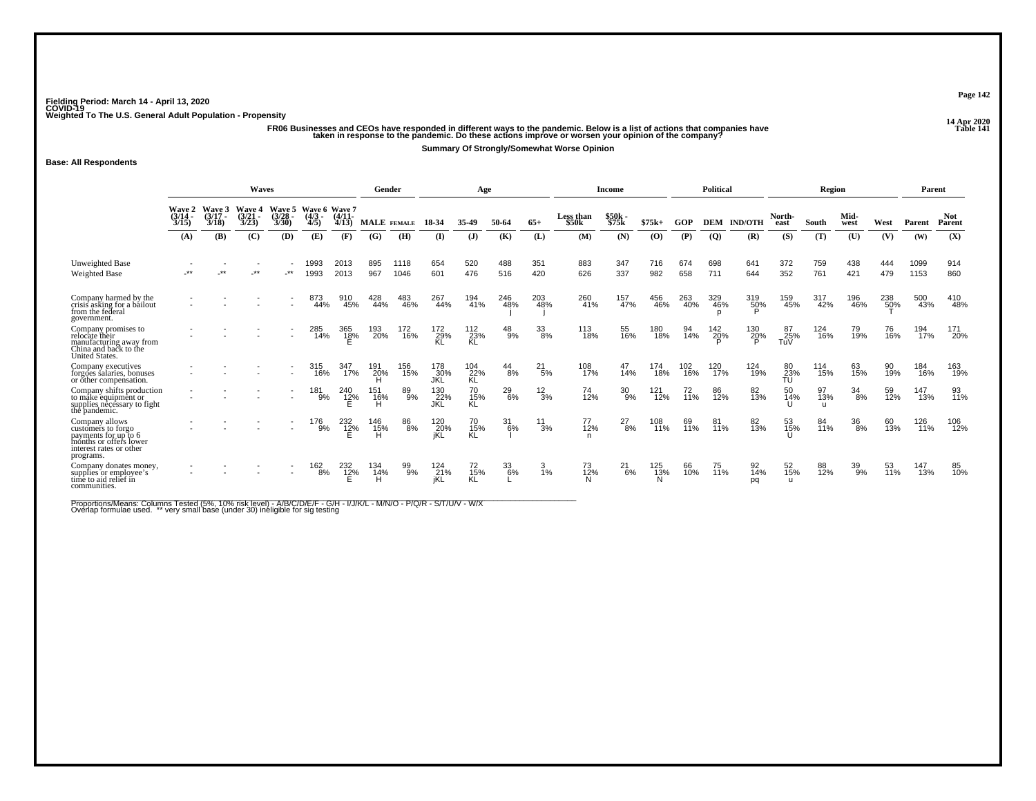-<br>FR06 Businesses and CEOs have responded in different ways to the pandemic. Below is a list of actions that companies have that is the state of the Danie of Table 141.<br>- taken in response to the pandemic. Do these actions

**Summary Of Strongly/Somewhat Worse Opinion**

#### **Base: All Respondents**

|                                                                                                                                | <b>Waves</b>                |                                    |                             |                          |                                  |                     | Gender          |              |                          | Age                  |               |                 |                                | Income            |                         |            | <b>Political</b> |                         |                           | Region                    |              |            | Parent       |                      |
|--------------------------------------------------------------------------------------------------------------------------------|-----------------------------|------------------------------------|-----------------------------|--------------------------|----------------------------------|---------------------|-----------------|--------------|--------------------------|----------------------|---------------|-----------------|--------------------------------|-------------------|-------------------------|------------|------------------|-------------------------|---------------------------|---------------------------|--------------|------------|--------------|----------------------|
|                                                                                                                                | Wave 2<br>$(3/14 -$<br>3/15 | <b>Wave 3</b><br>$(3/17 -$<br>3/18 | Wave 4<br>$(3/21 -$<br>3/23 | Wave 5<br>(3/28)<br>3/30 | Wave 6 Wave 7<br>$(4/3 -$<br>4/5 | $(4/11 -$<br>4/13   | MALE FEMALE     |              | 18-34                    | 35-49                | 50-64         | $65+$           | Less than<br>\$50 <sub>k</sub> | $$50k -$<br>\$75k | $$75k+$                 | <b>GOP</b> | <b>DEM</b>       | <b>IND/OTH</b>          | North-<br>east            | South                     | Mid-<br>west | West       | Parent       | <b>Not</b><br>Parent |
|                                                                                                                                | (A)                         | (B)                                | (C)                         | (D)                      | (E)                              | (F)                 | (G)             | (H)          | $($ I)                   | $($ $)$              | (K)           | (L)             | (M)                            | (N)               | (0)                     | (P)        | $\overline{Q}$   | (R)                     | (S)                       | (T)                       | (U)          | (V)        | (W)          | (X)                  |
| Unweighted Base<br><b>Weighted Base</b>                                                                                        | $***$                       | $***$                              | $***$                       | $\cdot$ **               | 993<br>1993                      | 2013<br>2013        | 895<br>967      | 1118<br>1046 | 654<br>601               | 520<br>476           | 488<br>516    | 351<br>420      | 883<br>626                     | 347<br>337        | 716<br>982              | 674<br>658 | 698<br>711       | 641<br>644              | 372<br>352                | 759<br>761                | 438<br>421   | 444<br>479 | 1099<br>1153 | 914<br>860           |
| Company harmed by the<br>crisis asking for a bailout<br>from the federal<br>government.                                        |                             |                                    |                             |                          | 873<br>44%                       | 910<br>45%          | 428<br>44%      | 483<br>46%   | 267<br>44%               | 194<br>41%           | 246<br>48%    | 203<br>48%      | 260<br>41%                     | 157<br>47%        | 456<br>46%              | 263<br>40% | 329<br>46%       | 319<br>50%              | 159<br>45%                | 317<br>42%                | 196<br>46%   | 238<br>50% | 500<br>43%   | 410<br>48%           |
| Company promises to<br>relocate their<br>manufacturing away from<br>China and back to the<br>United States.                    |                             |                                    |                             |                          | 285<br>14%                       | 365<br>1 <u>8</u> % | 193<br>20%      | 172<br>16%   | 172<br>29%<br>KL         | 112<br>23%<br>KL     | $^{48}_{9\%}$ | 33<br>8%        | 113<br>18%                     | 55<br>16%         | 180<br>18%              | 94<br>14%  | 142<br>20%       | 130<br>2 <u>0</u> %     | 87<br>25%<br>TuV          | 124<br>16%                | 79<br>19%    | 76<br>16%  | 194<br>17%   | 171<br>20%           |
| Company executives<br>forgões salaries, bonuses<br>or other compensation.                                                      |                             |                                    |                             |                          | 315<br>16%                       | 347<br>17%          | 191<br>20%      | 156<br>15%   | 178<br>30%<br>JKL        | 104<br>22%<br>KL     | $^{44}_{8\%}$ | $^{21}_{5\%}$   | 108<br>17%                     | 47<br>14%         | 174<br>18%              | 102<br>16% | 120<br>17%       | 124<br>19%              | 80<br>$\frac{23}{10}$     | 114<br>15%                | 63<br>15%    | 90<br>19%  | 184<br>16%   | 163<br>19%           |
| Company shifts production<br>to måke equipment or<br>supplies necessary to fight<br>the pandemic.                              |                             |                                    |                             |                          | 181<br>9%                        | 240<br>12%          | 151<br>16%<br>н | 89<br>9%     | 130<br>22%<br><b>JKL</b> | 70<br>15%<br>KL      | $^{29}_{6\%}$ | $\frac{12}{3%}$ | 74<br>12%                      | $^{30}_{9\%}$     | 121<br>$\frac{1}{12\%}$ | 72<br>11%  | 86<br>12%        | 82<br>13%               | 50<br>14%                 | 97<br>13%<br>$\mathbf{H}$ | 34<br>8%     | 59<br>12%  | 147<br>13%   | 93<br>11%            |
| Company allows<br>customers to forgo<br>payments for up to 6<br>mónths or offers lower<br>interest rates or other<br>programs. |                             |                                    |                             |                          | 176<br>9%                        | $^{232}_{12\%}$     | 146<br>15%<br>н | 86<br>8%     | 120<br>20%<br>jKĹ        | 70<br>15%<br>KL      | 31<br>$-6%$   | 11<br>3%        | 77<br>12%<br>n                 | $^{27}_{8\%}$     | 108<br>11%              | 69<br>11%  | 81<br>11%        | 82<br>13%               | 53<br>15%                 | 84<br>11%                 | 36<br>8%     | 60<br>13%  | 126<br>11%   | 106<br>12%           |
| Company donates money,<br>supplies or employee's<br>time to aid relief in<br>communities.                                      |                             |                                    |                             |                          | $^{162}_{8\%}$                   | 232<br>1 <u>2</u> % | 134<br>14%      | 99<br>9%     | 124<br>21%<br>jKL        | $^{72}_{15\%}$<br>KL | 33<br>6%      | $\frac{3}{1\%}$ | 73<br>12%                      | $^{21}_{6\%}$     | 125<br>13%              | 66<br>10%  | 75<br>11%        | $\frac{92}{14\%}$<br>pq | 52<br>15%<br>$\mathbf{u}$ | 88<br>12%                 | 39<br>9%     | 53<br>11%  | 13%          | 85<br>10%            |

Proportions/Means: Columns Tested (5%, 10% risk level) - A/B/C/D/E/F - G/H - I/J/K/L - M/N/O - P/Q/R - S/T/U/V - W/X<br>Overlap formulae used. \*\* very small base (under 30) ineligible for sig testing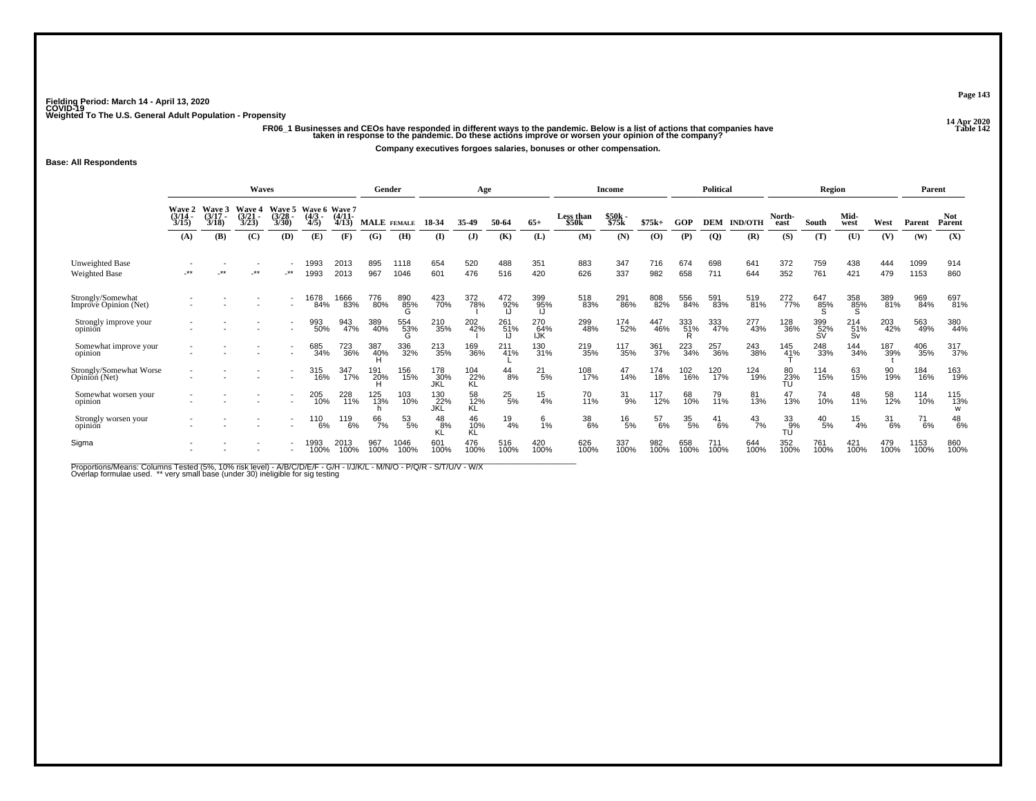ر ريد من الله عن الله عن الله عن الله عن الله عن الله عن الله عن الله عن الله عن الله عن الله عن الله عن الله<br>14 Table 142 taken in response to the pandemic. Do these actions improve or worsen your opinion of the company **Company executives forgoes salaries, bonuses or other compensation.**

**Base: All Respondents**

|                                            |                                    |                            | <b>Waves</b>                       |                          |                                        |              | Gender             |              |                          | Age                    |                 |                          |                    | Income         |             |             | <b>Political</b> |                |                     | Region                     |                              |             | Parent        |                      |
|--------------------------------------------|------------------------------------|----------------------------|------------------------------------|--------------------------|----------------------------------------|--------------|--------------------|--------------|--------------------------|------------------------|-----------------|--------------------------|--------------------|----------------|-------------|-------------|------------------|----------------|---------------------|----------------------------|------------------------------|-------------|---------------|----------------------|
|                                            | Wave $2$<br>$\frac{3}{14}$<br>3/15 | Wave 3<br>$3/17 -$<br>3/18 | <b>Wave 4</b><br>$(3/21 -$<br>3/23 | Wave 5<br>(3/28)<br>3/30 | Wave 6 Wave 7<br>(4/3 - (4/11 -<br>4/5 | 4/13         | <b>MALE</b> FEMALE |              | 18-34                    | 35-49                  | 50-64           | $65+$                    | Less than<br>\$50k | \$50k<br>\$75k | $$75k+$     | GOP         | <b>DEM</b>       | <b>IND/OTH</b> | North-<br>east      | South                      | Mid-<br>west                 | West        | Parent        | <b>Not</b><br>Parent |
|                                            | (A)                                | (B)                        | (C)                                | (D)                      | (E)                                    | (F)          | (G)                | (H)          | (I)                      | $\mathbf{J}$           | (K)             | (L)                      | (M)                | (N)            | $\bf{(0)}$  | (P)         | $\overline{Q}$   | (R)            | (S)                 | (T)                        | (U)                          | (V)         | (W)           | (X)                  |
| Unweighted Base<br>Weighted Base           | $***$                              | **                         | $\cdot^{\star\star}$               | $\cdot$ **               | 993<br>1993                            | 2013<br>2013 | 895<br>967         | 1118<br>1046 | 654<br>601               | 520<br>476             | 488<br>516      | 351<br>420               | 883<br>626         | 347<br>337     | 716<br>982  | 674<br>658  | 698<br>711       | 641<br>644     | 372<br>352          | 759<br>761                 | 438<br>421                   | 444<br>479  | 1099<br>1153  | 914<br>860           |
| Strongly/Somewhat<br>Imprové Opinion (Net) |                                    |                            |                                    |                          | 1678<br>84%                            | 1666<br>83%  | 776<br>80%         | 890<br>85%   | 423<br>70%               | 372<br>78%             | 472<br>92%      | 399<br>95%               | 518<br>83%         | 291<br>86%     | 808<br>82%  | 556<br>84%  | 591<br>83%       | 519<br>81%     | 272<br>77%          | <sup>647</sup><br>85%<br>Տ | 358<br>85%<br>S              | 389<br>81%  | 969<br>84%    | 697<br>81%           |
| Strongly improve your<br>opinion           |                                    |                            |                                    |                          | 993<br>50%                             | 943<br>47%   | 389<br>40%         | 554<br>53%   | 210<br>35%               | 202<br>42%             | 261<br>51%      | 270<br>64%<br><b>IJK</b> | 299<br>48%         | 174<br>52%     | 46%         | 333<br>51%  | 333<br>47%       | 277<br>43%     | 128<br>36%          | 399<br>52%<br>SV           | $^{214}_{51\%}$<br><b>Sv</b> | 203<br>42%  | 563<br>49%    | 380<br>44%           |
| Somewhat improve your<br>opinion           |                                    |                            |                                    |                          | 685<br>34%                             | 723<br>36%   | 387<br>40%         | 336<br>32%   | 213<br>35%               | 169<br>36%             | 211<br>41%      | 130<br>31%               | 219<br>35%         | 117<br>35%     | 361<br>37%  | 223<br>34%  | 257<br>36%       | 243<br>38%     | 145<br>4 <u>1</u> % | 248<br>33%                 | 144<br>34%                   | 187<br>39%  | 406<br>35%    | 317<br>37%           |
| Strongly/Somewhat Worse<br>Opinion (Net)   |                                    |                            |                                    |                          | 315<br>16%                             | 347<br>17%   | 191<br>20%         | 156<br>15%   | 178<br>30%<br>JKL        | 104<br>22%<br>KL       | $^{44}_{8\%}$   | $^{21}_{5\%}$            | 108<br>17%         | 47<br>14%      | 174<br>18%  | 102<br>16%  | 120<br>17%       | 124<br>19%     | 80<br>23%<br>TU     | 114<br>15%                 | 63<br>15%                    | 90<br>19%   | 184<br>16%    | 163<br>19%           |
| Somewhat worsen your<br>opinion            |                                    |                            |                                    |                          | 205<br>10%                             | 228<br>11%   | 125<br>13%         | 103<br>10%   | 130<br>22%<br><b>JKL</b> | 58<br>12%<br><b>KL</b> | $^{25}_{5\%}$   | $^{15}_{4\%}$            | 70<br>11%          | $^{31}_{9\%}$  | 117<br>12%  | 68<br>10%   | 79<br>11%        | 81<br>13%      | 47<br>13%           | 74<br>10%                  | 48<br>11%                    | 58<br>12%   | 114<br>10%    | 115<br>13%<br>W      |
| Strongly worsen your<br>opinion            |                                    |                            |                                    |                          | 110<br>6%                              | 119<br>6%    | 66<br>7%           | 53<br>5%     | 48<br>8%<br>KĽ           | 46<br>10%<br>KĹ        | $\frac{19}{4%}$ | 6<br>1%                  | 38<br>6%           | $^{16}_{5\%}$  | 57<br>6%    | 35<br>5%    | 41<br>6%         | $^{43}_{7\%}$  | 33<br>__g%<br>TU    | $^{40}_{\ 5\%}$            | 15<br>4%                     | 31<br>6%    | $^{71}_{6\%}$ | $^{48}_{6\%}$        |
| Sigma                                      |                                    |                            |                                    |                          | 993<br>100%                            | 2013<br>100% | 967<br>100%        | 1046<br>100% | 601<br>100%              | 476<br>100%            | 516<br>100%     | 420<br>100%              | 626<br>100%        | 337<br>100%    | 982<br>100% | 658<br>100% | 711<br>100%      | 644<br>100%    | 352<br>100%         | 761<br>100%                | 421<br>100%                  | 479<br>100% | 1153<br>100%  | 860<br>100%          |

Proportions/Means: Columns Tested (5%, 10% risk level) - A/B/C/D/E/F - G/H - I/J/K/L - M/N/O - P/Q/R - S/T/U/V - W/X<br>Overlap formulae used. \*\* very small base (under 30) ineligible for sig testing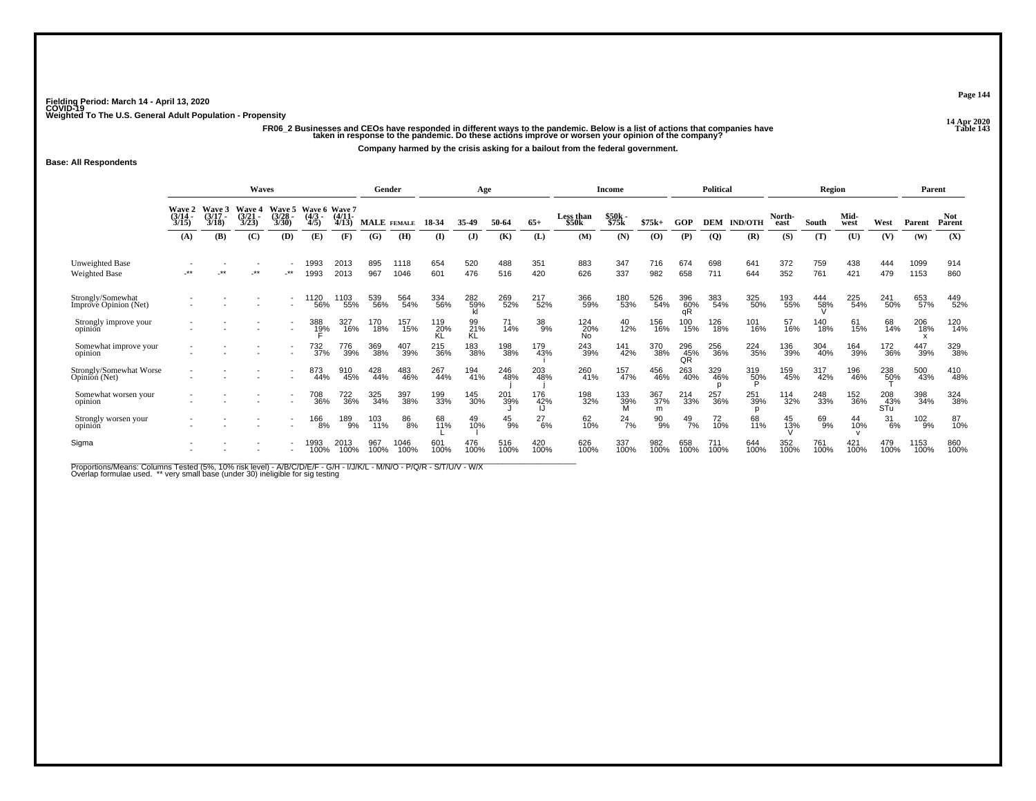ر ريد من الله عن الله عن الله عن الله عن الله عن الله عن الله عن الله عن الله عن الله عن الله عن الله عن الله<br>13 Table 14 Table 14 Table 143 Table 143 Table 143 Table 143 Table 143<br>Table 14 taken in response to the pande **Company harmed by the crisis asking for a bailout from the federal government.**

**Base: All Respondents**

|                                            |                           |                | Waves                   |                             |                           |                                    | Gender      |              |             | Age              |             |              |                                | <b>Income</b>         |                 |                    | <b>Political</b> |                          |                | Region      |              |                   | Parent         |                      |
|--------------------------------------------|---------------------------|----------------|-------------------------|-----------------------------|---------------------------|------------------------------------|-------------|--------------|-------------|------------------|-------------|--------------|--------------------------------|-----------------------|-----------------|--------------------|------------------|--------------------------|----------------|-------------|--------------|-------------------|----------------|----------------------|
|                                            | Waye 2<br>(3/14 -<br>3/15 | Wave 3<br>3/18 | Waye 4<br>(3/21<br>3/23 | Wave 5<br>$(3/28 -$<br>3/30 | Wave 6<br>$(4/3 -$<br>4/5 | <b>Wave 7</b><br>$(4/11 -$<br>4/13 | MALE FEMALE |              | 18-34       | 35-49            | 50-64       | $65+$        | Less than<br>\$50 <sub>k</sub> | $$50k-$<br>\$75k      | $$75k+$         | GOP                | <b>DEM</b>       | <b>IND/OTH</b>           | North-<br>east | South       | Mid-<br>west | West              | Parent         | <b>Not</b><br>Parent |
|                                            | (A)                       | (B)            | (C)                     | (D)                         | (E)                       | (F)                                | (G)         | (H)          | $($ I       | $($ $)$          | (K)         | (L)          | (M)                            | (N)                   | (0)             | (P)                | $\overline{Q}$   | (R)                      | (S)            | (T)         | (U)          | (V)               | (W)            | (X)                  |
| Unweighted Base<br><b>Weighted Base</b>    | -**                       | **             | $***$                   | -**                         | 1993<br>1993              | 2013<br>2013                       | 895<br>967  | 1118<br>1046 | 654<br>601  | 520<br>476       | 488<br>516  | 351<br>420   | 883<br>626                     | 347<br>337            | 716<br>982      | 674<br>658         | 698<br>711       | 641<br>644               | 372<br>352     | 759<br>761  | 438<br>421   | 444<br>479        | 1099<br>1153   | 914<br>860           |
| Strongly/Somewhat<br>Imprové Opinion (Net) |                           |                |                         | $\overline{\phantom{a}}$    | 1120<br>56%               | 103<br>55%                         | 539<br>56%  | 564<br>54%   | 334<br>56%  | 282<br>59%<br>kl | 269<br>52%  | 217<br>52%   | 366<br>59%                     | 180<br>53%            | 526<br>54%      | 396<br>60%         | 383<br>54%       | 325<br>50%               | 193<br>55%     | 444<br>58%  | 225<br>54%   | 241<br>50%        | 653<br>57%     | 449<br>52%           |
| Strongly improve your<br>opinion           |                           |                |                         | $\overline{\phantom{a}}$    | 388<br>1 <u>9</u> %       | 327<br>16%                         | 170<br>18%  | 157<br>15%   | 119<br>20%  | 99<br>21%<br>KL  | 71<br>14%   | $^{38}_{9%}$ | 124<br>20%<br>No               | 40<br>12%             | 156<br>16%      | 100<br>15%         | 126<br>18%       | 101<br>16%               | 57<br>16%      | 140<br>18%  | 61<br>15%    | 68<br>14%         | 206<br>18%     | 120<br>14%           |
| Somewhat improve your<br>opinion           |                           |                |                         | $\overline{\phantom{a}}$    | 732<br>37%                | 776<br>39%                         | 369<br>38%  | 407<br>39%   | 215<br>36%  | 183<br>38%       | 198<br>38%  | 179<br>43%   | 243<br>39%                     | 141<br>42%            | 370<br>38%      | $^{296}_{45\%}$ QR | 256<br>36%       | 224<br>35%               | 136<br>39%     | 304<br>40%  | 164<br>39%   | 172<br>36%        | 447<br>39%     | 329<br>38%           |
| Strongly/Somewhat Worse<br>Opinion (Net)   |                           |                |                         |                             | 873<br>44%                | 910<br>45%                         | 428<br>44%  | 483<br>46%   | 267<br>44%  | 194<br>41%       | 246<br>48%  | 203<br>48%   | 260<br>41%                     | 157<br>47%            | 456<br>46%      | 263<br>40%         | 329<br>46%       | 319<br>5 <u>0</u> %<br>D | 159<br>45%     | 317<br>42%  | 196<br>46%   | 238<br>50%        | 500<br>43%     | 410<br>48%           |
| Somewhat worsen your<br>opinion            |                           |                |                         |                             | 708<br>36%                | 722<br>36%                         | 325<br>34%  | 397<br>38%   | 199<br>33%  | 145<br>30%       | 201<br>39%  | 176<br>42%   | 198<br>32%                     | 133<br>39%<br>M       | 367<br>37%<br>m | 214<br>33%         | 257<br>36%       | 251<br>39%               | 114<br>32%     | 248<br>33%  | 152<br>36%   | 208<br>43%<br>STu | 398<br>34%     | 324<br>38%           |
| Strongly worsen your<br>opinion            |                           |                |                         | $\overline{\phantom{a}}$    | 166<br>8%                 | 189<br>9%                          | 103<br>11%  | 86<br>8%     | 68<br>11%   | 49<br>10%        | 45<br>9%    | 27<br>6%     | 62<br>10%                      | $^{24}$ <sub>7%</sub> | 90<br>9%        | 49<br>7%           | 72<br>10%        | 68<br>11%                | 45<br>13%      | 69<br>9%    | 44<br>10%    | 31<br>$-6%$       | $^{102}_{9\%}$ | 87<br>10%            |
| Sigma                                      |                           |                |                         | $\overline{\phantom{a}}$    | 1993<br>100%              | 2013<br>100%                       | 967<br>100% | 1046<br>100% | 601<br>100% | 476<br>100%      | 516<br>100% | 420<br>100%  | 626<br>100%                    | 337<br>100%           | 982<br>100%     | 658<br>100%        | 711<br>100%      | 644<br>100%              | 352<br>100%    | 761<br>100% | 421<br>100%  | 479<br>100%       | 1153<br>100%   | 860<br>100%          |

Proportions/Means: Columns Tested (5%, 10% risk level) - A/B/C/D/E/F - G/H - I/J/K/L - M/N/O - P/Q/R - S/T/U/V - W/X<br>Overlap formulae used. \*\* very small base (under 30) ineligible for sig testing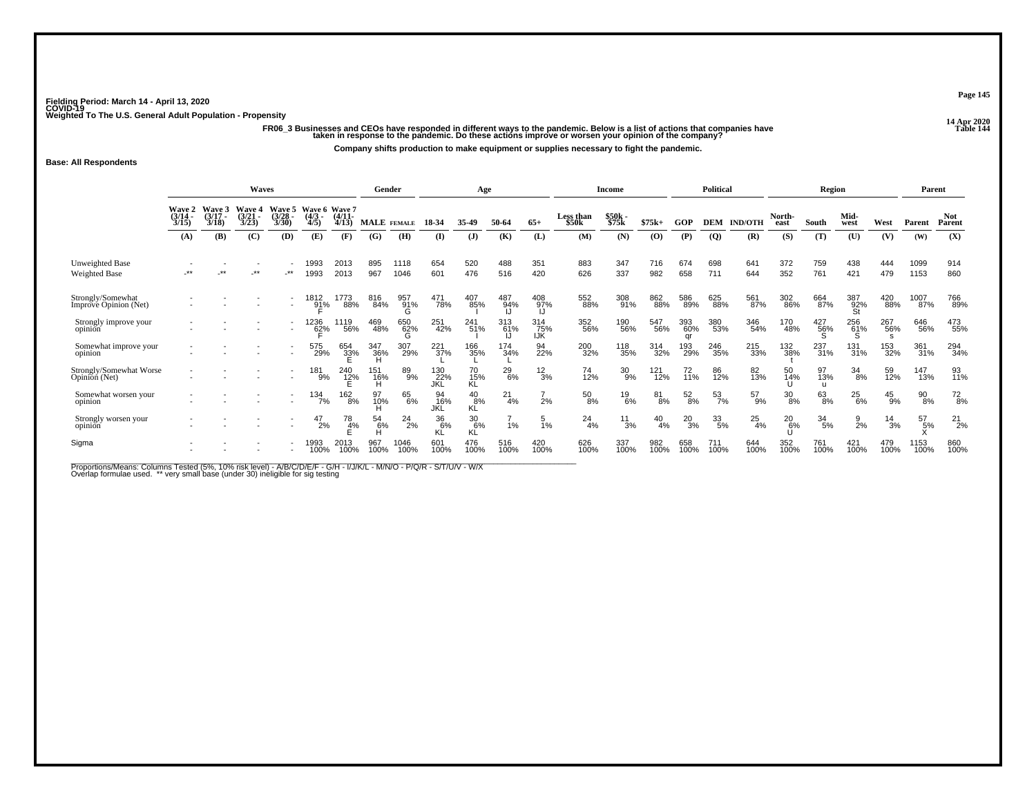**14 Apr 2020 FR06\_3 Businesses and CEOs have responded in different ways to the pandemic. Below is a list of actions that companies have Table 144 taken in response to the pandemic. Do these actions improve or worsen your opinion of the company?**

**Company shifts production to make equipment or supplies necessary to fight the pandemic.**

#### **Base: All Respondents**

|                                            |                                    |                             | Waves                   |                           |                                       |                     | Gender      |                 |                   | Age                 |               |                                  |                           | <b>Income</b>    |             |                  | <b>Political</b> |                |                | Region                    |                  |                 | Parent       |                      |
|--------------------------------------------|------------------------------------|-----------------------------|-------------------------|---------------------------|---------------------------------------|---------------------|-------------|-----------------|-------------------|---------------------|---------------|----------------------------------|---------------------------|------------------|-------------|------------------|------------------|----------------|----------------|---------------------------|------------------|-----------------|--------------|----------------------|
|                                            | <b>Wave 2</b><br>$(3/14 -$<br>3/15 | Wave 3<br>$(3/17 -$<br>3/18 | Waye 4<br>(3/21<br>3/23 | Waye 5<br>(3/28 -<br>3/30 | Wave 6 Wave 7<br>(4/3 - (4/11-<br>4/5 | 4/13                | MALE FEMALE |                 | 18-34             | 35-49               | 50-64         | $65+$                            | <b>Less than</b><br>\$50k | \$50k -<br>\$75k | $$75k+$     | GOP              | <b>DEM</b>       | <b>IND/OTH</b> | North-<br>east | South                     | Mid-<br>west     | West            | Parent       | <b>Not</b><br>Parent |
|                                            | (A)                                | (B)                         | (C)                     | (D)                       | (E)                                   | (F)                 | (G)         | (H)             | (I)               | $\mathbf{J}$        | (K)           | (L)                              | (M)                       | (N)              | (O)         | (P)              | $\overline{Q}$   | (R)            | (S)            | (T)                       | (U)              | (V)             | (W)          | (X)                  |
| Unweighted Base<br>Weighted Base           | $***$                              | **                          | $***$                   | $\cdot$ **                | 1993<br>1993                          | 2013<br>2013        | 895<br>967  | 1118<br>1046    | 654<br>601        | 520<br>476          | 488<br>516    | 351<br>420                       | 883<br>626                | 347<br>337       | 716<br>982  | 674<br>658       | 698<br>711       | 641<br>644     | 372<br>352     | 759<br>761                | 438<br>421       | 444<br>479      | 1099<br>1153 | 914<br>860           |
| Strongly/Somewhat<br>Improve Opinion (Net) |                                    |                             |                         | $\overline{\phantom{a}}$  | 1812<br>91%                           | 1773<br>88%         | 816<br>84%  | 957<br>91%<br>G | 471<br>78%        | 407<br>85%          | 487<br>94%    | 408<br>97%                       | 552<br>88%                | 308<br>91%       | 862<br>88%  | 586<br>89%       | 625<br>88%       | 561<br>87%     | 302<br>86%     | 664<br>87%                | 387<br>92%<br>St | 420<br>88%      | 1007<br>87%  | 766<br>89%           |
| Strongly improve your<br>opinion           |                                    |                             |                         | $\overline{\phantom{a}}$  | 1236<br>62%                           | 1119<br>56%         | 469<br>48%  | 650<br>62%<br>G | 251<br>42%        | 241<br>51%          | 313<br>61%    | $\frac{314}{75\%}$<br><b>IJK</b> | 352<br>56%                | 190<br>56%       | 547<br>56%  | 393<br>60%<br>qr | 380<br>53%       | 346<br>54%     | 170<br>48%     | 427<br>56%                | 256<br>61%<br>S  | 267<br>56%<br>s | 646<br>56%   | 473<br>55%           |
| Somewhat improve your<br>opinion           |                                    |                             |                         | $\overline{\phantom{a}}$  | 575<br>29%                            | 654<br>3 <u>3</u> % | 347<br>36%  | 307<br>29%      | 221<br>37%        | 166<br>35%          | 174<br>34%    | 94<br>22%                        | 200<br>32%                | 118<br>35%       | 314<br>32%  | 193<br>29%       | 246<br>35%       | 215<br>33%     | 132<br>38%     | 237<br>31%                | 131<br>31%       | 153<br>32%      | 361<br>31%   | 294<br>34%           |
| Strongly/Somewhat Worse<br>Opinion (Net)   |                                    |                             |                         |                           | 181<br>9%                             | 240<br>12%          | 151<br>16%  | 89<br>9%        | 130<br>22%<br>JKL | 70<br>15%<br>KĹ     | $^{29}_{6\%}$ | $\frac{12}{3%}$                  | 74<br>12%                 | $^{30}_{9\%}$    | 121<br>12%  | 72<br>11%        | 86<br>12%        | 82<br>13%      | 50<br>14%      | 97<br>13%<br>$\mathbf{u}$ | 34<br>8%         | 59<br>12%       | 147<br>13%   | 93<br>11%            |
| Somewhat worsen your<br>opinion            |                                    |                             |                         |                           | $134 \over 7\%$                       | 162<br>8%           | 97<br>10%   | 65<br>6%        | 94<br>16%<br>JKL  | $^{40}_{8\%}$<br>KĽ | $^{21}_{4\%}$ | 2%                               | $^{50}_{8\%}$             | $^{19}_{6\%}$    | 81<br>8%    | $^{52}_{8\%}$    | $\frac{53}{7\%}$ | $^{57}_{9\%}$  | $30_{8\%}$     | 63<br>8%                  | $^{25}_{6\%}$    | $^{45}_{9%}$    | 90<br>8%     | $^{72}_{8\%}$        |
| Strongly worsen your<br>opinion            |                                    |                             |                         |                           | 47<br>2%                              | 78<br>4%            | 54<br>6%    | $^{24}_{2\%}$   | 36<br>6%<br>ΚĽ    | 30<br>6%<br>ΚĽ      | 1%            | 1%                               | 24<br>4%                  | $^{11}_{3\%}$    | 40<br>4%    | $^{20}_{3\%}$    | $\frac{33}{5\%}$ | 25<br>4%       | 20<br>6%       | $\frac{34}{5\%}$          | 9<br>2%          | 14<br>3%        | 57<br>5%     | $^{21}_{2\%}$        |
| Sigma                                      |                                    |                             |                         |                           | 1993<br>100%                          | 2013<br>100%        | 967<br>100% | 1046<br>100%    | 601<br>100%       | 476<br>100%         | 516<br>100%   | 420<br>100%                      | 626<br>100%               | 337<br>100%      | 982<br>100% | 658<br>100%      | 711<br>100%      | 644<br>100%    | 352<br>100%    | 761<br>100%               | 421<br>100%      | 479<br>100%     | 1153<br>100% | 860<br>100%          |

Proportions/Means: Columns Tested (5%, 10% risk level) - A/B/C/D/E/F - G/H - I/J/K/L - M/N/O - P/Q/R - S/T/U/V - W/X<br>Overlap formulae used. \*\* very small base (under 30) ineligible for sig testing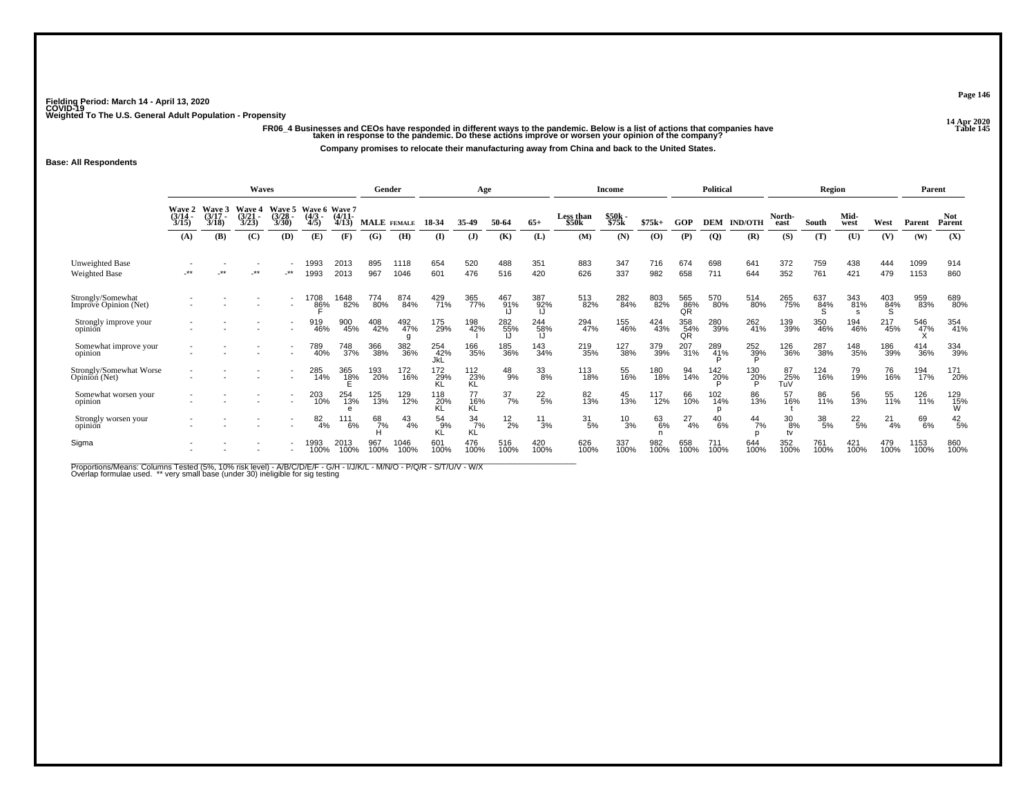۔<br>FR06\_4 Businesses and CEOs have responded in different ways to the pandemic. Below is a list of actions that companies have<br>taken in response to the pandemic. Do these actions improve or worsen your opinion of the comp

**Company promises to relocate their manufacturing away from China and back to the United States.**

#### **Base: All Respondents**

|                                            |                                    |                             | Waves                    |                             |                                  |                     |             | Gender          |                   | Age                   |                  |                 |                           | Income         |             |                  | <b>Political</b> |                |                  | Region           |                 |                 | Parent                  |                      |
|--------------------------------------------|------------------------------------|-----------------------------|--------------------------|-----------------------------|----------------------------------|---------------------|-------------|-----------------|-------------------|-----------------------|------------------|-----------------|---------------------------|----------------|-------------|------------------|------------------|----------------|------------------|------------------|-----------------|-----------------|-------------------------|----------------------|
|                                            | <b>Wave 2</b><br>$(3/14 -$<br>3/15 | Wave 3<br>$(3/17 -$<br>3/18 | Wave 4<br>(3/21)<br>3/23 | Wave 5<br>$(3/28 -$<br>3/30 | Wave 6 Wave 7<br>$(4/3 -$<br>4/5 | $(4/11 -$<br>4/13   | MALE FEMALE |                 | 18-34             | 35.49                 | 50-64            | $65+$           | <b>Less than</b><br>\$50k | \$50k<br>\$75k | $$75k+$     | GOP              | DEM              | <b>IND/OTH</b> | North-<br>east   | South            | Mid-<br>west    | West            | Parent                  | <b>Not</b><br>Parent |
|                                            | (A)                                | <b>(B)</b>                  | (C)                      | (D)                         | (E)                              | (F)                 | (G)         | (H)             | (I)               | $\mathbf{J}$          | (K)              | (L)             | (M)                       | (N)            | (O)         | (P)              | $\overline{Q}$   | (R)            | (S)              | (T)              | (U)             | (V)             | (W)                     | (X)                  |
| Unweighted Base<br><b>Weighted Base</b>    | $***$                              | $***$                       | .∗∗                      | -**                         | 1993<br>1993                     | 2013<br>2013        | 895<br>967  | 1118<br>1046    | 654<br>601        | 520<br>476            | 488<br>516       | 351<br>420      | 883<br>626                | 347<br>337     | 716<br>982  | 674<br>658       | 698<br>711       | 641<br>644     | 372<br>352       | 759<br>761       | 438<br>421      | 444<br>479      | 1099<br>1153            | 914<br>860           |
| Strongly/Somewhat<br>Imprové Opinion (Net) |                                    |                             |                          |                             | 1708<br>86%                      | 1648<br>82%         | 774<br>80%  | 874<br>84%      | 429<br>71%        | 365<br>77%            | 467<br>91%       | 387<br>92%      | 513<br>82%                | 282<br>84%     | 803<br>82%  | 565<br>86%<br>ΟŘ | 570<br>80%       | 514<br>80%     | 265<br>75%       | 637<br>84%<br>S. | 343<br>81%      | 403<br>84%<br>S | 959<br>83%              | 689<br>80%           |
| Strongly improve your<br>opinion           |                                    |                             |                          |                             | 919<br>46%                       | 900<br>45%          | 408<br>42%  | 492<br>47%<br>g | 175<br>29%        | 198<br>42%            | 282<br>55%       | 244<br>58%      | 294<br>47%                | 155<br>46%     | 424<br>43%  | 358<br>54%       | 280<br>39%       | 262<br>41%     | 139<br>39%       | 350<br>46%       | 194<br>46%      | 217<br>45%      | 546<br>47%<br>$\lambda$ | 354<br>41%           |
| Somewhat improve your<br>opinion           |                                    |                             |                          | $\overline{\phantom{a}}$    | 789<br>40%                       | 748<br>37%          | 366<br>38%  | 382<br>36%      | 254<br>42%<br>JkL | 166<br>35%            | 185<br>36%       | 143<br>34%      | 219<br>35%                | 127<br>38%     | 379<br>39%  | 207<br>31%       | 289<br>41%       | 252<br>39%     | 126<br>36%       | 287<br>38%       | 148<br>35%      | 186<br>39%      | 414<br>36%              | 334<br>39%           |
| Strongly/Somewhat Worse<br>Opinion (Net)   |                                    |                             |                          |                             | 285<br>14%                       | 365<br>1 <u>8</u> % | 193<br>20%  | 172<br>16%      | 172<br>29%<br>ΚL  | 112<br>23%<br>KĹ      | $^{48}_{9%}$     | 33<br>8%        | 113<br>18%                | 55<br>16%      | 180<br>18%  | 94<br>14%        | 142<br>20%       | 130<br>20%     | 87<br>25%<br>TuV | 124<br>16%       | 79<br>19%       | 76<br>16%       | 194<br>17%              | 171<br>20%           |
| Somewhat worsen your<br>opinion            |                                    |                             |                          | $\overline{\phantom{a}}$    | 203<br>10%                       | 254<br>13%          | 125<br>13%  | 129<br>12%      | 118<br>20%<br>KL  | 77<br>16%<br>KĹ       | $\frac{37}{7\%}$ | $^{22}_{5\%}$   | 82 <sub>%</sub>           | 45<br>13%      | 117<br>12%  | 66<br>10%        | 102<br>14%       | 86<br>13%      | 16%              | 86<br>11%        | 56<br>13%       | 55<br>11%       | 126<br>11%              | 129<br>15%<br>W      |
| Strongly worsen your<br>opinion            |                                    |                             |                          |                             | 82<br>4%                         | 111<br>6%           | 68<br>7%    | 43<br>4%        | 54<br>9%<br>KĽ    | $\frac{34}{7%}$<br>KĹ | $^{12}_{2\%}$    | $\frac{11}{3%}$ | $\frac{31}{5\%}$          | $^{10}_{3\%}$  | 63<br>6%    | 27<br>4%         | $^{40}_{6\%}$    | 44<br>7%       | 30<br>8%<br>tv   | 38<br>5%         | $^{22}_{\ 5\%}$ | 21<br>4%        | 69<br>6%                | $^{42}_{\ 5\%}$      |
| Sigma                                      |                                    |                             |                          |                             | 1993<br>100%                     | 2013<br>100%        | 967<br>100% | 1046<br>100%    | 601<br>100%       | 476<br>100%           | 516<br>100%      | 420<br>100%     | 626<br>100%               | 337<br>100%    | 982<br>100% | 658<br>100%      | 711<br>100%      | 644<br>100%    | 352<br>100%      | 761<br>100%      | 421<br>100%     | 479<br>100%     | 1153<br>100%            | 860<br>100%          |

Proportions/Means: Columns Tested (5%, 10% risk level) - A/B/C/D/E/F - G/H - I/J/K/L - M/N/O - P/Q/R - S/T/U/V - W/X<br>Overlap formulae used. \*\* very small base (under 30) ineligible for sig testing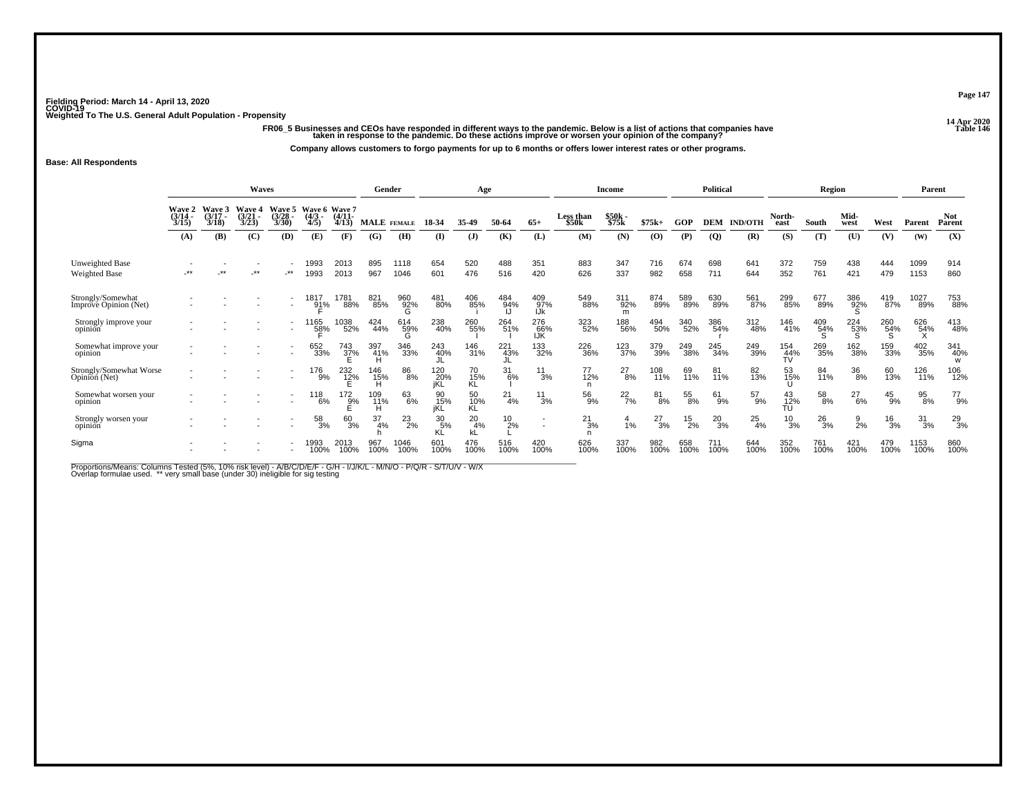**14 Apr 2020 FR06\_5 Businesses and CEOs have responded in different ways to the pandemic. Below is a list of actions that companies have Table 146 taken in response to the pandemic. Do these actions improve or worsen your opinion of the company?**

**Company allows customers to forgo payments for up to 6 months or offers lower interest rates or other programs.**

#### **Base: All Respondents**

|                                            |                                    |                             | Waves                   |                           |                                       |                     | Gender      |                 |                   | Age             |                  |                          |                           | <b>Income</b>    |             |               | <b>Political</b> |                |                        | Region        |               |                 | Parent          |                      |
|--------------------------------------------|------------------------------------|-----------------------------|-------------------------|---------------------------|---------------------------------------|---------------------|-------------|-----------------|-------------------|-----------------|------------------|--------------------------|---------------------------|------------------|-------------|---------------|------------------|----------------|------------------------|---------------|---------------|-----------------|-----------------|----------------------|
|                                            | <b>Wave 2</b><br>$(3/14 -$<br>3/15 | Wave 3<br>$(3/17 -$<br>3/18 | Waye 4<br>(3/21<br>3/23 | Waye 5<br>(3/28 -<br>3/30 | Wave 6 Wave 7<br>(4/3 - (4/11-<br>4/5 | 4/13                | MALE FEMALE |                 | 18-34             | 35-49           | 50-64            | $65+$                    | <b>Less than</b><br>\$50k | \$50k -<br>\$75k | $$75k+$     | GOP           | <b>DEM</b>       | <b>IND/OTH</b> | North-<br>east         | South         | Mid-<br>west  | West            | Parent          | <b>Not</b><br>Parent |
|                                            | (A)                                | (B)                         | (C)                     | (D)                       | (E)                                   | (F)                 | (G)         | (H)             | (I)               | $\mathbf{J}$    | (K)              | (L)                      | (M)                       | (N)              | (O)         | (P)           | $\overline{Q}$   | (R)            | (S)                    | (T)           | (U)           | (V)             | (W)             | (X)                  |
| Unweighted Base<br>Weighted Base           | $***$                              | **                          | $***$                   | $\cdot^{\star\star}$      | 1993<br>1993                          | 2013<br>2013        | 895<br>967  | 1118<br>1046    | 654<br>601        | 520<br>476      | 488<br>516       | 351<br>420               | 883<br>626                | 347<br>337       | 716<br>982  | 674<br>658    | 698<br>711       | 641<br>644     | 372<br>352             | 759<br>761    | 438<br>421    | 444<br>479      | 1099<br>1153    | 914<br>860           |
| Strongly/Somewhat<br>Improve Opinion (Net) |                                    |                             |                         | $\overline{\phantom{a}}$  | 1817<br>91%                           | 1781<br>88%         | 821<br>85%  | 960<br>92%<br>G | 481<br>80%        | 406<br>85%      | 484<br>94%       | 409<br>97%<br>IJk        | 549<br>88%                | 311<br>92%<br>m  | 874<br>89%  | 589<br>89%    | 630<br>89%       | 561<br>87%     | 299<br>85%             | 677<br>89%    | 386<br>92%    | 419<br>87%      | 1027<br>89%     | 753<br>88%           |
| Strongly improve your<br>opinion           |                                    |                             |                         | $\overline{\phantom{a}}$  | 1165<br>5 <u>8</u> %                  | 1038<br>52%         | 424<br>44%  | 614<br>59%<br>G | 238<br>40%        | 260<br>55%      | 264<br>51%       | 276<br>66%<br><b>IJK</b> | 323<br>52%                | 188<br>56%       | 494<br>50%  | 340<br>52%    | 386<br>54%       | 312<br>48%     | 146<br>41%             | 409<br>54%    | 224<br>53%    | 260<br>54%<br>S | 626<br>54%<br>X | 413<br>48%           |
| Somewhat improve your<br>opinion           |                                    |                             |                         | $\overline{\phantom{a}}$  | 652<br>33%                            | 743<br>3 <u>7</u> % | 397<br>41%  | 346<br>33%      | 243<br>40%        | 146<br>31%      | 221<br>43%       | 133<br>32%               | 226<br>36%                | 123<br>37%       | 379<br>39%  | 249<br>38%    | 245<br>34%       | 249<br>39%     | 154<br>$\frac{44}{10}$ | 269<br>35%    | 162<br>38%    | 159<br>33%      | 402<br>35%      | 341<br>40%<br>w      |
| Strongly/Somewhat Worse<br>Opinion (Net)   |                                    |                             |                         |                           | 176<br>9%                             | 232<br>1 <u>2</u> % | 146<br>15%  | 86<br>8%        | 120<br>20%<br>iKĹ | 70<br>15%<br>KĹ | $\frac{31}{6\%}$ | 11<br>3%                 | 77<br>12%                 | $^{27}_{8\%}$    | 108<br>11%  | 69<br>11%     | 81<br>11%        | 82<br>13%      | 53<br>15%              | 84<br>11%     | 36<br>8%      | 60<br>13%       | 126<br>11%      | 106<br>12%           |
| Somewhat worsen your<br>opinion            |                                    |                             |                         |                           | $^{118}_{6\%}$                        | $\frac{172}{9\%}$   | 109<br>11%  | 63<br>6%        | 90<br>15%<br>iKL  | 50<br>10%<br>KL | $^{21}_{4\%}$    | $^{11}_{3\%}$            | 56<br>9%                  | $^{22}_{7\%}$    | 81<br>8%    | 55<br>8%      | 61<br>9%         | 57<br>9%       | 43<br>12%<br>TU        | 58<br>8%      | $^{27}_{6\%}$ | $^{45}_{9\%}$   | 95<br>8%        | $^{77}_{9\%}$        |
| Strongly worsen your<br>opinion            |                                    |                             |                         |                           | 58<br>3%                              | 60<br>3%            | 37<br>4%    | $^{23}_{2\%}$   | 30<br>5%<br>ΚĽ    | 20<br>4%<br>kL  | 10<br>2%         | $\overline{\phantom{a}}$ | 21<br>3%                  | 1%               | 27<br>3%    | $^{15}_{2\%}$ | $^{20}_{3\%}$    | $^{25}_{4\%}$  | 10<br>3%               | $^{26}_{3\%}$ | 9<br>2%       | $\frac{16}{3%}$ | 31<br>3%        | $^{29}_{3\%}$        |
| Sigma                                      |                                    |                             |                         |                           | 1993<br>100%                          | 2013<br>100%        | 967<br>100% | 1046<br>100%    | 601<br>100%       | 476<br>100%     | 516<br>100%      | 420<br>100%              | 626<br>100%               | 337<br>100%      | 982<br>100% | 658<br>100%   | 711<br>100%      | 644<br>100%    | 352<br>100%            | 761<br>100%   | 421<br>100%   | 479<br>100%     | 1153<br>100%    | 860<br>100%          |

Proportions/Means: Columns Tested (5%, 10% risk level) - A/B/C/D/E/F - G/H - I/J/K/L - M/N/O - P/Q/R - S/T/U/V - W/X<br>Overlap formulae used. \*\* very small base (under 30) ineligible for sig testing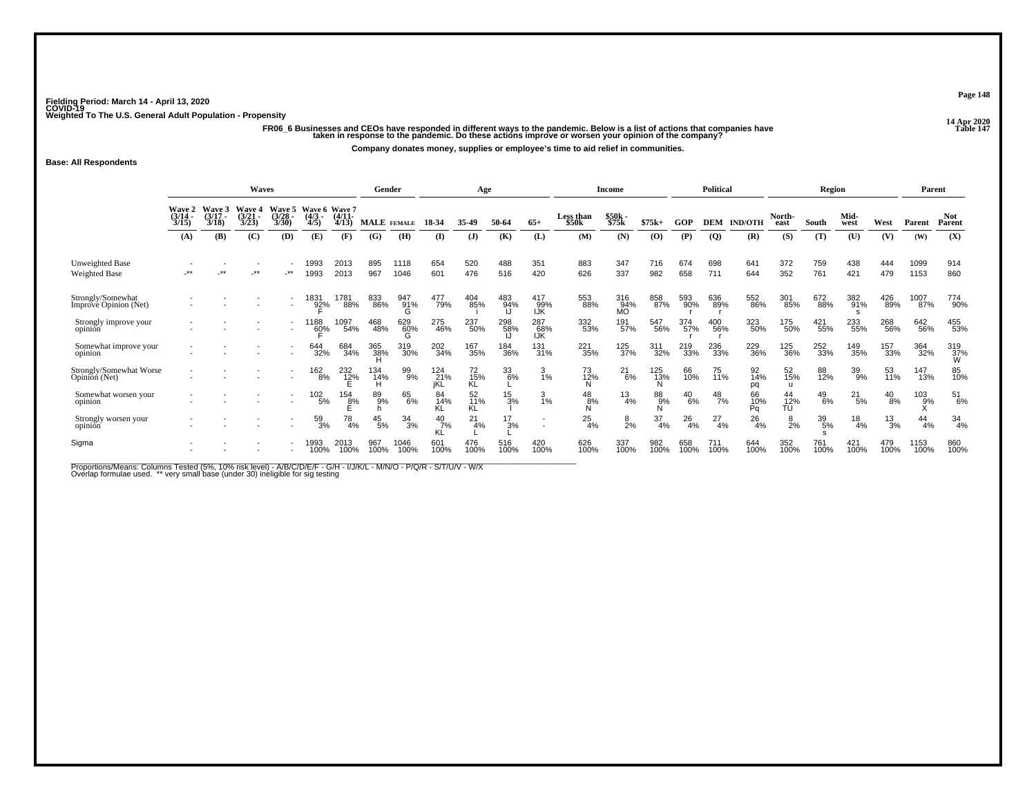ء ريد من المسافرة 6 Businesses and CEOs have responded in different ways to the pandemic. Below is a list of actions that companies have<br>14 Table 14 Table 147 and taken in response to the pandemic. Do these actions impro

**Company donates money, supplies or employee's time to aid relief in communities.**

#### **Base: All Respondents**

|                                            |                           |                             | Waves                           |                          |                                   |                     | Gender      |                 |                   | Age                          |                 |                          |                                       | Income                  |             |               | <b>Political</b> |                 |                           | Region        |               |                 | Parent        |                      |
|--------------------------------------------|---------------------------|-----------------------------|---------------------------------|--------------------------|-----------------------------------|---------------------|-------------|-----------------|-------------------|------------------------------|-----------------|--------------------------|---------------------------------------|-------------------------|-------------|---------------|------------------|-----------------|---------------------------|---------------|---------------|-----------------|---------------|----------------------|
|                                            | Wave 2<br>(3/14 -<br>3/15 | Wave 3<br>$(3/17 -$<br>3/18 | <b>Wave 4</b><br>(3/21)<br>3/23 | Wave 5<br>(3/28)<br>3/30 | Wave 6 Wave 7<br>$(4/3 -$<br>4/5) | $(4/11 -$<br>4/13   | MALE FEMALE |                 | 18-34             | 35-49                        | 50-64           | $65+$                    | <b>Less than</b><br>\$50 <sub>k</sub> | \$50k -<br>\$75k        | $$75k+$     | GOP           | <b>DEM</b>       | <b>IND/OTH</b>  | North-<br>east            | South         | Mid-<br>west  | West            | Parent        | <b>Not</b><br>Parent |
|                                            | (A)                       | (B)                         | (C)                             | (D)                      | (E)                               | (F)                 | (G)         | (H)             | $($ I             | $($ $)$                      | (K)             | (L)                      | (M)                                   | (N)                     | (0)         | (P)           | $\overline{Q}$   | (R)             | (S)                       | (T)           | (U)           | (V)             | (W)           | (X)                  |
| Unweighted Base<br>Weighted Base           | **                        | **                          | **                              | $***$                    | 1993<br>1993                      | 2013<br>2013        | 895<br>967  | 1118<br>1046    | 654<br>601        | 520<br>476                   | 488<br>516      | 351<br>420               | 883<br>626                            | 347<br>337              | 716<br>982  | 674<br>658    | 698<br>711       | 641<br>644      | 372<br>352                | 759<br>761    | 438<br>421    | 444<br>479      | 1099<br>1153  | 914<br>860           |
| Strongly/Somewhat<br>Improve Opinion (Net) |                           |                             |                                 | $\overline{\phantom{a}}$ | 1831<br>92%                       | 1781<br>88%         | 833<br>86%  | 947<br>91%<br>G | 477<br>79%        | 404<br>85%                   | 483<br>94%      | 417<br>99%<br>IJK        | 553<br>88%                            | 316<br>94%<br><b>MO</b> | 858<br>87%  | 593<br>90%    | 636<br>89%       | 552<br>86%      | 301<br>85%                | 672<br>88%    | 382<br>91%    | 426<br>89%      | 1007<br>87%   | 774<br>90%           |
| Strongly improve your<br>opinion           |                           |                             |                                 | $\overline{\phantom{a}}$ | 1188<br>6 <u>0</u> %              | 1097<br>54%         | 468<br>48%  | 629<br>60%      | 275<br>46%        | 237<br>50%                   | 298<br>58%      | 287<br>68%<br>IJK        | 332<br>53%                            | 191%                    | 547<br>56%  | 374<br>57%    | 400<br>56%       | 323<br>50%      | 175<br>50%                | 421<br>55%    | 233<br>55%    | 268<br>56%      | 642<br>56%    | 455<br>53%           |
| Somewhat improve your<br>opinion           |                           |                             |                                 |                          | 644<br>32%                        | 684<br>34%          | 365<br>38%  | 319<br>30%      | 202<br>34%        | 167<br>35%                   | 184<br>36%      | 131<br>31%               | 221<br>35%                            | 125<br>37%              | 311<br>32%  | 219<br>33%    | 236<br>33%       | 229<br>36%      | 125<br>36%                | 252<br>33%    | 149<br>35%    | 157<br>33%      | 364<br>32%    | 319<br>37%<br>W      |
| Strongly/Somewhat Worse<br>Opinion (Net)   |                           |                             |                                 |                          | $^{162}_{8\%}$                    | 232<br>1 <u>2</u> % | 134<br>14%  | 99%             | 124<br>21%<br>iKL | 72<br>15%<br>KĹ              | 33<br>6%        | 3<br>1%                  | 73<br>12%                             | $^{21}_{6\%}$           | 125<br>13%  | 66<br>10%     | 75<br>11%        | 92<br>14%<br>pq | 52<br>15%<br>$\mathbf{u}$ | 88<br>12%     | $^{39}_{9\%}$ | 53<br>11%       | 147<br>13%    | 85<br>10%            |
| Somewhat worsen your<br>opinion            |                           |                             |                                 |                          | 102/5%                            | 154<br>8%           | 89<br>9%    | 65<br>6%        | 84<br>14%<br>KL   | 52 <sub>%</sub><br><b>KL</b> | $\frac{15}{3%}$ | $\frac{3}{1\%}$          | $^{48}_{8\%}$                         | $^{13}_{4\%}$           | 88%         | $^{40}_{6\%}$ | $^{48}_{7\%}$    | 66<br>10%<br>Pa | 44<br>12%<br>TU           | $^{49}_{6\%}$ | $^{21}_{5\%}$ | $^{40}_{8\%}$   | $^{103}_{9%}$ | $^{51}_{6\%}$        |
| Strongly worsen your<br>opinion            |                           |                             |                                 |                          | 59<br>3%                          | 78<br>4%            | 45<br>5%    | 34<br>3%        | 40<br>7%<br>KĹ    | 21<br>4%                     | 3%              | $\overline{\phantom{a}}$ | 25<br>4%                              | $\frac{8}{2\%}$         | 37<br>4%    | 26<br>4%      | 27<br>4%         | 26<br>4%        | 8<br>2%                   | 39<br>5%      | $^{18}_{4\%}$ | $\frac{13}{3%}$ | 44<br>4%      | 34<br>4%             |
| Sigma                                      |                           |                             |                                 |                          | 1993<br>100%                      | 2013<br>100%        | 967<br>100% | 1046<br>100%    | 601<br>100%       | 476<br>100%                  | 516<br>100%     | 420<br>100%              | 626<br>100%                           | 337<br>100%             | 982<br>100% | 658<br>100%   | 711<br>100%      | 644<br>100%     | 352<br>100%               | 761<br>100%   | 421<br>100%   | 479<br>100%     | 1153<br>100%  | 860<br>100%          |

Proportions/Means: Columns Tested (5%, 10% risk level) - A/B/C/D/E/F - G/H - I/J/K/L - M/N/O - P/Q/R - S/T/U/V - W/X<br>Overlap formulae used. \*\* very small base (under 30) ineligible for sig testing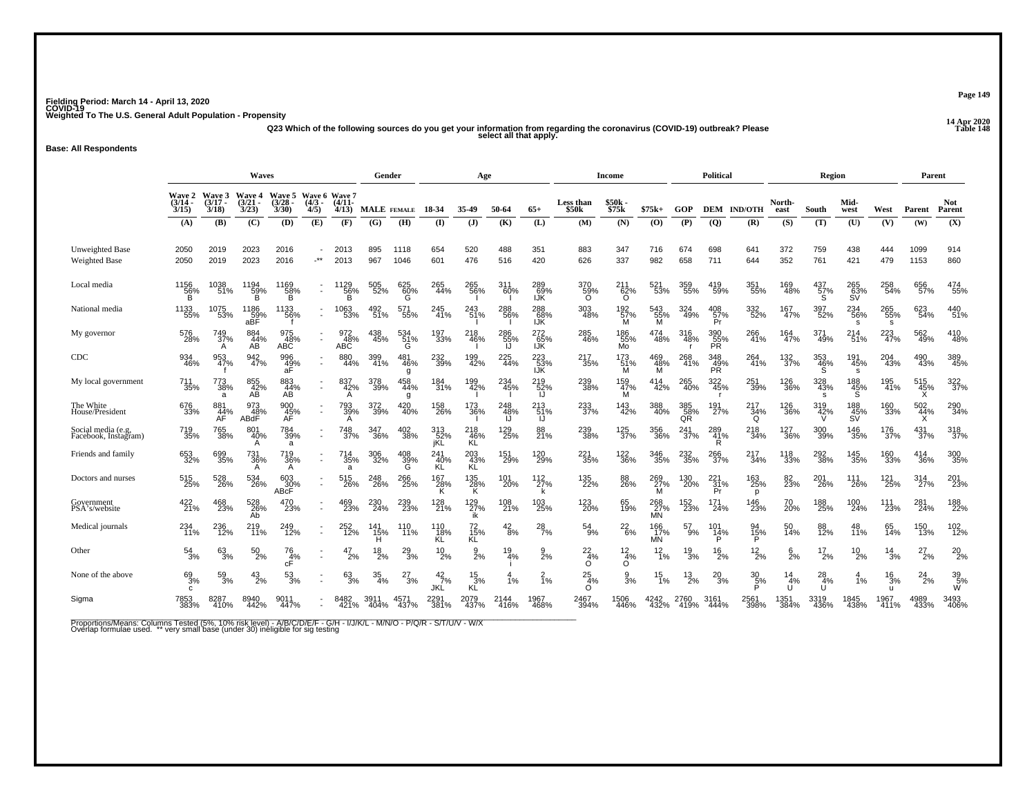**14 Apr 2020 Q23 Which of the following sources do you get your information from regarding the coronavirus (COVID-19) outbreak? Please Table 148 select all that apply.**

**Base: All Respondents**

|                                            | Waves<br>Wave 6 Wave 7           |                             |                             |                          |                          |                   | Gender           |                       |                      | Age                   |                                                                |                       |                             | Income                     |                        |                  | Political                     |                       |                               | Region                |                         |                          | Parent          |                |
|--------------------------------------------|----------------------------------|-----------------------------|-----------------------------|--------------------------|--------------------------|-------------------|------------------|-----------------------|----------------------|-----------------------|----------------------------------------------------------------|-----------------------|-----------------------------|----------------------------|------------------------|------------------|-------------------------------|-----------------------|-------------------------------|-----------------------|-------------------------|--------------------------|-----------------|----------------|
|                                            | <b>Wave 2</b><br>(3/14 -<br>3/15 | Wave 3<br>$(3/17 -$<br>3/18 | Wave 4<br>$(3/21 -$<br>3/23 | Wave 5<br>(3/28)<br>3/30 | $(4/3 -$<br>4/5)         | $(4/11 -$<br>4/13 |                  | MALE FEMALE           | 18-34                | 35.49                 | 50-64                                                          | $65+$                 | Less than<br>\$50k          | \$50k<br>\$75k             | $$75k+$                | <b>GOP</b>       |                               | <b>DEM IND/OTH</b>    | North-<br>east                | South                 | Mid-<br>west            | West                     | Parent          | Not.<br>Parent |
|                                            | (A)                              | (B)                         | (C)                         | (D)                      | (E)                      | (F)               | (G)              | (H)                   | $\mathbf{I}$         | (J)                   | (K)                                                            | (L)                   | (M)                         | (N)                        | (O)                    | (P)              | (Q)                           | (R)                   | (S)                           | (T)                   | (U)                     | (V)                      | (W)             | (X)            |
| Unweighted Base<br>Weighted Base           | 2050<br>2050                     | 2019<br>2019                | 2023<br>2023                | 2016<br>2016             | $\cdot$ **               | 2013<br>2013      | 895<br>967       | 1118<br>1046          | 654<br>601           | 520<br>476            | 488<br>516                                                     | 351<br>420            | 883<br>626                  | 347<br>337                 | 716<br>982             | 674<br>658       | 698<br>711                    | 641<br>644            | 372<br>352                    | 759<br>761            | 438<br>421              | 444<br>479               | 1099<br>1153    | 914<br>860     |
| Local media                                | 1156<br>$\frac{56}{B}$           | 1038<br>51%                 | 1194<br>$\frac{59}{B}$      | 1169<br>$\frac{58}{B}$   | $\blacksquare$           | 1129<br>56%<br>B  | 505<br>52%       | 625<br>$\frac{60}{6}$ | 265<br>44%           | 265<br>56%            | 311<br>60%                                                     | 289<br>_69%<br>IJK    | 370<br>59%                  | $^{211}_{62\%}$            | 521<br>53%             | 359<br>55%       | 419<br>59%                    | 351<br>55%            | 169<br>48%                    | 437<br>$\frac{57}{5}$ | 265<br>63%<br>SV        | 258<br>54%               | 656<br>57%      | 474<br>55%     |
| National media                             | 1133<br>55%                      | 1075<br>53%                 | 1186<br>59%<br>aBF          | 1133<br>56%              | $\overline{a}$           | 1063<br>53%       | 492<br>51%       | 571<br>55%            | 245<br>$-41%$        | 243<br>51%            | 288<br>56%                                                     | 288<br>68%<br>IJK     | 303<br>48%                  | 192<br>57%<br>м            | 543<br>55%<br><b>M</b> | 324<br>49%       | 408<br>57%<br>Pr              | 332<br>52%            | 167<br>47%                    | 397<br>52%            | 234<br>-56%<br>s        | 265<br>55%<br>s          | 623<br>54%      | 440<br>51%     |
| My governor                                | 576<br>28%                       | 749<br>37%<br>A             | 884<br>44%<br>AB            | 975<br>48%<br>ABC        |                          | 972<br>48%<br>ABC | 438<br>45%       | 534<br>51%<br>G       | 197<br>33%           | 218<br>46%            | 286<br>55%<br>IJ                                               | 27265%<br><b>IJK</b>  | 285<br>46%                  | 186<br>55%<br>Mo           | 474<br>48%             | 316<br>48%       | 390<br>55%<br>PR <sup>1</sup> | 266<br>41%            | 164<br>47%                    | 371<br>49%            | 214 <sub>%</sub>        | 223<br>47%               | 562<br>49%      | 410<br>48%     |
| <b>CDC</b>                                 | 934<br>46%                       | 953<br>47%                  | 942<br>47%                  | 996<br>$\frac{49}{a}$    | $\blacksquare$           | 880<br>44%        | 399<br>41%       | 481<br>46%<br>a       | 232<br>39%           | 199<br>42%            | 225<br>44%                                                     | 223<br>-53%<br>IJK    | 217<br>35%                  | 173<br>$M^{\frac{151}{6}}$ | 469<br>48%<br>M        | 268<br>41%       | 348<br>49%<br>PR              | 264<br>41%            | 132<br>37%                    | 353<br>46%<br>S       | 191<br>45%<br>s         | 204<br>43%               | 490<br>43%      | 389<br>45%     |
| My local government                        | 711<br>35%                       | 773<br>38%<br>a             | 855<br>42%<br>AB            | 883<br>44%<br>AB         | $\sim$                   | 837<br>42%<br>A   | 378<br>39%       | 458<br>44%<br>g       | 184<br>31%           | 199<br>42%            | 234<br>45%                                                     | 219<br>$\frac{52}{1}$ | 239<br>38%                  | 159<br>47%<br>м            | 414<br>42%             | 265<br>40%       | 322<br>45%<br>- r             | 251<br>39%            | 126<br>36%                    | 328<br>43%<br>s       | 188<br>45%<br>S         | 195<br>41%               | 515<br>45%<br>X | 322<br>37%     |
| The White<br>House/President               | 676<br>33%                       | 881<br>44%<br>AF            | 973<br>48%<br>ABdF          | 900<br>45%<br>AF         | $\sim$                   | 793<br>39%<br>A   | 372<br>39%       | 420<br>40%            | 158<br>26%           | 173<br>36%            | $\begin{array}{c} 248 \\ 48\% \\ \hline \text{IJ} \end{array}$ | 213<br>51%<br>ĨJ.     | 233<br>37%                  | 143<br>42%                 | 388<br>40%             | 385<br>58%<br>QR | 191<br>27%                    | 217<br>$\frac{34}{9}$ | 126<br>36%                    | 319<br>42%<br>V       | 188<br>45%<br><b>SV</b> | 160<br>33%               | 502<br>44%<br>X | 290<br>34%     |
| Social media (e.g,<br>Facebook, Instagram) | 719<br>35%                       | 765<br>38%                  | 801<br>40%<br>A             | 784<br>39%<br>a          | $\overline{\phantom{a}}$ | 748<br>37%        | 347<br>36%       | 402<br>38%            | 313<br>52%<br>jKL    | $^{218}_{46\%}$<br>ΚĹ | 129<br>25%                                                     | 88<br>21%             | 239<br>38%                  | 125<br>37%                 | 356<br>36%             | 241<br>37%       | 289<br>41%<br>R               | 218<br>34%            | <sup>127</sup> <sub>36%</sub> | 300<br>39%            | 146<br>35%              | 176<br>37%               | $^{431}_{37\%}$ | 318<br>37%     |
| Friends and family                         | 653<br>32%                       | 699<br>35%                  | 731<br>36%<br>A             | $\frac{719}{36\%}$       | $\blacksquare$           | 714<br>35%<br>a   | 306<br>32%       | $^{408}_{39\%}$       | 241<br>-40%<br>KL    | 203<br>43%<br>KL      | 151<br>29%                                                     | 120<br>29%            | 221<br>35%                  | 122<br>36%                 | 346<br>35%             | 232<br>35%       | 266<br>37%                    | 217<br>34%            | 118<br>33%                    | 292<br>38%            | 145<br>35%              | 160<br>33%               | 414<br>36%      | 300<br>35%     |
| Doctors and nurses                         | 515<br>25%                       | 528<br>26%                  | 534<br>26%                  | $603 \over 30\%$ ABcF    | $\sim$                   | 515<br>26%        | 248<br>26%       | 266<br>25%            | 167<br>28%<br>Κ      | 135<br>28%<br>K       | 101<br>20%                                                     | 112<br>27%            | 135<br>22%                  | 88<br>26%                  | 269<br>27%<br>M        | 130<br>20%       | $^{221}_{31\%}$<br>Pr         | 163<br>25%<br>p       | 82<br>23%                     | 201<br>26%            | 111<br>26%              | 121<br>25%               | 314<br>27%      | 201<br>23%     |
| Government<br>PSA's/website                | 422<br>21%                       | 468<br>23%                  | 528<br>26%<br>Ab            | 470<br>23%               | ٠                        | 469<br>23%        | 230<br>24%       | 239<br>23%            | 128<br>21%           | $^{129}_{27\%}$<br>ik | 108<br>21%                                                     | 103<br>25%            | 123<br>20%                  | 65<br>19%                  | 268<br>27%<br>MN       | 152<br>23%       | 171<br>24%                    | <sup>146</sup> 23%    | 70 <sub>%</sub>               | 188<br>25%            | 100<br>24%              | <sup>111</sup><br>23%    | 281%            | 188<br>22%     |
| Medical journals                           | 234<br>11%                       | 236<br>12%                  | 219<br>$71\%$               | 249<br>12%               | $\sim$                   | 252<br>12%        | 141<br>15%       | 110<br>11%            | 110<br>18%<br>KL     | 72<br>15%<br>KL       | $^{42}_{8\%}$                                                  | $^{28}_{7\%}$         | 54<br>9%                    | $^{22}_{6\%}$              | 166<br>17%<br>MN       | 57<br>9%         | 101<br>14%                    | 94<br>15%             | 50<br>14%                     | 88<br>12%             | 48<br>11%               | 65<br>14%                | 150<br>13%      | 102<br>12%     |
| Other                                      | $\frac{54}{3%}$                  | $^{63}_{3\%}$               | $^{50}_{2\%}$               | $\frac{76}{4%}$<br>cF    |                          | 47<br>2%          | $^{18}_{2\%}$    | $^{29}_{3\%}$         | $^{10}_{2\%}$        | $\frac{9}{2}$ %       | 19<br>4%                                                       | 9<br>2%               | $\frac{22}{4\%}$<br>O       | $\frac{12}{4\%}$<br>O      | $\frac{12}{1\%}$       | $\frac{19}{3%}$  | 16<br>2%                      | $^{12}_{2\%}$         | $\frac{6}{2\%}$               | $^{17}_{2\%}$         | 10<br>2%                | 14<br>3%                 | $^{27}_{2\%}$   | $^{20}_{2\%}$  |
| None of the above                          | $^{69}_{3\%}$<br>C.              | $\frac{59}{3%}$             | $^{43}_{2\%}$               | $^{53}_{3\%}$            |                          | $\frac{63}{3%}$   | $\frac{35}{4\%}$ | 27<br>-3%             | $^{42}_{7\%}$<br>JKL | $^{15}_{3\%}$<br>ΚĹ   | 1%                                                             | 2<br>$\overline{1}\%$ | $\frac{25}{4%}$<br>$\Omega$ | $\frac{9}{3\%}$            | $\frac{15}{1\%}$       | $^{13}_{2\%}$    | $^{20}_{3\%}$                 | $\frac{30}{5}\%$      | 14<br>4%                      | $^{28}_{4\%}$<br>U    | 4<br>1%                 | 16<br>3%<br>$\mathbf{u}$ | $^{24}_{2\%}$   | 39 5%<br>Ŵ     |
| Sigma                                      | 7853<br>383%                     | 8287<br>410%                | 8940<br>442%                | 9011<br>447%             |                          | 8482<br>421%      | 3911<br>404%     | 4571<br>437%          | 2291<br>381%         | 2079<br>437%          | 2144<br>416%                                                   | 1967<br>468%          | 2467<br>394%                | 1506<br>446%               | 4242<br>432%           | 2760<br>419%     | 3161<br>444%                  | 2561<br>398%          | 1351<br>384%                  | 3319<br>436%          | 1845<br>438%            | 1967<br>411%             | 4989<br>433%    | 3493<br>406%   |

Proportions/Means: Columns Tested (5%, 10% risk level) - A/B/C/D/E/F - G/H - I/J/K/L - M/N/O - P/Q/R - S/T/U/V - W/X<br>Overlap formulae used. \*\* very small base (under 30) ineligible for sig testing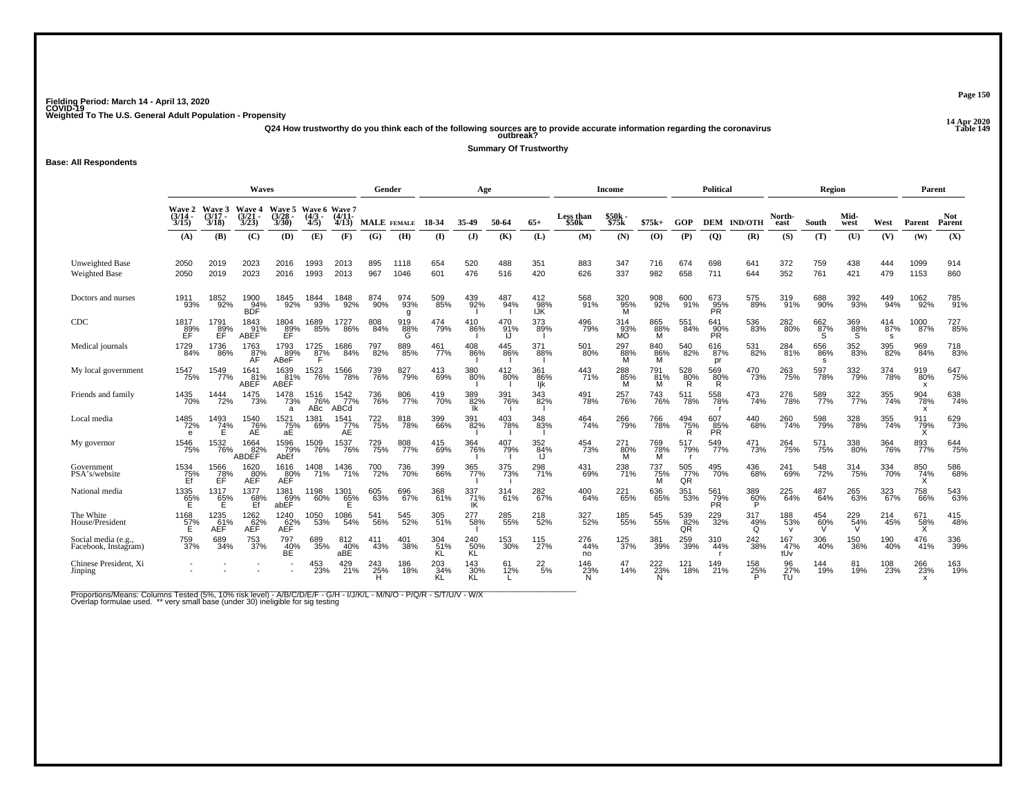**14 Apr 2020 Q24 How trustworthy do you think each of the following sources are to provide accurate information regarding the coronavirus Table 149 outbreak?**

**Summary Of Trustworthy**

**Base: All Respondents**

|                                             |                                     |                             | <b>Waves</b>                 |                             |                                  |                             | Gender        |                 |                  | Age              |                  |                        |                    | Income           |                       |                          | Political               |                      |                            | Region           |              |                 | Parent                                  |                |
|---------------------------------------------|-------------------------------------|-----------------------------|------------------------------|-----------------------------|----------------------------------|-----------------------------|---------------|-----------------|------------------|------------------|------------------|------------------------|--------------------|------------------|-----------------------|--------------------------|-------------------------|----------------------|----------------------------|------------------|--------------|-----------------|-----------------------------------------|----------------|
|                                             | Wave 2<br>(3/14<br>3/15             | Wave 3<br>$(3/17 -$<br>3/18 | Wave 4<br>(3/21)<br>3/23     | Wave 5<br>$(3/28 -$<br>3/30 | Wave 6 Wave 7<br>$(4/3 -$<br>4/5 | $(4/11 -$<br>4/13           | MALE FEMALE   |                 | 18-34            | 35-49            | 50-64            | $65+$                  | Less than<br>\$50k | \$50k<br>\$75k   | $$75k+$               | GOP                      |                         | <b>DEM IND/OTH</b>   | North-<br>east             | South            | Mid-<br>west | West            | Parent                                  | Not.<br>Parent |
|                                             | (A)                                 | (B)                         | (C)                          | (D)                         | (E)                              | (F)                         | (G)           | (H)             | $($ I            | $($ $)$          | (K)              | (L)                    | (M)                | (N)              | (O)                   | (P)                      | (Q)                     | (R)                  | (S)                        | (T)              | (U)          | (V)             | (W)                                     | (X)            |
| Unweighted Base<br><b>Weighted Base</b>     | 2050<br>2050                        | 2019<br>2019                | 2023<br>2023                 | 2016<br>2016                | 1993<br>1993                     | 2013<br>2013                | 895<br>967    | 1118<br>1046    | 654<br>601       | 520<br>476       | 488<br>516       | 351<br>420             | 883<br>626         | 347<br>337       | 716<br>982            | 674<br>658               | 698<br>711              | 641<br>644           | 372<br>352                 | 759<br>761       | 438<br>421   | 444<br>479      | 1099<br>1153                            | 914<br>860     |
| Doctors and nurses                          | 1911<br>93%                         | 1852<br>92%                 | 1900<br>94%<br>BDF           | 1845<br>92%                 | 1844<br>93%                      | 1848<br>92%                 | 874<br>$90\%$ | 974<br>93%<br>g | 509<br>85%       | 439<br>92%       | 487<br>94%       | $^{412}_{98\%}$<br>IJK | 568<br>91%         | 320<br>95%<br>M  | 908<br>92%            | 600<br>91%               | 673<br>95%<br>PR        | 575<br>89%           | 319<br>91%                 | 688<br>90%       | 392<br>93%   | 449<br>94%      | 1062<br>92%                             | 785<br>91%     |
| CDC                                         | 1817<br>$\text{B}^{89}_{\text{EF}}$ | 1791<br>89%<br>ÉĖ.          | 1843<br>91%<br>ABEF          | 1804<br>89%<br>EF           | 1689<br>85%                      | 1727<br>86%                 | 808<br>84%    | 919<br>88%<br>G | 474<br>79%       | 410<br>86%       | 470<br>91%<br>IJ | 373<br>89%             | 496<br>79%         | 314<br>93%<br>MÕ | 865<br>88%<br>M       | 551<br>84%               | 641<br>90%<br><b>PR</b> | 536<br>83%           | 282<br>80%                 | 662%<br>S        | 369<br>88%   | 414<br>87%<br>s | 1000<br>87%                             | 727<br>85%     |
| Medical journals                            | 1729<br>84%                         | 1736<br>86%                 | 1763<br>$\overline{AF}^{\%}$ | 1793<br>89%<br>ABeF         | 1725<br>87%                      | 1686<br>84%                 | 797<br>82%    | 889<br>85%      | 461<br>77%       | 408<br>86%       | 445<br>86%       | 371<br>88%             | 501<br>80%         | 297<br>-88%<br>M | 840<br>$\frac{86}{9}$ | 540<br>82%               | 616<br>87%<br>рr        | 531<br>82%           | 284<br>81%                 | 656<br>86%<br>-S | 352<br>83%   | 395<br>82%      | 969<br>84%                              | 718<br>83%     |
| My local government                         | 1547<br>75%                         | 1549<br>77%                 | 1641<br>81%<br>ABEF          | 1639<br>81%<br>ABEF         | 523<br>76%                       | 1566<br>78%                 | 739<br>76%    | 827<br>79%      | 413<br>69%       | 380<br>80%       | 412<br>80%       | 361<br>86%<br>ljk      | 443<br>71%         | 288<br>85%       | 791<br>81%<br>м       | 528<br>80%<br>R          | 569<br>80%<br>R         | 470<br>73%           | 263<br>75%                 | 597<br>78%       | 332<br>79%   | 374<br>78%      | 919<br>80%<br>$\boldsymbol{\mathsf{x}}$ | 647<br>75%     |
| Friends and family                          | 1435<br>70%                         | 1444<br>72%                 | 1475<br>73%                  | 1478<br>73%<br>a            | 1516<br>76%<br>AB <sub>c</sub>   | 1542<br>77%<br>ABCd         | 736<br>76%    | 806<br>77%      | 419<br>70%       | 389<br>82%<br>Ιk | 391<br>76%       | 343<br>82%             | 491<br>78%         | 257<br>76%       | 743<br>76%            | 511<br>78%               | 558<br>78%              | 473<br>74%           | 276<br>78%                 | 589<br>77%       | 322%         | 355<br>74%      | 904<br>78%<br>x                         | 638<br>74%     |
| Local media                                 | 1485<br>72%<br>e                    | 1493<br>$74\%$              | 1540<br>76%<br>AE            | 1521<br>75%<br>aE           | 1381<br>69%                      | 1541<br>$ZE^{\gamma\gamma}$ | 722<br>75%    | 818<br>78%      | 399<br>66%       | 391<br>82%       | 403<br>78%       | 348<br>83%             | 464<br>74%         | 266<br>-79%      | 766<br>78%            | 494<br>$\frac{75}{R}$    | 607<br>$\frac{85}{PR}$  | 440<br>68%           | 260<br>74%                 | 598<br>79%       | 328<br>78%   | 355<br>74%      | 911<br>79%                              | 629<br>73%     |
| My governor                                 | 1546<br>75%                         | 1532<br>76%                 | 1664<br>82%<br>ABDEF         | 1596<br>79%<br>AbEf         | 1509<br>76%                      | 1537<br>76%                 | 729<br>75%    | 808<br>77%      | 415<br>69%       | 364<br>76%       | 407<br>79%       | 352<br>84%             | 454<br>73%         | 271<br>-80%<br>M | 769<br>78%<br>M       | 517<br>79%               | 549<br>77%              | 471<br>73%           | 264<br>75%                 | 571<br>75%       | 338<br>80%   | 364<br>76%      | 893<br>77%                              | 644<br>75%     |
| Government<br>PSA's/website                 | 1534<br>75%<br>Ef                   | 1566<br>$\overline{78}$ %   | 1620<br>80%<br>AĚĚ           | 1616<br>AEF                 | 1408<br>71%                      | 1436<br>71%                 | 700<br>72%    | 736<br>70%      | 399<br>66%       | 365<br>77%       | 375<br>73%       | 298<br>71%             | 431<br>69%         | 238<br>71%       | 737<br>75%<br>M       | 505<br>77%<br>QR         | 495<br>70%              | 436<br>68%           | 241<br>69%                 | 548<br>72%       | 314<br>75%   | 334<br>70%      | 850<br>74%                              | 586<br>68%     |
| National media                              | 1335<br>65%                         | 1317<br>65%<br>Е            | 1377<br>68%<br>Ef            | 1381<br>69%<br>abEF         | 1198<br>60%                      | 1301<br>65%<br>F            | 605<br>63%    | 696<br>67%      | 368<br>61%       | 337%<br>IK       | 314<br>61%       | 282<br>67%             | 400<br>64%         | 221<br>65%       | 636<br>65%            | 351<br>53%               | 561<br>79%<br><b>PR</b> | 389<br>60%           | 225<br>64%                 | 487<br>64%       | 265<br>63%   | 323<br>67%      | 758<br>66%                              | 543<br>63%     |
| The White<br>House/President                | 1168<br>$\frac{57}{E}$              | 1235<br>_61%<br>AEF         | 1262<br>AEF <sup>%</sup>     | 1240<br>62%<br>AEF          | 1050<br>53%                      | 1086<br>54%                 | 541<br>56%    | 545<br>52%      | 305<br>51%       | 277<br>58%       | 285<br>55%       | 218<br>52%             | 327<br>52%         | 185<br>55%       | 545<br>55%            | 539<br>82%<br>QR         | 229<br>32%              | 317<br>$^{49\%}_{Q}$ | 188<br>53%<br>$\mathbf{v}$ | $^{454}_{60\%}$  | 229<br>54%   | 214<br>45%      | 671<br>$\frac{58}{x}$                   | 415<br>48%     |
| Social media (e.g.,<br>Facebook, Instagram) | 759<br>37%                          | 689<br>34%                  | 753<br>37%                   | 797<br>40%<br>BĖ.           | 689<br>35%                       | 812<br>40%<br>aBE.          | 411<br>43%    | 401<br>38%      | 304<br>51%<br>KL | 240<br>50%<br>KL | 153<br>30%       | 115<br>27%             | 276<br>44%<br>no   | 125<br>37%       | 381<br>39%            | 259<br>39%               | 310<br>44%              | 242<br>38%           | 167<br>47%<br>tUv          | 306<br>40%       | 150<br>36%   | 190<br>40%      | 476<br>41%                              | 336<br>39%     |
| Chinese President, Xi<br>Jinping            |                                     |                             |                              |                             | 453<br>23%                       | 429<br>21%                  | 243<br>25%    | 18%             | 203<br>34%       | 143<br>30%       | 12%              | $^{22}_{5\%}$          | 146<br>23%         | 14%              | 222<br>23%            | 121<br>$\overline{18}$ % | 149<br>21%              | 158<br>25%           | 96<br>27%                  | 144<br>19%       | 19%          | 108<br>23%      | 266<br>23%                              | 163<br>19%     |

Proportions/Means: Columns Tested (5%, 10% risk level) - A/B/C/D/E/F - G/H - I/J/K/L - M/N/O - P/Q/R - S/T/U/V - W/X<br>Overlap formulae used. \*\* very small base (under 30) ineligible for sig testing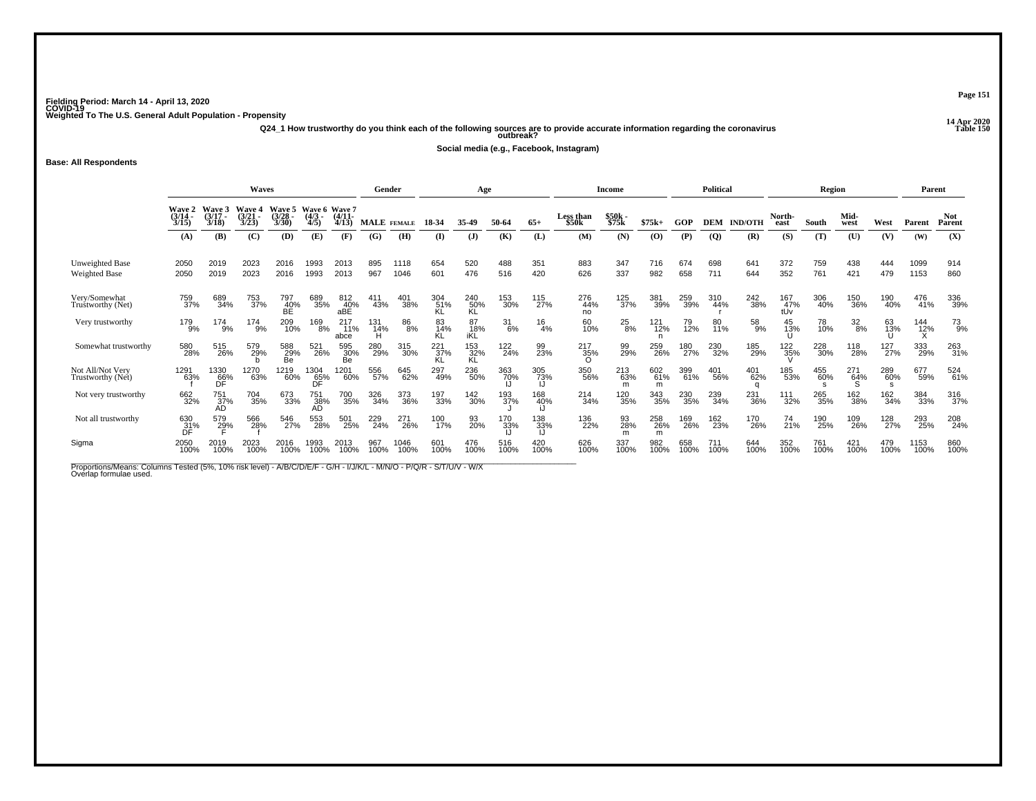**14 Apr 2020 Q24\_1 How trustworthy do you think each of the following sources are to provide accurate information regarding the coronavirus Table 150 outbreak?**

**Social media (e.g., Facebook, Instagram)**

**Base: All Respondents**

|                                         |                             |                             | <b>Waves</b>                    |                                 |                                   |                         | Gender             |              |                  | Age                           |                  |               |                    | Income           |                 |             | <b>Political</b> |                |                   | Region          |                  |                  | Parent       |                      |
|-----------------------------------------|-----------------------------|-----------------------------|---------------------------------|---------------------------------|-----------------------------------|-------------------------|--------------------|--------------|------------------|-------------------------------|------------------|---------------|--------------------|------------------|-----------------|-------------|------------------|----------------|-------------------|-----------------|------------------|------------------|--------------|----------------------|
|                                         | Wave 2<br>$(3/14 -$<br>3/15 | Wave 3<br>$(3/17 -$<br>3/18 | <b>Wave 4</b><br>(3/21)<br>3/23 | <b>Wave 5</b><br>(3/28)<br>3/30 | Wave 6 Wave 7<br>$(4/3 -$<br>4/5) | $(4/11 -$<br>4/13       | <b>MALE</b> FEMALE |              | 18-34            | 35.49                         | 50-64            | $65+$         | Less than<br>\$50k | \$50k -<br>\$75k | $$75k+$         | GOP         | <b>DEM</b>       | <b>IND/OTH</b> | North-<br>east    | South           | Mid-<br>west     | West             | Parent       | <b>Not</b><br>Parent |
|                                         | (A)                         | (B)                         | (C)                             | (D)                             | (E)                               | (F)                     | (G)                | (H)          | (I)              | (J)                           | (K)              | (L)           | (M)                | (N)              | (0)             | (P)         | <b>(Q)</b>       | (R)            | (S)               | (T)             | (U)              | (V)              | (W)          | (X)                  |
| Unweighted Base<br><b>Weighted Base</b> | 2050<br>2050                | 2019<br>2019                | 2023<br>2023                    | 2016<br>2016                    | 1993<br>1993                      | 2013<br>2013            | 895<br>967         | 1118<br>1046 | 654<br>601       | 520<br>476                    | 488<br>516       | 351<br>420    | 883<br>626         | 347<br>337       | 716<br>982      | 674<br>658  | 698<br>711       | 641<br>644     | 372<br>352        | 759<br>761      | 438<br>421       | 444<br>479       | 1099<br>1153 | 914<br>860           |
| Very/Somewhat<br>Trustworthy (Net)      | 759<br>37%                  | 689<br>34%                  | 753<br>37%                      | 797<br>40%<br>BE                | 689<br>35%                        | 812<br>40%<br>aBÉ       | 411<br>43%         | 401<br>38%   | 304<br>51%<br>KL | 240<br>50%<br>KL              | 153<br>30%       | 115<br>27%    | 276<br>44%<br>no   | 125<br>37%       | 381<br>39%      | 259<br>39%  | 310<br>44%       | 242<br>38%     | 167<br>47%<br>tUv | 306<br>40%      | 150<br>36%       | 190<br>40%       | 476<br>41%   | 336<br>39%           |
| Very trustworthy                        | 179<br>9%                   | 174<br>9%                   | 174<br>9%                       | 209<br>10%                      | 169<br>8%                         | $^{217}_{11\%}$<br>abce | 131<br>14%<br>н    | 86<br>8%     | 83<br>14%<br>KL  | 87<br>18%<br>iKL              | $\frac{31}{6\%}$ | $^{16}_{4\%}$ | 60<br>10%          | $^{25}_{8\%}$    | 121<br>12%<br>n | 79<br>12%   | 80<br>11%        | 58<br>9%       | 45<br>13%         | 78<br>10%       | $\frac{32}{8\%}$ | 63<br>13%        | 144<br>12%   | 73<br>9%             |
| Somewhat trustworthy                    | 580<br>28%                  | 515<br>26%                  | 579<br>29%                      | 588<br>29%<br>Be                | 521<br>26%                        | 595<br>30%<br>Be        | 280<br>29%         | 315<br>30%   | $^{221}_{37\%}$  | 153<br>32%<br>KL              | 122<br>24%       | 99<br>23%     | 217<br>35%         | 99<br>29%        | 259<br>26%      | 180<br>27%  | 230<br>32%       | 185<br>29%     | 122<br>35%        | 228<br>30%      | 118<br>28%       | 127<br>27%       | 333<br>29%   | 263<br>31%           |
| Not All/Not Very<br>Trustworthy (Net)   | 1291<br>63%                 | 1330<br>66%<br>DF           | 1270<br>63%                     | 1219<br>60%                     | 1304<br>65%<br>DF                 | 1201<br>60%             | 556<br>57%         | 645<br>62%   | 297<br>49%       | 236<br>50%                    | 363<br>70%       | 305<br>73%    | 350<br>56%         | 213<br>63%<br>m  | 602<br>61%<br>m | 399<br>61%  | 401<br>56%       | 401<br>62%     | 185<br>53%        | 455<br>60%<br>s | 271<br>64%       | 289<br>60%<br>-S | 677<br>59%   | 524<br>61%           |
| Not very trustworthy                    | 662<br>32%                  | 751<br>37%<br>AD            | 704<br>35%                      | 673<br>33%                      | 751<br>38%<br>AD                  | 700<br>35%              | 326<br>34%         | 373<br>36%   | 197<br>33%       | <sup>142</sup> <sub>30%</sub> | 193<br>37%       | 168<br>40%    | 214<br>34%         | 120<br>35%       | 343<br>35%      | 230<br>35%  | 239<br>34%       | 231<br>36%     | 111<br>32%        | 265<br>35%      | 162%             | 162 %            | 384<br>33%   | 316<br>37%           |
| Not all trustworthy                     | 630<br>31%<br>DF            | 579<br>2 <u>9</u> %         | 566<br>28%                      | 546<br>27%                      | 553<br>28%                        | 501<br>25%              | 229<br>24%         | 271<br>26%   | 100<br>17%       | 93<br>20%                     | 170<br>33%       | 138<br>33%    | 136<br>22%         | 93<br>28%<br>m   | 258<br>26%<br>m | 169<br>26%  | 162<br>23%       | 170<br>26%     | 74<br>21%         | 190<br>25%      | 109<br>26%       | 128<br>27%       | 293<br>25%   | 208<br>24%           |
| Sigma                                   | 2050<br>100%                | 2019<br>100%                | 2023<br>100%                    | 2016<br>100%                    | 1993<br>100%                      | 2013<br>100%            | 967<br>100%        | 1046<br>100% | 601<br>100%      | 476<br>100%                   | 516<br>100%      | 420<br>100%   | 626<br>100%        | 337<br>100%      | 982<br>100%     | 658<br>100% | 711<br>100%      | 644<br>100%    | 352<br>100%       | 761<br>100%     | 421<br>100%      | 479<br>100%      | 1153<br>100% | 860<br>100%          |

Proportions/Means: Columns Tested (5%, 10% risk level) - A/B/C/D/E/F - G/H - I/J/K/L - M/N/O - P/Q/R - S/T/U/V - W/X<br>Overlap formulae used.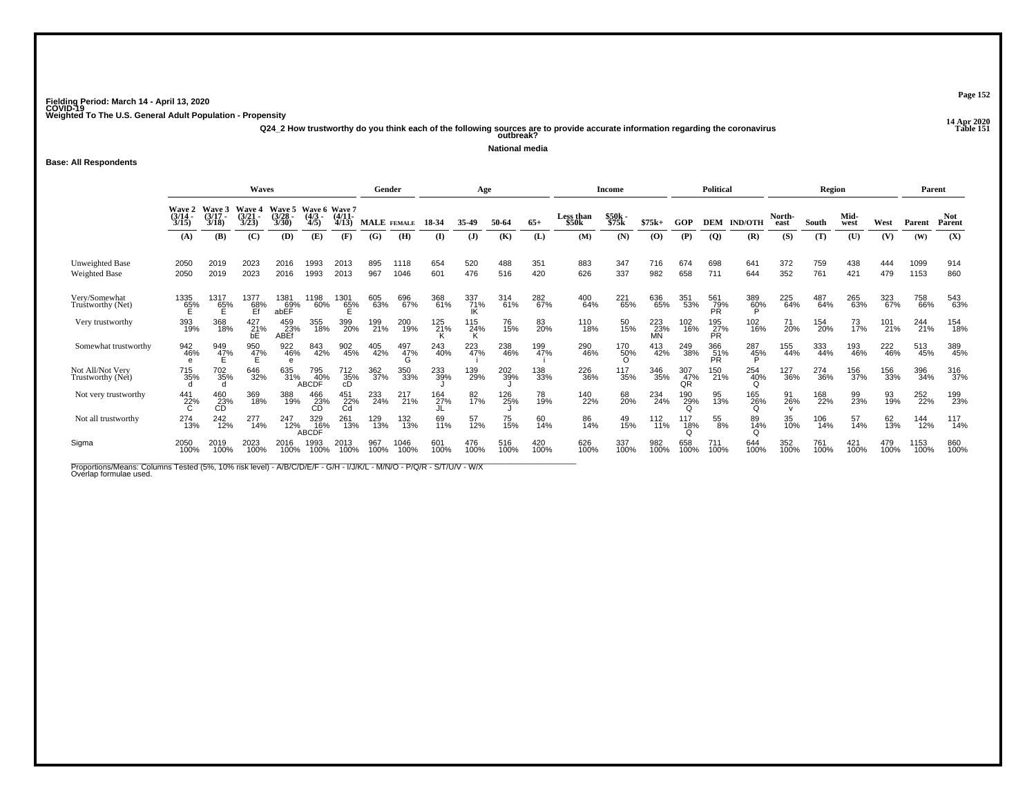**14 Apr 2020 Q24\_2 How trustworthy do you think each of the following sources are to provide accurate information regarding the coronavirus Table 151 outbreak?**

**National media**

**Base: All Respondents**

|                                         |                             |                             | <b>Waves</b>                    |                          |                                   |                   | Gender      |              |             | Age             |             |             |                    | Income            |                  |                  | <b>Political</b>  |                |                | <b>Region</b> |                |                    | Parent       |                      |
|-----------------------------------------|-----------------------------|-----------------------------|---------------------------------|--------------------------|-----------------------------------|-------------------|-------------|--------------|-------------|-----------------|-------------|-------------|--------------------|-------------------|------------------|------------------|-------------------|----------------|----------------|---------------|----------------|--------------------|--------------|----------------------|
|                                         | Wave 2<br>$(3/14 -$<br>3/15 | Wave 3<br>$(3/17 -$<br>3/18 | <b>Wave 4</b><br>(3/21)<br>3/23 | Waye 5<br>(3/28)<br>3/30 | Wave 6 Wave 7<br>$(4/3 -$<br>4/5) | $(4/11 -$<br>4/13 | MALE FEMALE |              | 18-34       | 35-49           | 50-64       | $65+$       | Less than<br>\$50k | $$50k -$<br>\$75k | $$75k+$          | GOP              | <b>DEM</b>        | <b>IND/OTH</b> | North-<br>east | South         | Mid-<br>west   | West               | Parent       | <b>Not</b><br>Parent |
|                                         | (A)                         | (B)                         | (C)                             | (D)                      | (E)                               | (F)               | (G)         | (H)          | $($ I       | $($ $)$         | (K)         | (L)         | (M)                | (N)               | (0)              | (P)              | $\overline{Q}$    | (R)            | (S)            | (T)           | (U)            | (V)                | (W)          | (X)                  |
| Unweighted Base<br><b>Weighted Base</b> | 2050<br>2050                | 2019<br>2019                | 2023<br>2023                    | 2016<br>2016             | 1993<br>1993                      | 2013<br>2013      | 895<br>967  | 1118<br>1046 | 654<br>601  | 520<br>476      | 488<br>516  | 351<br>420  | 883<br>626         | 347<br>337        | 716<br>982       | 674<br>658       | 698<br>711        | 641<br>644     | 372<br>352     | 759<br>761    | 438<br>421     | 444<br>479         | 1099<br>1153 | 914<br>860           |
| Very/Somewhat<br>Trustworthy (Net)      | 1335<br>65%<br>E            | 1317<br>65%                 | 1377<br>$\frac{68}{5}$          | 1381<br>69%<br>abEF      | 1198<br>60%                       | $^{1301}_{65\%}$  | 605<br>63%  | 696<br>67%   | 368<br>61%  | 337<br>71%      | 314<br>61%  | 282<br>67%  | 400<br>64%         | 221<br>65%        | 636<br>65%       | 351<br>53%       | 561<br>79%<br>PR  | 389<br>60%     | 225<br>64%     | 487<br>64%    | 265<br>63%     | 323<br>67%         | 758<br>66%   | 543<br>63%           |
| Very trustworthy                        | 393<br>19%                  | 368<br>18%                  | 427 %<br>bE                     | 459<br>23%<br>ABEf       | 355<br>18%                        | 399<br>20%        | 199<br>21%  | 200<br>19%   | 125<br>21%  | 115<br>24%      | 76<br>15%   | 83<br>20%   | 110<br>18%         | 50<br>15%         | 223<br>23%<br>MN | 102<br>16%       | 195<br>27%<br>ΡŔ. | 102<br>16%     | 71<br>20%      | 154<br>20%    | $^{73}_{17\%}$ | 101 <sub>21%</sub> | 244<br>21%   | 154<br>18%           |
| Somewhat trustworthy                    | 942<br>46%                  | 949<br>4 <u>7</u> %         | 950<br>4 <u>7</u> %             | 922<br>46%               | 843<br>42%                        | 902<br>45%        | 405<br>42%  | 497<br>47%   | 243<br>40%  | 223<br>47%      | 238<br>46%  | 199<br>47%  | 290<br>46%         | 170<br>50%        | 413<br>42%       | 249<br>38%       | 366<br>51%<br>PR  | 287<br>45%     | 155<br>44%     | 333<br>44%    | 193<br>46%     | 222<br>46%         | 513<br>45%   | 389<br>45%           |
| Not All/Not Very<br>Trustworthy (Net)   | 715<br>35%                  | 702<br>35%                  | 646<br>32%                      | 635<br>31%               | 795<br>40%<br>ABCDF               | 712<br>35%<br>cD  | 362<br>37%  | 350<br>33%   | 233<br>39%  | 139<br>29%      | 202<br>39%  | 138<br>33%  | 226<br>36%         | 117<br>35%        | 346<br>35%       | 307<br>47%<br>0R | 150<br>21%        | 254<br>40%     | 127<br>36%     | 274<br>36%    | 156<br>37%     | 156<br>33%         | 396<br>34%   | 316<br>37%           |
| Not very trustworthy                    | 441<br>22%<br>C             | 460<br>23%<br>CD            | 369<br>18%                      | 388<br>19%               | 466<br>23%                        | 451<br>22%<br>Cd  | 233<br>24%  | 217<br>21%   | 164<br>27%  | 82 <sub>%</sub> | 126<br>25%  | 78<br>19%   | 140<br>22%         | 68<br>20%         | 234<br>24%       | 190<br>29%       | 95<br>13%         | 165<br>26%     | 91<br>26%      | 168<br>22%    | 99<br>23%      | 93<br>19%          | 252<br>22%   | 199<br>23%           |
| Not all trustworthy                     | 274<br>13%                  | 242<br>12%                  | 277<br>14%                      | 247<br>12%               | 329<br>16%<br>ABCDF               | 261<br>13%        | 129<br>13%  | 132<br>13%   | 69<br>11%   | 57<br>12%       | 75<br>15%   | 60<br>14%   | 86<br>14%          | 49<br>15%         | 112<br>11%       | 117<br>18%       | 55<br>8%          | 89<br>14%      | 35<br>10%      | 106<br>14%    | 57<br>14%      | 62<br>13%          | 144<br>12%   | 117<br>14%           |
| Sigma                                   | 2050<br>100%                | 2019<br>100%                | 2023<br>100%                    | 2016<br>100%             | 1993<br>100%                      | 2013<br>100%      | 967<br>100% | 1046<br>100% | 601<br>100% | 476<br>100%     | 516<br>100% | 420<br>100% | 626<br>100%        | 337<br>100%       | 982<br>100%      | 658<br>100%      | 711<br>100%       | 644<br>100%    | 352<br>100%    | 761<br>100%   | 421<br>100%    | 479<br>100%        | 1153<br>100% | 860<br>100%          |

Proportions/Means: Columns Tested (5%, 10% risk level) - A/B/C/D/E/F - G/H - I/J/K/L - M/N/O - P/Q/R - S/T/U/V - W/X<br>Overlap formulae used.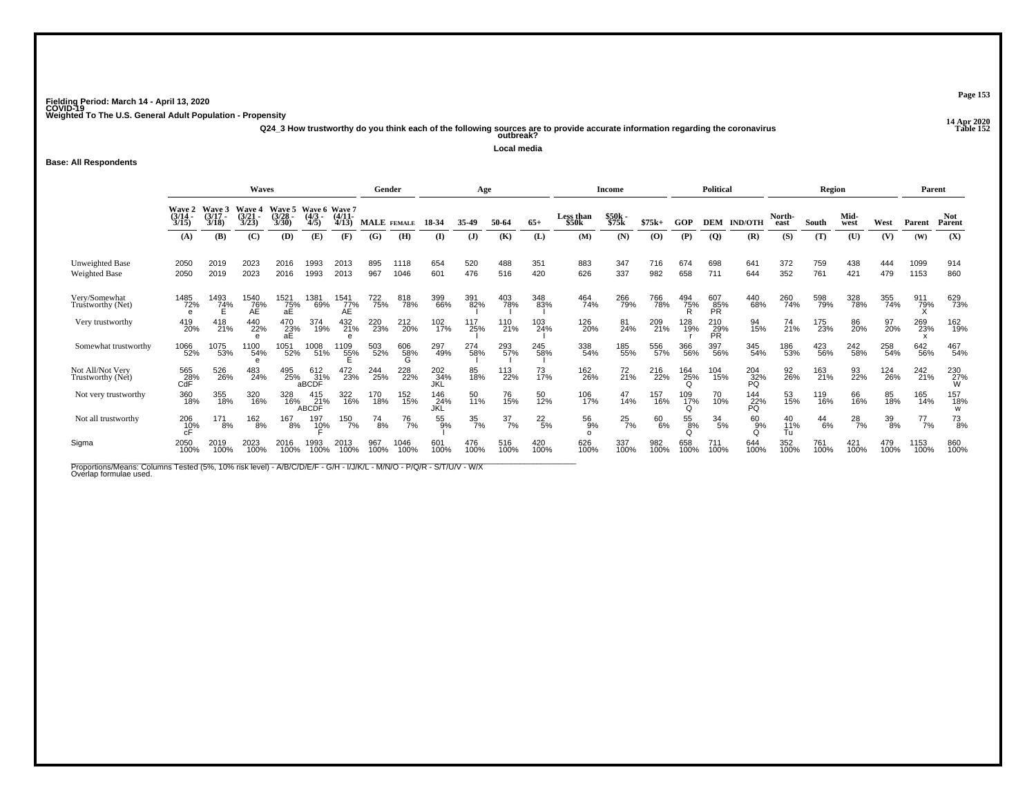**14 Apr 2020 Q24\_3 How trustworthy do you think each of the following sources are to provide accurate information regarding the coronavirus Table 152 outbreak?**

**Local media**

### **Base: All Respondents**

|                                         |                             |                             | <b>Waves</b>                    |                                |                                |                   | Gender             |                 |                   | Age              |                  |                 |                      | Income            |             |             | <b>Political</b>   |                  |                 | Region        |               |                  | Parent        |                      |
|-----------------------------------------|-----------------------------|-----------------------------|---------------------------------|--------------------------------|--------------------------------|-------------------|--------------------|-----------------|-------------------|------------------|------------------|-----------------|----------------------|-------------------|-------------|-------------|--------------------|------------------|-----------------|---------------|---------------|------------------|---------------|----------------------|
|                                         | Wave 2<br>$(3/14 -$<br>3/15 | Wave 3<br>$(3/17 -$<br>3/18 | <b>Wave 4</b><br>(3/21)<br>3/23 | <b>Wave 5</b><br>(3/28<br>3/30 | Wave 6 Wave 7<br>(4/3)<br>4/5) | $(4/11 -$<br>4/13 | <b>MALE</b> FEMALE |                 | 18-34             | 35-49            | 50-64            | $65+$           | Less than<br>\$50k   | $$50k -$<br>\$75k | $$75k+$     | GOP         | <b>DEM</b>         | <b>IND/OTH</b>   | North-<br>east  | South         | Mid-<br>west  | West             | Parent        | <b>Not</b><br>Parent |
|                                         | (A)                         | (B)                         | (C)                             | (D)                            | (E)                            | (F)               | (G)                | (H)             | (I)               | (J)              | (K)              | (L)             | (M)                  | (N)               | (0)         | (P)         | $\overline{Q}$     | (R)              | (S)             | (T)           | (U)           | (V)              | (W)           | (X)                  |
| Unweighted Base<br><b>Weighted Base</b> | 2050<br>2050                | 2019<br>2019                | 2023<br>2023                    | 2016<br>2016                   | 1993<br>1993                   | 2013<br>2013      | 895<br>967         | 1118<br>1046    | 654<br>601        | 520<br>476       | 488<br>516       | 351<br>420      | 883<br>626           | 347<br>337        | 716<br>982  | 674<br>658  | 698<br>711         | 641<br>644       | 372<br>352      | 759<br>761    | 438<br>421    | 444<br>479       | 1099<br>1153  | 914<br>860           |
| Very/Somewhat<br>Truštworthy (Net)      | 1485<br>72%                 | 1493<br>74%<br>E            | 1540<br>$AE$<br>$AE$            | 1521<br>75%<br>aE              | 1381<br>69%                    | 1541<br>77%<br>AE | 722<br>75%         | 818<br>78%      | 399<br>66%        | 391<br>82%       | 403<br>78%       | 348<br>83%      | 464<br>74%           | 266<br>79%        | 766<br>78%  | 494<br>75%  | 607<br>85%<br>PR   | 440<br>68%       | 260<br>74%      | 598<br>79%    | 328<br>78%    | 355<br>74%       | 911<br>79%    | 629<br>73%           |
| Very trustworthy                        | 419<br>20%                  | 418<br>21%                  | 440<br>22%                      | 470<br>23%<br>аE               | 374<br>19%                     | 432<br>21%        | 220<br>23%         | 212<br>20%      | 102<br>17%        | 117<br>25%       | 110<br>21%       | 103<br>24%      | 126<br>20%           | 81<br>24%         | 209<br>21%  | 128<br>19%  | $^{210}_{29\%}$ PR | 94<br>15%        | 74<br>21%       | 175<br>23%    | 86<br>20%     | 97<br>20%        | 269<br>23%    | 162<br>19%           |
| Somewhat trustworthy                    | 1066<br>52%                 | 1075<br>53%                 | 1100<br>54%                     | 1051<br>52%                    | 1008<br>51%                    | 1109<br>55%       | 503<br>52%         | 606<br>58%<br>G | 297<br>49%        | 274<br>58%       | 293<br>57%       | 245<br>58%      | 338<br>54%           | 185<br>55%        | 556<br>57%  | 366<br>56%  | 397<br>56%         | 345<br>54%       | 186<br>53%      | 423<br>56%    | 242<br>58%    | 258<br>54%       | 642<br>56%    | 467<br>54%           |
| Not All/Not Very<br>Trustworthy (Net)   | 565<br>28%<br>CdF           | 526<br>26%                  | 483<br>24%                      | 495<br>25%                     | $612$ $31%$<br>aBCDF           | 472<br>23%        | 244<br>25%         | 228<br>22%      | 202<br>34%<br>JKL | 85<br>18%        | 113<br>22%       | 73<br>17%       | 162<br>26%           | 72<br>21%         | 216<br>22%  | 164<br>25%  | 104<br>15%         | 204<br>32%<br>PQ | 92<br>26%       | 163<br>21%    | 93<br>22%     | 124<br>26%       | 242<br>21%    | 230<br>27%<br>W      |
| Not very trustworthy                    | 360<br>18%                  | 355<br>18%                  | 320<br>16%                      | 328<br>16%                     | 415<br>21%<br><b>ABCDF</b>     | 322<br>16%        | 170<br>18%         | 152<br>15%      | 146<br>24%<br>JKL | 50<br>11%        | 76<br>15%        | 50<br>12%       | 106<br>17%           | $^{47}_{14\%}$    | 157<br>16%  | 109<br>17%  | 70 <sub>%</sub>    | 144<br>22%<br>PQ | 53<br>15%       | 119<br>16%    | 66<br>16%     | 85<br>18%        | 165<br>14%    | 157<br>18%<br>w      |
| Not all trustworthy                     | $^{206}_{10\%}$             | 171<br>8%                   | 162<br>8%                       | 167<br>8%                      | 197<br>10%                     | 150<br>7%         | 74<br>8%           | $^{76}_{7\%}$   | 55<br>9%          | $\frac{35}{7\%}$ | $\frac{37}{7\%}$ | $^{22}_{\ 5\%}$ | 56<br>9%<br>$\Omega$ | $^{25}_{7\%}$     | 60<br>6%    | 55<br>ខ្ញុ% | $\frac{34}{5\%}$   | 60<br>9%         | 40<br>11%<br>Tu | $^{44}_{6\%}$ | $^{28}_{7\%}$ | $\frac{39}{8\%}$ | $^{77}_{7\%}$ | $^{73}_{8\%}$        |
| Sigma                                   | 2050<br>100%                | 2019<br>100%                | 2023<br>100%                    | 2016<br>100%                   | 993<br>100%                    | 2013<br>100%      | 967<br>100%        | 1046<br>100%    | 601<br>100%       | 476<br>100%      | 516<br>100%      | 420<br>100%     | 626<br>100%          | 337<br>100%       | 982<br>100% | 658<br>100% | 711<br>100%        | 644<br>100%      | 352<br>100%     | 761<br>100%   | 421<br>100%   | 479<br>100%      | 1153<br>100%  | 860<br>100%          |

Proportions/Means: Columns Tested (5%, 10% risk level) - A/B/C/D/E/F - G/H - I/J/K/L - M/N/O - P/Q/R - S/T/U/V - W/X<br>Overlap formulae used.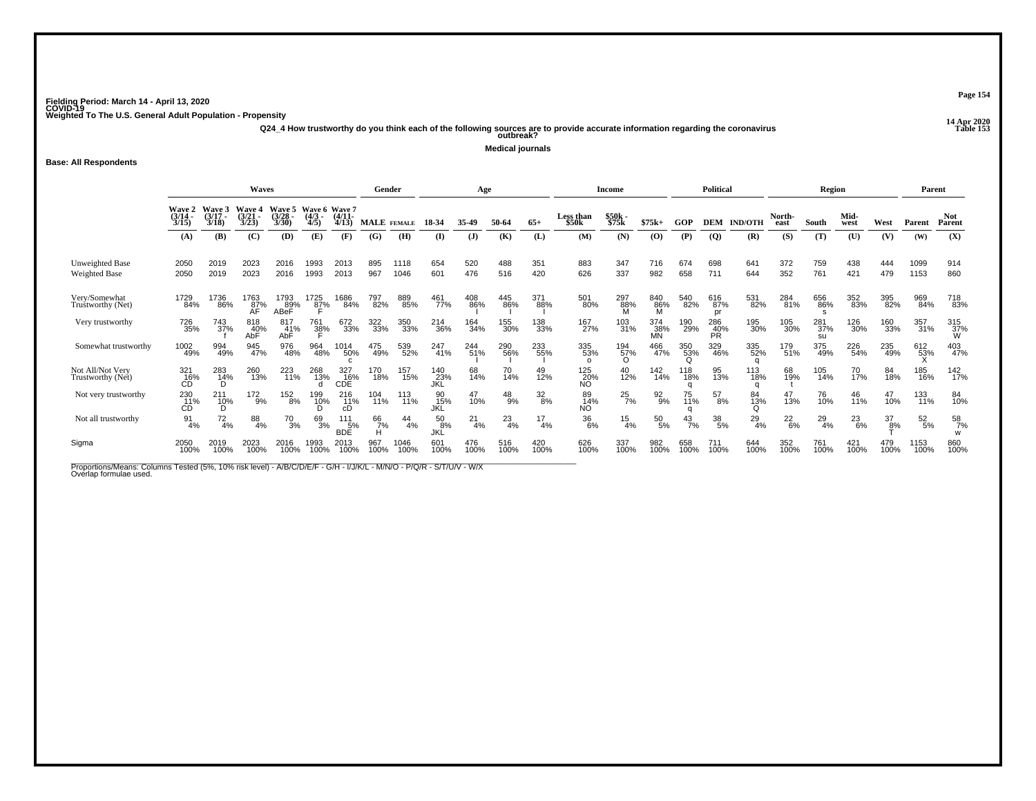**14 Apr 2020 Q24\_4 How trustworthy do you think each of the following sources are to provide accurate information regarding the coronavirus Table 153 outbreak?**

**Medical journals**

**Base: All Respondents**

|                                         |                                |                             | Waves                    |                              |                                   |                             | Gender      |              |                   | Age         |              |                 |                        | Income                        |                  |                 | <b>Political</b> |                |                | <b>Region</b>    |               |             | Parent          |                      |
|-----------------------------------------|--------------------------------|-----------------------------|--------------------------|------------------------------|-----------------------------------|-----------------------------|-------------|--------------|-------------------|-------------|--------------|-----------------|------------------------|-------------------------------|------------------|-----------------|------------------|----------------|----------------|------------------|---------------|-------------|-----------------|----------------------|
|                                         | Wave 2<br>(3/14)<br>3/15       | Wave 3<br>$(3/17 -$<br>3/18 | Wave 4<br>(3/21)<br>3/23 | Wave 5<br>(3/28)<br>3/30     | Wave 6 Wave 7<br>$(4/3 -$<br>4/5) | $(4/11 -$<br>4/13           | MALE FEMALE |              | 18-34             | 35.49       | 50-64        | $65+$           | Less than<br>\$50k     | \$50k -<br>\$75k              | $$75k+$          | GOP             | <b>DEM</b>       | <b>IND/OTH</b> | North-<br>east | South            | Mid-<br>west  | West        | Parent          | <b>Not</b><br>Parent |
|                                         | (A)                            | (B)                         | (C)                      | (D)                          | (E)                               | (F)                         | (G)         | (H)          | $($ $\Gamma$      | $($ $)$     | (K)          | (L)             | (M)                    | (N)                           | (O)              | (P)             | $\overline{Q}$   | (R)            | (S)            | (T)              | (U)           | (V)         | (W)             | (X)                  |
| Unweighted Base<br><b>Weighted Base</b> | 2050<br>2050                   | 2019<br>2019                | 2023<br>2023             | 2016<br>2016                 | 1993<br>1993                      | 2013<br>2013                | 895<br>967  | 1118<br>1046 | 654<br>601        | 520<br>476  | 488<br>516   | 351<br>420      | 883<br>626             | 347<br>337                    | 716<br>982       | 674<br>658      | 698<br>711       | 641<br>644     | 372<br>352     | 759<br>761       | 438<br>421    | 444<br>479  | 1099<br>1153    | 914<br>860           |
| Very/Somewhat<br>Truštworthy (Net)      | 1729<br>84%                    | 1736<br>86%                 | 1763<br>87%<br>AF        | 1793<br>8 <u>9</u> %<br>ABeF | 1725<br>8 <u>7</u> %              | 1686<br>84%                 | 797<br>82%  | 889<br>85%   | 461<br>77%        | 408<br>86%  | 445<br>86%   | 371<br>88%      | 501<br>80%             | 297<br>88%<br>M               | 840<br>86%       | 540<br>82%      | 616<br>87%<br>pr | 531<br>82%     | 284<br>81%     | 656<br>86%       | 352<br>83%    | 395<br>82%  | 969<br>84%      | 718<br>83%           |
| Very trustworthy                        | <sup>726</sup> 35%             | 743<br>37%                  | 818<br>40%<br>AbF        | 817<br>31%<br>AbF            | 761<br>38%                        | 672<br>33%                  | 322<br>33%  | 350<br>33%   | 214<br>36%        | 164<br>34%  | 155<br>30%   | 138<br>33%      | 167<br>27%             | 103<br>31%                    | 374<br>38%<br>MΝ | 190<br>29%      | 286<br>40%<br>PŘ | 195<br>30%     | 105<br>30%     | 281<br>37%<br>su | 126<br>30%    | 160<br>33%  | 357<br>31%      | 315<br>37%<br>W      |
| Somewhat trustworthy                    | 1002<br>49%                    | 994<br>49%                  | 945<br>47%               | 976<br>48%                   | 964<br>48%                        | 1014<br>50%<br>$\mathsf{C}$ | 475<br>49%  | 539<br>52%   | 247<br>41%        | 244<br>51%  | 290<br>56%   | 233<br>55%      | 335<br>53%<br>$\Omega$ | $^{194}_{\substack{57\%\\0}}$ | 466<br>47%       | 350<br>53%<br>Q | 329<br>46%       | 335<br>52%     | 179<br>51%     | 375<br>49%       | 226<br>54%    | 235<br>49%  | 612<br>53%      | 403<br>47%           |
| Not All/Not Very<br>Trustworthy (Net)   | 321<br>_16%<br>CD <sup>-</sup> | 283<br>1 <u>4</u> %         | 260<br>13%               | 223<br>11%                   | 268<br>13%                        | 327<br>16%<br>CDÉ           | 170<br>18%  | 157<br>15%   | 140<br>23%<br>JKĹ | 68<br>14%   | 70<br>14%    | 49<br>12%       | 125<br>20%<br>NO.      | $^{40}_{12\%}$                | 142<br>14%       | 118<br>18%      | 95<br>13%        | 113<br>18%     | 68<br>19%      | 105<br>14%       | 70<br>17%     | 84<br>18%   | 185<br>16%      | 142<br>17%           |
| Not very trustworthy                    | 230<br>11%<br>CD               | $^{211}_{10\%}$<br>D        | $^{172}_{9\%}$           | 152<br>8%                    | 199<br>10%                        | 216<br>11%<br>cD            | 104<br>11%  | 113<br>11%   | 90<br>15%<br>JKL  | 47<br>10%   | $^{48}_{9%}$ | $\frac{32}{8%}$ | 89<br>14%<br><b>NO</b> | $^{25}_{7\%}$                 | $\frac{92}{9\%}$ | 75<br>11%       | $^{57}_{8\%}$    | 84<br>13%<br>Ω | 47<br>13%      | 76<br>10%        | 46<br>11%     | 47<br>10%   | 133<br>11%      | 84<br>10%            |
| Not all trustworthy                     | $\frac{91}{4\%}$               | $^{72}_{4\%}$               | 88<br>4%                 | $^{70}_{3\%}$                | 69<br>3%                          | 111<br>BDE <sup>5%</sup>    | 66<br>7%    | 44<br>4%     | 50<br>8%<br>JKĽ   | 21<br>4%    | 23<br>4%     | 17<br>4%        | $\substack{36 \\ 6\%}$ | $\frac{15}{4%}$               | $^{50}_{\ 5\%}$  | $^{43}_{7\%}$   | $^{38}_{\ 5\%}$  | $^{29}_{4\%}$  | $^{22}_{6\%}$  | $^{29}_{4\%}$    | $^{23}_{6\%}$ | 37<br>-8%   | $^{52}_{\ 5\%}$ | $\frac{58}{7%}$      |
| Sigma                                   | 2050<br>100%                   | 2019<br>100%                | 2023<br>100%             | 2016<br>100%                 | 1993<br>100%                      | 2013<br>100%                | 967<br>100% | 1046<br>100% | 601<br>100%       | 476<br>100% | 516<br>100%  | 420<br>100%     | 626<br>100%            | 337<br>100%                   | 982<br>100%      | 658<br>100%     | 711<br>100%      | 644<br>100%    | 352<br>100%    | 761<br>100%      | 421<br>100%   | 479<br>100% | 1153<br>100%    | 860<br>100%          |

Proportions/Means: Columns Tested (5%, 10% risk level) - A/B/C/D/E/F - G/H - I/J/K/L - M/N/O - P/Q/R - S/T/U/V - W/X<br>Overlap formulae used.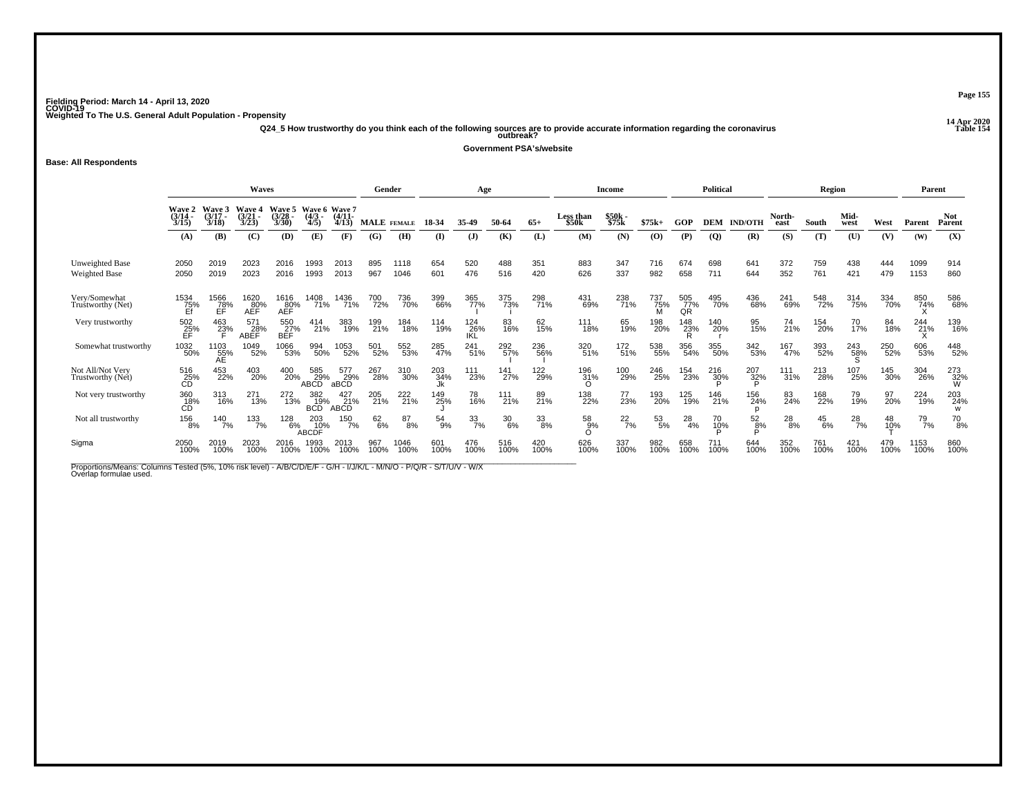**14 Apr 2020 Q24\_5 How trustworthy do you think each of the following sources are to provide accurate information regarding the coronavirus Table 154 outbreak?**

**Government PSA's/website**

**Base: All Respondents**

|                                         |                         |                             | Waves                   |                          |                                        |                           | Gender                      |              |                  | Age               |             |             |                        | Income            |             |                  | <b>Political</b> |                 |                | Region        |               |             | Parent       |                      |
|-----------------------------------------|-------------------------|-----------------------------|-------------------------|--------------------------|----------------------------------------|---------------------------|-----------------------------|--------------|------------------|-------------------|-------------|-------------|------------------------|-------------------|-------------|------------------|------------------|-----------------|----------------|---------------|---------------|-------------|--------------|----------------------|
|                                         | Wave 2<br>(3/14<br>3/15 | Wave 3<br>$(3/17 -$<br>3/18 | Wave 4<br>(3/21<br>3/23 | Waye 5<br>(3/28)<br>3/30 | Wave 6 Wave 7<br>(4/3 - (4/11-<br>4/5) | 4/13                      | MALE FEMALE                 |              | 18-34            | 35.49             | 50-64       | $65+$       | Less than<br>\$50k     | $$50k -$<br>\$75k | $$75k+$     | GOP              | DEM              | <b>IND/OTH</b>  | North-<br>east | South         | Mid-<br>west  | West        | Parent       | <b>Not</b><br>Parent |
|                                         | (A)                     | (B)                         | (C)                     | (D)                      | (E)                                    | (F)                       | (G)                         | (H)          | (I)              | (J)               | (K)         | (L)         | (M)                    | (N)               | (0)         | (P)              | <b>(Q)</b>       | (R)             | (S)            | (T)           | (U)           | (V)         | (W)          | (X)                  |
| Unweighted Base<br><b>Weighted Base</b> | 2050<br>2050            | 2019<br>2019                | 2023<br>2023            | 2016<br>2016             | 1993<br>1993                           | 2013<br>2013              | 895<br>967                  | 1118<br>1046 | 654<br>601       | 520<br>476        | 488<br>516  | 351<br>420  | 883<br>626             | 347<br>337        | 716<br>982  | 674<br>658       | 698<br>711       | 641<br>644      | 372<br>352     | 759<br>761    | 438<br>421    | 444<br>479  | 1099<br>1153 | 914<br>860           |
| Very/Somewhat<br>Trustworthy (Net)      | 1534<br>$\frac{75}{5}$  | 1566<br>78%<br>EĖ           | 1620<br>80%<br>AEF      | 1616<br>AEF              | 1408<br>71%                            | 1436<br>71%               | 700<br>72%                  | 736<br>70%   | 399<br>66%       | 365<br>77%        | 375<br>73%  | 298<br>71%  | 431<br>69%             | 238<br>71%        | 737<br>75%  | 505<br>77%<br>QR | 495<br>70%       | 436<br>68%      | 241<br>69%     | 548<br>72%    | 314<br>75%    | 334<br>70%  | 850<br>74%   | 586<br>68%           |
| Very trustworthy                        | $^{502}_{25\%}$         | 463<br>23%                  | 571<br>28%<br>ABEF      | 550<br>27%<br>BEF        | 414<br>21%                             | 383<br>19%                | 199<br>21%                  | 184<br>18%   | 114<br>19%       | 124<br>26%<br>IKL | 83<br>16%   | 62<br>15%   | 111<br>18%             | 65<br>19%         | 198<br>20%  | 148<br>23%       | 140<br>20%       | 95<br>15%       | 74<br>21%      | 154<br>20%    | 70<br>17%     | 84<br>18%   | 244<br>21%   | 139<br>16%           |
| Somewhat trustworthy                    | 1032<br>50%             | 1103<br>55%<br>AE           | 1049<br>52%             | 1066<br>53%              | 994<br>50%                             | 1053<br>52%               | 501<br>52%                  | 552<br>53%   | 285<br>47%       | 241<br>51%        | 292<br>57%  | 236<br>56%  | 320<br>51%             | 172<br>51%        | 538<br>55%  | 356<br>54%       | 355<br>50%       | 342<br>53%      | 167<br>47%     | 393<br>52%    | 243<br>58%    | 250<br>52%  | 606<br>53%   | 448<br>52%           |
| Not All/Not Very<br>Trustworthy (Net)   | 516<br>25%<br>CD        | 453<br>22%                  | 403<br>20%              | 400<br>20%               | 585<br>29%<br><b>ABCD</b>              | 577<br>29%<br>aBCD        | 267<br>28%                  | 310<br>30%   | 203<br>34%<br>Jk | 111<br>23%        | 141<br>27%  | 122<br>29%  | 196<br>31%<br>$\Omega$ | 100<br>29%        | 246<br>25%  | 154<br>23%       | 216<br>30%       | 207<br>32%      | 111<br>31%     | 213<br>28%    | 107<br>25%    | 145<br>30%  | 304<br>26%   | 273<br>32%<br>W      |
| Not very trustworthy                    | 360<br>18%<br>CĎ        | 313<br>16%                  | 271<br>13%              | 272<br>13%               | 382<br>19%<br><b>BCD</b>               | 427<br>21%<br><b>ABCD</b> | 205<br>21%                  | 222<br>21%   | 149<br>25%       | 78<br>16%         | 111<br>21%  | 89<br>21%   | 138<br>22%             | 77<br>23%         | 193<br>20%  | 125<br>19%       | 146<br>21%       | 156<br>24%      | 83<br>24%      | 168<br>22%    | 79<br>19%     | 97<br>20%   | 224<br>19%   | 203<br>24%<br>W      |
| Not all trustworthy                     | 156<br>8%               | 140<br>7%                   | 133<br>7%               | 128<br>6%                | 203<br>10%<br>ABCDF                    | 150<br>7%                 | <sup>62</sup> <sub>6%</sub> | 87<br>8%     | 54<br>9%         | $\frac{33}{7\%}$  | 30<br>6%    | 33<br>8%    | 58<br>9%               | $^{22}_{7\%}$     | 53<br>5%    | 28<br>4%         | 70<br>10%        | $\frac{52}{8%}$ | $^{28}_{8\%}$  | $^{45}_{6\%}$ | $^{28}_{7\%}$ | 48<br>10%   | 79<br>7%     | $^{70}_{8\%}$        |
| Sigma                                   | 2050<br>100%            | 2019<br>100%                | 2023<br>100%            | 2016<br>100%             | 1993<br>100%                           | 2013<br>100%              | 967<br>100%                 | 1046<br>100% | 601<br>100%      | 476<br>100%       | 516<br>100% | 420<br>100% | 626<br>100%            | 337<br>100%       | 982<br>100% | 658<br>100%      | 711<br>100%      | 644<br>100%     | 352<br>100%    | 761<br>100%   | 421<br>100%   | 479<br>100% | 1153<br>100% | 860<br>100%          |

Proportions/Means: Columns Tested (5%, 10% risk level) - A/B/C/D/E/F - G/H - I/J/K/L - M/N/O - P/Q/R - S/T/U/V - W/X<br>Overlap formulae used.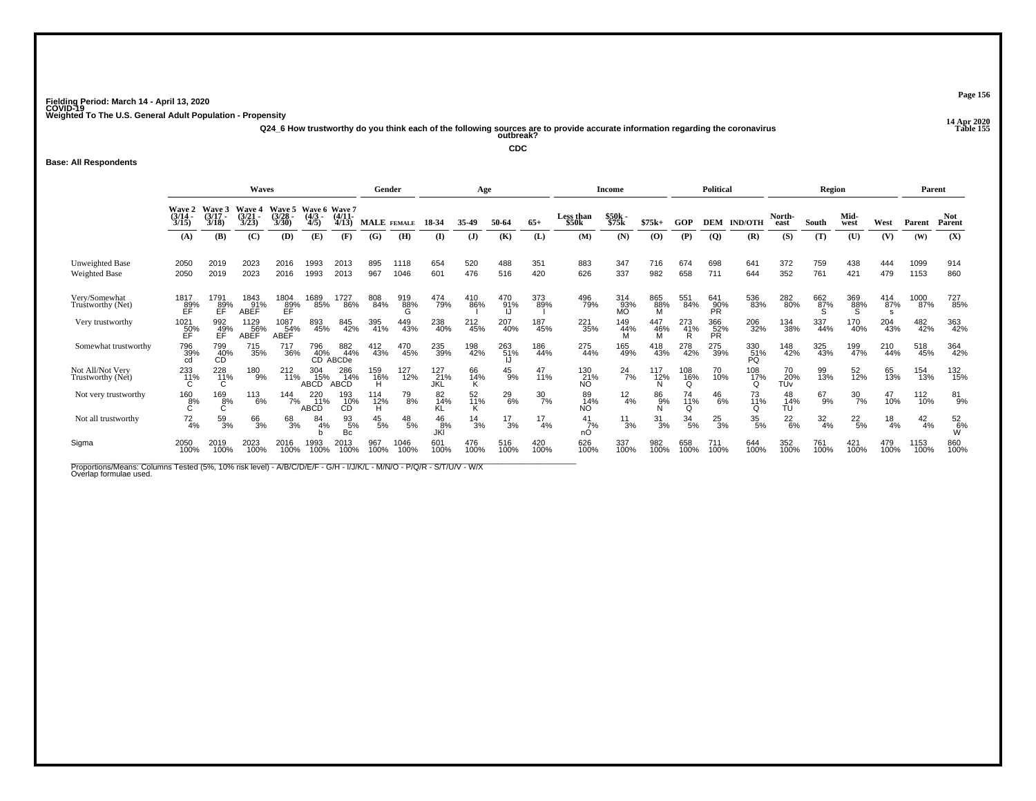**14 Apr 2020 Q24\_6 How trustworthy do you think each of the following sources are to provide accurate information regarding the coronavirus Table 155 outbreak?**

**CDC**

### **Base: All Respondents**

|                                         |                                           |                             | Waves                          |                                               |                                  |                           | Gender                              |                 |                                | Age             |                 |                  |                    | Income           |                 |                 | <b>Political</b>        |                  |                  | Region           |                  |                 | Parent          |                      |
|-----------------------------------------|-------------------------------------------|-----------------------------|--------------------------------|-----------------------------------------------|----------------------------------|---------------------------|-------------------------------------|-----------------|--------------------------------|-----------------|-----------------|------------------|--------------------|------------------|-----------------|-----------------|-------------------------|------------------|------------------|------------------|------------------|-----------------|-----------------|----------------------|
|                                         | Wave 2<br>(3/14<br>3/15                   | Wave 3<br>$(3/17 -$<br>3/18 | <b>Wave 4</b><br>(3/21<br>3/23 | Wave 5<br>(3/28)<br>3/30                      | Wave 6 Wave 7<br>$(4/3 -$<br>4/5 | (4/11)<br>4/13            | MALE FEMALE                         |                 | 18-34                          | 35-49           | 50-64           | $65+$            | Less than<br>\$50k | \$50k<br>\$75k   | $$75k+$         | GOP             | <b>DEM</b>              | <b>IND/OTH</b>   | North-<br>east   | South            | Mid-<br>west     | West            | Parent          | <b>Not</b><br>Parent |
|                                         | (A)                                       | (B)                         | (C)                            | (D)                                           | (E)                              | (F)                       | (G)                                 | (H)             | $($ $\Gamma$                   | $\mathbf{J}$    | (K)             | (L)              | (M)                | (N)              | (0)             | (P)             | $\overline{Q}$          | (R)              | (S)              | (T)              | (U)              | (V)             | (W)             | (X)                  |
| Unweighted Base<br><b>Weighted Base</b> | 2050<br>2050                              | 2019<br>2019                | 2023<br>2023                   | 2016<br>2016                                  | 1993<br>1993                     | 2013<br>2013              | 895<br>967                          | 1118<br>1046    | 654<br>601                     | 520<br>476      | 488<br>516      | 351<br>420       | 883<br>626         | 347<br>337       | 716<br>982      | 674<br>658      | 698<br>711              | 641<br>644       | 372<br>352       | 759<br>761       | 438<br>421       | 444<br>479      | 1099<br>1153    | 914<br>860           |
| Very/Somewhat<br>Truštworthy (Net)      | 1817<br>$E$ F $\frac{89}{15}$             | 1791<br>$E$ FP <sup>%</sup> | 1843<br>91%<br>ABEF            | $\underset{\substack{89\\ \text{EF}}}^{1804}$ | 1689<br>85%                      | 1727<br>86%               | 808<br>84%                          | 919<br>88%<br>G | 474<br>79%                     | 410<br>86%      | 470<br>91%      | 373<br>89%       | 496<br>79%         | 314<br>93%<br>MÕ | 865<br>88%<br>м | 551<br>84%      | 641<br>90%<br>PR        | 536<br>83%       | 282<br>80%       | 662<br>87%       | 369<br>88%       | 414<br>87%<br>s | 1000<br>87%     | 727<br>85%           |
| Very trustworthy                        | 1021<br>50%<br>ÉĖ.                        | 992<br>49%<br>EF            | 1129<br>56%<br>ABEF            | 1087<br>54%<br><b>ABEF</b>                    | 893<br>45%                       | 845<br>42%                | 395<br>41%                          | 449<br>43%      | 238<br>40%                     | 212<br>45%      | 207<br>40%      | 187<br>45%       | 221<br>35%         | 149<br>44%       | 447<br>46%      | 273<br>41%      | 366<br>52%<br><b>PR</b> | 206<br>32%       | 134<br>38%       | 337<br>44%       | 170<br>40%       | 204<br>43%      | 482<br>42%      | 363<br>42%           |
| Somewhat trustworthy                    | 796<br>39%<br>cd                          | 799<br>40%<br>CĎ            | 715<br>35%                     | 717<br>36%                                    | 796<br>40%<br>CD A               | 882<br>44%<br>ABCDe       | 412<br>43%                          | 470<br>45%      | 235<br>39%                     | 198<br>42%      | 263<br>51%      | 186<br>44%       | 275<br>44%         | 165<br>49%       | 418<br>43%      | 278<br>42%      | 275<br>39%              | 330<br>51%<br>PQ | 148<br>42%       | 325<br>43%       | 199<br>47%       | 210<br>44%      | 518<br>45%      | 364<br>42%           |
| Not All/Not Very<br>Trustworthy (Net)   | $^{233}_{11\%}$                           | 228<br>11%                  | 180<br>$-9%$                   | 212<br>11%                                    | 304<br>15%<br><b>ABCD</b>        | 286<br>14%<br><b>ABCD</b> | 159<br>16%<br>н                     | 127<br>12%      | 127<br>$\overline{21%}$<br>JKL | 66<br>14%       | $^{45}_{9\%}$   | 47<br>11%        | 130<br>21%<br>NO   | $^{24}_{7\%}$    | 117<br>12%      | 108<br>16%<br>O | 70<br>10%               | 108<br>17%       | 70<br>20%<br>TŪv | 99<br>13%        | 52<br>12%        | 65<br>13%       | 154<br>13%      | 132<br>15%           |
| Not very trustworthy                    | $\overset{160}{\underset{\text{C}}{8\%}}$ | 169<br>8%                   | 113<br>6%                      | $144 \over 7\%$                               | 220<br>11%<br>ABCD               | 193<br>- 10%<br>CD        | <sup>114</sup> <sub>12</sub> %<br>н | 79<br>8%        | 82<br>14%                      | 52<br>11%       | $^{29}_{6\%}$   | $\frac{30}{7\%}$ | 89<br>14%<br>NO.   | $^{12}_{4\%}$    | 86%             | 74<br>11%<br>Ω  | $^{46}_{6\%}$           | 73<br>11%        | 48<br>14%<br>TU  | 67<br>9%         | $\frac{30}{7\%}$ | 47<br>10%       | 112<br>10%      | 81<br>9%             |
| Not all trustworthy                     | $^{72}_{4\%}$                             | $^{59}_{3\%}$               | 66<br>3%                       | 68<br>3%                                      | 84<br>4%                         | 93<br>5%<br>Bc            | $^{45}_{\ 5\%}$                     | $^{48}_{\ 5\%}$ | $^{46}_{8\%}$ JKI              | $\frac{14}{3%}$ | $\frac{17}{3%}$ | 17<br>4%         | 41<br>7%<br>nO     | $\frac{11}{3\%}$ | $\frac{31}{3%}$ | 34<br>5%        | $^{25}_{3\%}$           | $^{35}_{\ 5\%}$  | $^{22}_{6\%}$    | $\frac{32}{4\%}$ | $^{22}_{\ 5\%}$  | $\frac{18}{4%}$ | $\frac{42}{4%}$ | $\frac{52}{9}$ %     |
| Sigma                                   | 2050<br>100%                              | 2019<br>100%                | 2023<br>100%                   | 2016<br>100%                                  | 1993<br>100%                     | 2013<br>100%              | 967<br>100%                         | 1046<br>100%    | 601<br>100%                    | 476<br>100%     | 516<br>100%     | 420<br>100%      | 626<br>100%        | 337<br>100%      | 982<br>100%     | 658<br>100%     | 711<br>100%             | 644<br>100%      | 352<br>100%      | 761<br>100%      | 421<br>100%      | 479<br>100%     | 1153<br>100%    | 860<br>100%          |

Proportions/Means: Columns Tested (5%, 10% risk level) - A/B/C/D/E/F - G/H - I/J/K/L - M/N/O - P/Q/R - S/T/U/V - W/X<br>Overlap formulae used.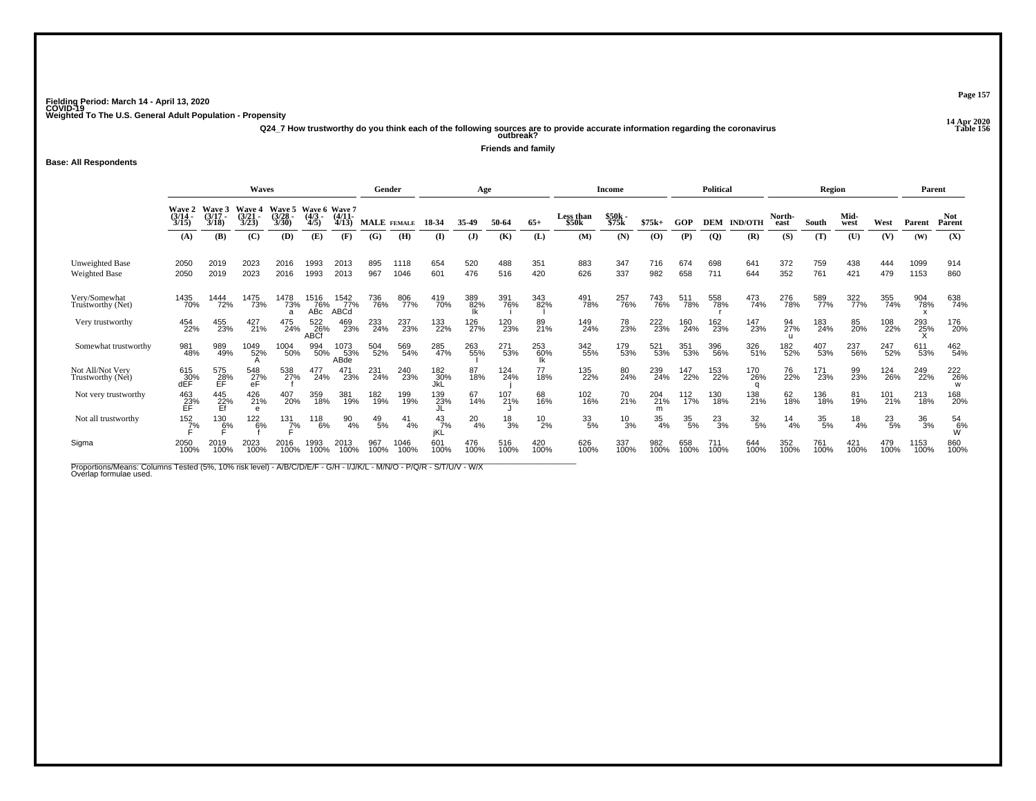**14 Apr 2020 Q24\_7 How trustworthy do you think each of the following sources are to provide accurate information regarding the coronavirus Table 156 outbreak?**

**Friends and family**

**Base: All Respondents**

|                                                |                         |                             | <b>Waves</b>                       |                          |                                   |                     | Gender          |              |                   | Age          |                 |                  |                    | Income           |                  |                  | Political     |                  |                | Region           |               |                 | Parent       |                      |
|------------------------------------------------|-------------------------|-----------------------------|------------------------------------|--------------------------|-----------------------------------|---------------------|-----------------|--------------|-------------------|--------------|-----------------|------------------|--------------------|------------------|------------------|------------------|---------------|------------------|----------------|------------------|---------------|-----------------|--------------|----------------------|
|                                                | Wave 2<br>(3/14<br>3/15 | Wave 3<br>$(3/17 -$<br>3/18 | <b>Wave 4</b><br>$(3/21 -$<br>3/23 | Wave 5<br>(3/28)<br>3/30 | Wave 6 Wave 7<br>$(4/3 -$<br>4/5) | $(4/11 -$<br>4/13   | MALE FEMALE     |              | 18-34             | 35.49        | 50-64           | $65+$            | Less than<br>\$50k | \$50k -<br>\$75k | $$75k+$          | GOP              | <b>DEM</b>    | <b>IND/OTH</b>   | North-<br>east | South            | Mid-<br>west  | West            | Parent       | <b>Not</b><br>Parent |
|                                                | (A)                     | (B)                         | (C)                                | (D)                      | (E)                               | (F)                 | (G)             | (H)          | $($ $\Gamma$      | ( <b>J</b> ) | (K)             | (L)              | (M)                | (N)              | (O)              | (P)              | <b>(Q)</b>    | (R)              | (S)            | (T)              | (U)           | (V)             | (W)          | (X)                  |
| <b>Unweighted Base</b><br><b>Weighted Base</b> | 2050<br>2050            | 2019<br>2019                | 2023<br>2023                       | 2016<br>2016             | 1993<br>1993                      | 2013<br>2013        | 895<br>967      | 1118<br>1046 | 654<br>601        | 520<br>476   | 488<br>516      | 351<br>420       | 883<br>626         | 347<br>337       | 716<br>982       | 674<br>658       | 698<br>711    | 641<br>644       | 372<br>352     | 759<br>761       | 438<br>421    | 444<br>479      | 1099<br>1153 | 914<br>860           |
| Very/Somewhat<br>Truštworthy (Net)             | 1435<br>70%             | 1444<br>72%                 | 1475<br>73%                        | 1478<br>73%              | 1516<br>76%<br>AB <sub>c</sub>    | 1542<br>77%<br>ABCd | 736<br>76%      | 806<br>77%   | 419<br>70%        | 389<br>82%   | 391<br>76%      | 343<br>82%       | 491<br>78%         | 257<br>76%       | 743<br>76%       | 511<br>78%       | 558<br>78%    | 473<br>74%       | 276<br>78%     | 589<br>77%       | 322<br>77%    | 355<br>74%      | 904<br>78%   | 638<br>74%           |
| Very trustworthy                               | 454<br>22%              | 455<br>23%                  | 427 <sub>21%</sub>                 | 475<br>24%               | 522<br>26%<br>ABCI                | 469<br>23%          | 233<br>24%      | 237<br>23%   | 133<br>22%        | 126<br>27%   | 120<br>23%      | 89<br>21%        | 149<br>24%         | 78<br>23%        | 222<br>23%       | 160<br>24%       | 162<br>23%    | 147<br>23%       | 94<br>27%      | 183<br>24%       | 85<br>20%     | 108<br>22%      | 293<br>25%   | 176<br>20%           |
| Somewhat trustworthy                           | 981<br>48%              | 989<br>49%                  | 1049<br>52%                        | 1004<br>50%              | 994<br>50%                        | 1073<br>53%<br>ABde | 504<br>52%      | 569<br>54%   | 285<br>47%        | 263<br>55%   | 271<br>53%      | 253<br>60%<br>lk | 342<br>55%         | 179<br>53%       | 521<br>53%       | 351<br>53%       | 396<br>56%    | 326<br>51%       | 182<br>52%     | 407<br>53%       | 237<br>56%    | 247<br>52%      | 611<br>53%   | 462<br>54%           |
| Not All/Not Very<br>Trustworthy (Net)          | 615<br>30%<br>dÉF       | 575<br>28%<br>ЕĖ            | 548<br>27%<br>eF                   | 538<br>27%               | 477<br>24%                        | 471<br>23%          | 231<br>24%      | 240<br>23%   | 182<br>30%<br>JkL | 87<br>18%    | 124<br>24%      | 77<br>18%        | 135<br>22%         | 80<br>24%        | 239<br>24%       | 147<br>22%       | 153<br>22%    | 170<br>26%       | 76<br>22%      | 171<br>23%       | 99<br>23%     | 124<br>26%      | 249<br>22%   | 222<br>26%<br>W      |
| Not very trustworthy                           | 463<br>23%<br>EF        | 445<br>22%<br>Ef            | 426<br>21%                         | 407<br>20%               | 359<br>18%                        | 381<br>19%          | 182<br>19%      | 199<br>19%   | 139<br>23%        | 67<br>14%    | 107<br>21%      | 68<br>16%        | 102<br>16%         | 70 <sub>%</sub>  | 204<br>21%       | $^{112}_{17\%}$  | 130<br>18%    | 138<br>21%       | 62<br>18%      | 136<br>18%       | 81<br>19%     | 101<br>21%      | 213<br>18%   | 168<br>20%           |
| Not all trustworthy                            | $\frac{152}{7}\%$       | 130<br>6%                   | 122<br>6%                          | 131<br>7%                | 118<br>6%                         | 90<br>4%            | $^{49}_{\ 5\%}$ | 41<br>4%     | 43<br>7%<br>jKĹ   | 20<br>4%     | $\frac{18}{3%}$ | $^{10}_{2\%}$    | 33/5%              | $^{10}_{3\%}$    | $\frac{35}{4\%}$ | $\frac{35}{5\%}$ | $^{23}_{3\%}$ | $\frac{32}{5\%}$ | 14<br>4%       | $\frac{35}{5\%}$ | $^{18}_{4\%}$ | $^{23}_{\ 5\%}$ | 36<br>3%     | $^{54}_{6\%}$        |
| Sigma                                          | 2050<br>100%            | 2019<br>100%                | 2023<br>100%                       | 2016<br>100%             | 1993<br>100%                      | 2013<br>100%        | 967<br>100%     | 1046<br>100% | 601<br>100%       | 476<br>100%  | 516<br>100%     | 420<br>100%      | 626<br>100%        | 337<br>100%      | 982<br>100%      | 658<br>100%      | 711<br>100%   | 644<br>100%      | 352<br>100%    | 761<br>100%      | 421<br>100%   | 479<br>100%     | 1153<br>100% | 860<br>100%          |

Proportions/Means: Columns Tested (5%, 10% risk level) - A/B/C/D/E/F - G/H - I/J/K/L - M/N/O - P/Q/R - S/T/U/V - W/X<br>Overlap formulae used.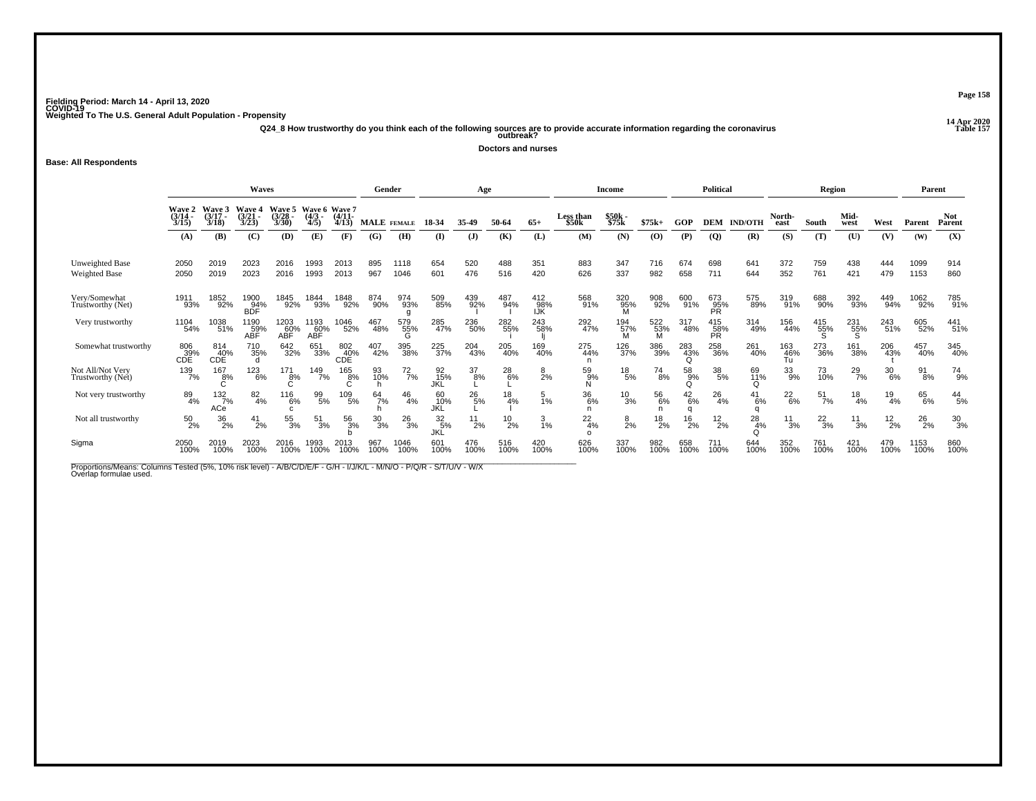**14 Apr 2020 Q24\_8 How trustworthy do you think each of the following sources are to provide accurate information regarding the coronavirus Table 157 outbreak?**

**Doctors and nurses**

**Base: All Respondents**

|                                         |                                   |                             | Waves                     |                          |                                   |                     | Gender          |                 |                        | Age              |               |                   |                      | Income           |                 |                 | <b>Political</b>  |                |                  | <b>Region</b>    |                 |                  | Parent        |                      |
|-----------------------------------------|-----------------------------------|-----------------------------|---------------------------|--------------------------|-----------------------------------|---------------------|-----------------|-----------------|------------------------|------------------|---------------|-------------------|----------------------|------------------|-----------------|-----------------|-------------------|----------------|------------------|------------------|-----------------|------------------|---------------|----------------------|
|                                         | Wave 2<br>(3/14)<br>3/15          | Wave 3<br>$(3/17 -$<br>3/18 | Wave 4<br>(3/21)<br>3/23  | Wave 5<br>(3/28)<br>3/30 | Wave 6 Wave 7<br>$(4/3 -$<br>4/5) | $(4/11 -$<br>4/13   | MALE FEMALE     |                 | 18-34                  | 35.49            | 50-64         | $65+$             | Less than<br>\$50k   | \$50k -<br>\$75k | $$75k+$         | GOP             | <b>DEM</b>        | <b>IND/OTH</b> | North-<br>east   | South            | Mid-<br>west    | West             | Parent        | <b>Not</b><br>Parent |
|                                         | (A)                               | (B)                         | (C)                       | (D)                      | (E)                               | (F)                 | (G)             | (H)             | $($ $\Gamma$           | $($ $)$          | (K)           | (L)               | (M)                  | (N)              | (O)             | (P)             | $\overline{Q}$    | (R)            | (S)              | (T)              | (U)             | (V)              | (W)           | (X)                  |
| Unweighted Base<br><b>Weighted Base</b> | 2050<br>2050                      | 2019<br>2019                | 2023<br>2023              | 2016<br>2016             | 1993<br>1993                      | 2013<br>2013        | 895<br>967      | 1118<br>1046    | 654<br>601             | 520<br>476       | 488<br>516    | 351<br>420        | 883<br>626           | 347<br>337       | 716<br>982      | 674<br>658      | 698<br>711        | 641<br>644     | 372<br>352       | 759<br>761       | 438<br>421      | 444<br>479       | 1099<br>1153  | 914<br>860           |
| Very/Somewhat<br>Truštworthy (Net)      | 1911<br>93%                       | 1852<br>92%                 | 1900<br>94%<br><b>BDF</b> | 1845<br>92%              | 1844<br>93%                       | 1848<br>92%         | 874<br>90%      | 974<br>93%      | 509<br>85%             | 439<br>92%       | 487<br>94%    | 412<br>98%<br>IJK | 568<br>91%           | 320<br>95%<br>M  | 908<br>92%      | 600<br>91%      | 673<br>95%<br>PR  | 575<br>89%     | 319<br>91%       | 688<br>90%       | 392<br>93%      | 449<br>94%       | 1062<br>92%   | 785<br>91%           |
| Very trustworthy                        | 1104<br>54%                       | 1038<br>51%                 | 1190<br>59%<br>ABF        | 1203<br>60%<br>ABF       | 193<br>60%<br>ABF                 | <sup>1046</sup> 52% | 467<br>48%      | 579<br>55%<br>G | 285<br>47%             | 236<br>50%       | 282<br>55%    | 243<br>58%        | 292<br>47%           | 194<br>57%       | 522<br>53%<br>M | 317<br>48%      | 415<br>58%<br>PR. | 314<br>49%     | 156<br>44%       | 415<br>55%       | 231<br>55%      | 243<br>51%       | 605<br>52%    | 441 <sub>51%</sub>   |
| Somewhat trustworthy                    | 806<br>$\overset{39}{\text{COE}}$ | 814<br>40%<br>CDĚ           | 710<br>35%<br>d           | 642<br>32%               | 651<br>33%                        | 802<br>40%<br>CDE   | 407<br>42%      | 395<br>38%      | 225<br>37%             | 204<br>43%       | 205<br>40%    | 169<br>40%        | 275<br>44%           | 126<br>37%       | 386<br>39%      | 283<br>43%<br>O | 258<br>36%        | 261<br>40%     | 163<br>46%<br>Tu | 273<br>36%       | 161<br>38%      | 206<br>43%       | 457<br>40%    | 345<br>40%           |
| Not All/Not Very<br>Trustworthy (Net)   | 139<br>7%                         | $^{167}_{8\%}$              | $^{123}_{6\%}$            | 171<br>8%                | 149<br>7%                         | 165<br>8%           | 93<br>10%       | $^{72}_{7\%}$   | 92<br>15%<br>JKĹ       | $\frac{37}{8\%}$ | $^{28}_{6\%}$ | $\frac{8}{2%}$    | $^{59}_{9\%}$        | $^{18}_{\ 5\%}$  | $^{74}_{8\%}$   | 58<br>9%<br>O   | $^{38}_{\ 5\%}$   | 69<br>11%<br>Ω | $33\atop{9\%}$   | 73<br>10%        | $^{29}_{7\%}$   | $\frac{30}{6\%}$ | 91<br>8%      | 74<br>9%             |
| Not very trustworthy                    | 89<br>4%                          | 132/7%<br>ACe               | $\frac{82}{4\%}$          | 116<br>6%                | 99<br>5%                          | $^{109}_{5\%}$      | 64/7%           | $^{46}_{4\%}$   | 60<br>10%<br>JKL       | $^{26}_{5\%}$    | $^{18}_{4\%}$ | 5<br>ĭ%           | 36<br>6%             | $^{10}_{3\%}$    | 56<br>6%        | $^{42}_{6\%}$   | $^{26}_{4\%}$     | $^{41}_{6\%}$  | $^{22}_{6\%}$    | $\frac{51}{7\%}$ | $^{18}_{4\%}$   | $^{19}_{4\%}$    | 65<br>6%      | $^{44}_{\ 5\%}$      |
| Not all trustworthy                     | $^{50}_{2\%}$                     | $\frac{36}{2\%}$            | $^{41}_{2\%}$             | 55<br>3%                 | $^{51}_{3\%}$                     | 56<br>3%            | $\frac{30}{3%}$ | $^{26}_{3\%}$   | $\frac{32}{5%}$<br>JKĽ | $^{11}_{2\%}$    | $^{10}_{2\%}$ | 3<br>1%           | 22<br>4%<br>$\Omega$ | $\frac{8}{2%}$   | $^{18}_{2\%}$   | $^{16}_{2\%}$   | $^{12}_{2\%}$     | 28<br>4%       | $\frac{11}{3\%}$ | $^{22}_{3\%}$    | $\frac{11}{3%}$ | $^{12}_{2\%}$    | $^{26}_{2\%}$ | 30<br>3%             |
| Sigma                                   | 2050<br>100%                      | 2019<br>100%                | 2023<br>100%              | 2016<br>100%             | 1993<br>100%                      | 2013<br>100%        | 967<br>100%     | 1046<br>100%    | 601<br>100%            | 476<br>100%      | 516<br>100%   | 420<br>100%       | 626<br>100%          | 337<br>100%      | 982<br>100%     | 658<br>100%     | 711<br>100%       | 644<br>100%    | 352<br>100%      | 761<br>100%      | 421<br>100%     | 479<br>100%      | 1153<br>100%  | 860<br>100%          |

Proportions/Means: Columns Tested (5%, 10% risk level) - A/B/C/D/E/F - G/H - I/J/K/L - M/N/O - P/Q/R - S/T/U/V - W/X<br>Overlap formulae used.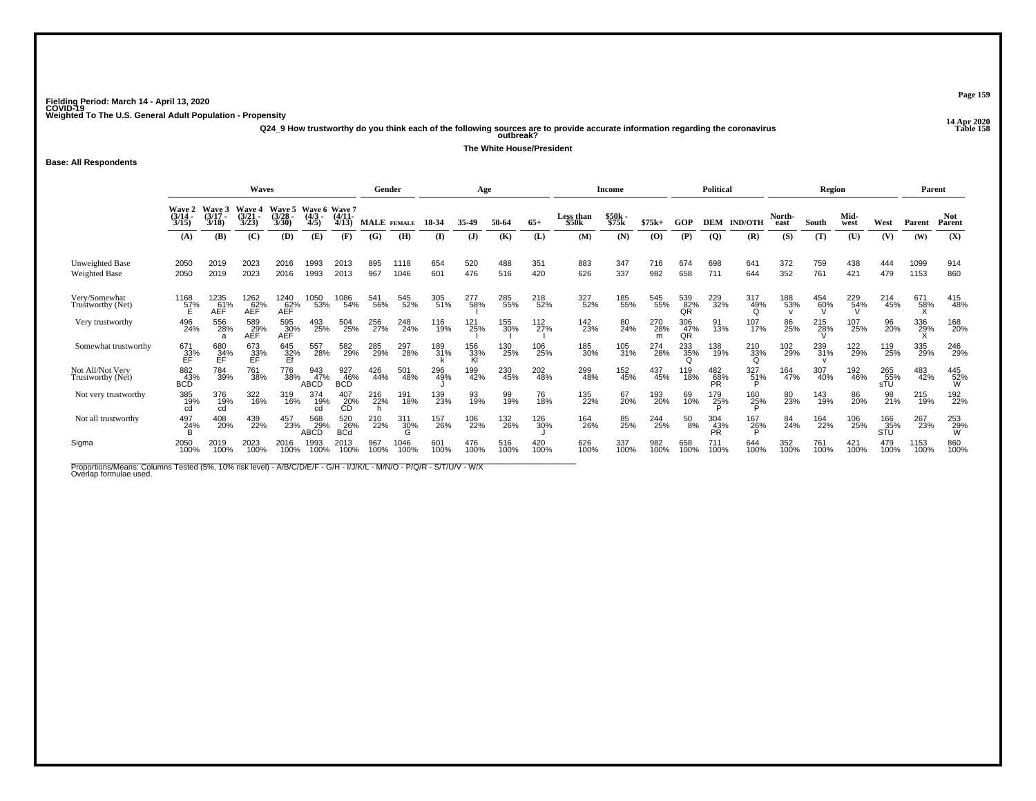**14 Apr 2020 Q24\_9 How trustworthy do you think each of the following sources are to provide accurate information regarding the coronavirus Table 158 outbreak?**

**The White House/President**

### **Base: All Respondents**

|                                         |                                 |                             | <b>Waves</b>            |                          |                               |                          | Gender             |                 |             | Age              |             |                 |                    | Income         |             |                  | <b>Political</b> |                        |                | Region      |              |                   | Parent       |                      |
|-----------------------------------------|---------------------------------|-----------------------------|-------------------------|--------------------------|-------------------------------|--------------------------|--------------------|-----------------|-------------|------------------|-------------|-----------------|--------------------|----------------|-------------|------------------|------------------|------------------------|----------------|-------------|--------------|-------------------|--------------|----------------------|
|                                         | <b>Wave 2</b><br>(3/14)<br>3/15 | Wave 3<br>$(3/17 -$<br>3/18 | Waye 4<br>(3/21<br>3/23 | Waye 5<br>(3/28)<br>3/30 | Wave 6 Wave 7<br>(4/3)<br>4/5 | $(4/11 -$<br>4/13        | <b>MALE</b> FEMALE |                 | 18-34       | 35-49            | 50-64       | $65+$           | Less than<br>\$50k | \$50k<br>\$75k | $$75k+$     | GOP              | <b>DEM</b>       | <b>IND/OTH</b>         | North-<br>east | South       | Mid-<br>west | West              | Parent       | <b>Not</b><br>Parent |
|                                         | (A)                             | (B)                         | (C)                     | (D)                      | (E)                           | (F)                      | (G)                | (H)             | $($ I       | (J)              | (K)         | (L)             | (M)                | (N)            | (0)         | (P)              | $\overline{Q}$   | (R)                    | (S)            | (T)         | (U)          | (V)               | (W)          | (X)                  |
| Unweighted Base<br><b>Weighted Base</b> | 2050<br>2050                    | 2019<br>2019                | 2023<br>2023            | 2016<br>2016             | 1993<br>1993                  | 2013<br>2013             | 895<br>967         | 1118<br>1046    | 654<br>601  | 520<br>476       | 488<br>516  | 351<br>420      | 883<br>626         | 347<br>337     | 716<br>982  | 674<br>658       | 698<br>711       | 641<br>644             | 372<br>352     | 759<br>761  | 438<br>421   | 444<br>479        | 1099<br>1153 | 914<br>860           |
| Very/Somewhat<br>Truštworthy (Net)      | 1168<br>57%<br>E                | 1235<br>61%<br>AÈF          | 1262<br>62%<br>AĚĒ      | 1240<br>62%<br>AEF       | 1050<br>53%                   | 1086<br>54%              | 541<br>56%         | 545<br>52%      | 305<br>51%  | 277<br>58%       | 285<br>55%  | 218<br>52%      | 327<br>52%         | 185<br>55%     | 545<br>55%  | 539<br>82%<br>QR | 229<br>32%       | 317<br>49%<br>$\Omega$ | 188<br>53%     | 454<br>60%  | 229<br>54%   | 214<br>45%        | 671<br>58%   | 415<br>48%           |
| Very trustworthy                        | 496<br>24%                      | 556<br>28%                  | 589<br>29%<br>AEF       | 595<br>30%<br>AÉF        | 493<br>25%                    | 504<br>25%               | 256<br>27%         | 248<br>24%      | 116<br>19%  | 121<br>25%       | 155<br>30%  | $^{112}_{27\%}$ | 142<br>23%         | 80<br>24%      | 270<br>28%  | 306<br>47%<br>QR | 91<br>13%        | 107%                   | 86<br>25%      | 215<br>28%  | 107<br>25%   | 96<br>20%         | 336<br>29%   | 168<br>20%           |
| Somewhat trustworthy                    | 671<br>33%<br>EF                | 680<br>34%<br>FF            | 673<br>33%<br>EF        | 645<br>32%<br>Ef         | 557<br>28%                    | 582<br>29%               | 285<br>29%         | 297<br>28%      | 189<br>31%  | 156<br>33%<br>Kl | 130<br>25%  | 106<br>25%      | 185<br>30%         | 105<br>31%     | 274<br>28%  | 233<br>35%       | 138<br>19%       | $^{210}_{33\%}$        | 102<br>29%     | 239<br>31%  | 122<br>29%   | 119<br>25%        | 335<br>29%   | 246<br>29%           |
| Not All/Not Very<br>Trustworthy (Net)   | 882<br>43%<br><b>BCD</b>        | 784<br>39%                  | 761<br>38%              | 776<br>38%               | 943<br>47%<br><b>ABCD</b>     | 927<br>46%<br><b>BCD</b> | 426<br>44%         | 501<br>48%      | 296<br>49%  | 199<br>42%       | 230<br>45%  | 202<br>48%      | 299<br>48%         | 152<br>45%     | 437<br>45%  | 119<br>18%       | 482<br>68%<br>PR | 327<br>51%<br>D        | 164<br>47%     | 307<br>40%  | 192<br>46%   | 265<br>55%<br>sTÜ | 483<br>42%   | 445<br>52%<br>W      |
| Not very trustworthy                    | 385<br>19%<br>cd                | 376<br>19%<br>cd            | 322<br>16%              | 319<br>16%               | 374<br>19%                    | 407<br>20%<br>CD         | 216<br>22%         | 191<br>18%      | 139<br>23%  | 93<br>19%        | 99<br>19%   | 76<br>18%       | 135<br>22%         | 67<br>20%      | 193<br>20%  | 69<br>10%        | 179<br>25%       | 160<br>25%             | 80<br>23%      | 143<br>19%  | 86<br>20%    | 98<br>21%         | 215<br>19%   | 192<br>22%           |
| Not all trustworthy                     | 497<br>24%<br>B                 | 408<br>20%                  | 439<br>22%              | 457<br>23%               | 568<br>29%                    | 520<br>26%<br>BCd        | 210<br>22%         | 311<br>30%<br>G | 157<br>26%  | 106<br>22%       | 132<br>26%  | 126<br>30%      | 164<br>26%         | 85<br>25%      | 244<br>25%  | 50<br>8%         | 304<br>43%<br>PR | 167<br>2 <u>6</u> %    | 84<br>24%      | 164<br>22%  | 106<br>25%   | 166<br>35%<br>STU | 267<br>23%   | 253<br>29%<br>W      |
| Sigma                                   | 2050<br>100%                    | 2019<br>100%                | 2023<br>100%            | 2016<br>100%             | 1993<br>100%                  | 2013<br>100%             | 967<br>100%        | 1046<br>100%    | 601<br>100% | 476<br>100%      | 516<br>100% | 420<br>100%     | 626<br>100%        | 337<br>100%    | 982<br>100% | 658<br>100%      | 711<br>100%      | 644<br>100%            | 352<br>100%    | 761<br>100% | 421<br>100%  | 479<br>100%       | 1153<br>100% | 860<br>100%          |

Proportions/Means: Columns Tested (5%, 10% risk level) - A/B/C/D/E/F - G/H - I/J/K/L - M/N/O - P/Q/R - S/T/U/V - W/X<br>Overlap formulae used.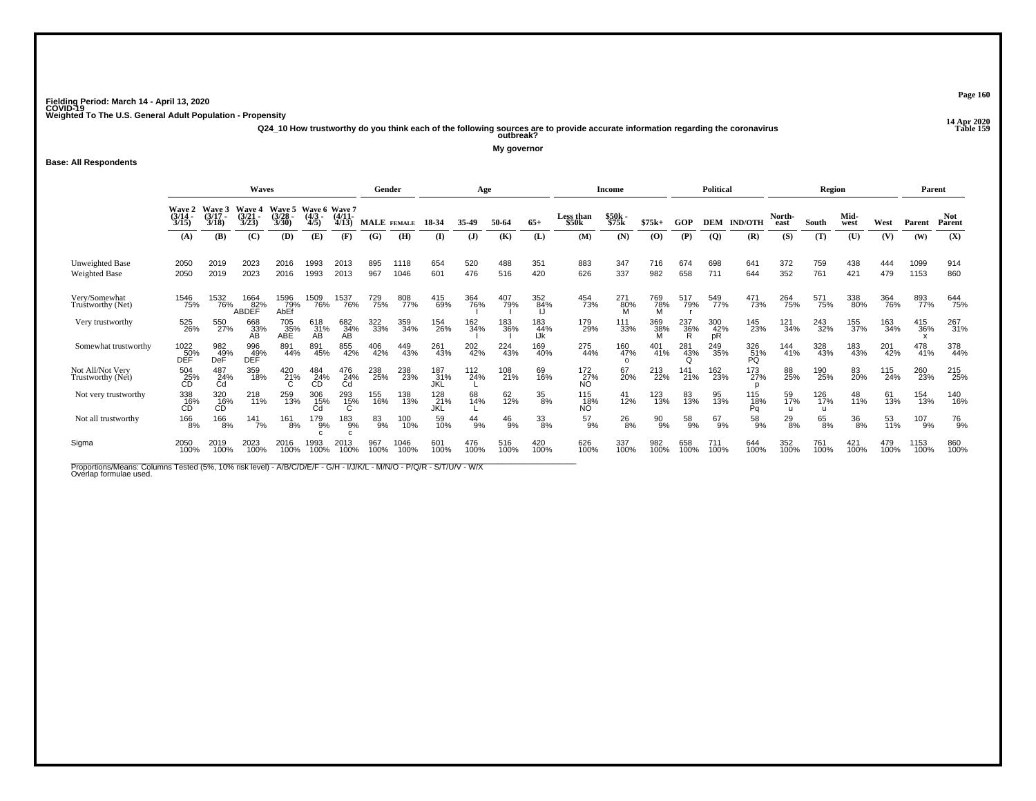**14 Apr 2020 Q24\_10 How trustworthy do you think each of the following sources are to provide accurate information regarding the coronavirus Table 159 outbreak?**

**My governor**

### **Base: All Respondents**

|                                         |                                 |                             | <b>Waves</b>            |                          |                                  |                   | Gender      |              |                   | Age             |              |                   |                    | Income                 |               |             | <b>Political</b> |                              |                           | Region      |              |             | Parent       |                      |
|-----------------------------------------|---------------------------------|-----------------------------|-------------------------|--------------------------|----------------------------------|-------------------|-------------|--------------|-------------------|-----------------|--------------|-------------------|--------------------|------------------------|---------------|-------------|------------------|------------------------------|---------------------------|-------------|--------------|-------------|--------------|----------------------|
|                                         | <b>Wave 2</b><br>(3/14)<br>3/15 | Wave 3<br>$(3/17 -$<br>3/18 | Waye 4<br>(3/21<br>3/23 | Wave 5<br>(3/28)<br>3/30 | Wave 6 Wave 7<br>$(4/3 -$<br>4/5 | $(4/11 -$<br>4/13 | MALE FEMALE |              | 18-34             | 35-49           | 50-64        | $65+$             | Less than<br>\$50k | \$50k<br>\$75k         | $$75k+$       | GOP         | <b>DEM</b>       | <b>IND/OTH</b>               | North-<br>east            | South       | Mid-<br>west | West        | Parent       | <b>Not</b><br>Parent |
|                                         | (A)                             | (B)                         | (C)                     | (D)                      | (E)                              | (F)               | (G)         | (H)          | (I)               | (J)             | (K)          | (L)               | (M)                | (N)                    | (0)           | (P)         | $\overline{Q}$   | (R)                          | (S)                       | (T)         | (U)          | (V)         | (W)          | (X)                  |
| Unweighted Base<br><b>Weighted Base</b> | 2050<br>2050                    | 2019<br>2019                | 2023<br>2023            | 2016<br>2016             | 1993<br>1993                     | 2013<br>2013      | 895<br>967  | 1118<br>1046 | 654<br>601        | 520<br>476      | 488<br>516   | 351<br>420        | 883<br>626         | 347<br>337             | 716<br>982    | 674<br>658  | 698<br>711       | 641<br>644                   | 372<br>352                | 759<br>761  | 438<br>421   | 444<br>479  | 1099<br>1153 | 914<br>860           |
| Very/Somewhat<br>Truštworthy (Net)      | 1546<br>75%                     | 1532<br>76%                 | 1664<br>82%<br>ABDEF    | 1596<br>79%<br>AbEf      | <sup>1509</sup> %                | 1537<br>76%       | 729<br>75%  | 808<br>77%   | 415<br>69%        | 364<br>76%      | 407<br>79%   | 352<br>84%        | 454<br>73%         | 271<br>80%<br>M        | 769<br>78%    | 517<br>79%  | 549<br>77%       | 471<br>73%                   | 264<br>75%                | 571<br>75%  | 338<br>80%   | 364<br>76%  | 893<br>77%   | 644<br>75%           |
| Very trustworthy                        | 525<br>26%                      | 550<br>27%                  | 668<br>33%<br>AВ        | 705<br>35%<br>ABÉ        | 618<br>31%<br>AB                 | 682<br>34%<br>AB  | 322<br>33%  | 359<br>34%   | 154<br>26%        | 162<br>34%      | 183<br>36%   | 183<br>44%<br>IJk | 179<br>29%         | 111<br>33%             | 369<br>38%    | 237<br>36%  | 300<br>42%<br>pR | 145<br>23%                   | 121<br>34%                | 243<br>32%  | 155<br>37%   | 163<br>34%  | 415<br>36%   | 267<br>31%           |
| Somewhat trustworthy                    | 1022<br>DEF                     | 982<br>49%<br>DeF           | 996<br>049%<br>DEF      | 891<br>44%               | 891<br>45%                       | 855<br>42%        | 406<br>42%  | 449<br>43%   | 261<br>43%        | 202<br>42%      | 224<br>43%   | 169<br>40%        | 275<br>44%         | 160<br>47%<br>$\Omega$ | 401<br>41%    | 281<br>43%  | 249<br>35%       | 326<br>51%<br>PQ             | 144<br>41%                | 328<br>43%  | 183<br>43%   | 201<br>42%  | 478<br>41%   | 378<br>44%           |
| Not All/Not Very<br>Trustworthy (Net)   | 504<br>25%<br>CD                | 487<br>24%<br>Cd            | 359<br>18%              | 420<br>21%               | 484<br>24%<br>CD                 | 476<br>24%<br>Cd  | 238<br>25%  | 238<br>23%   | 187<br>31%<br>JKL | $^{112}_{24\%}$ | 108<br>21%   | 69<br>16%         | 172<br>27%<br>NO.  | 67<br>20%              | 213<br>22%    | 141<br>21%  | 162<br>23%       | 173<br>27%                   | 88<br>25%                 | 190<br>25%  | 83<br>20%    | 115<br>24%  | 260<br>23%   | 215<br>25%           |
| Not very trustworthy                    | 338<br>16%<br>СĎ                | 320<br>16%<br>СĎ            | 218<br>11%              | 259<br>13%               | 306<br>15%<br>Cd                 | 293<br>15%        | 155<br>16%  | 138<br>13%   | 128<br>21%<br>JKL | 68<br>14%       | 62<br>12%    | 35<br>8%          | 115<br>18%<br>NO.  | $^{41}_{12\%}$         | 123<br>13%    | 83<br>13%   | 95<br>13%        | 115<br>18%<br>P <sub>0</sub> | 59<br>17%<br>$\mathbf{u}$ | 126<br>17%  | 48<br>11%    | 61<br>13%   | 154<br>13%   | 140<br>16%           |
| Not all trustworthy                     | 166<br>8%                       | 166<br>8%                   | $\frac{141}{7\%}$       | 161<br>8%                | 179<br>9%                        | 183<br>9%         | 83<br>9%    | 100<br>10%   | 59<br>10%         | $^{44}_{9\%}$   | $^{46}_{9%}$ | 33<br>8%          | 57<br>9%           | $^{26}_{8\%}$          | $^{90}_{9\%}$ | 58<br>9%    | 67<br>9%         | 58<br>9%                     | $^{29}_{8\%}$             | 65<br>8%    | 36<br>8%     | 53<br>11%   | 107<br>9%    | 76<br>9%             |
| Sigma                                   | 2050<br>100%                    | 2019<br>100%                | 2023<br>100%            | 2016<br>100%             | 993<br>100%                      | 2013<br>100%      | 967<br>100% | 1046<br>100% | 601<br>100%       | 476<br>100%     | 516<br>100%  | 420<br>100%       | 626<br>100%        | 337<br>100%            | 982<br>100%   | 658<br>100% | 711<br>100%      | 644<br>100%                  | 352<br>100%               | 761<br>100% | 421<br>100%  | 479<br>100% | 1153<br>100% | 860<br>100%          |

Proportions/Means: Columns Tested (5%, 10% risk level) - A/B/C/D/E/F - G/H - I/J/K/L - M/N/O - P/Q/R - S/T/U/V - W/X<br>Overlap formulae used.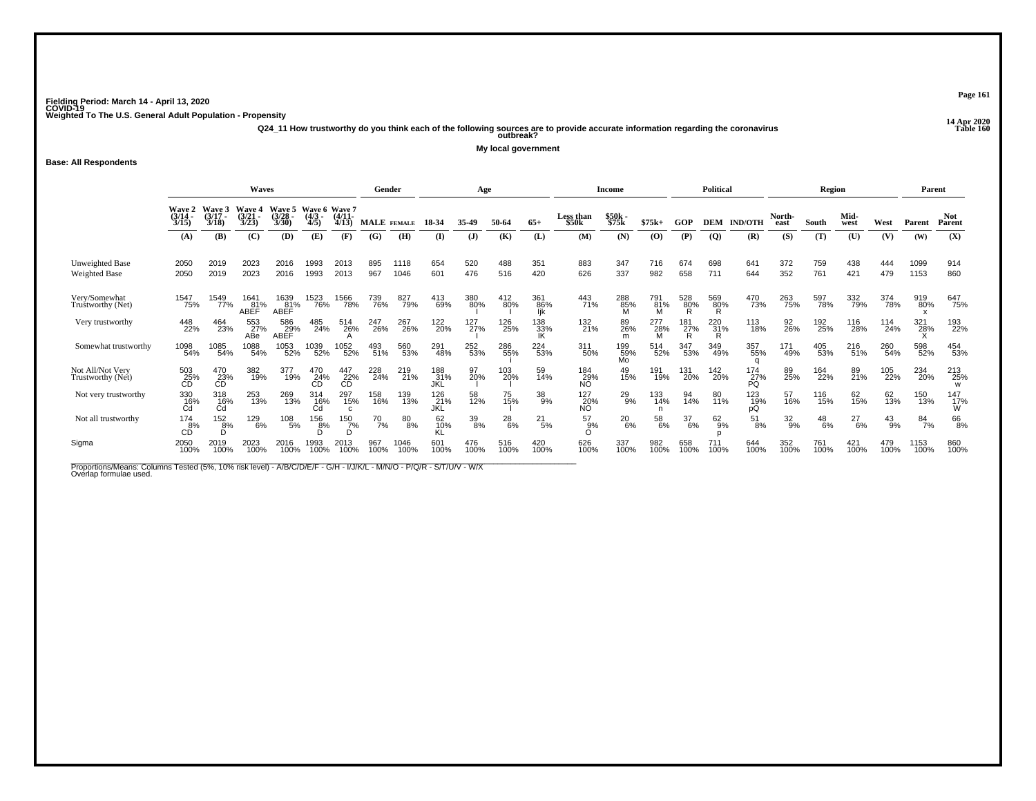**14 Apr 2020 Q24\_11 How trustworthy do you think each of the following sources are to provide accurate information regarding the coronavirus Table 160 outbreak?**

**My local government**

**Base: All Respondents**

|                                         |                                |                             | <b>Waves</b>            |                          |                                  |                   | Gender             |              |                          | Age              |               |                   |                    | Income           |                        |                 | <b>Political</b> |                  |                  | <b>Region</b> |               |               | Parent       |                      |
|-----------------------------------------|--------------------------------|-----------------------------|-------------------------|--------------------------|----------------------------------|-------------------|--------------------|--------------|--------------------------|------------------|---------------|-------------------|--------------------|------------------|------------------------|-----------------|------------------|------------------|------------------|---------------|---------------|---------------|--------------|----------------------|
|                                         | Waye 2<br>(3/14 -<br>3/15      | Wave 3<br>$(3/17 -$<br>3/18 | Wave 4<br>(3/21<br>3/23 | Wave 5<br>(3/28)<br>3/30 | Wave 6 Wave 7<br>$(4/3 -$<br>4/5 | $(4/11 -$<br>4/13 | <b>MALE</b> FEMALE |              | 18-34                    | 35-49            | 50-64         | $65+$             | Less than<br>\$50k | \$50k -<br>\$75k | $$75k+$                | GOP             | <b>DEM</b>       | <b>IND/OTH</b>   | North-<br>east   | South         | Mid-<br>west  | West          | Parent       | <b>Not</b><br>Parent |
|                                         | (A)                            | (B)                         | (C)                     | (D)                      | (E)                              | (F)               | (G)                | (H)          | $($ I                    | (J)              | (K)           | (L)               | (M)                | (N)              | (0)                    | (P)             | $\overline{Q}$   | (R)              | (S)              | (T)           | (U)           | (V)           | (W)          | (X)                  |
| Unweighted Base<br><b>Weighted Base</b> | 2050<br>2050                   | 2019<br>2019                | 2023<br>2023            | 2016<br>2016             | 1993<br>1993                     | 2013<br>2013      | 895<br>967         | 1118<br>1046 | 654<br>601               | 520<br>476       | 488<br>516    | 351<br>420        | 883<br>626         | 347<br>337       | 716<br>982             | 674<br>658      | 698<br>711       | 641<br>644       | 372<br>352       | 759<br>761    | 438<br>421    | 444<br>479    | 1099<br>1153 | 914<br>860           |
| Very/Somewhat<br>Trustworthy (Net)      | 1547<br>75%                    | 1549<br>77%                 | 1641<br>81%<br>ABEF     | 1639<br>81%<br>ABEF      | 1523<br>76%                      | 1566<br>78%       | 739<br>76%         | 827<br>79%   | 413<br>69%               | 380<br>80%       | 412<br>80%    | 361<br>86%<br>lik | 443<br>71%         | 288<br>85%<br>M  | 791<br>81%<br><b>M</b> | 528<br>80%<br>R | 569<br>80%<br>R  | 470<br>73%       | 263<br>75%       | 597<br>78%    | 332<br>79%    | 374<br>78%    | 919<br>80%   | 647<br>75%           |
| Very trustworthy                        | 448<br>22%                     | 464<br>23%                  | 553<br>27%<br>ABe       | 586<br>29%<br>ABEF       | 485<br>24%                       | 514<br>26%        | 247<br>26%         | 267<br>26%   | 122<br>20%               | 127 <sub>%</sub> | 126<br>25%    | 138<br>33%<br>IK  | 132%               | 89<br>26%<br>m   | 277<br>28%             | 181<br>27%<br>R | 220 31%<br>R     | 113<br>18%       | 92<br>26%        | 192<br>25%    | 116<br>28%    | 114<br>24%    | 321<br>28%   | 193<br>22%           |
| Somewhat trustworthy                    | 1098<br>54%                    | 1085<br>54%                 | 1088<br>54%             | 1053<br>52%              | 1039<br>52%                      | 1052<br>52%       | 493<br>51%         | 560<br>53%   | 291<br>48%               | 252<br>53%       | 286<br>55%    | 224<br>53%        | 311<br>50%         | 199<br>59%<br>Mo | 514<br>52%             | 347<br>53%      | 349<br>49%       | 357<br>55%       | 171<br>49%       | 405<br>53%    | 216<br>51%    | 260<br>54%    | 598<br>52%   | 454<br>53%           |
| Not All/Not Very<br>Trustworthy (Net)   | 503<br>25%<br><b>CD</b>        | 470<br>23%<br>СĎ            | 382<br>19%              | 377<br>19%               | 470<br>24%                       | 447<br>22%<br>CD  | 228<br>24%         | 219<br>21%   | 188<br>31%<br>JKL        | 97<br>20%        | 103<br>20%    | 59<br>14%         | 184<br>29%<br>ΝÓ   | 49<br>15%        | 191<br>19%             | 131<br>20%      | 142<br>20%       | 174<br>27%<br>PÓ | 89<br>25%        | 164<br>22%    | 89<br>21%     | 105<br>22%    | 234<br>20%   | 213<br>25%<br>W      |
| Not very trustworthy                    | $\underset{\text{Cd}}{^{330}}$ | 318<br>16%<br>Cd            | 253<br>13%              | 269<br>13%               | 314<br>_16%<br>Cd                | 297<br>15%        | 158<br>16%         | 139<br>13%   | 126<br>21%<br><b>JKL</b> | 58<br>12%        | 75<br>15%     | 38<br>9%          | 127<br>20%<br>NO   | 29<br>9%         | 133<br>14%             | 94<br>14%       | 80<br>11%        | 123<br>19%<br>рQ | 57<br>16%        | 116<br>15%    | 62<br>15%     | 62<br>13%     | 150<br>13%   | $^{147}_{17\%}$<br>W |
| Not all trustworthy                     | $^{174}_{\rm~6\%}$             | $\frac{152}{8%}$            | 129<br>6%               | $^{108}_{-5\%}$          | 156<br>$\overline{8}$ %          | 150<br>7%         | $^{70}$ 7%         | 80<br>8%     | 62<br>10%                | 39<br>8%         | $^{28}_{6\%}$ | 21<br>5%          | 57<br>9%           | $^{20}_{6\%}$    | 58<br>6%               | 37<br>6%        | $^{62}_{9\%}$    | $^{51}_{8\%}$    | $\frac{32}{9\%}$ | $^{48}_{6\%}$ | $^{27}_{6\%}$ | $^{43}_{9\%}$ | 84<br>7%     | 66<br>8%             |
| Sigma                                   | 2050<br>100%                   | 2019<br>100%                | 2023<br>100%            | 2016<br>100%             | 1993<br>100%                     | 2013<br>100%      | 967<br>100%        | 1046<br>100% | 601<br>100%              | 476<br>100%      | 516<br>100%   | 420<br>100%       | 626<br>100%        | 337<br>100%      | 982<br>100%            | 658<br>100%     | 711<br>100%      | 644<br>100%      | 352<br>100%      | 761<br>100%   | 421<br>100%   | 479<br>100%   | 1153<br>100% | 860<br>100%          |

Proportions/Means: Columns Tested (5%, 10% risk level) - A/B/C/D/E/F - G/H - I/J/K/L - M/N/O - P/Q/R - S/T/U/V - W/X<br>Overlap formulae used.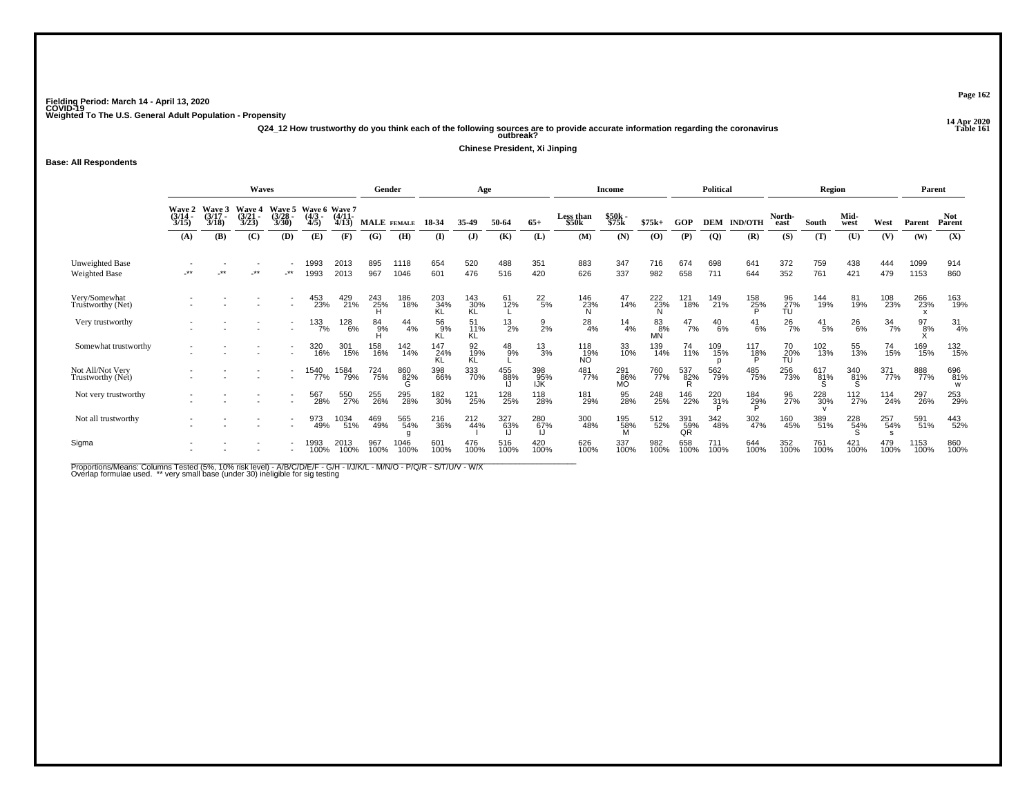**14 Apr 2020 Q24\_12 How trustworthy do you think each of the following sources are to provide accurate information regarding the coronavirus Table 161 outbreak?**

**Chinese President, Xi Jinping**

**Base: All Respondents**

|                                         |                           |                        | Waves                           |                          |                                       |              | Gender      |               |                  | Age              |               |                   |                                | <b>Income</b>     |             |                  | <b>Political</b> |                     |                       | Region        |                 |                  | Parent        |                      |
|-----------------------------------------|---------------------------|------------------------|---------------------------------|--------------------------|---------------------------------------|--------------|-------------|---------------|------------------|------------------|---------------|-------------------|--------------------------------|-------------------|-------------|------------------|------------------|---------------------|-----------------------|---------------|-----------------|------------------|---------------|----------------------|
|                                         | Waye 2<br>(3/14 -<br>3/15 | Wave<br>(3/17)<br>3/18 | <b>Wave 4</b><br>(3/21)<br>3/23 | Wave 5<br>(3/28)<br>3/30 | Wave 6 Wave 7<br>(4/3 - (4/11<br>4/5) | 4/13         | MALE FEMALE |               | 18-34            | 35-49            | 50-64         | $65+$             | Less than<br>\$50 <sub>k</sub> | $$50k -$<br>\$75k | $$75k+$     | GOP              | DEM              | <b>IND/OTH</b>      | North-<br>east        | South         | Mid-<br>west    | West             | Parent        | <b>Not</b><br>Parent |
|                                         | (A)                       | (B)                    | (C)                             | (D)                      | (E)                                   | (F)          | (G)         | (H)           | $($ I            | $($ $\bf{J})$    | (K)           | (L)               | (M)                            | (N)               | (O)         | (P)              | $\overline{Q}$   | (R)                 | (S)                   | (T)           | (U)             | (V)              | (W)           | (X)                  |
| Unweighted Base<br><b>Weighted Base</b> |                           | **                     | **                              | $\cdot^{\star\star}$     | 1993<br>1993                          | 2013<br>2013 | 895<br>967  | 1118<br>1046  | 654<br>601       | 520<br>476       | 488<br>516    | 351<br>420        | 883<br>626                     | 347<br>337        | 716<br>982  | 674<br>658       | 698<br>711       | 641<br>644          | 372<br>352            | 759<br>761    | 438<br>421      | 444<br>479       | 1099<br>1153  | 914<br>860           |
| Very/Somewhat<br>Trustworthy (Net)      |                           |                        |                                 |                          | 453<br>23%                            | 429<br>21%   | 243<br>25%  | 186<br>18%    | 203<br>34%       | 143<br>30%<br>KL | 61<br>12%     | $^{22}_{\ 5\%}$   | 146<br>23%                     | 47<br>14%         | 222<br>23%  | 121<br>18%       | 149<br>21%       | 158<br>25%          | 96<br>27%<br>TU       | 144<br>19%    | 81<br>19%       | 108<br>23%       | 266<br>23%    | 163<br>19%           |
| Very trustworthy                        |                           |                        |                                 |                          | $\frac{133}{7\%}$                     | 128<br>6%    | 84 9%       | $^{44}_{4\%}$ | 56<br>9%         | 11%<br>ΚL        | $^{13}_{2\%}$ | $\frac{9}{2%}$    | $^{28}_{4\%}$                  | $^{14}_{4\%}$     | 83%<br>MÑ   | $^{47}_{7\%}$    | $^{40}_{6\%}$    | $^{41}_{6\%}$       | $^{26}_{7\%}$         | $^{41}_{5\%}$ | $^{26}_{6\%}$   | $\frac{34}{7\%}$ | $^{97}_{8\%}$ | $\frac{31}{4\%}$     |
| Somewhat trustworthy                    |                           |                        |                                 | $\overline{\phantom{a}}$ | 320<br>16%                            | 301<br>15%   | 158<br>16%  | 142<br>14%    | 147<br>24%<br>KL | 92<br>19%<br>KL  | $^{48}_{9%}$  | $^{13}_{3\%}$     | 118<br>19%<br>NÓ               | 33<br>10%         | 139<br>14%  | 74<br>11%        | 109<br>15%       | 117<br>1 <u>8</u> % | 70<br>$\frac{20}{10}$ | 102<br>13%    | 55<br>13%       | 74<br>15%        | 169<br>15%    | 132<br>15%           |
| Not All/Not Very<br>Trustworthy (Net)   |                           |                        |                                 |                          | 1540<br>77%                           | 1584<br>79%  | 724<br>75%  | 860<br>82%    | 398<br>66%       | 333<br>70%       | 455<br>88%    | 398<br>95%<br>IJK | 481<br>77%                     | 291<br>86%<br>MÕ  | 760<br>77%  | 537<br>82%<br>R. | 562<br>79%       | 485<br>75%          | 256<br>73%            | 617881%       | 340<br>81%      | 371<br>77%       | 888<br>77%    | 696<br>81%<br>W      |
| Not very trustworthy                    |                           |                        |                                 |                          | 567<br>28%                            | 550<br>27%   | 255<br>26%  | 295<br>28%    | 182<br>30%       | 121<br>25%       | 128<br>25%    | 118<br>28%        | 181<br>29%                     | 95<br>28%         | 248<br>25%  | 146<br>22%       | 220<br>31%       | 184<br>29%          | 96<br>27%             | 228<br>30%    | $^{112}_{27\%}$ | 114<br>24%       | 297<br>26%    | 253<br>29%           |
| Not all trustworthy                     |                           |                        |                                 |                          | 973<br>49%                            | 1034<br>51%  | 469<br>49%  | 565<br>54%    | 216<br>36%       | 212<br>44%       | 327<br>63%    | 280<br>67%        | 300<br>48%                     | 195<br>58%<br>M   | 512<br>52%  | 391<br>59%<br>QR | 342<br>48%       | 302<br>47%          | 160<br>45%            | 389<br>51%    | 228<br>54%      | 257<br>54%       | 591<br>51%    | 443<br>52%           |
| Sigma                                   |                           |                        |                                 |                          | 1993<br>100%                          | 2013<br>100% | 967<br>100% | 1046<br>100%  | 601<br>100%      | 476<br>100%      | 516<br>100%   | 420<br>100%       | 626<br>100%                    | 337<br>100%       | 982<br>100% | 658<br>100%      | 711<br>100%      | 644<br>100%         | 352<br>100%           | 761<br>100%   | 421<br>100%     | 479<br>100%      | 1153<br>100%  | 860<br>100%          |

Proportions/Means: Columns Tested (5%, 10% risk level) - A/B/C/D/E/F - G/H - I/J/K/L - M/N/O - P/Q/R - S/T/U/V - W/X<br>Overlap formulae used. \*\* very small base (under 30) ineligible for sig testing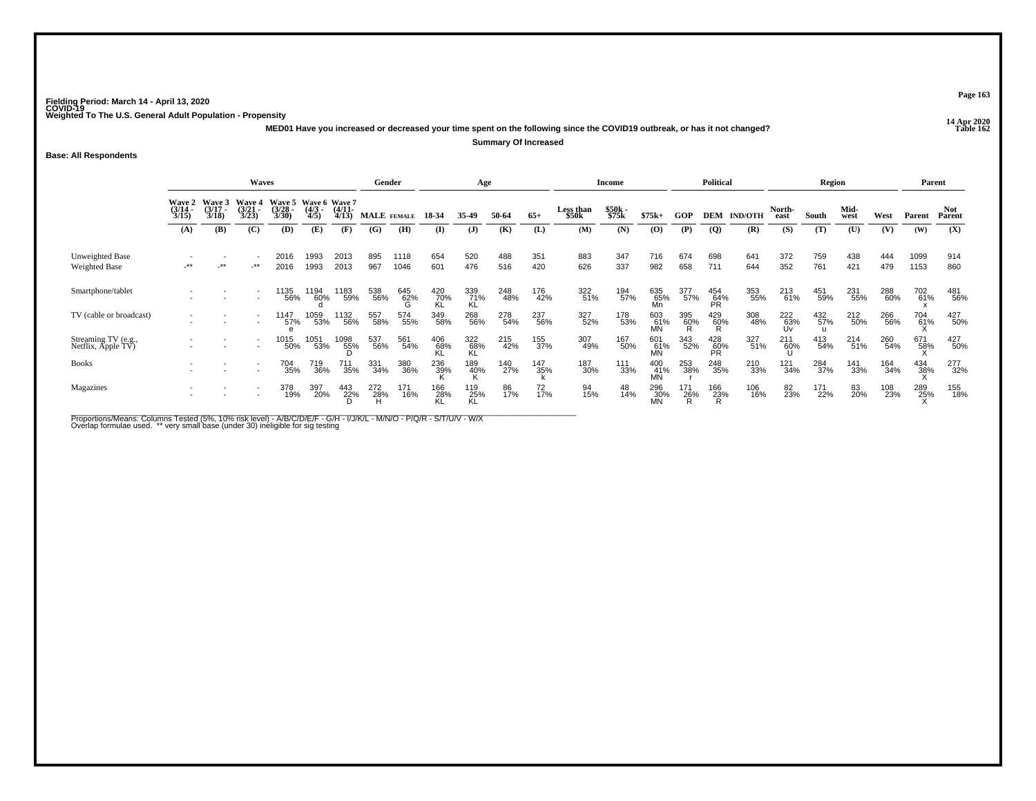**14 Apr 2020 MED01 Have you increased or decreased your time spent on the following since the COVID19 outbreak, or has it not changed?**

**Summary Of Increased**

**Base: All Respondents**

|                                         |                                                                                                                                                                                                             |       | <b>Waves</b>             |              |              |              | Gender      |              |                  | Age              |            |                               |                           | <b>Income</b>  |                          |            | <b>Political</b>  |                    |                | Region                     |              |            |              | Parent         |
|-----------------------------------------|-------------------------------------------------------------------------------------------------------------------------------------------------------------------------------------------------------------|-------|--------------------------|--------------|--------------|--------------|-------------|--------------|------------------|------------------|------------|-------------------------------|---------------------------|----------------|--------------------------|------------|-------------------|--------------------|----------------|----------------------------|--------------|------------|--------------|----------------|
|                                         | Wave 5 Wave 6 Wave 7<br>Wave 3<br>Wave 4<br><b>Wave 2</b><br>$\binom{3/21}{3/23}$<br>$\frac{(3/28)}{3/30}$<br>$\frac{(4/11)}{4/13}$<br>$\frac{(3/14)}{3/15}$<br>$\frac{(3/17)}{3/18}$<br>$\binom{4/3}{4/5}$ |       |                          |              |              |              | MALE FEMALE |              | 18-34            | 35-49            | 50-64      | $65+$                         | <b>Less than</b><br>\$50k | \$50k<br>\$75k | $$75k+$                  | GOP        |                   | <b>DEM IND/OTH</b> | North-<br>east | South                      | Mid-<br>west | West       | Parent       | Not.<br>Parent |
|                                         | (A)                                                                                                                                                                                                         | (B)   | (C)                      | (D)          | (E)          | (F)          | (G)         | (H)          | (I)              | $\mathbf{J}$     | (K)        | (L)                           | (M)                       | (N)            | (0)                      | (P)        | $\overline{Q}$    | (R)                | (S)            | (T)                        | (U)          | (V)        | (W)          | (X)            |
| Unweighted Base<br><b>Weighted Base</b> | $***$                                                                                                                                                                                                       | $***$ | $-***$                   | 2016<br>2016 | 1993<br>1993 | 2013<br>2013 | 895<br>967  | 1118<br>1046 | 654<br>601       | 520<br>476       | 488<br>516 | 351<br>420                    | 883<br>626                | 347<br>337     | 716<br>982               | 674<br>658 | 698<br>711        | 641<br>644         | 372<br>352     | 759<br>761                 | 438<br>421   | 444<br>479 | 1099<br>1153 | 914<br>860     |
| Smartphone/tablet                       |                                                                                                                                                                                                             |       |                          | 1135<br>56%  | 1194<br>60%  | 1183<br>59%  | 538<br>56%  | 645<br>62%   | 420<br>70%<br>KL | 339<br>71%<br>KL | 248<br>48% | 176<br>42%                    | 322<br>51%                | 194<br>57%     | 635<br>65%<br>Mn         | 377<br>57% | 454<br>64%<br>PR  | 353<br>55%         | 213<br>61%     | 451<br>59%                 | 231<br>55%   | 288<br>60% | 702<br>61%   | 481<br>56%     |
| TV (cable or broadcast)                 |                                                                                                                                                                                                             |       |                          | 1147<br>57%  | 1059<br>53%  | 1132<br>56%  | 557<br>58%  | 574<br>55%   | 349<br>58%       | 268<br>56%       | 278<br>54% | 237<br>56%                    | 327<br>52%                | 178<br>53%     | 603<br>61%<br>MN         | 395<br>60% | $^{429}_{60\%}$   | 308<br>48%         | 222<br>63%     | 432<br>57%<br>$\mathbf{u}$ | 212<br>50%   | 266<br>56% | 704<br>61%   | 427<br>50%     |
| Streaming TV (e.g., Netflix, Apple TV)  |                                                                                                                                                                                                             |       | $\overline{\phantom{a}}$ | 1015<br>50%  | 1051<br>53%  | 1098<br>55%  | 537<br>56%  | 561<br>54%   | 406<br>68%       | 322<br>68%<br>KL | 215<br>42% | 155<br>37%                    | 307<br>49%                | 167<br>50%     | 601<br>61%<br><b>MN</b>  | 343<br>52% | 428<br>60%<br>PR. | 327<br>51%         | 211<br>60%     | 413<br>54%                 | 214<br>51%   | 260<br>54% | 671<br>58%   | 427<br>50%     |
| <b>Books</b>                            |                                                                                                                                                                                                             |       |                          | 704<br>35%   | 719<br>36%   | 711<br>35%   | 331<br>34%  | 380<br>36%   | 236<br>39%       | 189<br>40%       | 140<br>27% | <sup>147</sup> <sub>35%</sub> | 187<br>30%                | 111<br>33%     | 400<br>41%<br>MN         | 253<br>38% | 248<br>35%        | 210<br>33%         | 121<br>34%     | 284<br>37%                 | 141<br>33%   | 164<br>34% | 434<br>38%   | 277<br>32%     |
| Magazines                               |                                                                                                                                                                                                             |       |                          | 378<br>19%   | 397<br>20%   | 443<br>22%   | 272<br>28%  | 171<br>16%   | 166<br>28%<br>KL | 119<br>25%<br>KL | 86<br>17%  | 72<br>17%                     | 94<br>15%                 | 48<br>14%      | 296<br>$\frac{30}{10}$ % | 171<br>26% | 166<br>23%<br>R   | 106<br>16%         | 82<br>23%      | 171<br>22%                 | 83<br>20%    | 108<br>23% | 289<br>25%   | 155<br>18%     |

Proportions/Means: Columns Tested (5%, 10% risk level) - A/B/C/D/E/F - G/H - I/J/K/L - M/N/O - P/Q/R - S/T/U/V - W/X<br>Overlap formulae used. \*\* very small base (under 30) ineligible for sig testing

**Page 163**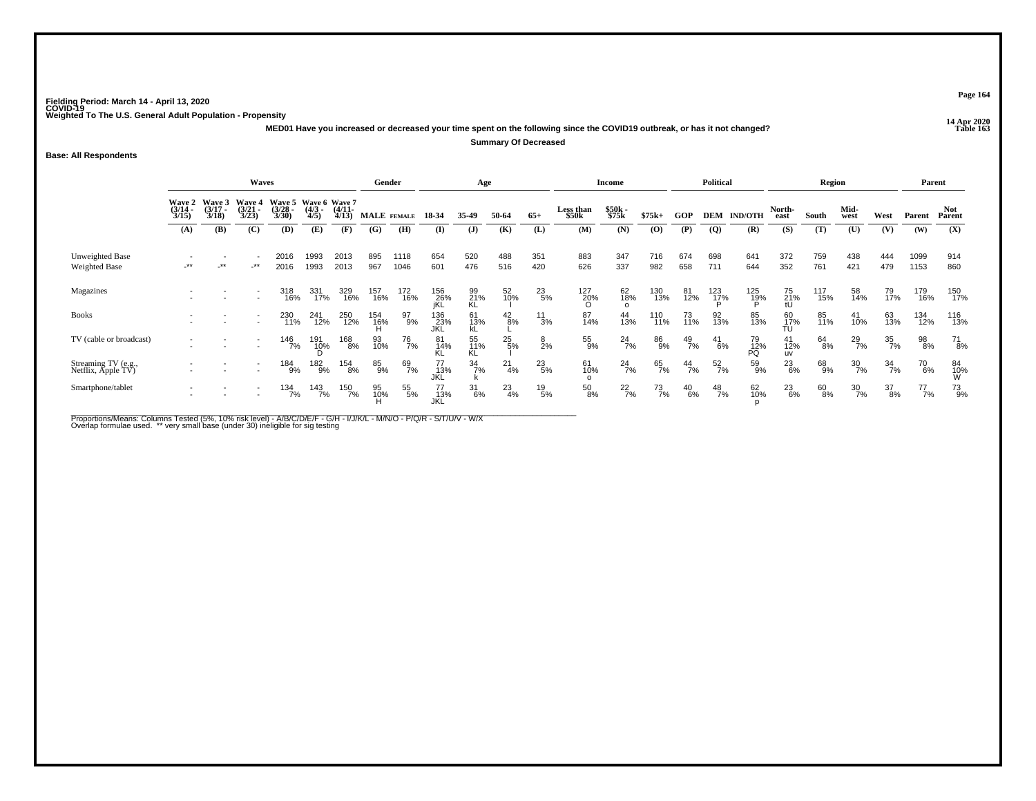**14 Apr 2020 MED01 Have you increased or decreased your time spent on the following since the COVID19 outbreak, or has it not changed?**

**Summary Of Decreased**

**Base: All Respondents**

|                                         |                                                                                                                                                                                                                            |       | Waves  |              |                     |              | Gender             |              |                    | Age              |                 |                  |                       | <b>Income</b>         |               |               | <b>Political</b> |                    |                        | Region     |                  |                  |              | Parent               |
|-----------------------------------------|----------------------------------------------------------------------------------------------------------------------------------------------------------------------------------------------------------------------------|-------|--------|--------------|---------------------|--------------|--------------------|--------------|--------------------|------------------|-----------------|------------------|-----------------------|-----------------------|---------------|---------------|------------------|--------------------|------------------------|------------|------------------|------------------|--------------|----------------------|
|                                         | Wave 5 Wave 6 Wave 7<br><b>Wave 3</b><br><b>Wave 4</b><br><b>Wave 2</b><br>$\frac{(3/21)}{3/23}$<br>$\frac{(3/28)}{3/30}$<br>$\frac{(3/17)}{3/18}$<br>$\binom{4/3}{4/5}$<br>$\frac{(4/11)}{4/13}$<br>$\frac{(3/14)}{3/15}$ |       |        |              |                     |              | <b>MALE</b> FEMALE |              | 18-34              | 35-49            | 50-64           | $65+$            | Less than<br>\$50k    | \$50k<br>\$75k        | $$75k+$       | GOP           |                  | <b>DEM IND/OTH</b> | North-<br>east         | South      | Mid-<br>west     | West             | Parent       | <b>Not</b><br>Parent |
|                                         | (A)                                                                                                                                                                                                                        | (B)   | (C)    | (D)          | (E)                 | (F)          | (G)                | (H)          | (I)                | $\mathbf{J}$     | (K)             | (L)              | (M)                   | (N)                   | (O)           | (P)           | $\overline{Q}$   | (R)                | (S)                    | (T)        | (U)              | (V)              | (W)          | (X)                  |
| Unweighted Base<br><b>Weighted Base</b> | $***$                                                                                                                                                                                                                      | $***$ | $-***$ | 2016<br>2016 | 1993<br>1993        | 2013<br>2013 | 895<br>967         | 1118<br>1046 | 654<br>601         | 520<br>476       | 488<br>516      | 351<br>420       | 883<br>626            | 347<br>337            | 716<br>982    | 674<br>658    | 698<br>711       | 641<br>644         | 372<br>352             | 759<br>761 | 438<br>421       | 444<br>479       | 1099<br>1153 | 914<br>860           |
| Magazines                               |                                                                                                                                                                                                                            |       |        | 318<br>16%   | 331<br>17%          | 329<br>16%   | 157<br>16%         | 172<br>16%   | 156<br>26%<br>jKL  | 99<br>21%<br>KL  | 52 <sub>%</sub> | $^{23}_{5\%}$    | 127<br>20%<br>O       | 62<br>18%             | 130<br>13%    | 81<br>12%     | 123<br>17%<br>D  | 125<br>19%         | 75<br>21%<br>tU        | 117<br>15% | 58<br>14%        | 79<br>17%        | 179<br>16%   | 150<br>17%           |
| <b>Books</b>                            |                                                                                                                                                                                                                            |       |        | 230<br>11%   | 241<br>12%          | 250<br>12%   | 154<br>16%         | 97<br>9%     | 136<br>_23%<br>JKL | 61<br>13%<br>kL  | $^{42}_{8\%}$   | $\frac{11}{3\%}$ | 87<br>14%             | 44<br>13%             | 110<br>11%    | 73<br>11%     | 92<br>13%        | 85<br>13%          | $\frac{60}{17\%}$      | 85<br>11%  | 41<br>10%        | 63<br>13%        | 134<br>12%   | 116<br>13%           |
| TV (cable or broadcast)                 |                                                                                                                                                                                                                            |       |        | 146<br>7%    | 191<br>1 <u>0</u> % | 168<br>8%    | 93<br>10%          | 76<br>7%     | 81<br>14%          | 55<br>11%<br>KL  | $^{25}_{5\%}$   | $\frac{8}{2%}$   | 55<br>9%              | $^{24}$ <sup>7%</sup> | 86<br>9%      | $^{49}_{7\%}$ | $^{41}_{6\%}$    | 79<br>12%<br>PQ    | 41<br>12%<br><b>UV</b> | 64<br>8%   | $^{29}_{7\%}$    | 35<br>7%         | 98<br>8%     | $^{71}_{8\%}$        |
| Streaming TV (e.g., Netflix, Apple TV)  |                                                                                                                                                                                                                            |       |        | 184<br>9%    | 182<br>9%           | 154<br>8%    | 85<br>9%           | 69<br>7%     | 77<br>13%<br>JKL   | $\frac{34}{7}\%$ | $^{21}_{4\%}$   | $^{23}_{5\%}$    | 61<br>10%             | $^{24}$ %             | 65<br>7%      | $^{44}_{7\%}$ | $\frac{52}{7\%}$ | 59<br>9%           | $^{23}_{6\%}$          | 68<br>9%   | $\frac{30}{7\%}$ | $\frac{34}{7\%}$ | 70<br>6%     | 84<br>10%<br>W       |
| Smartphone/tablet                       |                                                                                                                                                                                                                            |       |        | 134<br>7%    | 143<br>7%           | 150<br>7%    | 95<br>10%          | 55<br>5%     | 77<br>13%<br>JKL   | $\frac{31}{6\%}$ | $^{23}_{4\%}$   | $^{19}_{\ 5\%}$  | $\substack{50 \ 8\%}$ | $^{22}_{7\%}$         | $^{73}_{7\%}$ | $^{40}_{6\%}$ | $^{48}_{7\%}$    | 62<br>10%          | 23<br>6%               | 60<br>8%   | $\frac{30}{7\%}$ | 37<br>8%         | 77<br>7%     | 73<br>9%             |

Proportions/Means: Columns Tested (5%, 10% risk level) - A/B/C/D/E/F - G/H - I/J/K/L - M/N/O - P/Q/R - S/T/U/V - W/X<br>Overlap formulae used. \*\* very small base (under 30) ineligible for sig testing

**Page 164**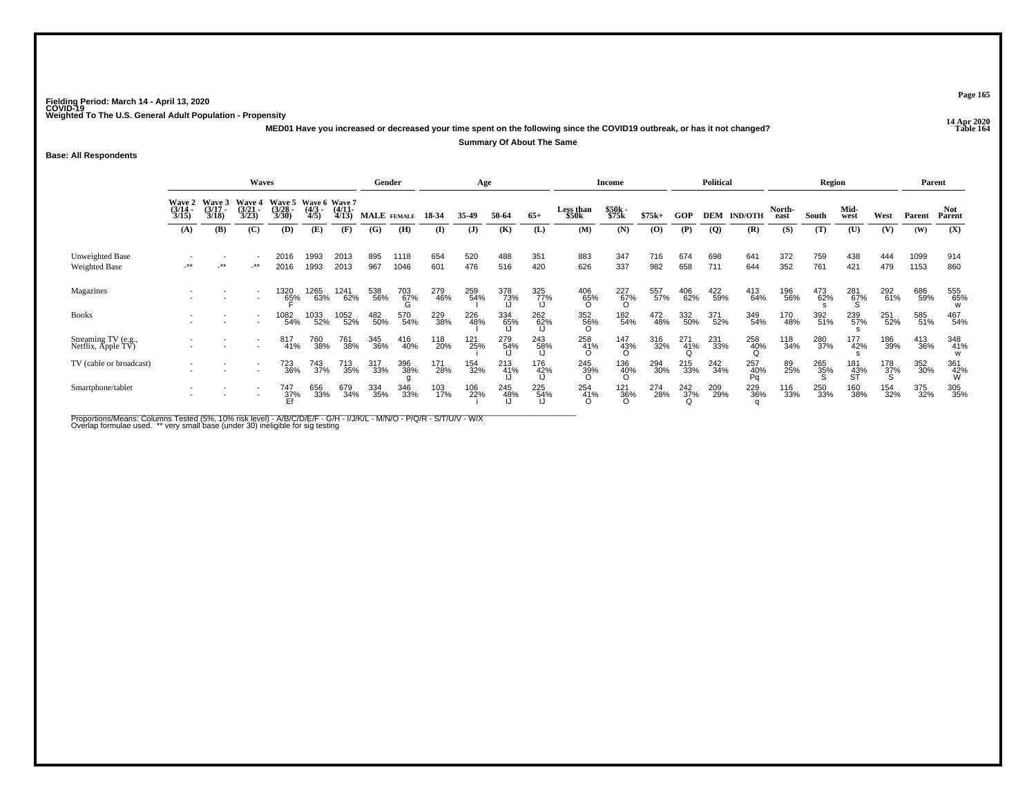**14 Apr 2020 MED01 Have you increased or decreased your time spent on the following since the COVID19 outbreak, or has it not changed?Summary Of About The Same**

**Base: All Respondents**

|                                         |                                                                                                                                                                                                                 |     | Waves  |                  |              |              |            | Gender          |            | Age          |                       |            |                        | Income             |            |            | Political       |                  |                | Region     |                    |                    |              | Parent          |
|-----------------------------------------|-----------------------------------------------------------------------------------------------------------------------------------------------------------------------------------------------------------------|-----|--------|------------------|--------------|--------------|------------|-----------------|------------|--------------|-----------------------|------------|------------------------|--------------------|------------|------------|-----------------|------------------|----------------|------------|--------------------|--------------------|--------------|-----------------|
|                                         | <b>Wave 5</b><br>Wave 6 Wave 7<br>Wave 3<br><b>Wave 4</b><br>Wave 2<br>$\frac{(3/14)}{3/15}$<br>$\frac{3}{18}$<br>$\frac{(3/21)}{3/23}$<br>$\frac{(3/28)}{3/30}$<br>$\binom{4/3}{4/5}$<br>$\frac{(4/11)}{4/13}$ |     |        |                  |              |              |            | MALE FEMALE     | 18-34      | 35-49        | 50-64                 | $65+$      | Less than<br>\$50k     | \$50k<br>\$75k     | $$75k+$    | GOP        | <b>DEM</b>      | <b>IND/OTH</b>   | North-<br>east | South      | Mid-<br>west       | West               | Parent       | Not<br>Parent   |
|                                         | (A)                                                                                                                                                                                                             | (B) | (C)    | (D)              | (E)          | (F)          | (G)        | (H)             | (I)        | ( <b>J</b> ) | (K)                   | (L)        | (M)                    | (N)                | (0)        | (P)        | $\overline{Q}$  | (R)              | (S)            | (T)        | (U)                | (V)                | (W)          | (X)             |
| Unweighted Base<br><b>Weighted Base</b> | -**                                                                                                                                                                                                             | **  | $-***$ | 2016<br>2016     | 1993<br>1993 | 2013<br>2013 | 895<br>967 | 1118<br>1046    | 654<br>601 | 520<br>476   | 488<br>516            | 351<br>420 | 883<br>626             | 347<br>337         | 716<br>982 | 674<br>658 | 698<br>711      | 641<br>644       | 372<br>352     | 759<br>761 | 438<br>421         | 444<br>479         | 1099<br>1153 | 914<br>860      |
| Magazines                               |                                                                                                                                                                                                                 |     |        | 1320<br>65%      | 1265<br>63%  | 1241<br>62%  | 538<br>56% | $^{703}_{67\%}$ | 279<br>46% | 259<br>54%   | 378<br>73%<br>IJ      | 325<br>77% | $^{406}_{65\%}$        | $^{227}_{67\%}$    | 557<br>57% | 406<br>62% | 422<br>59%      | 413<br>64%       | 196<br>56%     | 473<br>62% | $^{281}_{67\%}$    | 292<br>61%         | 686<br>59%   | 555<br>65%      |
| <b>Books</b>                            |                                                                                                                                                                                                                 |     |        | 1082<br>54%      | 1033<br>52%  | 1052<br>52%  | 482<br>50% | 570<br>54%      | 229<br>38% | 226<br>48%   | 334<br>- 65%<br>- ارا | 262<br>62% | 352<br>56%             | 182<br>54%         | 472<br>48% | 332<br>50% | 371<br>52%      | 349<br>54%       | 170<br>48%     | 392<br>51% | 239<br>57%         | 251<br>52%         | 585<br>51%   | 467<br>54%      |
| Streaming TV (e.g., Netflix, Apple TV)  |                                                                                                                                                                                                                 |     |        | 817<br>41%       | 760<br>38%   | 761<br>38%   | 345<br>36% | 416<br>40%      | 118<br>20% | 121<br>25%   | 279<br>54%            | 243<br>58% | 258<br>41%<br>$\Omega$ | 147<br>43%<br>O    | 316<br>32% | 271<br>41% | 231<br>33%      | 258<br>40%       | 118<br>34%     | 280<br>37% | 177<br>42%         | 186<br>39%         | 413<br>36%   | 348<br>41%      |
| TV (cable or broadcast)                 |                                                                                                                                                                                                                 |     |        | 723<br>36%       | 743<br>37%   | 713<br>35%   | 317<br>33% | 396<br>38%      | 171<br>28% | 154<br>32%   | 213<br>41%            | 176<br>42% | 245<br>39%<br>O        | $^{136}_{40\%}$    | 294<br>30% | 215<br>33% | $^{242}_{34\%}$ | 257<br>40%<br>Pq | 89<br>25%      | 265<br>35% | 181<br>-43%<br>-ST | $\frac{178}{37\%}$ | 352<br>30%   | 361<br>42%<br>W |
| Smartphone/tablet                       |                                                                                                                                                                                                                 |     |        | 747<br>37%<br>Ef | 656<br>33%   | 679<br>34%   | 334<br>35% | 346<br>33%      | 103<br>17% | 106<br>22%   | 245<br>-48%<br>- IJ   | 225<br>54% | 254<br>41%<br>0        | $\frac{121}{36\%}$ | 274<br>28% | 242<br>37% | 209<br>29%      | 229<br>36%       | 116<br>33%     | 250<br>33% | 160<br>38%         | 154<br>32%         | 375<br>32%   | 305<br>35%      |

Proportions/Means: Columns Tested (5%, 10% risk level) - A/B/C/D/E/F - G/H - I/J/K/L - M/N/O - P/Q/R - S/T/U/V - W/X<br>Overlap formulae used. \*\* very small base (under 30) ineligible for sig testing

**Page 165**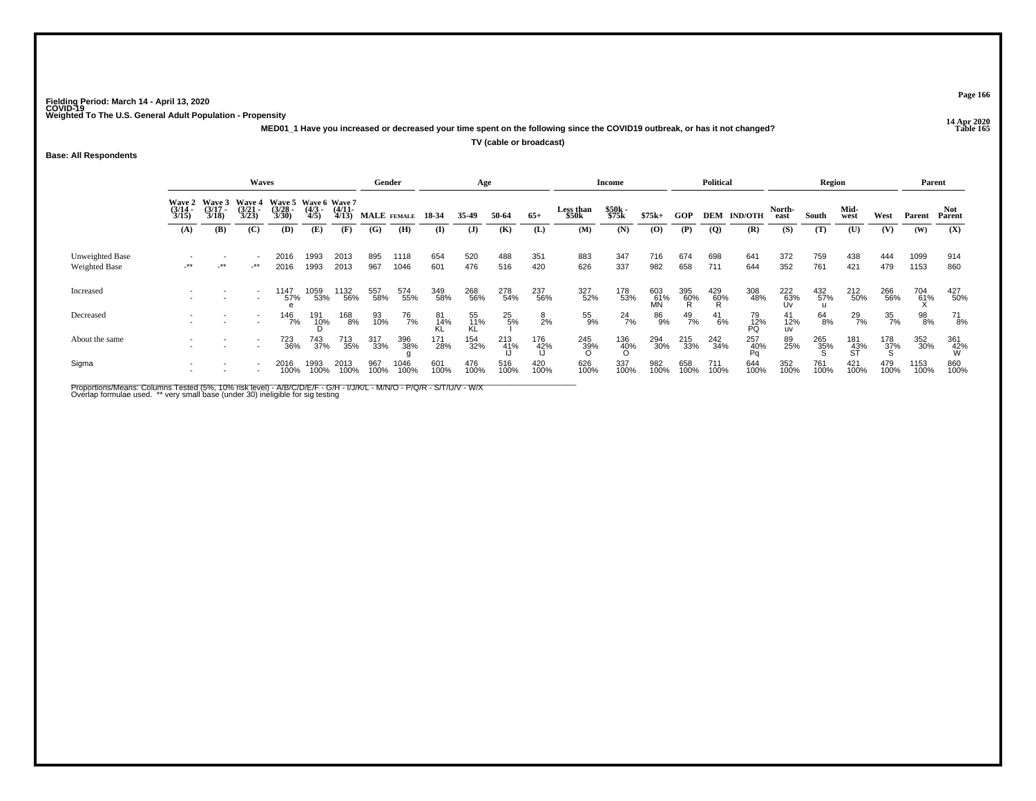**14 Apr 2020 MED01\_1 Have you increased or decreased your time spent on the following since the COVID19 outbreak, or has it not changed?TV (cable or broadcast)**

### **Base: All Respondents**

|                                  |                                        |                                 | <b>Waves</b>                           |                                               |                     |                       | Gender      |              |                 | Age             |                |                  |                    | Income          |                  |                 | <b>Political</b> |                  |                  | Region      |                   |                 | Parent       |                   |
|----------------------------------|----------------------------------------|---------------------------------|----------------------------------------|-----------------------------------------------|---------------------|-----------------------|-------------|--------------|-----------------|-----------------|----------------|------------------|--------------------|-----------------|------------------|-----------------|------------------|------------------|------------------|-------------|-------------------|-----------------|--------------|-------------------|
|                                  | <b>Wave 2</b><br>$\frac{(3/14)}{3/15}$ | Wave 3<br>$\frac{(3/17)}{3/18}$ | <b>Wave 4</b><br>$\frac{(3/21)}{3/23}$ | Wave 5 Wave 6 Wave 7<br>$\frac{(3/28)}{3/30}$ | $\frac{(4/3)}{4/5}$ | $\frac{(4/11)}{4/13}$ | MALE FEMALE |              | 18-34           | 35-49           | 50-64          | $65+$            | Less than<br>\$50k | \$50k<br>\$75k  | $$75k+$          | <b>GOP</b>      | DEM              | <b>IND/OTH</b>   | North-<br>east   | South       | Mid-<br>west      | West            | Parent       | Not<br>Parent     |
|                                  | (A)                                    | (B)                             | (C)                                    | (D)                                           | (E)                 | (F)                   | (G)         | (H)          | (I)             | $\mathbf{J}$    | (K)            | (L)              | (M)                | (N)             | (0)              | (P)             | $\overline{Q}$   | (R)              | (S)              | (T)         | (U)               | (V)             | (W)          | (X)               |
| Unweighted Base<br>Weighted Base | $-***$                                 | $\star$                         | $-***$                                 | 2016<br>2016                                  | 1993<br>1993        | 2013<br>2013          | 895<br>967  | 1118<br>1046 | 654<br>601      | 520<br>476      | 488<br>516     | 351<br>420       | 883<br>626         | 347<br>337      | 716<br>982       | 674<br>658      | 698<br>711       | 641<br>644       | 372<br>352       | 759<br>761  | 438<br>421        | 444<br>479      | 1099<br>1153 | 914<br>860        |
| Increased                        |                                        |                                 |                                        | 1147<br>57%                                   | 1059<br>53%         | ' 132<br>56%          | 557<br>58%  | 574<br>55%   | 349<br>58%      | 268<br>56%      | 278<br>54%     | 237<br>56%       | 327<br>52%         | 178<br>53%      | 603<br>61%<br>MN | 395<br>60%<br>R | 429<br>60%<br>R  | 308<br>48%       | 222<br>63%<br>Uv | 432<br>57%  | 212<br>50%        | 266<br>56%      | 704<br>61%   | 427<br>50%        |
| Decreased                        |                                        |                                 |                                        | 146<br>7%                                     | 191<br>10%          | 168<br>8%             | 93<br>10%   | 76<br>7%     | 81<br>14%<br>KL | 55<br>11%<br>KL | $^{25}_{-5\%}$ | $\frac{8}{2%}$   | 55<br>9%           | $^{24}_{7\%}$   | 86<br>9%         | $^{49}_{7\%}$   | $^{41}_{6\%}$    | 79<br>12%<br>PQ  | 41<br>12%<br>uv  | 64<br>8%    | 29<br>7%          | 35<br>7%        | 98<br>8%     | 71<br>8%          |
| About the same                   |                                        |                                 |                                        | 723<br>36%                                    | 743<br>37%          | 713<br>35%            | 317<br>33%  | 396<br>38%   | 171<br>28%      | 154<br>32%      | 213<br>41%     | 176<br>42%<br>IJ | 245<br>39%<br>ဂ    | 136<br>40%<br>O | 294<br>30%       | 215<br>33%      | 242<br>34%       | 257<br>40%<br>Pa | 89<br>25%        | 265<br>35%  | 181<br>_43%<br>ST | 178<br>37%<br>S | 352<br>30%   | 361<br>-42%<br>-W |
| Sigma                            |                                        |                                 |                                        | 2016<br>100%                                  | 1993<br>100%        | 2013<br>100%          | 967<br>100% | 1046<br>100% | 601<br>100%     | 476<br>100%     | 516<br>100%    | 420<br>100%      | 626<br>100%        | 337<br>100%     | 982<br>100%      | 658<br>100%     | 711<br>100%      | 644<br>100%      | 352<br>100%      | 761<br>100% | 421<br>100%       | 479<br>100%     | 1153<br>100% | 860<br>100%       |

Proportions/Means: Columns Tested (5%, 10% risk level) - A/B/C/D/E/F - G/H - I/J/K/L - M/N/O - P/Q/R - S/T/U/V - W/X<br>Overlap formulae used. \*\* very small base (under 30) ineligible for sig testing

**Page 166**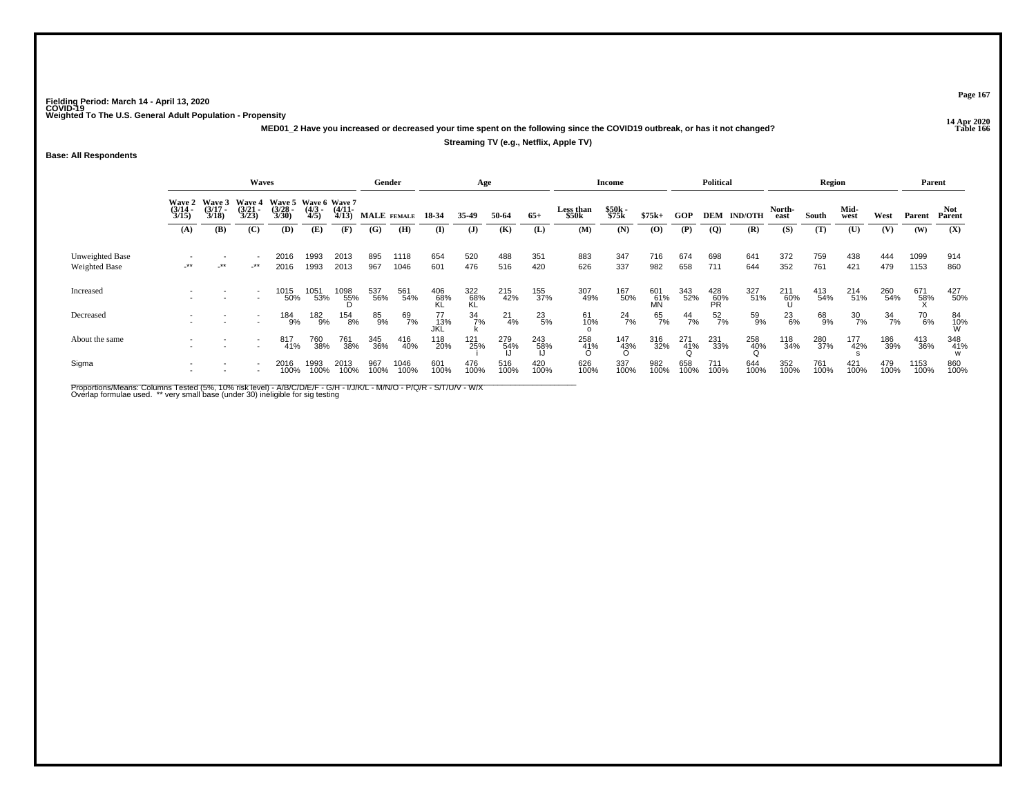**14 Apr 2020 MED01\_2 Have you increased or decreased your time spent on the following since the COVID19 outbreak, or has it not changed?Streaming TV (e.g., Netflix, Apple TV)**

**Base: All Respondents**

|                                  |                       |                                        | Waves                                  |                                               |                     |                       |             | Gender       |                   | Age              |                  |                  |                           | <b>Income</b>       |                  |                 | <b>Political</b>   |                    |                | Region      |                  |             |              | Parent         |
|----------------------------------|-----------------------|----------------------------------------|----------------------------------------|-----------------------------------------------|---------------------|-----------------------|-------------|--------------|-------------------|------------------|------------------|------------------|---------------------------|---------------------|------------------|-----------------|--------------------|--------------------|----------------|-------------|------------------|-------------|--------------|----------------|
|                                  | $\frac{(3/14)}{3/15}$ | Wave 2 Wave 3<br>$\frac{(3/17)}{3/18}$ | <b>Wave 4</b><br>$\frac{(3/21)}{3/23}$ | Wave 5 Wave 6 Wave 7<br>$\frac{(3/28)}{3/30}$ | $\frac{(4/3)}{4/5}$ | $\frac{(4/11)}{4/13}$ | MALE FEMALE |              | 18-34             | 35-49            | 50-64            | $65+$            | <b>Less than</b><br>\$50k | \$50k<br>\$75k      | $$75k+$          | GOP             |                    | <b>DEM IND/OTH</b> | North-<br>east | South       | Mid-<br>west     | West        | Parent       | Not<br>Parent  |
|                                  | (A)                   | (B)                                    | (C)                                    | (D)                                           | (E)                 | (F)                   | (G)         | (H)          | (I)               | $\mathbf{J}$     | (K)              | (L)              | (M)                       | (N)                 | (O)              | (P)             | $\overline{Q}$     | (R)                | (S)            | (T)         | (U)              | (V)         | (W)          | (X)            |
| Unweighted Base<br>Weighted Base | $-***$                | $\cdot$ **                             | $-***$                                 | 2016<br>2016                                  | 1993<br>1993        | 2013<br>2013          | 895<br>967  | 1118<br>1046 | 654<br>601        | 520<br>476       | 488<br>516       | 351<br>420       | 883<br>626                | 347<br>337          | 716<br>982       | 674<br>658      | 698<br>711         | 641<br>644         | 372<br>352     | 759<br>761  | 438<br>421       | 444<br>479  | 1099<br>1153 | 914<br>860     |
| Increased                        |                       |                                        |                                        | 1015<br>50%                                   | 1051<br>53%         | 1098<br>55%<br>D      | 537<br>56%  | 561<br>54%   | 406<br>68%<br>KL  | 322<br>68%<br>KL | 215<br>42%       | 155<br>37%       | 307<br>49%                | 167<br>50%          | 601<br>61%<br>MN | 343<br>52%      | $^{428}_{60\%}$ PR | 327<br>51%         | 211<br>60%     | 413<br>54%  | 214<br>51%       | 260<br>54%  | 671<br>58%   | 427<br>50%     |
| Decreased                        |                       |                                        |                                        | 184<br>9%                                     | 182<br>9%           | 154<br>8%             | 85<br>9%    | 69<br>7%     | 77<br>_13%<br>JKL | 34<br>7%         | $^{21}_{4\%}$    | $^{23}_{5\%}$    | 61<br>10%                 | 24<br>7%            | 65<br>7%         | 44<br>7%        | 52<br>7%           | 59<br>9%           | $^{23}_{6\%}$  | 68<br>9%    | $\frac{30}{7\%}$ | 34<br>7%    | 70<br>6%     | 84<br>10%<br>W |
| About the same                   |                       |                                        |                                        | 817<br>41%                                    | 760<br>38%          | 761<br>38%            | 345<br>36%  | 416<br>40%   | 118<br>20%        | 121<br>25%       | 279<br>54%<br>JJ | 243<br>58%<br>JJ | 258<br>41%<br>O           | 147<br>- 43%<br>- O | 316<br>32%       | 271<br>41%<br>Q | 231<br>33%         | 258<br>40%         | 118<br>34%     | 280<br>37%  | 177<br>42%       | 186<br>39%  | 413<br>36%   | 348<br>41%     |
| Sigma                            |                       |                                        |                                        | 2016<br>100%                                  | 1993<br>100%        | 2013<br>100%          | 967<br>100% | 1046<br>100% | 601<br>100%       | 476<br>100%      | 516<br>100%      | 420<br>100%      | 626<br>100%               | 337<br>100%         | 982<br>100%      | 658<br>100%     | 711<br>100%        | 644<br>100%        | 352<br>100%    | 761<br>100% | 421<br>100%      | 479<br>100% | 1153<br>100% | 860<br>100%    |

Proportions/Means: Columns Tested (5%, 10% risk level) - A/B/C/D/E/F - G/H - I/J/K/L - M/N/O - P/Q/R - S/T/U/V - W/X<br>Overlap formulae used. \*\* very small base (under 30) ineligible for sig testing

**Page 167**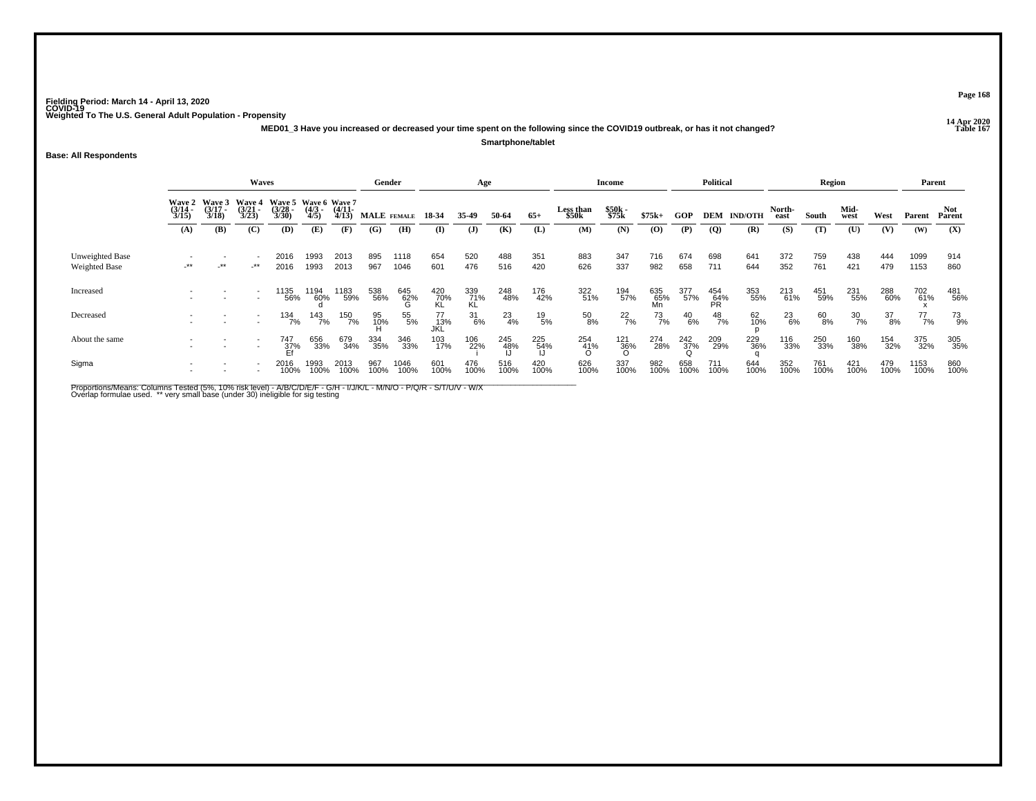**14 Apr 2020 MED01\_3 Have you increased or decreased your time spent on the following since the COVID19 outbreak, or has it not changed?Smartphone/tablet**

**Base: All Respondents**

|                                  |                       |                                        | Waves                                  |                                               |                     |                       | Gender      |                 |                   | Age              |               |                  |                           | <b>Income</b>   |                  |                    | Political        |                    |                | Region      |              |             | Parent       |             |
|----------------------------------|-----------------------|----------------------------------------|----------------------------------------|-----------------------------------------------|---------------------|-----------------------|-------------|-----------------|-------------------|------------------|---------------|------------------|---------------------------|-----------------|------------------|--------------------|------------------|--------------------|----------------|-------------|--------------|-------------|--------------|-------------|
|                                  | $\frac{(3/14)}{3/15}$ | Wave 2 Wave 3<br>$\frac{(3/17)}{3/18}$ | <b>Wave 4</b><br>$\frac{(3/21)}{3/23}$ | Wave 5 Wave 6 Wave 7<br>$\frac{(3/28)}{3/30}$ | $\frac{(4/3)}{4/5}$ | $\frac{(4/11)}{4/13}$ |             | MALE FEMALE     | 18-34             | 35.49            | 50-64         | $65+$            | <b>Less than</b><br>\$50k | \$50k<br>\$75k  | $$75k+$          | <b>GOP</b>         |                  | <b>DEM IND/OTH</b> | North-<br>east | South       | Mid-<br>west | West        | Parent       | Parent      |
|                                  | (A)                   | (B)                                    | (C)                                    | (D)                                           | (E)                 | (F)                   | (G)         | (H)             | (I)               | $\mathbf{J}$     | (K)           | (L)              | (M)                       | (N)             | $\bf{(0)}$       | (P)                | <b>(Q)</b>       | (R)                | (S)            | (T)         | (U)          | (V)         | (W)          | (X)         |
| Unweighted Base<br>Weighted Base | $-***$                | $+$ **                                 | $-***$                                 | 2016<br>2016                                  | 1993<br>1993        | 2013<br>2013          | 895<br>967  | 1118<br>1046    | 654<br>601        | 520<br>476       | 488<br>516    | 351<br>420       | 883<br>626                | 347<br>337      | 716<br>982       | 674<br>658         | 698<br>711       | 641<br>644         | 372<br>352     | 759<br>761  | 438<br>421   | 444<br>479  | 1099<br>1153 | 914<br>860  |
| Increased                        |                       |                                        |                                        | 1135<br>56%                                   | 1194<br>60%         | 1183<br>59%           | 538<br>56%  | 645<br>62%<br>G | 420<br>70%<br>KL  | 339<br>71%<br>KL | 248<br>48%    | 176<br>42%       | 322<br>51%                | 194<br>57%      | 635<br>65%<br>Mn | 377<br>57%         | 454<br>64%<br>PR | 353<br>55%         | 213<br>61%     | 451<br>59%  | 231<br>55%   | 288<br>60%  | 702<br>61%   | 481<br>56%  |
| Decreased                        |                       |                                        |                                        | 134<br>7%                                     | 143<br>7%           | 150<br>7%             | 95<br>10%   | 55<br>5%        | 77<br>_13%<br>JKL | $\frac{31}{6\%}$ | $^{23}_{4\%}$ | 19<br>5%         | 50<br>8%                  | $^{22}_{7\%}$   | 73<br>7%         | $^{40}_{6\%}$      | $^{48}_{7\%}$    | 62<br>10%          | $^{23}_{6\%}$  | 60<br>8%    | 30<br>7%     | 37<br>8%    | 77<br>7%     | 73<br>9%    |
| About the same                   |                       |                                        | $\overline{\phantom{a}}$               | 747<br>37%<br>Ff                              | 656<br>33%          | 679<br>34%            | 334<br>35%  | 346<br>33%      | 103<br>17%        | 106<br>22%       | 245<br>48%    | 225<br>54%<br>LI | 254<br>41%<br>O           | 121<br>36%<br>O | 274<br>28%       | $\frac{242}{37\%}$ | 209<br>29%       | 229<br>36%         | 116<br>33%     | 250<br>33%  | 160<br>38%   | 154<br>32%  | 375<br>32%   | 305<br>35%  |
| Sigma                            |                       |                                        |                                        | 2016<br>100%                                  | 1993<br>100%        | 2013<br>100%          | 967<br>100% | 1046<br>100%    | 601<br>100%       | 476<br>100%      | 516<br>100%   | 420<br>100%      | 626<br>100%               | 337<br>100%     | 982<br>100%      | 658<br>100%        | 711<br>100%      | 644<br>100%        | 352<br>100%    | 761<br>100% | 421<br>100%  | 479<br>100% | 1153<br>100% | 860<br>100% |

Proportions/Means: Columns Tested (5%, 10% risk level) - A/B/C/D/E/F - G/H - I/J/K/L - M/N/O - P/Q/R - S/T/U/V - W/X<br>Overlap formulae used. \*\* very small base (under 30) ineligible for sig testing

**Page 168**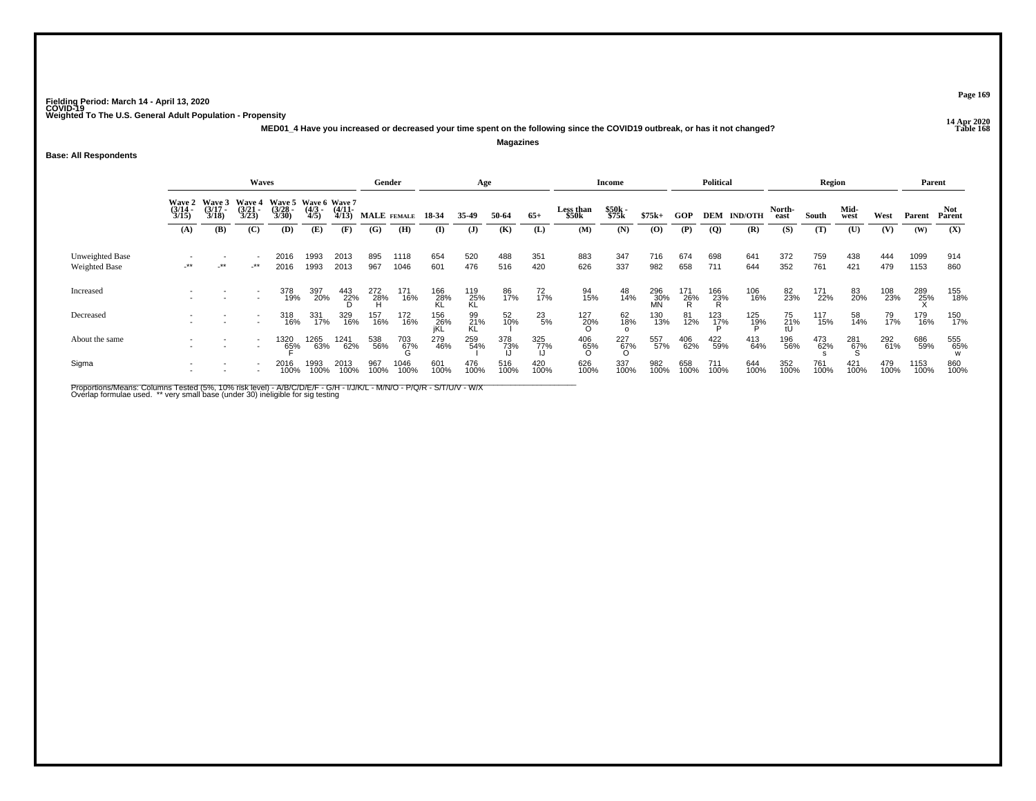**14 Apr 2020 MED01\_4 Have you increased or decreased your time spent on the following since the COVID19 outbreak, or has it not changed?Magazines**

**Base: All Respondents**

|                                  |                                               |                                               | Waves                                         |                                                      |                            |                              | Gender             |                 |                       | Age                   |              |                  |                                  | <b>Income</b>         |                           |             | <b>Political</b>              |                           |                       | Region       |                     |             | Parent        |               |
|----------------------------------|-----------------------------------------------|-----------------------------------------------|-----------------------------------------------|------------------------------------------------------|----------------------------|------------------------------|--------------------|-----------------|-----------------------|-----------------------|--------------|------------------|----------------------------------|-----------------------|---------------------------|-------------|-------------------------------|---------------------------|-----------------------|--------------|---------------------|-------------|---------------|---------------|
|                                  | <b>Wave 2</b><br>$\frac{(3/14)}{3/15}$<br>(A) | <b>Wave 3</b><br>$\frac{(3/17)}{3/18}$<br>(B) | <b>Wave 4</b><br>$\frac{(3/21)}{3/23}$<br>(C) | Wave 5 Wave 6 Wave 7<br>$\frac{(3/28)}{3/30}$<br>(D) | $\frac{(4/3)}{4/5}$<br>(E) | $\frac{(4/11)}{4/13}$<br>(F) | MALE FEMALE<br>(G) | (H)             | 18-34<br>$\mathbf{I}$ | 35.49<br>$\mathbf{J}$ | 50-64<br>(K) | $65+$<br>(L)     | <b>Less than</b><br>\$50k<br>(M) | \$50k<br>\$75k<br>(N) | $$75k+$<br>$\mathbf{(O)}$ | GOP<br>(P)  | $\overline{Q}$                | <b>DEM IND/OTH</b><br>(R) | North-<br>east<br>(S) | South<br>(T) | Mid-<br>west<br>(U) | West<br>(V) | Parent<br>(W) | Parent<br>(X) |
|                                  |                                               |                                               |                                               |                                                      |                            |                              |                    |                 |                       |                       |              |                  |                                  |                       |                           |             |                               |                           |                       |              |                     |             |               |               |
| Unweighted Base<br>Weighted Base | $\star\star$                                  | $-$ **                                        | $-***$                                        | 2016<br>2016                                         | 1993<br>1993               | 2013<br>2013                 | 895<br>967         | 1118<br>1046    | 654<br>601            | 520<br>476            | 488<br>516   | 351<br>420       | 883<br>626                       | 347<br>337            | 716<br>982                | 674<br>658  | 698<br>711                    | 641<br>644                | 372<br>352            | 759<br>761   | 438<br>421          | 444<br>479  | 1099<br>1153  | 914<br>860    |
| Increased                        |                                               |                                               |                                               | 378<br>19%                                           | 397<br>20%                 | $\frac{443}{22\%}$           | 272<br>28%<br>H    | 171<br>16%      | 166<br>28%<br>KL      | 119<br>25%<br>KL      | 86<br>17%    | 72/17%           | 94<br>15%                        | 48<br>14%             | 296<br>30%<br>MN          | 171<br>26%  | $^{166}_{\substack{23\%\\R}}$ | 106<br>16%                | 82 <sub>3%</sub>      | 171<br>22%   | 83<br>20%           | 108<br>23%  | 289<br>25%    | 155<br>18%    |
| Decreased                        |                                               |                                               |                                               | 318<br>16%                                           | 331<br>17%                 | 329<br>16%                   | 157<br>16%         | 172<br>16%      | 156<br>26%            | 99<br>21%<br>KL       | 52<br>10%    | $^{23}_{5\%}$    | 127<br>20%                       | $\frac{62}{18\%}$     | 130<br>13%                | 81<br>12%   | 123<br>17%                    | 125<br>18%                | 75<br>21%<br>tU       | 117<br>15%   | 58<br>14%           | 79<br>17%   | 179<br>16%    | 150<br>17%    |
| About the same                   |                                               |                                               |                                               | 1320<br>65%                                          | 1265<br>63%                | 1241<br>62%                  | 538<br>56%         | 703<br>67%<br>G | 279<br>46%            | 259<br>54%            | 378<br>73%   | 325<br>77%<br>LI | 406<br>- 65%<br>- ဂ              | 227<br>67%<br>O       | 557<br>57%                | 406<br>62%  | 422<br>59%                    | 413<br>64%                | 196<br>56%            | 473<br>62%   | 281<br>67%<br>Տ     | 292<br>61%  | 686<br>59%    | 555<br>65%    |
| Sigma                            |                                               |                                               |                                               | 2016<br>100%                                         | 1993<br>100%               | 2013<br>100%                 | 967<br>100%        | 1046<br>100%    | 601<br>100%           | 476<br>100%           | 516<br>100%  | 420<br>100%      | 626<br>100%                      | 337<br>100%           | 982<br>100%               | 658<br>100% | 711<br>100%                   | 644<br>100%               | 352<br>100%           | 761<br>100%  | 421<br>100%         | 479<br>100% | 1153<br>100%  | 860<br>100%   |

Proportions/Means: Columns Tested (5%, 10% risk level) - A/B/C/D/E/F - G/H - I/J/K/L - M/N/O - P/Q/R - S/T/U/V - W/X<br>Overlap formulae used. \*\* very small base (under 30) ineligible for sig testing

**Page 169**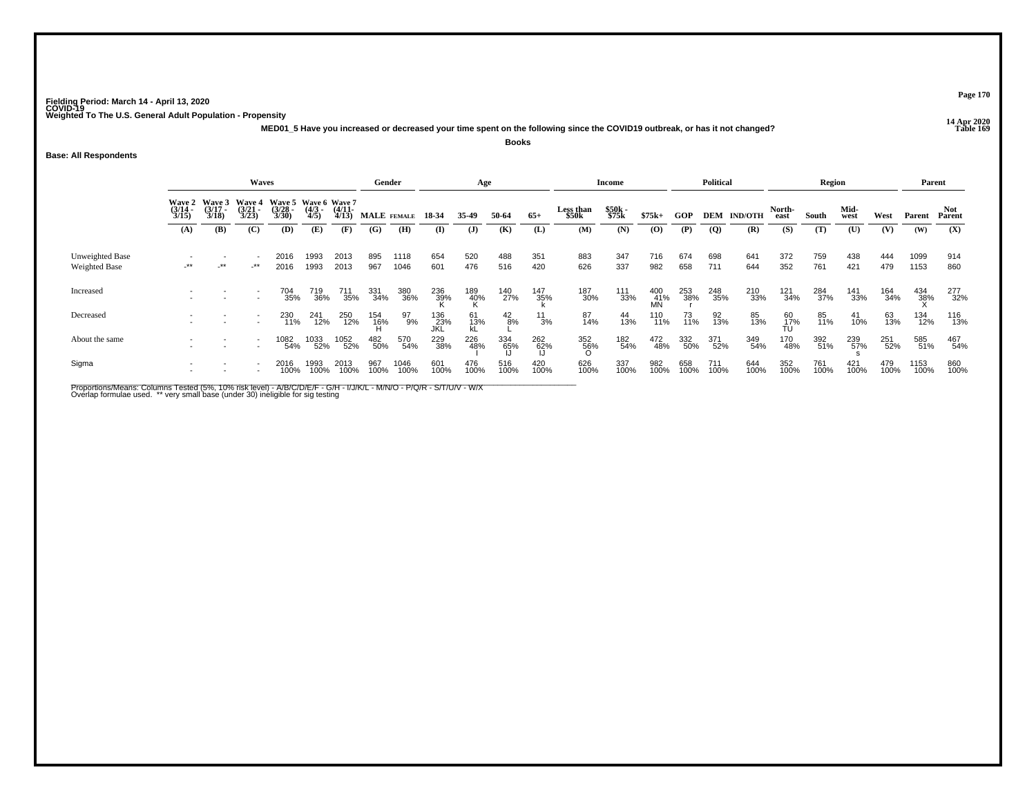**14 Apr 2020 MED01\_5 Have you increased or decreased your time spent on the following since the COVID19 outbreak, or has it not changed?**

**Books**

**Base: All Respondents**

|                                  |                       |                       | Waves                                         |                                               |                     |                       | Gender      |              |                     | Age             |                  |                               |                           | <b>Income</b>  |                  |             | <b>Political</b> |                    |                | Region      |              |             | Parent       |             |
|----------------------------------|-----------------------|-----------------------|-----------------------------------------------|-----------------------------------------------|---------------------|-----------------------|-------------|--------------|---------------------|-----------------|------------------|-------------------------------|---------------------------|----------------|------------------|-------------|------------------|--------------------|----------------|-------------|--------------|-------------|--------------|-------------|
|                                  | $\frac{(3/14)}{3/15}$ | $\frac{(3/17)}{3/18}$ | Wave 2 Wave 3 Wave 4<br>$\frac{(3/21)}{3/23}$ | Wave 5 Wave 6 Wave 7<br>$\frac{(3/28)}{3/30}$ | $\frac{(4/3)}{4/5}$ | $\frac{(4/11)}{4/13}$ |             | MALE FEMALE  | 18-34               | 35.49           | 50-64            | $65+$                         | <b>Less than</b><br>\$50k | \$50k<br>\$75k | $$75k+$          | GOP         |                  | <b>DEM IND/OTH</b> | North-<br>east | South       | Mid-<br>west | West        | Parent       | Parent      |
|                                  | (A)                   | (B)                   | (C)                                           | (D)                                           | (E)                 | (F)                   | (G)         | (H)          | (I)                 | $\mathbf{J}$    | (K)              | (L)                           | (M)                       | (N)            | (0)              | (P)         | <b>(Q)</b>       | (R)                | (S)            | (T)         | (U)          | (V)         | (W)          | (X)         |
| Unweighted Base<br>Weighted Base | $\cdot^{\star\star}$  | $-***$                | $-***$                                        | 2016<br>2016                                  | 1993<br>1993        | 2013<br>2013          | 895<br>967  | 1118<br>1046 | 654<br>601          | 520<br>476      | 488<br>516       | 351<br>420                    | 883<br>626                | 347<br>337     | 716<br>982       | 674<br>658  | 698<br>711       | 641<br>644         | 372<br>352     | 759<br>761  | 438<br>421   | 444<br>479  | 1099<br>1153 | 914<br>860  |
| Increased                        |                       |                       |                                               | 704<br>35%                                    | 719<br>36%          | 711<br>35%            | 331<br>34%  | 380<br>36%   | 236<br>39%          | 189<br>40%      | 140<br>27%       | <sup>147</sup> <sub>35%</sub> | 187<br>30%                | 111<br>33%     | 400<br>41%<br>MN | 253<br>38%  | 248<br>35%       | 210<br>33%         | 121<br>34%     | 284<br>37%  | 141<br>33%   | 164<br>34%  | 434<br>38%   | 277<br>32%  |
| Decreased                        |                       |                       |                                               | 230<br>11%                                    | 241<br>12%          | 250<br>12%            | 154<br>16%  | 97<br>9%     | 136<br>- 23%<br>JKL | 61<br>13%<br>kL | $^{42}_{8\%}$    | $\frac{11}{3\%}$              | 87<br>14%                 | 44<br>13%      | 110<br>11%       | 73<br>11%   | 92<br>13%        | 85<br>13%          | $^{60}_{17\%}$ | 85<br>11%   | 41<br>10%    | 63<br>13%   | 134<br>12%   | 116<br>13%  |
| About the same                   |                       |                       | $\overline{\phantom{a}}$                      | 1082<br>54%                                   | 1033<br>52%         | 1052<br>52%           | 482<br>50%  | 570<br>54%   | 229<br>38%          | 226<br>48%      | 334<br>65%<br>IJ | 262<br>62%                    | 352<br>56%<br>O           | 182<br>54%     | 472<br>48%       | 332<br>50%  | 371<br>52%       | 349<br>54%         | 170<br>48%     | 392<br>51%  | 239<br>57%   | 251<br>52%  | 585<br>51%   | 467<br>54%  |
| Sigma                            |                       |                       |                                               | 2016<br>100%                                  | 1993<br>100%        | 2013<br>100%          | 967<br>100% | 1046<br>100% | 601<br>100%         | 476<br>100%     | 516<br>100%      | 420<br>100%                   | 626<br>100%               | 337<br>100%    | 982<br>100%      | 658<br>100% | 711<br>100%      | 644<br>100%        | 352<br>100%    | 761<br>100% | 421<br>100%  | 479<br>100% | 1153<br>100% | 860<br>100% |

Proportions/Means: Columns Tested (5%, 10% risk level) - A/B/C/D/E/F - G/H - I/J/K/L - M/N/O - P/Q/R - S/T/U/V - W/X<br>Overlap formulae used. \*\* very small base (under 30) ineligible for sig testing

**Page 170**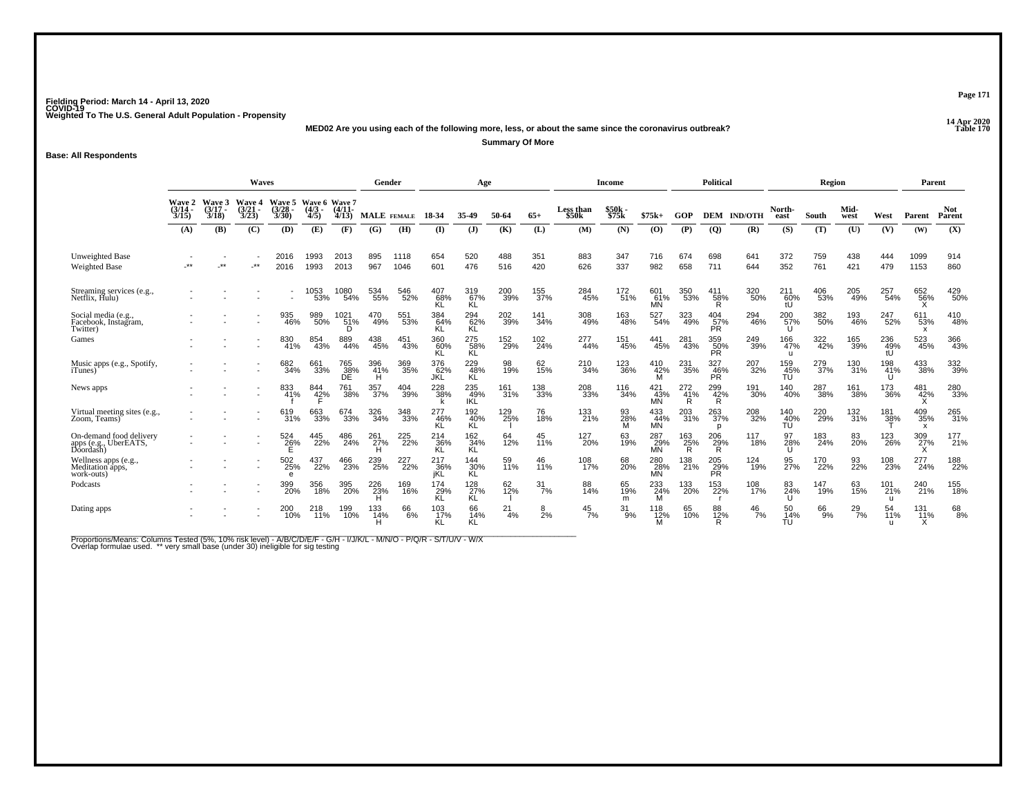**14 Apr 2020 MED02 Are you using each of the following more, less, or about the same since the coronavirus outbreak?**

**Summary Of More**

**Base: All Respondents**

|                                                               |                                 |                             | <b>Waves</b>                           |                                      |                                      |                   | Gender             |                         |                   | Age               |            |                 |                    | <b>Income</b>  |                         |                 | Political               |                |                  | Region     |              |                  | Parent                                  |                      |
|---------------------------------------------------------------|---------------------------------|-----------------------------|----------------------------------------|--------------------------------------|--------------------------------------|-------------------|--------------------|-------------------------|-------------------|-------------------|------------|-----------------|--------------------|----------------|-------------------------|-----------------|-------------------------|----------------|------------------|------------|--------------|------------------|-----------------------------------------|----------------------|
|                                                               | Wave 2<br>$\frac{(3/14)}{3/15}$ | Wave 3<br>$(3/17 -$<br>3/18 | <b>Wave 4</b><br>$\frac{(3/21)}{3/23}$ | <b>Wave 5</b><br>$\frac{3/28}{3/30}$ | Wave 6 Wave 7<br>$\frac{(4/3)}{4/5}$ | $(4/11 -$<br>4/13 | <b>MALE</b> FEMALE |                         | 18-34             | 35-49             | 50-64      | $65+$           | Less than<br>\$50k | \$50k<br>\$75k | $$75k+$                 | GOP             | <b>DEM</b>              | <b>IND/OTH</b> | North-<br>east   | South      | Mid-<br>west | West             | Parent                                  | <b>Not</b><br>Parent |
|                                                               | (A)                             | <b>(B)</b>                  | (C)                                    | (D)                                  | (E)                                  | (F)               | (G)                | (H)                     | $\mathbf{I}$      | $\mathbf{J}$      | (K)        | (L)             | (M)                | (N)            | (O)                     | (P)             | <b>(Q)</b>              | (R)            | (S)              | (T)        | (U)          | (V)              | (W)                                     | (X)                  |
| Unweighted Base<br><b>Weighted Base</b>                       |                                 | $***$                       | -**                                    | 2016<br>2016                         | 1993<br>1993                         | 2013<br>2013      | 895<br>967         | 1118<br>1046            | 654<br>601        | 520<br>476        | 488<br>516 | 351<br>420      | 883<br>626         | 347<br>337     | 716<br>982              | 674<br>658      | 698<br>711              | 641<br>644     | 372<br>352       | 759<br>761 | 438<br>421   | 444<br>479       | 1099<br>1153                            | 914<br>860           |
| Streaming services (e.g., Netflix, Hulu)                      |                                 |                             |                                        |                                      | 1053<br>53%                          | 1080<br>54%       | 534<br>55%         | 546<br>52%              | 407<br>68%<br>ΚL  | 319<br>67%<br>KL  | 200<br>39% | 155<br>37%      | 284<br>45%         | 172<br>51%     | 601<br>61%<br><b>MN</b> | 350<br>53%      | 411<br>58%<br>R         | 320<br>50%     | 21160%<br>tU     | 406<br>53% | 205<br>49%   | 257<br>54%       | 652<br>56%<br>v                         | 429<br>50%           |
| Social media (e.g.,<br>Facebook, Instagram,<br>Twitter)       |                                 |                             |                                        | 935<br>46%                           | 989<br>50%                           | 1021<br>51%<br>D  | 470<br>49%         | 551<br>53%              | 384<br>64%        | 294<br>62%<br>ΚL  | 202<br>39% | 141<br>34%      | 308<br>49%         | 163<br>48%     | 527<br>54%              | 323<br>49%      | 404<br>$\frac{57}{PR}$  | 294<br>46%     | 200<br>57%       | 382<br>50% | 193<br>46%   | 247<br>52%       | 611<br>53%<br>$\boldsymbol{\mathsf{x}}$ | 410<br>48%           |
| Games                                                         |                                 |                             |                                        | 830<br>41%                           | 854<br>43%                           | 889<br>44%        | 438<br>45%         | 451<br>43%              | 360<br>60%        | 275<br>58%<br>ΚĽ  | 152<br>29% | 102<br>24%      | 277<br>44%         | 151<br>45%     | 441<br>45%              | 281<br>43%      | 359<br>50%<br>PŘ.       | 249<br>39%     | 166<br>47%<br>u  | 322<br>42% | 165<br>39%   | 236<br>49%<br>tU | 523<br>45%                              | 366<br>43%           |
| Music apps (e.g., Spotify,<br><i>i</i> Tunes)                 |                                 |                             |                                        | 682<br>34%                           | 661<br>33%                           | 765<br>38%<br>DE  | 396<br>41%         | 369<br>35%              | 376<br>62%<br>JKL | 229<br>48%<br>KL  | 98<br>19%  | 62 <sub>%</sub> | 210<br>34%         | 123<br>36%     | 410<br>42%<br>M         | 231<br>35%      | 327<br>46%<br><b>PR</b> | 207<br>32%     | 159<br>45%<br>TÚ | 279<br>37% | 130<br>31%   | 198<br>41%       | 433<br>38%                              | 332<br>39%           |
| News apps                                                     |                                 |                             |                                        | 833<br>41%                           | 844<br>42%                           | 761<br>38%        | 357<br>37%         | 404<br>39%              | 228<br>38%        | 235<br>49%<br>IKĽ | 161<br>31% | 138<br>33%      | 208<br>33%         | 116<br>34%     | 421<br>43%<br>MÑ        | 272<br>41%<br>R | 299<br>42%<br>R         | 191<br>30%     | 140<br>40%       | 287<br>38% | 161<br>38%   | 173<br>36%       | 481<br>42%                              | 280<br>33%           |
| Virtual meeting sites (e.g.,<br>Zoom, Teams)                  |                                 |                             |                                        | 619<br>31%                           | 663<br>33%                           | 674<br>33%        | 326<br>34%         | 348<br>33%              | 277<br>46%<br>ΚL  | 192<br>40%<br>KL  | 129<br>25% | 76<br>18%       | 133<br>21%         | 93<br>28%<br>м | 433<br>44%<br><b>MN</b> | 203<br>31%      | 263<br>37%<br>D         | 208<br>32%     | 140<br>40%<br>TU | 220<br>29% | 132<br>31%   | 181<br>38%       | 409<br>35%<br>x                         | 265<br>31%           |
| On-demand food delivery<br>apps (e.g., UberEATS,<br>Doordash) |                                 |                             |                                        | 524<br>26%                           | 445<br>22%                           | 486<br>24%        | 261<br>27%         | 225<br>$\frac{1}{22}\%$ | 214<br>36%<br>ΚL  | 162<br>34%<br>KL  | 64<br>12%  | 45<br>11%       | 127<br>20%         | 63<br>19%      | 287<br>29%<br>MN        | 163<br>25%<br>R | 206<br>29%<br>R         | 117<br>18%     | 97<br>28%        | 183<br>24% | 83<br>20%    | 123<br>26%       | 309<br>27%<br>v                         | 177<br>21%           |
| Wellness apps (e.g., Meditation apps,<br>work-outs)           |                                 |                             |                                        | 502<br>25%<br>e                      | 437<br>22%                           | 23%               | 239<br>25%         | 227<br>22%              | 217<br>36%<br>iKL | 144<br>30%<br>KL  | 59<br>11%  | 46<br>11%       | 108<br>17%         | 68<br>20%      | 280<br>28%<br><b>MN</b> | 138<br>21%      | 205<br>29%<br>PŘ.       | 124<br>19%     | 95<br>27%        | 170<br>22% | 93<br>22%    | 108<br>23%       | 277<br>24%                              | 188<br>22%           |
| Podcasts                                                      |                                 |                             |                                        | 399<br>20%                           | 356<br>18%                           | 395<br>20%        | 226<br>23%         | 169<br>16%              | 174<br>29%<br>KL  | 128<br>27%<br>KL  | 62<br>12%  | 31<br>7%        | 88<br>14%          | 65<br>19%<br>m | 233<br>24%              | 133<br>20%      | 153<br>22%              | 108<br>17%     | 83<br>24%        | 147<br>19% | 63<br>15%    | 101<br>21%<br>u  | 240<br>21%                              | 155<br>18%           |
| Dating apps                                                   |                                 |                             |                                        | 200<br>10%                           | 218<br>11%                           | 199<br>10%        | 133<br>14%         | 66<br>$-6%$             | 103<br>17%        | 66<br>14%<br>KL   | 21<br>4%   | 8<br>2%         | 45<br>7%           | 31<br>9%       | 118<br>12%              | 65<br>10%       | 88<br>12%<br>R          | 46<br>7%       | 50<br>14%<br>TU  | 66<br>9%   | 29<br>7%     | 54<br>11%        | 131<br>11%<br>x                         | 68<br>8%             |

Proportions/Means: Columns Tested (5%, 10% risk level) - A/B/C/D/E/F - G/H - I/J/K/L - M/N/O - P/Q/R - S/T/U/V - W/X<br>Overlap formulae used. \*\* very small base (under 30) ineligible for sig testing

**Page 171Table 170**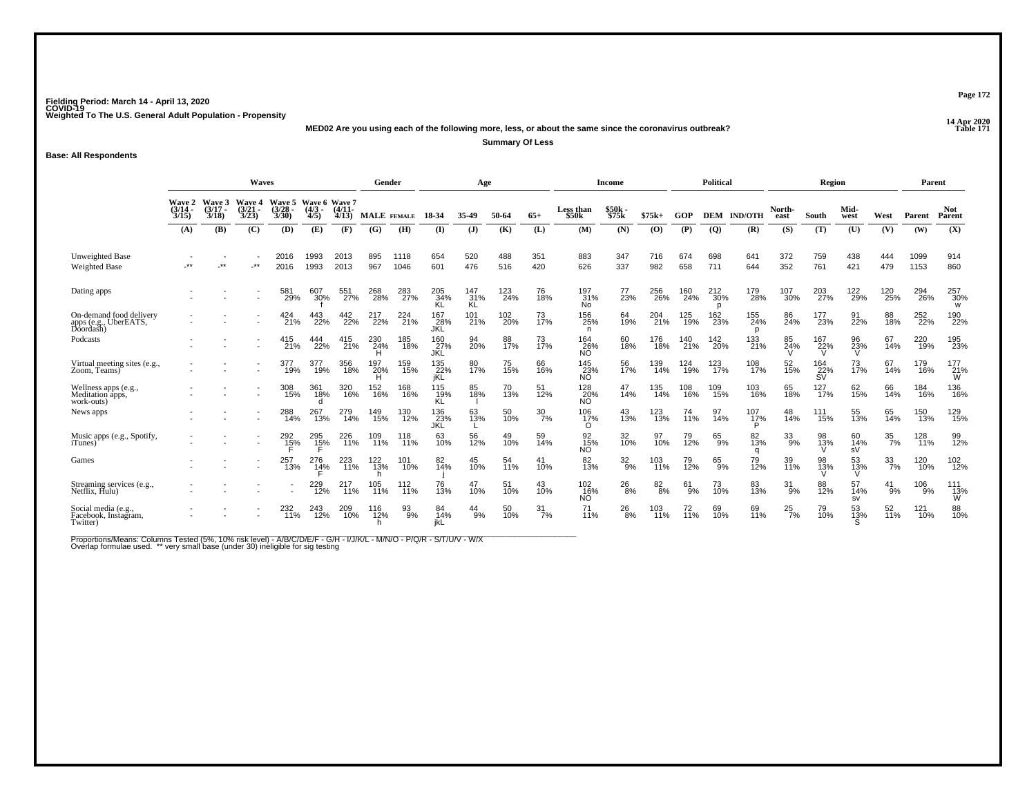**14 Apr 2020 MED02 Are you using each of the following more, less, or about the same since the coronavirus outbreak?**

**Summary Of Less**

**Base: All Respondents**

|                                                               |                                        |                                        | Waves                                  |                                 |                                      |                | Gender             |              |                          | Age                      |                 |                  |                                | <b>Income</b>  |            |            | Political       |                      |                  | Region                      |                        |                  | Parent       |                                              |
|---------------------------------------------------------------|----------------------------------------|----------------------------------------|----------------------------------------|---------------------------------|--------------------------------------|----------------|--------------------|--------------|--------------------------|--------------------------|-----------------|------------------|--------------------------------|----------------|------------|------------|-----------------|----------------------|------------------|-----------------------------|------------------------|------------------|--------------|----------------------------------------------|
|                                                               | <b>Wave 2</b><br>$\frac{(3/14)}{3/15}$ | <b>Wave 3</b><br>$\frac{(3/17)}{3/18}$ | <b>Wave 4</b><br>$\frac{(3/21)}{3/23}$ | Wave 5<br>$\frac{(3/28)}{3/30}$ | Wave 6 Wave 7<br>$\frac{(4/3)}{4/5}$ | (4/11)<br>4/13 | <b>MALE</b> FEMALE |              | 18-34                    | 35-49                    | 50-64           | $65+$            | Less than<br>\$50k             | \$50k<br>\$75k | $$75k+$    | GOP        | <b>DEM</b>      | <b>IND/OTH</b>       | North-<br>east   | South                       | Mid-<br>west           | West             | Parent       | <b>Not</b><br>Parent                         |
|                                                               | (A)                                    | (B)                                    | (C)                                    | (D)                             | (E)                                  | (F)            | (G)                | (H)          | (I)                      | $\mathbf{J}$             | (K)             | (L)              | (M)                            | (N)            | (O)        | (P)        | <b>(Q)</b>      | (R)                  | (S)              | (T)                         | (U)                    | (V)              | (W)          | (X)                                          |
| Unweighted Base<br><b>Weighted Base</b>                       | $**$                                   | $***$                                  | $\star$                                | 2016<br>2016                    | 1993<br>1993                         | 2013<br>2013   | 895<br>967         | 1118<br>1046 | 654<br>601               | 520<br>476               | 488<br>516      | 351<br>420       | 883<br>626                     | 347<br>337     | 716<br>982 | 674<br>658 | 698<br>711      | 641<br>644           | 372<br>352       | 759<br>761                  | 438<br>421             | 444<br>479       | 1099<br>1153 | 914<br>860                                   |
| Dating apps                                                   |                                        |                                        |                                        | 581<br>29%                      | 607<br>30%                           | 551<br>27%     | 268<br>28%         | 283<br>27%   | 205<br>34%<br>KL         | $\frac{147}{31\%}$<br>KL | 123<br>24%      | 76<br>18%        | $^{197}_{31\%}$<br>No          | $^{77}_{23\%}$ | 256<br>26% | 160<br>24% | 212<br>30%<br>D | 179<br>28%           | 107<br>30%       | 203<br>27%                  | 122<br>29%             | 120<br>25%       | 294<br>26%   | 257<br>30%<br>W                              |
| On-demand food delivery<br>apps (e.g., UberEATS,<br>Doordash) |                                        |                                        |                                        | 424<br>21%                      | 443<br>22%                           | 442<br>22%     | 217<br>22%         | 224<br>21%   | 167<br>_28%<br>JKL       | 101<br>21%               | 102<br>20%      | 73<br>17%        | 156<br>25%<br>n                | 64<br>19%      | 204<br>21% | 125<br>19% | 162<br>23%      | 155<br>24%<br>n      | 86<br>24%        | 177<br>23%                  | 91<br>22%              | 88<br>18%        | 252<br>22%   | 190<br>22%                                   |
| Podcasts                                                      |                                        |                                        |                                        | 415<br>21%                      | 444<br>22%                           | 415<br>21%     | 230<br>24%<br>н    | 185<br>18%   | 160<br>27%<br><b>JKL</b> | 94<br>20%                | 88<br>17%       | 73<br>17%        | 164<br>26%<br>NO.              | 60<br>18%      | 176<br>18% | 140<br>21% | 142<br>20%      | 133<br>21%           | 85<br>24%        | 167<br>22%<br>$\mathcal{U}$ | 96<br>23%              | 67<br>14%        | 220<br>19%   | 195<br>23%                                   |
| Virtual meeting sites (e.g., Zoom, Teams)                     |                                        |                                        |                                        | 377<br>19%                      | 19%                                  | 356<br>18%     | 197<br>20%         | 159<br>15%   | 135<br>22%<br>iKL        | 80<br>17%                | 75 <sub>%</sub> | 66<br>16%        | 145<br>23%<br>NO.              | 56<br>17%      | 139<br>14% | 124<br>19% | 123<br>17%      | 108<br>17%           | 52<br>15%        | 164<br>22%<br>S٧            | $^{73}_{17\%}$         | 14%              | 179<br>16%   | $^{177}_{\hbox{21\%}}\nonumber\ _{\hbox{W}}$ |
| Wellness apps (e.g.,<br>Meditation apps,<br>work-outs)        |                                        |                                        |                                        | 308<br>15%                      | 361<br>18%                           | 320<br>16%     | 152<br>16%         | 168<br>16%   | 115<br>19%<br>ΚL         | 85<br>18%                | 70<br>13%       | 51<br>12%        | 128<br>$\overline{20}$ %<br>ΝÕ | 47<br>14%      | 135<br>14% | 108<br>16% | 109<br>15%      | 103<br>16%           | 65<br>18%        | 127<br>17%                  | 62<br>15%              | 66<br>14%        | 184<br>16%   | 136<br>16%                                   |
| News apps                                                     |                                        |                                        |                                        | 288<br>14%                      | 267<br>13%                           | 279<br>14%     | 149<br>15%         | 130<br>12%   | 136<br>23%<br>JKĹ        | 63<br>13%                | 50<br>10%       | $\frac{30}{7\%}$ | $^{106}_{17\%}$<br>$\Omega$    | 43<br>13%      | 123<br>13% | 74<br>11%  | 97<br>14%       | $^{107}_{17\%}$<br>D | 48<br>14%        | 111<br>15%                  | 55<br>13%              | 65<br>14%        | 150<br>13%   | 129<br>15%                                   |
| Music apps (e.g., Spotify,<br><i>i</i> Tunes)                 |                                        |                                        |                                        | 292<br>15%                      | 295<br>15%                           | 226<br>11%     | 109<br>11%         | 118<br>11%   | 63<br>10%                | 56<br>12%                | 49<br>10%       | 14%              | 92<br>15%<br>NÕ.               | 32<br>10%      | 97<br>10%  | 79<br>12%  | 65<br>9%        | 82<br>13%<br>a       | $\frac{33}{9\%}$ | 98<br>13%                   | 60<br>14%<br>sV        | $\frac{35}{7\%}$ | 128<br>11%   | 99<br>12%                                    |
| Games                                                         |                                        |                                        |                                        | 257<br>73%                      | $^{276}_{14\%}$                      | 223<br>11%     | 122<br>13%         | 101<br>10%   | 82<br>14%                | 45<br>10%                | 54<br>11%       | 41<br>10%        | 82<br>13%                      | $^{32}_{9\%}$  | 103<br>11% | 79<br>12%  | 65<br>9%        | 79<br>12%            | 39<br>11%        | 98<br>13%                   | 53<br>13%              | $\frac{33}{7\%}$ | 120<br>10%   | 102<br>12%                                   |
| Streaming services (e.g.,<br>Netflix, Hulu)                   |                                        |                                        |                                        |                                 | 229<br>12%                           | 217<br>11%     | 105<br>11%         | 112<br>11%   | 76<br>13%                | 47<br>10%                | 51<br>10%       | 43<br>10%        | $^{102}_{16\%}$ NO             | $^{26}_{8\%}$  | 82<br>8%   | 61<br>9%   | 73<br>10%       | 83<br>13%            | 31<br>9%         | 88<br>12%                   | 57<br>14%<br><b>SV</b> | 41<br>9%         | 106<br>9%    | $\frac{111}{13\%}$                           |
| Social media (e.g.,<br>Facebook, Instagram,<br>Twitter)       |                                        |                                        |                                        | 232<br>11%                      | 243<br>12%                           | 209<br>10%     | 116<br>12%         | 93<br>9%     | 84<br>14%<br>ikL         | 44<br>9%                 | 50<br>10%       | 31<br>7%         | 71<br>11%                      | 26<br>8%       | 103<br>11% | 72<br>11%  | 69<br>10%       | 69<br>11%            | 25<br>7%         | 79<br>10%                   | 53<br>13%              | 52<br>11%        | 121<br>10%   | 88<br>10%                                    |

Proportions/Means: Columns Tested (5%, 10% risk level) - A/B/C/D/E/F - G/H - I/J/K/L - M/N/O - P/Q/R - S/T/U/V - W/X<br>Overlap formulae used. \*\* very small base (under 30) ineligible for sig testing

**Page 172**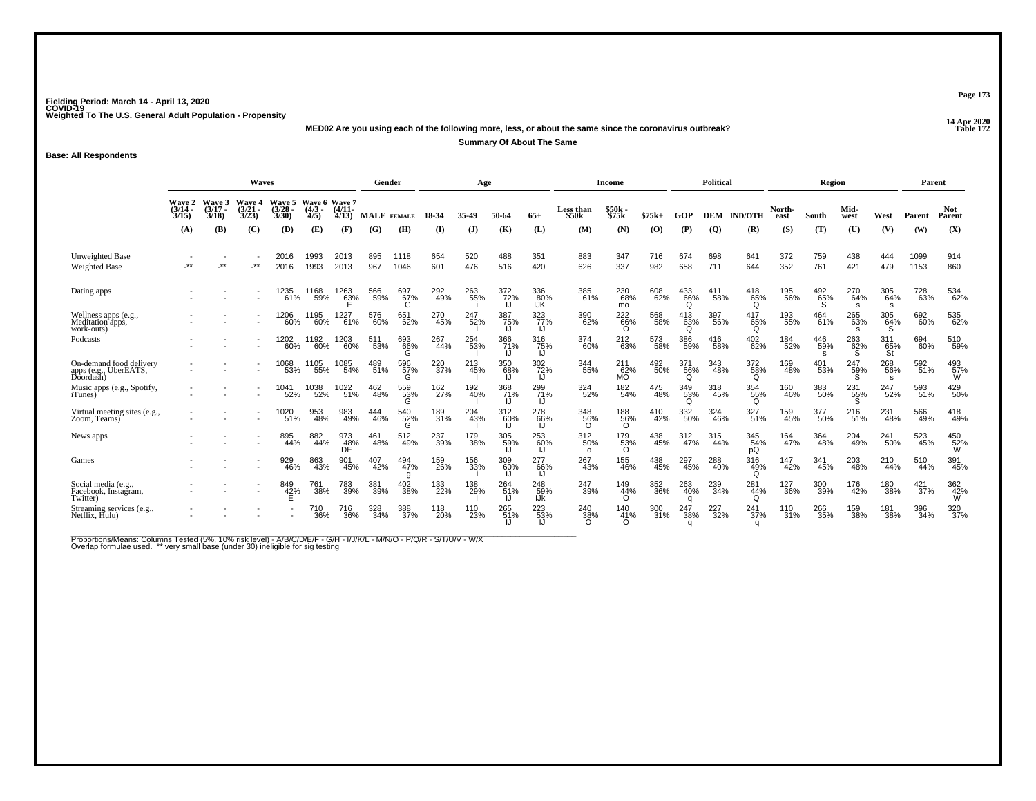**14 Apr 2020 MED02 Are you using each of the following more, less, or about the same since the coronavirus outbreak?**

**Summary Of About The Same**

**Base: All Respondents**

|                                                               | <b>Waves</b><br>Wave 6 Wave 7          |                          |                                                      |                                 |                     |                   |            | Gender          |            | Age          |                  |                   |                                | <b>Income</b>           |            |                        | <b>Political</b> |                        |                | Region                     |                 |                  | Parent             |                      |
|---------------------------------------------------------------|----------------------------------------|--------------------------|------------------------------------------------------|---------------------------------|---------------------|-------------------|------------|-----------------|------------|--------------|------------------|-------------------|--------------------------------|-------------------------|------------|------------------------|------------------|------------------------|----------------|----------------------------|-----------------|------------------|--------------------|----------------------|
|                                                               | <b>Wave 2</b><br>$\frac{(3/14)}{3/15}$ | Wave 3<br>(3/17)<br>3/18 | <b>Wave 4</b><br>$\frac{(3/21)}{3/23}$               | Wave 5<br>$\frac{(3/28)}{3/30}$ | $\frac{(4/3)}{4/5}$ | $(4/11 -$<br>4/13 |            | MALE FEMALE     | 18-34      | 35.49        | 50-64            | $65+$             | Less than<br>\$50 <sub>k</sub> | \$50k<br>\$75k          | $$75k+$    | GOP                    | <b>DEM</b>       | <b>IND/OTH</b>         | North-<br>east | South                      | Mid-<br>west    | West             | Parent             | <b>Not</b><br>Parent |
|                                                               | (A)                                    | (B)                      | (C)                                                  | (D)                             | (E)                 | (F)               | (G)        | (H)             | $\bf{I}$   | $\mathbf{J}$ | (K)              | (L)               | (M)                            | (N)                     | (0)        | (P)                    | $\boldsymbol{Q}$ | (R)                    | (S)            | (T)                        | (U)             | (V)              | (W)                | (X)                  |
| <b>Unweighted Base</b><br><b>Weighted Base</b>                | -**                                    | $**$                     | $.**$                                                | 2016<br>2016                    | 1993<br>1993        | 2013<br>2013      | 895<br>967 | 1118<br>1046    | 654<br>601 | 520<br>476   | 488<br>516       | 351<br>420        | 883<br>626                     | 347<br>337              | 716<br>982 | 674<br>658             | 698<br>711       | 641<br>644             | 372<br>352     | 759<br>761                 | 438<br>421      | 444<br>479       | 1099<br>1153       | 914<br>860           |
| Dating apps                                                   |                                        |                          |                                                      | 1235<br>61%                     | 1168<br>59%         | 1263<br>63%       | 566<br>59% | 697<br>67%<br>G | 292<br>49% | 263<br>55%   | 372<br>72%<br>IJ | 336<br>80%<br>IJK | 385<br>61%                     | 230<br>68%<br>mo        | 608<br>62% | 433<br>66%<br>Q        | 411<br>58%       | 418<br>65%<br>O        | 195<br>56%     | $^{492}_{65\%}$            | 270<br>64%<br>s | 305<br>64%<br>s  | 728<br>63%         | 534<br>62%           |
| Wellness apps (e.g.,<br>Meditation apps,<br>work-outs)        |                                        |                          |                                                      | 1206<br>60%                     | 1195<br>60%         | 1227<br>61%       | 576<br>60% | 651<br>62%      | 270<br>45% | 247<br>52%   | 387<br>75%<br>IJ | 323<br>77%        | 390<br>62%                     | 222<br>66%<br>O         | 568<br>58% | 413<br>63%<br>O        | 397<br>56%       | 417<br>65%<br>Ω        | 193<br>55%     | 464<br>61%                 | 265<br>63%      | 305<br>64%<br>`S | 692<br>60%         | 535<br>62%           |
| Podcasts                                                      |                                        |                          | $\overline{\phantom{a}}$                             | 1202<br>60%                     | 1192<br>60%         | 1203<br>60%       | 511<br>53% | 693<br>66%<br>G | 267<br>44% | 254<br>53%   | 366<br>71%<br>IJ | 316<br>75%        | 374<br>60%                     | 212<br>63%              | 573<br>58% | 386<br>59%             | 416<br>58%       | 402<br>62%             | 184<br>52%     | 446<br>59%<br><sub>S</sub> | 263<br>62%      | 311<br>65%<br>St | 694<br>60%         | 510<br>59%           |
| On-demand food delivery<br>apps (e.g., UberEATS,<br>Doordash) |                                        |                          |                                                      | 1068<br>53%                     | 1105<br>55%         | 1085<br>54%       | 489<br>51% | 596<br>57%<br>G | 220<br>37% | 213<br>45%   | 350<br>68%<br>IJ | 302 72%           | 344<br>55%                     | 211<br>62%<br><b>MO</b> | 492<br>50% | 371<br>56%<br>Q        | 343<br>48%       | 372<br>58%<br>O        | 169<br>48%     | 401<br>53%                 | 247<br>59%      | 268<br>56%<br>s  | 592<br>51%         | 493<br>57%<br>W      |
| Music apps (e.g., Spotify,<br><i>i</i> Tunes)                 |                                        |                          | $\overline{\phantom{a}}$<br>$\overline{\phantom{a}}$ | 1041<br>52%                     | 1038<br>52%         | 1022<br>$-51%$    | 462<br>48% | 559<br>53%      | 162<br>27% | 192<br>40%   | 368<br>71%<br>IJ | 299<br>71%        | 324<br>52%                     | 182<br>54%              | 475<br>48% | 349<br>53%<br>O        | 318<br>45%       | 354<br>55%<br>Ω        | 160<br>46%     | 383<br>50%                 | 231<br>55%      | 247<br>52%       | 593<br>51%         | 429<br>50%           |
| Virtual meeting sites (e.g.,<br>Zoom, Teams)                  |                                        |                          |                                                      | 1020<br>51%                     | 953<br>48%          | 983<br>49%        | 444<br>46% | 540<br>52%      | 189<br>31% | 204<br>43%   | 312<br>60%<br>IJ | 278<br>66%        | 348<br>56%<br>$\Omega$         | 188<br>56%<br>$\Omega$  | 410<br>42% | 332<br>50%             | 324<br>46%       | 327<br>51%             | 159<br>45%     | 377<br>50%                 | 216<br>51%      | 231<br>48%       | 566<br>49%         | 418<br>49%           |
| News apps                                                     |                                        |                          |                                                      | 895<br>44%                      | 882<br>44%          | 973<br>_48%<br>DE | 461<br>48% | 512<br>49%      | 237<br>39% | 179<br>38%   | 305<br>59%       | 253<br>60%        | 312<br>50%<br>$\Omega$         | 179<br>53%<br>$\Omega$  | 438<br>45% | 312<br>47%             | 315<br>44%       | 345<br>54%<br>рQ       | 164<br>47%     | 364<br>48%                 | 204<br>49%      | 241<br>50%       | 523<br>45%         | 450<br>52%<br>W      |
| Games                                                         |                                        |                          |                                                      | 929<br>46%                      | 863<br>43%          | 901<br>45%        | 407<br>42% | 494<br>47%      | 159<br>26% | 156<br>33%   | 309<br>60%       | 277<br>66%        | 267<br>43%                     | 155<br>46%              | 438<br>45% | 297<br>45%             | 288<br>40%       | 316<br>49%<br>Ω        | 147<br>42%     | 341<br>45%                 | 203<br>48%      | 210<br>44%       | 510<br>44%         | 391<br>45%           |
| Social media (e.g.,<br>Facebook, Instagram,<br>Twitter)       |                                        |                          |                                                      | 849<br>42%                      | 761<br>38%          | 783<br>39%        | 381<br>39% | 402<br>38%      | 133<br>22% | 138<br>29%   | 264<br>51%       | 248<br>59%<br>IJk | 247<br>39%                     | 149<br>44%<br>$\Omega$  | 352<br>36% | 263<br>40%<br>a        | 239<br>34%       | 281<br>44%<br>O        | 127<br>36%     | 300<br>39%                 | 176<br>42%      | 180<br>38%       | $\frac{421}{37\%}$ | 362<br>42%<br>W      |
| Streaming services (e.g., Netflix, Hulu)                      |                                        |                          |                                                      |                                 | 710<br>36%          | 716<br>36%        | 328<br>34% | 388<br>37%      | 118<br>20% | 110<br>23%   | 265<br>51%       | 223<br>53%        | 240<br>38%<br>O                | 140<br>41%<br>$\Omega$  | 300<br>31% | 247<br>38%<br>$\alpha$ | 227<br>32%       | 241<br>37%<br>$\alpha$ | 110<br>31%     | 266<br>35%                 | 159<br>38%      | 181<br>38%       | 396<br>34%         | 320<br>37%           |

Proportions/Means: Columns Tested (5%, 10% risk level) - A/B/C/D/E/F - G/H - I/J/K/L - M/N/O - P/Q/R - S/T/U/V - W/X<br>Overlap formulae used. \*\* very small base (under 30) ineligible for sig testing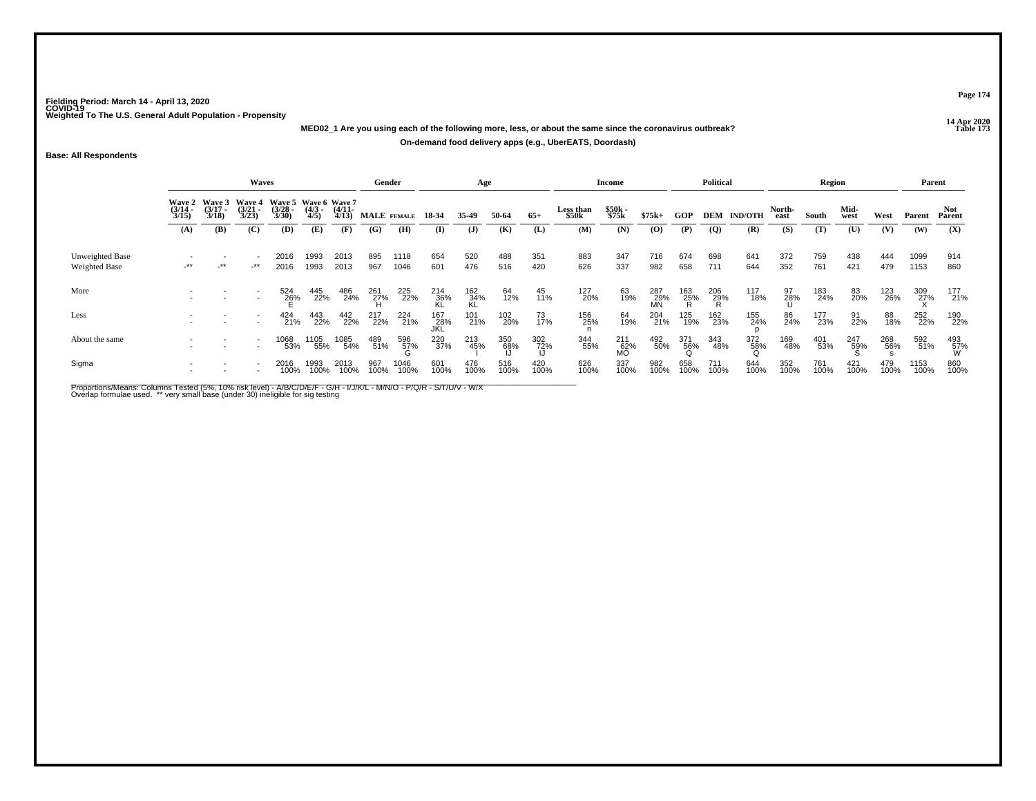**14 Apr 2020 MED02\_1 Are you using each of the following more, less, or about the same since the coronavirus outbreak?**

**On-demand food delivery apps (e.g., UberEATS, Doordash)**

**Base: All Respondents**

|                                  |                                                                                                                                                                                                                                                    |       | Waves          |              |              |              | Gender          |                           |                    | Age                   |                  |              |                           | Income                |                           |                 | <b>Political</b>   |                           |                       | Region       |                     |             | Parent        |                       |
|----------------------------------|----------------------------------------------------------------------------------------------------------------------------------------------------------------------------------------------------------------------------------------------------|-------|----------------|--------------|--------------|--------------|-----------------|---------------------------|--------------------|-----------------------|------------------|--------------|---------------------------|-----------------------|---------------------------|-----------------|--------------------|---------------------------|-----------------------|--------------|---------------------|-------------|---------------|-----------------------|
|                                  | <b>Wave 4</b><br>Wave 5 Wave 6 Wave 7<br>Wave 2 Wave 3<br>$\frac{(3/17)}{3/18}$<br>$\binom{3/21}{3/23}$<br>$\binom{3/28}{3/30}$<br>$\frac{(4/3)}{4/5}$<br>$\frac{(3/14)}{3/15}$<br>$\frac{(4/11)}{4/13}$<br>(C)<br>(A)<br>(B)<br><b>(D)</b><br>(E) |       |                |              |              |              | (G)             | <b>MALE</b> FEMALE<br>(H) | 18-34<br>(I)       | 35-49<br>$\mathbf{J}$ | 50-64<br>(K)     | $65+$<br>(L) | Less than<br>\$50k<br>(M) | \$50k<br>\$75k<br>(N) | $$75k+$<br>$\overline{O}$ | GOP<br>(P)      | $\overline{Q}$     | <b>DEM IND/OTH</b><br>(R) | North-<br>east<br>(S) | South<br>(T) | Mid-<br>west<br>(U) | West<br>(V) | Parent<br>(W) | Not.<br>Parent<br>(X) |
|                                  |                                                                                                                                                                                                                                                    |       |                |              |              | (F)          |                 |                           |                    |                       |                  |              |                           |                       |                           |                 |                    |                           |                       |              |                     |             |               |                       |
| Unweighted Base<br>Weighted Base | $-***$                                                                                                                                                                                                                                             | $***$ | -**            | 2016<br>2016 | 1993<br>1993 | 2013<br>2013 | 895<br>967      | 1118<br>1046              | 654<br>601         | 520<br>476            | 488<br>516       | 351<br>420   | 883<br>626                | 347<br>337            | 716<br>982                | 674<br>658      | 698<br>711         | 641<br>644                | 372<br>352            | 759<br>761   | 438<br>421          | 444<br>479  | 1099<br>1153  | 914<br>860            |
| More                             |                                                                                                                                                                                                                                                    |       | $\overline{a}$ | 524<br>26%   | 445<br>22%   | 486<br>24%   | 261<br>27%<br>H | 225<br>22%                | 214<br>36%<br>KL   | 162<br>34%<br>KL      | 64<br>12%        | 45<br>11%    | 127<br>20%                | 63<br>19%             | 287<br>29%<br>MN          | 163<br>25%<br>R | $\frac{206}{29\%}$ | 117<br>18%                | 97<br>28%             | 183<br>24%   | 83<br>20%           | 123<br>26%  | 309<br>27%    | 177<br>21%            |
| Less                             |                                                                                                                                                                                                                                                    |       |                | 424<br>21%   | 443<br>22%   | 442<br>22%   | 217<br>22%      | 224<br>21%                | 167<br>_28%<br>JKL | 101<br>21%            | 102<br>20%       | 73<br>17%    | 156<br>25%                | 64<br>19%             | 204<br>21%                | 125<br>19%      | 162<br>23%         | 155<br>24%                | 86<br>24%             | 177<br>23%   | 91<br>22%           | 88<br>18%   | 252<br>22%    | 190<br>22%            |
| About the same                   |                                                                                                                                                                                                                                                    |       |                | 1068<br>53%  | 1105<br>55%  | 1085<br>54%  | 489<br>51%      | 596<br>57%                | 220<br>37%         | 213<br>45%            | 350<br>68%<br>IJ | 302<br>72%   | 344<br>55%                | 211<br>62%<br>MO      | 492<br>50%                | 371<br>56%<br>Q | 343<br>48%         | 372<br>58%                | 169<br>48%            | 401<br>53%   | 247<br>59%          | 268<br>56%  | 592<br>51%    | 493<br>57%<br>W       |
| Sigma                            |                                                                                                                                                                                                                                                    |       |                | 2016<br>100% | 1993<br>100% | 2013<br>100% | 967<br>100%     | 1046<br>100%              | 601<br>100%        | 476<br>100%           | 516<br>100%      | 420<br>100%  | 626<br>100%               | 337<br>100%           | 982<br>100%               | 658<br>100%     | 711<br>100%        | 644<br>100%               | 352<br>100%           | 761<br>100%  | 421<br>100%         | 479<br>100% | 1153<br>100%  | 860<br>100%           |

Proportions/Means: Columns Tested (5%, 10% risk level) - A/B/C/D/E/F - G/H - I/J/K/L - M/N/O - P/Q/R - S/T/U/V - W/X<br>Overlap formulae used. \*\* very small base (under 30) ineligible for sig testing

**Page 174**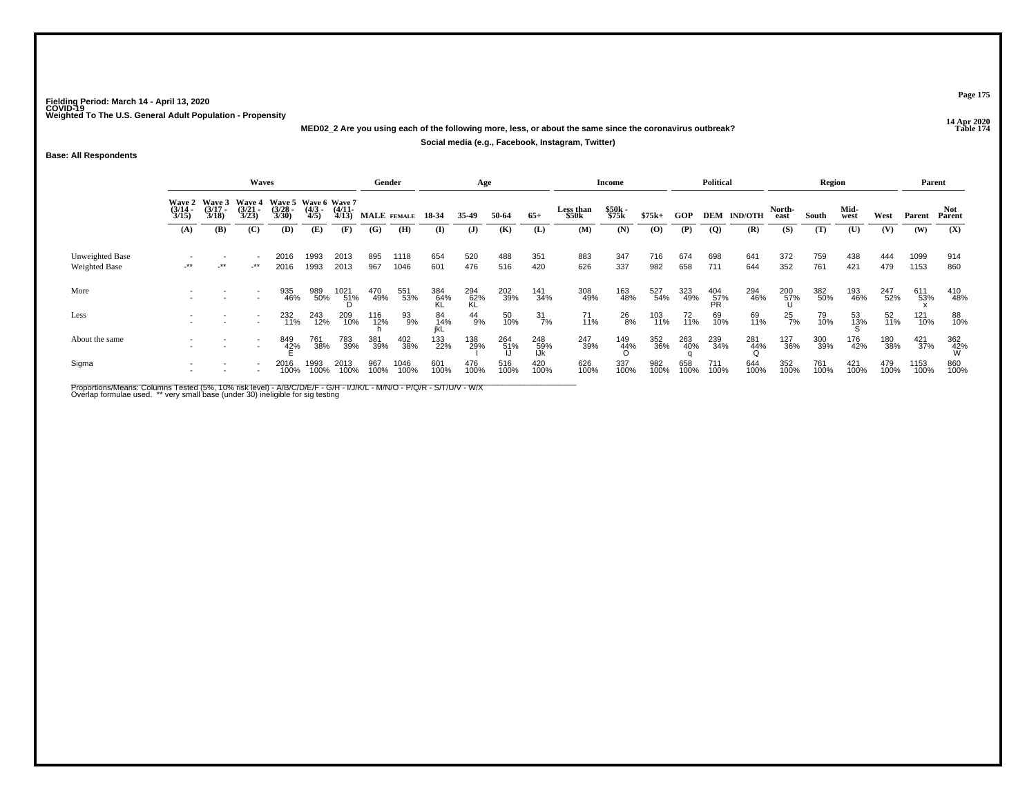**14 Apr 2020 MED02\_2 Are you using each of the following more, less, or about the same since the coronavirus outbreak?**

**Social media (e.g., Facebook, Instagram, Twitter)**

**Base: All Respondents**

|                                         |                                        |                                        | Waves                                  |                                               |                     |                       | Gender      |                    |                  | Age              |             |                   |                    | Income          |                |             | <b>Political</b> |                |                | Region      |              |             | Parent       |                 |
|-----------------------------------------|----------------------------------------|----------------------------------------|----------------------------------------|-----------------------------------------------|---------------------|-----------------------|-------------|--------------------|------------------|------------------|-------------|-------------------|--------------------|-----------------|----------------|-------------|------------------|----------------|----------------|-------------|--------------|-------------|--------------|-----------------|
|                                         | <b>Wave 2</b><br>$\frac{(3/14)}{3/15}$ | <b>Wave 3</b><br>$\frac{(3/17)}{3/18}$ | <b>Wave 4</b><br>$\frac{(3/21)}{3/23}$ | Wave 5 Wave 6 Wave 7<br>$\frac{(3/28)}{3/30}$ | $\frac{(4/3)}{4/5}$ | $\frac{(4/11)}{4/13}$ |             | <b>MALE</b> FEMALE | 18-34            | 35-49            | 50-64       | $65+$             | Less than<br>\$50k | \$50k<br>\$75k  | $$75k+$        | GOP         | DEM              | <b>IND/OTH</b> | North-<br>east | South       | Mid-<br>west | West        | Parent       | Parent          |
|                                         | (A)                                    | (B)                                    | (C)                                    | (D)                                           | (E)                 | (F)                   | (G)         | (H)                | (I)              | $\mathbf{J}$     | (K)         | (L)               | (M)                | (N)             | $\overline{O}$ | (P)         | $\overline{Q}$   | (R)            | (S)            | (T)         | (U)          | (V)         | (W)          | (X)             |
| Unweighted Base<br><b>Weighted Base</b> | $-***$                                 | $\cdot$ **                             | _**                                    | 2016<br>2016                                  | 1993<br>1993        | 2013<br>2013          | 895<br>967  | 1118<br>1046       | 654<br>601       | 520<br>476       | 488<br>516  | 351<br>420        | 883<br>626         | 347<br>337      | 716<br>982     | 674<br>658  | 698<br>711       | 641<br>644     | 372<br>352     | 759<br>761  | 438<br>421   | 444<br>479  | 1099<br>1153 | 914<br>860      |
| More                                    |                                        |                                        |                                        | 935<br>46%                                    | 989<br>50%          | 1021<br>51%<br>D      | 470<br>49%  | 551<br>53%         | 384<br>64%<br>KL | 294<br>62%<br>KL | 202<br>39%  | 141<br>34%        | 308<br>49%         | 163<br>48%      | 527<br>54%     | 323<br>49%  | 404<br>57%<br>PR | 294<br>46%     | 200<br>57%     | 382<br>50%  | 193<br>46%   | 247<br>52%  | 611<br>53%   | 410<br>48%      |
| Less                                    |                                        |                                        |                                        | 232<br>11%                                    | 243<br>12%          | 209<br>10%            | 116<br>12%  | 93<br>9%           | 84<br>14%<br>ikL | 44<br>9%         | 50<br>10%   | $\frac{31}{7\%}$  | 71<br>11%          | 26<br>8%        | 103<br>11%     | 72<br>11%   | 69<br>10%        | 69<br>11%      | $^{25}_{7\%}$  | 79<br>10%   | 53<br>13%    | 52<br>11%   | 121<br>10%   | 88<br>10%       |
| About the same                          |                                        |                                        | $\overline{\phantom{a}}$               | 849<br>42%                                    | 761<br>38%          | 783<br>39%            | 381<br>39%  | 402<br>38%         | 133<br>22%       | 138<br>29%       | 264<br>51%  | 248<br>59%<br>IJk | 247<br>39%         | 149<br>44%<br>O | 352<br>36%     | 263<br>40%  | 239<br>34%       | 281<br>44%     | 127<br>36%     | 300<br>39%  | 176<br>42%   | 180<br>38%  | 421<br>37%   | 362<br>42%<br>W |
| Sigma                                   |                                        |                                        |                                        | 2016<br>100%                                  | 1993<br>100%        | 2013<br>100%          | 967<br>100% | 1046<br>100%       | 601<br>100%      | 476<br>100%      | 516<br>100% | 420<br>100%       | 626<br>100%        | 337<br>100%     | 982<br>100%    | 658<br>100% | 711<br>100%      | 644<br>100%    | 352<br>100%    | 761<br>100% | 421<br>100%  | 479<br>100% | 1153<br>100% | 860<br>100%     |

Proportions/Means: Columns Tested (5%, 10% risk level) - A/B/C/D/E/F - G/H - I/J/K/L - M/N/O - P/Q/R - S/T/U/V - W/X<br>Overlap formulae used. \*\* very small base (under 30) ineligible for sig testing

**Page 175**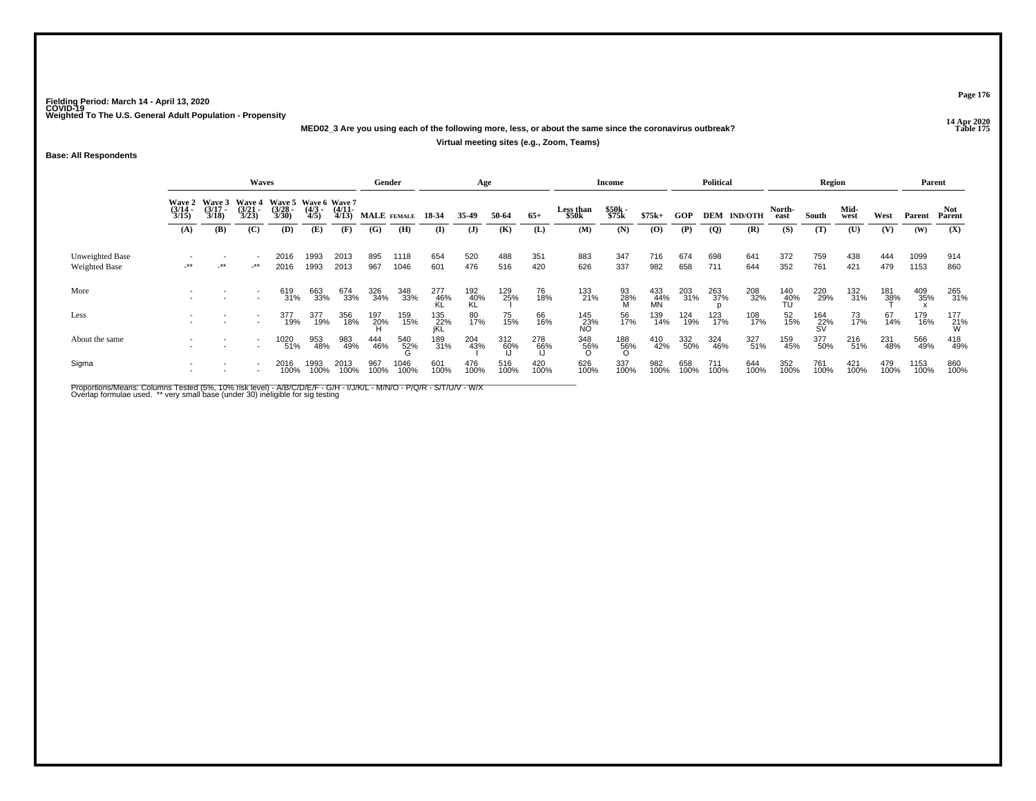**14 Apr 2020 MED02\_3 Are you using each of the following more, less, or about the same since the coronavirus outbreak?**

### **Virtual meeting sites (e.g., Zoom, Teams)**

**Base: All Respondents**

|                                  |                       |                                        | Waves                                  |                                               |                     |                       | Gender      |              |                     | Age              |                  |             |                           | Income          |                  |             | Political      |                    |                     | Region           |              |                     | Parent       |                 |
|----------------------------------|-----------------------|----------------------------------------|----------------------------------------|-----------------------------------------------|---------------------|-----------------------|-------------|--------------|---------------------|------------------|------------------|-------------|---------------------------|-----------------|------------------|-------------|----------------|--------------------|---------------------|------------------|--------------|---------------------|--------------|-----------------|
|                                  | $\frac{(3/14)}{3/15}$ | Wave 2 Wave 3<br>$\frac{(3/17)}{3/18}$ | <b>Wave 4</b><br>$\frac{(3/21)}{3/23}$ | Wave 5 Wave 6 Wave 7<br>$\frac{(3/28)}{3/30}$ | $\frac{(4/3)}{4/5}$ | $\frac{(4/11)}{4/13}$ | MALE FEMALE |              | 18-34               | 35.49            | 50-64            | $65+$       | <b>Less than</b><br>\$50k | \$50k<br>\$75k  | $$75k+$          | GOP         |                | <b>DEM IND/OTH</b> | North-<br>east      | South            | Mid-<br>west | West                | Parent       | Parent          |
|                                  | (A)                   | (B)                                    | (C)                                    | (D)                                           | (E)                 | (F)                   | (G)         | (H)          | $\bf{I}$            | $\mathbf{J}$     | (K)              | (L)         | (M)                       | (N)             | (0)              | (P)         | $\overline{Q}$ | (R)                | (S)                 | (T)              | (U)          | (V)                 | (W)          | (X)             |
| Unweighted Base<br>Weighted Base | $-***$                | -**                                    | $-***$                                 | 2016<br>2016                                  | 1993<br>1993        | 2013<br>2013          | 895<br>967  | 1118<br>1046 | 654<br>601          | 520<br>476       | 488<br>516       | 351<br>420  | 883<br>626                | 347<br>337      | 716<br>982       | 674<br>658  | 698<br>711     | 641<br>644         | 372<br>352          | 759<br>761       | 438<br>421   | 444<br>479          | 1099<br>1153 | 914<br>860      |
| More                             |                       |                                        |                                        | 619<br>31%                                    | 663<br>33%          | 674<br>33%            | 326<br>34%  | 348<br>33%   | 277<br>-46%<br>-KL  | 192<br>40%<br>KL | 129<br>25%       | 76<br>18%   | 133<br>21%                | 93<br>28%<br>M  | 433<br>44%<br>MN | 203<br>31%  | 263<br>37%     | 208<br>32%         | 140%<br>-40%<br>-TU | 220<br>29%       | 132<br>31%   | 181<br>3 <u>8</u> % | 409<br>35%   | 265<br>31%      |
| Less                             |                       |                                        |                                        | 377<br>19%                                    | 377<br>19%          | 356<br>18%            | 197<br>20%  | 159<br>15%   | 135<br>  22%<br> KL | 80<br>17%        | 75<br>15%        | 66<br>16%   | 145<br>23%<br>NO          | 56<br>17%       | 139<br>14%       | 124<br>19%  | 123<br>17%     | 108<br>17%         | 52<br>15%           | 164<br>22%<br>SV | 73<br>17%    | 67<br>14%           | 179<br>16%   | $^{177}_{21\%}$ |
| About the same                   |                       |                                        |                                        | 1020<br>51%                                   | 953<br>48%          | 983<br>49%            | 444<br>46%  | 540<br>52%   | 189<br>31%          | 204<br>43%       | 312<br>60%<br>IJ | 278<br>66%  | 348<br>56%<br>O           | 188<br>56%<br>O | 410<br>42%       | 332<br>50%  | 324<br>46%     | 327<br>51%         | 159<br>45%          | 377<br>50%       | 216<br>51%   | 231<br>48%          | 566<br>49%   | 418<br>49%      |
| Sigma                            |                       |                                        |                                        | 2016<br>100%                                  | 1993<br>100%        | 2013<br>100%          | 967<br>100% | 1046<br>100% | 601<br>100%         | 476<br>100%      | 516<br>100%      | 420<br>100% | 626<br>100%               | 337<br>100%     | 982<br>100%      | 658<br>100% | 711<br>100%    | 644<br>100%        | 352<br>100%         | 761<br>100%      | 421<br>100%  | 479<br>100%         | 1153<br>100% | 860<br>100%     |

Proportions/Means: Columns Tested (5%, 10% risk level) - A/B/C/D/E/F - G/H - I/J/K/L - M/N/O - P/Q/R - S/T/U/V - W/X<br>Overlap formulae used. \*\* very small base (under 30) ineligible for sig testing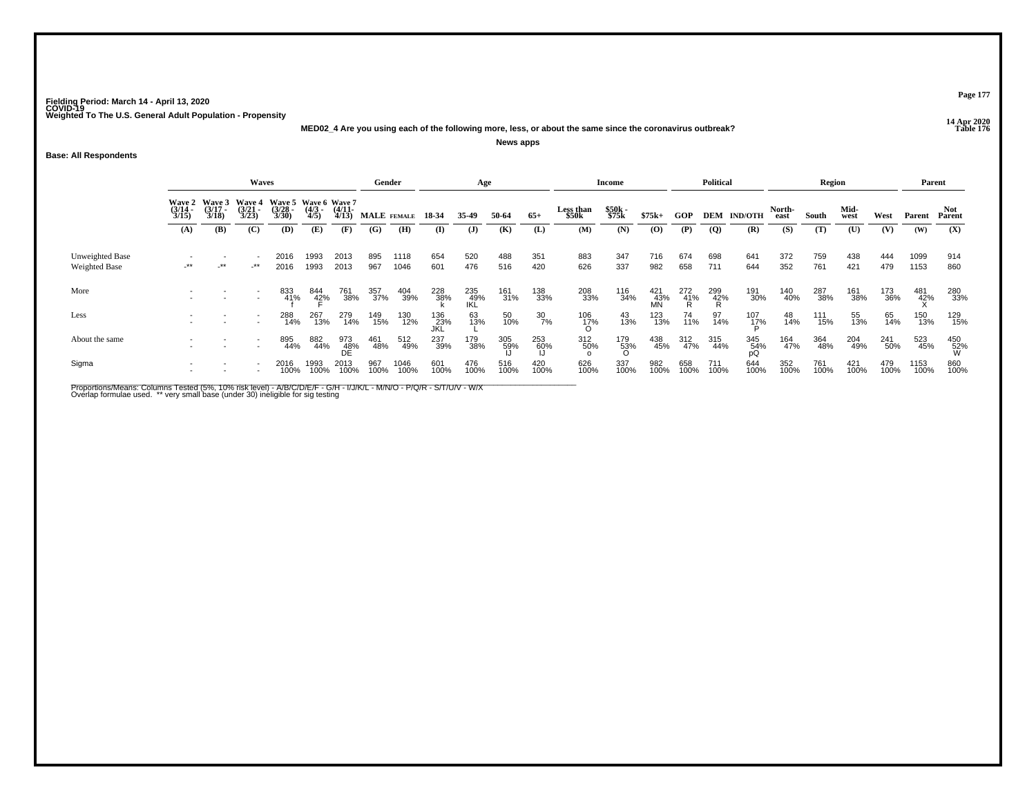**14 Apr 2020 MED02\_4 Are you using each of the following more, less, or about the same since the coronavirus outbreak?News apps**

**Base: All Respondents**

|                                  |                       |                       | <b>Waves</b>                                  |                                              |                    |                       | Gender      |              |                    | Age               |             |                  |                           | Income          |                  |                 | Political       |                    |                | Region      |              |             |              | Parent          |
|----------------------------------|-----------------------|-----------------------|-----------------------------------------------|----------------------------------------------|--------------------|-----------------------|-------------|--------------|--------------------|-------------------|-------------|------------------|---------------------------|-----------------|------------------|-----------------|-----------------|--------------------|----------------|-------------|--------------|-------------|--------------|-----------------|
|                                  | $\frac{(3/14)}{3/15}$ | $\frac{(3/17)}{3/18}$ | Wave 2 Wave 3 Wave 4<br>$\frac{(3/21)}{3/23}$ | Wave 5 Wave 6 Wave 7<br>$\binom{3/28}{3/30}$ | $\binom{4/3}{4/5}$ | $\frac{(4/11)}{4/13}$ |             | MALE FEMALE  | 18-34              | 35.49             | 50-64       | $65+$            | <b>Less than</b><br>\$50k | \$50k<br>\$75k  | $$75k+$          | <b>GOP</b>      |                 | <b>DEM IND/OTH</b> | North-<br>east | South       | Mid-<br>west | West        | Parent       | Parent          |
|                                  | (A)                   | (B)                   | (C)                                           | <b>(D)</b>                                   | (E)                | (F)                   | (G)         | (H)          | $\bf{I}$           | $\mathbf{J}$      | (K)         | (L)              | (M)                       | (N)             | (0)              | (P)             | $\overline{Q}$  | (R)                | (S)            | (T)         | (U)          | (V)         | (W)          | (X)             |
| Unweighted Base<br>Weighted Base | -**                   | _**                   | -**                                           | 2016<br>2016                                 | 1993<br>1993       | 2013<br>2013          | 895<br>967  | 1118<br>1046 | 654<br>601         | 520<br>476        | 488<br>516  | 351<br>420       | 883<br>626                | 347<br>337      | 716<br>982       | 674<br>658      | 698<br>711      | 641<br>644         | 372<br>352     | 759<br>761  | 438<br>421   | 444<br>479  | 1099<br>1153 | 914<br>860      |
| More                             |                       |                       |                                               | 833<br>41%                                   | 844<br>42%         | 761<br>38%            | 357<br>37%  | 404<br>39%   | 228<br>38%         | 235<br>49%<br>IKL | 161<br>31%  | 138<br>33%       | 208<br>33%                | 116<br>34%      | 421<br>43%<br>MN | 272<br>41%<br>R | 299<br>42%<br>R | 191<br>30%         | 140<br>40%     | 287<br>38%  | 161<br>38%   | 173<br>36%  | 481<br>42%   | 280<br>33%      |
| Less                             |                       |                       |                                               | 288<br>14%                                   | 267<br>13%         | 279<br>14%            | 149<br>15%  | 130<br>12%   | 136<br>_23%<br>JKL | 63<br>13%         | 50<br>10%   | $\frac{30}{7\%}$ | 106<br>17%                | 43<br>13%       | 123<br>13%       | 74<br>11%       | 97<br>14%       | 107<br>17%         | 48<br>14%      | 111<br>15%  | 55<br>13%    | 65<br>14%   | 150<br>13%   | 129<br>15%      |
| About the same                   |                       |                       |                                               | 895<br>44%                                   | 882<br>44%         | 973<br>_48%<br>DE     | 461<br>48%  | 512<br>49%   | 237<br>39%         | 179<br>38%        | 305<br>59%  | 253<br>60%<br>Li | 312<br>50%                | 179<br>53%<br>ဂ | 438<br>45%       | 312<br>47%      | 315<br>44%      | 345<br>54%<br>pQ   | 164<br>47%     | 364<br>48%  | 204<br>49%   | 241<br>50%  | 523<br>45%   | 450<br>52%<br>W |
| Sigma                            |                       |                       |                                               | 2016<br>100%                                 | 1993<br>100%       | 2013<br>100%          | 967<br>100% | 1046<br>100% | 601<br>100%        | 476<br>100%       | 516<br>100% | 420<br>100%      | 626<br>100%               | 337<br>100%     | 982<br>100%      | 658<br>100%     | 711<br>100%     | 644<br>100%        | 352<br>100%    | 761<br>100% | 421<br>100%  | 479<br>100% | 1153<br>100% | 860<br>100%     |

Proportions/Means: Columns Tested (5%, 10% risk level) - A/B/C/D/E/F - G/H - I/J/K/L - M/N/O - P/Q/R - S/T/U/V - W/X<br>Overlap formulae used. \*\* very small base (under 30) ineligible for sig testing

**Page 177**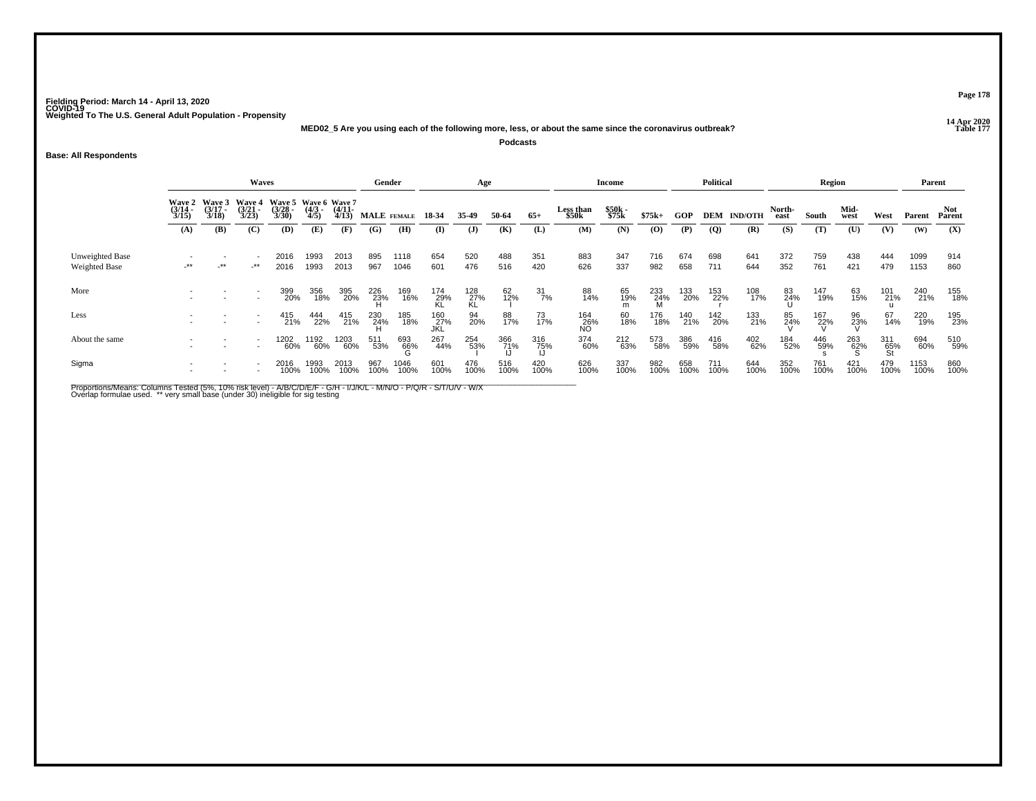**14 Apr 2020 MED02\_5 Are you using each of the following more, less, or about the same since the coronavirus outbreak?Podcasts**

**Base: All Respondents**

|                                         |                       |                                        | Waves                 |                                                      |                     |                       | Gender          |              |                    | Age              |             |                  |                           | <b>Income</b>  |                 |             | <b>Political</b> |                    |                | Region      |              |                  | Parent       |             |
|-----------------------------------------|-----------------------|----------------------------------------|-----------------------|------------------------------------------------------|---------------------|-----------------------|-----------------|--------------|--------------------|------------------|-------------|------------------|---------------------------|----------------|-----------------|-------------|------------------|--------------------|----------------|-------------|--------------|------------------|--------------|-------------|
|                                         | $\frac{(3/14)}{3/15}$ | Wave 2 Wave 3<br>$\frac{(3/17)}{3/18}$ | $\frac{(3/21)}{3/23}$ | Wave 4 Wave 5 Wave 6 Wave 7<br>$\frac{(3/28)}{3/30}$ | $\frac{(4/3)}{4/5}$ | $\frac{(4/11)}{4/13}$ |                 | MALE FEMALE  | 18-34              | 35-49            | 50-64       | $65+$            | <b>Less than</b><br>\$50k | \$50k<br>\$75k | $$75k+$         | GOP         |                  | <b>DEM IND/OTH</b> | North-<br>east | South       | Mid-<br>west | West             | Parent       | Parent      |
|                                         | (A)                   | <b>(B)</b>                             | (C)                   | (D)                                                  | (E)                 | (F)                   | (G)             | (H)          | (I)                | $\mathbf{J}$     | (K)         | (L)              | (M)                       | (N)            | (0)             | (P)         | $\overline{Q}$   | (R)                | (S)            | (T)         | (U)          | (V)              | (W)          | (X)         |
| Unweighted Base<br><b>Weighted Base</b> | -**                   | **                                     | $-***$                | 2016<br>2016                                         | 1993<br>1993        | 2013<br>2013          | 895<br>967      | 1118<br>1046 | 654<br>601         | 520<br>476       | 488<br>516  | 351<br>420       | 883<br>626                | 347<br>337     | 716<br>982      | 674<br>658  | 698<br>711       | 641<br>644         | 372<br>352     | 759<br>761  | 438<br>421   | 444<br>479       | 1099<br>1153 | 914<br>860  |
| More                                    |                       |                                        |                       | 399<br>20%                                           | 356<br>18%          | 395<br>20%            | 226<br>23%<br>H | 169<br>16%   | 174<br>29%<br>KL   | 128<br>27%<br>KL | 62<br>12%   | $\frac{31}{7\%}$ | 88<br>14%                 | 65<br>19%<br>m | 233<br>24%<br>M | 133<br>20%  | 153<br>22%       | 108<br>17%         | 83<br>24%      | 147<br>19%  | 63<br>15%    | 101<br>21%       | 240<br>21%   | 155<br>18%  |
| Less                                    |                       |                                        |                       | 415<br>21%                                           | 444<br>22%          | 415<br>21%            | 230<br>24%      | 185<br>18%   | 160<br>_27%<br>JKL | 94<br>20%        | 88<br>17%   | 73<br>17%        | 164<br>26%<br>NO          | 60<br>18%      | 176<br>18%      | 140<br>21%  | 142<br>20%       | 133<br>21%         | 85<br>24%      | 167<br>22%  | 96<br>23%    | 67<br>14%        | 220<br>19%   | 195<br>23%  |
| About the same                          |                       |                                        |                       | 1202<br>60%                                          | 1192<br>60%         | 1203<br>60%           | 511<br>53%      | 693<br>66%   | 267<br>44%         | 254<br>53%       | 366<br>71%  | 316<br>75%       | 374<br>60%                | 212<br>63%     | 573<br>58%      | 386<br>59%  | 416<br>58%       | 402<br>62%         | 184<br>52%     | 446<br>59%  | 263<br>62%   | 311<br>65%<br>St | 694<br>60%   | 510<br>59%  |
| Sigma                                   |                       |                                        |                       | 2016<br>100%                                         | 1993<br>100%        | 2013<br>100%          | 967<br>100%     | 1046<br>100% | 601<br>100%        | 476<br>100%      | 516<br>100% | 420<br>100%      | 626<br>100%               | 337<br>100%    | 982<br>100%     | 658<br>100% | 711<br>100%      | 644<br>100%        | 352<br>100%    | 761<br>100% | 421<br>100%  | 479<br>100%      | 1153<br>100% | 860<br>100% |

Proportions/Means: Columns Tested (5%, 10% risk level) - A/B/C/D/E/F - G/H - I/J/K/L - M/N/O - P/Q/R - S/T/U/V - W/X<br>Overlap formulae used. \*\* very small base (under 30) ineligible for sig testing

**Page 178**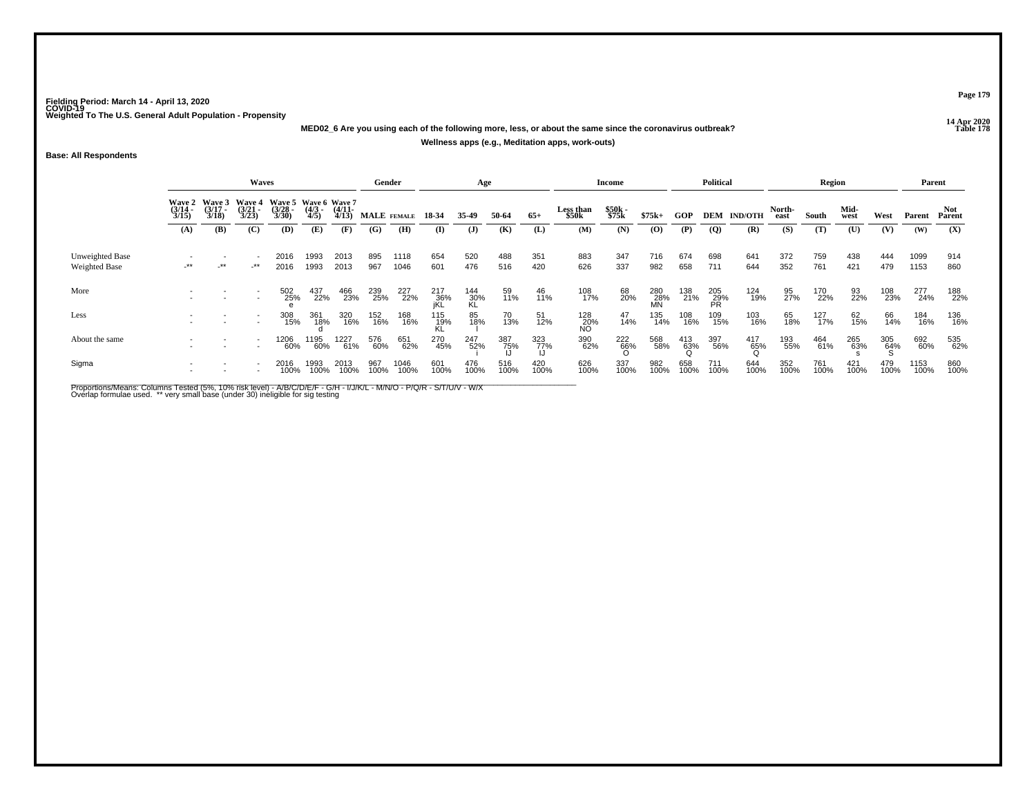**14 Apr 2020 MED02\_6 Are you using each of the following more, less, or about the same since the coronavirus outbreak?**

#### **Wellness apps (e.g., Meditation apps, work-outs)**

**Base: All Respondents**

|                                  |                       |                                        | <b>Waves</b>                           |                                               |                     |                       | Gender      |              |                   | Age                |                  |             |                    | <b>Income</b>   |                  |                 | <b>Political</b> |                    |                | Region      |              |             | Parent       |               |
|----------------------------------|-----------------------|----------------------------------------|----------------------------------------|-----------------------------------------------|---------------------|-----------------------|-------------|--------------|-------------------|--------------------|------------------|-------------|--------------------|-----------------|------------------|-----------------|------------------|--------------------|----------------|-------------|--------------|-------------|--------------|---------------|
|                                  | $\frac{(3/14)}{3/15}$ | Wave 2 Wave 3<br>$\frac{(3/17)}{3/18}$ | <b>Wave 4</b><br>$\frac{(3/21)}{3/23}$ | Wave 5 Wave 6 Wave 7<br>$\frac{(3/28)}{3/30}$ | $\frac{(4/3)}{4/5}$ | $\frac{(4/11)}{4/13}$ | MALE FEMALE |              | 18-34             | 35.49              | 50-64            | $65+$       | Less than<br>\$50k | \$50k<br>\$75k  | $$75k+$          | GOP             |                  | <b>DEM IND/OTH</b> | North-<br>east | South       | Mid-<br>west | West        | Parent       | Not<br>Parent |
|                                  | (A)                   | (B)                                    | (C)                                    | (D)                                           | (E)                 | (F)                   | (G)         | (H)          | (I)               | $\mathbf{J}$       | (K)              | (L)         | (M)                | (N)             | $\bf{(0)}$       | (P)             | $\overline{Q}$   | (R)                | (S)            | (T)         | (U)          | (V)         | (W)          | (X)           |
| Unweighted Base<br>Weighted Base | $-***$                | $\star\star$                           | _**                                    | 2016<br>2016                                  | 1993<br>1993        | 2013<br>2013          | 895<br>967  | 1118<br>1046 | 654<br>601        | 520<br>476         | 488<br>516       | 351<br>420  | 883<br>626         | 347<br>337      | 716<br>982       | 674<br>658      | 698<br>711       | 641<br>644         | 372<br>352     | 759<br>761  | 438<br>421   | 444<br>479  | 1099<br>1153 | 914<br>860    |
| More                             |                       |                                        |                                        | 502<br>25%                                    | 437<br>22%          | 466<br>23%            | 239<br>25%  | 227<br>22%   | 217<br>36%<br>iKL | $^{144}_{30\%}$ KL | 59<br>11%        | 46<br>11%   | 108<br>17%         | 68<br>20%       | 280<br>28%<br>MN | 138<br>21%      | 205<br>29%<br>PR | 124<br>19%         | 95<br>27%      | 170<br>22%  | 93<br>22%    | 108<br>23%  | 277<br>24%   | 188<br>22%    |
| Less                             |                       |                                        |                                        | 308<br>15%                                    | 361<br>18%          | 320<br>16%            | 152<br>16%  | 168<br>16%   | 115<br>_19%<br>KL | 85<br>18%          | 70<br>13%        | 51<br>12%   | 128<br>20%<br>NO   | 47<br>14%       | 135<br>14%       | 108<br>16%      | 109<br>15%       | 103<br>16%         | 65<br>18%      | 127<br>17%  | 62<br>15%    | 66<br>14%   | 184<br>16%   | 136<br>16%    |
| About the same                   |                       |                                        |                                        | 1206<br>60%                                   | 1195<br>60%         | 1227<br>61%           | 576<br>60%  | 651<br>62%   | 270<br>45%        | 247<br>52%         | 387<br>75%<br>IJ | 323<br>77%  | 390<br>62%         | $^{222}_{66\%}$ | 568<br>58%       | 413<br>63%<br>Q | 397<br>56%       | $^{417}_{65\%}$    | 193<br>55%     | 464<br>61%  | 265<br>63%   | 305<br>64%  | 692<br>60%   | 535<br>62%    |
| Sigma                            |                       |                                        |                                        | 2016<br>100%                                  | 1993<br>100%        | 2013<br>100%          | 967<br>100% | 1046<br>100% | 601<br>100%       | 476<br>100%        | 516<br>100%      | 420<br>100% | 626<br>100%        | 337<br>100%     | 982<br>100%      | 658<br>100%     | 711<br>100%      | 644<br>100%        | 352<br>100%    | 761<br>100% | 421<br>100%  | 479<br>100% | 1153<br>100% | 860<br>100%   |

Proportions/Means: Columns Tested (5%, 10% risk level) - A/B/C/D/E/F - G/H - I/J/K/L - M/N/O - P/Q/R - S/T/U/V - W/X<br>Overlap formulae used. \*\* very small base (under 30) ineligible for sig testing

**Page 179**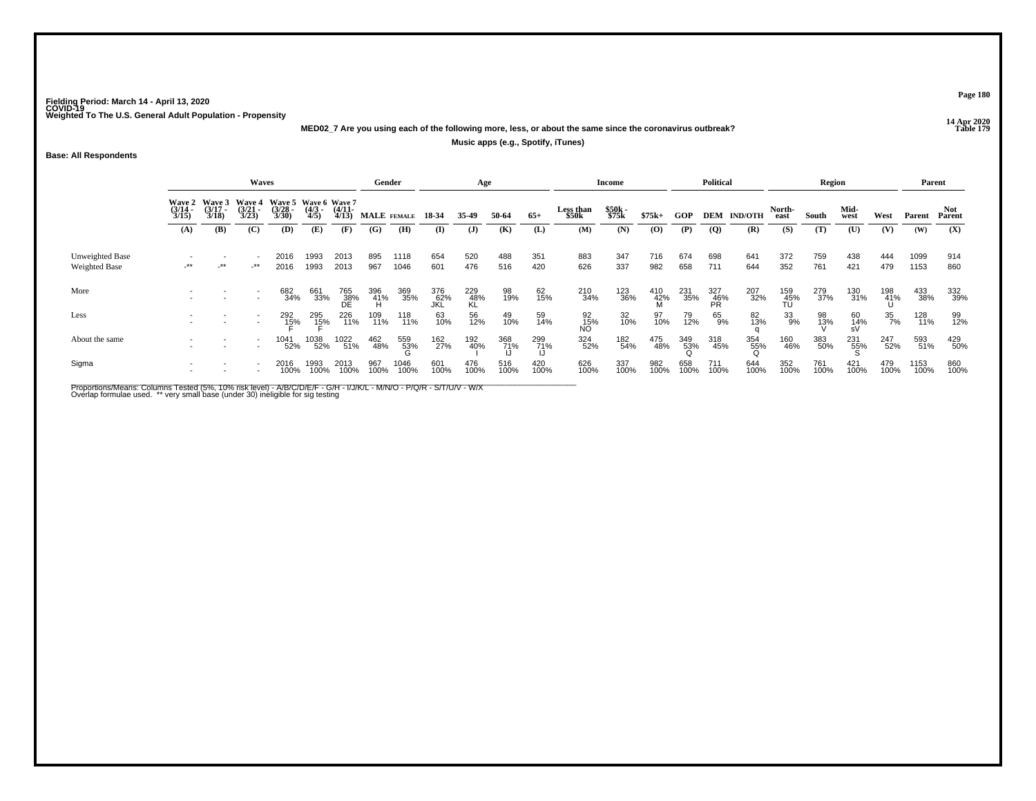**14 Apr 2020 MED02\_7 Are you using each of the following more, less, or about the same since the coronavirus outbreak?**

#### **Music apps (e.g., Spotify, iTunes)**

**Base: All Respondents**

|                                  |                       |                                        | Waves                                  |                                         |                     |                       | Gender      |              |                   | Age              |                  |             |                    | <b>Income</b>  |                   |                 | <b>Political</b> |                    |                  | Region      |                 |                 | Parent       |               |
|----------------------------------|-----------------------|----------------------------------------|----------------------------------------|-----------------------------------------|---------------------|-----------------------|-------------|--------------|-------------------|------------------|------------------|-------------|--------------------|----------------|-------------------|-----------------|------------------|--------------------|------------------|-------------|-----------------|-----------------|--------------|---------------|
|                                  | $\frac{(3/14)}{3/15}$ | Wave 2 Wave 3<br>$\frac{(3/17)}{3/18}$ | <b>Wave 4</b><br>$\frac{(3/21)}{3/23}$ | Wave 5 Wave 6 Wave 7<br>$\frac{3}{230}$ | $\frac{(4/3)}{4/5}$ | $\frac{(4/11)}{4/13}$ | MALE FEMALE |              | 18-34             | 35.49            | 50-64            | $65+$       | Less than<br>\$50k | \$50k<br>\$75k | $$75k+$           | GOP             |                  | <b>DEM IND/OTH</b> | North-<br>east   | South       | Mid-<br>west    | West            | Parent       | Not<br>Parent |
|                                  | (A)                   | <b>(B)</b>                             | (C)                                    | <b>(D)</b>                              | (E)                 | (F)                   | (G)         | (H)          | (I)               | $\mathbf{J}$     | (K)              | (L)         | (M)                | (N)            | $\bf{(0)}$        | (P)             | $\overline{Q}$   | (R)                | (S)              | (T)         | (U)             | (V)             | (W)          | (X)           |
| Unweighted Base<br>Weighted Base | -**                   | $-***$                                 | $-***$                                 | 2016<br>2016                            | 1993<br>1993        | 2013<br>2013          | 895<br>967  | 1118<br>1046 | 654<br>601        | 520<br>476       | 488<br>516       | 351<br>420  | 883<br>626         | 347<br>337     | 716<br>982        | 674<br>658      | 698<br>711       | 641<br>644         | 372<br>352       | 759<br>761  | 438<br>421      | 444<br>479      | 1099<br>1153 | 914<br>860    |
| More                             |                       |                                        |                                        | 682<br>34%                              | 661<br>33%          | 765<br>38%<br>DE      | 396<br>41%  | 369<br>35%   | 376<br>62%<br>JKL | 229<br>48%<br>KL | 98<br>19%        | 62<br>15%   | 210<br>34%         | 123<br>36%     | 410<br>-42%<br>-M | 231<br>35%      | 327<br>46%<br>PR | 207<br>32%         | 159<br>45%<br>TU | 279<br>37%  | 130<br>31%      | 198<br>41%<br>Ս | 433<br>38%   | 332<br>39%    |
| Less                             |                       |                                        |                                        | 292<br>1 <u>5</u> %                     | 295<br>15%          | 226<br>11%            | 109<br>11%  | 118<br>11%   | 63<br>10%         | 56<br>12%        | 49<br>10%        | 59<br>14%   | 92<br>15%<br>NO    | 32<br>10%      | 97<br>10%         | 79<br>12%       | 65<br>9%         | 82<br>13%          | 33<br>9%         | 98<br>13%   | 60<br>14%<br>sV | 35<br>7%        | 128<br>11%   | 99<br>12%     |
| About the same                   |                       |                                        |                                        | 1041<br>52%                             | 1038<br>52%         | 1022<br>51%           | 462<br>48%  | 559<br>53%   | 162<br>27%        | 192<br>40%       | 368<br>71%<br>JJ | 299<br>71%  | 324<br>52%         | 182<br>54%     | 475<br>48%        | 349<br>53%<br>ი | 318<br>45%       | 354<br>55%<br>ဂ    | 160<br>46%       | 383<br>50%  | 231<br>55%      | 247<br>52%      | 593<br>51%   | 429<br>50%    |
| Sigma                            |                       |                                        |                                        | 2016<br>100%                            | 1993<br>100%        | 2013<br>100%          | 967<br>100% | 1046<br>100% | 601<br>100%       | 476<br>100%      | 516<br>100%      | 420<br>100% | 626<br>100%        | 337<br>100%    | 982<br>100%       | 658<br>100%     | 711<br>100%      | 644<br>100%        | 352<br>100%      | 761<br>100% | 421<br>100%     | 479<br>100%     | 1153<br>100% | 860<br>100%   |

Proportions/Means: Columns Tested (5%, 10% risk level) - A/B/C/D/E/F - G/H - I/J/K/L - M/N/O - P/Q/R - S/T/U/V - W/X<br>Overlap formulae used. \*\* very small base (under 30) ineligible for sig testing

**Page 180**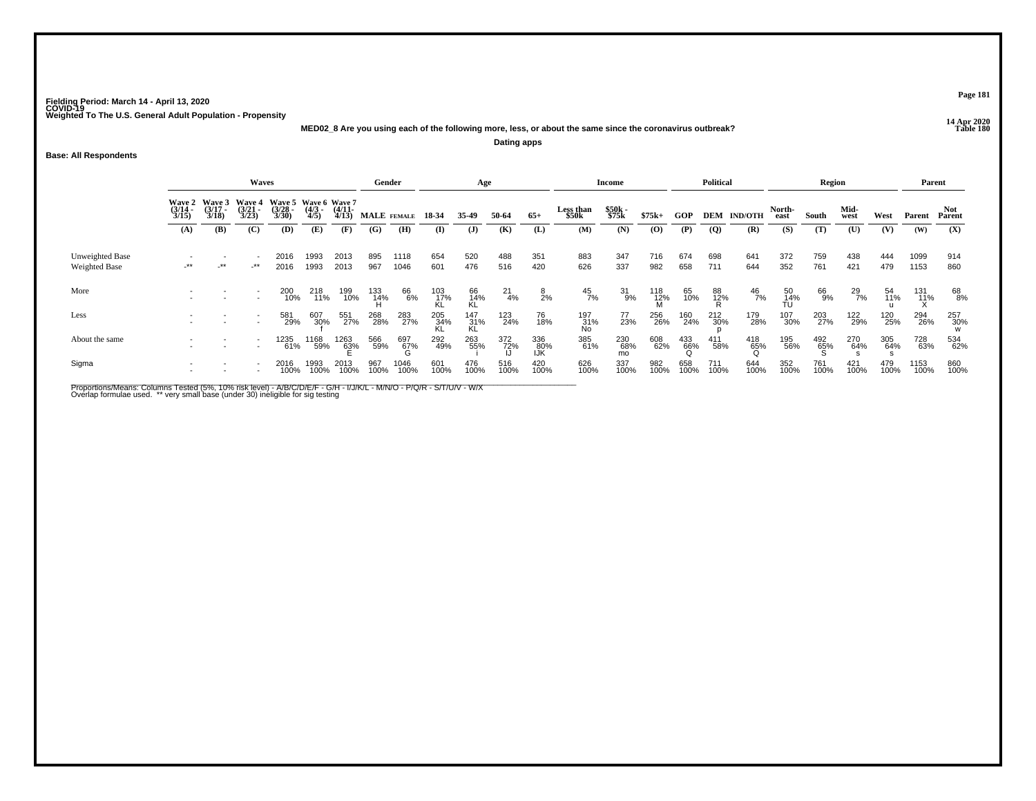**14 Apr 2020 MED02\_8 Are you using each of the following more, less, or about the same since the coronavirus outbreak?Dating apps**

**Base: All Respondents**

|                                  |                       |                                        | Waves                                  |                                               |                     |                       | Gender      |                 |                    | Age               |                  |                   |                           | <b>Income</b>    |                 |                 | <b>Political</b> |                    |                 | Region          |               |             | Parent       |                 |
|----------------------------------|-----------------------|----------------------------------------|----------------------------------------|-----------------------------------------------|---------------------|-----------------------|-------------|-----------------|--------------------|-------------------|------------------|-------------------|---------------------------|------------------|-----------------|-----------------|------------------|--------------------|-----------------|-----------------|---------------|-------------|--------------|-----------------|
|                                  | $\frac{(3/14)}{3/15}$ | Wave 2 Wave 3<br>$\frac{(3/17)}{3/18}$ | <b>Wave 4</b><br>$\frac{(3/21)}{3/23}$ | Wave 5 Wave 6 Wave 7<br>$\frac{(3/28)}{3/30}$ | $\frac{(4/3)}{4/5}$ | $\frac{(4/11)}{4/13}$ | MALE FEMALE |                 | 18-34              | 35.49             | 50-64            | $65+$             | <b>Less than</b><br>\$50k | \$50k<br>\$75k   | $$75k+$         | GOP             |                  | <b>DEM IND/OTH</b> | North-<br>east  | South           | Mid-<br>west  | West        | Parent       | Parent          |
|                                  | (A)                   | (B)                                    | (C)                                    | (D)                                           | (E)                 | (F)                   | (G)         | (H)             | (I)                | $\mathbf{J}$      | (K)              | (L)               | (M)                       | (N)              | (O)             | (P)             | $\overline{Q}$   | (R)                | (S)             | (T)             | (U)           | (V)         | (W)          | (X)             |
| Unweighted Base<br>Weighted Base | $\star\star$          | $\cdot$ **                             | $-***$                                 | 2016<br>2016                                  | 1993<br>1993        | 2013<br>2013          | 895<br>967  | 1118<br>1046    | 654<br>601         | 520<br>476        | 488<br>516       | 351<br>420        | 883<br>626                | 347<br>337       | 716<br>982      | 674<br>658      | 698<br>711       | 641<br>644         | 372<br>352      | 759<br>761      | 438<br>421    | 444<br>479  | 1099<br>1153 | 914<br>860      |
| More                             |                       |                                        |                                        | 200<br>10%                                    | 218<br>11%          | 199<br>10%            | 133<br>14%  | 66<br>6%        | 103<br>_17%<br>_KL | 66<br>14%<br>KL   | $^{21}_{4\%}$    | $\frac{8}{2%}$    | $^{45}_{7\%}$             | $31_{9\%}$       | $^{118}_{12\%}$ | 65<br>10%       | 88<br>12%<br>R   | $^{46}_{7\%}$      | 50<br>14%<br>TU | 66<br>9%        | $^{29}_{7\%}$ | 54<br>11%   | 131<br>11%   | 68<br>8%        |
| Less                             |                       |                                        |                                        | 581<br>29%                                    | 607<br>30%          | 551<br>27%            | 268<br>28%  | 283<br>27%      | 205<br>34%<br>KL   | 147<br>_31%<br>KL | 123<br>24%       | 76<br>18%         | 197<br>31%<br>No          | 77<br>23%        | 256<br>26%      | 160<br>24%      | 212<br>30%       | 179<br>28%         | 107<br>30%      | 203<br>27%      | 122<br>29%    | 120<br>25%  | 294<br>26%   | 257<br>30%<br>w |
| About the same                   |                       |                                        |                                        | 1235<br>61%                                   | 1168<br>59%         | 1263<br>63%           | 566<br>59%  | 697<br>67%<br>G | 292<br>49%         | 263<br>55%        | 372<br>72%<br>JJ | 336<br>80%<br>IJK | 385<br>61%                | 230<br>68%<br>mo | 608<br>62%      | 433<br>66%<br>Q | 411<br>58%       | $^{418}_{65\%}$    | 195<br>56%      | $^{492}_{65\%}$ | 270<br>64%    | 305<br>64%  | 728<br>63%   | 534<br>62%      |
| Sigma                            |                       |                                        |                                        | 2016<br>100%                                  | 1993<br>100%        | 2013<br>100%          | 967<br>100% | 1046<br>100%    | 601<br>100%        | 476<br>100%       | 516<br>100%      | 420<br>100%       | 626<br>100%               | 337<br>100%      | 982<br>100%     | 658<br>100%     | 711<br>100%      | 644<br>100%        | 352<br>100%     | 761<br>100%     | 421<br>100%   | 479<br>100% | 1153<br>100% | 860<br>100%     |

Proportions/Means: Columns Tested (5%, 10% risk level) - A/B/C/D/E/F - G/H - I/J/K/L - M/N/O - P/Q/R - S/T/U/V - W/X<br>Overlap formulae used. \*\* very small base (under 30) ineligible for sig testing

**Page 181**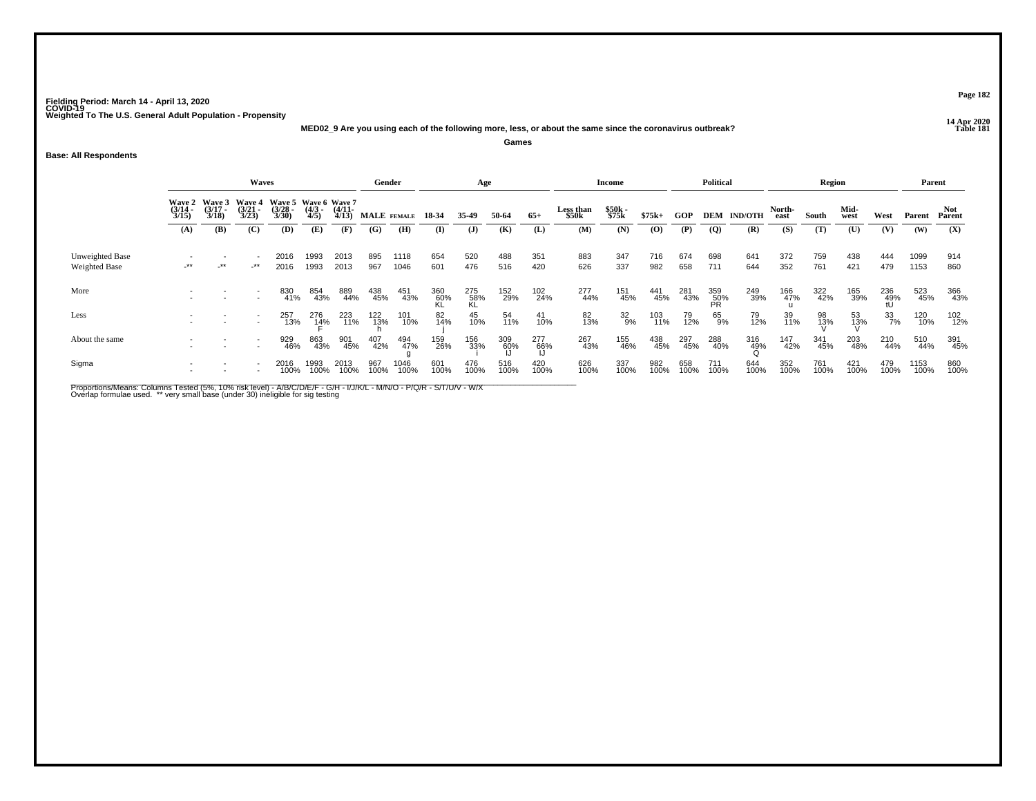**14 Apr 2020 MED02\_9 Are you using each of the following more, less, or about the same since the coronavirus outbreak?**

**Games**

## **Base: All Respondents**

|                                  | <b>Waves</b>          |                                        |                                        |                                               |                     |                       | Gender      |              |                  | Age              |             |                  |                           | <b>Income</b>   |             |             | <b>Political</b> |                    |                | Region      |              |                     | Parent       |               |
|----------------------------------|-----------------------|----------------------------------------|----------------------------------------|-----------------------------------------------|---------------------|-----------------------|-------------|--------------|------------------|------------------|-------------|------------------|---------------------------|-----------------|-------------|-------------|------------------|--------------------|----------------|-------------|--------------|---------------------|--------------|---------------|
|                                  | $\frac{(3/14)}{3/15}$ | Wave 2 Wave 3<br>$\frac{(3/17)}{3/18}$ | <b>Wave 4</b><br>$\frac{(3/21)}{3/23}$ | Wave 5 Wave 6 Wave 7<br>$\frac{(3/28)}{3/30}$ | $\frac{(4/3)}{4/5}$ | $\frac{(4/11)}{4/13}$ | MALE FEMALE |              | 18-34            | 35-49            | 50-64       | $65+$            | <b>Less than</b><br>\$50k | \$50k<br>\$75k  | $$75k+$     | <b>GOP</b>  |                  | <b>DEM IND/OTH</b> | North-<br>east | South       | Mid-<br>west | West                | Parent       | Not<br>Parent |
|                                  | (A)                   | (B)                                    | (C)                                    | (D)                                           | (E)                 | (F)                   | (G)         | (H)          | $($ I            | $\mathbf{J}$     | (K)         | (L)              | (M)                       | (N)             | (0)         | (P)         | $\overline{Q}$   | (R)                | (S)            | (T)         | (U)          | (V)                 | (W)          | (X)           |
| Unweighted Base<br>Weighted Base | $-***$                | $-***$                                 | -**                                    | 2016<br>2016                                  | 1993<br>1993        | 2013<br>2013          | 895<br>967  | 1118<br>1046 | 654<br>601       | 520<br>476       | 488<br>516  | 351<br>420       | 883<br>626                | 347<br>337      | 716<br>982  | 674<br>658  | 698<br>711       | 641<br>644         | 372<br>352     | 759<br>761  | 438<br>421   | 444<br>479          | 1099<br>1153 | 914<br>860    |
| More                             |                       |                                        |                                        | 830<br>41%                                    | 854<br>43%          | 889<br>44%            | 438<br>45%  | 451<br>43%   | 360<br>60%<br>KI | 275<br>58%<br>KL | 152<br>29%  | 102<br>24%       | 277<br>44%                | 151<br>45%      | 441<br>45%  | 281<br>43%  | 359<br>50%<br>PR | 249<br>39%         | 166<br>47%     | 322<br>42%  | 165<br>39%   | 236<br>-49%<br>-tll | 523<br>45%   | 366<br>43%    |
| Less                             |                       |                                        |                                        | 257<br>13%                                    | 276<br>1 <u>4</u> % | 223<br>11%            | 122<br>13%  | 101<br>10%   | 82<br>14%        | 45<br>10%        | 54<br>11%   | 41<br>10%        | 82<br>13%                 | $\frac{32}{9%}$ | 103<br>11%  | 79<br>12%   | 65<br>9%         | 79<br>12%          | 39<br>11%      | 98<br>13%   | 53<br>13%    | 33<br>7%            | 120<br>10%   | 102<br>12%    |
| About the same                   |                       |                                        |                                        | 929<br>46%                                    | 863<br>43%          | 901<br>45%            | 407<br>42%  | 494<br>47%   | 159<br>26%       | 156<br>33%       | 309<br>60%  | 277<br>66%<br>Li | 267<br>43%                | 155<br>46%      | 438<br>45%  | 297<br>45%  | 288<br>40%       | 316<br>49%         | 147<br>42%     | 341<br>45%  | 203<br>48%   | 210<br>44%          | 510<br>44%   | 391<br>45%    |
| Sigma                            |                       |                                        |                                        | 2016<br>100%                                  | 1993<br>100%        | 2013<br>100%          | 967<br>100% | 1046<br>100% | 601<br>100%      | 476<br>100%      | 516<br>100% | 420<br>100%      | 626<br>100%               | 337<br>100%     | 982<br>100% | 658<br>100% | 711<br>100%      | 644<br>100%        | 352<br>100%    | 761<br>100% | 421<br>100%  | 479<br>100%         | 1153<br>100% | 860<br>100%   |

Proportions/Means: Columns Tested (5%, 10% risk level) - A/B/C/D/E/F - G/H - I/J/K/L - M/N/O - P/Q/R - S/T/U/V - W/X<br>Overlap formulae used. \*\* very small base (under 30) ineligible for sig testing

**Page 182**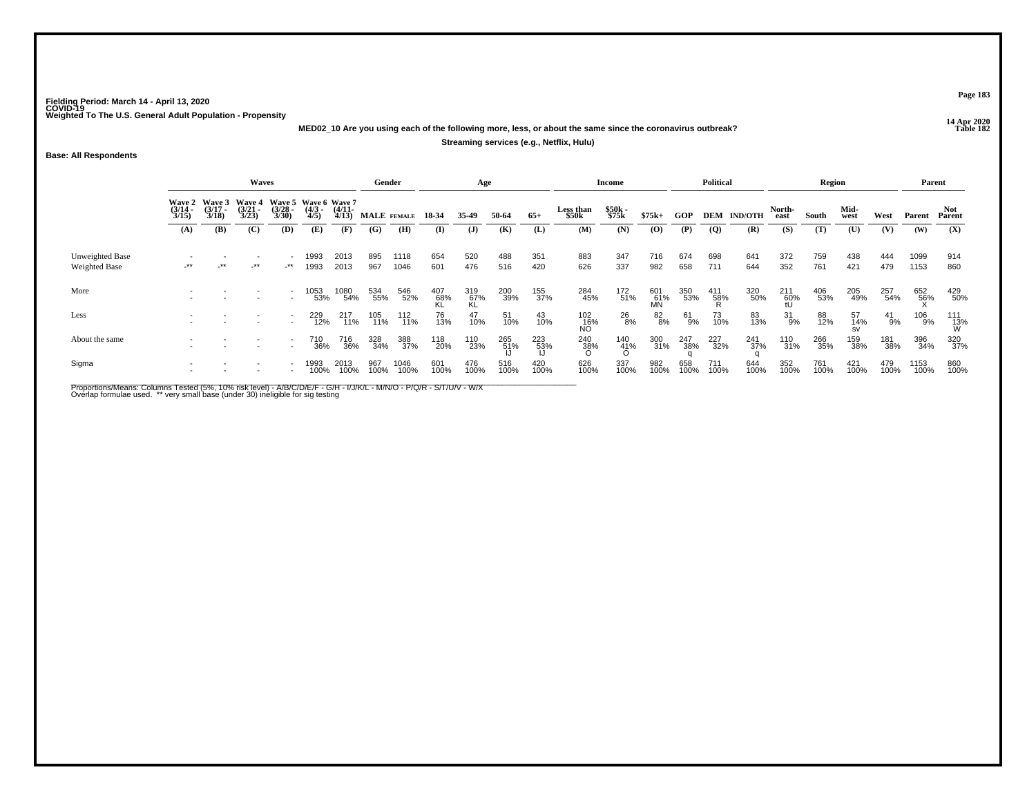**14 Apr 2020 MED02\_10 Are you using each of the following more, less, or about the same since the coronavirus outbreak?**

### **Streaming services (e.g., Netflix, Hulu)**

**Base: All Respondents**

|                      |                                               |                                        | <b>Waves</b>                                  |                              |                                                    |                              | Gender             |                 |                       | Age                   |              |              |                           | Income                |                           |             | Political       |                           |                       | Region       |                        |               | Parent        |                      |
|----------------------|-----------------------------------------------|----------------------------------------|-----------------------------------------------|------------------------------|----------------------------------------------------|------------------------------|--------------------|-----------------|-----------------------|-----------------------|--------------|--------------|---------------------------|-----------------------|---------------------------|-------------|-----------------|---------------------------|-----------------------|--------------|------------------------|---------------|---------------|----------------------|
|                      | <b>Wave 2</b><br>$\frac{(3/14)}{3/15}$<br>(A) | Wave 3<br>$\frac{(3717)}{3/18}$<br>(B) | <b>Wave 4</b><br>$\frac{(3/21)}{3/23}$<br>(C) | $\frac{(3/28)}{3/30}$<br>(D) | Wave 5 Wave 6 Wave 7<br>$\frac{(4/3)}{4/5}$<br>(E) | $\frac{(4/11)}{4/13}$<br>(F) | MALE FEMALE<br>(G) | (H)             | 18-34<br>$\mathbf{I}$ | 35-49<br>( <b>J</b> ) | 50-64<br>(K) | $65+$<br>(L) | Less than<br>\$50k<br>(M) | \$50k<br>\$75k<br>(N) | $$75k+$<br>$\overline{O}$ | GOP<br>(P)  | $\overline{Q}$  | <b>DEM IND/OTH</b><br>(R) | North-<br>east<br>(S) | South<br>(T) | Mid-<br>west<br>(U)    | West<br>(V)   | Parent<br>(W) | Not<br>Parent<br>(X) |
|                      |                                               |                                        |                                               |                              |                                                    |                              |                    |                 |                       |                       |              |              |                           |                       |                           |             |                 |                           |                       |              |                        |               |               |                      |
| Unweighted Base      |                                               |                                        |                                               |                              | 1993                                               | 2013                         | 895                | 1118            | 654                   | 520                   | 488          | 351          | 883                       | 347                   | 716                       | 674         | 698             | 641                       | 372                   | 759          | 438                    | 444           | 1099          | 914                  |
| <b>Weighted Base</b> | $-***$                                        | .∗∗                                    | $-***$                                        | $-***$                       | 1993                                               | 2013                         | 967                | 1046            | 601                   | 476                   | 516          | 420          | 626                       | 337                   | 982                       | 658         | 711             | 644                       | 352                   | 761          | 421                    | 479           | 1153          | 860                  |
| More                 |                                               |                                        |                                               |                              | 1053<br>53%                                        | 1080<br>54%                  | 534<br>55%         | 546<br>52%      | $^{407}_{68\%}$       | 319<br>67%<br>KL      | 200<br>39%   | 155<br>37%   | 284<br>45%                | 172<br>51%            | 601<br>61%<br>MN          | 350<br>53%  | $^{411}_{58\%}$ | 320<br>50%                | 211<br>60%<br>fl      | 406<br>53%   | 205<br>49%             | 257<br>54%    | 652<br>56%    | 429<br>50%           |
| Less                 |                                               |                                        |                                               |                              | 229<br>12%                                         | 217<br>11%                   | 105<br>11%         | $^{112}_{11\%}$ | 76<br>13%             | 47<br>10%             | 51<br>10%    | 43<br>10%    | 102<br>_16%<br>NO         | 26<br>8%              | 82<br>8%                  | 61<br>9%    | 73<br>10%       | 83<br>13%                 | 31<br>9%              | 88<br>12%    | 57<br>14%<br><b>SV</b> | $^{41}_{9\%}$ | 106<br>9%     | $\frac{111}{13\%}$   |
| About the same       |                                               |                                        |                                               | $\overline{\phantom{0}}$     | 710<br>36%                                         | 716<br>36%                   | 328<br>34%         | 388<br>37%      | 118<br>20%            | 110<br>23%            | 265<br>51%   | 223<br>53%   | 240<br>38%<br>ი           | $\frac{140}{41\%}$    | 300<br>31%                | 247<br>38%  | 227<br>32%      | 241<br>37%                | 110<br>31%            | 266<br>35%   | 159<br>38%             | 181<br>38%    | 396<br>34%    | 320<br>37%           |
| Sigma                |                                               |                                        |                                               |                              | 1993<br>100%                                       | 2013<br>100%                 | 967<br>100%        | 1046<br>100%    | 601<br>100%           | 476<br>100%           | 516<br>100%  | 420<br>100%  | 626<br>100%               | 337<br>100%           | 982<br>100%               | 658<br>100% | 711<br>100%     | 644<br>100%               | 352<br>100%           | 761<br>100%  | 421<br>100%            | 479<br>100%   | 1153<br>100%  | 860<br>100%          |

Proportions/Means: Columns Tested (5%, 10% risk level) - A/B/C/D/E/F - G/H - I/J/K/L - M/N/O - P/Q/R - S/T/U/V - W/X<br>Overlap formulae used. \*\* very small base (under 30) ineligible for sig testing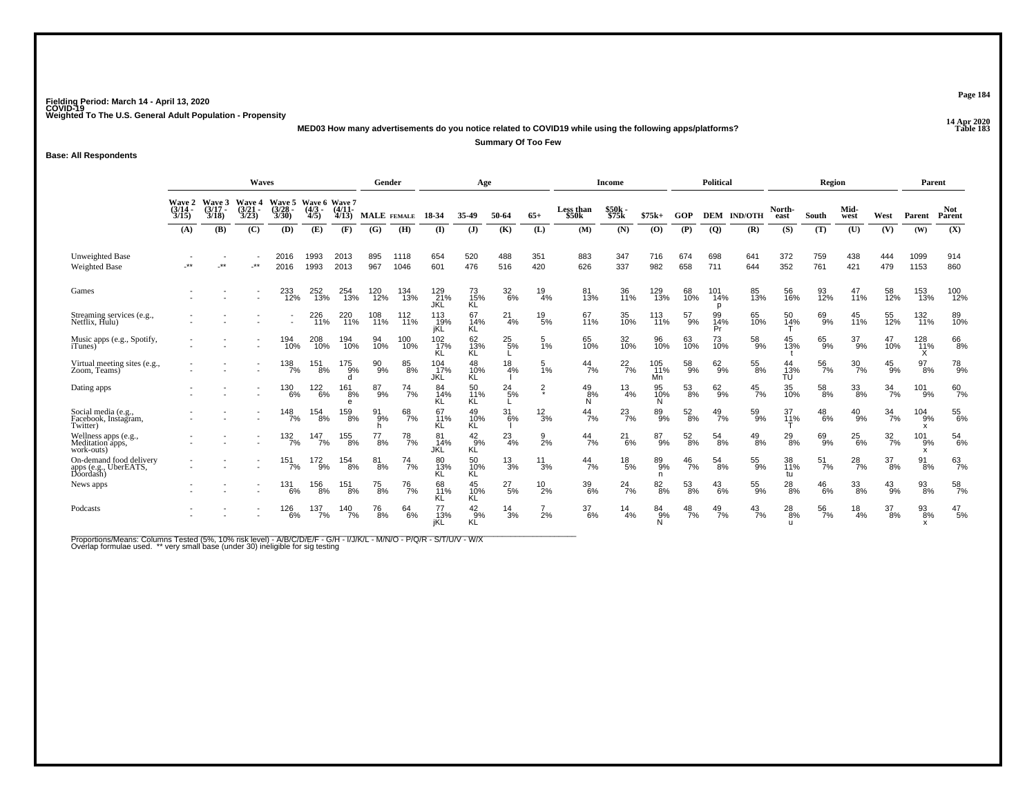**14 Apr 2020 MED03 How many advertisements do you notice related to COVID19 while using the following apps/platforms?**

**Summary Of Too Few**

**Base: All Respondents**

|                                                               | Waves<br>Wave 5 Wave 6 Wave 7                                                                                                                            |              |        |                     |                     |                         | Gender                 |                  |                          | Age                 |                  |                 |                    | Income          |                      |                  | Political           |                |                 | Region           |                  |                  | Parent                                      |                      |
|---------------------------------------------------------------|----------------------------------------------------------------------------------------------------------------------------------------------------------|--------------|--------|---------------------|---------------------|-------------------------|------------------------|------------------|--------------------------|---------------------|------------------|-----------------|--------------------|-----------------|----------------------|------------------|---------------------|----------------|-----------------|------------------|------------------|------------------|---------------------------------------------|----------------------|
|                                                               | Wave 2 Wave 3<br><b>Wave 4</b><br>$\frac{(3/14)}{3/15}$<br>$(3/17 -$<br>$\frac{(3/21)}{3/23}$<br>$\frac{3/28}{3/30}$<br>3/18<br>(B)<br>(C)<br>(D)<br>(A) |              |        |                     | $\frac{(4/3)}{4/5}$ | $\frac{(4/11)}{4/13}$   | <b>MALE</b> FEMALE     |                  | 18-34                    | 35-49               | 50-64            | $65+$           | Less than<br>\$50k | \$50k<br>\$75k  | $$75k+$              | GOP              | <b>DEM</b>          | <b>IND/OTH</b> | North-<br>east  | South            | Mid-<br>west     | West             | Parent                                      | <b>Not</b><br>Parent |
|                                                               |                                                                                                                                                          |              |        |                     | (E)                 | (F)                     | (G)                    | (H)              | $\bf{I}$                 | $($ $)$             | (K)              | (L)             | (M)                | (N)             | (O)                  | (P)              | $\overline{Q}$      | (R)            | (S)             | (T)              | (U)              | (V)              | (W)                                         | (X)                  |
| Unweighted Base<br><b>Weighted Base</b>                       | .**                                                                                                                                                      | $\star\star$ | $.**$  | 2016<br>2016        | 1993<br>1993        | 2013<br>2013            | 895<br>967             | 1118<br>1046     | 654<br>601               | 520<br>476          | 488<br>516       | 351<br>420      | 883<br>626         | 347<br>337      | 716<br>982           | 674<br>658       | 698<br>711          | 641<br>644     | 372<br>352      | 759<br>761       | 438<br>421       | 444<br>479       | 1099<br>1153                                | 914<br>860           |
| Games                                                         |                                                                                                                                                          |              |        | 233<br>12%          | 252<br>13%          | 254<br>13%              | 120<br>12%             | 134<br>13%       | 129<br>21%<br><b>JKL</b> | 73<br>15%<br>ΚL     | $\frac{32}{6\%}$ | 19<br>4%        | 81<br>13%          | 36<br>11%       | 129<br>13%           | 68<br>10%        | 101<br>14%          | 85<br>13%      | 56<br>16%       | 93<br>12%        | $^{47}_{11\%}$   | 58<br>12%        | 153<br>13%                                  | 100<br>12%           |
| Streaming services (e.g., Netflix, Hulu)                      |                                                                                                                                                          |              |        |                     | 226<br>11%          | 220<br>$\frac{1}{11\%}$ | 108<br>11%             | 112<br>11%       | 113<br>19%<br>jKĽ        | 67<br>14%<br>ΚL     | $^{21}_{4\%}$    | $^{19}_{5\%}$   | 67<br>11%          | 35<br>10%       | 113<br>11%           | 57<br>9%         | 99<br>14%<br>Pr     | 65<br>10%      | 50<br>14%       | 69 <sub>9%</sub> | 45<br>11%        | 55<br>12%        | 132<br>11%                                  | 89<br>10%            |
| Music apps (e.g., Spotify,<br><i>i</i> Tunes)                 |                                                                                                                                                          |              |        | 194<br>10%          | 208<br>10%          | 194<br>10%              | 94<br>10%              | 100<br>10%       | 102<br>17%               | 62<br>13%<br>ΚĹ     | $^{25}_{5\%}$    | 5<br>1%         | 65<br>10%          | 32<br>10%       | 96<br>10%            | 63<br>10%        | 73<br>10%           | 58<br>9%       | 45<br>13%       | 65<br>9%         | 37<br>9%         | 47<br>10%        | 128<br>11%<br>⋏                             | 66<br>8%             |
| Virtual meeting sites (e.g., Zoom, Teams)                     |                                                                                                                                                          |              |        | 138<br>7%           | $^{151}_{8\%}$      | $^{175}_{9\%}$<br>d     | 90%                    | $85\over 8\%$    | 104 <sub>0%</sub><br>JKL | 48<br>10%<br>ΚL     | $\frac{18}{4%}$  | $\frac{5}{1\%}$ | $^{44}_{7\%}$      | $^{22}_{7\%}$   | 105<br>11%<br>Mn     | 58<br>9%         | $62\phantom{.}69\%$ | 55<br>8%       | 44<br>13%<br>ΤU | $\frac{56}{7\%}$ | $\frac{30}{7\%}$ | $^{45}_{9\%}$    | $^{97}_{8\%}$                               | <sup>78</sup> 9%     |
| Dating apps                                                   |                                                                                                                                                          |              |        | 130<br>6%           | 122<br>6%           | 161<br>8%<br>e          | 87<br>9%               | 74<br>7%         | 84<br>14%                | 50<br>11%<br>ΚL     | $^{24}_{5\%}$    | $\frac{2}{x}$   | $^{49}_{8\%}$<br>N | $\frac{13}{4%}$ | 95<br>10%            | $^{53}_{\ 8\%}$  | $^{62}_{9\%}$       | $^{45}_{7\%}$  | 35<br>10%       | 58<br>8%         | $\frac{33}{8\%}$ | $\frac{34}{7\%}$ | 101<br>9%                                   | $^{60}_{7\%}$        |
| Social media (e.g.,<br>Facebook, Instagram,<br>Twitter)       |                                                                                                                                                          |              |        | $\frac{148}{7\%}$   | 154<br>8%           | 159<br>8%               | 91<br>9%<br>h          | $^{68}_{7\%}$    | 67<br>11%<br>ΚL          | 49<br>10%<br>ΚL     | $^{31}_{6\%}$    | $^{12}_{3\%}$   | 44<br>7%           | $^{23}_{7\%}$   | 89<br>9%             | $^{52}_{\ 8\%}$  | $^{49}_{7\%}$       | 59<br>9%       | 37<br>11%       | $^{48}_{6\%}$    | $^{40}_{9\%}$    | $\frac{34}{7\%}$ | $^{104}_{9\%}$<br>$\boldsymbol{\mathsf{x}}$ | 55<br>6%             |
| Wellness apps (e.g.,<br>Meditation apps,<br>work-outs)        |                                                                                                                                                          |              | $\sim$ | $\frac{132}{7\%}$   | 147<br>7%           | 155<br>8%               | 77<br>8%               | 78<br>7%         | 81<br>14%<br>JKL         | $^{42}_{9%}$<br>ΚĹ  | 23<br>4%         | 9<br>2%         | 44<br>7%           | 21<br>6%        | 87<br>9%             | $^{52}_{\ 8\%}$  | 54<br>8%            | $^{49}_{8\%}$  | $^{29}_{8\%}$   | 69<br>9%         | $^{25}_{6\%}$    | $\frac{32}{7\%}$ | 101<br>9%<br>x                              | 54<br>6%             |
| On-demand food delivery<br>apps (e.g., UberEATS,<br>Doordash) |                                                                                                                                                          |              |        | $151$ <sub>7%</sub> | $^{172}_{9\%}$      | $^{154}_{8\%}$          | $\substack{81 \\ 8\%}$ | $^{74}$ %        | 80<br>13%<br>ΚL          | 50<br>10%<br>ΚL     | $^{13}_{3\%}$    | $^{11}_{3\%}$   | 44<br>7%           | $^{18}_{\ 5\%}$ | 89 <sub>%</sub><br>n | $\frac{46}{7}$ % | $^{54}_{8\%}$       | $^{55}_{9\%}$  | 38<br>11%<br>tu | $^{51}_{7\%}$    | $^{28}_{7\%}$    | $^{37}_{8\%}$    | $^{91}_{8\%}$                               | $^{63}_{7\%}$        |
| News apps                                                     |                                                                                                                                                          |              |        | 131<br>6%           | 156<br>8%           | 151<br>8%               | 75<br>8%               | <sup>76</sup> 7% | 68<br>11%<br>ΚL          | 45<br>10%<br>ΚL     | 27<br>$-5%$      | 10<br>2%        | 39<br>6%           | 24<br>-7%       | $82_{8\%}$           | 53<br>8%         | 43<br>6%            | 55<br>9%       | $^{28}_{8\%}$   | $^{46}_{6\%}$    | 33<br>8%         | $^{43}_{9\%}$    | 93<br>8%                                    | $\frac{58}{7\%}$     |
| Podcasts                                                      |                                                                                                                                                          |              |        | 126<br>$-6%$        | 137<br>7%           | 140<br>7%               | 76<br>8%               | 64<br>6%         | 77<br>13%<br>jKL         | $^{42}_{9\%}$<br>ΚĹ | 14<br>3%         | 2%              | 37<br>6%           | 14<br>4%        | 84<br>9%<br>N        | 48<br>7%         | 49<br>7%            | 43<br>7%       | 28<br>-8%<br>u  | 56<br>7%         | 18<br>4%         | 37<br>8%         | 93<br>8%<br>$\mathsf{x}$                    | 47<br>5%             |

Proportions/Means: Columns Tested (5%, 10% risk level) - A/B/C/D/E/F - G/H - I/J/K/L - M/N/O - P/Q/R - S/T/U/V - W/X<br>Overlap formulae used. \*\* very small base (under 30) ineligible for sig testing

**Page 184**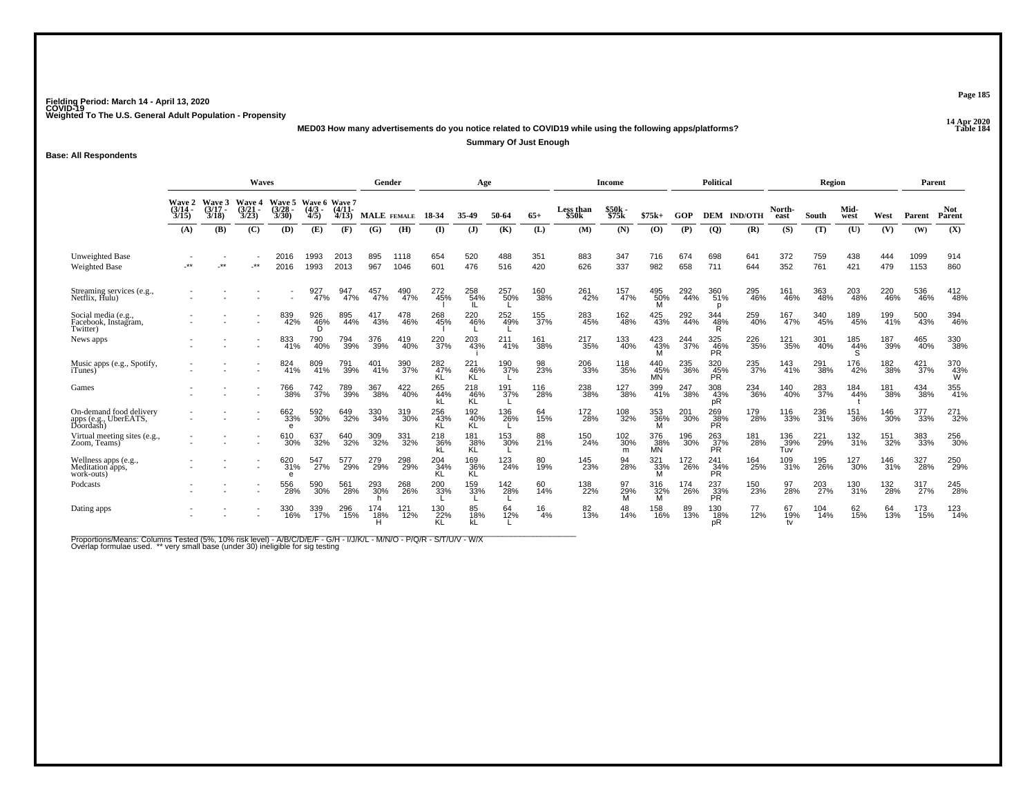**14 Apr 2020 MED03 How many advertisements do you notice related to COVID19 while using the following apps/platforms?**

**Summary Of Just Enough**

**Base: All Respondents**

|                                                         | <b>Waves</b>          |                                 |                                          |                                             |              |                   | Gender          |              |                         | Age              |            |            |                                | <b>Income</b>        |                         |            | <b>Political</b>          |                |                   | Region                 |                               |            | Parent             |                      |
|---------------------------------------------------------|-----------------------|---------------------------------|------------------------------------------|---------------------------------------------|--------------|-------------------|-----------------|--------------|-------------------------|------------------|------------|------------|--------------------------------|----------------------|-------------------------|------------|---------------------------|----------------|-------------------|------------------------|-------------------------------|------------|--------------------|----------------------|
|                                                         | $\frac{(3/14)}{3/15}$ | Wave 2 Wave 3<br>(3/17)<br>3/18 | Wave 4<br>$\frac{3}{2}$<br>$\frac{3}{2}$ | Wave 5 Wave 6 Wave 7<br>$\frac{3/28}{3/30}$ | 4/5)         | $(4/11 -$<br>4/13 | MALE FEMALE     |              | 18-34                   | 35-49            | 50-64      | $65+$      | Less than<br>\$50 <sub>k</sub> | \$50k<br>\$75k       | $$75k+$                 | GOP        | <b>DEM</b>                | <b>IND/OTH</b> | North-<br>east    | South                  | Mid-<br>west                  | West       | Parent             | <b>Not</b><br>Parent |
|                                                         | (A)                   | (B)                             | (C)                                      | (D)                                         | (E)          | (F)               | (G)             | (H)          | (I)                     | (J)              | (K)        | (L)        | (M)                            | (N)                  | (O)                     | (P)        | <b>(Q)</b>                | (R)            | (S)               | (T)                    | (U)                           | (V)        | (W)                | (X)                  |
| <b>Unweighted Base</b><br><b>Weighted Base</b>          | -**                   | .**                             | $.**$                                    | 2016<br>2016                                | 1993<br>1993 | 2013<br>2013      | 895<br>967      | 1118<br>1046 | 654<br>601              | 520<br>476       | 488<br>516 | 351<br>420 | 883<br>626                     | 347<br>337           | 716<br>982              | 674<br>658 | 698<br>711                | 641<br>644     | 372<br>352        | 759<br>761             | 438<br>421                    | 444<br>479 | 1099<br>1153       | 914<br>860           |
| Streaming services (e.g., Netflix, Hulu)                |                       |                                 |                                          |                                             | 927<br>47%   | 947<br>47%        | 457<br>47%      | 490<br>47%   | 272<br>45%              | 258<br>54%       | 257<br>50% | 160<br>38% | 261<br>42%                     | 157<br>47%           | 495<br>50%<br>M         | 292<br>44% | 360<br>51%<br>p           | 295<br>46%     | 161<br>46%        | 363<br>48%             | 203<br>48%                    | 220<br>46% | 536<br>46%         | 412<br>48%           |
| Social media (e.g.,<br>Facebook, Instagram,<br>Twitter) |                       |                                 |                                          | 839<br>42%                                  | 926<br>46%   | 895<br>44%        | 417<br>43%      | 478<br>46%   | 268<br>45%              | 220<br>46%       | 252<br>49% | 155<br>37% | 283<br>45%                     | 162<br>48%           | 425<br>43%              | 292<br>44% | 344<br>48%<br>R           | 259<br>40%     | 167<br>47%        | 340<br>45%             | 189<br>45%                    | 199<br>41% | 500<br>43%         | 394<br>46%           |
| News apps                                               |                       |                                 |                                          | 833<br>41%                                  | 790<br>40%   | 794<br>39%        | 376<br>39%      | 419<br>40%   | 220<br>$\frac{1}{37\%}$ | 203<br>43%       | 211<br>41% | 161<br>38% | 217<br>35%                     | 133<br>40%           | 423<br>43%<br>M         | 244<br>37% | 325<br>46%<br><b>PR</b>   | 226<br>35%     | 121<br>35%        | 301<br>40%             | 185<br>44%                    | 187<br>39% | 465<br>40%         | 330<br>38%           |
| Music apps (e.g., Spotify,<br><i>i</i> Tunes)           |                       |                                 |                                          | 824<br>41%                                  | 809<br>41%   | 791<br>39%        | $^{401}_{41\%}$ | 390<br>37%   | 282%<br>KL              | 221<br>46%<br>KL | 190<br>37% | 98<br>23%  | 206<br>33%                     | 118<br>35%           | 440<br>45%<br><b>MN</b> | 235<br>36% | 320<br>45%<br><b>PR</b>   | 235<br>37%     | 143<br>41%        | 291<br>38%             | 176<br>42%                    | 182<br>38% | $\frac{421}{37\%}$ | 370<br>43%<br>Ŵ      |
| Games                                                   |                       |                                 | $\overline{\phantom{a}}$                 | 766<br>38%                                  | 742<br>37%   | 789<br>39%        | 367<br>38%      | 422<br>40%   | 265<br>44%              | 218<br>46%<br>KĹ | 191<br>37% | 116<br>28% | 238<br>38%                     | 127<br>38%           | 399<br>41%              | 247<br>38% | 308<br>43%<br>рR          | 234<br>36%     | 140<br>40%        | 283<br>37%             | 184<br>44%                    | 181<br>38% | 434<br>38%         | 355<br>41%           |
| On-demand food delivery<br>apps (e.g., UberEATS,        |                       |                                 |                                          | 662<br>33%<br>e                             | 592<br>30%   | 649<br>32%        | 330<br>34%      | 319<br>30%   | 256<br>43%<br>KL        | 192<br>40%<br>KL | 136<br>26% | 64<br>15%  | 172<br>28%                     | 108<br>32%           | 353<br>36%<br>м         | 201<br>30% | 269<br>38%<br><b>PR</b>   | 179<br>28%     | 116<br>33%        | 236<br>31%             | 151<br>36%                    | 146<br>30% | 377<br>33%         | 271<br>32%           |
| Virtual meeting sites (e.g., Zoom, Teams)               |                       |                                 |                                          | 610<br>30%                                  | 637<br>32%   | 640<br>32%        | 309<br>32%      | 331<br>32%   | 218<br>36%<br>kL        | 181<br>38%<br>KL | 153<br>30% | 88<br>21%  | 150<br>24%                     | 102<br>30%<br>m      | 376<br>38%<br><b>MN</b> | 196<br>30% | 263<br>37%<br><b>PR</b>   | 181<br>28%     | 136<br>39%<br>Tuv | 221<br>$\frac{1}{29%}$ | 132<br>31%                    | 151<br>32% | 383<br>33%         | 256<br>30%           |
| Wellness apps (e.g.,<br>Meditation apps,<br>work-outs)  |                       |                                 |                                          | 620<br>31%<br>e                             | 547<br>27%   | 577<br>29%        | 279<br>29%      | 298<br>29%   | 204 34%<br>KL           | 169<br>36%<br>KL | 123<br>24% | 80<br>19%  | 145<br>23%                     | 94<br>28%            | 321<br>33%<br>м         | 172<br>26% | 241<br>34%<br><b>PR</b>   | 164<br>25%     | 109<br>31%        | 195<br>26%             | <sup>127</sup> <sub>30%</sub> | 146<br>31% | 327<br>28%         | 250<br>29%           |
| Podcasts                                                |                       |                                 |                                          | 556<br>28%                                  | 590<br>30%   | 561<br>28%        | 293<br>30%      | 268<br>26%   | 200<br>33%              | 159<br>33%       | 142<br>28% | 60<br>14%  | 138<br>22%                     | 97<br>$\frac{29}{M}$ | 316<br>32%<br>м         | 174<br>26% | 237<br>$\frac{33}{PR}$    | 150<br>23%     | 97<br>28%         | 203<br>$\frac{27}{6}$  | 130<br>31%                    | 132<br>28% | 317<br>27%         | 245<br>28%           |
| Dating apps                                             |                       |                                 |                                          | 330<br>16%                                  | 339<br>17%   | 296<br>15%        | 174<br>18%      | 121<br>12%   | 130<br>22%              | 85<br>18%<br>kĹ  | 64<br>12%  | 16<br>4%   | 82<br>13%                      | 48<br>14%            | 158<br>16%              | 89<br>13%  | 130<br>1 <u>8</u> %<br>pR | 12%            | 67<br>19%<br>tv   | 104<br>14%             | 62<br>15%                     | 64<br>13%  | 173<br>15%         | 123<br>14%           |

Proportions/Means: Columns Tested (5%, 10% risk level) - A/B/C/D/E/F - G/H - I/J/K/L - M/N/O - P/Q/R - S/T/U/V - W/X<br>Overlap formulae used. \*\* very small base (under 30) ineligible for sig testing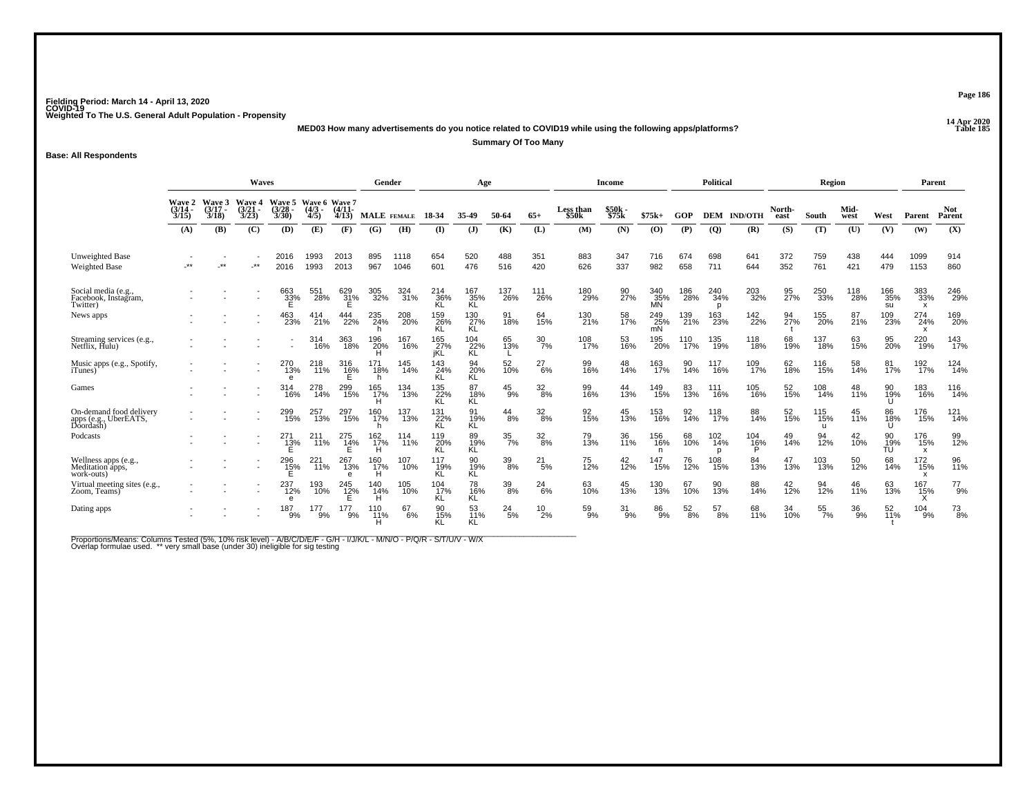**14 Apr 2020 MED03 How many advertisements do you notice related to COVID19 while using the following apps/platforms?**

**Summary Of Too Many**

**Base: All Respondents**

|                                                               | Waves<br>Wave 5 Wave 6 Wave 7          |                |                                        |                 |                     |                             | Gender             |              |                   | Age              |                  |                        |                                | Income         |                  |                 | <b>Political</b> |                      |                | Region                 |                  |                  | Parent           |                      |
|---------------------------------------------------------------|----------------------------------------|----------------|----------------------------------------|-----------------|---------------------|-----------------------------|--------------------|--------------|-------------------|------------------|------------------|------------------------|--------------------------------|----------------|------------------|-----------------|------------------|----------------------|----------------|------------------------|------------------|------------------|------------------|----------------------|
|                                                               | Wave 2 Wave 3<br>$\frac{(3/14)}{3/15}$ | (3/17)<br>3/18 | <b>Wave 4</b><br>$\frac{(3/21)}{3/23}$ | 3/28<br>3/30)   | $\frac{(4/3)}{4/5}$ | $(4/11 -$<br>4/13           | <b>MALE</b> FEMALE |              | 18-34             | 35-49            | 50-64            | $65+$                  | Less than<br>\$50 <sub>k</sub> | \$50k<br>\$75k | $$75k+$          | GOP             | DEM              | <b>IND/OTH</b>       | North-<br>east | South                  | Mid-<br>west     | West             | Parent           | <b>Not</b><br>Parent |
|                                                               | (A)                                    | (B)            | (C)                                    | (D)             | (E)                 | (F)                         | (G)                | (H)          | $\bf{I}$          | $\mathbf{J}$     | (K)              | (L)                    | (M)                            | (N)            | (0)              | (P)             | <b>(Q)</b>       | (R)                  | (S)            | (T)                    | (U)              | (V)              | (W)              | (X)                  |
| <b>Unweighted Base</b><br><b>Weighted Base</b>                | .**                                    | $\star\star$   | $.**$                                  | 2016<br>2016    | 1993<br>1993        | 2013<br>2013                | 895<br>967         | 1118<br>1046 | 654<br>601        | 520<br>476       | 488<br>516       | 351<br>420             | 883<br>626                     | 347<br>337     | 716<br>982       | 674<br>658      | 698<br>711       | 641<br>644           | 372<br>352     | 759<br>761             | 438<br>421       | 444<br>479       | 1099<br>1153     | 914<br>860           |
| Social media (e.g.,<br>Facebook, Instagram,<br>Twitter)       |                                        |                |                                        | 663<br>33%<br>E | 551<br>28%          | 629<br>31%                  | 305<br>32%         | 324<br>31%   | 214<br>36%<br>KL  | 167<br>35%<br>ΚĽ | 137<br>26%       | 111<br>26%             | 180<br>29%                     | 90<br>27%      | 340<br>35%<br>MÑ | 186<br>28%      | 240<br>34%<br>D  | 203<br>32%           | 95<br>27%      | 250<br>33%             | 118<br>28%       | 166<br>35%<br>su | 383<br>33%<br>х  | 246<br>29%           |
| News apps                                                     |                                        |                |                                        | 463<br>23%      | 414<br>21%          | 444<br>22%                  | 235<br>24%         | 208<br>20%   | 159<br>26%        | 130<br>27%<br>KL | 91<br>18%        | 64<br>15%              | 130<br>21%                     | 58<br>17%      | 249<br>25%<br>mN | 139<br>21%      | 163<br>23%       | 142<br>22%           | 94<br>27%      | 155<br>20%             | 87<br><b>21%</b> | 109<br>23%       | 274<br>24%<br>x  | 169<br>20%           |
| Streaming services (e.g.,<br>Netflix, Hulu)                   |                                        |                |                                        |                 | 314<br>16%          | 363<br>18%                  | 196<br>20%         | 167<br>16%   | 165<br>27%<br>jKL | 104<br>22%<br>ΚL | 65<br>13%        | 30<br>7%               | 108<br>17%                     | 53<br>16%      | 195<br>20%       | 110<br>17%      | 135<br>19%       | 118<br>18%           | 68<br>19%      | 137<br>18%             | 63<br>15%        | 95<br>20%        | 220<br>79%       | 143<br>17%           |
| Music apps (e.g., Spotify, iTunes)                            |                                        |                |                                        | 270<br>13%<br>e | 218<br>11%          | $^{316}_{16\%}$             | 171<br>18%         | 145<br>14%   | 143<br>24%<br>ΚL  | 94<br>20%<br>ΚĹ  | 52 <sub>0%</sub> | $^{27}_{6\%}$          | 99<br>16%                      | 48<br>14%      | 163<br>17%       | 90<br>14%       | 117<br>16%       | 109<br>17%           | 62<br>18%      | <sup>116</sup> 15%     | 58<br>14%        | 81<br>17%        | 192 <sub>%</sub> | 124<br>14%           |
| Games                                                         |                                        |                |                                        | 314<br>16%      | 278<br>14%          | 299<br>15%                  | 165<br>17%         | 134<br>13%   | 135<br>22%        | 87<br>18%<br>ΚĹ  | $^{45}_{9\%}$    | 32<br>$\overline{8}$ % | 99<br>16%                      | 44<br>13%      | 149<br>15%       | 83<br>13%       | 111<br>16%       | 105<br>16%           | 52<br>15%      | 108<br>14%             | 48<br>11%        | 90<br>19%<br>U   | 183<br>16%       | 116<br>14%           |
| On-demand food delivery<br>apps (e.g., UberEATS,<br>Doordash) |                                        |                |                                        | 299<br>15%      | 257<br>13%          | 297<br>15%                  | 160<br>17%         | 137<br>13%   | 131<br>22%<br>ΚL  | 91<br>19%<br>ΚĹ  | 44<br>8%         | 32<br>$\overline{8}$ % | 92<br>15%                      | 45<br>13%      | 153<br>16%       | 92<br>14%       | 118<br>17%       | 88<br>14%            | 52<br>15%      | 115<br>15%<br><b>U</b> | 45<br>11%        | 86<br>18%<br>U   | 176<br>15%       | 121<br>14%           |
| Podcasts                                                      |                                        |                |                                        | 271<br>13%<br>E | 211<br>11%          | 275<br>14%                  | 162<br>17%         | 114<br>11%   | 119<br>20%        | 89<br>19%<br>ΚĹ  | $\frac{35}{7\%}$ | $\frac{32}{8\%}$       | 79<br>13%                      | 36<br>11%      | 156<br>16%<br>n  | 68<br>10%       | 102<br>14%<br>n  | $^{104}_{16\%}$<br>Đ | 49<br>14%      | 94<br>12%              | 42<br>10%        | 90<br>19%<br>TU  | 176<br>15%<br>x  | 99<br>12%            |
| Wellness apps (e.g.,<br>Meditation apps,<br>work-outs)        |                                        |                |                                        | $^{296}_{15\%}$ | 221<br>11%          | 267<br>-13%<br>$\mathbf{e}$ | 160<br>17%         | 107<br>10%   | 117<br>19%<br>ΚL  | 90<br>19%<br>ΚĹ  | $\frac{39}{8\%}$ | $^{21}_{5\%}$          | 75<br>12%                      | $^{42}_{12\%}$ | 147<br>15%       | 76<br>12%       | 108<br>15%       | 84<br>13%            | 47<br>13%      | 103<br>13%             | 50<br>12%        | 68<br>14%        | $^{172}_{15\%}$  | 96<br>11%            |
| Virtual meeting sites (e.g., Zoom, Teams)                     |                                        |                |                                        | 237<br>12%<br>e | 193<br>10%          | 245<br>12%                  | 140<br>14%         | 105<br>10%   | 104<br>17%        | 78<br>16%<br>ΚĹ  | 39<br>8%         | 24<br>6%               | 63<br>10%                      | 45<br>13%      | 130<br>13%       | 67<br>10%       | 90<br>13%        | 88<br>14%            | 42<br>12%      | 94<br>12%              | 46<br>11%        | 63<br>13%        | 167<br>15%       | 77<br>9%             |
| Dating apps                                                   |                                        |                |                                        | 187<br>9%       | 177<br>9%           | 177<br>9%                   | 110<br>11%         | 67<br>6%     | 90<br>15%         | 53<br>11%<br>ΚL  | 24<br>5%         | 10<br>2%               | 59<br>9%                       | 31<br>9%       | 86<br>9%         | $^{52}_{\ 8\%}$ | 57<br>8%         | 68<br>11%            | 34<br>10%      | $\frac{55}{7\%}$       | 36<br>9%         | 52<br>11%        | 104<br>9%        | $^{73}_{8\%}$        |

Proportions/Means: Columns Tested (5%, 10% risk level) - A/B/C/D/E/F - G/H - I/J/K/L - M/N/O - P/Q/R - S/T/U/V - W/X<br>Overlap formulae used. \*\* very small base (under 30) ineligible for sig testing

**Page 186**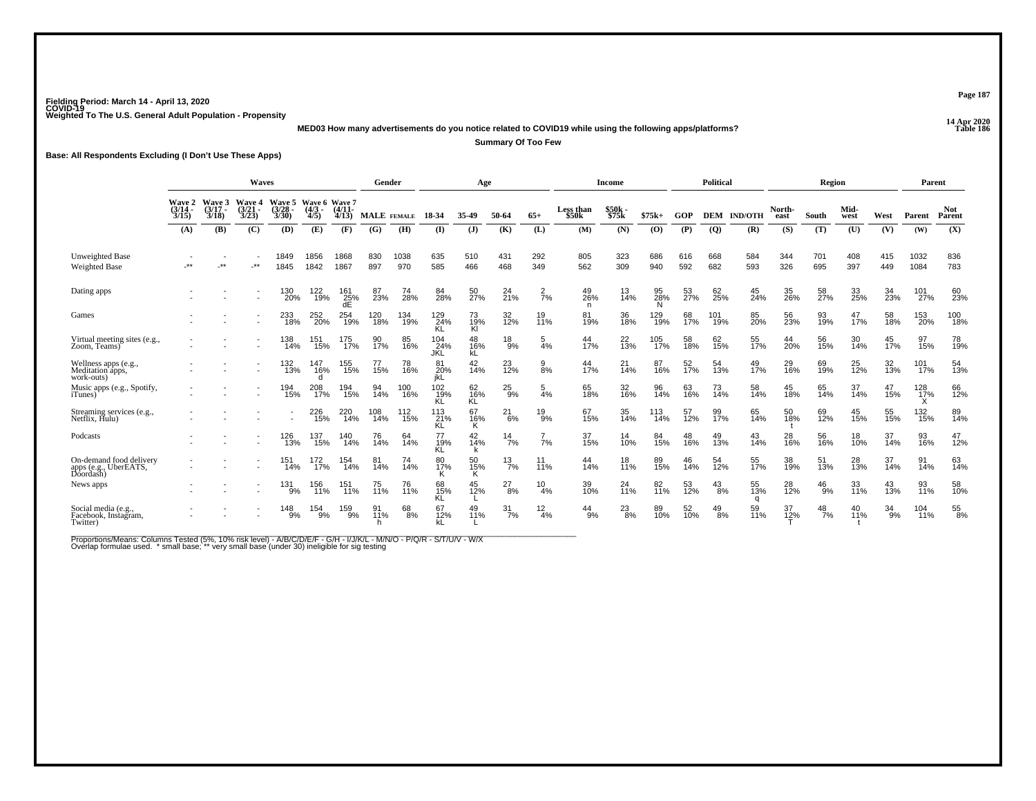**14 Apr 2020 MED03 How many advertisements do you notice related to COVID19 while using the following apps/platforms?**

**Summary Of Too Few**

**Base: All Respondents Excluding (I Don't Use These Apps)**

|                                                               | Waves                           |                                 |                                        |                                        |                                      |                   |             | Gender      |                   | Age             |                       |                  |                    | <b>Income</b>  |                |                 | Political      |                    |                  | Region        |              |                   | Parent                  |                      |
|---------------------------------------------------------------|---------------------------------|---------------------------------|----------------------------------------|----------------------------------------|--------------------------------------|-------------------|-------------|-------------|-------------------|-----------------|-----------------------|------------------|--------------------|----------------|----------------|-----------------|----------------|--------------------|------------------|---------------|--------------|-------------------|-------------------------|----------------------|
|                                                               | Wave 2<br>$\frac{(3/14)}{3/15}$ | Wave 3<br>$\frac{(3/17)}{3/18}$ | <b>Wave 4</b><br>$\frac{(3/21)}{3/23}$ | <b>Wave 5</b><br>$\frac{(3/28)}{3/30}$ | Wave 6 Wave 7<br>$\frac{(4/3)}{4/5}$ | $(4/11 -$<br>4/13 | MALE FEMALE |             | 18-34             | 35-49           | 50-64                 | $65+$            | Less than<br>\$50k | \$50k<br>\$75k | $$75k+$        | GOP             |                | <b>DEM IND/OTH</b> | North-<br>east   | South         | Mid-<br>west | West              | Parent                  | <b>Not</b><br>Parent |
|                                                               | (A)                             | (B)                             | (C)                                    | (D)                                    | (E)                                  | (F)               | (G)         | (H)         | (I)               | ( <b>J</b> )    | (K)                   | (L)              | (M)                | (N)            | (0)            | (P)             | $\overline{Q}$ | (R)                | (S)              | (T)           | (U)          | (V)               | (W)                     | (X)                  |
| Unweighted Base<br><b>Weighted Base</b>                       | $***$                           | $\rightarrow$                   | $\rightarrow$                          | 1849<br>1845                           | 1856<br>1842                         | 1868<br>1867      | 830<br>897  | 1038<br>970 | 635<br>585        | 510<br>466      | 431<br>468            | 292<br>349       | 805<br>562         | 323<br>309     | 686<br>940     | 616<br>592      | 668<br>682     | 584<br>593         | 344<br>326       | 701<br>695    | 408<br>397   | 415<br>449        | 1032<br>1084            | 836<br>783           |
| Dating apps                                                   |                                 |                                 |                                        | 130<br>20%                             | 122<br>19%                           | 161<br>25%<br>dE  | 87<br>23%   | 74<br>28%   | 84<br>28%         | 50<br>27%       | $^{24}_{21\%}$        | $\frac{2}{7}$ %  | 49<br>26%<br>n.    | 13<br>14%      | 95<br>28%<br>N | 53<br>27%       | 62<br>25%      | 45<br>24%          | 35<br>26%        | 58<br>27%     | 33<br>25%    | 34<br>23%         | 101<br>27%              | 60<br>23%            |
| Games                                                         |                                 |                                 |                                        | 233<br>18%                             | 252<br>20%                           | 254<br>19%        | 120<br>18%  | 134<br>19%  | 129<br>24%<br>ΚĽ  | 73<br>19%<br>Kl | 32<br>12%             | 19<br>11%        | 81<br>19%          | 36<br>18%      | 129<br>19%     | 68<br>17%       | 101<br>19%     | 85<br>20%          | 56<br>23%        | 93<br>19%     | 47<br>17%    | 58<br>18%         | 153<br>20%              | 100<br>18%           |
| Virtual meeting sites (e.g.,<br>Zoom, Teams)                  |                                 |                                 |                                        | 138<br>14%                             | 151<br>15%                           | 175<br>17%        | 90<br>17%   | 85<br>16%   | 104<br>24%<br>JKL | 48<br>16%<br>kĹ | $^{18}_{9\%}$         | 5<br>4%          | 44<br>17%          | 22<br>13%      | 105<br>17%     | 58<br>18%       | 62<br>15%      | 55<br>17%          | 44<br>20%        | 56<br>15%     | 30<br>14%    | 45<br>17%         | 97<br>15%               | 78<br>19%            |
| Wellness apps (e.g., Meditation apps,<br>work-outs)           |                                 |                                 |                                        | 132<br>13%                             | 147<br>16%<br>d                      | 155<br>15%        | 77<br>15%   | 78<br>16%   | 81<br>20%<br>jkL  | 42 <sub>%</sub> | 23<br>12%             | $\frac{9}{8%}$   | 44<br>17%          | $^{21}_{14\%}$ | 87<br>16%      | 52 <sub>%</sub> | 54<br>13%      | 49 <sub>0%</sub>   | 29 <sub>0%</sub> | 69<br>19%     | 25<br>12%    | $\frac{32}{13\%}$ | 101<br>17%              | 54<br>13%            |
| Music apps (e.g., Spotify,<br><i>i</i> Tunes)                 |                                 |                                 |                                        | 194<br>15%                             | 208<br>17%                           | 194<br>15%        | 94<br>14%   | 100<br>16%  | 102<br>19%<br>ΚĽ  | 62<br>16%<br>KĹ | $^{25}_{9\%}$         | 5<br>4%          | 65<br>18%          | 32<br>16%      | 96<br>14%      | 63<br>16%       | 73<br>14%      | 58<br>14%          | 45<br>18%        | 65<br>14%     | 37<br>14%    | 47<br>15%         | 128<br>$\frac{1}{17}\%$ | 66<br>12%            |
| Streaming services (e.g., Netflix, Hulu)                      |                                 |                                 |                                        |                                        | 226<br>15%                           | 220<br>14%        | 108<br>14%  | 112<br>15%  | 113<br>21%<br>KL  | 67<br>16%<br>Κ  | $^{21}_{6\%}$         | $^{19}_{9\%}$    | 67<br>15%          | 35<br>14%      | 113<br>14%     | 57<br>12%       | 99<br>17%      | 65<br>14%          | 50<br>18%        | 69<br>12%     | 45<br>15%    | 55<br>15%         | 132<br>15%              | 89<br>14%            |
| Podcasts                                                      |                                 |                                 |                                        | 126<br>13%                             | 137<br>15%                           | 140<br>14%        | 76<br>14%   | 64<br>14%   | 77<br>19%<br>KĹ   | 42<br>14%       | $\frac{14}{7%}$       | 7%               | 37<br>15%          | 14<br>10%      | 84<br>15%      | 48<br>16%       | 49<br>13%      | 43<br>14%          | 28<br>16%        | 56<br>16%     | 18<br>10%    | 37<br>14%         | 93<br>16%               | 47<br>12%            |
| On-demand food delivery<br>apps (e.g., UberEATS,<br>Doordash) |                                 |                                 |                                        | 151<br>14%                             | 172<br>17%                           | 154<br>14%        | 81<br>14%   | 74<br>14%   | 80<br>17%         | 50<br>15%<br>Κ  | $^{13}$ <sub>7%</sub> | 11%              | 44<br>14%          | 18<br>11%      | 89<br>15%      | 46<br>14%       | 54<br>12%      | 55<br>17%          | 38<br>19%        | 51<br>13%     | 28<br>13%    | 37<br>14%         | 91<br>14%               | 63<br>14%            |
| News apps                                                     |                                 |                                 |                                        | 131<br>9%                              | 156<br>11%                           | 151<br>11%        | 75<br>11%   | 76<br>11%   | 68<br>15%<br>KL   | 45<br>12%       | 27<br>8%              | 10<br>4%         | 39<br>10%          | 24<br>11%      | 82<br>11%      | 53<br>12%       | $^{43}_{8\%}$  | 55<br>13%          | 28<br>12%        | $^{46}_{9%}$  | 33<br>11%    | 43<br>13%         | 93<br>11%               | 58<br>10%            |
| Social media (e.g.,<br>Facebook, Instagram,<br>Twitter)       |                                 |                                 |                                        | $^{148}_{9\%}$                         | 154<br>9%                            | 159<br>9%         | 91<br>11%   | 68<br>8%    | 67<br>12%         | 49<br>11%       | $\frac{31}{7\%}$      | $\frac{12}{4\%}$ | $^{44}_{9\%}$      | $^{23}_{8\%}$  | 89<br>10%      | 52<br>10%       | $^{49}_{8\%}$  | 59<br>11%          | 37<br>12%        | $^{48}_{7\%}$ | 40<br>11%    | 34<br>9%          | 104<br>11%              | $\frac{55}{8\%}$     |

Proportions/Means: Columns Tested (5%, 10% risk level) - A/B/C/D/E/F - G/H - I/J/K/L - M/N/O - P/Q/R - S/T/U/V - W/X<br>Overlap formulae used. \*small base; \* very small base (under 30) ineligible for sig testing

**Page 187**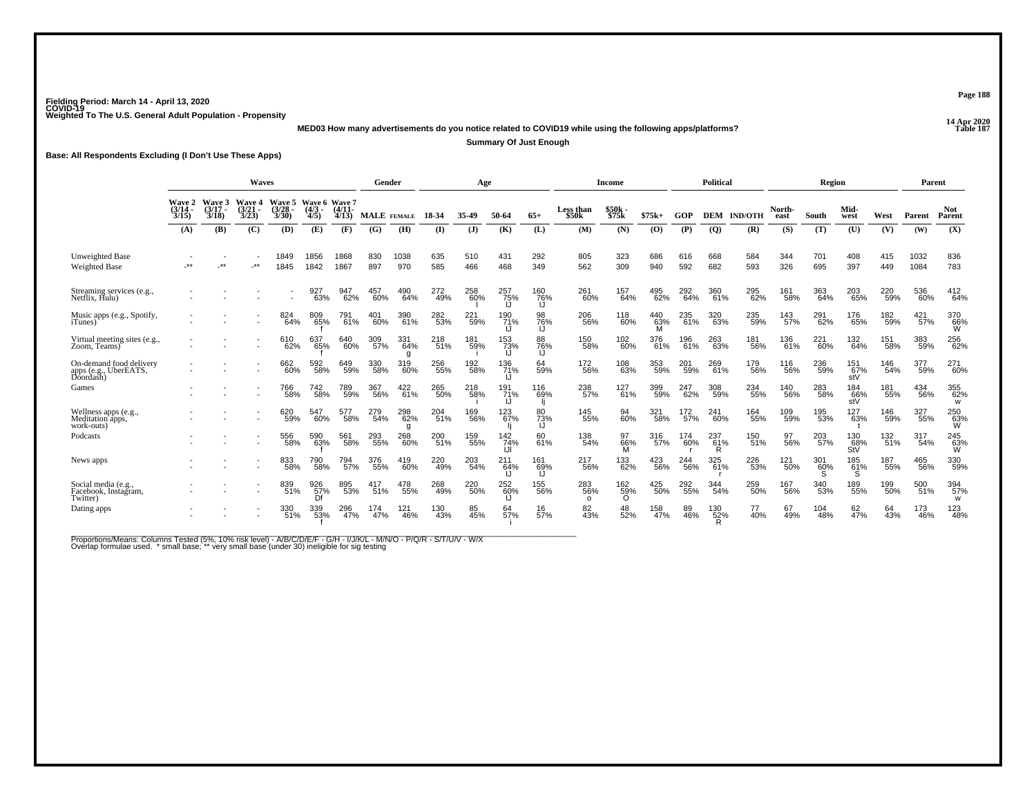**14 Apr 2020 MED03 How many advertisements do you notice related to COVID19 while using the following apps/platforms?**

**Summary Of Just Enough**

**Base: All Respondents Excluding (I Don't Use These Apps)**

|                                                            | Waves                           |                             |                                        |                                        |                                      |                   | Gender      |                 |            | Age        |                   |                 |                                | <b>Income</b>                 |                 |            | <b>Political</b> |                |                | Region          |                   |            | Parent       |                      |
|------------------------------------------------------------|---------------------------------|-----------------------------|----------------------------------------|----------------------------------------|--------------------------------------|-------------------|-------------|-----------------|------------|------------|-------------------|-----------------|--------------------------------|-------------------------------|-----------------|------------|------------------|----------------|----------------|-----------------|-------------------|------------|--------------|----------------------|
|                                                            | Wave 2<br>$\frac{(3/14)}{3/15}$ | Wave 3<br>$(3/17 -$<br>3/18 | <b>Wave 4</b><br>$\frac{(3/21)}{3/23}$ | <b>Wave 5</b><br>$\frac{(3/28)}{3/30}$ | Wave 6 Wave 7<br>$\frac{(4/3)}{4/5}$ | $(4/11 -$<br>4/13 | <b>MALE</b> | <b>FEMALE</b>   | 18-34      | 35-49      | 50-64             | $65+$           | <b>Less than</b><br>\$50k      | \$50k<br>\$75k                | $$75k+$         | GOP        | <b>DEM</b>       | <b>IND/OTH</b> | North-<br>east | South           | Mid-<br>west      | West       | Parent       | <b>Not</b><br>Parent |
|                                                            | (A)                             | (B)                         | (C)                                    | (D)                                    | (E)                                  | (F)               | (G)         | (H)             | (I)        | (J)        | (K)               | (L)             | (M)                            | (N)                           | (0)             | (P)        | $\overline{Q}$   | (R)            | (S)            | (T)             | (U)               | (V)        | (W)          | (X)                  |
| Unweighted Base<br><b>Weighted Base</b>                    |                                 | $**$                        | $^{\star\star}$                        | 1849<br>1845                           | 1856<br>1842                         | 1868<br>1867      | 830<br>897  | 1038<br>970     | 635<br>585 | 510<br>466 | 431<br>468        | 292<br>349      | 805<br>562                     | 323<br>309                    | 686<br>940      | 616<br>592 | 668<br>682       | 584<br>593     | 344<br>326     | 701<br>695      | 408<br>397        | 415<br>449 | 1032<br>1084 | 836<br>783           |
| Streaming services (e.g., Netflix, Hulu)                   |                                 |                             |                                        |                                        | 927<br>63%                           | 947<br>62%        | 457<br>60%  | 490<br>64%      | 272<br>49% | 258<br>60% | 257<br>75%<br>IJ  | 160<br>76%      | 261<br>60%                     | 157<br>64%                    | 495<br>62%      | 292<br>64% | 360<br>61%       | 295<br>62%     | 161<br>58%     | 363<br>64%      | 203<br>65%        | 220<br>59% | 536<br>60%   | 412<br>64%           |
| Music apps (e.g., Spotify,<br><i>i</i> Tunes)              |                                 |                             |                                        | 824<br>64%                             | 809<br>65%                           | 791<br>61%        | 401<br>60%  | 390<br>61%      | 282<br>53% | 221<br>59% | 190<br>71%        | 98<br>76%       | 206<br>56%                     | 118<br>60%                    | 440<br>63%<br>м | 235<br>61% | 320<br>63%       | 235<br>59%     | 143<br>57%     | 291<br>62%      | 176<br>65%        | 182<br>59% | 421<br>57%   | 370<br>66%<br>W      |
| Virtual meeting sites (e.g., Zoom, Teams)                  |                                 |                             |                                        | 610<br>62%                             | 637<br>65%                           | 640<br>60%        | 309<br>57%  | 331<br>64%<br>g | 218<br>51% | 181<br>59% | 153<br>73%<br>IJ  | 88<br>76%       | 150<br>58%                     | 102<br>60%                    | 376<br>61%      | 196<br>61% | 263<br>63%       | 181<br>56%     | 136<br>61%     | 221<br>60%      | 132<br>64%        | 151<br>58% | 383<br>59%   | 256<br>62%           |
| On-demand food delivery<br>apps (e.g., UberEATS, Doordash) |                                 |                             |                                        | 662<br>60%                             | 592<br>58%                           | 649<br>59%        | 330<br>58%  | 319<br>60%      | 256<br>55% | 192<br>58% | 136 71%<br>IJ     | 64<br>59%       | <sup>172</sup> <sub>56</sub> % | 108<br>63%                    | 353<br>59%      | 201<br>59% | 269<br>61%       | 179<br>56%     | 116<br>56%     | 236<br>59%      | 151<br>67%<br>stV | 146<br>54% | 377<br>59%   | 271<br>60%           |
| Games                                                      |                                 |                             |                                        | 766<br>58%                             | 742<br>58%                           | 789<br>59%        | 367<br>56%  | 422<br>61%      | 265<br>50% | 218<br>58% | 191<br>71%<br>IJ  | 116<br>69%      | 238<br>57%                     | 127<br>61%                    | 399<br>59%      | 247<br>62% | 308<br>59%       | 234<br>55%     | 140<br>56%     | 283<br>58%      | 184<br>66%<br>stV | 181<br>55% | 434<br>56%   | 355<br>62%<br>W      |
| Wellness apps (e.g.,<br>Meditation apps,<br>work-outs)     |                                 |                             |                                        | 620<br>59%                             | 547<br>60%                           | 577<br>58%        | 279<br>54%  | 298<br>62%<br>g | 204<br>51% | 169<br>56% | 123<br>67%        | 80<br>73%<br>IJ | 145<br>55%                     | 94<br>60%                     | 321<br>58%      | 172<br>57% | 241<br>60%       | 164<br>55%     | 109<br>59%     | 195<br>53%      | 127<br>63%        | 146<br>59% | 327<br>55%   | 250<br>63%<br>W      |
| Podcasts                                                   |                                 |                             |                                        | 556<br>58%                             | 590<br>63%                           | 561<br>58%        | 293<br>55%  | 268<br>60%      | 200<br>51% | 159<br>55% | 142<br>74%<br>IJI | 60<br>61%       | 138<br>54%                     | 97<br>66%<br>M                | 316<br>57%      | 174<br>60% | 237<br>61%<br>R  | 150<br>51%     | 97<br>56%      | 203<br>57%      | 130<br>68%<br>StV | 132<br>51% | 317<br>54%   | $^{245}_{63\%}$      |
| News apps                                                  |                                 |                             |                                        | 833<br>58%                             | 790<br>58%                           | 794<br>57%        | 376<br>55%  | 419<br>60%      | 220<br>49% | 203<br>54% | 211<br>64%        | 161<br>69%      | 217<br>56%                     | 133<br>62%                    | 423<br>56%      | 244<br>56% | 325<br>61%       | 226<br>53%     | 121<br>50%     | 301<br>60%<br>S | 185<br>61%        | 187<br>55% | 465<br>56%   | 330<br>59%           |
| Social media (e.g.,<br>Facebook, Instagram,<br>Twitter)    |                                 |                             |                                        | 839<br>51%                             | 926<br>57%                           | 895<br>53%        | 417<br>51%  | 478<br>55%      | 268<br>49% | 220<br>50% | 252<br>60%        | 155<br>56%      | 283<br>56%<br>$\Omega$         | $^{162}_{\substack{59\%\\0}}$ | 425<br>50%      | 292<br>55% | 344<br>54%       | 259<br>50%     | 167<br>56%     | 340<br>53%      | 189<br>55%        | 199<br>50% | 500<br>51%   | 394<br>57%<br>W      |
| Dating apps                                                |                                 |                             |                                        | 330<br>51%                             | 339<br>53%                           | 296<br>47%        | 174<br>47%  | 121<br>46%      | 130<br>43% | 85<br>45%  | 64<br>57%         | 16<br>57%       | 82<br>43%                      | 48<br>52%                     | 158<br>47%      | 89<br>46%  | 130<br>52%<br>R  | 40%            | 67<br>49%      | 104<br>48%      | 62<br>47%         | 64<br>43%  | 173<br>46%   | 123<br>48%           |

Proportions/Means: Columns Tested (5%, 10% risk level) - A/B/C/D/E/F - G/H - I/J/K/L - M/N/O - P/Q/R - S/T/U/V - W/X<br>Overlap formulae used. \*small base; \* very small base (under 30) ineligible for sig testing

**Page 188**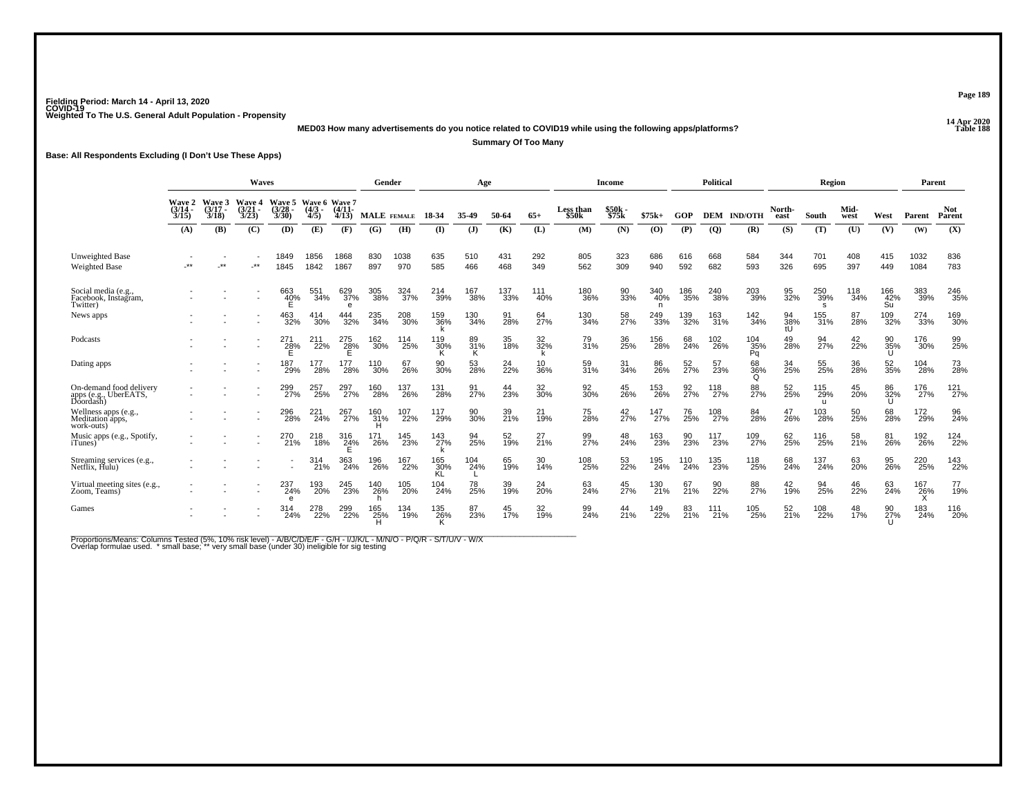**14 Apr 2020 MED03 How many advertisements do you notice related to COVID19 while using the following apps/platforms?**

**Summary Of Too Many**

**Base: All Respondents Excluding (I Don't Use These Apps)**

|                                                            | Waves<br><b>Wave 5</b><br>Wave 3<br>Wave 4 |                                      |                       |                       |               |                         | Gender     |             |                  | Age                |                |            |            | Income            |                 |                 | <b>Political</b> |                  |                 | Region          |                      |                  | Parent       |            |
|------------------------------------------------------------|--------------------------------------------|--------------------------------------|-----------------------|-----------------------|---------------|-------------------------|------------|-------------|------------------|--------------------|----------------|------------|------------|-------------------|-----------------|-----------------|------------------|------------------|-----------------|-----------------|----------------------|------------------|--------------|------------|
|                                                            | Wave 2<br>$\frac{(3/14)}{3/15}$            | Wave 6 Wave 7<br>$\frac{(4/3)}{4/5}$ | $\frac{(4/11)}{4/13}$ | <b>MALE</b>           | <b>FEMALE</b> | 18-34                   | 35-49      | 50-64       | $65+$            | Less than<br>\$50k | \$50k<br>\$75k | $$75k+$    | GOP        | <b>DEM</b>        | <b>IND/OTH</b>  | North-<br>east  | South            | Mid-<br>west     | West            | Parent          | <b>Not</b><br>Parent |                  |              |            |
|                                                            | (A)                                        | (B)                                  | (C)                   | (D)                   | (E)           | (F)                     | (G)        | (H)         | (I)              | ( <b>J</b> )       | (K)            | (L)        | (M)        | (N)               | (0)             | (P)             | $\overline{Q}$   | (R)              | (S)             | (T)             | (U)                  | (V)              | (W)          | (X)        |
| <b>Unweighted Base</b><br><b>Weighted Base</b>             | $**$                                       | $**$                                 | $***$                 | 1849<br>1845          | 1856<br>1842  | 1868<br>1867            | 830<br>897 | 1038<br>970 | 635<br>585       | 510<br>466         | 431<br>468     | 292<br>349 | 805<br>562 | 323<br>309        | 686<br>940      | 616<br>592      | 668<br>682       | 584<br>593       | 344<br>326      | 701<br>695      | 408<br>397           | 415<br>449       | 1032<br>1084 | 836<br>783 |
| Social media (e.g.,<br>Facebook, Instagram,<br>Twitter)    |                                            |                                      |                       | 663<br>40%            | 551<br>34%    | 629<br>37%<br>e         | 305<br>38% | 324<br>37%  | $^{214}_{39\%}$  | 167<br>38%         | 137<br>33%     | 111<br>40% | 180<br>36% | 90<br>33%         | 340<br>40%<br>n | 186<br>35%      | 240<br>38%       | 203<br>39%       | 95<br>32%       | 250<br>39%<br>s | 118<br>34%           | 166<br>42%<br>Su | 383<br>39%   | 246<br>35% |
| News apps                                                  |                                            |                                      |                       | 463<br>32%            | 414<br>30%    | 444<br>32%              | 235<br>34% | 208<br>30%  | 159<br>36%       | 130<br>34%         | 91<br>28%      | 64<br>27%  | 130<br>34% | 58<br>27%         | 249<br>33%      | 139<br>32%      | 163<br>31%       | 142<br>34%       | 94<br>38%<br>tŪ | 155<br>31%      | 87<br>28%            | 109<br>32%       | 274<br>33%   | 169<br>30% |
| Podcasts                                                   |                                            |                                      |                       | 271<br>$\frac{28}{E}$ | 211<br>22%    | 275<br>28%              | 162<br>30% | 114<br>25%  | 119<br>30%       | 89<br>31%          | 35<br>18%      | 32<br>32%  | 79<br>31%  | 36<br>25%         | 156<br>28%      | 68<br>24%       | 102<br>26%       | 104<br>35%<br>Pq | 49<br>28%       | 94<br>27%       | 42<br>22%            | 90<br>35%<br>U   | 176<br>30%   | 99<br>25%  |
| Dating apps                                                |                                            |                                      |                       | 187<br>29%            | 177<br>28%    | 177<br>$^{\degree}28\%$ | 110<br>30% | 67<br>26%   | 90<br>30%        | 53<br>28%          | 24<br>22%      | 10<br>36%  | 59<br>31%  | $\frac{31}{34\%}$ | 86 <sub>%</sub> | 52 <sub>%</sub> | 57<br>23%        | 68<br>36%<br>Q   | 34<br>25%       | 55 <sub>%</sub> | 36<br>28%            | 52<br>35%        | 104<br>28%   | 73<br>28%  |
| On-demand food delivery<br>apps (e.g., UberEATS, Doordash) |                                            |                                      |                       | 299<br>27%            | 257<br>25%    | 297<br>27%              | 160<br>28% | 137<br>26%  | 131<br>28%       | 91<br>27%          | 44<br>23%      | 32<br>30%  | 92<br>30%  | 45<br>26%         | 153<br>26%      | 92<br>27%       | 118<br>27%       | 88<br>27%        | 52<br>25%       | 115<br>29%<br>u | 45<br>20%            | 86<br>32%<br>U   | 176<br>27%   | 121<br>27% |
| Wellness apps (e.g.,<br>Meditation apps,<br>work-outs)     |                                            |                                      |                       | 296<br>28%            | 221<br>24%    | 267<br>27%              | 160<br>31% | 107<br>22%  | 117<br>29%       | 90<br>30%          | 39<br>21%      | 21<br>19%  | 75<br>28%  | 42<br>27%         | 147<br>27%      | 76<br>25%       | 108<br>27%       | 84<br>28%        | 47<br>26%       | 103<br>28%      | 50<br>25%            | 68<br>28%        | 172<br>29%   | 96<br>24%  |
| Music apps (e.g., Spotify,<br><i>i</i> Tunes)              |                                            |                                      |                       | 270<br>21%            | 218<br>18%    | 316<br>24%              | 171<br>26% | 145<br>23%  | 143<br>27%       | 94<br>25%          | 52<br>19%      | 27<br>21%  | 99<br>27%  | 48<br>24%         | 163<br>23%      | 90<br>23%       | 117<br>23%       | 109<br>27%       | 62<br>25%       | 116<br>25%      | 58<br>21%            | 81<br>26%        | 192<br>26%   | 124<br>22% |
| Streaming services (e.g., Netflix, Hulu)                   |                                            |                                      |                       |                       | 314<br>21%    | 363<br>24%              | 196<br>26% | 167<br>22%  | 165<br>30%<br>KL | 104<br>24%         | 65<br>19%      | 30<br>14%  | 108<br>25% | 53<br>22%         | 195<br>24%      | 110<br>24%      | 135<br>23%       | 118<br>25%       | 68<br>24%       | 137<br>24%      | 63<br>20%            | 95<br>26%        | 220<br>25%   | 143<br>22% |
| Virtual meeting sites (e.g.,<br>Zoom, Teams)               |                                            |                                      |                       | 237<br>24%<br>e       | 193<br>20%    | 245<br>23%              | 140<br>26% | 105<br>20%  | 104<br>24%       | 78<br>25%          | 39<br>19%      | 24<br>20%  | 63<br>24%  | 45<br>27%         | 130<br>21%      | 67<br>21%       | 90<br>22%        | 88<br>27%        | 42<br>19%       | 94<br>25%       | 46<br>22%            | 63<br>24%        | 167<br>26%   | 77<br>19%  |
| Games                                                      |                                            |                                      |                       | 314<br>24%            | 278<br>22%    | 299<br>22%              | 165<br>25% | 134<br>19%  | 135<br>26%       | 87<br>23%          | 45<br>17%      | 32<br>19%  | 99<br>24%  | 44<br>21%         | 149<br>22%      | 83<br>21%       | 111<br>21%       | 105<br>25%       | 52<br>21%       | 108<br>22%      | 48<br>17%            | 27%<br>U         | 183<br>24%   | 116<br>20% |

Proportions/Means: Columns Tested (5%, 10% risk level) - A/B/C/D/E/F - G/H - I/J/K/L - M/N/O - P/Q/R - S/T/U/V - W/X<br>Overlap formulae used. \*small base; \* very small base (under 30) ineligible for sig testing

**Page 189**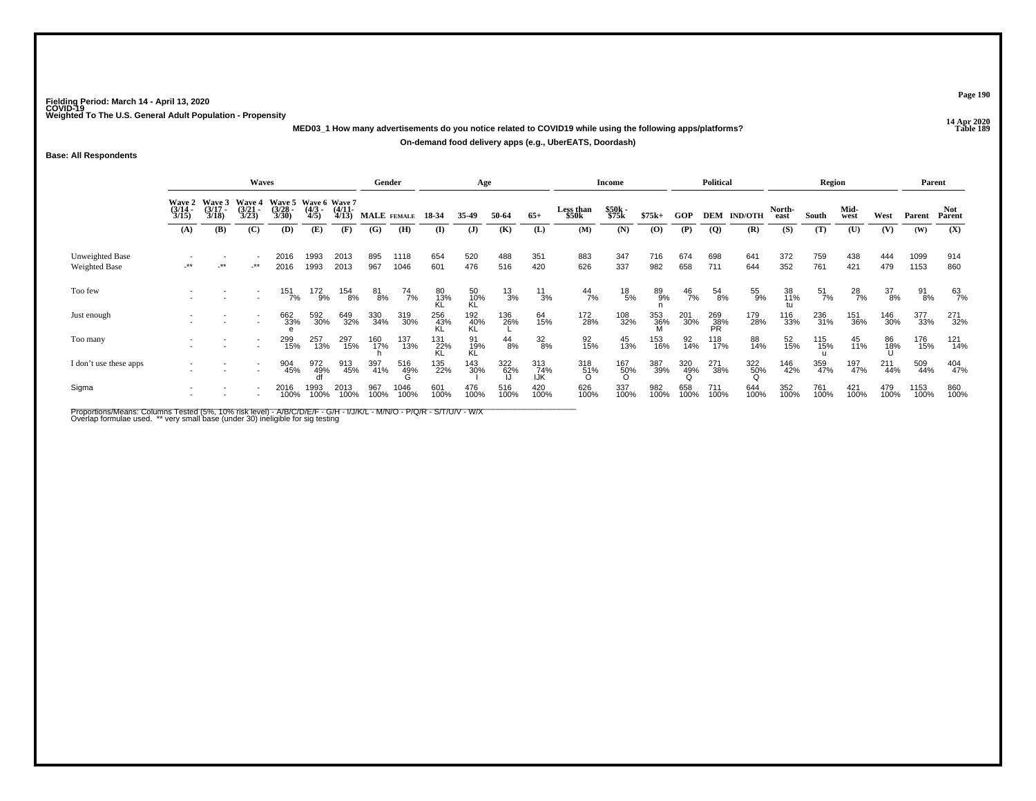**14 Apr 2020 MED03\_1 How many advertisements do you notice related to COVID19 while using the following apps/platforms?On-demand food delivery apps (e.g., UberEATS, Doordash)**

**Base: All Respondents**

|                                         | Waves                                  |                                 |                                        |                                               |                     |                       | Gender          |               |                  | Age              |               |                                |                    | Income          |             |                 | <b>Political</b> |                |                | Region           |                  |                  | Parent       |               |
|-----------------------------------------|----------------------------------------|---------------------------------|----------------------------------------|-----------------------------------------------|---------------------|-----------------------|-----------------|---------------|------------------|------------------|---------------|--------------------------------|--------------------|-----------------|-------------|-----------------|------------------|----------------|----------------|------------------|------------------|------------------|--------------|---------------|
|                                         | <b>Wave 2</b><br>$\frac{(3/14)}{3/15}$ | Wave 3<br>$\frac{(3/17)}{3/18}$ | <b>Wave 4</b><br>$\frac{(3/21)}{3/23}$ | Wave 5 Wave 6 Wave 7<br>$\frac{(3/28)}{3/30}$ | $\frac{(4/3)}{4/5}$ | $\frac{(4/11)}{4/13}$ | MALE FEMALE     |               | 18-34            | 35-49            | 50-64         | $65+$                          | Less than<br>\$50k | \$50k<br>\$75k  | $$75k+$     | GOP             | DEM              | <b>IND/OTH</b> | North-<br>east | South            | Mid-<br>west     | West             | Parent       | Not<br>Parent |
|                                         | (A)                                    | (B)                             | (C)                                    | (D)                                           | (E)                 | (F)                   | (G)             | (H)           | (I)              | $\mathbf{J}$     | (K)           | (L)                            | (M)                | (N)             | (0)         | (P)             | $\overline{Q}$   | (R)            | (S)            | (T)              | (U)              | (V)              | (W)          | (X)           |
| Unweighted Base<br><b>Weighted Base</b> | $\star\star$                           | $-***$                          | $-***$                                 | 2016<br>2016                                  | 1993<br>1993        | 2013<br>2013          | 895<br>967      | 1118<br>1046  | 654<br>601       | 520<br>476       | 488<br>516    | 351<br>420                     | 883<br>626         | 347<br>337      | 716<br>982  | 674<br>658      | 698<br>711       | 641<br>644     | 372<br>352     | 759<br>761       | 438<br>421       | 444<br>479       | 1099<br>1153 | 914<br>860    |
| Too few                                 |                                        |                                 |                                        | 151<br>7%                                     | $^{172}_{9\%}$      | 154<br>8%             | $\frac{81}{8%}$ | $^{74}_{7\%}$ | 80<br>13%<br>KL  | 50<br>10%<br>KL  | $^{13}_{3\%}$ | $^{11}_{3\%}$                  | $^{44}_{7\%}$      | $^{18}_{\ 5\%}$ | 89<br>9%    | $^{46}_{7\%}$   | 54<br>8%         | 55<br>9%       | 38<br>11%      | $\frac{51}{7\%}$ | $^{28}_{7\%}$    | $\frac{37}{8\%}$ | 91<br>8%     | 63<br>7%      |
| Just enough                             |                                        |                                 |                                        | 662<br>33%                                    | 592<br>30%          | 649<br>32%            | 330<br>34%      | 319<br>30%    | 256<br>43%<br>KL | 192<br>40%<br>KL | 136<br>26%    | 64<br>15%                      | 172<br>28%         | 108<br>32%      | 353<br>36%  | 201<br>30%      | 269<br>38%<br>PR | 179<br>28%     | 116<br>33%     | 236<br>31%       | 151<br>36%       | 146<br>30%       | 377<br>33%   | 271<br>32%    |
| Too many                                |                                        |                                 |                                        | 299<br>15%                                    | 257<br>13%          | 297<br>15%            | 160<br>17%      | 137<br>13%    | 131<br>22%<br>KL | 91<br>19%<br>KL  | $^{44}_{8\%}$ | $\frac{32}{8%}$                | 92<br>15%          | 45<br>13%       | 153<br>16%  | 92<br>14%       | 118<br>17%       | 88<br>14%      | 52<br>15%      | 115<br>15%       | 45<br>11%        | 86<br>18%<br>II  | 176<br>15%   | 121<br>14%    |
| I don't use these apps                  |                                        |                                 |                                        | 904<br>45%                                    | 972<br>49%          | 913<br>45%            | 397<br>41%      | 516<br>49%    | 135<br>22%       | 143<br>30%       | 322%          | 313<br>74%<br>IJK <sup>1</sup> | 318<br>51%<br>O    | 167<br>50%<br>O | 387<br>39%  | 320<br>49%<br>Q | 271<br>38%       | 322<br>50%     | 146<br>42%     | 359<br>47%       | 197 <sub>%</sub> | 211<br>44%       | 509<br>44%   | 404<br>47%    |
| Sigma                                   |                                        |                                 |                                        | 2016<br>100%                                  | 1993<br>100%        | 2013<br>100%          | 967<br>100%     | 1046<br>100%  | 601<br>100%      | 476<br>100%      | 516<br>100%   | 420<br>100%                    | 626<br>100%        | 337<br>100%     | 982<br>100% | 658<br>100%     | 711<br>100%      | 644<br>100%    | 352<br>100%    | 761<br>100%      | 421<br>100%      | 479<br>100%      | 1153<br>100% | 860<br>100%   |

Proportions/Means: Columns Tested (5%, 10% risk level) - A/B/C/D/E/F - G/H - I/J/K/L - M/N/O - P/Q/R - S/T/U/V - W/X<br>Overlap formulae used. \*\* very small base (under 30) ineligible for sig testing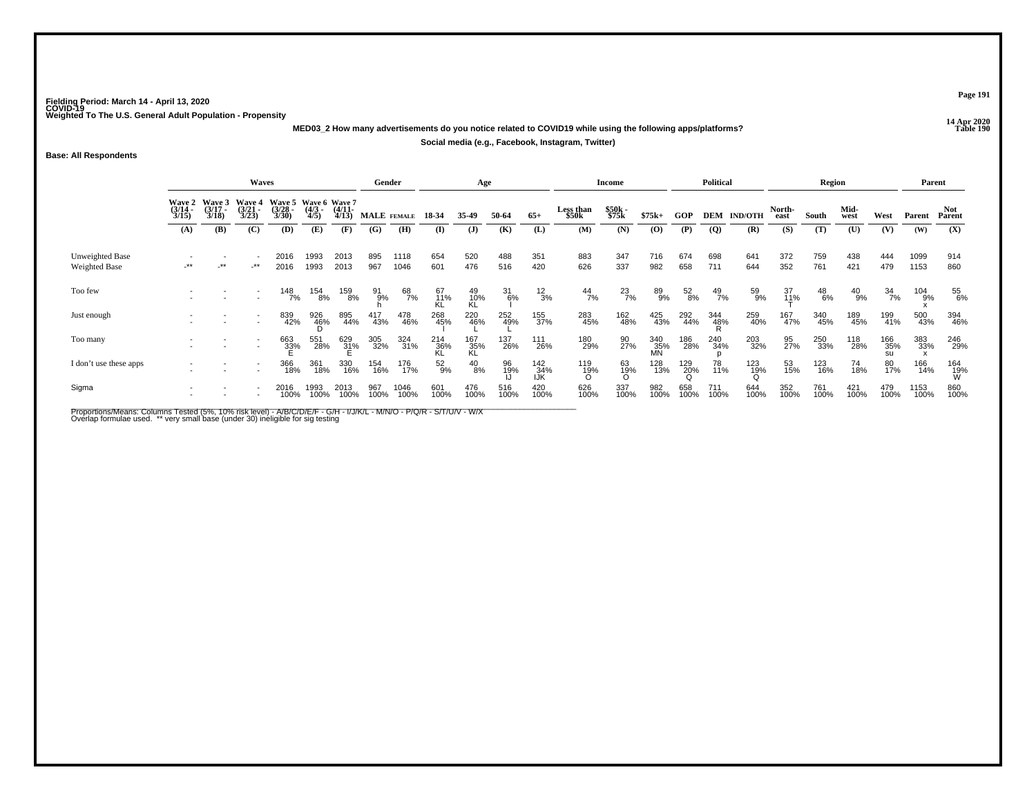**14 Apr 2020 MED03\_2 How many advertisements do you notice related to COVID19 while using the following apps/platforms?Social media (e.g., Facebook, Instagram, Twitter)**

**Base: All Respondents**

|                                         |                                        |                                 | Gender                                 |                                               |                     | Age                   |               |              |                  | Income           |               |                   | <b>Political</b>   |                |                  | Region          |                |                | Parent            |               |               |                  |              |                 |
|-----------------------------------------|----------------------------------------|---------------------------------|----------------------------------------|-----------------------------------------------|---------------------|-----------------------|---------------|--------------|------------------|------------------|---------------|-------------------|--------------------|----------------|------------------|-----------------|----------------|----------------|-------------------|---------------|---------------|------------------|--------------|-----------------|
|                                         | <b>Wave 2</b><br>$\frac{(3/14)}{3/15}$ | Wave 3<br>$\frac{(3/17)}{3/18}$ | <b>Wave 4</b><br>$\frac{(3/21)}{3/23}$ | Wave 5 Wave 6 Wave 7<br>$\frac{(3/28)}{3/30}$ | $\frac{(4/3)}{4/5}$ | $\frac{(4/11)}{4/13}$ | MALE FEMALE   |              | 18-34            | 35-49            | 50-64         | $65+$             | Less than<br>\$50k | \$50k<br>\$75k | $$75k+$          | GOP             | DEM            | <b>IND/OTH</b> | North-<br>east    | South         | Mid-<br>west  | West             | Parent       | Not<br>Parent   |
|                                         | (A)                                    | (B)                             | (C)                                    | (D)                                           | (E)                 | (F)                   | (G)           | (H)          | (I)              | $\mathbf{J}$     | (K)           | (L)               | (M)                | (N)            | (0)              | (P)             | $\overline{Q}$ | (R)            | (S)               | (T)           | (U)           | (V)              | (W)          | (X)             |
| Unweighted Base<br><b>Weighted Base</b> | $\star\star$                           | $-***$                          | $-***$                                 | 2016<br>2016                                  | 1993<br>1993        | 2013<br>2013          | 895<br>967    | 1118<br>1046 | 654<br>601       | 520<br>476       | 488<br>516    | 351<br>420        | 883<br>626         | 347<br>337     | 716<br>982       | 674<br>658      | 698<br>711     | 641<br>644     | 372<br>352        | 759<br>761    | 438<br>421    | 444<br>479       | 1099<br>1153 | 914<br>860      |
| Too few                                 |                                        |                                 |                                        | 148<br>7%                                     | 154<br>8%           | 159<br>8%             | $^{91}_{9\%}$ | 68<br>7%     | 67<br>11%<br>KL  | 49<br>10%<br>KL  | $^{31}_{6\%}$ | $^{12}_{3\%}$     | $^{44}_{7\%}$      | $^{23}_{7\%}$  | 89<br>9%         | $^{52}_{8\%}$   | $^{49}_{7\%}$  | 59<br>9%       | $\frac{37}{11\%}$ | $^{48}_{6\%}$ | $^{40}_{9\%}$ | $\frac{34}{7\%}$ | 104<br>9%    | 55<br>6%        |
| Just enough                             |                                        |                                 |                                        | 839<br>42%                                    | 926<br>46%          | 895<br>44%            | 417<br>43%    | 478<br>46%   | 268<br>45%       | 220<br>46%       | 252<br>49%    | 155<br>37%        | 283<br>45%         | 162<br>48%     | 425<br>43%       | 292<br>44%      | 344<br>48%     | 259<br>40%     | 167<br>47%        | 340<br>45%    | 189<br>45%    | 199<br>41%       | 500<br>43%   | 394<br>46%      |
| Too many                                |                                        |                                 |                                        | 663<br>33%                                    | 551<br>28%          | 629<br>31%            | 305<br>32%    | 324<br>31%   | 214<br>36%<br>KL | 167<br>35%<br>KL | 137<br>26%    | 111<br>26%        | 180<br>29%         | 90<br>27%      | 340<br>35%<br>MN | 186<br>28%      | 240<br>34%     | 203<br>32%     | 95<br>27%         | 250<br>33%    | 118<br>28%    | 166<br>35%       | 383<br>33%   | 246<br>29%      |
| I don't use these apps                  |                                        |                                 |                                        | 366<br>18%                                    | 361<br>18%          | 330<br>16%            | 154<br>16%    | 176<br>17%   | 52%              | $^{40}_{8\%}$    | 96<br>19%     | 142<br>34%<br>IJK | 119<br>19%<br>O    | 63<br>19%<br>O | 128<br>13%       | $^{129}_{20\%}$ | 78<br>11%      | 123<br>19%     | 53<br>15%         | 123<br>16%    | 74<br>18%     | 80<br>17%        | 166<br>14%   | 164<br>19%<br>W |
| Sigma                                   |                                        |                                 |                                        | 2016<br>100%                                  | 1993<br>100%        | 2013<br>100%          | 967<br>100%   | 1046<br>100% | 601<br>100%      | 476<br>100%      | 516<br>100%   | 420<br>100%       | 626<br>100%        | 337<br>100%    | 982<br>100%      | 658<br>100%     | 711<br>100%    | 644<br>100%    | 352<br>100%       | 761<br>100%   | 421<br>100%   | 479<br>100%      | 1153<br>100% | 860<br>100%     |

Proportions/Means: Columns Tested (5%, 10% risk level) - A/B/C/D/E/F - G/H - I/J/K/L - M/N/O - P/Q/R - S/T/U/V - W/X<br>Overlap formulae used. \*\* very small base (under 30) ineligible for sig testing

**Page 191**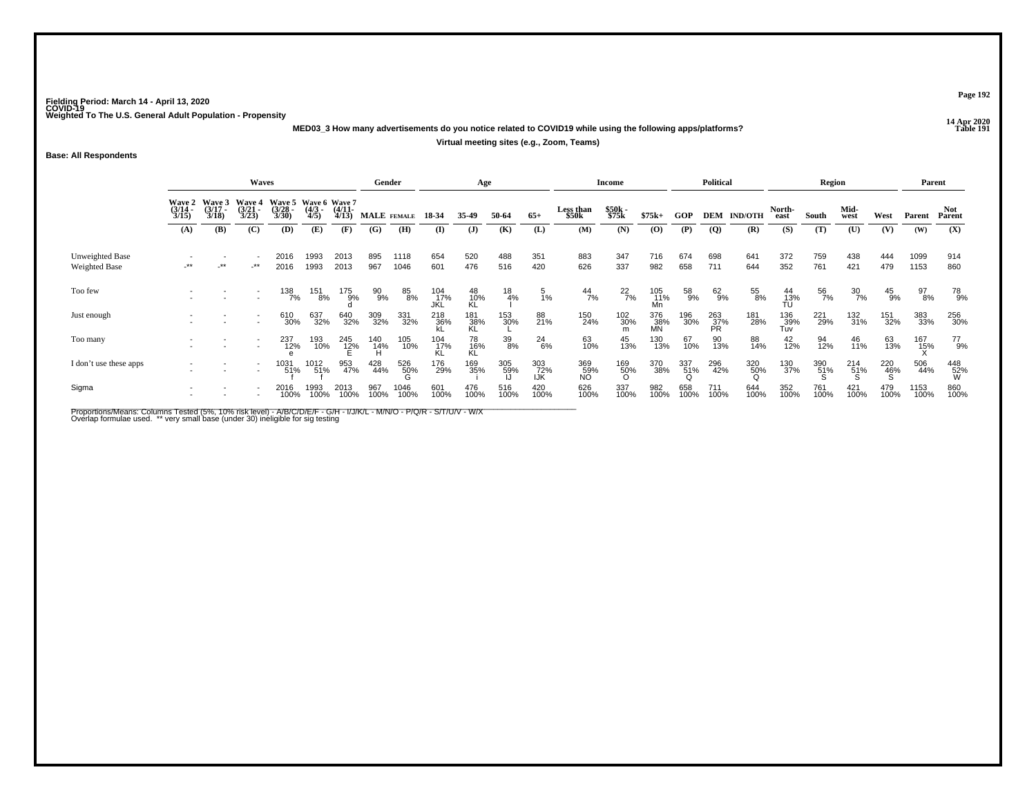**14 Apr 2020 MED03\_3 How many advertisements do you notice related to COVID19 while using the following apps/platforms?**

## **Virtual meeting sites (e.g., Zoom, Teams)**

**Base: All Respondents**

|                                  | Waves                                  |                                 |                                 |                                               |                     |                       |                 | Gender       |                    | Age              |               |                   |                           | <b>Income</b>   |                   |                 | <b>Political</b> |                    |                    | Region             |                  |                 | Parent       |                 |
|----------------------------------|----------------------------------------|---------------------------------|---------------------------------|-----------------------------------------------|---------------------|-----------------------|-----------------|--------------|--------------------|------------------|---------------|-------------------|---------------------------|-----------------|-------------------|-----------------|------------------|--------------------|--------------------|--------------------|------------------|-----------------|--------------|-----------------|
|                                  | <b>Wave 2</b><br>$\frac{(3/14)}{3/15}$ | Wave 3<br>$\frac{(3/17)}{3/18}$ | Wave 4<br>$\frac{(3/21)}{3/23}$ | Wave 5 Wave 6 Wave 7<br>$\frac{(3/28)}{3/30}$ | $\frac{(4/3)}{4/5}$ | $\frac{(4/11)}{4/13}$ |                 | MALE FEMALE  | 18 34              | 35-49            | 50-64         | $65+$             | <b>Less than</b><br>\$50k | \$50k<br>\$75k  | $$75k+$           | GOP             |                  | <b>DEM IND/OTH</b> | North-<br>east     | South              | Mid-<br>west     | West            | Parent       | Not<br>Parent   |
|                                  | (A)                                    | (B)                             | (C)                             | <b>(D)</b>                                    | (E)                 | (F)                   | (G)             | (H)          | $\bf{I}$           | $\mathbf{J}$     | (K)           | (L)               | (M)                       | (N)             | (O)               | (P)             | <b>(Q)</b>       | (R)                | (S)                | (T)                | (U)              | (V)             | (W)          | (X)             |
| Unweighted Base<br>Weighted Base | -**                                    | $-***$                          | $-***$                          | 2016<br>2016                                  | 1993<br>1993        | 2013<br>2013          | 895<br>967      | 1118<br>1046 | 654<br>601         | 520<br>476       | 488<br>516    | 351<br>420        | 883<br>626                | 347<br>337      | 716<br>982        | 674<br>658      | 698<br>711       | 641<br>644         | 372<br>352         | 759<br>761         | 438<br>421       | 444<br>479      | 1099<br>1153 | 914<br>860      |
| Too few                          |                                        |                                 |                                 | 138<br>7%                                     | 151<br>8%           | 175<br>9%             | 90%             | 85<br>8%     | 104<br>_17%<br>JKL | 48<br>10%<br>KL  | $^{18}_{4\%}$ | $\frac{5}{1\%}$   | $^{44}_{7\%}$             | $^{22}_{7\%}$   | 105<br>11%        | 58<br>9%        | 62%              | 55<br>8%           | 44<br>13%<br>TU    | 56<br>7%           | $\frac{30}{7\%}$ | $^{45}_{9\%}$   | 97<br>8%     | 78<br>9%        |
| Just enough                      |                                        |                                 |                                 | 610<br>30%                                    | 637<br>32%          | 640<br>32%            | 309<br>32%      | 331<br>32%   | 218<br>36%         | 181<br>38%<br>KL | 153<br>30%    | 88<br>21%         | 150<br>24%                | 102<br>30%      | 376<br>_38%<br>MN | 196<br>30%      | 263<br>37%<br>PR | 181<br>28%         | 136<br>_39%<br>Tuv | 221<br>29%         | 132<br>31%       | 151<br>32%      | 383<br>33%   | 256<br>30%      |
| Too many                         |                                        |                                 |                                 | 237<br>12%                                    | 193<br>10%          | 245<br>12%            | 140<br>14%<br>H | 105<br>10%   | 104<br>17%<br>KL   | 78<br>16%<br>KL  | 39<br>8%      | $^{24}_{6\%}$     | 63<br>10%                 | 45<br>13%       | 130<br>13%        | 67<br>10%       | 90<br>13%        | 88<br>14%          | $^{42}_{12\%}$     | 94<br>12%          | 46<br>11%        | 63<br>13%       | 167<br>15%   | 77<br>9%        |
| I don't use these apps           |                                        |                                 |                                 | 1031<br>51%                                   | 1012<br>51%         | 953<br>47%            | 428<br>44%      | 526<br>50%   | 176<br>29%         | 169<br>35%       | 305<br>59%    | 303<br>72%<br>IJK | 369<br>59%<br>NO          | 169<br>50%<br>O | 370<br>38%        | 337<br>51%<br>Q | 296<br>42%       | 320<br>50%         | 130<br>37%         | $\frac{390}{51\%}$ | $^{214}_{51\%}$  | 220<br>46%<br>S | 506<br>44%   | 448<br>52%<br>W |
| Sigma                            |                                        |                                 |                                 | 2016<br>100%                                  | 1993<br>100%        | 2013<br>100%          | 967<br>100%     | 1046<br>100% | 601<br>100%        | 476<br>100%      | 516<br>100%   | 420<br>100%       | 626<br>100%               | 337<br>100%     | 982<br>100%       | 658<br>100%     | 711<br>100%      | 644<br>100%        | 352<br>100%        | 761<br>100%        | 421<br>100%      | 479<br>100%     | 1153<br>100% | 860<br>100%     |

Proportions/Means: Columns Tested (5%, 10% risk level) - A/B/C/D/E/F - G/H - I/J/K/L - M/N/O - P/Q/R - S/T/U/V - W/X<br>Overlap formulae used. \*\* very small base (under 30) ineligible for sig testing

**Page 192**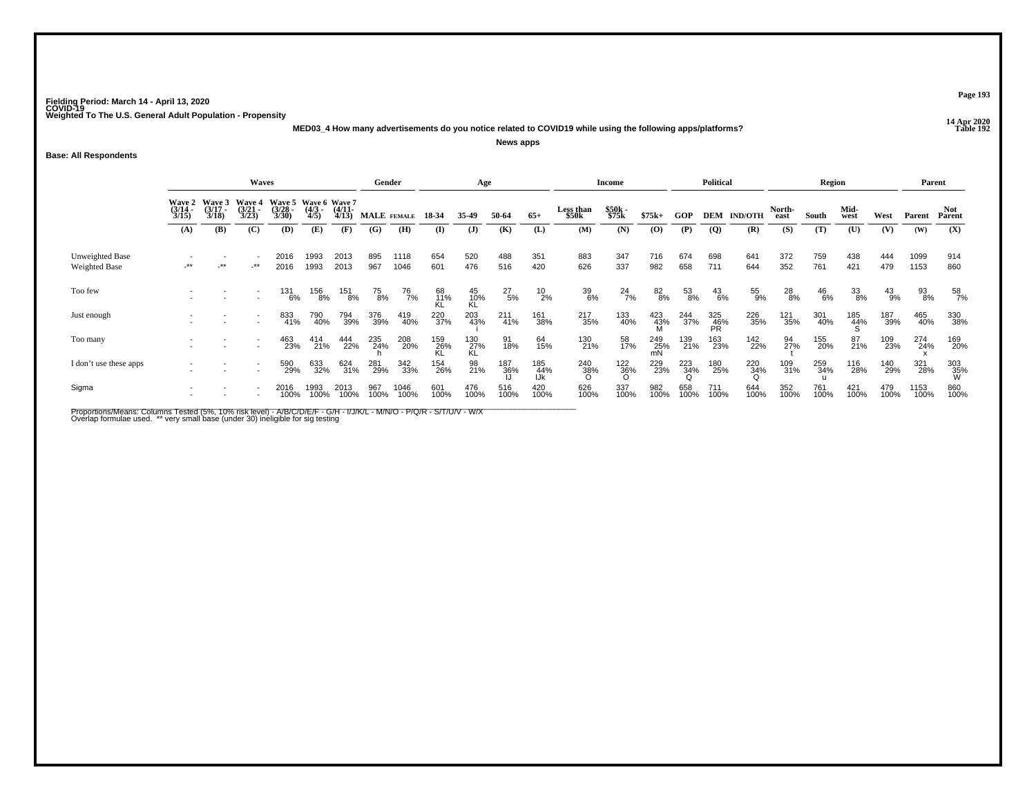**14 Apr 2020 MED03\_4 How many advertisements do you notice related to COVID19 while using the following apps/platforms?News apps**

**Base: All Respondents**

|                                  |                       |                                        | Waves                 |                                                     |                     |                       | Gender      |               |                  | Age              |               |                   |                    | <b>Income</b>         |                  |                 | <b>Political</b> |                    |                | Region        |              |               | Parent       |                 |
|----------------------------------|-----------------------|----------------------------------------|-----------------------|-----------------------------------------------------|---------------------|-----------------------|-------------|---------------|------------------|------------------|---------------|-------------------|--------------------|-----------------------|------------------|-----------------|------------------|--------------------|----------------|---------------|--------------|---------------|--------------|-----------------|
|                                  | $\frac{(3/14)}{3/15}$ | Wave 2 Wave 3<br>$\frac{(3/17)}{3/18}$ | $\frac{(3/21)}{3/23}$ | Wave 4 Wave 5 Wave 6 Wave 7<br>$\binom{3/28}{3/30}$ | $\frac{(4/3)}{4/5}$ | $\frac{(4/11)}{4/13}$ |             | MALE FEMALE   | 18-34            | 35.49            | 50-64         | $65+$             | Less than<br>\$50k | \$50k<br>\$75k        | $$75k+$          | GOP             |                  | <b>DEM IND/OTH</b> | North-<br>east | South         | Mid-<br>west | West          | Parent       | Not<br>Parent   |
|                                  | (A)                   | (B)                                    | (C)                   | (D)                                                 | (E)                 | (F)                   | (G)         | (H)           | (I)              | $\mathbf{J}$     | (K)           | (L)               | (M)                | (N)                   | (O)              | (P)             | $\overline{Q}$   | (R)                | (S)            | (T)           | (U)          | (V)           | (W)          | (X)             |
| Unweighted Base<br>Weighted Base | .**                   | _**                                    | $-***$                | 2016<br>2016                                        | 1993<br>1993        | 2013<br>2013          | 895<br>967  | 1118<br>1046  | 654<br>601       | 520<br>476       | 488<br>516    | 351<br>420        | 883<br>626         | 347<br>337            | 716<br>982       | 674<br>658      | 698<br>711       | 641<br>644         | 372<br>352     | 759<br>761    | 438<br>421   | 444<br>479    | 1099<br>1153 | 914<br>860      |
| Too few                          |                       |                                        |                       | 131<br>6%                                           | 156<br>8%           | 151<br>8%             | 75<br>8%    | $^{76}_{7\%}$ | 68<br>11%<br>KL  | 45<br>10%<br>KL  | $^{27}_{5\%}$ | $^{10}_{2\%}$     | 39<br>6%           | $^{24}$ <sub>7%</sub> | 82<br>8%         | 53<br>8%        | $^{43}_{6\%}$    | 55<br>9%           | $^{28}_{8\%}$  | $^{46}_{6\%}$ | 33<br>8%     | $^{43}_{9\%}$ | 93<br>8%     | 58<br>7%        |
| Just enough                      |                       |                                        |                       | 833<br>41%                                          | 790<br>40%          | 794<br>39%            | 376<br>39%  | 419<br>40%    | 220<br>37%       | 203<br>43%       | 211<br>41%    | 161<br>38%        | 217<br>35%         | 133<br>40%            | 423<br>43%<br>M  | 244<br>37%      | 325<br>46%<br>PR | 226<br>35%         | 121<br>35%     | 301<br>40%    | 185<br>44%   | 187<br>39%    | 465<br>40%   | 330<br>38%      |
| Too many                         |                       |                                        |                       | 463<br>23%                                          | 414<br>21%          | 444<br>22%            | 235<br>24%  | 208<br>20%    | 159<br>26%<br>KL | 130<br>27%<br>KL | 91<br>18%     | 64<br>15%         | 130<br>21%         | 58<br>17%             | 249<br>25%<br>mN | 139<br>21%      | 163<br>23%       | 142<br>22%         | 94<br>27%      | 155<br>20%    | 87<br>21%    | 109<br>23%    | 274<br>24%   | 169<br>20%      |
| I don't use these apps           |                       |                                        |                       | 590<br>29%                                          | 633<br>32%          | 624<br>31%            | 281<br>29%  | 342<br>33%    | 154<br>26%       | 98<br>21%        | 187<br>36%    | 185<br>44%<br>IJk | 240<br>38%<br>O    | $\frac{122}{36\%}$    | 229<br>23%       | 223<br>34%<br>Q | 180<br>25%       | 220<br>34%         | 109<br>31%     | 259<br>34%    | 116<br>28%   | 140<br>29%    | 321<br>28%   | 303<br>35%<br>W |
| Sigma                            |                       |                                        |                       | 2016<br>100%                                        | 1993<br>100%        | 2013<br>100%          | 967<br>100% | 1046<br>100%  | 601<br>100%      | 476<br>100%      | 516<br>100%   | 420<br>100%       | 626<br>100%        | 337<br>100%           | 982<br>100%      | 658<br>100%     | 711<br>100%      | 644<br>100%        | 352<br>100%    | 761<br>100%   | 421<br>100%  | 479<br>100%   | 1153<br>100% | 860<br>100%     |

Proportions/Means: Columns Tested (5%, 10% risk level) - A/B/C/D/E/F - G/H - I/J/K/L - M/N/O - P/Q/R - S/T/U/V - W/X<br>Overlap formulae used. \*\* very small base (under 30) ineligible for sig testing

**Page 193**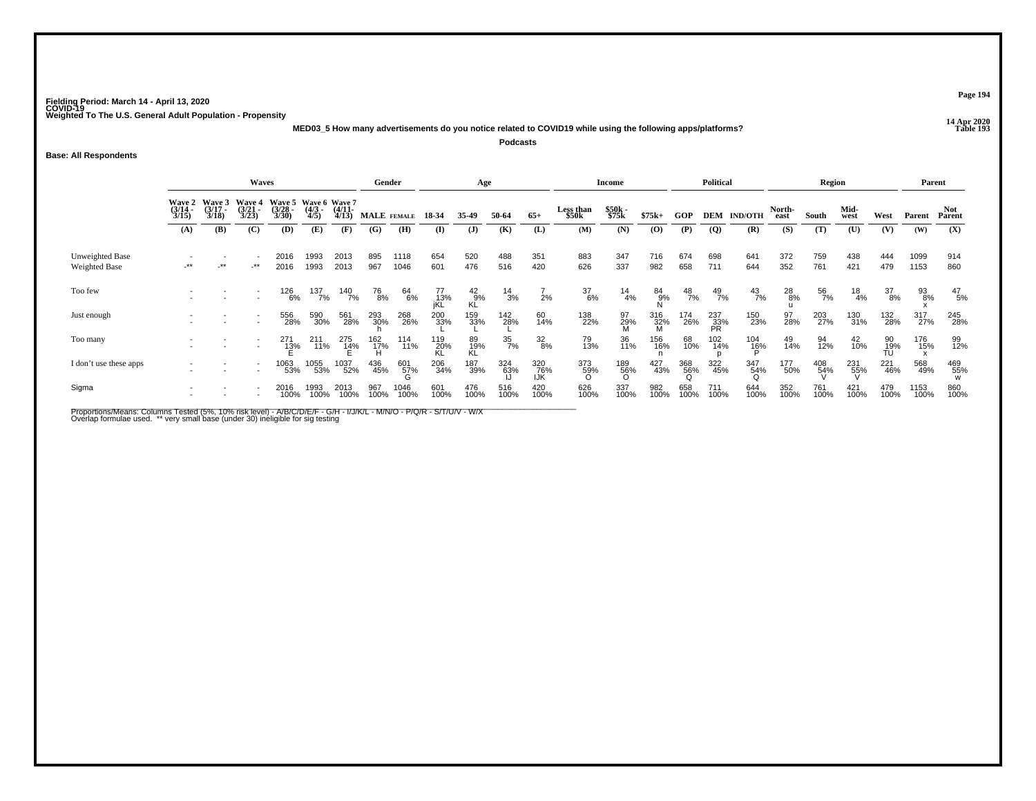**14 Apr 2020 MED03\_5 How many advertisements do you notice related to COVID19 while using the following apps/platforms?Podcasts**

**Base: All Respondents**

|                                         |                                 |                                        | <b>Waves</b>                           |                                               |                    |                       | Gender           |                 |                  | Age              |                  |                   |                    | <b>Income</b>   |             |                 | Political         |                    |                | Region          |               |                  | Parent       |                      |
|-----------------------------------------|---------------------------------|----------------------------------------|----------------------------------------|-----------------------------------------------|--------------------|-----------------------|------------------|-----------------|------------------|------------------|------------------|-------------------|--------------------|-----------------|-------------|-----------------|-------------------|--------------------|----------------|-----------------|---------------|------------------|--------------|----------------------|
|                                         | Wave 2<br>$\frac{(3/14)}{3/15}$ | <b>Wave 3</b><br>$\frac{(3/17)}{3/18}$ | <b>Wave 4</b><br>$\frac{(3/21)}{3/23}$ | Wave 5 Wave 6 Wave 7<br>$\frac{(3/28)}{3/30}$ | $\binom{4/3}{4/5}$ | $\frac{(4/11)}{4/13}$ | MALE FEMALE      |                 | 18 34            | 35.49            | 50-64            | $65+$             | Less than<br>\$50k | \$50k<br>\$75k  | $$75k+$     | GOP             |                   | <b>DEM IND/OTH</b> | North-<br>east | South           | Mid-<br>west  | West             | Parent       | <b>Not</b><br>Parent |
|                                         | (A)                             | <b>(B)</b>                             | (C)                                    | (D)                                           | (E)                | (F)                   | (G)              | (H)             | $\mathbf{I}$     | $\mathbf{J}$     | (K)              | (L)               | (M)                | (N)             | (0)         | (P)             | <b>(Q)</b>        | (R)                | (S)            | (T)             | (U)           | (V)              | (W)          | (X)                  |
| Unweighted Base<br><b>Weighted Base</b> | $-***$                          | $-***$                                 | -**                                    | 2016<br>2016                                  | 1993<br>1993       | 2013<br>2013          | 895<br>967       | 1118<br>1046    | 654<br>601       | 520<br>476       | 488<br>516       | 351<br>420        | 883<br>626         | 347<br>337      | 716<br>982  | 674<br>658      | 698<br>711        | 641<br>644         | 372<br>352     | 759<br>761      | 438<br>421    | 444<br>479       | 1099<br>1153 | 914<br>860           |
| Too few                                 |                                 |                                        |                                        | 126<br>6%                                     | 137<br>7%          | 140<br>7%             | <sup>76</sup> 8% | 64<br>6%        | 77<br>13%<br>jKL | $^{42}_{9\%}$ KL | $^{14}_{3\%}$    | 2%                | $\frac{37}{6\%}$   | $^{14}_{4\%}$   | 84<br>9%    | $^{48}_{7\%}$   | $^{49}_{7\%}$     | $^{43}_{7\%}$      | 28<br>8%       | 56<br>7%        | $^{18}_{4\%}$ | $\frac{37}{8\%}$ | 93<br>8%     | $^{47}_{\ 5\%}$      |
| Just enough                             |                                 |                                        |                                        | 556<br>28%                                    | 590<br>30%         | 561<br>28%            | 293<br>30%       | 268<br>26%      | 200<br>33%       | 159<br>33%       | 142<br>28%       | 60<br>14%         | 138<br>22%         | 97<br>29%       | 316<br>32%  | 174<br>26%      | 237<br>_33%<br>PR | 150<br>23%         | 97<br>28%      | 203<br>27%      | 130<br>31%    | 132<br>28%       | 317<br>27%   | 245<br>28%           |
| Too many                                |                                 |                                        |                                        | 271<br>13%                                    | 211<br>711%        | 275<br>14%            | $^{162}_{17\%}$  | 114<br>11%      | 119<br>20%<br>KL | 89<br>19%<br>KL  | $\frac{35}{7\%}$ | $\frac{32}{8\%}$  | 79<br>13%          | 36<br>11%       | 156<br>16%  | 68<br>10%       | 102<br>14%        | $^{104}_{^{16\%}}$ | 49<br>14%      | 94<br>12%       | 42<br>10%     | 90<br>19%<br>TU  | 176<br>15%   | 99<br>12%            |
| I don't use these apps                  |                                 |                                        |                                        | 1063<br>53%                                   | 1055<br>53%        | 1037<br>52%           | 436<br>45%       | 601<br>57%<br>G | 206<br>34%       | 187<br>39%       | 324<br>63%       | 320<br>76%<br>IJK | 373<br>59%<br>O    | 189<br>56%<br>O | 427<br>43%  | 368<br>56%<br>Q | 322<br>45%        | 347<br>54%         | 177<br>50%     | $^{408}_{54\%}$ | 231<br>55%    | 221<br>46%       | 568<br>49%   | 469<br>55%           |
| Sigma                                   |                                 |                                        |                                        | 2016<br>100%                                  | 1993<br>100%       | 2013<br>100%          | 967<br>100%      | 1046<br>100%    | 601<br>100%      | 476<br>100%      | 516<br>100%      | 420<br>100%       | 626<br>100%        | 337<br>100%     | 982<br>100% | 658<br>100%     | 711<br>100%       | 644<br>100%        | 352<br>100%    | 761<br>100%     | 421<br>100%   | 479<br>100%      | 1153<br>100% | 860<br>100%          |

Proportions/Means: Columns Tested (5%, 10% risk level) - A/B/C/D/E/F - G/H - I/J/K/L - M/N/O - P/Q/R - S/T/U/V - W/X<br>Overlap formulae used. \*\* very small base (under 30) ineligible for sig testing

**Page 194**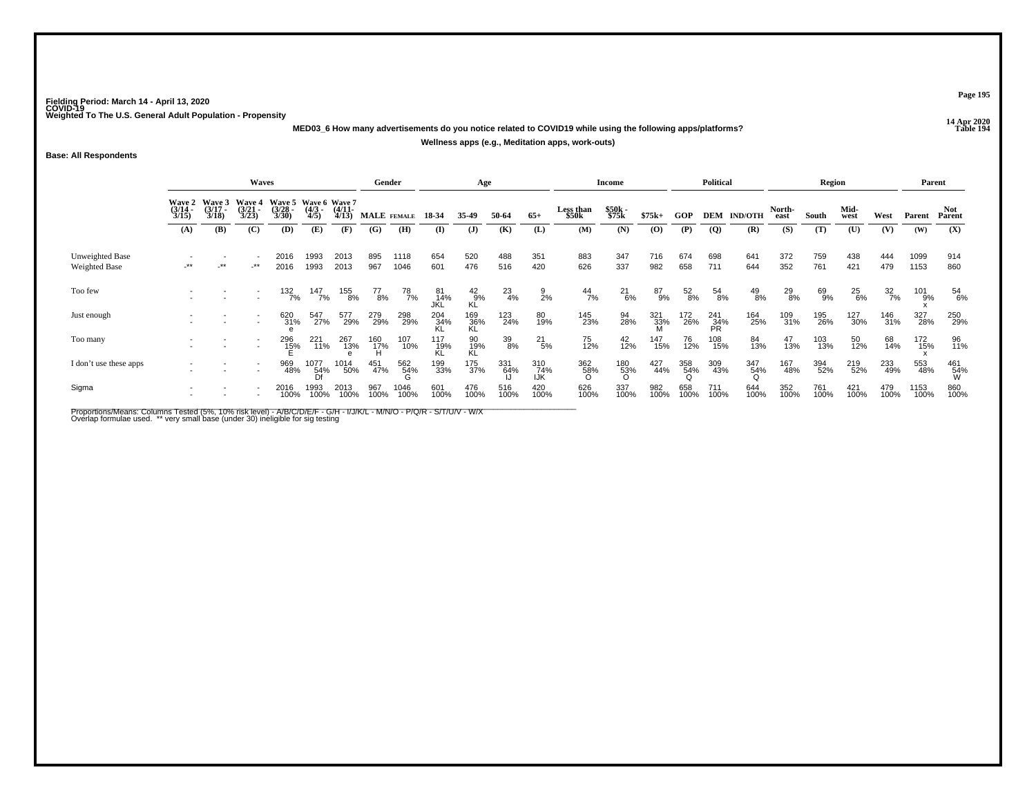**14 Apr 2020 MED03\_6 How many advertisements do you notice related to COVID19 while using the following apps/platforms?**

**Wellness apps (e.g., Meditation apps, work-outs)**

**Base: All Respondents**

|                                         | <b>Waves</b>                           |                                 |                                 |                                               |                     |                       |               | Gender             |                  | Age              |                  |                   |                    | <b>Income</b>   |             |                 | <b>Political</b> |                |                | Region      |               |                  | Parent       |                 |
|-----------------------------------------|----------------------------------------|---------------------------------|---------------------------------|-----------------------------------------------|---------------------|-----------------------|---------------|--------------------|------------------|------------------|------------------|-------------------|--------------------|-----------------|-------------|-----------------|------------------|----------------|----------------|-------------|---------------|------------------|--------------|-----------------|
|                                         | <b>Wave 2</b><br>$\frac{(3/14)}{3/15}$ | Wave 3<br>$\frac{(3/17)}{3/18}$ | Wave 4<br>$\frac{(3/21)}{3/23}$ | Wave 5 Wave 6 Wave 7<br>$\frac{(3/28)}{3/30}$ | $\frac{(4/3)}{4/5}$ | $\frac{(4/11)}{4/13}$ |               | <b>MALE</b> FEMALE | 18 34            | 35-49            | 50-64            | $65+$             | Less than<br>\$50k | \$50k<br>\$75k  | $$75k+$     | GOP             | DEM              | <b>IND/OTH</b> | North-<br>east | South       | Mid-<br>west  | West             | Parent       | Not<br>Parent   |
|                                         | (A)                                    | (B)                             | (C)                             | (D)                                           | (E)                 | (F)                   | (G)           | (H)                | (I)              | $\mathbf{J}$     | (K)              | (L)               | (M)                | (N)             | $\bf{(0)}$  | (P)             | $\overline{Q}$   | (R)            | (S)            | (T)         | (U)           | (V)              | (W)          | (X)             |
| Unweighted Base<br><b>Weighted Base</b> | $^{\star\star}$                        | $\cdot^{\star\star}$            | _**                             | 2016<br>2016                                  | 1993<br>1993        | 2013<br>2013          | 895<br>967    | 1118<br>1046       | 654<br>601       | 520<br>476       | 488<br>516       | 351<br>420        | 883<br>626         | 347<br>337      | 716<br>982  | 674<br>658      | 698<br>711       | 641<br>644     | 372<br>352     | 759<br>761  | 438<br>421    | 444<br>479       | 1099<br>1153 | 914<br>860      |
| Too few                                 |                                        |                                 |                                 | 132<br>7%                                     | 147<br>7%           | 155<br>8%             | $^{77}_{8\%}$ | $^{78}_{7\%}$      | 81<br>14%<br>JKL | $^{42}_{9\%}$ KL | $^{23}_{4\%}$    | $\frac{9}{2}$ %   | $^{44}_{7\%}$      | $^{21}_{6\%}$   | 87<br>9%    | $^{52}_{8\%}$   | $^{54}_{8\%}$    | $^{49}_{8\%}$  | 29<br>8%       | 69<br>9%    | $^{25}_{6\%}$ | $\frac{32}{7}$ % | 101<br>9%    | 54<br>6%        |
| Just enough                             |                                        |                                 |                                 | 620<br>31%                                    | 547<br>27%          | 577<br>29%            | 279<br>29%    | 298<br>29%         | $^{204}_{34\%}$  | 169<br>36%<br>KL | 123<br>24%       | 80<br>19%         | 145<br>23%         | 94<br>28%       | 321<br>33%  | 172<br>26%      | 241<br>34%<br>PR | 164<br>25%     | 109<br>31%     | 195<br>26%  | 127<br>30%    | 146<br>31%       | 327<br>28%   | 250<br>29%      |
| Too many                                |                                        |                                 |                                 | 296<br>15%                                    | 221<br>11%          | 267<br>13%            | 160<br>17%    | 107<br>10%         | 117<br>19%<br>Kl | 90<br>19%<br>KL  | $\frac{39}{8\%}$ | $^{21}_{5\%}$     | 75<br>12%          | 42<br>12%       | 147<br>15%  | 76<br>12%       | 108<br>15%       | 84<br>13%      | 47<br>13%      | 103<br>13%  | 50<br>12%     | 68<br>14%        | 172<br>15%   | 96<br>11%       |
| I don't use these apps                  |                                        |                                 |                                 | 969<br>48%                                    | 1077<br>54%<br>Df   | 1014<br>50%           | 451<br>47%    | 562<br>54%         | 199<br>33%       | 175<br>37%       | 331<br>64%       | 310<br>74%<br>IJK | 362<br>58%<br>O    | 180<br>53%<br>O | 427<br>44%  | 358<br>54%<br>Q | 309<br>43%       | 347<br>54%     | 167<br>48%     | 394<br>52%  | 219<br>52%    | 233<br>49%       | 553<br>48%   | 461<br>54%<br>W |
| Sigma                                   |                                        |                                 |                                 | 2016<br>100%                                  | 1993<br>100%        | 2013<br>100%          | 967<br>100%   | 1046<br>100%       | 601<br>100%      | 476<br>100%      | 516<br>100%      | 420<br>100%       | 626<br>100%        | 337<br>100%     | 982<br>100% | 658<br>100%     | 711<br>100%      | 644<br>100%    | 352<br>100%    | 761<br>100% | 421<br>100%   | 479<br>100%      | 1153<br>100% | 860<br>100%     |

Proportions/Means: Columns Tested (5%, 10% risk level) - A/B/C/D/E/F - G/H - I/J/K/L - M/N/O - P/Q/R - S/T/U/V - W/X<br>Overlap formulae used. \*\* very small base (under 30) ineligible for sig testing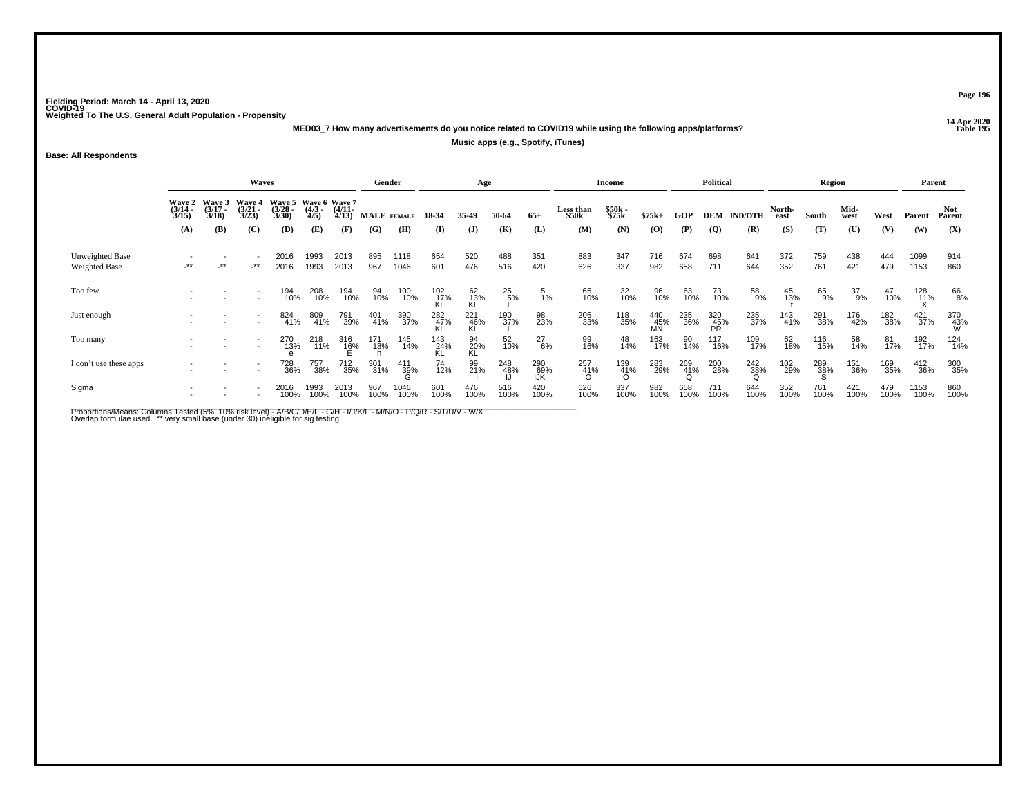**14 Apr 2020 MED03\_7 How many advertisements do you notice related to COVID19 while using the following apps/platforms?**

**Music apps (e.g., Spotify, iTunes)**

**Base: All Respondents**

|                                         |                                        |                                 | <b>Waves</b>                           |                                               |                     |                       | Gender      |              |                    | Age              |               |                   |                    | <b>Income</b>   |                  |             | Political        |                |                | Region             |               |                |              | Parent          |
|-----------------------------------------|----------------------------------------|---------------------------------|----------------------------------------|-----------------------------------------------|---------------------|-----------------------|-------------|--------------|--------------------|------------------|---------------|-------------------|--------------------|-----------------|------------------|-------------|------------------|----------------|----------------|--------------------|---------------|----------------|--------------|-----------------|
|                                         | <b>Wave 2</b><br>$\frac{(3/14)}{3/15}$ | Wave 3<br>$\frac{(3/17)}{3/18}$ | <b>Wave 4</b><br>$\frac{(3/21)}{3/23}$ | Wave 5 Wave 6 Wave 7<br>$\frac{(3/28)}{3/30}$ | $\frac{(4/3)}{4/5}$ | $\frac{(4/11)}{4/13}$ | MALE FEMALE |              | 18-34              | 35-49            | 50-64         | $65+$             | Less than<br>\$50k | \$50k<br>\$75k  | $$75k+$          | <b>GOP</b>  | <b>DEM</b>       | <b>IND/OTH</b> | North-<br>east | South              | Mid-<br>west  | West           | Parent       | Not<br>Parent   |
|                                         | (A)                                    | (B)                             | (C)                                    | (D)                                           | (E)                 | (F)                   | (G)         | (H)          | (I)                | $\mathbf{J}$     | (K)           | (L)               | (M)                | (N)             | $\bf{(0)}$       | (P)         | $\overline{Q}$   | (R)            | (S)            | (T)                | (U)           | (V)            | (W)          | (X)             |
| Unweighted Base<br><b>Weighted Base</b> | $\star$                                | -**                             | -**                                    | 2016<br>2016                                  | 1993<br>1993        | 2013<br>2013          | 895<br>967  | 1118<br>1046 | 654<br>601         | 520<br>476       | 488<br>516    | 351<br>420        | 883<br>626         | 347<br>337      | 716<br>982       | 674<br>658  | 698<br>711       | 641<br>644     | 372<br>352     | 759<br>761         | 438<br>421    | 444<br>479     | 1099<br>1153 | 914<br>860      |
| Too few                                 |                                        |                                 |                                        | 194<br>10%                                    | 208<br>10%          | 194<br>10%            | 94<br>10%   | 100<br>10%   | 102 17%            | 62<br>13%<br>KL  | $^{25}_{5\%}$ | $\frac{5}{1\%}$   | 65<br>10%          | 32<br>10%       | 96<br>10%        | 63<br>10%   | 73<br>10%        | 58<br>9%       | 45<br>13%      | 65<br>9%           | $^{37}_{9\%}$ | $^{47}_{10\%}$ | 128<br>11%   | 66<br>8%        |
| Just enough                             |                                        |                                 |                                        | 824<br>41%                                    | 809<br>41%          | 791<br>39%            | 401<br>41%  | 390<br>37%   | $^{282}_{47\%}$    | 221<br>46%<br>KL | 190<br>37%    | 98<br>23%         | 206<br>33%         | 118<br>35%      | 440<br>45%<br>MN | 235<br>36%  | 320<br>45%<br>PR | 235<br>37%     | 143<br>41%     | 291<br>38%         | 176<br>42%    | 182<br>38%     | 421<br>37%   | 370<br>43%<br>W |
| Too many                                |                                        |                                 | $\overline{\phantom{a}}$               | 270<br>13%                                    | 218<br>11%          | 316<br>16%            | 171<br>18%  | 145<br>14%   | $\frac{143}{24\%}$ | 94<br>20%<br>KL  | 52<br>10%     | $^{27}_{6\%}$     | 99<br>16%          | 48<br>14%       | 163<br>17%       | 90<br>14%   | 117<br>16%       | 109<br>17%     | 62<br>18%      | 116<br>15%         | 58<br>14%     | 81<br>17%      | 192<br>17%   | 124<br>14%      |
| I don't use these apps                  |                                        |                                 |                                        | 728<br>36%                                    | 757<br>38%          | 712<br>35%            | 301<br>31%  | 411<br>39%   | 74<br>12%          | 99<br>21%        | 248<br>48%    | 290<br>69%<br>IJŔ | 257<br>41%         | 139<br>41%<br>O | 283<br>29%       | 269<br>41%  | 200<br>28%       | 242<br>38%     | 102<br>29%     | $\frac{289}{38\%}$ | 151<br>36%    | 169<br>35%     | 412<br>36%   | 300<br>35%      |
| Sigma                                   |                                        |                                 |                                        | 2016<br>100%                                  | 1993<br>100%        | 2013<br>100%          | 967<br>100% | 1046<br>100% | 601<br>100%        | 476<br>100%      | 516<br>100%   | 420<br>100%       | 626<br>100%        | 337<br>100%     | 982<br>100%      | 658<br>100% | 711<br>100%      | 644<br>100%    | 352<br>100%    | 761<br>100%        | 421<br>100%   | 479<br>100%    | 1153<br>100% | 860<br>100%     |

Proportions/Means: Columns Tested (5%, 10% risk level) - A/B/C/D/E/F - G/H - I/J/K/L - M/N/O - P/Q/R - S/T/U/V - W/X<br>Overlap formulae used. \*\* very small base (under 30) ineligible for sig testing

**Page 196**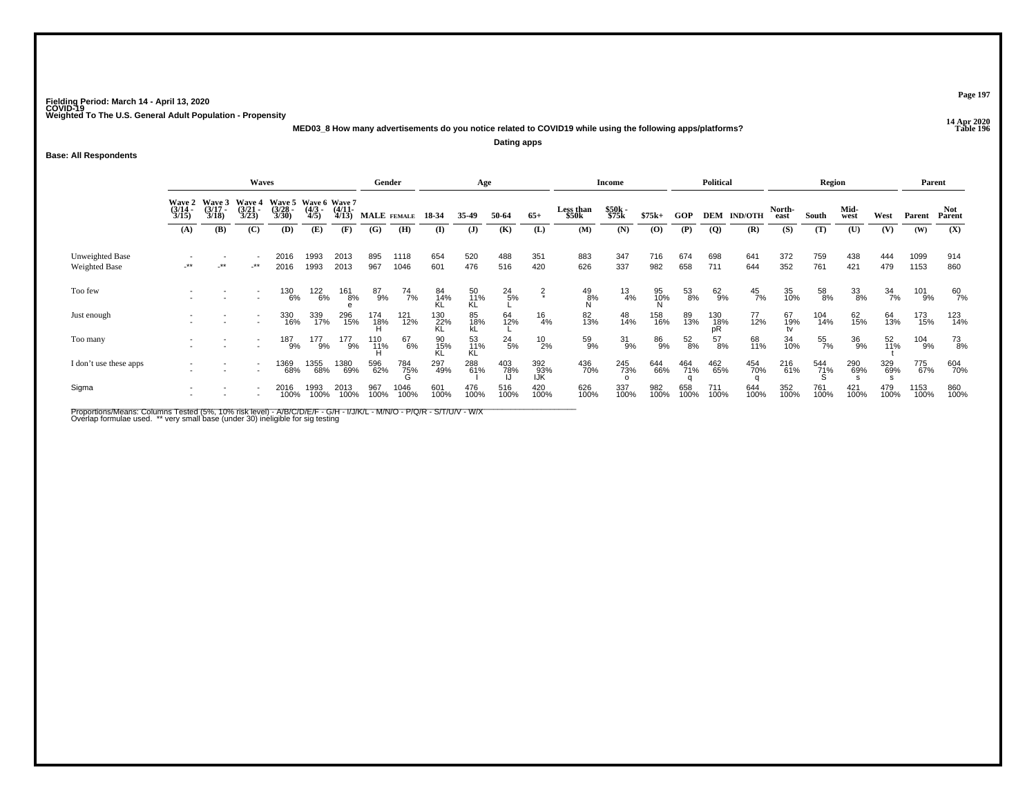**14 Apr 2020 MED03\_8 How many advertisements do you notice related to COVID19 while using the following apps/platforms?Dating apps**

**Base: All Respondents**

|                                         | <b>Waves</b>                           |                                        |                                       |                                               |                    |                       | Gender                     |                 |                  | Age             |                 |                   |                    | <b>Income</b>  |                |               | Political                                      |                    |                | Region          |              |             |              | Parent               |
|-----------------------------------------|----------------------------------------|----------------------------------------|---------------------------------------|-----------------------------------------------|--------------------|-----------------------|----------------------------|-----------------|------------------|-----------------|-----------------|-------------------|--------------------|----------------|----------------|---------------|------------------------------------------------|--------------------|----------------|-----------------|--------------|-------------|--------------|----------------------|
|                                         | <b>Wave 2</b><br>$\frac{(3/14)}{3/15}$ | <b>Wave 3</b><br>$\frac{(3/17)}{3/18}$ | <b>Wave 4</b><br>$\binom{3/21}{3/23}$ | Wave 5 Wave 6 Wave 7<br>$\frac{(3/28)}{3/30}$ | $\binom{4/3}{4/5}$ | $\frac{(4/11)}{4/13}$ | MALE FEMALE                |                 | 18 34            | 35.49           | 50-64           | $65+$             | Less than<br>\$50k | \$50k<br>\$75k | $$75k+$        | GOP           |                                                | <b>DEM IND/OTH</b> | North-<br>east | South           | Mid-<br>west | West        | Parent       | <b>Not</b><br>Parent |
|                                         | (A)                                    | <b>(B)</b>                             | (C)                                   | (D)                                           | (E)                | (F)                   | $\left( \mathbf{G}\right)$ | (H)             | $\mathbf{I}$     | $\mathbf{J}$    | (K)             | (L)               | (M)                | (N)            | (0)            | (P)           | $\overline{Q}$                                 | (R)                | (S)            | (T)             | (U)          | (V)         | (W)          | (X)                  |
| Unweighted Base<br><b>Weighted Base</b> | $-***$                                 | $-***$                                 | $-***$                                | 2016<br>2016                                  | 1993<br>1993       | 2013<br>2013          | 895<br>967                 | 1118<br>1046    | 654<br>601       | 520<br>476      | 488<br>516      | 351<br>420        | 883<br>626         | 347<br>337     | 716<br>982     | 674<br>658    | 698<br>711                                     | 641<br>644         | 372<br>352     | 759<br>761      | 438<br>421   | 444<br>479  | 1099<br>1153 | 914<br>860           |
| Too few                                 |                                        |                                        |                                       | 130<br>6%                                     | 122<br>6%          | 161<br>8%             | $^{87}_{9%}$               | $^{74}_{7\%}$   | 84<br>14%        | 50<br>11%<br>KL | $^{24}_{5\%}$   | $\frac{2}{x}$     | $^{49}_{8\%}$      | $^{13}_{4\%}$  | 95<br>10%<br>N | 53<br>8%      | $62\phantom{.00}\phantom{.00}\phantom{.00}9\%$ | $^{45}_{7\%}$      | 35<br>10%      | 58<br>8%        | 33<br>8%     | 34<br>7%    | 101<br>9%    | $60$ <sub>7%</sub>   |
| Just enough                             |                                        |                                        |                                       | 330<br>16%                                    | 339<br>17%         | 296<br>15%            | 174<br>18%                 | 121<br>12%      | 130<br>22%<br>KL | 85<br>18%<br>kl | 64<br>12%       | $^{16}_{4\%}$     | 82<br>13%          | 48<br>14%      | 158<br>16%     | 89<br>13%     | $^{130}_{18\%}$ pR                             | 77<br>12%          | 67<br>19%      | 104<br>14%      | 62<br>15%    | 64<br>13%   | 173<br>15%   | 123<br>14%           |
| Too many                                |                                        |                                        |                                       | 187<br>9%                                     | 177<br>9%          | 177<br>9%             | 110<br>11%                 | 67<br>6%        | 90<br>15%<br>KL  | 53<br>11%<br>KL | $^{24}_{5\%}$   | $^{10}_{2\%}$     | 59<br>9%           | $31_{9\%}$     | 86<br>9%       | $^{52}_{8\%}$ | 57<br>8%                                       | 68<br>11%          | 34<br>10%      | 55<br>7%        | 36<br>9%     | 52<br>11%   | 104<br>9%    | 73<br>8%             |
| I don't use these apps                  |                                        |                                        |                                       | 1369<br>68%                                   | 1355<br>68%        | 1380<br>69%           | 596<br>62%                 | 784<br>75%<br>G | 297<br>49%       | 288<br>61%      | $^{403}_{78\%}$ | 392<br>93%<br>IJK | 436<br>70%         | 245<br>73%     | 644<br>66%     | 464<br>71%    | 462<br>65%                                     | 454<br>70%         | 216<br>61%     | 544<br>71%<br>Տ | 290<br>69%   | 329<br>69%  | 775<br>67%   | 604<br>70%           |
| Sigma                                   |                                        |                                        |                                       | 2016<br>100%                                  | 1993<br>100%       | 2013<br>100%          | 967<br>100%                | 1046<br>100%    | 601<br>100%      | 476<br>100%     | 516<br>100%     | 420<br>100%       | 626<br>100%        | 337<br>100%    | 982<br>100%    | 658<br>100%   | 711<br>100%                                    | 644<br>100%        | 352<br>100%    | 761<br>100%     | 421<br>100%  | 479<br>100% | 1153<br>100% | 860<br>100%          |

Proportions/Means: Columns Tested (5%, 10% risk level) - A/B/C/D/E/F - G/H - I/J/K/L - M/N/O - P/Q/R - S/T/U/V - W/X<br>Overlap formulae used. \*\* very small base (under 30) ineligible for sig testing

**Page 197**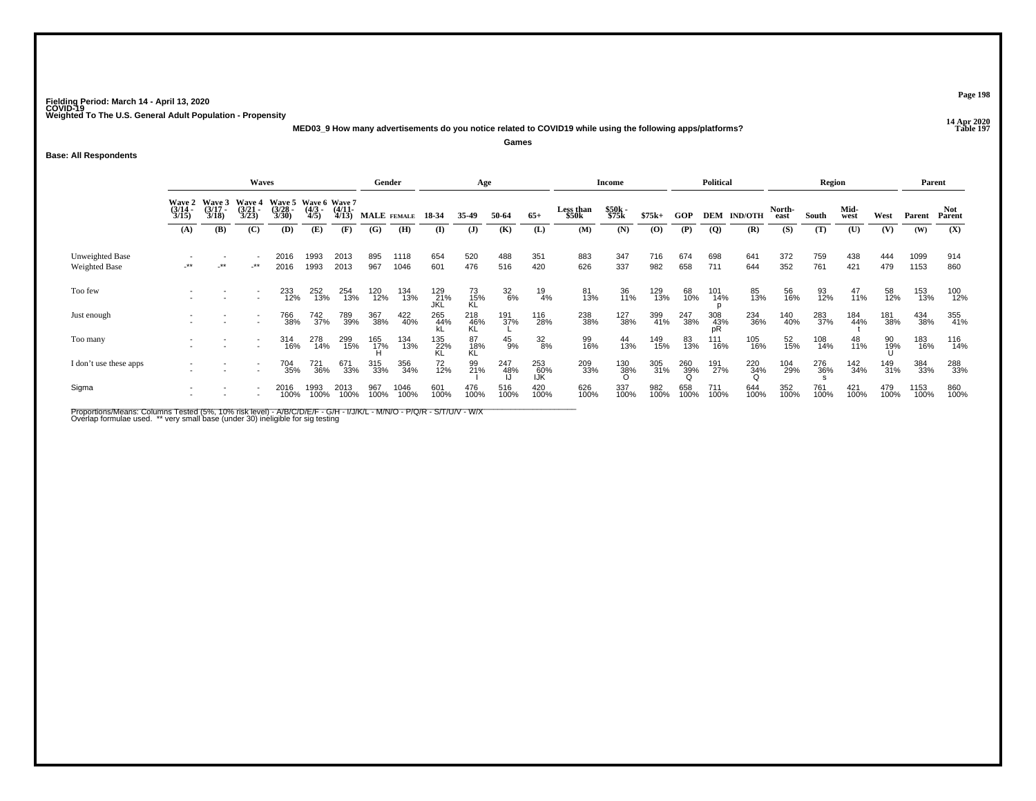**14 Apr 2020 MED03\_9 How many advertisements do you notice related to COVID19 while using the following apps/platforms?**

**Games**

## **Base: All Respondents**

|                                  |                                        |                                 | Waves                                  |                                               |                     |                       |             | Gender       |                          | Age              |                  |                   |                    | Income          |             |                 | <b>Political</b> |                    |                | Region      |                |                 | Parent       |                      |
|----------------------------------|----------------------------------------|---------------------------------|----------------------------------------|-----------------------------------------------|---------------------|-----------------------|-------------|--------------|--------------------------|------------------|------------------|-------------------|--------------------|-----------------|-------------|-----------------|------------------|--------------------|----------------|-------------|----------------|-----------------|--------------|----------------------|
|                                  | <b>Wave 2</b><br>$\frac{(3/14)}{3/15}$ | Wave 3<br>$\frac{(3/17)}{3/18}$ | <b>Wave 4</b><br>$\frac{(3/21)}{3/23}$ | Wave 5 Wave 6 Wave 7<br>$\frac{(3/28)}{3/30}$ | $\frac{(4/3)}{4/5}$ | $\frac{(4/11)}{4/13}$ |             | MALE FEMALE  | 18-34                    | 35.49            | 50-64            | $65+$             | Less than<br>\$50k | \$50k<br>\$75k  | $$75k+$     | <b>GOP</b>      |                  | <b>DEM IND/OTH</b> | North-<br>east | South       | Mid-<br>west   | West            | Parent       | <b>Not</b><br>Parent |
|                                  | (A)                                    | (B)                             | (C)                                    | (D)                                           | (E)                 | (F)                   | (G)         | (H)          | $\mathbf{I}$             | $\mathbf{J}$     | (K)              | (L)               | (M)                | (N)             | $\bf{(0)}$  | (P)             | $\overline{Q}$   | (R)                | (S)            | (T)         | (U)            | (V)             | (W)          | (X)                  |
| Unweighted Base<br>Weighted Base | -**                                    | $-***$                          | $-***$                                 | 2016<br>2016                                  | 1993<br>1993        | 2013<br>2013          | 895<br>967  | 1118<br>1046 | 654<br>601               | 520<br>476       | 488<br>516       | 351<br>420        | 883<br>626         | 347<br>337      | 716<br>982  | 674<br>658      | 698<br>711       | 641<br>644         | 372<br>352     | 759<br>761  | 438<br>421     | 444<br>479      | 1099<br>1153 | 914<br>860           |
| Too few                          |                                        |                                 |                                        | 233<br>12%                                    | 252<br>13%          | 254<br>13%            | 120<br>12%  | 134<br>13%   | 129<br>21%<br><b>JKL</b> | 73<br>15%<br>KL  | $\frac{32}{6\%}$ | 19<br>4%          | 81<br>13%          | 36<br>11%       | 129<br>13%  | 68<br>10%       | 101<br>14%       | 85<br>13%          | 56<br>16%      | 93<br>12%   | $^{47}_{11\%}$ | 58<br>12%       | 153<br>13%   | 100<br>12%           |
| Just enough                      |                                        |                                 |                                        | 766<br>38%                                    | 742<br>37%          | 789<br>39%            | 367<br>38%  | 422<br>40%   | 265<br>44%               | 218<br>46%<br>KL | 191<br>37%       | 116<br>28%        | 238<br>38%         | 127<br>38%      | 399<br>41%  | 247<br>38%      | 308<br>43%<br>pR | 234<br>36%         | 140<br>40%     | 283<br>37%  | 184<br>44%     | 181<br>38%      | 434<br>38%   | 355<br>41%           |
| Too many                         |                                        |                                 |                                        | 314<br>16%                                    | 278<br>14%          | 299<br>15%            | 165<br>17%  | 134<br>13%   | 135<br>22%<br>KL         | 87<br>18%<br>KL  | $^{45}_{9\%}$    | $\frac{32}{8\%}$  | 99<br>16%          | 44<br>13%       | 149<br>15%  | 83<br>13%       | 111<br>16%       | 105<br>16%         | 52<br>15%      | 108<br>14%  | 48<br>11%      | 90<br>19%<br>II | 183<br>16%   | 116<br>14%           |
| I don't use these apps           |                                        |                                 |                                        | 704<br>35%                                    | <sup>721</sup> 36%  | 671<br>33%            | 315<br>33%  | 356<br>34%   | $^{72}_{12\%}$           | 99<br>21%        | 247<br>48%       | 253<br>60%<br>IJK | 209<br>33%         | $^{130}_{38\%}$ | 305<br>31%  | 260<br>39%<br>Q | 191<br>27%       | 220<br>34%         | 104<br>29%     | 276<br>36%  | 142<br>34%     | 149<br>31%      | 384<br>33%   | 288<br>33%           |
| Sigma                            |                                        |                                 |                                        | 2016<br>100%                                  | 1993<br>100%        | 2013<br>100%          | 967<br>100% | 1046<br>100% | 601<br>100%              | 476<br>100%      | 516<br>100%      | 420<br>100%       | 626<br>100%        | 337<br>100%     | 982<br>100% | 658<br>100%     | 711<br>100%      | 644<br>100%        | 352<br>100%    | 761<br>100% | 421<br>100%    | 479<br>100%     | 1153<br>100% | 860<br>100%          |

Proportions/Means: Columns Tested (5%, 10% risk level) - A/B/C/D/E/F - G/H - I/J/K/L - M/N/O - P/Q/R - S/T/U/V - W/X<br>Overlap formulae used. \*\* very small base (under 30) ineligible for sig testing

**Page 198**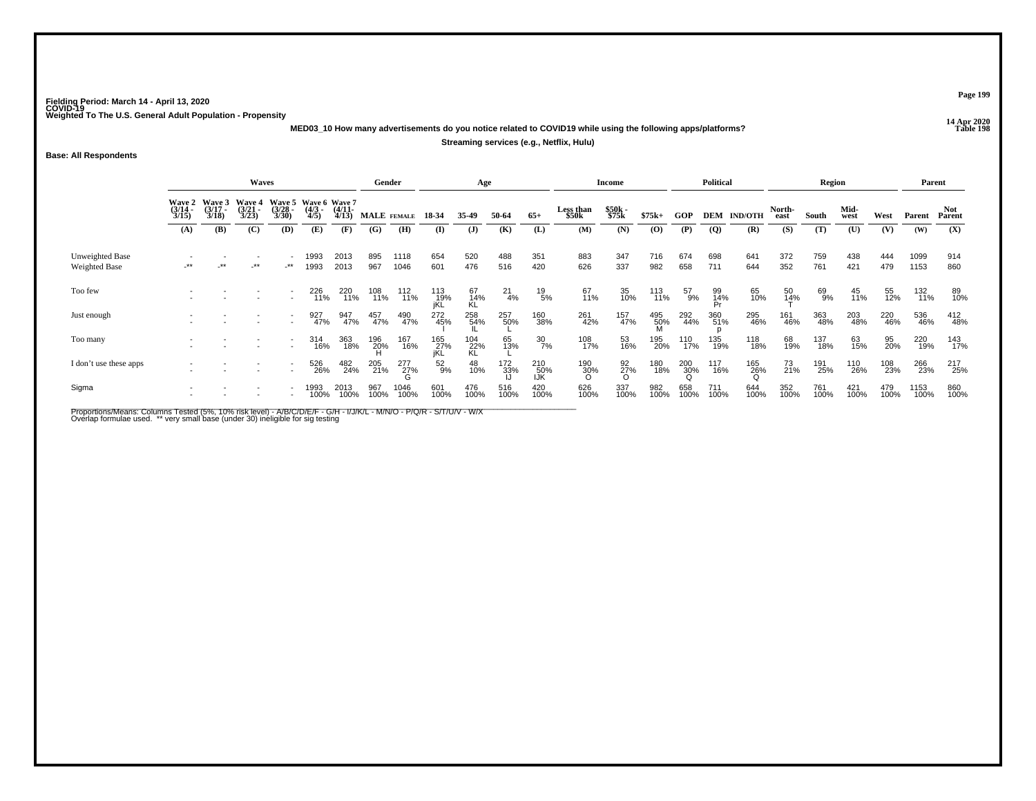**14 Apr 2020 MED03\_10 How many advertisements do you notice related to COVID19 while using the following apps/platforms?**

## **Streaming services (e.g., Netflix, Hulu)**

**Base: All Respondents**

|                                  |                       |                                        | Waves                 |                                                      |                     |                       |             | Gender       |                     | Age              |                    |                   |                    | <b>Income</b>     |             |                 | Political       |                |                   | Region      |              |             | Parent       |               |
|----------------------------------|-----------------------|----------------------------------------|-----------------------|------------------------------------------------------|---------------------|-----------------------|-------------|--------------|---------------------|------------------|--------------------|-------------------|--------------------|-------------------|-------------|-----------------|-----------------|----------------|-------------------|-------------|--------------|-------------|--------------|---------------|
|                                  | $\frac{(3/14)}{3/15}$ | Wave 2 Wave 3<br>$\frac{(3/17)}{3/18}$ | $\frac{(3/21)}{3/23}$ | Wave 4 Wave 5 Wave 6 Wave 7<br>$\frac{(3/28)}{3/30}$ | $\frac{(4/3)}{4/5}$ | $\frac{(4/11)}{4/13}$ |             | MALE FEMALE  | 18-34               | 35.49            | 50-64              | $65+$             | Less than<br>\$50k | \$50k<br>\$75k    | $$75k+$     | <b>GOP</b>      | <b>DEM</b>      | <b>IND/OTH</b> | North-<br>east    | South       | Mid-<br>west | West        | Parent       | Not<br>Parent |
|                                  | (A)                   | (B)                                    | (C)                   | (D)                                                  | (E)                 | (F)                   | (G)         | (H)          | $($ I               | $\mathbf{J}$     | (K)                | (L)               | (M)                | (N)               | $\bf{(0)}$  | (P)             | $\overline{Q}$  | (R)            | (S)               | (T)         | (U)          | (V)         | (W)          | (X)           |
| Unweighted Base<br>Weighted Base | -**                   | $-***$                                 | -**                   | $-***$                                               | 1993<br>1993        | 2013<br>2013          | 895<br>967  | 1118<br>1046 | 654<br>601          | 520<br>476       | 488<br>516         | 351<br>420        | 883<br>626         | 347<br>337        | 716<br>982  | 674<br>658      | 698<br>711      | 641<br>644     | 372<br>352        | 759<br>761  | 438<br>421   | 444<br>479  | 1099<br>1153 | 914<br>860    |
| Too few                          |                       |                                        |                       |                                                      | 226<br>11%          | 220<br>11%            | 108<br>11%  | 112<br>11%   | 113<br>- 19%<br>iKL | 67<br>14%<br>KL  | $^{21}_{4\%}$      | $^{19}_{5\%}$     | 67<br>11%          | 35<br>10%         | 113<br>11%  | $^{57}_{9\%}$   | 99<br>14%<br>Pr | 65<br>10%      | $\frac{50}{14\%}$ | 69<br>9%    | 45<br>11%    | 55<br>12%   | 132<br>11%   | 89<br>10%     |
| Just enough                      |                       |                                        |                       | $\overline{\phantom{a}}$                             | 927<br>47%          | 947<br>47%            | 457<br>47%  | 490<br>47%   | 272<br>45%          | 258<br>54%       | 257<br>50%         | 160<br>38%        | 261<br>42%         | 157<br>47%        | 495<br>50%  | 292<br>44%      | 360<br>51%      | 295<br>46%     | 161<br>46%        | 363<br>48%  | 203<br>48%   | 220<br>46%  | 536<br>46%   | 412<br>48%    |
| Too many                         |                       |                                        |                       | $\overline{a}$                                       | 314<br>16%          | 363<br>18%            | 196<br>20%  | 167<br>16%   | 165<br>27%<br>jKL   | 104<br>22%<br>KL | 65<br>13%          | $\frac{30}{7\%}$  | 108<br>17%         | 53<br>16%         | 195<br>20%  | 110<br>17%      | 135<br>19%      | 118<br>18%     | 68<br>19%         | 137<br>18%  | 63<br>15%    | 95<br>20%   | 220<br>19%   | 143<br>17%    |
| I don't use these apps           |                       |                                        |                       | $\overline{\phantom{a}}$                             | 526<br>26%          | 482<br>24%            | 205<br>21%  | 277<br>27%   | 52<br>9%            | 48<br>10%        | $\frac{172}{33\%}$ | 210<br>50%<br>IJK | $\frac{190}{30\%}$ | $\frac{92}{27}\%$ | 180<br>18%  | $^{200}_{30\%}$ | 117<br>16%      | 165<br>26%     | 73<br>21%         | 191<br>25%  | 110<br>26%   | 108<br>23%  | 266<br>23%   | 217<br>25%    |
| Sigma                            |                       |                                        |                       |                                                      | 1993<br>100%        | 2013<br>100%          | 967<br>100% | 1046<br>100% | 601<br>100%         | 476<br>100%      | 516<br>100%        | 420<br>100%       | 626<br>100%        | 337<br>100%       | 982<br>100% | 658<br>100%     | 711<br>100%     | 644<br>100%    | 352<br>100%       | 761<br>100% | 421<br>100%  | 479<br>100% | 1153<br>100% | 860<br>100%   |

Proportions/Means: Columns Tested (5%, 10% risk level) - A/B/C/D/E/F - G/H - I/J/K/L - M/N/O - P/Q/R - S/T/U/V - W/X<br>Overlap formulae used. \*\* very small base (under 30) ineligible for sig testing

**Page 199**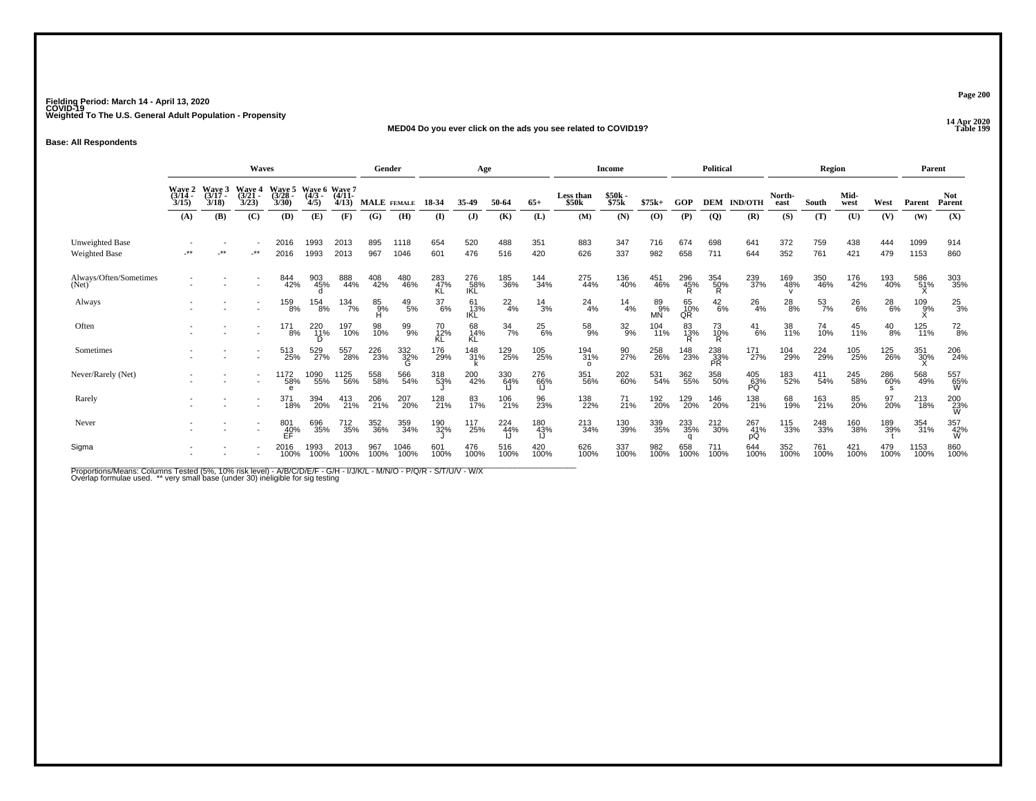**14 Apr 2020 MED04 Do you ever click on the ads you see related to COVID19?**

**Base: All Respondents**

|                                  |                           | <b>Waves</b>                |                                    |                          | Gender                           |                   |             | Age             |                  |                   |                  | Income        |                                |                | Political                     |                 |                         | Region           |                |                 | Parent        |               |                |                      |
|----------------------------------|---------------------------|-----------------------------|------------------------------------|--------------------------|----------------------------------|-------------------|-------------|-----------------|------------------|-------------------|------------------|---------------|--------------------------------|----------------|-------------------------------|-----------------|-------------------------|------------------|----------------|-----------------|---------------|---------------|----------------|----------------------|
|                                  | Wave 2<br>(3/14 -<br>3/15 | Wave 3<br>$(3/17 -$<br>3/18 | <b>Wave 4</b><br>$(3/21 -$<br>3/23 | Wave 5<br>(3/28)<br>3/30 | Wave 6 Wave 7<br>$(4/3 -$<br>4/5 | $(4/11 -$<br>4/13 | MALE FEMALE |                 | 18-34            | 35.49             | 50-64            | $65+$         | Less than<br>\$50 <sub>k</sub> | \$50k<br>\$75k | $$75k+$                       | GOP             | <b>DEM</b>              | <b>IND/OTH</b>   | North-<br>east | South           | Mid-<br>west  | West          | Parent         | <b>Not</b><br>Parent |
|                                  | (A)                       | (B)                         | (C)                                | (D)                      | (E)                              | (F)               | (G)         | (H)             | (I)              | $\mathbf{J}$      | (K)              | (L)           | (M)                            | (N)            | (0)                           | (P)             | $\overline{Q}$          | (R)              | (S)            | (T)             | (U)           | (V)           | (W)            | (X)                  |
| Unweighted Base<br>Weighted Base | $^{\star\star}$           | $***$                       | $-***$                             | 2016<br>2016             | 1993<br>1993                     | 2013<br>2013      | 895<br>967  | 1118<br>1046    | 654<br>601       | 520<br>476        | 488<br>516       | 351<br>420    | 883<br>626                     | 347<br>337     | 716<br>982                    | 674<br>658      | 698<br>711              | 641<br>644       | 372<br>352     | 759<br>761      | 438<br>421    | 444<br>479    | 1099<br>1153   | 914<br>860           |
| Always/Often/Sometimes<br>(Net)  |                           |                             |                                    | 844<br>42%               | 903<br>45%                       | 888<br>44%        | 408<br>42%  | 480<br>46%      | 283<br>47%       | 276<br>58%<br>IKL | 185<br>36%       | 144<br>34%    | 275<br>44%                     | 136<br>40%     | 451<br>46%                    | 296<br>45%<br>Ŕ | 354<br>50%<br>R         | 239<br>37%       | 169<br>48%     | 350<br>46%      | 176<br>42%    | 193<br>40%    | 586<br>51%     | 303<br>35%           |
| Always                           |                           |                             |                                    | 159<br>8%                | 154<br>8%                        | $134 \over 7\%$   | 85%         | $^{49}_{\ 5\%}$ | $\frac{37}{6\%}$ | 61<br>13%<br>IKĹ  | $^{22}_{4\%}$    | $^{14}_{3\%}$ | $^{24}_{4\%}$                  | $^{14}_{4\%}$  | 89 <sub>9%</sub><br><b>MN</b> | 65<br>10%<br>QR | $^{42}_{6\%}$           | $^{26}_{4\%}$    | $^{28}_{8\%}$  | $\frac{53}{7%}$ | $^{26}_{6\%}$ | $^{28}_{6\%}$ | $^{109}_{9\%}$ | $^{25}_{3\%}$        |
| Often                            |                           |                             |                                    | 171<br>8%                | 220<br>11%                       | 197<br>10%        | 98<br>10%   | 99<br>9%        | 70<br>12%<br>KL  | 68<br>14%<br>KL   | $\frac{34}{7\%}$ | $^{25}_{6\%}$ | 58<br>9%                       | $^{32}_{9\%}$  | 104<br>11%                    | 83<br>13%<br>R  | 73<br>10%<br>R          | $^{41}_{6\%}$    | 38<br>11%      | 74<br>10%       | 45<br>11%     | $^{40}_{8\%}$ | 125<br>11%     | $^{72}_{8\%}$        |
| Sometimes                        |                           |                             |                                    | 513<br>25%               | 529<br>27%                       | 557<br>28%        | 226<br>23%  | 332<br>32%<br>G | 176<br>29%       | 148<br>31%        | 129<br>25%       | 105<br>25%    | 194<br>31%<br>$\Omega$         | 90<br>27%      | 258<br>26%                    | 148<br>23%      | 238<br>33%<br><b>PR</b> | 171<br>27%       | 104<br>29%     | 224<br>29%      | 105<br>25%    | 125<br>26%    | 351<br>30%     | 206<br>24%           |
| Never/Rarely (Net)               |                           |                             |                                    | 1172<br>58%<br>$\theta$  | 1090<br>55%                      | 1125<br>56%       | 558<br>58%  | 566<br>54%      | 318<br>53%       | 200<br>42%        | 330<br>64%       | 276<br>66%    | 351<br>56%                     | 202<br>60%     | 531<br>54%                    | 362<br>55%      | 358<br>50%              | 405<br>63%<br>PQ | 183<br>52%     | 411<br>54%      | 245<br>58%    | 286<br>60%    | 568<br>49%     | 557<br>65%<br>W      |
| Rarely                           |                           |                             |                                    | 371<br>18%               | 394<br>20%                       | 413<br>21%        | 206<br>21%  | 207<br>20%      | 128<br>21%       | 83<br>17%         | 106<br>21%       | 96<br>23%     | 138<br>22%                     | $^{71}_{21\%}$ | 192<br>20%                    | 129<br>20%      | 146<br>20%              | 138<br>21%       | 68<br>19%      | 163<br>21%      | 85<br>20%     | 97<br>20%     | 213<br>18%     | $^{200}_{23\%}$      |
| Never                            |                           |                             |                                    | 801<br>$\frac{40}{5}$    | 696<br>35%                       | 712<br>35%        | 352<br>36%  | 359<br>34%      | 190<br>32%       | 117<br>25%        | 224<br>44%       | 180<br>43%    | 213<br>34%                     | 130<br>39%     | 339<br>35%                    | 233<br>35%      | 212<br>30%              | 267<br>41%<br>рQ | 115<br>33%     | 248<br>33%      | 160<br>38%    | 189<br>39%    | 354<br>31%     | 357<br>42%<br>W      |
| Sigma                            |                           |                             |                                    | 2016<br>100%             | 1993<br>100%                     | 2013<br>100%      | 967<br>100% | 1046<br>100%    | 601<br>100%      | 476<br>100%       | 516<br>100%      | 420<br>100%   | 626<br>100%                    | 337<br>100%    | 982<br>100%                   | 658<br>100%     | 711<br>100%             | 644<br>100%      | 352<br>100%    | 761<br>100%     | 421<br>100%   | 479<br>100%   | 1153<br>100%   | 860<br>100%          |

Proportions/Means: Columns Tested (5%, 10% risk level) - A/B/C/D/E/F - G/H - I/J/K/L - M/N/O - P/Q/R - S/T/U/V - W/X<br>Overlap formulae used. \*\* very small base (under 30) ineligible for sig testing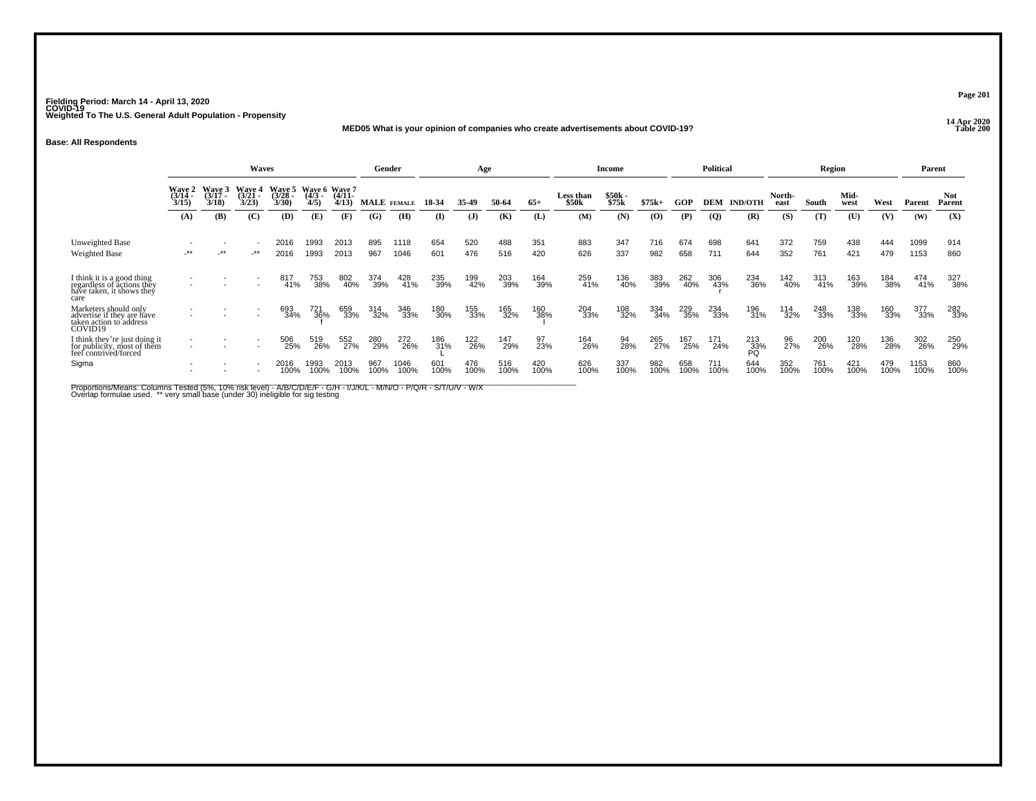## **14 Apr 2020 MED05 What is your opinion of companies who create advertisements about COVID-19?**

**Base: All Respondents**

|                                                                                               |                                    |                          | Waves                              |                            |                                   |                   |             | Gender       |             | Age          |             |             |                    | <b>Income</b>    |             |             | <b>Political</b> |                  |                | Region      |              |             |              | Parent         |
|-----------------------------------------------------------------------------------------------|------------------------------------|--------------------------|------------------------------------|----------------------------|-----------------------------------|-------------------|-------------|--------------|-------------|--------------|-------------|-------------|--------------------|------------------|-------------|-------------|------------------|------------------|----------------|-------------|--------------|-------------|--------------|----------------|
|                                                                                               | <b>Wave 2</b><br>$(3/14 -$<br>3/15 | Wave 3<br>(3/17)<br>3/18 | <b>Wave 4</b><br>$(3/21 -$<br>3/23 | Wave 5<br>$3/28 -$<br>3/30 | Wave 6 Wave 7<br>$(4/3 -$<br>4/5) | $(4/11 -$<br>4/13 |             | MALE FEMALE  | 18-34       | 35-49        | 50-64       | $65+$       | Less than<br>\$50k | $$50k-$<br>\$75k | $$75k+$     | GOP         | DEM              | <b>IND/OTH</b>   | North-<br>east | South       | Mid-<br>west | West        | Parent       | Not.<br>Parent |
|                                                                                               | (A)                                | (B)                      | (C)                                | (D)                        | (E)                               | (F)               | (G)         | (H)          | (I)         | $\mathbf{J}$ | (K)         | (L)         | (M)                | (N)              | (0)         | (P)         | $\overline{Q}$   | (R)              | (S)            | (T)         | (U)          | (V)         | (W)          | (X)            |
| <b>Unweighted Base</b><br><b>Weighted Base</b>                                                | -**                                | $-***$                   | _**                                | 2016<br>2016               | 1993<br>1993                      | 2013<br>2013      | 895<br>967  | 1118<br>1046 | 654<br>601  | 520<br>476   | 488<br>516  | 351<br>420  | 883<br>626         | 347<br>337       | 716<br>982  | 674<br>658  | 698<br>711       | 641<br>644       | 372<br>352     | 759<br>761  | 438<br>421   | 444<br>479  | 1099<br>1153 | 914<br>860     |
| I think it is a good thing<br>regardless of actions they<br>have taken, it shows they<br>care |                                    |                          |                                    | 817<br>41%                 | 753<br>38%                        | 802<br>40%        | 374<br>39%  | 428<br>41%   | 235<br>39%  | 199<br>42%   | 203<br>39%  | 164<br>39%  | 259<br>41%         | 136<br>40%       | 383<br>39%  | 262<br>40%  | 306<br>43%       | 234<br>36%       | 142<br>40%     | 313<br>41%  | 163<br>39%   | 184<br>38%  | 474<br>41%   | 327<br>38%     |
| Marketers should only<br>advertise if they are have<br>taken action to address<br>COVID19     |                                    |                          |                                    | 693<br>34%                 | 721<br>36%                        | 659<br>33%        | 314<br>32%  | 346<br>33%   | 180<br>30%  | 155<br>33%   | 165<br>32%  | 160<br>38%  | 204<br>33%         | 108<br>32%       | 334<br>34%  | 229<br>35%  | 234<br>33%       | 196<br>31%       | 114<br>32%     | 248<br>33%  | 138<br>33%   | 160<br>33%  | 377<br>33%   | 282<br>33%     |
| I think they're just doing it<br>for publicity, most of them<br>feel contrived/forced         | $\overline{\phantom{a}}$           |                          |                                    | 506<br>25%                 | 519<br>26%                        | 552<br>27%        | 280<br>29%  | 272<br>26%   | 186<br>31%  | 122<br>26%   | 147<br>29%  | 97<br>23%   | 164<br>26%         | 94<br>28%        | 265<br>27%  | 167<br>25%  | 171<br>24%       | 213<br>33%<br>PO | 96<br>27%      | 200<br>26%  | 120<br>28%   | 136<br>28%  | 302<br>26%   | 250<br>29%     |
| Sigma                                                                                         |                                    |                          |                                    | 2016<br>100%               | 1993<br>100%                      | 2013<br>100%      | 967<br>100% | 1046<br>100% | 601<br>100% | 476<br>100%  | 516<br>100% | 420<br>100% | 626<br>100%        | 337<br>100%      | 982<br>100% | 658<br>100% | 711<br>100%      | 644<br>100%      | 352<br>100%    | 761<br>100% | 421<br>100%  | 479<br>100% | 1153<br>100% | 860<br>100%    |

Proportions/Means: Columns Tested (5%, 10% risk level) - A/B/C/D/E/F - G/H - I/J/K/L - M/N/O - P/Q/R - S/T/U/V - W/X<br>Overlap formulae used. \*\* very small base (under 30) ineligible for sig testing

**Page 201**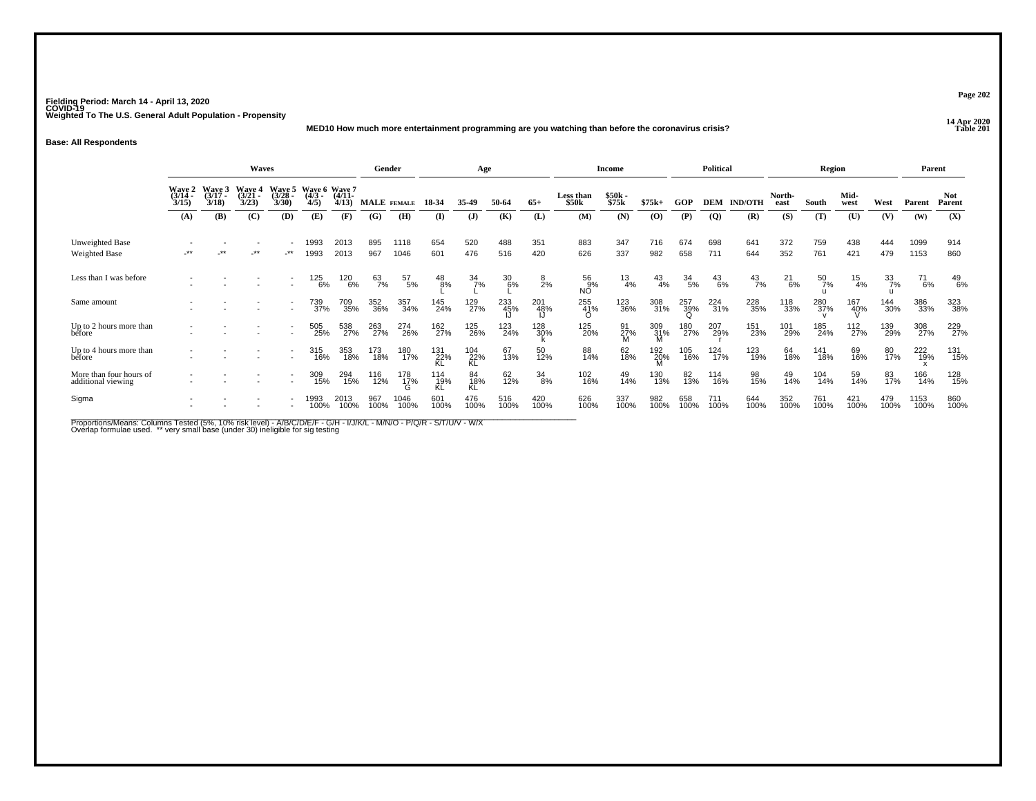**14 Apr 2020 MED10 How much more entertainment programming are you watching than before the coronavirus crisis?**

## **Base: All Respondents**

|                                               | Waves<br>Wave 6 Wave 7    |                             |                                    |                          |                  |                   | Gender      |                     |                  | Age              |             |             |                    | <b>Income</b>     |               |                  | <b>Political</b> |                |                | Region        |                  |                  | Parent       |                      |
|-----------------------------------------------|---------------------------|-----------------------------|------------------------------------|--------------------------|------------------|-------------------|-------------|---------------------|------------------|------------------|-------------|-------------|--------------------|-------------------|---------------|------------------|------------------|----------------|----------------|---------------|------------------|------------------|--------------|----------------------|
|                                               | Wave 2<br>(3/14 -<br>3/15 | Wave 3<br>$(3/17 -$<br>3/18 | <b>Wave 4</b><br>$(3/21 -$<br>3/23 | Wave 5<br>(3/28)<br>3/30 | $(4/3 -$<br>4/5) | $(4/11 -$<br>4/13 | MALE FEMALE |                     | 18 34            | 35-49            | 50-64       | $65+$       | Less than<br>\$50k | \$50k<br>\$75k    | $$75k+$       | GOP              | <b>DEM</b>       | <b>IND/OTH</b> | North-<br>east | South         | Mid-<br>west     | West             | Parent       | <b>Not</b><br>Parent |
|                                               | (A)                       | <b>(B)</b>                  | (C)                                | (D)                      | (E)              | (F)               | (G)         | (H)                 | (I)              | $\mathbf{J}$     | (K)         | (L)         | (M)                | (N)               | (0)           | (P)              | $\overline{Q}$   | (R)            | (S)            | (T)           | (U)              | (V)              | (W)          | (X)                  |
| Unweighted Base<br><b>Weighted Base</b>       | $***$                     | **                          | -**                                | $\cdot$ **               | 1993<br>1993     | 2013<br>2013      | 895<br>967  | 1118<br>1046        | 654<br>601       | 520<br>476       | 488<br>516  | 351<br>420  | 883<br>626         | 347<br>337        | 716<br>982    | 674<br>658       | 698<br>711       | 641<br>644     | 372<br>352     | 759<br>761    | 438<br>421       | 444<br>479       | 1099<br>1153 | 914<br>860           |
| Less than I was before                        |                           |                             |                                    |                          | 125<br>6%        | 120<br>6%         | 63<br>7%    | 57<br>5%            | $^{48}_{8\%}$    | $\frac{34}{7\%}$ | 30<br>6%    | 8<br>2%     | 56<br>9%<br>NÓ.    | $\frac{13}{4\%}$  | $^{43}_{4\%}$ | $\frac{34}{5\%}$ | $^{43}_{6\%}$    | $^{43}_{7\%}$  | $^{21}_{6\%}$  | $^{50}_{7\%}$ | $\frac{15}{4\%}$ | $\frac{33}{7\%}$ | 71<br>6%     | $^{49}_{6\%}$        |
| Same amount                                   |                           |                             |                                    |                          | 739<br>37%       | 709<br>35%        | 352<br>36%  | 357<br>34%          | 145<br>24%       | 129<br>27%       | 233<br>45%  | 201<br>48%  | 255<br>41%         | 123<br>36%        | 308<br>31%    | 257<br>39%<br>Ω  | 224<br>31%       | 228<br>35%     | 118<br>33%     | 280<br>37%    | 167<br>40%       | 144<br>30%       | 386<br>33%   | 323<br>38%           |
| Up to 2 hours more than<br>before             |                           |                             |                                    |                          | 505<br>25%       | 538<br>27%        | 263<br>27%  | 274<br>26%          | 162<br>27%       | 125<br>26%       | 123<br>24%  | 128<br>30%  | 125<br>20%         | $\frac{91}{27\%}$ | 309<br>31%    | 180<br>27%       | 207<br>29%       | 151<br>23%     | 101<br>29%     | 185<br>24%    | 112<br>27%       | 139<br>29%       | 308<br>27%   | 229<br>27%           |
| Up to 4 hours more than<br>before             |                           |                             |                                    |                          | 315<br>16%       | 353<br>18%        | 173<br>18%  | 180<br>17%          | 131<br>22%       | 104<br>22%<br>KL | 67<br>13%   | 50<br>12%   | 88<br>14%          | 62<br>18%         | 192<br>20%    | 105<br>16%       | 124<br>17%       | 123<br>19%     | 64<br>18%      | 141<br>18%    | 69<br>16%        | 80<br>17%        | 222<br>19%   | 131<br>15%           |
| More than four hours of<br>additional viewing |                           |                             |                                    |                          | 309<br>15%       | 294<br>15%        | 116<br>12%  | 178<br>1 <u>7</u> % | 114<br>19%<br>KL | 84<br>18%<br>KĹ  | 62<br>12%   | 34<br>8%    | 102<br>16%         | 49<br>14%         | 130<br>13%    | 82<br>13%        | 114<br>16%       | 98<br>15%      | 49<br>14%      | 104<br>14%    | 59<br>14%        | 83<br>17%        | 166<br>14%   | 128<br>15%           |
| Sigma                                         |                           |                             |                                    |                          | 1993<br>100%     | 2013<br>100%      | 967<br>100% | 1046<br>100%        | 601<br>100%      | 476<br>100%      | 516<br>100% | 420<br>100% | 626<br>100%        | 337<br>100%       | 982<br>100%   | 658<br>100%      | 711<br>100%      | 644<br>100%    | 352<br>100%    | 761<br>100%   | 421<br>100%      | 479<br>100%      | 1153<br>100% | 860<br>100%          |

Proportions/Means: Columns Tested (5%, 10% risk level) - A/B/C/D/E/F - G/H - I/J/K/L - M/N/O - P/Q/R - S/T/U/V - W/X<br>Overlap formulae used. \*\* very small base (under 30) ineligible for sig testing

**Page 202**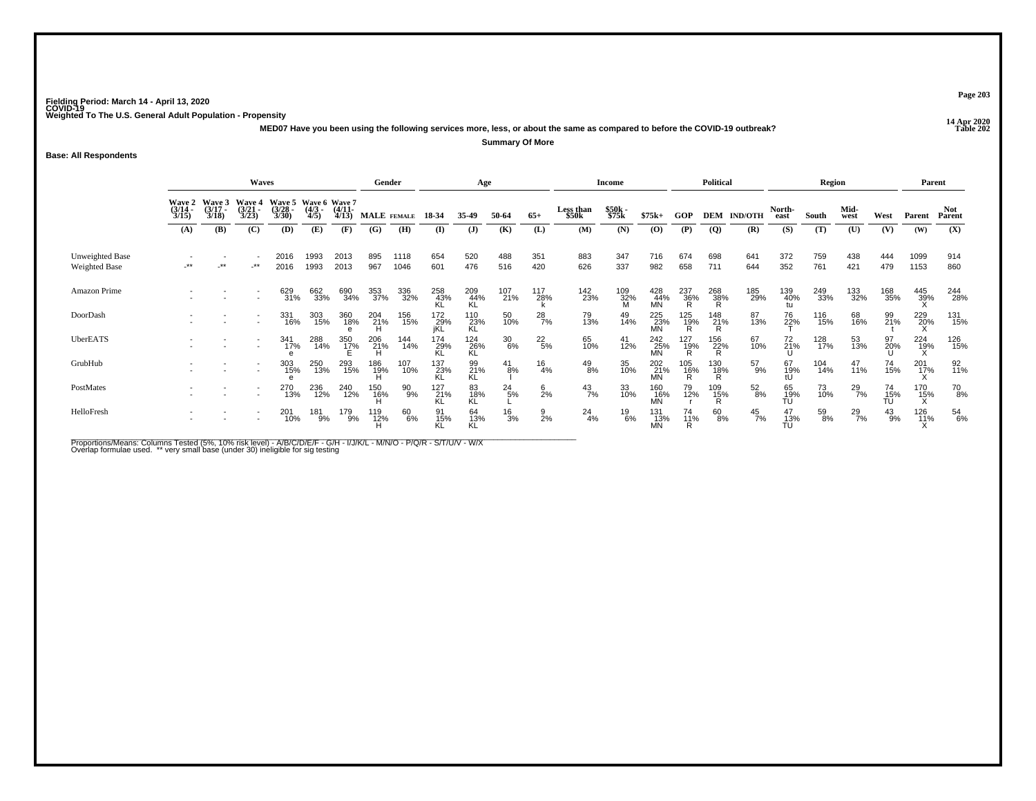**14 Apr 2020 MED07 Have you been using the following services more, less, or about the same as compared to before the COVID-19 outbreak?**

**Summary Of More**

**Base: All Respondents**

|                                         | <b>Waves</b>                    |                                        |                                        |                                               |                 |                       | Gender          |              |                    | Age                |                  |                 |                                | <b>Income</b>   |                         |                     | <b>Political</b> |                    |                 | Region     |               |                       | Parent          |                      |
|-----------------------------------------|---------------------------------|----------------------------------------|----------------------------------------|-----------------------------------------------|-----------------|-----------------------|-----------------|--------------|--------------------|--------------------|------------------|-----------------|--------------------------------|-----------------|-------------------------|---------------------|------------------|--------------------|-----------------|------------|---------------|-----------------------|-----------------|----------------------|
|                                         | Wave 2<br>$\frac{(3/14)}{3/15}$ | <b>Wave 3</b><br>$\frac{(3/17)}{3/18}$ | <b>Wave 4</b><br>$\frac{(3/21)}{3/23}$ | Wave 5 Wave 6 Wave 7<br>$\frac{(3/28)}{3/30}$ | $(4/3 -$<br>4/5 | $\frac{(4/11)}{4/13}$ | MALE FEMALE     |              | 18-34              | 35-49              | 50-64            | $65+$           | Less than<br>\$50 <sub>k</sub> | \$50k<br>\$75k  | $$75k+$                 | <b>GOP</b>          |                  | <b>DEM IND/OTH</b> | North-<br>east  | South      | Mid-<br>west  | West                  | Parent          | <b>Not</b><br>Parent |
|                                         | (A)                             | (B)                                    | (C)                                    | (D)                                           | (E)             | (F)                   | (G)             | (H)          | (I)                | $\mathbf{J}$       | (K)              | (L)             | (M)                            | (N)             | $\bf{(0)}$              | (P)                 | $\overline{Q}$   | (R)                | (S)             | (T)        | (U)           | (V)                   | (W)             | (X)                  |
| Unweighted Base<br><b>Weighted Base</b> | $\cdot$ **                      | -**                                    | $.**$                                  | 2016<br>2016                                  | 1993<br>1993    | 2013<br>2013          | 895<br>967      | 1118<br>1046 | 654<br>601         | 520<br>476         | 488<br>516       | 351<br>420      | 883<br>626                     | 347<br>337      | 716<br>982              | 674<br>658          | 698<br>711       | 641<br>644         | 372<br>352      | 759<br>761 | 438<br>421    | 444<br>479            | 1099<br>1153    | 914<br>860           |
| Amazon Prime                            |                                 |                                        |                                        | 629<br>31%                                    | 662<br>33%      | 690<br>34%            | 353<br>37%      | 336<br>32%   | 258<br>43%<br>KL   | 209<br>44%<br>KL   | 107<br>21%       | 117<br>28%      | 142<br>23%                     | 109<br>32%<br>M | 428<br>44%<br><b>MN</b> | 237<br>36%<br>R     | 268<br>38%<br>R  | 185<br>29%         | 139<br>40%      | 249<br>33% | 133<br>32%    | 168<br>35%            | 445<br>39%      | 244<br>28%           |
| DoorDash                                |                                 |                                        |                                        | 331<br>16%                                    | 303<br>15%      | 360<br>18%            | 204<br>21%<br>H | 156<br>15%   | 172<br>_29%<br>iKL | 110<br>23%<br>KL   | 50<br>10%        | $^{28}_{7\%}$   | 79<br>13%                      | 49<br>14%       | 225<br>23%<br>MN        | 125<br>19%          | 148<br>21%<br>R  | 87<br>13%          | 76<br>22%       | 116<br>15% | 68<br>16%     | 99<br>21%             | 229<br>20%      | 131<br>15%           |
| UberEATS                                |                                 |                                        |                                        | 341<br>17%                                    | 288<br>14%      | 350<br>17%            | 206<br>21%<br>H | 144<br>14%   | 174<br>29%<br>KL   | $^{124}_{26\%}$ KL | $\frac{30}{6\%}$ | $^{22}_{\ 5\%}$ | 65<br>10%                      | 41<br>12%       | 242<br>25%<br><b>MN</b> | 127<br>19%          | 156<br>22%<br>R  | 67<br>10%          | 72<br>21%       | 128<br>17% | 53<br>13%     | 97<br>20%             | 224<br>19%      | 126<br>15%           |
| GrubHub                                 |                                 |                                        | $\overline{\phantom{a}}$               | 303<br>15%                                    | 250<br>13%      | 293<br>15%            | 186<br>19%<br>H | 107<br>10%   | 137<br>23%<br>KL   | 99<br>21%<br>KL    | $^{41}_{8\%}$    | $^{16}_{4\%}$   | $^{49}_{8\%}$                  | 35<br>10%       | 202<br>21%              | 105<br>1 <u>6</u> % | 130<br>18%<br>R  | $^{57}_{9\%}$      | 67<br>19%       | 104<br>14% | 47<br>11%     | 74<br>15%             | $^{201}_{17\%}$ | 92 <sub>%</sub>      |
| PostMates                               |                                 |                                        |                                        | 270<br>13%                                    | 236<br>12%      | 240<br>12%            | 150<br>16%<br>H | 90<br>9%     | 127<br>21%<br>KL   | 83<br>18%<br>KL    | $^{24}_{5\%}$    | $6$<br>2%       | $^{43}_{7\%}$                  | 33<br>10%       | 160<br>16%<br>MN        | 79<br>12%           | 109<br>15%<br>R  | $^{52}_{8\%}$      | 65<br>19%<br>TU | 73<br>10%  | $^{29}_{7\%}$ | 74<br>$\frac{15}{10}$ | 170<br>15%      | $^{70}_{8\%}$        |
| HelloFresh                              |                                 |                                        |                                        | 201<br>10%                                    | 181<br>9%       | 179<br>9%             | 119<br>12%      | 60<br>6%     | 91<br>15%          | 64<br>13%<br>KL    | $\frac{16}{3%}$  | $\frac{9}{2%}$  | $^{24}_{4\%}$                  | 19<br>6%        | 131<br>13%<br><b>MN</b> | 74<br>11%           | 60<br>8%         | $^{45}_{7\%}$      | 47<br>13%<br>TÚ | 59<br>8%   | $^{29}_{7\%}$ | $^{43}_{9\%}$         | 126<br>11%      | 54<br>6%             |

Proportions/Means: Columns Tested (5%, 10% risk level) - A/B/C/D/E/F - G/H - I/J/K/L - M/N/O - P/Q/R - S/T/U/V - W/X<br>Overlap formulae used. \*\* very small base (under 30) ineligible for sig testing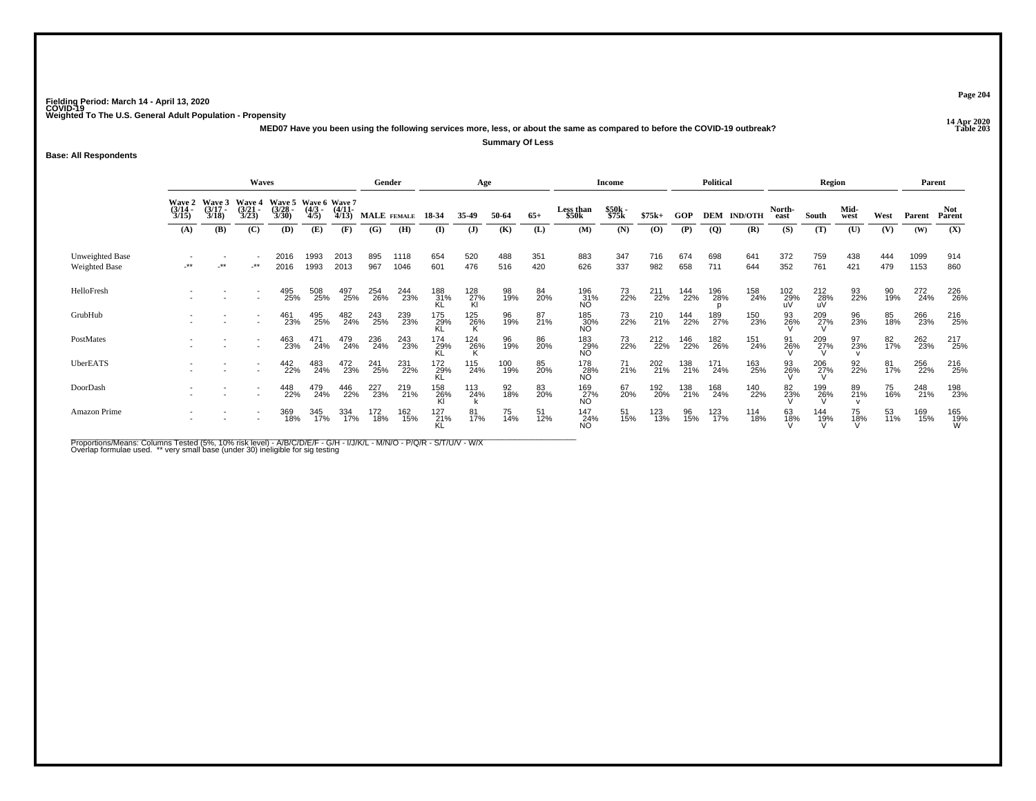**14 Apr 2020 MED07 Have you been using the following services more, less, or about the same as compared to before the COVID-19 outbreak?Summary Of Less**

**Base: All Respondents**

|                                  |                          |                             | <b>Waves</b>                                         |                                               |                     |                       | Gender      |              |                  | Age              |            |            |                         | Income         |            |            | <b>Political</b> |                    |                  | Region             |                 |            | Parent       |                      |
|----------------------------------|--------------------------|-----------------------------|------------------------------------------------------|-----------------------------------------------|---------------------|-----------------------|-------------|--------------|------------------|------------------|------------|------------|-------------------------|----------------|------------|------------|------------------|--------------------|------------------|--------------------|-----------------|------------|--------------|----------------------|
|                                  | Wave 2<br>(3/14)<br>3/15 | Wave 3<br>$(3/17 -$<br>3/18 | <b>Wave 4</b><br>$(3/21 -$<br>3/23                   | Wave 5 Wave 6 Wave 7<br>$\frac{(3/28)}{3/30}$ | $\frac{(4/3)}{4/5}$ | $\frac{(4/11)}{4/13}$ | MALE FEMALE |              | 18-34            | 35-49            | 50-64      | $65+$      | Less than<br>\$50k      | \$50k<br>\$75k | $$75k+$    | GOP        |                  | <b>DEM IND/OTH</b> | North-<br>east   | South              | Mid-<br>west    | West       | Parent       | <b>Not</b><br>Parent |
|                                  | (A)                      | (B)                         | (C)                                                  | (D)                                           | (E)                 | (F)                   | (G)         | (H)          | $\bf{I}$         | (J)              | (K)        | (L)        | (M)                     | (N)            | $\bf{(0)}$ | (P)        | $\overline{Q}$   | (R)                | (S)              | (T)                | (U)             | (V)        | (W)          | (X)                  |
| Unweighted Base<br>Weighted Base | $**$                     | $-***$                      | $-***$                                               | 2016<br>2016                                  | 1993<br>1993        | 2013<br>2013          | 895<br>967  | 1118<br>1046 | 654<br>601       | 520<br>476       | 488<br>516 | 351<br>420 | 883<br>626              | 347<br>337     | 716<br>982 | 674<br>658 | 698<br>711       | 641<br>644         | 372<br>352       | 759<br>761         | 438<br>421      | 444<br>479 | 1099<br>1153 | 914<br>860           |
| HelloFresh                       |                          |                             |                                                      | 495<br>25%                                    | 508<br>25%          | 497<br>25%            | 254<br>26%  | 244<br>23%   | 188<br>31%<br>KL | 128<br>27%<br>Kl | 98<br>19%  | 84<br>20%  | 196<br>31%<br>NO        | 73<br>22%      | 211<br>22% | 144<br>22% | 196<br>28%       | 158<br>24%         | 102<br>29%<br>uV | $^{212}_{28\%}$ uV | 93<br>22%       | 90<br>19%  | 272<br>24%   | 226<br>26%           |
| GrubHub                          |                          |                             |                                                      | 461<br>23%                                    | 495<br>25%          | 482<br>24%            | 243<br>25%  | 239<br>23%   | 175<br>29%<br>KL | 125<br>26%       | 96<br>19%  | 87<br>21%  | 185<br>30%<br>NO        | 73<br>22%      | 210<br>21% | 144<br>22% | 189<br>27%       | 150<br>23%         | 93<br>26%        | $^{209}_{27\%}$    | 96<br>23%       | 85<br>18%  | 266<br>23%   | 216<br>25%           |
| PostMates                        |                          |                             |                                                      | 463<br>23%                                    | 471<br>24%          | 479<br>24%            | 236<br>24%  | 243<br>23%   | 174<br>29%<br>KL | $^{124}_{26\%}$  | 96<br>19%  | 86<br>20%  | 183<br>29%<br>NÓ.       | 73<br>22%      | 212<br>22% | 146<br>22% | 182<br>26%       | 151<br>24%         | 91<br>26%        | $^{209}_{27\%}$    | 97<br>23%       | 82<br>17%  | 262<br>23%   | 217<br>25%           |
| UberEATS                         |                          |                             | $\overline{\phantom{a}}$                             | 442<br>22%                                    | 483<br>24%          | 472<br>23%            | 241<br>25%  | 231<br>22%   | 172<br>29%<br>KL | 115<br>24%       | 100<br>19% | 85<br>20%  | 178<br>28%<br>NO        | $^{71}_{21\%}$ | 202<br>21% | 138<br>21% | 171<br>24%       | 163<br>25%         | 93<br>26%        | $^{206}_{27\%}$    | 92 <sub>%</sub> | 81<br>17%  | 256<br>22%   | 216<br>25%           |
| DoorDash                         |                          |                             | $\overline{\phantom{a}}$<br>$\overline{\phantom{a}}$ | 448<br>22%                                    | 479<br>24%          | 446<br>22%            | 227<br>23%  | 219<br>21%   | 158<br>26%<br>Kl | 113<br>24%       | 92<br>18%  | 83<br>20%  | 169<br>27%<br>NO        | 67<br>20%      | 192<br>20% | 138<br>21% | 168<br>24%       | 140<br>22%         | 82<br>23%        | 199<br>26%         | 89<br>21%       | 75<br>16%  | 248<br>21%   | 198<br>23%           |
| Amazon Prime                     |                          |                             | $\overline{\phantom{a}}$<br>$\overline{\phantom{a}}$ | 369<br>18%                                    | 345<br>17%          | 334<br>17%            | 172<br>18%  | 162<br>15%   | 127<br>21%<br>KL | 81<br>17%        | 75<br>14%  | 51<br>12%  | 147<br>24%<br><b>NO</b> | 51<br>15%      | 123<br>13% | 96<br>15%  | 123<br>17%       | 114<br>18%         | 63<br>18%        | $\frac{144}{19\%}$ | 75<br>18%       | 53<br>11%  | 169<br>15%   | 165<br>19%<br>W      |

Proportions/Means: Columns Tested (5%, 10% risk level) - A/B/C/D/E/F - G/H - I/J/K/L - M/N/O - P/Q/R - S/T/U/V - W/X<br>Overlap formulae used. \*\* very small base (under 30) ineligible for sig testing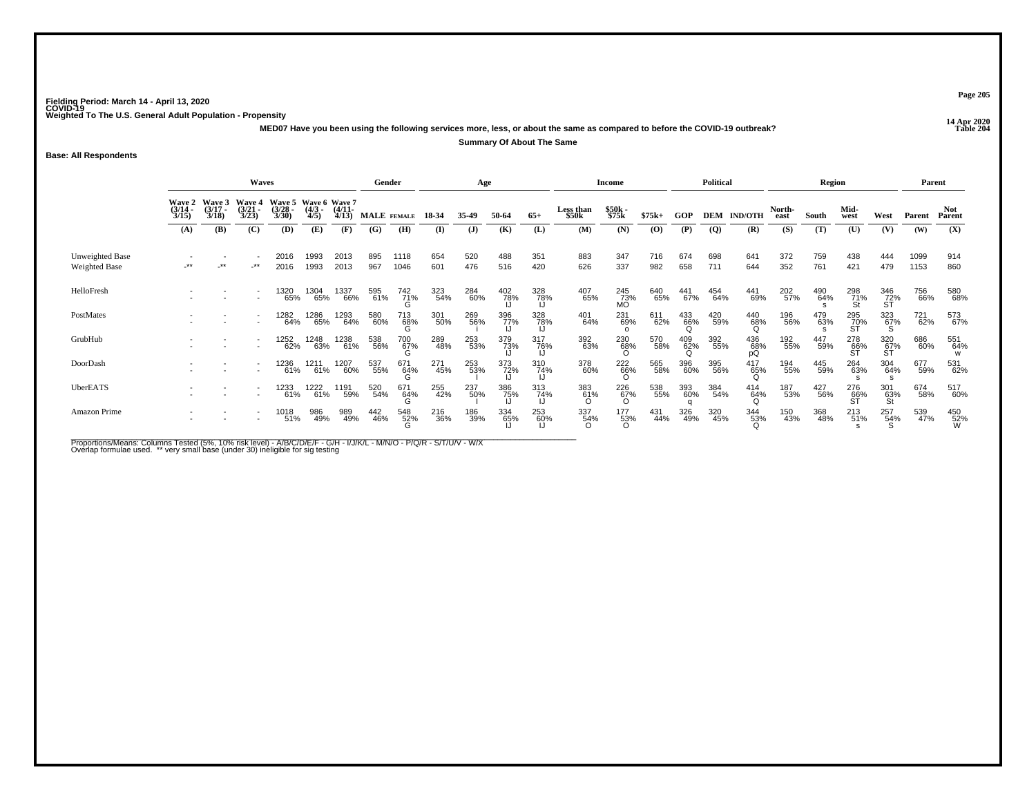**14 Apr 2020 MED07 Have you been using the following services more, less, or about the same as compared to before the COVID-19 outbreak?Summary Of About The Same**

**Base: All Respondents**

|                                  | <b>Waves</b>                           |                                 |                                        |                                               |                    |                       | Gender      |                    |            | Age        |                   |                   |                           | Income                 |            |            | <b>Political</b> |                    |                | Region     |                  |                            | Parent       |                      |
|----------------------------------|----------------------------------------|---------------------------------|----------------------------------------|-----------------------------------------------|--------------------|-----------------------|-------------|--------------------|------------|------------|-------------------|-------------------|---------------------------|------------------------|------------|------------|------------------|--------------------|----------------|------------|------------------|----------------------------|--------------|----------------------|
|                                  | <b>Wave 2</b><br>$\frac{(3/14)}{3/15}$ | Wave 3<br>$\frac{(3/17)}{3/18}$ | <b>Wave 4</b><br>$\frac{(3/21)}{3/23}$ | Wave 5 Wave 6 Wave 7<br>$\frac{(3/28)}{3/30}$ | $\binom{4/3}{4/5}$ | $\frac{(4/11)}{4/13}$ | MALE FEMALE |                    | 18-34      | 35-49      | 50-64             | $65+$             | <b>Less than</b><br>\$50k | \$50k<br>\$75k         | $$75k+$    | GOP        |                  | <b>DEM IND/OTH</b> | North-<br>east | South      | Mid-<br>west     | West                       | Parent       | <b>Not</b><br>Parent |
|                                  | (A)                                    | (B)                             | (C)                                    | (D)                                           | (E)                | (F)                   | (G)         | (H)                | (I)        | (J)        | (K)               | (L)               | (M)                       | (N)                    | $\bf{(0)}$ | (P)        | $\overline{Q}$   | (R)                | (S)            | (T)        | (U)              | (V)                        | (W)          | (X)                  |
| Unweighted Base<br>Weighted Base | $\cdot$ **                             | .∗∗                             | $^{\star\star}$                        | 2016                                          | 1993<br>1993       | 2013<br>2013          | 895<br>967  | 1118<br>1046       | 654<br>601 | 520<br>476 | 488<br>516        | 351<br>420        | 883<br>626                | 347<br>337             | 716<br>982 | 674<br>658 | 698<br>711       | 641<br>644         | 372<br>352     | 759<br>761 | 438<br>421       | 444<br>479                 | 1099<br>1153 | 914<br>860           |
| HelloFresh                       |                                        |                                 |                                        | 1320<br>65%                                   | 1304<br>65%        | 1337<br>66%           | 595<br>61%  | 742 <sub>71%</sub> | 323<br>54% | 284<br>60% | $^{402}_{78\%}$   | 328<br>78%        | 407<br>65%                | 245<br>73%<br>MO       | 640<br>65% | 441<br>67% | 454<br>64%       | 441<br>69%         | 202<br>57%     | 490<br>64% | 298<br>71%<br>St | 346<br>72%<br>ST           | 756<br>66%   | 580<br>68%           |
| PostMates                        |                                        |                                 |                                        | 1282<br>64%                                   | 1286<br>65%        | 1293<br>64%           | 580<br>60%  | 713<br>68%         | 301<br>50% | 269<br>56% | 396<br>77%<br>ارا | 328<br>78%        | 401<br>64%                | 231<br>69%<br>$\Omega$ | 611<br>62% | 433<br>66% | 420<br>59%       | 440<br>68%         | 196<br>56%     | 479<br>63% | 295<br>70%<br>ST | 323<br>67%<br>S            | 721<br>62%   | 573<br>67%           |
| GrubHub                          |                                        |                                 |                                        | 1252<br>62%                                   | 1248<br>63%        | 1238<br>61%           | 538<br>56%  | 700<br>67%         | 289<br>48% | 253<br>53% | 379<br>73%        | 317<br>76%        | 392<br>63%                | 230<br>68%<br>$\Omega$ | 570<br>58% | 409<br>62% | 392<br>55%       | 436<br>68%<br>pQ   | 192<br>55%     | 447<br>59% | 278<br>66%<br>ST | 320<br>67%<br><b>ST</b>    | 686<br>60%   | 551<br>64%<br>W      |
| DoorDash                         |                                        |                                 |                                        | 1236<br>61%                                   | 1211<br>61%        | 1207<br>60%           | 537<br>55%  | 671<br>64%         | 271<br>45% | 253<br>53% | 373<br>72%<br>JJ  | 310<br>74%        | 378<br>60%                | $^{222}_{66\%}$        | 565<br>58% | 396<br>60% | 395<br>56%       | 417<br>65%         | 194<br>55%     | 445<br>59% | 264<br>63%       | 304<br>64%<br><sub>S</sub> | 677<br>59%   | 531<br>62%           |
| UberEATS                         |                                        |                                 |                                        | 1233<br>61%                                   | 1222<br>61%        | 1191<br>59%           | 520<br>54%  | 671<br>64%         | 255<br>42% | 237<br>50% | 386<br>75%        | 313<br>74%<br>ارا | 383<br>61%<br>റ           | 226<br>67%<br>O        | 538<br>55% | 393<br>60% | 384<br>54%       | $^{414}_{64\%}$    | 187<br>53%     | 427<br>56% | 276<br>66%<br>ST | 301<br>63%<br>St           | 674<br>58%   | 517<br>60%           |
| Amazon Prime                     |                                        |                                 |                                        | 1018<br>51%                                   | 986<br>49%         | 989<br>49%            | 442<br>46%  | 548<br>52%<br>G    | 216<br>36% | 186<br>39% | 334<br>65%        | 253<br>60%        | 337<br>54%<br>∩           | 177<br>53%<br>$\Omega$ | 431<br>44% | 326<br>49% | 320<br>45%       | 344<br>53%         | 150<br>43%     | 368<br>48% | 213<br>51%       | 257<br>54%                 | 539<br>47%   | 450<br>52%<br>W      |

Proportions/Means: Columns Tested (5%, 10% risk level) - A/B/C/D/E/F - G/H - I/J/K/L - M/N/O - P/Q/R - S/T/U/V - W/X<br>Overlap formulae used. \*\* very small base (under 30) ineligible for sig testing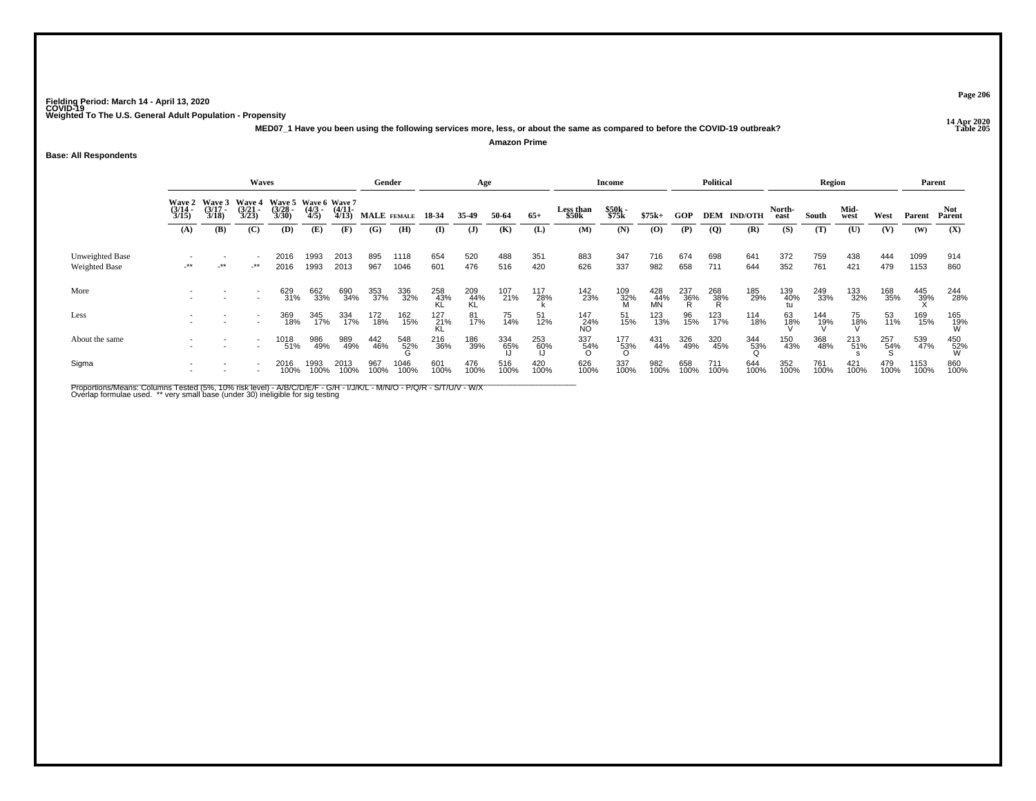**14 Apr 2020 MED07\_1 Have you been using the following services more, less, or about the same as compared to before the COVID-19 outbreak?Amazon Prime**

**Base: All Respondents**

|                                  |                                        |                                                                | Waves               |                       |              |              | Gender      |              |                    | Age              |                           |                |                   | Income          |                  |                    | <b>Political</b> |             |              | Region          |             |                 | Parent       |                 |
|----------------------------------|----------------------------------------|----------------------------------------------------------------|---------------------|-----------------------|--------------|--------------|-------------|--------------|--------------------|------------------|---------------------------|----------------|-------------------|-----------------|------------------|--------------------|------------------|-------------|--------------|-----------------|-------------|-----------------|--------------|-----------------|
|                                  | Wave 2 Wave 3<br>(3/14 - (3/17 - 3/15) | Wave 5 Wave 6 Wave 7<br><b>Wave 4</b><br>$\frac{(3/28)}{3/30}$ | $\frac{(4/3)}{4/5}$ | $\frac{(4/11)}{4/13}$ | MALE FEMALE  |              | 18-34       | 35.49        | 50-64              | $65+$            | <b>Less than</b><br>\$50k | \$50k<br>\$75k | $$75k+$           | GOP             |                  | <b>DEM IND/OTH</b> | North-<br>east   | South       | Mid-<br>west | West            | Parent      | Parent          |              |                 |
|                                  | (A)                                    | (B)                                                            | (C)                 | (D)                   | (E)          | (F)          | (G)         | (H)          | (I)                | $\mathbf{J}$     | (K)                       | (L)            | (M)               | (N)             | $\bf{(0)}$       | (P)                | $\overline{Q}$   | (R)         | (S)          | (T)             | (U)         | (V)             | (W)          | (X)             |
| Unweighted Base<br>Weighted Base | $-***$                                 | -**                                                            | $-***$              | 2016<br>2016          | 1993<br>1993 | 2013<br>2013 | 895<br>967  | 1118<br>1046 | 654<br>601         | 520<br>476       | 488<br>516                | 351<br>420     | 883<br>626        | 347<br>337      | 716<br>982       | 674<br>658         | 698<br>711       | 641<br>644  | 372<br>352   | 759<br>761      | 438<br>421  | 444<br>479      | 1099<br>1153 | 914<br>860      |
| More                             |                                        |                                                                |                     | 629<br>31%            | 662<br>33%   | 690<br>34%   | 353<br>37%  | 336<br>32%   | 258<br>43%<br>KL   | 209<br>44%<br>KL | 107<br>21%                | 117<br>28%     | 142<br>23%        | 109<br>32%<br>M | 428<br>44%<br>MN | 237<br>36%<br>R    | 268<br>38%<br>R  | 185<br>29%  | 139<br>40%   | 249<br>33%      | 133<br>32%  | 168<br>35%      | 445<br>39%   | 244<br>28%      |
| Less                             |                                        |                                                                |                     | 369<br>18%            | 345<br>17%   | 334<br>17%   | 172<br>18%  | 162<br>15%   | $\frac{127}{21\%}$ | 81<br>17%        | 75<br>14%                 | 51<br>12%      | 147<br>_24%<br>NO | 51<br>15%       | 123<br>13%       | 96<br>15%          | 123<br>17%       | 114<br>18%  | 63<br>18%    | $^{144}_{19\%}$ | 75<br>18%   | 53<br>11%       | 169<br>15%   | 165<br>19%<br>W |
| About the same                   |                                        |                                                                | ۰                   | 1018<br>51%           | 986<br>49%   | 989<br>49%   | 442<br>46%  | 548<br>52%   | 216<br>36%         | 186<br>39%       | 334<br>65%                | 253<br>60%     | 337<br>54%<br>ი   | 177<br>53%<br>ဂ | 431<br>44%       | 326<br>49%         | 320<br>45%       | 344<br>53%  | 150<br>43%   | 368<br>48%      | 213<br>51%  | 257<br>54%<br>S | 539<br>47%   | 450<br>52%<br>W |
| Sigma                            |                                        |                                                                |                     | 2016<br>100%          | 1993<br>100% | 2013<br>100% | 967<br>100% | 1046<br>100% | 601<br>100%        | 476<br>100%      | 516<br>100%               | 420<br>100%    | 626<br>100%       | 337<br>100%     | 982<br>100%      | 658<br>100%        | 711<br>100%      | 644<br>100% | 352<br>100%  | 761<br>100%     | 421<br>100% | 479<br>100%     | 1153<br>100% | 860<br>100%     |

Proportions/Means: Columns Tested (5%, 10% risk level) - A/B/C/D/E/F - G/H - I/J/K/L - M/N/O - P/Q/R - S/T/U/V - W/X<br>Overlap formulae used. \*\* very small base (under 30) ineligible for sig testing

**Page 206**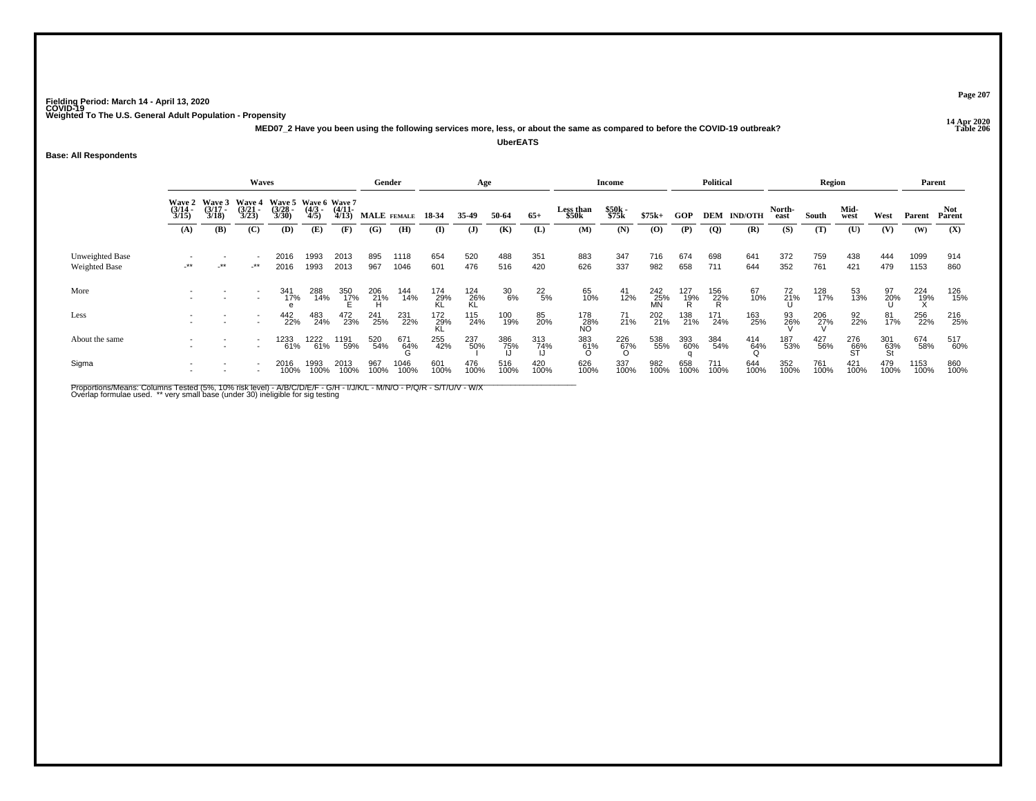**14 Apr 2020 MED07\_2 Have you been using the following services more, less, or about the same as compared to before the COVID-19 outbreak?**

**UberEATS**

## **Base: All Respondents**

|                                  |                                        |                                        | Waves                                  |                                               |                     |                       | Gender      |              |                    | Age              |               |                  |                    | Income          |                    |                 | <b>Political</b> |                    |                | Region      |                  |                   | Parent          |               |
|----------------------------------|----------------------------------------|----------------------------------------|----------------------------------------|-----------------------------------------------|---------------------|-----------------------|-------------|--------------|--------------------|------------------|---------------|------------------|--------------------|-----------------|--------------------|-----------------|------------------|--------------------|----------------|-------------|------------------|-------------------|-----------------|---------------|
|                                  | <b>Wave 2</b><br>$\frac{(3/14)}{3/15}$ | <b>Wave 3</b><br>$\frac{(3/17)}{3/18}$ | <b>Wave 4</b><br>$\frac{(3/21)}{3/23}$ | Wave 5 Wave 6 Wave 7<br>$\frac{(3/28)}{3/30}$ | $\frac{(4/3)}{4/5}$ | $\frac{(4/11)}{4/13}$ |             | MALE FEMALE  | 18-34              | 35.49            | 50-64         | $65+$            | Less than<br>\$50k | \$50k<br>\$75k  | $$75k+$            | <b>GOP</b>      |                  | <b>DEM IND/OTH</b> | North-<br>east | South       | Mid-<br>west     | West              | Parent          | Not<br>Parent |
|                                  | (A)                                    | (B)                                    | (C)                                    | (D)                                           | (E)                 | (F)                   | (G)         | (H)          | $\bf{I}$           | (J)              | (K)           | (L)              | (M)                | (N)             | (O)                | (P)             | $\overline{Q}$   | (R)                | (S)            | (T)         | (U)              | (V)               | (W)             | (X)           |
| Unweighted Base<br>Weighted Base | -**                                    | $-***$                                 | $-***$                                 | 2016<br>2016                                  | 1993<br>1993        | 2013<br>2013          | 895<br>967  | 1118<br>1046 | 654<br>601         | 520<br>476       | 488<br>516    | 351<br>420       | 883<br>626         | 347<br>337      | 716<br>982         | 674<br>658      | 698<br>711       | 641<br>644         | 372<br>352     | 759<br>761  | 438<br>421       | 444<br>479        | 1099<br>1153    | 914<br>860    |
| More                             |                                        |                                        |                                        | 341<br>17%                                    | 288<br>14%          | 350<br>17%            | 206<br>21%  | 144<br>14%   | 174<br>29%<br>KL   | 124<br>26%<br>KL | $^{30}_{6\%}$ | $^{22}_{5\%}$    | 65<br>10%          | $^{41}_{12\%}$  | $^{242}_{25\%}$ MN | 127<br>19%<br>R | 156<br>22%<br>R  | 67<br>10%          | $^{72}_{21\%}$ | 128<br>17%  | 53<br>13%        | $\frac{97}{20\%}$ | $^{224}_{19\%}$ | 126<br>15%    |
| Less                             |                                        |                                        |                                        | 442<br>22%                                    | 483<br>24%          | 472<br>23%            | 241<br>25%  | 231<br>22%   | $\frac{172}{29\%}$ | 115<br>24%       | 100<br>19%    | 85<br>20%        | 178<br>_28%<br>NO  | 71<br>21%       | 202<br>21%         | 138<br>21%      | 171<br>24%       | 163<br>25%         | 93<br>26%      | 206<br>27%  | 92<br>22%        | 81<br>17%         | 256<br>22%      | 216<br>25%    |
| About the same                   |                                        |                                        |                                        | 1233<br>61%                                   | 61%                 | 1191<br>59%           | 520<br>54%  | 671<br>64%   | 255<br>42%         | 237<br>50%       | 386<br>75%    | 313<br>74%<br>LI | 383<br>_61%        | $^{226}_{67\%}$ | 538<br>55%         | 393<br>60%      | 384<br>54%       | 414<br>64%         | 187<br>53%     | 427<br>56%  | 276<br>66%<br>ST | 301<br>63%<br>St  | 674<br>58%      | 517<br>60%    |
| Sigma                            |                                        |                                        |                                        | 2016<br>100%                                  | 1993<br>100%        | 2013<br>100%          | 967<br>100% | 1046<br>100% | 601<br>100%        | 476<br>100%      | 516<br>100%   | 420<br>100%      | 626<br>100%        | 337<br>100%     | 982<br>100%        | 658<br>100%     | 711<br>100%      | 644<br>100%        | 352<br>100%    | 761<br>100% | 421<br>100%      | 479<br>100%       | 1153<br>100%    | 860<br>100%   |

Proportions/Means: Columns Tested (5%, 10% risk level) - A/B/C/D/E/F - G/H - I/J/K/L - M/N/O - P/Q/R - S/T/U/V - W/X<br>Overlap formulae used. \*\* very small base (under 30) ineligible for sig testing

**Page 207**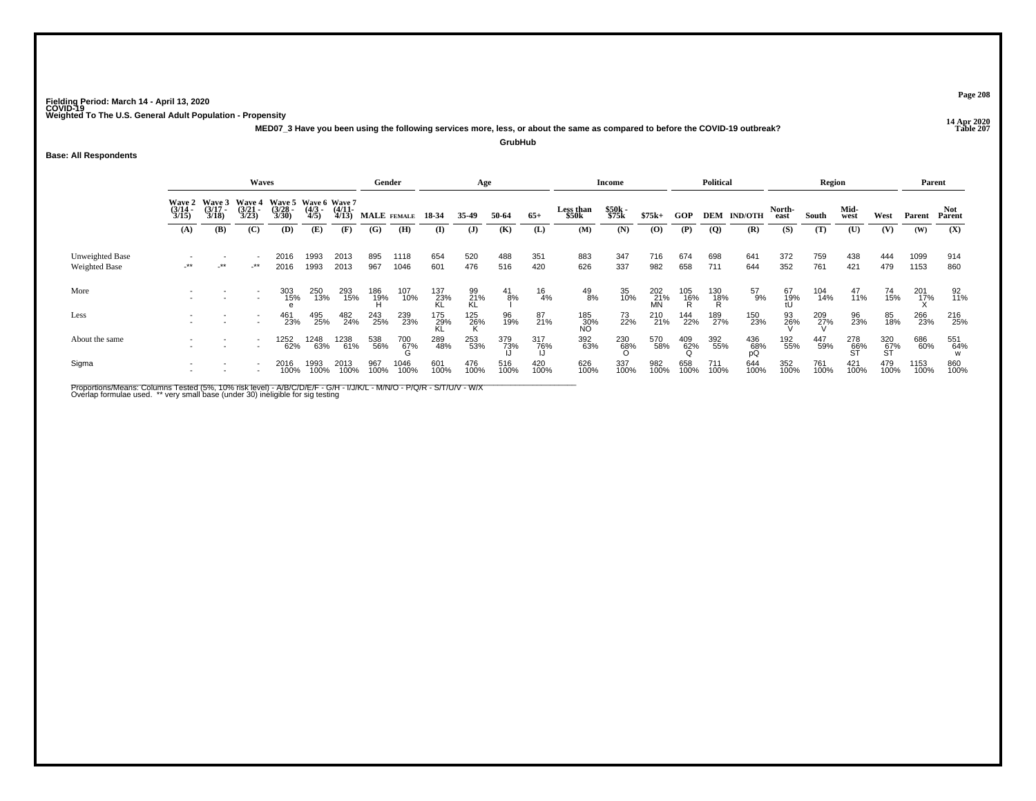**14 Apr 2020 MED07\_3 Have you been using the following services more, less, or about the same as compared to before the COVID-19 outbreak?GrubHub**

## **Base: All Respondents**

|                                         |                                                                                                                                                                                                            |            | Waves  |              |              |                              | Gender              |                    |                   | Age                   |               |              |                           | <b>Income</b>         |                  |                 | <b>Political</b> |                           |                       | Region       |                     |                  | Parent        |                      |
|-----------------------------------------|------------------------------------------------------------------------------------------------------------------------------------------------------------------------------------------------------------|------------|--------|--------------|--------------|------------------------------|---------------------|--------------------|-------------------|-----------------------|---------------|--------------|---------------------------|-----------------------|------------------|-----------------|------------------|---------------------------|-----------------------|--------------|---------------------|------------------|---------------|----------------------|
|                                         | Wave 2 Wave 3<br>Wave 4 Wave 5 Wave 6 Wave 7<br>$\frac{(3/17)}{3/18}$<br>$\frac{(3/21)}{3/23}$<br>$\frac{(3/14)}{3/15}$<br>$\frac{(3/28)}{3/30}$<br>$\frac{(4/3)}{4/5}$<br>(B)<br>(C)<br>(D)<br>(A)<br>(E) |            |        |              |              | $\frac{(4/11)}{4/13}$<br>(F) | (G)                 | MALE FEMALE<br>(H) | 18-34<br>$\bf{I}$ | 35-49<br>$\mathbf{J}$ | 50-64<br>(K)  | $65+$<br>(L) | Less than<br>\$50k<br>(M) | \$50k<br>\$75k<br>(N) | $$75k+$<br>(0)   | GOP<br>(P)      | $\overline{Q}$   | <b>DEM IND/OTH</b><br>(R) | North-<br>east<br>(S) | South<br>(T) | Mid-<br>west<br>(U) | West<br>(V)      | Parent<br>(W) | Not<br>Parent<br>(X) |
| Unweighted Base<br><b>Weighted Base</b> | $-***$                                                                                                                                                                                                     | $\cdot$ ** | $-***$ | 2016<br>2016 | 1993<br>1993 | 2013<br>2013                 | 895<br>967          | 1118<br>1046       | 654<br>601        | 520<br>476            | 488<br>516    | 351<br>420   | 883<br>626                | 347<br>337            | 716<br>982       | 674<br>658      | 698<br>711       | 641<br>644                | 372<br>352            | 759<br>761   | 438<br>421          | 444<br>479       | 1099<br>1153  | 914<br>860           |
| More                                    |                                                                                                                                                                                                            |            |        | 303<br>15%   | 250<br>13%   | 293<br>15%                   | 186<br>- 19%<br>- H | 107<br>10%         | 137<br>23%<br>KL  | 99<br>21%<br>KL       | $^{41}_{8\%}$ | 16<br>4%     | 49<br>8%                  | 35<br>10%             | 202<br>21%<br>MN | 105<br>16%<br>R | 130<br>18%<br>R  | $^{57}_{9\%}$             | 67<br>19%<br>tU       | 104<br>14%   | 47<br>11%           | 74<br>15%        | 201<br>17%    | 92<br>11%            |
| Less                                    |                                                                                                                                                                                                            |            |        | 461<br>23%   | 495<br>25%   | 482<br>24%                   | 243<br>25%          | 239<br>23%         | 175<br>29%<br>KL  | 125<br>26%            | 96<br>19%     | 87<br>21%    | 185<br>_30%<br>NO         | 73<br>22%             | 210<br>21%       | 144<br>22%      | 189<br>27%       | 150<br>23%                | 93<br>26%             | 209<br>27%   | 96<br>23%           | 85<br>18%        | 266<br>23%    | 216<br>25%           |
| About the same                          |                                                                                                                                                                                                            |            |        | 1252<br>62%  | 1248<br>63%  | 1238<br>61%                  | 538<br>56%          | 700<br>67%         | 289<br>48%        | 253<br>53%            | 379<br>73%    | 317<br>76%   | 392<br>63%                | 230<br>_68%<br>ი      | 570<br>58%       | $^{409}_{62\%}$ | 392<br>55%       | 436<br>68%<br>pQ          | 192<br>55%            | 447<br>59%   | 278<br>66%<br>ST    | 320<br>67%<br>ST | 686<br>60%    | 551<br>64%           |
| Sigma                                   |                                                                                                                                                                                                            |            |        | 2016<br>100% | 1993<br>100% | 2013<br>100%                 | 967<br>100%         | 1046<br>100%       | 601<br>100%       | 476<br>100%           | 516<br>100%   | 420<br>100%  | 626<br>100%               | 337<br>100%           | 982<br>100%      | 658<br>100%     | 711<br>100%      | 644<br>100%               | 352<br>100%           | 761<br>100%  | 421<br>100%         | 479<br>100%      | 1153<br>100%  | 860<br>100%          |

Proportions/Means: Columns Tested (5%, 10% risk level) - A/B/C/D/E/F - G/H - I/J/K/L - M/N/O - P/Q/R - S/T/U/V - W/X<br>Overlap formulae used. \*\* very small base (under 30) ineligible for sig testing

**Page 208**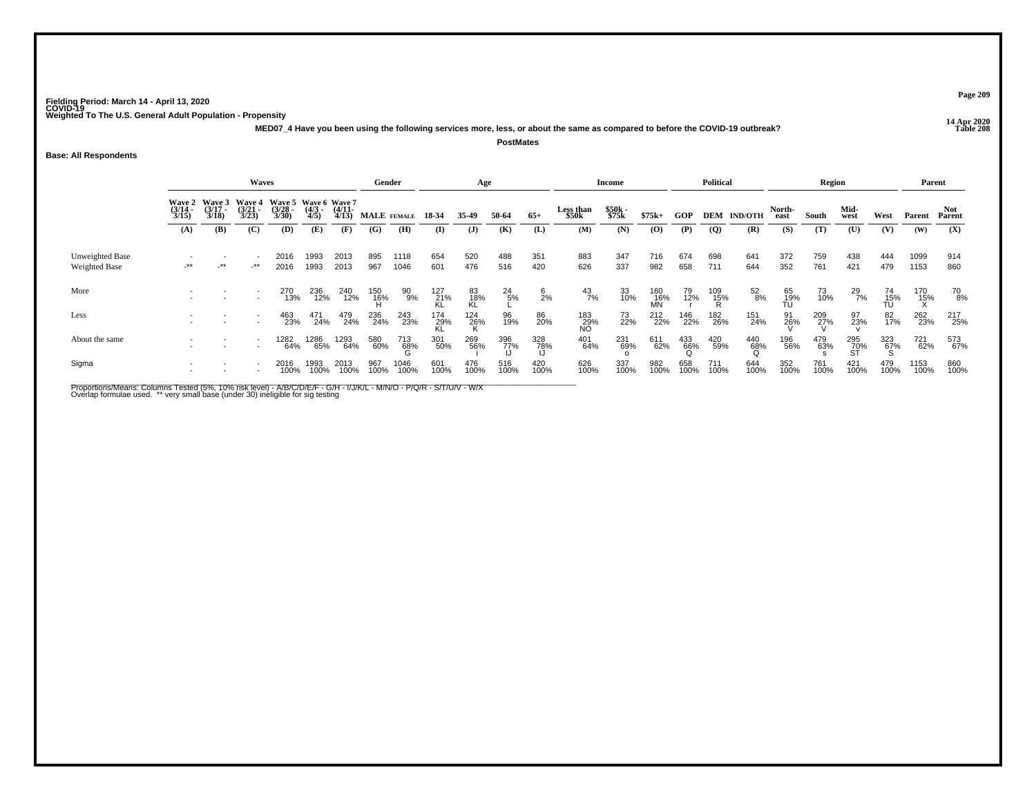**14 Apr 2020 MED07\_4 Have you been using the following services more, less, or about the same as compared to before the COVID-19 outbreak?PostMates**

## **Base: All Respondents**

|                                  |                                                                                                                                                                                                         |            | Waves  |              |                     |                       |                 | Gender        |                  | Age             |                   |                 |                    | <b>Income</b>  |                    |                 | <b>Political</b> |                    |                 | Region      |                  |                    | Parent       |               |
|----------------------------------|---------------------------------------------------------------------------------------------------------------------------------------------------------------------------------------------------------|------------|--------|--------------|---------------------|-----------------------|-----------------|---------------|------------------|-----------------|-------------------|-----------------|--------------------|----------------|--------------------|-----------------|------------------|--------------------|-----------------|-------------|------------------|--------------------|--------------|---------------|
|                                  | <b>Wave 3</b><br>Wave 5 Wave 6 Wave 7<br><b>Wave 4</b><br><b>Wave 2</b><br>$\frac{(3/17)}{3/18}$<br>$\frac{(3/21)}{3/23}$<br>$\frac{(3/28)}{3/30}$<br>$\frac{(3/14)}{3/15}$<br>(D)<br>(B)<br>(C)<br>(A) |            |        |              | $\frac{(4/3)}{4/5}$ | $\frac{(4/11)}{4/13}$ |                 | MALE FEMALE   | 18-34            | 35-49           | 50-64             | $65+$           | Less than<br>\$50k | \$50k<br>\$75k | $$75k+$            | GOP             |                  | <b>DEM IND/OTH</b> | North-<br>east  | South       | Mid-<br>west     | West               | Parent       | Not<br>Parent |
|                                  |                                                                                                                                                                                                         |            |        |              | (E)                 | (F)                   | (G)             | (H)           | (I)              | $\mathbf{J}$    | (K)               | (L)             | (M)                | (N)            | (0)                | (P)             | $\overline{Q}$   | (R)                | (S)             | (T)         | (U)              | (V)                | (W)          | (X)           |
| Unweighted Base<br>Weighted Base | -**                                                                                                                                                                                                     | $\cdot$ ** | $-***$ | 2016<br>2016 | 1993<br>1993        | 2013<br>2013          | 895<br>967      | 1118<br>1046  | 654<br>601       | 520<br>476      | 488<br>516        | 351<br>420      | 883<br>626         | 347<br>337     | 716<br>982         | 674<br>658      | 698<br>711       | 641<br>644         | 372<br>352      | 759<br>761  | 438<br>421       | 444<br>479         | 1099<br>1153 | 914<br>860    |
| More                             |                                                                                                                                                                                                         |            |        | 270<br>13%   | 236<br>12%          | 240<br>12%            | 150<br>16%<br>H | $^{90}_{9\%}$ | 127<br>21%<br>KL | 83<br>18%<br>KL | $^{24}_{5\%}$     | $\frac{6}{2}$ % | $^{43}_{7\%}$      | 33<br>10%      | 160<br>- 16%<br>MN | $79 \atop 12\%$ | 109<br>15%<br>R  | $^{52}_{8\%}$      | 65<br>19%<br>TU | 73<br>10%   | $^{29}_{7\%}$    | 74<br>15%<br>TU    | 170<br>15%   | 70<br>8%      |
| Less                             |                                                                                                                                                                                                         |            |        | 463<br>23%   | 471<br>24%          | 479<br>24%            | 236<br>24%      | 243<br>23%    | 174<br>29%<br>KL | $^{124}_{26\%}$ | 96<br>19%         | 86<br>20%       | 183<br>29%<br>NO   | 73<br>22%      | 212<br>22%         | 146<br>22%      | 182<br>26%       | 151<br>24%         | 91<br>26%       | 209<br>27%  | 97<br>23%        | 82<br>17%          | 262<br>23%   | 217<br>25%    |
| About the same                   |                                                                                                                                                                                                         |            |        | 1282<br>64%  | 1286<br>65%         | 1293<br>64%           | 580<br>60%      | 713<br>68%    | 301<br>50%       | 269<br>56%      | 396<br>77%<br>ارا | 328<br>78%      | 401<br>64%         | 231<br>69%     | 611<br>62%         | 433<br>66%<br>Q | 420<br>59%       | 440<br>68%<br>Օ    | 196<br>56%      | 479<br>63%  | 295<br>70%<br>ST | $\frac{323}{67\%}$ | 721<br>62%   | 573<br>67%    |
| Sigma                            |                                                                                                                                                                                                         |            |        | 2016<br>100% | 1993<br>100%        | 2013<br>100%          | 967<br>100%     | 1046<br>100%  | 601<br>100%      | 476<br>100%     | 516<br>100%       | 420<br>100%     | 626<br>100%        | 337<br>100%    | 982<br>100%        | 658<br>100%     | 711<br>100%      | 644<br>100%        | 352<br>100%     | 761<br>100% | 421<br>100%      | 479<br>100%        | 1153<br>100% | 860<br>100%   |

Proportions/Means: Columns Tested (5%, 10% risk level) - A/B/C/D/E/F - G/H - I/J/K/L - M/N/O - P/Q/R - S/T/U/V - W/X<br>Overlap formulae used. \*\* very small base (under 30) ineligible for sig testing

**Page 209**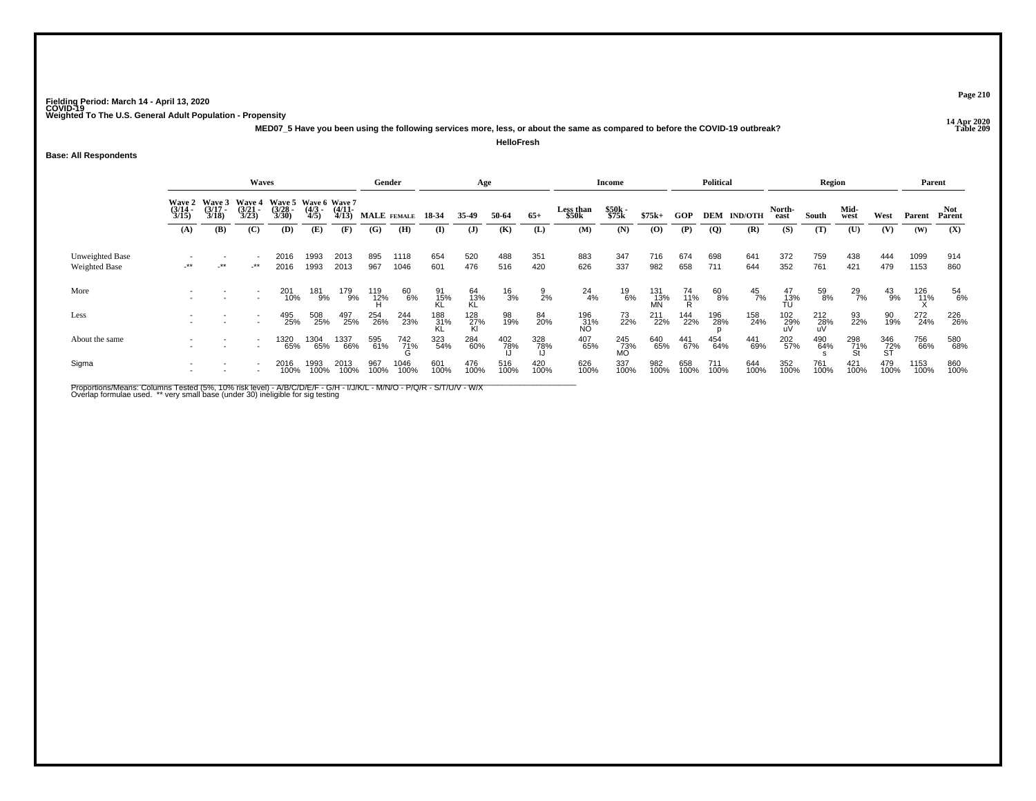**14 Apr 2020 MED07\_5 Have you been using the following services more, less, or about the same as compared to before the COVID-19 outbreak?HelloFresh**

## **Base: All Respondents**

|                                  |                                        |                                 | Waves                                  |                                               |                     |                       | Gender       |                 |                    | Age                |              |                 |                    | Income           |                    |                | <b>Political</b> |                    |                  | Region          |                  |                  | Parent       |               |
|----------------------------------|----------------------------------------|---------------------------------|----------------------------------------|-----------------------------------------------|---------------------|-----------------------|--------------|-----------------|--------------------|--------------------|--------------|-----------------|--------------------|------------------|--------------------|----------------|------------------|--------------------|------------------|-----------------|------------------|------------------|--------------|---------------|
|                                  | <b>Wave 2</b><br>$\frac{(3/14)}{3/15}$ | Wave 3<br>$\frac{(3/17)}{3/18}$ | <b>Wave 4</b><br>$\frac{(3/21)}{3/23}$ | Wave 5 Wave 6 Wave 7<br>$\frac{(3/28)}{3/30}$ | $\frac{(4/3)}{4/5}$ | $\frac{(4/11)}{4/13}$ |              | MALE FEMALE     | 18 34              | 35.49              | 50-64        | $65+$           | Less than<br>\$50k | \$50k<br>\$75k   | $$75k+$            | <b>GOP</b>     |                  | <b>DEM IND/OTH</b> | North-<br>east   | South           | Mid-<br>west     | West             | Parent       | Not<br>Parent |
|                                  | (A)                                    | (B)                             | (C)                                    | (D)                                           | (E)                 | (F)                   | (G)          | (H)             | $\mathbf{I}$       | (J)                | (K)          | (L)             | (M)                | (N)              | $\bf(0)$           | (P)            | $\overline{Q}$   | (R)                | (S)              | (T)             | (U)              | (V)              | (W)          | (X)           |
| Unweighted Base<br>Weighted Base | $-***$                                 | $-***$                          | $-***$                                 | 2016<br>2016                                  | 1993<br>1993        | 2013<br>2013          | 895<br>967   | 1118<br>1046    | 654<br>601         | 520<br>476         | 488<br>516   | 351<br>420      | 883<br>626         | 347<br>337       | 716<br>982         | 674<br>658     | 698<br>711       | 641<br>644         | 372<br>352       | 759<br>761      | 438<br>421       | 444<br>479       | 1099<br>1153 | 914<br>860    |
| More                             |                                        |                                 |                                        | 201<br>10%                                    | 181<br>9%           | 179<br>9%             | 119<br>- 12% | 60<br>6%        | 91<br>15%<br>KL    | 64<br>13%<br>KL    | $^{16}_{3%}$ | $\frac{9}{2\%}$ | $^{24}_{4\%}$      | 19<br>6%         | 131<br>- 13%<br>MN | 74<br>11%<br>R | 60<br>8%         | $^{45}_{7\%}$      | 47<br>13%<br>TU  | 59<br>8%        | $^{29}_{7\%}$    | $^{43}_{9\%}$    | 126<br>11%   | 54<br>6%      |
| Less                             |                                        |                                 |                                        | 495<br>25%                                    | 508<br>25%          | 497<br>25%            | 254<br>26%   | 244<br>23%      | $\frac{188}{31\%}$ | $\frac{128}{27\%}$ | 98<br>19%    | 84<br>20%       | 196<br>_31%<br>NO  | 73<br>22%        | 211<br>22%         | 144<br>22%     | 196<br>28%       | 158<br>24%         | 102<br>29%<br>uV | $^{212}_{28\%}$ | 93<br>22%        | 90<br>19%        | 272<br>24%   | 226<br>26%    |
| About the same                   |                                        |                                 |                                        | 1320<br>65%                                   | 1304<br>65%         | 1337<br>66%           | 595<br>61%   | $^{742}_{71\%}$ | 323<br>54%         | 284<br>60%         | 402<br>78%   | 328<br>78%      | 407<br>65%         | 245<br>73%<br>MO | 640<br>65%         | 441<br>67%     | 454<br>64%       | 441<br>69%         | 202<br>57%       | 490<br>64%      | 298<br>71%<br>St | 346<br>72%<br>ST | 756<br>66%   | 580<br>68%    |
| Sigma                            |                                        |                                 |                                        | 2016<br>100%                                  | 1993<br>100%        | 2013<br>100%          | 967<br>100%  | 1046<br>100%    | 601<br>100%        | 476<br>100%        | 516<br>100%  | 420<br>100%     | 626<br>100%        | 337<br>100%      | 982<br>100%        | 658<br>100%    | 711<br>100%      | 644<br>100%        | 352<br>100%      | 761<br>100%     | 421<br>100%      | 479<br>100%      | 1153<br>100% | 860<br>100%   |

Proportions/Means: Columns Tested (5%, 10% risk level) - A/B/C/D/E/F - G/H - I/J/K/L - M/N/O - P/Q/R - S/T/U/V - W/X<br>Overlap formulae used. \*\* very small base (under 30) ineligible for sig testing

**Page 210**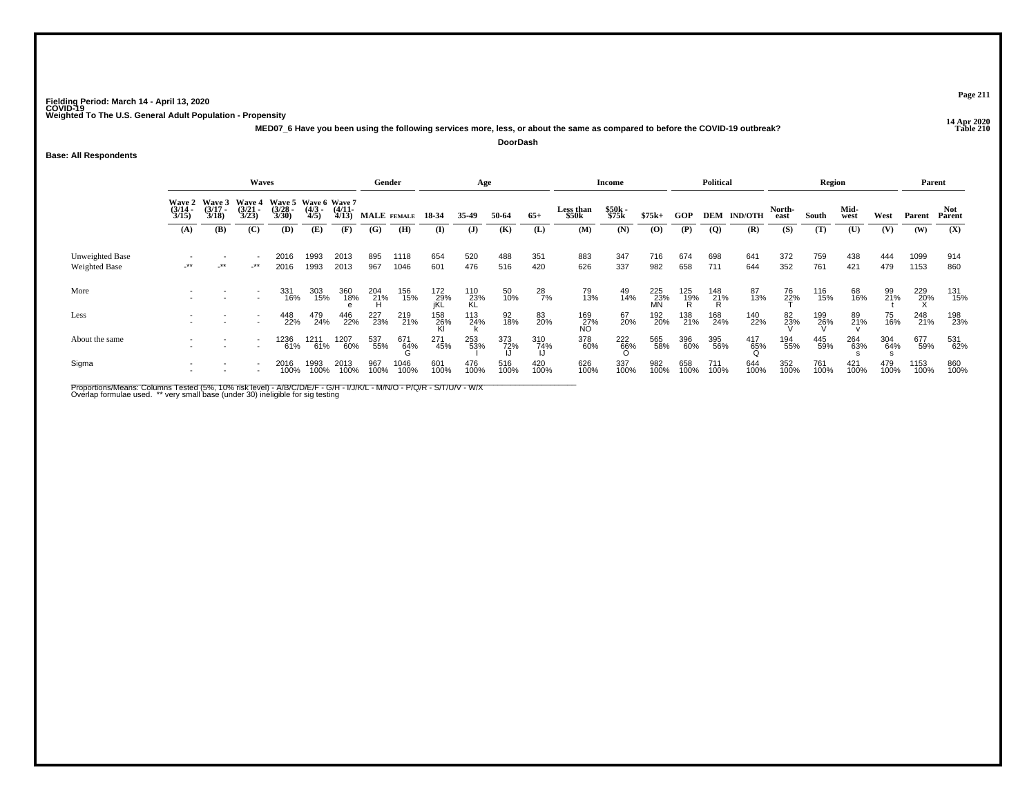**14 Apr 2020 MED07\_6 Have you been using the following services more, less, or about the same as compared to before the COVID-19 outbreak?DoorDash**

## **Base: All Respondents**

|                                  |                                                                                                                                                                                                                                       |        | Waves  |              |              |                       | Gender      |              |                   | Age              |             |               |                      | <b>Income</b>   |                  |             | <b>Political</b> |                    |                | <b>Region</b> |              |             | Parent       |               |
|----------------------------------|---------------------------------------------------------------------------------------------------------------------------------------------------------------------------------------------------------------------------------------|--------|--------|--------------|--------------|-----------------------|-------------|--------------|-------------------|------------------|-------------|---------------|----------------------|-----------------|------------------|-------------|------------------|--------------------|----------------|---------------|--------------|-------------|--------------|---------------|
|                                  | $\sim$ Wave 3<br>Wave 5 Wave 6 Wave 7<br><b>Wave 4</b><br><b>Wave 2</b><br>$\frac{(3/17)}{3/18}$<br>$\frac{(3/21)}{3/23}$<br>$\frac{(3/28)}{3/30}$<br>$\frac{(3/14)}{3/15}$<br>$\frac{(4/3)}{4/5}$<br>(B)<br>(C)<br>(D)<br>(E)<br>(A) |        |        |              |              | $\frac{(4/11)}{4/13}$ |             | MALE FEMALE  | 18 34             | 35.49            | 50-64       | $65+$         | Less than<br>\$50k   | \$50k<br>\$75k  | $$75k+$          | GOP         |                  | <b>DEM IND/OTH</b> | North-<br>east | South         | Mid-<br>west | West        | Parent       | Not<br>Parent |
|                                  |                                                                                                                                                                                                                                       |        |        |              |              | (F)                   | (G)         | (H)          | (I)               | $\mathbf{J}$     | (K)         | (L)           | (M)                  | (N)             | $\bf(0)$         | (P)         | $\overline{Q}$   | (R)                | (S)            | (T)           | (U)          | (V)         | (W)          | (X)           |
| Unweighted Base<br>Weighted Base | $^{\star\star}$                                                                                                                                                                                                                       | $-***$ | $-***$ | 2016<br>2016 | 1993<br>1993 | 2013<br>2013          | 895<br>967  | 1118<br>1046 | 654<br>601        | 520<br>476       | 488<br>516  | 351<br>420    | 883<br>626           | 347<br>337      | 716<br>982       | 674<br>658  | 698<br>711       | 641<br>644         | 372<br>352     | 759<br>761    | 438<br>421   | 444<br>479  | 1099<br>1153 | 914<br>860    |
| More                             |                                                                                                                                                                                                                                       |        |        | 331<br>16%   | 303<br>15%   | 360<br>18%            | 204<br>21%  | 156<br>15%   | 172<br>29%<br>jKL | 110<br>23%<br>KL | 50<br>10%   | $^{28}_{7\%}$ | 79<br>13%            | 49<br>14%       | 225<br>23%<br>MN | 125<br>19%  | 148<br>21%<br>R  | 87<br>13%          | 76<br>22%      | 116<br>15%    | 68<br>16%    | 99<br>21%   | 229<br>20%   | 131<br>15%    |
| Less                             |                                                                                                                                                                                                                                       |        |        | 448<br>22%   | 479<br>24%   | 446<br>22%            | 227<br>23%  | 219<br>21%   | 158<br>26%        | $^{113}_{24\%}$  | 92<br>18%   | 83<br>20%     | 169<br>- 27%<br>- NO | 67<br>20%       | 192<br>20%       | 138<br>21%  | 168<br>24%       | 140<br>22%         | 82<br>23%      | 199<br>26%    | 89<br>21%    | 75<br>16%   | 248<br>21%   | 198<br>23%    |
| About the same                   |                                                                                                                                                                                                                                       |        |        | 1236<br>61%  | 1211<br>61%  | 1207<br>60%           | 537<br>55%  | 671<br>64%   | 271<br>45%        | 253<br>53%       | 373<br>72%  | 310<br>74%    | 378<br>60%           | $^{222}_{66\%}$ | 565<br>58%       | 396<br>60%  | 395<br>56%       | 417<br>65%         | 194<br>55%     | 445<br>59%    | 264<br>63%   | 304<br>64%  | 677<br>59%   | 531<br>62%    |
| Sigma                            |                                                                                                                                                                                                                                       |        |        | 2016<br>100% | 1993<br>100% | 2013<br>100%          | 967<br>100% | 1046<br>100% | 601<br>100%       | 476<br>100%      | 516<br>100% | 420<br>100%   | 626<br>100%          | 337<br>100%     | 982<br>100%      | 658<br>100% | 711<br>100%      | 644<br>100%        | 352<br>100%    | 761<br>100%   | 421<br>100%  | 479<br>100% | 1153<br>100% | 860<br>100%   |

Proportions/Means: Columns Tested (5%, 10% risk level) - A/B/C/D/E/F - G/H - I/J/K/L - M/N/O - P/Q/R - S/T/U/V - W/X<br>Overlap formulae used. \*\* very small base (under 30) ineligible for sig testing

**Page 211**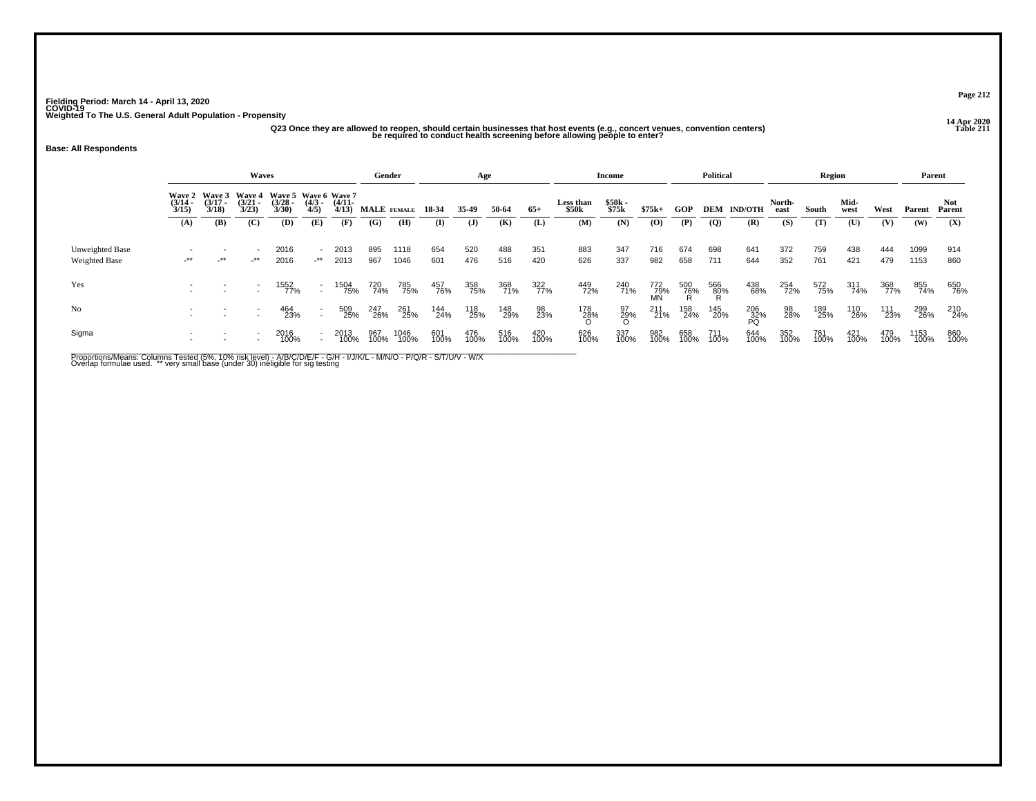# ر<br>2020 Az3 Once they are allowed to reopen, should certain businesses that host events (e.g., concert venues, convention centers)<br>De required to conduct health screening before allowing people to enter?

## **Base: All Respondents**

|                                         |                                                                                                                                                                                                                             |        | <b>Waves</b>             |              |                          |              | Gender            |              |             | Age          |             |             |                    | Income         |                   |             | <b>Political</b> |                    |                | Region      |              |             | Parent       |                |
|-----------------------------------------|-----------------------------------------------------------------------------------------------------------------------------------------------------------------------------------------------------------------------------|--------|--------------------------|--------------|--------------------------|--------------|-------------------|--------------|-------------|--------------|-------------|-------------|--------------------|----------------|-------------------|-------------|------------------|--------------------|----------------|-------------|--------------|-------------|--------------|----------------|
|                                         | Wave 2 Wave 3 Wave 4<br>Wave 5 Wave 6 Wave 7<br>$\frac{(3/21)}{3/23}$<br>$\frac{(3/28)}{3/30}$<br>$\frac{(4/3)}{4/5}$<br>$(3/17 -$<br>$(4/11 -$<br>$\frac{(3/14)}{3/15}$<br>3/18<br>4/13<br>(B)<br>(C)<br>(D)<br>(E)<br>(A) |        |                          |              |                          |              | MALE FEMALE 18-34 |              |             | 35.49        | 50-64       | $65+$       | Less than<br>\$50k | \$50k<br>\$75k | $$75k+$           | GOP         |                  | <b>DEM IND/OTH</b> | North-<br>east | South       | Mid-<br>west | West        | Parent       | Not.<br>Parent |
|                                         |                                                                                                                                                                                                                             |        |                          |              |                          | (F)          | (G)               | (H)          | $\bf{I}$    | $\mathbf{J}$ | (K)         | (L)         | (M)                | (N)            | (O)               | (P)         | $\overline{Q}$   | (R)                | (S)            | (T)         | (U)          | (V)         | (W)          | (X)            |
| Unweighted Base<br><b>Weighted Base</b> | $-***$                                                                                                                                                                                                                      | $-***$ | $-***$                   | 2016<br>2016 | -**                      | 2013<br>2013 | 895<br>967        | 1118<br>1046 | 654<br>601  | 520<br>476   | 488<br>516  | 351<br>420  | 883<br>626         | 347<br>337     | 716<br>982        | 674<br>658  | 698<br>711       | 641<br>644         | 372<br>352     | 759<br>761  | 438<br>421   | 444<br>479  | 1099<br>1153 | 914<br>860     |
| Yes                                     |                                                                                                                                                                                                                             |        | $\overline{\phantom{a}}$ | 1552<br>77%  | $\overline{\phantom{0}}$ | 1504<br>75%  | 720<br>74%        | 785<br>75%   | 457<br>76%  | 358<br>75%   | 368<br>71%  | 322<br>77%  | 449<br>72%         | 240<br>71%     | 772<br>_79%<br>MN | 500<br>76%  | 566<br>80%       | 438<br>68%         | 254<br>72%     | 572<br>75%  | 311<br>74%   | 368<br>77%  | 855<br>74%   | 650<br>76%     |
| N <sub>o</sub>                          |                                                                                                                                                                                                                             |        |                          | 464<br>23%   |                          | 509<br>25%   | 247<br>26%        | 261<br>25%   | 144<br>24%  | 118<br>25%   | 148<br>29%  | 98<br>23%   | 178<br>28%         | 97<br>29%<br>O | 211<br>21%        | 158<br>24%  | 145<br>20%       | 206<br>32%<br>PQ   | 98<br>28%      | 189<br>25%  | 110<br>26%   | 111<br>23%  | 299<br>26%   | 210<br>24%     |
| Sigma                                   |                                                                                                                                                                                                                             |        |                          | 2016<br>100% |                          | 2013<br>100% | 967<br>100%       | 1046<br>100% | 601<br>100% | 476<br>100%  | 516<br>100% | 420<br>100% | 626<br>100%        | 337<br>100%    | 982<br>100%       | 658<br>100% | 711<br>100%      | 644<br>100%        | 352<br>100%    | 761<br>100% | 421<br>100%  | 479<br>100% | 1153<br>100% | 860<br>100%    |

Proportions/Means: Columns Tested (5%, 10% risk level) - A/B/C/D/E/F - G/H - I/J/K/L - M/N/O - P/Q/R - S/T/U/V - W/X<br>Overlap formulae used. \*\* very small base (under 30) ineligible for sig testing

**Page 212**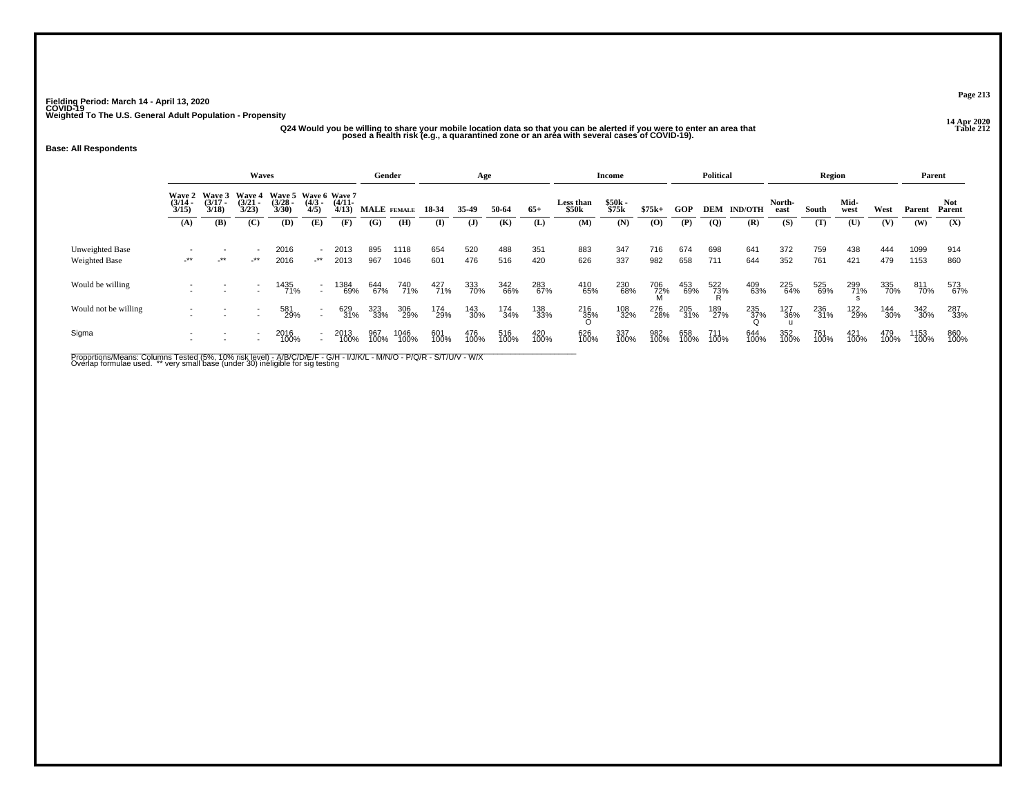# ر در در الله به الله عن الله عن الله عن الله عن الله عن الله عن الله عن الله عن الله عن الله عن الله عن الله ع<br>212 Dosed a health risk (e.g., a quarantined zone or an area with several cases of COVID-19).<br>posed a health r

## **Base: All Respondents**

|                                  |                                                                                                                                                                                                                    |     | Waves |              |           |                            | Gender      |              |             | Age          |             |                    |                | Income      |             |             | <b>Political</b>   |                    |             | Region       |             |             | Parent         |             |
|----------------------------------|--------------------------------------------------------------------------------------------------------------------------------------------------------------------------------------------------------------------|-----|-------|--------------|-----------|----------------------------|-------------|--------------|-------------|--------------|-------------|--------------------|----------------|-------------|-------------|-------------|--------------------|--------------------|-------------|--------------|-------------|-------------|----------------|-------------|
|                                  | Wave 3<br>Wave 5 Wave 6 Wave 7<br><b>Wave 2</b><br><b>Wave 4</b><br>$(3/21 -$<br>$(3/28 -$<br>$(3/17 -$<br>$\frac{(4/3)}{4/5}$<br>$\frac{(3/14)}{3/15}$<br>3/18<br>3/23<br>3/30<br>(B)<br>(C)<br>(E)<br>(D)<br>(A) |     |       |              | $(4/11 -$ | $4/13$ ) MALE FEMALE 18-34 |             |              | 35-49       | 50-64        | $65+$       | Less than<br>\$50k | \$50k<br>\$75k | $$75k+$     | <b>GOP</b>  |             | <b>DEM IND/OTH</b> | North-<br>east     | South       | Mid-<br>west | West        | Parent      | Not.<br>Parent |             |
|                                  |                                                                                                                                                                                                                    |     |       |              |           | (F)                        | (G)         | (H)          | (I)         | $\mathbf{J}$ | (K)         | (L)                | (M)            | (N)         | (0)         | (P)         | $\overline{Q}$     | (R)                | (S)         | (T)          | (U)         | (V)         | (W)            | (X)         |
| Unweighted Base<br>Weighted Base | $-***$                                                                                                                                                                                                             | -** | -**   | 2016<br>2016 | -**       | 2013<br>2013               | 895<br>967  | 1118<br>1046 | 654<br>601  | 520<br>476   | 488<br>516  | 351<br>420         | 883<br>626     | 347<br>337  | 716<br>982  | 674<br>658  | 698<br>711         | 641<br>644         | 372<br>352  | 759<br>761   | 438<br>421  | 444<br>479  | 1099<br>1153   | 914<br>860  |
| Would be willing                 |                                                                                                                                                                                                                    |     |       | 1435<br>71%  |           | 1384<br>69%                | 644<br>67%  | 740<br>71%   | 427<br>71%  | 333<br>70%   | 342<br>66%  | 283<br>67%         | 410<br>65%     | 230<br>68%  | 706<br>72%  | 453<br>69%  | 522<br>73%         | 409<br>63%         | 225<br>64%  | 525<br>69%   | 299<br>71%  | 335<br>70%  | 811<br>70%     | 573<br>67%  |
| Would not be willing             |                                                                                                                                                                                                                    |     |       | 581<br>29%   |           | 629<br>31%                 | 323<br>33%  | 306<br>29%   | 174<br>29%  | 143<br>30%   | 174<br>34%  | 138<br>33%         | 216<br>35%     | 108<br>32%  | 276<br>28%  | 205<br>31%  | 189<br>27%         | $\frac{235}{37\%}$ | 127<br>36%  | 236<br>31%   | 122<br>29%  | 144<br>30%  | 342<br>30%     | 287<br>33%  |
| Sigma                            |                                                                                                                                                                                                                    |     |       | 2016<br>100% |           | 2013<br>100%               | 967<br>100% | 1046<br>100% | 601<br>100% | 476<br>100%  | 516<br>100% | 420<br>100%        | 626<br>100%    | 337<br>100% | 982<br>100% | 658<br>100% | 711<br>100%        | 644<br>100%        | 352<br>100% | 761<br>100%  | 421<br>100% | 479<br>100% | 1153<br>100%   | 860<br>100% |

Proportions/Means: Columns Tested (5%, 10% risk level) - A/B/C/D/E/F - G/H - I/J/K/L - M/N/O - P/Q/R - S/T/U/V - W/X<br>Overlap formulae used. \*\* very small base (under 30) ineligible for sig testing

**Page 213**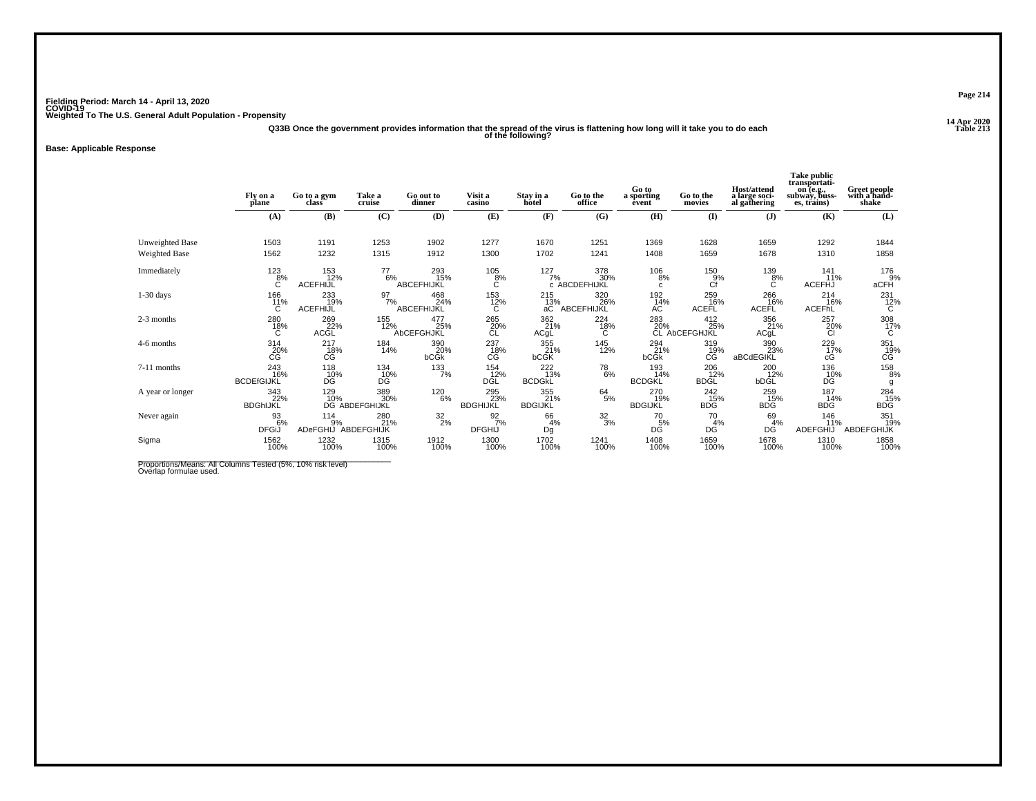**14 Apr 2020 Q33B Once the government provides information that the spread of the virus is flattening how long will it take you to do each Table 213 of the following?**

**Base: Applicable Response**

|                        | Fly on a<br>plane               | Go to a gym<br>class          | Take a<br>cruise             | Go out to<br>dinner       | Visit a<br>casino                 | Stay in a<br>hotel               | Go to the<br>office         | Go to<br>a sporting<br>êvent             | Go to the<br>movies         | Host/attend<br>a large soci-<br>al gathering | Take public<br>transportati-<br>on (e.g.,<br>subway, buss-<br>es, trains) | Greet people<br>with a hand-<br>shake |
|------------------------|---------------------------------|-------------------------------|------------------------------|---------------------------|-----------------------------------|----------------------------------|-----------------------------|------------------------------------------|-----------------------------|----------------------------------------------|---------------------------------------------------------------------------|---------------------------------------|
|                        | (A)                             | (B)                           | (C)                          | (D)                       | (E)                               | (F)                              | (G)                         | (H)                                      | $\mathbf{I}$                | $\mathbf{J}$                                 | (K)                                                                       | (L)                                   |
| <b>Unweighted Base</b> | 1503                            | 1191                          | 1253                         | 1902                      | 1277                              | 1670                             | 1251                        | 1369                                     | 1628                        | 1659                                         | 1292                                                                      | 1844                                  |
| Weighted Base          | 1562                            | 1232                          | 1315                         | 1912                      | 1300                              | 1702                             | 1241                        | 1408                                     | 1659                        | 1678                                         | 1310                                                                      | 1858                                  |
| Immediately            | $^{123}_{8\%}$<br>С             | 153<br>12%<br><b>ACEFHIJL</b> | $^{77}_{6\%}$                | 293<br>15%<br>ABCEFHIJKL  | $^{105}_{8\%}$<br>С               | 127/7%                           | 378<br>30%<br>c ABCDEFHIJKL | $^{106}_{8\%}$<br>c                      | $^{150}_{9\%}$<br>Сf        | $^{139}_{8\%}$<br>C                          | $\frac{141}{11\%}$<br><b>ACEFHJ</b>                                       | 176<br>9%<br>aCFH                     |
| $1-30$ days            | 166<br>11%<br>C                 | 233<br>19%<br><b>ACEFHIJL</b> | $\frac{97}{7\%}$             | 468<br>24%<br>ABCEFHIJKL  | 153<br>12%<br>C                   | 215<br>$rac{13}{a}$              | 320<br>ABCEFHIJKL           | 192<br>$\rm{^{\tilde{1}\bar{4}\%}_{AC}}$ | 259<br>ACEFL <sup>46%</sup> | 266<br>16%<br>ACEFL                          | 214<br>16%<br>ACEFHL                                                      | $^{231}_{12\%}$                       |
| 2-3 months             | $^{280}_{~18\%}$                | 269<br>22%<br>ACGL            | 155<br>12%                   | 477<br>25%<br>AbCEFGHJKL  | $^{265}_{\hbox{20\%}}$ CL         | 362<br>21%<br>ACgL               | 224<br>18%<br>C             | 283<br>20%                               | 412<br>25%<br>CL AbCEFGHJKL | 356<br>21%<br>ACgL                           | 257<br>20%<br><b>CI</b>                                                   | $\frac{308}{17\%}$                    |
| 4-6 months             | 314<br>20%<br>СĠ                | 217<br>18%<br>CG              | 184<br>14%                   | 390<br>20%<br><b>bCGk</b> | 237<br>18%<br>СG                  | 355<br>21%<br><b>bCGK</b>        | 145<br>12%                  | $^{294}_{21\%}$<br>bCGk                  | 319<br>19%<br>CĠ            | 390<br>23%<br>aBCdEGIKL                      | 229<br>17%<br>cG                                                          | 351<br>19%<br>CG                      |
| 7-11 months            | 243<br>16%<br><b>BCDEfGIJKL</b> | 118<br>10%<br>D <sub>G</sub>  | $^{134}_{10\%}$<br>DĠ        | 133/7%                    | 154<br>12%<br><b>DGL</b>          | $^{222}_{13\%}$<br><b>BCDGKL</b> | $^{78}_{6\%}$               | 193<br>14%<br><b>BCDGKL</b>              | 206<br>12%<br><b>BDGL</b>   | 200<br>12%<br>bDGL                           | 136<br>10%<br>DĠ                                                          | 158<br>8%<br>g                        |
| A year or longer       | 343<br>22%<br><b>BDGhIJKL</b>   | 129<br>10%                    | 389<br>30%<br>DG ABDEFGHIJKL | 120<br>6%                 | 295<br>23%<br><b>BDGHIJKL</b>     | 355<br>21%<br><b>BDGIJKL</b>     | $64 \atop 5\%$              | 270<br>19%<br><b>BDGIJKL</b>             | 242<br>15%<br><b>BDG</b>    | 259<br>15%<br>BDG                            | 187<br>14%<br><b>BDG</b>                                                  | 284<br>15%<br>BDG                     |
| Never again            | 93<br>6%<br><b>DFGiJ</b>        | 114<br>9%<br><b>ADeFGHIJ</b>  | 280<br>21%<br>ABDEFGHIJK     | $\frac{32}{2\%}$          | $\frac{92}{7}\%$<br><b>DFGHIJ</b> | 66<br>4%<br>Dg                   | $\frac{32}{3%}$             | 70<br>5%<br>DĜ                           | 70<br>4%<br>DG              | 69<br>4%<br>DG                               | 146<br>11%<br>ADEFGHIJ                                                    | 351<br>19%<br>ABDEFGHIJK              |
| Sigma                  | 1562<br>100%                    | 1232<br>100%                  | 1315<br>100%                 | 1912<br>100%              | 1300<br>100%                      | 1702<br>100%                     | 1241<br>100%                | 1408<br>100%                             | 1659<br>100%                | 1678<br>100%                                 | 1310<br>100%                                                              | 1858<br>100%                          |

Proportions/Means: All Columns Tested (5%, 10% risk level)<br>Overlap formulae used.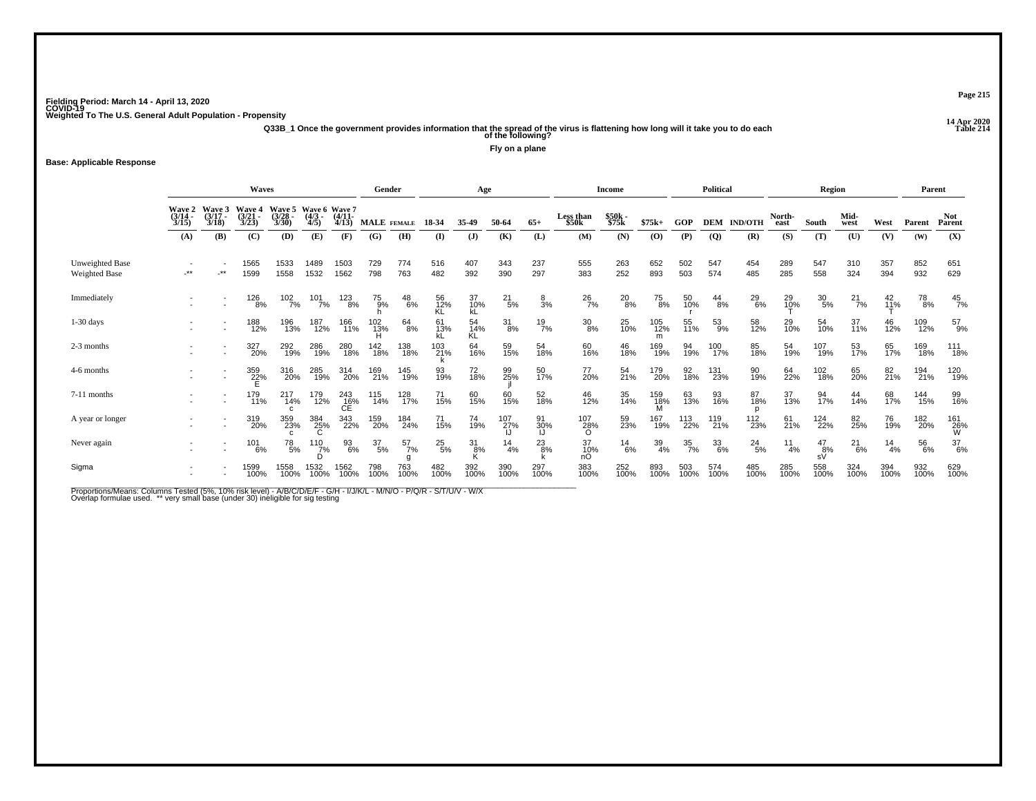**14 Apr 2020 Q33B\_1 Once the government provides information that the spread of the virus is flattening how long will it take you to do each Table 214 of the following?**

**Fly on a plane**

## **Base: Applicable Response**

|                                  |                                    |                           | <b>Waves</b>                |                            |                                   |                   | Gender           |               |                 | Age             |                  |                |                                | <b>Income</b>  |                  |                  | <b>Political</b> |                    |                  | Region          |                   |                 | Parent      |                  |
|----------------------------------|------------------------------------|---------------------------|-----------------------------|----------------------------|-----------------------------------|-------------------|------------------|---------------|-----------------|-----------------|------------------|----------------|--------------------------------|----------------|------------------|------------------|------------------|--------------------|------------------|-----------------|-------------------|-----------------|-------------|------------------|
|                                  | <b>Wave 2</b><br>$(3/14 -$<br>3/15 | Wave<br>$(3/17 -$<br>3/18 | Wave 4<br>$(3/21 -$<br>3/23 | Wave 5<br>(3/28)<br>3/30   | Wave 6 Wave 7<br>$(4/3 -$<br>4/5) | $(4/11 -$<br>4/13 |                  | MALE FEMALE   | 18-34           | 35-49           | 50-64            | $65+$          | Less than<br>\$50 <sub>k</sub> | \$50k<br>\$75k | $$75k+$          | GOP              |                  | <b>DEM IND/OTH</b> | North-<br>east   | South           | Mid-<br>west      | West            | Parent      | Not<br>Parent    |
|                                  | (A)                                | (B)                       | (C)                         | (D)                        | (E)                               | (F)               | (G)              | (H)           | $\bf(I)$        | $\mathbf{J}$    | (K)              | (L)            | (M)                            | (N)            | (0)              | (P)              | $\overline{Q}$   | (R)                | (S)              | (T)             | (U)               | (V)             | (W)         | (X)              |
| Unweighted Base<br>Weighted Base | $**$                               | $\star\star$              | 1565<br>1599                | 1533<br>1558               | 1489<br>1532                      | 1503<br>1562      | 729<br>798       | 774<br>763    | 516<br>482      | 407<br>392      | 343<br>390       | 237<br>297     | 555<br>383                     | 263<br>252     | 652<br>893       | 502<br>503       | 547<br>574       | 454<br>485         | 289<br>285       | 547<br>558      | 310<br>324        | 357<br>394      | 852<br>932  | 651<br>629       |
| Immediately                      |                                    |                           | 126<br>8%                   | 102<br>7%                  | 101<br>7%                         | 123<br>8%         | 75<br>9%         | $^{48}_{6\%}$ | 56<br>12%<br>KL | 37<br>10%<br>kL | $^{21}_{\ 5\%}$  | $\frac{8}{3%}$ | $^{26}_{7\%}$                  | $^{20}_{8\%}$  | 75<br>8%         | 50<br>10%        | $^{44}_{8\%}$    | $^{29}_{6\%}$      | 29<br>10%        | $^{30}_{\ 5\%}$ | $^{21}_{7\%}$     | 42<br>11%       | 78<br>8%    | $\frac{45}{7\%}$ |
| $1-30$ days                      |                                    |                           | 188<br>12%                  | 196<br>13%                 | 187<br>12%                        | 166<br>11%        | 102<br>13%       | $^{64}_{8\%}$ | 61<br>13%       | 54<br>14%<br>KL | $^{31}_{8\%}$    | $^{19}_{7\%}$  | $^{30}_{8\%}$                  | 25<br>10%      | 105<br>12%<br>m  | 55<br>11%        | $^{53}_{9\%}$    | 58<br>12%          | 29 <sub>0%</sub> | 54<br>10%       | $\frac{37}{11\%}$ | 46<br>12%       | 109<br>12%  | 57<br>9%         |
| 2-3 months                       |                                    |                           | 327<br>20%                  | 292<br>19%                 | 286<br>19%                        | 280<br>18%        | 142<br>18%       | 138<br>18%    | 103<br>21%      | 64<br>16%       | 59<br>15%        | 54<br>18%      | 60<br>16%                      | 46<br>18%      | 169<br>19%       | 94<br>19%        | 100<br>17%       | 85<br>18%          | 54<br>19%        | 107<br>19%      | 53<br>17%         | 65<br>17%       | 169<br>18%  | 111<br>18%       |
| 4-6 months                       |                                    |                           | 359<br>22%                  | 316<br>20%                 | 285<br>19%                        | 314<br>20%        | 169<br>21%       | 145<br>19%    | 93<br>19%       | 72<br>18%       | 99<br>25%        | 50<br>17%      | 77<br>20%                      | 54<br>21%      | 179<br>20%       | 92<br>18%        | 131<br>23%       | 90<br>19%          | 64<br>22%        | 102<br>18%      | 65<br>20%         | 82<br>21%       | 194<br>21%  | 120<br>19%       |
| 7-11 months                      |                                    |                           | 179<br>11%                  | 217<br>14%<br>$\mathbf{c}$ | 179<br>12%                        | 243<br>16%<br>CE  | 115<br>14%       | 128<br>17%    | 71<br>15%       | 60<br>15%       | 60<br>15%        | 52<br>18%      | 46<br>12%                      | 35<br>14%      | 159<br>18%<br>M  | 63<br>13%        | 93<br>16%        | 87<br>18%          | 37<br>13%        | 94<br>17%       | 44<br>14%         | 68<br>17%       | 144<br>15%  | 99<br>16%        |
| A year or longer                 |                                    |                           | 319<br>20%                  | 359<br>23%                 | 384<br>25%                        | 343<br>22%        | 159<br>20%       | 184<br>24%    | 71<br>15%       | 74<br>19%       | 107<br>27%       | 91<br>30%      | 107<br>28%<br>∩                | 59<br>23%      | 167<br>19%       | 113<br>22%       | 119<br>21%       | 112<br>23%         | 61<br>21%        | 124<br>22%      | 82<br>25%         | 76<br>19%       | 182<br>20%  | 161<br>26%<br>W  |
| Never again                      |                                    |                           | 101<br>6%                   | 78<br>5%                   | $^{110}_{7\%}$<br>D               | 93<br>6%          | $\frac{37}{5\%}$ | 57<br>7%      | 25<br>5%        | $^{31}_{.8\%}$  | $\frac{14}{4\%}$ | $^{23}_{8\%}$  | 37<br>10%<br>nO                | $^{14}_{6\%}$  | $\frac{39}{4\%}$ | $\frac{35}{7\%}$ | 33<br>6%         | $^{24}_{5\%}$      | 11<br>4%         | 47<br>8%        | $^{21}_{6\%}$     | $\frac{14}{4%}$ | 56<br>6%    | $\frac{37}{6\%}$ |
| Sigma                            |                                    |                           | 1599<br>100%                | 1558<br>100%               | 1532<br>100%                      | 1562<br>100%      | 798<br>100%      | 763<br>100%   | 482<br>100%     | 392<br>100%     | 390<br>100%      | 297<br>100%    | 383<br>100%                    | 252<br>100%    | 893<br>100%      | 503<br>100%      | 574<br>100%      | 485<br>100%        | 285<br>100%      | 558<br>100%     | 324<br>100%       | 394<br>100%     | 932<br>100% | 629<br>100%      |

Proportions/Means: Columns Tested (5%, 10% risk level) - A/B/C/D/E/F - G/H - I/J/K/L - M/N/O - P/Q/R - S/T/U/V - W/X<br>Overlap formulae used. \*\* very small base (under 30) ineligible for sig testing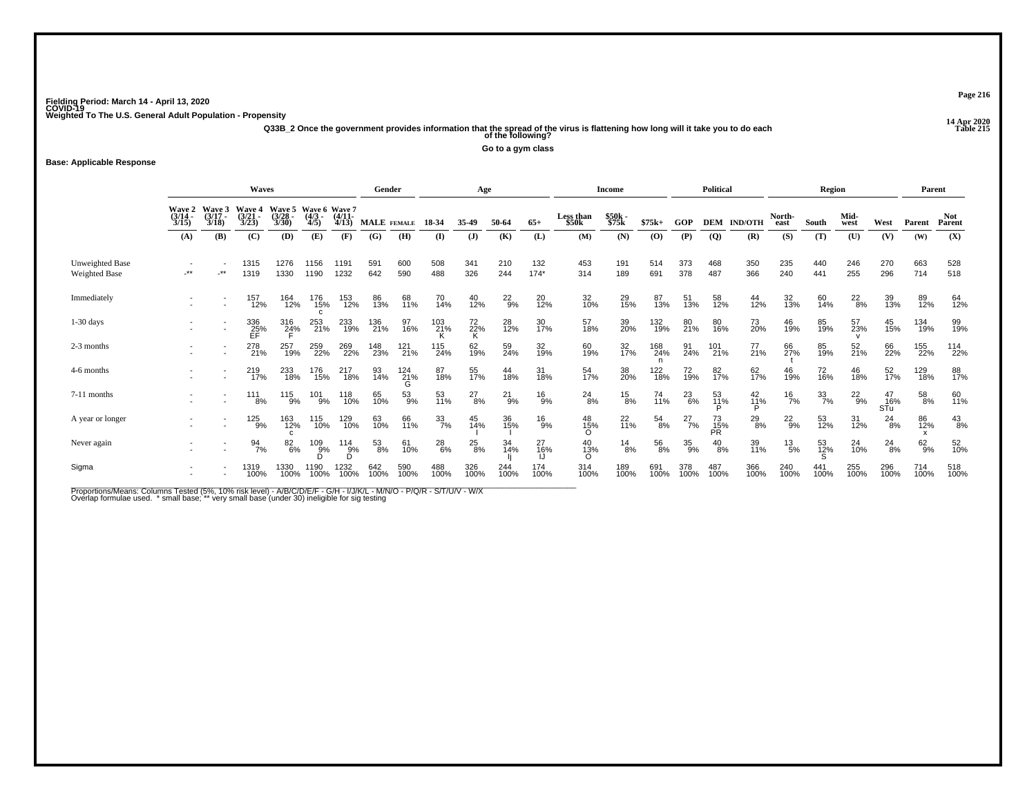**14 Apr 2020 Q33B\_2 Once the government provides information that the spread of the virus is flattening how long will it take you to do each Table 215 of the following?**

**Go to a gym class**

## **Base: Applicable Response**

|                                  |                           |                             | <b>Waves</b>                |                         |                                  |                     | Gender           |             |                  | Age            |               |                |                    | Income           |             |               | <b>Political</b> |                     |                 | <b>Region</b>    |               |                  | Parent      |                      |
|----------------------------------|---------------------------|-----------------------------|-----------------------------|-------------------------|----------------------------------|---------------------|------------------|-------------|------------------|----------------|---------------|----------------|--------------------|------------------|-------------|---------------|------------------|---------------------|-----------------|------------------|---------------|------------------|-------------|----------------------|
|                                  | Wave 2<br>(3/14 -<br>3/15 | Wave 3<br>$(3/17 -$<br>3/18 | Wave 4<br>$(3/21 -$<br>3/23 | Wave 5<br>(3/28<br>3/30 | Wave 6 Wave 7<br>$(4/3 -$<br>4/5 | $(4/11 -$<br>4/13   | MALE FEMALE      |             | 18-34            | 35-49          | 50-64         | $65+$          | Less than<br>\$50k | \$50k -<br>\$75k | $$75k+$     | GOP           | <b>DEM</b>       | <b>IND/OTH</b>      | North-<br>east  | South            | Mid-<br>west  | West             | Parent      | <b>Not</b><br>Parent |
|                                  | (A)                       | (B)                         | (C)                         | (D)                     | (E)                              | (F)                 | (G)              | (H)         | (I)              | $\mathbf{J}$   | (K)           | (L)            | (M)                | (N)              | (O)         | (P)           | $\overline{Q}$   | (R)                 | (S)             | (T)              | (U)           | (V)              | (W)         | (X)                  |
| Unweighted Base<br>Weighted Base | $\star$                   | $.**$                       | 1315<br>1319                | 1276<br>1330            | 1156<br>1190                     | 1191<br>1232        | 591<br>642       | 600<br>590  | 508<br>488       | 341<br>326     | 210<br>244    | 132<br>$174*$  | 453<br>314         | 191<br>189       | 514<br>691  | 373<br>378    | 468<br>487       | 350<br>366          | 235<br>240      | 440<br>441       | 246<br>255    | 270<br>296       | 663<br>714  | 528<br>518           |
| Immediately                      |                           |                             | 157<br>12%                  | 164<br>12%              | 176<br>15%                       | 153<br>12%          | 86<br>13%        | 68<br>11%   | 70<br>14%        | 40<br>12%      | $^{22}_{9\%}$ | $^{20}_{12\%}$ | 32<br>10%          | 29<br>15%        | 87<br>13%   | 51<br>13%     | 58<br>12%        | 44<br>12%           | 32<br>13%       | 60<br>14%        | $^{22}_{8\%}$ | 39<br>13%        | 89<br>12%   | 64<br>12%            |
| $1-30$ days                      |                           | $\overline{\phantom{a}}$    | 336<br>25%                  | 316<br>2 <u>4</u> %     | 253<br>21%                       | 233<br>19%          | 136<br>21%       | 97<br>16%   | 103<br>21%       | $^{72}_{22\%}$ | 28<br>12%     | 30<br>17%      | 57<br>18%          | 39 <sub>0%</sub> | 132<br>19%  | 80<br>21%     | 80<br>16%        | 73<br>20%           | 46<br>19%       | 85<br>19%        | 57<br>23%     | 45<br>15%        | 134<br>19%  | 99<br>19%            |
| 2-3 months                       |                           |                             | 278<br>21%                  | 257<br>19%              | 259<br>22%                       | 269<br>22%          | 148<br>23%       | 121<br>21%  | 115<br>24%       | 62<br>19%      | 59<br>24%     | 32<br>19%      | 60<br>19%          | 32<br>17%        | 168<br>24%  | 91<br>24%     | 101<br>21%       | 77<br>21%           | 66<br>27%       | 85<br>19%        | 52<br>21%     | 66<br>22%        | 155<br>22%  | 114<br>22%           |
| 4-6 months                       |                           |                             | 219<br>17%                  | 233<br>18%              | 176<br>15%                       | 217<br>18%          | 93<br>14%        | 124<br>21%  | 87<br>18%        | 55<br>17%      | 44<br>18%     | 31<br>18%      | 54<br>17%          | 38<br>20%        | 122<br>18%  | 72<br>19%     | 82<br>17%        | 62<br>17%           | 46<br>19%       | 72<br>16%        | 46<br>18%     | 52<br>17%        | 129<br>18%  | 88<br>17%            |
| 7-11 months                      |                           |                             | 111<br>8%                   | 115<br>9%               | 101<br>9%                        | 118<br>10%          | 65<br>10%        | 53<br>9%    | 53<br>11%        | $^{27}_{8\%}$  | $^{21}_{9\%}$ | $^{16}_{9%}$   | $^{24}_{8\%}$      | $^{15}_{8\%}$    | 74<br>11%   | $^{23}_{6\%}$ | 53<br>11%        | $^{42}_{11\%}$<br>D | $\frac{16}{7%}$ | $\frac{33}{7\%}$ | $^{22}_{9\%}$ | 47<br>16%<br>STu | 58<br>8%    | 60<br>11%            |
| A year or longer                 |                           |                             | 125<br>9%                   | 163<br>12%              | 115<br>10%                       | 129<br>10%          | 63<br>10%        | 66<br>11%   | $\frac{33}{7\%}$ | 45<br>14%      | 36<br>15%     | $^{16}_{9%}$   | 48<br>15%          | $^{22}_{11\%}$   | 54<br>8%    | $^{27}_{7\%}$ | 73<br>15%<br>PR  | $^{29}_{8\%}$       | $^{22}_{9%}$    | 53<br>12%        | 31<br>12%     | $^{24}_{8\%}$    | 86<br>12%   | $^{43}_{8\%}$        |
| Never again                      |                           |                             | $\frac{94}{7\%}$            | 82<br>6%                | $^{109}_{9\%}$                   | $^{114}_{9\%}$<br>D | $\frac{53}{8\%}$ | 61<br>10%   | $^{28}_{6\%}$    | 25<br>8%       | 34<br>14%     | 27<br>16%      | 40<br>13%          | $\frac{14}{8%}$  | 56<br>8%    | $^{35}_{9\%}$ | $^{40}_{8\%}$    | 39<br>11%           | $^{13}_{\ 5\%}$ | 53<br>12%        | 24<br>10%     | $^{24}_{8\%}$    | $62_{9\%}$  | 52<br>10%            |
| Sigma                            | $\overline{\phantom{a}}$  |                             | 1319<br>100%                | 1330<br>100%            | 1190<br>100%                     | 1232<br>100%        | 642<br>100%      | 590<br>100% | 488<br>100%      | 326<br>100%    | 244<br>100%   | 174<br>100%    | 314<br>100%        | 189<br>100%      | 691<br>100% | 378<br>100%   | 487<br>100%      | 366<br>100%         | 240<br>100%     | 441<br>100%      | 255<br>100%   | 296<br>100%      | 714<br>100% | 518<br>100%          |

Proportions/Means: Columns Tested (5%, 10% risk level) - A/B/C/D/E/F - G/H - I/J/K/L - M/N/O - P/Q/R - S/T/U/V - W/X<br>Overlap formulae used. \*small base; \* very small base (under 30) ineligible for sig testing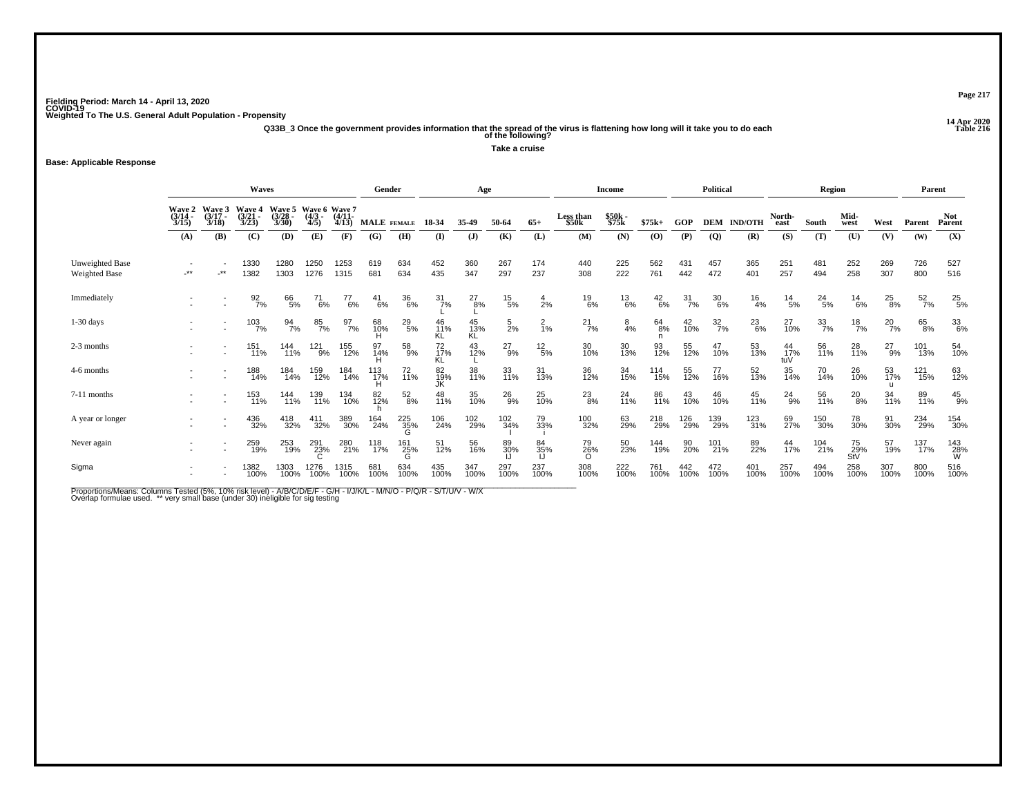**14 Apr 2020 Q33B\_3 Once the government provides information that the spread of the virus is flattening how long will it take you to do each Table 216 of the following?**

**Take a cruise**

### **Base: Applicable Response**

|                                  |                                                                                                                                                                                          |                      | <b>Waves</b>      |                  |                 |                                    | Gender      |                 |                  | Age             |                 |                 |                    | Income          |               |                  | Political        |                    |                  | <b>Region</b>    |                  |               | Parent           |                      |
|----------------------------------|------------------------------------------------------------------------------------------------------------------------------------------------------------------------------------------|----------------------|-------------------|------------------|-----------------|------------------------------------|-------------|-----------------|------------------|-----------------|-----------------|-----------------|--------------------|-----------------|---------------|------------------|------------------|--------------------|------------------|------------------|------------------|---------------|------------------|----------------------|
|                                  | Wave 3<br><b>Wave 5</b><br><b>Wave 2</b><br><b>Wave 4</b><br>$(3/14 -$<br>$(3/21 -$<br>$(3/17 -$<br>$(4/3 -$<br>(3/28<br>3/23<br>3/30<br>3/18<br>4/5<br>3/15<br>(B)<br>(C)<br>(D)<br>(A) |                      |                   |                  |                 | Wave 6 Wave 7<br>$(4/11 -$<br>4/13 | MALE FEMALE |                 | 18-34            | 35.49           | 50-64           | $65+$           | Less than<br>\$50k | \$50k<br>\$75k  | $$75k+$       | GOP              |                  | <b>DEM IND/OTH</b> | North-<br>east   | South            | Mid-<br>west     | West          | Parent           | <b>Not</b><br>Parent |
|                                  |                                                                                                                                                                                          |                      |                   |                  | (E)             | (F)                                | (G)         | (H)             | $($ I            | (J)             | (K)             | (L)             | (M)                | (N)             | (O)           | (P)              | $\overline{Q}$   | (R)                | (S)              | (T)              | (U)              | (V)           | (W)              | (X)                  |
| Unweighted Base<br>Weighted Base | $-***$                                                                                                                                                                                   | $\cdot^{\star\star}$ | 1330<br>1382      | 1280<br>1303     | 1250<br>1276    | 1253<br>1315                       | 619<br>681  | 634<br>634      | 452<br>435       | 360<br>347      | 267<br>297      | 174<br>237      | 440<br>308         | 225<br>222      | 562<br>761    | 431<br>442       | 457<br>472       | 365<br>401         | 251<br>257       | 481<br>494       | 252<br>258       | 269<br>307    | 726<br>800       | 527<br>516           |
| Immediately                      |                                                                                                                                                                                          |                      | $\frac{92}{7%}$   | 66<br>5%         | 71<br>6%        | 77<br>6%                           | 41<br>6%    | 36<br>6%        | $\frac{31}{7}\%$ | $^{27}_{8\%}$   | $^{15}_{5\%}$   | 4<br>2%         | $^{19}_{6\%}$      | $^{13}_{6\%}$   | $^{42}_{6\%}$ | $\frac{31}{7\%}$ | 30<br>6%         | $^{16}_{4\%}$      | $^{14}_{5\%}$    | $^{24}_{5\%}$    | $^{14}_{6\%}$    | $^{25}_{8\%}$ | $\frac{52}{7\%}$ | 25<br>5%             |
| $1-30$ days                      |                                                                                                                                                                                          |                      | $\frac{103}{7\%}$ | $\frac{94}{7\%}$ | 85<br>7%        | $\frac{97}{7\%}$                   | 68<br>10%   | $^{29}_{\ 5\%}$ | 46<br>11%<br>KL  | 45<br>13%<br>KĹ | $\frac{5}{2}$ % | $\frac{2}{1%}$  | $^{21}_{7\%}$      | $\frac{8}{4}$ % | 64<br>8%      | 42<br>10%        | $\frac{32}{7\%}$ | $^{23}_{6\%}$      | 27<br>10%        | $\frac{33}{7\%}$ | $\frac{18}{7%}$  | $^{20}_{7\%}$ | 65<br>8%         | 336%                 |
| 2-3 months                       |                                                                                                                                                                                          |                      | 151<br>11%        | 144<br>11%       | $^{121}_{9\%}$  | 155<br>12%                         | 97<br>14%   | 58<br>9%        | 72<br>17%        | 43<br>12%       | $^{27}_{9\%}$   | $^{12}_{\ 5\%}$ | 30<br>10%          | 30<br>13%       | 93<br>12%     | 55<br>12%        | 47<br>10%        | 53<br>13%          | 44<br>17%<br>tuV | 56<br>11%        | 28<br>11%        | $^{27}_{9\%}$ | 101<br>13%       | 54<br>10%            |
| 4-6 months                       |                                                                                                                                                                                          |                      | 188<br>14%        | 184<br>14%       | 159<br>12%      | 184<br>14%                         | 113<br>17%  | 72<br>11%       | 82<br>19%<br>JK  | 38<br>11%       | 33<br>11%       | 31<br>13%       | 36<br>12%          | 34<br>15%       | 114<br>15%    | 55<br>12%        | 77<br>16%        | 52<br>13%          | 35<br>14%        | 70<br>14%        | 26<br>10%        | 53<br>17%     | 121<br>15%       | 63<br>12%            |
| 7-11 months                      |                                                                                                                                                                                          |                      | 153<br>11%        | 144<br>11%       | 139<br>11%      | 134<br>10%                         | 82<br>12%   | $^{52}_{8\%}$   | 48<br>11%        | 35<br>10%       | $^{26}_{9%}$    | 25<br>10%       | $^{23}_{8\%}$      | $^{24}_{11\%}$  | 86<br>11%     | 43<br>10%        | 46<br>10%        | 45<br>11%          | $^{24}_{9\%}$    | 56<br>11%        | $^{20}_{8\%}$    | 34<br>11%     | 89<br>11%        | $^{45}_{9\%}$        |
| A year or longer                 |                                                                                                                                                                                          |                      | 436<br>32%        | 418<br>32%       | 411<br>32%      | 389<br>30%                         | 164<br>24%  | 225<br>35%      | 106<br>24%       | 102<br>29%      | 102<br>34%      | 79<br>33%       | 100<br>32%         | 63<br>29%       | 218<br>29%    | 126<br>29%       | 139<br>29%       | 123<br>31%         | 69<br>27%        | 150<br>30%       | 78<br>30%        | 91<br>30%     | 234<br>29%       | 154<br>30%           |
| Never again                      |                                                                                                                                                                                          |                      | 259<br>19%        | 253<br>19%       | 291<br>23%<br>C | 280<br>21%                         | 118<br>17%  | 161<br>25%      | 51<br>12%        | 56<br>16%       | 89<br>30%       | 84<br>35%       | 79<br>26%          | 50<br>23%       | 144<br>19%    | 90<br>20%        | 101<br>21%       | 89<br>22%          | 44<br>17%        | 104<br>21%       | 75<br>29%<br>StV | 57<br>19%     | 137<br>17%       | 143<br>28%<br>W      |
| Sigma                            | $\overline{\phantom{a}}$                                                                                                                                                                 |                      | 1382<br>100%      | 1303<br>100%     | 1276<br>100%    | 1315<br>100%                       | 681<br>100% | 634<br>100%     | 435<br>100%      | 347<br>100%     | 297<br>100%     | 237<br>100%     | 308<br>100%        | 222<br>100%     | 761<br>100%   | 442<br>100%      | 472<br>100%      | 401<br>100%        | 257<br>100%      | 494<br>100%      | 258<br>100%      | 307<br>100%   | 800<br>100%      | 516<br>100%          |

Proportions/Means: Columns Tested (5%, 10% risk level) - A/B/C/D/E/F - G/H - I/J/K/L - M/N/O - P/Q/R - S/T/U/V - W/X<br>Overlap formulae used. \*\* very small base (under 30) ineligible for sig testing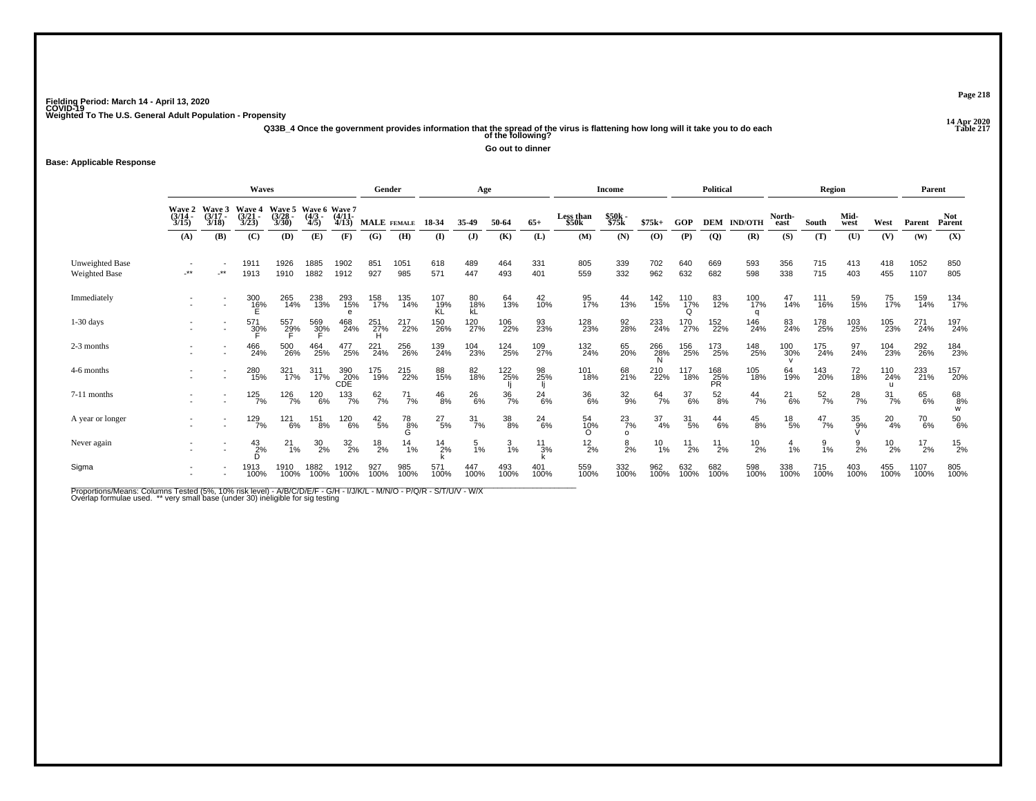**14 Apr 2020 Q33B\_4 Once the government provides information that the spread of the virus is flattening how long will it take you to do each Table 217 of the following?**

**Go out to dinner**

### **Base: Applicable Response**

|                                         |                             |                             | Waves                       |                          |                                        |                   | Gender          |               |                 | Age              |                  |               |                    | <b>Income</b>  |                  |                          | <b>Political</b>  |                    |                 | Region           |               |                  | Parent                      |                      |
|-----------------------------------------|-----------------------------|-----------------------------|-----------------------------|--------------------------|----------------------------------------|-------------------|-----------------|---------------|-----------------|------------------|------------------|---------------|--------------------|----------------|------------------|--------------------------|-------------------|--------------------|-----------------|------------------|---------------|------------------|-----------------------------|----------------------|
|                                         | Wave 2<br>$(3/14 -$<br>3/15 | Wave 3<br>$(3/17 -$<br>3/18 | Wave 4<br>$(3/21 -$<br>3/23 | Wave 5<br>(3/28)<br>3/30 | Wave 6 Wave 7<br>(4/3 - (4/11-<br>4/5) | 4/13              | MALE FEMALE     |               | 18-34           | 35-49            | 50-64            | $65+$         | Less than<br>\$50k | \$50k<br>\$75k | $$75k+$          | GOP                      |                   | <b>DEM IND/OTH</b> | North-<br>east  | South            | Mid-<br>west  | West             | Parent                      | <b>Not</b><br>Parent |
|                                         | (A)                         | (B)                         | (C)                         | (D)                      | (E)                                    | (F)               | (G)             | (H)           | $\mathbf{I}$    | $\mathbf{J}$     | (K)              | (L)           | (M)                | (N)            | (0)              | (P)                      | $\overline{Q}$    | (R)                | (S)             | (T)              | (U)           | (V)              | (W)                         | (X)                  |
| Unweighted Base<br><b>Weighted Base</b> | -**                         | $***$                       | 1911<br>1913                | 1926<br>1910             | 1885<br>1882                           | 1902<br>1912      | 851<br>927      | 1051<br>985   | 618<br>571      | 489<br>447       | 464<br>493       | 331<br>401    | 805<br>559         | 339<br>332     | 702<br>962       | 640<br>632               | 669<br>682        | 593<br>598         | 356<br>338      | 715<br>715       | 413<br>403    | 418<br>455       | 1052<br>1107                | 850<br>805           |
| Immediately                             |                             |                             | 300<br>16%                  | 265<br>14%               | 238<br>13%                             | 293<br>15%<br>e   | 158<br>17%      | 135<br>14%    | 107<br>19%      | 80<br>18%<br>kĹ  | 64<br>13%        | 42<br>10%     | 95<br>17%          | 44<br>13%      | 142<br>15%       | 110<br>1 <u>7</u> %<br>O | 83<br>12%         | 100<br>17%         | 47<br>14%       | 111<br>16%       | 59<br>15%     | 75<br>17%        | 159<br>14%                  | 134<br>17%           |
| $1-30$ days                             |                             | $\overline{\phantom{a}}$    | 571<br>3 <u>0</u> %         | 557<br>29%               | 569<br>30%                             | 468<br>24%        | 251<br>27%      | 217<br>22%    | 150<br>26%      | 120<br>27%       | 106<br>22%       | 93<br>23%     | 128<br>23%         | 92<br>28%      | 233<br>24%       | 170<br>27%               | 152<br>22%        | 146<br>24%         | 83<br>24%       | 178<br>25%       | 103<br>25%    | 105<br>23%       | 271<br>24%                  | 197<br>24%           |
| 2-3 months                              |                             |                             | 466<br>24%                  | 500<br>26%               | 464<br>25%                             | 477<br>25%        | 221<br>24%      | 256<br>26%    | 139<br>24%      | 104<br>23%       | 124<br>25%       | 109<br>27%    | 132<br>24%         | 65<br>20%      | 266<br>28%<br>N  | 156<br>25%               | 173<br>25%        | 148<br>25%         | 100<br>30%      | 175<br>24%       | 97<br>24%     | 104<br>23%       | 292<br>26%                  | 184<br>23%           |
| 4-6 months                              |                             |                             | 280<br>15%                  | 321<br>17%               | 311<br>17%                             | 390<br>20%<br>CDE | 175<br>19%      | 215<br>22%    | 88<br>15%       | 82<br>18%        | 122<br>25%       | 98<br>25%     | 101<br>18%         | 68<br>21%      | 210<br>22%       | 117<br>18%               | 168<br>25%<br>PŔ. | 105<br>18%         | 64<br>19%       | 143<br>20%       | 72<br>18%     | 110<br>24%       | 233<br>21%                  | 157<br>20%           |
| 7-11 months                             |                             |                             | $125$ <sub>7%</sub>         | 126<br>7%                | 120<br>6%                              | $^{133}_{7\%}$    | 62/7%           | $^{71}_{7\%}$ | $^{46}_{8\%}$   | 26<br>6%         | $\frac{36}{7\%}$ | $^{24}_{6\%}$ | 36<br>6%           | $^{32}_{9\%}$  | 64<br>7%         | $\frac{37}{6\%}$         | $^{52}_{8\%}$     | $^{44}_{7\%}$      | $^{21}_{6\%}$   | $\frac{52}{7}$ % | $^{28}_{7\%}$ | $\frac{31}{7\%}$ | 65<br>6%                    | 68<br>8%<br>W        |
| A year or longer                        |                             |                             | 129<br>7%                   | 121<br>6%                | 151<br>8%                              | 120<br>6%         | $^{42}_{\ 5\%}$ | 78<br>კვ%     | $^{27}_{\ 5\%}$ | $\frac{31}{7\%}$ | $\frac{38}{8\%}$ | 24<br>6%      | 54<br>1 <u>0</u> % | $^{23}_{7\%}$  | $\frac{37}{4\%}$ | $\frac{31}{5\%}$         | $^{44}_{6\%}$     | $^{45}_{8\%}$      | $^{18}_{\ 5\%}$ | $^{47}_{7\%}$    | 35<br>9%      | $^{20}_{4\%}$    | <sup>70</sup> <sub>6%</sub> | $^{50}_{\ 6\%}$      |
| Never again                             |                             |                             | 2%                          | 21<br>1%                 | $^{30}_{2\%}$                          | 32/20             | $^{18}_{2\%}$   | 14<br>1%      | $\frac{14}{2%}$ | 5<br>1%          | 1%               | $^{11}_{3\%}$ | $^{12}_{2\%}$      | $\frac{8}{2%}$ | $^{10}_{1\%}$    | 11<br>2%                 | $^{11}_{2\%}$     | $^{10}_{2\%}$      | $\frac{4}{1%}$  | $\frac{9}{1\%}$  | 9<br>2%       | $^{10}_{2\%}$    | $^{17}_{2\%}$               | $^{15}_{2\%}$        |
| Sigma                                   |                             |                             | 1913<br>100%                | 1910<br>100%             | 1882<br>100%                           | 1912<br>100%      | 927<br>100%     | 985<br>100%   | 571<br>100%     | 447<br>100%      | 493<br>100%      | 401<br>100%   | 559<br>100%        | 332<br>100%    | 962<br>100%      | 632<br>100%              | 682<br>100%       | 598<br>100%        | 338<br>100%     | 715<br>100%      | 403<br>100%   | 455<br>100%      | 1107<br>100%                | 805<br>100%          |

Proportions/Means: Columns Tested (5%, 10% risk level) - A/B/C/D/E/F - G/H - I/J/K/L - M/N/O - P/Q/R - S/T/U/V - W/X<br>Overlap formulae used. \*\* very small base (under 30) ineligible for sig testing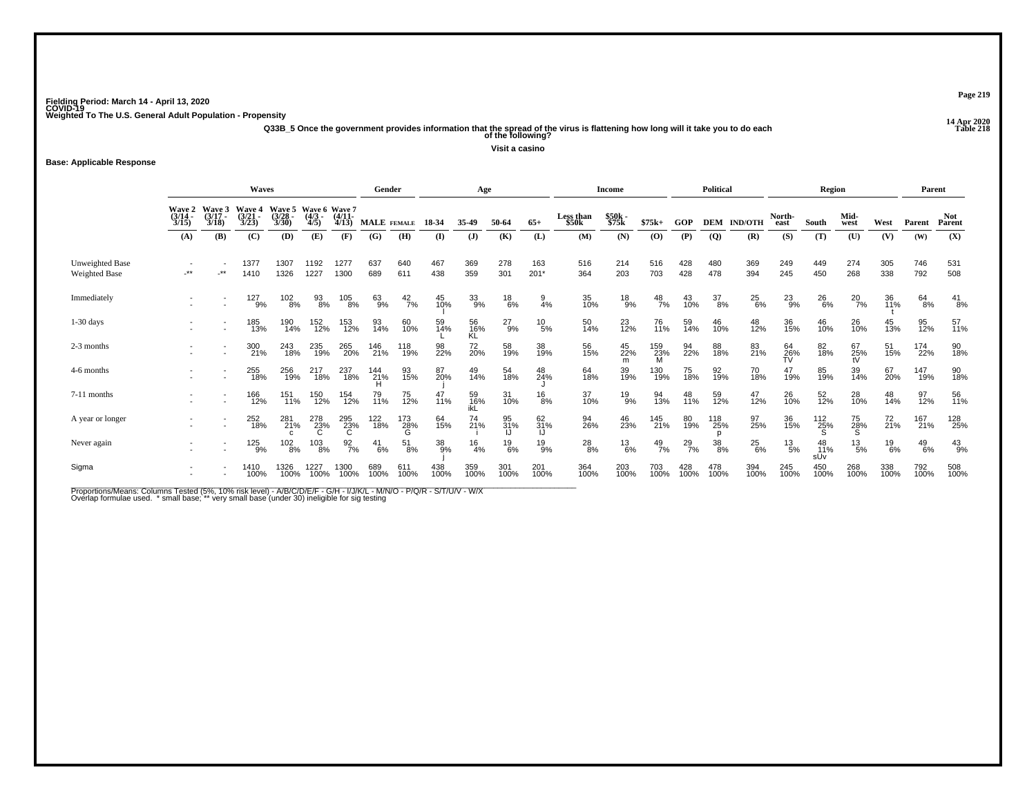**14 Apr 2020 Q33B\_5 Once the government provides information that the spread of the virus is flattening how long will it take you to do each Table 218 of the following?**

**Visit a casino**

### **Base: Applicable Response**

|                                  |                           |                             | <b>Waves</b>                |                                          |                                          |                   | Gender      |                      |             | Age              |               |                 |                    | Income            |                 |               | <b>Political</b> |                |                 | <b>Region</b>    |                 |                | Parent        |                      |
|----------------------------------|---------------------------|-----------------------------|-----------------------------|------------------------------------------|------------------------------------------|-------------------|-------------|----------------------|-------------|------------------|---------------|-----------------|--------------------|-------------------|-----------------|---------------|------------------|----------------|-----------------|------------------|-----------------|----------------|---------------|----------------------|
|                                  | Wave 2<br>(3/14 -<br>3/15 | Wave 3<br>$(3/17 -$<br>3/18 | Wave 4<br>$(3/21 -$<br>3/23 | Wave 5<br>(3/28<br>3/30                  | Wave 6 Wave 7<br>$(4/3 -$<br>4/5         | $(4/11 -$<br>4/13 |             | MALE FEMALE          | 18-34       | 35-49            | 50-64         | $65+$           | Less than<br>\$50k | $$50k -$<br>\$75k | $$75k+$         | GOP           | <b>DEM</b>       | <b>IND/OTH</b> | North-<br>east  | South            | Mid-<br>west    | West           | Parent        | <b>Not</b><br>Parent |
|                                  | (A)                       | (B)                         | (C)                         | (D)                                      | (E)                                      | (F)               | (G)         | (H)                  | (I)         | $\mathbf{J}$     | (K)           | (L)             | (M)                | (N)               | (O)             | (P)           | $\overline{Q}$   | (R)            | (S)             | (T)              | (U)             | (V)            | (W)           | (X)                  |
| Unweighted Base<br>Weighted Base | $.**$                     | $\cdot$ **                  | 1377<br>1410                | 1307<br>1326                             | 1192<br>1227                             | 1277<br>1300      | 637<br>689  | 640<br>611           | 467<br>438  | 369<br>359       | 278<br>301    | 163<br>$201*$   | 516<br>364         | 214<br>203        | 516<br>703      | 428<br>428    | 480<br>478       | 369<br>394     | 249<br>245      | 449<br>450       | 274<br>268      | 305<br>338     | 746<br>792    | 531<br>508           |
| Immediately                      |                           |                             | 127<br>9%                   | $\begin{array}{c} 102 \ 8\% \end{array}$ | 93<br>8%                                 | 105<br>8%         | 63<br>9%    | $^{42}_{7\%}$        | 45<br>10%   | 33<br>9%         | $^{18}_{6\%}$ | $\frac{9}{4\%}$ | 35<br>10%          | $^{18}_{9\%}$     | $^{48}_{7\%}$   | 43<br>10%     | $\frac{37}{8\%}$ | $^{25}_{6\%}$  | $^{23}_{9\%}$   | 26<br>6%         | $^{20}_{7\%}$   | 36<br>11%      | 64<br>8%      | $^{41}_{8\%}$        |
| $1-30$ days                      |                           |                             | 185<br>13%                  | 190<br>14%                               | 152<br>12%                               | 153<br>12%        | 93<br>14%   | 60<br>10%            | 59<br>14%   | 56<br>16%<br>KĹ  | $^{27}_{9\%}$ | $^{10}_{\ 5\%}$ | 50<br>14%          | 23<br>12%         | 76<br>11%       | 59<br>14%     | 46<br>10%        | 48<br>12%      | 36<br>15%       | 46<br>10%        | 26<br>10%       | 45<br>13%      | 95<br>12%     | 57<br>11%            |
| 2-3 months                       |                           |                             | 300<br>21%                  | 243<br>18%                               | 235<br>19%                               | 265<br>20%        | 146<br>21%  | 118<br>19%           | 98<br>22%   | 72<br>20%        | 58<br>19%     | 38<br>19%       | 56<br>15%          | 45<br>22%<br>m    | 159<br>23%<br>M | 94<br>22%     | 88<br>18%        | 83<br>21%      | 64<br>26%<br>TV | 82<br>18%        | 67<br>25%<br>tV | 51<br>15%      | 174<br>22%    | 90<br>18%            |
| 4-6 months                       |                           |                             | 255<br>18%                  | 256<br>19%                               | 217<br>18%                               | 237<br>18%        | 144<br>21%  | 93<br>15%            | 87<br>20%   | 49<br>14%        | 54<br>18%     | 48<br>24%       | 64<br>18%          | 39<br>19%         | 130<br>19%      | 75<br>18%     | 92<br>19%        | 70<br>18%      | 47<br>19%       | 85<br>19%        | 39<br>14%       | 67<br>20%      | 147<br>19%    | 90<br>18%            |
| 7-11 months                      |                           |                             | 166<br>12%                  | 151<br>11%                               | 150<br>12%                               | 154<br>12%        | 79<br>11%   | 75<br>12%            | 47<br>11%   | 59<br>16%<br>ikL | 31<br>10%     | $^{16}_{8\%}$   | 37<br>10%          | $^{19}_{9\%}$     | 94<br>13%       | 48<br>11%     | 59<br>12%        | 47<br>12%      | 26<br>10%       | 52<br>12%        | 28<br>10%       | 48<br>14%      | 97<br>12%     | 56<br>11%            |
| A year or longer                 |                           |                             | 252<br>18%                  | 281<br>21%                               | 278<br>23%                               | 295<br>23%<br>C   | 122<br>18%  | 173<br>28%<br>G      | 64<br>15%   | 74<br>21%        | 95<br>31%     | 62<br>31%       | 94<br>26%          | 46<br>23%         | 145<br>21%      | 80<br>19%     | 118<br>25%<br>D  | 97<br>25%      | 36<br>15%       | $^{112}_{25\%}$  | 75<br>28%<br>S  | $^{72}_{21\%}$ | 167<br>21%    | 128<br>25%           |
| Never again                      |                           |                             | 125<br>9%                   | $\frac{102}{8\%}$                        | $\begin{array}{c} 103 \ 8\% \end{array}$ | $\frac{92}{7%}$   | 41<br>6%    | $\substack{51\,8\%}$ | 38<br>9%    | $^{16}_{4\%}$    | $^{19}_{6\%}$ | 19<br>9%        | $^{28}_{8\%}$      | $^{13}_{6\%}$     | $^{49}_{7\%}$   | $^{29}_{7\%}$ | 38<br>8%         | $^{25}_{6\%}$  | $^{13}_{5\%}$   | 48<br>11%<br>sÚv | $^{13}_{5\%}$   | $^{19}_{6\%}$  | $^{49}_{6\%}$ | $^{43}_{9\%}$        |
| Sigma                            | $\overline{\phantom{a}}$  |                             | 1410<br>100%                | 1326<br>100%                             | 1227<br>100%                             | 1300<br>100%      | 689<br>100% | 611<br>100%          | 438<br>100% | 359<br>100%      | 301<br>100%   | 201<br>100%     | 364<br>100%        | 203<br>100%       | 703<br>100%     | 428<br>100%   | 478<br>100%      | 394<br>100%    | 245<br>100%     | 450<br>100%      | 268<br>100%     | 338<br>100%    | 792<br>100%   | 508<br>100%          |

Proportions/Means: Columns Tested (5%, 10% risk level) - A/B/C/D/E/F - G/H - I/J/K/L - M/N/O - P/Q/R - S/T/U/V - W/X<br>Overlap formulae used. \*small base; \* very small base (under 30) ineligible for sig testing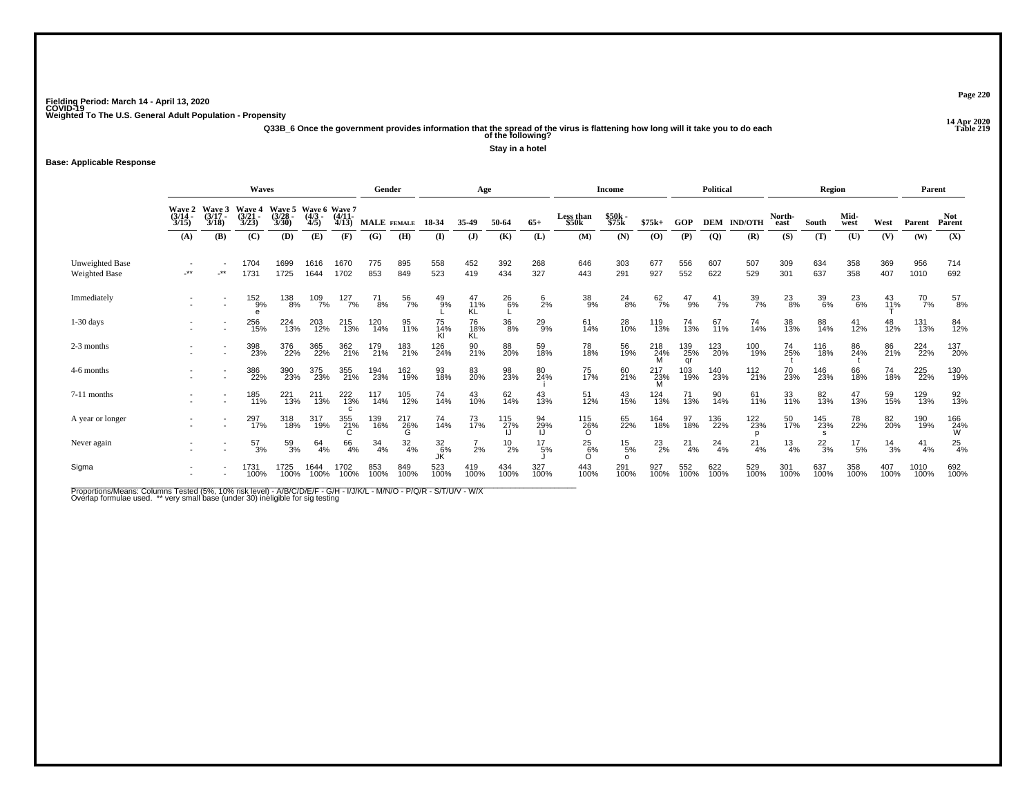**14 Apr 2020 Q33B\_6 Once the government provides information that the spread of the virus is flattening how long will it take you to do each Table 219 of the following?**

**Stay in a hotel**

### **Base: Applicable Response**

|                                         |                                                                                                                                                                                                              |            | <b>Waves</b>  |              |                   |              | Gender             |                  |                | Age                    |                 |                 |                                | Income                      |                 |                  | <b>Political</b> |                    |                | Region                     |                 |                 | Parent       |                 |
|-----------------------------------------|--------------------------------------------------------------------------------------------------------------------------------------------------------------------------------------------------------------|------------|---------------|--------------|-------------------|--------------|--------------------|------------------|----------------|------------------------|-----------------|-----------------|--------------------------------|-----------------------------|-----------------|------------------|------------------|--------------------|----------------|----------------------------|-----------------|-----------------|--------------|-----------------|
|                                         | Wave 2<br>(3/14 -<br>Wave 3<br>Wave 6 Wave 7<br>Wave 5<br>Wave 4<br>(4/11)<br>$(3/21 -$<br>$(3/17 -$<br>(3/28)<br>$(4/3 -$<br>3/23<br>3/30<br>3/18<br>4/5<br>3/15<br>4/13<br>(A)<br>(B)<br>(D)<br>(E)<br>(C) |            |               |              |                   |              | <b>MALE</b> FEMALE |                  | 18-34          | 35-49                  | 50-64           | $65+$           | Less than<br>\$50 <sub>k</sub> | \$50k<br>\$75k              | $$75k+$         | GOP              |                  | <b>DEM IND/OTH</b> | North-<br>east | South                      | Mid-<br>west    | West            | Parent       | Not<br>Parent   |
|                                         |                                                                                                                                                                                                              |            |               |              |                   | (F)          | (G)                | (H)              | $\bf{I}$       | $\mathbf{J}$           | (K)             | (L)             | (M)                            | (N)                         | (0)             | (P)              | $\overline{Q}$   | (R)                | (S)            | (T)                        | (U)             | (V)             | (W)          | (X)             |
| Unweighted Base<br><b>Weighted Base</b> | $^{\star\star}$                                                                                                                                                                                              | $\cdot$ ** | 1704<br>1731  | 1699<br>1725 | 1616<br>1644      | 1670<br>1702 | 775<br>853         | 895<br>849       | 558<br>523     | 452<br>419             | 392<br>434      | 268<br>327      | 646<br>443                     | 303<br>291                  | 677<br>927      | 556<br>552       | 607<br>622       | 507<br>529         | 309<br>301     | 634<br>637                 | 358<br>358      | 369<br>407      | 956<br>1010  | 714<br>692      |
| Immediately                             |                                                                                                                                                                                                              |            | 152<br>9%     | 138<br>8%    | $\frac{109}{7\%}$ | 127<br>7%    | 71<br>8%           | 56<br>7%         | $^{49}_{9\%}$  | 47<br>11%<br><b>KL</b> | $^{26}_{6\%}$   | $\frac{6}{2}$ % | 38<br>9%                       | $^{24}_{8\%}$               | $^{62}_{7\%}$   | 47<br>9%         | $^{41}_{7\%}$    | $\frac{39}{7\%}$   | $^{23}_{8\%}$  | 39<br>6%                   | 23<br>6%        | 43<br>11%       | 70<br>7%     | 57<br>8%        |
| $1-30$ days                             |                                                                                                                                                                                                              |            | 256<br>15%    | 224<br>13%   | 203<br>12%        | 215<br>13%   | 120<br>14%         | 95<br>11%        | 75<br>14%      | 76<br>18%<br>KĹ        | $\frac{36}{8%}$ | $^{29}_{9\%}$   | 61<br>14%                      | 28<br>10%                   | 119<br>13%      | 74<br>13%        | 67<br>11%        | 74<br>14%          | 38<br>13%      | 88<br>14%                  | 41<br>12%       | 48<br>12%       | 131<br>13%   | 84<br>12%       |
| 2-3 months                              |                                                                                                                                                                                                              |            | 398<br>23%    | 376<br>22%   | 365<br>22%        | 362<br>21%   | 179<br>21%         | 183<br>21%       | 126<br>24%     | 90<br>21%              | 88<br>20%       | 59<br>18%       | 78<br>18%                      | 56<br>19%                   | 218<br>24%<br>M | 139<br>25%<br>ar | 123<br>20%       | 100<br>19%         | 74<br>25%      | 116<br>18%                 | 86<br>24%       | 86<br>21%       | 224<br>22%   | 137<br>20%      |
| 4-6 months                              |                                                                                                                                                                                                              |            | 386<br>22%    | 390<br>23%   | 375<br>23%        | 355<br>21%   | 194<br>23%         | 162<br>19%       | 93<br>18%      | 83<br>20%              | 98<br>23%       | 80<br>24%       | 75<br>17%                      | 60<br>21%                   | 217<br>23%      | 103<br>19%       | 140<br>23%       | 112<br>21%         | 70<br>23%      | 146<br>23%                 | 66<br>18%       | 74<br>18%       | 225<br>22%   | 130<br>19%      |
| 7-11 months                             |                                                                                                                                                                                                              |            | 185<br>11%    | 221<br>13%   | 211<br>13%        | 222<br>13%   | 117<br>14%         | 105<br>12%       | 74<br>14%      | 43<br>10%              | 62 <sub>%</sub> | 43<br>13%       | 51<br>12%                      | 43<br>15%                   | 124<br>13%      | 71<br>13%        | 90<br>14%        | 61<br>11%          | 33<br>11%      | 82<br>13%                  | 47<br>13%       | 59<br>15%       | 129<br>13%   | 92 <sub>%</sub> |
| A year or longer                        |                                                                                                                                                                                                              |            | 297<br>17%    | 318<br>18%   | 317<br>19%        | 355<br>21%   | 139<br>16%         | $^{217}_{26\%}$  | 74<br>14%      | 73<br>17%              | 115<br>27%      | 94<br>29%       | 115<br>26%<br>O                | 65<br>22%                   | 164<br>18%      | 97<br>18%        | 136<br>22%       | 122<br>23%         | 50<br>17%      | 145<br>23%<br>$\mathbf{s}$ | 78<br>22%       | 82<br>20%       | 190<br>19%   | 166<br>24%<br>W |
| Never again                             |                                                                                                                                                                                                              |            | $^{57}_{3\%}$ | 59<br>3%     | 64<br>4%          | 66<br>4%     | $\frac{34}{4\%}$   | $\frac{32}{4\%}$ | 32<br>6%<br>JK | 2%                     | $^{10}_{2\%}$   | 17<br>5%        | $^{25}_{6\%}$                  | $^{15}_{\ 5\%}$<br>$\Omega$ | $^{23}_{2\%}$   | $^{21}_{4\%}$    | 24<br>4%         | $^{21}_{4\%}$      | $^{13}_{4\%}$  | $^{22}_{3\%}$              | $^{17}_{\ 5\%}$ | $\frac{14}{3%}$ | 41<br>4%     | $^{25}_{4\%}$   |
| Sigma                                   |                                                                                                                                                                                                              |            | 1731<br>100%  | 1725<br>100% | 1644<br>100%      | 1702<br>100% | 853<br>100%        | 849<br>100%      | 523<br>100%    | 419<br>100%            | 434<br>100%     | 327<br>100%     | 443<br>100%                    | 291<br>100%                 | 927<br>100%     | 552<br>100%      | 622<br>100%      | 529<br>100%        | 301<br>100%    | 637<br>100%                | 358<br>100%     | 407<br>100%     | 1010<br>100% | 692<br>100%     |

Proportions/Means: Columns Tested (5%, 10% risk level) - A/B/C/D/E/F - G/H - I/J/K/L - M/N/O - P/Q/R - S/T/U/V - W/X<br>Overlap formulae used. \*\* very small base (under 30) ineligible for sig testing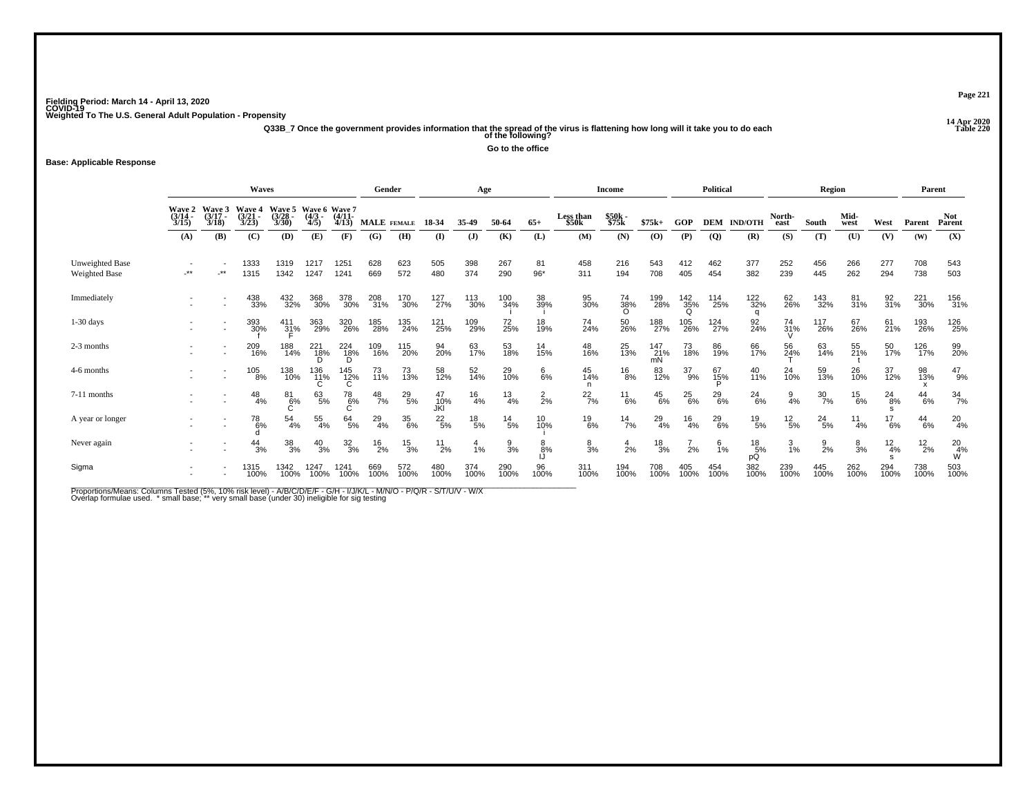**14 Apr 2020 Q33B\_7 Once the government provides information that the spread of the virus is flattening how long will it take you to do each Table 220 of the following?**

**Go to the office**

### **Base: Applicable Response**

|                                  |                                                                                                                                                                                                      |                          | <b>Waves</b>  |                  |                   |                 | Gender        |               |                  | Age             |                 |                 |                    | <b>Income</b>    |                  |                 | <b>Political</b> |                     |                                 | <b>Region</b>    |                |                 | Parent        |                      |
|----------------------------------|------------------------------------------------------------------------------------------------------------------------------------------------------------------------------------------------------|--------------------------|---------------|------------------|-------------------|-----------------|---------------|---------------|------------------|-----------------|-----------------|-----------------|--------------------|------------------|------------------|-----------------|------------------|---------------------|---------------------------------|------------------|----------------|-----------------|---------------|----------------------|
|                                  | Wave 5<br>Wave 6 Wave 7<br>(4/3 - (4/11-<br>Wave 2<br>Waye<br>Wave 4<br>$(3/14 -$<br>(3/21)<br>(3/28)<br>$(3/17 -$<br>3/30<br>3/23<br>3/18<br>4/5<br>4/13<br>3/15<br>(B)<br>(D)<br>(A)<br>(C)<br>(E) |                          |               |                  |                   |                 | MALE FEMALE   |               | 18-34            | 35-49           | 50-64           | $65+$           | Less than<br>\$50k | \$50k<br>\$75k   | $$75k+$          | GOP             | <b>DEM</b>       | <b>IND/OTH</b>      | North-<br>east                  | South            | Mid-<br>west   | West            | Parent        | <b>Not</b><br>Parent |
|                                  |                                                                                                                                                                                                      |                          |               |                  |                   | (F)             | (G)           | (H)           | (I)              | $\mathbf{J}$    | (K)             | (L)             | (M)                | (N)              | (0)              | (P)             | $\overline{Q}$   | (R)                 | (S)                             | (T)              | (U)            | (V)             | (W)           | (X)                  |
| Unweighted Base<br>Weighted Base | $**$                                                                                                                                                                                                 | $\star\star$             | 1333<br>1315  | 1319<br>1342     | 1217<br>1247      | 1251<br>1241    | 628<br>669    | 623<br>572    | 505<br>480       | 398<br>374      | 267<br>290      | 81<br>$96*$     | 458<br>311         | 216<br>194       | 543<br>708       | 412<br>405      | 462<br>454       | 377<br>382          | 252<br>239                      | 456<br>445       | 266<br>262     | 277<br>294      | 708<br>738    | 543<br>503           |
| Immediately                      |                                                                                                                                                                                                      |                          | 438<br>33%    | 432<br>32%       | 368<br>30%        | 378<br>30%      | 208<br>31%    | 170<br>30%    | 127<br>27%       | 113<br>30%      | 100<br>34%      | 38<br>39%       | 95<br>30%          | 74<br>38%<br>O   | 199<br>28%       | 142<br>35%      | 114<br>25%       | 122<br>32%          | 62<br>26%                       | 143<br>32%       | 81<br>31%      | 92<br>31%       | 221<br>30%    | 156<br>31%           |
| $1-30$ days                      |                                                                                                                                                                                                      | $\overline{\phantom{a}}$ | 393<br>30%    | $^{411}_{31\%}$  | 363<br>29%        | 320<br>26%      | 185<br>28%    | 135<br>24%    | 121<br>25%       | 109<br>29%      | 72<br>25%       | 18 <sub>%</sub> | 74 <sub>%</sub>    | 50<br>26%        | 188<br>27%       | 105<br>26%      | 124<br>27%       | 92<br>24%           | $^{74}_{31\%}$<br>$\mathcal{U}$ | 117<br>26%       | 67<br>26%      | $^{61}_{21\%}$  | 193<br>26%    | 126<br>25%           |
| 2-3 months                       |                                                                                                                                                                                                      |                          | 209<br>16%    | 188<br>14%       | 221<br>- 18%<br>D | $^{224}_{18\%}$ | 109<br>16%    | 115<br>20%    | 94<br>20%        | 63<br>17%       | 53<br>18%       | 14<br>15%       | 48<br>16%          | 25<br>13%        | 147<br>21%<br>mN | 73<br>18%       | 86<br>19%        | 66<br>17%           | 56<br>24%                       | 63<br>14%        | 55<br>21%      | 50<br>17%       | 126<br>17%    | 99<br>20%            |
| 4-6 months                       |                                                                                                                                                                                                      |                          | 105<br>8%     | 138<br>10%       | 136<br>11%        | 145<br>12%<br>C | 73<br>11%     | 73<br>13%     | 58<br>12%        | 52<br>14%       | 29<br>10%       | 6%<br>6%        | 45<br>14%          | $^{16}_{8\%}$    | 83<br>12%        | 37<br>9%        | 67<br>15%        | $^{40}_{11\%}$      | 24<br>10%                       | 59<br>13%        | 26<br>10%      | 37<br>12%       | 98<br>13%     | $^{47}_{9\%}$        |
| 7-11 months                      |                                                                                                                                                                                                      |                          | $^{48}_{4\%}$ | 81<br>6%         | 63/5%             | 78<br>6%        | $^{48}_{7\%}$ | $^{29}_{5\%}$ | 47<br>10%<br>JKI | $^{16}_{4\%}$   | $\frac{13}{4%}$ | $\frac{2}{2}$ % | $^{22}_{7\%}$      | $^{11}_{6\%}$    | $^{45}_{6\%}$    | $^{25}_{6\%}$   | $^{29}_{6\%}$    | $^{24}_{6\%}$       | $\frac{9}{4%}$                  | $\frac{30}{7\%}$ | $^{15}_{6\%}$  | $^{24}_{8\%}$   | $^{44}_{6\%}$ | $\frac{34}{7\%}$     |
| A year or longer                 |                                                                                                                                                                                                      |                          | $^{78}_{6\%}$ | $\frac{54}{4\%}$ | $\frac{55}{4\%}$  | 64/5%           | 29<br>4%      | 35<br>6%      | $^{22}_{\ 5\%}$  | $^{18}_{\ 5\%}$ | $\frac{14}{5%}$ | 10 <sub>%</sub> | $^{19}_{6\%}$      | $\frac{14}{7\%}$ | $^{29}_{4\%}$    | $\frac{16}{4%}$ | 29<br>6%         | $^{19}_{5\%}$       | $^{12}_{\ 5\%}$                 | $^{24}_{5\%}$    | 11<br>4%       | $^{17}_{6\%}$   | $^{44}_{6\%}$ | $^{20}_{4\%}$        |
| Never again                      |                                                                                                                                                                                                      |                          | $^{44}_{3\%}$ | $\frac{38}{3%}$  | $^{40}_{3\%}$     | $\frac{32}{3%}$ | $^{16}_{2\%}$ | $^{15}_{3\%}$ | $^{11}_{2\%}$    | 1%              | $\frac{9}{3}$ % | $\frac{8}{8%}$  | $\frac{8}{3}$ %    | $\frac{4}{2%}$   | $\frac{18}{3%}$  | 2%              | $\frac{6}{1\%}$  | $^{18}_{5\%}$<br>рQ | $\frac{3}{1\%}$                 | $\frac{9}{2%}$   | $\frac{8}{3%}$ | $\frac{12}{4%}$ | $^{12}_{2\%}$ | $^{20}_{4\%}$        |
| Sigma                            | $\overline{\phantom{a}}$                                                                                                                                                                             |                          | 1315<br>100%  | 1342<br>100%     | 1247<br>100%      | 1241<br>100%    | 669<br>100%   | 572<br>100%   | 480<br>100%      | 374<br>100%     | 290<br>100%     | 96<br>100%      | 311<br>100%        | 194<br>100%      | 708<br>100%      | 405<br>100%     | 454<br>100%      | 382<br>100%         | 239<br>100%                     | 445<br>100%      | 262<br>100%    | 294<br>100%     | 738<br>100%   | 503<br>100%          |

Proportions/Means: Columns Tested (5%, 10% risk level) - A/B/C/D/E/F - G/H - I/J/K/L - M/N/O - P/Q/R - S/T/U/V - W/X<br>Overlap formulae used. \*small base; \* very small base (under 30) ineligible for sig testing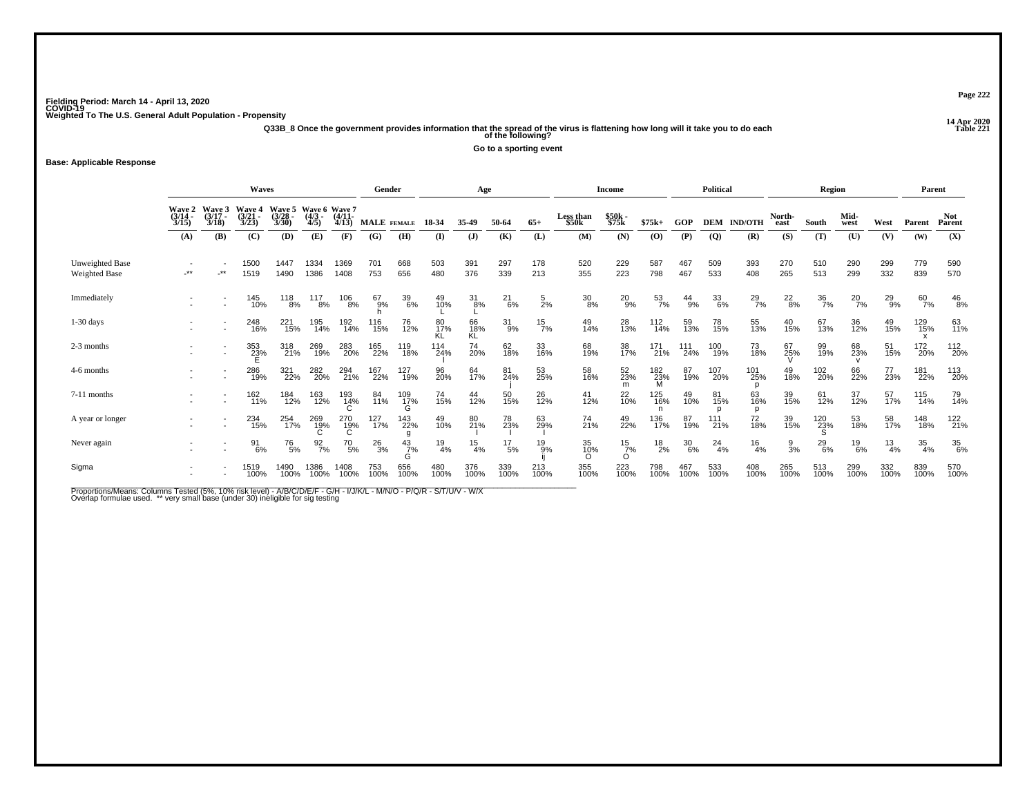**14 Apr 2020 Q33B\_8 Once the government provides information that the spread of the virus is flattening how long will it take you to do each Table 221 of the following?**

**Go to a sporting event**

**Base: Applicable Response**

|                                                |                             |                             | Waves                       |                          |                                  |                           | Gender       |                  |                 | Age             |                 |                |                                | <b>Income</b>             |                  |               | Political        |                    |                   | Region             |               |               | Parent      |                      |
|------------------------------------------------|-----------------------------|-----------------------------|-----------------------------|--------------------------|----------------------------------|---------------------------|--------------|------------------|-----------------|-----------------|-----------------|----------------|--------------------------------|---------------------------|------------------|---------------|------------------|--------------------|-------------------|--------------------|---------------|---------------|-------------|----------------------|
|                                                | Wave 2<br>$(3/14 -$<br>3/15 | Wave 3<br>$(3/17 -$<br>3/18 | Wave 4<br>$(3/21 -$<br>3/23 | Wave 5<br>(3/28)<br>3/30 | Wave 6 Wave 7<br>$(4/3 -$<br>4/5 | (4/11<br>4/13             | MALE FEMALE  |                  | 18 34           | 35-49           | 50-64           | $65+$          | Less than<br>\$50 <sub>k</sub> | \$50k<br>\$75k            | $$75k+$          | <b>GOP</b>    |                  | <b>DEM IND/OTH</b> | North-<br>east    | South              | Mid-<br>west  | West          | Parent      | <b>Not</b><br>Parent |
|                                                | (A)                         | (B)                         | (C)                         | (D)                      | (E)                              | (F)                       | (G)          | (H)              | $\bf(I)$        | ( <b>J</b> )    | (K)             | (L)            | (M)                            | (N)                       | (0)              | (P)           | <b>(Q)</b>       | (R)                | (S)               | (T)                | (U)           | (V)           | (W)         | (X)                  |
| <b>Unweighted Base</b><br><b>Weighted Base</b> | $***$                       | .**                         | 1500<br>1519                | 1447<br>1490             | 1334<br>1386                     | 1369<br>1408              | 701<br>753   | 668<br>656       | 503<br>480      | 391<br>376      | 297<br>339      | 178<br>213     | 520<br>355                     | 229<br>223                | 587<br>798       | 467<br>467    | 509<br>533       | 393<br>408         | 270<br>265        | 510<br>513         | 290<br>299    | 299<br>332    | 779<br>839  | 590<br>570           |
| Immediately                                    |                             |                             | 145<br>10%                  | 118<br>8%                | 117<br>8%                        | $^{106}_{\phantom{1}8\%}$ | 67<br>9%     | 39<br>6%         | 49<br>10%       | 31<br>8%        | $^{21}_{6\%}$   | $\frac{5}{2%}$ | $^{30}_{8\%}$                  | 20<br>9%                  | $\frac{53}{7\%}$ | $^{44}_{9\%}$ | $\frac{33}{6\%}$ | $^{29}_{7\%}$      | $^{22}_{8\%}$     | $\frac{36}{7\%}$   | $^{20}_{7\%}$ | $^{29}_{9\%}$ | 60<br>7%    | $^{46}_{8\%}$        |
| $1-30$ days                                    |                             | $\sim$                      | 248<br>16%                  | 221<br>15%               | 195<br>14%                       | 192<br>14%                | 116<br>15%   | 76<br>12%        | 80<br>17%<br>KL | 66<br>18%<br>ΚĽ | $^{31}_{9\%}$   | $^{15}_{7\%}$  | 49<br>14%                      | 28<br>13%                 | $^{112}_{14\%}$  | 59<br>13%     | 78<br>15%        | 55<br>13%          | 40 <sub>15%</sub> | 67<br>13%          | 36<br>12%     | 49<br>15%     | 129<br>15%  | 63<br>11%            |
| 2-3 months                                     |                             | $\overline{\phantom{a}}$    | 353<br>23%                  | 318<br>21%               | 269<br>19%                       | 283<br>20%                | 165<br>22%   | 119<br>18%       | 114<br>24%      | 74<br>20%       | 62<br>18%       | 33<br>16%      | 68<br>19%                      | 38<br>17%                 | 171<br>21%       | 111<br>24%    | 100<br>19%       | 73<br>18%          | 67<br>25%         | 99<br>19%          | 68<br>23%     | 51<br>15%     | 172<br>20%  | 112<br>20%           |
| 4-6 months                                     |                             |                             | 286<br>19%                  | 321<br>22%               | 282<br>20%                       | 294<br>21%                | 167<br>22%   | 127<br>19%       | 96<br>20%       | 64<br>17%       | 81<br>24%       | 53<br>25%      | 58<br>16%                      | 52<br>23%<br>m            | 182<br>23%<br>M  | 87<br>19%     | 107<br>20%       | 101<br>25%         | 49<br>18%         | 102<br>20%         | 66<br>22%     | 77<br>23%     | 181<br>22%  | 113<br>20%           |
| 7-11 months                                    |                             |                             | 162<br>11%                  | 184<br>12%               | 163<br>12%                       | 193<br>14%<br>C           | 84<br>11%    | 109<br>17%       | 74<br>15%       | 44<br>12%       | 50<br>15%       | 26<br>12%      | 41<br>12%                      | 22 <sub>0%</sub>          | 125<br>16%       | 49<br>10%     | 81<br>15%        | 63<br>16%          | 39<br>15%         | 61<br>12%          | 37<br>12%     | 57<br>17%     | 115<br>14%  | 79<br>14%            |
| A year or longer                               |                             |                             | 234<br>15%                  | 254<br>17%               | 269<br>19%                       | 270<br>19%<br>C           | 127<br>17%   | 143<br>22%       | 49<br>10%       | 80<br>21%       | 78<br>23%       | 63<br>29%      | 74<br>21%                      | 49<br>22%                 | 136<br>17%       | 87<br>19%     | 111<br>21%       | 72<br>18%          | 39<br>15%         | $\frac{120}{23\%}$ | 53<br>18%     | 58<br>17%     | 148<br>18%  | 122<br>21%           |
| Never again                                    |                             |                             | 91<br>6%                    | 76<br>5%                 | $\frac{92}{7\%}$                 | $^{70}_{\ 5\%}$           | $^{26}_{3%}$ | $\frac{43}{7\%}$ | $^{19}_{4\%}$   | 15<br>4%        | $^{17}_{\ 5\%}$ | $^{19}_{.9\%}$ | 35<br>10%                      | $^{15}_{7\%}$<br>$\Omega$ | $^{18}_{2\%}$    | $^{30}_{6\%}$ | 24<br>4%         | $^{16}_{4\%}$      | $\frac{9}{3\%}$   | $^{29}_{6\%}$      | $^{19}_{6\%}$ | $^{13}_{4\%}$ | 35<br>4%    | 35<br>6%             |
| Sigma                                          |                             |                             | 1519<br>100%                | 1490<br>100%             | 1386<br>100%                     | 1408<br>100%              | 753<br>100%  | 656<br>100%      | 480<br>100%     | 376<br>100%     | 339<br>100%     | 213<br>100%    | 355<br>100%                    | 223<br>100%               | 798<br>100%      | 467<br>100%   | 533<br>100%      | 408<br>100%        | 265<br>100%       | 513<br>100%        | 299<br>100%   | 332<br>100%   | 839<br>100% | 570<br>100%          |

Proportions/Means: Columns Tested (5%, 10% risk level) - A/B/C/D/E/F - G/H - I/J/K/L - M/N/O - P/Q/R - S/T/U/V - W/X<br>Overlap formulae used. \*\* very small base (under 30) ineligible for sig testing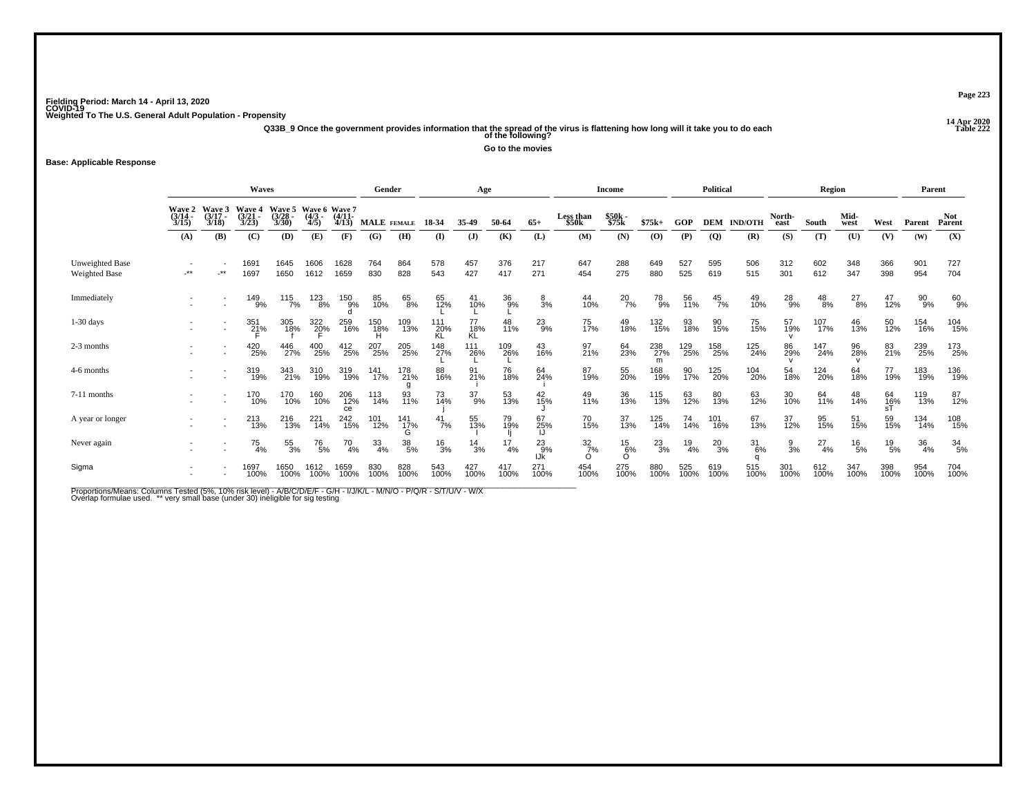**14 Apr 2020 Q33B\_9 Once the government provides information that the spread of the virus is flattening how long will it take you to do each Table 222 of the following?**

**Go to the movies**

### **Base: Applicable Response**

|                                  |                           |                             | <b>Waves</b>                |                         |                                  |                   | Gender      |                       |                  | Age               |             |                  |                              | Income           |                 |               | <b>Political</b> |                  |                 | <b>Region</b> |               |                 | Parent      |                      |
|----------------------------------|---------------------------|-----------------------------|-----------------------------|-------------------------|----------------------------------|-------------------|-------------|-----------------------|------------------|-------------------|-------------|------------------|------------------------------|------------------|-----------------|---------------|------------------|------------------|-----------------|---------------|---------------|-----------------|-------------|----------------------|
|                                  | Wave 2<br>(3/14 -<br>3/15 | Wave 3<br>$(3/17 -$<br>3/18 | Wave 4<br>$(3/21 -$<br>3/23 | Wave 5<br>(3/28<br>3/30 | Wave 6 Wave 7<br>$(4/3 -$<br>4/5 | $(4/11 -$<br>4/13 |             | MALE FEMALE           | 18-34            | 35-49             | 50-64       | $65+$            | Less than<br>\$50k           | \$50k -<br>\$75k | $$75k+$         | GOP           | <b>DEM</b>       | <b>IND/OTH</b>   | North-<br>east  | South         | Mid-<br>west  | West            | Parent      | <b>Not</b><br>Parent |
|                                  | (A)                       | (B)                         | (C)                         | (D)                     | (E)                              | (F)               | (G)         | (H)                   | (I)              | $\mathbf{J}$      | (K)         | (L)              | (M)                          | (N)              | (O)             | (P)           | $\overline{Q}$   | (R)              | (S)             | (T)           | (U)           | (V)             | (W)         | (X)                  |
| Unweighted Base<br>Weighted Base | $\star$                   | $.**$                       | 1691<br>1697                | 1645<br>1650            | 1606<br>1612                     | 1628<br>1659      | 764<br>830  | 864<br>828            | 578<br>543       | 457<br>427        | 376<br>417  | 217<br>271       | 647<br>454                   | 288<br>275       | 649<br>880      | 527<br>525    | 595<br>619       | 506<br>515       | 312<br>301      | 602<br>612    | 348<br>347    | 366<br>398      | 901<br>954  | 727<br>704           |
| Immediately                      |                           |                             | 149<br>9%                   | 115<br>7%               | 123<br>8%                        | 150<br>9%         | 85<br>10%   | 65<br>8%              | 65<br>12%        | 41<br>10%         | 36<br>9%    | $\frac{8}{3\%}$  | 44<br>10%                    | $^{20}_{7\%}$    | 78<br>9%        | 56<br>11%     | $^{45}_{7\%}$    | 49<br>10%        | $^{28}_{9%}$    | $^{48}_{8\%}$ | $^{27}_{8\%}$ | 47<br>12%       | 90<br>9%    | 60<br>9%             |
| $1-30$ days                      |                           | $\overline{\phantom{a}}$    | $^{351}_{21\%}$             | 305<br>18%              | 322<br>20%                       | 259<br>16%        | 150<br>18%  | 109<br>13%            | 111<br>20%<br>KL | 77<br>18%<br>ΚĽ   | 48<br>11%   | $^{23}_{9\%}$    | 75<br>17%                    | 49<br>18%        | 132<br>15%      | 93<br>18%     | 90<br>15%        | 75<br>15%        | 57<br>19%       | 107<br>17%    | 46<br>13%     | 50<br>12%       | 154<br>16%  | 104<br>15%           |
| 2-3 months                       |                           |                             | 420<br>25%                  | 446<br>27%              | 400<br>25%                       | 412<br>25%        | 207<br>25%  | 205<br>25%            | 148<br>27%       | 111<br>26%        | 109<br>26%  | 43<br>16%        | 97<br>21%                    | 64<br>23%        | 238<br>27%<br>m | 129<br>25%    | 158<br>25%       | 125<br>24%       | 86<br>29%       | 147<br>24%    | 96<br>28%     | 83<br>21%       | 239<br>25%  | 173<br>25%           |
| 4-6 months                       |                           |                             | 319<br>19%                  | 343<br>21%              | 310<br>19%                       | 319<br>19%        | 141<br>17%  | 178<br>21%            | 88<br>16%        | $\frac{91}{21\%}$ | 76<br>18%   | 64<br>24%        | 87<br>19%                    | 55<br>20%        | 168<br>19%      | 90<br>17%     | 125<br>20%       | 104<br>20%       | 54<br>18%       | 124<br>20%    | 64<br>18%     | 77<br>19%       | 183<br>19%  | 136<br>19%           |
| 7-11 months                      |                           |                             | 170<br>10%                  | 170<br>10%              | 160<br>10%                       | 206<br>12%<br>ce  | 113<br>14%  | 93<br>11%             | 73<br>14%        | $^{37}_{9\%}$     | 53<br>13%   | 42<br>15%        | 49<br>11%                    | 36<br>13%        | 115<br>13%      | 63<br>12%     | 80<br>13%        | 63<br>12%        | 30<br>10%       | 64<br>11%     | 48<br>14%     | 64<br>16%<br>sT | 119<br>13%  | 87<br>12%            |
| A year or longer                 |                           |                             | 213<br>13%                  | 216<br>13%              | 221<br>14%                       | 242<br>15%        | 101<br>12%  | 141<br>$\frac{17}{6}$ | $^{41}_{7\%}$    | 55<br>13%         | 79<br>19%   | 67<br>25%        | 70<br>15%                    | 37<br>13%        | 125<br>14%      | 74<br>14%     | 101<br>16%       | 67<br>13%        | 37<br>12%       | 95<br>15%     | 51<br>15%     | 59<br>15%       | 134<br>14%  | 108<br>15%           |
| Never again                      |                           |                             | 75<br>4%                    | 55<br>3%                | <sup>76</sup> <sub>5%</sub>      | 70<br>4%          | 33<br>4%    | 38<br>5%              | $\frac{16}{3%}$  | $\frac{14}{3%}$   | 17<br>4%    | 23<br>.9%<br>IJŘ | $\frac{32}{7}\%$<br>$\Omega$ | $^{15}_{6\%}$    | $^{23}_{3\%}$   | $^{19}_{4\%}$ | $^{20}_{3\%}$    | $\frac{31}{6\%}$ | $\frac{9}{3}$ % | 27<br>4%      | $^{16}_{5\%}$ | $^{19}_{5\%}$   | 36<br>4%    | $\frac{34}{5\%}$     |
| Sigma                            | $\overline{\phantom{a}}$  |                             | 1697<br>100%                | 1650<br>100%            | 1612<br>100%                     | 1659<br>100%      | 830<br>100% | 828<br>100%           | 543<br>100%      | 427<br>100%       | 417<br>100% | 271<br>100%      | 454<br>100%                  | 275<br>100%      | 880<br>100%     | 525<br>100%   | 619<br>100%      | 515<br>100%      | 301<br>100%     | 612<br>100%   | 347<br>100%   | 398<br>100%     | 954<br>100% | 704<br>100%          |

Proportions/Means: Columns Tested (5%, 10% risk level) - A/B/C/D/E/F - G/H - I/J/K/L - M/N/O - P/Q/R - S/T/U/V - W/X<br>Overlap formulae used. \*\* very small base (under 30) ineligible for sig testing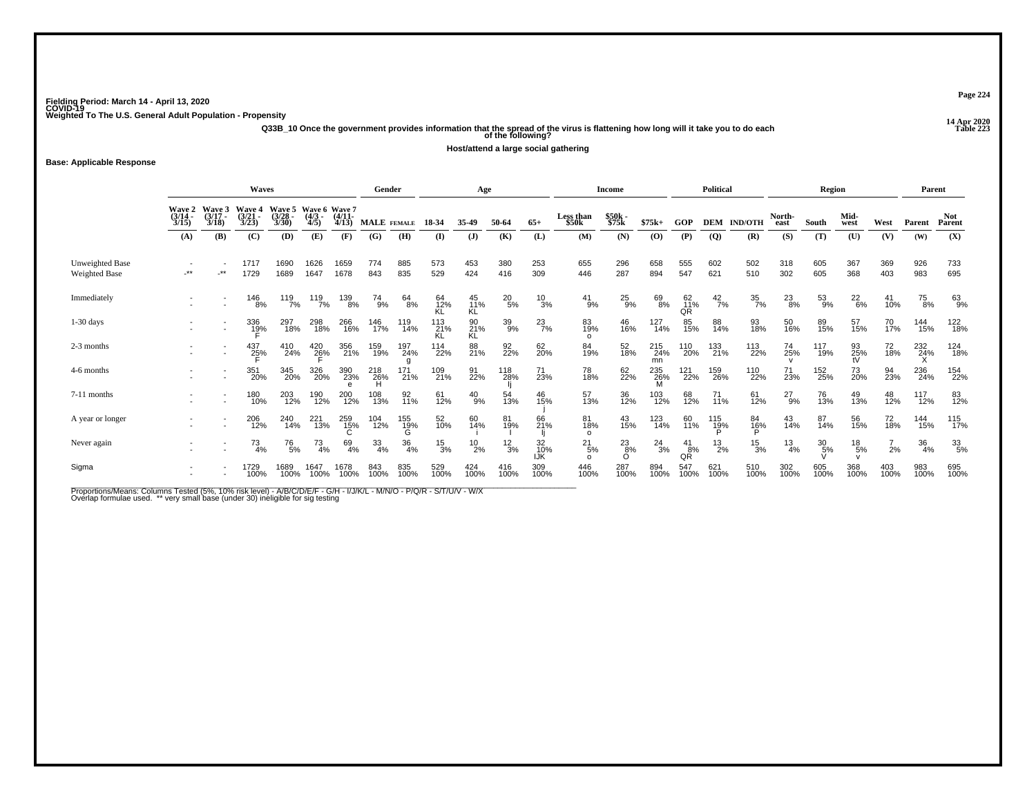**14 Apr 2020 Q33B\_10 Once the government provides information that the spread of the virus is flattening how long will it take you to do each Table 223 of the following?**

**Host/attend a large social gathering**

**Base: Applicable Response**

|                                         |                                                                                                                                                                                                                                 |              | <b>Waves</b>        |              |               |                            | Gender           |                  |                  | Age                    |                 |                  |                                | Income         |                  |                 | Political      |                  |                  | Region           |                 |                 | Parent          |                  |
|-----------------------------------------|---------------------------------------------------------------------------------------------------------------------------------------------------------------------------------------------------------------------------------|--------------|---------------------|--------------|---------------|----------------------------|------------------|------------------|------------------|------------------------|-----------------|------------------|--------------------------------|----------------|------------------|-----------------|----------------|------------------|------------------|------------------|-----------------|-----------------|-----------------|------------------|
|                                         | <b>Wave 2</b><br><b>Wave 5</b><br>Wave 6 Wave 7<br>Wave 3<br>Wave 4<br>(3/14)<br>$(3/21 -$<br>$(4/3 -$<br>$(4/11 -$<br>$(3/28 -$<br>$(3/17 -$<br>3/30<br>3/18<br>3/23<br>4/5<br>4/13<br>3/15<br>(E)<br>(A)<br>(B)<br>(C)<br>(D) |              |                     |              |               |                            | MALE FEMALE      |                  | 18-34            | 35-49                  | 50-64           | $65+$            | Less than<br>\$50 <sub>k</sub> | \$50k<br>\$75k | $$75k+$          | GOP             | <b>DEM</b>     | <b>IND/OTH</b>   | North-<br>east   | South            | Mid-<br>west    | West            | Parent          | Not.<br>Parent   |
|                                         |                                                                                                                                                                                                                                 |              |                     |              |               | (F)                        | (G)              | (H)              | $\bf(I)$         | $\mathbf{J}$           | (K)             | (L)              | (M)                            | (N)            | (0)              | (P)             | <b>(Q)</b>     | (R)              | (S)              | (T)              | (U)             | (V)             | (W)             | (X)              |
| Unweighted Base<br><b>Weighted Base</b> | **                                                                                                                                                                                                                              | $\star\star$ | 1717<br>1729        | 1690<br>1689 | 1626<br>1647  | 1659<br>1678               | 774<br>843       | 885<br>835       | 573<br>529       | 453<br>424             | 380<br>416      | 253<br>309       | 655<br>446                     | 296<br>287     | 658<br>894       | 555<br>547      | 602<br>621     | 502<br>510       | 318<br>302       | 605<br>605       | 367<br>368      | 369<br>403      | 926<br>983      | 733<br>695       |
| Immediately                             |                                                                                                                                                                                                                                 |              | 146<br>8%           | 119<br>7%    | 119<br>7%     | 139<br>8%                  | 74<br>9%         | 64<br>8%         | 64<br>12%<br>ΚĹ  | 45<br>11%<br><b>KL</b> | $^{20}_{5\%}$   | $\frac{10}{3%}$  | $^{41}_{9\%}$                  | $^{25}_{9\%}$  | 69<br>8%         | 62<br>11%<br>QR | $^{42}_{7\%}$  | $\frac{35}{7\%}$ | $^{23}_{8\%}$    | 53<br>9%         | $^{22}_{6\%}$   | 41<br>10%       | 75<br>8%        | 63<br>9%         |
| $1-30$ days                             |                                                                                                                                                                                                                                 |              | 336<br>1 <u>9</u> % | 297<br>18%   | 298<br>18%    | 266<br>16%                 | 146<br>17%       | 119<br>14%       | 113<br>21%<br>KL | 90<br>21%<br>KL        | 39%             | $^{23}_{7\%}$    | 83<br>19%<br>$\Omega$          | 46<br>16%      | 127<br>14%       | 85<br>15%       | 88<br>14%      | 93<br>18%        | 50<br>16%        | 89<br>15%        | 57<br>15%       | 70 <sub>%</sub> | 144<br>15%      | 122<br>18%       |
| 2-3 months                              |                                                                                                                                                                                                                                 |              | 437<br>25%          | 410<br>24%   | 420<br>26%    | 356<br>21%                 | 159<br>19%       | 197<br>24%       | 114<br>22%       | 88<br>21%              | 92<br>22%       | 62<br>20%        | 84<br>19%                      | 52<br>18%      | 215<br>24%<br>mn | 110<br>20%      | 133<br>21%     | 113<br>22%       | 74<br>25%        | 117<br>19%       | 93<br>25%       | 72<br>18%       | 232<br>24%      | 124<br>18%       |
| 4-6 months                              |                                                                                                                                                                                                                                 |              | 351<br>20%          | 345<br>20%   | 326<br>20%    | 390<br>23%<br>$\mathbf{e}$ | 218<br>26%<br>н  | 171<br>21%       | 109<br>21%       | 91<br>22%              | 118<br>28%      | 71<br>23%        | 78<br>18%                      | 62<br>22%      | 235<br>26%<br>M  | 121<br>22%      | 159<br>26%     | 110<br>22%       | 71<br>23%        | 152<br>25%       | 73<br>20%       | 94<br>23%       | 236<br>24%      | 154<br>22%       |
| 7-11 months                             |                                                                                                                                                                                                                                 |              | 180<br>10%          | 203<br>12%   | 190<br>12%    | 200<br>12%                 | 108<br>13%       | 92<br>11%        | 61<br>12%        | $^{40}_{9\%}$          | 54<br>13%       | 46<br>15%        | 57<br>13%                      | 36<br>12%      | 103<br>12%       | 68<br>12%       | $^{71}_{11\%}$ | 61<br>12%        | $^{27}_{9\%}$    | 76<br>13%        | 49<br>13%       | 48<br>12%       | 117<br>12%      | 83<br>12%        |
| A year or longer                        |                                                                                                                                                                                                                                 |              | 206<br>12%          | 240<br>14%   | 221<br>13%    | 259<br>15%                 | 104<br>12%       | 155<br>19%       | 52<br>10%        | 60<br>14%              | 81<br>19%       | 66<br>21%        | 81<br>18%<br>$\Omega$          | 43<br>15%      | 123<br>14%       | 60<br>11%       | 115<br>19%     | 84<br>16%        | 43<br>14%        | 87<br>14%        | 56<br>15%       | 72<br>18%       | 144<br>15%      | 115<br>17%       |
| Never again                             |                                                                                                                                                                                                                                 |              | 73<br>4%            | 76<br>5%     | $^{73}_{4\%}$ | 69<br>4%                   | $\frac{33}{4\%}$ | $\frac{36}{4\%}$ | $^{15}_{3\%}$    | $^{10}_{2\%}$          | $\frac{12}{3%}$ | 32<br>10%<br>IJK | $^{21}_{5\%}$                  | $^{23}_{8\%}$  | $^{24}_{3\%}$    | 41<br>8%<br>QŘ  | $^{13}_{2\%}$  | $^{15}_{3\%}$    | $\frac{13}{4\%}$ | $\frac{30}{5\%}$ | $^{18}_{\ 5\%}$ | 2%              | $\frac{36}{4%}$ | $\frac{33}{5\%}$ |
| Sigma                                   |                                                                                                                                                                                                                                 |              | 1729<br>100%        | 1689<br>100% | 1647<br>100%  | 1678<br>100%               | 843<br>100%      | 835<br>100%      | 529<br>100%      | 424<br>100%            | 416<br>100%     | 309<br>100%      | 446<br>100%                    | 287<br>100%    | 894<br>100%      | 547<br>100%     | 621<br>100%    | 510<br>100%      | 302<br>100%      | 605<br>100%      | 368<br>100%     | 403<br>100%     | 983<br>100%     | 695<br>100%      |

Proportions/Means: Columns Tested (5%, 10% risk level) - A/B/C/D/E/F - G/H - I/J/K/L - M/N/O - P/Q/R - S/T/U/V - W/X<br>Overlap formulae used. \*\* very small base (under 30) ineligible for sig testing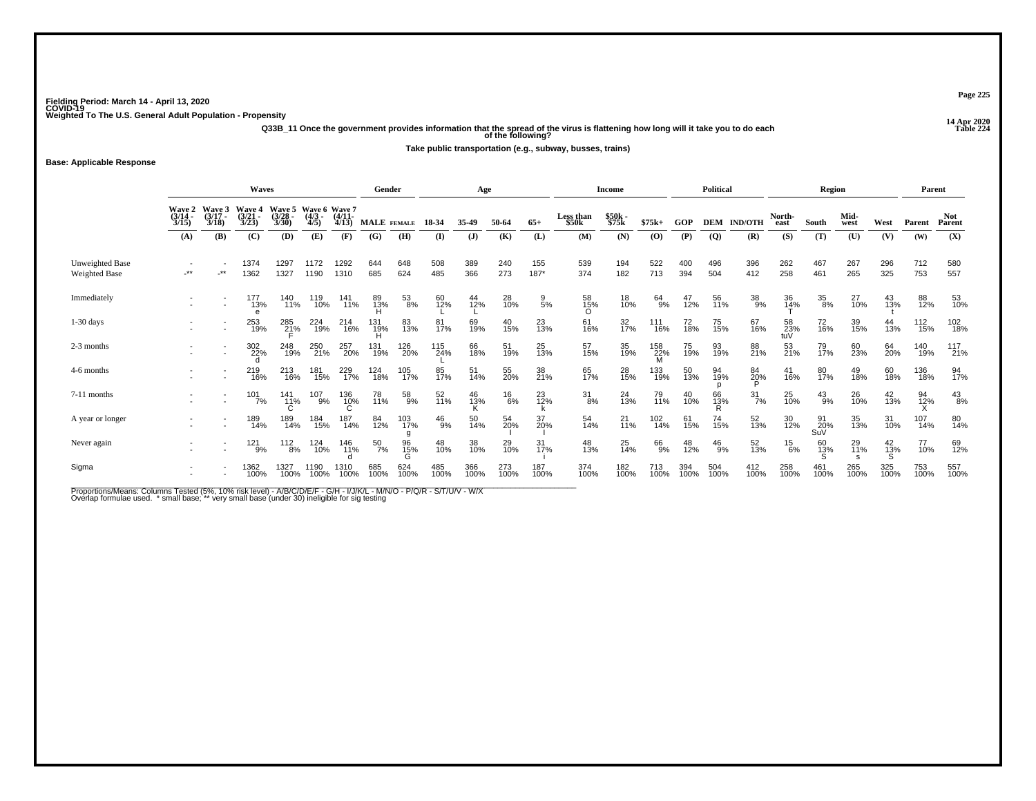**14 Apr 2020 Q33B\_11 Once the government provides information that the spread of the virus is flattening how long will it take you to do each Table 224 of the following?**

**Take public transportation (e.g., subway, busses, trains)**

**Base: Applicable Response**

|                                  |                                                                                                                                                                                                            | <b>Waves</b>             |                 |              | Gender         |                       |                    | Age           |               |              |                   | Income          |                       |                 | Political       |             |                | Region             |                       |                  | Parent       |                |                 |                      |
|----------------------------------|------------------------------------------------------------------------------------------------------------------------------------------------------------------------------------------------------------|--------------------------|-----------------|--------------|----------------|-----------------------|--------------------|---------------|---------------|--------------|-------------------|-----------------|-----------------------|-----------------|-----------------|-------------|----------------|--------------------|-----------------------|------------------|--------------|----------------|-----------------|----------------------|
|                                  | Wave 5<br><b>Wave 3</b><br>Wave 6 Wave 7<br>Wave 2<br>Wave 4<br>$(3/17 -$<br>(3/21)<br>$(3/28 -$<br>$(4/3 -$<br>$(3/14 -$<br>3/23<br>3/30<br>4/5<br>3/15<br>3/18<br><b>(B)</b><br>(C)<br>(D)<br>(A)<br>(E) |                          |                 |              |                | $(4/11 -$<br>4/13     | <b>MALE</b> FEMALE |               | 18-34         | 35-49        | 50-64             | $65+$           | Less than<br>\$50k    | \$50k<br>\$75k  | $$75k+$         | GOP         |                | <b>DEM IND/OTH</b> | North-<br>east        | South            | Mid-<br>west | West           | Parent          | <b>Not</b><br>Parent |
|                                  |                                                                                                                                                                                                            |                          |                 |              |                | (F)                   | (G)                | (H)           | $\bf{I}$      | $\mathbf{J}$ | (K)               | (L)             | (M)                   | (N)             | (0)             | (P)         | $\overline{Q}$ | (R)                | (S)                   | (T)              | (U)          | (V)            | (W)             | (X)                  |
| Unweighted Base<br>Weighted Base | -**                                                                                                                                                                                                        | $\cdot$ **               | 1374<br>1362    | 1297<br>1327 | 1172<br>1190   | 1292<br>1310          | 644<br>685         | 648<br>624    | 508<br>485    | 389<br>366   | 240<br>273        | 155<br>187*     | 539<br>374            | 194<br>182      | 522<br>713      | 400<br>394  | 496<br>504     | 396<br>412         | 262<br>258            | 467<br>461       | 267<br>265   | 296<br>325     | 712<br>753      | 580<br>557           |
| Immediately                      |                                                                                                                                                                                                            | $\overline{\phantom{a}}$ | 177<br>13%      | 140<br>11%   | 119<br>10%     | 141<br>11%            | 89<br>13%          | $^{53}_{8\%}$ | 60<br>12%     | 44<br>12%    | 28<br>10%         | $\frac{9}{5\%}$ | 58<br>15%<br>$\Omega$ | 18<br>10%       | 64<br>9%        | 47<br>12%   | 56<br>11%      | $^{38}_{9\%}$      | 36<br>14%             | 35<br>8%         | 27<br>10%    | 43<br>13%      | 88<br>12%       | 53<br>10%            |
| $1-30$ days                      |                                                                                                                                                                                                            |                          | 253<br>19%      | 285<br>21%   | 224<br>19%     | <sup>214</sup><br>16% | 131<br>19%         | 83<br>13%     | 81<br>17%     | 69<br>19%    | 40 <sub>15%</sub> | 23<br>13%       | 61<br>16%             | 32 <sub>%</sub> | 111<br>16%      | 72<br>18%   | 75<br>15%      | 67<br>16%          | $\frac{58}{23\%}$ tuV | 72<br>16%        | 39<br>15%    | 44<br>13%      | $^{112}_{15\%}$ | 102<br>18%           |
| 2-3 months                       |                                                                                                                                                                                                            | $\overline{\phantom{a}}$ | 302<br>22%      | 248<br>19%   | 250<br>21%     | 257<br>20%            | 131<br>19%         | 126<br>20%    | 115<br>24%    | 66<br>18%    | 51<br>19%         | 25<br>13%       | 57<br>15%             | 35<br>19%       | 158<br>22%<br>M | 75<br>19%   | 93<br>19%      | 88<br>21%          | 53<br>21%             | 79<br>17%        | 60<br>23%    | 64<br>20%      | 140<br>19%      | 117<br>21%           |
| 4-6 months                       |                                                                                                                                                                                                            |                          | 219<br>16%      | 213<br>16%   | 181<br>15%     | 229<br>17%            | 124<br>18%         | 105<br>17%    | 85<br>17%     | 51<br>14%    | 55<br>20%         | 38<br>21%       | 65<br>17%             | 28<br>15%       | 133<br>19%      | 50<br>13%   | 94<br>19%      | 84<br>20%          | 41<br>16%             | 80<br>17%        | 49<br>18%    | 60<br>18%      | 136<br>18%      | 94<br>17%            |
| 7-11 months                      |                                                                                                                                                                                                            |                          | $101 \atop 7\%$ | 141<br>11%   | $^{107}_{9\%}$ | 136<br>10%            | 78<br>11%          | 58<br>9%      | 52<br>11%     | 46<br>13%    | $^{16}_{6\%}$     | 23<br>12%       | $\frac{31}{8\%}$      | 24<br>13%       | 79<br>11%       | 40<br>10%   | 66<br>13%      | $\frac{31}{7\%}$   | 25<br>10%             | $^{43}_{9\%}$    | 26<br>10%    | $^{42}_{13\%}$ | 94<br>12%       | $^{43}_{8\%}$        |
| A year or longer                 |                                                                                                                                                                                                            |                          | 189<br>14%      | 189<br>14%   | 184<br>15%     | 187<br>14%            | 84<br>12%          | 103<br>17%    | $^{46}_{9\%}$ | 50<br>14%    | 54<br>20%         | 37<br>20%       | 54<br>14%             | $^{21}_{11\%}$  | 102<br>14%      | 61<br>15%   | 74<br>15%      | 52<br>13%          | 30<br>12%             | 91<br>20%<br>SuV | 35<br>13%    | 31<br>10%      | 107<br>14%      | 80<br>14%            |
| Never again                      |                                                                                                                                                                                                            |                          | 121<br>9%       | 112<br>8%    | 124<br>10%     | 146<br>11%            | $\frac{50}{7\%}$   | 96<br>15%     | 48<br>10%     | 38<br>10%    | 29<br>10%         | 31<br>17%       | 48<br>13%             | 25<br>14%       | 66<br>9%        | 48<br>12%   | $^{46}_{9\%}$  | 52<br>13%          | $^{15}_{6\%}$         | 60<br>13%        | 29<br>11%    | $^{42}_{13\%}$ | 77<br>10%       | 69<br>12%            |
| Sigma                            |                                                                                                                                                                                                            |                          | 1362<br>100%    | 1327<br>100% | 1190<br>100%   | 1310<br>100%          | 685<br>100%        | 624<br>100%   | 485<br>100%   | 366<br>100%  | 273<br>100%       | 187<br>100%     | 374<br>100%           | 182<br>100%     | 713<br>100%     | 394<br>100% | 504<br>100%    | 412<br>100%        | 258<br>100%           | 461<br>100%      | 265<br>100%  | 325<br>100%    | 753<br>100%     | 557<br>100%          |

Proportions/Means: Columns Tested (5%, 10% risk level) - A/B/C/D/E/F - G/H - I/J/K/L - M/N/O - P/Q/R - S/T/U/V - W/X<br>Overlap formulae used. \*small base; \* very small base (under 30) ineligible for sig testing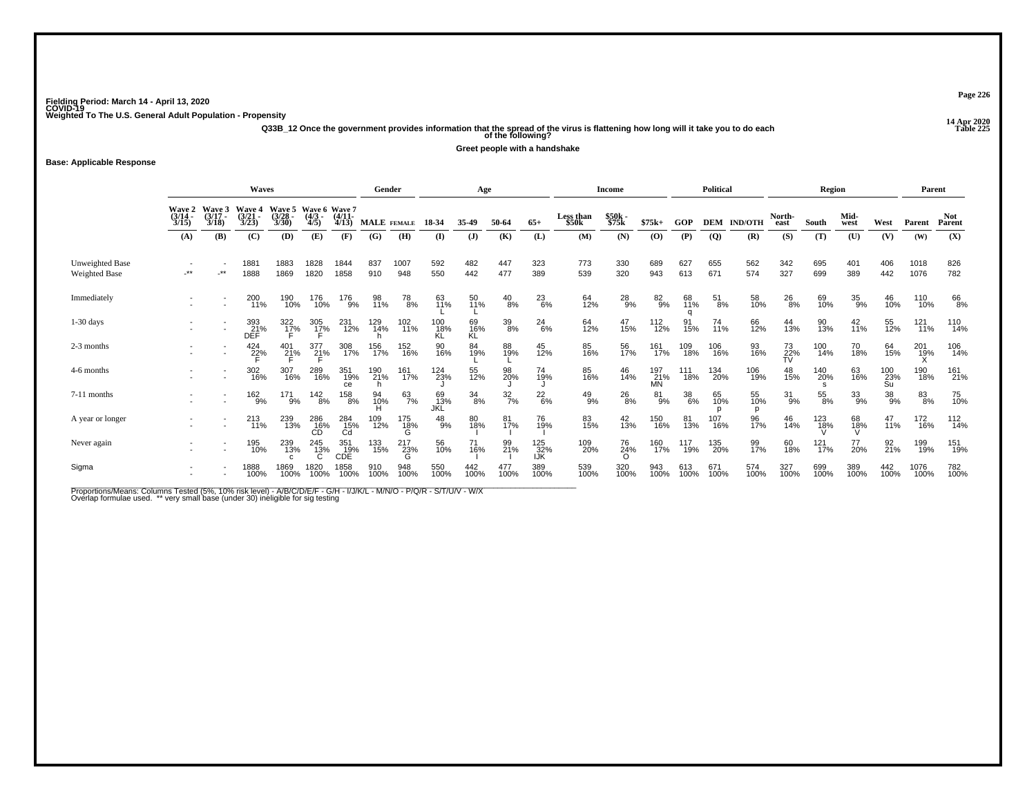**14 Apr 2020 Q33B\_12 Once the government provides information that the spread of the virus is flattening how long will it take you to do each Table 225 of the following?**

**Greet people with a handshake**

**Base: Applicable Response**

|                                         |                                                                                                                                                                                                                                           |              | Gender                   |              |                            | Age                                    |                    |                       |                  | Income          |                  |                       | Political                      |                |                         | Region           |               |                | Parent          |               |                |                  |              |                |
|-----------------------------------------|-------------------------------------------------------------------------------------------------------------------------------------------------------------------------------------------------------------------------------------------|--------------|--------------------------|--------------|----------------------------|----------------------------------------|--------------------|-----------------------|------------------|-----------------|------------------|-----------------------|--------------------------------|----------------|-------------------------|------------------|---------------|----------------|-----------------|---------------|----------------|------------------|--------------|----------------|
|                                         | Wave 5<br><b>Wave 4</b><br>Wave 6 Wave 7<br><b>Wave 2</b><br><b>Wave 3</b><br>$(3/14 -$<br>$(3/17 -$<br>$(3/21 -$<br>$(3/28 -$<br>$(4/3 -$<br>$(4/11 -$<br>3/30<br>3/23<br>4/5<br>3/15<br>4/13<br>3/18<br>(A)<br>(C)<br>(D)<br>(E)<br>(B) |              |                          |              |                            |                                        | <b>MALE</b> FEMALE |                       | 18-34            | 35-49           | 50-64            | $65+$                 | Less than<br>\$50 <sub>k</sub> | \$50k<br>\$75k | $$75k+$                 | GOP              | <b>DEM</b>    | <b>IND/OTH</b> | North-<br>east  | South         | Mid-<br>west   | West             | Parent       | Not.<br>Parent |
|                                         |                                                                                                                                                                                                                                           |              |                          |              |                            | (F)                                    | (G)                | (H)                   | (I)              | $\mathbf{J}$    | (K)              | (L)                   | (M)                            | (N)            | (0)                     | (P)              | <b>(Q)</b>    | (R)            | (S)             | (T)           | (U)            | (V)              | (W)          | (X)            |
| Unweighted Base<br><b>Weighted Base</b> | -**                                                                                                                                                                                                                                       | $\star\star$ | 1881<br>1888             | 1883<br>1869 | 1828<br>1820               | 1844<br>1858                           | 837<br>910         | 1007<br>948           | 592<br>550       | 482<br>442      | 447<br>477       | 323<br>389            | 773<br>539                     | 330<br>320     | 689<br>943              | 627<br>613       | 655<br>671    | 562<br>574     | 342<br>327      | 695<br>699    | 401<br>389     | 406<br>442       | 1018<br>1076 | 826<br>782     |
| Immediately                             |                                                                                                                                                                                                                                           |              | 200<br>11%               | 190<br>10%   | 176<br>10%                 | 176<br>9%                              | 98<br>11%          | 78<br>8%              | 63<br>11%        | 50<br>11%       | $^{40}_{8\%}$    | $^{23}_{6\%}$         | 64<br>12%                      | 28<br>9%       | $82_{9%}$               | 68<br>11%        | $^{51}_{8\%}$ | 58<br>10%      | 26<br>8%        | 69<br>10%     | 35<br>9%       | 46<br>10%        | 110<br>10%   | 66<br>8%       |
| $1-30$ days                             |                                                                                                                                                                                                                                           |              | 393<br>21%<br><b>DEF</b> | 322<br>17%   | 305<br>1 <u>7</u> %        | 231<br>12%                             | 129<br>14%         | 102<br>11%            | 100<br>18%<br>ΚL | 69<br>16%<br>KĹ | 39/8             | $^{24}_{6\%}$         | 64<br>12%                      | 47<br>15%      | 112<br>12%              | 91<br>15%        | 74<br>11%     | 66<br>12%      | 44<br>13%       | 90<br>13%     | $^{42}_{11\%}$ | 55<br>12%        | 121<br>11%   | 110<br>14%     |
| 2-3 months                              |                                                                                                                                                                                                                                           |              | 424<br>2 <u>2</u> %      | 401<br>21%   | 377<br>21%                 | 308<br>17%                             | 156<br>17%         | 152<br>16%            | 90<br>16%        | 84<br>19%       | 88<br>19%        | 45<br>12%             | 85<br>16%                      | 56<br>17%      | 161<br>17%              | 109<br>18%       | 106<br>16%    | 93<br>16%      | 73<br>22%<br>TV | 100<br>14%    | 70<br>18%      | 64<br>15%        | 201<br>19%   | 106<br>14%     |
| 4-6 months                              |                                                                                                                                                                                                                                           |              | 302<br>16%               | 307<br>16%   | 289<br>16%                 | 351<br>19%<br>ce                       | 190<br>21%         | 161<br>17%            | 124<br>23%       | 55<br>12%       | 98<br>20%        | 74<br>19%             | 85<br>16%                      | 46<br>14%      | 197<br>21%<br><b>MN</b> | 111<br>18%       | 134<br>20%    | 106<br>19%     | 48<br>15%       | 140<br>20%    | 63<br>16%      | 100<br>23%<br>Su | 190<br>18%   | 161<br>21%     |
| 7-11 months                             |                                                                                                                                                                                                                                           |              | $^{162}_{9%}$            | 171<br>9%    | $\frac{142}{8\%}$          | 158<br>8%                              | 94<br>10%          | $^{63}_{7\%}$         | 69<br>13%<br>JKL | $^{34}_{8\%}$   | $\frac{32}{7}\%$ | $^{22}_{6\%}$         | $^{49}_{9\%}$                  | $^{26}_{8\%}$  | $^{81}_{9\%}$           | $\frac{38}{6\%}$ | 65<br>10%     | 55<br>10%<br>D | $31_{9\%}$      | $^{55}_{8\%}$ | $33\atop{9\%}$ | $^{38}_{9\%}$    | 83<br>8%     | 75<br>10%      |
| A year or longer                        |                                                                                                                                                                                                                                           |              | 213<br>11%               | 239<br>13%   | $^{286}_{\phantom{1}16\%}$ | $^{284}_{\substack{15\%\\ \text{Cd}}}$ | 109<br>12%         | 175<br>$\frac{18}{9}$ | $^{48}_{9%}$     | 80<br>18%       | 81<br>17%        | 76<br>19%             | 83<br>15%                      | $^{42}_{13\%}$ | 150<br>16%              | 81<br>13%        | 107<br>16%    | 96<br>17%      | 46<br>14%       | 123<br>18%    | 68<br>18%      | 47<br>11%        | 172<br>16%   | 112<br>14%     |
| Never again                             |                                                                                                                                                                                                                                           |              | 195<br>10%               | 239<br>13%   | 245<br>13%                 | 351<br>CDE<br>CDE                      | 133<br>15%         | 217<br>23%<br>G       | 56<br>10%        | 71<br>16%       | 99<br>21%        | 125<br>$\frac{32}{8}$ | 109<br>20%                     | 76<br>24%      | 160<br>17%              | 117<br>19%       | 135<br>20%    | 99<br>17%      | 60<br>18%       | 121<br>17%    | 77<br>20%      | 92<br>21%        | 199<br>19%   | 151<br>19%     |
| Sigma                                   |                                                                                                                                                                                                                                           |              | 1888<br>100%             | 1869<br>100% | 1820<br>100%               | 1858<br>100%                           | 910<br>100%        | 948<br>100%           | 550<br>100%      | 442<br>100%     | 477<br>100%      | 389<br>100%           | 539<br>100%                    | 320<br>100%    | 943<br>100%             | 613<br>100%      | 671<br>100%   | 574<br>100%    | 327<br>100%     | 699<br>100%   | 389<br>100%    | 442<br>100%      | 1076<br>100% | 782<br>100%    |

Proportions/Means: Columns Tested (5%, 10% risk level) - A/B/C/D/E/F - G/H - I/J/K/L - M/N/O - P/Q/R - S/T/U/V - W/X<br>Overlap formulae used. \*\* very small base (under 30) ineligible for sig testing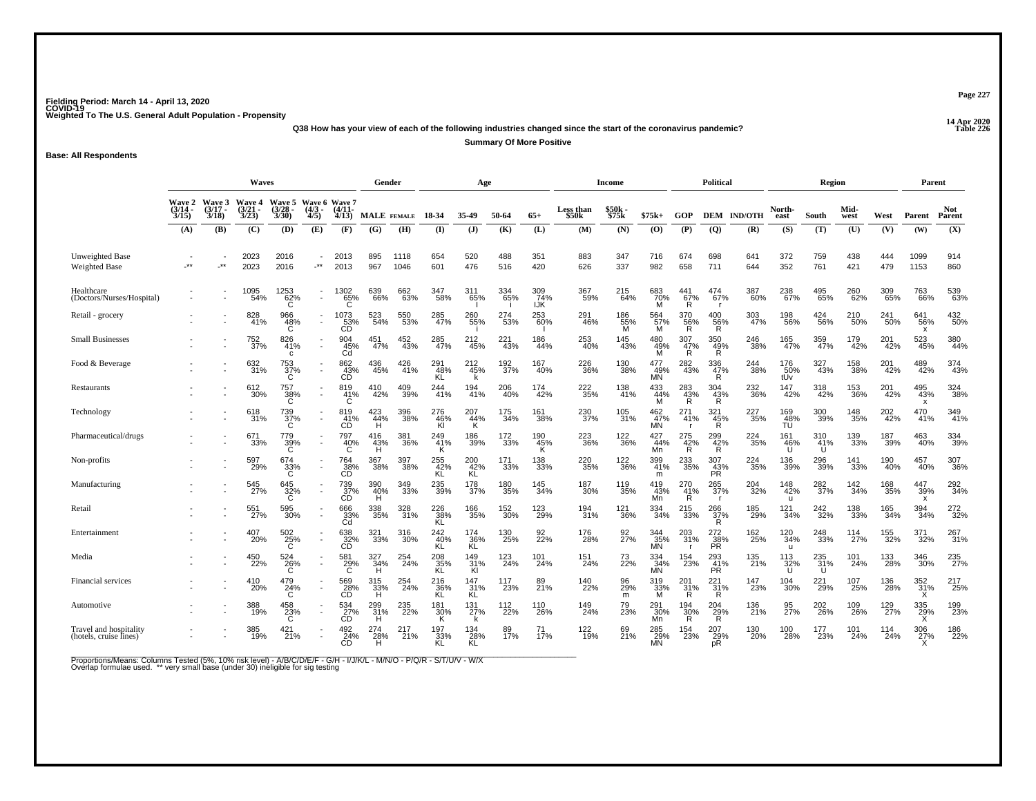**14 Apr 2020 Q38 How has your view of each of the following industries changed since the start of the coronavirus pandemic?**

**Summary Of More Positive**

**Base: All Respondents**

|                                                  | <b>Waves</b>                           |                                 |                                 |                                 |                          |                                                     |                    | Gender       |                   | Age                            |                  |                   |                    | <b>Income</b>    |                         |                            | <b>Political</b>               |                          |                            | Region          |                 |            | Parent                                  |                    |
|--------------------------------------------------|----------------------------------------|---------------------------------|---------------------------------|---------------------------------|--------------------------|-----------------------------------------------------|--------------------|--------------|-------------------|--------------------------------|------------------|-------------------|--------------------|------------------|-------------------------|----------------------------|--------------------------------|--------------------------|----------------------------|-----------------|-----------------|------------|-----------------------------------------|--------------------|
|                                                  | <b>Wave 2</b><br>$\frac{(3/14)}{3/15}$ | Wave 3<br>$\frac{(3/17)}{3/18}$ | Wave 4<br>$\frac{(3/21)}{3/23}$ | Wave 5<br>$\frac{(3/28)}{3/30}$ | $\frac{(4/3)}{4/5}$      | Wave 6 Wave 7<br>$\frac{(4/11)}{4/13}$              |                    | MALE FEMALE  | 18-34             | 35-49                          | 50-64            | $65+$             | Less than \$50k    | \$50k<br>\$75k   | $$75k+$                 | GOP                        |                                | <b>DEM IND/OTH</b>       | North-<br>east             | South           | Mid-<br>west    | West       | Parent                                  | Not<br>Parent      |
|                                                  | (A)                                    | (B)                             | (C)                             | (D)                             | (E)                      | (F)                                                 | (G)                | (H)          | $($ I             | $\mathbf{J}$                   | (K)              | (L)               | (M)                | (N)              | (O)                     | (P)                        | $\overline{Q}$                 | (R)                      | (S)                        | (T)             | (U)             | (V)        | (W)                                     | (X)                |
| <b>Unweighted Base</b><br>Weighted Base          |                                        | $\star\star$                    | 2023<br>2023                    | 2016<br>2016                    | $\star\star$             | 2013<br>2013                                        | 895<br>967         | 1118<br>1046 | 654<br>601        | 520<br>476                     | 488<br>516       | 351<br>420        | 883<br>626         | 347<br>337       | 716<br>982              | 674<br>658                 | 698<br>711                     | 641<br>644               | 372<br>352                 | 759<br>761      | 438<br>421      | 444<br>479 | 1099<br>1153                            | 914<br>860         |
| Healthcare<br>(Doctors/Nurses/Hospital)          |                                        |                                 | 1095<br>54%                     | $^{1253}_{62\%}$                | $\overline{\phantom{a}}$ | 1302<br>65%                                         | 639<br>66%         | 662<br>63%   | 347<br>58%        | 311<br>65%                     | 334<br>65%       | 309<br>74%<br>IJK | 367<br>59%         | 215<br>64%       | 683<br>70%<br>M         | 441<br>67%<br>R.           | 474<br>67%                     | 387<br>60%               | 238<br>67%                 | 495<br>65%      | 260<br>62%      | 309<br>65% | 763<br>66%                              | 539<br>63%         |
| Retail - grocery                                 |                                        |                                 | 828<br>41%                      | 966<br>48%                      |                          | $\overset{1073}{\underset{\text{CD}}{\text{53\%}}}$ | 523<br>54%         | 550<br>53%   | 285<br>47%        | 260<br>-55%                    | 274<br>53%       | 253<br>-60%       | 291<br>46%         | 186<br>55%<br>M  | 564<br>57%<br>M         | 370<br>$\frac{56}{R}$      | 400<br>$\frac{56}{R}$          | 303<br>47%               | 198<br>56%                 | 424<br>56%      | 210<br>-50%     | 241<br>50% | 641<br>56%<br>x                         | 432<br>50%         |
| <b>Small Businesses</b>                          |                                        |                                 | 752<br>37%                      | 826<br>41%<br>$\mathbf c$       | $\sim$                   | 904<br>45%<br>Cd                                    | $\frac{451}{47\%}$ | 452<br>43%   | 285<br>47%        | 212<br>45%                     | 221<br>43%       | 186<br>44%        | 253<br>40%         | 145<br>43%       | 480<br>49%<br>M         | 307<br>47%<br>R            | 350<br>49%<br>R                | 246<br>38%               | 165<br>47%                 | 359<br>47%      | 179<br>42%      | 201<br>42% | 523<br>45%                              | 380<br>44%         |
| Food & Beverage                                  |                                        |                                 | 632<br>31%                      | 753<br>37%<br>C                 |                          | 862<br>43%<br>CD                                    | 436<br>45%         | 426<br>41%   | 291<br>48%<br>KL  | 212<br>45%                     | 192 <sub>%</sub> | 167<br>40%        | 226<br>36%         | 130<br>38%       | 477<br>49%<br>MN        | 282<br>43%                 | 336<br>47%<br>R                | 244<br>38%               | 176<br>50%<br>tUv          | 327<br>43%      | 158<br>38%      | 201<br>42% | 489<br>42%                              | 374<br>43%         |
| Restaurants                                      |                                        |                                 | 612<br>30%                      | 757<br>$\frac{38}{6}$           | $\blacksquare$           | 819<br>$^{41\%}_{C}$                                | 410<br>42%         | 409<br>39%   | 244<br>41%        | 194<br>41%                     | 206<br>40%       | 174<br>42%        | 222<br>35%         | 138<br>41%       | 433<br>$\frac{44\%}{M}$ | 283<br>$\frac{43}{R}$      | 304<br>$\frac{43}{R}$          | 232<br>36%               | 147<br>42%                 | 318<br>42%      | 153<br>36%      | 201<br>42% | 495<br>43%<br>$\boldsymbol{\mathsf{x}}$ | 324<br>38%         |
| Technology                                       |                                        |                                 | 618<br>31%                      | 739<br>$\frac{37}{6}$           | $\sim$                   | 819<br>41%<br>CD                                    | 423<br>44%         | 396<br>38%   | 276<br>-46%<br>KI | 207<br>44%                     | 175<br>34%       | 161<br>38%        | 230<br>37%         | 105<br>31%       | 462<br>47%<br><b>MN</b> | 27'<br>41%<br>$\mathsf{r}$ | 321<br>$\frac{45}{R}$          | 227<br>$\overline{35\%}$ | 169<br>48%<br>ΤŨ           | 300<br>39%      | 148<br>35%      | 202<br>42% | 470<br>41%                              | 349<br>41%         |
| Pharmaceutical/drugs                             |                                        |                                 | 671<br>33%                      | 779<br>39%                      | $\sim$                   | 797<br>$\frac{40\%}{C}$                             | 416<br>43%         | 381<br>36%   | 249<br>41%<br>Κ   | 186<br>39%                     | 172<br>33%       | 190<br>45%        | 223<br>36%         | 122<br>36%       | 427<br>44%<br>Mn        | 275<br>42%<br>R            | 299<br>$\frac{42}{R}$          | 224<br>35%               | 161<br>46%<br>$\mathbf{U}$ | 310<br>41%<br>Ü | 139<br>33%      | 187<br>39% | 463<br>40%                              | 334<br>39%         |
| Non-profits                                      |                                        |                                 | 597<br>29%                      | 674<br>33%<br>C                 | $\sim$                   | 764<br>38%<br>CD                                    | 367<br>38%         | 38%          | 255<br>42%<br>KL  | $^{200}_{\hphantom{1}42\%}$ KL | 171<br>33%       | 138<br>33%        | 220 35%            | 122<br>36%       | 399<br>41%<br>m         | 233<br>35%                 | $\frac{307}{43%}$<br><b>PR</b> | 224<br>35%               | <sup>136</sup> 39%         | 296<br>39%      | 141<br>33%      | 190<br>40% | 457<br>40%                              | 307<br>36%         |
| Manufacturing                                    |                                        |                                 | 545<br>27%                      | 645<br>32%                      |                          | 739<br>37%<br>CD                                    | 390<br>40%         | 349<br>33%   | 235<br>39%        | 178<br>37%                     | 180<br>35%       | 145<br>34%        | 187<br>30%         | 119<br>35%       | 419<br>43%<br>Mn        | 270<br>41%<br>R            | 265<br>37%<br>$\mathbf{r}$     | 204<br>32%               | 148<br>42%<br>-u           | 282<br>37%      | 142<br>34%      | 168<br>35% | 447<br>39%<br>x                         | 292<br>34%         |
| Retail                                           |                                        |                                 | 551<br>27%                      | 595<br>30%                      |                          | 666<br>$\frac{33}{c}$                               | 338<br>35%         | 328<br>31%   | 226<br>38%<br>ΚĹ  | 166<br>35%                     | 152<br>30%       | 123<br>29%        | 194<br>31%         | 121<br>36%       | 334<br>34%              | 215<br>33%                 | 266<br>37%<br>R                | 185<br>29%               | 121<br>34%                 | 242<br>32%      | 138<br>33%      | 165<br>34% | 394<br>34%                              | 272<br>32%         |
| Entertainment                                    |                                        |                                 | 407<br>20%                      | $^{502}_{25\%}$                 | $\overline{\phantom{a}}$ | 638<br>32%<br>CD                                    | 321<br>33%         | 316<br>30%   | 242 40%<br>KĹ     | 174<br>36%<br>ΚĽ               | 130<br>25%       | 92 <sub>%</sub>   | <sup>176</sup> 28% | 92 <sub>7%</sub> | 344<br>35%<br>MÑ        | 203<br>31%                 | 272<br>38%<br>PŘ               | 162 <sub>2%</sub>        | 120<br>34%<br>$\mathbf{u}$ | $^{248}_{33\%}$ | 114<br>27%      | 155<br>32% | 371<br>32%                              | 267 <sub>31%</sub> |
| Media                                            |                                        |                                 | 450<br>22%                      | 524<br>$\frac{26}{6}$           | $\overline{a}$           | 581<br>29%<br>C                                     | 327<br>34%         | 254<br>24%   | 208<br>-35%<br>KL | 149<br>$\frac{31}{10}$         | 123<br>24%       | 101<br>24%        | 151<br>24%         | 73<br>22%        | 334<br>34%<br>MŇ        | 154<br>23%                 | 293<br>$\frac{41}{PR}$         | 135<br>21%               | 113<br>32%<br>U            | 235<br>31%<br>U | 101<br>24%      | 133<br>28% | 346<br>30%                              | 235<br>27%         |
| <b>Financial services</b>                        |                                        |                                 | 410<br>20%                      | 479<br>24%<br>C                 | $\overline{\phantom{a}}$ | 569<br>28%<br>CD                                    | 315<br>33%<br>H    | 254<br>24%   | 216<br>36%<br>KL  | 147<br>. 31%<br>KL             | 117<br>23%       | 89<br>21%         | 140<br>22%         | 96<br>29%<br>m   | 319<br>33%<br>M         | 201<br>31%<br>R            | $^{221}_{31\%}$<br>R           | 147<br>23%               | 104<br>30%                 | 221<br>29%      | $^{107}_{25\%}$ | 136<br>28% | 352<br>31%<br>X                         | 217<br>25%         |
| Automotive                                       |                                        |                                 | 388<br>19%                      | 458<br>$^{23\%}_{C}$            |                          | 534<br>27%<br>CD                                    | 299<br>31%         | 235<br>22%   | 181<br>30%        | 131<br>27%<br>k                | 112<br>22%       | 110<br>26%        | 149<br>24%         | 79<br>23%        | 291<br>30%<br>Mn        | 194<br>30%<br>R            | 204<br>29%<br>R                | 136<br>21%               | 95<br>27%                  | 202<br>26%      | 109<br>26%      | 129<br>27% | 335<br>29%                              | 199<br>23%         |
| Travel and hospitality<br>(hotels, cruise fines) |                                        |                                 | 385<br>19%                      | 421 <sub>%</sub>                |                          | 492<br>24%<br>ĆĎ                                    | 274<br>28%         | 217<br>21%   | 197<br>33%        | 134<br>28%                     | 89<br>17%        | $^{71}_{17\%}$    | 122 <sub>0%</sub>  | 69<br>21%        | 285<br>29%<br>MN        | 154<br>23%                 | 207<br>29%<br>pŘ               | 130<br>20%               | 100<br>28%                 | 177<br>23%      | 101<br>24%      | 114<br>24% | 306<br>27%                              | 186<br>22%         |

Proportions/Means: Columns Tested (5%, 10% risk level) - A/B/C/D/E/F - G/H - I/J/K/L - M/N/O - P/Q/R - S/T/U/V - W/X<br>Overlap formulae used. \*\* very small base (under 30) ineligible for sig testing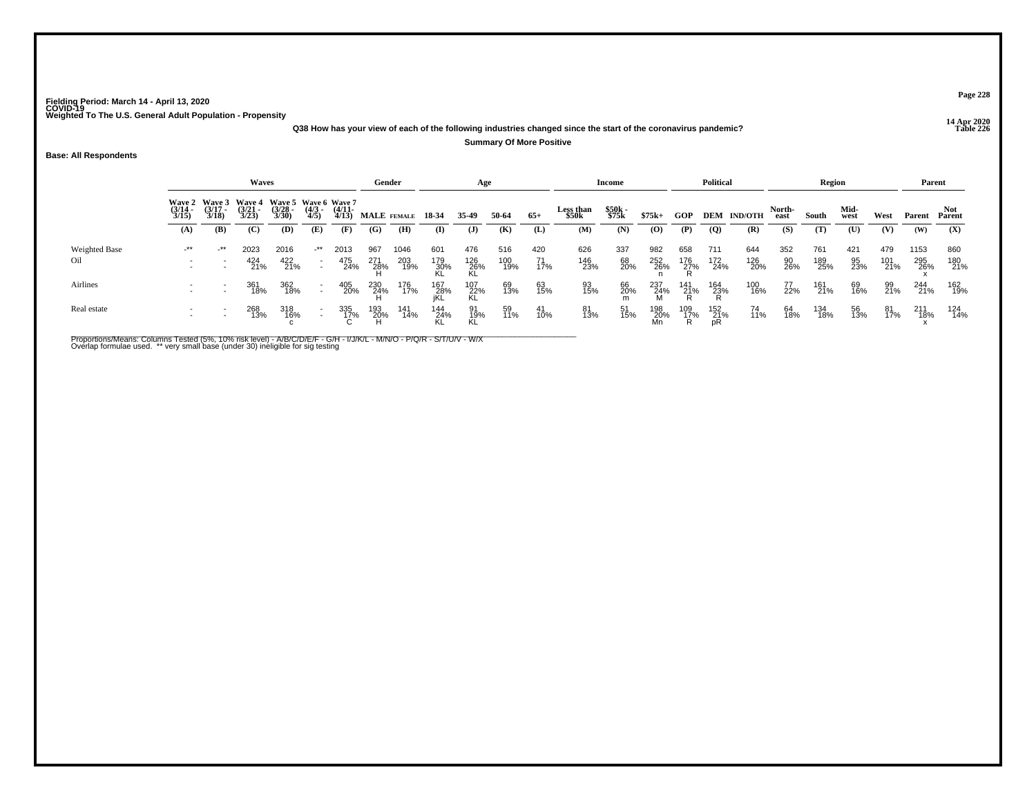**14 Apr 2020 Q38 How has your view of each of the following industries changed since the start of the coronavirus pandemic?**

#### **Summary Of More Positive**

**Base: All Respondents**

|                      |                                        |                          | Waves                                  |                                               |                          |                       | Gender      |            |                    | Age              |            |           |                    | Income         |                  |                 | <b>Political</b> |                    |                | Region     |              |            | Parent     |            |
|----------------------|----------------------------------------|--------------------------|----------------------------------------|-----------------------------------------------|--------------------------|-----------------------|-------------|------------|--------------------|------------------|------------|-----------|--------------------|----------------|------------------|-----------------|------------------|--------------------|----------------|------------|--------------|------------|------------|------------|
|                      | Wave 2 Wave 3<br>$\frac{(3/14)}{3/15}$ | $\frac{(3/17)}{3/18}$    | <b>Wave 4</b><br>$\frac{(3/21)}{3/23}$ | Wave 5 Wave 6 Wave 7<br>$\frac{(3/28)}{3/30}$ | $\frac{(4/3)}{4/5}$      | $\frac{(4/11)}{4/13}$ | MALE FEMALE |            | 18-34              | 35-49            | 50-64      | $65+$     | Less than<br>\$50k | \$50k<br>\$75k | $$75k+$          | GOP             |                  | <b>DEM IND/OTH</b> | North-<br>east | South      | Mid-<br>west | West       |            | Parent     |
|                      | (A)                                    | (B)                      | (C)                                    | (D)                                           | (E)                      | (F)                   | (G)         | (H)        | (I)                | $\mathbf{J}$     | (K)        | (L)       | (M)                | (N)            | (O)              | (P)             | $\overline{Q}$   | (R)                | (S)            | (T)        | (U)          | (V)        | (W)        | (X)        |
| <b>Weighted Base</b> | -**                                    | $+$ **                   | 2023                                   | 2016                                          | $\cdot^{\star\star}$     | 2013                  | 967         | 1046       | 601                | 476              | 516        | 420       | 626                | 337            | 982              | 658             | 711              | 644                | 352            | 761        | 421          | 479        | 1153       | 860        |
| Oil                  | $\overline{\phantom{a}}$               | $\overline{\phantom{a}}$ | 424<br>21%                             | 422<br>21%                                    | $\sim$                   | 475<br>24%            | 271<br>28%  | 203<br>19% | 179<br>30%         | 126<br>26%<br>KL | 100<br>19% | 71<br>17% | 146<br>23%         | 68<br>20%      | 252<br>26%       | 176<br>27%      | 172<br>24%       | 126<br>20%         | 90<br>26%      | 189<br>25% | 95<br>23%    | 101<br>21% | 295<br>26% | 180<br>21% |
| Airlines             | $\overline{\phantom{0}}$               | $\overline{\phantom{a}}$ | 361<br>18%                             | 362<br>18%                                    | $\overline{\phantom{a}}$ | 405<br>20%            | 230<br>24%  | 176<br>17% | 167<br>_28%<br>jKL | 107<br>22%<br>KL | 69<br>13%  | 63<br>15% | 93<br>15%          | 66<br>20%      | 237<br>24%<br>M  | 141<br>21%      | 164<br>23%       | 100<br>16%         | 77<br>22%      | 161<br>21% | 69<br>16%    | 99<br>21%  | 244<br>21% | 162<br>19% |
| Real estate          |                                        |                          | 268<br>13%                             | 318<br>16%                                    |                          | 335<br>17%            | 193<br>20%  | 141<br>14% | 144<br>24%         | 91<br>19%<br>KL  | 59<br>11%  | 41<br>10% | 81<br>13%          | 51<br>15%      | 198<br>20%<br>Mn | 109<br>17%<br>R | 152<br>21%<br>pR | 74<br>11%          | 64<br>18%      | 134<br>18% | 56<br>13%    | 81<br>17%  | 211<br>18% | 124<br>14% |

Proportions/Means: Columns Tested (5%, 10% risk level) - A/B/C/D/E/F - G/H - I/J/K/L - M/N/O - P/Q/R - S/T/U/V - W/X<br>Overlap formulae used. \*\* very small base (under 30) ineligible for sig testing

**Page 228**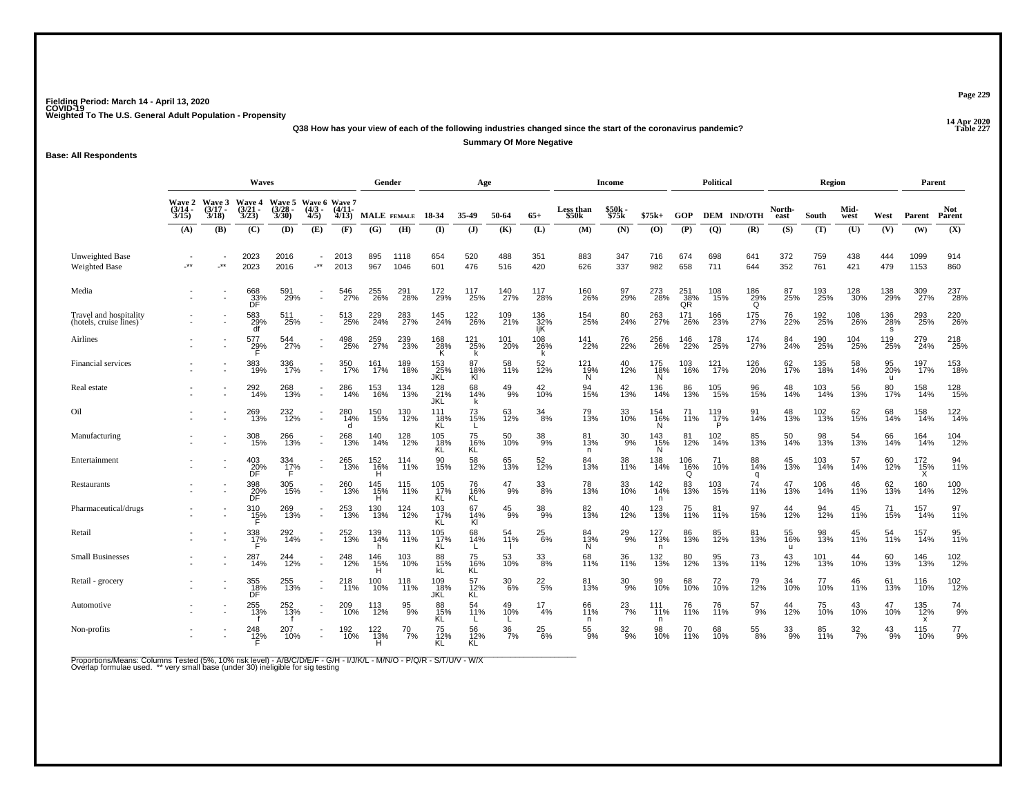**14 Apr 2020 Q38 How has your view of each of the following industries changed since the start of the coronavirus pandemic?**

**Summary Of More Negative**

**Base: All Respondents**

|                                                  | <b>Waves</b>                           |                                        |                                        |                                 |                                        |                                        |                        | Gender           |                    | Age                     |                  |                   |                         | <b>Income</b>    |                                    |                  | <b>Political</b>     |                    |                           | Region             |                  |                 | Parent                                       |                      |
|--------------------------------------------------|----------------------------------------|----------------------------------------|----------------------------------------|---------------------------------|----------------------------------------|----------------------------------------|------------------------|------------------|--------------------|-------------------------|------------------|-------------------|-------------------------|------------------|------------------------------------|------------------|----------------------|--------------------|---------------------------|--------------------|------------------|-----------------|----------------------------------------------|----------------------|
|                                                  | <b>Wave 2</b><br>$\frac{(3/14)}{3/15}$ | <b>Wave 3</b><br>$\frac{(3/17)}{3/18}$ | <b>Wave 4</b><br>$\frac{(3/21)}{3/23}$ | Wave 5<br>$\frac{(3/28)}{3/30}$ | $\frac{(4/3)}{4/5}$                    | Wave 6 Wave 7<br>$\frac{(4/11)}{4/13}$ |                        | MALE FEMALE      | 18-34              | 35.49                   | 50-64            | $65+$             | Less than<br>\$50k      | \$50k<br>\$75k   | $$75k+$                            | <b>GOP</b>       |                      | <b>DEM IND/OTH</b> | North-<br>east            | South              | Mid-<br>west     | West            | Parent                                       | <b>Not</b><br>Parent |
|                                                  | (A)                                    | (B)                                    | (C)                                    | (D)                             | (E)                                    | (F)                                    | (G)                    | (H)              | $($ I              | (J)                     | (K)              | (L)               | (M)                     | (N)              | (0)                                | (P)              | $\overline{Q}$       | (R)                | (S)                       | (T)                | (U)              | (V)             | (W)                                          | (X)                  |
| Unweighted Base<br><b>Weighted Base</b>          | -**                                    | $\cdot$ **                             | 2023<br>2023                           | 2016<br>2016                    | $\overline{\phantom{a}}$<br>$\cdot$ ** | 2013<br>2013                           | 895<br>967             | 1118<br>1046     | 654<br>601         | 520<br>476              | 488<br>516       | 351<br>420        | 883<br>626              | 347<br>337       | 716<br>982                         | 674<br>658       | 698<br>711           | 641<br>644         | 372<br>352                | 759<br>761         | 438<br>421       | 444<br>479      | 1099<br>1153                                 | 914<br>860           |
| Media                                            |                                        |                                        | 668<br>33%<br>DF                       | 591<br>29%                      | $\overline{a}$                         | 546<br>27%                             | 255<br>26%             | 291<br>28%       | 172 <sub>9%</sub>  | 117<br>25%              | 140<br>27%       | 117<br>28%        | <sup>160</sup> 26%      | 97<br>29%        | 273<br>28%                         | 251<br>38%<br>QŘ | 108<br>15%           | $^{186}_{29\%}$    | 87<br>25%                 | 193<br>25%         | 128<br>30%       | 138<br>29%      | 309<br>27%                                   | 237<br>28%           |
| Travel and hospitality<br>(hotels, cruise lines) |                                        |                                        | 583<br>29%<br>df                       | 511<br>25%                      | $\overline{\phantom{a}}$               | 513<br>25%                             | 229<br>24%             | 283<br>27%       | 145<br>24%         | <sup>122</sup><br>26%   | 109<br>21%       | 136<br>32%<br>IjK | 154<br>25%              | 80<br>24%        | 263<br>27%                         | 171<br>26%       | 166<br>23%           | 175<br>27%         | 76<br>22%                 | 192<br>25%         | 108<br>26%       | 136<br>28%<br>s | 293<br>25%                                   | 220<br>26%           |
| Airlines                                         |                                        |                                        | 577<br>29%                             | 544<br>27%                      | $\sim$                                 | 498<br>25%                             | 259<br>27%             | 239<br>23%       | 168<br>28%<br>Κ    | 121<br>25%<br>k         | 101<br>20%       | 108<br>26%        | 141<br>22%              | 76<br>22%        | 256<br>26%                         | 146<br>22%       | 178<br>25%           | 174<br>27%         | 84<br>24%                 | 190<br>25%         | 104<br>25%       | 119<br>25%      | 279<br>24%                                   | 218<br>25%           |
| Financial services                               |                                        |                                        | 383<br>19%                             | 336<br>17%                      | $\sim$                                 | 350<br>17%                             | 161<br>17%             | 189<br>18%       | 153<br>_25%<br>JKL | 87<br>18%<br>Kl         | 58<br>11%        | 52<br>12%         | $\frac{121}{19\%}$<br>N | 40<br>12%        | 175<br>18%<br>Ň                    | 103<br>16%       | 121<br>17%           | 126<br>20%         | 62 <sub>%</sub>           | 135<br>18%         | 58<br>14%        | 95<br>20%<br>u  | 197 <sub>%</sub>                             | 153<br>18%           |
| Real estate                                      |                                        |                                        | 292<br>14%                             | 268<br>13%                      | Ċ,                                     | 286<br>14%                             | 153<br>16%             | 134<br>13%       | 128<br>_21%<br>JKL | 68<br>14%               | $^{49}_{9\%}$    | $^{42}_{10\%}$    | 94<br>15%               | 42<br>13%        | 136<br>14%                         | 86<br>13%        | 105<br>15%           | 96<br>15%          | 48<br>14%                 | 103<br>14%         | 56<br>13%        | 80<br>17%       | 158<br>14%                                   | 128<br>15%           |
| Oil                                              |                                        |                                        | 269<br>13%                             | 232<br>12%                      | $\sim$                                 | 280<br>14%<br>d                        | 150<br>15%             | 130<br>12%       | 111<br>18%<br>ΚL   | 73<br>15%               | 63<br>12%        | 34<br>8%          | 79<br>13%               | 33<br>10%        | 154<br>16%<br>N                    | 11%              | $^{119}_{17\%}$<br>P | 91<br>14%          | 48<br>13%                 | 102<br>13%         | 62<br>15%        | 68<br>14%       | 158<br>14%                                   | $\frac{122}{14\%}$   |
| Manufacturing                                    |                                        | ٠                                      | 308<br>15%                             | 266<br>13%                      | $\sim$                                 | 268<br>13%                             | 140<br>14%             | 128<br>12%       | 105<br>18%<br>KĹ   | 75<br>16%<br>KL         | 50<br>10%        | 38<br>9%          | 81<br>13%<br>n.         | $^{30}_{9\%}$    | 143<br>15%<br>Ň                    | 81<br>12%        | 102<br>14%           | 85<br>13%          | 50<br>14%                 | 98<br>13%          | 54<br>13%        | 66<br>14%       | 164<br>14%                                   | 104<br>12%           |
| Entertainment                                    |                                        | $\overline{\phantom{a}}$               | $^{403}_{\substack{20}{\textrm{DF}}}$  | 334<br>17%                      | $\sim$                                 | 265<br>13%                             | 152<br>16%             | 114<br>11%       | 90<br>15%          | 58<br>12%               | 65<br>13%        | 52<br>12%         | 84<br>13%               | 38<br>11%        | 138<br>14%                         | 106<br>16%<br>Ő  | 71<br>10%            | 88<br>14%<br>q     | 45<br>13%                 | 103<br>14%         | 57<br>14%        | 60<br>12%       | $\frac{172}{15\%}$                           | 94<br>11%            |
| Restaurants                                      |                                        |                                        | 398<br>$\frac{20}{5}$                  | 305<br>15%                      | $\overline{a}$                         | 260<br>13%                             | 145<br>$\frac{15}{11}$ | 115<br>11%       | 105<br>17%<br>KL   | 76<br>$16%$<br>KL       | 47<br>9%         | 33<br>8%          | 78<br>13%               | 33<br>10%        | $\frac{142}{14\%}$<br>$\mathsf{n}$ | 83<br>13%        | 103<br>15%           | 74<br>11%          | 47<br>13%                 | $\frac{106}{14\%}$ | 46<br>11%        | 62<br>13%       | 160<br>14%                                   | 100<br>12%           |
| Pharmaceutical/drugs                             |                                        |                                        | 310<br>15%<br>F                        | 269<br>13%                      | $\overline{a}$                         | 253<br>13%                             | 130<br>13%             | 124<br>12%       | 103<br>17%<br>KL   | 67<br>14%<br>KI         | $^{45}_{9\%}$    | 38<br>9%          | 82<br>13%               | 40<br>12%        | 123<br>13%                         | 75<br>11%        | 81<br>11%            | 97<br>15%          | 44<br>12%                 | 94<br>12%          | 45<br>11%        | 71<br>15%       | 157<br>14%                                   | 97<br>11%            |
| Retail                                           |                                        |                                        | 338<br>17%                             | 292<br>14%                      | $\overline{\phantom{a}}$               | 252<br>13%                             | 139<br>14%             | 113<br>11%       | 105<br>17%<br>ΚL   | 68<br>14%               | 54<br>11%        | $^{25}_{6\%}$     | 84<br>13%<br>N          | $^{29}_{9\%}$    | 127<br>13%<br>n                    | 86<br>13%        | 85<br>12%            | 81<br>13%          | 55<br>16%<br>$\mathbf{u}$ | 98<br>13%          | 45<br>11%        | 54<br>11%       | $157$<br>$14\%$                              | 95<br>11%            |
| <b>Small Businesses</b>                          |                                        |                                        | 287<br>14%                             | 244<br>12%                      | $\sim$                                 | 248<br>12%                             | 146<br>15%<br>H        | 103<br>10%       | 88<br>$15%$<br>kL  | 75<br>16%<br>KL         | 53<br>10%        | 33<br>8%          | 68<br>11%               | 36<br>11%        | 132<br>13%                         | 80<br>12%        | 95<br>13%            | 73<br>11%          | 43<br>12%                 | 101<br>13%         | 44<br>10%        | 60<br>13%       | 146<br>13%                                   | $\frac{102}{12\%}$   |
| Retail - grocery                                 |                                        | $\overline{\phantom{a}}$               | 355<br>$\frac{18}{10}$                 | $^{255}_{13\%}$                 | $\sim$                                 | 218<br>11%                             | 100<br>10%             | 118<br>11%       | 109<br>18%<br>JKL  | 57<br>$\frac{12}{1}$ KL | $\frac{30}{6\%}$ | $^{22}_{\ 5\%}$   | 81<br>13%               | 30<br>-9%        | 99<br>10%                          | 68<br>10%        | 72<br>10%            | 79<br>12%          | 34<br>10%                 | 77<br>10%          | 46<br>11%        | 61<br>13%       | 116<br>10%                                   | $\frac{102}{12\%}$   |
| Automotive                                       |                                        |                                        | 255<br>13%                             | 252<br>13%                      | $\overline{a}$                         | 209<br>10%                             | 113<br>12%             | $\frac{95}{9\%}$ | 88<br>15%<br>ΚL    | 54<br>11%               | 49<br>10%        | 17<br>4%          | 66<br>11%<br>n          | $^{23}_{7\%}$    | 111<br>$i$ ii%<br>$\mathsf{n}$     | 76<br>11%        | 76<br>11%            | $^{57}_{9\%}$      | 44<br>12%                 | 75<br>10%          | 43<br>10%        | 47<br>10%       | $^{135}_{12\%}$<br>$\boldsymbol{\mathsf{x}}$ | $^{74}_{9\%}$        |
| Non-profits                                      |                                        |                                        | $^{248}_{12\%}$                        | 207<br>70%                      |                                        | 192<br>10%                             | $^{122}_{13\%}$        | $^{70}_{7\%}$    | 75<br>12%<br>KL    | 56<br>12%<br>KL         | $\frac{36}{7\%}$ | $^{25}_{6\%}$     | $^{55}_{9\%}$           | $\frac{32}{9\%}$ | 98<br>10%                          | 11%              | 68<br>10%            | $^{55}_{\,8\%}$    | $\frac{33}{9\%}$          | 85<br>11%          | $\frac{32}{7\%}$ | $^{43}_{9\%}$   | 115<br>10%                                   | $^{77}_{9\%}$        |

Proportions/Means: Columns Tested (5%, 10% risk level) - A/B/C/D/E/F - G/H - I/J/K/L - M/N/O - P/Q/R - S/T/U/V - W/X<br>Overlap formulae used. \*\* very small base (under 30) ineligible for sig testing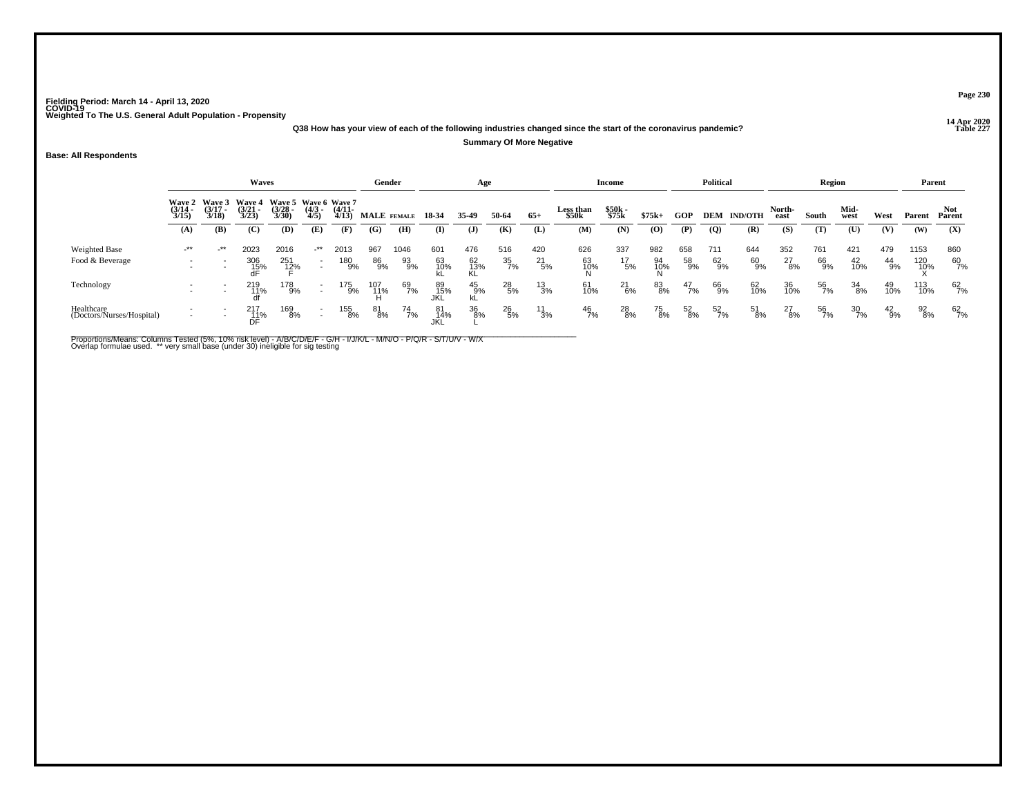**14 Apr 2020 Q38 How has your view of each of the following industries changed since the start of the coronavirus pandemic?**

#### **Summary Of More Negative**

**Base: All Respondents**

|                                         |                                                                                                                                                                                                                                                                |                          | <b>Waves</b>               |                             |                                                      |                   | Gender          |                  |                  | Age                    |                         |                      |                       | Income               |                  |                 | <b>Political</b>    |                 |                      | Region          |                  |                 |                    | Parent          |
|-----------------------------------------|----------------------------------------------------------------------------------------------------------------------------------------------------------------------------------------------------------------------------------------------------------------|--------------------------|----------------------------|-----------------------------|------------------------------------------------------|-------------------|-----------------|------------------|------------------|------------------------|-------------------------|----------------------|-----------------------|----------------------|------------------|-----------------|---------------------|-----------------|----------------------|-----------------|------------------|-----------------|--------------------|-----------------|
|                                         | <b>Wave 3</b><br><b>Wave 4</b><br>Wave 5 Wave 6 Wave 7<br><b>Wave 2</b><br>$\frac{(3/17)}{3/18}$<br>$\frac{(3/21)}{3/23}$<br>$\frac{(3/28)}{3/30}$<br>$\frac{(4/3)}{4/5}$<br>$\frac{(4/11)}{4/13}$<br>$\frac{(3/14)}{3/15}$<br>(C)<br>(A)<br>(B)<br>(D)<br>(E) |                          |                            |                             |                                                      |                   | MALE FEMALE     |                  | 18-34            | 35-49                  | 50-64                   | $65+$                | Less than<br>\$50k    | \$50k<br>\$75k       | $$75k+$          | <b>GOP</b>      | DEM                 | <b>IND/OTH</b>  | North-<br>east       | South           | Mid-<br>west     | West            | Parent             | Parent          |
|                                         |                                                                                                                                                                                                                                                                |                          |                            |                             |                                                      | (F)               | (G)             | (H)              | (I)              | $\mathbf{J}$           | (K)                     | (L)                  | (M)                   | (N)                  | $\bf{(0)}$       | (P)             | $\overline{Q}$      | (R)             | (S)                  | (T)             | $(\mathbf{U})$   | (V)             | (W)                | (X)             |
| Weighted Base<br>Food & Beverage        | $-***$<br>$\overline{\phantom{a}}$                                                                                                                                                                                                                             | $-***$<br>$\overline{a}$ | 2023<br>$\frac{306}{15\%}$ | 2016<br>251<br>1 <u>2</u> % | _**<br>$\sim$                                        | 2013<br>180<br>9% | 967<br>86<br>9% | 1046<br>93<br>9% | 601<br>63<br>10% | 476<br>62<br>13%<br>KL | 516<br>$\frac{35}{7\%}$ | 420<br>$^{21}_{5\%}$ | 626<br>63<br>10%<br>N | 337<br>$^{17}_{5\%}$ | 982<br>94<br>10% | 658<br>58<br>9% | 711<br>$^{62}_{9%}$ | 644<br>60<br>9% | 352<br>$^{27}_{8\%}$ | 761<br>66<br>9% | 421<br>42<br>10% | 479<br>44<br>9% | 1153<br>120<br>10% | 860<br>60<br>7% |
| Technology                              | $\overline{\phantom{a}}$<br>$\overline{\phantom{a}}$                                                                                                                                                                                                           | $\overline{\phantom{0}}$ | 219                        | 178<br>9%                   | $\overline{\phantom{a}}$<br>$\overline{\phantom{a}}$ | 175<br>9%         | 107<br>11%      | 69<br>7%         | 89<br>15%<br>JKL | 45<br>9%               | $^{28}_{\ 5\%}$         | $^{13}_{3\%}$        | 61<br>10%             | 21<br>6%             | 83<br>8%         | 47<br>7%        | 66<br>9%            | 62<br>10%       | 36<br>10%            | 56<br>7%        | 34<br>8%         | 49<br>10%       | 113<br>10%         | 62<br>7%        |
| Healthcare<br>(Doctors/Nurses/Hospital) | $\overline{\phantom{a}}$                                                                                                                                                                                                                                       | $\overline{\phantom{a}}$ | 217<br>_11%<br>DF          | 169<br>8%                   | $\overline{\phantom{a}}$                             | 155<br>8%         | 81<br>8%        | 74<br>7%         | 81<br>14%        | 36<br>8%               | $^{26}_{5\%}$           | $\frac{11}{3\%}$     | $^{46}_{7\%}$         | 28<br>8%             | 75<br>8%         | 52<br>8%        | 52<br>7%            | 51<br>8%        | $^{27}_{8\%}$        | 56<br>7%        | $\frac{30}{7\%}$ | $^{42}_{9\%}$   | $\frac{92}{8\%}$   | 62<br>7%        |

Proportions/Means: Columns Tested (5%, 10% risk level) - A/B/C/D/E/F - G/H - I/J/K/L - M/N/O - P/Q/R - S/T/U/V - W/X<br>Overlap formulae used. \*\* very small base (under 30) ineligible for sig testing

**Page 230**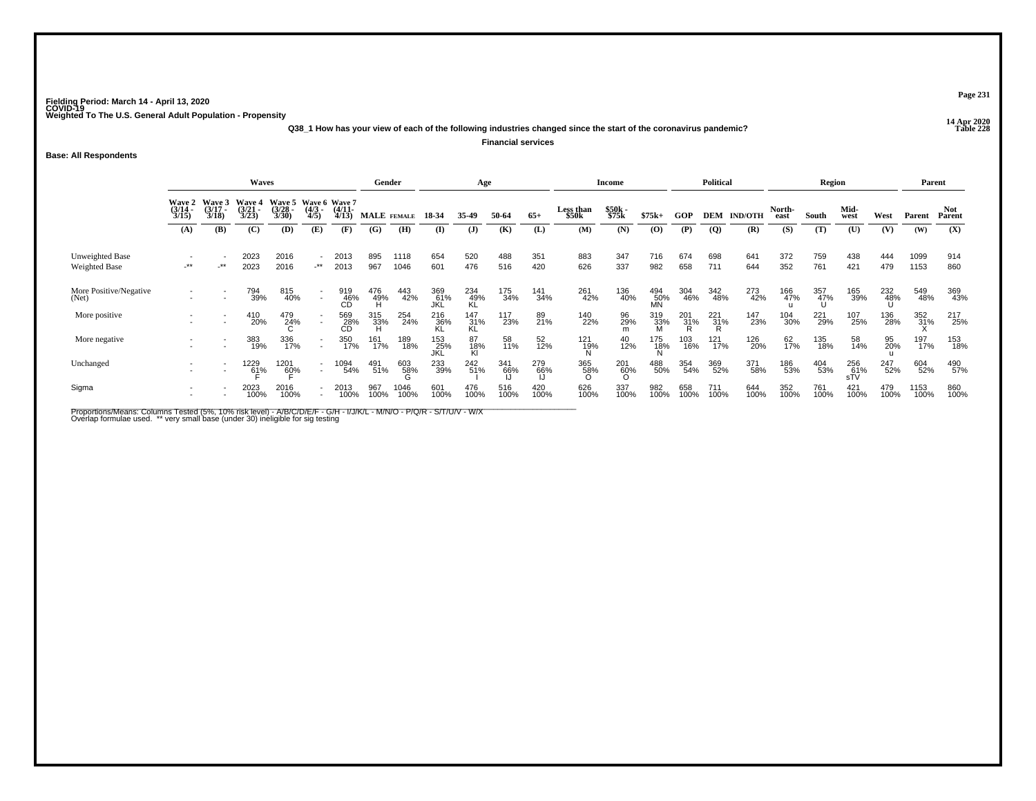**14 Apr 2020 Q38\_1 How has your view of each of the following industries changed since the start of the coronavirus pandemic?Financial services**

**Base: All Respondents**

|                                         |                                                                                                                                                                                                      |     |                      | Gender               |                                    | Age                   |                 |              |                   | Income             |             |             | <b>Political</b>   |                 |                  | Region          |                 |                | Parent         |             |                   |             |              |               |
|-----------------------------------------|------------------------------------------------------------------------------------------------------------------------------------------------------------------------------------------------------|-----|----------------------|----------------------|------------------------------------|-----------------------|-----------------|--------------|-------------------|--------------------|-------------|-------------|--------------------|-----------------|------------------|-----------------|-----------------|----------------|----------------|-------------|-------------------|-------------|--------------|---------------|
|                                         | <b>Waves</b><br>Wave 5 Wave 6 Wave 7<br>Wave 3<br>Wave 4<br><b>Wave 2</b><br>$\frac{(3/17)}{3/18}$<br>$\frac{(3/21)}{3/23}$<br>$\frac{(3/28)}{3/30}$<br>$\frac{(3/14)}{3/15}$<br>$\frac{(4/3)}{4/5}$ |     |                      |                      |                                    | $\frac{(4/11)}{4/13}$ |                 | MALE FEMALE  | 18 34             | 35-49              | 50-64       | $65+$       | Less than<br>\$50k | \$50k<br>\$75k  | $$75k+$          | GOP             | <b>DEM</b>      | <b>IND/OTH</b> | North-<br>east | South       | Mid-<br>west      | West        | Parent       | Not<br>Parent |
|                                         | (A)                                                                                                                                                                                                  | (B) | (C)                  | (D)                  | (E)                                | (F)                   | (G)             | (H)          | $($ I             | $\mathbf{J}$       | (K)         | (L)         | (M)                | (N)             | (0)              | (P)             | $\overline{Q}$  | (R)            | (S)            | (T)         | (U)               | (V)         | (W)          | (X)           |
| Unweighted Base<br><b>Weighted Base</b> | $^{\star\star}$                                                                                                                                                                                      | _** | 2023<br>2023         | 2016<br>2016         | $\overline{\phantom{0}}$<br>$-***$ | 2013<br>2013          | 895<br>967      | 1118<br>1046 | 654<br>601        | 520<br>476         | 488<br>516  | 351<br>420  | 883<br>626         | 347<br>337      | 716<br>982       | 674<br>658      | 698<br>711      | 641<br>644     | 372<br>352     | 759<br>761  | 438<br>421        | 444<br>479  | 1099<br>1153 | 914<br>860    |
| More Positive/Negative<br>(Net)         |                                                                                                                                                                                                      |     | 794<br>39%           | 815<br>40%           |                                    | 919<br>_46%<br>CD     | 476<br>49%<br>H | 443<br>42%   | 369<br>61%<br>JKL | 234<br>49%<br>KL   | 175<br>34%  | 141<br>34%  | 261<br>42%         | 136<br>40%      | 494<br>50%<br>MN | 304<br>46%      | 342<br>48%      | 273<br>42%     | 166<br>47%     | 357<br>47%  | 165<br>39%        | 232<br>48%  | 549<br>48%   | 369<br>43%    |
| More positive                           |                                                                                                                                                                                                      |     | 410<br>20%           | 479<br>24%           |                                    | 569<br>28%<br>CD      | 315<br>- 33%    | 254<br>24%   | $^{216}_{36\%}$   | $\frac{147}{31\%}$ | 117<br>23%  | 89<br>21%   | 140<br>22%         | 96<br>29%       | 319<br>33%       | $^{201}_{31\%}$ | $^{221}_{31\%}$ | 147<br>23%     | 104<br>30%     | 221<br>29%  | 107<br>25%        | 136<br>28%  | 352<br>31%   | 217<br>25%    |
| More negative                           |                                                                                                                                                                                                      |     | 383<br>19%           | 336<br>17%           | $\sim$                             | 350<br>17%            | 161<br>17%      | 189<br>18%   | 153<br>25%<br>JKL | 87<br>18%<br>Kl    | 58<br>11%   | 52<br>12%   | 121<br>19%<br>N    | 40<br>12%       | 175<br>18%       | 103<br>16%      | 121<br>17%      | 126<br>20%     | 62<br>17%      | 135<br>18%  | 58<br>14%         | 95<br>20%   | 197<br>17%   | 153<br>18%    |
| Unchanged                               |                                                                                                                                                                                                      |     | 1229<br>6 <u>1</u> % | 1201<br>6 <u>0</u> % | $\sim$                             | 1094<br>54%           | 491<br>51%      | 603<br>58%   | 233<br>39%        | 242<br>51%         | 341<br>66%  | 279<br>66%  | 365<br>58%         | $^{201}_{60\%}$ | 488<br>50%       | 354<br>54%      | 369<br>52%      | 371<br>58%     | 186<br>53%     | 404<br>53%  | 256<br>61%<br>sTV | 247<br>52%  | 604<br>52%   | 490<br>57%    |
| Sigma                                   |                                                                                                                                                                                                      |     | 2023<br>100%         | 2016<br>100%         |                                    | 2013<br>100%          | 967<br>100%     | 1046<br>100% | 601<br>100%       | 476<br>100%        | 516<br>100% | 420<br>100% | 626<br>100%        | 337<br>100%     | 982<br>100%      | 658<br>100%     | 711<br>100%     | 644<br>100%    | 352<br>100%    | 761<br>100% | 421<br>100%       | 479<br>100% | 1153<br>100% | 860<br>100%   |

Proportions/Means: Columns Tested (5%, 10% risk level) - A/B/C/D/E/F - G/H - I/J/K/L - M/N/O - P/Q/R - S/T/U/V - W/X<br>Overlap formulae used. \*\* very small base (under 30) ineligible for sig testing

**Page 231**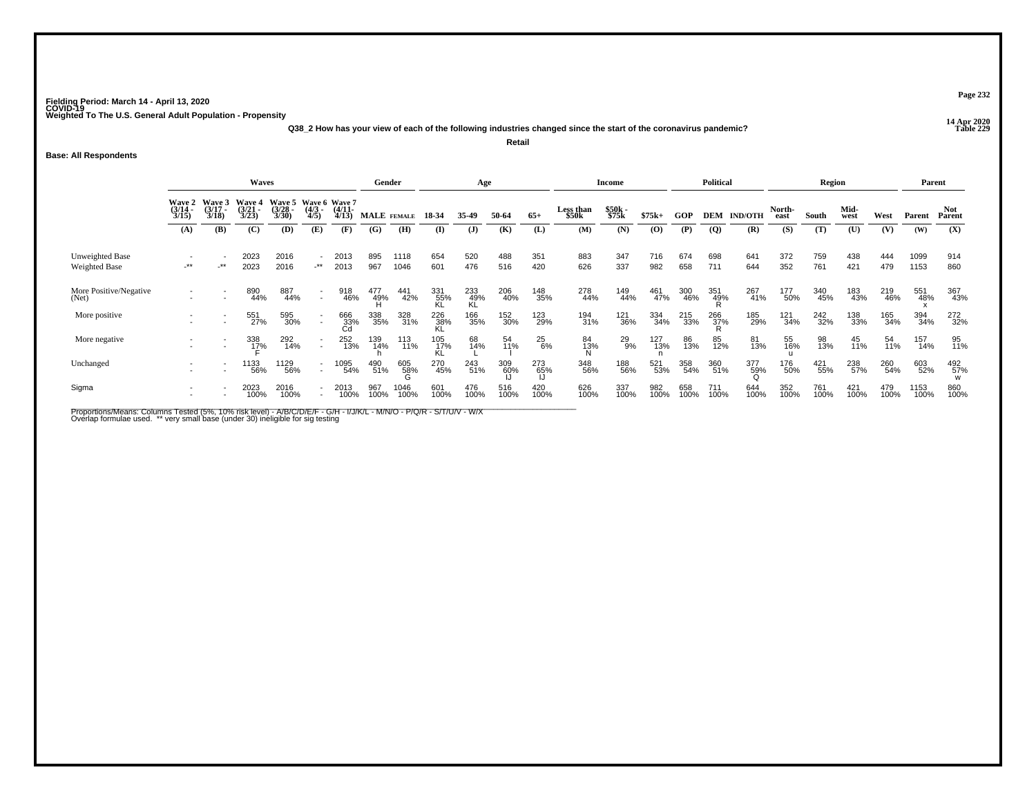**14 Apr 2020 Q38\_2 How has your view of each of the following industries changed since the start of the coronavirus pandemic?Retail**

**Base: All Respondents**

|                                  |                                                                                                                                                                                                                                      |        |                     | Gender       |                  | Age              |                    |                 |                  | Income           |             |               | <b>Political</b>   |                |             | Region      |                |                    | Parent         |             |              |             |              |                      |
|----------------------------------|--------------------------------------------------------------------------------------------------------------------------------------------------------------------------------------------------------------------------------------|--------|---------------------|--------------|------------------|------------------|--------------------|-----------------|------------------|------------------|-------------|---------------|--------------------|----------------|-------------|-------------|----------------|--------------------|----------------|-------------|--------------|-------------|--------------|----------------------|
|                                  | Waves<br>Wave 5 Wave 6 Wave 7<br><b>Wave 3</b><br><b>Wave 4</b><br><b>Wave 2</b><br>$\frac{(3/17)}{3/18}$<br>$\frac{(3/21)}{3/23}$<br>$\frac{(3/28)}{3/30}$<br>$\frac{(3/14)}{3/15}$<br>$\frac{(4/3)}{4/5}$<br>$\frac{(4/11)}{4/13}$ |        |                     |              |                  |                  | <b>MALE</b> FEMALE |                 | 18-34            | 35.49            | 50-64       | $65+$         | Less than<br>\$50k | \$50k<br>\$75k | $$75k+$     | GOP         |                | <b>DEM IND/OTH</b> | North-<br>east | South       | Mid-<br>west | West        | Parent       | <b>Not</b><br>Parent |
|                                  | (A)                                                                                                                                                                                                                                  | (B)    | (C)                 | (D)          | (E)              | (F)              | (G)                | (H)             | $\bf{I}$         | (J)              | (K)         | (L)           | (M)                | (N)            | (O)         | (P)         | $\overline{Q}$ | (R)                | (S)            | (T)         | (U)          | (V)         | (W)          | (X)                  |
| Unweighted Base<br>Weighted Base | -**                                                                                                                                                                                                                                  | $-***$ | 2023<br>2023        | 2016<br>2016 | $\sim$<br>$+$ ** | 2013<br>2013     | 895<br>967         | 1118<br>1046    | 654<br>601       | 520<br>476       | 488<br>516  | 351<br>420    | 883<br>626         | 347<br>337     | 716<br>982  | 674<br>658  | 698<br>711     | 641<br>644         | 372<br>352     | 759<br>761  | 438<br>421   | 444<br>479  | 1099<br>1153 | 914<br>860           |
| More Positive/Negative<br>(Net)  |                                                                                                                                                                                                                                      |        | 890<br>44%          | 887<br>44%   | $\sim$           | 918<br>46%       | 477<br>49%         | 441<br>42%      | 331<br>55%<br>KL | 233<br>49%<br>KL | 206<br>40%  | 148<br>35%    | 278<br>44%         | 149<br>44%     | 461<br>47%  | 300<br>46%  | 351<br>49%     | 267<br>41%         | 177<br>50%     | 340<br>45%  | 183<br>43%   | 219<br>46%  | 551<br>48%   | 367<br>43%           |
| More positive                    |                                                                                                                                                                                                                                      |        | 551<br>27%          | 595<br>30%   | $\sim$           | 666<br>33%<br>Cd | 338<br>35%         | 328<br>31%      | 226<br>38%<br>KL | 166<br>35%       | 152<br>30%  | 123<br>29%    | 194<br>31%         | 121<br>36%     | 334<br>34%  | 215<br>33%  | 266<br>37%     | 185<br>29%         | 121<br>34%     | 242<br>32%  | 138<br>33%   | 165<br>34%  | 394<br>34%   | 272<br>32%           |
| More negative                    |                                                                                                                                                                                                                                      |        | 338<br>1 <u>7</u> % | 292<br>14%   | $\sim$           | 252<br>13%       | 139<br>14%         | 113<br>11%      | 105<br>17%<br>KL | 68<br>14%        | 54<br>11%   | $^{25}_{6\%}$ | 84<br>13%<br>^     | 29<br>9%       | 127<br>13%  | 86<br>13%   | 85<br>12%      | 81<br>13%          | 55<br>16%      | 98<br>13%   | 45<br>11%    | 54<br>11%   | 157<br>14%   | 95<br>11%            |
| Unchanged                        |                                                                                                                                                                                                                                      |        | 1133<br>56%         | 1129<br>56%  |                  | 1095<br>54%      | 490<br>51%         | 605<br>58%<br>G | 270<br>45%       | 243<br>51%       | 309<br>60%  | 273<br>65%    | 348<br>56%         | 188<br>56%     | 521<br>53%  | 358<br>54%  | 360<br>51%     | 377<br>59%         | 176<br>50%     | 421<br>55%  | 238<br>57%   | 260<br>54%  | 603<br>52%   | 492<br>57%<br>W      |
| Sigma                            |                                                                                                                                                                                                                                      |        | 2023<br>100%        | 2016<br>100% |                  | 2013<br>100%     | 967<br>100%        | 1046<br>100%    | 601<br>100%      | 476<br>100%      | 516<br>100% | 420<br>100%   | 626<br>100%        | 337<br>100%    | 982<br>100% | 658<br>100% | 711<br>100%    | 644<br>100%        | 352<br>100%    | 761<br>100% | 421<br>100%  | 479<br>100% | 1153<br>100% | 860<br>100%          |

Proportions/Means: Columns Tested (5%, 10% risk level) - A/B/C/D/E/F - G/H - I/J/K/L - M/N/O - P/Q/R - S/T/U/V - W/X<br>Overlap formulae used. \*\* very small base (under 30) ineligible for sig testing

**Page 232**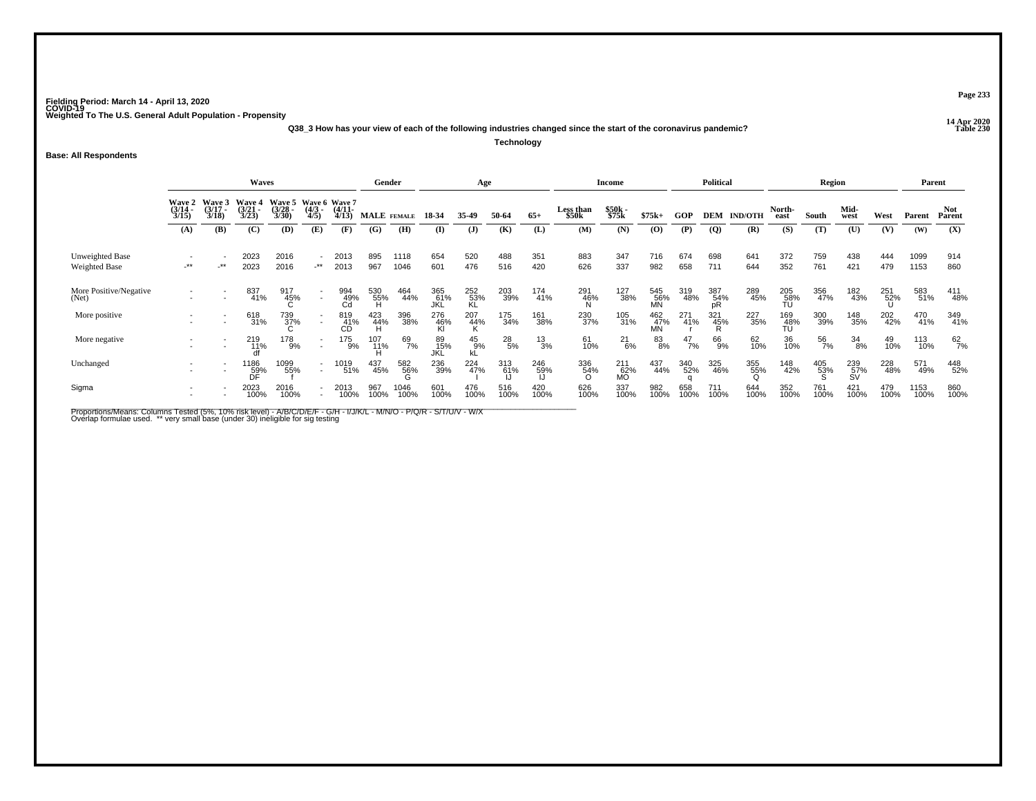**14 Apr 2020 Q38\_3 How has your view of each of the following industries changed since the start of the coronavirus pandemic?**

**Technology**

#### **Base: All Respondents**

|                                  |                                             |                                 | Waves                           |                                               |                                                      |                       | Gender      |              |                   | Age                 |                 |                 |                     | <b>Income</b>    |                         |               | <b>Political</b>      |                |                  | Region      |                  |             | Parent       |                      |
|----------------------------------|---------------------------------------------|---------------------------------|---------------------------------|-----------------------------------------------|------------------------------------------------------|-----------------------|-------------|--------------|-------------------|---------------------|-----------------|-----------------|---------------------|------------------|-------------------------|---------------|-----------------------|----------------|------------------|-------------|------------------|-------------|--------------|----------------------|
|                                  | <b>Wave 2</b><br>$\frac{(3/14)}{3/15}$      | Wave 3<br>$\frac{(3/17)}{3/18}$ | Wave 4<br>$\frac{(3/21)}{3/23}$ | Wave 5 Wave 6 Wave 7<br>$\frac{(3/28)}{3/30}$ | $\frac{(4/3)}{4/5}$                                  | $\frac{(4/11)}{4/13}$ |             | MALE FEMALE  | 18-34             | 35-49               | 50-64           | $65+$           | Less than<br>\$50k  | \$50k<br>\$75k   | $$75k+$                 | <b>GOP</b>    | <b>DEM</b>            | <b>IND/OTH</b> | North-<br>east   | South       | Mid-<br>west     | West        | Parent       | <b>Not</b><br>Parent |
|                                  | (A)                                         | (B)                             | (C)                             | (D)                                           | (E)                                                  | (F)                   | (G)         | (H)          | (I)               | $\mathbf{J}$        | (K)             | (L)             | (M)                 | (N)              | $\bf(0)$                | (P)           | $\overline{Q}$        | (R)            | (S)              | (T)         | (U)              | (V)         | (W)          | (X)                  |
| Unweighted Base<br>Weighted Base | $\overline{\phantom{a}}$<br>$^{\star\star}$ | $\cdot^{\star\star}$            | 2023<br>2023                    | 2016<br>2016                                  | $\overline{\phantom{a}}$<br>$-***$                   | 2013<br>2013          | 895<br>967  | 1118<br>1046 | 654<br>601        | 520<br>476          | 488<br>516      | 351<br>420      | 883<br>626          | 347<br>337       | 716<br>982              | 674<br>658    | 698<br>711            | 641<br>644     | 372<br>352       | 759<br>761  | 438<br>421       | 444<br>479  | 1099<br>1153 | 914<br>860           |
| More Positive/Negative<br>(Net)  |                                             |                                 | 837<br>41%                      | 917<br>45%                                    | $\sim$                                               | 994<br>49%<br>Cd      | 530<br>55%  | 464<br>44%   | 365<br>61%<br>JKL | 252<br>53%<br>KL    | 203<br>39%      | 174<br>41%      | 291<br>- 46%<br>- N | 127<br>38%       | 545<br>56%<br><b>MN</b> | 319<br>48%    | 387<br>54%<br>pR      | 289<br>45%     | 205<br>58%<br>TU | 356<br>47%  | 182<br>43%       | 251<br>52%  | 583<br>51%   | 411<br>48%           |
| More positive                    |                                             | $\blacksquare$                  | 618<br>31%                      | 739<br>37%                                    | $\overline{\phantom{a}}$                             | 819<br>41%<br>CD      | 423<br>44%  | 396<br>38%   | 276<br>46%        | $^{207}_{44\%}$     | 175<br>34%      | 161<br>38%      | 230<br>37%          | 105<br>31%       | 462<br>47%<br>MN        | 271<br>41%    | 321<br>$\frac{45}{R}$ | 227<br>35%     | 169<br>48%<br>TU | 300<br>39%  | 148<br>35%       | 202<br>42%  | 470<br>41%   | 349<br>41%           |
| More negative                    |                                             | $\overline{\phantom{a}}$        | 219<br>11%                      | 178<br>9%                                     | $\overline{\phantom{a}}$<br>$\overline{\phantom{a}}$ | 175<br>9%             | 107<br>11%  | 69<br>7%     | 89<br>15%<br>JKL  | $^{45}_{9\%}$<br>kĽ | $^{28}_{\ 5\%}$ | $\frac{13}{3%}$ | 61<br>10%           | $^{21}_{6\%}$    | 83<br>8%                | $^{47}_{7\%}$ | 66<br>9%              | 62<br>10%      | 36<br>10%        | 56<br>7%    | 34<br>8%         | 49<br>10%   | 113<br>10%   | $^{62}_{7\%}$        |
| Unchanged                        |                                             |                                 | 1186<br>59%<br>DF               | 1099<br>55%                                   | $\overline{\phantom{a}}$<br>$\overline{\phantom{a}}$ | 1019<br>51%           | 437<br>45%  | 582<br>56%   | 236<br>39%        | 224<br>47%          | 313<br>61%      | 246<br>59%      | 336<br>54%<br>O     | 211<br>62%<br>MO | 437<br>44%              | 340<br>52%    | 325<br>46%            | 355%           | 148<br>42%       | 405<br>53%  | 239<br>57%<br>SV | 228<br>48%  | 571<br>49%   | 448<br>52%           |
| Sigma                            |                                             |                                 | 2023<br>100%                    | 2016<br>100%                                  |                                                      | 2013<br>100%          | 967<br>100% | 1046<br>100% | 601<br>100%       | 476<br>100%         | 516<br>100%     | 420<br>100%     | 626<br>100%         | 337<br>100%      | 982<br>100%             | 658<br>100%   | 711<br>100%           | 644<br>100%    | 352<br>100%      | 761<br>100% | 421<br>100%      | 479<br>100% | 1153<br>100% | 860<br>100%          |

Proportions/Means: Columns Tested (5%, 10% risk level) - A/B/C/D/E/F - G/H - I/J/K/L - M/N/O - P/Q/R - S/T/U/V - W/X<br>Overlap formulae used. \*\* very small base (under 30) ineligible for sig testing

**Page 233**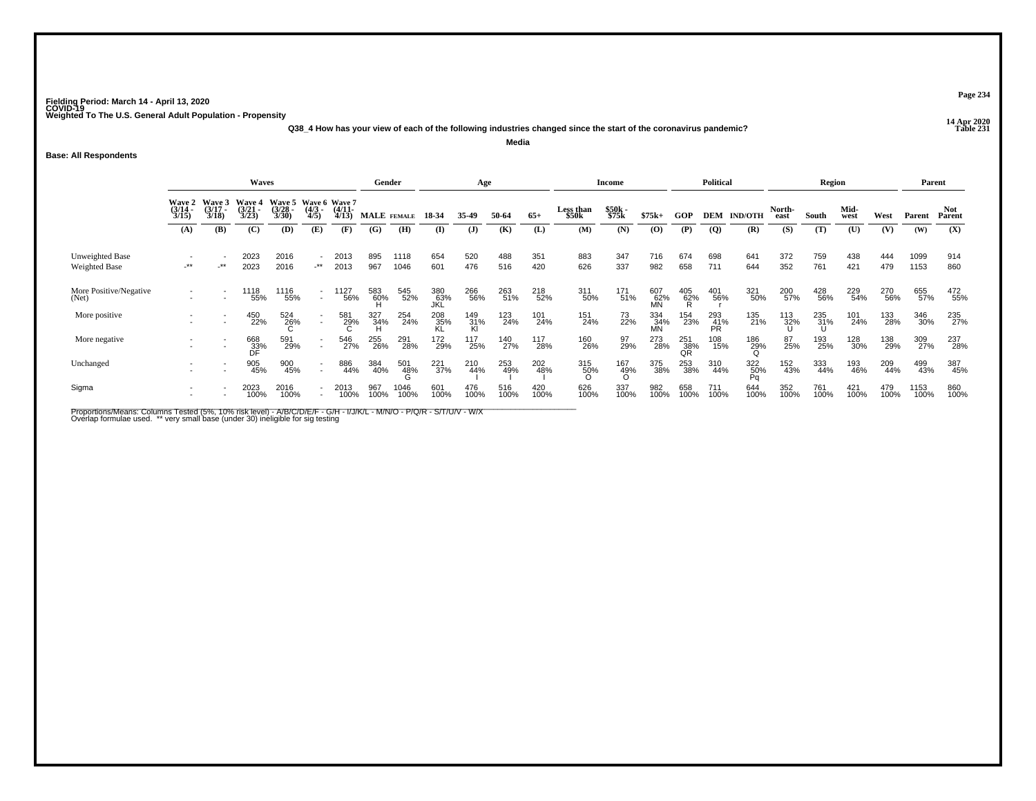**14 Apr 2020 Q38\_4 How has your view of each of the following industries changed since the start of the coronavirus pandemic?Media**

#### **Base: All Respondents**

|                                         |                                        |                                 | Waves                           |                                               |                                    |                       |             | Gender       |                   | Age              |             |             |                    | <b>Income</b>      |                  |                  | <b>Political</b> |                              |                | Region      |              |             | Parent       |                      |
|-----------------------------------------|----------------------------------------|---------------------------------|---------------------------------|-----------------------------------------------|------------------------------------|-----------------------|-------------|--------------|-------------------|------------------|-------------|-------------|--------------------|--------------------|------------------|------------------|------------------|------------------------------|----------------|-------------|--------------|-------------|--------------|----------------------|
|                                         | <b>Wave 2</b><br>$\frac{(3/14)}{3/15}$ | Wave 3<br>$\frac{(3/17)}{3/18}$ | Wave 4<br>$\frac{(3/21)}{3/23}$ | Wave 5 Wave 6 Wave 7<br>$\frac{(3/28)}{3/30}$ | $\frac{(4/3)}{4/5}$                | $\frac{(4/11)}{4/13}$ |             | MALE FEMALE  | 18-34             | 35-49            | 50-64       | $65+$       | Less than<br>\$50k | \$50k<br>\$75k     | $$75k+$          | GOP              |                  | <b>DEM IND/OTH</b>           | North-<br>east | South       | Mid-<br>west | West        | Parent       | <b>Not</b><br>Parent |
|                                         | (A)                                    | (B)                             | (C)                             | (D)                                           | (E)                                | (F)                   | (G)         | (H)          | (I)               | $\mathbf{J}$     | (K)         | (L)         | (M)                | (N)                | (0)              | (P)              | $\overline{Q}$   | (R)                          | (S)            | (T)         | (U)          | (V)         | (W)          | (X)                  |
| Unweighted Base<br><b>Weighted Base</b> | $\overline{\phantom{a}}^{\ast\ast}$    | $-***$                          | 2023<br>2023                    | 2016<br>2016                                  | $\overline{\phantom{a}}$<br>$-***$ | 2013<br>2013          | 895<br>967  | 1118<br>1046 | 654<br>601        | 520<br>476       | 488<br>516  | 351<br>420  | 883<br>626         | 347<br>337         | 716<br>982       | 674<br>658       | 698<br>711       | 641<br>644                   | 372<br>352     | 759<br>761  | 438<br>421   | 444<br>479  | 1099<br>1153 | 914<br>860           |
| More Positive/Negative<br>(Net)         |                                        |                                 | 1118<br>55%                     | 1116<br>55%                                   | $\sim$                             | '127<br>56%           | 583<br>60%  | 545<br>52%   | 380<br>63%<br>JKL | 266<br>56%       | 263<br>51%  | 218<br>52%  | 311<br>50%         | 171<br>51%         | 607<br>62%<br>MN | $^{405}_{62\%}$  | 401<br>56%       | 321<br>50%                   | 200<br>57%     | 428<br>56%  | 229<br>54%   | 270<br>56%  | 655<br>57%   | 472<br>55%           |
| More positive                           |                                        |                                 | 450<br>22%                      | 524<br>26%                                    | $\sim$                             | 581<br>29%            | 327<br>34%  | 254<br>24%   | 208<br>35%        | 149<br>31%<br>Kl | 123<br>24%  | 101<br>24%  | 151<br>24%         | 73<br>22%          | 334<br>34%<br>MN | 154<br>23%       | 293<br>41%<br>PR | 135<br>21%                   | 113<br>32%     | 235<br>31%  | 101<br>24%   | 133<br>28%  | 346<br>30%   | 235<br>27%           |
| More negative                           |                                        | $\overline{\phantom{a}}$        | 668<br>33%<br>DF                | 591<br>29%                                    | $\overline{\phantom{a}}$<br>$\sim$ | 546<br>27%            | 255<br>26%  | 291<br>28%   | 172<br>29%        | 117<br>25%       | 140<br>27%  | 117<br>28%  | 160<br>26%         | 97<br>29%          | 273<br>28%       | 251<br>38%<br>QR | 108<br>15%       | 186<br>29%                   | 87<br>25%      | 193<br>25%  | 128<br>30%   | 138<br>29%  | 309<br>27%   | 237<br>28%           |
| Unchanged                               |                                        |                                 | 905<br>45%                      | 900<br>45%                                    |                                    | 886<br>44%            | 384<br>40%  | 501<br>48%   | 221<br>37%        | 210<br>44%       | 253<br>49%  | 202<br>48%  | 315<br>50%         | $\frac{167}{49\%}$ | 375<br>38%       | 253<br>38%       | 310<br>44%       | 322<br>50%<br>P <sub>0</sub> | 152<br>43%     | 333<br>44%  | 193<br>46%   | 209<br>44%  | 499<br>43%   | 387<br>45%           |
| Sigma                                   |                                        |                                 | 2023<br>100%                    | 2016<br>100%                                  |                                    | 2013<br>100%          | 967<br>100% | 1046<br>100% | 601<br>100%       | 476<br>100%      | 516<br>100% | 420<br>100% | 626<br>100%        | 337<br>100%        | 982<br>100%      | 658<br>100%      | 711<br>100%      | 644<br>100%                  | 352<br>100%    | 761<br>100% | 421<br>100%  | 479<br>100% | 1153<br>100% | 860<br>100%          |

Proportions/Means: Columns Tested (5%, 10% risk level) - A/B/C/D/E/F - G/H - I/J/K/L - M/N/O - P/Q/R - S/T/U/V - W/X<br>Overlap formulae used. \*\* very small base (under 30) ineligible for sig testing

**Page 234**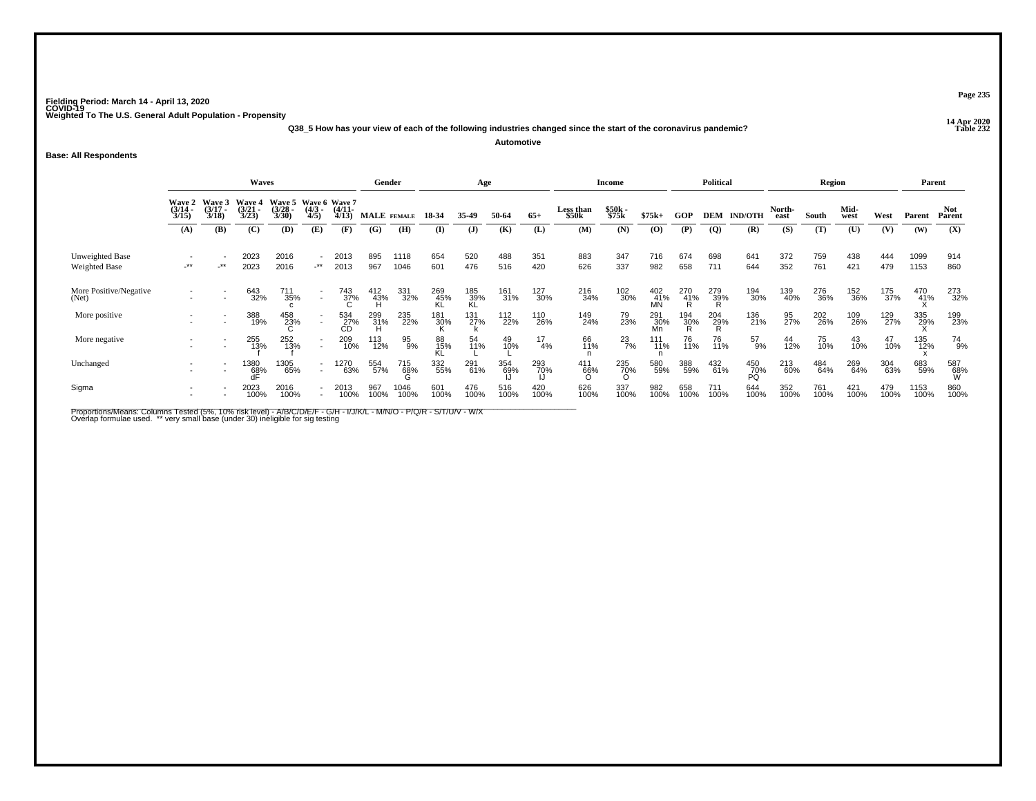**14 Apr 2020 Q38\_5 How has your view of each of the following industries changed since the start of the coronavirus pandemic?Automotive**

**Base: All Respondents**

|                                  |                                                                                                                                                                                                                      |        | Waves             |              |                                    |                  | Gender          |              |             | Age              |             |                  |                           | <b>Income</b>   |                   |                 | Political   |                  |                | Region      |              |             | Parent       |                 |
|----------------------------------|----------------------------------------------------------------------------------------------------------------------------------------------------------------------------------------------------------------------|--------|-------------------|--------------|------------------------------------|------------------|-----------------|--------------|-------------|------------------|-------------|------------------|---------------------------|-----------------|-------------------|-----------------|-------------|------------------|----------------|-------------|--------------|-------------|--------------|-----------------|
|                                  | Wave 3<br>Wave 5 Wave 6 Wave 7<br><b>Wave 4</b><br><b>Wave 2</b><br>$\frac{(3/14)}{3/15}$<br>$\frac{(3/17)}{3/18}$<br>$\frac{(3/21)}{3/23}$<br>$\frac{(3/28)}{3/30}$<br>$\frac{(4/11)}{4/13}$<br>$\frac{(4/3)}{4/5}$ |        |                   |              |                                    |                  | MALE FEMALE     |              | 18-34       | 35.49            | 50-64       | $65+$            | <b>Less than</b><br>\$50k | \$50k<br>\$75k  | $$75k+$           | GOP             | DEM         | <b>IND/OTH</b>   | North-<br>east | South       | Mid-<br>west | West        | Parent       | Not<br>Parent   |
|                                  | (A)                                                                                                                                                                                                                  | (B)    | (C)               | (D)          | (E)                                | (F)              | (G)             | (H)          | $($ I       | (J)              | (K)         | (L)              | (M)                       | (N)             | (0)               | (P)             | <b>(Q)</b>  | (R)              | (S)            | (T)         | (U)          | (V)         | (W)          | (X)             |
| Unweighted Base<br>Weighted Base | -**                                                                                                                                                                                                                  | $-***$ | 2023<br>2023      | 2016<br>2016 | $\overline{\phantom{a}}$<br>$-***$ | 2013<br>2013     | 895<br>967      | 1118<br>1046 | 654<br>601  | 520<br>476       | 488<br>516  | 351<br>420       | 883<br>626                | 347<br>337      | 716<br>982        | 674<br>658      | 698<br>711  | 641<br>644       | 372<br>352     | 759<br>761  | 438<br>421   | 444<br>479  | 1099<br>1153 | 914<br>860      |
| More Positive/Negative<br>(Net)  |                                                                                                                                                                                                                      |        | 643<br>32%        | 711<br>35%   | $\sim$                             | 743<br>37%       | $^{412}_{43\%}$ | 331<br>32%   | 269<br>45%  | 185<br>39%<br>KL | 161<br>31%  | 127<br>30%       | 216<br>34%                | 102<br>30%      | 402<br>41%<br>MŃ  | 270<br>41%<br>R | 279<br>39%  | 194<br>30%       | 139<br>40%     | 276<br>36%  | 152<br>36%   | 175<br>37%  | 470<br>41%   | 273<br>32%      |
| More positive                    |                                                                                                                                                                                                                      |        | 388<br>19%        | 458<br>23%   |                                    | 534<br>27%<br>CD | 299<br>- 31%    | 235<br>22%   | 181<br>30%  | 131<br>27%       | 112<br>22%  | 110<br>26%       | 149<br>24%                | 79<br>23%       | 291<br>_30%<br>Mn | 194<br>၁၀%      | 204<br>29%  | 136<br>21%       | 95<br>27%      | 202<br>26%  | 109<br>26%   | 129<br>27%  | 335<br>29%   | 199<br>23%      |
| More negative                    |                                                                                                                                                                                                                      | ۰      | 255<br>13%        | 252<br>13%   | $\sim$                             | 209<br>10%       | 113<br>12%      | 95<br>9%     | 88<br>15%   | 54<br>11%        | 49<br>10%   | $\frac{17}{4\%}$ | 66<br>11%                 | $^{23}_{7\%}$   | 111<br>11%        | 76<br>11%       | 76<br>11%   | 57<br>9%         | 44<br>12%      | 75<br>10%   | 43<br>10%    | 47<br>10%   | 135<br>12%   | 74<br>9%        |
| Unchanged                        |                                                                                                                                                                                                                      |        | 1380<br>68%<br>dF | 1305<br>65%  | $\sim$                             | 1270<br>63%      | 554<br>57%      | 715<br>68%   | 332<br>55%  | 291<br>61%       | 354<br>69%  | 293<br>70%       | 411<br>66%                | 235<br>70%<br>O | 580<br>59%        | 388<br>59%      | 432<br>61%  | 450<br>70%<br>PQ | 213<br>60%     | 484<br>64%  | 269<br>64%   | 304<br>63%  | 683<br>59%   | 587<br>68%<br>W |
| Sigma                            |                                                                                                                                                                                                                      |        | 2023<br>100%      | 2016<br>100% |                                    | 2013<br>100%     | 967<br>100%     | 1046<br>100% | 601<br>100% | 476<br>100%      | 516<br>100% | 420<br>100%      | 626<br>100%               | 337<br>100%     | 982<br>100%       | 658<br>100%     | 711<br>100% | 644<br>100%      | 352<br>100%    | 761<br>100% | 421<br>100%  | 479<br>100% | 1153<br>100% | 860<br>100%     |

Proportions/Means: Columns Tested (5%, 10% risk level) - A/B/C/D/E/F - G/H - I/J/K/L - M/N/O - P/Q/R - S/T/U/V - W/X<br>Overlap formulae used. \*\* very small base (under 30) ineligible for sig testing

**Page 235**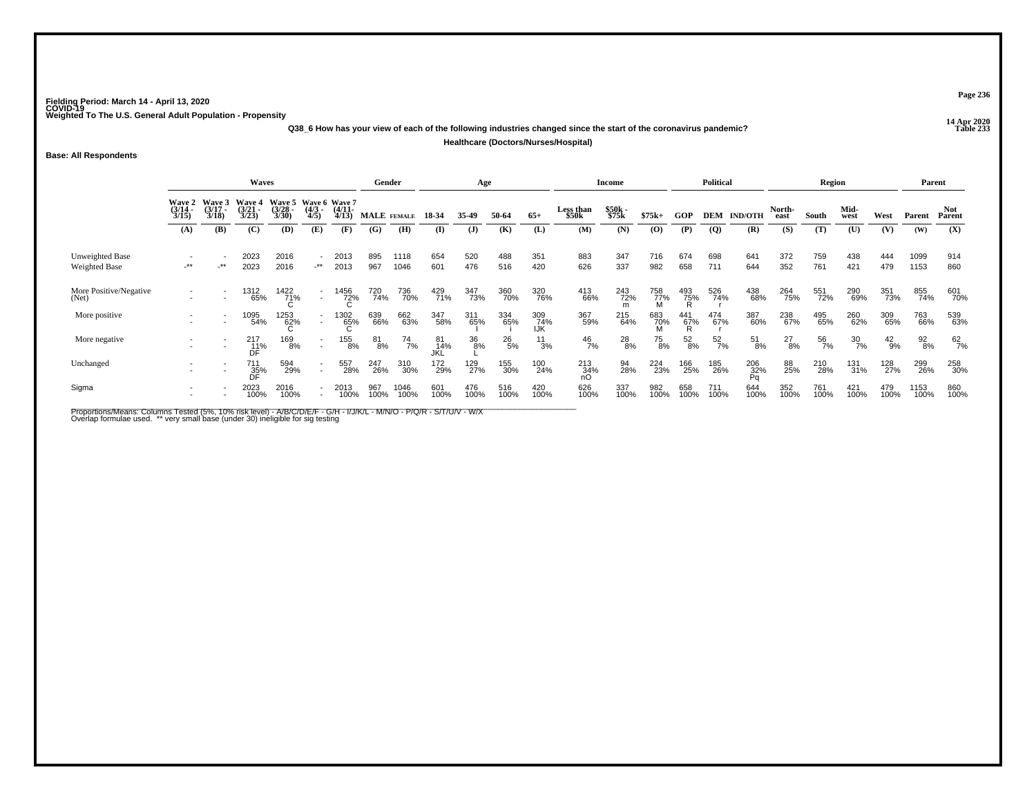**14 Apr 2020 Q38\_6 How has your view of each of the following industries changed since the start of the coronavirus pandemic?Healthcare (Doctors/Nurses/Hospital)**

#### **Base: All Respondents**

|                                  |                                                                                                                                                                                                                                                  |                          | Waves             |              |                                            |              |             | Gender       |                  | Age          |               |                   |                    | <b>Income</b>  |             |                 | <b>Political</b> |                      |                | Region      |                  |               | Parent          |                      |
|----------------------------------|--------------------------------------------------------------------------------------------------------------------------------------------------------------------------------------------------------------------------------------------------|--------------------------|-------------------|--------------|--------------------------------------------|--------------|-------------|--------------|------------------|--------------|---------------|-------------------|--------------------|----------------|-------------|-----------------|------------------|----------------------|----------------|-------------|------------------|---------------|-----------------|----------------------|
|                                  | Wave 3<br>Wave 5 Wave 6 Wave 7<br>Wave 4<br><b>Wave 2</b><br>$\frac{(3/17)}{3/18}$<br>$\frac{(3/14)}{3/15}$<br>$\frac{(3/21)}{3/23}$<br>$\frac{(3/28)}{3/30}$<br>$\frac{(4/11)}{4/13}$<br>$\frac{(4/3)}{4/5}$<br>(B)<br>(C)<br>(D)<br>(E)<br>(A) |                          |                   |              |                                            |              |             | MALE FEMALE  | 18-34            | 35.49        | 50-64         | $65+$             | Less than<br>\$50k | \$50k<br>\$75k | $$75k+$     | GOP             |                  | <b>DEM IND/OTH</b>   | North-<br>east | South       | Mid-<br>west     | West          | Parent          | <b>Not</b><br>Parent |
|                                  |                                                                                                                                                                                                                                                  |                          |                   |              |                                            | (F)          | (G)         | (H)          | $\bf{I}$         | $\mathbf{J}$ | (K)           | (L)               | (M)                | (N)            | $\bf(0)$    | (P)             | $\overline{Q}$   | (R)                  | (S)            | (T)         | (U)              | (V)           | (W)             | (X)                  |
| Unweighted Base<br>Weighted Base | $\overline{\phantom{a}}$<br>$^{\star\star}$                                                                                                                                                                                                      | $\cdot^{\star\star}$     | 2023<br>2023      | 2016<br>2016 | $\overline{\phantom{a}}$<br>$-***$         | 2013<br>2013 | 895<br>967  | 1118<br>1046 | 654<br>601       | 520<br>476   | 488<br>516    | 351<br>420        | 883<br>626         | 347<br>337     | 716<br>982  | 674<br>658      | 698<br>711       | 641<br>644           | 372<br>352     | 759<br>761  | 438<br>421       | 444<br>479    | 1099<br>1153    | 914<br>860           |
| More Positive/Negative<br>(Net)  |                                                                                                                                                                                                                                                  |                          | 1312<br>65%       | 1422<br>71%  | $\sim$                                     | 1456<br>72%  | 720<br>74%  | 736<br>70%   | 429<br>71%       | 347<br>73%   | 360<br>70%    | 320<br>76%        | 413<br>66%         | 243<br>72%     | 758<br>77%  | 493<br>75%      | 526<br>74%       | 438<br>68%           | 264<br>75%     | 551<br>72%  | 290<br>69%       | 351<br>73%    | 855<br>74%      | 601<br>70%           |
| More positive                    |                                                                                                                                                                                                                                                  |                          | 1095<br>54%       | 1253<br>62%  | $\sim$                                     | 1302<br>65%  | 639<br>66%  | 662<br>63%   | 347<br>58%       | 311<br>65%   | 334<br>65%    | 309<br>74%<br>IJK | 367<br>59%         | 215<br>64%     | 683<br>70%  | $^{441}_{67\%}$ | 474<br>67%       | 387<br>60%           | 238<br>67%     | 495<br>65%  | 260<br>62%       | 309<br>65%    | 763<br>66%      | 539<br>63%           |
| More negative                    |                                                                                                                                                                                                                                                  | $\overline{\phantom{a}}$ | 217<br>DF         | 169<br>8%    | $\overline{\phantom{a}}$<br>$\blacksquare$ | 155<br>8%    | 81<br>8%    | 74<br>7%     | 81<br>14%<br>JKL | 36<br>8%     | $^{26}_{5\%}$ | $\frac{11}{3\%}$  | $^{46}_{7\%}$      | 28<br>8%       | 75<br>8%    | $\frac{52}{8%}$ | $^{52}_{7\%}$    | $\substack{51\\8\%}$ | $^{27}_{8\%}$  | 56<br>7%    | $\frac{30}{7\%}$ | $^{42}_{9\%}$ | $\frac{92}{8%}$ | $^{62}_{7\%}$        |
| Unchanged                        |                                                                                                                                                                                                                                                  |                          | 711<br>_35%<br>DF | 594<br>29%   | $\sim$                                     | 557<br>28%   | 247<br>26%  | 310<br>30%   | 172<br>29%       | 129<br>27%   | 155<br>30%    | 100<br>24%        | 213<br>34%<br>nO   | 94<br>28%      | 224<br>23%  | 166<br>25%      | 185<br>26%       | 206<br>32%<br>Pq     | 88<br>25%      | 210<br>28%  | 131<br>31%       | 128<br>27%    | 299<br>26%      | 258<br>30%           |
| Sigma                            |                                                                                                                                                                                                                                                  |                          | 2023<br>100%      | 2016<br>100% | $\overline{\phantom{a}}$                   | 2013<br>100% | 967<br>100% | 1046<br>100% | 601<br>100%      | 476<br>100%  | 516<br>100%   | 420<br>100%       | 626<br>100%        | 337<br>100%    | 982<br>100% | 658<br>100%     | 711<br>100%      | 644<br>100%          | 352<br>100%    | 761<br>100% | 421<br>100%      | 479<br>100%   | 1153<br>100%    | 860<br>100%          |

Proportions/Means: Columns Tested (5%, 10% risk level) - A/B/C/D/E/F - G/H - I/J/K/L - M/N/O - P/Q/R - S/T/U/V - W/X<br>Overlap formulae used. \*\* very small base (under 30) ineligible for sig testing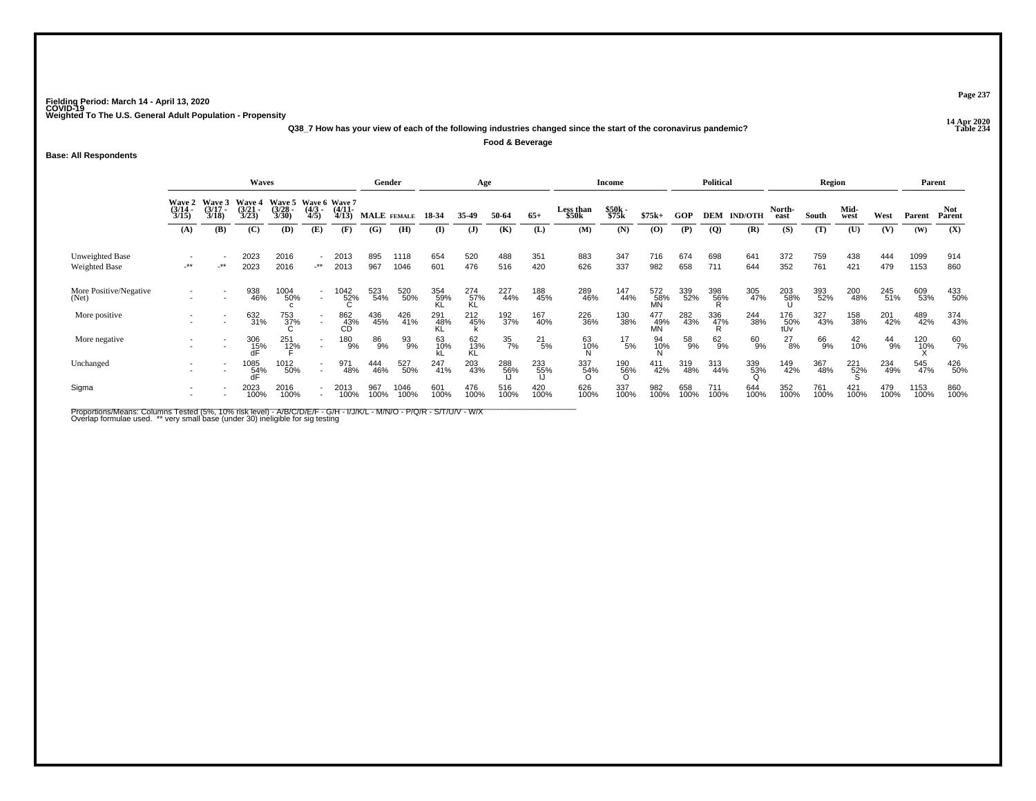**14 Apr 2020 Q38\_7 How has your view of each of the following industries changed since the start of the coronavirus pandemic?Food & Beverage**

**Base: All Respondents**

|                                  |                                        |                                 | Waves                                  |                                               |                                                      |                       |             | Gender       |                 | Age              |                  |               |                           | Income          |                  |             | Political       |                    |                                                            | Region      |              |               |              | Parent        |
|----------------------------------|----------------------------------------|---------------------------------|----------------------------------------|-----------------------------------------------|------------------------------------------------------|-----------------------|-------------|--------------|-----------------|------------------|------------------|---------------|---------------------------|-----------------|------------------|-------------|-----------------|--------------------|------------------------------------------------------------|-------------|--------------|---------------|--------------|---------------|
|                                  | <b>Wave 2</b><br>$\frac{(3/14)}{3/15}$ | Wave 3<br>$\frac{(3/17)}{3/18}$ | Wave 4<br>$\frac{(3/21)}{3/23}$        | Wave 5 Wave 6 Wave 7<br>$\frac{(3/28)}{3/30}$ | $\frac{(4/3)}{4/5}$                                  | $\frac{(4/11)}{4/13}$ |             | MALE FEMALE  | 18-34           | 35-49            | 50-64            | $65+$         | <b>Less than</b><br>\$50k | \$50k<br>\$75k  | $$75k+$          | <b>GOP</b>  |                 | <b>DEM IND/OTH</b> | North-<br>east                                             | South       | Mid-<br>west | West          | Parent       | Not<br>Parent |
|                                  | (A)                                    | (B)                             | (C)                                    | (D)                                           | (E)                                                  | (F)                   | (G)         | (H)          | (I)             | $\mathbf{J}$     | (K)              | (L)           | (M)                       | (N)             | $\mathbf{(O)}$   | (P)         | <b>(Q)</b>      | (R)                | (S)                                                        | (T)         | (U)          | (V)           | (W)          | (X)           |
| Unweighted Base<br>Weighted Base | $-***$                                 | $-***$                          | 2023<br>2023                           | 2016<br>2016                                  | $-***$                                               | 2013<br>2013          | 895<br>967  | 1118<br>1046 | 654<br>601      | 520<br>476       | 488<br>516       | 351<br>420    | 883<br>626                | 347<br>337      | 716<br>982       | 674<br>658  | 698<br>711      | 641<br>644         | 372<br>352                                                 | 759<br>761  | 438<br>421   | 444<br>479    | 1099<br>1153 | 914<br>860    |
| More Positive/Negative<br>(Net)  |                                        |                                 | 938<br>46%                             | 1004<br>50%                                   | $\overline{a}$                                       | $\frac{1042}{52\%}$   | 523<br>54%  | 520<br>50%   | 354<br>59%      | 274<br>57%<br>KL | 227<br>44%       | 188<br>45%    | 289<br>46%                | 147<br>44%      | 572<br>58%<br>MN | 339<br>52%  | 398<br>56%<br>R | 305<br>47%         | 203<br>58%                                                 | 393<br>52%  | 200<br>48%   | 245<br>51%    | 609<br>53%   | 433<br>50%    |
| More positive                    |                                        |                                 | 632<br>31%                             | 753<br>37%                                    |                                                      | 862<br>43%<br>CD      | 436<br>45%  | 426<br>41%   | $^{291}_{48\%}$ | 212<br>45%       | 192<br>37%       | 167<br>40%    | 226<br>36%                | 130<br>38%      | 477<br>49%<br>MN | 282<br>43%  | 336<br>47%<br>R | 244<br>38%         | $\begin{array}{c} 176 \\ 50\% \\ \mathrm{tUv} \end{array}$ | 327<br>43%  | 158<br>38%   | 201<br>42%    | 489<br>42%   | 374<br>43%    |
| More negative                    |                                        | $\overline{\phantom{a}}$        | 306<br>15%<br>dF                       | 251<br>12%                                    | $\overline{\phantom{a}}$<br>$\overline{\phantom{a}}$ | 180<br>9%             | 86<br>9%    | 93<br>9%     | 63<br>10%       | 62<br>13%<br>KĹ  | $\frac{35}{7\%}$ | $^{21}_{5\%}$ | 63<br>10%                 | $^{17}_{\ 5\%}$ | 94<br>10%<br>N   | 58<br>9%    | 62%             | 60<br>9%           | $^{27}_{8\%}$                                              | 66<br>9%    | 42<br>10%    | $^{44}_{9\%}$ | 120<br>10%   | 60<br>7%      |
| Unchanged                        |                                        |                                 | $^{1085}_{\substack{54\%\\\text{dF}}}$ | 1012<br>50%                                   | $\overline{\phantom{a}}$                             | 971<br>48%            | 444<br>46%  | 527<br>50%   | 247<br>41%      | 203<br>43%       | 288<br>56%       | 233<br>55%    | 337<br>54%                | 190<br>56%<br>O | 411<br>42%       | 319<br>48%  | 313<br>44%      | 339<br>53%         | 149<br>42%                                                 | 367<br>48%  | 221<br>52%   | 234<br>49%    | 545<br>47%   | 426<br>50%    |
| Sigma                            |                                        |                                 | 2023<br>100%                           | 2016<br>100%                                  | $\overline{\phantom{a}}$                             | 2013<br>100%          | 967<br>100% | 1046<br>100% | 601<br>100%     | 476<br>100%      | 516<br>100%      | 420<br>100%   | 626<br>100%               | 337<br>100%     | 982<br>100%      | 658<br>100% | 711<br>100%     | 644<br>100%        | 352<br>100%                                                | 761<br>100% | 421<br>100%  | 479<br>100%   | 1153<br>100% | 860<br>100%   |

Proportions/Means: Columns Tested (5%, 10% risk level) - A/B/C/D/E/F - G/H - I/J/K/L - M/N/O - P/Q/R - S/T/U/V - W/X<br>Overlap formulae used. \*\* very small base (under 30) ineligible for sig testing

**Page 237**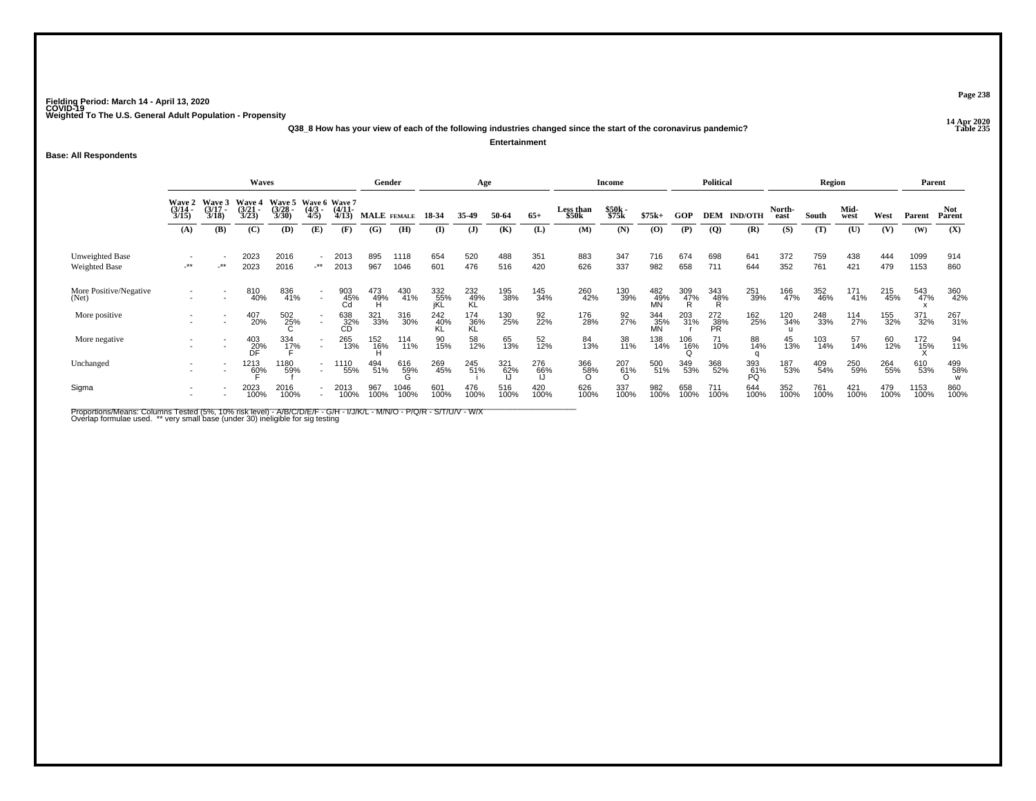**14 Apr 2020 Q38\_8 How has your view of each of the following industries changed since the start of the coronavirus pandemic?Entertainment**

**Base: All Respondents**

|                                         |                                        |                                 |                                 | Gender                          |                                     | Age                   |                 |              |                   | <b>Income</b>      |             |             | <b>Political</b>          |                 |                  | Region          |                  |                    |                | Parent      |              |             |              |               |
|-----------------------------------------|----------------------------------------|---------------------------------|---------------------------------|---------------------------------|-------------------------------------|-----------------------|-----------------|--------------|-------------------|--------------------|-------------|-------------|---------------------------|-----------------|------------------|-----------------|------------------|--------------------|----------------|-------------|--------------|-------------|--------------|---------------|
|                                         | <b>Wave 2</b><br>$\frac{(3/14)}{3/15}$ | Wave 3<br>$\frac{(3/17)}{3/18}$ | Wave 4<br>$\frac{(3/21)}{3/23}$ | Wave 5<br>$\frac{(3/28)}{3/30}$ | Wave 6 Wave 7<br>$\binom{4/3}{4/5}$ | $\frac{(4/11)}{4/13}$ |                 | MALE FEMALE  | 18-34             | 35-49              | 50-64       | $65+$       | <b>Less than</b><br>\$50k | \$50k<br>\$75k  | $$75k+$          | GOP             |                  | <b>DEM IND/OTH</b> | North-<br>east | South       | Mid-<br>west | West        | Parent       | Not<br>Parent |
|                                         | (A)                                    | (B)                             | (C)                             | (D)                             | (E)                                 | (F)                   | (G)             | (H)          | (I)               | $\mathbf{J}$       | (K)         | (L)         | (M)                       | (N)             | $\mathbf{(O)}$   | (P)             | $\overline{Q}$   | (R)                | (S)            | (T)         | (U)          | (V)         | (W)          | (X)           |
| Unweighted Base<br><b>Weighted Base</b> | $-***$                                 | _**                             | 2023<br>2023                    | 2016<br>2016                    | $-***$                              | 2013<br>2013          | 895<br>967      | 1118<br>1046 | 654<br>601        | 520<br>476         | 488<br>516  | 351<br>420  | 883<br>626                | 347<br>337      | 716<br>982       | 674<br>658      | 698<br>711       | 641<br>644         | 372<br>352     | 759<br>761  | 438<br>421   | 444<br>479  | 1099<br>1153 | 914<br>860    |
| More Positive/Negative<br>(Net)         |                                        |                                 | 810<br>40%                      | 836<br>41%                      | $\overline{\phantom{a}}$            | 903<br>45%<br>Cd      | 473<br>49%<br>H | 430<br>41%   | 332<br>55%<br>jKL | $^{232}_{49\%}$ KL | 195<br>38%  | 145<br>34%  | 260<br>42%                | 130<br>39%      | 482<br>49%<br>MN | 309<br>47%<br>R | 343<br>48%<br>R  | 251<br>39%         | 166<br>47%     | 352<br>46%  | 171<br>41%   | 215<br>45%  | 543<br>47%   | 360<br>42%    |
| More positive                           |                                        |                                 | 407<br>20%                      | 502<br>25%                      |                                     | 638<br>_32%<br>CD     | 321<br>33%      | 316<br>30%   | 242<br>40%<br>KL  | 174<br>36%<br>KI   | 130<br>25%  | 92<br>22%   | 176<br>28%                | 92<br>27%       | 344<br>35%<br>MN | 203<br>31%      | 272<br>38%<br>PR | 162<br>25%         | 120<br>34%     | 248<br>33%  | 114<br>27%   | 155<br>32%  | 371<br>32%   | 267<br>31%    |
| More negative                           |                                        |                                 | 403<br>20%                      | 334<br>1 <u>7</u> %             | $\overline{\phantom{a}}$<br>$\sim$  | 265<br>13%            | 152<br>16%      | 114<br>11%   | 90<br>15%         | 58<br>12%          | 65<br>13%   | 52<br>12%   | 84<br>13%                 | 38<br>11%       | 138<br>14%       | 106<br>16%      | 71<br>10%        | 88<br>14%          | 45<br>13%      | 103<br>14%  | 57<br>14%    | 60<br>12%   | 172<br>15%   | 94<br>11%     |
| Unchanged                               |                                        |                                 | 1213<br>6 <u>0</u> %            | 1180<br>59%                     | $\sim$                              | 1110<br>55%           | 494<br>51%      | 616<br>59%   | 269<br>45%        | 245<br>51%         | 321<br>62%  | 276<br>66%  | 366<br>58%                | 207<br>61%<br>O | 500<br>51%       | 349<br>53%      | 368<br>52%       | 393<br>61%<br>PQ   | 187<br>53%     | 409<br>54%  | 250<br>59%   | 264<br>55%  | 610<br>53%   | 499<br>58%    |
| Sigma                                   |                                        |                                 | 2023<br>100%                    | 2016<br>100%                    |                                     | 2013<br>100%          | 967<br>100%     | 1046<br>100% | 601<br>100%       | 476<br>100%        | 516<br>100% | 420<br>100% | 626<br>100%               | 337<br>100%     | 982<br>100%      | 658<br>100%     | 711<br>100%      | 644<br>100%        | 352<br>100%    | 761<br>100% | 421<br>100%  | 479<br>100% | 1153<br>100% | 860<br>100%   |

Proportions/Means: Columns Tested (5%, 10% risk level) - A/B/C/D/E/F - G/H - I/J/K/L - M/N/O - P/Q/R - S/T/U/V - W/X<br>Overlap formulae used. \*\* very small base (under 30) ineligible for sig testing

**Page 238**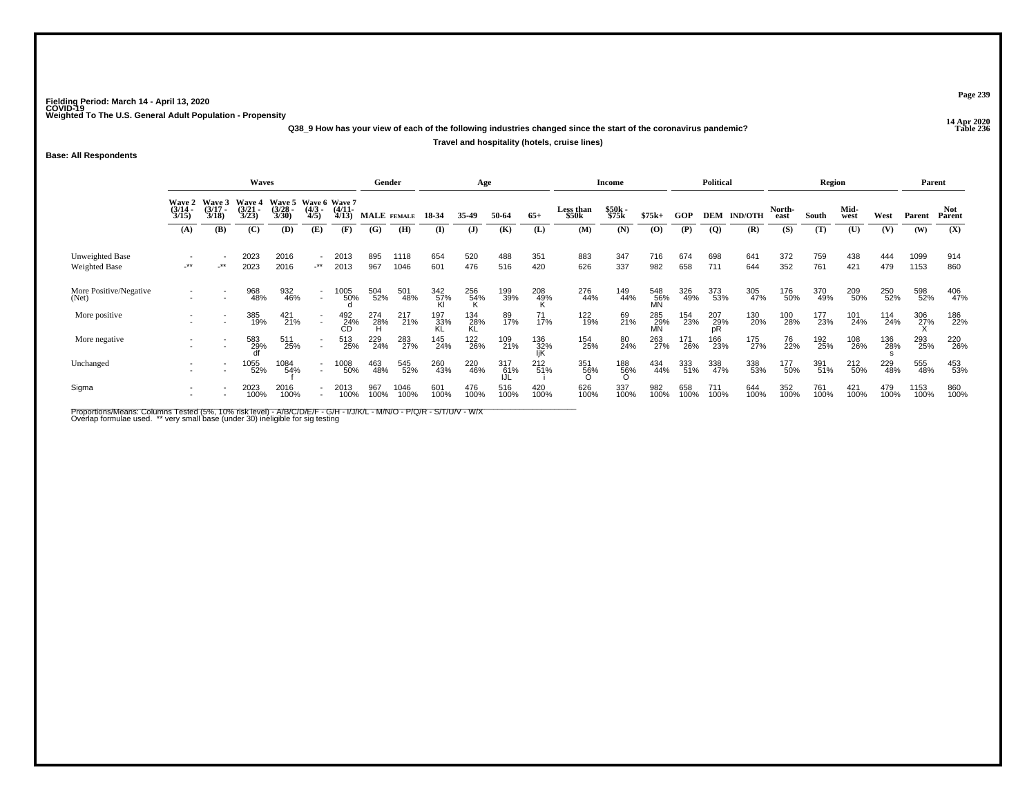**14 Apr 2020 Q38\_9 How has your view of each of the following industries changed since the start of the coronavirus pandemic?**

**Travel and hospitality (hotels, cruise lines)**

**Base: All Respondents**

|                                  |                                    |                                 | <b>Waves</b>                           |                                 |                                    |                                          |                 | Gender       |             | Age              |                   |                   |                    | Income          |                  |             | <b>Political</b>   |                |                | Region      |              |             | Parent       |                |
|----------------------------------|------------------------------------|---------------------------------|----------------------------------------|---------------------------------|------------------------------------|------------------------------------------|-----------------|--------------|-------------|------------------|-------------------|-------------------|--------------------|-----------------|------------------|-------------|--------------------|----------------|----------------|-------------|--------------|-------------|--------------|----------------|
|                                  | Wave 2<br>$\frac{(3/14)}{3/15}$    | Wave 3<br>$\frac{(3/17)}{3/18}$ | <b>Wave 4</b><br>$\frac{(3/21)}{3/23}$ | Wave 5<br>$\frac{(3/28)}{3/30}$ | $\frac{(4/3)}{4/5}$                | Wave 6 Wave 7<br>$\frac{(4/11)}{4/13}$   |                 | MALE FEMALE  | 18-34       | 35-49            | 50-64             | $65+$             | Less than<br>\$50k | \$50k<br>\$75k  | $$75k+$          | <b>GOP</b>  | <b>DEM</b>         | <b>IND/OTH</b> | North-<br>east | South       | Mid-<br>west | West        | Parent       | Not.<br>Parent |
|                                  | (A)                                | (B)                             | (C)                                    | (D)                             | (E)                                | (F)                                      | (G)             | (H)          | $\bf{I}$    | $\mathbf{J}$     | (K)               | (L)               | (M)                | (N)             | (O)              | (P)         | $\overline{Q}$     | (R)            | (S)            | (T)         | (U)          | (V)         | (W)          | (X)            |
| Unweighted Base<br>Weighted Base | $\overline{\phantom{a}}$<br>$-***$ | $-***$                          | 2023<br>2023                           | 2016<br>2016                    | $\overline{\phantom{a}}$<br>$+$ ** | 2013<br>2013                             | 895<br>967      | 1118<br>1046 | 654<br>601  | 520<br>476       | 488<br>516        | 351<br>420        | 883<br>626         | 347<br>337      | 716<br>982       | 674<br>658  | 698<br>711         | 641<br>644     | 372<br>352     | 759<br>761  | 438<br>421   | 444<br>479  | 1099<br>1153 | 914<br>860     |
| More Positive/Negative<br>(Net)  |                                    |                                 | 968<br>48%                             | 932<br>46%                      | $\sim$                             | 1005<br>50%                              | 504<br>52%      | 501<br>48%   | 342<br>57%  | 256<br>54%       | 199<br>39%        | 208<br>49%        | 276<br>44%         | 149<br>44%      | 548<br>56%<br>MN | 326<br>49%  | 373<br>53%         | 305<br>47%     | 176<br>50%     | 370<br>49%  | 209<br>50%   | 250<br>52%  | 598<br>52%   | 406<br>47%     |
| More positive                    |                                    |                                 | 385<br>19%                             | 421<br>21%                      | $\sim$                             | $\overset{492}{\overset{24}{\text{CD}}}$ | 274<br>28%<br>H | 217<br>21%   | 197<br>33%  | 134<br>28%<br>KL | 89<br>17%         | 71<br>17%         | 122<br>19%         | 69<br>21%       | 285<br>29%<br>MN | 154<br>23%  | $^{207}_{29\%}$ pR | 130<br>20%     | 100<br>28%     | 177<br>23%  | 101<br>24%   | 114<br>24%  | 306<br>27%   | 186<br>22%     |
| More negative                    |                                    | $\overline{\phantom{a}}$        | 583<br>29%                             | 511<br>25%                      | $\sim$                             | 513<br>25%                               | 229<br>24%      | 283<br>27%   | 145<br>24%  | 122<br>26%       | 109<br>21%        | 136<br>32%<br>IjK | 154<br>25%         | 80<br>24%       | 263<br>27%       | 171<br>26%  | 166<br>23%         | 175<br>27%     | 76<br>22%      | 192<br>25%  | 108<br>26%   | 136<br>28%  | 293<br>25%   | 220<br>26%     |
| Unchanged                        |                                    |                                 | 1055<br>52%                            | 1084<br>54%                     | $\overline{\phantom{a}}$           | 1008<br>50%                              | 463<br>48%      | 545<br>52%   | 260<br>43%  | 220<br>46%       | 317<br>61%<br>IJL | $^{212}_{51\%}$   | 351<br>56%         | 188<br>56%<br>O | 434<br>44%       | 333<br>51%  | 338<br>47%         | 338<br>53%     | 177<br>50%     | 391<br>51%  | 212<br>50%   | 229<br>48%  | 555<br>48%   | 453<br>53%     |
| Sigma                            |                                    |                                 | 2023<br>100%                           | 2016<br>100%                    |                                    | 2013<br>100%                             | 967<br>100%     | 1046<br>100% | 601<br>100% | 476<br>100%      | 516<br>100%       | 420<br>100%       | 626<br>100%        | 337<br>100%     | 982<br>100%      | 658<br>100% | 711<br>100%        | 644<br>100%    | 352<br>100%    | 761<br>100% | 421<br>100%  | 479<br>100% | 1153<br>100% | 860<br>100%    |

Proportions/Means: Columns Tested (5%, 10% risk level) - A/B/C/D/E/F - G/H - I/J/K/L - M/N/O - P/Q/R - S/T/U/V - W/X<br>Overlap formulae used. \*\* very small base (under 30) ineligible for sig testing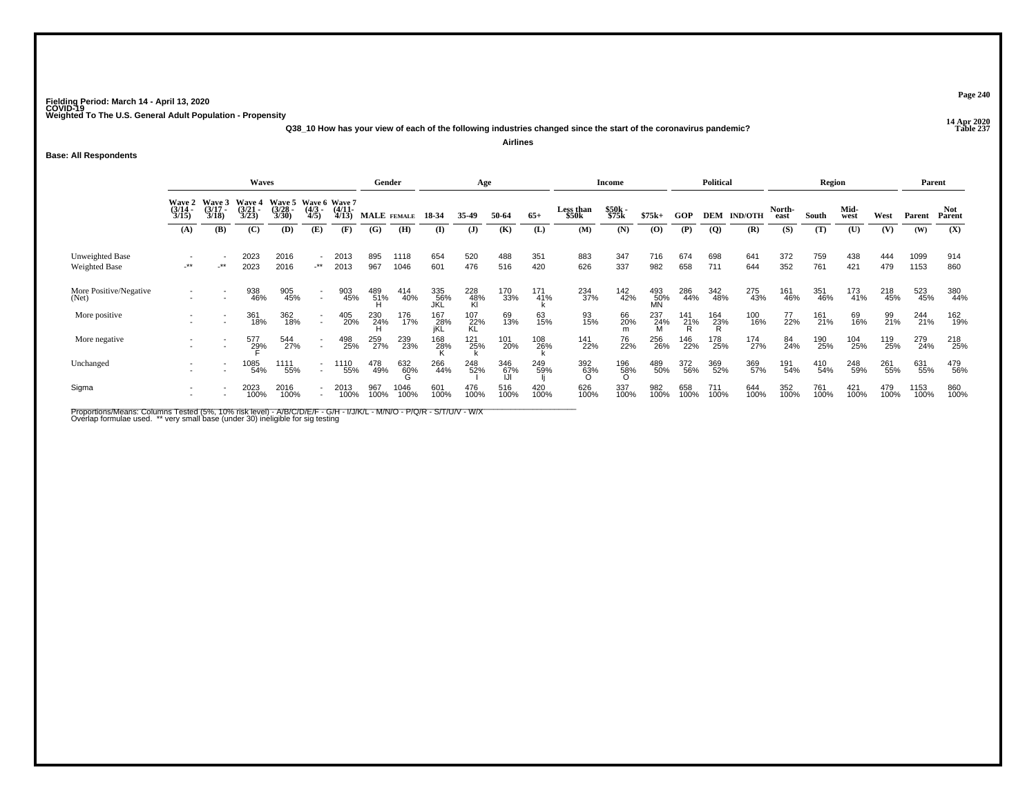**14 Apr 2020 Q38\_10 How has your view of each of the following industries changed since the start of the coronavirus pandemic?**

**Airlines**

#### **Base: All Respondents**

|                                         |                                        |                                 | Waves                                  |                                               |                          |                       |             | Gender       |                   | Age              |                    |                 |                    | <b>Income</b>   |                  |                       | <b>Political</b> |                    |                | Region      |              |             | Parent       |               |
|-----------------------------------------|----------------------------------------|---------------------------------|----------------------------------------|-----------------------------------------------|--------------------------|-----------------------|-------------|--------------|-------------------|------------------|--------------------|-----------------|--------------------|-----------------|------------------|-----------------------|------------------|--------------------|----------------|-------------|--------------|-------------|--------------|---------------|
|                                         | <b>Wave 2</b><br>$\frac{(3/14)}{3/15}$ | Wave 3<br>$\frac{(3/17)}{3/18}$ | <b>Wave 4</b><br>$\frac{(3/21)}{3/23}$ | Wave 5 Wave 6 Wave 7<br>$\frac{(3/28)}{3/30}$ | $\frac{(4/3)}{4/5}$      | $\frac{(4/11)}{4/13}$ |             | MALE FEMALE  | 18-34             | 35-49            | 50-64              | $65+$           | Less than<br>\$50k | \$50k<br>\$75k  | $$75k+$          | <b>GOP</b>            |                  | <b>DEM IND/OTH</b> | North-<br>east | South       | Mid-<br>west | West        | Parent       | Not<br>Parent |
|                                         | (A)                                    | (B)                             | (C)                                    | (D)                                           | (E)                      | (F)                   | (G)         | (H)          | $\bf{I}$          | $\mathbf{J}$     | (K)                | (L)             | (M)                | (N)             | (0)              | (P)                   | $\overline{Q}$   | (R)                | (S)            | (T)         | (U)          | (V)         | (W)          | (X)           |
| Unweighted Base<br><b>Weighted Base</b> | -**                                    | $-***$                          | 2023<br>2023                           | 2016<br>2016                                  | $\sim$<br>$-***$         | 2013<br>2013          | 895<br>967  | 1118<br>1046 | 654<br>601        | 520<br>476       | 488<br>516         | 351<br>420      | 883<br>626         | 347<br>337      | 716<br>982       | 674<br>658            | 698<br>711       | 641<br>644         | 372<br>352     | 759<br>761  | 438<br>421   | 444<br>479  | 1099<br>1153 | 914<br>860    |
| More Positive/Negative<br>(Net)         |                                        |                                 | 938<br>46%                             | 905<br>45%                                    | $\sim$                   | 903<br>45%            | 489<br>51%  | 414<br>40%   | 335<br>56%        | 228<br>48%<br>Kl | 170<br>33%         | $^{171}_{41\%}$ | 234<br>37%         | 142<br>42%      | 493<br>50%<br>MN | 286<br>44%            | 342<br>48%       | 275<br>43%         | 161<br>46%     | 351<br>46%  | 173<br>41%   | 218<br>45%  | 523<br>45%   | 380<br>44%    |
| More positive                           |                                        |                                 | 361<br>18%                             | 362<br>18%                                    | $\sim$                   | 405<br>20%            | 230<br>24%  | 176<br>17%   | 167<br>28%<br>jKL | 107<br>22%<br>KL | 69<br>13%          | 63<br>15%       | 93<br>15%          | 66<br>20%       | 237<br>24%       | <sup>141</sup><br>21% | 164<br>23%<br>R  | 100<br>16%         | 77<br>22%      | 161<br>21%  | 69<br>16%    | 99<br>21%   | 244<br>21%   | 162<br>19%    |
| More negative                           |                                        |                                 | 577<br>2 <u>9</u> %                    | 544<br>27%                                    | $\sim$                   | 498<br>25%            | 259<br>27%  | 239<br>23%   | 168<br>28%        | 121<br>25%       | 101<br>20%         | 108<br>26%      | 141<br>22%         | 76<br>22%       | 256<br>26%       | 146<br>22%            | 178<br>25%       | 174<br>27%         | 84<br>24%      | 190<br>25%  | 104<br>25%   | 119<br>25%  | 279<br>24%   | 218<br>25%    |
| Unchanged                               |                                        |                                 | 1085<br>54%                            | 11 <u>11</u><br>55%                           | $\overline{\phantom{a}}$ | 1110<br>55%           | 478<br>49%  | 632<br>60%   | 266<br>44%        | 248<br>52%       | 346<br>67%<br>الرا | 249<br>59%      | 392<br>63%         | 196<br>58%<br>O | 489<br>50%       | 372<br>56%            | 369<br>52%       | 369<br>57%         | 191<br>54%     | 410<br>54%  | 248<br>59%   | 261<br>55%  | 631<br>55%   | 479<br>56%    |
| Sigma                                   |                                        |                                 | 2023<br>100%                           | 2016<br>100%                                  |                          | 2013<br>100%          | 967<br>100% | 1046<br>100% | 601<br>100%       | 476<br>100%      | 516<br>100%        | 420<br>100%     | 626<br>100%        | 337<br>100%     | 982<br>100%      | 658<br>100%           | 711<br>100%      | 644<br>100%        | 352<br>100%    | 761<br>100% | 421<br>100%  | 479<br>100% | 1153<br>100% | 860<br>100%   |

Proportions/Means: Columns Tested (5%, 10% risk level) - A/B/C/D/E/F - G/H - I/J/K/L - M/N/O - P/Q/R - S/T/U/V - W/X<br>Overlap formulae used. \*\* very small base (under 30) ineligible for sig testing

**Page 240**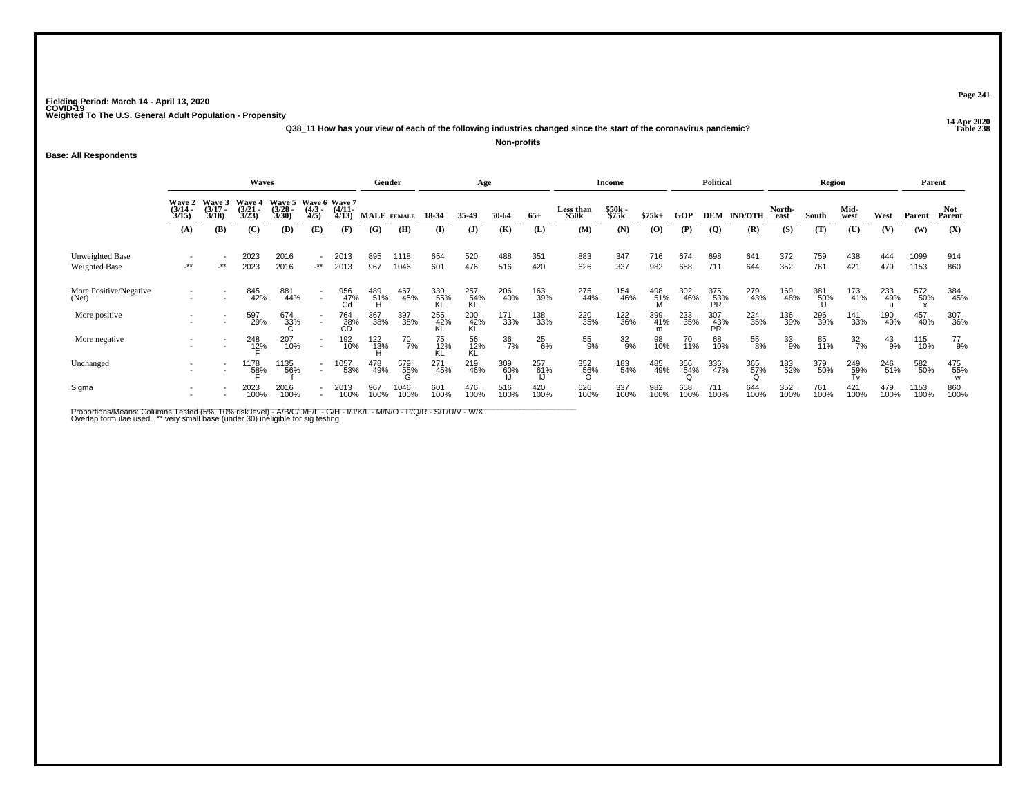**14 Apr 2020 Q38\_11 How has your view of each of the following industries changed since the start of the coronavirus pandemic?Non-profits**

**Base: All Respondents**

|                                         |                                        |                                 | Gender                          |                                               |                                    | Age                   |             |              |                  | <b>Income</b>    |             |               | <b>Political</b>   |                 |                 | Region      |                  |                | Parent         |                 |                  |               |              |               |
|-----------------------------------------|----------------------------------------|---------------------------------|---------------------------------|-----------------------------------------------|------------------------------------|-----------------------|-------------|--------------|------------------|------------------|-------------|---------------|--------------------|-----------------|-----------------|-------------|------------------|----------------|----------------|-----------------|------------------|---------------|--------------|---------------|
|                                         | <b>Wave 2</b><br>$\frac{(3/14)}{3/15}$ | Wave 3<br>$\frac{(3/17)}{3/18}$ | Wave 4<br>$\frac{(3/21)}{3/23}$ | Wave 5 Wave 6 Wave 7<br>$\frac{(3/28)}{3/30}$ | $\frac{(4/3)}{4/5}$                | $\frac{(4/11)}{4/13}$ | MALE FEMALE |              | 18-34            | 35.49            | 50-64       | $65+$         | Less than<br>\$50k | \$50k<br>\$75k  | $$75k+$         | <b>GOP</b>  | <b>DEM</b>       | <b>IND/OTH</b> | North-<br>east | South           | Mid-<br>west     | West          | Parent       | Not<br>Parent |
|                                         | (A)                                    | (B)                             | (C)                             | (D)                                           | (E)                                | (F)                   | (G)         | (H)          | (I)              | $\mathbf{J}$     | (K)         | (L)           | (M)                | (N)             | (0)             | (P)         | $\overline{Q}$   | (R)            | (S)            | (T)             | (U)              | (V)           | (W)          | (X)           |
| Unweighted Base<br><b>Weighted Base</b> | -**                                    | $-***$                          | 2023<br>2023                    | 2016<br>2016                                  | $\overline{\phantom{a}}$<br>_**    | 2013<br>2013          | 895<br>967  | 1118<br>1046 | 654<br>601       | 520<br>476       | 488<br>516  | 351<br>420    | 883<br>626         | 347<br>337      | 716<br>982      | 674<br>658  | 698<br>711       | 641<br>644     | 372<br>352     | 759<br>761      | 438<br>421       | 444<br>479    | 1099<br>1153 | 914<br>860    |
| More Positive/Negative<br>(Net)         |                                        |                                 | 845<br>42%                      | 881<br>44%                                    |                                    | 956<br>47%<br>Cd      | 489<br>51%  | 467<br>45%   | 330<br>55%<br>KL | 257<br>54%<br>KL | 206<br>40%  | 163<br>39%    | 275<br>44%         | 154<br>46%      | 498<br>51%<br>M | 302<br>46%  | 375<br>53%<br>PR | 279<br>43%     | 169<br>48%     | 381<br>50%<br>U | 173<br>41%       | 233<br>49%    | 572<br>50%   | 384<br>45%    |
| More positive                           |                                        |                                 | 597<br>29%                      | 674<br>33%                                    |                                    | 764<br>_38%<br>CD     | 367<br>38%  | 397<br>38%   | 255<br>42%<br>KL | 200<br>42%<br>KL | 171<br>33%  | 138<br>33%    | 220<br>35%         | 122<br>36%      | 399<br>41%      | 233<br>35%  | 307<br>43%<br>PR | 224<br>35%     | 136<br>39%     | 296<br>39%      | 141<br>33%       | 190<br>40%    | 457<br>40%   | 307<br>36%    |
| More negative                           |                                        | $\overline{\phantom{a}}$        | 248<br>12%                      | 207<br>10%                                    | $\overline{\phantom{a}}$<br>$\sim$ | 192<br>10%            | 122<br>13%  | 70<br>7%     | 75<br>12%<br>KL  | 56<br>12%<br>KL  | 36<br>7%    | $^{25}_{6\%}$ | 55<br>9%           | $\frac{32}{9%}$ | 98<br>10%       | 70<br>11%   | 68<br>10%        | 55<br>8%       | 33<br>9%       | 85<br>11%       | $\frac{32}{7\%}$ | $^{43}_{9\%}$ | 115<br>10%   | 77<br>9%      |
| Unchanged                               |                                        |                                 | 1178<br>5 <u>8</u> %            | 1135<br>56%                                   | $\overline{\phantom{a}}$           | 1057<br>53%           | 478<br>49%  | 579<br>55%   | 271<br>45%       | 219<br>46%       | 309<br>60%  | 257<br>61%    | 352<br>56%         | 183<br>54%      | 485<br>49%      | 356<br>54%  | 336<br>47%       | 365<br>57%     | 183<br>52%     | 379<br>50%      | 249<br>59%<br>Tv | 246<br>51%    | 582<br>50%   | 475<br>55%    |
| Sigma                                   |                                        |                                 | 2023<br>100%                    | 2016<br>100%                                  |                                    | 2013<br>100%          | 967<br>100% | 1046<br>100% | 601<br>100%      | 476<br>100%      | 516<br>100% | 420<br>100%   | 626<br>100%        | 337<br>100%     | 982<br>100%     | 658<br>100% | 711<br>100%      | 644<br>100%    | 352<br>100%    | 761<br>100%     | 421<br>100%      | 479<br>100%   | 1153<br>100% | 860<br>100%   |

Proportions/Means: Columns Tested (5%, 10% risk level) - A/B/C/D/E/F - G/H - I/J/K/L - M/N/O - P/Q/R - S/T/U/V - W/X<br>Overlap formulae used. \*\* very small base (under 30) ineligible for sig testing

**Page 241**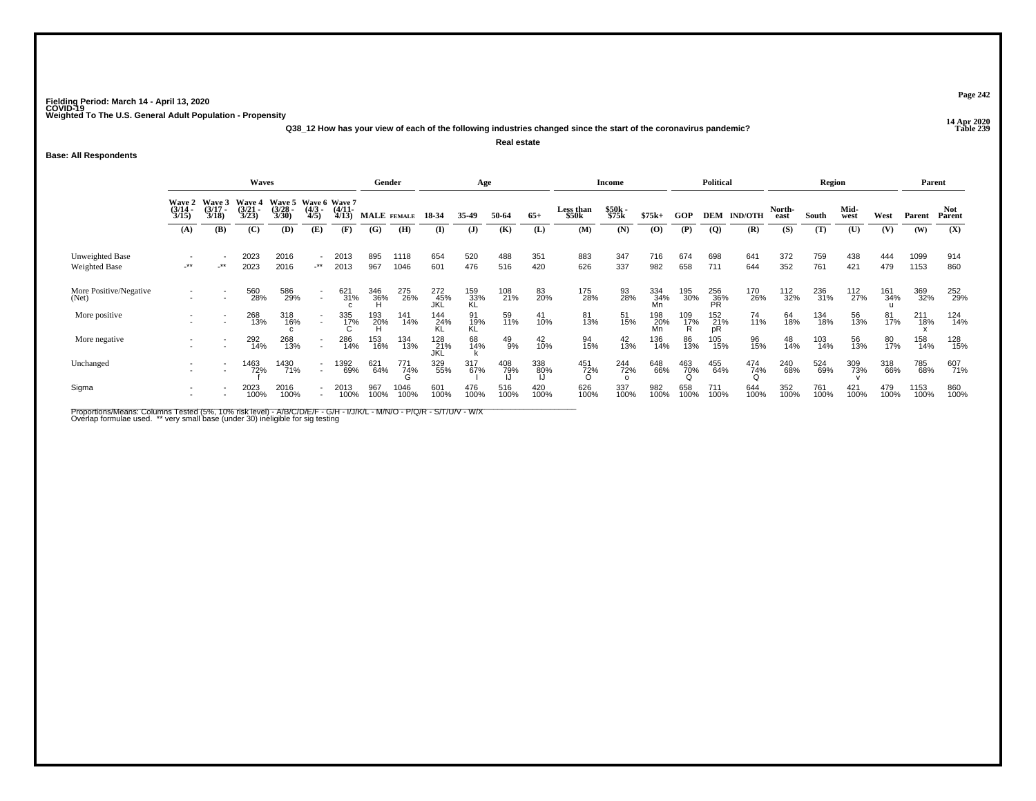**14 Apr 2020 Q38\_12 How has your view of each of the following industries changed since the start of the coronavirus pandemic?Real estate**

### **Base: All Respondents**

|                                         |                                        |                                        | Waves                                 |                                 |                                     |                       | Gender             |                 |                    | Age              |               |             |                    | <b>Income</b>          |                  |                 | <b>Political</b>        |                    |                | Region      |              |             |              | Parent               |
|-----------------------------------------|----------------------------------------|----------------------------------------|---------------------------------------|---------------------------------|-------------------------------------|-----------------------|--------------------|-----------------|--------------------|------------------|---------------|-------------|--------------------|------------------------|------------------|-----------------|-------------------------|--------------------|----------------|-------------|--------------|-------------|--------------|----------------------|
|                                         | <b>Wave 2</b><br>$\frac{(3/14)}{3/15}$ | <b>Wave 3</b><br>$\frac{(3/17)}{3/18}$ | <b>Wave 4</b><br>$\binom{3/21}{3/23}$ | Wave 5<br>$\frac{(3/28)}{3/30}$ | Wave 6 Wave 7<br>$\binom{4/3}{4/5}$ | $\frac{(4/11)}{4/13}$ | <b>MALE</b> FEMALE |                 | 18-34              | 35-49            | 50-64         | $65+$       | Less than<br>\$50k | \$50k<br>\$75k         | $$75k+$          | GOP             |                         | <b>DEM IND/OTH</b> | North-<br>east | South       | Mid-<br>west | West        | Parent       | <b>Not</b><br>Parent |
|                                         | (A)                                    | (B)                                    | (C)                                   | (D)                             | (E)                                 | (F)                   | (G)                | (H)             | $\bf{I}$           | ( <b>J</b> )     | (K)           | (L)         | (M)                | (N)                    | (0)              | (P)             | $\overline{Q}$          | (R)                | (S)            | (T)         | (U)          | (V)         | (W)          | (X)                  |
| Unweighted Base<br><b>Weighted Base</b> | $-***$                                 | $-***$                                 | 2023<br>2023                          | 2016<br>2016                    | $\sim$<br>$-***$                    | 2013<br>2013          | 895<br>967         | 1118<br>1046    | 654<br>601         | 520<br>476       | 488<br>516    | 351<br>420  | 883<br>626         | 347<br>337             | 716<br>982       | 674<br>658      | 698<br>711              | 641<br>644         | 372<br>352     | 759<br>761  | 438<br>421   | 444<br>479  | 1099<br>1153 | 914<br>860           |
| More Positive/Negative<br>(Net)         |                                        |                                        | 560<br>28%                            | 586<br>29%                      | $\sim$                              | 621<br>31%            | 346<br>36%         | 275<br>26%      | 272<br>45%<br>JKĹ  | 159<br>33%<br>KL | 108<br>21%    | 83<br>20%   | 175<br>28%         | 93<br>28%              | 334<br>34%<br>Mn | 195<br>30%      | 256<br>36%<br><b>PR</b> | 170<br>26%         | 112<br>32%     | 236<br>31%  | 112<br>27%   | 161<br>34%  | 369<br>32%   | 252<br>29%           |
| More positive                           |                                        |                                        | 268<br>13%                            | 318<br>16%                      | $\sim$                              | $\frac{335}{17\%}$    | 193<br>20%         | 141<br>14%      | 144<br>24%<br>KL   | 91<br>19%<br>KL  | 59<br>11%     | 41<br>10%   | 81<br>13%          | 51<br>15%              | 198<br>20%<br>Mn | 109<br>17%<br>R | 152<br>21%<br>pR        | 74<br>11%          | 64<br>18%      | 134<br>18%  | 56<br>13%    | 81<br>17%   | 211<br>18%   | 124<br>14%           |
| More negative                           |                                        |                                        | 292<br>14%                            | 268<br>13%                      | $\sim$                              | 286<br>14%            | 153<br>16%         | 134<br>13%      | 128<br>_21%<br>JKL | 68<br>14%        | $^{49}_{9\%}$ | 42<br>10%   | 94<br>15%          | $^{42}_{13\%}$         | 136<br>14%       | 86<br>13%       | 105<br>15%              | 96<br>15%          | 48<br>14%      | 103<br>14%  | 56<br>13%    | 80<br>17%   | 158<br>14%   | 128<br>15%           |
| Unchanged                               |                                        |                                        | 1463<br>72%                           | 1430<br>71%                     | $\sim$                              | 1392<br>69%           | 621<br>64%         | 771<br>74%<br>G | 329<br>55%         | 317<br>67%       | 408<br>79%    | 338<br>80%  | 451<br>72%         | 244<br>72%<br>$\Omega$ | 648<br>66%       | 463<br>70%      | 455<br>64%              | 474<br>74%         | 240<br>68%     | 524<br>69%  | 309<br>73%   | 318<br>66%  | 785<br>68%   | 607<br>71%           |
| Sigma                                   |                                        |                                        | 2023<br>100%                          | 2016<br>100%                    |                                     | 2013<br>100%          | 967<br>100%        | 1046<br>100%    | 601<br>100%        | 476<br>100%      | 516<br>100%   | 420<br>100% | 626<br>100%        | 337<br>100%            | 982<br>100%      | 658<br>100%     | 711<br>100%             | 644<br>100%        | 352<br>100%    | 761<br>100% | 421<br>100%  | 479<br>100% | 1153<br>100% | 860<br>100%          |

Proportions/Means: Columns Tested (5%, 10% risk level) - A/B/C/D/E/F - G/H - I/J/K/L - M/N/O - P/Q/R - S/T/U/V - W/X<br>Overlap formulae used. \*\* very small base (under 30) ineligible for sig testing

**Page 242**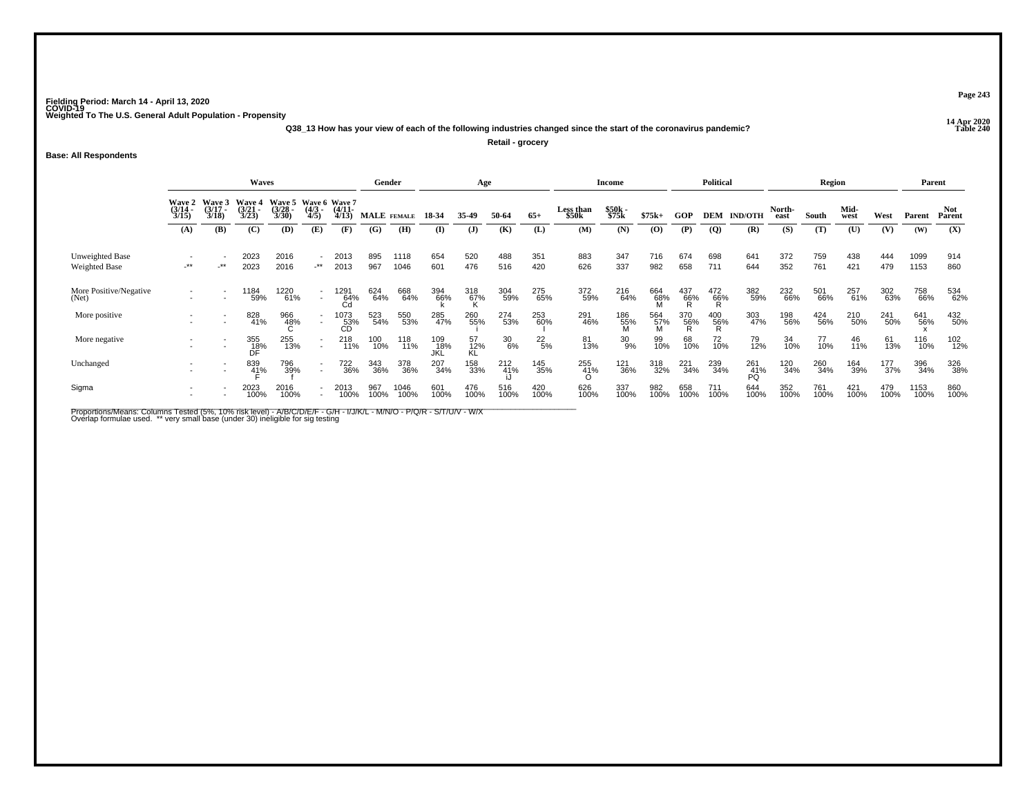**14 Apr 2020 Q38\_13 How has your view of each of the following industries changed since the start of the coronavirus pandemic?**

**Retail - grocery**

**Base: All Respondents**

|                                  |                                        |                                 | <b>Waves</b>                    |                                               |                                    |                       |             | Gender       |                    | Age                |                    |                 |                    | <b>Income</b>      |             |                 | <b>Political</b> |                          |                | Region      |              |                    |              | Parent               |
|----------------------------------|----------------------------------------|---------------------------------|---------------------------------|-----------------------------------------------|------------------------------------|-----------------------|-------------|--------------|--------------------|--------------------|--------------------|-----------------|--------------------|--------------------|-------------|-----------------|------------------|--------------------------|----------------|-------------|--------------|--------------------|--------------|----------------------|
|                                  | <b>Wave 2</b><br>$\frac{(3/14)}{3/15}$ | Wave 3<br>$\frac{(3/17)}{3/18}$ | Wave 4<br>$\frac{(3/21)}{3/23}$ | Wave 5 Wave 6 Wave 7<br>$\frac{(3/28)}{3/30}$ | $\frac{(4/3)}{4/5}$                | $\frac{(4/11)}{4/13}$ | MALE FEMALE |              | 18-34              | 35-49              | 50-64              | $65+$           | Less than<br>\$50k | \$50k<br>\$75k     | $$75k+$     | <b>GOP</b>      | DEM              | <b>IND/OTH</b>           | North-<br>east | South       | Mid-<br>west | West               | Parent       | <b>Not</b><br>Parent |
|                                  | (A)                                    | (B)                             | (C)                             | (D)                                           | (E)                                | (F)                   | (G)         | (H)          | $\bf{I}$           | $\mathbf{J}$       | (K)                | (L)             | (M)                | (N)                | (0)         | (P)             | $\overline{Q}$   | (R)                      | (S)            | (T)         | (U)          | (V)                | (W)          | (X)                  |
| Unweighted Base<br>Weighted Base | $-***$                                 | $-***$                          | 2023<br>2023                    | 2016<br>2016                                  | $\overline{\phantom{a}}$<br>$.**$  | 2013<br>2013          | 895<br>967  | 1118<br>1046 | 654<br>601         | 520<br>476         | 488<br>516         | 351<br>420      | 883<br>626         | 347<br>337         | 716<br>982  | 674<br>658      | 698<br>711       | 641<br>644               | 372<br>352     | 759<br>761  | 438<br>421   | 444<br>479         | 1099<br>1153 | 914<br>860           |
| More Positive/Negative<br>(Net)  |                                        |                                 | ' 184<br>59%                    | 1220<br>61%                                   | $\sim$                             | 1291<br>64%<br>Cd     | 624<br>64%  | 668<br>64%   | 394<br>66%         | $\frac{318}{67\%}$ | 304<br>59%         | 275<br>65%      | 372<br>59%         | 216<br>64%         | 664<br>68%  | $^{437}_{66\%}$ | $^{472}_{66\%}$  | 382<br>59%               | 232<br>66%     | 501<br>66%  | 257<br>61%   | 302<br>63%         | 758<br>66%   | 534<br>62%           |
| More positive                    |                                        |                                 | 828<br>41%                      | 966<br>48%                                    | $\sim$                             | 1073<br>53%<br>CD     | 523<br>54%  | 550<br>53%   | 285<br>47%         | 260<br>55%         | 274<br>53%         | 253<br>60%      | 291<br>46%         | $^{186}_{55\%}$    | 564<br>57%  | 370<br>56%      | 400<br>56%       | 303<br>47%               | 198<br>56%     | 424<br>56%  | 210<br>50%   | 241<br>50%         | 641<br>56%   | 432<br>50%           |
| More negative                    |                                        | $\overline{\phantom{a}}$        | 355<br>18%<br>DF                | 255<br>13%                                    | $\overline{\phantom{a}}$<br>$\sim$ | 218<br>11%            | 100<br>10%  | 118<br>11%   | 109<br>_18%<br>JKL | 57<br>12%<br>KL    | $\frac{30}{6\%}$   | $^{22}_{\ 5\%}$ | 81<br>13%          | 30<br>9%           | 99<br>10%   | 68<br>10%       | 72<br>10%        | 79<br>12%                | 34<br>10%      | 77<br>10%   | 46<br>11%    | 61<br>13%          | 116<br>10%   | 102<br>12%           |
| Unchanged                        |                                        |                                 | 839<br>41%                      | 796<br>39%                                    |                                    | 722<br>36%            | 343<br>36%  | 378<br>36%   | 207<br>34%         | 158<br>33%         | 212 <sub>41%</sub> | 145<br>35%      | 255<br>41%         | <sup>121</sup> 36% | 318<br>32%  | 221<br>34%      | 239<br>34%       | 261 <sub>41%</sub><br>PQ | 120<br>34%     | 260<br>34%  | 164<br>39%   | $\frac{177}{37\%}$ | 396<br>34%   | 326<br>38%           |
| Sigma                            |                                        |                                 | 2023<br>100%                    | 2016<br>100%                                  |                                    | 2013<br>100%          | 967<br>100% | 1046<br>100% | 601<br>100%        | 476<br>100%        | 516<br>100%        | 420<br>100%     | 626<br>100%        | 337<br>100%        | 982<br>100% | 658<br>100%     | 711<br>100%      | 644<br>100%              | 352<br>100%    | 761<br>100% | 421<br>100%  | 479<br>100%        | 1153<br>100% | 860<br>100%          |

Proportions/Means: Columns Tested (5%, 10% risk level) - A/B/C/D/E/F - G/H - I/J/K/L - M/N/O - P/Q/R - S/T/U/V - W/X<br>Overlap formulae used. \*\* very small base (under 30) ineligible for sig testing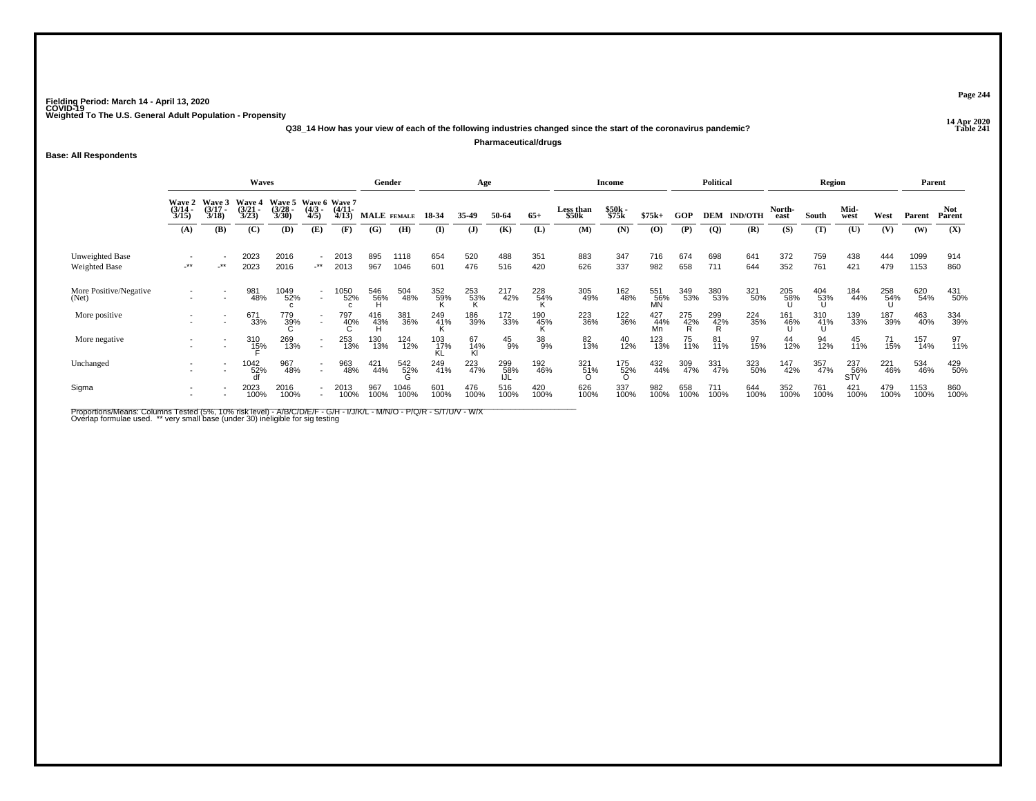**14 Apr 2020 Q38\_14 How has your view of each of the following industries changed since the start of the coronavirus pandemic?Pharmaceutical/drugs**

#### **Base: All Respondents**

|                                  |                                        |                                 | Waves                                  |                                               |                                          |                       |             | Gender       |                  | Age             |                   |             |                    | <b>Income</b>   |                    |                 | <b>Political</b> |                    |                | Region                            |                   |             | Parent       |                      |
|----------------------------------|----------------------------------------|---------------------------------|----------------------------------------|-----------------------------------------------|------------------------------------------|-----------------------|-------------|--------------|------------------|-----------------|-------------------|-------------|--------------------|-----------------|--------------------|-----------------|------------------|--------------------|----------------|-----------------------------------|-------------------|-------------|--------------|----------------------|
|                                  | <b>Wave 2</b><br>$\frac{(3/14)}{3/15}$ | Wave 3<br>$\frac{(3/17)}{3/18}$ | <b>Wave 4</b><br>$\frac{(3/21)}{3/23}$ | Wave 5 Wave 6 Wave 7<br>$\frac{(3/28)}{3/30}$ | $\frac{(4/3)}{4/5}$                      | $\frac{(4/11)}{4/13}$ |             | MALE FEMALE  | 18-34            | 35-49           | 50-64             | $65+$       | Less than<br>\$50k | \$50k<br>\$75k  | $$75k+$            | GOP             |                  | <b>DEM IND/OTH</b> | North-<br>east | South                             | Mid-<br>west      | West        | Parent       | <b>Not</b><br>Parent |
|                                  | (A)                                    | (B)                             | (C)                                    | (D)                                           | (E)                                      | (F)                   | (G)         | (H)          | (I)              | $\mathbf{J}$    | (K)               | (L)         | (M)                | (N)             | (O)                | (P)             | $\overline{Q}$   | (R)                | (S)            | (T)                               | (U)               | (V)         | (W)          | (X)                  |
| Unweighted Base<br>Weighted Base | $-***$                                 | $-***$                          | 2023<br>2023                           | 2016<br>2016                                  | $\overline{\phantom{a}}$<br>$\star\star$ | 2013<br>2013          | 895<br>967  | 1118<br>1046 | 654<br>601       | 520<br>476      | 488<br>516        | 351<br>420  | 883<br>626         | 347<br>337      | 716<br>982         | 674<br>658      | 698<br>711       | 641<br>644         | 372<br>352     | 759<br>761                        | 438<br>421        | 444<br>479  | 1099<br>1153 | 914<br>860           |
| More Positive/Negative<br>(Net)  |                                        |                                 | 981<br>48%                             | 1049<br>52%                                   | $\overline{\phantom{a}}$                 | 1050<br>52%           | 546<br>56%  | 504<br>48%   | 352<br>59%       | $^{253}_{53\%}$ | 217<br>42%        | 228<br>54%  | 305<br>49%         | 162<br>48%      | 551<br>56%<br>MN   | 349<br>53%      | 380<br>53%       | 321<br>50%         | 205<br>58%     | $^{404}_{\substack{53\%\\ \cup}}$ | 184<br>44%        | 258<br>54%  | 620<br>54%   | 431<br>50%           |
| More positive                    |                                        |                                 | 671<br>33%                             | 779<br>39%                                    | $\overline{\phantom{a}}$                 | 797<br>40%            | 416<br>43%  | 381<br>36%   | 249<br>41%       | 186<br>39%      | 172<br>33%        | 190<br>45%  | 223<br>36%         | 122<br>36%      | 427<br>-44%<br>-Mn | 275<br>42%<br>R | 299<br>42%<br>R  | 224<br>35%         | 161<br>46%     | 310<br>- 41%<br>- Ս               | 139<br>33%        | 187<br>39%  | 463<br>40%   | 334<br>39%           |
| More negative                    |                                        | $\overline{\phantom{a}}$        | 310<br>1 <u>5</u> %                    | 269<br>13%                                    | $\overline{\phantom{a}}$                 | 253<br>13%            | 130<br>13%  | 124<br>12%   | 103<br>17%<br>KL | 67<br>14%<br>Kl | $^{45}_{9\%}$     | 38<br>9%    | 82<br>13%          | 40<br>12%       | 123<br>13%         | 75<br>11%       | 81<br>11%        | 97<br>15%          | 44<br>12%      | 94<br>12%                         | 45<br>11%         | 71<br>15%   | 157<br>14%   | 97<br>11%            |
| Unchanged                        |                                        |                                 | $^{1042}_{52\%}$                       | 967<br>48%                                    | $\overline{\phantom{a}}$                 | 963<br>48%            | 421<br>44%  | 542<br>52%   | 249<br>41%       | 223<br>47%      | 299<br>58%<br>IJL | 192<br>46%  | 321<br>51%<br>O    | 175<br>52%<br>O | 432<br>44%         | 309<br>47%      | 331<br>47%       | 323<br>50%         | 147<br>42%     | 357<br>47%                        | 237<br>56%<br>STV | 221<br>46%  | 534<br>46%   | 429<br>50%           |
| Sigma                            |                                        |                                 | 2023<br>100%                           | 2016<br>100%                                  |                                          | 2013<br>100%          | 967<br>100% | 1046<br>100% | 601<br>100%      | 476<br>100%     | 516<br>100%       | 420<br>100% | 626<br>100%        | 337<br>100%     | 982<br>100%        | 658<br>100%     | 711<br>100%      | 644<br>100%        | 352<br>100%    | 761<br>100%                       | 421<br>100%       | 479<br>100% | 1153<br>100% | 860<br>100%          |

Proportions/Means: Columns Tested (5%, 10% risk level) - A/B/C/D/E/F - G/H - I/J/K/L - M/N/O - P/Q/R - S/T/U/V - W/X<br>Overlap formulae used. \*\* very small base (under 30) ineligible for sig testing

**Page 244**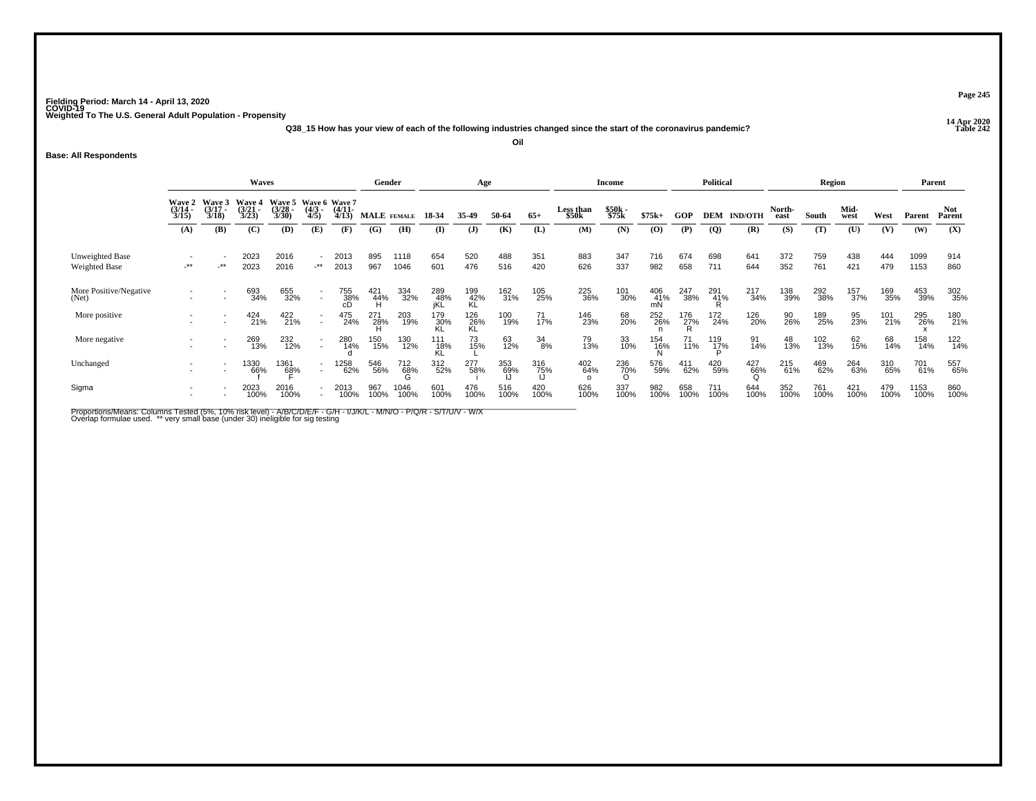**14 Apr 2020 Q38\_15 How has your view of each of the following industries changed since the start of the coronavirus pandemic?Oil**

#### **Base: All Respondents**

|                                  |                                             |                                 | Waves                                  |                                               |                                    |                       |             | Gender       |                   | Age                |             |             |                        | Income          |                 |                 | <b>Political</b>    |                    |                | Region      |              |             | Parent       |                      |
|----------------------------------|---------------------------------------------|---------------------------------|----------------------------------------|-----------------------------------------------|------------------------------------|-----------------------|-------------|--------------|-------------------|--------------------|-------------|-------------|------------------------|-----------------|-----------------|-----------------|---------------------|--------------------|----------------|-------------|--------------|-------------|--------------|----------------------|
|                                  | <b>Wave 2</b><br>$\frac{(3/14)}{3/15}$      | Wave 3<br>$\frac{(3/17)}{3/18}$ | <b>Wave 4</b><br>$\frac{(3/21)}{3/23}$ | Wave 5 Wave 6 Wave 7<br>$\frac{(3/28)}{3/30}$ | $\frac{(4/3)}{4/5}$                | $\frac{(4/11)}{4/13}$ |             | MALE FEMALE  | 18-34             | 35-49              | 50-64       | $65+$       | Less than<br>\$50k     | \$50k<br>\$75k  | $$75k+$         | <b>GOP</b>      |                     | <b>DEM IND/OTH</b> | North-<br>east | South       | Mid-<br>west | West        | Parent       | <b>Not</b><br>Parent |
|                                  | (A)                                         | (B)                             | (C)                                    | (D)                                           | (E)                                | (F)                   | (G)         | (H)          | $\mathbf{I}$      | $\mathbf{J}$       | (K)         | (L)         | (M)                    | (N)             | $\bf(0)$        | (P)             | $\overline{Q}$      | (R)                | (S)            | (T)         | (U)          | (V)         | (W)          | (X)                  |
| Unweighted Base<br>Weighted Base | $\overline{\phantom{a}}$<br>$^{\star\star}$ | $\cdot^{\star\star}$            | 2023<br>2023                           | 2016<br>2016                                  | $\overline{\phantom{a}}$<br>$-***$ | 2013<br>2013          | 895<br>967  | 1118<br>1046 | 654<br>601        | 520<br>476         | 488<br>516  | 351<br>420  | 883<br>626             | 347<br>337      | 716<br>982      | 674<br>658      | 698<br>711          | 641<br>644         | 372<br>352     | 759<br>761  | 438<br>421   | 444<br>479  | 1099<br>1153 | 914<br>860           |
| More Positive/Negative<br>(Net)  |                                             |                                 | 693<br>34%                             | 655<br>32%                                    | $\sim$                             | 755<br>38%<br>cD      | 421<br>44%  | 334<br>32%   | 289<br>48%<br>jKL | 199<br>42%<br>KL   | 162<br>31%  | 105<br>25%  | 225<br>36%             | 101<br>30%      | 406<br>41%      | 247<br>38%      | 291<br>41%          | 217<br>34%         | 138<br>39%     | 292<br>38%  | 157<br>37%   | 169<br>35%  | 453<br>39%   | 302<br>35%           |
| More positive                    |                                             |                                 | 424<br>21%                             | 422<br>21%                                    | $\sim$                             | 475<br>24%            | 271<br>28%  | 203<br>19%   | 179<br>30%        | $\frac{126}{26\%}$ | 100<br>19%  | 71<br>17%   | 146<br>23%             | 68<br>20%       | 252<br>26%      | $^{176}_{27\%}$ | 172<br>24%          | 126<br>20%         | 90<br>26%      | 189<br>25%  | 95<br>23%    | 101<br>21%  | 295<br>26%   | 180<br>21%           |
| More negative                    |                                             |                                 | 269<br>13%                             | 232<br>12%                                    | $\sim$                             | 280<br>14%            | 150<br>15%  | 130<br>12%   | 111<br>18%<br>Kl  | 73<br>15%          | 63<br>12%   | 34<br>8%    | 79<br>13%              | 33<br>10%       | 154<br>16%<br>N | 71<br>11%       | 119<br>1 <u>7</u> % | 91<br>14%          | 48<br>13%      | 102<br>13%  | 62<br>15%    | 68<br>14%   | 158<br>14%   | 122<br>14%           |
| Unchanged                        |                                             |                                 | 1330<br>66%                            | 1361<br>68%                                   | $\overline{\phantom{a}}$           | 1258<br>62%           | 546<br>56%  | 712<br>68%   | 312<br>52%        | 277<br>58%         | 353<br>69%  | 316<br>75%  | 402<br>64%<br>$\Omega$ | 236<br>70%<br>O | 576<br>59%      | 411<br>62%      | 420<br>59%          | 427<br>66%         | 215<br>61%     | 469<br>62%  | 264<br>63%   | 310<br>65%  | 701<br>61%   | 557<br>65%           |
| Sigma                            |                                             |                                 | 2023<br>100%                           | 2016<br>100%                                  |                                    | 2013<br>100%          | 967<br>100% | 1046<br>100% | 601<br>100%       | 476<br>100%        | 516<br>100% | 420<br>100% | 626<br>100%            | 337<br>100%     | 982<br>100%     | 658<br>100%     | 711<br>100%         | 644<br>100%        | 352<br>100%    | 761<br>100% | 421<br>100%  | 479<br>100% | 1153<br>100% | 860<br>100%          |

Proportions/Means: Columns Tested (5%, 10% risk level) - A/B/C/D/E/F - G/H - I/J/K/L - M/N/O - P/Q/R - S/T/U/V - W/X<br>Overlap formulae used. \*\* very small base (under 30) ineligible for sig testing

**Page 245**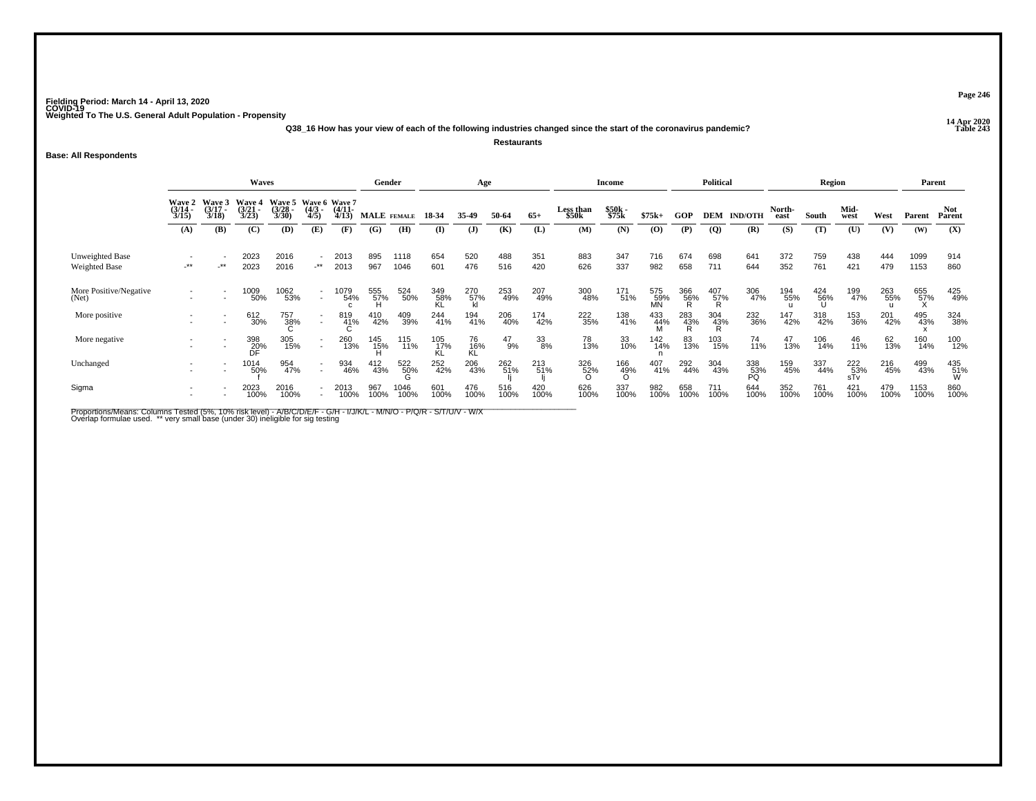**14 Apr 2020 Q38\_16 How has your view of each of the following industries changed since the start of the coronavirus pandemic?Restaurants**

**Base: All Respondents**

|                                  |                                                                                                                                                                                                              |        | <b>Waves</b>     |              |                |              |             | Gender       |                  | Age              |               |             |                    | <b>Income</b>   |                    |                 | <b>Political</b>              |                    |                | Region          |                                        |             | Parent       |                 |
|----------------------------------|--------------------------------------------------------------------------------------------------------------------------------------------------------------------------------------------------------------|--------|------------------|--------------|----------------|--------------|-------------|--------------|------------------|------------------|---------------|-------------|--------------------|-----------------|--------------------|-----------------|-------------------------------|--------------------|----------------|-----------------|----------------------------------------|-------------|--------------|-----------------|
|                                  | Wave 3<br>Wave 5 Wave 6 Wave 7<br>Wave 4<br><b>Wave 2</b><br>$\frac{(3/14)}{3/15}$<br>$\frac{(3/17)}{3/18}$<br>$\frac{(3/21)}{3/23}$<br>$\binom{3/28}{3/30}$<br>$\frac{(4/11)}{4/13}$<br>$\frac{(4/3)}{4/5}$ |        |                  |              |                |              | MALE FEMALE |              | 18-34            | 35-49            | 50-64         | $65+$       | Less than<br>\$50k | \$50k<br>\$75k  | $$75k+$            | GOP             |                               | <b>DEM IND/OTH</b> | North-<br>east | South           | Mid-<br>west                           | West        | Parent       | Not<br>Parent   |
|                                  | (A)                                                                                                                                                                                                          | (B)    | (C)              | (D)          | (E)            | (F)          | (G)         | (H)          | $\bf{I}$         | $\mathbf{J}$     | (K)           | (L)         | (M)                | (N)             | (O)                | (P)             | $\overline{Q}$                | (R)                | (S)            | (T)             | (U)                                    | (V)         | (W)          | (X)             |
| Unweighted Base<br>Weighted Base | $\star\star$                                                                                                                                                                                                 | $-***$ | 2023<br>2023     | 2016<br>2016 | $\rightarrow$  | 2013<br>2013 | 895<br>967  | 1118<br>1046 | 654<br>601       | 520<br>476       | 488<br>516    | 351<br>420  | 883<br>626         | 347<br>337      | 716<br>982         | 674<br>658      | 698<br>711                    | 641<br>644         | 372<br>352     | 759<br>761      | 438<br>421                             | 444<br>479  | 1099<br>1153 | 914<br>860      |
| More Positive/Negative<br>(Net)  |                                                                                                                                                                                                              |        | 1009<br>50%      | 1062<br>53%  | $\sim$         | 1079<br>54%  | 555<br>57%  | 524<br>50%   | 349<br>58%<br>KL | 270<br>57%<br>kl | 253<br>49%    | 207<br>49%  | 300<br>48%         | 171<br>51%      | 575<br>59%<br>MN   | 366<br>56%<br>R | $^{407}_{\substack{57\%\\R}}$ | 306<br>47%         | 194<br>55%     | 424<br>56%<br>Ս | 199<br>47%                             | 263<br>55%  | 655<br>57%   | 425<br>49%      |
| More positive                    |                                                                                                                                                                                                              |        | 612<br>30%       | 757<br>38%   |                | 819<br>41%   | 410<br>42%  | 409<br>39%   | 244<br>41%       | 194<br>41%       | 206<br>40%    | 174<br>42%  | 222<br>35%         | 138<br>41%      | 433<br>-44%<br>- M | 283<br>43%<br>R | 304<br>43%                    | 232<br>36%         | 147<br>42%     | 318<br>42%      | 153<br>36%                             | 201<br>42%  | 495<br>43%   | 324<br>38%      |
| More negative                    |                                                                                                                                                                                                              |        | 398<br>20%<br>DF | 305<br>15%   |                | 260<br>13%   | 145<br>15%  | 115<br>11%   | 105<br>17%<br>KL | 76<br>16%<br>KL  | $^{47}_{9\%}$ | 33<br>8%    | 78<br>13%          | 33<br>10%       | 142<br>14%         | 83<br>13%       | 103<br>15%                    | 74<br>11%          | 47<br>13%      | 106<br>14%      | 46<br>11%                              | 62<br>13%   | 160<br>14%   | 100<br>12%      |
| Unchanged                        |                                                                                                                                                                                                              |        | 1014<br>50%      | 954<br>47%   | $\overline{a}$ | 934<br>46%   | 412<br>43%  | 522<br>50%   | 252<br>42%       | 206<br>43%       | 262<br>51%    | 213<br>51%  | 326<br>52%         | 166<br>49%<br>O | 407<br>41%         | 292<br>44%      | 304<br>43%                    | 338<br>53%<br>PQ   | 159<br>45%     | 337<br>44%      | $^{222}_{\substack{53\%\\\text{sTv}}}$ | 216<br>45%  | 499<br>43%   | 435<br>51%<br>W |
| Sigma                            |                                                                                                                                                                                                              |        | 2023<br>100%     | 2016<br>100% |                | 2013<br>100% | 967<br>100% | 1046<br>100% | 601<br>100%      | 476<br>100%      | 516<br>100%   | 420<br>100% | 626<br>100%        | 337<br>100%     | 982<br>100%        | 658<br>100%     | 711<br>100%                   | 644<br>100%        | 352<br>100%    | 761<br>100%     | 421<br>100%                            | 479<br>100% | 1153<br>100% | 860<br>100%     |

Proportions/Means: Columns Tested (5%, 10% risk level) - A/B/C/D/E/F - G/H - I/J/K/L - M/N/O - P/Q/R - S/T/U/V - W/X<br>Overlap formulae used. \*\* very small base (under 30) ineligible for sig testing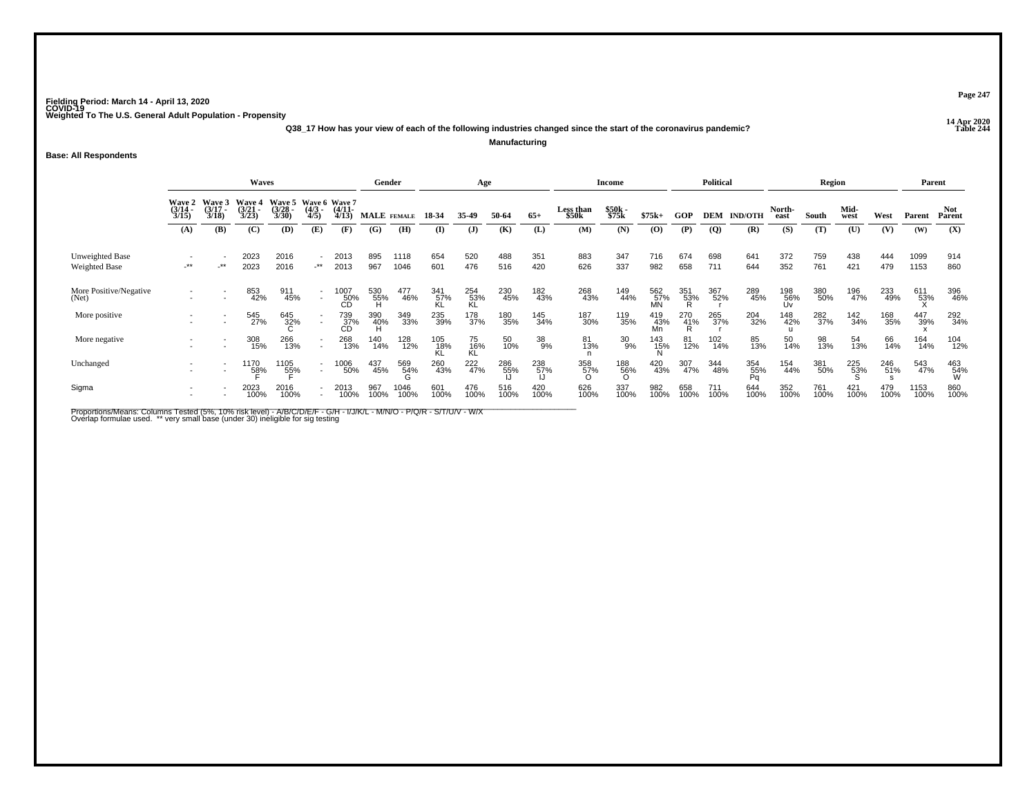**14 Apr 2020 Q38\_17 How has your view of each of the following industries changed since the start of the coronavirus pandemic?Manufacturing**

**Base: All Respondents**

|                                  |                                        |                                 | Gender                         |                                               |                                        | Age                   |             |              |             | Income             |             |             | <b>Political</b>   |                |                  | Region          |             |                | Parent           |             |              |             |              |                 |
|----------------------------------|----------------------------------------|---------------------------------|--------------------------------|-----------------------------------------------|----------------------------------------|-----------------------|-------------|--------------|-------------|--------------------|-------------|-------------|--------------------|----------------|------------------|-----------------|-------------|----------------|------------------|-------------|--------------|-------------|--------------|-----------------|
|                                  | <b>Wave 2</b><br>$\frac{(3/14)}{3/15}$ | Wave 3<br>$\frac{(3/17)}{3/18}$ | Wave 4<br>$\binom{3/21}{3/23}$ | Wave 5 Wave 6 Wave 7<br>$\frac{(3/28)}{3/30}$ | $\frac{(4/3)}{4/5}$                    | $\frac{(4/11)}{4/13}$ |             | MALE FEMALE  | 18-34       | 35-49              | 50-64       | $65+$       | Less than<br>\$50k | \$50k<br>\$75k | $$75k+$          | GOP             | <b>DEM</b>  | <b>IND/OTH</b> | North-<br>east   | South       | Mid-<br>west | West        | Parent       | Not<br>Parent   |
|                                  | (A)                                    | (B)                             | (C)                            | (D)                                           | (E)                                    | (F)                   | (G)         | (H)          | $($ I       | $\mathbf{J}$       | (K)         | (L)         | (M)                | (N)            | (0)              | (P)             | <b>(Q)</b>  | (R)            | (S)              | (T)         | (U)          | (V)         | (W)          | (X)             |
| Unweighted Base<br>Weighted Base | $^{\star\star}$                        | $-***$                          | 2023<br>2023                   | 2016<br>2016                                  | $\overline{\phantom{a}}$<br>$\cdot$ ** | 2013<br>2013          | 895<br>967  | 1118<br>1046 | 654<br>601  | 520<br>476         | 488<br>516  | 351<br>420  | 883<br>626         | 347<br>337     | 716<br>982       | 674<br>658      | 698<br>711  | 641<br>644     | 372<br>352       | 759<br>761  | 438<br>421   | 444<br>479  | 1099<br>1153 | 914<br>860      |
| More Positive/Negative           |                                        |                                 | 853<br>42%                     | 911<br>45%                                    | $\overline{\phantom{a}}$               | 1007<br>50%<br>CD     | 530<br>55%  | 477<br>46%   | 341<br>57%  | 254<br>53%<br>KL   | 230<br>45%  | 182<br>43%  | 268<br>43%         | 149<br>44%     | 562<br>57%<br>MN | 351<br>53%      | 367<br>52%  | 289<br>45%     | 198<br>56%<br>Uv | 380<br>50%  | 196<br>47%   | 233<br>49%  | 611<br>53%   | 396<br>46%      |
| More positive                    |                                        |                                 | 545<br>27%                     | 645<br>32%                                    |                                        | 739<br>_37%<br>CD     | 390<br>40%  | 349<br>33%   | 235<br>39%  | 178<br>37%         | 180<br>35%  | 145<br>34%  | 187<br>30%         | 119<br>35%     | 419<br>43%<br>Mn | $^{270}_{41\%}$ | 265<br>37%  | 204<br>32%     | 148<br>42%       | 282<br>37%  | 142<br>34%   | 168<br>35%  | 447<br>39%   | 292<br>34%      |
| More negative                    |                                        |                                 | 308<br>15%                     | 266<br>13%                                    | $\overline{\phantom{a}}$<br>٠          | 268<br>13%            | 140<br>14%  | 128<br>12%   | 105<br>18%  | 75<br>16%<br>KL    | 50<br>10%   | 38<br>9%    | 81<br>13%          | $^{30}_{9\%}$  | 143<br>15%<br>N  | 81<br>12%       | 102<br>14%  | 85<br>13%      | 50<br>14%        | 98<br>13%   | 54<br>13%    | 66<br>14%   | 164<br>14%   | 104<br>12%      |
| Unchanged                        |                                        |                                 | 1170<br>5 <u>8</u> %           | 1105<br>55%                                   | $\overline{\phantom{a}}$               | 1006<br>50%           | 437<br>45%  | 569<br>54%   | 260<br>43%  | 222 <sub>47%</sub> | 286<br>55%  | 238<br>57%  | 358<br>57%         | 188<br>56%     | 420<br>43%       | 307<br>47%      | 344<br>48%  | 354<br>_55%    | 154<br>44%       | 381<br>50%  | 225<br>53%   | 246<br>51%  | 543<br>47%   | 463<br>54%<br>W |
| Sigma                            |                                        |                                 | 2023<br>100%                   | 2016<br>100%                                  |                                        | 2013<br>100%          | 967<br>100% | 1046<br>100% | 601<br>100% | 476<br>100%        | 516<br>100% | 420<br>100% | 626<br>100%        | 337<br>100%    | 982<br>100%      | 658<br>100%     | 711<br>100% | 644<br>100%    | 352<br>100%      | 761<br>100% | 421<br>100%  | 479<br>100% | 1153<br>100% | 860<br>100%     |

Proportions/Means: Columns Tested (5%, 10% risk level) - A/B/C/D/E/F - G/H - I/J/K/L - M/N/O - P/Q/R - S/T/U/V - W/X<br>Overlap formulae used. \*\* very small base (under 30) ineligible for sig testing

**Page 247**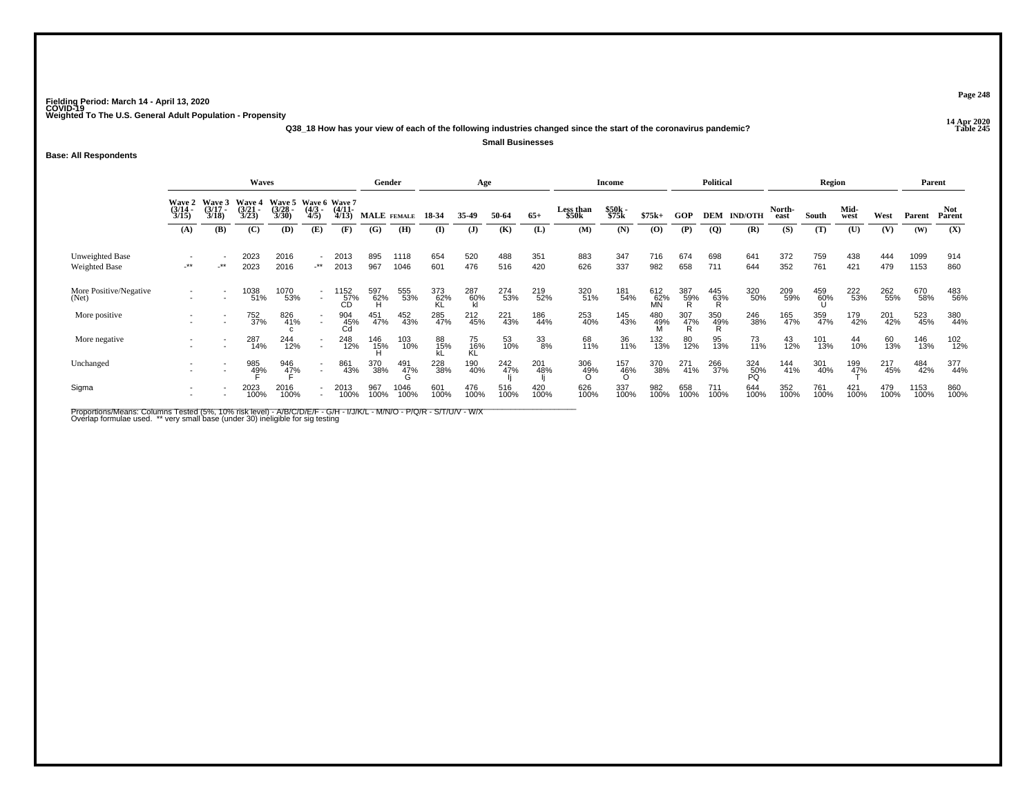**14 Apr 2020 Q38\_18 How has your view of each of the following industries changed since the start of the coronavirus pandemic?Small Businesses**

**Base: All Respondents**

|                                  |                                             |                                 | <b>Waves</b>                    |                                               |                                                      |                      |             | Gender       |              | Age              |             |             |                    | <b>Income</b>     |                         |             | <b>Political</b> |                    |                | Region      |                     |             | Parent       |                      |
|----------------------------------|---------------------------------------------|---------------------------------|---------------------------------|-----------------------------------------------|------------------------------------------------------|----------------------|-------------|--------------|--------------|------------------|-------------|-------------|--------------------|-------------------|-------------------------|-------------|------------------|--------------------|----------------|-------------|---------------------|-------------|--------------|----------------------|
|                                  | Wave 2<br>$\frac{(3/14)}{3/15}$             | Wave 3<br>$\frac{(3/17)}{3/18}$ | Wave 4<br>$\frac{(3/21)}{3/23}$ | Wave 5 Wave 6 Wave 7<br>$\frac{(3/28)}{3/30}$ | $\frac{(4/3)}{4/5}$                                  | $\binom{4/11}{4/13}$ |             | MALE FEMALE  | 18-34        | 35-49            | 50-64       | $65+$       | Less than<br>\$50k | \$50k<br>\$75k    | $$75k+$                 | <b>GOP</b>  |                  | <b>DEM IND/OTH</b> | North-<br>east | South       | Mid-<br>west        | West        | Parent       | <b>Not</b><br>Parent |
|                                  | (A)                                         | (B)                             | (C)                             | (D)                                           | (E)                                                  | (F)                  | (G)         | (H)          | $\mathbf{I}$ | $\mathbf{J}$     | (K)         | (L)         | (M)                | (N)               | $\mathbf{(O)}$          | (P)         | $\overline{Q}$   | (R)                | (S)            | (T)         | (U)                 | (V)         | (W)          | (X)                  |
| Unweighted Base<br>Weighted Base | $\overline{\phantom{a}}$<br>$^{\star\star}$ | $-***$                          | 2023<br>2023                    | 2016<br>2016                                  | ۰<br>$+$ **                                          | 2013<br>2013         | 895<br>967  | 1118<br>1046 | 654<br>601   | 520<br>476       | 488<br>516  | 351<br>420  | 883<br>626         | 347<br>337        | 716<br>982              | 674<br>658  | 698<br>711       | 641<br>644         | 372<br>352     | 759<br>761  | 438<br>421          | 444<br>479  | 1099<br>1153 | 914<br>860           |
| More Positive/Negative<br>(Net)  |                                             |                                 | 1038<br>51%                     | 1070<br>53%                                   | $\sim$                                               | 152<br>57%<br>CD     | 597<br>62%  | 555<br>53%   | 373<br>62%   | 287<br>60%<br>kl | 274<br>53%  | 219<br>52%  | 320<br>51%         | 181<br>54%        | 612<br>62%<br><b>MN</b> | 387<br>59%  | 445<br>63%<br>R  | 320<br>50%         | 209<br>59%     | 459<br>60%  | 222<br>53%          | 262<br>55%  | 670<br>58%   | 483<br>56%           |
| More positive                    |                                             |                                 | 752<br>37%                      | 826<br>41%                                    | $\sim$                                               | 904<br>45%<br>Cd     | 451<br>47%  | 452<br>43%   | 285<br>47%   | 212<br>45%       | 221<br>43%  | 186<br>44%  | 253<br>40%         | 145<br>43%        | 480<br>49%              | 307<br>47%  | 350<br>49%       | 246<br>38%         | 165<br>47%     | 359<br>47%  | 179<br>42%          | 201<br>42%  | 523<br>45%   | 380<br>44%           |
| More negative                    |                                             |                                 | 287<br>14%                      | 244<br>12%                                    | $\overline{\phantom{a}}$<br>$\overline{\phantom{a}}$ | 248<br>12%           | 146<br>15%  | 103<br>10%   | 88<br>15%    | 75<br>16%<br>KL  | 53<br>10%   | 33<br>8%    | 68<br>11%          | 36<br>11%         | 132<br>13%              | 80<br>12%   | 95<br>13%        | 73<br>11%          | 43<br>12%      | 101<br>13%  | 44<br>10%           | 60<br>13%   | 146<br>13%   | 102<br>12%           |
| Unchanged                        |                                             |                                 | 985<br>49%                      | 946<br>4 <u>7</u> %                           | $\sim$                                               | 861<br>43%           | 370<br>38%  | 491<br>47%   | 228<br>38%   | 190<br>40%       | 242<br>47%  | 201<br>48%  | 306<br>49%         | 157<br>-46%<br>-0 | 370<br>38%              | 271<br>41%  | 266<br>37%       | 324<br>50%<br>PÕ   | 144<br>41%     | 301<br>40%  | 199<br>4 <u>7</u> % | 217<br>45%  | 484<br>42%   | 377<br>44%           |
| Sigma                            |                                             |                                 | 2023<br>100%                    | 2016<br>100%                                  |                                                      | 2013<br>100%         | 967<br>100% | 1046<br>100% | 601<br>100%  | 476<br>100%      | 516<br>100% | 420<br>100% | 626<br>100%        | 337<br>100%       | 982<br>100%             | 658<br>100% | 711<br>100%      | 644<br>100%        | 352<br>100%    | 761<br>100% | 421<br>100%         | 479<br>100% | 1153<br>100% | 860<br>100%          |

Proportions/Means: Columns Tested (5%, 10% risk level) - A/B/C/D/E/F - G/H - I/J/K/L - M/N/O - P/Q/R - S/T/U/V - W/X<br>Overlap formulae used. \*\* very small base (under 30) ineligible for sig testing

**Page 248**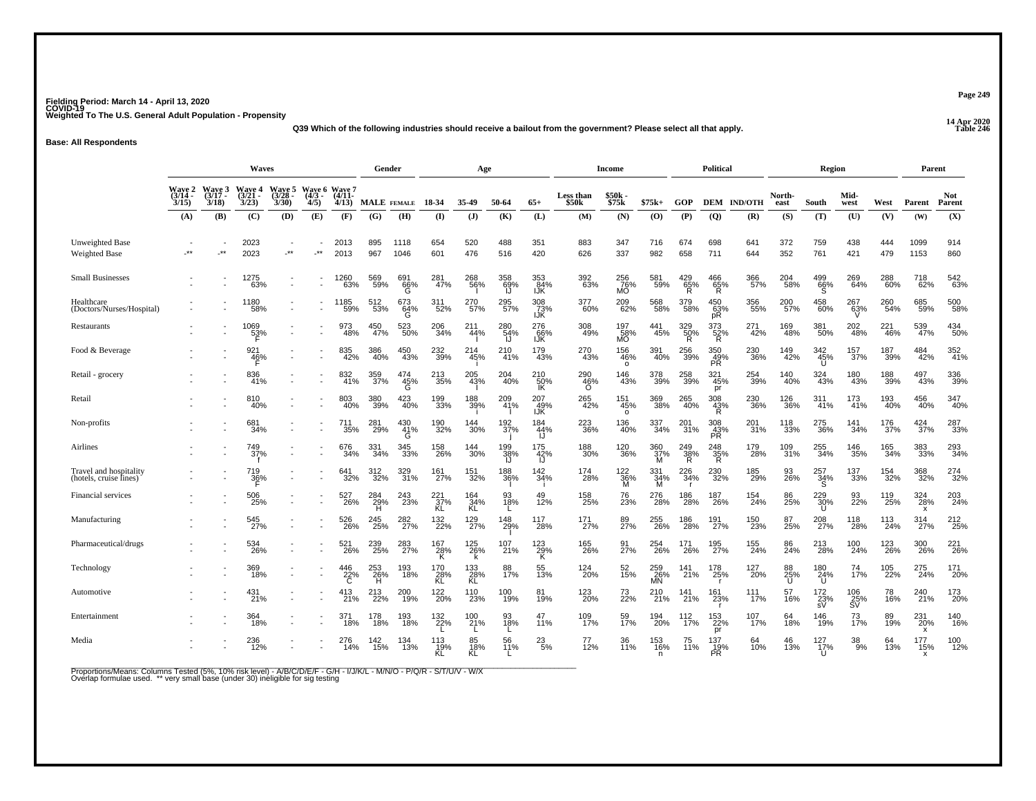**14 Apr 2020 Q39 Which of the following industries should receive a bailout from the government? Please select all that apply.**

**Base: All Respondents**

|                                                  |                                    |                         | Waves                          |                                        |            |                                         | Gender          |                 |                          | Age                |                       |                    |                        | <b>Income</b>                 |                  |                            | <b>Political</b>              |                    |                    | Region                   |                               |            | Parent                                       |                      |
|--------------------------------------------------|------------------------------------|-------------------------|--------------------------------|----------------------------------------|------------|-----------------------------------------|-----------------|-----------------|--------------------------|--------------------|-----------------------|--------------------|------------------------|-------------------------------|------------------|----------------------------|-------------------------------|--------------------|--------------------|--------------------------|-------------------------------|------------|----------------------------------------------|----------------------|
|                                                  | <b>Wave 2</b><br>$(3/14 -$<br>3/15 | Wave 3<br>(3/17<br>3/18 | <b>Wave 4</b><br>(3/21<br>3/23 | <b>Wave 5</b><br>$\frac{(3728)}{3/30}$ | 4/5)       | Wave 6 Wave 7<br>(4/3 - (4/11 -<br>4/13 | MALE FEMALE     |                 | 18 34                    | 35-49              | 50-64                 | $65+$              | Less than<br>\$50k     | $$50k-$<br>\$75k              | $$75k+$          | GOP                        |                               | <b>DEM IND/OTH</b> | North-<br>east     | South                    | Mid-<br>west                  | West       | Parent                                       | <b>Not</b><br>Parent |
|                                                  | (A)                                | (B)                     | (C)                            | (D)                                    | (E)        | (F)                                     | (G)             | (H)             | (I)                      | $($ $\bf{J}$       | (K)                   | (L)                | (M)                    | (N)                           | (O)              | (P)                        | (Q)                           | (R)                | (S)                | (T)                      | (U)                           | (V)        | (W)                                          | (X)                  |
| Unweighted Base<br><b>Weighted Base</b>          | $**$                               | $\pm$ *                 | 2023<br>2023                   | $\star\star$                           | $\cdot$ ** | 2013<br>2013                            | 895<br>967      | 1118<br>1046    | 654<br>601               | 520<br>476         | 488<br>516            | 351<br>420         | 883<br>626             | 347<br>337                    | 716<br>982       | 674<br>658                 | 698<br>711                    | 641<br>644         | 372<br>352         | 759<br>761               | 438<br>421                    | 444<br>479 | 1099<br>1153                                 | 914<br>860           |
| <b>Small Businesses</b>                          |                                    |                         | 1275<br>63%                    |                                        |            | 1260<br>63%                             | 569<br>59%      | 691<br>66%<br>G | 281<br>47%               | 268<br>56%         | 358<br>69%<br>IJ      | 353<br>84%<br>IJK  | 392<br>63%             | 256<br>76%<br>MO              | 581<br>59%       | $^{429}_{65\%}$<br>R       | $^{466}_{65\%}$ R             | 366<br>57%         | 204<br>58%         | $^{499}_{66\%}$          | 269<br>64%                    | 288<br>60% | 718<br>62%                                   | 542<br>63%           |
| Healthcare<br>(Doctors/Nurses/Hospital)          |                                    |                         | 1180<br>58%                    |                                        |            | 1185<br>59%                             | 512<br>53%      | 673<br>64%<br>G | 311<br>52%               | 270<br>57%         | 295<br>57%            | 308<br>73%<br>IJŘ  | 377<br>60%             | 209<br>62%                    | 568<br>58%       | 379<br>58%                 | $^{450}_{63\%}$ pR            | 356<br>55%         | 200 <sub>57%</sub> | 458<br>60%               | 267<br>63%                    | 260<br>54% | 685<br>59%                                   | 500<br>58%           |
| Restaurants                                      |                                    |                         | 1069<br>53%                    |                                        |            | 973<br>48%                              | 450<br>47%      | 523<br>50%      | 206<br>34%               | 211<br>44%         | 280<br>$\frac{54}{1}$ | 276<br>66%<br>IJK  | 308<br>49%             | 197<br>58%<br>MO              | 441<br>45%       | 329<br>$\frac{50}{R}$      | 373<br>$\frac{52}{R}$         | 271<br>42%         | 169<br>48%         | 381<br>50%               | 202<br>48%                    | 221<br>46% | 539<br>47%                                   | 434<br>50%           |
| Food & Beverage                                  |                                    |                         | 921<br>46%                     |                                        |            | 835<br>42%                              | 386<br>40%      | 450<br>43%      | 232<br>39%               | 214<br>45%         | 210<br>41%            | 179<br>43%         | 270<br>43%             | 156<br>46%<br>$\circ$         | 391<br>40%       | 256<br>39%                 | 350<br>$\frac{49}{9}$         | 230<br>36%         | 149<br>42%         | 342<br>45%<br>U          | 157<br>37%                    | 187<br>39% | 484<br>42%                                   | 352<br>41%           |
| Retail - grocery                                 |                                    |                         | 836<br>41%                     |                                        |            | 832<br>41%                              | 359<br>37%      | 474<br>45%<br>Ġ | 213<br>35%               | 205<br>43%         | 204<br>40%            | 210<br>50%<br>ΙK   | 290<br>46%<br>$\Omega$ | 146<br>43%                    | 378<br>39%       | 258<br>39%                 | 321<br>45%<br>pr              | 254<br>39%         | 140<br>40%         | 324<br>43%               | 180<br>43%                    | 188<br>39% | 497<br>43%                                   | 336<br>39%           |
| Retail                                           |                                    |                         | 810<br>40%                     |                                        |            | 803<br>40%                              | 380<br>39%      | 423<br>40%      | 199<br>33%               | 188<br>39%         | 209<br>41%            | 207<br>49%<br>IJŘ  | 265<br>42%             | $\frac{151}{45\%}$<br>$\circ$ | 369<br>38%       | 265<br>40%                 | $\frac{308}{43\%}$            | 230<br>36%         | 126<br>36%         | 311 <sub>%</sub>         | 173<br>41%                    | 193<br>40% | 456<br>40%                                   | 347<br>40%           |
| Non-profits                                      |                                    |                         | 681<br>34%                     |                                        |            | 711<br>35%                              | 281<br>29%      | 430<br>41%<br>G | 190<br>32%               | 144<br>30%         | 192<br>37%            | 184<br>44%<br>ij   | 223<br>36%             | 136<br>40%                    | 337<br>34%       | 201<br>31%                 | 308<br>$\frac{43}{PR}$        | 201<br>31%         | 118<br>33%         | 275<br>36%               | 141<br>34%                    | 176<br>37% | 424<br>37%                                   | 287<br>33%           |
| Airlines                                         |                                    |                         | 749<br>37%                     |                                        |            | 676<br>34%                              | 331<br>34%      | 345<br>33%      | 158<br>26%               | 144<br>30%         | 199<br>38%<br>IJ      | 175<br>42%<br>IJ   | 188<br>30%             | 120<br>36%                    | 360<br>37%<br>М  | $\frac{249}{38\%}$         | $\frac{248}{35\%}$            | 179<br>28%         | 109<br>31%         | $\substack{255 \\ 34\%}$ | 146<br>35%                    | 165<br>34% | 383<br>33%                                   | 293<br>34%           |
| Travel and hospitality<br>(hotels, cruise lines) |                                    |                         | 719<br>36%                     |                                        |            | 641<br>32%                              | 312%            | 329 %           | 161%                     | <sup>151</sup> 32% | 188<br>36%            | $\frac{142}{34\%}$ | 174<br>28%             | 122 %<br>M                    | 331<br>34%<br>M  | 226<br>34%<br>$\mathbf{r}$ | 230<br>32%                    | 185<br>29%         | 93<br>26%          | 257<br>34%<br>'S.        | <sup>137</sup> <sub>33%</sub> | 154<br>32% | 368                                          | 274<br>32%           |
| Financial services                               |                                    |                         | 506<br>25%                     |                                        |            | 527<br>26%                              | 284<br>29%<br>H | 243<br>23%      | 221<br>37%<br>KL         | 164<br>34%<br>KL   | 93<br>18%             | 49<br>12%          | 158<br>25%             | 76<br>23%                     | 276<br>28%       | 186<br>28%                 | 187<br>26%                    | 154<br>24%         | 86<br>25%          | 229<br>30%<br>U          | 93<br>22%                     | 119<br>25% | 324<br>28%<br>x                              | 203<br>24%           |
| Manufacturing                                    |                                    |                         | 545<br>27%                     |                                        |            | 526<br>26%                              | 245<br>25%      | 282<br>27%      | 132<br>22%               | 129<br>27%         | 148<br>29%            | 117<br>28%         | 171<br>27%             | 89<br>27%                     | 255<br>26%       | 186<br>28%                 | 191<br>27%                    | 150<br>23%         | 87<br>25%          | 208<br>27%               | 118<br>28%                    | 113<br>24% | 314<br>27%                                   | 212<br>25%           |
| Pharmaceutical/drugs                             |                                    |                         | 534<br>26%                     |                                        |            | 521<br>26%                              | 239<br>25%      | 283<br>27%      | 167<br>28%<br>Κ          | 125<br>26%<br>k    | 107<br>21%            | 123<br>29%<br>Κ    | 165<br>26%             | 91<br>27%                     | 254<br>26%       | 171<br>26%                 | 195<br>27%                    | 155<br>24%         | 86<br>24%          | 213<br>28%               | 100<br>24%                    | 123<br>26% | 300<br>26%                                   | 221<br>26%           |
| Technology                                       |                                    |                         | 369<br>18%                     |                                        |            | $^{446}_{22\%}$                         | 253<br>26%<br>н | 193<br>18%      | 170<br>28%<br>KL         | $^{133}_{28\%}$ KL | 88<br>17%             | 55<br>13%          | 124<br>20%             | 52<br>15%                     | 259<br>26%<br>MN | 141<br>21%                 | 178<br>25%<br>- r             | 127<br>20%         | 88<br>25%<br>U     | $^{180}_{24\%}$          | $^{74}_{17\%}$                | 105<br>22% | 275<br>24%                                   | 171<br>20%           |
| Automotive                                       |                                    |                         | 431<br>21%                     |                                        |            | 413<br>21%                              | 213<br>22%      | 200<br>19%      | 122<br>20%               | 110<br>23%         | 100<br>19%            | 81<br>19%          | 123<br>20%             | 73<br>22%                     | 210<br>21%       | 141<br>21%                 | 161<br>23%                    | 111<br>17%         | 57<br>16%          | 172<br>$\frac{25}{sV}$   | 106<br>$\frac{25}{5}$ %       | 78<br>16%  | 240<br>21%                                   | 173<br>20%           |
| Entertainment                                    |                                    |                         | 364<br>18%                     |                                        |            | 371<br>18%                              | 178<br>18%      | 193<br>18%      | 132<br>22%               | 100<br>21%         | 93<br>18%             | 47<br>11%          | 109<br>17%             | 59<br>17%                     | 194<br>20%       | 112<br>17%                 | 153<br>22%                    | 107<br>17%         | 64<br>18%          | 146<br>19%               | 73<br>17%                     | 89<br>19%  | 231<br>20%                                   | 140<br>16%           |
| Media                                            |                                    |                         | 236<br>12%                     |                                        |            | 276<br>14%                              | $^{142}_{15\%}$ | 134<br>13%      | $\frac{113}{19\%}$<br>KĹ | 85<br>18%<br>KĹ    | 56<br>11%             | $^{23}_{5\%}$      | 77<br>12%              | 36<br>11%                     | 153<br>16%<br>n  | 75<br>11%                  | pr<br>137<br>19%<br><b>PR</b> | 64<br>10%          | 46<br>13%          | 127/17%<br>$\mathbf{U}$  | $\frac{38}{9\%}$              | 64<br>13%  | x<br>177<br>15%<br>$\boldsymbol{\mathsf{x}}$ | 100<br>12%           |

Proportions/Means: Columns Tested (5%, 10% risk level) - A/B/C/D/E/F - G/H - I/J/K/L - M/N/O - P/Q/R - S/T/U/V - W/X<br>Overlap formulae used. \*\* very small base (under 30) ineligible for sig testing

**Page 249**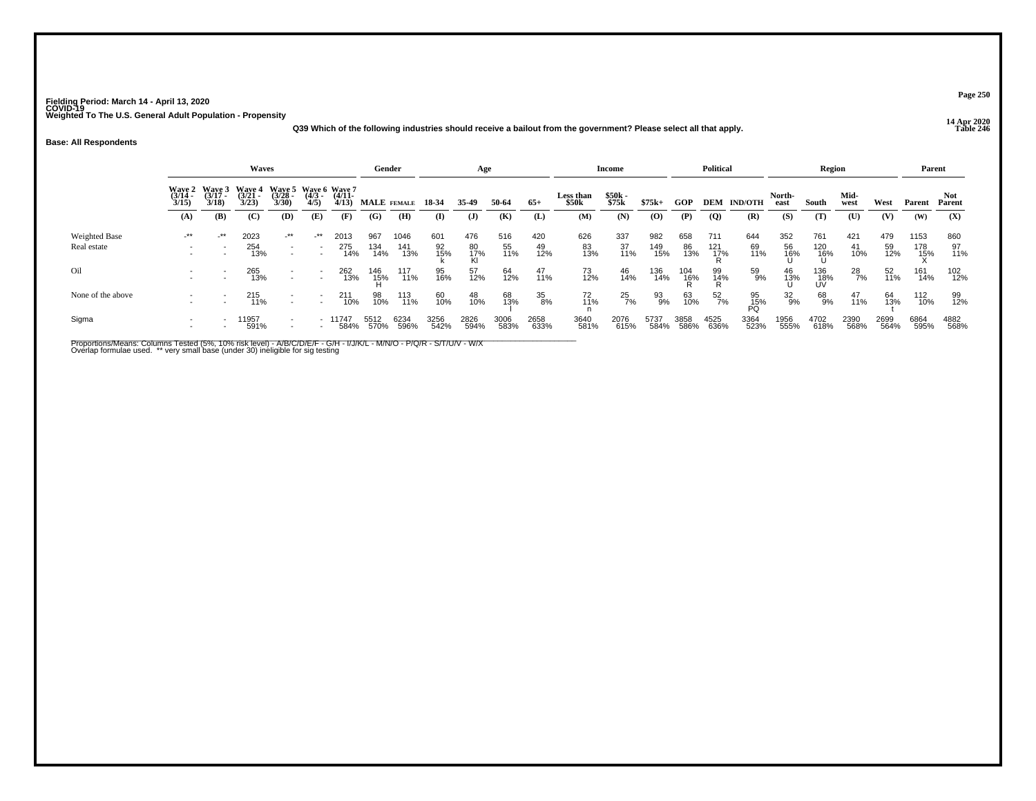**14 Apr 2020 Q39 Which of the following industries should receive a bailout from the government? Please select all that apply.**

#### **Base: All Respondents**

|                   |                                    |                             | <b>Waves</b>                                     |                   |                     |                   | Gender       |              |              | Age             |              |                |                    | Income         |              |              | <b>Political</b> |                    |                | Region           |              |              | Parent       |               |
|-------------------|------------------------------------|-----------------------------|--------------------------------------------------|-------------------|---------------------|-------------------|--------------|--------------|--------------|-----------------|--------------|----------------|--------------------|----------------|--------------|--------------|------------------|--------------------|----------------|------------------|--------------|--------------|--------------|---------------|
|                   | <b>Wave 2</b><br>$(3/14 -$<br>3/15 | Wave 3<br>$(3/17 -$<br>3/18 | Wave 4 Wave 5 Wave 6 Wave 7<br>$(3/21 -$<br>3/23 | $(3/28 -$<br>3/30 | $\frac{(4/3)}{4/5}$ | $(4/11 -$<br>4/13 | MALE FEMALE  |              | 18-34        | 35.49           | 50-64        | $65+$          | Less than<br>\$50k | \$50k<br>\$75k | $$75k+$      | GOP          |                  | <b>DEM IND/OTH</b> | North-<br>east | South            | Mid-<br>west | West         | Parent       | Not<br>Parent |
|                   | (A)                                | <b>(B)</b>                  | (C)                                              | (D)               | (E)                 | (F)               | (G)          | (H)          | $\bf{I}$     | $\mathbf{J}$    | (K)          | (L)            | (M)                | (N)            | $\bf{(0)}$   | (P)          | $\overline{Q}$   | (R)                | (S)            | (T)              | (U)          | (V)          | (W)          | (X)           |
| Weighted Base     | _**                                | $-***$                      | 2023                                             | $-***$            | _**                 | 2013              | 967          | 1046         | 601          | 476             | 516          | 420            | 626                | 337            | 982          | 658          | 711              | 644                | 352            | 761              | 421          | 479          | 1153         | 860           |
| Real estate       |                                    |                             | 254<br>13%                                       | $\sim$<br>$\sim$  |                     | 275<br>14%        | 134<br>14%   | 141<br>13%   | 92<br>15%    | 80<br>17%<br>Kl | 55<br>11%    | 49<br>12%      | 83<br>13%          | 37<br>11%      | 149<br>15%   | 86<br>13%    | $^{121}_{17\%}$  | 69<br>11%          | 56<br>16%      | 120<br>16%<br>U  | 41<br>10%    | 59<br>12%    | 178<br>15%   | 97<br>11%     |
| Oil               |                                    |                             | 265<br>13%                                       | ÷.                |                     | 262<br>13%        | 146<br>- 15% | 117<br>11%   | 95<br>16%    | 57<br>12%       | 64<br>12%    | $^{47}_{11\%}$ | $^{73}_{12\%}$     | 46<br>14%      | 136<br>14%   | 104<br>16%   | 99<br>14%<br>R   | 59<br>9%           | 46<br>13%      | 136<br>18%<br>UV | 28<br>7%     | 52<br>11%    | 161<br>14%   | 102<br>12%    |
| None of the above |                                    |                             | 215<br>11%                                       | $\sim$            |                     | 211<br>10%        | 98<br>10%    | 113<br>11%   | 60<br>10%    | 48<br>10%       | 68<br>13%    | 35<br>8%       | 72<br>11%          | 25<br>7%       | 93<br>9%     | 63<br>10%    | 52<br>7%         | $^{95}_{15\%}$     | 32<br>9%       | 68<br>9%         | 47<br>11%    | 64<br>13%    | 112<br>10%   | 99<br>12%     |
| Sigma             |                                    |                             | 1957<br>591%                                     | $\sim$            |                     | 11747<br>584%     | 5512<br>570% | 6234<br>596% | 3256<br>542% | 2826<br>594%    | 3006<br>583% | 2658<br>633%   | 3640<br>581%       | 2076<br>615%   | 5737<br>584% | 3858<br>586% | 4525<br>636%     | 3364<br>523%       | 1956<br>555%   | 4702<br>618%     | 2390<br>568% | 2699<br>564% | 6864<br>595% | 4882<br>568%  |

Proportions/Means: Columns Tested (5%, 10% risk level) - A/B/C/D/E/F - G/H - I/J/K/L - M/N/O - P/Q/R - S/T/U/V - W/X<br>Overlap formulae used. \*\* very small base (under 30) ineligible for sig testing

**Page 250**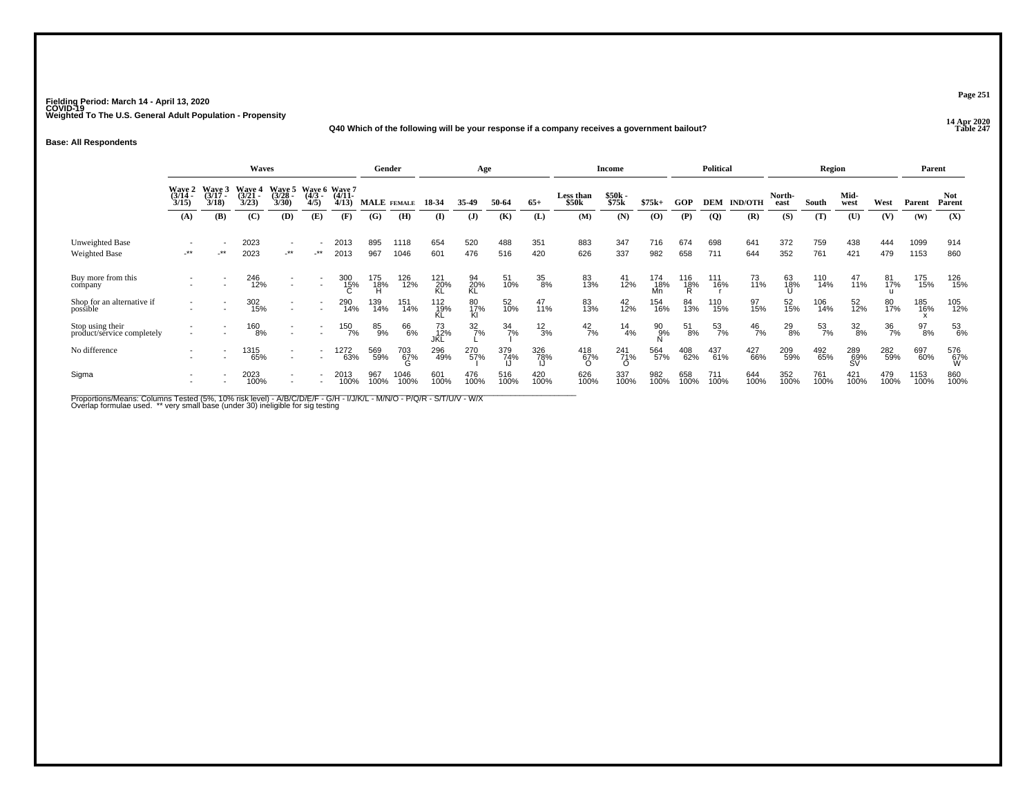### **14 Apr 2020 Q40 Which of the following will be your response if a company receives a government bailout?**

#### **Base: All Respondents**

|                                                |                                    |                                            | Waves                   |                          |                                    |                                      |             | Gender       |                   | Age                     |                  |              |                                       | <b>Income</b>          |                  |                          | <b>Political</b> |                |                | Region      |                  |             | Parent       |                      |
|------------------------------------------------|------------------------------------|--------------------------------------------|-------------------------|--------------------------|------------------------------------|--------------------------------------|-------------|--------------|-------------------|-------------------------|------------------|--------------|---------------------------------------|------------------------|------------------|--------------------------|------------------|----------------|----------------|-------------|------------------|-------------|--------------|----------------------|
|                                                | Wave 2<br>(3/14 -<br>3/15          | $\frac{\text{Wave}}{\frac{3}{17}}$<br>3/18 | Wave 4<br>(3/21<br>3/23 | Waye 5<br>(3/28<br>3/30  | 4/5                                | Wave 6 Wave 7<br>(4/3 (4/11-<br>4/13 |             | MALE FEMALE  | 18-34             | 35-49                   | 50-64            | $65+$        | <b>Less than</b><br>\$50 <sub>k</sub> | \$50k -<br>\$75k       | $$75k+$          | <b>GOP</b>               | DEM              | <b>IND/OTH</b> | North-<br>east | South       | Mid-<br>west     | West        | Parent       | <b>Not</b><br>Parent |
|                                                | (A)                                | (B)                                        | (C)                     | (D)                      | (E)                                | (F)                                  | (G)         | (H)          | $\mathbf{I}$      | $\mathbf{J}$            | (K)              | (L)          | (M)                                   | (N)                    | (0)              | (P)                      | $\overline{Q}$   | (R)            | (S)            | (T)         | (U)              | (V)         | (W)          | (X)                  |
| Unweighted Base<br>Weighted Base               | $\overline{\phantom{a}}$<br>$-***$ | $-***$                                     | 2023<br>2023            | $\sim$<br>$.**$          | $\overline{\phantom{a}}$<br>$-***$ | 2013<br>2013                         | 895<br>967  | 1118<br>1046 | 654<br>601        | 520<br>476              | 488<br>516       | 351<br>420   | 883<br>626                            | 347<br>337             | 716<br>982       | 674<br>658               | 698<br>711       | 641<br>644     | 372<br>352     | 759<br>761  | 438<br>421       | 444<br>479  | 1099<br>1153 | 914<br>860           |
| Buy more from this<br>company                  |                                    |                                            | 246<br>12%              | $\overline{\phantom{a}}$ | $\overline{\phantom{a}}$           | 300<br>15%                           | 175<br>18%  | 126<br>12%   | 121<br>20%        | 94<br>20%<br>KL         | 51<br>10%        | 35<br>8%     | 83<br>13%                             | 41<br>12%              | 174<br>18%<br>Mn | 116<br>1 <u>8</u> %<br>Ŕ | 111<br>16%       | 73<br>11%      | 63<br>18%      | 110<br>14%  | 47<br>11%        | 81<br>17%   | 175<br>15%   | 126<br>15%           |
| Shop for an alternative if<br>possible         |                                    |                                            | 302<br>15%              | $\overline{\phantom{a}}$ |                                    | 290<br>14%                           | 139<br>14%  | 151<br>14%   | 112 <sub>9%</sub> | 80 <sub>17%</sub><br>KI | 52 <sub>0%</sub> | 47<br>11%    | 83<br>13%                             | 42<br>12%              | 154<br>16%       | 84<br>13%                | 110<br>15%       | 97<br>15%      | 52<br>15%      | 106<br>14%  | 52<br>12%        | 80<br>17%   | 185<br>16%   | 105<br>12%           |
| Stop using their<br>product/service completely |                                    |                                            | 160<br>8%               |                          |                                    | 150<br>7%                            | 85<br>9%    | 66<br>6%     | 73<br>12%         | $\frac{32}{7\%}$        | $\frac{34}{7\%}$ | $^{12}_{3%}$ | $^{42}_{7\%}$                         | $\frac{14}{4%}$        | $^{90}_{9\%}$    | $\substack{51\8\%}$      | 53<br>7%         | $^{46}_{7\%}$  | $^{29}_{8\%}$  | 53<br>7%    | $\frac{32}{8\%}$ | 36<br>7%    | 97<br>8%     | 53<br>6%             |
| No difference                                  |                                    |                                            | 1315<br>65%             | $\overline{\phantom{a}}$ |                                    | 1272<br>63%                          | 569<br>59%  | 703<br>67%   | 296<br>49%        | 270<br>57%              | 379<br>74%       | 326<br>78%   | 418<br>67%                            | 241<br>71%<br>$\Omega$ | 564<br>57%       | 408<br>62%               | 437<br>61%       | 427<br>66%     | 209<br>59%     | 492<br>65%  | 289<br>69%       | 282<br>59%  | 697<br>60%   | 576<br>67%<br>W      |
| Sigma                                          |                                    |                                            | 2023<br>100%            | $\overline{\phantom{a}}$ |                                    | 2013<br>100%                         | 967<br>100% | 1046<br>100% | 601<br>100%       | 476<br>100%             | 516<br>100%      | 420<br>100%  | 626<br>100%                           | 337<br>100%            | 982<br>100%      | 658<br>100%              | 711<br>100%      | 644<br>100%    | 352<br>100%    | 761<br>100% | 421<br>100%      | 479<br>100% | 1153<br>100% | 860<br>100%          |

Proportions/Means: Columns Tested (5%, 10% risk level) - A/B/C/D/E/F - G/H - I/J/K/L - M/N/O - P/Q/R - S/T/U/V - W/X<br>Overlap formulae used. \*\* very small base (under 30) ineligible for sig testing

**Page 251**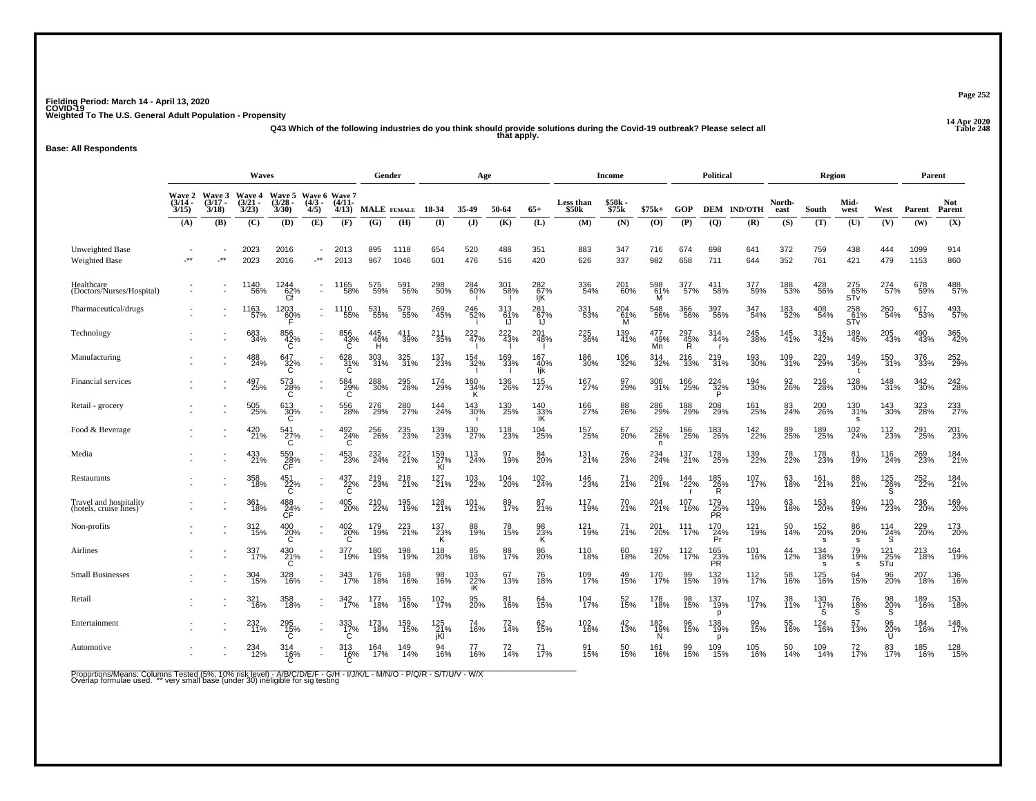**14 Apr 2020 Q43 Which of the following industries do you think should provide solutions during the Covid-19 outbreak? Please select all that apply.**

#### **Base: All Respondents**

|                                                  | <b>Waves</b><br>Wave 5 Wave 6 Wave 7 |                                           |                                    |                             |                                                  |                       |                 | Gender                  |                   | Age               |                     |                   |                    | Income           |                                 |                 | <b>Political</b>        |                               |                | Region                        |                        |                                          | Parent       |                      |
|--------------------------------------------------|--------------------------------------|-------------------------------------------|------------------------------------|-----------------------------|--------------------------------------------------|-----------------------|-----------------|-------------------------|-------------------|-------------------|---------------------|-------------------|--------------------|------------------|---------------------------------|-----------------|-------------------------|-------------------------------|----------------|-------------------------------|------------------------|------------------------------------------|--------------|----------------------|
|                                                  | $(3/14 -$<br>3/15                    | <b>Wave 2</b> Wave 3<br>$(3/17 -$<br>3/18 | <b>Wave 4</b><br>$(3/21 -$<br>3/23 | $(3/28 -$<br>3/30           | $(4/3 -$<br>4/5)                                 | $(4/11 -$<br>4/13)    | MALE FEMALE     |                         | 18-34             | 35-49             | 50-64               | $65+$             | Less than<br>\$50k | \$50k<br>\$75k   | $$75k+$                         | <b>GOP</b>      |                         | DEM IND/OTH                   | North-<br>east | South                         | Mid-<br>west           | West                                     | Parent       | <b>Not</b><br>Parent |
|                                                  | (A)                                  | (B)                                       | (C)                                | (D)                         | (E)                                              | (F)                   | (G)             | (H)                     | $($ $\Gamma$      | (J)               | (K)                 | (L)               | (M)                | (N)              | (O)                             | (P)             | (Q)                     | (R)                           | (S)            | (T)                           | (U)                    | (V)                                      | (W)          | (X)                  |
| <b>Unweighted Base</b><br><b>Weighted Base</b>   | $\cdot^{\star\star}$                 | $\cdot^{\star\star}$                      | 2023<br>2023                       | 2016<br>2016                | $\overline{\phantom{a}}$<br>$\cdot^{\star\star}$ | 2013<br>2013          | 895<br>967      | 1118<br>1046            | 654<br>601        | 520<br>476        | 488<br>516          | 351<br>420        | 883<br>626         | 347<br>337       | 716<br>982                      | 674<br>658      | 698<br>711              | 641<br>644                    | 372<br>352     | 759<br>761                    | 438<br>421             | 444<br>479                               | 1099<br>1153 | 914<br>860           |
| Healthcare<br>(Doctors/Nurses/Hospital)          |                                      | $\overline{\phantom{a}}$                  | 1140<br>56%                        | 1244<br>62%                 | $\sim$                                           | 1165<br>58%           | 575<br>59%      | 591<br>56%              | 298<br>50%        | 284<br>60%        | 301<br>58%          | 282<br>67%<br>ljΚ | 336<br>54%         | 201<br>60%       | 598<br>61%                      | 377<br>57%      | 411<br>58%              | 377<br>59%                    | 188<br>53%     | 428<br>56%                    | 275<br>$\frac{65}{51}$ | 274<br>57%                               | 678<br>59%   | 488<br>57%           |
| Pharmaceutical/drugs                             |                                      |                                           | 1163<br>57%                        | 1203<br>60%                 |                                                  | 1110<br>55%           | 531<br>55%      | 579<br>55%              | 269<br>45%        | 246<br>52%        | 313<br>61%<br>- ارا | 281<br>67%        | 331<br>53%         | 204<br>-61%<br>M | 548<br>56%                      | 366<br>56%      | 397<br>56%              | 347<br>54%                    | 183<br>52%     | 408<br>54%                    | 258<br>$\frac{61}{51}$ | 260<br>54%                               | 617<br>53%   | 493<br>57%           |
| Technology                                       |                                      |                                           | 683<br>34%                         | 856<br>42%<br>C             | $\sim$                                           | 856<br>43%<br>Ċ       | 445<br>46%<br>н | 411<br>39%              | 211<br>35%        | 222%              | 222 43%             | 201<br>48%        | 225<br>36%         | 139<br>41%       | 477<br>49%<br>Mn                | 297<br>45%<br>Ŕ | 314<br>44%              | 245<br>38%                    | 145<br>41%     | 316<br>42%                    | 189<br>45%             | 205<br>43%                               | 490<br>43%   | 365<br>42%           |
| Manufacturing                                    |                                      |                                           | 488<br>24%                         | 647<br>32%                  | $\blacksquare$                                   | 628<br>31%<br>C       | 303<br>31%      | 325<br>31%              | 137<br>23%        | 154<br>32%        | 169<br>33%          | 167<br>40%<br>Ijk | 186<br>30%         | 106<br>32%       | 314<br>32%                      | 216<br>33%      | 219<br>31%              | 193<br>30%                    | 109<br>31%     | 220<br>29%                    | 149<br>35%             | 150<br>31%                               | 376<br>33%   | 252<br>29%           |
| Financial services                               |                                      |                                           | 497<br>25%                         | 573<br>$\frac{28}{6}$       | $\blacksquare$                                   | 584<br>29%<br>C       | 288<br>30%      | 295<br>28%              | 174<br>29%        | 160<br>34%<br>ΪK. | 136<br>26%          | 115<br>27%        | 167<br>27%         | 97<br>29%        | 306<br>31%                      | 166<br>25%      | 224<br>$\frac{1}{32}$ % | 194<br>30%                    | 92<br>26%      | 216<br>28%                    | 128<br>30%             | 148<br>31%                               | 342<br>30%   | 242<br>28%           |
| Retail - grocery                                 |                                      | $\overline{\phantom{a}}$                  | 505<br>25%                         | 613<br>30%<br>C             |                                                  | 556<br>28%            | 276<br>29%      | 280<br>27%              | 144<br>24%        | 143<br>30%        | 130<br>25%          | 140<br>33%<br>IK  | 166<br>27%         | 88<br>26%        | 286<br>29%                      | 188<br>29%      | 208<br>29%              | 161<br>25%                    | 83<br>24%      | 200<br>26%                    | 130<br>31%<br><b>S</b> | 143<br>30%                               | 323<br>28%   | 233<br>27%           |
| Food & Beverage                                  |                                      |                                           | 420<br>21%                         | 541<br>$\overline{C}^{7\%}$ | $\overline{\phantom{a}}$                         | 492<br>24%<br>C       | 256<br>26%      | 235<br>23%              | 139<br>23%        | 130<br>27%        | 118<br>23%          | 104<br>25%        | 157<br>25%         | 67<br>20%        | $^{252}_{26\%}$<br>$\mathsf{n}$ | 166<br>25%      | 183<br>26%              | <sup>142</sup> <sub>22%</sub> | 89<br>25%      | 189<br>25%                    | $^{102}_{24\%}$        | <sup>112</sup> <sub>23</sub> %           | 291<br>25%   | 201<br>23%           |
| Media                                            |                                      |                                           | 433<br>21%                         | 559<br>$\frac{28}{C}$       |                                                  | 453<br>23%            | 232<br>24%      | 222<br>$\frac{1}{21}$ % | 159<br>27%<br>Kl  | 113<br>24%        | 97<br>19%           | 84<br>20%         | 131<br>21%         | 76<br>23%        | 234<br>24%                      | 137<br>21%      | 178<br>25%              | 139<br>22%                    | 78<br>22%      | 178<br>23%                    | 81<br>19%              | 116<br>24%                               | 269<br>23%   | 184<br>21%           |
| Restaurants                                      |                                      |                                           | 358<br>18%                         | 451<br>22%<br>C             |                                                  | 437<br>22%<br>C       | 219<br>23%      | 218<br>21%              | $^{127}_{21\%}$   | 103<br>22%        | 104<br>20%          | 102<br>24%        | 146<br>23%         | 71<br>21%        | 209<br>21%                      | 144<br>22%      | 185<br>26%<br>R.        | 107<br>17%                    | 63<br>18%      | 161<br>21%                    | 88<br>21%              | $^{125}_{26\%}$                          | 252<br>22%   | 184<br>21%           |
| Travel and hospitality<br>(hotels, cruise fines) |                                      |                                           | 361<br>18%                         | 488<br>24%                  |                                                  | 405<br>20%            | 210<br>22%      | 195<br>19%              | 128<br>21%        | 101 <sub>%</sub>  | 89<br>17%           | 87<br>21%         | 117<br>19%         | 70<br>21%        | 204<br>21%                      | 107<br>16%      | 179<br>25%<br>PR        | 120<br>19%                    | 63<br>18%      | <sup>153</sup> <sub>20%</sub> | 80<br>19%              | 110<br>23%                               | 236<br>20%   | 169<br>20%           |
| Non-profits                                      |                                      | $\overline{\phantom{a}}$                  | 312<br>15%                         | $^{400}_{20\%}$             | $\blacksquare$                                   | $^{402}_{20\%}$       | 179<br>19%      | 223<br>21%              | 137<br>23%<br>K   | 88<br>19%         | 78<br>15%           | 98<br>23%<br>ĸ    | 121<br>19%         | 71<br>21%        | 201<br>20%                      | 111<br>17%      | 170<br>$\frac{24}{P}$   | 121<br>19%                    | 50<br>14%      | 152<br>20%<br>s               | 86<br>20%<br>s.        | $^{114}_{24\%}$                          | 229<br>20%   | 173<br>20%           |
| Airlines                                         |                                      |                                           | 337<br>17%                         | 430<br>$^{21\%}_{C}$        | $\overline{\phantom{a}}$                         | 377<br>19%            | 180<br>19%      | 198<br>19%              | 118<br>20%        | 85<br>18%         | 88<br>17%           | 86<br>20%         | 110<br>18%         | 60<br>18%        | 197<br>20%                      | 112<br>17%      | 165<br>23%<br>PR        | 101<br>16%                    | 44<br>12%      | 134<br>18%<br><b>s</b>        | 79<br>19%<br>s         | $\substack{121 \\ 25\% \\ \mathsf{STu}}$ | 213<br>18%   | 164<br>19%           |
| <b>Small Businesses</b>                          |                                      |                                           | 304<br>15%                         | 328<br>16%                  | ÷.                                               | 343<br>17%            | 176<br>18%      | 168<br>16%              | 98<br>16%         | 103<br>22%<br>iK  | 67<br>13%           | 76<br>18%         | 109<br>17%         | 49<br>15%        | 170<br>17%                      | 99<br>15%       | 132<br>19%              | 112<br>17%                    | 58<br>16%      | 125<br>16%                    | 64<br>15%              | 96<br>20%                                | 207<br>18%   | 136<br>16%           |
| Retail                                           |                                      |                                           | 321<br>16%                         | 358<br>18%                  | $\overline{\phantom{a}}$                         | 342%                  | 177<br>18%      | 165<br>16%              | 102%              | 95<br>20%         | 81<br>16%           | 64<br>15%         | 104<br>17%         | 52<br>15%        | 178<br>18%                      | 98<br>15%       | 137<br>19%<br>D         | 107<br>17%                    | 38<br>11%      | $^{130}_{~17\%}$              | 76<br>18%<br>S         | 98<br>20%<br>S                           | 189<br>16%   | 153<br>18%           |
| Entertainment                                    |                                      |                                           | 11%                                | 295<br>$^{15\%}_{C}$        | $\sim$                                           | 333<br>$\frac{17}{6}$ | 173<br>18%      | 159<br>15%              | 125<br>21%<br>jKl | 74<br>16%         | 72<br>14%           | 62<br>15%         | 102<br>16%         | $^{42}_{13\%}$   | 182<br>19%<br>N                 | 96<br>15%       | 138<br>19%<br>p         | 99<br>15%                     | 55<br>16%      | 124<br>16%                    | 57<br>13%              | 96<br>$^{20}_{0}$ %                      | 184<br>16%   | 148<br>17%           |
| Automotive                                       |                                      |                                           | 234<br>12%                         | 314<br>$^{16\%}_{C}$        |                                                  | 313<br>16%            | 164<br>17%      | 149<br>14%              | 94<br>16%         | 77<br>16%         | 72<br>14%           | 71<br>17%         | 91<br>15%          | 50<br>15%        | 161<br>16%                      | 99<br>15%       | 109<br>15%              | 105<br>16%                    | 50<br>14%      | 109<br>14%                    | 72<br>17%              | 83<br>17%                                | 185<br>16%   | 128<br>15%           |

Proportions/Means: Columns Tested (5%, 10% risk level) - A/B/C/D/E/F - G/H - I/J/K/L - M/N/O - P/Q/R - S/T/U/V - W/X<br>Overlap formulae used. \*\* very small base (under 30) ineligible for sig testing

**Page 252**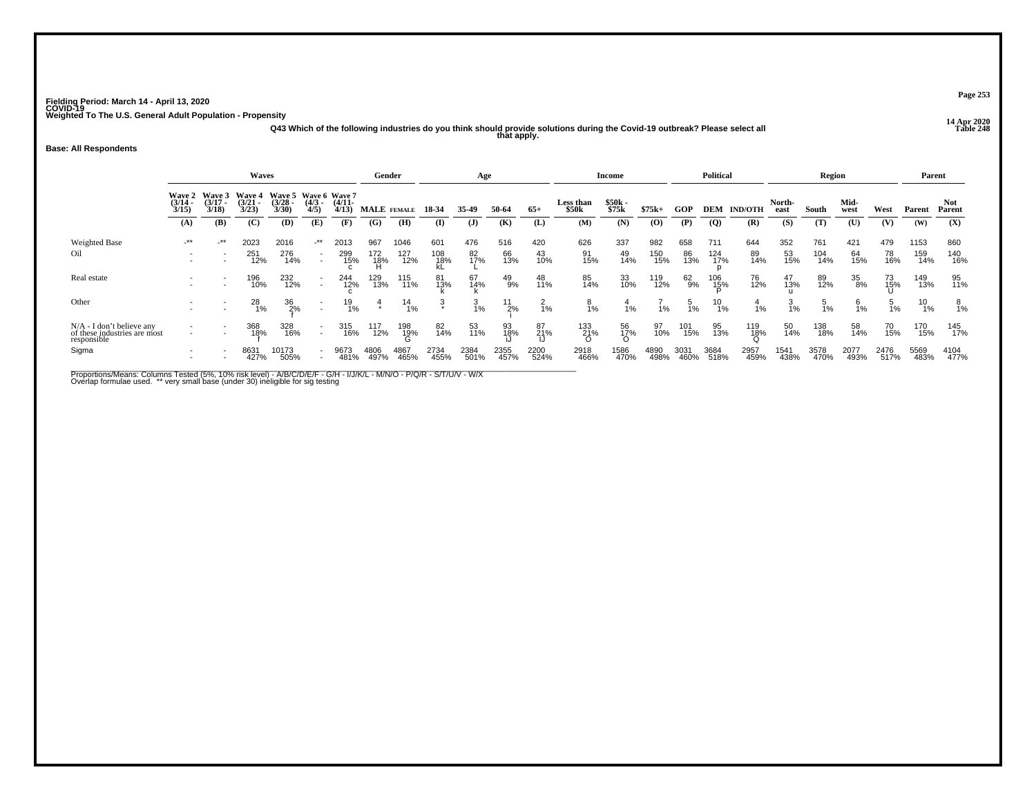**14 Apr 2020 Q43 Which of the following industries do you think should provide solutions during the Covid-19 outbreak? Please select all that apply.**

#### **Base: All Respondents**

|                                                                            |                                    |                             | <b>Waves</b>                       |                                           |                          |                    | Gender                 |                    |                   | Age              |                  |                  |                    | Income           |                   |                  | <b>Political</b>  |                     |                  | Region            |                  |                  | Parent             |                   |
|----------------------------------------------------------------------------|------------------------------------|-----------------------------|------------------------------------|-------------------------------------------|--------------------------|--------------------|------------------------|--------------------|-------------------|------------------|------------------|------------------|--------------------|------------------|-------------------|------------------|-------------------|---------------------|------------------|-------------------|------------------|------------------|--------------------|-------------------|
|                                                                            | <b>Wave 2</b><br>$(3/14 -$<br>3/15 | Wave 3<br>$(3/17 -$<br>3/18 | <b>Wave 4</b><br>$(3/21 -$<br>3/23 | Wave 5 Wave 6 Wave 7<br>$(3/28 -$<br>3/30 | $\frac{(4/3)}{4/5}$      | $(4/11 -$<br>4/13  | MALE FEMALE            |                    | 18-34             | 35-49            | 50-64            | $65+$            | Less than<br>\$50k | \$50k -<br>\$75k | $$75k+$           | GOP              | DEM               | <b>IND/OTH</b>      | North-<br>east   | South             | Mid-<br>west     | West             | Parent             | Not<br>Parent     |
|                                                                            | (A)                                | (B)                         | (C)                                | (D)                                       | (E)                      | (F)                | (G)                    | (H)                | $\bf{I}$          | (J)              | (K)              | (L)              | (M)                | (N)              | (O)               | (P)              | $\overline{Q}$    | (R)                 | (S)              | (T)               | (U)              | (V)              | (W)                | (X)               |
| Weighted Base<br>Oil                                                       | $-***$                             | _**                         | 2023<br>251<br>12%                 | 2016<br>276<br>14%                        | -**                      | 2013<br>299<br>15% | 967<br>172<br>18%<br>H | 1046<br>127<br>12% | 601<br>108<br>18% | 476<br>82<br>17% | 516<br>66<br>13% | 420<br>43<br>10% | 626<br>91<br>15%   | 337<br>49<br>14% | 982<br>150<br>15% | 658<br>86<br>13% | 711<br>124<br>17% | 644<br>89<br>14%    | 352<br>53<br>15% | 761<br>104<br>14% | 421<br>64<br>15% | 479<br>78<br>16% | 1153<br>159<br>14% | 860<br>140<br>16% |
| Real estate                                                                |                                    |                             | 196<br>10%                         | 232<br>12%                                | $\overline{\phantom{a}}$ | 244<br>12%         | 129<br>13%             | 115<br>11%         | 81<br>13%         | 67<br>14%        | 49<br>9%         | 48<br>11%        | 85<br>14%          | 33<br>10%        | 119<br>12%        | 62<br>9%         | 106<br>15%        | 76<br>12%           | 47<br>13%        | 89<br>12%         | 35<br>8%         | 73<br>15%        | 149<br>13%         | 95<br>11%         |
| Other                                                                      |                                    |                             | $^{28}_{1\%}$                      | 36<br>2%                                  |                          | 19<br>1%           | $\frac{4}{x}$          | $^{14}_{1\%}$      | ર્                | $\frac{3}{1\%}$  | 11<br>2%         | $\frac{2}{1}$ %  | ဗို<br>1%          | $\frac{4}{1%}$   | 1%                | $\frac{5}{1\%}$  | $^{10}_{1\%}$     | 1%                  | $\frac{3}{1%}$   | 1%                | წ<br>1%          | 5<br>1%          | 10<br>1%           | 8<br>1%           |
| $N/A - I$ don't believe any<br>of these industries are most<br>responsible |                                    |                             | 368<br>18%                         | 328<br>16%                                | $\overline{\phantom{a}}$ | 315<br>16%         | 117<br>12%             | 198<br>19%         | 82<br>14%         | 53<br>11%        | 93<br>18%        | 87<br>21%        | 133<br>21%         | 56<br>17%<br>O   | 97<br>10%         | 101<br>15%       | 95<br>13%         | 119<br>1 <u>8</u> % | 50<br>14%        | 138<br>18%        | 58<br>14%        | 70<br>15%        | 170<br>15%         | 145<br>17%        |
| Sigma                                                                      | $\overline{\phantom{0}}$           |                             | 8631<br>427%                       | 10173<br>505%                             |                          | 9673<br>481%       | 4806<br>497%           | 4867<br>465%       | 2734<br>455%      | 2384<br>501%     | 2355<br>457%     | 2200<br>524%     | 2918<br>466%       | 1586<br>470%     | 4890<br>498%      | 3031<br>460%     | 3684<br>518%      | 2957<br>459%        | 1541<br>438%     | 3578<br>470%      | 2077<br>493%     | 2476<br>517%     | 5569<br>483%       | 4104<br>477%      |

Proportions/Means: Columns Tested (5%, 10% risk level) - A/B/C/D/E/F - G/H - I/J/K/L - M/N/O - P/Q/R - S/T/U/V - W/X<br>Overlap formulae used. \*\* very small base (under 30) ineligible for sig testing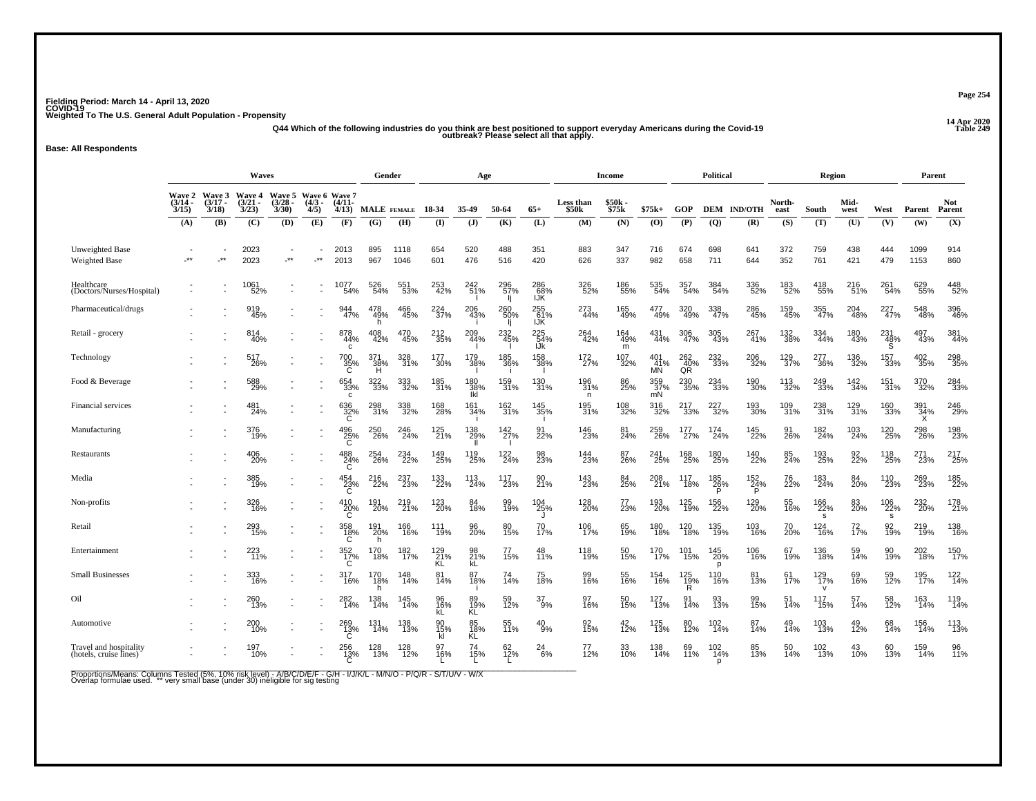## **14 Apr 2020 Q44 Which of the following industries do you think are best positioned to support everyday Americans during the Covid-19 Table 249 outbreak? Please select all that apply.**

**Base: All Respondents**

|                                                  |                                    |                                    | <b>Waves</b>                           |                                 |                                   |                      | Gender                  |              |                      | Age                      |                   |                   |                    | <b>Income</b>   |                          |                         | Political       |                          |                | Region                        |                 |                 | Parent          |                      |
|--------------------------------------------------|------------------------------------|------------------------------------|----------------------------------------|---------------------------------|-----------------------------------|----------------------|-------------------------|--------------|----------------------|--------------------------|-------------------|-------------------|--------------------|-----------------|--------------------------|-------------------------|-----------------|--------------------------|----------------|-------------------------------|-----------------|-----------------|-----------------|----------------------|
|                                                  | <b>Wave 2</b><br>$(3/14 -$<br>3/15 | <b>Wave 3</b><br>$(3/17 -$<br>3/18 | <b>Wave 4</b><br>$\frac{(3/21)}{3/23}$ | Wave 5<br>$\frac{(3/28)}{3/30}$ | Wave 6 Wave 7<br>$(4/3 -$<br>4/5) | $(4/11 -$<br>4/13    | MALE FEMALE             |              | 18 34                | 35.49                    | 50-64             | $65+$             | Less than<br>\$50k | \$50k<br>\$75k  | $$75k+$                  | <b>GOP</b>              | <b>DEM</b>      | <b>IND/OTH</b>           | North-<br>east | South                         | Mid-<br>west    | West            | Parent          | <b>Not</b><br>Parent |
|                                                  | (A)                                | (B)                                | (C)                                    | (D)                             | (E)                               | (F)                  | (G)                     | (H)          | $($ I                | $($ $)$                  | (K)               | (L)               | (M)                | (N)             | (O)                      | (P)                     | (Q)             | (R)                      | (S)            | (T)                           | (U)             | (V)             | (W)             | (X)                  |
| Unweighted Base<br><b>Weighted Base</b>          | $***$                              | $\star\star$                       | 2023<br>2023                           | $\cdot^{\star\star}$            | $\star\star$                      | 2013<br>2013         | 895<br>967              | 1118<br>1046 | 654<br>601           | 520<br>476               | 488<br>516        | 351<br>420        | 883<br>626         | 347<br>337      | 716<br>982               | 674<br>658              | 698<br>711      | 641<br>644               | 372<br>352     | 759<br>761                    | 438<br>421      | 444<br>479      | 1099<br>1153    | 914<br>860           |
| Healthcare<br>(Doctors/Nurses/Hospital)          |                                    |                                    | 1061<br>52%                            |                                 |                                   | 1077<br>54%          | 526<br>54%              | 551<br>53%   | 253<br>42%           | 242<br>51%               | 296<br>57%        | 286<br>68%<br>IJŘ | 326<br>52%         | 186<br>55%      | 535<br>54%               | 357<br>54%              | 384<br>54%      | 336<br>52%               | 183<br>52%     | 418<br>55%                    | 216<br>51%      | 261<br>54%      | 629<br>55%      | 448<br>52%           |
| Pharmaceutical/drugs                             |                                    |                                    | 919<br>45%                             |                                 |                                   | 944<br>47%           | 478<br>49%<br>h         | 466<br>45%   | 224<br>37%           | 206<br>43%               | 260<br>50%<br>-li | 255<br>61%<br>IJK | 273<br>44%         | 165<br>49%      | 477<br>49%               | 320<br>49%              | 338<br>47%      | 286<br>45%               | 159<br>45%     | 355<br>47%                    | 204<br>48%      | 227<br>47%      | 548<br>48%      | 396<br>46%           |
| Retail - grocery                                 |                                    |                                    | 814<br>40%                             |                                 |                                   | 878<br>44%<br>C.     | 408<br>42%              | 470<br>45%   | 212<br>35%           | 209<br>44%               | 232<br>45%        | 225<br>54%<br>IJk | 264<br>42%         | 164<br>49%<br>m | 431<br>44%               | 306<br>47%              | 305<br>43%      | 267<br>41%               | 132<br>38%     | 334<br>44%                    | 180<br>43%      | $^{231}_{48\%}$ | 497<br>43%      | 381<br>44%           |
| Technology                                       |                                    |                                    | 517<br>26%                             |                                 |                                   | 700<br>35%<br>C      | 371<br>$\frac{38\%}{H}$ | 328<br>31%   | 177<br>30%           | 179<br>38%               | 185<br>36%        | 158<br>38%        | 172<br>27%         | 107<br>32%      | 401<br>$\frac{41\%}{MN}$ | 262<br>$\frac{40}{9}$ % | 232<br>33%      | 206<br>32%               | 129<br>37%     | 277<br>36%                    | 136<br>32%      | 157<br>33%      | 402<br>35%      | 298<br>35%           |
| Food & Beverage                                  |                                    |                                    | 588<br>29%                             |                                 |                                   | 654<br>33%<br>C.     | 322<br>33%              | 333<br>32%   | 185<br>31%           | 180<br>38%<br><b>Ikl</b> | 159<br>31%        | 130<br>31%        | 196<br>31%<br>n.   | 86<br>25%       | 359<br>37%<br>mN         | 230<br>35%              | 234<br>33%      | 190<br>30%               | 113<br>32%     | 249<br>33%                    | 142<br>34%      | 151<br>31%      | 370<br>32%      | 284<br>33%           |
| Financial services                               |                                    |                                    | 481<br>24%                             |                                 |                                   | 636<br>32%<br>C      | 298<br>31%              | 338<br>32%   | 168<br>28%           | 161<br>34%               | 162<br>31%        | 145<br>35%        | 195<br>31%         | 108<br>32%      | 316<br>32%               | 217<br>33%              | 227<br>32%      | 193<br>30%               | 109<br>31%     | 238<br>31%                    | 129<br>31%      | 160<br>33%      | 391<br>34%<br>X | 246<br>29%           |
| Manufacturing                                    |                                    |                                    | 376<br>19%                             |                                 |                                   | 496<br>25%<br>Ċ      | 250<br>26%              | 246<br>24%   | 125<br>21%           | 138<br>29%               | $^{142}_{27\%}$   | 22%               | 146<br>23%         | 81<br>24%       | 259<br>26%               | 177<br>27%              | 174<br>24%      | <sup>145</sup> 22%       | 91<br>26%      | 182<br>24%                    | 103<br>24%      | 120<br>25%      | 298<br>26%      | 198<br>23%           |
| Restaurants                                      |                                    |                                    | 406<br>20%                             |                                 |                                   | 488<br>24%<br>C      | 254<br>26%              | 234<br>22%   | 149<br>25%           | 119<br>25%               | 122<br>24%        | 98<br>23%         | 144<br>23%         | 87<br>26%       | 241<br>25%               | 168<br>25%              | 180<br>25%      | 140<br>22%               | 85<br>24%      | 193<br>25%                    | 92 <sub>%</sub> | 118<br>25%      | 271<br>23%      | 217<br>25%           |
| Media                                            |                                    |                                    | 385<br>19%                             |                                 |                                   | 454<br>23%<br>C      | 216<br>22%              | 237<br>23%   | 133<br>22%           | $^{113}_{24\%}$          | 117<br>23%        | 90<br>21%         | 143<br>23%         | 84<br>25%       | 208<br>21%               | 117<br>18%              | 185<br>26%<br>P | $\frac{152}{24\%}$<br>ĪP | 76<br>22%      | 183<br>24%                    | 84<br>20%       | 110<br>23%      | 269<br>23%      | 185<br>22%           |
| Non-profits                                      |                                    |                                    | 326<br>16%                             |                                 |                                   | $^{410}_{20\%}$<br>C | 191<br>20%              | 219<br>21%   | 123<br>20%           | 84<br>18%                | 99<br>19%         | 104<br>25%<br>J   | 128<br>20%         | 77<br>23%       | 193<br>20%               | 125<br>19%              | 156<br>22%      | 129<br>20%               | 55<br>16%      | 166<br>22%<br>s               | 83<br>20%       | 106<br>22%<br>s | 232<br>20%      | 178<br>21%           |
| Retail                                           |                                    |                                    | 293<br>15%                             |                                 |                                   | 358<br>18%<br>C      | 191<br>20%              | 166<br>16%   | 111<br>19%           | 96<br>20%                | 80<br>15%         | 70<br>17%         | 106<br>17%         | 65<br>19%       | 180<br>18%               | 120<br>18%              | 135<br>19%      | 103<br>16%               | 70<br>20%      | 124<br>76%                    | 72<br>17%       | 92<br>19%       | 219<br>19%      | 138<br>16%           |
| Entertainment                                    |                                    |                                    | 223<br>11%                             |                                 |                                   | 352<br>17%<br>C      | 170<br>18%              | 182<br>17%   | 129<br>21%<br>ΚĹ     | 98<br>21%<br>kL          | 77<br>15%         | 48<br>11%         | 118<br>19%         | 50<br>15%       | 170<br>17%               | 101<br>15%              | 145<br>20%      | 106<br>16%               | 67<br>19%      | 136<br>18%                    | 59<br>14%       | 90<br>19%       | 202<br>18%      | 150<br>17%           |
| <b>Small Businesses</b>                          |                                    |                                    | 333<br>16%                             |                                 |                                   | 317<br>16%           | 170<br>18%<br>h         | 148<br>14%   | 81<br>14%            | 87<br>18%                | 74<br>14%         | 75<br>18%         | 99<br>16%          | 55<br>16%       | 154<br>16%               | 125<br>19%<br>R         | p<br>110<br>16% | 81<br>13%                | 61<br>17%      | 129<br>17%<br>$\mathsf{V}$    | 69<br>16%       | 59<br>12%       | 195<br>17%      | $\frac{122}{14\%}$   |
| Oil                                              |                                    |                                    | 260<br>13%                             |                                 |                                   | 282<br>14%           | 138<br>14%              | 145<br>14%   | 96<br>16%<br>kĹ      | 89<br>19%<br>KL          | 59<br>12%         | $\frac{37}{9\%}$  | 97<br>16%          | 50<br>15%       | 127<br>13%               | 14%                     | 93<br>13%       | 99<br>15%                | 51<br>14%      | <sup>117</sup> <sub>15%</sub> | 57<br>14%       | 58<br>12%       | 163<br>14%      | 119<br>14%           |
| Automotive                                       |                                    |                                    | 200<br>10%                             |                                 |                                   | 269<br>13%<br>C      | 131<br>14%              | 138<br>13%   | 90<br>$\frac{15}{k}$ | 85<br>18%<br>KL          | 55<br>11%         | 40<br>9%          | 92<br>15%          | 42<br>12%       | 125<br>13%               | 80<br>12%               | 102<br>14%      | 87<br>14%                | 49<br>14%      | 103<br>13%                    | 49<br>12%       | 68<br>14%       | 156<br>14%      | 113<br>13%           |
| Travel and hospitality<br>(hotels, cruise fines) |                                    |                                    | 197<br>10%                             |                                 |                                   | 256<br>13%           | 128<br>13%              | 128<br>12%   | 97<br>16%            | 74<br>15%                | 62<br>12%         | 24<br>6%          | 77<br>12%          | 33<br>10%       | 138<br>14%               | 69<br>11%               | 102<br>14%<br>p | 85<br>13%                | 50<br>14%      | 102<br>13%                    | 43<br>10%       | 60<br>13%       | 159<br>14%      | 96<br>11%            |

Proportions/Means: Columns Tested (5%, 10% risk level) - A/B/C/D/E/F - G/H - I/J/K/L - M/N/O - P/Q/R - S/T/U/V - W/X<br>Overlap formulae used. \*\* very small base (under 30) ineligible for sig testing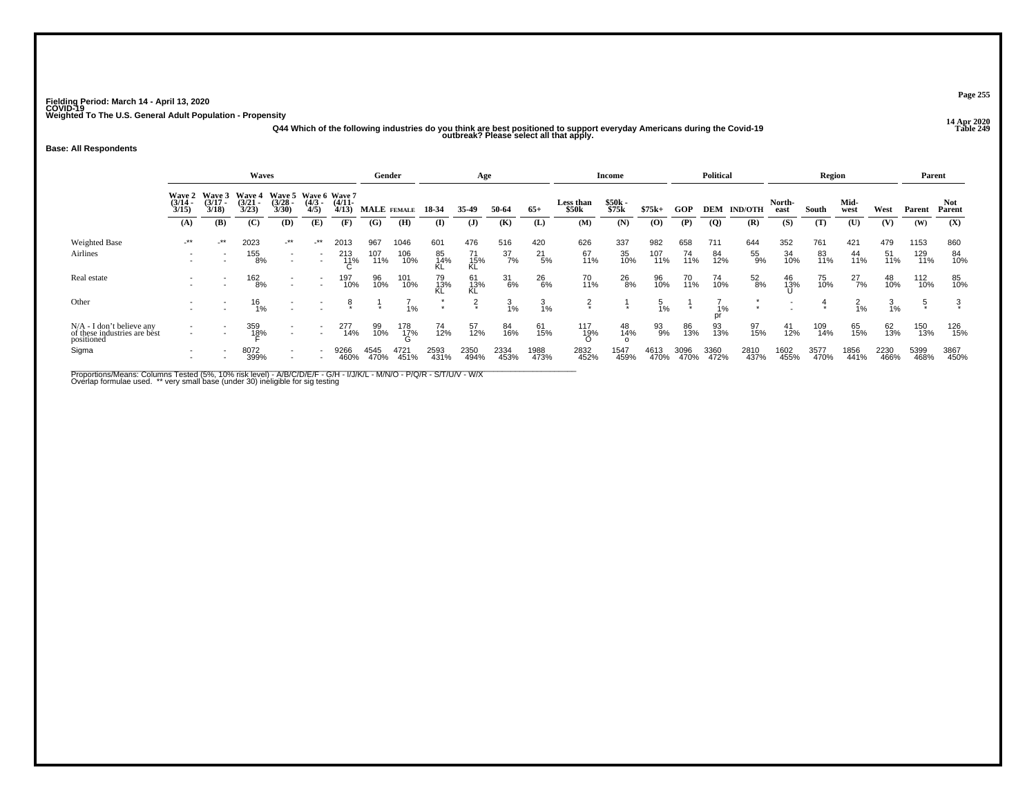**14 Apr 2020 Q44 Which of the following industries do you think are best positioned to support everyday Americans during the Covid-19 Table 249 outbreak? Please select all that apply.**

### **Base: All Respondents**

|                                                                           | <b>Waves</b>                           |                             |                                    |                                                      |                     |              | Gender            |                 |                 | Age               |              |                 |                     | Income            |                 |              | <b>Political</b> |                |                | Region       |               |                | Parent       |               |
|---------------------------------------------------------------------------|----------------------------------------|-----------------------------|------------------------------------|------------------------------------------------------|---------------------|--------------|-------------------|-----------------|-----------------|-------------------|--------------|-----------------|---------------------|-------------------|-----------------|--------------|------------------|----------------|----------------|--------------|---------------|----------------|--------------|---------------|
|                                                                           | <b>Wave 2</b><br>$\frac{(3/14)}{3/15}$ | Wave 3<br>$(3/17 -$<br>3/18 | <b>Wave 4</b><br>$(3/21 -$<br>3/23 | Wave 5 Wave 6 Wave 7<br>$(3/28 -$<br>3/30            | $\frac{(4/3)}{4/5}$ | $(4/11 -$    | 4/13) MALE FEMALE |                 | 18 34           | 35-49             | 50-64        | $65+$           | Less than<br>\$50k  | $$50k -$<br>\$75k | $$75k+$         | GOP          | <b>DEM</b>       | <b>IND/OTH</b> | North-<br>east | South        | Mid-<br>west  | West           | Parent       | Not<br>Parent |
|                                                                           | (A)                                    | (B)                         | (C)                                | (D)                                                  | (E)                 | (F)          | (G)               | (H)             | $\bf(I)$        | $\mathbf{J}$      | (K)          | (L)             | (M)                 | (N)               | $\bf{(0)}$      | (P)          | $\overline{Q}$   | (R)            | (S)            | (T)          | (U)           | (V)            | (W)          | (X)           |
| <b>Weighted Base</b>                                                      | $-***$                                 | $-***$                      | 2023                               | $-***$                                               | $\cdot$ **          | 2013         | 967               | 1046            | 601             | 476               | 516          | 420             | 626                 | 337               | 982             | 658          | 711              | 644            | 352            | 761          | 421           | 479            | 1153         | 860           |
| Airlines                                                                  |                                        |                             | 155<br>8%                          | $\overline{\phantom{a}}$                             |                     | 213<br>11%   | 107<br>11%        | 106<br>10%      | 85<br>14%<br>KL | $\frac{71}{15\%}$ | 37<br>7%     | $^{21}_{5\%}$   | 67<br>11%           | 35<br>10%         | 107<br>11%      | 74<br>11%    | 84<br>12%        | 55<br>9%       | 34<br>10%      | 83<br>11%    | 44<br>11%     | 51<br>11%      | 129<br>11%   | 84<br>10%     |
| Real estate                                                               |                                        |                             | 162<br>8%                          | $\overline{\phantom{a}}$                             |                     | 197<br>10%   | 96<br>10%         | 101<br>10%      | 79<br>13%<br>KL | 61<br>13%<br>KL   | 31<br>6%     | 26<br>6%        | 70<br>11%           | 26<br>8%          | 96<br>10%       | 70<br>11%    | 74<br>10%        | 52<br>8%       | 46<br>13%      | 75<br>10%    | $^{27}_{7\%}$ | 48<br>10%      | 112<br>10%   | 85<br>10%     |
| Other                                                                     |                                        |                             | $^{16}_{1\%}$                      |                                                      |                     | 8            |                   | 1%              |                 | $\frac{2}{x}$     | 3<br>1%      | $\frac{3}{1\%}$ | $\frac{2}{x}$       |                   | $\frac{5}{1\%}$ | $\star$      | 1%<br>pr         |                |                |              | خ<br>1%       | $\frac{3}{1%}$ |              |               |
| $N/A - I$ don't believe any<br>of these industries are best<br>positioned |                                        |                             | 359<br>18%                         | $\sim$                                               |                     | 277<br>14%   | 99<br>10%         | $^{178}_{17\%}$ | 74<br>12%       | 57<br>12%         | 84<br>16%    | 61<br>15%       | 117<br>1 <u>9</u> % | 48<br>14%         | 93<br>9%        | 86<br>13%    | 93<br>13%        | 97<br>15%      | 41<br>12%      | 109<br>14%   | 65<br>15%     | 62<br>13%      | 150<br>13%   | 126<br>15%    |
| Sigma                                                                     |                                        |                             | 8072<br>399%                       | $\overline{\phantom{a}}$<br>$\overline{\phantom{a}}$ |                     | 9266<br>460% | 4545<br>470%      | 4721<br>451%    | 2593<br>431%    | 2350<br>494%      | 2334<br>453% | 1988<br>473%    | 2832<br>452%        | 1547<br>459%      | 4613<br>470%    | 3096<br>470% | 3360<br>472%     | 2810<br>437%   | 1602<br>455%   | 3577<br>470% | 1856<br>441%  | 2230<br>466%   | 5399<br>468% | 3867<br>450%  |

Proportions/Means: Columns Tested (5%, 10% risk level) - A/B/C/D/E/F - G/H - I/J/K/L - M/N/O - P/Q/R - S/T/U/V - W/X<br>Overlap formulae used. \*\* very small base (under 30) ineligible for sig testing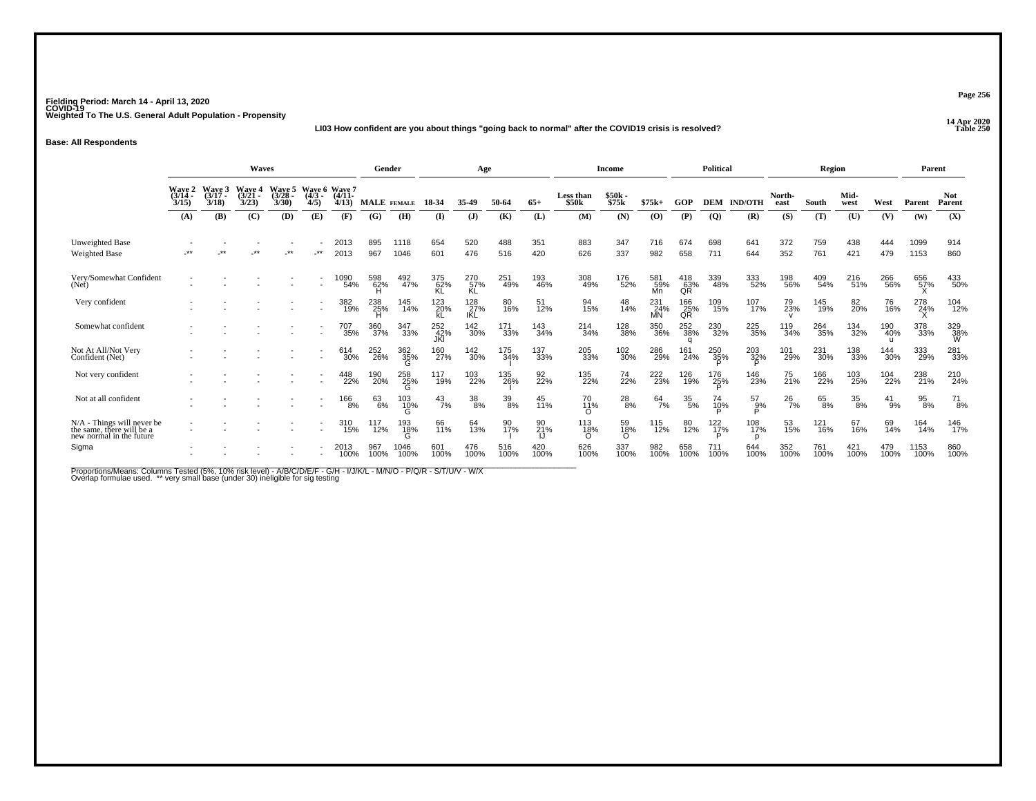### **14 Apr 2020 LI03 How confident are you about things "going back to normal" after the COVID19 crisis is resolved?**

**Base: All Respondents**

|                                                                                       |                                    |                             | <b>Waves</b>                       |                             |                                  |                   | Gender             |                 |                   | Age                |             |             |                                | <b>Income</b>    |                         |                        | <b>Political</b>   |                    |                | Region      |               |                            | Parent       |                 |
|---------------------------------------------------------------------------------------|------------------------------------|-----------------------------|------------------------------------|-----------------------------|----------------------------------|-------------------|--------------------|-----------------|-------------------|--------------------|-------------|-------------|--------------------------------|------------------|-------------------------|------------------------|--------------------|--------------------|----------------|-------------|---------------|----------------------------|--------------|-----------------|
|                                                                                       | <b>Wave 2</b><br>$(3/14 -$<br>3/15 | Wave 3<br>$(3/17 -$<br>3/18 | <b>Wave 4</b><br>$(3/21 -$<br>3/23 | Wave 5<br>$(3/28 -$<br>3/30 | Wave 6 Wave 7<br>$(4/3 -$<br>4/5 | $(4/11 -$<br>4/13 | <b>MALE</b> FEMALE |                 | 18-34             | 35-49              | 50-64       | $65+$       | Less than<br>\$50 <sub>k</sub> | \$50k -<br>\$75k | $$75k+$                 | GOP                    | <b>DEM</b>         | <b>IND/OTH</b>     | North-<br>east | South       | Mid-<br>west  | West                       | Parent       | Not<br>Parent   |
|                                                                                       | (A)                                | (B)                         | (C)                                | (D)                         | (E)                              | (F)               | (G)                | (H)             | $\bf{I}$          | (J)                | (K)         | (L)         | (M)                            | (N)              | (0)                     | (P)                    | $\overline{Q}$     | (R)                | (S)            | (T)         | (U)           | (V)                        | (W)          | (X)             |
| Unweighted Base<br><b>Weighted Base</b>                                               | $***$                              | $^{\star}$                  | $***$                              | $***$                       | $\cdot$ **                       | 2013<br>2013      | 895<br>967         | 1118<br>1046    | 654<br>601        | 520<br>476         | 488<br>516  | 351<br>420  | 883<br>626                     | 347<br>337       | 716<br>982              | 674<br>658             | 698<br>711         | 641<br>644         | 372<br>352     | 759<br>761  | 438<br>421    | 444<br>479                 | 1099<br>1153 | 914<br>860      |
| Very/Somewhat Confident<br>(Net)                                                      |                                    |                             |                                    |                             |                                  | 1090<br>54%       | 598<br>62%         | 492<br>47%      | 375<br>62%<br>KL  | 270<br>57%<br>KL   | 251<br>49%  | 193<br>46%  | 308<br>49%                     | 176<br>52%       | 581<br>59%<br>Mn        | $^{418}_{63\%}$ QR     | 339<br>48%         | 333<br>52%         | 198<br>56%     | 409<br>54%  | 216<br>51%    | 266<br>56%                 | 656<br>57%   | 433<br>50%      |
| Very confident                                                                        |                                    |                             |                                    |                             | $\overline{\phantom{a}}$         | 382<br>19%        | 238<br>25%         | 145<br>14%      | 123<br>kL         | 128%<br><b>IKL</b> | 80<br>16%   | 51<br>12%   | 94<br>15%                      | 48<br>14%        | 231<br>24%<br><b>MN</b> | 166<br>25%<br>QR       | 109<br>15%         | 107<br>17%         | 79<br>23%      | 145<br>19%  | 82<br>20%     | 76<br>16%                  | 278<br>24%   | 104<br>12%      |
| Somewhat confident                                                                    |                                    |                             |                                    |                             |                                  | 707<br>35%        | 360<br>37%         | 347<br>33%      | 252<br>42%<br>JKI | 142<br>30%         | 171<br>33%  | 143<br>34%  | 214<br>34%                     | 128<br>38%       | 350<br>36%              | 252<br>38%<br>$\alpha$ | 230<br>32%         | 225<br>35%         | 119<br>34%     | 264<br>35%  | 134<br>32%    | 190<br>40%<br>$\mathbf{H}$ | 378<br>33%   | 329<br>38%<br>W |
| Not At All/Not Very<br>Confident (Net)                                                |                                    |                             |                                    |                             |                                  | 614<br>30%        | 252<br>26%         | 362<br>35%      | 160<br>27%        | 142<br>30%         | 175<br>34%  | 137<br>33%  | 205<br>33%                     | 102<br>30%       | 286<br>29%              | 161<br>24%             | 250<br>35%         | 203<br>32%<br>D    | 101<br>29%     | 231<br>30%  | 138<br>33%    | 144<br>30%                 | 333<br>29%   | 281<br>33%      |
| Not very confident                                                                    |                                    |                             |                                    |                             |                                  | 448<br>22%        | 190<br>20%         | 258<br>25%<br>G | 117<br>19%        | 103<br>22%         | 135<br>26%  | 92<br>22%   | 135<br>22%                     | 74<br>22%        | 222<br>23%              | 126<br>19%             | 176<br>25%         | 146<br>23%         | 75<br>21%      | 166<br>22%  | 103<br>25%    | 104<br>22%                 | 238<br>21%   | 210<br>24%      |
| Not at all confident                                                                  |                                    |                             |                                    |                             |                                  | <sup>166</sup> 8% | 63<br>6%           | 103<br>10%<br>G | $^{43}_{7\%}$     | $38\!\%$           | 39/8        | 45<br>11%   | 70<br>11%<br>∩                 | $^{28}_{8\%}$    | $^{64}$ <sup>7%</sup>   | $^{35}_{5\%}$          | 74<br>10%          | $^{57}_{9\%}$<br>Þ | $^{26}_{7\%}$  | 65<br>8%    | $^{35}_{8\%}$ | $^{41}_{9\%}$              | 95<br>8%     | $^{71}_{8\%}$   |
| $N/A$ - Things will never be<br>the same, there will be a<br>new normal in the future |                                    |                             |                                    |                             |                                  | 310<br>15%        | 117<br>12%         | 193<br>18%      | 66<br>11%         | 64<br>13%          | 90<br>17%   | 90<br>21%   | 113<br>18%                     | 59<br>18%        | 115<br>12%              | 80<br>12%              | $\frac{122}{17\%}$ | 108<br>17%         | 53<br>15%      | 121<br>16%  | 67<br>16%     | 69<br>14%                  | 164<br>14%   | 146<br>17%      |
| Sigma                                                                                 |                                    |                             |                                    |                             |                                  | 2013<br>100%      | 967<br>100%        | 1046<br>100%    | 601<br>100%       | 476<br>100%        | 516<br>100% | 420<br>100% | 626<br>100%                    | 337<br>100%      | 982<br>100%             | 658<br>100%            | 711<br>100%        | 644<br>100%        | 352<br>100%    | 761<br>100% | 421<br>100%   | 479<br>100%                | 1153<br>100% | 860<br>100%     |

Proportions/Means: Columns Tested (5%, 10% risk level) - A/B/C/D/E/F - G/H - I/J/K/L - M/N/O - P/Q/R - S/T/U/V - W/X<br>Overlap formulae used. \*\* very small base (under 30) ineligible for sig testing

**Page 256**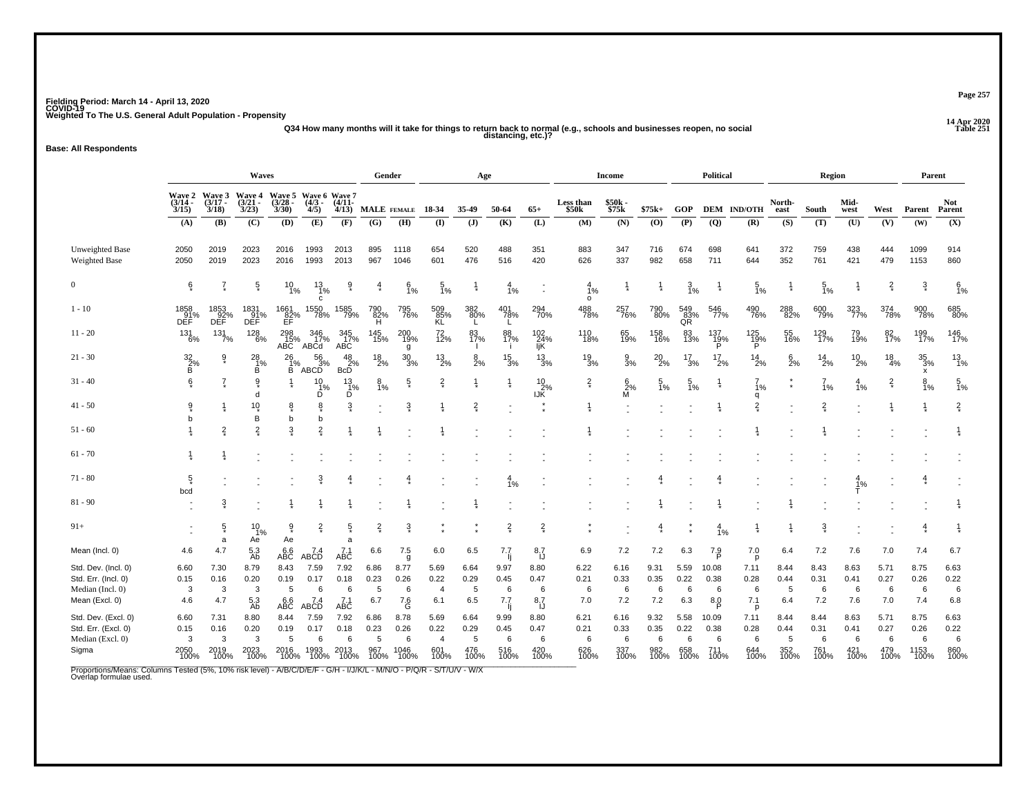## **14 Apr 2020 Q34 How many months will it take for things to return back to normal (e.g., schools and businesses reopen, no social distancing, etc.)?**

**Base: All Respondents**

|                     | Waves                          |                    |                                                                |                       |                                         |                       | Gender          |                 |                  | Age            |                  |                         |                           | <b>Income</b>        |                 |                  | <b>Political</b> |                    |                | Region          |                 |                  | Parent                        |                      |
|---------------------|--------------------------------|--------------------|----------------------------------------------------------------|-----------------------|-----------------------------------------|-----------------------|-----------------|-----------------|------------------|----------------|------------------|-------------------------|---------------------------|----------------------|-----------------|------------------|------------------|--------------------|----------------|-----------------|-----------------|------------------|-------------------------------|----------------------|
|                     | $(3/14 -$<br>3/15              | $(3/17 -$<br>3/18  | Wave 2 Wave 3 Wave 4 Wave 5 Wave 6 Wave 7<br>$(3/21 -$<br>3/23 | $\frac{(3/28)}{3/30}$ | $(4/3 - )$<br>4/5)                      | $(4/11 -$<br>4/13     | MALE FEMALE     |                 | 18-34            | 35-49          | 50-64            | $65+$                   | Less than<br>\$50k        | \$50k<br>\$75k       | $$75k+$         | GOP              |                  | <b>DEM IND/OTH</b> | North-<br>east | South           | Mid-<br>west    | West             | Parent                        | <b>Not</b><br>Parent |
|                     | (A)                            | (B)                | (C)                                                            | (D)                   | (E)                                     | (F)                   | (G)             | (H)             | $($ I            | $($ $)$        | (K)              | (L)                     | (M)                       | (N)                  | (0)             | (P)              | $\overline{Q}$   | (R)                | (S)            | (T)             | (U)             | (V)              | (W)                           | (X)                  |
| Unweighted Base     | 2050                           | 2019               | 2023                                                           | 2016                  | 1993                                    | 2013                  | 895             | 1118            | 654              | 520            | 488              | 351                     | 883                       | 347                  | 716             | 674              | 698              | 641                | 372            | 759             | 438             | 444              | 1099                          | 914                  |
| Weighted Base       | 2050                           | 2019               | 2023                                                           | 2016                  | 1993                                    | 2013                  | 967             | 1046            | 601              | 476            | 516              | 420                     | 626                       | 337                  | 982             | 658              | 711              | 644                | 352            | 761             | 421             | 479              | 1153                          | 860                  |
| $\boldsymbol{0}$    | ę*                             | $\overline{I}$     | $\frac{5}{3}$                                                  | $^{10}_{1\%}$         | $\frac{13}{1\%}$<br>C                   | $\hat{\delta}$        | 4               | $\frac{6}{1\%}$ | $\frac{5}{1\%}$  |                | $\frac{4}{1%}$   |                         | $\frac{4}{1%}$<br>$\circ$ | $\frac{1}{2}$        |                 | $\frac{3}{1%}$   |                  | $\frac{5}{1\%}$    |                | $\frac{5}{1\%}$ |                 | $\frac{2}{x}$    | $\frac{3}{4}$                 | 6/1%                 |
| $1 - 10$            | 1858<br>91%<br>DEF             | 1853<br>92%<br>DEF | 1831<br>91%<br>DEF                                             | 1661<br>82%<br>EF     | 1550<br>78%                             | 1585<br>79%           | 790<br>82%<br>Ή | 795<br>76%      | 509<br>85%<br>KL | 382<br>80%     | 401<br>78%<br>L  | 294<br>70%              | 488<br>78%                | 257<br>76%           | 790<br>80%      | 549<br>83%<br>QR | 546<br>77%       | 490<br>76%         | 288<br>82%     | 600<br>79%      | 323<br>77%      | 374<br>78%       | 900<br>78%                    | 685<br>80%           |
| $11 - 20$           | $^{131}_{6\%}$                 | 131/7%             | $^{128}_{6\%}$                                                 | 298<br>15%<br>ABC     | 346<br>17%<br>ABCd                      | 345<br>17%<br>ABC     | 145<br>15%      | 200<br>19%<br>g | $^{72}_{12\%}$   | 83<br>17%      | 88<br>17%        | 102<br>24%<br>IjK       | 110<br>18%                | 65<br>19%            | 158<br>16%      | 83<br>13%        | 137<br>19%<br>P  | $\frac{125}{19\%}$ | 55<br>16%      | 129<br>17%      | 79 <sub>%</sub> | 82 <sub>%</sub>  | 199<br>17%                    | 146<br>17%           |
| $21 - 30$           | $\underset{\mathsf{B}}{^{32}}$ | $\frac{9}{4}$      | 28<br>-1%<br>B                                                 | 26<br>$\frac{1}{B}$ % | $\frac{56}{3}\%$<br>$"$ ABC $\check{D}$ | $rac{48}{2\%}$        | $^{18}_{2\%}$   | $\frac{30}{3%}$ | $^{13}_{2\%}$    | $\frac{8}{2%}$ | $\frac{15}{3\%}$ | $\frac{13}{3\%}$        | $\frac{19}{3%}$           | $\frac{9}{3}$ %      | $^{20}_{2\%}$   | $\frac{17}{3%}$  | $^{17}_{2\%}$    | $^{14}_{2\%}$      | $6\over 2%$    | $^{14}_{2\%}$   | $^{10}_{2\%}$   | $\frac{18}{4\%}$ | $\frac{35}{3\%}$<br>$\bar{x}$ | $\frac{13}{1\%}$     |
| $31 - 40$           | 6                              | $\frac{7}{4}$      | 9<br>d                                                         |                       | $\frac{10}{1\%}$<br>Ď                   | $\frac{13}{1\%}$<br>Ď | $\frac{8}{1\%}$ | $\frac{5}{3}$   | $\frac{2}{3}$    |                |                  | $\frac{10}{2\%}$<br>IJК | $\frac{2}{x}$             | $\frac{6}{2\%}$<br>М | $\frac{5}{1\%}$ | $\frac{5}{1%}$   |                  | 1%<br>q            | $\star$        | $\frac{7}{1%}$  | $\frac{4}{1%}$  | $\frac{2}{x}$    | $\frac{8}{1\%}$               | $\frac{5}{1\%}$      |
| $41 - 50$           | 9                              |                    | $10 \choose x$<br>B                                            | 8<br>b                | 8<br>b                                  | $\overline{3}$        |                 | $\overline{3}$  |                  | $\frac{2}{3}$  |                  |                         |                           |                      |                 |                  |                  | $\overline{2}$     |                | $\overline{2}$  |                 |                  |                               | $\frac{2}{3}$        |
| $51 - 60$           |                                | $\frac{2}{3}$      | $\overline{2}$                                                 | 3                     | $\overline{2}$                          |                       |                 |                 |                  |                |                  |                         |                           |                      |                 |                  |                  |                    |                |                 |                 |                  |                               |                      |
| $61 - 70$           |                                |                    |                                                                |                       |                                         |                       |                 |                 |                  |                |                  |                         |                           |                      |                 |                  |                  |                    |                |                 |                 |                  |                               |                      |
| $71 - 80$           | $\frac{5}{4}$<br>bcd           |                    |                                                                |                       | $\ddot{3}$                              |                       |                 |                 |                  |                | 4<br>1%          |                         |                           |                      |                 |                  |                  |                    |                |                 | 1%              |                  |                               |                      |
| $81 - 90$           |                                | 3                  |                                                                |                       |                                         |                       |                 |                 |                  |                |                  |                         |                           |                      |                 |                  |                  |                    |                |                 |                 |                  |                               |                      |
| $91+$               |                                | $\frac{5}{3}$<br>a | 10<br>1%<br>Ae                                                 | â<br>Ae               | $\frac{2}{x}$                           | $\frac{5}{3}$<br>a    | $\frac{2}{3}$   | $\ddot{3}$      |                  |                | $\frac{2}{3}$    | $\frac{2}{x}$           |                           |                      | $\frac{4}{3}$   |                  | $\frac{4}{1%}$   |                    |                | $\ddot{3}$      |                 |                  | $\frac{4}{1}$                 |                      |
| Mean (Incl. 0)      | 4.6                            | 4.7                | 5.3<br>Ab                                                      | ABC                   | 7.4<br>ABCD                             | $7.1$<br>ABC          | 6.6             | 7.5<br>g        | 6.0              | 6.5            | 7.7              | $\frac{8.7}{1}$         | 6.9                       | 7.2                  | 7.2             | 6.3              | 7.9              | 7.0<br>p           | 6.4            | 7.2             | 7.6             | 7.0              | 7.4                           | 6.7                  |
| Std. Dev. (Incl. 0) | 6.60                           | 7.30               | 8.79                                                           | 8.43                  | 7.59                                    | 7.92                  | 6.86            | 8.77            | 5.69             | 6.64           | 9.97             | 8.80                    | 6.22                      | 6.16                 | 9.31            | 5.59             | 10.08            | 7.11               | 8.44           | 8.43            | 8.63            | 5.71             | 8.75                          | 6.63                 |
| Std. Err. (Incl. 0) | 0.15                           | 0.16               | 0.20                                                           | 0.19                  | 0.17                                    | 0.18                  | 0.23            | 0.26            | 0.22             | 0.29           | 0.45             | 0.47                    | 0.21                      | 0.33                 | 0.35            | 0.22             | 0.38             | 0.28               | 0.44           | 0.31            | 0.41            | 0.27             | 0.26                          | 0.22                 |
| Median (Incl. 0)    | 3                              | 3                  | 3                                                              | 5                     | 6                                       | 6                     | 5               | 6               | $\overline{4}$   | 5              | 6                | 6                       | 6                         | 6                    | 6               | 6                | 6                | 6                  | 5              | 6               | 6               | 6                | 6                             | 6                    |
| Mean (Excl. 0)      | 4.6                            | 4.7                | $\frac{5.3}{Ab}$                                               | ABC                   | 7.4<br>ABCD                             | $7.1$<br>ABC          | 6.7             | 7.6<br>G        | 6.1              | 6.5            | 7.7<br>-li       | 8,7                     | 7.0                       | 7.2                  | 7.2             | 6.3              | 8.0              | 7.1<br>p           | 6.4            | 7.2             | 7.6             | 7.0              | 7.4                           | 6.8                  |
| Std. Dev. (Excl. 0) | 6.60                           | 7.31               | 8.80                                                           | 8.44                  | 7.59                                    | 7.92                  | 6.86            | 8.78            | 5.69             | 6.64           | 9.99             | 8.80                    | 6.21                      | 6.16                 | 9.32            | 5.58             | 10.09            | 7.11               | 8.44           | 8.44            | 8.63            | 5.71             | 8.75                          | 6.63                 |
| Std. Err. (Excl. 0) | 0.15                           | 0.16               | 0.20                                                           | 0.19                  | 0.17                                    | 0.18                  | 0.23            | 0.26            | 0.22             | 0.29           | 0.45             | 0.47                    | 0.21                      | 0.33                 | 0.35            | 0.22             | 0.38             | 0.28               | 0.44           | 0.31            | 0.41            | 0.27             | 0.26                          | 0.22                 |
| Median (Excl. 0)    | 3                              | 3                  | 3                                                              | 5                     | 6                                       | 6                     | 5               | 6               | $\overline{4}$   | 5              | 6                | 6                       | 6                         | 6                    | 6               | 6                | 6                | 6                  | 5              | 6               | 6               | 6                | 6                             | 6                    |
| Sigma               | 2050<br>100%                   | 2019<br>100%       | 2023<br>100%                                                   | 2016<br>100%          | 1993<br>100%                            | 2013<br>100%          | 967<br>100%     | 1046<br>100%    | 601<br>100%      | 476<br>100%    | 516<br>100%      | 420<br>100%             | 626<br>100%               | 337<br>100%          | 982<br>100%     | 658<br>100%      | 711<br>100%      | 644<br>100%        | 352<br>100%    | 761<br>100%     | 421<br>100%     | 479<br>100%      | 1153<br>100%                  | 860<br>100%          |

Proportions/Means: Columns Tested (5%, 10% risk level) - A/B/C/D/E/F - G/H - I/J/K/L - M/N/O - P/Q/R - S/T/U/V - W/X<br>Overlap formulae used.

**Page 257**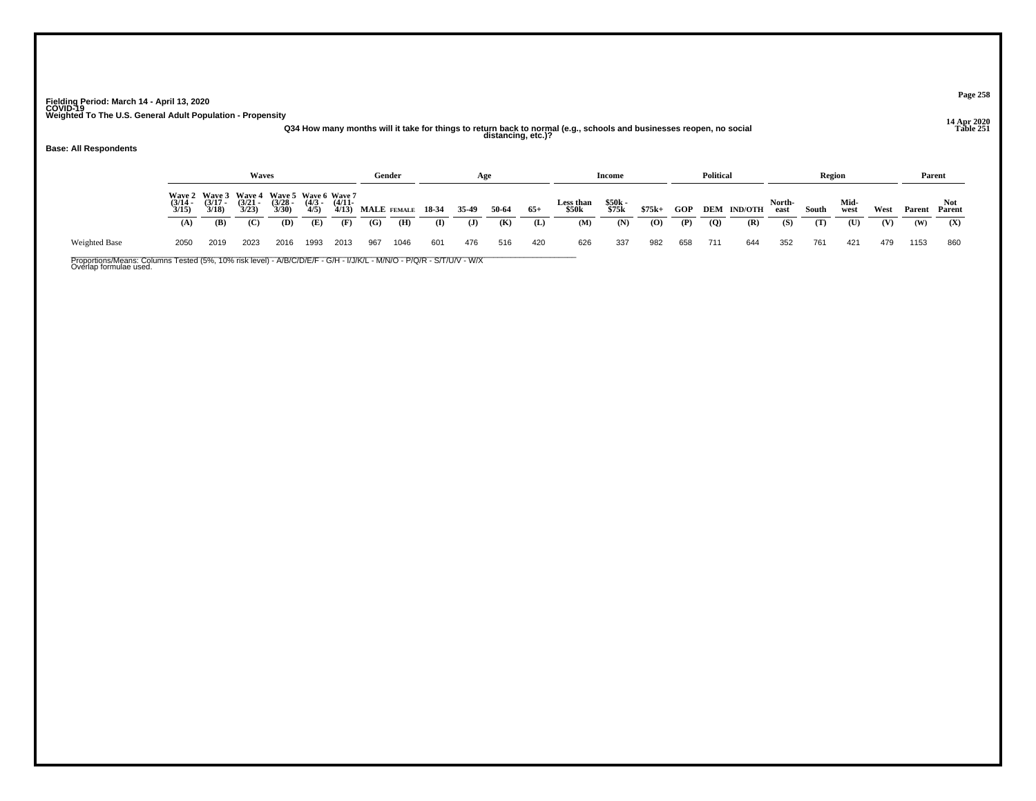## **14 Apr 2020 Q34 How many months will it take for things to return back to normal (e.g., schools and businesses reopen, no social distancing, etc.)?**

**Base: All Respondents**

Weighted Base

|                                 |                                        | <b>Waves</b>                           |                                               |                     |                       |     | Gender      |       | Age   |       |       |                           | Income         |         |            | Political      |                |                | Region |              |      | Parent |        |  |
|---------------------------------|----------------------------------------|----------------------------------------|-----------------------------------------------|---------------------|-----------------------|-----|-------------|-------|-------|-------|-------|---------------------------|----------------|---------|------------|----------------|----------------|----------------|--------|--------------|------|--------|--------|--|
| Wave 2<br>$\frac{(3/14)}{3/15}$ | <b>Wave 3</b><br>$\frac{(3/17)}{3/18}$ | <b>Wave 4</b><br>$\frac{(3/21)}{3/23}$ | Wave 5 Wave 6 Wave 7<br>$\frac{(3/28)}{3/30}$ | $\frac{(4/3)}{4/5}$ | $\frac{(4/11)}{4/13}$ |     | MALE FEMALE | 18-34 | 35-49 | 50-64 | $65+$ | <b>Less than</b><br>\$50k | \$50k<br>\$75k | $$75k+$ | <b>GOP</b> | DEM            | <b>IND/OTH</b> | North-<br>east | South  | Mid-<br>west | West | Parent | Parent |  |
| (A)                             | (B)                                    | (C)                                    | (D)                                           | (E)                 | (F)                   | (G) | (H)         | (I)   | (J)   | (K)   | (L)   | (M)                       | (N)            | (0)     | (P)        | $\overline{Q}$ | (R)            | (S)            | (T)    | (U)          | (V)  | (W)    | (X)    |  |
| 2050                            | 2019                                   | 2023                                   | 2016                                          | 1993                | 2013                  | 967 | 1046        | 601   | 476   | 516   | 420   | 626                       | 337            | 982     | 658        | 711            | 644            | 352            | 761    | 421          | 479  | 1153   | 860    |  |

Proportions/Means: Columns Tested (5%, 10% risk level) - A/B/C/D/E/F - G/H - I/J/K/L - M/N/O - P/Q/R - S/T/U/V - W/X<br>Overlap formulae used.

**Page 258**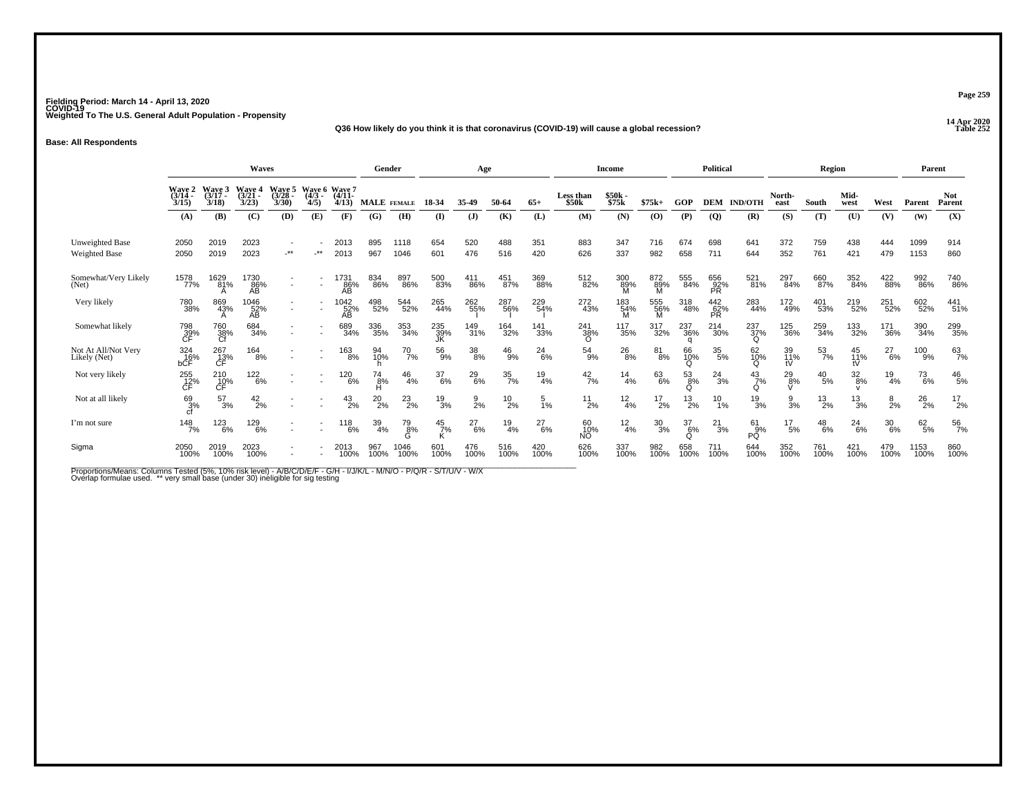### **14 Apr 2020 Q36 How likely do you think it is that coronavirus (COVID-19) will cause a global recession?**

**Base: All Respondents**

|                                         | <b>Waves</b>                |                             |                             |                         |                                  |                   | Gender             |               |                  | Age              |                  |                 |                    | <b>Income</b>      |               |                  | Political               |                      |                 | Region           |                  |                  | Parent        |                      |
|-----------------------------------------|-----------------------------|-----------------------------|-----------------------------|-------------------------|----------------------------------|-------------------|--------------------|---------------|------------------|------------------|------------------|-----------------|--------------------|--------------------|---------------|------------------|-------------------------|----------------------|-----------------|------------------|------------------|------------------|---------------|----------------------|
|                                         | Wave 2<br>$(3/14 -$<br>3/15 | Wave 3<br>$(3/17 -$<br>3/18 | Wave 4<br>$(3/21 -$<br>3/23 | Wave 5<br>(3/28<br>3/30 | Wave 6 Wave 7<br>$(4/3 -$<br>4/5 | $(4/11 -$<br>4/13 | <b>MALE</b> FEMALE |               | 18-34            | 35-49            | 50-64            | $65+$           | Less than<br>\$50k | \$50k -<br>\$75k   | $$75k+$       | GOP              | <b>DEM</b>              | <b>IND/OTH</b>       | North-<br>east  | South            | Mid-<br>west     | West             | Parent        | <b>Not</b><br>Parent |
|                                         | (A)                         | (B)                         | (C)                         | (D)                     | (E)                              | (F)               | (G)                | (H)           | (I)              | (J)              | (K)              | (L)             | (M)                | (N)                | (0)           | (P)              | $\overline{Q}$          | (R)                  | (S)             | (T)              | (U)              | (V)              | (W)           | (X)                  |
| Unweighted Base<br><b>Weighted Base</b> | 2050<br>2050                | 2019<br>2019                | 2023<br>2023                | $.**$                   | -**                              | 2013<br>2013      | 895<br>967         | 1118<br>1046  | 654<br>601       | 520<br>476       | 488<br>516       | 351<br>420      | 883<br>626         | 347<br>337         | 716<br>982    | 674<br>658       | 698<br>711              | 641<br>644           | 372<br>352      | 759<br>761       | 438<br>421       | 444<br>479       | 1099<br>1153  | 914<br>860           |
| Somewhat/Very Likely<br>(Net)           | 1578<br>77%                 | 1629<br>81%                 | 1730<br>86%<br>ÄB           |                         |                                  | 1731<br>86%<br>AВ | 834<br>86%         | 897<br>86%    | 500<br>83%       | 411<br>86%       | 451<br>87%       | 369<br>88%      | 512<br>82%         | $\frac{300}{89\%}$ | 872<br>89%    | 555<br>84%       | 656<br>92%<br><b>PR</b> | 521<br>81%           | 297<br>84%      | 660<br>87%       | 352<br>84%       | 422<br>88%       | 992<br>86%    | 740<br>86%           |
| Very likely                             | 780<br>38%                  | 869<br>43%                  | 1046<br>52%<br>AB           |                         |                                  | 1042<br>52%<br>AВ | 498<br>52%         | 544<br>52%    | 265<br>44%       | 262%             | 287<br>56%       | 229<br>54%      | 272<br>43%         | 183<br>54%         | 555<br>56%    | 318<br>48%       | 442<br>62%<br>PR.       | 283<br>44%           | 172<br>49%      | 401<br>53%       | 219<br>52%       | 251<br>52%       | 602<br>52%    | 441%                 |
| Somewhat likely                         | 798<br>39%<br>CF            | 760<br>38%<br>Cf            | 684<br>34%                  |                         |                                  | 689<br>34%        | 336<br>35%         | 353<br>34%    | 235<br>39%       | 149<br>31%       | 164<br>32%       | 141<br>33%      | 241<br>38%<br>∩    | 117<br>35%         | 317<br>32%    | 237<br>36%       | 214<br>30%              | $^{237}_{37\%}$<br>Ω | 125<br>36%      | 259<br>34%       | 133<br>32%       | 171<br>36%       | 390<br>34%    | 299<br>35%           |
| Not At All/Not Very<br>Likely (Net)     | 324<br>16%<br>bCF           | 267<br>13%<br>CF            | 164<br>8%                   |                         |                                  | 163<br>8%         | 94<br>10%          | 70<br>7%      | 56<br>9%         | $\frac{38}{8\%}$ | $^{46}_{9\%}$    | $^{24}_{6\%}$   | $^{54}_{9\%}$      | $^{26}_{8\%}$      | 81<br>8%      | 66<br>10%<br>Q   | $\frac{35}{5\%}$        | 62<br>10%<br>Ω       | 39<br>11%<br>tV | $\frac{53}{7\%}$ | 45<br>11%        | $^{27}_{6\%}$    | 100<br>9%     | $^{63}_{7\%}$        |
| Not very likely                         | 255<br>12%<br>CF            | 210<br>10%<br>СĖ            | 122<br>6%                   |                         |                                  | 120<br>6%         | 74<br>8%<br>н      | $^{46}_{4\%}$ | 37<br>6%         | $^{29}_{6\%}$    | $\frac{35}{7\%}$ | $^{19}_{4\%}$   | $^{42}_{7\%}$      | 14<br>4%           | 63<br>6%      | $\frac{53}{8\%}$ | $^{24}_{3\%}$           | $^{43}_{7\%}$<br>O   | $^{29}_{8\%}$   | $^{40}_{\ 5\%}$  | $\frac{32}{8\%}$ | $^{19}_{4\%}$    | $^{73}_{6\%}$ | $^{46}_{\ 5\%}$      |
| Not at all likely                       | 69<br>3%                    | $^{57}_{3\%}$               | $^{42}_{2\%}$               |                         |                                  | $^{43}_{2\%}$     | $^{20}_{2\%}$      | $^{23}_{2\%}$ | $^{19}_{3\%}$    | $\frac{9}{2}$ %  | $^{10}_{2\%}$    | $\frac{5}{1\%}$ | $^{11}_{2\%}$      | $^{12}_{4\%}$      | $^{17}_{2\%}$ | $^{13}_{2\%}$    | $^{10}_{1\%}$           | $^{19}_{3\%}$        | $\frac{9}{3}$ % | $^{13}_{2\%}$    | $^{13}_{3\%}$    | $\frac{8}{2}$ %  | $^{26}_{2\%}$ | $^{17}_{2\%}$        |
| I'm not sure                            | $\frac{148}{7\%}$           | 123<br>6%                   | 129<br>6%                   |                         |                                  | 118<br>6%         | 39<br>4%           | 79<br>8%      | $\frac{45}{7\%}$ | $^{27}_{6\%}$    | 19<br>4%         | $^{27}_{6\%}$   | 60<br>10%<br>ΝÕ    | $\frac{12}{4%}$    | 30<br>3%      | $\frac{37}{6\%}$ | $^{21}_{3\%}$           | 61<br>PQ<br>%        | 17<br>5%        | 48<br>6%         | 24<br>6%         | $\frac{30}{6\%}$ | 62/5%         | 56<br>7%             |
| Sigma                                   | 2050<br>100%                | 2019<br>100%                | 2023<br>100%                |                         |                                  | 2013<br>100%      | 967<br>100%        | 1046<br>100%  | 601<br>100%      | 476<br>100%      | 516<br>100%      | 420<br>100%     | 626<br>100%        | 337<br>100%        | 982<br>100%   | 658<br>100%      | 711<br>100%             | 644<br>100%          | 352<br>100%     | 761<br>100%      | 421<br>100%      | 479<br>100%      | 1153<br>100%  | 860<br>100%          |

Proportions/Means: Columns Tested (5%, 10% risk level) - A/B/C/D/E/F - G/H - I/J/K/L - M/N/O - P/Q/R - S/T/U/V - W/X<br>Overlap formulae used. \*\* very small base (under 30) ineligible for sig testing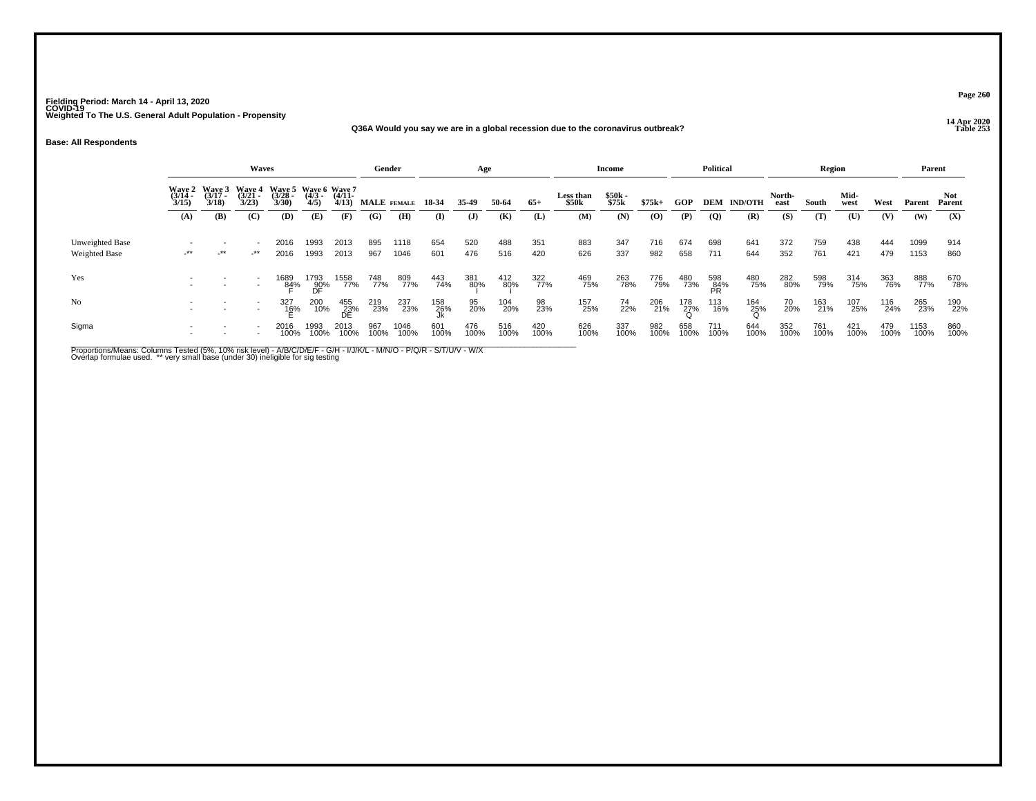### **14 Apr 2020 Q36A Would you say we are in a global recession due to the coronavirus outbreak?**

**Base: All Respondents**

|                                         |        |                                                                   | <b>Waves</b> |                                                                     |                   |                  | Gender      |              |                 | Age          |             |             |                    | Income         |             |             | <b>Political</b> |                    |                | Region      |              |             | Parent       |                |
|-----------------------------------------|--------|-------------------------------------------------------------------|--------------|---------------------------------------------------------------------|-------------------|------------------|-------------|--------------|-----------------|--------------|-------------|-------------|--------------------|----------------|-------------|-------------|------------------|--------------------|----------------|-------------|--------------|-------------|--------------|----------------|
|                                         |        | Wave 2 Wave 3 Wave 4<br>(3/14 - (3/17 - (3/21 - 3/15) 3/18) 3/23) |              | Wave 5 Wave 6 Wave 7<br>(3/28 - (4/3 - (4/11 - 3/30) - 4/5) - 4/13) |                   |                  | MALE FEMALE |              | 18-34           | 35-49        | 50-64       | $65+$       | Less than<br>\$50k | \$50k<br>\$75k | $$75k+$     | GOP         |                  | <b>DEM IND/OTH</b> | North-<br>east | South       | Mid-<br>west | West        | Parent       | Not.<br>Parent |
|                                         | (A)    | <b>(B)</b>                                                        | (C)          | (D)                                                                 | (E)               | (F)              | (G)         | (H)          | (I)             | $\mathbf{J}$ | (K)         | (L)         | (M)                | (N)            | (O)         | (P)         | $\overline{Q}$   | (R)                | (S)            | (T)         | (U)          | (V)         | (W)          | (X)            |
| Unweighted Base<br><b>Weighted Base</b> | $-***$ | $\sim$<br>$\cdot$ **                                              | -**          | 2016<br>2016                                                        | 1993<br>1993      | 2013<br>2013     | 895<br>967  | 1118<br>1046 | 654<br>601      | 520<br>476   | 488<br>516  | 351<br>420  | 883<br>626         | 347<br>337     | 716<br>982  | 674<br>658  | 698<br>711       | 641<br>644         | 372<br>352     | 759<br>761  | 438<br>421   | 444<br>479  | 1099<br>1153 | 914<br>860     |
| Yes                                     |        |                                                                   |              | 1689<br>84%                                                         | 1793<br>90%<br>DF | 1558<br>77%      | 748<br>77%  | 809<br>77%   | 443<br>74%      | 381<br>80%   | 412<br>80%  | 322<br>77%  | 469<br>75%         | 263<br>78%     | 776<br>79%  | 480<br>73%  | 598<br>84%<br>PR | 480<br>75%         | 282<br>80%     | 598<br>79%  | 314<br>75%   | 363<br>76%  | 888<br>77%   | 670<br>78%     |
| No                                      |        |                                                                   | $\sim$       | 327<br>16%                                                          | 200<br>10%        | 455<br>23%<br>DE | 219<br>23%  | 237<br>23%   | $^{158}_{26\%}$ | 95<br>20%    | 104<br>20%  | 98<br>23%   | 157<br>25%         | 74<br>22%      | 206<br>21%  | 178<br>27%  | 113<br>16%       | $^{164}_{25\%}$    | 70<br>20%      | 163<br>21%  | 107<br>25%   | 116<br>24%  | 265<br>23%   | 190<br>22%     |
| Sigma                                   |        |                                                                   |              | 2016<br>100%                                                        | 1993<br>100%      | 2013<br>100%     | 967<br>100% | 1046<br>100% | 601<br>100%     | 476<br>100%  | 516<br>100% | 420<br>100% | 626<br>100%        | 337<br>100%    | 982<br>100% | 658<br>100% | 711<br>100%      | 644<br>100%        | 352<br>100%    | 761<br>100% | 421<br>100%  | 479<br>100% | 1153<br>100% | 860<br>100%    |

Proportions/Means: Columns Tested (5%, 10% risk level) - A/B/C/D/E/F - G/H - I/J/K/L - M/N/O - P/Q/R - S/T/U/V - W/X<br>Overlap formulae used. \*\* very small base (under 30) ineligible for sig testing

**Page 260**

### **P** Table 253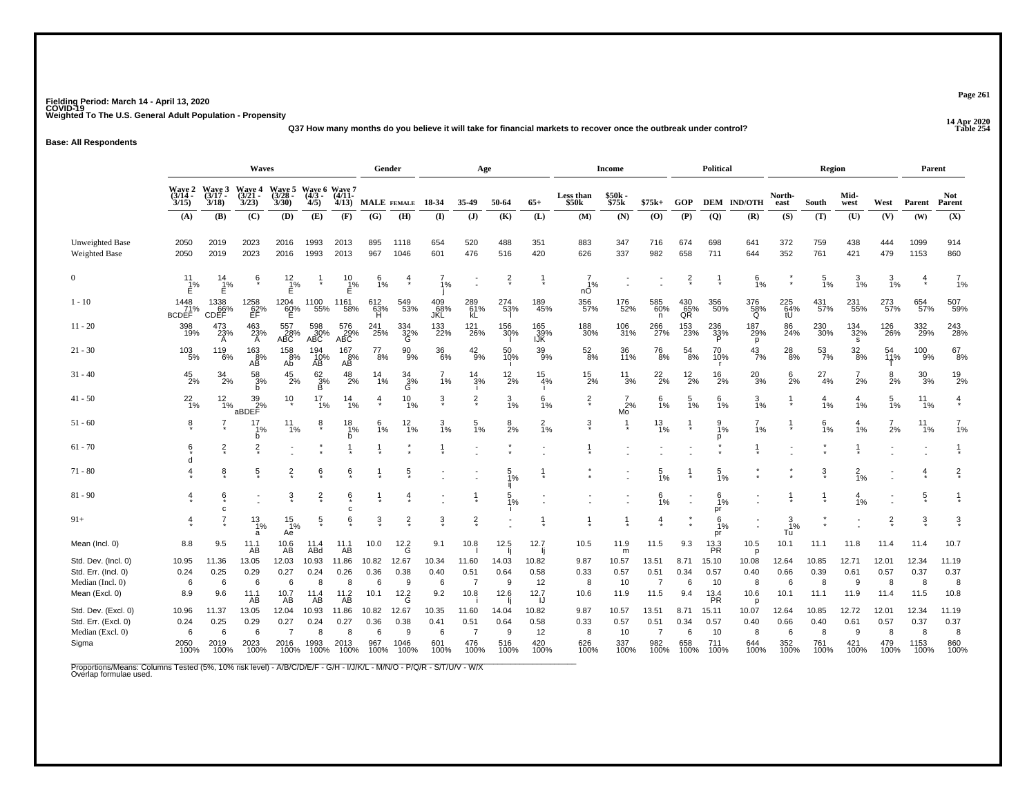**14 Apr 2020 Q37 How many months do you believe it will take for financial markets to recover once the outbreak under control?**

**Base: All Respondents**

|                                         |                                  |                          | <b>Waves</b>                                               |                                                                 |                       |                   |                 | Gender                 |                   | Age                    |                 |                   |                      | <b>Income</b>      |                        |                    | <b>Political</b>      |                    |                                | Region           |                         |                 | Parent             |                      |
|-----------------------------------------|----------------------------------|--------------------------|------------------------------------------------------------|-----------------------------------------------------------------|-----------------------|-------------------|-----------------|------------------------|-------------------|------------------------|-----------------|-------------------|----------------------|--------------------|------------------------|--------------------|-----------------------|--------------------|--------------------------------|------------------|-------------------------|-----------------|--------------------|----------------------|
|                                         | Wave 2<br>(3/14 -<br>3/15        | Wave 3<br>(3/17<br>3/18) | Wave 4<br>(3/21<br>3/23)                                   | Wave 5 Wave 6 Wave 7<br>(3/28 - (4/3 - (4/11 - 3/30) 4/5) 4/13) |                       |                   |                 | MALE FEMALE            | 18-34             | 35-49                  | 50-64           | $65+$             | Less than \$50k      | \$50k<br>\$75k     | $$75k+$                | <b>GOP</b>         |                       | <b>DEM IND/OTH</b> | North-<br>east                 | South            | Mid-<br>west            | West            | Parent             | <b>Not</b><br>Parent |
|                                         | (A)                              | (B)                      | (C)                                                        | (D)                                                             | (E)                   | (F)               | (G)             | (H)                    | $($ I)            | $($ $)$                | (K)             | (L)               | (M)                  | (N)                | (O)                    | (P)                | (Q)                   | (R)                | (S)                            | (T)              | (U)                     | (V)             | (W)                | (X)                  |
|                                         |                                  |                          |                                                            |                                                                 |                       |                   |                 |                        |                   |                        |                 |                   |                      |                    |                        |                    |                       |                    |                                |                  |                         |                 |                    |                      |
| Unweighted Base<br><b>Weighted Base</b> | 2050<br>2050                     | 2019<br>2019             | 2023<br>2023                                               | 2016<br>2016                                                    | 1993<br>1993          | 2013<br>2013      | 895<br>967      | 1118<br>1046           | 654<br>601        | 520<br>476             | 488<br>516      | 351<br>420        | 883<br>626           | 347<br>337         | 716<br>982             | 674<br>658         | 698<br>711            | 641<br>644         | 372<br>352                     | 759<br>761       | 438<br>421              | 444<br>479      | 1099<br>1153       | 914<br>860           |
|                                         |                                  |                          |                                                            |                                                                 |                       |                   |                 |                        |                   |                        |                 |                   |                      |                    |                        |                    |                       |                    |                                |                  |                         |                 |                    |                      |
| $\Omega$                                | $\frac{11}{1\%}$                 | 14<br>$1\%$<br>Ė         | ę                                                          | $\frac{12}{1%}$<br>E                                            |                       | 10<br>1%<br>E     | $\frac{6}{1%}$  |                        | $\frac{7}{1%}$    |                        | $\frac{2}{x}$   |                   | $\frac{7}{1%}$<br>nÓ |                    |                        | $\frac{2}{x}$      |                       | $6\frac{6}{1%}$    | $^\star$                       | $\frac{5}{1\%}$  | $\frac{3}{1%}$          | $\frac{3}{1\%}$ | $\overline{4}$     | $\frac{7}{1%}$       |
| $1 - 10$                                | $1448$<br>$71\%$<br><b>BCDEF</b> | 1338<br>CDEF<br>CDEF     | 1258<br>62%<br>EF                                          | $^{1204}_{60\%}$                                                | 1100<br>55%           | 1161<br>58%       | 612<br>63%<br>H | 549<br>53%             | 409<br>68%<br>JKL | 289<br>61%<br>kL       | 274<br>53%      | 189<br>45%        | 356<br>57%           | 176<br>52%         | 585<br>60%<br>n        | $^{430}_{65\%}$ QR | 356<br>50%            | 376<br>58%<br>Q    | $\underset{\text{tU}}{^{225}}$ | 431<br>57%       | 231<br>55%              | 273<br>57%      | 654<br>57%         | 507<br>59%           |
| $11 - 20$                               | 398<br>19%                       | $^{473}_{23\%}$<br>A     | $^{463}_{23\%}$                                            | 557<br>28%<br>ABC                                               | 598<br>30%<br>ABC     | 576<br>29%<br>ABC | 241<br>25%      | 334<br>32%<br>G        | 133<br>22%        | 121<br>26%             | 156<br>30%      | 165<br>39%<br>IJK | 188<br>30%           | 106<br>31%         | 266<br>27%             | 153<br>23%         | $\frac{236}{33}\%$    | 187<br>29%<br>p    | 86<br>24%                      | 230<br>30%       | $\frac{134}{32\%}$<br>s | 126<br>26%      | 332<br>29%         | 243<br>28%           |
| $21 - 30$                               | $\frac{103}{5\%}$                | 119<br>6%                | $\frac{163}{8%}$<br>AB                                     | $158$ $8\%$<br>Ab                                               | 194<br>10%<br>AB      | 167<br>8%<br>AB   | $^{77}_{8\%}$   | $\substack{90 \\ 9\%}$ | 36<br>6%          | $^{42}_{9\%}$          | 50<br>10%       | $\frac{39}{9\%}$  | $^{52}_{\ 8\%}$      | 36<br>11%          | <sup>76</sup> 8%       | $^{54}_{\ 8\%}$    | 70<br>10%             | $^{43}_{7\%}$      | $^{28}_{\ 8\%}$                | $\frac{53}{7\%}$ | $\frac{32}{8\%}$        | 54<br>11%<br>T  | $\frac{100}{9\%}$  | $^{67}_{\ 8\%}$      |
| $31 - 40$                               | $^{45}_{2\%}$                    | $\frac{34}{2\%}$         | 58<br>3%<br>b                                              | $^{45}_{2\%}$                                                   | $\frac{62}{3}\%$<br>в | $^{48}_{2\%}$     | $14 \atop 1\%$  | $\frac{34}{3\%}$       | $\frac{7}{1%}$    | $\frac{14}{3\%}$       | $^{12}_{2\%}$   | $\frac{15}{4%}$   | $^{15}_{2\%}$        | $\frac{11}{3%}$    | $^{22}_{2\%}$          | $^{12}_{2\%}$      | $^{16}_{2\%}$         | $^{20}_{3\%}$      | $\frac{6}{2\%}$                | $^{27}_{4\%}$    | $\frac{7}{2%}$          | $\frac{8}{2%}$  | $^{30}_{\ 3\%}$    | $^{19}_{2\%}$        |
| $41 - 50$                               | $^{22}_{1\%}$                    | $12_{1\%}$               | $\begin{array}{c} 39 \\ 2\% \\ \mathrm{aBDEF} \end{array}$ | $10+$                                                           | 17<br>1%              | $14_{1\%}$        | $\frac{4}{1}$   | $^{10}_{1\%}$          | ŝ                 | $\frac{2}{3}$          | $\frac{3}{1}$ % | $\frac{6}{1\%}$   | $\frac{2}{3}$        | $^{7}_{2\%}$<br>Mo | $\frac{6}{1\%}$        | 5<br>1%            | $\frac{6}{1}$ %       | $\frac{3}{1\%}$    |                                | 4<br>1%          | $\frac{4}{1%}$          | $\frac{5}{1\%}$ | $11_{1\%}$         | $\ddagger$           |
| $51 - 60$                               | $\overline{6}$                   |                          | 17<br>1%<br>b                                              | $\frac{11}{1\%}$                                                | ĝ                     | $^{18}_{1\%}$     | $\frac{6}{1\%}$ | $\frac{12}{1\%}$       | 3<br>1%           | $\frac{5}{1\%}$        | $\frac{8}{2%}$  | $\frac{2}{1\%}$   | $\ddot{3}$           | 1                  | $^{13}_{1\%}$          |                    | $\frac{9}{1%}$<br>D   | 7<br>1%            |                                | 6<br>1%          | 1%                      | 2%              | $11$ <sub>1%</sub> | $\frac{7}{1\%}$      |
| $61 - 70$                               | 6                                | $\frac{2}{3}$            | $\overline{2}$                                             |                                                                 |                       |                   |                 |                        |                   |                        |                 |                   |                      |                    |                        |                    |                       |                    |                                |                  |                         |                 |                    |                      |
| $71 - 80$                               |                                  | ĝ.                       | $\overline{5}$                                             | $\overline{2}$                                                  | ė                     | 6                 |                 | 5                      |                   |                        | 5<br>Í%         |                   |                      |                    | $\frac{5}{1%}$         |                    | $\frac{5}{1\%}$       |                    |                                | $\overline{3}$   | $\frac{2}{1}$ %         |                 | 4                  | $\frac{2}{3}$        |
| $81 - 90$                               |                                  | ê                        |                                                            | $\ddot{3}$                                                      | $\frac{2}{x}$         | 6                 |                 |                        |                   |                        | 5<br>1%         |                   |                      |                    | 6/1%                   |                    | $6\frac{1}{1%}$<br>pr |                    |                                | $\frac{1}{2}$    | 4<br>1%                 |                 | $\frac{5}{3}$      | -1                   |
| $91+$                                   | $\overline{4}$                   |                          | $\frac{13}{1%}$<br>a                                       | $\frac{15}{1\%}$<br>Ae                                          | $\frac{5}{2}$         | 6                 | $\frac{3}{2}$   | $\frac{2}{3}$          | $\overline{3}$    | $\frac{2}{3}$          |                 |                   |                      |                    | 4                      |                    | 6<br>1%<br>pr         |                    | $\frac{3}{1\%}$<br>Tu          |                  |                         | $\frac{2}{3}$   | $\frac{3}{4}$      | $\frac{3}{5}$        |
| Mean (Incl. 0)                          | 8.8                              | 9.5                      | $11.1$<br>AB                                               | $^{10.6}_{AB}$                                                  | 11.4<br>ABd           | $^{11.1}_{AB}$    | 10.0            | $12.2$ G               | 9.1               | 10.8                   | 12.5            | 12.7              | 10.5                 | 11.9<br>m          | 11.5                   | 9.3                | $^{13.3}_{PR}$        | 10.5<br>D          | 10.1                           | 11.1             | 11.8                    | 11.4            | 11.4               | 10.7                 |
| Std. Dev. (Incl. 0)                     | 10.95                            | 11.36                    | 13.05                                                      | 12.03                                                           | 10.93                 | 11.86             | 10.82           | 12.67                  | 10.34             | 11.60                  | 14.03           | 10.82             | 9.87                 | 10.57              | 13.51                  | 8.71               | 15.10                 | 10.08              | 12.64                          | 10.85            | 12.71                   | 12.01           | 12.34              | 11.19                |
| Std. Err. (Incl. 0)<br>Median (Incl. 0) | 0.24<br>6                        | 0.25<br>6                | 0.29<br>6                                                  | 0.27<br>6                                                       | 0.24<br>8             | 0.26<br>8         | 0.36<br>6       | 0.38<br>9              | 0.40<br>6         | 0.51<br>$\overline{7}$ | 0.64<br>9       | 0.58<br>12        | 0.33<br>8            | 0.57<br>10         | 0.51<br>$\overline{7}$ | 0.34<br>6          | 0.57<br>10            | 0.40<br>8          | 0.66<br>6                      | 0.39<br>8        | 0.61<br>9               | 0.57<br>8       | 0.37<br>8          | 0.37<br>8            |
| Mean (Excl. 0)                          | 8.9                              | 9.6                      | $11.1$<br>AB                                               | $^{10.7}_{AB}$                                                  | $^{11.4}_{AB}$        | $^{11.2}_{AB}$    | 10.1            | $12.2$ <sup>G</sup>    | 9.2               | 10.8                   | 12.6            | 12.7              | 10.6                 | 11.9               | 11.5                   | 9.4                | $^{13.4}_{PR}$        | 10.6<br>D          | 10.1                           | 11.1             | 11.9                    | 11.4            | 11.5               | 10.8                 |
| Std. Dev. (Excl. 0)                     | 10.96                            | 11.37                    | 13.05                                                      | 12.04                                                           | 10.93                 | 11.86             | 10.82           | 12.67                  | 10.35             | 11.60                  | 14.04           | 10.82             | 9.87                 | 10.57              | 13.51                  | 8.71               | 15.11                 | 10.07              | 12.64                          | 10.85            | 12.72                   | 12.01           | 12.34              | 11.19                |
| Std. Err. (Excl. 0)                     | 0.24                             | 0.25                     | 0.29                                                       | 0.27                                                            | 0.24                  | 0.27              | 0.36            | 0.38                   | 0.41              | 0.51                   | 0.64            | 0.58              | 0.33                 | 0.57               | 0.51                   | 0.34               | 0.57                  | 0.40               | 0.66                           | 0.40             | 0.61                    | 0.57            | 0.37               | 0.37                 |
| Median (Excl. 0)                        | 6                                | 6                        | 6                                                          | $\overline{7}$                                                  | 8                     | 8                 | 6               | 9                      | 6                 | $\overline{7}$         | 9               | 12                | 8                    | 10                 | $\overline{7}$         | 6                  | 10                    | 8                  | 6                              | 8                | 9                       | 8               | 8                  | 8                    |
| Sigma                                   | 2050<br>100%                     | 2019<br>100%             | 2023<br>100%                                               | 2016<br>100%                                                    | 1993<br>100%          | 2013<br>100%      | 967<br>100%     | 1046<br>100%           | 601<br>100%       | 476<br>100%            | 516<br>100%     | 420<br>100%       | 626<br>100%          | 337<br>100%        | 982<br>100%            | 658<br>100%        | 711<br>100%           | 644<br>100%        | 352<br>100%                    | 761<br>100%      | 421<br>100%             | 479<br>100%     | 1153<br>100%       | 860<br>100%          |

Proportions/Means: Columns Tested (5%, 10% risk level) - A/B/C/D/E/F - G/H - I/J/K/L - M/N/O - P/Q/R - S/T/U/V - W/X<br>Overlap formulae used.

**Page 261**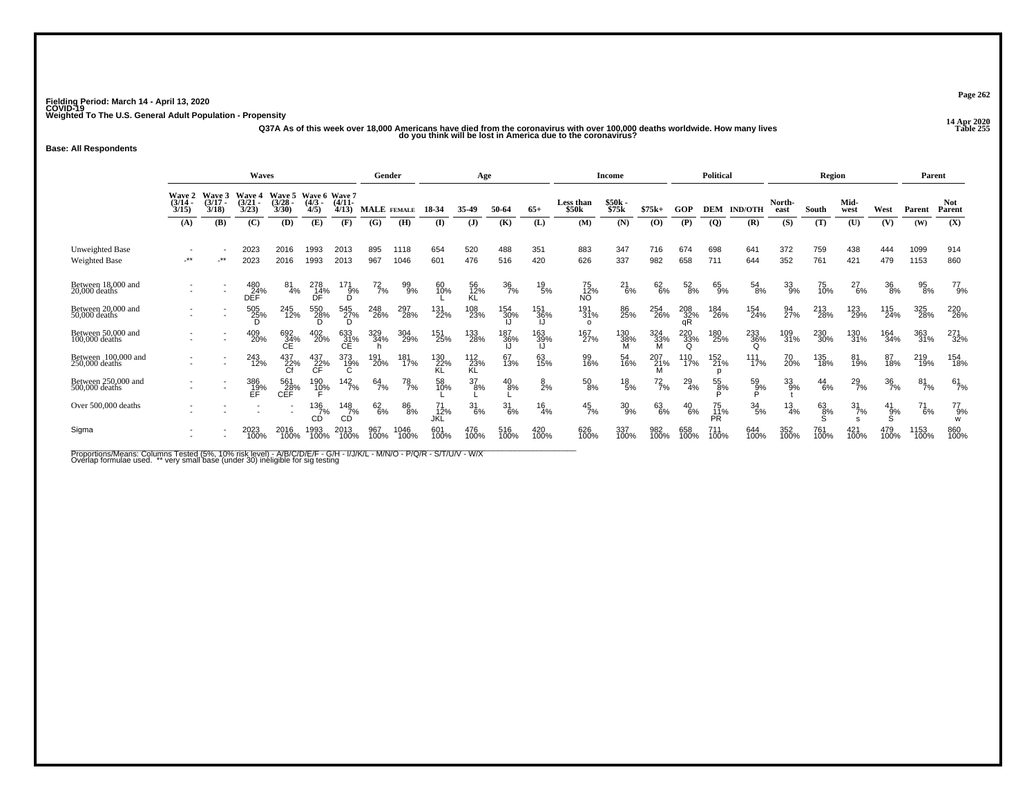14 Apr 2020<br>Q37A As of this week over 18,000 Americans have died from the coronavirus with over 100,000 deaths worldwide. How many lives<br>do you think will be lost in America due to the coronavirus?

**Base: All Respondents**

|                                         |                                    |                                    | <b>Waves</b>                |                                    |                                      |                             | Gender             |              |                  | Age                   |                  |                  |                                | <b>Income</b>   |               |                       | <b>Political</b>       |                  |                 | Region        |                  |                  | Parent       |                      |
|-----------------------------------------|------------------------------------|------------------------------------|-----------------------------|------------------------------------|--------------------------------------|-----------------------------|--------------------|--------------|------------------|-----------------------|------------------|------------------|--------------------------------|-----------------|---------------|-----------------------|------------------------|------------------|-----------------|---------------|------------------|------------------|--------------|----------------------|
|                                         | <b>Wave 2</b><br>$(3/14 -$<br>3/15 | <b>Wave 3</b><br>$(3/17 -$<br>3/18 | Wave 4<br>$(3/21 -$<br>3/23 | <b>Wave 5</b><br>$(3/28 -$<br>3/30 | Wave 6<br>$(4/3 -$<br>4/5)           | Wave 7<br>$(4/11 -$<br>4/13 | <b>MALE</b> FEMALE |              | 18-34            | 35.49                 | 50-64            | $65+$            | Less than<br>\$50 <sub>k</sub> | \$50k<br>\$75k  | $$75k+$       | GOP                   | <b>DEM</b>             | <b>IND/OTH</b>   | North-<br>east  | South         | Mid-<br>west     | West             | Parent       | <b>Not</b><br>Parent |
|                                         | (A)                                | (B)                                | (C)                         | (D)                                | (E)                                  | (F)                         | (G)                | (H)          | $\bf{I}$         | $\mathbf{J}$          | (K)              | (L)              | (M)                            | (N)             | (O)           | (P)                   | $\overline{Q}$         | (R)              | (S)             | (T)           | (U)              | (V)              | (W)          | (X)                  |
| Unweighted Base<br><b>Weighted Base</b> | -**                                | -**                                | 2023<br>2023                | 2016<br>2016                       | 1993<br>1993                         | 2013<br>2013                | 895<br>967         | 1118<br>1046 | 654<br>601       | 520<br>476            | 488<br>516       | 351<br>420       | 883<br>626                     | 347<br>337      | 716<br>982    | 674<br>658            | 698<br>711             | 641<br>644       | 372<br>352      | 759<br>761    | 438<br>421       | 444<br>479       | 1099<br>1153 | 914<br>860           |
| Between 18,000 and<br>$20,000$ deaths   |                                    |                                    | 480<br>DEF                  | 81<br>4%                           | 278<br>$n_F^4$                       | 171<br>$B^{\%}$             | $^{72}_{7\%}$      | 99<br>9%     | 60<br>10%        | 56<br>$\frac{12}{12}$ | $\frac{36}{7\%}$ | $^{19}_{5\%}$    | 75<br>12%<br>NO                | $^{21}_{6\%}$   | $^{62}_{6\%}$ | $\frac{52}{8\%}$      | 65<br>9%               | 54<br>8%         | 33<br>9%        | 75<br>10%     | 27<br>6%         | $\frac{36}{8\%}$ | 95<br>8%     | 77<br>9%             |
| Between 20,000 and<br>$50,000$ deaths   |                                    |                                    | 505<br>25%<br>D.            | 245<br>12%                         | 550<br>2 <u>8</u> %                  | 545<br>2 <u>7</u> %<br>D    | 248<br>26%         | 297<br>28%   | 131<br>22%       | 108<br>23%            | 154<br>30%       | 151<br>36%<br>IJ | 191<br>31%<br>$\Omega$         | 86<br>25%       | 254<br>26%    | $\frac{208}{32\%}$ qR | 184<br>26%             | 154<br>24%       | 94<br>27%       | 213<br>28%    | 123<br>29%       | 115<br>24%       | 325<br>28%   | 220<br>26%           |
| Between 50,000 and<br>100,000 deaths    |                                    |                                    | 409<br>20%                  | 692<br>34%<br>CE                   | 402<br>20%                           | 633<br>31%<br>CE            | 329<br>34%         | 304<br>29%   | 151<br>25%       | 133<br>28%            | 187<br>36%       | 163<br>39%<br>IJ | 167<br>27%                     | 130<br>38%<br>M | 324<br>33%    | 220<br>33%<br>O       | 180<br>25%             | 233<br>36%       | 109<br>31%      | 230<br>30%    | 130<br>31%       | 164<br>34%       | 363<br>31%   | 271<br>32%           |
| Between 100,000 and<br>250,000 deaths   |                                    |                                    | 243<br>12%                  | 437<br>$\frac{22}{C}$              | 437<br>$\overline{C}$ F <sup>%</sup> | 373<br>19%                  | 191<br>20%         | 181<br>17%   | 130<br>22%<br>KL | 112<br>23%<br>KL      | 67<br>13%        | 63<br>15%        | 99<br>16%                      | 54<br>16%       | 207<br>21%    | 110<br>17%            | 152<br>21%             | 111<br>17%       | 70<br>20%       | 135<br>18%    | 81<br>19%        | 87<br>18%        | 219<br>19%   | 154<br>18%           |
| Between 250,000 and<br>500,000 deaths   |                                    |                                    | 386<br>$T_{\text{EF}}^{19}$ | 561<br>CEF                         | 190<br>10%                           | 142<br>7%                   | $^{64}_{7\%}$      | 78<br>7%     | 58<br>10%        | 37<br>8%              | $^{40}_{8\%}$    | 8<br>2%          | 50<br>8%                       | $^{18}_{\ 5\%}$ | $^{72}_{7\%}$ | $^{29}_{4\%}$         | 55<br>8%<br>D          | 59<br>-9%        | 33<br>9%        | $^{44}_{6\%}$ | $^{29}_{7\%}$    | $\frac{36}{7%}$  | 81<br>7%     | $^{61}_{7\%}$        |
| Over 500,000 deaths                     |                                    |                                    |                             |                                    | 136<br>7%<br>CD                      | 148<br>7%<br>CD             | 62/6%              | 86<br>8%     | 71<br>12%<br>JKL | 31<br>6%              | 31<br>6%         | 16<br>4%         | $^{45}_{7\%}$                  | $^{30}_{9\%}$   | 63<br>6%      | 40<br>6%              | 75<br>11%<br><b>PR</b> | $\frac{34}{5\%}$ | $\frac{13}{4%}$ | 63<br>8%      | $\frac{31}{7\%}$ | 41<br>9%         | 71<br>6%     | 77<br>9%<br>w        |
| Sigma                                   |                                    |                                    | 2023<br>100%                | 2016<br>100%                       | 1993<br>100%                         | 2013<br>100%                | 967<br>100%        | 046<br>100%  | 601<br>100%      | 476<br>100%           | 516<br>100%      | 420<br>100%      | 626<br>100%                    | 337<br>100%     | 982<br>100%   | 658<br>100%           | 711<br>100%            | 644<br>100%      | 352<br>100%     | 761<br>100%   | 421<br>100%      | 479<br>100%      | 1153<br>100% | 860<br>100%          |

Proportions/Means: Columns Tested (5%, 10% risk level) - A/B/C/D/E/F - G/H - I/J/K/L - M/N/O - P/Q/R - S/T/U/V - W/X<br>Overlap formulae used. \*\* very small base (under 30) ineligible for sig testing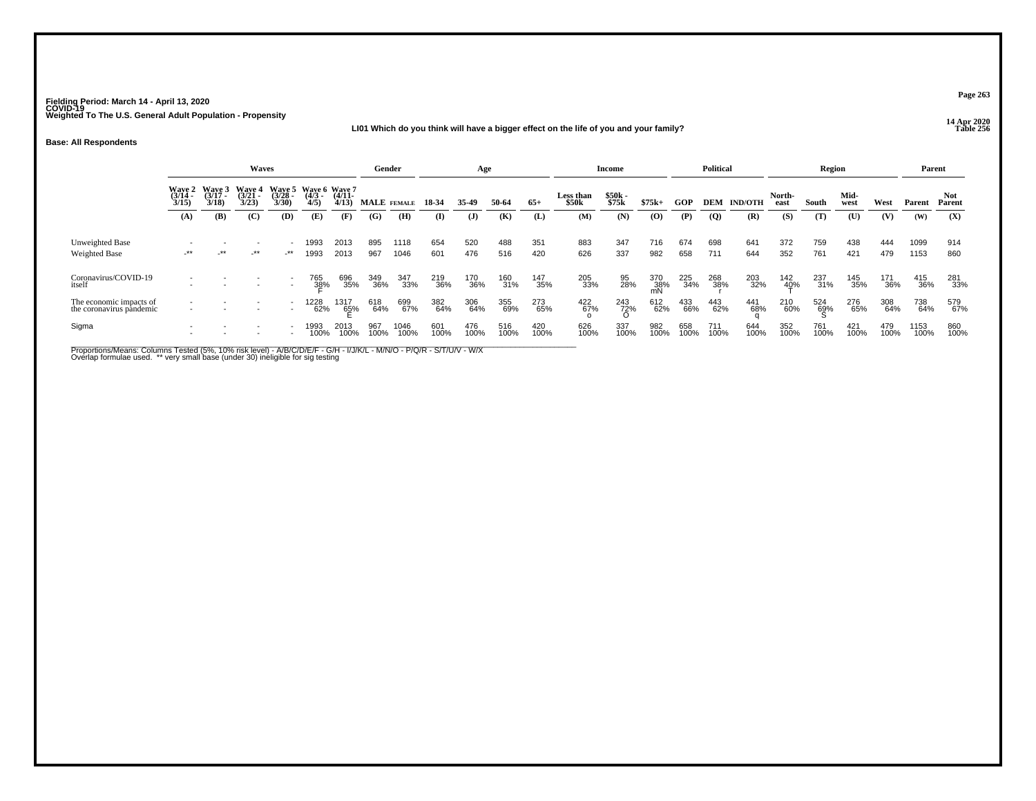### **14 Apr 2020 LI01 Which do you think will have a bigger effect on the life of you and your family?**

#### **Base: All Respondents**

|                                                     |                          |                                          | Waves                   |                                           |                     |                      |             | Gender       |             | Age          |             |             |                    | <b>Income</b>     |             |             | <b>Political</b> |                |                     | Region      |              |             | Parent       |               |
|-----------------------------------------------------|--------------------------|------------------------------------------|-------------------------|-------------------------------------------|---------------------|----------------------|-------------|--------------|-------------|--------------|-------------|-------------|--------------------|-------------------|-------------|-------------|------------------|----------------|---------------------|-------------|--------------|-------------|--------------|---------------|
|                                                     | $\frac{(3714)}{3/15}$    | Wave 2 Wave 3<br>(3/14 - (3/17 -<br>3/18 | Wave 4<br>(3/21<br>3/23 | Wave 5 Wave 6 Wave 7<br>$(3/28 -$<br>3/30 | $\frac{(4/3)}{4/5}$ | $(4/11 -$<br>4/13    |             | MALE FEMALE  | 18 34       | 35.49        | 50-64       | $65+$       | Less than<br>\$50k | $$50k -$<br>\$75k | $$75k+$     | GOP         | DEM              | <b>IND/OTH</b> | North-<br>east      | South       | Mid-<br>west | West        | Parent       | Not<br>Parent |
|                                                     | (A)                      | <b>(B)</b>                               | (C)                     | (D)                                       | (E)                 | (F)                  | (G)         | (H)          | (I)         | $\mathbf{J}$ | (K)         | (L)         | (M)                | (N)               | (O)         | (P)         | $\overline{Q}$   | (R)            | (S)                 | (T)         | (U)          | (V)         | (W)          | (X)           |
| Unweighted Base<br><b>Weighted Base</b>             | $-***$                   | $\cdot$ **                               | -**                     | $\rightarrow$                             | 1993<br>1993        | 2013<br>2013         | 895<br>967  | 1118<br>1046 | 654<br>601  | 520<br>476   | 488<br>516  | 351<br>420  | 883<br>626         | 347<br>337        | 716<br>982  | 674<br>658  | 698<br>711       | 641<br>644     | 372<br>352          | 759<br>761  | 438<br>421   | 444<br>479  | 1099<br>1153 | 914<br>860    |
| Coronavirus/COVID-19<br>itself                      |                          | $\overline{\phantom{a}}$                 |                         | $\overline{\phantom{a}}$                  | 765<br>38%          | 696<br>35%           | 349<br>36%  | 347<br>33%   | 219<br>36%  | 170<br>36%   | 160<br>31%  | 147<br>35%  | 205<br>33%         | 95<br>28%         | 370<br>38%  | 225<br>34%  | 268<br>38%       | 203<br>32%     | 142<br>4 <u>0</u> % | 237<br>31%  | 145<br>35%   | 171<br>36%  | 415<br>36%   | 281<br>33%    |
| The economic impacts of<br>the coronavirus pandemic |                          |                                          |                         | $\overline{\phantom{0}}$                  | 1228<br>62%         | 1317<br>6 <u>5</u> % | 618<br>64%  | 699<br>67%   | 382<br>64%  | 306<br>64%   | 355<br>69%  | 273<br>65%  | 422<br>67%         | 243<br>72%<br>O   | 612<br>62%  | 433<br>66%  | 443<br>62%       | 441<br>68%     | 210<br>60%          | 524<br>69%  | 276<br>65%   | 308<br>64%  | 738<br>64%   | 579<br>67%    |
| Sigma                                               | $\overline{\phantom{a}}$ |                                          |                         |                                           | 1993<br>100%        | 2013<br>100%         | 967<br>100% | 1046<br>100% | 601<br>100% | 476<br>100%  | 516<br>100% | 420<br>100% | 626<br>100%        | 337<br>100%       | 982<br>100% | 658<br>100% | 711<br>100%      | 644<br>100%    | 352<br>100%         | 761<br>100% | 421<br>100%  | 479<br>100% | 1153<br>100% | 860<br>100%   |

Proportions/Means: Columns Tested (5%, 10% risk level) - A/B/C/D/E/F - G/H - I/J/K/L - M/N/O - P/Q/R - S/T/U/V - W/X<br>Overlap formulae used. \*\* very small base (under 30) ineligible for sig testing

**Page 263**

**P** Table 256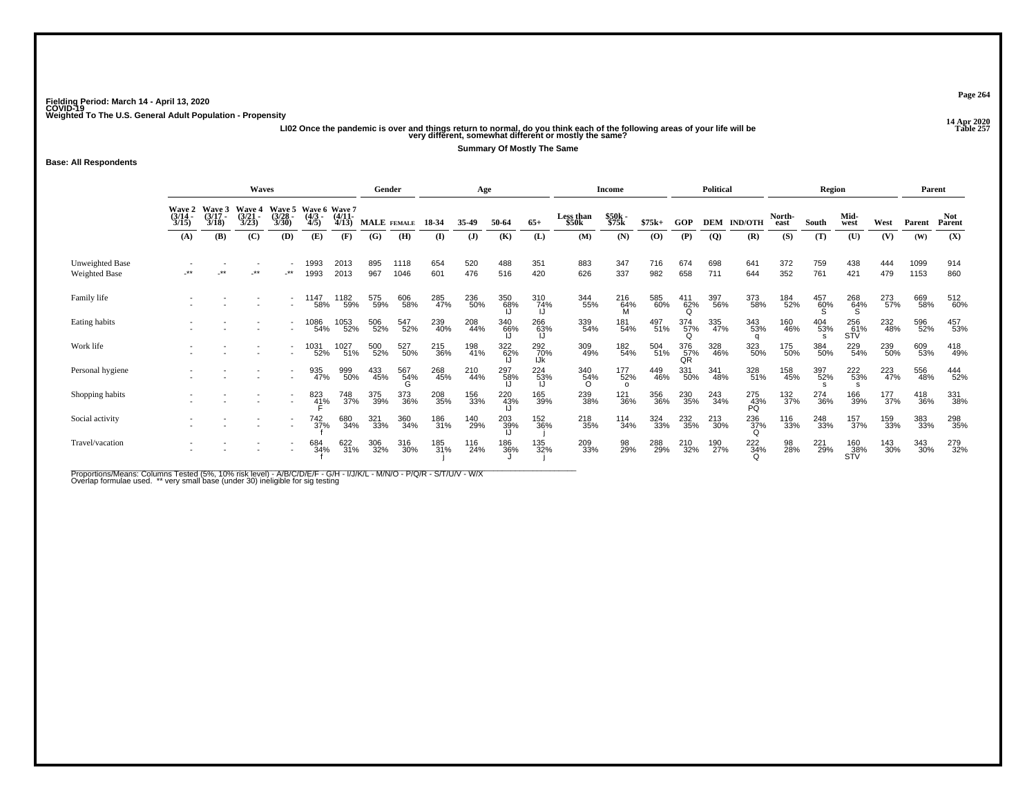ر 14 Apr 2020<br>Ll02 Once the pandemic is over and things return to normal, do you think each of the following areas of your life will be<br>Very different, somewhat different or mostly the same?

**Summary Of Mostly The Same**

**Base: All Respondents**

|                                         |                           |                             | Waves                       |                          |                                       |              | Gender     |              |            | Age            |                 |                   |                                | <b>Income</b>          |            |                        | <b>Political</b> |                      |                  | Region          |                        |            | Parent       |                      |
|-----------------------------------------|---------------------------|-----------------------------|-----------------------------|--------------------------|---------------------------------------|--------------|------------|--------------|------------|----------------|-----------------|-------------------|--------------------------------|------------------------|------------|------------------------|------------------|----------------------|------------------|-----------------|------------------------|------------|--------------|----------------------|
|                                         | Wave 2<br>(3/14 -<br>3/15 | Wave 3<br>$(3/17 -$<br>3/18 | Wave 4<br>$(3/21 -$<br>3/23 | Wave 5<br>(3/28)<br>3/30 | Wave 6 Wave 7<br>(4/3 - (4/11-<br>4/5 | 4/13         |            | MALE FEMALE  | 18 34      | 35.49          | 50-64           | $65+$             | Less than<br>\$50 <sub>k</sub> | \$50k -<br>\$75k       | $$75k+$    | GOP                    |                  | <b>DEM IND/OTH</b>   | North-<br>east   | South           | Mid-<br>west           | West       | Parent       | <b>Not</b><br>Parent |
|                                         | (A)                       | (B)                         | (C)                         | (D)                      | (E)                                   | (F)          | (G)        | (H)          | $($ I      | $($ $\bf{J}$ ) | (K)             | (L)               | (M)                            | (N)                    | (O)        | (P)                    | $\overline{Q}$   | (R)                  | (S)              | (T)             | (U)                    | (V)        | (W)          | (X)                  |
| Unweighted Base<br><b>Weighted Base</b> | $***$                     | $\star\star$                | .**                         | $.**$                    | 1993<br>1993                          | 2013<br>2013 | 895<br>967 | 1118<br>1046 | 654<br>601 | 520<br>476     | 488<br>516      | 351<br>420        | 883<br>626                     | 347<br>337             | 716<br>982 | 674<br>658             | 698<br>711       | 641<br>644           | 372<br>352       | 759<br>761      | 438<br>421             | 444<br>479 | 1099<br>1153 | 914<br>860           |
| Family life                             |                           |                             |                             |                          | 1147<br>58%                           | 1182<br>59%  | 575<br>59% | 606<br>58%   | 285<br>47% | 236<br>50%     | 350<br>68%      | 310<br>74%        | 344<br>55%                     | 216<br>64%<br>M        | 585<br>60% | 411<br>62%<br>$\Omega$ | 397<br>56%       | 373<br>58%           | 184<br>52%       | 457<br>60%<br>S | 268<br>64%<br>S        | 273<br>57% | 669<br>58%   | 512<br>60%           |
| Eating habits                           |                           |                             |                             |                          | 1086<br>54%                           | 1053<br>52%  | 506<br>52% | 547<br>52%   | 239<br>40% | 208<br>44%     | 340<br>66%      | 266<br>63%        | 339<br>54%                     | 181<br>54%             | 497<br>51% | 374<br>57%<br>$\Omega$ | 335<br>47%       | 343<br>53%           | 160<br>46%       | 404<br>53%      | 256<br>61%<br>STV      | 232<br>48% | 596<br>52%   | 457<br>53%           |
| Work life                               |                           |                             |                             |                          | 1031<br>52%                           | 1027<br>51%  | 500<br>52% | 527<br>50%   | 215<br>36% | 198<br>41%     | 322<br>62%      | 292<br>70%<br>IJk | 309<br>49%                     | 182<br>54%             | 504<br>51% | 376<br>57%<br>QR       | 328<br>46%       | 323<br>50%           | 175<br>50%       | 384<br>50%      | 229<br>54%             | 239<br>50% | 609<br>53%   | 418<br>49%           |
| Personal hygiene                        |                           |                             |                             |                          | 935<br>47%                            | 999<br>50%   | 433<br>45% | 567<br>54%   | 268<br>45% | 210<br>44%     | 297<br>58%      | 224<br>53%        | 340<br>54%<br>$\Omega$         | 177<br>52%<br>$\Omega$ | 449<br>46% | 331<br>50%             | 341<br>48%       | 328<br>51%           | 158<br>45%       | 397<br>52%      | 222<br>53%             | 223<br>47% | 556<br>48%   | 444<br>52%           |
| Shopping habits                         |                           |                             |                             |                          | 823<br>41%                            | 748<br>37%   | 375<br>39% | 373<br>36%   | 208<br>35% | 156<br>33%     | 220<br>43%      | 165<br>39%        | 239<br>38%                     | <sup>121</sup> 36%     | 356<br>36% | 230<br>35%             | 243<br>34%       | 275<br>43%<br>PÕ     | 132 <sub>%</sub> | 274<br>36%      | 166<br>39%             | 177%       | 418<br>36%   | 331<br>38%           |
| Social activity                         |                           |                             |                             |                          | 742<br>37%                            | 680<br>34%   | 321<br>33% | 360<br>34%   | 186<br>31% | 140<br>29%     | $^{203}_{39\%}$ | 152<br>36%        | 218<br>35%                     | 114<br>34%             | 324<br>33% | 232<br>35%             | 213<br>30%       | $^{236}_{37\%}$<br>O | 116<br>33%       | 248<br>33%      | 157<br>37%             | 159<br>33% | 383<br>33%   | 298<br>35%           |
| Travel/vacation                         |                           |                             |                             |                          | 684<br>34%                            | 622<br>31%   | 306<br>32% | 316<br>30%   | 185<br>31% | 116<br>24%     | 186<br>36%      | 135<br>32%        | 209<br>33%                     | 98<br>29%              | 288<br>29% | 210<br>32%             | 190<br>27%       | 222<br>34%<br>Ω      | 98<br>28%        | 221<br>29%      | 160<br>$\frac{38}{15}$ | 143<br>30% | 343<br>30%   | 279<br>32%           |

Proportions/Means: Columns Tested (5%, 10% risk level) - A/B/C/D/E/F - G/H - I/J/K/L - M/N/O - P/Q/R - S/T/U/V - W/X<br>Overlap formulae used. \*\* very small base (under 30) ineligible for sig testing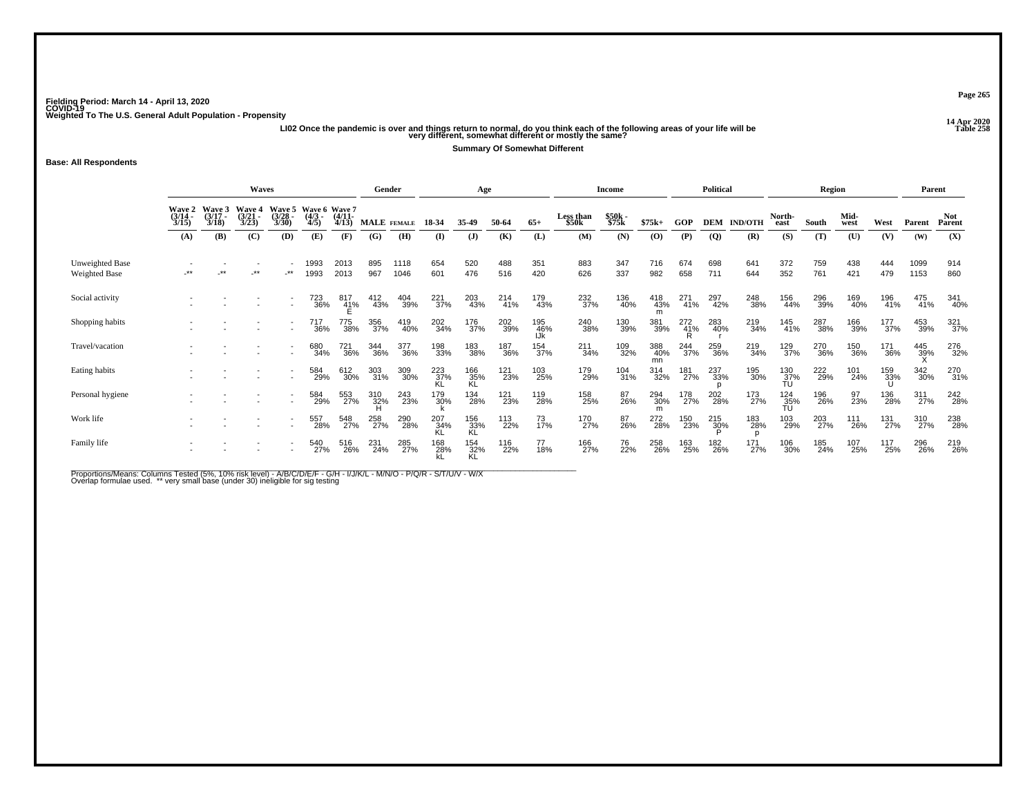ر 14 Apr 2020<br>LI02 Once the pandemic is over and things return to normal, do you think each of the following areas of your life will be<br>very different, somewhat different or mostly the same?

**Summary Of Somewhat Different**

**Base: All Respondents**

|                                         | Waves                     |                             |                             |                                 |                                     |              | Gender      |              |                  | Age              |            |                   |                                | <b>Income</b>     |                  |            | <b>Political</b> |                    |                  | Region     |              |            | Parent       |                      |
|-----------------------------------------|---------------------------|-----------------------------|-----------------------------|---------------------------------|-------------------------------------|--------------|-------------|--------------|------------------|------------------|------------|-------------------|--------------------------------|-------------------|------------------|------------|------------------|--------------------|------------------|------------|--------------|------------|--------------|----------------------|
|                                         | Waye 2<br>(3/14 -<br>3/15 | Wave 3<br>$(3/17 -$<br>3/18 | Wave 4<br>$(3/21 -$<br>3/23 | <b>Wave 5</b><br>(3/28)<br>3/30 | Wave 6 Wave 7<br>(4/3 (4/11)<br>4/5 | 4/13         | MALE FEMALE |              | 18-34            | 35-49            | 50-64      | $65+$             | Less than<br>\$50 <sub>k</sub> | $$50k -$<br>\$75k | $$75k+$          | GOP        |                  | <b>DEM IND/OTH</b> | North-<br>east   | South      | Mid-<br>west | West       | Parent       | <b>Not</b><br>Parent |
|                                         | (A)                       | (B)                         | (C)                         | (D)                             | (E)                                 | (F)          | (G)         | (H)          | (I)              | $($ $)$          | (K)        | (L)               | (M)                            | (N)               | (O)              | (P)        | $\overline{Q}$   | (R)                | (S)              | (T)        | (U)          | (V)        | (W)          | (X)                  |
| Unweighted Base<br><b>Weighted Base</b> | $***$                     | $***$                       | $***$                       | -**                             | 1993<br>1993                        | 2013<br>2013 | 895<br>967  | 1118<br>1046 | 654<br>601       | 520<br>476       | 488<br>516 | 351<br>420        | 883<br>626                     | 347<br>337        | 716<br>982       | 674<br>658 | 698<br>711       | 641<br>644         | 372<br>352       | 759<br>761 | 438<br>421   | 444<br>479 | 1099<br>1153 | 914<br>860           |
| Social activity                         |                           |                             |                             |                                 | 723<br>36%                          | 817<br>41%   | 412<br>43%  | 404<br>39%   | 221<br>37%       | 203<br>43%       | 214<br>41% | 179<br>43%        | 232<br>37%                     | 136<br>40%        | 418<br>43%<br>m  | 271<br>41% | 297<br>42%       | 248<br>38%         | 156<br>44%       | 296<br>39% | 169<br>40%   | 196<br>41% | 475<br>41%   | 341<br>40%           |
| Shopping habits                         |                           |                             |                             |                                 | 717<br>36%                          | 775<br>38%   | 356<br>37%  | 419<br>40%   | 202<br>34%       | 176<br>37%       | 202<br>39% | 195<br>46%<br>IJk | 240<br>38%                     | 130<br>39%        | 381<br>39%       | 272<br>41% | 283<br>40%       | 219<br>34%         | 145<br>41%       | 287<br>38% | 166<br>39%   | 177<br>37% | 453<br>39%   | 321<br>37%           |
| Travel/vacation                         |                           |                             |                             |                                 | 680<br>34%                          | 721<br>36%   | 344<br>36%  | 377<br>36%   | 198<br>33%       | 183<br>38%       | 187<br>36% | 154<br>37%        | 211<br>34%                     | 109<br>32%        | 388<br>40%<br>mn | 244<br>37% | 259<br>36%       | 219<br>34%         | 129<br>37%       | 270<br>36% | 150<br>36%   | 171<br>36% | 445<br>39%   | 276<br>32%           |
| Eating habits                           |                           |                             |                             |                                 | 584<br>29%                          | 612<br>30%   | 303<br>31%  | 309<br>30%   | 223<br>37%       | 166<br>35%<br>KL | 121<br>23% | 103<br>25%        | 179<br>29%                     | $^{104}_{31\%}$   | 314<br>32%       | 181<br>27% | 237<br>33%       | 195<br>30%         | 130<br>37%<br>TU | 222<br>29% | 101<br>24%   | 159<br>33% | 342<br>30%   | 270<br>31%           |
| Personal hygiene                        |                           |                             |                             |                                 | 584<br>29%                          | 553<br>27%   | 310<br>32%  | 243<br>23%   | 179<br>30%       | 134<br>28%       | 121<br>23% | 119<br>28%        | 158<br>25%                     | 87<br>26%         | 294<br>30%<br>m  | 178<br>27% | 202<br>28%       | 173<br>27%         | $^{124}_{35\%}$  | 196<br>26% | 97<br>23%    | 136<br>28% | 311<br>27%   | 242<br>28%           |
| Work life                               |                           |                             |                             |                                 | 557<br>28%                          | 548<br>27%   | 258<br>27%  | 290<br>28%   | 207<br>34%<br>KL | 156<br>33%<br>KL | 113<br>22% | 73<br>17%         | 170<br>27%                     | 87<br>26%         | 272<br>28%       | 150<br>23% | 215<br>30%       | 183<br>28%         | 103<br>29%       | 203<br>27% | 111<br>26%   | 131<br>27% | 310<br>27%   | 238<br>28%           |
| Family life                             |                           |                             |                             |                                 | 540<br>27%                          | 516<br>26%   | 231<br>24%  | 285<br>27%   | 168<br>28%       | 154<br>32%<br>KL | 116<br>22% | 77<br>18%         | 166<br>27%                     | 76<br>22%         | 258<br>26%       | 163<br>25% | 182<br>26%       | 171<br>27%         | 106<br>30%       | 185<br>24% | 107<br>25%   | 117<br>25% | 296<br>26%   | 219<br>26%           |

Proportions/Means: Columns Tested (5%, 10% risk level) - A/B/C/D/E/F - G/H - I/J/K/L - M/N/O - P/Q/R - S/T/U/V - W/X<br>Overlap formulae used. \*\* very small base (under 30) ineligible for sig testing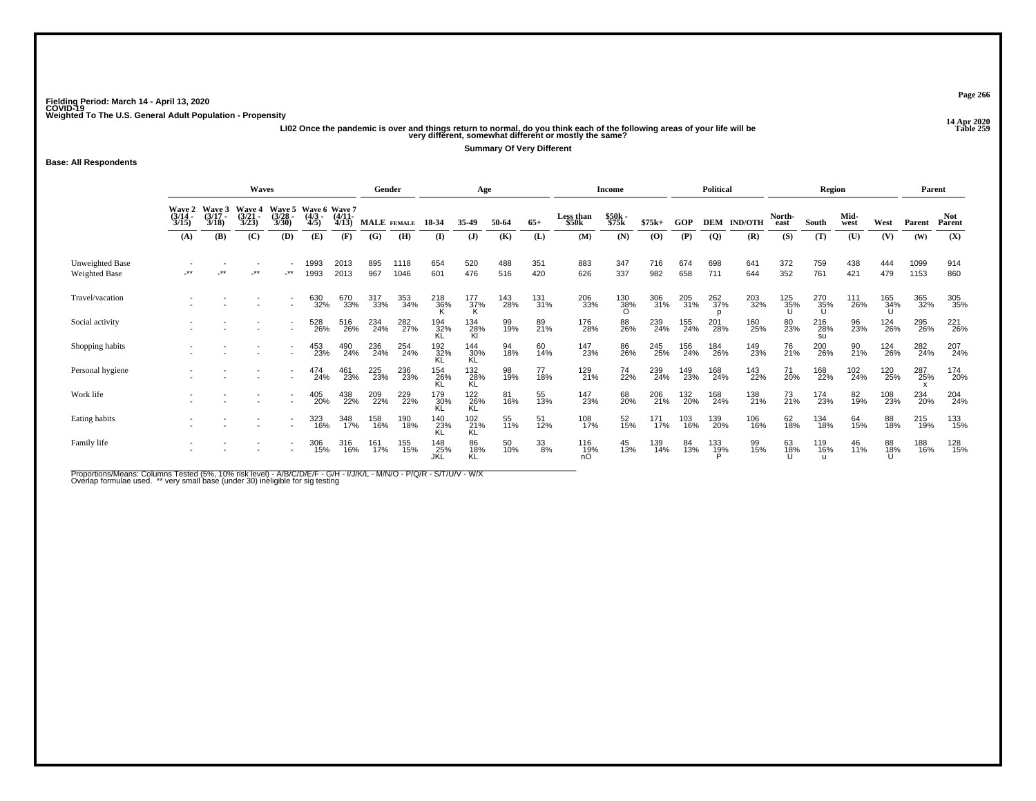y<br>LI02 Once the pandemic is over and things return to normal, do you think each of the following areas of your life will be the same of the following areas of your life will be the same of the same?<br>Very different, somewha

**Summary Of Very Different**

**Base: All Respondents**

|                                  |                           | <b>Waves</b>   |                         |                         | Gender                                |              |             | Age          |                   |                    |            | Income     |                    |                        | <b>Political</b> |            |                | Region             |                |                  | Parent       |                                |              |                  |
|----------------------------------|---------------------------|----------------|-------------------------|-------------------------|---------------------------------------|--------------|-------------|--------------|-------------------|--------------------|------------|------------|--------------------|------------------------|------------------|------------|----------------|--------------------|----------------|------------------|--------------|--------------------------------|--------------|------------------|
|                                  | Wave 2<br>(3/14 -<br>3/15 | Wave 3<br>3/18 | Wave 4<br>(3/21<br>3/23 | Waye 5<br>(3/28<br>3/30 | Wave 6 Wave 7<br>(4/3 - (4/11-<br>4/5 | 4/13         | MALE FEMALE |              | 18-34             | 35-49              | 50-64      | $65+$      | Less than<br>\$50k | \$50k<br>\$75k         | $$75k+$          | GOP        |                | <b>DEM IND/OTH</b> | North-<br>east | South            | Mid-<br>west | West                           | Parent       | Not<br>Parent    |
|                                  | (A)                       | (B)            | (C)                     | (D)                     | (E)                                   | (F)          | (G)         | (H)          | (I)               | $\mathbf{J}$       | (K)        | (L)        | (M)                | (N)                    | $\bf{(0)}$       | (P)        | $\overline{Q}$ | (R)                | (S)            | (T)              | (U)          | (V)                            | (W)          | (X)              |
| Unweighted Base<br>Weighted Base | **                        | **             | $***$                   | $\cdot$ **              | 1993<br>1993                          | 2013<br>2013 | 895<br>967  | 1118<br>1046 | 654<br>601        | 520<br>476         | 488<br>516 | 351<br>420 | 883<br>626         | 347<br>337             | 716<br>982       | 674<br>658 | 698<br>711     | 641<br>644         | 372<br>352     | 759<br>761       | 438<br>421   | 444<br>479                     | 1099<br>1153 | 914<br>860       |
| Travel/vacation                  |                           |                |                         |                         | 630<br>32%                            | 670<br>33%   | 317<br>33%  | 353<br>34%   | 218<br>36%        | $\frac{177}{37\%}$ | 143<br>28% | 131<br>31% | 206<br>33%         | 130<br>38%<br>$\Omega$ | 306<br>31%       | 205<br>31% | 262<br>37%     | 203<br>32%         | 125<br>35%     | 270<br>35%<br>U  | 111<br>26%   | 165<br>34%                     | 365<br>32%   | 305<br>35%       |
| Social activity                  |                           |                |                         |                         | 528<br>26%                            | 516<br>26%   | 234<br>24%  | 282<br>27%   | 194<br>32%        | 134<br>28%<br>Kl   | 99<br>19%  | 89<br>21%  | 176<br>28%         | 88<br>26%              | 239<br>24%       | 155<br>24% | 201<br>28%     | 160<br>25%         | 80<br>23%      | 216<br>28%<br>SU | 96<br>23%    | <sup>124</sup> <sub>26</sub> % | 295<br>26%   | 221<br>26%       |
| Shopping habits                  |                           |                |                         |                         | 453<br>23%                            | 490<br>24%   | 236<br>24%  | 254<br>24%   | 192<br>32%<br>KL  | 144<br>30%<br>KL   | 94<br>18%  | 60<br>14%  | 147<br>23%         | 86<br>26%              | 245<br>25%       | 156<br>24% | 184<br>26%     | 149<br>23%         | 76<br>21%      | 200<br>26%       | 90<br>21%    | 124<br>26%                     | 282<br>24%   | 207<br>24%       |
| Personal hygiene                 |                           |                |                         |                         | 474<br>24%                            | 461<br>23%   | 225<br>23%  | 236<br>23%   | 154<br>26%        | 132<br>28%<br>KĹ   | 98<br>19%  | 77<br>18%  | 129<br>21%         | 74<br>22%              | 239<br>24%       | 149<br>23% | 168<br>24%     | 143<br>22%         | 71<br>20%      | 168<br>22%       | 102<br>24%   | 120<br>25%                     | 287<br>25%   | 174<br>20%       |
| Work life                        |                           |                |                         |                         | 405<br>20%                            | 438<br>22%   | 209<br>22%  | 229<br>22%   | 179<br>30%        | 122<br>26%<br>KL   | 81<br>16%  | 55<br>13%  | 147<br>23%         | 68<br>20%              | 206<br>21%       | 132<br>20% | 168<br>24%     | 138<br>21%         | 73<br>21%      | 174<br>23%       | 82<br>19%    | 108<br>23%                     | 234<br>20%   | 204 <sub>%</sub> |
| Eating habits                    |                           |                |                         |                         | 323<br>16%                            | 348<br>17%   | 158<br>16%  | 190<br>18%   | 140<br>23%<br>KL  | 102<br>21%<br>KL   | 55<br>11%  | 51<br>12%  | 108<br>17%         | 52<br>15%              | 171<br>17%       | 103<br>16% | 139<br>20%     | 106<br>16%         | 62<br>18%      | 134<br>18%       | 64<br>15%    | 88<br>18%                      | 215<br>19%   | 133<br>15%       |
| Family life                      |                           |                |                         |                         | 306<br>15%                            | 316<br>16%   | 161<br>17%  | 155<br>15%   | 148<br>25%<br>JKL | 86<br>18%<br>KL    | 50<br>10%  | 33<br>8%   | 116<br>19%         | 45<br>13%              | 139<br>14%       | 84<br>13%  | 133<br>19%     | 99<br>15%          | 63<br>18%      | 119<br>16%       | 46<br>11%    | 88<br>18%                      | 188<br>16%   | 128<br>15%       |

Proportions/Means: Columns Tested (5%, 10% risk level) - A/B/C/D/E/F - G/H - I/J/K/L - M/N/O - P/Q/R - S/T/U/V - W/X<br>Overlap formulae used. \*\* very small base (under 30) ineligible for sig testing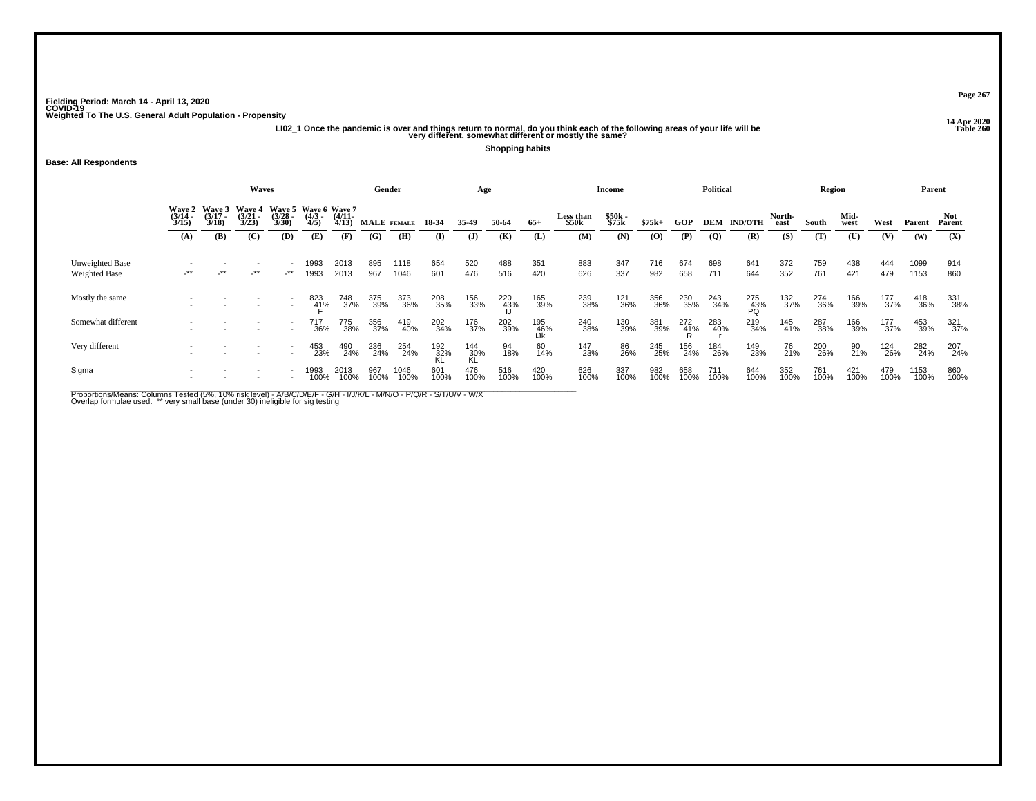# **14 Apr 2020 LI02\_1 Once the pandemic is over and things return to normal, do you think each of the following areas of your life will be Table 260 very different, somewhat different or mostly the same?**

**Shopping habits**

#### **Base: All Respondents**

|                                         | <b>Waves</b>               |                                                                                                                                                               |        |                          |              |              |             | Gender       |                    | Age                            |                 |                    |             | Income      |                |                | <b>Political</b> |                  |             | Region      |               |             | Parent       |             |
|-----------------------------------------|----------------------------|---------------------------------------------------------------------------------------------------------------------------------------------------------------|--------|--------------------------|--------------|--------------|-------------|--------------|--------------------|--------------------------------|-----------------|--------------------|-------------|-------------|----------------|----------------|------------------|------------------|-------------|-------------|---------------|-------------|--------------|-------------|
|                                         | Wave 2<br>(3/14 -<br>3/15) | Wave 3<br>Wave 5<br>Wave 6 Wave 7<br><b>Wave 4</b><br>(3/21<br>$\frac{(3717)}{3/18}$<br>$(4/11 -$<br>$(3/28 -$<br>$\frac{(4/3)}{4/5}$<br>3/23<br>3/30<br>4/13 |        |                          | MALE FEMALE  | 18 34        | 35-49       | 50-64        | $65+$              | Less than<br>\$50 <sub>k</sub> | \$50k<br>\$75k  | $$75k+$            | <b>GOP</b>  | <b>DEM</b>  | <b>IND/OTH</b> | North-<br>east | South            | Mid-<br>west     | West        | Parent      | Not<br>Parent |             |              |             |
|                                         | (A)                        | (B)                                                                                                                                                           | (C)    | (D)                      | (E)          | (F)          | (G)         | (H)          | (I)                | $\mathbf{J}$                   | (K)             | (L)                | (M)         | (N)         | $\bf{(0)}$     | (P)            | $\mathbf{Q}$     | (R)              | (S)         | (T)         | (U)           | (V)         | (W)          | (X)         |
| Unweighted Base<br><b>Weighted Base</b> | -**                        | $\cdot$ **                                                                                                                                                    | $-***$ | $-***$                   | 1993<br>1993 | 2013<br>2013 | 895<br>967  | 1118<br>1046 | 654<br>601         | 520<br>476                     | 488<br>516      | 351<br>420         | 883<br>626  | 347<br>337  | 716<br>982     | 674<br>658     | 698<br>711       | 641<br>644       | 372<br>352  | 759<br>761  | 438<br>421    | 444<br>479  | 1099<br>1153 | 914<br>860  |
| Mostly the same                         |                            |                                                                                                                                                               |        |                          | 823<br>41%   | 748<br>37%   | 375<br>39%  | 373<br>36%   | 208<br>35%         | 156<br>33%                     | $^{220}_{43\%}$ | 165<br>39%         | 239<br>38%  | 121<br>36%  | 356<br>36%     | 230<br>35%     | 243<br>34%       | 275<br>43%<br>PQ | 132<br>37%  | 274<br>36%  | 166<br>39%    | 177<br>37%  | 418<br>36%   | 331<br>38%  |
| Somewhat different                      |                            |                                                                                                                                                               |        | $\overline{\phantom{a}}$ | 717<br>36%   | 775<br>38%   | 356<br>37%  | 419<br>40%   | 202<br>34%         | 176<br>37%                     | 202<br>39%      | 195<br>-46%<br>IJk | 240<br>38%  | 130<br>39%  | 381<br>39%     | 272<br>41%     | 283<br>40%       | 219<br>34%       | 145<br>41%  | 287<br>38%  | 166<br>39%    | 177<br>37%  | 453<br>39%   | 321<br>37%  |
| Very different                          |                            |                                                                                                                                                               |        |                          | 453<br>23%   | 490<br>24%   | 236<br>24%  | 254<br>24%   | $\frac{192}{32\%}$ | 144<br>30%                     | 94<br>18%       | 60<br>14%          | 147<br>23%  | 86<br>26%   | 245<br>25%     | 156<br>24%     | 184<br>26%       | 149<br>23%       | 76<br>21%   | 200<br>26%  | 90<br>21%     | 124<br>26%  | 282<br>24%   | 207<br>24%  |
| Sigma                                   |                            |                                                                                                                                                               |        |                          | 1993<br>100% | 2013<br>100% | 967<br>100% | 1046<br>100% | 601<br>100%        | 476<br>100%                    | 516<br>100%     | 420<br>100%        | 626<br>100% | 337<br>100% | 982<br>100%    | 658<br>100%    | 711<br>100%      | 644<br>100%      | 352<br>100% | 761<br>100% | 421<br>100%   | 479<br>100% | 1153<br>100% | 860<br>100% |

Proportions/Means: Columns Tested (5%, 10% risk level) - A/B/C/D/E/F - G/H - I/J/K/L - M/N/O - P/Q/R - S/T/U/V - W/X<br>Overlap formulae used. \*\* very small base (under 30) ineligible for sig testing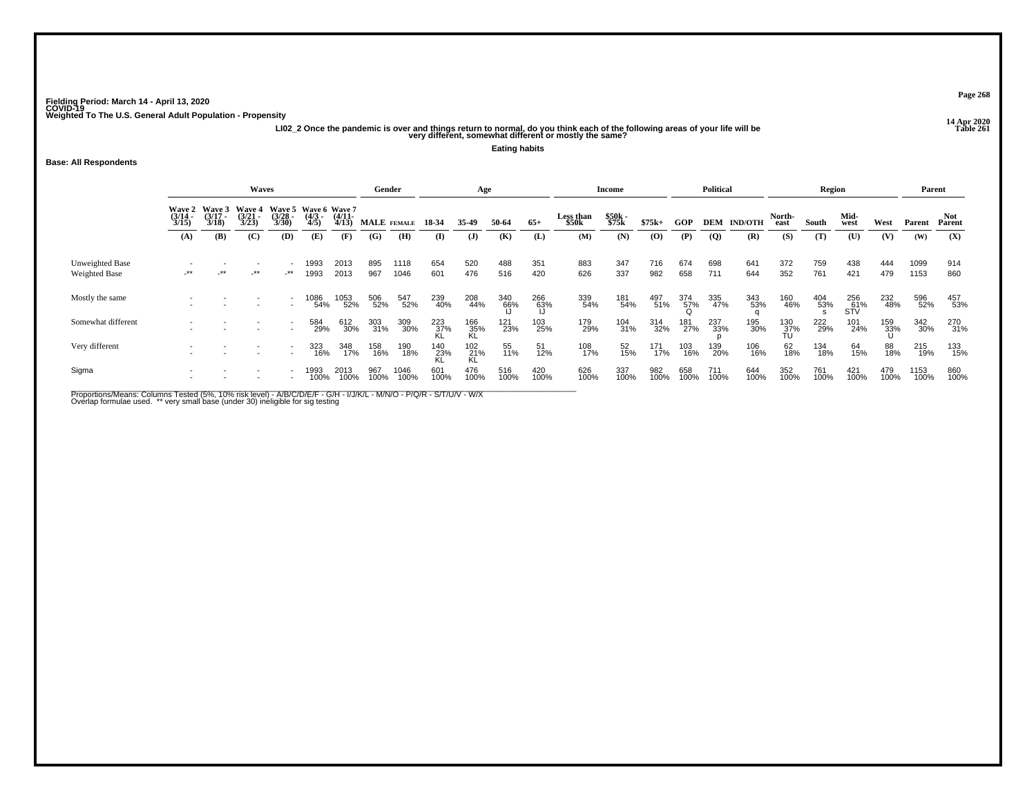**14 Apr 2020 LI02\_2 Once the pandemic is over and things return to normal, do you think each of the following areas of your life will be Table 261 very different, somewhat different or mostly the same?**

**Eating habits**

#### **Base: All Respondents**

|                                         | <b>Waves</b>             |                          |                                    |                                    |                                      |                   |             | Gender       |                  | Age              |                  |                  |                    | Income         |             |             | <b>Political</b> |                |                  | Region      |                   |             | Parent       |                      |
|-----------------------------------------|--------------------------|--------------------------|------------------------------------|------------------------------------|--------------------------------------|-------------------|-------------|--------------|------------------|------------------|------------------|------------------|--------------------|----------------|-------------|-------------|------------------|----------------|------------------|-------------|-------------------|-------------|--------------|----------------------|
|                                         | Wave 2<br>(3/14<br>3/15) | Wave 3<br>(3/17<br>3/18) | <b>Wave 4</b><br>$(3/21 -$<br>3/23 | <b>Wave 5</b><br>$(3/28 -$<br>3/30 | Wave 6 Wave 7<br>$\frac{(4/3)}{4/5}$ | $(4/11 -$<br>4/13 |             | MALE FEMALE  | 18 34            | 35.49            | 50-64            | $65+$            | Less than<br>\$50k | \$50k<br>\$75k | $$75k+$     | <b>GOP</b>  | <b>DEM</b>       | <b>IND/OTH</b> | North-<br>east   | South       | Mid-<br>west      | West        | Parent       | <b>Not</b><br>Parent |
|                                         | (A)                      | (B)                      | (C)                                | (D)                                | (E)                                  | (F)               | (G)         | (H)          | (I)              | $\mathbf{J}$     | (K)              | (L)              | (M)                | (N)            | $\bf{(0)}$  | (P)         | $\overline{Q}$   | (R)            | (S)              | (T)         | (U)               | (V)         | (W)          | (X)                  |
| Unweighted Base<br><b>Weighted Base</b> | $-***$                   | $\cdot$ **               | $-***$                             | _**                                | 1993<br>1993                         | 2013<br>2013      | 895<br>967  | 1118<br>1046 | 654<br>601       | 520<br>476       | 488<br>516       | 351<br>420       | 883<br>626         | 347<br>337     | 716<br>982  | 674<br>658  | 698<br>711       | 641<br>644     | 372<br>352       | 759<br>761  | 438<br>421        | 444<br>479  | 1099<br>1153 | 914<br>860           |
| Mostly the same                         |                          |                          |                                    |                                    | 1086<br>54%                          | 1053<br>52%       | 506<br>52%  | 547<br>52%   | 239<br>40%       | 208<br>44%       | 340<br>66%<br>Li | 266<br>63%<br>IJ | 339<br>54%         | 181<br>54%     | 497<br>51%  | 374<br>57%  | 335<br>47%       | 343<br>53%     | 160<br>46%       | 404<br>53%  | 256<br>61%<br>STV | 232<br>48%  | 596<br>52%   | 457<br>53%           |
| Somewhat different                      |                          |                          |                                    |                                    | 584<br>29%                           | 612<br>30%        | 303<br>31%  | 309<br>30%   | 223<br>37%<br>KL | 166<br>35%<br>KL | 121<br>23%       | 103<br>25%       | 179<br>29%         | 104<br>31%     | 314<br>32%  | 181<br>27%  | 237<br>33%       | 195<br>30%     | 130<br>37%<br>TU | 222<br>29%  | 101<br>24%        | 159<br>33%  | 342<br>30%   | 270<br>31%           |
| Very different                          |                          |                          |                                    | $\overline{\phantom{a}}$           | 323<br>16%                           | 348<br>17%        | 158<br>16%  | 190<br>18%   | 140<br>23%<br>KL | 102<br>21%<br>KL | 55<br>11%        | 51<br>12%        | 108<br>17%         | 52<br>15%      | 171<br>17%  | 103<br>16%  | 139<br>20%       | 106<br>16%     | 62<br>18%        | 134<br>18%  | 64<br>15%         | 88<br>18%   | 215<br>19%   | 133<br>15%           |
| Sigma                                   |                          |                          |                                    |                                    | 1993<br>100%                         | 2013<br>100%      | 967<br>100% | 1046<br>100% | 601<br>100%      | 476<br>100%      | 516<br>100%      | 420<br>100%      | 626<br>100%        | 337<br>100%    | 982<br>100% | 658<br>100% | 711<br>100%      | 644<br>100%    | 352<br>100%      | 761<br>100% | 421<br>100%       | 479<br>100% | 1153<br>100% | 860<br>100%          |

Proportions/Means: Columns Tested (5%, 10% risk level) - A/B/C/D/E/F - G/H - I/J/K/L - M/N/O - P/Q/R - S/T/U/V - W/X<br>Overlap formulae used. \*\* very small base (under 30) ineligible for sig testing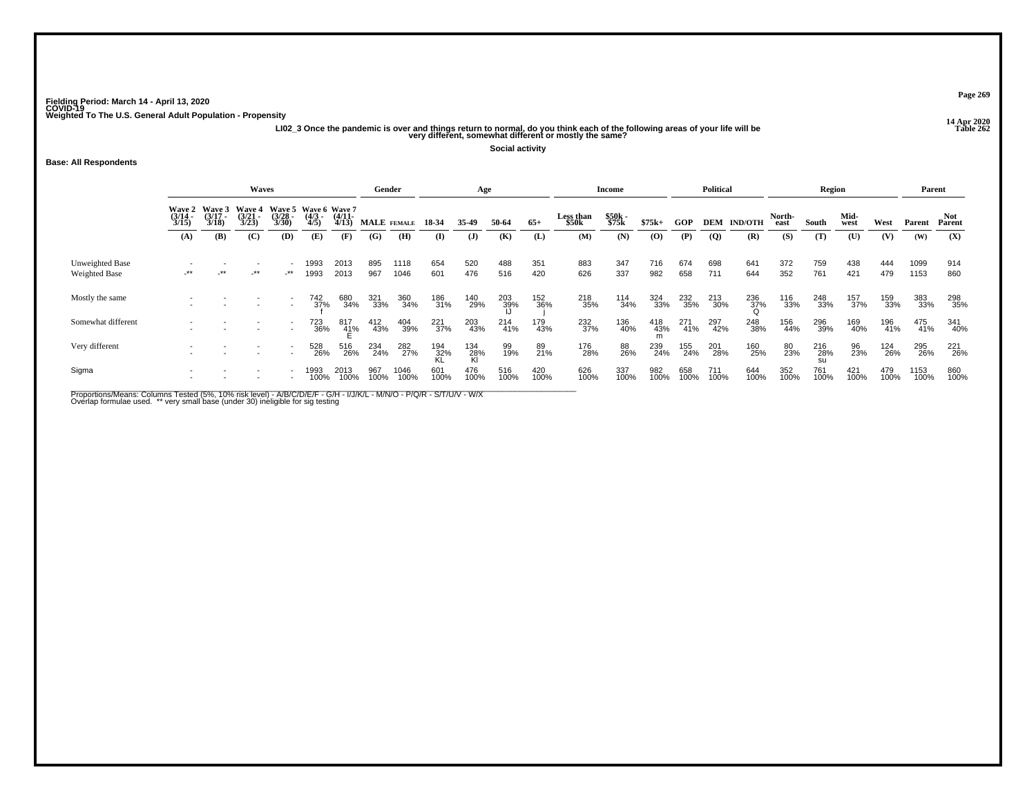**14 Apr 2020 LI02\_3 Once the pandemic is over and things return to normal, do you think each of the following areas of your life will be Table 262 very different, somewhat different or mostly the same?**

**Social activity**

#### **Base: All Respondents**

|                                  | Waves                                                                                                                                                                                 |        |        |                          |              |                 |             | Gender       |                    | Age              |             |             |             | Income         |                |             | <b>Political</b> |             |             | Region           |             |             | Parent       |             |
|----------------------------------|---------------------------------------------------------------------------------------------------------------------------------------------------------------------------------------|--------|--------|--------------------------|--------------|-----------------|-------------|--------------|--------------------|------------------|-------------|-------------|-------------|----------------|----------------|-------------|------------------|-------------|-------------|------------------|-------------|-------------|--------------|-------------|
|                                  | Wave 3<br>(3/17<br>3/18)<br>Waye 5<br>(3/28<br>3/30)<br>Wave 6 Wave 7<br>(4/3 - (4/11 -<br>Wave 2<br>$\frac{(3/14)}{3/15}$<br>Wave 4<br>(3/21<br>3/23)<br>$\frac{(4/3)}{4/5}$<br>4/13 |        |        | MALE FEMALE              | 18-34        | 35-49           | 50-64       | $65+$        | Less than<br>\$50k | \$50k<br>\$75k   | $$75k+$     | GOP         | DEM         | <b>IND/OTH</b> | North-<br>east | South       | Mid-<br>west     | West        | Parent      | Not<br>Parent    |             |             |              |             |
|                                  | (A)                                                                                                                                                                                   | (B)    | (C)    | (D)                      | (E)          | (F)             | (G)         | (H)          | $\mathbf{I}$       | $\mathbf{J}$     | (K)         | (L)         | (M)         | (N)            | $\bf{(0)}$     | (P)         | $\mathbf{Q}$     | (R)         | (S)         | (T)              | (U)         | (V)         | (W)          | (X)         |
| Unweighted Base<br>Weighted Base | $\cdot^{\star\star}$                                                                                                                                                                  | $-$ ** | $-***$ | _**                      | 1993<br>1993 | 2013<br>2013    | 895<br>967  | 1118<br>1046 | 654<br>601         | 520<br>476       | 488<br>516  | 351<br>420  | 883<br>626  | 347<br>337     | 716<br>982     | 674<br>658  | 698<br>711       | 641<br>644  | 372<br>352  | 759<br>761       | 438<br>421  | 444<br>479  | 1099<br>1153 | 914<br>860  |
| Mostly the same                  |                                                                                                                                                                                       |        |        |                          | 742<br>37%   | 680<br>34%      | 321<br>33%  | 360<br>34%   | 186<br>31%         | 140<br>29%       | 203<br>39%  | 152<br>36%  | 218<br>35%  | 114<br>34%     | 324<br>33%     | 232<br>35%  | 213<br>30%       | 236<br>37%  | 116<br>33%  | 248<br>33%       | 157<br>37%  | 159<br>33%  | 383<br>33%   | 298<br>35%  |
| Somewhat different               |                                                                                                                                                                                       |        |        | $\overline{\phantom{a}}$ | 723<br>36%   | $^{817}_{41\%}$ | 412<br>43%  | 404<br>39%   | 221<br>37%         | 203<br>43%       | 214<br>41%  | 179<br>43%  | 232<br>37%  | 136<br>40%     | 418<br>43%     | 271<br>41%  | 297<br>42%       | 248<br>38%  | 156<br>44%  | 296<br>39%       | 169<br>40%  | 196<br>41%  | 475<br>41%   | 341<br>40%  |
| Very different                   |                                                                                                                                                                                       |        |        | $\overline{\phantom{a}}$ | 528<br>26%   | 516<br>26%      | 234<br>24%  | 282<br>27%   | 194<br>32%<br>KL   | 134<br>28%<br>Kl | 99<br>19%   | 89<br>21%   | 176<br>28%  | 88<br>26%      | 239<br>24%     | 155<br>24%  | 201<br>28%       | 160<br>25%  | 80<br>23%   | 216<br>28%<br>SU | 96<br>23%   | 124<br>26%  | 295<br>26%   | 221<br>26%  |
| Sigma                            |                                                                                                                                                                                       |        |        |                          | 1993<br>100% | 2013<br>100%    | 967<br>100% | 1046<br>100% | 601<br>100%        | 476<br>100%      | 516<br>100% | 420<br>100% | 626<br>100% | 337<br>100%    | 982<br>100%    | 658<br>100% | 711<br>100%      | 644<br>100% | 352<br>100% | 761<br>100%      | 421<br>100% | 479<br>100% | 1153<br>100% | 860<br>100% |

Proportions/Means: Columns Tested (5%, 10% risk level) - A/B/C/D/E/F - G/H - I/J/K/L - M/N/O - P/Q/R - S/T/U/V - W/X<br>Overlap formulae used. \*\* very small base (under 30) ineligible for sig testing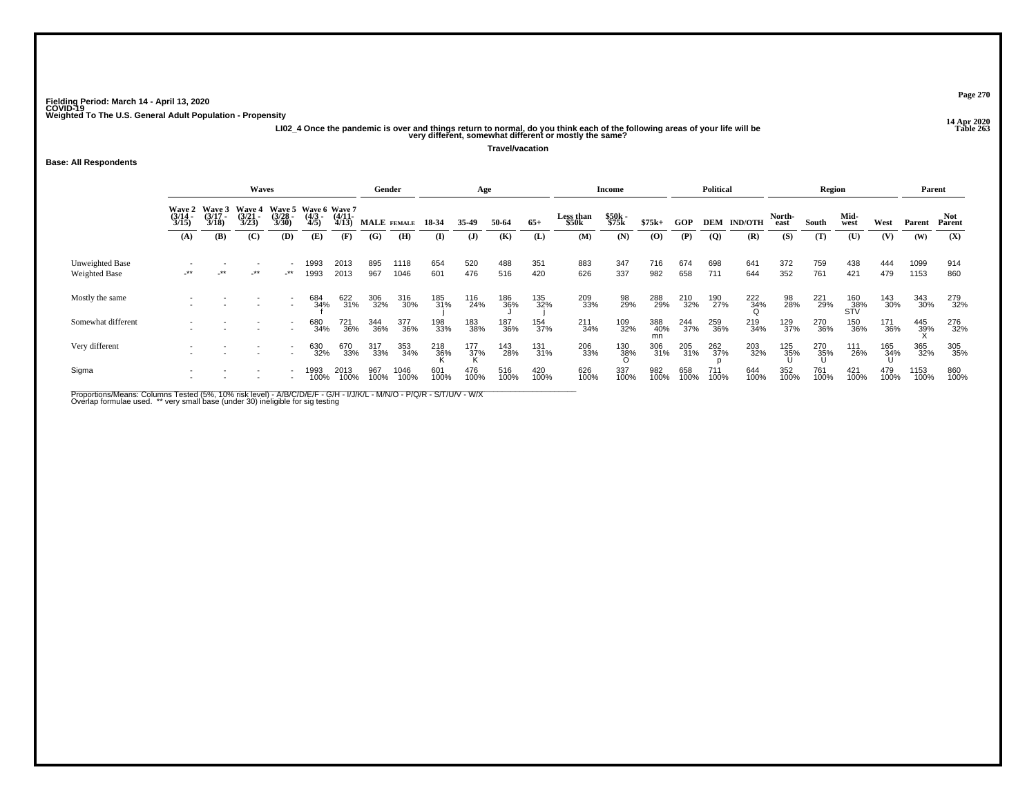**14 Apr 2020 LI02\_4 Once the pandemic is over and things return to normal, do you think each of the following areas of your life will be Table 263 very different, somewhat different or mostly the same?**

**Travel/vacation**

#### **Base: All Respondents**

|                                  | <b>Waves</b>             |                             |                                 |                                    |                                      |                   |             | Gender       |             | Age                |             |             |                    | Income         |             |             | <b>Political</b> |                    |                | Region      |                   |             | Parent       |                |
|----------------------------------|--------------------------|-----------------------------|---------------------------------|------------------------------------|--------------------------------------|-------------------|-------------|--------------|-------------|--------------------|-------------|-------------|--------------------|----------------|-------------|-------------|------------------|--------------------|----------------|-------------|-------------------|-------------|--------------|----------------|
|                                  | Wave 2<br>(3/14<br>3/15) | Wave 3<br>$(3/17 -$<br>3/18 | <b>Wave 4</b><br>(3/21)<br>3/23 | <b>Wave 5</b><br>$(3/28 -$<br>3/30 | Wave 6 Wave 7<br>$\frac{(4/3)}{4/5}$ | $(4/11 -$<br>4/13 |             | MALE FEMALE  | 18 34       | 35.49              | 50-64       | $65+$       | Less than<br>\$50k | \$50k<br>\$75k | $$75k+$     | <b>GOP</b>  | <b>DEM</b>       | <b>IND/OTH</b>     | North-<br>east | South       | Mid-<br>west      | West        | Parent       | Not.<br>Parent |
|                                  | (A)                      | (B)                         | (C)                             | (D)                                | (E)                                  | (F)               | (G)         | (H)          | (I)         | $\mathbf{J}$       | (K)         | (L)         | (M)                | (N)            | $\bf{(0)}$  | (P)         | $\overline{Q}$   | (R)                | (S)            | (T)         | (U)               | (V)         | (W)          | (X)            |
| Unweighted Base<br>Weighted Base | -**                      | -**                         | $-***$                          | $-***$                             | 1993<br>1993                         | 2013<br>2013      | 895<br>967  | 1118<br>1046 | 654<br>601  | 520<br>476         | 488<br>516  | 351<br>420  | 883<br>626         | 347<br>337     | 716<br>982  | 674<br>658  | 698<br>711       | 641<br>644         | 372<br>352     | 759<br>761  | 438<br>421        | 444<br>479  | 1099<br>1153 | 914<br>860     |
| Mostly the same                  |                          |                             |                                 |                                    | 684<br>34%                           | 622<br>31%        | 306<br>32%  | 316<br>30%   | 185<br>31%  | 116<br>24%         | 186<br>36%  | 135<br>32%  | 209<br>33%         | 98<br>29%      | 288<br>29%  | 210<br>32%  | 190<br>27%       | $\frac{222}{34\%}$ | 98<br>28%      | 221<br>29%  | 160<br>38%<br>STV | 143<br>30%  | 343<br>30%   | 279<br>32%     |
| Somewhat different               |                          |                             |                                 |                                    | 680<br>34%                           | 721<br>36%        | 344<br>36%  | 377<br>36%   | 198<br>33%  | 183<br>38%         | 187<br>36%  | 154<br>37%  | 211<br>34%         | 109<br>32%     | 388<br>40%  | 244<br>37%  | 259<br>36%       | 219<br>34%         | 129<br>37%     | 270<br>36%  | 150<br>36%        | 171<br>36%  | 445<br>39%   | 276<br>32%     |
| Very different                   |                          |                             |                                 |                                    | 630<br>32%                           | 670<br>33%        | 317<br>33%  | 353<br>34%   | 218<br>36%  | $\frac{177}{37\%}$ | 143<br>28%  | 131<br>31%  | 206<br>33%         | 130<br>38%     | 306<br>31%  | 205<br>31%  | 262<br>37%       | 203<br>32%         | 125<br>35%     | 270<br>35%  | 111<br>26%        | 165<br>34%  | 365<br>32%   | 305<br>35%     |
| Sigma                            |                          |                             |                                 |                                    | 1993<br>100%                         | 2013<br>100%      | 967<br>100% | 1046<br>100% | 601<br>100% | 476<br>100%        | 516<br>100% | 420<br>100% | 626<br>100%        | 337<br>100%    | 982<br>100% | 658<br>100% | 711<br>100%      | 644<br>100%        | 352<br>100%    | 761<br>100% | 421<br>100%       | 479<br>100% | 1153<br>100% | 860<br>100%    |

Proportions/Means: Columns Tested (5%, 10% risk level) - A/B/C/D/E/F - G/H - I/J/K/L - M/N/O - P/Q/R - S/T/U/V - W/X<br>Overlap formulae used. \*\* very small base (under 30) ineligible for sig testing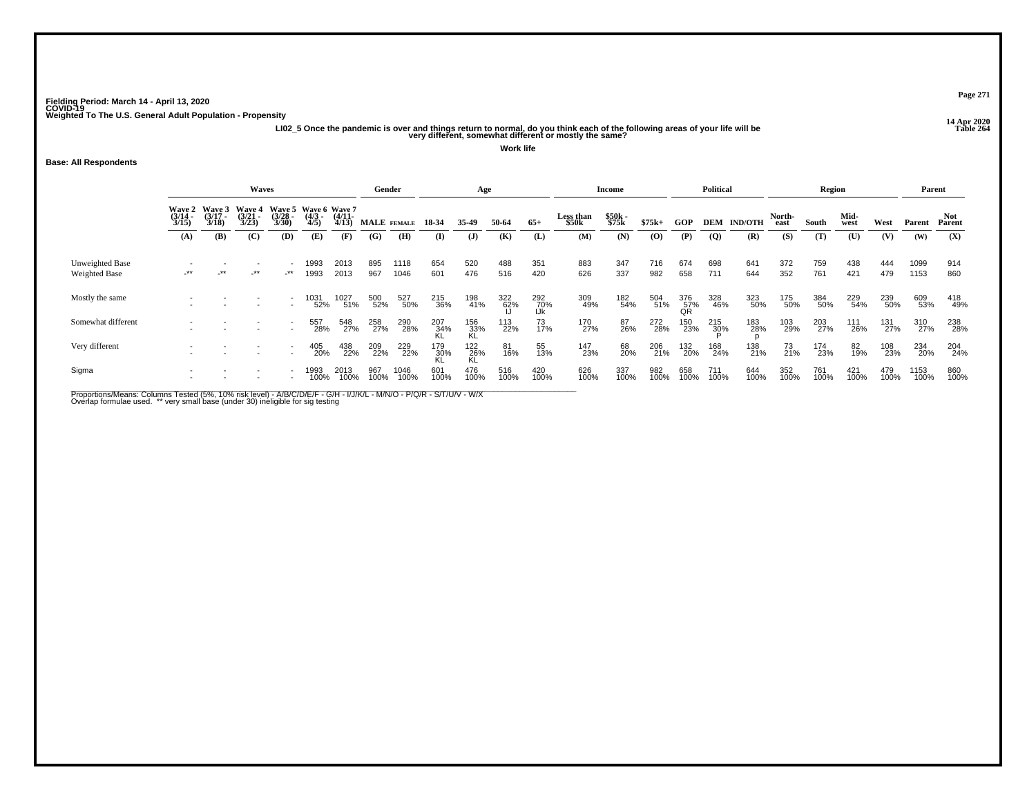ر در 14 Apr 2020<br>Ll02\_5 Once the pandemic is over and things return to normal, do you think each of the following areas of your life will be<br>"Very different, somewhat different or mostly the same?

**Work life**

#### **Base: All Respondents**

|                                         |                                    |                             | <b>Waves</b>                       |                          |                                      |                   | Gender      |              |                 | Age              |                    |                   |                                | <b>Income</b>  |             |                  | <b>Political</b> |                |                | <b>Region</b> |              |                    | Parent       |                      |
|-----------------------------------------|------------------------------------|-----------------------------|------------------------------------|--------------------------|--------------------------------------|-------------------|-------------|--------------|-----------------|------------------|--------------------|-------------------|--------------------------------|----------------|-------------|------------------|------------------|----------------|----------------|---------------|--------------|--------------------|--------------|----------------------|
|                                         | <b>Wave 2</b><br>$(3/14 -$<br>3/15 | Wave 3<br>$(3/17 -$<br>3/18 | <b>Wave 4</b><br>$(3/21 -$<br>3/23 | Wave 5<br>(3/28)<br>3/30 | Wave 6 Wave 7<br>$\frac{(4/3)}{4/5}$ | $(4/11 -$<br>4/13 |             | MALE FEMALE  | 18-34           | 35.49            | 50-64              | $65+$             | Less than<br>\$50 <sub>k</sub> | \$50k<br>\$75k | $$75k+$     | <b>GOP</b>       | <b>DEM</b>       | <b>IND/OTH</b> | North-<br>east | South         | Mid-<br>west | West               | Parent       | <b>Not</b><br>Parent |
|                                         | (A)                                | (B)                         | (C)                                | (D)                      | (E)                                  | (F)               | (G)         | (H)          | $($ I           | $\mathbf{J}$     | (K)                | (L)               | (M)                            | (N)            | $\bf{(0)}$  | (P)              | $\overline{Q}$   | (R)            | (S)            | (T)           | (U)          | (V)                | (W)          | (X)                  |
| Unweighted Base<br><b>Weighted Base</b> | $-***$                             | $-***$                      | $-***$                             | _**                      | 1993<br>1993                         | 2013<br>2013      | 895<br>967  | 1118<br>1046 | 654<br>601      | 520<br>476       | 488<br>516         | 351<br>420        | 883<br>626                     | 347<br>337     | 716<br>982  | 674<br>658       | 698<br>711       | 641<br>644     | 372<br>352     | 759<br>761    | 438<br>421   | 444<br>479         | 1099<br>1153 | 914<br>860           |
| Mostly the same                         |                                    |                             |                                    |                          | 1031<br>52%                          | 1027<br>51%       | 500<br>52%  | 527<br>50%   | 215<br>36%      | 198<br>41%       | $\frac{322}{62\%}$ | 292<br>70%<br>IJk | 309<br>49%                     | 182<br>54%     | 504<br>51%  | 376<br>57%<br>QR | 328<br>46%       | 323<br>50%     | 175<br>50%     | 384<br>50%    | 229<br>54%   | 239<br>50%         | 609<br>53%   | 418<br>49%           |
| Somewhat different                      |                                    |                             |                                    |                          | 557<br>28%                           | 548<br>27%        | 258<br>27%  | 290<br>28%   | $^{207}_{34\%}$ | 156<br>33%<br>KL | 113<br>22%         | 73<br>17%         | 170<br>27%                     | 87<br>26%      | 272<br>28%  | 150<br>23%       | 215<br>30%       | 183<br>28%     | 103<br>29%     | 203<br>27%    | 111<br>26%   | 131 <sub>27%</sub> | 310<br>27%   | 238<br>28%           |
| Very different                          |                                    |                             |                                    |                          | 405<br>20%                           | 438<br>22%        | 209<br>22%  | 229<br>22%   | 179<br>30%      | 122<br>26%       | 81<br>16%          | 55<br>13%         | 147<br>23%                     | 68<br>20%      | 206<br>21%  | 132<br>20%       | 168<br>24%       | 138<br>21%     | 73<br>21%      | 174<br>23%    | 82<br>19%    | 108<br>23%         | 234<br>20%   | 204<br>24%           |
| Sigma                                   |                                    |                             |                                    |                          | 1993<br>100%                         | 2013<br>100%      | 967<br>100% | 1046<br>100% | 601<br>100%     | 476<br>100%      | 516<br>100%        | 420<br>100%       | 626<br>100%                    | 337<br>100%    | 982<br>100% | 658<br>100%      | 711<br>100%      | 644<br>100%    | 352<br>100%    | 761<br>100%   | 421<br>100%  | 479<br>100%        | 1153<br>100% | 860<br>100%          |

Proportions/Means: Columns Tested (5%, 10% risk level) - A/B/C/D/E/F - G/H - I/J/K/L - M/N/O - P/Q/R - S/T/U/V - W/X<br>Overlap formulae used. \*\* very small base (under 30) ineligible for sig testing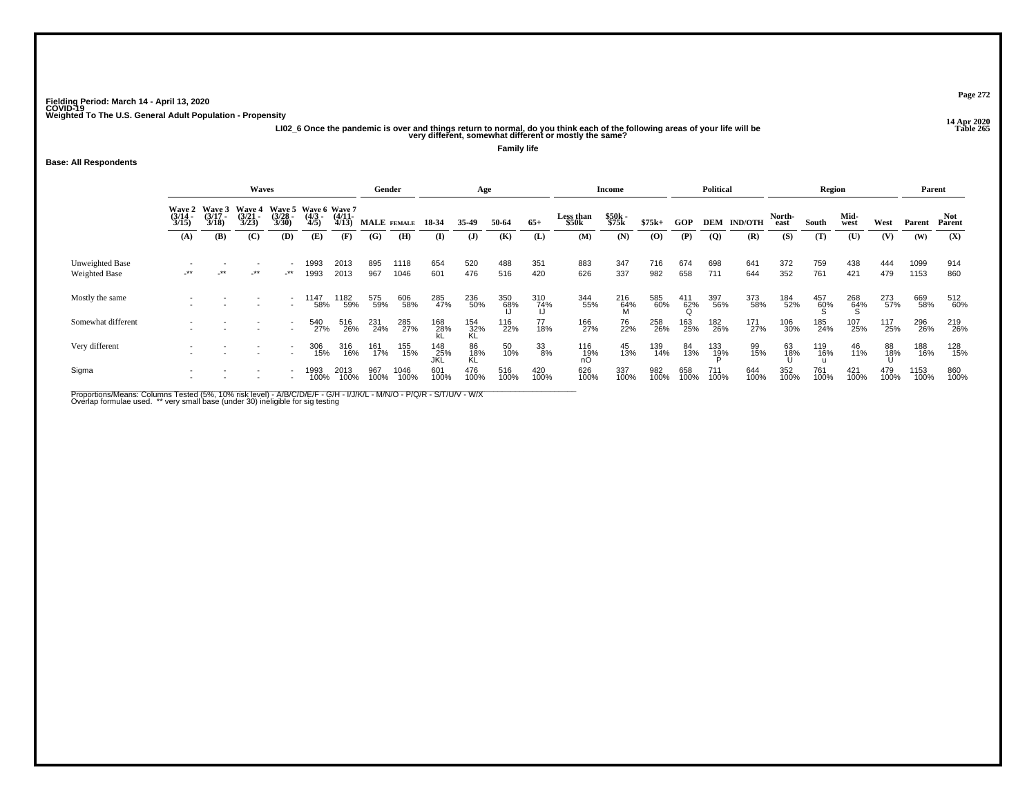**14 Apr 2020 LI02\_6 Once the pandemic is over and things return to normal, do you think each of the following areas of your life will be Table 265 very different, somewhat different or mostly the same?**

**Family life**

#### **Base: All Respondents**

|                                         | <b>Waves</b>             |                          |                                    |                                    |                                      |                   |             | Gender       |                | Age              |                      |                  |                    | Income          |             |                 | <b>Political</b> |                |                | Region      |              |             | Parent       |                      |
|-----------------------------------------|--------------------------|--------------------------|------------------------------------|------------------------------------|--------------------------------------|-------------------|-------------|--------------|----------------|------------------|----------------------|------------------|--------------------|-----------------|-------------|-----------------|------------------|----------------|----------------|-------------|--------------|-------------|--------------|----------------------|
|                                         | Wave 2<br>(3/14<br>3/15) | Waye 3<br>(3/17<br>3/18) | <b>Wave 4</b><br>$(3/21 -$<br>3/23 | <b>Wave 5</b><br>$(3/28 -$<br>3/30 | Wave 6 Wave 7<br>$\frac{(4/3)}{4/5}$ | $(4/11 -$<br>4/13 |             | MALE FEMALE  | 18 34          | 35.49            | 50-64                | $65+$            | Less than<br>\$50k | \$50k<br>\$75k  | $$75k+$     | GOP             | <b>DEM</b>       | <b>IND/OTH</b> | North-<br>east | South       | Mid-<br>west | West        | Parent       | <b>Not</b><br>Parent |
|                                         | (A)                      | (B)                      | (C)                                | (D)                                | (E)                                  | (F)               | (G)         | (H)          | (I)            | $\mathbf{J}$     | (K)                  | (L)              | (M)                | (N)             | $\bf{(0)}$  | (P)             | $\overline{Q}$   | (R)            | (S)            | (T)         | (U)          | (V)         | (W)          | (X)                  |
| Unweighted Base<br><b>Weighted Base</b> | $-***$                   | $-***$                   | $-***$                             | $-***$                             | 1993<br>1993                         | 2013<br>2013      | 895<br>967  | 1118<br>1046 | 654<br>601     | 520<br>476       | 488<br>516           | 351<br>420       | 883<br>626         | 347<br>337      | 716<br>982  | 674<br>658      | 698<br>711       | 641<br>644     | 372<br>352     | 759<br>761  | 438<br>421   | 444<br>479  | 1099<br>1153 | 914<br>860           |
| Mostly the same                         |                          |                          |                                    |                                    | 1147<br>58%                          | 182<br>59%        | 575<br>59%  | 606<br>58%   | 285<br>47%     | 236<br>50%       | 350<br>- 68%<br>- Li | 310<br>74%<br>JJ | 344<br>55%         | 216<br>64%<br>M | 585<br>60%  | $^{411}_{62\%}$ | 397<br>56%       | 373<br>58%     | 184<br>52%     | 457<br>60%  | 268<br>64%   | 273<br>57%  | 669<br>58%   | 512<br>60%           |
| Somewhat different                      |                          |                          |                                    |                                    | 540<br>27%                           | 516<br>26%        | 231<br>24%  | 285<br>27%   | 168<br>28%     | 154<br>32%<br>KL | 116<br>22%           | 77<br>18%        | 166<br>27%         | 76<br>22%       | 258<br>26%  | 163<br>25%      | 182<br>26%       | 171<br>27%     | 106<br>30%     | 185<br>24%  | 107<br>25%   | 117<br>25%  | 296<br>26%   | 219<br>26%           |
| Very different                          |                          |                          |                                    | $\overline{\phantom{a}}$           | 306<br>15%                           | 316<br>16%        | 161<br>17%  | 155<br>15%   | $148$<br>$25%$ | 86<br>18%<br>KL  | 50<br>10%            | 33<br>8%         | $^{116}_{19\%}$    | 45<br>13%       | 139<br>14%  | 84<br>13%       | 133<br>19%       | 99<br>15%      | 63<br>18%      | 119<br>16%  | 46<br>11%    | 88<br>18%   | 188<br>16%   | 128<br>15%           |
| Sigma                                   |                          |                          |                                    |                                    | 1993<br>100%                         | 2013<br>100%      | 967<br>100% | 1046<br>100% | 601<br>100%    | 476<br>100%      | 516<br>100%          | 420<br>100%      | 626<br>100%        | 337<br>100%     | 982<br>100% | 658<br>100%     | 711<br>100%      | 644<br>100%    | 352<br>100%    | 761<br>100% | 421<br>100%  | 479<br>100% | 1153<br>100% | 860<br>100%          |

Proportions/Means: Columns Tested (5%, 10% risk level) - A/B/C/D/E/F - G/H - I/J/K/L - M/N/O - P/Q/R - S/T/U/V - W/X<br>Overlap formulae used. \*\* very small base (under 30) ineligible for sig testing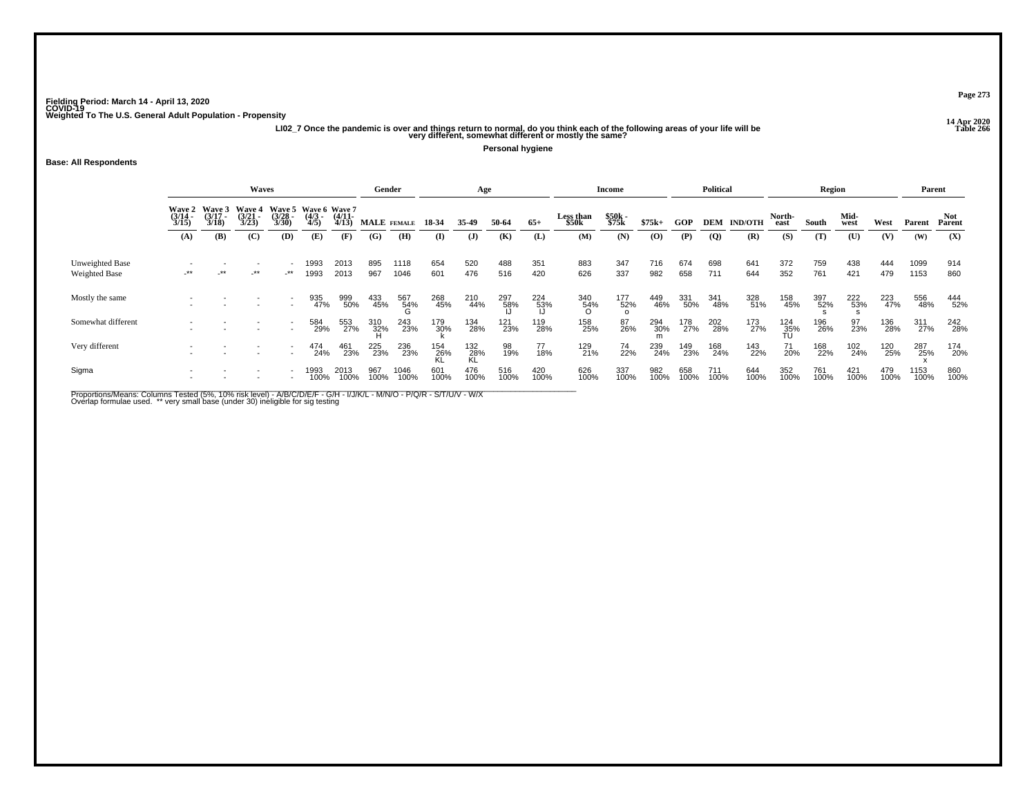**14 Apr 2020 LI02\_7 Once the pandemic is over and things return to normal, do you think each of the following areas of your life will be Table 266 very different, somewhat different or mostly the same?**

**Personal hygiene**

#### **Base: All Respondents**

|                                  |                         | Waves                  |                         |                          |                                                |              |             |              |             | Age          |             |                 |                    | <b>Income</b>   |             |             | <b>Political</b> |                |                    | Region      |              |             | Parent       |               |
|----------------------------------|-------------------------|------------------------|-------------------------|--------------------------|------------------------------------------------|--------------|-------------|--------------|-------------|--------------|-------------|-----------------|--------------------|-----------------|-------------|-------------|------------------|----------------|--------------------|-------------|--------------|-------------|--------------|---------------|
|                                  | Wave 2<br>(3/14<br>3/15 | Wave $3(3/17)$<br>3/18 | Wave 4<br>(3/21<br>3/23 | Waye 5<br>(3/28<br>3/30  | Wave 6 Wave 7<br>(4/3 - (4/11)<br>4/5) - 4/13) |              | MALE FEMALE |              | 18-34       | 35.49        | 50-64       | $65+$           | Less than<br>\$50k | \$50k<br>\$75k  | $$75k+$     | <b>GOP</b>  | DEM              | <b>IND/OTH</b> | North-<br>east     | South       | Mid-<br>west | West        | Parent       | Not<br>Parent |
|                                  | (A)                     | (B)                    | (C)                     | (D)                      | (E)                                            | (F)          | (G)         | (H)          | (I)         | $\mathbf{J}$ | (K)         | (L)             | (M)                | (N)             | (O)         | (P)         | $\overline{Q}$   | (R)            | (S)                | (T)         | (U)          | (V)         | (W)          | (X)           |
| Unweighted Base<br>Weighted Base | $-***$                  | $\rightarrow$          | -**                     | $\rightarrow$            | 1993<br>1993                                   | 2013<br>2013 | 895<br>967  | 1118<br>1046 | 654<br>601  | 520<br>476   | 488<br>516  | 351<br>420      | 883<br>626         | 347<br>337      | 716<br>982  | 674<br>658  | 698<br>711       | 641<br>644     | 372<br>352         | 759<br>761  | 438<br>421   | 444<br>479  | 1099<br>1153 | 914<br>860    |
| Mostly the same                  |                         |                        |                         |                          | 935<br>47%                                     | 999<br>50%   | 433<br>45%  | 567<br>54%   | 268<br>45%  | 210<br>44%   | 297<br>58%  | $^{224}_{53\%}$ | 340<br>54%<br>O    | 177<br>52%<br>0 | 449<br>46%  | 331<br>50%  | 341<br>48%       | 328<br>51%     | 158<br>45%         | 397<br>52%  | 222<br>53%   | 223<br>47%  | 556<br>48%   | 444<br>52%    |
| Somewhat different               |                         |                        |                         |                          | 584<br>29%                                     | 553<br>27%   | 310<br>32%  | 243<br>23%   | 179<br>30%  | 134<br>28%   | 121<br>23%  | 119<br>28%      | 158<br>25%         | 87<br>26%       | 294<br>30%  | 178<br>27%  | 202<br>28%       | 173<br>27%     | $\frac{124}{35\%}$ | 196<br>26%  | 97<br>23%    | 136<br>28%  | 311<br>27%   | 242<br>28%    |
| Very different                   |                         |                        |                         | $\overline{\phantom{0}}$ | 474<br>24%                                     | 461<br>23%   | 225<br>23%  | 236<br>23%   | 154<br>26%  | 132<br>28%   | 98<br>19%   | 77<br>18%       | 129<br>21%         | 74<br>22%       | 239<br>24%  | 149<br>23%  | 168<br>24%       | 143<br>22%     | 71<br>20%          | 168<br>22%  | 102<br>24%   | 120<br>25%  | 287<br>25%   | 174<br>20%    |
| Sigma                            |                         |                        |                         |                          | 1993<br>100%                                   | 2013<br>100% | 967<br>100% | 1046<br>100% | 601<br>100% | 476<br>100%  | 516<br>100% | 420<br>100%     | 626<br>100%        | 337<br>100%     | 982<br>100% | 658<br>100% | 711<br>100%      | 644<br>100%    | 352<br>100%        | 761<br>100% | 421<br>100%  | 479<br>100% | 1153<br>100% | 860<br>100%   |

Proportions/Means: Columns Tested (5%, 10% risk level) - A/B/C/D/E/F - G/H - I/J/K/L - M/N/O - P/Q/R - S/T/U/V - W/X<br>Overlap formulae used. \*\* very small base (under 30) ineligible for sig testing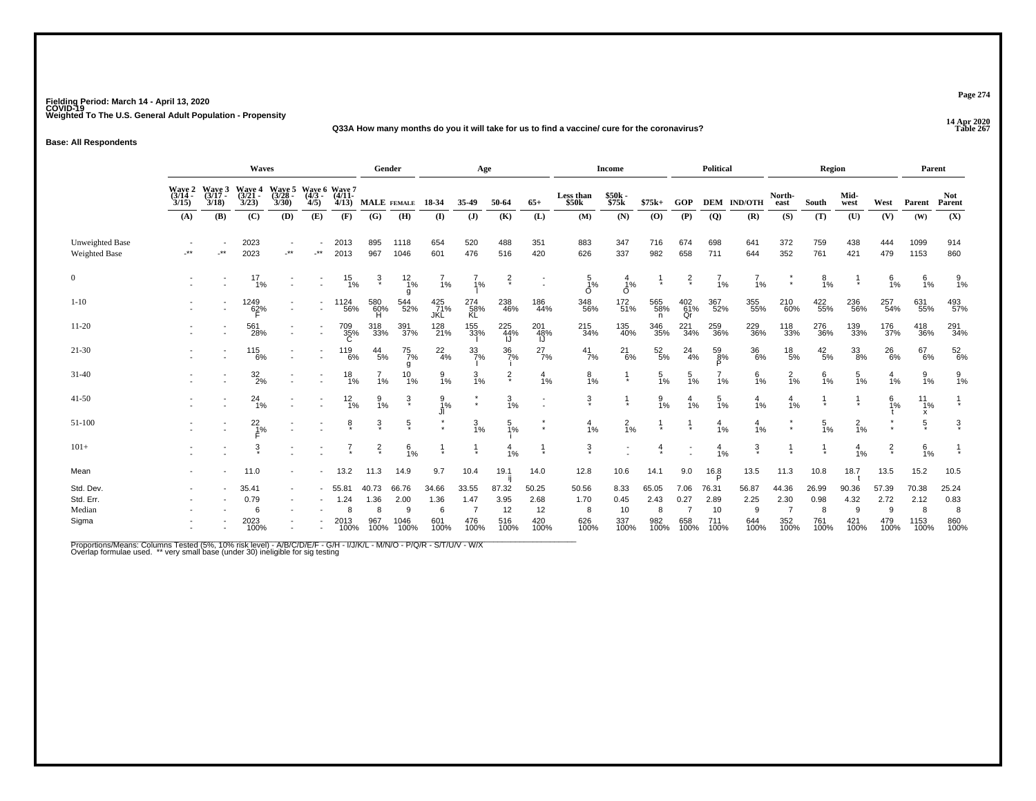#### **14 Apr 2020 Q33A How many months do you it will take for us to find a vaccine/ cure for the coronavirus?Table 267**

**Base: All Respondents**

|                                           |                                                                                                                                                                                  |            | Waves                         |       |                          |                               | Gender                            |                                    |                                   | Age                                            |                                    |                                    |                                   | <b>Income</b>                     |                                   |                             | Political                          |                                   |                              | Region                            |                                   |                                   | Parent                             |                                   |
|-------------------------------------------|----------------------------------------------------------------------------------------------------------------------------------------------------------------------------------|------------|-------------------------------|-------|--------------------------|-------------------------------|-----------------------------------|------------------------------------|-----------------------------------|------------------------------------------------|------------------------------------|------------------------------------|-----------------------------------|-----------------------------------|-----------------------------------|-----------------------------|------------------------------------|-----------------------------------|------------------------------|-----------------------------------|-----------------------------------|-----------------------------------|------------------------------------|-----------------------------------|
|                                           | <b>Wave 5</b><br>Wave 6 Wave 7<br>Wave 2<br>(3/14<br>Wave 3<br>(3/17<br>Wave 4<br>$(3/21 -$<br>$(4/3 -$<br>$(4/11 -$<br>$(3/28 -$<br>3/23<br>3/30<br>4/5<br>3/15<br>3/18<br>4/13 |            |                               |       |                          |                               |                                   | MALE FEMALE                        | 18-34                             | 35-49                                          | 50-64                              | $65+$                              | Less than<br>\$50k                | \$50k<br>\$75k                    | $$75k+$                           | GOP                         |                                    | <b>DEM IND/OTH</b>                | North-<br>east               | South                             | Mid-<br>west                      | West                              | Parent                             | <b>Not</b><br>Parent              |
|                                           | (A)                                                                                                                                                                              | (B)        | (C)                           | (D)   | (E)                      | (F)                           | (G)                               | (H)                                | (I)                               | $\mathbf{J}$                                   | (K)                                | (L)                                | (M)                               | (N)                               | (0)                               | (P)                         | (Q)                                | (R)                               | (S)                          | (T)                               | (U)                               | (V)                               | (W)                                | (X)                               |
| Unweighted Base<br>Weighted Base          | $^{\star\star}$                                                                                                                                                                  | $\cdot$ ** | 2023<br>2023                  | $.**$ | $**$                     | 2013<br>2013                  | 895<br>967                        | 1118<br>1046                       | 654<br>601                        | 520<br>476                                     | 488<br>516                         | 351<br>420                         | 883<br>626                        | 347<br>337                        | 716<br>982                        | 674<br>658                  | 698<br>711                         | 641<br>644                        | 372<br>352                   | 759<br>761                        | 438<br>421                        | 444<br>479                        | 1099<br>1153                       | 914<br>860                        |
| $\overline{0}$                            |                                                                                                                                                                                  |            | $^{17}_{1\%}$                 |       |                          | $^{15}_{1\%}$                 | $\frac{3}{4}$                     | $\frac{12}{1%}$<br>g               | $\frac{7}{1%}$                    | $\frac{7}{1%}$                                 | $\frac{2}{\ast}$                   | $\overline{\phantom{a}}$           | $\frac{5}{1\%}$<br>$\Omega$       | $\frac{4}{1%}$<br>$\circ$         |                                   | $\frac{2}{x}$               | $\frac{7}{1%}$                     | $\frac{7}{1\%}$                   | $\star$                      | $\frac{8}{1\%}$                   |                                   | $6\frac{6}{1%}$                   | 6/1%                               | $\frac{9}{1\%}$                   |
| $1 - 10$                                  |                                                                                                                                                                                  |            | 1249<br>62%<br>F              |       | $\overline{\phantom{a}}$ | 1124<br>56%                   | 580<br>60%<br>H                   | 544<br>52%                         | $\frac{425}{71%}$<br>JKL          | 274<br>58%<br>KL                               | 238<br>46%                         | 186<br>44%                         | 348<br>56%                        | 172<br>51%                        | 565<br>58%<br>n                   | 402<br>61%<br>Qr            | 367<br>52%                         | 355<br>55%                        | 210<br>60%                   | 422<br>55%                        | 236<br>56%                        | 257<br>54%                        | 631<br>55%                         | 493<br>57%                        |
| $11-20$                                   |                                                                                                                                                                                  |            | 561<br>28%                    |       | $\sim$                   | 709<br>35%<br>C               | 318<br>33%                        | 391<br>37%                         | 128<br>21%                        | 155<br>33%                                     | 225<br>44%<br>IJ                   | 201<br>48%<br>IJ                   | 215<br>34%                        | 135<br>40%                        | 346<br>35%                        | 221<br>34%                  | 259<br>36%                         | 229<br>36%                        | 118<br>33%                   | 276<br>36%                        | 139<br>33%                        | 176<br>37%                        | 418<br>36%                         | 291<br>34%                        |
| $21-30$                                   |                                                                                                                                                                                  |            | $^{115}_{\qquad6\%}$          |       |                          | 119<br>6%                     | $^{44}_{\ 5\%}$                   | 75<br>7%                           | $^{22}_{4\%}$                     | $\frac{33}{7\%}$                               | $\frac{36}{7%}$                    | $^{27}_{7\%}$                      | $^{41}_{7\%}$                     | $^{21}_{6\%}$                     | $\frac{52}{5\%}$                  | $^{24}_{4\%}$               | $\frac{59}{8\%}$<br>P              | 36<br>6%                          | $^{18}_{\ 5\%}$              | $^{42}_{\ 5\%}$                   | $\frac{33}{8\%}$                  | $^{26}_{6\%}$                     | 67<br>6%                           | $\frac{52}{6\%}$                  |
| $31-40$                                   |                                                                                                                                                                                  |            | $\frac{32}{2\%}$              |       |                          | 18<br>1%                      | 1%                                | g<br>10<br>1%                      | $\frac{9}{1\%}$                   | $\frac{3}{1\%}$                                | $\frac{2}{x}$                      | 4<br>1%                            | $\frac{8}{1\%}$                   | $\frac{1}{\ast}$                  | $\frac{5}{1\%}$                   | 5<br>1%                     | 1%                                 | $6\frac{1}{1%}$                   | $\frac{2}{1%}$               | 6<br>1%                           | 5<br>1%                           | 4<br>1%                           | 9<br>1%                            | $\frac{9}{1\%}$                   |
| $41-50$                                   |                                                                                                                                                                                  |            | $^{24}_{1\%}$                 |       |                          | $\frac{12}{1%}$               | $\frac{9}{1%}$                    | ŝ                                  | $\frac{9}{1%}$                    | $\star$                                        | $\frac{3}{1\%}$                    |                                    | 3                                 | $\frac{1}{\ast}$                  | $\frac{9}{1%}$                    | $\frac{4}{1%}$              | $\frac{5}{1}$ %                    | $\frac{4}{1%}$                    | $\frac{4}{1%}$               |                                   |                                   | $\frac{6}{1\%}$                   | $11_{1%}$                          |                                   |
| 51-100                                    |                                                                                                                                                                                  |            | $^{22}_{1\%}$                 |       |                          | ĝ.                            | $\frac{3}{4}$                     | $\frac{5}{x}$                      |                                   | $\frac{3}{1\%}$                                | $\frac{5}{1%}$                     |                                    | $\frac{4}{1%}$                    | $\frac{2}{1\%}$                   |                                   |                             | $\frac{4}{1%}$                     | $\frac{4}{1%}$                    |                              | $\frac{5}{1\%}$                   | $\frac{2}{1\%}$                   |                                   | х<br>5                             | $\frac{3}{4}$                     |
| $101+$                                    |                                                                                                                                                                                  |            | $\ddot{3}$                    |       |                          |                               | $\frac{2}{x}$                     | 6<br>1%                            |                                   |                                                | 4<br>1%                            |                                    | $\ddot{3}$                        |                                   | 4                                 |                             | $\frac{4}{1%}$                     | $\frac{3}{4}$                     |                              | $\frac{1}{\epsilon}$              | $\frac{4}{1%}$                    | $\frac{2}{x}$                     | 6/1%                               |                                   |
| Mean                                      |                                                                                                                                                                                  |            | 11.0                          |       |                          | 13.2                          | 11.3                              | 14.9                               | 9.7                               | 10.4                                           | 19.1                               | 14.0                               | 12.8                              | 10.6                              | 14.1                              | 9.0                         | 16.8                               | 13.5                              | 11.3                         | 10.8                              | 18.7                              | 13.5                              | 15.2                               | 10.5                              |
| Std. Dev.<br>Std. Err.<br>Median<br>Sigma |                                                                                                                                                                                  |            | 35.41<br>0.79<br>2023<br>100% |       |                          | 55.81<br>1.24<br>2013<br>100% | 40.73<br>1.36<br>8<br>967<br>100% | 66.76<br>2.00<br>9<br>1046<br>100% | 34.66<br>1.36<br>6<br>601<br>100% | 33.55<br>1.47<br>$\overline{7}$<br>476<br>100% | 87.32<br>3.95<br>12<br>516<br>100% | 50.25<br>2.68<br>12<br>420<br>100% | 50.56<br>1.70<br>8<br>626<br>100% | 8.33<br>0.45<br>10<br>337<br>100% | 65.05<br>2.43<br>8<br>982<br>100% | 7.06<br>0.27<br>658<br>100% | 76.31<br>2.89<br>10<br>711<br>100% | 56.87<br>2.25<br>9<br>644<br>100% | 44.36<br>2.30<br>352<br>100% | 26.99<br>0.98<br>8<br>761<br>100% | 90.36<br>4.32<br>9<br>421<br>100% | 57.39<br>2.72<br>9<br>479<br>100% | 70.38<br>2.12<br>8<br>1153<br>100% | 25.24<br>0.83<br>8<br>860<br>100% |

Proportions/Means: Columns Tested (5%, 10% risk level) - A/B/C/D/E/F - G/H - I/J/K/L - M/N/O - P/Q/R - S/T/U/V - W/X<br>Overlap formulae used. \*\* very small base (under 30) ineligible for sig testing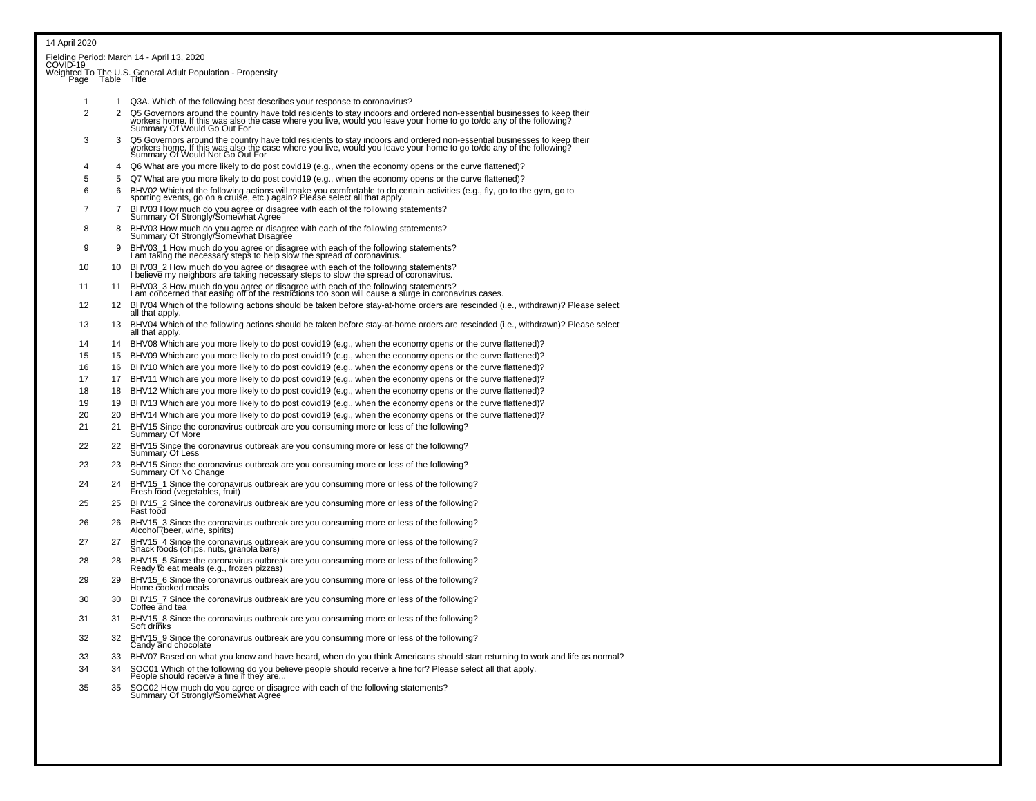### 14 April 2020Fielding Period: March 14 - April 13, 2020<br>COVID-19 Weighted To The U.S. General Adult Population - Propensity<br>Page Table Title <sup>1</sup> <sup>1</sup> Q3A. Which of the following best describes your response to coronavirus?2 Q5 Governors around the country have told residents to stay indoors and ordered non-essential businesses to keep their<br>2 workers home. If this was also the case where you live, would you leave your home to go to/do any o Summary Of Would Go Out For 3 3 Q5 Governors around the country have told residents to stay indoors and ordered non-essential businesses to keep theirworkers home. If this was also the case where you live, would you leave your home to go to/do any of the following?<br>Summary Of Would Not Go Out For 4 Q6 What are you more likely to do post covid19 (e.g., when the economy opens or the curve flattened)? <sup>5</sup> <sup>5</sup> Q7 What are you more likely to do post covid19 (e.g., when the economy opens or the curve flattened)? 6 6 BHV02 Which of the following actions will make you comfortable to do certain activities (e.g., fly, go to the gym, go to sporting events, go on a cruise, etc.) again? Please select all that apply.7 BHV03 How much do you agree or disagree with each of the following statements?<br>Summary Of Strongly/Somewhat Agree 8 BHV03 How much do you agree or disagree with each of the following statements? Summary Of Strongly/Somewhat Disagree 9 9 BHV03\_1 How much do you agree or disagree with each of the following statements? I am taking the necessary steps to help slow the spread of coronavirus. 10 10 BHV03\_2 How much do you agree or disagree with each of the following statements? I believe my neighbors are taking necessary steps to slow the spread of coronavirus.11 11 BHV03\_3 How much do you agree or disagree with each of the following statements?<br>I am concerned that easing off of the restrictions too soon will cause a surge in coronavirus cases. 12 12 BHV04 Which of the following actions should be taken before stay-at-home orders are rescinded (i.e., withdrawn)? Please select all that apply. 13 BHV04 Which of the following actions should be taken before stay-at-home orders are rescinded (i.e., withdrawn)? Please select all that apply. <sup>14</sup> <sup>14</sup> BHV08 Which are you more likely to do post covid19 (e.g., when the economy opens or the curve flattened)? 15 15 BHV09 Which are you more likely to do post covid19 (e.g., when the economy opens or the curve flattened)? 16 16 BHV10 Which are you more likely to do post covid19 (e.g., when the economy opens or the curve flattened)? <sup>17</sup> <sup>17</sup> BHV11 Which are you more likely to do post covid19 (e.g., when the economy opens or the curve flattened)? 18 18 BHV12 Which are you more likely to do post covid19 (e.g., when the economy opens or the curve flattened)? 19 19 BHV13 Which are you more likely to do post covid19 (e.g., when the economy opens or the curve flattened)? 20 20 BHV14 Which are you more likely to do post covid19 (e.g., when the economy opens or the curve flattened)?<sup>21</sup> <sup>21</sup> BHV15 Since the coronavirus outbreak are you consuming more or less of the following? Summary Of More22 22 BHV15 Since the coronavirus outbreak are you consuming more or less of the following?<br>Summary Of Less 23 23 BHV15 Since the coronavirus outbreak are you consuming more or less of the following? Summary Of No Change <sup>24</sup> <sup>24</sup> BHV15\_1 Since the coronavirus outbreak are you consuming more or less of the following? Fresh food (vegetables, fruit)25 25 BHV15\_2 Since the coronavirus outbreak are you consuming more or less of the following? Fast food 26 26 BHV15\_3 Since the coronavirus outbreak are you consuming more or less of the following?Alcohol (beer, wine, spirits) <sup>27</sup> <sup>27</sup> BHV15\_4 Since the coronavirus outbreak are you consuming more or less of the following? Snack foods (chips, nuts, granola bars)28 28 BHV15\_5 Since the coronavirus outbreak are you consuming more or less of the following? Ready to eat meals (e.g., frozen pizzas) 29 29 BHV15\_6 Since the coronavirus outbreak are you consuming more or less of the following? Home cooked meals 30 30 BHV15\_7 Since the coronavirus outbreak are you consuming more or less of the following?Coffee and tea 31 31 BHV15\_8 Since the coronavirus outbreak are you consuming more or less of the following?<br>Soft drinks 32 32 BHV15\_9 Since the coronavirus outbreak are you consuming more or less of the following?Candy and chocolate

33 33 BHV07 Based on what you know and have heard, when do you think Americans should start returning to work and life as normal?

<sup>34</sup> <sup>34</sup> SOC01 Which of the following do you believe people should receive a fine for? Please select all that apply. People should receive a fine if they are...

35 35 SOC02 How much do you agree or disagree with each of the following statements? Summary Of Strongly/Somewhat Agree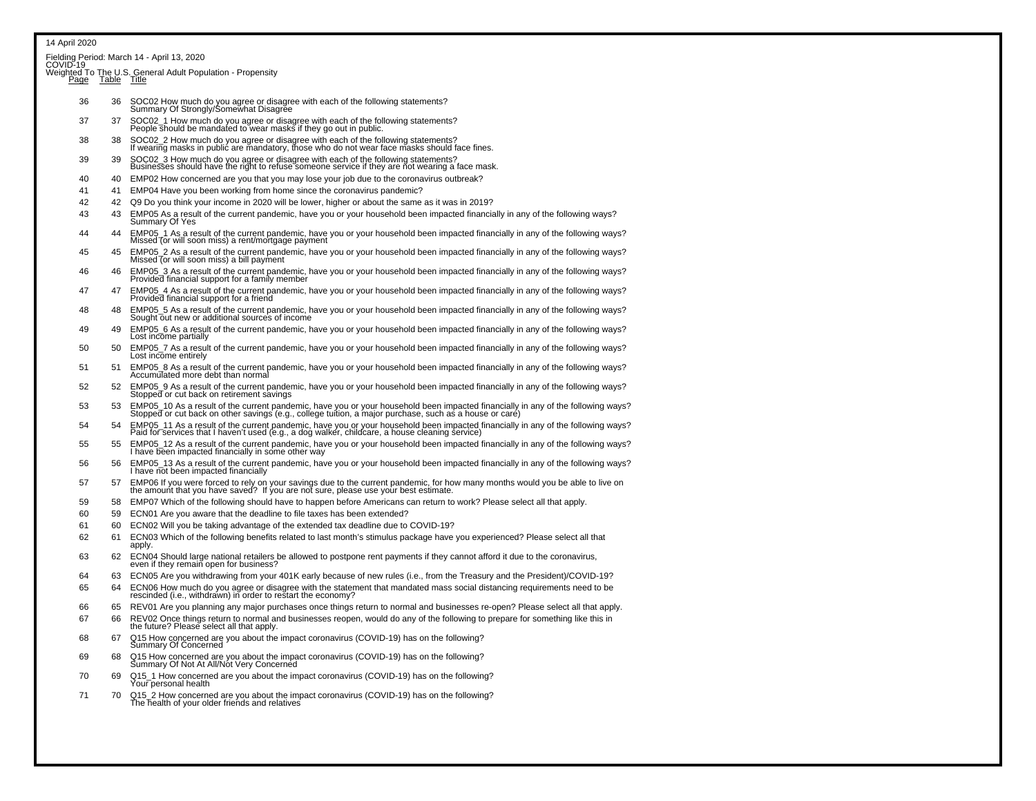| Fielding Period: March 14 - April 13, 2020 |  |  |  |
|--------------------------------------------|--|--|--|
|                                            |  |  |  |

| COVID-19<br>Page | Table | Weighted To The U.S. General Adult Population - Propensity<br>Title                                                                                   |
|------------------|-------|-------------------------------------------------------------------------------------------------------------------------------------------------------|
| 36               | 36    | SOC02 How much do you agree or disagree with each of the following statements?<br>Summary Of Strongly/Somewhat Disagree                               |
| 37               | 37    | SOC02_1 How much do you agree or disagree with each of the following statements?<br>People should be mandated to wear masks if they go out in public. |
| 38               |       | SOC02, 2 How much do you agree or disagree with each of the following statements?                                                                     |

- 38 38 SOC02\_2 How much do you agree or disagree with each of the following statements?If wearing masks in public are mandatory, those who do not wear face masks should face fines.
- 39 39 SOC02\_3 How much do you agree or disagree with each of the following statements? Businesses should have the right to refuse someone service if they are not wearing a face mask.
- 40 40 EMP02 How concerned are you that you may lose your job due to the coronavirus outbreak?
- 41 EMP04 Have you been working from home since the coronavirus pandemic?
- <sup>42</sup> <sup>42</sup> Q9 Do you think your income in 2020 will be lower, higher or about the same as it was in 2019?
- 43 EMP05 As a result of the current pandemic, have you or your household been impacted financially in any of the following ways? Summary Of Yes
- <sup>44</sup> <sup>44</sup> EMP05\_1 As a result of the current pandemic, have you or your household been impacted financially in any of the following ways? Missed (or will soon miss) a rent/mortgage payment
- 45 45 EMP05\_2 As a result of the current pandemic, have you or your household been impacted financially in any of the following ways?Missed (or will soon miss) a bill payment
- 46 46 EMP05\_3 As a result of the current pandemic, have you or your household been impacted financially in any of the following ways?Provided financial support for a family member
- <sup>47</sup> <sup>47</sup> EMP05\_4 As a result of the current pandemic, have you or your household been impacted financially in any of the following ways?Provided financial support for a frien
- 48 EMP05\_5 As a result of the current pandemic, have you or your household been impacted financially in any of the following ways? Sought out new or additional sources of income
- 49 49 EMP05\_6 As a result of the current pandemic, have you or your household been impacted financially in any of the following ways?<br>Lost income partially
- 50 50 EMP05\_7 As a result of the current pandemic, have you or your household been impacted financially in any of the following ways?Lost income entirely
- 51 51 EMP05\_8 As a result of the current pandemic, have you or your household been impacted financially in any of the following ways?Accumulated more debt than normal
- 52 EMP05 9 As a result of the current pandemic, have you or your household been impacted financially in any of the following ways? Stopped or cut back on retirement savings
- 53 53 EMP05\_10 As a result of the current pandemic, have you or your household been impacted financially in any of the following ways?Stopped or cut back on other savings (e.g., college tuition, a major purchase, such as a house or care)
- 54 EMP05\_11 As a result of the current pandemic, have you or your household been impacted financially in any of the following ways?<br>Paid for services that I haven't used (e.g., a dog walker, childcare, a house cleaning ser
- 55 55 EMP05\_12 As a result of the current pandemic, have you or your household been impacted financially in any of the following ways?I have been impacted financially in some other way
- 56 56 EMP05\_13 As a result of the current pandemic, have you or your household been impacted financially in any of the following ways?I have not been impacted financially
- 57 EMP06 If you were forced to rely on your savings due to the current pandemic, for how many months would you be able to live on the amount that you have saved? If you are not sure, please use your best estimate.
- 59 58 EMP07 Which of the following should have to happen before Americans can return to work? Please select all that apply.
- 60 59 ECN01 Are you aware that the deadline to file taxes has been extended?
- 61 60 ECN02 Will you be taking advantage of the extended tax deadline due to COVID-19?
- 62 61 ECN03 Which of the following benefits related to last month's stimulus package have you experienced? Please select all that apply.
- <sup>63</sup> <sup>62</sup> ECN04 Should large national retailers be allowed to postpone rent payments if they cannot afford it due to the coronavirus, even if they remain open for business?
- 64 63 ECN05 Are you withdrawing from your 401K early because of new rules (i.e., from the Treasury and the President)/COVID-19?
- 65 64 ECN06 How much do you agree or disagree with the statement that mandated mass social distancing requirements need to berescinded (i.e., withdrawn) in order to restart the economy?
- 66 65 REV01 Are you planning any major purchases once things return to normal and businesses re-open? Please select all that apply.
- 67 66 REV02 Once things return to normal and businesses reopen, would do any of the following to prepare for something like this inthe future? Please select all that apply.
- 68 67 Q15 How concerned are you about the impact coronavirus (COVID-19) has on the following?Summary Of Concerned
- 69 68 Q15 How concerned are you about the impact coronavirus (COVID-19) has on the following? Summary Of Not At All/Not Very Concerned
- 70 69 Q15\_1 How concerned are you about the impact coronavirus (COVID-19) has on the following? Your personal health
- <sup>71</sup> 70 Q15\_2 How concerned are you about the impact coronavirus (COVID-19) has on the following?The health of your older friends and relatives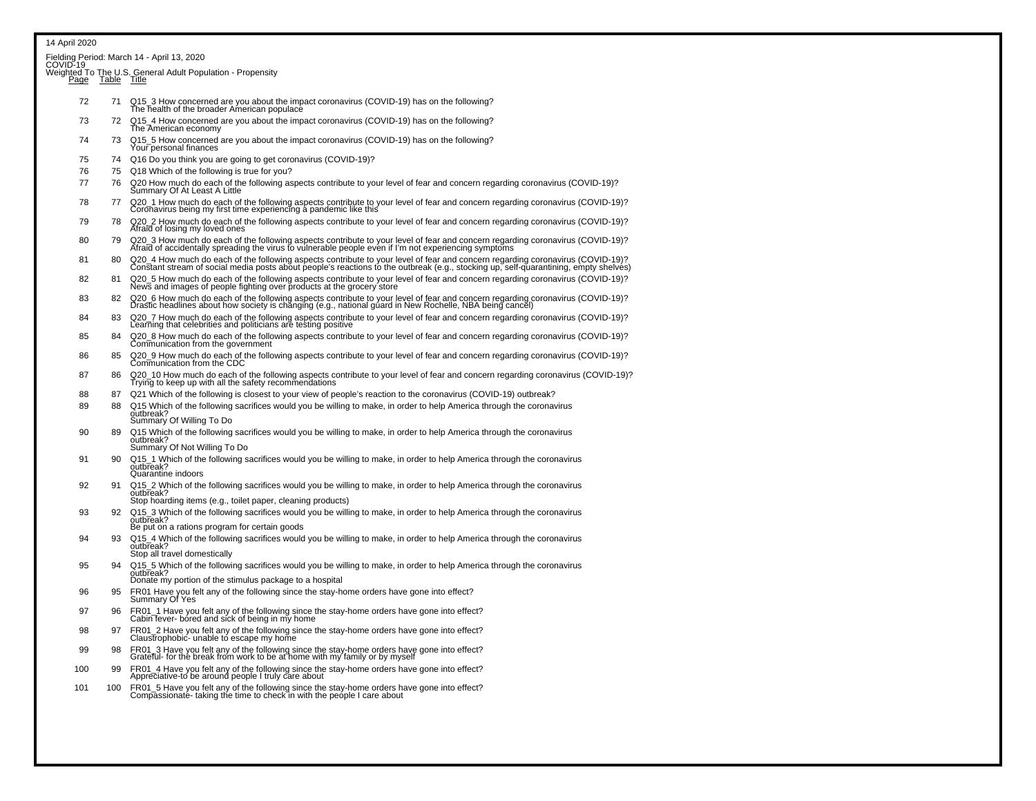|      |             | Fielding Period: March 14 - April 13, 2020<br>COVID-19                                                                                                                                                                                                                 |
|------|-------------|------------------------------------------------------------------------------------------------------------------------------------------------------------------------------------------------------------------------------------------------------------------------|
|      |             | Weighted To The U.S. General Adult Population - Propensity                                                                                                                                                                                                             |
| Page | Table Title |                                                                                                                                                                                                                                                                        |
| 72   | 71          | Q15_3 How concerned are you about the impact coronavirus (COVID-19) has on the following?<br>The health of the broader American populace                                                                                                                               |
| 73   | 72          | Q15_4 How concerned are you about the impact coronavirus (COVID-19) has on the following?<br>The American economy                                                                                                                                                      |
| 74   | 73          | Q15_5 How concerned are you about the impact coronavirus (COVID-19) has on the following?<br>Your personal finances                                                                                                                                                    |
| 75   | 74          | Q16 Do you think you are going to get coronavirus (COVID-19)?                                                                                                                                                                                                          |
| 76   | 75          | Q18 Which of the following is true for you?                                                                                                                                                                                                                            |
| 77   | 76          | Q20 How much do each of the following aspects contribute to your level of fear and concern regarding coronavirus (COVID-19)?<br>Summary Of At Least A Little                                                                                                           |
| 78   | 77          | Q20_1 How much do each of the following aspects contribute to your level of fear and concern regarding coronavirus (COVID-19)?<br>Coronavirus being my first time experiencing a pandemic like this                                                                    |
| 79   | 78          | Q20_2 How much do each of the following aspects contribute to your level of fear and concern regarding coronavirus (COVID-19)?<br>Afraid of losing my loved ones                                                                                                       |
| 80   | 79          | Q20_3 How much do each of the following aspects contribute to your level of fear and concern regarding coronavirus (COVID-19)?<br>Afraid of accidentally spreading the virus to vulnerable people even if I'm not experiencing symptoms                                |
| 81   | 80          | Q20_4 How much do each of the following aspects contribute to your level of fear and concern regarding coronavirus (COVID-19)?<br>Constant stream of social media posts about people's reactions to the outbreak (e.g., stocking up, self-quarantining, empty shelves) |
| 82   | 81          | Q20_5 How much do each of the following aspects contribute to your level of fear and concern regarding coronavirus (COVID-19)?<br>News and images of people fighting over products at the grocery store                                                                |
| 83   | 82          | Q20_6 How much do each of the following aspects contribute to your level of fear and concern regarding coronavirus (COVID-19)?<br>Drastic headlines about how society is changing (e.g., national guard in New Rochelle, NBA bein                                      |
| 84   | 83          | Q20_7 How much do each of the following aspects contribute to your level of fear and concern regarding coronavirus (COVID-19)?<br>Learning that celebrities and politicians are testing positive                                                                       |
| 85   | 84          | Q20_8 How much do each of the following aspects contribute to your level of fear and concern regarding coronavirus (COVID-19)?<br>Communication from the government                                                                                                    |
| 86   | 85          | Q20_9 How much do each of the following aspects contribute to your level of fear and concern regarding coronavirus (COVID-19)?<br>Communication from the CDC                                                                                                           |
| 87   | 86          | Q20_10 How much do each of the following aspects contribute to your level of fear and concern regarding coronavirus (COVID-19)?<br>Trying to keep up with all the safety recommendations                                                                               |
| 88   | 87          | Q21 Which of the following is closest to your view of people's reaction to the coronavirus (COVID-19) outbreak?                                                                                                                                                        |
| 89   | 88          | Q15 Which of the following sacrifices would you be willing to make, in order to help America through the coronavirus<br>outbreak?                                                                                                                                      |
|      |             | Summary Of Willing To Do                                                                                                                                                                                                                                               |
| 90   | 89          | Q15 Which of the following sacrifices would you be willing to make, in order to help America through the coronavirus<br>outbreak?<br>Summary Of Not Willing To Do                                                                                                      |
| 91   | 90          | Q15_1 Which of the following sacrifices would you be willing to make, in order to help America through the coronavirus<br>outbreak?                                                                                                                                    |
|      |             | Quarantine indoors                                                                                                                                                                                                                                                     |
| 92   | 91          | Q15_2 Which of the following sacrifices would you be willing to make, in order to help America through the coronavirus<br>outbreak?<br>Stop hoarding items (e.g., toilet paper, cleaning products)                                                                     |
| 93   | 92          | Q15_3 Which of the following sacrifices would you be willing to make, in order to help America through the coronavirus                                                                                                                                                 |
|      |             | outbreak?<br>Be put on a rations program for certain goods                                                                                                                                                                                                             |
| 94   | 93          | Q15_4 Which of the following sacrifices would you be willing to make, in order to help America through the coronavirus                                                                                                                                                 |
|      |             | outbreak?<br>Stop all travel domestically                                                                                                                                                                                                                              |
| 95   | 94          | Q15_5 Which of the following sacrifices would you be willing to make, in order to help America through the coronavirus<br>outbreak?                                                                                                                                    |
|      |             | Donate my portion of the stimulus package to a hospital                                                                                                                                                                                                                |
| 96   | 95          | FR01 Have you felt any of the following since the stay-home orders have gone into effect?<br>Summary Of Yes                                                                                                                                                            |
| 97   | 96          | FR01_1 Have you felt any of the following since the stay-home orders have gone into effect?<br>Cabin fever- bored and sick of being in my home                                                                                                                         |
| 98   | 97          | FR01_2 Have you felt any of the following since the stay-home orders have gone into effect?<br>Claustrophobic- unable to escape my home                                                                                                                                |
| 99   | 98          | FR01_3 Have you felt any of the following since the stay-home orders have gone into effect?<br>Grateful- for the break from work to be at home with my family or by myself                                                                                             |
| 100  | 99          | FR01_4 Have you felt any of the following since the stay-home orders have gone into effect?<br>Appreciative-to be around people I truly care about                                                                                                                     |
| 101  | 100         | FR01_5 Have you felt any of the following since the stay-home orders have gone into effect?<br>Compassionaté-taking the time to check in with the people I care about                                                                                                  |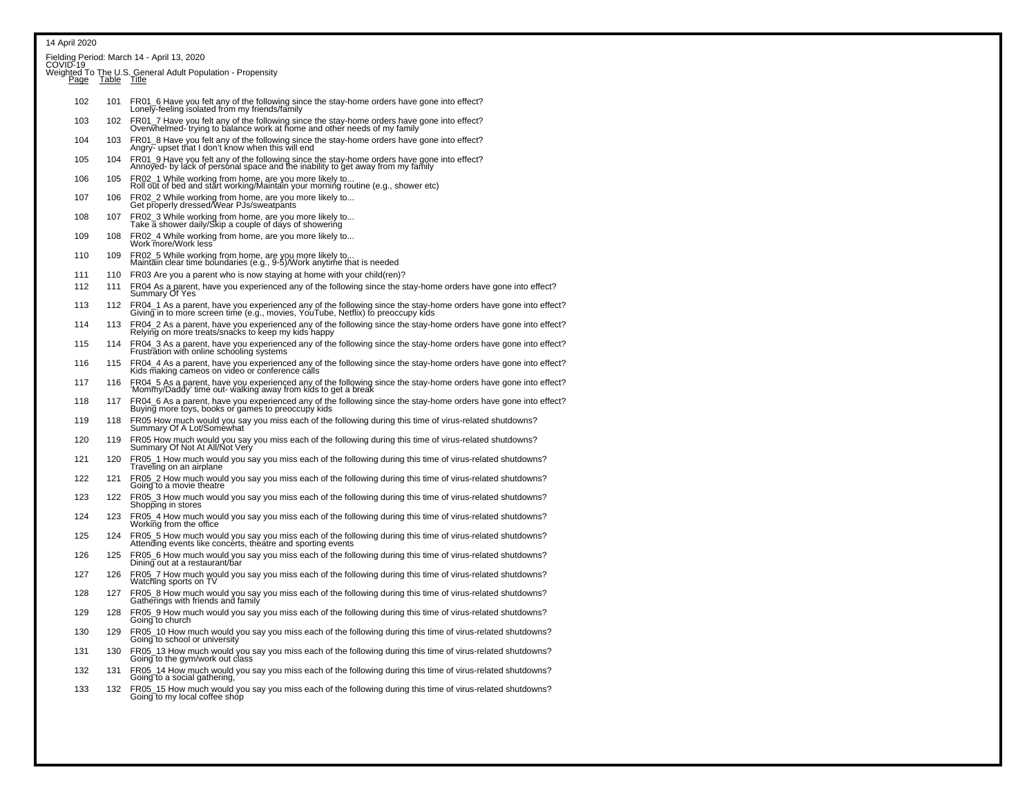Fielding Period: March 14 - April 13, 2020<br>COVID-19

|  | Weighted To The U.S. General Adult Population - Propensity<br>Page Table Title |
|--|--------------------------------------------------------------------------------|
|  |                                                                                |

| <u>r ayc</u> | $I^{\text{a} \cup I \subset I}$ | 1100                                                                                                                                                                                                |
|--------------|---------------------------------|-----------------------------------------------------------------------------------------------------------------------------------------------------------------------------------------------------|
| 102          | 101                             | FR01_6 Have you felt any of the following since the stay-home orders have gone into effect?<br>Lonely-feeling isolated from my friends/family                                                       |
| 103          |                                 | 102 FR01_7 Have you felt any of the following since the stay-home orders have gone into effect?<br>Overwhelmed-trying to balance work at home and other needs of my family                          |
| 104          | 103                             | FR01_8 Have you felt any of the following since the stay-home orders have gone into effect?<br>Angry- upset that I don't know when this will end                                                    |
| 105          | 104                             | FR01_9 Have you felt any of the following since the stay-home orders have gone into effect?<br>Annoyed- by lack of personal space and the inability to get away from my family                      |
| 106          | 105                             | FR02_1 While working from home, are you more likely to<br>Roll out of bed and start working/Maintain your morning routine (e.g., shower etc)                                                        |
| 107          | 106                             | FR02_2 While working from home, are you more likely to<br>Get properly dressed/Wear PJs/sweatpants                                                                                                  |
| 108          | 107                             | FR02_3 While working from home, are you more likely to<br>Take a shower daily/Skip a couple of days of showering                                                                                    |
| 109          | 108                             | FR02_4 While working from home, are you more likely to<br>Work more/Work less                                                                                                                       |
| 110          | 109                             | FR02_5 While working from home, are you more likely to<br>Maintain clear time boundaries (e.g., 9-5)/Work anytime that is needed                                                                    |
| 111          | 110                             | FR03 Are you a parent who is now staying at home with your child (ren)?                                                                                                                             |
| 112          | 111                             | FR04 As a parent, have you experienced any of the following since the stay-home orders have gone into effect?<br>Summary Of Yes                                                                     |
| 113          | 112                             | FR04_1 As a parent, have you experienced any of the following since the stay-home orders have gone into effect?<br>Giving in to more screen time (e.g., movies, YouTube, Netflix) to preoccupy kids |
| 114          | 113                             | FR04_2 As a parent, have you experienced any of the following since the stay-home orders have gone into effect?<br>Relying on more treats/snacks to keep my kids happy                              |
| 115          | 114                             | ER04_3 As a parent, have you experienced any of the following since the stay-home orders have gone into effect?<br>Frustration with online schooling systems                                        |
| 116          | 115                             | FR04_4 As a parent, have you experienced any of the following since the stay-home orders have gone into effect?<br>Kids making cameos on video or conference calls                                  |
| 117          | 116                             | FR04_5 As a parent, have you experienced any of the following since the stay-home orders have gone into effect?<br>'Mommy/Daddy' time out- walking away from kids to get a break                    |
| 118          | 117                             | FR04_6 As a parent, have you experienced any of the following since the stay-home orders have gone into effect?<br>Buying more toys, books or games to preoccupy kids                               |
| 119          | 118                             | FR05 How much would you say you miss each of the following during this time of virus-related shutdowns?<br>Summary Of A Lot/Somewhat                                                                |
| 120          | 119                             | FR05 How much would you say you miss each of the following during this time of virus-related shutdowns?<br>Summary Of Not At All/Not Very                                                           |
| 121          | 120                             | FR05 1 How much would you say you miss each of the following during this time of virus-related shutdowns?<br>Traveling on an airplane                                                               |
| 122          | 121                             | FR05 2 How much would you say you miss each of the following during this time of virus-related shutdowns?<br>Going to a movie theatre                                                               |
| 123          | 122                             | FR05_3 How much would you say you miss each of the following during this time of virus-related shutdowns?<br>Shopping in stores                                                                     |

- <sup>124</sup> 123 FR05\_4 How much would you say you miss each of the following during this time of virus-related shutdowns? Working from the office
- 125 124 FR05\_5 How much would you say you miss each of the following during this time of virus-related shutdowns?<br>Attending events like concerts, theatre and sporting events
- 126 125 FR05\_6 How much would you say you miss each of the following during this time of virus-related shutdowns? Dining out at a restaurant/bar
- <sup>127</sup> 126 FR05\_7 How much would you say you miss each of the following during this time of virus-related shutdowns? Watching sports on TV
- 128 <sup>127</sup> FR05\_8 How much would you say you miss each of the following during this time of virus-related shutdowns? Gatherings with friends and family
- 129 128 FR05\_9 How much would you say you miss each of the following during this time of virus-related shutdowns? Going to church
- 130 129 FR05\_10 How much would you say you miss each of the following during this time of virus-related shutdowns?Going to school or university
- 131 130 FR05\_13 How much would you say you miss each of the following during this time of virus-related shutdowns? Going to the gym/work out class
- 132 131 FR05\_14 How much would you say you miss each of the following during this time of virus-related shutdowns? Going to a social gathering,
- 133 132 FR05\_15 How much would you say you miss each of the following during this time of virus-related shutdowns?Going to my local coffee shop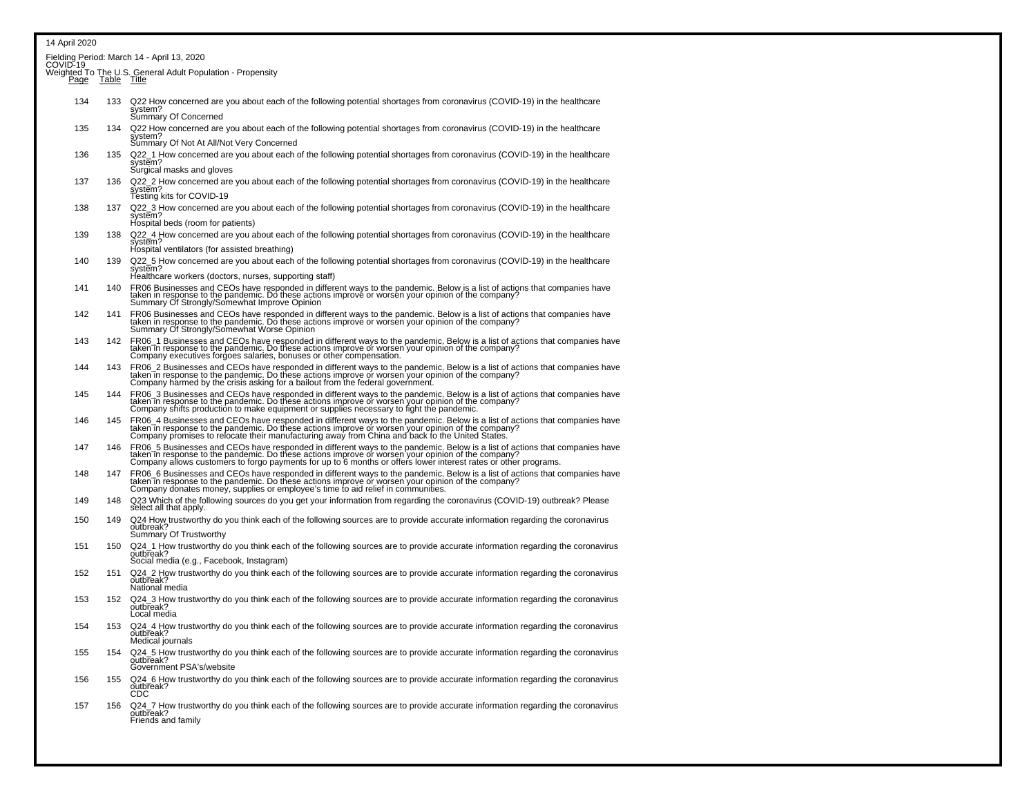| 14 April 2020 |     |                                                                                                                                                                                                                                                                                                                                      |
|---------------|-----|--------------------------------------------------------------------------------------------------------------------------------------------------------------------------------------------------------------------------------------------------------------------------------------------------------------------------------------|
|               |     | Fielding Period: March 14 - April 13, 2020<br>COVID-19                                                                                                                                                                                                                                                                               |
|               |     |                                                                                                                                                                                                                                                                                                                                      |
|               |     | Weighted To The U.S. General Adult Population - Propensity<br>Page Table Title                                                                                                                                                                                                                                                       |
| 134           | 133 | Q22 How concerned are you about each of the following potential shortages from coronavirus (COVID-19) in the healthcare<br>system?<br>Summary Of Concerned                                                                                                                                                                           |
| 135           | 134 | Q22 How concerned are you about each of the following potential shortages from coronavirus (COVID-19) in the healthcare                                                                                                                                                                                                              |
|               |     | system?<br>Summary Of Not At All/Not Very Concerned                                                                                                                                                                                                                                                                                  |
| 136           | 135 | Q22_1 How concerned are you about each of the following potential shortages from coronavirus (COVID-19) in the healthcare<br>system?<br>Surgical masks and gloves                                                                                                                                                                    |
| 137           | 136 | Q22_2 How concerned are you about each of the following potential shortages from coronavirus (COVID-19) in the healthcare<br>system?<br>Testing kits for COVID-19                                                                                                                                                                    |
| 138           | 137 | Q22_3 How concerned are you about each of the following potential shortages from coronavirus (COVID-19) in the healthcare<br>system?<br>Hospital beds (room for patients)                                                                                                                                                            |
| 139           | 138 | Q22_4 How concerned are you about each of the following potential shortages from coronavirus (COVID-19) in the healthcare<br>system?<br>Hospital ventilators (for assisted breathing)                                                                                                                                                |
| 140           | 139 | Q22 5 How concerned are you about each of the following potential shortages from coronavirus (COVID-19) in the healthcare<br>system?                                                                                                                                                                                                 |
| 141           | 140 | Healthcare workers (doctors, nurses, supporting staff)<br>FR06 Businesses and CEOs have responded in different ways to the pandemic. Below is a list of actions that companies have<br>taken in response to the pandemic. Do these actions improve or worsen your opinion of the company?<br>S                                       |
| 142           | 141 | FR06 Businesses and CEOs have responded in different ways to the pandemic. Below is a list of actions that companies have<br>taken in response to the pandemic. Do these actions improve or worsen your opinion of the company?<br>S                                                                                                 |
| 143           | 142 | FR06_1 Businesses and CEOs have responded in different ways to the pandemic. Below is a list of actions that companies have<br>taken in response to the pandemic. Do these actions improve or worsen your opinion of the company?<br>Company executives forgoes salaries, bonuses or other compensation.                             |
| 144           | 143 | FR06_2 Businesses and CEOs have responded in different ways to the pandemic. Below is a list of actions that companies have<br>taken in response to the pandemic. Do these actions improve or worsen your opinion of the company?<br>Company harmed by the crisis asking for a bailout from the federal government.                  |
| 145           | 144 | FR06_3 Businesses and CEOs have responded in different ways to the pandemic. Below is a list of actions that companies have<br>taken in response to the pandemic. Do these actions improve or worsen your opinion of the company?                                                                                                    |
| 146           | 145 | FR06_4 Businesses and CEOs have responded in different ways to the pandemic. Below is a list of actions that companies have<br>taken in response to the pandemic. Do these actions improve or worsen your opinion of the company?<br>Company promises to relocate their manufacturing away from China and back to the United States. |
| 147           | 146 | FR06_5 Businesses and CEOs have responded in different ways to the pandemic. Below is a list of actions that companies have<br>taken in response to the pandemic. Do these actions improve or worsen your opinion of the company?                                                                                                    |
| 148           | 147 | FR06 6 Businesses and CEOs have responded in different ways to the pandemic. Below is a list of actions that companies have<br>taken in response to the pandemic. Do these actions improve or worsen your opinion of the company?<br>Company donates money, supplies or employee's time to aid relief in communities.                |
| 149           | 148 | Q23 Which of the following sources do you get your information from regarding the coronavirus (COVID-19) outbreak? Please<br>select all that apply.                                                                                                                                                                                  |
| 150           | 149 | Q24 How trustworthy do you think each of the following sources are to provide accurate information regarding the coronavirus<br>outbreak?<br>Summary Of Trustworthy                                                                                                                                                                  |
| 151           | 150 | Q24_1 How trustworthy do you think each of the following sources are to provide accurate information regarding the coronavirus<br>outbreak?<br>Social media (e.g., Facebook, Instagram)                                                                                                                                              |
| 152           | 151 | Q24_2 How trustworthy do you think each of the following sources are to provide accurate information regarding the coronavirus<br>outbreak?<br>National media                                                                                                                                                                        |
| 153           | 152 | Q24_3 How trustworthy do you think each of the following sources are to provide accurate information regarding the coronavirus<br>outbreak?<br>Local media                                                                                                                                                                           |
| 154           | 153 | Q24_4 How trustworthy do you think each of the following sources are to provide accurate information regarding the coronavirus<br>outbreak?<br>Medical journals                                                                                                                                                                      |
| 155           | 154 | Q24 5 How trustworthy do you think each of the following sources are to provide accurate information regarding the coronavirus<br>outbreak?<br>Government PSA's/website                                                                                                                                                              |
| 156           | 155 | Q24_6 How trustworthy do you think each of the following sources are to provide accurate information regarding the coronavirus<br>outbreak?                                                                                                                                                                                          |
| 157           | 156 | Q24_7 How trustworthy do you think each of the following sources are to provide accurate information regarding the coronavirus<br>outbreak?<br>Friends and family                                                                                                                                                                    |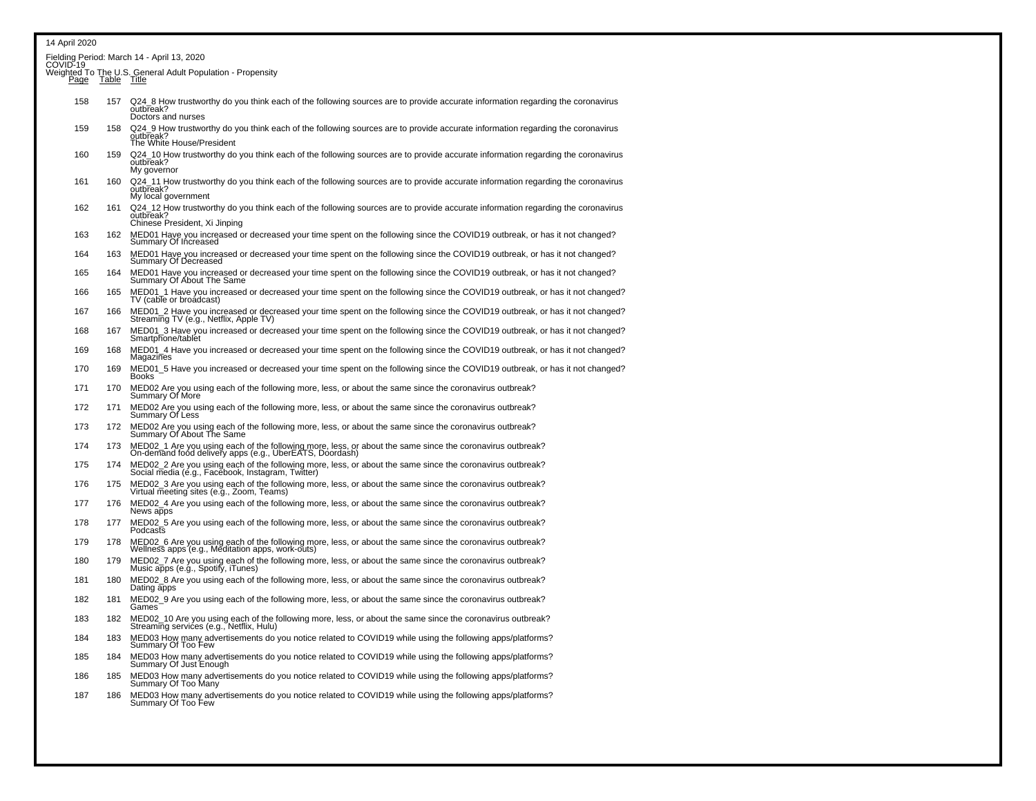| 14 April 2020                                          |             |                                                                                                                                                                               |  |
|--------------------------------------------------------|-------------|-------------------------------------------------------------------------------------------------------------------------------------------------------------------------------|--|
| Fielding Period: March 14 - April 13, 2020<br>COVID-19 |             |                                                                                                                                                                               |  |
| Page                                                   | Table Title | Weighted To The U.S. General Adult Population - Propensity                                                                                                                    |  |
| 158                                                    | 157         | Q24 8 How trustworthy do you think each of the following sources are to provide accurate information regarding the coronavirus<br>outbreak?<br>Doctors and nurses             |  |
| 159                                                    | 158         | Q24_9 How trustworthy do you think each of the following sources are to provide accurate information regarding the coronavirus<br>outbreak?<br>The White House/President      |  |
| 160                                                    | 159         | Q24_10 How trustworthy do you think each of the following sources are to provide accurate information regarding the coronavirus<br>outbreak?<br>My governor                   |  |
| 161                                                    | 160         | Q24_11 How trustworthy do you think each of the following sources are to provide accurate information regarding the coronavirus<br>outbreak?<br>My local government           |  |
| 162                                                    | 161         | Q24_12 How trustworthy do you think each of the following sources are to provide accurate information regarding the coronavirus<br>outbreak?<br>Chinese President, Xi Jinping |  |
| 163                                                    | 162         | MED01 Have you increased or decreased your time spent on the following since the COVID19 outbreak, or has it not changed?<br>Summary Of Increased                             |  |
| 164                                                    | 163         | MED01 Have you increased or decreased your time spent on the following since the COVID19 outbreak, or has it not changed?<br>Summary Of Decreased                             |  |
| 165                                                    | 164         | MED01 Have you increased or decreased your time spent on the following since the COVID19 outbreak, or has it not changed?<br>Summary Of About The Same                        |  |
| 166                                                    | 165         | MED01_1 Have you increased or decreased your time spent on the following since the COVID19 outbreak, or has it not changed?<br>TV (cable or broadcast)                        |  |
| 167                                                    | 166         | MED01_2 Have you increased or decreased your time spent on the following since the COVID19 outbreak, or has it not changed?<br>Streaming TV (e.g., Netflix, Apple TV)         |  |
| 168                                                    | 167         | MED01_3 Have you increased or decreased your time spent on the following since the COVID19 outbreak, or has it not changed?<br>Smartphone/tablet                              |  |
| 169                                                    | 168         | MED01_4 Have you increased or decreased your time spent on the following since the COVID19 outbreak, or has it not changed?<br>Magazines                                      |  |
| 170                                                    | 169         | MED01_5 Have you increased or decreased your time spent on the following since the COVID19 outbreak, or has it not changed?<br><b>Books</b>                                   |  |
| 171                                                    | 170         | MED02 Are you using each of the following more, less, or about the same since the coronavirus outbreak?<br>Summary Of More                                                    |  |
| 172                                                    | 171         | MED02 Are you using each of the following more, less, or about the same since the coronavirus outbreak?<br>Summary Of Less                                                    |  |
| 173                                                    | 172         | MED02 Are you using each of the following more, less, or about the same since the coronavirus outbreak?<br>Summary Of About The Same                                          |  |
| 174                                                    | 173         | MED02_1 Are you using each of the following more, less, or about the same since the coronavirus outbreak?<br>On-demand food delivery apps (e.g., UberEATS, Doordash)          |  |
| 175                                                    | 174         | MED02_2 Are you using each of the following more, less, or about the same since the coronavirus outbreak?<br>Social media (é.g., Facebook, Instagram, Twitter)                |  |
| 176                                                    | 175         | MED02_3 Are you using each of the following more, less, or about the same since the coronavirus outbreak?<br>Virtual meeting sites (e.g., Zoom, Teams)                        |  |
| 177                                                    | 176         | MED02_4 Are you using each of the following more, less, or about the same since the coronavirus outbreak?<br>News apps                                                        |  |
| 178                                                    | 177         | MED02_5 Are you using each of the following more, less, or about the same since the coronavirus outbreak?<br>Podcasts                                                         |  |
| 179                                                    | 178         | MED02_6 Are you using each of the following more, less, or about the same since the coronavirus outbreak?<br>Wellness apps (e.g., Meditation apps, work-outs)                 |  |
| 180                                                    | 179         | MED02_7 Are you using each of the following more, less, or about the same since the coronavirus outbreak?<br>Music apps (e.g., Spotify, iTunes)                               |  |
| 181                                                    | 180         | MED02_8 Are you using each of the following more, less, or about the same since the coronavirus outbreak?<br>Dating apps                                                      |  |
| 182                                                    | 181         | MED02_9 Are you using each of the following more, less, or about the same since the coronavirus outbreak?<br>Games                                                            |  |
| 183                                                    | 182         | MED02_10 Are you using each of the following more, less, or about the same since the coronavirus outbreak?<br>Streaming services (e.g., Netflix, Hulu)                        |  |
| 184                                                    | 183         | MED03 How many advertisements do you notice related to COVID19 while using the following apps/platforms?<br>Summary Of Too Few                                                |  |
| 185                                                    | 184         | MED03 How many advertisements do you notice related to COVID19 while using the following apps/platforms?<br>Summary Of Just Enough                                            |  |
| 186                                                    | 185         | MED03 How many advertisements do you notice related to COVID19 while using the following apps/platforms?<br>Summary Of Too Many                                               |  |
| 187                                                    | 186         | MED03 How many advertisements do you notice related to COVID19 while using the following apps/platforms?<br>Summary Of Too Few                                                |  |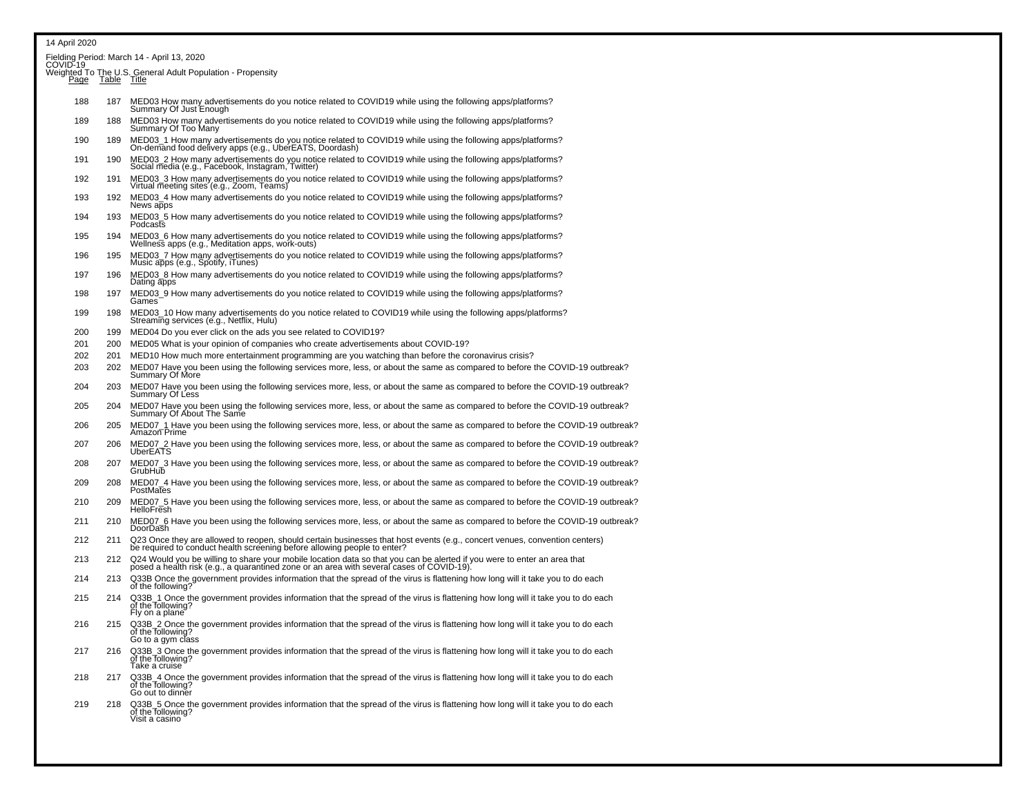|        |             | Fielding Period: March 14 - April 13, 2020<br>COVID-19                                                                                                                                                                |
|--------|-------------|-----------------------------------------------------------------------------------------------------------------------------------------------------------------------------------------------------------------------|
| Page   | Table Title | Weighted To The U.S. General Adult Population - Propensity                                                                                                                                                            |
| 188    | 187         | MED03 How many advertisements do you notice related to COVID19 while using the following apps/platforms?<br>Summary Of Just Enough                                                                                    |
| 189    | 188         | MED03 How many advertisements do you notice related to COVID19 while using the following apps/platforms?<br>Summary Of Too Many                                                                                       |
| 190    | 189         | MED03_1 How many advertisements do you notice related to COVID19 while using the following apps/platforms?<br>On-demand food delivery apps (e.g., UberEATS, Doordash)                                                 |
| 191    | 190         | MED03_2 How many advertisements do you notice related to COVID19 while using the following apps/platforms?<br>Social media (e.g., Facebook, Instagram, Twitter)                                                       |
| 192    | 191         | MED03_3 How many advertisements do you notice related to COVID19 while using the following apps/platforms?<br>Virtual meeting sites (e.g., Zoom, Teams)                                                               |
| 193    | 192         | MED03_4 How many advertisements do you notice related to COVID19 while using the following apps/platforms?<br>News apps                                                                                               |
| 194    | 193         | MED03_5 How many advertisements do you notice related to COVID19 while using the following apps/platforms?<br>Podcasts                                                                                                |
| 195    | 194         | MED03_6 How many advertisements do you notice related to COVID19 while using the following apps/platforms?<br>Wellness apps (e.g., Meditation apps, work-outs)                                                        |
| 196    | 195         | MED03_7 How many advertisements do you notice related to COVID19 while using the following apps/platforms?<br>Music apps (e.g., Spotify, iTunes)                                                                      |
| 197    | 196         | MED03_8 How many advertisements do you notice related to COVID19 while using the following apps/platforms?<br>Dating apps                                                                                             |
| 198    | 197         | MED03_9 How many advertisements do you notice related to COVID19 while using the following apps/platforms?<br>Games                                                                                                   |
| 199    | 198         | MED03_10 How many advertisements do you notice related to COVID19 while using the following apps/platforms?<br>Streaming services (e.g., Netflix, Hulu)                                                               |
| 200    | 199         | MED04 Do you ever click on the ads you see related to COVID19?                                                                                                                                                        |
| 201    | 200         | MED05 What is your opinion of companies who create advertisements about COVID-19?                                                                                                                                     |
| 202    | 201         | MED10 How much more entertainment programming are you watching than before the coronavirus crisis?                                                                                                                    |
| 203    | 202         | MED07 Have you been using the following services more, less, or about the same as compared to before the COVID-19 outbreak?<br>Summary Of More                                                                        |
| 204    | 203         | MED07 Have you been using the following services more, less, or about the same as compared to before the COVID-19 outbreak?<br>Summary Of Less                                                                        |
| 205    | 204         | MED07 Have you been using the following services more, less, or about the same as compared to before the COVID-19 outbreak?<br>Summary Of About The Same                                                              |
| 206    | 205         | MED07_1 Have you been using the following services more, less, or about the same as compared to before the COVID-19 outbreak?<br>Amazon Prime                                                                         |
| 207    | 206         | MED07_2 Have you been using the following services more, less, or about the same as compared to before the COVID-19 outbreak?<br>UberEATS                                                                             |
| 208    | 207         | MED07_3 Have you been using the following services more, less, or about the same as compared to before the COVID-19 outbreak?<br>GrubHub                                                                              |
| 209    | 208         | MED07_4 Have you been using the following services more, less, or about the same as compared to before the COVID-19 outbreak?<br>PostMates                                                                            |
| 210    | 209         | MED07_5 Have you been using the following services more, less, or about the same as compared to before the COVID-19 outbreak?<br>HelloFresh                                                                           |
| 211    | 210         | MED07_6 Have you been using the following services more, less, or about the same as compared to before the COVID-19 outbreak?<br>DoorDash                                                                             |
| 212    | 211         | Q23 Once they are allowed to reopen, should certain businesses that host events (e.g., concert venues, convention centers)<br>be required to conduct health screening before allowing people to enter?                |
| 213    | 212         | Q24 Would you be willing to share your mobile location data so that you can be alerted if you were to enter an area that<br>posed a health risk (e.g., a quarantined zone or an area with several cases of COVID-19). |
| 214    | 213         | Q33B Once the government provides information that the spread of the virus is flattening how long will it take you to do each<br>of the following?                                                                    |
| 215    | 214         | Q33B_1 Once the government provides information that the spread of the virus is flattening how long will it take you to do each<br>of the Tollowing?<br>Fly on a plane                                                |
| 216    | 215         | Q33B_2 Once the government provides information that the spread of the virus is flattening how long will it take you to do each<br>of the following?<br>Go to a gym class                                             |
| 217    | 216         | Q33B_3 Once the government provides information that the spread of the virus is flattening how long will it take you to do each<br>of the following?<br>Take a cruise                                                 |
| 218    | 217         | Q33B_4 Once the government provides information that the spread of the virus is flattening how long will it take you to do each<br>of the following?<br>Go out to dinner                                              |
| $\sim$ | 040         | $\sim$<br>وعارضه والمعاط الترز وورودها يرزموا ومتوجعهما كالمراوح والمناطقة                                                                                                                                            |

219 218 Q33B\_5 Once the government provides information that the spread of the virus is flattening how long will it take you to do each<br>of the following?<br>Visit a casino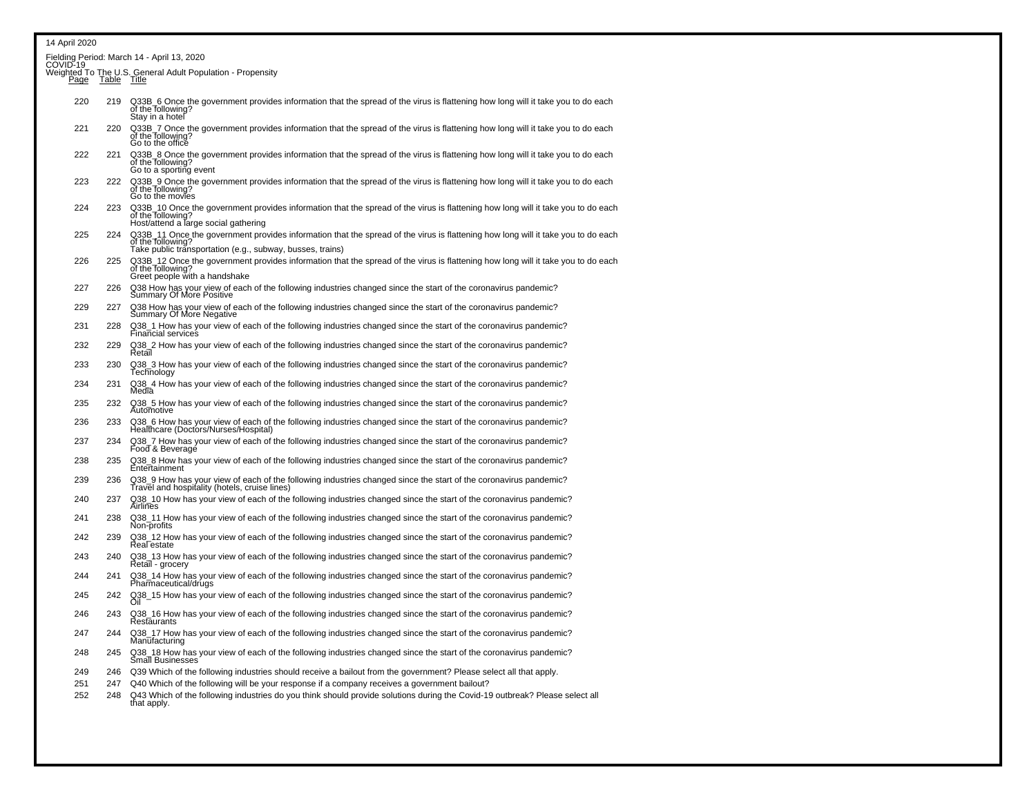|             |             | Fielding Period: March 14 - April 13, 2020<br>COVID-19                                                                                                                                                             |
|-------------|-------------|--------------------------------------------------------------------------------------------------------------------------------------------------------------------------------------------------------------------|
| <u>Page</u> | Table Title | Weighted To The U.S. General Adult Population - Propensity                                                                                                                                                         |
| 220         | 219         | Q33B_6 Once the government provides information that the spread of the virus is flattening how long will it take you to do each<br>of the following?<br>Stay in a hotel                                            |
| 221         | 220         | Q33B_7 Once the government provides information that the spread of the virus is flattening how long will it take you to do each<br>of the following?<br>Go to the office                                           |
| 222         | 221         | Q33B_8 Once the government provides information that the spread of the virus is flattening how long will it take you to do each<br>of the following?<br>Go to a sporting event                                     |
| 223         | 222         | Q33B_9 Once the government provides information that the spread of the virus is flattening how long will it take you to do each<br>of the following?<br>Go to the movies                                           |
| 224         | 223         | Q33B_10 Once the government provides information that the spread of the virus is flattening how long will it take you to do each<br>of the following?<br>Host/attend a large social gathering                      |
| 225         | 224         | Q33B_11 Once the government provides information that the spread of the virus is flattening how long will it take you to do each<br>of the following?<br>Take public trănsportation (e.g., subway, busses, trains) |
| 226         | 225         | Q33B_12 Once the government provides information that the spread of the virus is flattening how long will it take you to do each of the following?<br>Greet people with a handshake                                |
| 227         | 226         | Q38 How has your view of each of the following industries changed since the start of the coronavirus pandemic?<br>Summary Of More Positive                                                                         |
| 229         | 227         | Q38 How has your view of each of the following industries changed since the start of the coronavirus pandemic?<br>Summary Of More Negative                                                                         |
| 231         | 228         | Q38_1 How has your view of each of the following industries changed since the start of the coronavirus pandemic?<br>Financial services                                                                             |
| 232         | 229         | Q38_2 How has your view of each of the following industries changed since the start of the coronavirus pandemic?<br>Retail                                                                                         |
| 233         | 230         | Q38_3 How has your view of each of the following industries changed since the start of the coronavirus pandemic?<br>Technology                                                                                     |
| 234         | 231         | Q38_4 How has your view of each of the following industries changed since the start of the coronavirus pandemic?<br>Media                                                                                          |
| 235         | 232         | Q38_5 How has your view of each of the following industries changed since the start of the coronavirus pandemic?<br>Automotive                                                                                     |
| 236         | 233         | Q38 6 How has your view of each of the following industries changed since the start of the coronavirus pandemic?<br>Healthcare (Doctors/Nurses/Hospital)                                                           |
| 237         | 234         | Q38_7 How has your view of each of the following industries changed since the start of the coronavirus pandemic?<br>Food & Beverage                                                                                |
| 238         | 235         | Q38_8 How has your view of each of the following industries changed since the start of the coronavirus pandemic?<br>Entertainment                                                                                  |
| 239         | 236         | Q38_9 How has your view of each of the following industries changed since the start of the coronavirus pandemic?<br>Travel and hospitality (hotels, cruise lines)                                                  |
| 240         | 237         | Q38_10 How has your view of each of the following industries changed since the start of the coronavirus pandemic?<br>Airlines                                                                                      |
| 241         | 238         | Q38_11 How has your view of each of the following industries changed since the start of the coronavirus pandemic?<br>Non-profits                                                                                   |
| 242         | 239         | Q38_12 How has your view of each of the following industries changed since the start of the coronavirus pandemic?<br>Real estate                                                                                   |
| 243         | 240         | Q38_13 How has your view of each of the following industries changed since the start of the coronavirus pandemic?<br>Retail - grocery                                                                              |
| 244         | 241         | Q38 14 How has your view of each of the following industries changed since the start of the coronavirus pandemic?<br>Pharmaceutical/drugs                                                                          |
| 245         | 242         | Q38_15 How has your view of each of the following industries changed since the start of the coronavirus pandemic?<br>Oil                                                                                           |
| 246         | 243         | Q38_16 How has your view of each of the following industries changed since the start of the coronavirus pandemic?<br>Restaurants                                                                                   |
| 247         | 244         | Q38_17 How has your view of each of the following industries changed since the start of the coronavirus pandemic?<br>Manufacturing                                                                                 |
| 248         | 245         | Q38_18 How has your view of each of the following industries changed since the start of the coronavirus pandemic?<br>Small Businesses                                                                              |
| 249         | 246         | Q39 Which of the following industries should receive a bailout from the government? Please select all that apply.                                                                                                  |
| 251         | 247         | Q40 Which of the following will be your response if a company receives a government bailout?                                                                                                                       |
| 252         | 248         | Q43 Which of the following industries do you think should provide solutions during the Covid-19 outbreak? Please select all<br>that apply.                                                                         |